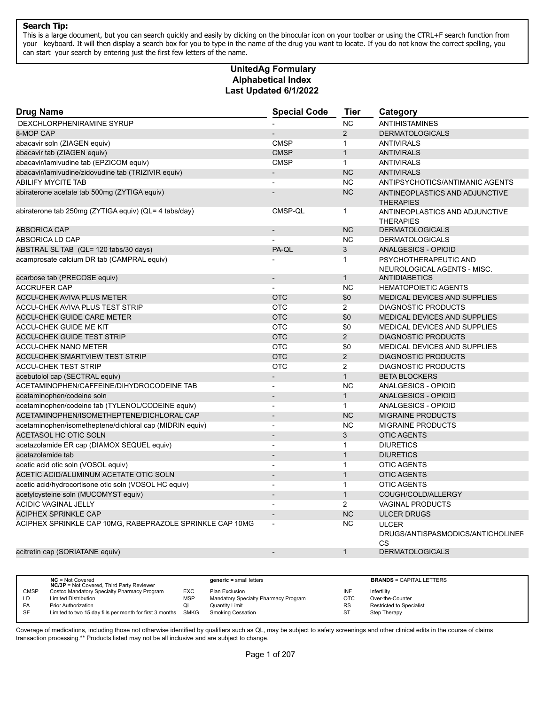This is a large document, but you can search quickly and easily by clicking on the binocular icon on your toolbar or using the CTRL+F search function from your keyboard. It will then display a search box for you to type in the name of the drug you want to locate. If you do not know the correct spelling, you can start your search by entering just the first few letters of the name.

#### **Alphabetical Index Last Updated 6/1/2022 UnitedAg Formulary**

| <b>Drug Name</b>                                         | <b>Special Code</b>      | <b>Tier</b>    | Category                                                |
|----------------------------------------------------------|--------------------------|----------------|---------------------------------------------------------|
| DEXCHLORPHENIRAMINE SYRUP                                |                          | <b>NC</b>      | <b>ANTIHISTAMINES</b>                                   |
| 8-MOP CAP                                                |                          | 2              | <b>DERMATOLOGICALS</b>                                  |
| abacavir soln (ZIAGEN equiv)                             | <b>CMSP</b>              | $\mathbf{1}$   | <b>ANTIVIRALS</b>                                       |
| abacavir tab (ZIAGEN equiv)                              | <b>CMSP</b>              | $\mathbf{1}$   | <b>ANTIVIRALS</b>                                       |
| abacavir/lamivudine tab (EPZICOM equiv)                  | <b>CMSP</b>              | $\mathbf{1}$   | <b>ANTIVIRALS</b>                                       |
| abacavir/lamivudine/zidovudine tab (TRIZIVIR equiv)      |                          | <b>NC</b>      | <b>ANTIVIRALS</b>                                       |
| <b>ABILIFY MYCITE TAB</b>                                |                          | <b>NC</b>      | ANTIPSYCHOTICS/ANTIMANIC AGENTS                         |
| abiraterone acetate tab 500mg (ZYTIGA equiv)             |                          | <b>NC</b>      | ANTINEOPLASTICS AND ADJUNCTIVE<br><b>THERAPIES</b>      |
| abiraterone tab 250mg (ZYTIGA equiv) (QL= 4 tabs/day)    | CMSP-QL                  | $\mathbf{1}$   | ANTINEOPLASTICS AND ADJUNCTIVE<br><b>THERAPIES</b>      |
| <b>ABSORICA CAP</b>                                      |                          | <b>NC</b>      | <b>DERMATOLOGICALS</b>                                  |
| ABSORICA LD CAP                                          |                          | <b>NC</b>      | <b>DERMATOLOGICALS</b>                                  |
| ABSTRAL SL TAB (QL= 120 tabs/30 days)                    | PA-QL                    | 3              | <b>ANALGESICS - OPIOID</b>                              |
| acamprosate calcium DR tab (CAMPRAL equiv)               |                          | $\mathbf{1}$   | PSYCHOTHERAPEUTIC AND<br>NEUROLOGICAL AGENTS - MISC.    |
| acarbose tab (PRECOSE equiv)                             | $\blacksquare$           | $\mathbf{1}$   | <b>ANTIDIABETICS</b>                                    |
| <b>ACCRUFER CAP</b>                                      |                          | <b>NC</b>      | <b>HEMATOPOIETIC AGENTS</b>                             |
| ACCU-CHEK AVIVA PLUS METER                               | <b>OTC</b>               | \$0            | MEDICAL DEVICES AND SUPPLIES                            |
| ACCU-CHEK AVIVA PLUS TEST STRIP                          | <b>OTC</b>               | $\overline{2}$ | <b>DIAGNOSTIC PRODUCTS</b>                              |
| <b>ACCU-CHEK GUIDE CARE METER</b>                        | <b>OTC</b>               | \$0            | MEDICAL DEVICES AND SUPPLIES                            |
| <b>ACCU-CHEK GUIDE ME KIT</b>                            | <b>OTC</b>               | \$0            | MEDICAL DEVICES AND SUPPLIES                            |
| <b>ACCU-CHEK GUIDE TEST STRIP</b>                        | <b>OTC</b>               | 2              | <b>DIAGNOSTIC PRODUCTS</b>                              |
| <b>ACCU-CHEK NANO METER</b>                              | <b>OTC</b>               | \$0            | MEDICAL DEVICES AND SUPPLIES                            |
| <b>ACCU-CHEK SMARTVIEW TEST STRIP</b>                    | <b>OTC</b>               | $\overline{2}$ | <b>DIAGNOSTIC PRODUCTS</b>                              |
| <b>ACCU-CHEK TEST STRIP</b>                              | <b>OTC</b>               | $\overline{2}$ | <b>DIAGNOSTIC PRODUCTS</b>                              |
| acebutolol cap (SECTRAL equiv)                           |                          | $\mathbf{1}$   | <b>BETA BLOCKERS</b>                                    |
| ACETAMINOPHEN/CAFFEINE/DIHYDROCODEINE TAB                | $\overline{\phantom{a}}$ | <b>NC</b>      | ANALGESICS - OPIOID                                     |
| acetaminophen/codeine soln                               |                          | $\mathbf{1}$   | <b>ANALGESICS - OPIOID</b>                              |
| acetaminophen/codeine tab (TYLENOL/CODEINE equiv)        | $\blacksquare$           | $\mathbf{1}$   | ANALGESICS - OPIOID                                     |
| ACETAMINOPHEN/ISOMETHEPTENE/DICHLORAL CAP                |                          | <b>NC</b>      | <b>MIGRAINE PRODUCTS</b>                                |
| acetaminophen/isometheptene/dichloral cap (MIDRIN equiv) | $\overline{\phantom{a}}$ | <b>NC</b>      | <b>MIGRAINE PRODUCTS</b>                                |
| ACETASOL HC OTIC SOLN                                    |                          | 3              | <b>OTIC AGENTS</b>                                      |
| acetazolamide ER cap (DIAMOX SEQUEL equiv)               | $\blacksquare$           | $\mathbf{1}$   | <b>DIURETICS</b>                                        |
| acetazolamide tab                                        | $\overline{\phantom{a}}$ | $\mathbf{1}$   | <b>DIURETICS</b>                                        |
| acetic acid otic soln (VOSOL equiv)                      | $\blacksquare$           | $\mathbf{1}$   | <b>OTIC AGENTS</b>                                      |
| ACETIC ACID/ALUMINUM ACETATE OTIC SOLN                   |                          | $\mathbf{1}$   | <b>OTIC AGENTS</b>                                      |
| acetic acid/hydrocortisone otic soln (VOSOL HC equiv)    | $\blacksquare$           | $\mathbf{1}$   | <b>OTIC AGENTS</b>                                      |
| acetylcysteine soln (MUCOMYST equiv)                     |                          | $\mathbf{1}$   | COUGH/COLD/ALLERGY                                      |
| ACIDIC VAGINAL JELLY                                     | $\blacksquare$           | $\overline{2}$ | VAGINAL PRODUCTS                                        |
| <b>ACIPHEX SPRINKLE CAP</b>                              |                          | <b>NC</b>      | <b>ULCER DRUGS</b>                                      |
| ACIPHEX SPRINKLE CAP 10MG, RABEPRAZOLE SPRINKLE CAP 10MG |                          | <b>NC</b>      | <b>ULCER</b><br>DRUGS/ANTISPASMODICS/ANTICHOLINEF<br>CS |
| acitretin cap (SORIATANE equiv)                          |                          | $\mathbf{1}$   | <b>DERMATOLOGICALS</b>                                  |
|                                                          |                          |                |                                                         |

|             | $NC = Not Covered$<br><b>NC/3P</b> = Not Covered, Third Party Reviewer |     | $generic = small letters$            |           | <b>BRANDS = CAPITAL LETTERS</b> |
|-------------|------------------------------------------------------------------------|-----|--------------------------------------|-----------|---------------------------------|
| <b>CMSP</b> | Costco Mandatory Specialty Pharmacy Program                            | EXC | Plan Exclusion                       | INF       | Infertility                     |
|             |                                                                        |     |                                      |           |                                 |
| LD          | <b>Limited Distribution</b>                                            | MSP | Mandatory Specialty Pharmacy Program | отс       | Over-the-Counter                |
| <b>PA</b>   | Prior Authorization                                                    | QL  | Quantity Limit                       | <b>RS</b> | Restricted to Specialist        |
| SF          | Limited to two 15 day fills per month for first 3 months SMKG          |     | <b>Smoking Cessation</b>             | ST        | Step Therapy                    |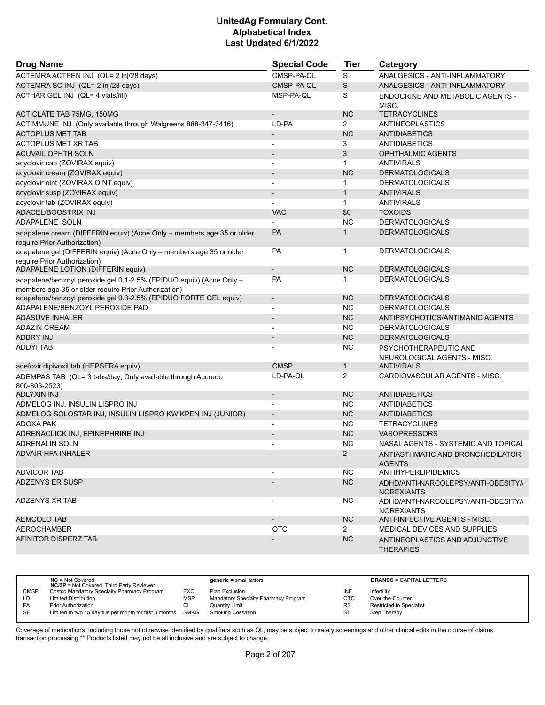| <b>Drug Name</b>                                                                                                            | <b>Special Code</b>      | Tier           | Category                                                 |
|-----------------------------------------------------------------------------------------------------------------------------|--------------------------|----------------|----------------------------------------------------------|
| ACTEMRA ACTPEN INJ (QL= 2 inj/28 days)                                                                                      | CMSP-PA-OL               | S              | ANALGESICS - ANTI-INFLAMMATORY                           |
| ACTEMRA SC INJ (QL= 2 inj/28 days)                                                                                          | CMSP-PA-QL               | S              | ANALGESICS - ANTI-INFLAMMATORY                           |
| ACTHAR GEL INJ (QL= 4 vials/fill)                                                                                           | MSP-PA-QL                | S              | ENDOCRINE AND METABOLIC AGENTS -<br>MISC.                |
| <b>ACTICLATE TAB 75MG, 150MG</b>                                                                                            |                          | <b>NC</b>      | <b>TETRACYCLINES</b>                                     |
| ACTIMMUNE INJ (Only available through Walgreens 888-347-3416)                                                               | LD-PA                    | $\overline{2}$ | ANTINEOPLASTICS                                          |
| <b>ACTOPLUS MET TAB</b>                                                                                                     | $\overline{\phantom{a}}$ | <b>NC</b>      | <b>ANTIDIABETICS</b>                                     |
| ACTOPLUS MET XR TAB                                                                                                         | $\blacksquare$           | 3              | <b>ANTIDIABETICS</b>                                     |
| <b>ACUVAIL OPHTH SOLN</b>                                                                                                   | $\overline{\phantom{a}}$ | 3              | <b>OPHTHALMIC AGENTS</b>                                 |
| acyclovir cap (ZOVIRAX equiv)                                                                                               | $\overline{\phantom{a}}$ | $\mathbf{1}$   | <b>ANTIVIRALS</b>                                        |
| acyclovir cream (ZOVIRAX equiv)                                                                                             |                          | <b>NC</b>      | <b>DERMATOLOGICALS</b>                                   |
| acyclovir oint (ZOVIRAX OINT equiv)                                                                                         |                          | $\mathbf 1$    | <b>DERMATOLOGICALS</b>                                   |
| acyclovir susp (ZOVIRAX equiv)                                                                                              | $\overline{\phantom{a}}$ | $\mathbf{1}$   | <b>ANTIVIRALS</b>                                        |
| acyclovir tab (ZOVIRAX equiv)                                                                                               |                          | $\mathbf{1}$   | <b>ANTIVIRALS</b>                                        |
| ADACEL/BOOSTRIX INJ                                                                                                         | <b>VAC</b>               | \$0            | <b>TOXOIDS</b>                                           |
| ADAPALENE SOLN                                                                                                              |                          | <b>NC</b>      | <b>DERMATOLOGICALS</b>                                   |
| adapalene cream (DIFFERIN equiv) (Acne Only - members age 35 or older<br>require Prior Authorization)                       | <b>PA</b>                | 1              | <b>DERMATOLOGICALS</b>                                   |
| adapalene gel (DIFFERIN equiv) (Acne Only - members age 35 or older<br>require Prior Authorization)                         | <b>PA</b>                | $\mathbf{1}$   | <b>DERMATOLOGICALS</b>                                   |
| ADAPALENE LOTION (DIFFERIN equiv)                                                                                           | $\overline{\phantom{a}}$ | <b>NC</b>      | <b>DERMATOLOGICALS</b>                                   |
| adapalene/benzoyl peroxide gel 0.1-2.5% (EPIDUO equiv) (Acne Only -<br>members age 35 or older require Prior Authorization) | PA                       | 1              | <b>DERMATOLOGICALS</b>                                   |
| adapalene/benzoyl peroxide gel 0.3-2.5% (EPIDUO FORTE GEL equiv)                                                            | $\overline{a}$           | <b>NC</b>      | <b>DERMATOLOGICALS</b>                                   |
| ADAPALENE/BENZOYL PEROXIDE PAD                                                                                              | $\blacksquare$           | <b>NC</b>      | <b>DERMATOLOGICALS</b>                                   |
| <b>ADASUVE INHALER</b>                                                                                                      |                          | <b>NC</b>      | ANTIPSYCHOTICS/ANTIMANIC AGENTS                          |
| <b>ADAZIN CREAM</b>                                                                                                         |                          | <b>NC</b>      | <b>DERMATOLOGICALS</b>                                   |
| <b>ADBRY INJ</b>                                                                                                            | $\overline{\phantom{a}}$ | <b>NC</b>      | <b>DERMATOLOGICALS</b>                                   |
| <b>ADDYI TAB</b>                                                                                                            |                          | <b>NC</b>      | PSYCHOTHERAPEUTIC AND<br>NEUROLOGICAL AGENTS - MISC.     |
| adefovir dipivoxil tab (HEPSERA equiv)                                                                                      | <b>CMSP</b>              | $\mathbf{1}$   | <b>ANTIVIRALS</b>                                        |
| ADEMPAS TAB (QL= 3 tabs/day; Only available through Accredo<br>800-803-2523)                                                | LD-PA-QL                 | 2              | CARDIOVASCULAR AGENTS - MISC.                            |
| ADLYXIN INJ                                                                                                                 | $\overline{\phantom{a}}$ | <b>NC</b>      | <b>ANTIDIABETICS</b>                                     |
| ADMELOG INJ, INSULIN LISPRO INJ                                                                                             | $\blacksquare$           | <b>NC</b>      | <b>ANTIDIABETICS</b>                                     |
| ADMELOG SOLOSTAR INJ, INSULIN LISPRO KWIKPEN INJ (JUNIOR)                                                                   | $\overline{\phantom{a}}$ | <b>NC</b>      | <b>ANTIDIABETICS</b>                                     |
| ADOXA PAK                                                                                                                   |                          | <b>NC</b>      | <b>TETRACYCLINES</b>                                     |
| ADRENACLICK INJ, EPINEPHRINE INJ                                                                                            | $\overline{\phantom{a}}$ | <b>NC</b>      | <b>VASOPRESSORS</b>                                      |
| ADRENALIN SOLN                                                                                                              |                          | <b>NC</b>      | NASAL AGENTS - SYSTEMIC AND TOPICAL                      |
| ADVAIR HFA INHALER                                                                                                          |                          | 2              | ANTIASTHMATIC AND BRONCHODILATOR<br><b>AGENTS</b>        |
| <b>ADVICOR TAB</b>                                                                                                          |                          | NC.            | <b>ANTIHYPERLIPIDEMICS</b>                               |
| <b>ADZENYS ER SUSP</b>                                                                                                      |                          | <b>NC</b>      | ADHD/ANTI-NARCOLEPSY/ANTI-OBESITY//<br><b>NOREXIANTS</b> |
| ADZENYS XR TAB                                                                                                              |                          | NC.            | ADHD/ANTI-NARCOLEPSY/ANTI-OBESITY/<br><b>NOREXIANTS</b>  |
| <b>AEMCOLO TAB</b>                                                                                                          | $\overline{\phantom{a}}$ | <b>NC</b>      | ANTI-INFECTIVE AGENTS - MISC.                            |
| AEROCHAMBER                                                                                                                 | <b>OTC</b>               | $\mathbf{2}$   | MEDICAL DEVICES AND SUPPLIES                             |
| AFINITOR DISPERZ TAB                                                                                                        |                          | <b>NC</b>      | ANTINEOPLASTICS AND ADJUNCTIVE<br><b>THERAPIES</b>       |

|             | $NC = Not Covered$<br><b>NC/3P</b> = Not Covered, Third Party Reviewer |            | $generic = small letters$            |            | <b>BRANDS = CAPITAL LETTERS</b> |
|-------------|------------------------------------------------------------------------|------------|--------------------------------------|------------|---------------------------------|
| <b>CMSP</b> | Costco Mandatory Specialty Pharmacy Program                            | EXC        | Plan Exclusion                       | INF        | Infertility                     |
| LD          | <b>Limited Distribution</b>                                            | <b>MSP</b> | Mandatory Specialty Pharmacy Program | <b>OTC</b> | Over-the-Counter                |
| PA          | <b>Prior Authorization</b>                                             | QL         | <b>Quantity Limit</b>                | <b>RS</b>  | Restricted to Specialist        |
| <b>SF</b>   | Limited to two 15 day fills per month for first 3 months SMKG          |            | <b>Smoking Cessation</b>             | ST         | Step Therapy                    |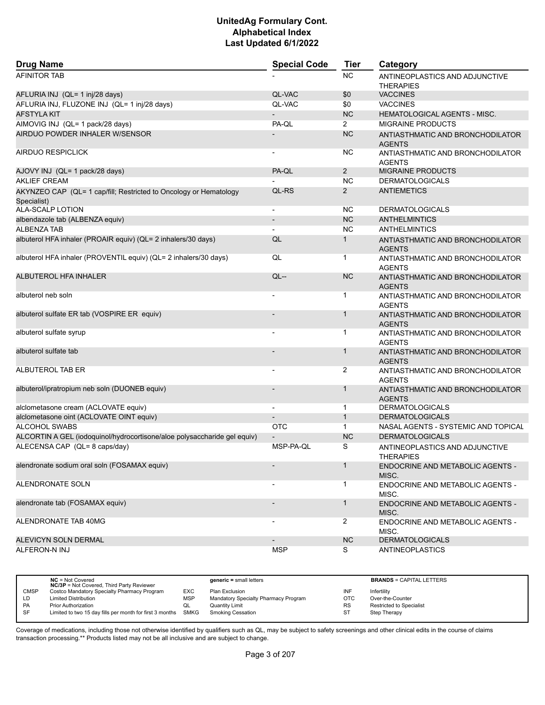| <b>Drug Name</b>                                                                 | <b>Special Code</b>      | <b>Tier</b>    | Category                                           |
|----------------------------------------------------------------------------------|--------------------------|----------------|----------------------------------------------------|
| <b>AFINITOR TAB</b>                                                              |                          | <b>NC</b>      | ANTINEOPLASTICS AND ADJUNCTIVE<br><b>THERAPIES</b> |
| AFLURIA INJ (QL= 1 inj/28 days)                                                  | QL-VAC                   | \$0            | <b>VACCINES</b>                                    |
| AFLURIA INJ, FLUZONE INJ (QL= 1 inj/28 days)                                     | QL-VAC                   | \$0            | <b>VACCINES</b>                                    |
| <b>AFSTYLA KIT</b>                                                               |                          | <b>NC</b>      | HEMATOLOGICAL AGENTS - MISC.                       |
| AIMOVIG INJ (QL= 1 pack/28 days)                                                 | PA-QL                    | $\overline{2}$ | <b>MIGRAINE PRODUCTS</b>                           |
| AIRDUO POWDER INHALER W/SENSOR                                                   |                          | <b>NC</b>      | ANTIASTHMATIC AND BRONCHODILATOR<br><b>AGENTS</b>  |
| AIRDUO RESPICLICK                                                                |                          | <b>NC</b>      | ANTIASTHMATIC AND BRONCHODILATOR<br><b>AGENTS</b>  |
| AJOVY INJ (QL= 1 pack/28 days)                                                   | PA-QL                    | $\overline{2}$ | <b>MIGRAINE PRODUCTS</b>                           |
| <b>AKLIEF CREAM</b>                                                              |                          | <b>NC</b>      | <b>DERMATOLOGICALS</b>                             |
| AKYNZEO CAP (QL= 1 cap/fill; Restricted to Oncology or Hematology<br>Specialist) | QL-RS                    | $\overline{2}$ | <b>ANTIEMETICS</b>                                 |
| ALA-SCALP LOTION                                                                 | $\overline{\phantom{a}}$ | <b>NC</b>      | <b>DERMATOLOGICALS</b>                             |
| albendazole tab (ALBENZA equiv)                                                  | $\overline{a}$           | <b>NC</b>      | <b>ANTHELMINTICS</b>                               |
| <b>ALBENZA TAB</b>                                                               |                          | <b>NC</b>      | <b>ANTHELMINTICS</b>                               |
| albuterol HFA inhaler (PROAIR equiv) (QL= 2 inhalers/30 days)                    | QL                       | $\mathbf{1}$   | ANTIASTHMATIC AND BRONCHODILATOR<br><b>AGENTS</b>  |
| albuterol HFA inhaler (PROVENTIL equiv) (QL= 2 inhalers/30 days)                 | QL                       | 1              | ANTIASTHMATIC AND BRONCHODILATOR<br><b>AGENTS</b>  |
| <b>ALBUTEROL HFA INHALER</b>                                                     | $QL -$                   | <b>NC</b>      | ANTIASTHMATIC AND BRONCHODILATOR<br><b>AGENTS</b>  |
| albuterol neb soln                                                               |                          | 1              | ANTIASTHMATIC AND BRONCHODILATOR<br><b>AGENTS</b>  |
| albuterol sulfate ER tab (VOSPIRE ER equiv)                                      |                          | $\mathbf{1}$   | ANTIASTHMATIC AND BRONCHODILATOR<br><b>AGENTS</b>  |
| albuterol sulfate syrup                                                          |                          | 1              | ANTIASTHMATIC AND BRONCHODILATOR<br><b>AGENTS</b>  |
| albuterol sulfate tab                                                            |                          | $\mathbf{1}$   | ANTIASTHMATIC AND BRONCHODILATOR<br><b>AGENTS</b>  |
| ALBUTEROL TAB ER                                                                 |                          | 2              | ANTIASTHMATIC AND BRONCHODILATOR<br><b>AGENTS</b>  |
| albuterol/ipratropium neb soln (DUONEB equiv)                                    |                          | $\mathbf{1}$   | ANTIASTHMATIC AND BRONCHODILATOR<br><b>AGENTS</b>  |
| alclometasone cream (ACLOVATE equiv)                                             |                          | 1              | <b>DERMATOLOGICALS</b>                             |
| alclometasone oint (ACLOVATE OINT equiv)                                         |                          | $\mathbf{1}$   | <b>DERMATOLOGICALS</b>                             |
| ALCOHOL SWABS                                                                    | OTC                      | $\mathbf{1}$   | NASAL AGENTS - SYSTEMIC AND TOPICAL                |
| ALCORTIN A GEL (iodoquinol/hydrocortisone/aloe polysaccharide gel equiv)         |                          | <b>NC</b>      | <b>DERMATOLOGICALS</b>                             |
| ALECENSA CAP (QL= 8 caps/day)                                                    | MSP-PA-QL                | S              | ANTINEOPLASTICS AND ADJUNCTIVE<br><b>THERAPIES</b> |
| alendronate sodium oral soln (FOSAMAX equiv)                                     |                          | $\mathbf{1}$   | ENDOCRINE AND METABOLIC AGENTS -<br>MISC.          |
| ALENDRONATE SOLN                                                                 |                          | 1              | <b>ENDOCRINE AND METABOLIC AGENTS -</b><br>MISC.   |
| alendronate tab (FOSAMAX equiv)                                                  |                          | 1              | ENDOCRINE AND METABOLIC AGENTS -<br>MISC.          |
| ALENDRONATE TAB 40MG                                                             |                          | $\overline{2}$ | ENDOCRINE AND METABOLIC AGENTS -<br>MISC.          |
| ALEVICYN SOLN DERMAL                                                             |                          | <b>NC</b>      | <b>DERMATOLOGICALS</b>                             |
| ALFERON-N INJ                                                                    | <b>MSP</b>               | S              | <b>ANTINEOPLASTICS</b>                             |

|             | $NC = Not Covered$<br><b>NC/3P</b> = Not Covered, Third Party Reviewer |            | $generic = small letters$            |           | <b>BRANDS = CAPITAL LETTERS</b> |
|-------------|------------------------------------------------------------------------|------------|--------------------------------------|-----------|---------------------------------|
| <b>CMSP</b> | Costco Mandatory Specialty Pharmacy Program                            | EXC        | Plan Exclusion                       | INF       | Infertility                     |
| LD          | <b>Limited Distribution</b>                                            | <b>MSP</b> | Mandatory Specialty Pharmacy Program | OTC       | Over-the-Counter                |
| <b>PA</b>   | Prior Authorization                                                    | QL         | Quantity Limit                       | <b>RS</b> | <b>Restricted to Specialist</b> |
| SF          | Limited to two 15 day fills per month for first 3 months SMKG          |            | <b>Smoking Cessation</b>             | ST        | Step Therapy                    |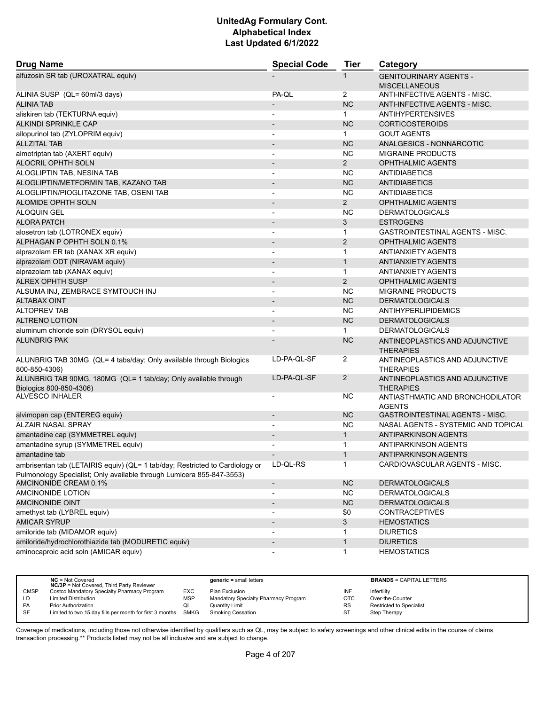| <b>Drug Name</b>                                                                               | <b>Special Code</b>                                  | <b>Tier</b>       | Category                                              |
|------------------------------------------------------------------------------------------------|------------------------------------------------------|-------------------|-------------------------------------------------------|
| alfuzosin SR tab (UROXATRAL equiv)                                                             |                                                      | 1                 | <b>GENITOURINARY AGENTS -</b><br><b>MISCELLANEOUS</b> |
| ALINIA SUSP (QL= 60ml/3 days)                                                                  | PA-QL                                                | $\overline{2}$    | ANTI-INFECTIVE AGENTS - MISC.                         |
| <b>ALINIA TAB</b>                                                                              |                                                      | <b>NC</b>         | ANTI-INFECTIVE AGENTS - MISC.                         |
| aliskiren tab (TEKTURNA equiv)                                                                 | $\overline{\phantom{a}}$                             | $\mathbf{1}$      | <b>ANTIHYPERTENSIVES</b>                              |
| ALKINDI SPRINKLE CAP                                                                           |                                                      | <b>NC</b>         | <b>CORTICOSTEROIDS</b>                                |
| allopurinol tab (ZYLOPRIM equiv)                                                               | $\overline{\phantom{a}}$                             | $\mathbf 1$       | <b>GOUT AGENTS</b>                                    |
| <b>ALLZITAL TAB</b>                                                                            | $\overline{\phantom{a}}$                             | <b>NC</b>         | ANALGESICS - NONNARCOTIC                              |
| almotriptan tab (AXERT equiv)                                                                  |                                                      | <b>NC</b>         | <b>MIGRAINE PRODUCTS</b>                              |
| <b>ALOCRIL OPHTH SOLN</b>                                                                      | $\overline{a}$                                       | $\overline{2}$    | <b>OPHTHALMIC AGENTS</b>                              |
| ALOGLIPTIN TAB, NESINA TAB                                                                     | $\overline{\phantom{a}}$                             | NC.               | <b>ANTIDIABETICS</b>                                  |
| ALOGLIPTIN/METFORMIN TAB, KAZANO TAB                                                           |                                                      | <b>NC</b>         | <b>ANTIDIABETICS</b>                                  |
| ALOGLIPTIN/PIOGLITAZONE TAB, OSENI TAB                                                         |                                                      | <b>NC</b>         | ANTIDIABETICS                                         |
| ALOMIDE OPHTH SOLN                                                                             |                                                      | $\overline{2}$    | <b>OPHTHALMIC AGENTS</b>                              |
| <b>ALOQUIN GEL</b>                                                                             | $\overline{\phantom{a}}$                             | <b>NC</b>         | <b>DERMATOLOGICALS</b>                                |
| <b>ALORA PATCH</b>                                                                             | $\overline{\phantom{a}}$                             | 3                 | <b>ESTROGENS</b>                                      |
| alosetron tab (LOTRONEX equiv)                                                                 | $\overline{\phantom{a}}$                             | 1                 | <b>GASTROINTESTINAL AGENTS - MISC.</b>                |
| ALPHAGAN P OPHTH SOLN 0.1%                                                                     | $\overline{\phantom{0}}$                             | $\overline{2}$    | <b>OPHTHALMIC AGENTS</b>                              |
| alprazolam ER tab (XANAX XR equiv)                                                             | $\overline{a}$                                       | 1                 | <b>ANTIANXIETY AGENTS</b>                             |
| alprazolam ODT (NIRAVAM equiv)                                                                 |                                                      | $\mathbf{1}$      | <b>ANTIANXIETY AGENTS</b>                             |
| alprazolam tab (XANAX equiv)                                                                   | $\overline{\phantom{a}}$                             | $\mathbf{1}$      | ANTIANXIETY AGENTS                                    |
| ALREX OPHTH SUSP                                                                               |                                                      | $\overline{2}$    | <b>OPHTHALMIC AGENTS</b>                              |
| ALSUMA INJ, ZEMBRACE SYMTOUCH INJ                                                              |                                                      | <b>NC</b>         | <b>MIGRAINE PRODUCTS</b>                              |
| <b>ALTABAX OINT</b>                                                                            | $\overline{\phantom{0}}$                             | <b>NC</b>         | <b>DERMATOLOGICALS</b>                                |
| <b>ALTOPREV TAB</b>                                                                            | $\overline{a}$                                       | <b>NC</b>         | <b>ANTIHYPERLIPIDEMICS</b>                            |
| <b>ALTRENO LOTION</b>                                                                          |                                                      | <b>NC</b>         | <b>DERMATOLOGICALS</b>                                |
| aluminum chloride soln (DRYSOL equiv)                                                          | $\blacksquare$                                       | $\mathbf{1}$      | <b>DERMATOLOGICALS</b>                                |
| <b>ALUNBRIG PAK</b>                                                                            |                                                      | <b>NC</b>         | ANTINEOPLASTICS AND ADJUNCTIVE<br><b>THERAPIES</b>    |
| ALUNBRIG TAB 30MG (QL= 4 tabs/day; Only available through Biologics                            | LD-PA-QL-SF                                          | 2                 | ANTINEOPLASTICS AND ADJUNCTIVE                        |
| 800-850-4306)                                                                                  |                                                      |                   | <b>THERAPIES</b>                                      |
| ALUNBRIG TAB 90MG, 180MG (QL= 1 tab/day; Only available through<br>Biologics 800-850-4306)     | LD-PA-QL-SF                                          | $\overline{2}$    | ANTINEOPLASTICS AND ADJUNCTIVE<br><b>THERAPIES</b>    |
| ALVESCO INHALER                                                                                |                                                      | ΝC                | ANTIASTHMATIC AND BRONCHODILATOR<br><b>AGENTS</b>     |
| alvimopan cap (ENTEREG equiv)                                                                  | $\overline{\phantom{a}}$                             | <b>NC</b>         | <b>GASTROINTESTINAL AGENTS - MISC.</b>                |
| <b>ALZAIR NASAL SPRAY</b>                                                                      |                                                      | <b>NC</b>         | NASAL AGENTS - SYSTEMIC AND TOPICAL                   |
| amantadine cap (SYMMETREL equiv)                                                               | $\overline{\phantom{0}}$                             | $\mathbf{1}$      | <b>ANTIPARKINSON AGENTS</b>                           |
| amantadine syrup (SYMMETREL equiv)                                                             | $\overline{\phantom{a}}$                             | 1                 | <b>ANTIPARKINSON AGENTS</b>                           |
| amantadine tab                                                                                 |                                                      | 1                 | <b>ANTIPARKINSON AGENTS</b>                           |
| ambrisentan tab (LETAIRIS equiv) (QL= 1 tab/day; Restricted to Cardiology or                   | LD-QL-RS                                             | $\mathbf{1}$      | CARDIOVASCULAR AGENTS - MISC.                         |
| Pulmonology Specialist; Only available through Lumicera 855-847-3553)<br>AMCINONIDE CREAM 0.1% |                                                      | <b>NC</b>         | <b>DERMATOLOGICALS</b>                                |
| AMCINONIDE LOTION                                                                              | $\overline{\phantom{a}}$<br>$\overline{\phantom{a}}$ | <b>NC</b>         | <b>DERMATOLOGICALS</b>                                |
| <b>AMCINONIDE OINT</b>                                                                         |                                                      | <b>NC</b>         | <b>DERMATOLOGICALS</b>                                |
| amethyst tab (LYBREL equiv)                                                                    | $\overline{\phantom{a}}$                             | \$0               | <b>CONTRACEPTIVES</b>                                 |
| <b>AMICAR SYRUP</b>                                                                            | $\overline{\phantom{a}}$                             | 3                 | <b>HEMOSTATICS</b>                                    |
| amiloride tab (MIDAMOR equiv)                                                                  |                                                      |                   | <b>DIURETICS</b>                                      |
| amiloride/hydrochlorothiazide tab (MODURETIC equiv)                                            |                                                      | 1<br>$\mathbf{1}$ | <b>DIURETICS</b>                                      |
| aminocaproic acid soln (AMICAR equiv)                                                          | $\overline{\phantom{m}}$                             | $\mathbf{1}$      | <b>HEMOSTATICS</b>                                    |
|                                                                                                |                                                      |                   |                                                       |

|             | $NC = Not Covered$<br><b>NC/3P</b> = Not Covered, Third Party Reviewer |            | $generic = small letters$            |            | <b>BRANDS = CAPITAL LETTERS</b> |
|-------------|------------------------------------------------------------------------|------------|--------------------------------------|------------|---------------------------------|
| <b>CMSP</b> | Costco Mandatory Specialty Pharmacy Program                            | EXC        | Plan Exclusion                       | INF        | Infertility                     |
| LD.         | <b>Limited Distribution</b>                                            | <b>MSP</b> | Mandatory Specialty Pharmacy Program | <b>OTC</b> | Over-the-Counter                |
| PA          | <b>Prior Authorization</b>                                             | QL         | Quantity Limit                       | <b>RS</b>  | <b>Restricted to Specialist</b> |
| SF          | Limited to two 15 day fills per month for first 3 months SMKG          |            | Smoking Cessation                    | ST         | Step Therapy                    |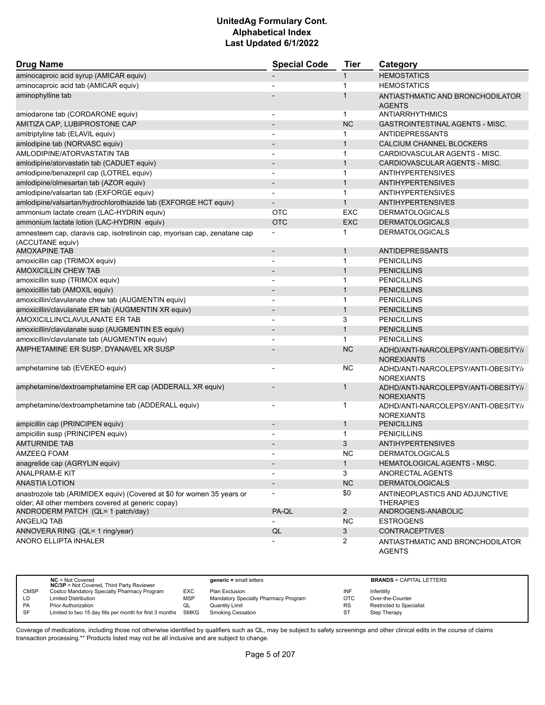| <b>Drug Name</b>                                                                                                             | <b>Special Code</b>      | <b>Tier</b>    | Category                                                 |
|------------------------------------------------------------------------------------------------------------------------------|--------------------------|----------------|----------------------------------------------------------|
| aminocaproic acid syrup (AMICAR equiv)                                                                                       |                          | $\mathbf 1$    | <b>HEMOSTATICS</b>                                       |
| aminocaproic acid tab (AMICAR equiv)                                                                                         |                          | 1              | <b>HEMOSTATICS</b>                                       |
| aminophylline tab                                                                                                            |                          | 1              | ANTIASTHMATIC AND BRONCHODILATOR                         |
|                                                                                                                              |                          |                | <b>AGENTS</b>                                            |
| amiodarone tab (CORDARONE equiv)                                                                                             | $\blacksquare$           | $\mathbf{1}$   | ANTIARRHYTHMICS                                          |
| AMITIZA CAP, LUBIPROSTONE CAP                                                                                                |                          | <b>NC</b>      | <b>GASTROINTESTINAL AGENTS - MISC.</b>                   |
| amitriptyline tab (ELAVIL equiv)                                                                                             |                          | 1              | <b>ANTIDEPRESSANTS</b>                                   |
| amlodipine tab (NORVASC equiv)                                                                                               | $\overline{a}$           | $\mathbf{1}$   | CALCIUM CHANNEL BLOCKERS                                 |
| AMLODIPINE/ATORVASTATIN TAB                                                                                                  |                          | $\mathbf{1}$   | CARDIOVASCULAR AGENTS - MISC.                            |
| amlodipine/atorvastatin tab (CADUET equiv)                                                                                   | $\overline{a}$           | $\mathbf{1}$   | CARDIOVASCULAR AGENTS - MISC.                            |
| amlodipine/benazepril cap (LOTREL equiv)                                                                                     | $\overline{\phantom{a}}$ | $\mathbf 1$    | <b>ANTIHYPERTENSIVES</b>                                 |
| amlodipine/olmesartan tab (AZOR equiv)                                                                                       | $\overline{\phantom{0}}$ | $\mathbf{1}$   | <b>ANTIHYPERTENSIVES</b>                                 |
| amlodipine/valsartan tab (EXFORGE equiv)                                                                                     |                          | $\mathbf 1$    | <b>ANTIHYPERTENSIVES</b>                                 |
| amlodipine/valsartan/hydrochlorothiazide tab (EXFORGE HCT equiv)                                                             |                          | $\mathbf{1}$   | <b>ANTIHYPERTENSIVES</b>                                 |
| ammonium lactate cream (LAC-HYDRIN equiv)                                                                                    | <b>OTC</b>               | <b>EXC</b>     | <b>DERMATOLOGICALS</b>                                   |
| ammonium lactate lotion (LAC-HYDRIN equiv)                                                                                   | <b>OTC</b>               | <b>EXC</b>     | <b>DERMATOLOGICALS</b>                                   |
| amnesteem cap, claravis cap, isotretinoin cap, myorisan cap, zenatane cap<br>(ACCUTANE equiv)                                |                          | 1              | <b>DERMATOLOGICALS</b>                                   |
| AMOXAPINE TAB                                                                                                                | $\overline{a}$           | $\mathbf 1$    | ANTIDEPRESSANTS                                          |
| amoxicillin cap (TRIMOX equiv)                                                                                               | $\overline{\phantom{a}}$ | $\mathbf 1$    | <b>PENICILLINS</b>                                       |
| <b>AMOXICILLIN CHEW TAB</b>                                                                                                  | $\overline{\phantom{a}}$ | $\mathbf{1}$   | <b>PENICILLINS</b>                                       |
| amoxicillin susp (TRIMOX equiv)                                                                                              |                          | 1              | <b>PENICILLINS</b>                                       |
| amoxicillin tab (AMOXIL equiv)                                                                                               |                          | $\mathbf{1}$   | <b>PENICILLINS</b>                                       |
| amoxicillin/clavulanate chew tab (AUGMENTIN equiv)                                                                           | $\overline{a}$           | 1              | <b>PENICILLINS</b>                                       |
| amoxicillin/clavulanate ER tab (AUGMENTIN XR equiv)                                                                          |                          | $\mathbf{1}$   | <b>PENICILLINS</b>                                       |
| AMOXICILLIN/CLAVULANATE ER TAB                                                                                               | $\overline{\phantom{a}}$ | 3              | <b>PENICILLINS</b>                                       |
| amoxicillin/clavulanate susp (AUGMENTIN ES equiv)                                                                            |                          | $\mathbf{1}$   | <b>PENICILLINS</b>                                       |
| amoxicillin/clavulanate tab (AUGMENTIN equiv)                                                                                |                          | 1              | <b>PENICILLINS</b>                                       |
| AMPHETAMINE ER SUSP, DYANAVEL XR SUSP                                                                                        |                          | <b>NC</b>      | ADHD/ANTI-NARCOLEPSY/ANTI-OBESITY//<br><b>NOREXIANTS</b> |
| amphetamine tab (EVEKEO equiv)                                                                                               | $\blacksquare$           | NC.            | ADHD/ANTI-NARCOLEPSY/ANTI-OBESITY//<br><b>NOREXIANTS</b> |
| amphetamine/dextroamphetamine ER cap (ADDERALL XR equiv)                                                                     |                          | 1              | ADHD/ANTI-NARCOLEPSY/ANTI-OBESITY//<br><b>NOREXIANTS</b> |
| amphetamine/dextroamphetamine tab (ADDERALL equiv)                                                                           | $\overline{\phantom{a}}$ | 1              | ADHD/ANTI-NARCOLEPSY/ANTI-OBESITY//<br><b>NOREXIANTS</b> |
| ampicillin cap (PRINCIPEN equiv)                                                                                             | $\overline{a}$           | $\mathbf 1$    | <b>PENICILLINS</b>                                       |
| ampicillin susp (PRINCIPEN equiv)                                                                                            | $\overline{a}$           | $\mathbf{1}$   | <b>PENICILLINS</b>                                       |
| <b>AMTURNIDE TAB</b>                                                                                                         |                          | 3              | <b>ANTIHYPERTENSIVES</b>                                 |
| AMZEEQ FOAM                                                                                                                  | $\overline{a}$           | ΝC             | <b>DERMATOLOGICALS</b>                                   |
| anagrelide cap (AGRYLIN equiv)                                                                                               |                          | $\mathbf{1}$   | HEMATOLOGICAL AGENTS - MISC.                             |
| <b>ANALPRAM-E KIT</b>                                                                                                        |                          | 3              | ANORECTAL AGENTS                                         |
| <b>ANASTIA LOTION</b>                                                                                                        |                          | <b>NC</b>      | <b>DERMATOLOGICALS</b>                                   |
| anastrozole tab (ARIMIDEX equiv) (Covered at \$0 for women 35 years or<br>older: All other members covered at generic copay) |                          | \$0            | ANTINEOPLASTICS AND ADJUNCTIVE<br><b>THERAPIES</b>       |
| ANDRODERM PATCH (QL= 1 patch/day)                                                                                            | PA-QL                    | $\overline{2}$ | ANDROGENS-ANABOLIC                                       |
| ANGELIQ TAB                                                                                                                  |                          | <b>NC</b>      | <b>ESTROGENS</b>                                         |
| ANNOVERA RING (QL= 1 ring/year)                                                                                              | QL                       | $\mathbf{3}$   | <b>CONTRACEPTIVES</b>                                    |
| ANORO ELLIPTA INHALER                                                                                                        |                          | $\overline{2}$ | ANTIASTHMATIC AND BRONCHODILATOR<br><b>AGENTS</b>        |

|             | $NC = Not Covered$<br><b>NC/3P</b> = Not Covered, Third Party Reviewer |            | $generic = small letters$            |           | <b>BRANDS = CAPITAL LETTERS</b> |
|-------------|------------------------------------------------------------------------|------------|--------------------------------------|-----------|---------------------------------|
| <b>CMSP</b> | Costco Mandatory Specialty Pharmacy Program                            | EXC        | Plan Exclusion                       | INF       | Infertility                     |
| LD          | <b>Limited Distribution</b>                                            | <b>MSP</b> | Mandatory Specialty Pharmacy Program | OTC       | Over-the-Counter                |
| <b>PA</b>   | Prior Authorization                                                    | QL         | Quantity Limit                       | <b>RS</b> | <b>Restricted to Specialist</b> |
| SF          | Limited to two 15 day fills per month for first 3 months               | SMKG       | <b>Smoking Cessation</b>             | S1        | Step Therapy                    |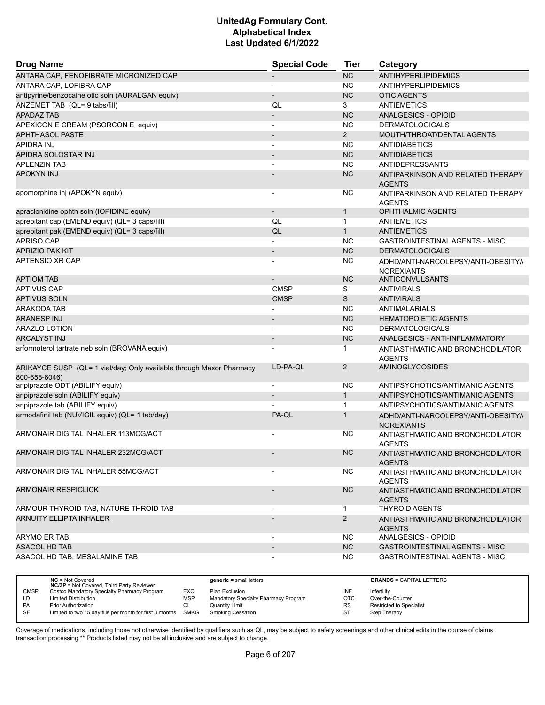| <b>Drug Name</b>                                                                      | <b>Special Code</b>      | Tier           | Category                                                 |
|---------------------------------------------------------------------------------------|--------------------------|----------------|----------------------------------------------------------|
| ANTARA CAP, FENOFIBRATE MICRONIZED CAP                                                |                          | <b>NC</b>      | <b>ANTIHYPERLIPIDEMICS</b>                               |
| ANTARA CAP, LOFIBRA CAP                                                               | $\overline{a}$           | <b>NC</b>      | <b>ANTIHYPERLIPIDEMICS</b>                               |
| antipyrine/benzocaine otic soln (AURALGAN equiv)                                      |                          | <b>NC</b>      | <b>OTIC AGENTS</b>                                       |
| ANZEMET TAB (QL= 9 tabs/fill)                                                         | QL                       | 3              | ANTIEMETICS                                              |
| <b>APADAZ TAB</b>                                                                     | $\overline{\phantom{0}}$ | <b>NC</b>      | ANALGESICS - OPIOID                                      |
| APEXICON E CREAM (PSORCON E equiv)                                                    | $\overline{a}$           | <b>NC</b>      | <b>DERMATOLOGICALS</b>                                   |
| <b>APHTHASOL PASTE</b>                                                                | $\overline{\phantom{m}}$ | $\overline{2}$ | MOUTH/THROAT/DENTAL AGENTS                               |
| APIDRA INJ                                                                            | $\overline{a}$           | <b>NC</b>      | <b>ANTIDIABETICS</b>                                     |
| APIDRA SOLOSTAR INJ                                                                   |                          | <b>NC</b>      | <b>ANTIDIABETICS</b>                                     |
| <b>APLENZIN TAB</b>                                                                   |                          | <b>NC</b>      | <b>ANTIDEPRESSANTS</b>                                   |
| <b>APOKYN INJ</b>                                                                     |                          | <b>NC</b>      | ANTIPARKINSON AND RELATED THERAPY                        |
|                                                                                       |                          |                | <b>AGENTS</b>                                            |
| apomorphine inj (APOKYN equiv)                                                        | -                        | <b>NC</b>      | ANTIPARKINSON AND RELATED THERAPY<br><b>AGENTS</b>       |
| apraclonidine ophth soln (IOPIDINE equiv)                                             | $\overline{\phantom{a}}$ | $\mathbf{1}$   | <b>OPHTHALMIC AGENTS</b>                                 |
| aprepitant cap (EMEND equiv) (QL= 3 caps/fill)                                        | QL                       | $\mathbf{1}$   | ANTIEMETICS                                              |
| aprepitant pak (EMEND equiv) (QL= 3 caps/fill)                                        | QL                       | $\mathbf{1}$   | ANTIEMETICS                                              |
| <b>APRISO CAP</b>                                                                     | $\overline{\phantom{0}}$ | <b>NC</b>      | <b>GASTROINTESTINAL AGENTS - MISC.</b>                   |
| <b>APRIZIO PAK KIT</b>                                                                | $\overline{\phantom{a}}$ | <b>NC</b>      | <b>DERMATOLOGICALS</b>                                   |
| APTENSIO XR CAP                                                                       | -                        | <b>NC</b>      | ADHD/ANTI-NARCOLEPSY/ANTI-OBESITY//                      |
|                                                                                       |                          |                | <b>NOREXIANTS</b>                                        |
| <b>APTIOM TAB</b>                                                                     |                          | <b>NC</b>      | ANTICONVULSANTS                                          |
| <b>APTIVUS CAP</b>                                                                    | <b>CMSP</b>              | S              | <b>ANTIVIRALS</b>                                        |
| <b>APTIVUS SOLN</b>                                                                   | <b>CMSP</b>              | S              | <b>ANTIVIRALS</b>                                        |
| ARAKODA TAB                                                                           |                          | <b>NC</b>      | <b>ANTIMALARIALS</b>                                     |
| ARANESP INJ                                                                           | $\overline{\phantom{a}}$ | <b>NC</b>      | <b>HEMATOPOIETIC AGENTS</b>                              |
| ARAZLO LOTION                                                                         |                          | <b>NC</b>      | <b>DERMATOLOGICALS</b>                                   |
| <b>ARCALYST INJ</b>                                                                   | $\overline{a}$           | <b>NC</b>      | ANALGESICS - ANTI-INFLAMMATORY                           |
| arformoterol tartrate neb soln (BROVANA equiv)                                        |                          | 1              | ANTIASTHMATIC AND BRONCHODILATOR<br><b>AGENTS</b>        |
| ARIKAYCE SUSP (QL= 1 vial/day; Only available through Maxor Pharmacy<br>800-658-6046) | LD-PA-QL                 | $\overline{2}$ | <b>AMINOGLYCOSIDES</b>                                   |
| aripiprazole ODT (ABILIFY equiv)                                                      | $\overline{\phantom{a}}$ | <b>NC</b>      | ANTIPSYCHOTICS/ANTIMANIC AGENTS                          |
| aripiprazole soln (ABILIFY equiv)                                                     |                          | $\mathbf{1}$   | ANTIPSYCHOTICS/ANTIMANIC AGENTS                          |
| aripiprazole tab (ABILIFY equiv)                                                      |                          | $\mathbf{1}$   | ANTIPSYCHOTICS/ANTIMANIC AGENTS                          |
| armodafinil tab (NUVIGIL equiv) (QL= 1 tab/day)                                       | PA-QL                    | $\mathbf{1}$   | ADHD/ANTI-NARCOLEPSY/ANTI-OBESITY//<br><b>NOREXIANTS</b> |
| ARMONAIR DIGITAL INHALER 113MCG/ACT                                                   |                          | NС             | ANTIASTHMATIC AND BRONCHODILATOR<br><b>AGENTS</b>        |
| ARMONAIR DIGITAL INHALER 232MCG/ACT                                                   | $\overline{\phantom{a}}$ | <b>NC</b>      | ANTIASTHMATIC AND BRONCHODILATOR<br><b>AGENTS</b>        |
| ARMONAIR DIGITAL INHALER 55MCG/ACT                                                    |                          | NС             | ANTIASTHMATIC AND BRONCHODILATOR<br><b>AGENTS</b>        |
| <b>ARMONAIR RESPICLICK</b>                                                            |                          | <b>NC</b>      | ANTIASTHMATIC AND BRONCHODILATOR<br><b>AGENTS</b>        |
| ARMOUR THYROID TAB, NATURE THROID TAB                                                 |                          | $\mathbf{1}$   | <b>THYROID AGENTS</b>                                    |
| <b>ARNUITY ELLIPTA INHALER</b>                                                        |                          | $\overline{2}$ | ANTIASTHMATIC AND BRONCHODILATOR                         |
|                                                                                       |                          |                | <b>AGENTS</b>                                            |
| ARYMO ER TAB                                                                          |                          | NC.            | ANALGESICS - OPIOID                                      |
| <b>ASACOL HD TAB</b>                                                                  |                          | NC             | GASTROINTESTINAL AGENTS - MISC.                          |
| ASACOL HD TAB. MESALAMINE TAB                                                         |                          | NC.            | GASTROINTESTINAL AGENTS - MISC.                          |

|             | $NC = Not Covered$<br><b>NC/3P</b> = Not Covered, Third Party Reviewer |            | $generic = small letters$            |           | <b>BRANDS = CAPITAL LETTERS</b> |
|-------------|------------------------------------------------------------------------|------------|--------------------------------------|-----------|---------------------------------|
| <b>CMSP</b> | Costco Mandatory Specialty Pharmacy Program                            | EXC        | Plan Exclusion                       | INF       | Infertility                     |
| LD          | <b>Limited Distribution</b>                                            | <b>MSP</b> | Mandatory Specialty Pharmacy Program | отс       | Over-the-Counter                |
| PA          | <b>Prior Authorization</b>                                             | QL         | <b>Quantity Limit</b>                | RS        | <b>Restricted to Specialist</b> |
| <b>SF</b>   | Limited to two 15 day fills per month for first 3 months SMKG          |            | Smoking Cessation                    | <b>ST</b> | Step Therapy                    |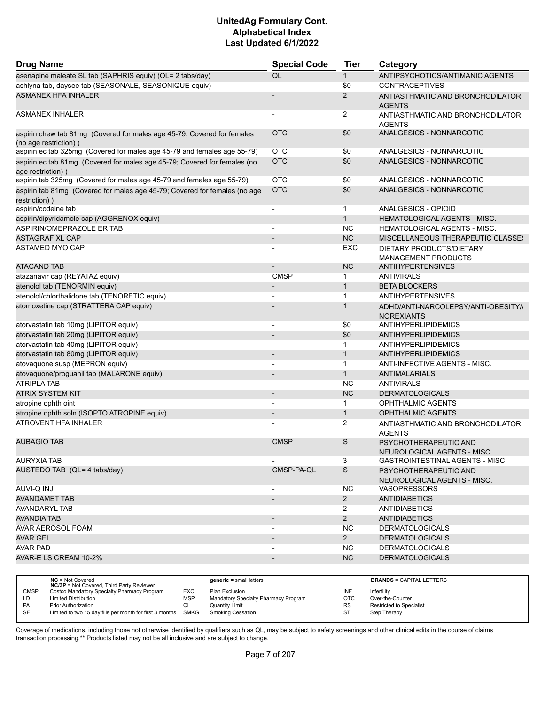| <b>Drug Name</b>                                                                                 | <b>Special Code</b>          | <b>Tier</b>    | Category                                                 |
|--------------------------------------------------------------------------------------------------|------------------------------|----------------|----------------------------------------------------------|
| asenapine maleate SL tab (SAPHRIS equiv) (QL= 2 tabs/day)                                        | QL                           | $\mathbf{1}$   | ANTIPSYCHOTICS/ANTIMANIC AGENTS                          |
| ashlyna tab, daysee tab (SEASONALE, SEASONIQUE equiv)                                            |                              | \$0            | <b>CONTRACEPTIVES</b>                                    |
| <b>ASMANEX HFA INHALER</b>                                                                       |                              | 2              | ANTIASTHMATIC AND BRONCHODILATOR<br><b>AGENTS</b>        |
| <b>ASMANEX INHALER</b>                                                                           |                              | 2              | ANTIASTHMATIC AND BRONCHODILATOR<br><b>AGENTS</b>        |
| aspirin chew tab 81mg (Covered for males age 45-79; Covered for females<br>(no age restriction)) | <b>OTC</b>                   | \$0            | ANALGESICS - NONNARCOTIC                                 |
| aspirin ec tab 325mg (Covered for males age 45-79 and females age 55-79)                         | <b>OTC</b>                   | \$0            | ANALGESICS - NONNARCOTIC                                 |
| aspirin ec tab 81mg (Covered for males age 45-79; Covered for females (no<br>age restriction))   | <b>OTC</b>                   | \$0            | ANALGESICS - NONNARCOTIC                                 |
| aspirin tab 325mg (Covered for males age 45-79 and females age 55-79)                            | <b>OTC</b>                   | \$0            | ANALGESICS - NONNARCOTIC                                 |
| aspirin tab 81mg (Covered for males age 45-79; Covered for females (no age<br>restriction))      | <b>OTC</b>                   | \$0            | ANALGESICS - NONNARCOTIC                                 |
| aspirin/codeine tab                                                                              | $\overline{a}$               | $\mathbf 1$    | ANALGESICS - OPIOID                                      |
| aspirin/dipyridamole cap (AGGRENOX equiv)                                                        |                              | $\mathbf{1}$   | <b>HEMATOLOGICAL AGENTS - MISC.</b>                      |
| ASPIRIN/OMEPRAZOLE ER TAB                                                                        |                              | <b>NC</b>      | <b>HEMATOLOGICAL AGENTS - MISC.</b>                      |
| <b>ASTAGRAF XL CAP</b>                                                                           | $\qquad \qquad \blacksquare$ | NC             | <b>MISCELLANEOUS THERAPEUTIC CLASSES</b>                 |
| <b>ASTAMED MYO CAP</b>                                                                           |                              | EXC            | DIETARY PRODUCTS/DIETARY<br><b>MANAGEMENT PRODUCTS</b>   |
| <b>ATACAND TAB</b>                                                                               |                              | <b>NC</b>      | <b>ANTIHYPERTENSIVES</b>                                 |
| atazanavir cap (REYATAZ equiv)                                                                   | <b>CMSP</b>                  | 1              | <b>ANTIVIRALS</b>                                        |
| atenolol tab (TENORMIN equiv)                                                                    |                              | $\mathbf{1}$   | <b>BETA BLOCKERS</b>                                     |
| atenolol/chlorthalidone tab (TENORETIC equiv)                                                    |                              | $\mathbf{1}$   | <b>ANTIHYPERTENSIVES</b>                                 |
| atomoxetine cap (STRATTERA CAP equiv)                                                            |                              | 1              | ADHD/ANTI-NARCOLEPSY/ANTI-OBESITY//<br><b>NOREXIANTS</b> |
| atorvastatin tab 10mg (LIPITOR equiv)                                                            | $\overline{a}$               | \$0            | ANTIHYPERLIPIDEMICS                                      |
| atorvastatin tab 20mg (LIPITOR equiv)                                                            | $\qquad \qquad \blacksquare$ | \$0            | <b>ANTIHYPERLIPIDEMICS</b>                               |
| atorvastatin tab 40mg (LIPITOR equiv)                                                            |                              | $\mathbf 1$    | <b>ANTIHYPERLIPIDEMICS</b>                               |
| atorvastatin tab 80mg (LIPITOR equiv)                                                            | $\qquad \qquad \blacksquare$ | $\mathbf{1}$   | <b>ANTIHYPERLIPIDEMICS</b>                               |
| atovaquone susp (MEPRON equiv)                                                                   |                              | $\mathbf{1}$   | ANTI-INFECTIVE AGENTS - MISC.                            |
| atovaquone/proguanil tab (MALARONE equiv)                                                        |                              | $\mathbf{1}$   | <b>ANTIMALARIALS</b>                                     |
| <b>ATRIPLA TAB</b>                                                                               |                              | <b>NC</b>      | <b>ANTIVIRALS</b>                                        |
| ATRIX SYSTEM KIT                                                                                 |                              | <b>NC</b>      | <b>DERMATOLOGICALS</b>                                   |
| atropine ophth oint                                                                              | $\overline{a}$               | 1              | OPHTHALMIC AGENTS                                        |
| atropine ophth soln (ISOPTO ATROPINE equiv)                                                      |                              | $\mathbf{1}$   | <b>OPHTHALMIC AGENTS</b>                                 |
| <b>ATROVENT HFA INHALER</b>                                                                      |                              | 2              | ANTIASTHMATIC AND BRONCHODILATOR<br><b>AGENTS</b>        |
| <b>AUBAGIO TAB</b>                                                                               | <b>CMSP</b>                  | S              | PSYCHOTHERAPEUTIC AND<br>NEUROLOGICAL AGENTS - MISC.     |
| AURYXIA TAB                                                                                      |                              | 3              | GASTROINTESTINAL AGENTS - MISC.                          |
| AUSTEDO TAB (QL= 4 tabs/day)                                                                     | CMSP-PA-QL                   | $\mathbb S$    | PSYCHOTHERAPEUTIC AND<br>NEUROLOGICAL AGENTS - MISC.     |
| AUVI-Q INJ                                                                                       |                              | <b>NC</b>      | <b>VASOPRESSORS</b>                                      |
| <b>AVANDAMET TAB</b>                                                                             |                              | $2^{\circ}$    | <b>ANTIDIABETICS</b>                                     |
| AVANDARYL TAB                                                                                    |                              | $\overline{2}$ | <b>ANTIDIABETICS</b>                                     |
| AVANDIA TAB                                                                                      | $\overline{\phantom{a}}$     | $\overline{2}$ | <b>ANTIDIABETICS</b>                                     |
| AVAR AEROSOL FOAM                                                                                |                              | NC             | <b>DERMATOLOGICALS</b>                                   |
| <b>AVAR GEL</b>                                                                                  |                              | $\overline{2}$ | <b>DERMATOLOGICALS</b>                                   |
| <b>AVAR PAD</b>                                                                                  | $\overline{\phantom{0}}$     | NC.            | <b>DERMATOLOGICALS</b>                                   |
| AVAR-E LS CREAM 10-2%                                                                            | $\overline{\phantom{a}}$     | <b>NC</b>      | <b>DERMATOLOGICALS</b>                                   |
|                                                                                                  |                              |                |                                                          |

|             | $NC = Not Covered$<br><b>NC/3P</b> = Not Covered, Third Party Reviewer |            | $generic = small letters$            |     | <b>BRANDS = CAPITAL LETTERS</b> |
|-------------|------------------------------------------------------------------------|------------|--------------------------------------|-----|---------------------------------|
| <b>CMSP</b> | Costco Mandatory Specialty Pharmacy Program                            | <b>EXC</b> | Plan Exclusion                       | INF | Infertility                     |
| LD          | <b>Limited Distribution</b>                                            | <b>MSP</b> | Mandatory Specialty Pharmacy Program | OTC | Over-the-Counter                |
| PA          | <b>Prior Authorization</b>                                             | QL         | <b>Quantity Limit</b>                | RS  | <b>Restricted to Specialist</b> |
| <b>SF</b>   | Limited to two 15 day fills per month for first 3 months SMKG          |            | Smoking Cessation                    | ST  | Step Therapy                    |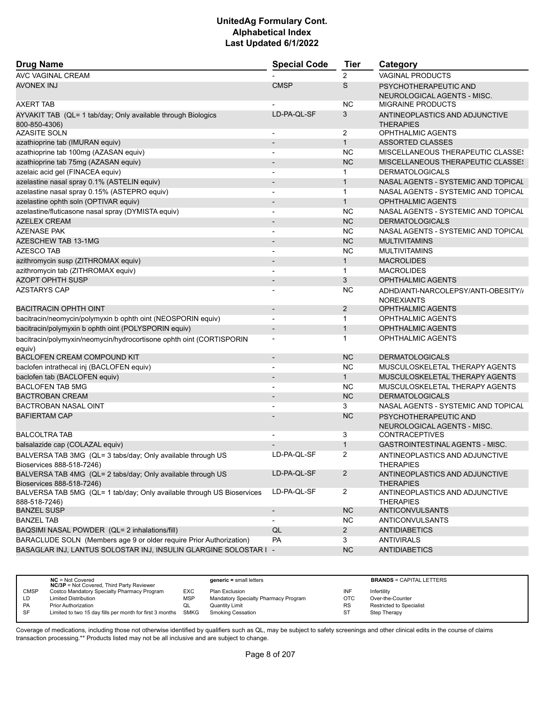| <b>Drug Name</b>                                                                         | <b>Special Code</b>      | <b>Tier</b>    | Category                                                 |
|------------------------------------------------------------------------------------------|--------------------------|----------------|----------------------------------------------------------|
| AVC VAGINAL CREAM                                                                        |                          | 2              | <b>VAGINAL PRODUCTS</b>                                  |
| AVONEX INJ                                                                               | <b>CMSP</b>              | S              | PSYCHOTHERAPEUTIC AND<br>NEUROLOGICAL AGENTS - MISC.     |
| AXERT TAB                                                                                |                          | <b>NC</b>      | <b>MIGRAINE PRODUCTS</b>                                 |
| AYVAKIT TAB (QL= 1 tab/day; Only available through Biologics<br>800-850-4306)            | LD-PA-QL-SF              | 3              | ANTINEOPLASTICS AND ADJUNCTIVE<br><b>THERAPIES</b>       |
| <b>AZASITE SOLN</b>                                                                      |                          | 2              | <b>OPHTHALMIC AGENTS</b>                                 |
| azathioprine tab (IMURAN equiv)                                                          | $\overline{\phantom{a}}$ | $\mathbf{1}$   | <b>ASSORTED CLASSES</b>                                  |
| azathioprine tab 100mg (AZASAN equiv)                                                    |                          | <b>NC</b>      | <b>MISCELLANEOUS THERAPEUTIC CLASSES</b>                 |
| azathioprine tab 75mg (AZASAN equiv)                                                     |                          | <b>NC</b>      | MISCELLANEOUS THERAPEUTIC CLASSES                        |
| azelaic acid gel (FINACEA equiv)                                                         | $\overline{\phantom{a}}$ | $\mathbf{1}$   | <b>DERMATOLOGICALS</b>                                   |
| azelastine nasal spray 0.1% (ASTELIN equiv)                                              |                          | $\mathbf{1}$   | NASAL AGENTS - SYSTEMIC AND TOPICAL                      |
| azelastine nasal spray 0.15% (ASTEPRO equiv)                                             |                          | $\mathbf{1}$   | NASAL AGENTS - SYSTEMIC AND TOPICAL                      |
| azelastine ophth soln (OPTIVAR equiv)                                                    |                          | $\mathbf{1}$   | <b>OPHTHALMIC AGENTS</b>                                 |
| azelastine/fluticasone nasal spray (DYMISTA equiv)                                       |                          | <b>NC</b>      | NASAL AGENTS - SYSTEMIC AND TOPICAL                      |
| <b>AZELEX CREAM</b>                                                                      |                          | <b>NC</b>      | <b>DERMATOLOGICALS</b>                                   |
| <b>AZENASE PAK</b>                                                                       |                          | <b>NC</b>      | NASAL AGENTS - SYSTEMIC AND TOPICAL                      |
| <b>AZESCHEW TAB 13-1MG</b>                                                               |                          | <b>NC</b>      | <b>MULTIVITAMINS</b>                                     |
| <b>AZESCO TAB</b>                                                                        |                          | <b>NC</b>      | <b>MULTIVITAMINS</b>                                     |
| azithromycin susp (ZITHROMAX equiv)                                                      |                          | $\mathbf{1}$   | <b>MACROLIDES</b>                                        |
| azithromycin tab (ZITHROMAX equiv)                                                       | $\blacksquare$           | $\mathbf 1$    | <b>MACROLIDES</b>                                        |
| <b>AZOPT OPHTH SUSP</b>                                                                  |                          | 3              | <b>OPHTHALMIC AGENTS</b>                                 |
| AZSTARYS CAP                                                                             |                          | <b>NC</b>      | ADHD/ANTI-NARCOLEPSY/ANTI-OBESITY//<br><b>NOREXIANTS</b> |
| <b>BACITRACIN OPHTH OINT</b>                                                             |                          | 2              | <b>OPHTHALMIC AGENTS</b>                                 |
| bacitracin/neomycin/polymyxin b ophth oint (NEOSPORIN equiv)                             | $\blacksquare$           | $\mathbf{1}$   | <b>OPHTHALMIC AGENTS</b>                                 |
| bacitracin/polymyxin b ophth oint (POLYSPORIN equiv)                                     | $\overline{\phantom{a}}$ | $\mathbf{1}$   | <b>OPHTHALMIC AGENTS</b>                                 |
| bacitracin/polymyxin/neomycin/hydrocortisone ophth oint (CORTISPORIN<br>equiv)           |                          | 1              | <b>OPHTHALMIC AGENTS</b>                                 |
| <b>BACLOFEN CREAM COMPOUND KIT</b>                                                       | $\overline{\phantom{a}}$ | <b>NC</b>      | <b>DERMATOLOGICALS</b>                                   |
| baclofen intrathecal inj (BACLOFEN equiv)                                                | $\blacksquare$           | <b>NC</b>      | MUSCULOSKELETAL THERAPY AGENTS                           |
| baclofen tab (BACLOFEN equiv)                                                            | $\overline{\phantom{a}}$ | $\mathbf{1}$   | MUSCULOSKELETAL THERAPY AGENTS                           |
| <b>BACLOFEN TAB 5MG</b>                                                                  |                          | <b>NC</b>      | MUSCULOSKELETAL THERAPY AGENTS                           |
| <b>BACTROBAN CREAM</b>                                                                   |                          | <b>NC</b>      | <b>DERMATOLOGICALS</b>                                   |
| <b>BACTROBAN NASAL OINT</b>                                                              |                          | 3              | NASAL AGENTS - SYSTEMIC AND TOPICAL                      |
| <b>BAFIERTAM CAP</b>                                                                     |                          | <b>NC</b>      | PSYCHOTHERAPEUTIC AND<br>NEUROLOGICAL AGENTS - MISC.     |
| <b>BALCOLTRA TAB</b>                                                                     |                          | 3              | <b>CONTRACEPTIVES</b>                                    |
| balsalazide cap (COLAZAL equiv)                                                          |                          | $\mathbf{1}$   | <b>GASTROINTESTINAL AGENTS - MISC.</b>                   |
| BALVERSA TAB 3MG (QL= 3 tabs/day; Only available through US<br>Bioservices 888-518-7246) | LD-PA-QL-SF              | 2              | ANTINEOPLASTICS AND ADJUNCTIVE<br><b>THERAPIES</b>       |
| BALVERSA TAB 4MG (QL= 2 tabs/day; Only available through US<br>Bioservices 888-518-7246) | LD-PA-QL-SF              | $\overline{2}$ | ANTINEOPLASTICS AND ADJUNCTIVE<br><b>THERAPIES</b>       |
| BALVERSA TAB 5MG (QL= 1 tab/day; Only available through US Bioservices<br>888-518-7246)  | LD-PA-QL-SF              | $\overline{2}$ | ANTINEOPLASTICS AND ADJUNCTIVE<br><b>THERAPIES</b>       |
| <b>BANZEL SUSP</b>                                                                       | $\overline{\phantom{a}}$ | <b>NC</b>      | ANTICONVULSANTS                                          |
| <b>BANZEL TAB</b>                                                                        |                          | <b>NC</b>      | ANTICONVULSANTS                                          |
| BAQSIMI NASAL POWDER (QL= 2 inhalations/fill)                                            | QL                       | $2^{\circ}$    | <b>ANTIDIABETICS</b>                                     |
| BARACLUDE SOLN (Members age 9 or older require Prior Authorization)                      | <b>PA</b>                | 3              | <b>ANTIVIRALS</b>                                        |
| BASAGLAR INJ, LANTUS SOLOSTAR INJ, INSULIN GLARGINE SOLOSTAR I -                         |                          | NC             | <b>ANTIDIABETICS</b>                                     |

|             | $NC = Not Covered$<br><b>NC/3P</b> = Not Covered, Third Party Reviewer |            | $generic = small letters$            |            | <b>BRANDS = CAPITAL LETTERS</b> |
|-------------|------------------------------------------------------------------------|------------|--------------------------------------|------------|---------------------------------|
| <b>CMSP</b> | Costco Mandatory Specialty Pharmacy Program                            | EXC        | Plan Exclusion                       | INF        | Infertility                     |
| LD          | <b>Limited Distribution</b>                                            | <b>MSP</b> | Mandatory Specialty Pharmacy Program | <b>OTC</b> | Over-the-Counter                |
| PA          | <b>Prior Authorization</b>                                             | QL         | <b>Quantity Limit</b>                | <b>RS</b>  | Restricted to Specialist        |
| SF          | Limited to two 15 day fills per month for first 3 months SMKG          |            | <b>Smoking Cessation</b>             | ST         | Step Therapy                    |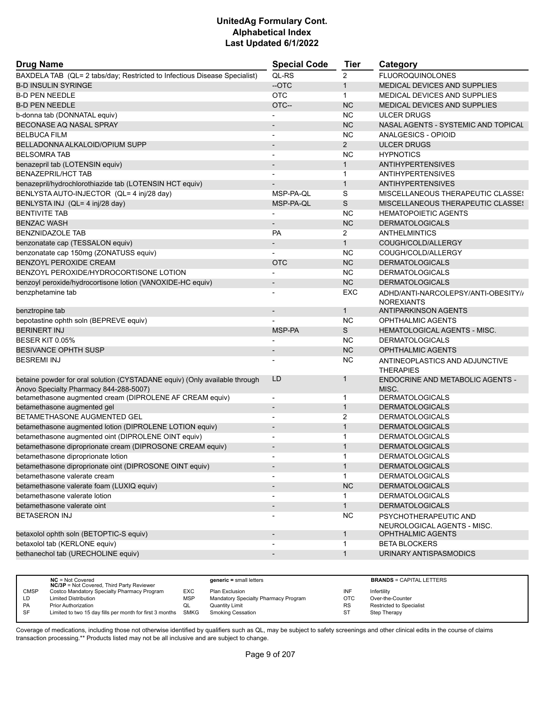| <b>Drug Name</b>                                                           | <b>Special Code</b>          | Tier           | Category                                 |
|----------------------------------------------------------------------------|------------------------------|----------------|------------------------------------------|
| BAXDELA TAB (QL= 2 tabs/day; Restricted to Infectious Disease Specialist)  | QL-RS                        | $\overline{2}$ | <b>FLUOROQUINOLONES</b>                  |
| <b>B-D INSULIN SYRINGE</b>                                                 | --OTC                        | $\mathbf{1}$   | <b>MEDICAL DEVICES AND SUPPLIES</b>      |
| <b>B-D PEN NEEDLE</b>                                                      | <b>OTC</b>                   | $\mathbf{1}$   | <b>MEDICAL DEVICES AND SUPPLIES</b>      |
| <b>B-D PEN NEEDLE</b>                                                      | OTC--                        | <b>NC</b>      | <b>MEDICAL DEVICES AND SUPPLIES</b>      |
| b-donna tab (DONNATAL equiv)                                               |                              | <b>NC</b>      | <b>ULCER DRUGS</b>                       |
| BECONASE AQ NASAL SPRAY                                                    |                              | <b>NC</b>      | NASAL AGENTS - SYSTEMIC AND TOPICAL      |
| <b>BELBUCA FILM</b>                                                        |                              | <b>NC</b>      | ANALGESICS - OPIOID                      |
| BELLADONNA ALKALOID/OPIUM SUPP                                             | $\qquad \qquad \blacksquare$ | $\overline{2}$ | <b>ULCER DRUGS</b>                       |
| <b>BELSOMRA TAB</b>                                                        | $\overline{a}$               | <b>NC</b>      | <b>HYPNOTICS</b>                         |
| benazepril tab (LOTENSIN equiv)                                            | $\overline{\phantom{a}}$     | $\mathbf{1}$   | <b>ANTIHYPERTENSIVES</b>                 |
| <b>BENAZEPRIL/HCT TAB</b>                                                  |                              | $\mathbf{1}$   | <b>ANTIHYPERTENSIVES</b>                 |
| benazepril/hydrochlorothiazide tab (LOTENSIN HCT equiv)                    |                              | $\mathbf{1}$   | <b>ANTIHYPERTENSIVES</b>                 |
| BENLYSTA AUTO-INJECTOR (QL= 4 inj/28 day)                                  | MSP-PA-QL                    | S              | <b>MISCELLANEOUS THERAPEUTIC CLASSES</b> |
| BENLYSTA INJ (QL= 4 inj/28 day)                                            | MSP-PA-QL                    | S              | MISCELLANEOUS THERAPEUTIC CLASSES        |
| <b>BENTIVITE TAB</b>                                                       |                              | <b>NC</b>      | <b>HEMATOPOIETIC AGENTS</b>              |
| <b>BENZAC WASH</b>                                                         |                              | <b>NC</b>      | <b>DERMATOLOGICALS</b>                   |
| <b>BENZNIDAZOLE TAB</b>                                                    | <b>PA</b>                    | $\overline{2}$ | ANTHELMINTICS                            |
| benzonatate cap (TESSALON equiv)                                           |                              | $\mathbf{1}$   | COUGH/COLD/ALLERGY                       |
| benzonatate cap 150mg (ZONATUSS equiv)                                     |                              | <b>NC</b>      | COUGH/COLD/ALLERGY                       |
| BENZOYL PEROXIDE CREAM                                                     | <b>OTC</b>                   | <b>NC</b>      | <b>DERMATOLOGICALS</b>                   |
| BENZOYL PEROXIDE/HYDROCORTISONE LOTION                                     |                              | <b>NC</b>      | <b>DERMATOLOGICALS</b>                   |
| benzoyl peroxide/hydrocortisone lotion (VANOXIDE-HC equiv)                 | $\overline{\phantom{m}}$     | <b>NC</b>      | <b>DERMATOLOGICALS</b>                   |
| benzphetamine tab                                                          | $\overline{\phantom{a}}$     | EXC            | ADHD/ANTI-NARCOLEPSY/ANTI-OBESITY//      |
|                                                                            |                              |                | <b>NOREXIANTS</b>                        |
| benztropine tab                                                            | $\overline{\phantom{m}}$     | $\mathbf{1}$   | <b>ANTIPARKINSON AGENTS</b>              |
| bepotastine ophth soln (BEPREVE equiv)                                     |                              | <b>NC</b>      | <b>OPHTHALMIC AGENTS</b>                 |
| <b>BERINERT INJ</b>                                                        | MSP-PA                       | S              | <b>HEMATOLOGICAL AGENTS - MISC.</b>      |
| BESER KIT 0.05%                                                            |                              | <b>NC</b>      | <b>DERMATOLOGICALS</b>                   |
| <b>BESIVANCE OPHTH SUSP</b>                                                |                              | <b>NC</b>      | <b>OPHTHALMIC AGENTS</b>                 |
| <b>BESREMI INJ</b>                                                         |                              | NC             | ANTINEOPLASTICS AND ADJUNCTIVE           |
|                                                                            |                              |                | <b>THERAPIES</b>                         |
| betaine powder for oral solution (CYSTADANE equiv) (Only available through | LD                           | 1              | ENDOCRINE AND METABOLIC AGENTS -         |
| Anovo Specialty Pharmacy 844-288-5007)                                     |                              |                | MISC.                                    |
| betamethasone augmented cream (DIPROLENE AF CREAM equiv)                   |                              | 1              | <b>DERMATOLOGICALS</b>                   |
| betamethasone augmented gel                                                | $\overline{a}$               | $\mathbf{1}$   | <b>DERMATOLOGICALS</b>                   |
| BETAMETHASONE AUGMENTED GEL                                                | ٠                            | 2              | <b>DERMATOLOGICALS</b>                   |
| betamethasone augmented lotion (DIPROLENE LOTION equiv)                    | $\overline{\phantom{m}}$     | $\mathbf{1}$   | <b>DERMATOLOGICALS</b>                   |
| betamethasone augmented oint (DIPROLENE OINT equiv)                        |                              | 1              | <b>DERMATOLOGICALS</b>                   |
| betamethasone diproprionate cream (DIPROSONE CREAM equiv)                  | $\overline{\phantom{a}}$     | $\mathbf{1}$   | <b>DERMATOLOGICALS</b>                   |
| betamethasone diproprionate lotion                                         |                              | 1              | <b>DERMATOLOGICALS</b>                   |
| betamethasone diproprionate oint (DIPROSONE OINT equiv)                    | $\overline{\phantom{a}}$     | $\mathbf{1}$   | <b>DERMATOLOGICALS</b>                   |
| betamethasone valerate cream                                               | $\overline{\phantom{a}}$     | 1              | <b>DERMATOLOGICALS</b>                   |
| betamethasone valerate foam (LUXIQ equiv)                                  | $\overline{\phantom{a}}$     | <b>NC</b>      | <b>DERMATOLOGICALS</b>                   |
| betamethasone valerate lotion                                              |                              | 1              | <b>DERMATOLOGICALS</b>                   |
| betamethasone valerate oint                                                | $\blacksquare$               | $\mathbf{1}$   | <b>DERMATOLOGICALS</b>                   |
| <b>BETASERON INJ</b>                                                       |                              | <b>NC</b>      | PSYCHOTHERAPEUTIC AND                    |
|                                                                            |                              |                | NEUROLOGICAL AGENTS - MISC.              |
| betaxolol ophth soln (BETOPTIC-S equiv)                                    | $\overline{\phantom{a}}$     | $\mathbf{1}$   | OPHTHALMIC AGENTS                        |
| betaxolol tab (KERLONE equiv)                                              |                              | 1              | <b>BETA BLOCKERS</b>                     |
| bethanechol tab (URECHOLINE equiv)                                         | $\overline{\phantom{a}}$     | $\mathbf{1}$   | URINARY ANTISPASMODICS                   |

|             | $NC = Not Covered$<br><b>NC/3P</b> = Not Covered, Third Party Reviewer |     | $generic = small letters$            |           | <b>BRANDS = CAPITAL LETTERS</b> |
|-------------|------------------------------------------------------------------------|-----|--------------------------------------|-----------|---------------------------------|
| <b>CMSP</b> | Costco Mandatory Specialty Pharmacy Program                            | EXC | Plan Exclusion                       | INF       | Infertility                     |
| LD          | <b>Limited Distribution</b>                                            | MSP | Mandatory Specialty Pharmacy Program | OTC       | Over-the-Counter                |
| PA          | <b>Prior Authorization</b>                                             | ◡   | <b>Quantity Limit</b>                | <b>RS</b> | <b>Restricted to Specialist</b> |
| <b>SF</b>   | Limited to two 15 day fills per month for first 3 months SMKG          |     | <b>Smoking Cessation</b>             | ST        | Step Therapy                    |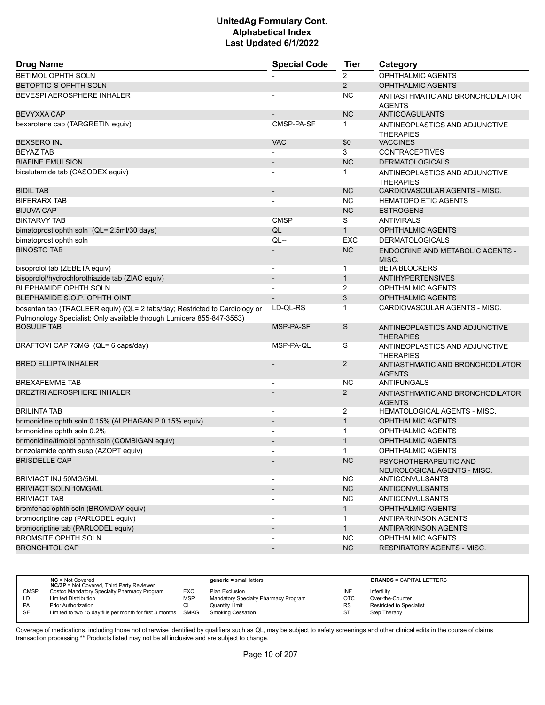| <b>Drug Name</b>                                                                                                                                    | <b>Special Code</b>      | <b>Tier</b>    | Category                                             |
|-----------------------------------------------------------------------------------------------------------------------------------------------------|--------------------------|----------------|------------------------------------------------------|
| <b>BETIMOL OPHTH SOLN</b>                                                                                                                           |                          | $\overline{2}$ | OPHTHALMIC AGENTS                                    |
| <b>BETOPTIC-S OPHTH SOLN</b>                                                                                                                        |                          | $\overline{2}$ | <b>OPHTHALMIC AGENTS</b>                             |
| BEVESPI AEROSPHERE INHALER                                                                                                                          |                          | NC             | ANTIASTHMATIC AND BRONCHODILATOR                     |
|                                                                                                                                                     |                          |                | <b>AGENTS</b>                                        |
| <b>BEVYXXA CAP</b>                                                                                                                                  |                          | <b>NC</b>      | <b>ANTICOAGULANTS</b>                                |
| bexarotene cap (TARGRETIN equiv)                                                                                                                    | CMSP-PA-SF               | 1              | ANTINEOPLASTICS AND ADJUNCTIVE<br><b>THERAPIES</b>   |
| <b>BEXSERO INJ</b>                                                                                                                                  | <b>VAC</b>               | \$0            | <b>VACCINES</b>                                      |
| <b>BEYAZ TAB</b>                                                                                                                                    |                          | 3              | <b>CONTRACEPTIVES</b>                                |
| <b>BIAFINE EMULSION</b>                                                                                                                             | $\overline{\phantom{m}}$ | <b>NC</b>      | <b>DERMATOLOGICALS</b>                               |
| bicalutamide tab (CASODEX equiv)                                                                                                                    |                          | 1              | ANTINEOPLASTICS AND ADJUNCTIVE<br><b>THERAPIES</b>   |
| <b>BIDIL TAB</b>                                                                                                                                    | $\overline{\phantom{a}}$ | <b>NC</b>      | CARDIOVASCULAR AGENTS - MISC.                        |
| <b>BIFERARX TAB</b>                                                                                                                                 |                          | <b>NC</b>      | <b>HEMATOPOIETIC AGENTS</b>                          |
| <b>BIJUVA CAP</b>                                                                                                                                   |                          | <b>NC</b>      | <b>ESTROGENS</b>                                     |
| <b>BIKTARVY TAB</b>                                                                                                                                 | <b>CMSP</b>              | S              | <b>ANTIVIRALS</b>                                    |
| bimatoprost ophth soln (QL= 2.5ml/30 days)                                                                                                          | QL                       | $\mathbf{1}$   | <b>OPHTHALMIC AGENTS</b>                             |
| bimatoprost ophth soln                                                                                                                              | QL--                     | <b>EXC</b>     | <b>DERMATOLOGICALS</b>                               |
| <b>BINOSTO TAB</b>                                                                                                                                  |                          | <b>NC</b>      | ENDOCRINE AND METABOLIC AGENTS -<br>MISC.            |
| bisoprolol tab (ZEBETA equiv)                                                                                                                       | $\overline{\phantom{a}}$ | $\mathbf 1$    | <b>BETA BLOCKERS</b>                                 |
| bisoprolol/hydrochlorothiazide tab (ZIAC equiv)                                                                                                     |                          | $\mathbf{1}$   | <b>ANTIHYPERTENSIVES</b>                             |
| BLEPHAMIDE OPHTH SOLN                                                                                                                               | $\blacksquare$           | 2              | <b>OPHTHALMIC AGENTS</b>                             |
| BLEPHAMIDE S.O.P. OPHTH OINT                                                                                                                        |                          | 3              | <b>OPHTHALMIC AGENTS</b>                             |
| bosentan tab (TRACLEER equiv) (QL= 2 tabs/day; Restricted to Cardiology or<br>Pulmonology Specialist; Only available through Lumicera 855-847-3553) | LD-QL-RS                 | 1              | CARDIOVASCULAR AGENTS - MISC.                        |
| <b>BOSULIF TAB</b>                                                                                                                                  | MSP-PA-SF                | S              | ANTINEOPLASTICS AND ADJUNCTIVE<br><b>THERAPIES</b>   |
| BRAFTOVI CAP 75MG (QL= 6 caps/day)                                                                                                                  | MSP-PA-QL                | S              | ANTINEOPLASTICS AND ADJUNCTIVE<br><b>THERAPIES</b>   |
| <b>BREO ELLIPTA INHALER</b>                                                                                                                         |                          | $\overline{2}$ | ANTIASTHMATIC AND BRONCHODILATOR<br><b>AGENTS</b>    |
| <b>BREXAFEMME TAB</b>                                                                                                                               |                          | <b>NC</b>      | ANTIFUNGALS                                          |
| <b>BREZTRI AEROSPHERE INHALER</b>                                                                                                                   |                          | $\overline{2}$ | ANTIASTHMATIC AND BRONCHODILATOR<br><b>AGENTS</b>    |
| <b>BRILINTA TAB</b>                                                                                                                                 | $\overline{\phantom{a}}$ | $\overline{2}$ | <b>HEMATOLOGICAL AGENTS - MISC.</b>                  |
| brimonidine ophth soln 0.15% (ALPHAGAN P 0.15% equiv)                                                                                               | $\overline{\phantom{a}}$ | $\mathbf{1}$   | <b>OPHTHALMIC AGENTS</b>                             |
| brimonidine ophth soln 0.2%                                                                                                                         |                          | 1              | <b>OPHTHALMIC AGENTS</b>                             |
| brimonidine/timolol ophth soln (COMBIGAN equiv)                                                                                                     |                          | $\mathbf{1}$   | <b>OPHTHALMIC AGENTS</b>                             |
| brinzolamide ophth susp (AZOPT equiv)                                                                                                               | ٠                        | 1              | OPHTHALMIC AGENTS                                    |
| <b>BRISDELLE CAP</b>                                                                                                                                |                          | NC.            | PSYCHOTHERAPEUTIC AND<br>NEUROLOGICAL AGENTS - MISC. |
| BRIVIACT INJ 50MG/5ML                                                                                                                               |                          | <b>NC</b>      | <b>ANTICONVULSANTS</b>                               |
| <b>BRIVIACT SOLN 10MG/ML</b>                                                                                                                        | $\overline{\phantom{a}}$ | NC             | <b>ANTICONVULSANTS</b>                               |
| <b>BRIVIACT TAB</b>                                                                                                                                 | $\overline{\phantom{0}}$ | <b>NC</b>      | <b>ANTICONVULSANTS</b>                               |
| bromfenac ophth soln (BROMDAY equiv)                                                                                                                | $\overline{\phantom{a}}$ | $\mathbf{1}$   | <b>OPHTHALMIC AGENTS</b>                             |
| bromocriptine cap (PARLODEL equiv)                                                                                                                  | $\overline{\phantom{a}}$ | $\mathbf{1}$   | ANTIPARKINSON AGENTS                                 |
| bromocriptine tab (PARLODEL equiv)                                                                                                                  | $\blacksquare$           | 1              | <b>ANTIPARKINSON AGENTS</b>                          |
| <b>BROMSITE OPHTH SOLN</b>                                                                                                                          |                          | <b>NC</b>      | <b>OPHTHALMIC AGENTS</b>                             |
| <b>BRONCHITOL CAP</b>                                                                                                                               | $\overline{a}$           | NC             | <b>RESPIRATORY AGENTS - MISC.</b>                    |
|                                                                                                                                                     |                          |                |                                                      |

|             | $NC = Not Covered$<br><b>NC/3P</b> = Not Covered, Third Party Reviewer |            | $generic = small letters$            |           | <b>BRANDS = CAPITAL LETTERS</b> |
|-------------|------------------------------------------------------------------------|------------|--------------------------------------|-----------|---------------------------------|
| <b>CMSP</b> | Costco Mandatory Specialty Pharmacy Program                            | EXC        | Plan Exclusion                       | INF       | Infertility                     |
| LD          | <b>Limited Distribution</b>                                            | <b>MSP</b> | Mandatory Specialty Pharmacy Program | OTC       | Over-the-Counter                |
| <b>PA</b>   | <b>Prior Authorization</b>                                             | QL         | Quantity Limit                       | <b>RS</b> | <b>Restricted to Specialist</b> |
| SF          | Limited to two 15 day fills per month for first 3 months               | SMKG       | <b>Smoking Cessation</b>             | ST        | Step Therapy                    |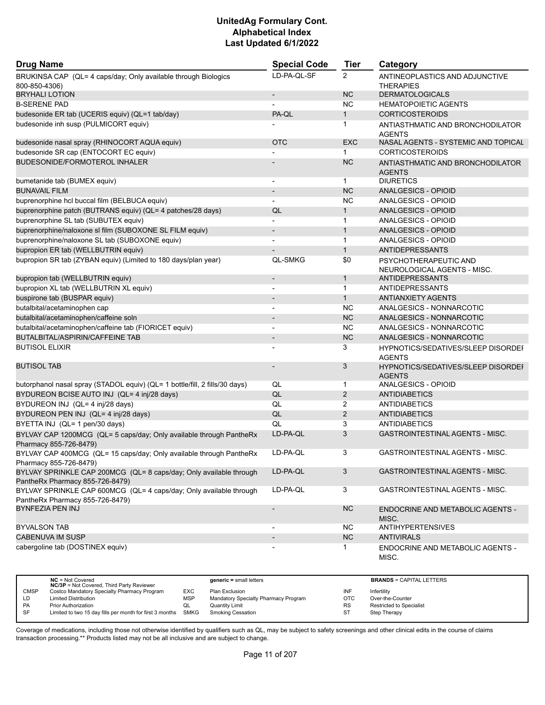| <b>Drug Name</b>                                                                                      | <b>Special Code</b>      | Tier           | Category                                             |
|-------------------------------------------------------------------------------------------------------|--------------------------|----------------|------------------------------------------------------|
| BRUKINSA CAP (QL= 4 caps/day; Only available through Biologics<br>800-850-4306)                       | LD-PA-QL-SF              | $\overline{2}$ | ANTINEOPLASTICS AND ADJUNCTIVE<br><b>THERAPIES</b>   |
| <b>BRYHALI LOTION</b>                                                                                 | $\overline{\phantom{a}}$ | <b>NC</b>      | <b>DERMATOLOGICALS</b>                               |
| <b>B-SERENE PAD</b>                                                                                   |                          | <b>NC</b>      | <b>HEMATOPOIETIC AGENTS</b>                          |
| budesonide ER tab (UCERIS equiv) (QL=1 tab/day)                                                       | PA-QL                    | $\mathbf{1}$   | <b>CORTICOSTEROIDS</b>                               |
| budesonide inh susp (PULMICORT equiv)                                                                 |                          | 1              | ANTIASTHMATIC AND BRONCHODILATOR<br><b>AGENTS</b>    |
| budesonide nasal spray (RHINOCORT AQUA equiv)                                                         | <b>OTC</b>               | <b>EXC</b>     | NASAL AGENTS - SYSTEMIC AND TOPICAL                  |
| budesonide SR cap (ENTOCORT EC equiv)                                                                 |                          | $\mathbf{1}$   | <b>CORTICOSTEROIDS</b>                               |
| BUDESONIDE/FORMOTEROL INHALER                                                                         |                          | <b>NC</b>      | ANTIASTHMATIC AND BRONCHODILATOR<br><b>AGENTS</b>    |
| bumetanide tab (BUMEX equiv)                                                                          | $\overline{\phantom{a}}$ | $\mathbf{1}$   | <b>DIURETICS</b>                                     |
| <b>BUNAVAIL FILM</b>                                                                                  | $\overline{\phantom{a}}$ | <b>NC</b>      | <b>ANALGESICS - OPIOID</b>                           |
| buprenorphine hcl buccal film (BELBUCA equiv)                                                         | $\overline{\phantom{a}}$ | <b>NC</b>      | ANALGESICS - OPIOID                                  |
| buprenorphine patch (BUTRANS equiv) (QL= 4 patches/28 days)                                           | QL                       | $\mathbf{1}$   | ANALGESICS - OPIOID                                  |
| buprenorphine SL tab (SUBUTEX equiv)                                                                  |                          | 1              | ANALGESICS - OPIOID                                  |
| buprenorphine/naloxone sl film (SUBOXONE SL FILM equiv)                                               | $\overline{\phantom{a}}$ | $\mathbf{1}$   | ANALGESICS - OPIOID                                  |
| buprenorphine/naloxone SL tab (SUBOXONE equiv)                                                        | $\blacksquare$           | $\mathbf{1}$   | ANALGESICS - OPIOID                                  |
| bupropion ER tab (WELLBUTRIN equiv)                                                                   |                          | $\mathbf{1}$   | <b>ANTIDEPRESSANTS</b>                               |
| bupropion SR tab (ZYBAN equiv) (Limited to 180 days/plan year)                                        | <b>QL-SMKG</b>           | \$0            | PSYCHOTHERAPEUTIC AND<br>NEUROLOGICAL AGENTS - MISC. |
| bupropion tab (WELLBUTRIN equiv)                                                                      | $\overline{a}$           | $\mathbf{1}$   | <b>ANTIDEPRESSANTS</b>                               |
| bupropion XL tab (WELLBUTRIN XL equiv)                                                                |                          | $\mathbf 1$    | ANTIDEPRESSANTS                                      |
| buspirone tab (BUSPAR equiv)                                                                          |                          | $\mathbf{1}$   | <b>ANTIANXIETY AGENTS</b>                            |
| butalbital/acetaminophen cap                                                                          | $\blacksquare$           | <b>NC</b>      | ANALGESICS - NONNARCOTIC                             |
| butalbital/acetaminophen/caffeine soln                                                                |                          | <b>NC</b>      | ANALGESICS - NONNARCOTIC                             |
| butalbital/acetaminophen/caffeine tab (FIORICET equiv)                                                |                          | <b>NC</b>      | ANALGESICS - NONNARCOTIC                             |
| BUTALBITAL/ASPIRIN/CAFFEINE TAB                                                                       | $\overline{\phantom{a}}$ | <b>NC</b>      | ANALGESICS - NONNARCOTIC                             |
| <b>BUTISOL ELIXIR</b>                                                                                 |                          | 3              | HYPNOTICS/SEDATIVES/SLEEP DISORDEI                   |
| <b>BUTISOL TAB</b>                                                                                    |                          | 3              | <b>AGENTS</b>                                        |
|                                                                                                       |                          |                | HYPNOTICS/SEDATIVES/SLEEP DISORDEF<br><b>AGENTS</b>  |
| butorphanol nasal spray (STADOL equiv) (QL= 1 bottle/fill, 2 fills/30 days)                           | QL                       | 1              | ANALGESICS - OPIOID                                  |
| BYDUREON BCISE AUTO INJ (QL= 4 inj/28 days)                                                           | QL                       | $\overline{2}$ | <b>ANTIDIABETICS</b>                                 |
| BYDUREON INJ (QL= 4 inj/28 days)                                                                      | QL                       | $\overline{2}$ | <b>ANTIDIABETICS</b>                                 |
| BYDUREON PEN INJ (QL= 4 inj/28 days)                                                                  | QL                       | $\overline{2}$ | <b>ANTIDIABETICS</b>                                 |
| BYETTA INJ (QL= 1 pen/30 days)                                                                        | QL                       | 3              | <b>ANTIDIABETICS</b>                                 |
| BYLVAY CAP 1200MCG (QL= 5 caps/day; Only available through PantheRx<br>Pharmacy 855-726-8479)         | LD-PA-QL                 | 3              | <b>GASTROINTESTINAL AGENTS - MISC.</b>               |
| BYLVAY CAP 400MCG (QL= 15 caps/day; Only available through PantheRx<br>Pharmacy 855-726-8479)         | LD-PA-QL                 | 3              | GASTROINTESTINAL AGENTS - MISC.                      |
| BYLVAY SPRINKLE CAP 200MCG (QL= 8 caps/day; Only available through<br>PantheRx Pharmacy 855-726-8479) | LD-PA-QL                 | 3              | GASTROINTESTINAL AGENTS - MISC.                      |
| BYLVAY SPRINKLE CAP 600MCG (QL= 4 caps/day; Only available through<br>PantheRx Pharmacy 855-726-8479) | LD-PA-QL                 | 3              | GASTROINTESTINAL AGENTS - MISC.                      |
| BYNFEZIA PEN INJ                                                                                      | $\overline{\phantom{m}}$ | <b>NC</b>      | ENDOCRINE AND METABOLIC AGENTS -<br>MISC.            |
| <b>BYVALSON TAB</b>                                                                                   | $\overline{\phantom{a}}$ | NC.            | <b>ANTIHYPERTENSIVES</b>                             |
| <b>CABENUVA IM SUSP</b>                                                                               |                          | NC             | <b>ANTIVIRALS</b>                                    |
| cabergoline tab (DOSTINEX equiv)                                                                      |                          | 1              | ENDOCRINE AND METABOLIC AGENTS -<br>MISC.            |

|             | $NC = Not Covered$<br><b>NC/3P</b> = Not Covered, Third Party Reviewer |            | $generic = small letters$            |            | <b>BRANDS = CAPITAL LETTERS</b> |
|-------------|------------------------------------------------------------------------|------------|--------------------------------------|------------|---------------------------------|
| <b>CMSP</b> | Costco Mandatory Specialty Pharmacy Program                            | EXC        | Plan Exclusion                       | INF        | Infertility                     |
| LD          | <b>Limited Distribution</b>                                            | <b>MSP</b> | Mandatory Specialty Pharmacy Program | <b>OTC</b> | Over-the-Counter                |
| <b>PA</b>   | <b>Prior Authorization</b>                                             | QL         | Quantity Limit                       | <b>RS</b>  | <b>Restricted to Specialist</b> |
| SF          | Limited to two 15 day fills per month for first 3 months               | SMKG       | <b>Smoking Cessation</b>             | ST         | Step Therapy                    |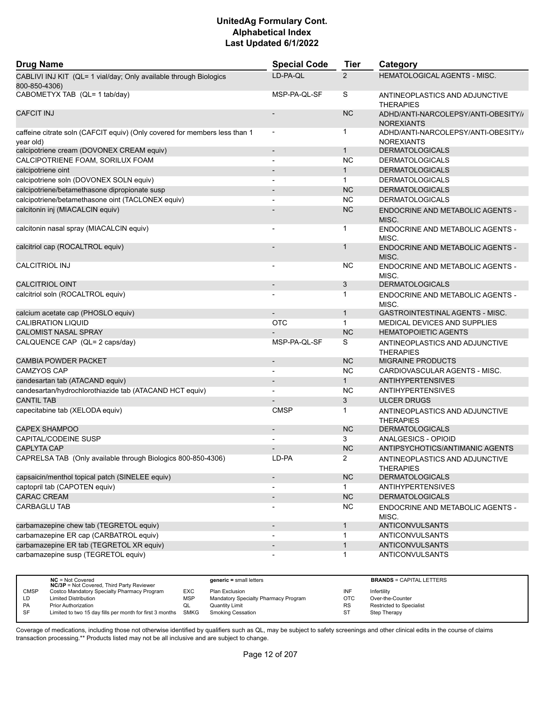| <b>Drug Name</b>                                                                        | <b>Special Code</b>          | <b>Tier</b>    | Category                                                 |
|-----------------------------------------------------------------------------------------|------------------------------|----------------|----------------------------------------------------------|
| CABLIVI INJ KIT (QL= 1 vial/day; Only available through Biologics<br>800-850-4306)      | LD-PA-QL                     | $\overline{2}$ | HEMATOLOGICAL AGENTS - MISC.                             |
| CABOMETYX TAB (QL= 1 tab/day)                                                           | MSP-PA-QL-SF                 | S              | ANTINEOPLASTICS AND ADJUNCTIVE<br><b>THERAPIES</b>       |
| <b>CAFCIT INJ</b>                                                                       | $\overline{a}$               | <b>NC</b>      | ADHD/ANTI-NARCOLEPSY/ANTI-OBESITY//<br><b>NOREXIANTS</b> |
| caffeine citrate soln (CAFCIT equiv) (Only covered for members less than 1<br>year old) | $\overline{\phantom{a}}$     | 1              | ADHD/ANTI-NARCOLEPSY/ANTI-OBESITY//<br><b>NOREXIANTS</b> |
| calcipotriene cream (DOVONEX CREAM equiv)                                               | $\overline{\phantom{a}}$     | $\mathbf{1}$   | <b>DERMATOLOGICALS</b>                                   |
| CALCIPOTRIENE FOAM, SORILUX FOAM                                                        | $\overline{\phantom{a}}$     | <b>NC</b>      | <b>DERMATOLOGICALS</b>                                   |
| calcipotriene oint                                                                      |                              | $\mathbf{1}$   | <b>DERMATOLOGICALS</b>                                   |
| calcipotriene soln (DOVONEX SOLN equiv)                                                 | $\blacksquare$               | $\mathbf{1}$   | <b>DERMATOLOGICALS</b>                                   |
| calcipotriene/betamethasone dipropionate susp                                           |                              | <b>NC</b>      | <b>DERMATOLOGICALS</b>                                   |
| calcipotriene/betamethasone oint (TACLONEX equiv)                                       |                              | <b>NC</b>      | <b>DERMATOLOGICALS</b>                                   |
| calcitonin inj (MIACALCIN equiv)                                                        |                              | <b>NC</b>      | ENDOCRINE AND METABOLIC AGENTS -<br>MISC.                |
| calcitonin nasal spray (MIACALCIN equiv)                                                | $\blacksquare$               | 1              | <b>ENDOCRINE AND METABOLIC AGENTS -</b><br>MISC.         |
| calcitriol cap (ROCALTROL equiv)                                                        |                              | 1              | ENDOCRINE AND METABOLIC AGENTS -<br>MISC.                |
| <b>CALCITRIOL INJ</b>                                                                   | $\overline{\phantom{a}}$     | NС             | ENDOCRINE AND METABOLIC AGENTS -<br>MISC.                |
| <b>CALCITRIOL OINT</b>                                                                  | $\overline{a}$               | 3              | <b>DERMATOLOGICALS</b>                                   |
| calcitriol soln (ROCALTROL equiv)                                                       |                              | 1              | ENDOCRINE AND METABOLIC AGENTS -<br>MISC.                |
| calcium acetate cap (PHOSLO equiv)                                                      |                              | $\mathbf{1}$   | GASTROINTESTINAL AGENTS - MISC.                          |
| <b>CALIBRATION LIQUID</b>                                                               | <b>OTC</b>                   | $\mathbf{1}$   | MEDICAL DEVICES AND SUPPLIES                             |
| <b>CALOMIST NASAL SPRAY</b>                                                             |                              | <b>NC</b>      | <b>HEMATOPOIETIC AGENTS</b>                              |
| CALQUENCE CAP (QL= 2 caps/day)                                                          | MSP-PA-QL-SF                 | S              | ANTINEOPLASTICS AND ADJUNCTIVE<br><b>THERAPIES</b>       |
| <b>CAMBIA POWDER PACKET</b>                                                             | $\overline{\phantom{a}}$     | <b>NC</b>      | <b>MIGRAINE PRODUCTS</b>                                 |
| CAMZYOS CAP                                                                             |                              | <b>NC</b>      | CARDIOVASCULAR AGENTS - MISC.                            |
| candesartan tab (ATACAND equiv)                                                         | $\qquad \qquad \blacksquare$ | $\mathbf{1}$   | <b>ANTIHYPERTENSIVES</b>                                 |
| candesartan/hydrochlorothiazide tab (ATACAND HCT equiv)                                 | $\overline{\phantom{0}}$     | NC             | <b>ANTIHYPERTENSIVES</b>                                 |
| <b>CANTIL TAB</b>                                                                       |                              | 3              | <b>ULCER DRUGS</b>                                       |
| capecitabine tab (XELODA equiv)                                                         | <b>CMSP</b>                  | 1              | ANTINEOPLASTICS AND ADJUNCTIVE<br><b>THERAPIES</b>       |
| <b>CAPEX SHAMPOO</b>                                                                    |                              | <b>NC</b>      | <b>DERMATOLOGICALS</b>                                   |
| <b>CAPITAL/CODEINE SUSP</b>                                                             | ٠                            | 3              | ANALGESICS - OPIOID                                      |
| <b>CAPLYTA CAP</b>                                                                      |                              | <b>NC</b>      | ANTIPSYCHOTICS/ANTIMANIC AGENTS                          |
| CAPRELSA TAB (Only available through Biologics 800-850-4306)                            | LD-PA                        | $\mathbf{z}$   | ANTINEOPLASTICS AND ADJUNCTIVE<br>THERAPIES              |
| capsaicin/menthol topical patch (SINELEE equiv)                                         | $\overline{\phantom{0}}$     | NC             | <b>DERMATOLOGICALS</b>                                   |
| captopril tab (CAPOTEN equiv)                                                           | $\overline{\phantom{0}}$     | $\mathbf{1}$   | <b>ANTIHYPERTENSIVES</b>                                 |
| CARAC CREAM                                                                             | $\overline{\phantom{a}}$     | <b>NC</b>      | <b>DERMATOLOGICALS</b>                                   |
| <b>CARBAGLU TAB</b>                                                                     | $\overline{a}$               | <b>NC</b>      | ENDOCRINE AND METABOLIC AGENTS -<br>MISC.                |
| carbamazepine chew tab (TEGRETOL equiv)                                                 | $\overline{\phantom{a}}$     | $\mathbf{1}$   | <b>ANTICONVULSANTS</b>                                   |
| carbamazepine ER cap (CARBATROL equiv)                                                  | $\blacksquare$               | $\mathbf{1}$   | <b>ANTICONVULSANTS</b>                                   |
| carbamazepine ER tab (TEGRETOL XR equiv)                                                |                              | $\mathbf{1}$   | ANTICONVULSANTS                                          |
| carbamazepine susp (TEGRETOL equiv)                                                     |                              | 1              | <b>ANTICONVULSANTS</b>                                   |
|                                                                                         |                              |                |                                                          |

|             | $NC = Not Covered$<br><b>NC/3P</b> = Not Covered, Third Party Reviewer |            | $generic = small letters$            |            | <b>BRANDS = CAPITAL LETTERS</b> |
|-------------|------------------------------------------------------------------------|------------|--------------------------------------|------------|---------------------------------|
| <b>CMSP</b> | Costco Mandatory Specialty Pharmacy Program                            | EXC        | Plan Exclusion                       | INF        | Infertility                     |
| LD          | <b>Limited Distribution</b>                                            | <b>MSP</b> | Mandatory Specialty Pharmacy Program | <b>OTC</b> | Over-the-Counter                |
| PA          | Prior Authorization                                                    | QL         | Quantity Limit                       | <b>RS</b>  | <b>Restricted to Specialist</b> |
| <b>SF</b>   | Limited to two 15 day fills per month for first 3 months SMKG          |            | Smoking Cessation                    | ST         | Step Therapy                    |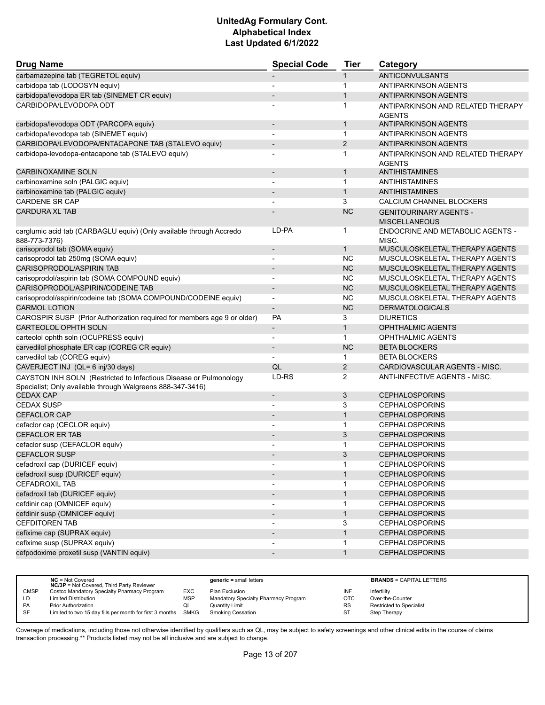| <b>Drug Name</b>                                                                                                                | <b>Special Code</b>          | <b>Tier</b>    | Category                                              |
|---------------------------------------------------------------------------------------------------------------------------------|------------------------------|----------------|-------------------------------------------------------|
| carbamazepine tab (TEGRETOL equiv)                                                                                              |                              | $\mathbf{1}$   | <b>ANTICONVULSANTS</b>                                |
| carbidopa tab (LODOSYN equiv)                                                                                                   |                              | 1              | <b>ANTIPARKINSON AGENTS</b>                           |
| carbidopa/levodopa ER tab (SINEMET CR equiv)                                                                                    |                              | $\mathbf{1}$   | <b>ANTIPARKINSON AGENTS</b>                           |
| CARBIDOPA/LEVODOPA ODT                                                                                                          |                              | 1              | ANTIPARKINSON AND RELATED THERAPY<br><b>AGENTS</b>    |
| carbidopa/levodopa ODT (PARCOPA equiv)                                                                                          | $\overline{\phantom{m}}$     | $\mathbf{1}$   | <b>ANTIPARKINSON AGENTS</b>                           |
| carbidopa/levodopa tab (SINEMET equiv)                                                                                          | -                            | $\mathbf 1$    | <b>ANTIPARKINSON AGENTS</b>                           |
| CARBIDOPA/LEVODOPA/ENTACAPONE TAB (STALEVO equiv)                                                                               | $\overline{\phantom{m}}$     | 2              | <b>ANTIPARKINSON AGENTS</b>                           |
| carbidopa-levodopa-entacapone tab (STALEVO equiv)                                                                               | $\overline{a}$               | 1              | ANTIPARKINSON AND RELATED THERAPY<br><b>AGENTS</b>    |
| <b>CARBINOXAMINE SOLN</b>                                                                                                       | $\overline{\phantom{m}}$     | $\mathbf{1}$   | <b>ANTIHISTAMINES</b>                                 |
| carbinoxamine soln (PALGIC equiv)                                                                                               |                              | 1              | <b>ANTIHISTAMINES</b>                                 |
| carbinoxamine tab (PALGIC equiv)                                                                                                |                              | $\mathbf{1}$   | <b>ANTIHISTAMINES</b>                                 |
| <b>CARDENE SR CAP</b>                                                                                                           |                              | 3              | CALCIUM CHANNEL BLOCKERS                              |
| <b>CARDURA XL TAB</b>                                                                                                           |                              | <b>NC</b>      | <b>GENITOURINARY AGENTS -</b><br><b>MISCELLANEOUS</b> |
| carglumic acid tab (CARBAGLU equiv) (Only available through Accredo<br>888-773-7376)                                            | LD-PA                        | $\mathbf 1$    | ENDOCRINE AND METABOLIC AGENTS -<br>MISC.             |
| carisoprodol tab (SOMA equiv)                                                                                                   | $\overline{\phantom{a}}$     | $\mathbf{1}$   | MUSCULOSKELETAL THERAPY AGENTS                        |
| carisoprodol tab 250mg (SOMA equiv)                                                                                             |                              | <b>NC</b>      | MUSCULOSKELETAL THERAPY AGENTS                        |
| CARISOPRODOL/ASPIRIN TAB                                                                                                        | $\overline{\phantom{a}}$     | <b>NC</b>      | MUSCULOSKELETAL THERAPY AGENTS                        |
| carisoprodol/aspirin tab (SOMA COMPOUND equiv)                                                                                  | $\overline{\phantom{a}}$     | <b>NC</b>      | MUSCULOSKELETAL THERAPY AGENTS                        |
| CARISOPRODOL/ASPIRIN/CODEINE TAB                                                                                                |                              | <b>NC</b>      | MUSCULOSKELETAL THERAPY AGENTS                        |
| carisoprodol/aspirin/codeine tab (SOMA COMPOUND/CODEINE equiv)                                                                  | $\overline{\phantom{m}}$     | <b>NC</b>      | MUSCULOSKELETAL THERAPY AGENTS                        |
| <b>CARMOL LOTION</b>                                                                                                            | $\overline{\phantom{0}}$     | <b>NC</b>      | <b>DERMATOLOGICALS</b>                                |
| CAROSPIR SUSP (Prior Authorization required for members age 9 or older)                                                         | PA                           | 3              | <b>DIURETICS</b>                                      |
| <b>CARTEOLOL OPHTH SOLN</b>                                                                                                     | $\overline{\phantom{a}}$     | $\mathbf{1}$   | <b>OPHTHALMIC AGENTS</b>                              |
| carteolol ophth soln (OCUPRESS equiv)                                                                                           | $\overline{\phantom{0}}$     | $\mathbf{1}$   | OPHTHALMIC AGENTS                                     |
| carvedilol phosphate ER cap (COREG CR equiv)                                                                                    | $\overline{\phantom{a}}$     | <b>NC</b>      | <b>BETA BLOCKERS</b>                                  |
| carvedilol tab (COREG equiv)                                                                                                    | $\overline{a}$               | $\mathbf 1$    | <b>BETA BLOCKERS</b>                                  |
| CAVERJECT INJ (QL= 6 inj/30 days)                                                                                               | QL                           | $\overline{2}$ | CARDIOVASCULAR AGENTS - MISC.                         |
| CAYSTON INH SOLN (Restricted to Infectious Disease or Pulmonology<br>Specialist; Only available through Walgreens 888-347-3416) | LD-RS                        | 2              | ANTI-INFECTIVE AGENTS - MISC.                         |
| <b>CEDAX CAP</b>                                                                                                                | $\qquad \qquad \blacksquare$ | 3              | <b>CEPHALOSPORINS</b>                                 |
| <b>CEDAX SUSP</b>                                                                                                               |                              | 3              | <b>CEPHALOSPORINS</b>                                 |
| <b>CEFACLOR CAP</b>                                                                                                             | $\qquad \qquad \blacksquare$ | $\mathbf{1}$   | <b>CEPHALOSPORINS</b>                                 |
| cefaclor cap (CECLOR equiv)                                                                                                     |                              | 1              | <b>CEPHALOSPORINS</b>                                 |
| <b>CEFACLOR ER TAB</b>                                                                                                          |                              | 3              | <b>CEPHALOSPORINS</b>                                 |
| cefaclor susp (CEFACLOR equiv)                                                                                                  | $\overline{a}$               | $\mathbf 1$    | <b>CEPHALOSPORINS</b>                                 |
| CEFACLOR SUSP                                                                                                                   |                              | 3              | <b>CEPHALOSPORINS</b>                                 |
| cefadroxil cap (DURICEF equiv)                                                                                                  |                              | 1              | <b>CEPHALOSPORINS</b>                                 |
| cefadroxil susp (DURICEF equiv)                                                                                                 | $\blacksquare$               | $\mathbf{1}$   | <b>CEPHALOSPORINS</b>                                 |
| <b>CEFADROXIL TAB</b>                                                                                                           |                              | 1              | <b>CEPHALOSPORINS</b>                                 |
| cefadroxil tab (DURICEF equiv)                                                                                                  | $\overline{a}$               | $\mathbf{1}$   | <b>CEPHALOSPORINS</b>                                 |
| cefdinir cap (OMNICEF equiv)                                                                                                    |                              | 1              | <b>CEPHALOSPORINS</b>                                 |
| cefdinir susp (OMNICEF equiv)                                                                                                   | $\overline{\phantom{a}}$     | $\mathbf{1}$   | <b>CEPHALOSPORINS</b>                                 |
| <b>CEFDITOREN TAB</b>                                                                                                           |                              | 3              | <b>CEPHALOSPORINS</b>                                 |
| cefixime cap (SUPRAX equiv)                                                                                                     | $\overline{\phantom{a}}$     | $\mathbf{1}$   | <b>CEPHALOSPORINS</b>                                 |
| cefixime susp (SUPRAX equiv)                                                                                                    |                              | 1              | <b>CEPHALOSPORINS</b>                                 |
| cefpodoxime proxetil susp (VANTIN equiv)                                                                                        | $\qquad \qquad \blacksquare$ | $\mathbf{1}$   | <b>CEPHALOSPORINS</b>                                 |
|                                                                                                                                 |                              |                |                                                       |

|             | $NC = Not Covered$<br><b>NC/3P</b> = Not Covered, Third Party Reviewer |            | $generic = small letters$            |            | <b>BRANDS = CAPITAL LETTERS</b> |
|-------------|------------------------------------------------------------------------|------------|--------------------------------------|------------|---------------------------------|
| <b>CMSP</b> | Costco Mandatory Specialty Pharmacy Program                            | EXC        | Plan Exclusion                       | INF        | Infertility                     |
| LD          | <b>Limited Distribution</b>                                            | <b>MSP</b> | Mandatory Specialty Pharmacy Program | <b>OTC</b> | Over-the-Counter                |
| PA          | <b>Prior Authorization</b>                                             | QL         | Quantity Limit                       | <b>RS</b>  | <b>Restricted to Specialist</b> |
| <b>SF</b>   | Limited to two 15 day fills per month for first 3 months               | SMKG       | Smoking Cessation                    | ST         | Step Therapy                    |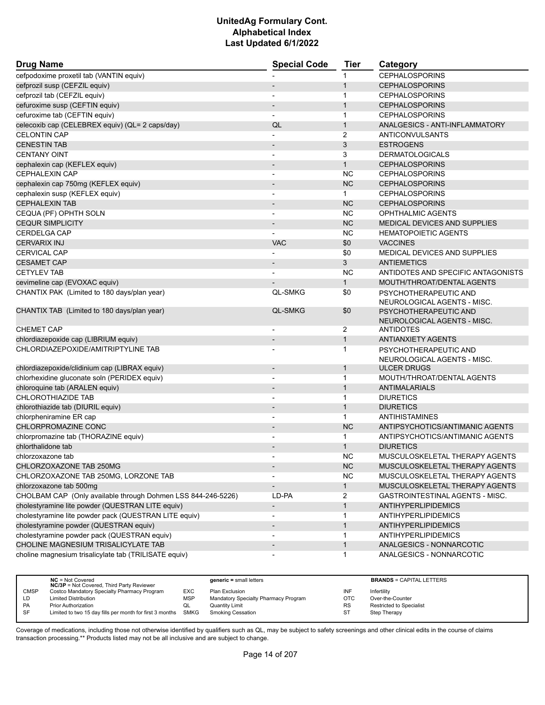| <b>Drug Name</b>                                             | <b>Special Code</b>      | <b>Tier</b>                  | Category                                             |  |
|--------------------------------------------------------------|--------------------------|------------------------------|------------------------------------------------------|--|
| cefpodoxime proxetil tab (VANTIN equiv)                      |                          | 1                            | <b>CEPHALOSPORINS</b>                                |  |
| cefprozil susp (CEFZIL equiv)                                |                          | $\mathbf{1}$                 | <b>CEPHALOSPORINS</b>                                |  |
| cefprozil tab (CEFZIL equiv)                                 |                          | 1                            | <b>CEPHALOSPORINS</b>                                |  |
| cefuroxime susp (CEFTIN equiv)                               |                          | $\mathbf{1}$                 | <b>CEPHALOSPORINS</b>                                |  |
| cefuroxime tab (CEFTIN equiv)                                |                          | $\mathbf{1}$                 | <b>CEPHALOSPORINS</b>                                |  |
| celecoxib cap (CELEBREX equiv) (QL= 2 caps/day)              | QL                       | $\mathbf{1}$                 | ANALGESICS - ANTI-INFLAMMATORY                       |  |
| <b>CELONTIN CAP</b>                                          |                          | 2                            | ANTICONVULSANTS                                      |  |
| <b>CENESTIN TAB</b>                                          |                          | 3                            | <b>ESTROGENS</b>                                     |  |
| <b>CENTANY OINT</b>                                          | $\overline{\phantom{a}}$ | 3                            | <b>DERMATOLOGICALS</b>                               |  |
| cephalexin cap (KEFLEX equiv)                                | $\overline{\phantom{a}}$ | $\mathbf{1}$                 | <b>CEPHALOSPORINS</b>                                |  |
| <b>CEPHALEXIN CAP</b>                                        | $\blacksquare$           | <b>NC</b>                    | <b>CEPHALOSPORINS</b>                                |  |
| cephalexin cap 750mg (KEFLEX equiv)                          | $\overline{\phantom{a}}$ | NC                           | <b>CEPHALOSPORINS</b>                                |  |
| cephalexin susp (KEFLEX equiv)                               |                          | $\mathbf{1}$                 | <b>CEPHALOSPORINS</b>                                |  |
| <b>CEPHALEXIN TAB</b>                                        | $\blacksquare$           | <b>NC</b>                    | <b>CEPHALOSPORINS</b>                                |  |
| CEQUA (PF) OPHTH SOLN                                        |                          | NC.                          | OPHTHALMIC AGENTS                                    |  |
| <b>CEQUR SIMPLICITY</b>                                      |                          | <b>NC</b>                    | <b>MEDICAL DEVICES AND SUPPLIES</b>                  |  |
| <b>CERDELGA CAP</b>                                          |                          | <b>NC</b>                    | <b>HEMATOPOIETIC AGENTS</b>                          |  |
| <b>CERVARIX INJ</b>                                          | <b>VAC</b>               | \$0                          | <b>VACCINES</b>                                      |  |
| <b>CERVICAL CAP</b>                                          |                          | \$0                          | MEDICAL DEVICES AND SUPPLIES                         |  |
| <b>CESAMET CAP</b>                                           |                          | 3                            | <b>ANTIEMETICS</b>                                   |  |
| <b>CETYLEV TAB</b>                                           | $\overline{\phantom{a}}$ | <b>NC</b>                    | ANTIDOTES AND SPECIFIC ANTAGONISTS                   |  |
| cevimeline cap (EVOXAC equiv)                                |                          | $\mathbf{1}$                 | MOUTH/THROAT/DENTAL AGENTS                           |  |
| CHANTIX PAK (Limited to 180 days/plan year)                  | <b>QL-SMKG</b>           | \$0                          | PSYCHOTHERAPEUTIC AND                                |  |
|                                                              |                          |                              | NEUROLOGICAL AGENTS - MISC.                          |  |
| CHANTIX TAB (Limited to 180 days/plan year)                  | <b>QL-SMKG</b>           | \$0                          | PSYCHOTHERAPEUTIC AND<br>NEUROLOGICAL AGENTS - MISC. |  |
| <b>CHEMET CAP</b>                                            | $\overline{\phantom{a}}$ | $\overline{2}$               | ANTIDOTES                                            |  |
| chlordiazepoxide cap (LIBRIUM equiv)                         |                          | $\mathbf{1}$                 | <b>ANTIANXIETY AGENTS</b>                            |  |
| CHLORDIAZEPOXIDE/AMITRIPTYLINE TAB                           |                          | 1                            | PSYCHOTHERAPEUTIC AND                                |  |
| chlordiazepoxide/clidinium cap (LIBRAX equiv)                | $\overline{\phantom{a}}$ | $\mathbf{1}$                 | NEUROLOGICAL AGENTS - MISC.<br><b>ULCER DRUGS</b>    |  |
| chlorhexidine gluconate soln (PERIDEX equiv)                 | $\blacksquare$           | $\mathbf{1}$                 | MOUTH/THROAT/DENTAL AGENTS                           |  |
| chloroquine tab (ARALEN equiv)                               | $\overline{\phantom{a}}$ | $\mathbf{1}$                 | ANTIMALARIALS                                        |  |
| <b>CHLOROTHIAZIDE TAB</b>                                    |                          | 1                            | <b>DIURETICS</b>                                     |  |
| chlorothiazide tab (DIURIL equiv)                            | $\overline{\phantom{a}}$ | $\mathbf{1}$                 | <b>DIURETICS</b>                                     |  |
| chlorpheniramine ER cap                                      | $\blacksquare$           | $\mathbf{1}$                 | ANTIHISTAMINES                                       |  |
| CHLORPROMAZINE CONC                                          |                          | <b>NC</b>                    | ANTIPSYCHOTICS/ANTIMANIC AGENTS                      |  |
| chlorpromazine tab (THORAZINE equiv)                         |                          | 1                            | ANTIPSYCHOTICS/ANTIMANIC AGENTS                      |  |
| chlorthalidone tab                                           |                          | $\mathbf{1}$                 | <b>DIURETICS</b>                                     |  |
| chlorzoxazone tab                                            |                          | <b>NC</b>                    | MUSCULOSKELETAL THERAPY AGENTS                       |  |
| CHLORZOXAZONE TAB 250MG                                      |                          | <b>NC</b>                    | MUSCULOSKELETAL THERAPY AGENTS                       |  |
| CHLORZOXAZONE TAB 250MG, LORZONE TAB                         |                          | <b>NC</b>                    | MUSCULOSKELETAL THERAPY AGENTS                       |  |
| chlorzoxazone tab 500mg                                      | $\overline{\phantom{a}}$ | $\mathbf{1}$                 | MUSCULOSKELETAL THERAPY AGENTS                       |  |
| CHOLBAM CAP (Only available through Dohmen LSS 844-246-5226) | LD-PA                    | $\overline{2}$               | GASTROINTESTINAL AGENTS - MISC.                      |  |
| cholestyramine lite powder (QUESTRAN LITE equiv)             | $\overline{\phantom{a}}$ | $\mathbf{1}$                 | <b>ANTIHYPERLIPIDEMICS</b>                           |  |
| cholestyramine lite powder pack (QUESTRAN LITE equiv)        |                          |                              | <b>ANTIHYPERLIPIDEMICS</b>                           |  |
| cholestyramine powder (QUESTRAN equiv)                       |                          | $\mathbf{1}$<br>$\mathbf{1}$ | <b>ANTIHYPERLIPIDEMICS</b>                           |  |
| cholestyramine powder pack (QUESTRAN equiv)                  |                          | 1                            | <b>ANTIHYPERLIPIDEMICS</b>                           |  |
| CHOLINE MAGNESIUM TRISALICYLATE TAB                          |                          |                              | ANALGESICS - NONNARCOTIC                             |  |
|                                                              |                          | $\mathbf{1}$                 | ANALGESICS - NONNARCOTIC                             |  |
| choline magnesium trisalicylate tab (TRILISATE equiv)        |                          | 1                            |                                                      |  |

|             | $NC = Not Covered$<br><b>NC/3P</b> = Not Covered, Third Party Reviewer |            | $generic = small letters$            |     | <b>BRANDS = CAPITAL LETTERS</b> |
|-------------|------------------------------------------------------------------------|------------|--------------------------------------|-----|---------------------------------|
| <b>CMSP</b> | Costco Mandatory Specialty Pharmacy Program                            | EXC        | Plan Exclusion                       | INF | Infertility                     |
| LD          | <b>Limited Distribution</b>                                            | <b>MSP</b> | Mandatory Specialty Pharmacy Program | OTC | Over-the-Counter                |
| PA          | <b>Prior Authorization</b>                                             | QL         | Quantity Limit                       | RS  | <b>Restricted to Specialist</b> |
| <b>SF</b>   | Limited to two 15 day fills per month for first 3 months SMKG          |            | Smoking Cessation                    | ST  | Step Therapy                    |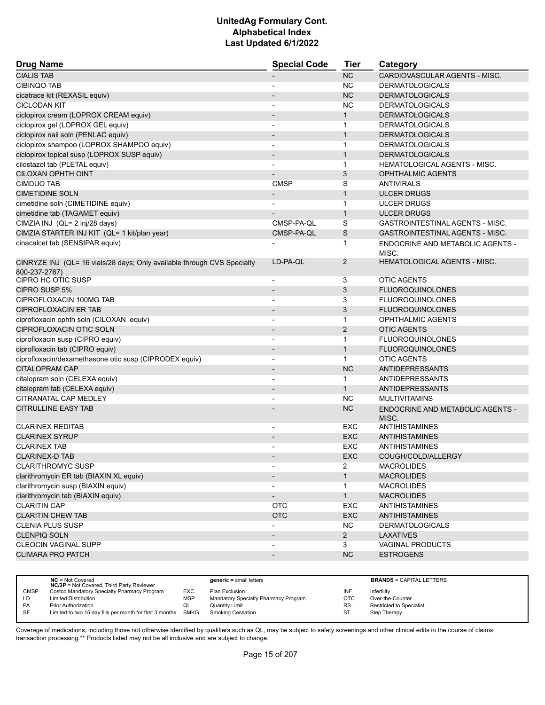| <b>Drug Name</b>                                                                         | <b>Special Code</b>      | <b>Tier</b>  | Category                                         |
|------------------------------------------------------------------------------------------|--------------------------|--------------|--------------------------------------------------|
| <b>CIALIS TAB</b>                                                                        |                          | <b>NC</b>    | CARDIOVASCULAR AGENTS - MISC.                    |
| <b>CIBINQO TAB</b>                                                                       |                          | <b>NC</b>    | <b>DERMATOLOGICALS</b>                           |
| cicatrace kit (REXASIL equiv)                                                            |                          | <b>NC</b>    | <b>DERMATOLOGICALS</b>                           |
| <b>CICLODAN KIT</b>                                                                      | $\blacksquare$           | <b>NC</b>    | <b>DERMATOLOGICALS</b>                           |
| ciclopirox cream (LOPROX CREAM equiv)                                                    | $\overline{\phantom{a}}$ | $\mathbf{1}$ | <b>DERMATOLOGICALS</b>                           |
| ciclopirox gel (LOPROX GEL equiv)                                                        |                          | 1            | <b>DERMATOLOGICALS</b>                           |
| ciclopirox nail soln (PENLAC equiv)                                                      | $\overline{\phantom{a}}$ | $\mathbf{1}$ | <b>DERMATOLOGICALS</b>                           |
| ciclopirox shampoo (LOPROX SHAMPOO equiv)                                                | $\overline{\phantom{a}}$ | $\mathbf{1}$ | <b>DERMATOLOGICALS</b>                           |
| ciclopirox topical susp (LOPROX SUSP equiv)                                              |                          | $\mathbf{1}$ | <b>DERMATOLOGICALS</b>                           |
| cilostazol tab (PLETAL equiv)                                                            | $\blacksquare$           | $\mathbf{1}$ | <b>HEMATOLOGICAL AGENTS - MISC.</b>              |
| <b>CILOXAN OPHTH OINT</b>                                                                |                          | 3            | <b>OPHTHALMIC AGENTS</b>                         |
| <b>CIMDUO TAB</b>                                                                        | <b>CMSP</b>              | S            | <b>ANTIVIRALS</b>                                |
| <b>CIMETIDINE SOLN</b>                                                                   | $\overline{\phantom{a}}$ | $\mathbf{1}$ | <b>ULCER DRUGS</b>                               |
| cimetidine soln (CIMETIDINE equiv)                                                       |                          | $\mathbf{1}$ | ULCER DRUGS                                      |
| cimetidine tab (TAGAMET equiv)                                                           |                          | $\mathbf{1}$ | <b>ULCER DRUGS</b>                               |
| CIMZIA INJ (QL= 2 inj/28 days)                                                           | CMSP-PA-QL               | S            | GASTROINTESTINAL AGENTS - MISC.                  |
| CIMZIA STARTER INJ KIT (QL= 1 kit/plan year)                                             | CMSP-PA-QL               | $\mathsf S$  | <b>GASTROINTESTINAL AGENTS - MISC.</b>           |
| cinacalcet tab (SENSIPAR equiv)                                                          |                          | 1            | ENDOCRINE AND METABOLIC AGENTS -<br>MISC.        |
| CINRYZE INJ (QL= 16 vials/28 days; Only available through CVS Specialty<br>800-237-2767) | LD-PA-QL                 | 2            | <b>HEMATOLOGICAL AGENTS - MISC.</b>              |
| CIPRO HC OTIC SUSP                                                                       |                          | 3            | <b>OTIC AGENTS</b>                               |
| CIPRO SUSP 5%                                                                            | $\overline{\phantom{a}}$ | 3            | <b>FLUOROQUINOLONES</b>                          |
| CIPROFLOXACIN 100MG TAB                                                                  |                          | 3            | <b>FLUOROQUINOLONES</b>                          |
| <b>CIPROFLOXACIN ER TAB</b>                                                              |                          | 3            | <b>FLUOROQUINOLONES</b>                          |
| ciprofloxacin ophth soln (CILOXAN equiv)                                                 | $\overline{\phantom{a}}$ | 1            | <b>OPHTHALMIC AGENTS</b>                         |
| CIPROFLOXACIN OTIC SOLN                                                                  | $\overline{\phantom{a}}$ | 2            | <b>OTIC AGENTS</b>                               |
| ciprofloxacin susp (CIPRO equiv)                                                         |                          | 1            | <b>FLUOROQUINOLONES</b>                          |
| ciprofloxacin tab (CIPRO equiv)                                                          |                          | $\mathbf{1}$ | <b>FLUOROQUINOLONES</b>                          |
| ciprofloxacin/dexamethasone otic susp (CIPRODEX equiv)                                   | $\overline{\phantom{a}}$ | $\mathbf{1}$ | <b>OTIC AGENTS</b>                               |
| <b>CITALOPRAM CAP</b>                                                                    | $\overline{\phantom{a}}$ | <b>NC</b>    | <b>ANTIDEPRESSANTS</b>                           |
| citalopram soln (CELEXA equiv)                                                           |                          | $\mathbf{1}$ | <b>ANTIDEPRESSANTS</b>                           |
| citalopram tab (CELEXA equiv)                                                            | $\blacksquare$           | $\mathbf{1}$ | <b>ANTIDEPRESSANTS</b>                           |
| CITRANATAL CAP MEDLEY                                                                    |                          | <b>NC</b>    | <b>MULTIVITAMINS</b>                             |
| <b>CITRULLINE EASY TAB</b>                                                               |                          | <b>NC</b>    | <b>ENDOCRINE AND METABOLIC AGENTS -</b><br>MISC. |
| <b>CLARINEX REDITAB</b>                                                                  | $\overline{\phantom{a}}$ | EXC          | <b>ANTIHISTAMINES</b>                            |
| <b>CLARINEX SYRUP</b>                                                                    | $\overline{\phantom{a}}$ | <b>EXC</b>   | <b>ANTIHISTAMINES</b>                            |
| <b>CLARINEX TAB</b>                                                                      |                          | <b>EXC</b>   | <b>ANTIHISTAMINES</b>                            |
| <b>CLARINEX-D TAB</b>                                                                    |                          | <b>EXC</b>   | COUGH/COLD/ALLERGY                               |
| <b>CLARITHROMYC SUSP</b>                                                                 |                          | 2            | <b>MACROLIDES</b>                                |
| clarithromycin ER tab (BIAXIN XL equiv)                                                  |                          | $\mathbf{1}$ | <b>MACROLIDES</b>                                |
| clarithromycin susp (BIAXIN equiv)                                                       |                          | 1            | <b>MACROLIDES</b>                                |
| clarithromycin tab (BIAXIN equiv)                                                        | $\overline{\phantom{a}}$ | 1            | <b>MACROLIDES</b>                                |
| <b>CLARITIN CAP</b>                                                                      | <b>OTC</b>               | EXC          | <b>ANTIHISTAMINES</b>                            |
| <b>CLARITIN CHEW TAB</b>                                                                 | <b>OTC</b>               | EXC          | <b>ANTIHISTAMINES</b>                            |
| <b>CLENIA PLUS SUSP</b>                                                                  |                          | <b>NC</b>    | <b>DERMATOLOGICALS</b>                           |
| CLENPIQ SOLN                                                                             |                          | $2^{\circ}$  | <b>LAXATIVES</b>                                 |
| <b>CLEOCIN VAGINAL SUPP</b>                                                              |                          | 3            | <b>VAGINAL PRODUCTS</b>                          |
| <b>CLIMARA PRO PATCH</b>                                                                 |                          | NC           | <b>ESTROGENS</b>                                 |
|                                                                                          |                          |              |                                                  |

| $NC = Not Covered$         |                                                                                                                                | $generic = small letters$                                                           |                                                        | <b>BRANDS = CAPITAL LETTERS</b> |
|----------------------------|--------------------------------------------------------------------------------------------------------------------------------|-------------------------------------------------------------------------------------|--------------------------------------------------------|---------------------------------|
|                            |                                                                                                                                |                                                                                     |                                                        | Infertility                     |
|                            |                                                                                                                                |                                                                                     |                                                        |                                 |
|                            |                                                                                                                                |                                                                                     |                                                        | Over-the-Counter                |
| <b>Prior Authorization</b> | QL                                                                                                                             | Quantity Limit                                                                      | RS                                                     | Restricted to Specialist        |
|                            |                                                                                                                                | Smoking Cessation                                                                   | ST                                                     | Step Therapy                    |
|                            | <b>NC/3P</b> = Not Covered, Third Party Reviewer<br>Costco Mandatory Specialty Pharmacy Program<br><b>Limited Distribution</b> | EXC.<br><b>MSP</b><br>Limited to two 15 day fills per month for first 3 months SMKG | Plan Exclusion<br>Mandatory Specialty Pharmacy Program | INF<br><b>OTC</b>               |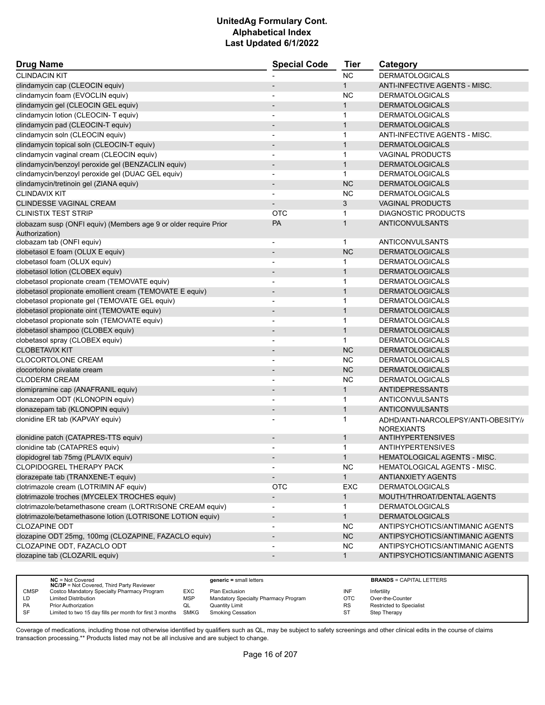| <b>Drug Name</b>                                                 | <b>Special Code</b>          | <b>Tier</b>  | Category                            |
|------------------------------------------------------------------|------------------------------|--------------|-------------------------------------|
| <b>CLINDACIN KIT</b>                                             |                              | <b>NC</b>    | <b>DERMATOLOGICALS</b>              |
| clindamycin cap (CLEOCIN equiv)                                  |                              | $\mathbf{1}$ | ANTI-INFECTIVE AGENTS - MISC.       |
| clindamycin foam (EVOCLIN equiv)                                 |                              | <b>NC</b>    | <b>DERMATOLOGICALS</b>              |
| clindamycin gel (CLEOCIN GEL equiv)                              |                              | $\mathbf{1}$ | <b>DERMATOLOGICALS</b>              |
| clindamycin lotion (CLEOCIN- T equiv)                            |                              | $\mathbf{1}$ | <b>DERMATOLOGICALS</b>              |
| clindamycin pad (CLEOCIN-T equiv)                                |                              | $\mathbf{1}$ | <b>DERMATOLOGICALS</b>              |
| clindamycin soln (CLEOCIN equiv)                                 | $\overline{\phantom{a}}$     | $\mathbf{1}$ | ANTI-INFECTIVE AGENTS - MISC.       |
| clindamycin topical soln (CLEOCIN-T equiv)                       |                              | $\mathbf{1}$ | <b>DERMATOLOGICALS</b>              |
| clindamycin vaginal cream (CLEOCIN equiv)                        |                              | 1            | <b>VAGINAL PRODUCTS</b>             |
| clindamycin/benzoyl peroxide gel (BENZACLIN equiv)               | $\overline{\phantom{a}}$     | $\mathbf{1}$ | <b>DERMATOLOGICALS</b>              |
| clindamycin/benzoyl peroxide gel (DUAC GEL equiv)                |                              | $\mathbf{1}$ | <b>DERMATOLOGICALS</b>              |
| clindamycin/tretinoin gel (ZIANA equiv)                          | $\overline{\phantom{m}}$     | <b>NC</b>    | <b>DERMATOLOGICALS</b>              |
| <b>CLINDAVIX KIT</b>                                             |                              | <b>NC</b>    | <b>DERMATOLOGICALS</b>              |
| <b>CLINDESSE VAGINAL CREAM</b>                                   |                              | 3            | <b>VAGINAL PRODUCTS</b>             |
| <b>CLINISTIX TEST STRIP</b>                                      | <b>OTC</b>                   | 1            | <b>DIAGNOSTIC PRODUCTS</b>          |
| clobazam susp (ONFI equiv) (Members age 9 or older require Prior | PA                           | $\mathbf{1}$ | <b>ANTICONVULSANTS</b>              |
| Authorization)                                                   |                              |              |                                     |
| clobazam tab (ONFI equiv)                                        | -                            | 1            | <b>ANTICONVULSANTS</b>              |
| clobetasol E foam (OLUX E equiv)                                 | $\overline{a}$               | <b>NC</b>    | <b>DERMATOLOGICALS</b>              |
| clobetasol foam (OLUX equiv)                                     | $\overline{a}$               | 1            | <b>DERMATOLOGICALS</b>              |
| clobetasol lotion (CLOBEX equiv)                                 |                              | $\mathbf{1}$ | <b>DERMATOLOGICALS</b>              |
| clobetasol propionate cream (TEMOVATE equiv)                     | $\overline{\phantom{a}}$     | 1            | <b>DERMATOLOGICALS</b>              |
| clobetasol propionate emollient cream (TEMOVATE E equiv)         | $\overline{\phantom{m}}$     | $\mathbf{1}$ | <b>DERMATOLOGICALS</b>              |
| clobetasol propionate gel (TEMOVATE GEL equiv)                   |                              | 1            | <b>DERMATOLOGICALS</b>              |
| clobetasol propionate oint (TEMOVATE equiv)                      | $\qquad \qquad \blacksquare$ | $\mathbf{1}$ | <b>DERMATOLOGICALS</b>              |
| clobetasol propionate soln (TEMOVATE equiv)                      |                              | 1            | <b>DERMATOLOGICALS</b>              |
| clobetasol shampoo (CLOBEX equiv)                                |                              | $\mathbf{1}$ | <b>DERMATOLOGICALS</b>              |
| clobetasol spray (CLOBEX equiv)                                  | $\overline{\phantom{a}}$     | $\mathbf{1}$ | <b>DERMATOLOGICALS</b>              |
| <b>CLOBETAVIX KIT</b>                                            |                              | <b>NC</b>    | <b>DERMATOLOGICALS</b>              |
| CLOCORTOLONE CREAM                                               |                              | <b>NC</b>    | <b>DERMATOLOGICALS</b>              |
| clocortolone pivalate cream                                      |                              | <b>NC</b>    | <b>DERMATOLOGICALS</b>              |
| <b>CLODERM CREAM</b>                                             | -                            | NC           | <b>DERMATOLOGICALS</b>              |
| clomipramine cap (ANAFRANIL equiv)                               |                              | $\mathbf{1}$ | <b>ANTIDEPRESSANTS</b>              |
| clonazepam ODT (KLONOPIN equiv)                                  | $\overline{\phantom{0}}$     | 1            | ANTICONVULSANTS                     |
| clonazepam tab (KLONOPIN equiv)                                  | $\qquad \qquad \blacksquare$ | $\mathbf{1}$ | <b>ANTICONVULSANTS</b>              |
| clonidine ER tab (KAPVAY equiv)                                  |                              | 1            | ADHD/ANTI-NARCOLEPSY/ANTI-OBESITY// |
|                                                                  |                              |              | <b>NOREXIANTS</b>                   |
| clonidine patch (CATAPRES-TTS equiv)                             |                              | $\mathbf 1$  | ANTIHYPERTENSIVES                   |
| clonidine tab (CATAPRES equiv)                                   |                              | 1            | ANTIHYPERTENSIVES                   |
| clopidogrel tab 75mg (PLAVIX equiv)                              |                              |              | HEMATOLOGICAL AGENTS - MISC.        |
| CLOPIDOGREL THERAPY PACK                                         |                              | <b>NC</b>    | HEMATOLOGICAL AGENTS - MISC.        |
| clorazepate tab (TRANXENE-T equiv)                               |                              | $\mathbf{1}$ | <b>ANTIANXIETY AGENTS</b>           |
| clotrimazole cream (LOTRIMIN AF equiv)                           | <b>OTC</b>                   | EXC          | <b>DERMATOLOGICALS</b>              |
| clotrimazole troches (MYCELEX TROCHES equiv)                     | $\qquad \qquad \blacksquare$ | $\mathbf 1$  | MOUTH/THROAT/DENTAL AGENTS          |
| clotrimazole/betamethasone cream (LORTRISONE CREAM equiv)        |                              | 1            | <b>DERMATOLOGICALS</b>              |
| clotrimazole/betamethasone lotion (LOTRISONE LOTION equiv)       | $\overline{\phantom{a}}$     | $\mathbf{1}$ | <b>DERMATOLOGICALS</b>              |
| <b>CLOZAPINE ODT</b>                                             | $\overline{\phantom{a}}$     | <b>NC</b>    | ANTIPSYCHOTICS/ANTIMANIC AGENTS     |
| clozapine ODT 25mg, 100mg (CLOZAPINE, FAZACLO equiv)             | $\overline{a}$               | NC           | ANTIPSYCHOTICS/ANTIMANIC AGENTS     |
| CLOZAPINE ODT, FAZACLO ODT                                       | $\overline{\phantom{a}}$     | NC.          | ANTIPSYCHOTICS/ANTIMANIC AGENTS     |
| clozapine tab (CLOZARIL equiv)                                   | $\overline{\phantom{a}}$     | $\mathbf{1}$ | ANTIPSYCHOTICS/ANTIMANIC AGENTS     |
|                                                                  |                              |              |                                     |

|             | $NC = Not Covered$                                            |            | $generic = small letters$            |            | <b>BRANDS = CAPITAL LETTERS</b> |
|-------------|---------------------------------------------------------------|------------|--------------------------------------|------------|---------------------------------|
|             | <b>NC/3P</b> = Not Covered, Third Party Reviewer              |            |                                      |            |                                 |
| <b>CMSP</b> | Costco Mandatory Specialty Pharmacy Program                   | EXC        | Plan Exclusion                       | INF        | Infertility                     |
| LD          | <b>Limited Distribution</b>                                   | <b>MSP</b> | Mandatory Specialty Pharmacy Program | <b>OTC</b> | Over-the-Counter                |
| <b>PA</b>   | <b>Prior Authorization</b>                                    | QL         | <b>Quantity Limit</b>                | <b>RS</b>  | <b>Restricted to Specialist</b> |
| <b>SF</b>   | Limited to two 15 day fills per month for first 3 months SMKG |            | Smoking Cessation                    | ST         | Step Therapy                    |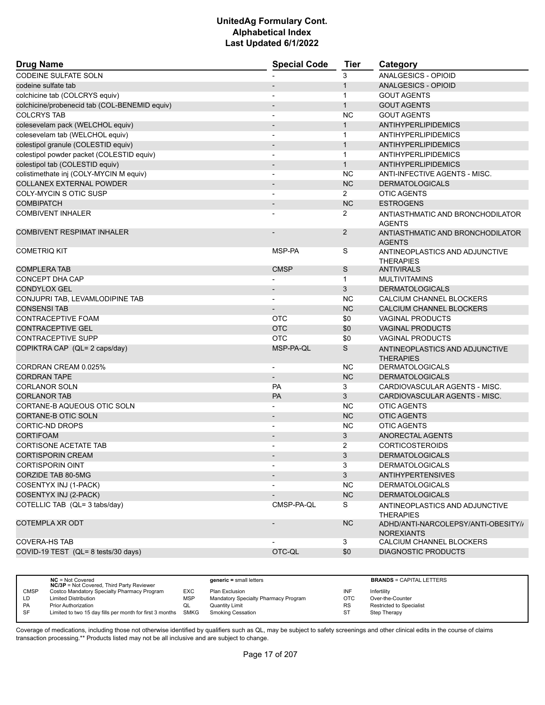| <b>Drug Name</b>                              | <b>Special Code</b>          | <b>Tier</b>    | Category                                                 |
|-----------------------------------------------|------------------------------|----------------|----------------------------------------------------------|
| <b>CODEINE SULFATE SOLN</b>                   |                              | 3              | <b>ANALGESICS - OPIOID</b>                               |
| codeine sulfate tab                           |                              | $\mathbf{1}$   | ANALGESICS - OPIOID                                      |
| colchicine tab (COLCRYS equiv)                |                              | $\mathbf{1}$   | <b>GOUT AGENTS</b>                                       |
| colchicine/probenecid tab (COL-BENEMID equiv) | $\qquad \qquad \blacksquare$ | $\mathbf{1}$   | <b>GOUT AGENTS</b>                                       |
| <b>COLCRYS TAB</b>                            |                              | <b>NC</b>      | <b>GOUT AGENTS</b>                                       |
| colesevelam pack (WELCHOL equiv)              |                              | $\mathbf{1}$   | ANTIHYPERLIPIDEMICS                                      |
| colesevelam tab (WELCHOL equiv)               | ٠                            | $\mathbf{1}$   | <b>ANTIHYPERLIPIDEMICS</b>                               |
| colestipol granule (COLESTID equiv)           | $\overline{\phantom{m}}$     | $\mathbf{1}$   | ANTIHYPERLIPIDEMICS                                      |
| colestipol powder packet (COLESTID equiv)     | $\overline{a}$               | $\mathbf{1}$   | ANTIHYPERLIPIDEMICS                                      |
| colestipol tab (COLESTID equiv)               | $\overline{\phantom{a}}$     | $\mathbf{1}$   | ANTIHYPERLIPIDEMICS                                      |
| colistimethate inj (COLY-MYCIN M equiv)       |                              | <b>NC</b>      | ANTI-INFECTIVE AGENTS - MISC.                            |
| <b>COLLANEX EXTERNAL POWDER</b>               |                              | <b>NC</b>      | <b>DERMATOLOGICALS</b>                                   |
| COLY-MYCIN S OTIC SUSP                        |                              | $\overline{2}$ | <b>OTIC AGENTS</b>                                       |
| <b>COMBIPATCH</b>                             |                              | <b>NC</b>      | <b>ESTROGENS</b>                                         |
| <b>COMBIVENT INHALER</b>                      |                              | 2              | ANTIASTHMATIC AND BRONCHODILATOR<br><b>AGENTS</b>        |
| <b>COMBIVENT RESPIMAT INHALER</b>             |                              | 2              | ANTIASTHMATIC AND BRONCHODILATOR<br><b>AGENTS</b>        |
| <b>COMETRIQ KIT</b>                           | MSP-PA                       | S              | ANTINEOPLASTICS AND ADJUNCTIVE<br><b>THERAPIES</b>       |
| <b>COMPLERA TAB</b>                           | <b>CMSP</b>                  | S              | <b>ANTIVIRALS</b>                                        |
| CONCEPT DHA CAP                               |                              | $\mathbf 1$    | <b>MULTIVITAMINS</b>                                     |
| <b>CONDYLOX GEL</b>                           |                              | 3              | <b>DERMATOLOGICALS</b>                                   |
| CONJUPRI TAB, LEVAMLODIPINE TAB               |                              | <b>NC</b>      | CALCIUM CHANNEL BLOCKERS                                 |
| <b>CONSENSI TAB</b>                           |                              | <b>NC</b>      | CALCIUM CHANNEL BLOCKERS                                 |
| CONTRACEPTIVE FOAM                            | <b>OTC</b>                   | \$0            | <b>VAGINAL PRODUCTS</b>                                  |
| <b>CONTRACEPTIVE GEL</b>                      | <b>OTC</b>                   | \$0            | <b>VAGINAL PRODUCTS</b>                                  |
| <b>CONTRACEPTIVE SUPP</b>                     | <b>OTC</b>                   | \$0            | <b>VAGINAL PRODUCTS</b>                                  |
| COPIKTRA CAP (QL= 2 caps/day)                 | MSP-PA-QL                    | S              | ANTINEOPLASTICS AND ADJUNCTIVE<br><b>THERAPIES</b>       |
| CORDRAN CREAM 0.025%                          |                              | <b>NC</b>      | <b>DERMATOLOGICALS</b>                                   |
| <b>CORDRAN TAPE</b>                           | $\overline{a}$               | <b>NC</b>      | <b>DERMATOLOGICALS</b>                                   |
| <b>CORLANOR SOLN</b>                          | PA                           | 3              | CARDIOVASCULAR AGENTS - MISC.                            |
| <b>CORLANOR TAB</b>                           | PA                           | 3              | CARDIOVASCULAR AGENTS - MISC.                            |
| CORTANE-B AQUEOUS OTIC SOLN                   |                              | NC             | <b>OTIC AGENTS</b>                                       |
| CORTANE-B OTIC SOLN                           |                              | <b>NC</b>      | <b>OTIC AGENTS</b>                                       |
| <b>CORTIC-ND DROPS</b>                        | $\overline{\phantom{a}}$     | <b>NC</b>      | <b>OTIC AGENTS</b>                                       |
| <b>CORTIFOAM</b>                              |                              | 3              | <b>ANORECTAL AGENTS</b>                                  |
| <b>CORTISONE ACETATE TAB</b>                  |                              | 2              | <b>CORTICOSTEROIDS</b>                                   |
| <b>CORTISPORIN CREAM</b>                      |                              | 3              | <b>DERMATOLOGICALS</b>                                   |
| <b>CORTISPORIN OINT</b>                       |                              | 3              | <b>DERMATOLOGICALS</b>                                   |
| CORZIDE TAB 80-5MG                            |                              | $\mathbf{3}$   | <b>ANTIHYPERTENSIVES</b>                                 |
| COSENTYX INJ (1-PACK)                         |                              | <b>NC</b>      | <b>DERMATOLOGICALS</b>                                   |
| COSENTYX INJ (2-PACK)                         |                              | <b>NC</b>      | <b>DERMATOLOGICALS</b>                                   |
| COTELLIC TAB (QL= 3 tabs/day)                 | CMSP-PA-QL                   | S              | ANTINEOPLASTICS AND ADJUNCTIVE<br><b>THERAPIES</b>       |
| <b>COTEMPLA XR ODT</b>                        |                              | <b>NC</b>      | ADHD/ANTI-NARCOLEPSY/ANTI-OBESITY//<br><b>NOREXIANTS</b> |
| <b>COVERA-HS TAB</b>                          |                              | 3              | CALCIUM CHANNEL BLOCKERS                                 |
| COVID-19 TEST (QL= 8 tests/30 days)           | OTC-QL                       | \$0            | <b>DIAGNOSTIC PRODUCTS</b>                               |
|                                               |                              |                |                                                          |

|             | $NC = Not Covered$<br><b>NC/3P</b> = Not Covered, Third Party Reviewer |            | $generic = small letters$            |           | <b>BRANDS = CAPITAL LETTERS</b> |
|-------------|------------------------------------------------------------------------|------------|--------------------------------------|-----------|---------------------------------|
| <b>CMSP</b> | Costco Mandatory Specialty Pharmacy Program                            | EXC        | Plan Exclusion                       | INF       | Infertility                     |
| LD          | <b>Limited Distribution</b>                                            | <b>MSP</b> | Mandatory Specialty Pharmacy Program | OTC       | Over-the-Counter                |
| <b>PA</b>   | Prior Authorization                                                    | QL         | Quantity Limit                       | <b>RS</b> | <b>Restricted to Specialist</b> |
| <b>SF</b>   | Limited to two 15 day fills per month for first 3 months SMKG          |            | <b>Smoking Cessation</b>             | ST        | Step Therapy                    |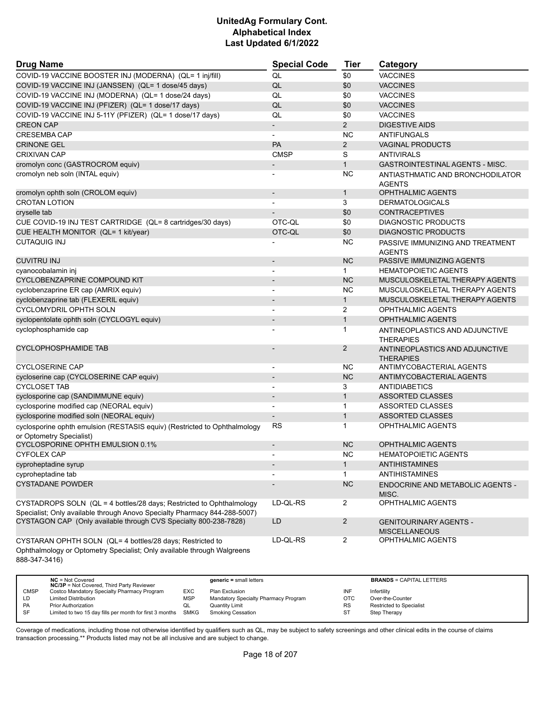| <b>Drug Name</b>                                                                                                                     | <b>Special Code</b>          | <b>Tier</b>    | Category                                              |
|--------------------------------------------------------------------------------------------------------------------------------------|------------------------------|----------------|-------------------------------------------------------|
| COVID-19 VACCINE BOOSTER INJ (MODERNA) (QL= 1 inj/fill)                                                                              | QL                           | \$0            | <b>VACCINES</b>                                       |
| COVID-19 VACCINE INJ (JANSSEN) (QL= 1 dose/45 days)                                                                                  | QL                           | \$0            | <b>VACCINES</b>                                       |
| COVID-19 VACCINE INJ (MODERNA) (QL= 1 dose/24 days)                                                                                  | QL                           | \$0            | <b>VACCINES</b>                                       |
| COVID-19 VACCINE INJ (PFIZER) (QL= 1 dose/17 days)                                                                                   | QL                           | \$0            | <b>VACCINES</b>                                       |
| COVID-19 VACCINE INJ 5-11Y (PFIZER) (QL= 1 dose/17 days)                                                                             | QL                           | \$0            | <b>VACCINES</b>                                       |
| <b>CREON CAP</b>                                                                                                                     | $\overline{\phantom{a}}$     | $\overline{2}$ | <b>DIGESTIVE AIDS</b>                                 |
| <b>CRESEMBA CAP</b>                                                                                                                  |                              | <b>NC</b>      | <b>ANTIFUNGALS</b>                                    |
| <b>CRINONE GEL</b>                                                                                                                   | PA                           | $\overline{2}$ | <b>VAGINAL PRODUCTS</b>                               |
| <b>CRIXIVAN CAP</b>                                                                                                                  | <b>CMSP</b>                  | S              | <b>ANTIVIRALS</b>                                     |
| cromolyn conc (GASTROCROM equiv)                                                                                                     |                              | $\mathbf{1}$   | <b>GASTROINTESTINAL AGENTS - MISC.</b>                |
| cromolyn neb soln (INTAL equiv)                                                                                                      |                              | <b>NC</b>      | ANTIASTHMATIC AND BRONCHODILATOR<br><b>AGENTS</b>     |
| cromolyn ophth soln (CROLOM equiv)                                                                                                   | $\qquad \qquad \blacksquare$ | $\mathbf{1}$   | <b>OPHTHALMIC AGENTS</b>                              |
| <b>CROTAN LOTION</b>                                                                                                                 |                              | 3              | <b>DERMATOLOGICALS</b>                                |
| cryselle tab                                                                                                                         |                              | \$0            | <b>CONTRACEPTIVES</b>                                 |
| CUE COVID-19 INJ TEST CARTRIDGE (QL= 8 cartridges/30 days)                                                                           | OTC-QL                       | \$0            | <b>DIAGNOSTIC PRODUCTS</b>                            |
| CUE HEALTH MONITOR (QL= 1 kit/year)                                                                                                  | OTC-QL                       | \$0            | <b>DIAGNOSTIC PRODUCTS</b>                            |
| <b>CUTAQUIG INJ</b>                                                                                                                  |                              | <b>NC</b>      | PASSIVE IMMUNIZING AND TREATMENT<br><b>AGENTS</b>     |
| <b>CUVITRU INJ</b>                                                                                                                   |                              | <b>NC</b>      | PASSIVE IMMUNIZING AGENTS                             |
| cyanocobalamin inj                                                                                                                   | $\overline{\phantom{a}}$     | $\mathbf{1}$   | <b>HEMATOPOIETIC AGENTS</b>                           |
| CYCLOBENZAPRINE COMPOUND KIT                                                                                                         | $\overline{\phantom{a}}$     | <b>NC</b>      | MUSCULOSKELETAL THERAPY AGENTS                        |
| cyclobenzaprine ER cap (AMRIX equiv)                                                                                                 |                              | <b>NC</b>      | MUSCULOSKELETAL THERAPY AGENTS                        |
| cyclobenzaprine tab (FLEXERIL equiv)                                                                                                 |                              | $\mathbf{1}$   | MUSCULOSKELETAL THERAPY AGENTS                        |
| <b>CYCLOMYDRIL OPHTH SOLN</b>                                                                                                        |                              | 2              | <b>OPHTHALMIC AGENTS</b>                              |
| cyclopentolate ophth soln (CYCLOGYL equiv)                                                                                           |                              | $\mathbf{1}$   | <b>OPHTHALMIC AGENTS</b>                              |
| cyclophosphamide cap                                                                                                                 |                              | $\mathbf{1}$   | ANTINEOPLASTICS AND ADJUNCTIVE<br><b>THERAPIES</b>    |
| <b>CYCLOPHOSPHAMIDE TAB</b>                                                                                                          |                              | 2              | ANTINEOPLASTICS AND ADJUNCTIVE<br><b>THERAPIES</b>    |
| <b>CYCLOSERINE CAP</b>                                                                                                               | $\overline{\phantom{a}}$     | <b>NC</b>      | ANTIMYCOBACTERIAL AGENTS                              |
| cycloserine cap (CYCLOSERINE CAP equiv)                                                                                              | $\overline{\phantom{a}}$     | <b>NC</b>      | ANTIMYCOBACTERIAL AGENTS                              |
| <b>CYCLOSET TAB</b>                                                                                                                  |                              | 3              | <b>ANTIDIABETICS</b>                                  |
| cyclosporine cap (SANDIMMUNE equiv)                                                                                                  |                              | $\mathbf{1}$   | <b>ASSORTED CLASSES</b>                               |
| cyclosporine modified cap (NEORAL equiv)                                                                                             | $\blacksquare$               | $\mathbf{1}$   | <b>ASSORTED CLASSES</b>                               |
| cyclosporine modified soln (NEORAL equiv)                                                                                            |                              | $\mathbf{1}$   | <b>ASSORTED CLASSES</b>                               |
| cyclosporine ophth emulsion (RESTASIS equiv) (Restricted to Ophthalmology<br>or Optometry Specialist)                                | <b>RS</b>                    | $\mathbf{1}$   | <b>OPHTHALMIC AGENTS</b>                              |
| CYCLOSPORINE OPHTH EMULSION 0.1%                                                                                                     | $\overline{a}$               | <b>NC</b>      | <b>OPHTHALMIC AGENTS</b>                              |
| <b>CYFOLEX CAP</b>                                                                                                                   |                              | <b>NC</b>      | <b>HEMATOPOIETIC AGENTS</b>                           |
| cyproheptadine syrup                                                                                                                 | $\overline{\phantom{a}}$     | $\mathbf{1}$   | ANTIHISTAMINES                                        |
| cyproheptadine tab                                                                                                                   |                              | $\mathbf{1}$   | ANTIHISTAMINES                                        |
| <b>CYSTADANE POWDER</b>                                                                                                              |                              | NC             | ENDOCRINE AND METABOLIC AGENTS -<br>MISC.             |
| CYSTADROPS SOLN (QL = 4 bottles/28 days; Restricted to Ophthalmology                                                                 | LD-QL-RS                     | $\overline{2}$ | <b>OPHTHALMIC AGENTS</b>                              |
| Specialist; Only available through Anovo Specialty Pharmacy 844-288-5007)                                                            |                              |                |                                                       |
| CYSTAGON CAP (Only available through CVS Specialty 800-238-7828)                                                                     | LD                           | $\overline{2}$ | <b>GENITOURINARY AGENTS -</b><br><b>MISCELLANEOUS</b> |
| CYSTARAN OPHTH SOLN (QL= 4 bottles/28 days; Restricted to<br>Ophthalmology or Optometry Specialist; Only available through Walgreens | LD-QL-RS                     | $\overline{2}$ | OPHTHALMIC AGENTS                                     |

888-347-3416)

|             | $NC = Not Covered$<br><b>NC/3P</b> = Not Covered, Third Party Reviewer |            | $generic = small letters$            |           | <b>BRANDS = CAPITAL LETTERS</b> |
|-------------|------------------------------------------------------------------------|------------|--------------------------------------|-----------|---------------------------------|
| <b>CMSP</b> | Costco Mandatory Specialty Pharmacy Program                            | EXC        | Plan Exclusion                       | INF       | Infertility                     |
| LD          | <b>Limited Distribution</b>                                            | <b>MSP</b> | Mandatory Specialty Pharmacy Program | отс       | Over-the-Counter                |
| <b>PA</b>   | <b>Prior Authorization</b>                                             | QL         | <b>Quantity Limit</b>                | <b>RS</b> | Restricted to Specialist        |
| SF          | Limited to two 15 day fills per month for first 3 months SMKG          |            | Smoking Cessation                    | ST        | Step Therapy                    |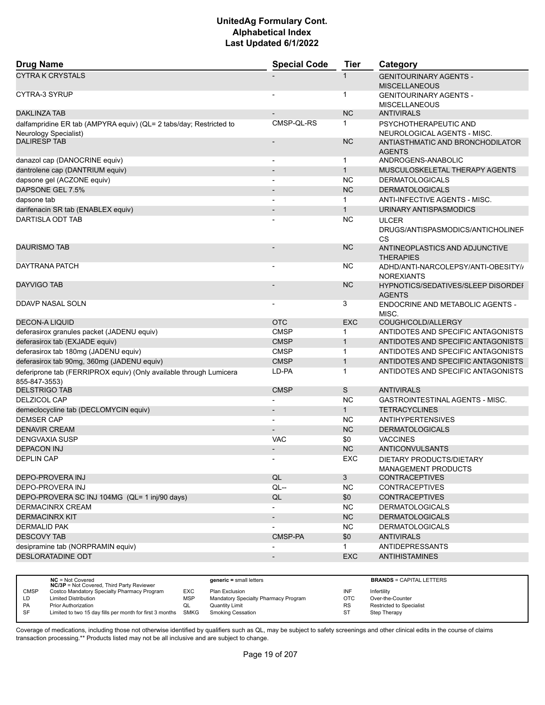| <b>Drug Name</b>                                                                            | <b>Special Code</b>      | <b>Tier</b>  | Category                                                 |
|---------------------------------------------------------------------------------------------|--------------------------|--------------|----------------------------------------------------------|
| <b>CYTRA K CRYSTALS</b>                                                                     |                          | 1            | <b>GENITOURINARY AGENTS -</b><br><b>MISCELLANEOUS</b>    |
| CYTRA-3 SYRUP                                                                               |                          | 1            | <b>GENITOURINARY AGENTS -</b><br><b>MISCELLANEOUS</b>    |
| <b>DAKLINZA TAB</b>                                                                         |                          | <b>NC</b>    | <b>ANTIVIRALS</b>                                        |
| dalfampridine ER tab (AMPYRA equiv) (QL= 2 tabs/day; Restricted to<br>Neurology Specialist) | CMSP-QL-RS               | 1            | PSYCHOTHERAPEUTIC AND<br>NEUROLOGICAL AGENTS - MISC.     |
| <b>DALIRESP TAB</b>                                                                         |                          | <b>NC</b>    | ANTIASTHMATIC AND BRONCHODILATOR<br><b>AGENTS</b>        |
| danazol cap (DANOCRINE equiv)                                                               | $\blacksquare$           | 1            | ANDROGENS-ANABOLIC                                       |
| dantrolene cap (DANTRIUM equiv)                                                             |                          | $\mathbf{1}$ | MUSCULOSKELETAL THERAPY AGENTS                           |
| dapsone gel (ACZONE equiv)                                                                  |                          | <b>NC</b>    | <b>DERMATOLOGICALS</b>                                   |
| DAPSONE GEL 7.5%                                                                            |                          | <b>NC</b>    | <b>DERMATOLOGICALS</b>                                   |
| dapsone tab                                                                                 | $\blacksquare$           | $\mathbf{1}$ | ANTI-INFECTIVE AGENTS - MISC.                            |
| darifenacin SR tab (ENABLEX equiv)                                                          |                          | $\mathbf{1}$ | URINARY ANTISPASMODICS                                   |
| DARTISLA ODT TAB                                                                            |                          | <b>NC</b>    | <b>ULCER</b><br>DRUGS/ANTISPASMODICS/ANTICHOLINEF<br>CS  |
| <b>DAURISMO TAB</b>                                                                         |                          | <b>NC</b>    | ANTINEOPLASTICS AND ADJUNCTIVE<br><b>THERAPIES</b>       |
| DAYTRANA PATCH                                                                              |                          | <b>NC</b>    | ADHD/ANTI-NARCOLEPSY/ANTI-OBESITY//<br><b>NOREXIANTS</b> |
| <b>DAYVIGO TAB</b>                                                                          |                          | <b>NC</b>    | HYPNOTICS/SEDATIVES/SLEEP DISORDEF<br><b>AGENTS</b>      |
| DDAVP NASAL SOLN                                                                            | $\overline{\phantom{a}}$ | 3            | ENDOCRINE AND METABOLIC AGENTS -<br>MISC.                |
| <b>DECON-A LIQUID</b>                                                                       | <b>OTC</b>               | <b>EXC</b>   | COUGH/COLD/ALLERGY                                       |
| deferasirox granules packet (JADENU equiv)                                                  | <b>CMSP</b>              | 1            | ANTIDOTES AND SPECIFIC ANTAGONISTS                       |
| deferasirox tab (EXJADE equiv)                                                              | <b>CMSP</b>              | $\mathbf{1}$ | ANTIDOTES AND SPECIFIC ANTAGONISTS                       |
| deferasirox tab 180mg (JADENU equiv)                                                        | <b>CMSP</b>              | $\mathbf{1}$ | ANTIDOTES AND SPECIFIC ANTAGONISTS                       |
| deferasirox tab 90mg, 360mg (JADENU equiv)                                                  | <b>CMSP</b>              | $\mathbf{1}$ | ANTIDOTES AND SPECIFIC ANTAGONISTS                       |
| deferiprone tab (FERRIPROX equiv) (Only available through Lumicera<br>855-847-3553)         | LD-PA                    | $\mathbf 1$  | ANTIDOTES AND SPECIFIC ANTAGONISTS                       |
| <b>DELSTRIGO TAB</b>                                                                        | <b>CMSP</b>              | S            | <b>ANTIVIRALS</b>                                        |
| <b>DELZICOL CAP</b>                                                                         |                          | <b>NC</b>    | <b>GASTROINTESTINAL AGENTS - MISC.</b>                   |
| demeclocycline tab (DECLOMYCIN equiv)                                                       |                          | $\mathbf{1}$ | <b>TETRACYCLINES</b>                                     |
| <b>DEMSER CAP</b>                                                                           |                          | <b>NC</b>    | <b>ANTIHYPERTENSIVES</b>                                 |
| <b>DENAVIR CREAM</b>                                                                        |                          | <b>NC</b>    | <b>DERMATOLOGICALS</b>                                   |
| <b>DENGVAXIA SUSP</b>                                                                       | VAC                      | \$0          | <b>VACCINES</b>                                          |
| <b>DEPACON INJ</b>                                                                          |                          | <b>NC</b>    | ANTICONVULSANTS                                          |
| <b>DEPLIN CAP</b>                                                                           |                          | EXC          | DIETARY PRODUCTS/DIETARY<br><b>MANAGEMENT PRODUCTS</b>   |
| DEPO-PROVERA INJ                                                                            | QL                       | $\mathbf{3}$ | <b>CONTRACEPTIVES</b>                                    |
| DEPO-PROVERA INJ                                                                            | $QL -$                   | <b>NC</b>    | <b>CONTRACEPTIVES</b>                                    |
| DEPO-PROVERA SC INJ 104MG (QL= 1 inj/90 days)                                               | QL                       | \$0          | <b>CONTRACEPTIVES</b>                                    |
| <b>DERMACINRX CREAM</b>                                                                     |                          | <b>NC</b>    | <b>DERMATOLOGICALS</b>                                   |
| <b>DERMACINRX KIT</b>                                                                       | $\overline{\phantom{a}}$ | <b>NC</b>    | <b>DERMATOLOGICALS</b>                                   |
| <b>DERMALID PAK</b>                                                                         |                          | <b>NC</b>    | <b>DERMATOLOGICALS</b>                                   |
| <b>DESCOVY TAB</b>                                                                          | CMSP-PA                  | \$0          | <b>ANTIVIRALS</b>                                        |
| desipramine tab (NORPRAMIN equiv)                                                           | $\overline{a}$           | $\mathbf{1}$ | <b>ANTIDEPRESSANTS</b>                                   |
| <b>DESLORATADINE ODT</b>                                                                    | $\overline{\phantom{a}}$ | <b>EXC</b>   | <b>ANTIHISTAMINES</b>                                    |
|                                                                                             |                          |              |                                                          |

|             | $NC = Not Covered$<br><b>NC/3P</b> = Not Covered, Third Party Reviewer |            | $generic = small letters$            |           | <b>BRANDS = CAPITAL LETTERS</b> |
|-------------|------------------------------------------------------------------------|------------|--------------------------------------|-----------|---------------------------------|
| <b>CMSP</b> | Costco Mandatory Specialty Pharmacy Program                            | EXC        | Plan Exclusion                       | INF       | Infertility                     |
| LD.         | <b>Limited Distribution</b>                                            | <b>MSP</b> | Mandatory Specialty Pharmacy Program | OTC       | Over-the-Counter                |
| PA          | <b>Prior Authorization</b>                                             | QL         | Quantity Limit                       | <b>RS</b> | <b>Restricted to Specialist</b> |
| SF          | Limited to two 15 day fills per month for first 3 months SMKG          |            | Smoking Cessation                    | ST        | Step Therapy                    |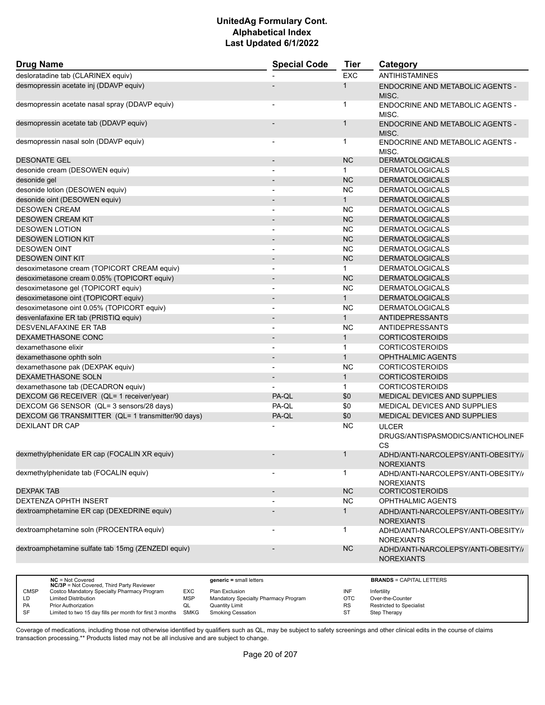| <b>Drug Name</b>                                   | <b>Special Code</b>      | <b>Tier</b>  | Category                                                       |
|----------------------------------------------------|--------------------------|--------------|----------------------------------------------------------------|
| desloratadine tab (CLARINEX equiv)                 |                          | <b>EXC</b>   | <b>ANTIHISTAMINES</b>                                          |
| desmopressin acetate inj (DDAVP equiv)             |                          | $\mathbf{1}$ | <b>ENDOCRINE AND METABOLIC AGENTS -</b><br>MISC.               |
| desmopressin acetate nasal spray (DDAVP equiv)     |                          | -1           | ENDOCRINE AND METABOLIC AGENTS -<br>MISC.                      |
| desmopressin acetate tab (DDAVP equiv)             |                          | $\mathbf{1}$ | <b>ENDOCRINE AND METABOLIC AGENTS -</b><br>MISC.               |
| desmopressin nasal soln (DDAVP equiv)              |                          | $\mathbf 1$  | ENDOCRINE AND METABOLIC AGENTS -<br>MISC.                      |
| <b>DESONATE GEL</b>                                |                          | <b>NC</b>    | <b>DERMATOLOGICALS</b>                                         |
| desonide cream (DESOWEN equiv)                     |                          | $\mathbf{1}$ | <b>DERMATOLOGICALS</b>                                         |
| desonide gel                                       |                          | <b>NC</b>    | <b>DERMATOLOGICALS</b>                                         |
| desonide lotion (DESOWEN equiv)                    | $\blacksquare$           | <b>NC</b>    | <b>DERMATOLOGICALS</b>                                         |
| desonide oint (DESOWEN equiv)                      |                          | $\mathbf{1}$ | <b>DERMATOLOGICALS</b>                                         |
| <b>DESOWEN CREAM</b>                               |                          | <b>NC</b>    | <b>DERMATOLOGICALS</b>                                         |
| <b>DESOWEN CREAM KIT</b>                           |                          | <b>NC</b>    | <b>DERMATOLOGICALS</b>                                         |
| <b>DESOWEN LOTION</b>                              |                          | <b>NC</b>    | <b>DERMATOLOGICALS</b>                                         |
| <b>DESOWEN LOTION KIT</b>                          |                          | <b>NC</b>    | <b>DERMATOLOGICALS</b>                                         |
| <b>DESOWEN OINT</b>                                | $\overline{a}$           | <b>NC</b>    | <b>DERMATOLOGICALS</b>                                         |
| <b>DESOWEN OINT KIT</b>                            | $\overline{\phantom{a}}$ | <b>NC</b>    | <b>DERMATOLOGICALS</b>                                         |
| desoximetasone cream (TOPICORT CREAM equiv)        |                          | $\mathbf{1}$ | <b>DERMATOLOGICALS</b>                                         |
| desoximetasone cream 0.05% (TOPICORT equiv)        |                          | <b>NC</b>    | <b>DERMATOLOGICALS</b>                                         |
| desoximetasone gel (TOPICORT equiv)                | $\overline{\phantom{a}}$ | <b>NC</b>    | <b>DERMATOLOGICALS</b>                                         |
| desoximetasone oint (TOPICORT equiv)               |                          | $\mathbf{1}$ | <b>DERMATOLOGICALS</b>                                         |
| desoximetasone oint 0.05% (TOPICORT equiv)         | $\overline{\phantom{a}}$ | <b>NC</b>    | <b>DERMATOLOGICALS</b>                                         |
| desvenlafaxine ER tab (PRISTIQ equiv)              |                          | $\mathbf{1}$ | <b>ANTIDEPRESSANTS</b>                                         |
| <b>DESVENLAFAXINE ER TAB</b>                       |                          | <b>NC</b>    | ANTIDEPRESSANTS                                                |
| DEXAMETHASONE CONC                                 |                          | $\mathbf{1}$ | <b>CORTICOSTEROIDS</b>                                         |
| dexamethasone elixir                               | $\overline{a}$           | $\mathbf{1}$ | <b>CORTICOSTEROIDS</b>                                         |
| dexamethasone ophth soln                           |                          | $\mathbf{1}$ | <b>OPHTHALMIC AGENTS</b>                                       |
| dexamethasone pak (DEXPAK equiv)                   | $\blacksquare$           | <b>NC</b>    | <b>CORTICOSTEROIDS</b>                                         |
| <b>DEXAMETHASONE SOLN</b>                          | $\overline{\phantom{a}}$ | $\mathbf{1}$ | <b>CORTICOSTEROIDS</b>                                         |
|                                                    |                          |              |                                                                |
| dexamethasone tab (DECADRON equiv)                 |                          | $\mathbf 1$  | <b>CORTICOSTEROIDS</b>                                         |
| DEXCOM G6 RECEIVER (QL= 1 receiver/year)           | PA-QL                    | \$0          | MEDICAL DEVICES AND SUPPLIES                                   |
| DEXCOM G6 SENSOR (QL= 3 sensors/28 days)           | PA-QL                    | \$0          | MEDICAL DEVICES AND SUPPLIES                                   |
| DEXCOM G6 TRANSMITTER (QL= 1 transmitter/90 days)  | PA-QL                    | \$0          | MEDICAL DEVICES AND SUPPLIES                                   |
| <b>DEXILANT DR CAP</b>                             |                          | <b>NC</b>    | <b>ULCER</b><br>DRUGS/ANTISPASMODICS/ANTICHOLINEF<br><b>CS</b> |
| dexmethylphenidate ER cap (FOCALIN XR equiv)       |                          | 1            | ADHD/ANTI-NARCOLEPSY/ANTI-OBESITY//<br><b>NOREXIANTS</b>       |
| dexmethylphenidate tab (FOCALIN equiv)             |                          | 1            | ADHD/ANTI-NARCOLEPSY/ANTI-OBESITY//<br><b>NOREXIANTS</b>       |
| <b>DEXPAK TAB</b>                                  |                          | <b>NC</b>    | <b>CORTICOSTEROIDS</b>                                         |
| DEXTENZA OPHTH INSERT                              |                          | <b>NC</b>    | OPHTHALMIC AGENTS                                              |
| dextroamphetamine ER cap (DEXEDRINE equiv)         |                          | $\mathbf{1}$ | ADHD/ANTI-NARCOLEPSY/ANTI-OBESITY//<br><b>NOREXIANTS</b>       |
| dextroamphetamine soln (PROCENTRA equiv)           |                          | 1            | ADHD/ANTI-NARCOLEPSY/ANTI-OBESITY//<br><b>NOREXIANTS</b>       |
| dextroamphetamine sulfate tab 15mg (ZENZEDI equiv) |                          | NC.          | ADHD/ANTI-NARCOLEPSY/ANTI-OBESITY//<br><b>NOREXIANTS</b>       |
|                                                    |                          |              |                                                                |

|             | $NC = Not Covered$<br><b>NC/3P</b> = Not Covered, Third Party Reviewer |            | $generic = small letters$            |           | <b>BRANDS = CAPITAL LETTERS</b> |
|-------------|------------------------------------------------------------------------|------------|--------------------------------------|-----------|---------------------------------|
| <b>CMSP</b> | Costco Mandatory Specialty Pharmacy Program                            | EXC        | Plan Exclusion                       | INF       | Infertility                     |
| LD          | <b>Limited Distribution</b>                                            | <b>MSP</b> | Mandatory Specialty Pharmacy Program | ОТС       | Over-the-Counter                |
| <b>PA</b>   | <b>Prior Authorization</b>                                             | QL         | Quantity Limit                       | <b>RS</b> | Restricted to Specialist        |
| SF          | Limited to two 15 day fills per month for first 3 months SMKG          |            | Smoking Cessation                    | ST        | Step Therapy                    |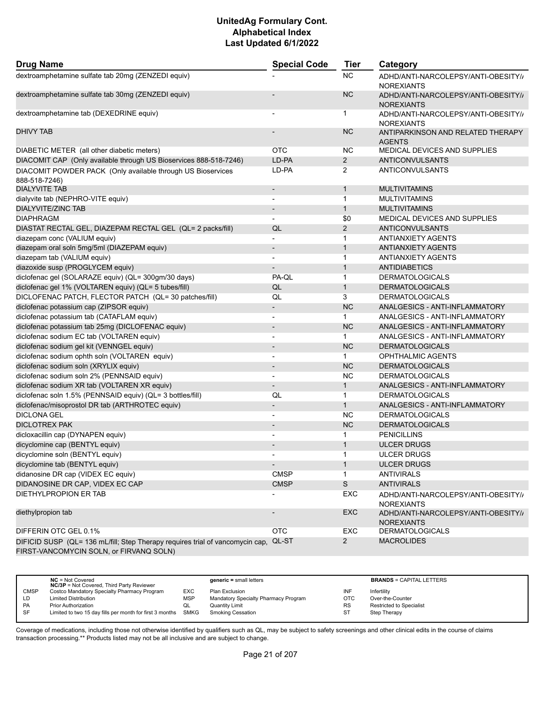| <b>Drug Name</b>                                                                                                         | <b>Special Code</b>      | <b>Tier</b>    | Category                                                 |
|--------------------------------------------------------------------------------------------------------------------------|--------------------------|----------------|----------------------------------------------------------|
| dextroamphetamine sulfate tab 20mg (ZENZEDI equiv)                                                                       |                          | <b>NC</b>      | ADHD/ANTI-NARCOLEPSY/ANTI-OBESITY//<br><b>NOREXIANTS</b> |
| dextroamphetamine sulfate tab 30mg (ZENZEDI equiv)                                                                       |                          | <b>NC</b>      | ADHD/ANTI-NARCOLEPSY/ANTI-OBESITY//<br><b>NOREXIANTS</b> |
| dextroamphetamine tab (DEXEDRINE equiv)                                                                                  |                          | $\mathbf 1$    | ADHD/ANTI-NARCOLEPSY/ANTI-OBESITY//<br><b>NOREXIANTS</b> |
| DHIVY TAB                                                                                                                |                          | <b>NC</b>      | ANTIPARKINSON AND RELATED THERAPY<br><b>AGENTS</b>       |
| DIABETIC METER (all other diabetic meters)                                                                               | <b>OTC</b>               | <b>NC</b>      | MEDICAL DEVICES AND SUPPLIES                             |
| DIACOMIT CAP (Only available through US Bioservices 888-518-7246)                                                        | LD-PA                    | $\overline{2}$ | <b>ANTICONVULSANTS</b>                                   |
| DIACOMIT POWDER PACK (Only available through US Bioservices<br>888-518-7246)                                             | LD-PA                    | 2              | ANTICONVULSANTS                                          |
| <b>DIALYVITE TAB</b>                                                                                                     | $\overline{\phantom{a}}$ | $\mathbf{1}$   | <b>MULTIVITAMINS</b>                                     |
| dialyvite tab (NEPHRO-VITE equiv)                                                                                        |                          | $\mathbf{1}$   | <b>MULTIVITAMINS</b>                                     |
| <b>DIALYVITE/ZINC TAB</b>                                                                                                | $\overline{\phantom{a}}$ | $\mathbf{1}$   | <b>MULTIVITAMINS</b>                                     |
| <b>DIAPHRAGM</b>                                                                                                         | $\blacksquare$           | \$0            | <b>MEDICAL DEVICES AND SUPPLIES</b>                      |
| DIASTAT RECTAL GEL, DIAZEPAM RECTAL GEL (QL= 2 packs/fill)                                                               | QL                       | $\overline{2}$ | <b>ANTICONVULSANTS</b>                                   |
| diazepam conc (VALIUM equiv)                                                                                             | $\overline{a}$           | $\mathbf{1}$   | <b>ANTIANXIETY AGENTS</b>                                |
| diazepam oral soln 5mg/5ml (DIAZEPAM equiv)                                                                              | $\overline{\phantom{m}}$ | $\mathbf{1}$   | <b>ANTIANXIETY AGENTS</b>                                |
| diazepam tab (VALIUM equiv)                                                                                              |                          | $\mathbf{1}$   | <b>ANTIANXIETY AGENTS</b>                                |
| diazoxide susp (PROGLYCEM equiv)                                                                                         | $\overline{a}$           | $\mathbf{1}$   | <b>ANTIDIABETICS</b>                                     |
| diclofenac gel (SOLARAZE equiv) (QL= 300gm/30 days)                                                                      | PA-QL                    | $\mathbf 1$    | <b>DERMATOLOGICALS</b>                                   |
| diclofenac gel 1% (VOLTAREN equiv) (QL= 5 tubes/fill)                                                                    | QL                       | $\mathbf{1}$   | <b>DERMATOLOGICALS</b>                                   |
| DICLOFENAC PATCH, FLECTOR PATCH (QL= 30 patches/fill)                                                                    | QL                       | 3              | <b>DERMATOLOGICALS</b>                                   |
| diclofenac potassium cap (ZIPSOR equiv)                                                                                  |                          | <b>NC</b>      | ANALGESICS - ANTI-INFLAMMATORY                           |
| diclofenac potassium tab (CATAFLAM equiv)                                                                                | $\overline{a}$           | $\mathbf{1}$   | ANALGESICS - ANTI-INFLAMMATORY                           |
| diclofenac potassium tab 25mg (DICLOFENAC equiv)                                                                         | $\overline{\phantom{a}}$ | <b>NC</b>      | ANALGESICS - ANTI-INFLAMMATORY                           |
| diclofenac sodium EC tab (VOLTAREN equiv)                                                                                | $\overline{\phantom{0}}$ | $\mathbf{1}$   | ANALGESICS - ANTI-INFLAMMATORY                           |
| diclofenac sodium gel kit (VENNGEL equiv)                                                                                | $\overline{\phantom{a}}$ | <b>NC</b>      | <b>DERMATOLOGICALS</b>                                   |
| diclofenac sodium ophth soln (VOLTAREN equiv)                                                                            | -                        | $\mathbf{1}$   | <b>OPHTHALMIC AGENTS</b>                                 |
| diclofenac sodium soln (XRYLIX equiv)                                                                                    | $\overline{\phantom{a}}$ | <b>NC</b>      | <b>DERMATOLOGICALS</b>                                   |
| diclofenac sodium soln 2% (PENNSAID equiv)                                                                               | $\overline{\phantom{a}}$ | NC             | <b>DERMATOLOGICALS</b>                                   |
| diclofenac sodium XR tab (VOLTAREN XR equiv)                                                                             | $\overline{\phantom{a}}$ | $\mathbf{1}$   | ANALGESICS - ANTI-INFLAMMATORY                           |
| diclofenac soln 1.5% (PENNSAID equiv) (QL= 3 bottles/fill)                                                               | QL                       | $\mathbf 1$    | <b>DERMATOLOGICALS</b>                                   |
| diclofenac/misoprostol DR tab (ARTHROTEC equiv)                                                                          | $\overline{\phantom{a}}$ | $\mathbf{1}$   | ANALGESICS - ANTI-INFLAMMATORY                           |
| <b>DICLONA GEL</b>                                                                                                       |                          | <b>NC</b>      | <b>DERMATOLOGICALS</b>                                   |
| <b>DICLOTREX PAK</b>                                                                                                     | $\blacksquare$           | NC             | <b>DERMATOLOGICALS</b>                                   |
| dicloxacillin cap (DYNAPEN equiv)                                                                                        |                          | 1              | <b>PENICILLINS</b>                                       |
| dicyclomine cap (BENTYL equiv)                                                                                           |                          | $\mathbf{1}$   | <b>ULCER DRUGS</b>                                       |
| dicyclomine soln (BENTYL equiv)                                                                                          |                          |                | <b>ULCER DRUGS</b>                                       |
| dicyclomine tab (BENTYL equiv)                                                                                           | $\overline{\phantom{0}}$ | $\mathbf{1}$   | <b>ULCER DRUGS</b>                                       |
| didanosine DR cap (VIDEX EC equiv)                                                                                       | <b>CMSP</b>              | 1              | <b>ANTIVIRALS</b>                                        |
| DIDANOSINE DR CAP, VIDEX EC CAP                                                                                          | <b>CMSP</b>              | $\mathbb S$    | <b>ANTIVIRALS</b>                                        |
| DIETHYLPROPION ER TAB                                                                                                    |                          | EXC            | ADHD/ANTI-NARCOLEPSY/ANTI-OBESITY//<br><b>NOREXIANTS</b> |
| diethylpropion tab                                                                                                       |                          | <b>EXC</b>     | ADHD/ANTI-NARCOLEPSY/ANTI-OBESITY//<br><b>NOREXIANTS</b> |
| DIFFERIN OTC GEL 0.1%                                                                                                    | <b>OTC</b>               | EXC            | <b>DERMATOLOGICALS</b>                                   |
| DIFICID SUSP (QL= 136 mL/fill; Step Therapy requires trial of vancomycin cap,<br>FIRST-VANCOMYCIN SOLN, or FIRVANQ SOLN) | QL-ST                    | $\mathbf{2}$   | <b>MACROLIDES</b>                                        |

|             | $NC = Not Covered$<br><b>NC/3P</b> = Not Covered, Third Party Reviewer |            | $generic = small letters$            |            | <b>BRANDS = CAPITAL LETTERS</b> |
|-------------|------------------------------------------------------------------------|------------|--------------------------------------|------------|---------------------------------|
| <b>CMSP</b> | Costco Mandatory Specialty Pharmacy Program                            | EXC        | Plan Exclusion                       | INF        | Infertility                     |
| LD          | <b>Limited Distribution</b>                                            | <b>MSP</b> | Mandatory Specialty Pharmacy Program | <b>OTC</b> | Over-the-Counter                |
| <b>PA</b>   | <b>Prior Authorization</b>                                             | QL         | Quantity Limit                       | <b>RS</b>  | <b>Restricted to Specialist</b> |
| <b>SF</b>   | Limited to two 15 day fills per month for first 3 months               | SMKG       | Smoking Cessation                    | ST         | Step Therapy                    |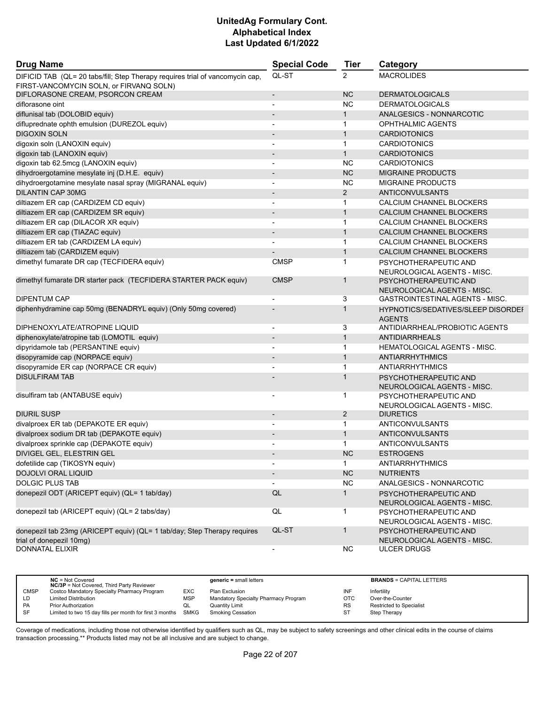| <b>Drug Name</b>                                                                                                         | <b>Special Code</b>          | <b>Tier</b>    | Category                                                   |
|--------------------------------------------------------------------------------------------------------------------------|------------------------------|----------------|------------------------------------------------------------|
| DIFICID TAB (QL= 20 tabs/fill; Step Therapy requires trial of vancomycin cap,<br>FIRST-VANCOMYCIN SOLN, or FIRVANQ SOLN) | QL-ST                        | $\overline{2}$ | <b>MACROLIDES</b>                                          |
| DIFLORASONE CREAM, PSORCON CREAM                                                                                         | $\qquad \qquad \blacksquare$ | <b>NC</b>      | <b>DERMATOLOGICALS</b>                                     |
| diflorasone oint                                                                                                         |                              | <b>NC</b>      | <b>DERMATOLOGICALS</b>                                     |
| diflunisal tab (DOLOBID equiv)                                                                                           |                              | $\mathbf{1}$   | ANALGESICS - NONNARCOTIC                                   |
| difluprednate ophth emulsion (DUREZOL equiv)                                                                             | ٠                            | 1              | <b>OPHTHALMIC AGENTS</b>                                   |
| <b>DIGOXIN SOLN</b>                                                                                                      | $\overline{\phantom{m}}$     | $\mathbf{1}$   | <b>CARDIOTONICS</b>                                        |
| digoxin soln (LANOXIN equiv)                                                                                             |                              | $\mathbf{1}$   | <b>CARDIOTONICS</b>                                        |
| digoxin tab (LANOXIN equiv)                                                                                              | $\qquad \qquad \blacksquare$ | $\mathbf{1}$   | <b>CARDIOTONICS</b>                                        |
| digoxin tab 62.5mcg (LANOXIN equiv)                                                                                      |                              | <b>NC</b>      | <b>CARDIOTONICS</b>                                        |
| dihydroergotamine mesylate inj (D.H.E. equiv)                                                                            |                              | <b>NC</b>      | <b>MIGRAINE PRODUCTS</b>                                   |
| dihydroergotamine mesylate nasal spray (MIGRANAL equiv)                                                                  | $\overline{\phantom{a}}$     | <b>NC</b>      | <b>MIGRAINE PRODUCTS</b>                                   |
| DILANTIN CAP 30MG                                                                                                        | $\overline{\phantom{m}}$     | 2              | <b>ANTICONVULSANTS</b>                                     |
| diltiazem ER cap (CARDIZEM CD equiv)                                                                                     |                              | 1              | CALCIUM CHANNEL BLOCKERS                                   |
| diltiazem ER cap (CARDIZEM SR equiv)                                                                                     | $\qquad \qquad \blacksquare$ | $\mathbf{1}$   | CALCIUM CHANNEL BLOCKERS                                   |
| diltiazem ER cap (DILACOR XR equiv)                                                                                      |                              | $\mathbf{1}$   | CALCIUM CHANNEL BLOCKERS                                   |
| diltiazem ER cap (TIAZAC equiv)                                                                                          |                              | $\mathbf{1}$   | CALCIUM CHANNEL BLOCKERS                                   |
| diltiazem ER tab (CARDIZEM LA equiv)                                                                                     |                              | $\mathbf{1}$   | CALCIUM CHANNEL BLOCKERS                                   |
| diltiazem tab (CARDIZEM equiv)                                                                                           |                              | $\mathbf{1}$   | CALCIUM CHANNEL BLOCKERS                                   |
| dimethyl fumarate DR cap (TECFIDERA equiv)                                                                               | <b>CMSP</b>                  | $\mathbf{1}$   | PSYCHOTHERAPEUTIC AND                                      |
|                                                                                                                          |                              |                | NEUROLOGICAL AGENTS - MISC.                                |
| dimethyl fumarate DR starter pack (TECFIDERA STARTER PACK equiv)                                                         | <b>CMSP</b>                  | $\mathbf{1}$   | PSYCHOTHERAPEUTIC AND                                      |
|                                                                                                                          |                              |                | NEUROLOGICAL AGENTS - MISC.                                |
| <b>DIPENTUM CAP</b>                                                                                                      | $\overline{a}$               | 3              | GASTROINTESTINAL AGENTS - MISC.                            |
| diphenhydramine cap 50mg (BENADRYL equiv) (Only 50mg covered)                                                            |                              | $\mathbf{1}$   | <b>HYPNOTICS/SEDATIVES/SLEEP DISORDEF</b><br><b>AGENTS</b> |
| DIPHENOXYLATE/ATROPINE LIQUID                                                                                            | $\overline{\phantom{a}}$     | 3              | ANTIDIARRHEAL/PROBIOTIC AGENTS                             |
| diphenoxylate/atropine tab (LOMOTIL equiv)                                                                               | $\overline{\phantom{a}}$     | $\mathbf{1}$   | <b>ANTIDIARRHEALS</b>                                      |
| dipyridamole tab (PERSANTINE equiv)                                                                                      | $\overline{\phantom{a}}$     | 1              | <b>HEMATOLOGICAL AGENTS - MISC.</b>                        |
| disopyramide cap (NORPACE equiv)                                                                                         | $\qquad \qquad \blacksquare$ | $\mathbf{1}$   | <b>ANTIARRHYTHMICS</b>                                     |
| disopyramide ER cap (NORPACE CR equiv)                                                                                   |                              | $\mathbf{1}$   | ANTIARRHYTHMICS                                            |
| <b>DISULFIRAM TAB</b>                                                                                                    |                              | 1              | PSYCHOTHERAPEUTIC AND<br>NEUROLOGICAL AGENTS - MISC.       |
| disulfiram tab (ANTABUSE equiv)                                                                                          |                              | 1              | PSYCHOTHERAPEUTIC AND<br>NEUROLOGICAL AGENTS - MISC.       |
| <b>DIURIL SUSP</b>                                                                                                       | $\overline{\phantom{m}}$     | $\overline{c}$ | <b>DIURETICS</b>                                           |
| divalproex ER tab (DEPAKOTE ER equiv)                                                                                    |                              | $\mathbf{1}$   | ANTICONVULSANTS                                            |
| divalproex sodium DR tab (DEPAKOTE equiv)                                                                                | $\overline{\phantom{m}}$     | $\mathbf{1}$   | <b>ANTICONVULSANTS</b>                                     |
| divalproex sprinkle cap (DEPAKOTE equiv)                                                                                 |                              | $\mathbf{1}$   | <b>ANTICONVULSANTS</b>                                     |
| DIVIGEL GEL, ELESTRIN GEL                                                                                                |                              | <b>NC</b>      | <b>ESTROGENS</b>                                           |
| dofetilide cap (TIKOSYN equiv)                                                                                           | $\overline{\phantom{a}}$     | $\mathbf{1}$   | <b>ANTIARRHYTHMICS</b>                                     |
| <b>DOJOLVI ORAL LIQUID</b>                                                                                               |                              | <b>NC</b>      | <b>NUTRIENTS</b>                                           |
| <b>DOLGIC PLUS TAB</b>                                                                                                   |                              | <b>NC</b>      | ANALGESICS - NONNARCOTIC                                   |
| donepezil ODT (ARICEPT equiv) (QL= 1 tab/day)                                                                            | QL                           | $\mathbf{1}$   | PSYCHOTHERAPEUTIC AND<br>NEUROLOGICAL AGENTS - MISC.       |
| donepezil tab (ARICEPT equiv) (QL= 2 tabs/day)                                                                           | $\mathsf{QL}$                | $\mathbf{1}$   | PSYCHOTHERAPEUTIC AND<br>NEUROLOGICAL AGENTS - MISC.       |
| donepezil tab 23mg (ARICEPT equiv) (QL= 1 tab/day; Step Therapy requires                                                 | QL-ST                        | $\mathbf{1}$   | PSYCHOTHERAPEUTIC AND                                      |
| trial of donepezil 10mg)                                                                                                 |                              |                | NEUROLOGICAL AGENTS - MISC.                                |
| <b>DONNATAL ELIXIR</b>                                                                                                   | ۰.                           | <b>NC</b>      | <b>ULCER DRUGS</b>                                         |

|             | $NC = Not Covered$<br><b>NC/3P</b> = Not Covered, Third Party Reviewer |            | $generic = small letters$            |           | <b>BRANDS = CAPITAL LETTERS</b> |
|-------------|------------------------------------------------------------------------|------------|--------------------------------------|-----------|---------------------------------|
| <b>CMSP</b> | Costco Mandatory Specialty Pharmacy Program                            | EXC        | Plan Exclusion                       | INF       | Infertility                     |
| ĹD          | <b>Limited Distribution</b>                                            | <b>MSP</b> | Mandatory Specialty Pharmacy Program | OTC       | Over-the-Counter                |
| <b>PA</b>   | <b>Prior Authorization</b>                                             | QL         | <b>Quantity Limit</b>                | <b>RS</b> | Restricted to Specialist        |
| <b>SF</b>   | Limited to two 15 day fills per month for first 3 months               | SMKG       | <b>Smoking Cessation</b>             | ST        | Step Therapy                    |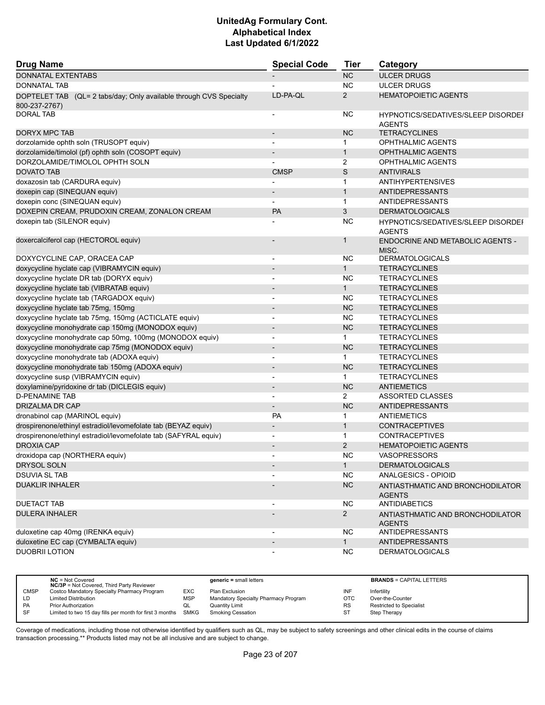| <b>Drug Name</b>                                                                    | <b>Special Code</b>      | <b>Tier</b>    | Category                                                   |
|-------------------------------------------------------------------------------------|--------------------------|----------------|------------------------------------------------------------|
| <b>DONNATAL EXTENTABS</b>                                                           |                          | <b>NC</b>      | <b>ULCER DRUGS</b>                                         |
| DONNATAL TAB                                                                        |                          | <b>NC</b>      | <b>ULCER DRUGS</b>                                         |
| DOPTELET TAB (QL= 2 tabs/day; Only available through CVS Specialty<br>800-237-2767) | LD-PA-QL                 | $\overline{2}$ | <b>HEMATOPOIETIC AGENTS</b>                                |
| <b>DORAL TAB</b>                                                                    |                          | <b>NC</b>      | <b>HYPNOTICS/SEDATIVES/SLEEP DISORDEF</b><br><b>AGENTS</b> |
| <b>DORYX MPC TAB</b>                                                                |                          | <b>NC</b>      | <b>TETRACYCLINES</b>                                       |
| dorzolamide ophth soln (TRUSOPT equiv)                                              |                          | 1              | OPHTHALMIC AGENTS                                          |
| dorzolamide/timolol (pf) ophth soln (COSOPT equiv)                                  |                          | $\mathbf{1}$   | <b>OPHTHALMIC AGENTS</b>                                   |
| DORZOLAMIDE/TIMOLOL OPHTH SOLN                                                      |                          | 2              | OPHTHALMIC AGENTS                                          |
| <b>DOVATO TAB</b>                                                                   | <b>CMSP</b>              | S              | <b>ANTIVIRALS</b>                                          |
| doxazosin tab (CARDURA equiv)                                                       |                          | 1              | <b>ANTIHYPERTENSIVES</b>                                   |
| doxepin cap (SINEQUAN equiv)                                                        | $\overline{\phantom{a}}$ | $\mathbf{1}$   | <b>ANTIDEPRESSANTS</b>                                     |
| doxepin conc (SINEQUAN equiv)                                                       |                          | $\mathbf{1}$   | ANTIDEPRESSANTS                                            |
| DOXEPIN CREAM, PRUDOXIN CREAM, ZONALON CREAM                                        | <b>PA</b>                | 3              | <b>DERMATOLOGICALS</b>                                     |
| doxepin tab (SILENOR equiv)                                                         |                          | <b>NC</b>      | HYPNOTICS/SEDATIVES/SLEEP DISORDEI<br><b>AGENTS</b>        |
| doxercalciferol cap (HECTOROL equiv)                                                |                          | 1              | ENDOCRINE AND METABOLIC AGENTS -<br>MISC.                  |
| DOXYCYCLINE CAP, ORACEA CAP                                                         | $\overline{\phantom{a}}$ | NC.            | <b>DERMATOLOGICALS</b>                                     |
| doxycycline hyclate cap (VIBRAMYCIN equiv)                                          | $\overline{\phantom{a}}$ | $\mathbf{1}$   | <b>TETRACYCLINES</b>                                       |
| doxycycline hyclate DR tab (DORYX equiv)                                            |                          | <b>NC</b>      | <b>TETRACYCLINES</b>                                       |
| doxycycline hyclate tab (VIBRATAB equiv)                                            | $\overline{\phantom{a}}$ | 1              | <b>TETRACYCLINES</b>                                       |
| doxycycline hyclate tab (TARGADOX equiv)                                            |                          | NC.            | <b>TETRACYCLINES</b>                                       |
| doxycycline hyclate tab 75mg, 150mg                                                 |                          | NC             | <b>TETRACYCLINES</b>                                       |
| doxycycline hyclate tab 75mg, 150mg (ACTICLATE equiv)                               | $\blacksquare$           | <b>NC</b>      | <b>TETRACYCLINES</b>                                       |
| doxycycline monohydrate cap 150mg (MONODOX equiv)                                   |                          | <b>NC</b>      | <b>TETRACYCLINES</b>                                       |
| doxycycline monohydrate cap 50mg, 100mg (MONODOX equiv)                             |                          | $\mathbf{1}$   | <b>TETRACYCLINES</b>                                       |
| doxycycline monohydrate cap 75mg (MONODOX equiv)                                    | $\overline{\phantom{a}}$ | <b>NC</b>      | <b>TETRACYCLINES</b>                                       |
| doxycycline monohydrate tab (ADOXA equiv)                                           | $\overline{\phantom{a}}$ | 1              | <b>TETRACYCLINES</b>                                       |
| doxycycline monohydrate tab 150mg (ADOXA equiv)                                     |                          | <b>NC</b>      | <b>TETRACYCLINES</b>                                       |
| doxycycline susp (VIBRAMYCIN equiv)                                                 | $\blacksquare$           | 1              | <b>TETRACYCLINES</b>                                       |
| doxylamine/pyridoxine dr tab (DICLEGIS equiv)                                       | $\overline{\phantom{a}}$ | <b>NC</b>      | <b>ANTIEMETICS</b>                                         |
| <b>D-PENAMINE TAB</b>                                                               |                          | 2              | ASSORTED CLASSES                                           |
| DRIZALMA DR CAP                                                                     | $\overline{\phantom{a}}$ | <b>NC</b>      | <b>ANTIDEPRESSANTS</b>                                     |
| dronabinol cap (MARINOL equiv)                                                      | <b>PA</b>                | $\mathbf{1}$   | <b>ANTIEMETICS</b>                                         |
| drospirenone/ethinyl estradiol/levomefolate tab (BEYAZ equiv)                       |                          | $\mathbf{1}$   | <b>CONTRACEPTIVES</b>                                      |
| drospirenone/ethinyl estradiol/levomefolate tab (SAFYRAL equiv)                     |                          | $\mathbf{1}$   | <b>CONTRACEPTIVES</b>                                      |
| <b>DROXIA CAP</b>                                                                   | $\overline{\phantom{a}}$ | $\overline{2}$ | <b>HEMATOPOIETIC AGENTS</b>                                |
| droxidopa cap (NORTHERA equiv)                                                      |                          | <b>NC</b>      | <b>VASOPRESSORS</b>                                        |
| DRYSOL SOLN                                                                         |                          | 1              | <b>DERMATOLOGICALS</b>                                     |
| <b>DSUVIA SL TAB</b>                                                                |                          | <b>NC</b>      | ANALGESICS - OPIOID                                        |
| <b>DUAKLIR INHALER</b>                                                              |                          | <b>NC</b>      | ANTIASTHMATIC AND BRONCHODILATOR<br><b>AGENTS</b>          |
| <b>DUETACT TAB</b>                                                                  |                          | <b>NC</b>      | <b>ANTIDIABETICS</b>                                       |
| <b>DULERA INHALER</b>                                                               |                          | $\overline{2}$ | ANTIASTHMATIC AND BRONCHODILATOR<br><b>AGENTS</b>          |
| duloxetine cap 40mg (IRENKA equiv)                                                  |                          | <b>NC</b>      | <b>ANTIDEPRESSANTS</b>                                     |
| duloxetine EC cap (CYMBALTA equiv)                                                  | $\overline{\phantom{a}}$ | 1              | <b>ANTIDEPRESSANTS</b>                                     |
| <b>DUOBRII LOTION</b>                                                               |                          | <b>NC</b>      | <b>DERMATOLOGICALS</b>                                     |

|             | $NC = Not Covered$                                                                              |            | $generic = small letters$            |            | <b>BRANDS = CAPITAL LETTERS</b> |
|-------------|-------------------------------------------------------------------------------------------------|------------|--------------------------------------|------------|---------------------------------|
| <b>CMSP</b> | <b>NC/3P</b> = Not Covered, Third Party Reviewer<br>Costco Mandatory Specialty Pharmacy Program | EXC        | Plan Exclusion                       | INF        | Infertility                     |
| LD.         | <b>Limited Distribution</b>                                                                     | <b>MSP</b> | Mandatory Specialty Pharmacy Program | <b>OTC</b> | Over-the-Counter                |
| <b>PA</b>   | <b>Prior Authorization</b>                                                                      | QL         | <b>Quantity Limit</b>                | <b>RS</b>  | <b>Restricted to Specialist</b> |
| SF          | Limited to two 15 day fills per month for first 3 months                                        | SMKG       | <b>Smoking Cessation</b>             | ST         | Step Therapy                    |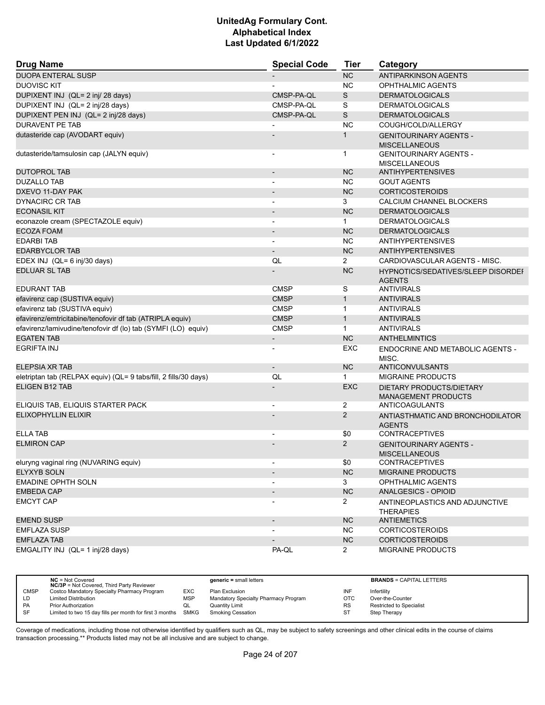| <b>Drug Name</b>                                                 | <b>Special Code</b>      | Tier           | Category                                               |
|------------------------------------------------------------------|--------------------------|----------------|--------------------------------------------------------|
| <b>DUOPA ENTERAL SUSP</b>                                        |                          | <b>NC</b>      | <b>ANTIPARKINSON AGENTS</b>                            |
| <b>DUOVISC KIT</b>                                               |                          | <b>NC</b>      | <b>OPHTHALMIC AGENTS</b>                               |
| DUPIXENT INJ (QL= 2 inj/ 28 days)                                | CMSP-PA-QL               | S              | <b>DERMATOLOGICALS</b>                                 |
| DUPIXENT INJ (QL= 2 inj/28 days)                                 | CMSP-PA-QL               | S              | <b>DERMATOLOGICALS</b>                                 |
| DUPIXENT PEN INJ (QL= 2 inj/28 days)                             | CMSP-PA-QL               | $\mathbb S$    | <b>DERMATOLOGICALS</b>                                 |
| <b>DURAVENT PE TAB</b>                                           |                          | <b>NC</b>      | COUGH/COLD/ALLERGY                                     |
| dutasteride cap (AVODART equiv)                                  |                          | 1              | <b>GENITOURINARY AGENTS -</b><br><b>MISCELLANEOUS</b>  |
| dutasteride/tamsulosin cap (JALYN equiv)                         |                          | 1              | <b>GENITOURINARY AGENTS -</b><br><b>MISCELLANEOUS</b>  |
| <b>DUTOPROL TAB</b>                                              |                          | <b>NC</b>      | <b>ANTIHYPERTENSIVES</b>                               |
| <b>DUZALLO TAB</b>                                               |                          | <b>NC</b>      | <b>GOUT AGENTS</b>                                     |
| DXEVO 11-DAY PAK                                                 |                          | <b>NC</b>      | <b>CORTICOSTEROIDS</b>                                 |
| <b>DYNACIRC CR TAB</b>                                           |                          | 3              | CALCIUM CHANNEL BLOCKERS                               |
| <b>ECONASIL KIT</b>                                              | $\overline{\phantom{a}}$ | <b>NC</b>      | <b>DERMATOLOGICALS</b>                                 |
| econazole cream (SPECTAZOLE equiv)                               |                          | $\mathbf{1}$   | <b>DERMATOLOGICALS</b>                                 |
| <b>ECOZA FOAM</b>                                                |                          | <b>NC</b>      | <b>DERMATOLOGICALS</b>                                 |
| <b>EDARBITAB</b>                                                 | $\overline{\phantom{a}}$ | <b>NC</b>      | <b>ANTIHYPERTENSIVES</b>                               |
| <b>EDARBYCLOR TAB</b>                                            | $\overline{\phantom{a}}$ | <b>NC</b>      | <b>ANTIHYPERTENSIVES</b>                               |
| EDEX INJ (QL= 6 inj/30 days)                                     | QL                       | $\overline{2}$ | CARDIOVASCULAR AGENTS - MISC.                          |
| <b>EDLUAR SL TAB</b>                                             |                          | <b>NC</b>      | HYPNOTICS/SEDATIVES/SLEEP DISORDEI<br><b>AGENTS</b>    |
| <b>EDURANT TAB</b>                                               | <b>CMSP</b>              | S              | <b>ANTIVIRALS</b>                                      |
| efavirenz cap (SUSTIVA equiv)                                    | <b>CMSP</b>              | $\mathbf{1}$   | <b>ANTIVIRALS</b>                                      |
| efavirenz tab (SUSTIVA equiv)                                    | <b>CMSP</b>              | $\mathbf{1}$   | <b>ANTIVIRALS</b>                                      |
| efavirenz/emtricitabine/tenofovir df tab (ATRIPLA equiv)         | <b>CMSP</b>              | $\mathbf{1}$   | <b>ANTIVIRALS</b>                                      |
| efavirenz/lamivudine/tenofovir df (lo) tab (SYMFI (LO) equiv)    | <b>CMSP</b>              | $\mathbf{1}$   | <b>ANTIVIRALS</b>                                      |
| <b>EGATEN TAB</b>                                                | $\overline{\phantom{a}}$ | <b>NC</b>      | <b>ANTHELMINTICS</b>                                   |
| <b>EGRIFTA INJ</b>                                               |                          | EXC            | ENDOCRINE AND METABOLIC AGENTS -<br>MISC.              |
| ELEPSIA XR TAB                                                   | $\overline{\phantom{a}}$ | <b>NC</b>      | ANTICONVULSANTS                                        |
| eletriptan tab (RELPAX equiv) (QL= 9 tabs/fill, 2 fills/30 days) | QL                       | $\mathbf 1$    | <b>MIGRAINE PRODUCTS</b>                               |
| <b>ELIGEN B12 TAB</b>                                            |                          | <b>EXC</b>     | DIETARY PRODUCTS/DIETARY<br><b>MANAGEMENT PRODUCTS</b> |
| ELIQUIS TAB, ELIQUIS STARTER PACK                                |                          | 2              | ANTICOAGULANTS                                         |
| <b>ELIXOPHYLLIN ELIXIR</b>                                       |                          | $\overline{2}$ | ANTIASTHMATIC AND BRONCHODILATOR<br><b>AGENTS</b>      |
| <b>ELLA TAB</b>                                                  |                          | \$0            | <b>CONTRACEPTIVES</b>                                  |
| <b>ELMIRON CAP</b>                                               |                          | $\overline{2}$ | <b>GENITOURINARY AGENTS -</b><br><b>MISCELLANEOUS</b>  |
| eluryng vaginal ring (NUVARING equiv)                            | $\overline{\phantom{a}}$ | \$0            | <b>CONTRACEPTIVES</b>                                  |
| <b>ELYXYB SOLN</b>                                               |                          | <b>NC</b>      | <b>MIGRAINE PRODUCTS</b>                               |
| <b>EMADINE OPHTH SOLN</b>                                        |                          | 3              | <b>OPHTHALMIC AGENTS</b>                               |
| <b>EMBEDA CAP</b>                                                | $\overline{\phantom{a}}$ | <b>NC</b>      | ANALGESICS - OPIOID                                    |
| <b>EMCYT CAP</b>                                                 |                          | $\mathbf{2}$   | ANTINEOPLASTICS AND ADJUNCTIVE<br><b>THERAPIES</b>     |
| <b>EMEND SUSP</b>                                                | $\overline{\phantom{a}}$ | <b>NC</b>      | <b>ANTIEMETICS</b>                                     |
| <b>EMFLAZA SUSP</b>                                              |                          | <b>NC</b>      | <b>CORTICOSTEROIDS</b>                                 |
| <b>EMFLAZA TAB</b>                                               |                          | <b>NC</b>      | <b>CORTICOSTEROIDS</b>                                 |
| EMGALITY INJ (QL= 1 inj/28 days)                                 | PA-QL                    | $\overline{2}$ | <b>MIGRAINE PRODUCTS</b>                               |

|             | $NC = Not Covered$<br><b>NC/3P</b> = Not Covered, Third Party Reviewer |            | $generic = small letters$            |           | <b>BRANDS = CAPITAL LETTERS</b> |
|-------------|------------------------------------------------------------------------|------------|--------------------------------------|-----------|---------------------------------|
| <b>CMSP</b> | Costco Mandatory Specialty Pharmacy Program                            | EXC        | Plan Exclusion                       | INF       | Infertility                     |
| LD          | <b>Limited Distribution</b>                                            | <b>MSP</b> | Mandatory Specialty Pharmacy Program | OTC       | Over-the-Counter                |
| <b>PA</b>   | <b>Prior Authorization</b>                                             | QL         | <b>Quantity Limit</b>                | <b>RS</b> | <b>Restricted to Specialist</b> |
| SF          | Limited to two 15 day fills per month for first 3 months               | SMKG       | <b>Smoking Cessation</b>             | <b>ST</b> | Step Therapy                    |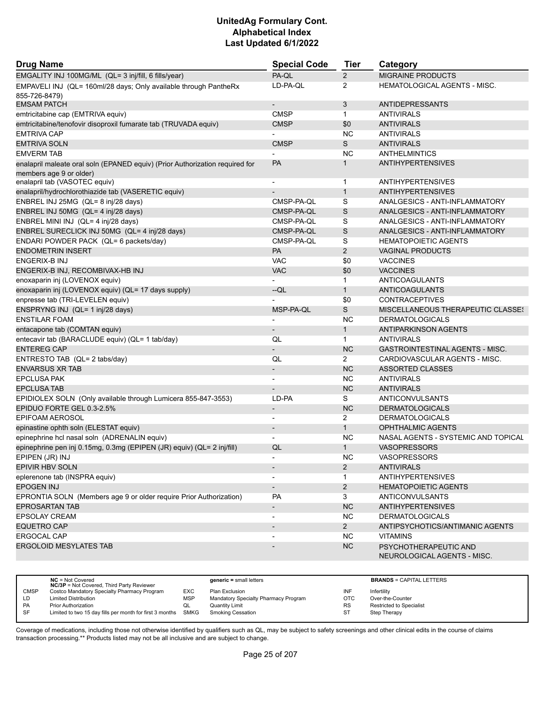| <b>Drug Name</b>                                                                  | <b>Special Code</b>      | <b>Tier</b>    | Category                                             |
|-----------------------------------------------------------------------------------|--------------------------|----------------|------------------------------------------------------|
| EMGALITY INJ 100MG/ML (QL= 3 inj/fill, 6 fills/year)                              | PA-QL                    | $\overline{2}$ | <b>MIGRAINE PRODUCTS</b>                             |
| EMPAVELI INJ (QL= 160ml/28 days; Only available through PantheRx<br>855-726-8479) | LD-PA-QL                 | 2              | <b>HEMATOLOGICAL AGENTS - MISC.</b>                  |
| <b>EMSAM PATCH</b>                                                                | $\overline{\phantom{a}}$ | 3              | <b>ANTIDEPRESSANTS</b>                               |
| emtricitabine cap (EMTRIVA equiv)                                                 | <b>CMSP</b>              | $\mathbf{1}$   | <b>ANTIVIRALS</b>                                    |
| emtricitabine/tenofovir disoproxil fumarate tab (TRUVADA equiv)                   | <b>CMSP</b>              | \$0            | <b>ANTIVIRALS</b>                                    |
| <b>EMTRIVA CAP</b>                                                                |                          | <b>NC</b>      | <b>ANTIVIRALS</b>                                    |
| <b>EMTRIVA SOLN</b>                                                               | <b>CMSP</b>              | S              | <b>ANTIVIRALS</b>                                    |
| <b>EMVERM TAB</b>                                                                 |                          | <b>NC</b>      | <b>ANTHELMINTICS</b>                                 |
| enalapril maleate oral soln (EPANED equiv) (Prior Authorization required for      | <b>PA</b>                | $\mathbf{1}$   | <b>ANTIHYPERTENSIVES</b>                             |
| members age 9 or older)<br>enalapril tab (VASOTEC equiv)                          |                          | $\mathbf{1}$   | <b>ANTIHYPERTENSIVES</b>                             |
| enalapril/hydrochlorothiazide tab (VASERETIC equiv)                               |                          | $\mathbf{1}$   | <b>ANTIHYPERTENSIVES</b>                             |
| ENBREL INJ 25MG (QL= 8 inj/28 days)                                               | CMSP-PA-QL               | S              | ANALGESICS - ANTI-INFLAMMATORY                       |
| ENBREL INJ 50MG (QL= 4 inj/28 days)                                               | CMSP-PA-QL               | S              | ANALGESICS - ANTI-INFLAMMATORY                       |
| ENBREL MINI INJ (QL= 4 inj/28 days)                                               | CMSP-PA-QL               | S              | ANALGESICS - ANTI-INFLAMMATORY                       |
| ENBREL SURECLICK INJ 50MG (QL= 4 inj/28 days)                                     | CMSP-PA-QL               | S              | ANALGESICS - ANTI-INFLAMMATORY                       |
| ENDARI POWDER PACK (QL= 6 packets/day)                                            | CMSP-PA-QL               | S              | <b>HEMATOPOIETIC AGENTS</b>                          |
| <b>ENDOMETRIN INSERT</b>                                                          | PA                       | 2              | <b>VAGINAL PRODUCTS</b>                              |
| ENGERIX-B INJ                                                                     | <b>VAC</b>               | \$0            | <b>VACCINES</b>                                      |
| ENGERIX-B INJ, RECOMBIVAX-HB INJ                                                  | <b>VAC</b>               | \$0            | <b>VACCINES</b>                                      |
| enoxaparin inj (LOVENOX equiv)                                                    |                          | $\mathbf{1}$   | ANTICOAGULANTS                                       |
| enoxaparin inj (LOVENOX equiv) (QL= 17 days supply)                               | $-QL$                    | $\mathbf{1}$   | <b>ANTICOAGULANTS</b>                                |
| enpresse tab (TRI-LEVELEN equiv)                                                  |                          | \$0            | <b>CONTRACEPTIVES</b>                                |
| ENSPRYNG INJ (QL= 1 inj/28 days)                                                  | MSP-PA-QL                | $\mathsf S$    | MISCELLANEOUS THERAPEUTIC CLASSES                    |
| <b>ENSTILAR FOAM</b>                                                              |                          | <b>NC</b>      | <b>DERMATOLOGICALS</b>                               |
| entacapone tab (COMTAN equiv)                                                     |                          | $\mathbf{1}$   | <b>ANTIPARKINSON AGENTS</b>                          |
| entecavir tab (BARACLUDE equiv) (QL= 1 tab/day)                                   | QL                       | $\mathbf{1}$   | <b>ANTIVIRALS</b>                                    |
| <b>ENTEREG CAP</b>                                                                |                          | <b>NC</b>      | <b>GASTROINTESTINAL AGENTS - MISC.</b>               |
| ENTRESTO TAB (QL= 2 tabs/day)                                                     | QL                       | $\overline{2}$ | CARDIOVASCULAR AGENTS - MISC.                        |
| <b>ENVARSUS XR TAB</b>                                                            | $\overline{\phantom{a}}$ | <b>NC</b>      | <b>ASSORTED CLASSES</b>                              |
| <b>EPCLUSA PAK</b>                                                                | $\blacksquare$           | <b>NC</b>      | <b>ANTIVIRALS</b>                                    |
| <b>EPCLUSA TAB</b>                                                                |                          | <b>NC</b>      | <b>ANTIVIRALS</b>                                    |
| EPIDIOLEX SOLN (Only available through Lumicera 855-847-3553)                     | LD-PA                    | S              | ANTICONVULSANTS                                      |
| EPIDUO FORTE GEL 0.3-2.5%                                                         | $\overline{\phantom{a}}$ | NC             | <b>DERMATOLOGICALS</b>                               |
| EPIFOAM AEROSOL                                                                   |                          | 2              | <b>DERMATOLOGICALS</b>                               |
| epinastine ophth soln (ELESTAT equiv)                                             | $\overline{\phantom{a}}$ | $\mathbf{1}$   | <b>OPHTHALMIC AGENTS</b>                             |
| epinephrine hcl nasal soln (ADRENALIN equiv)                                      |                          | <b>NC</b>      | NASAL AGENTS - SYSTEMIC AND TOPICAL                  |
| epinephrine pen inj 0.15mg, 0.3mg (EPIPEN (JR) equiv) (QL= 2 inj/fill)            | QL                       | $\mathbf{1}$   | <b>VASOPRESSORS</b>                                  |
| EPIPEN (JR) INJ                                                                   |                          | NC             | VASOPRESSORS                                         |
| EPIVIR HBV SOLN                                                                   | $\overline{\phantom{a}}$ | $\overline{2}$ | <b>ANTIVIRALS</b>                                    |
| eplerenone tab (INSPRA equiv)                                                     |                          | 1              | <b>ANTIHYPERTENSIVES</b>                             |
| <b>EPOGEN INJ</b>                                                                 | $\overline{\phantom{a}}$ | $\overline{2}$ | <b>HEMATOPOIETIC AGENTS</b>                          |
| EPRONTIA SOLN (Members age 9 or older require Prior Authorization)                | PA                       | 3              | ANTICONVULSANTS                                      |
| <b>EPROSARTAN TAB</b>                                                             | $\overline{\phantom{a}}$ | <b>NC</b>      | <b>ANTIHYPERTENSIVES</b>                             |
| EPSOLAY CREAM                                                                     | $\blacksquare$           | <b>NC</b>      | <b>DERMATOLOGICALS</b>                               |
| <b>EQUETRO CAP</b>                                                                | $\blacksquare$           | $2^{\circ}$    | ANTIPSYCHOTICS/ANTIMANIC AGENTS                      |
| ERGOCAL CAP                                                                       |                          | <b>NC</b>      | <b>VITAMINS</b>                                      |
| ERGOLOID MESYLATES TAB                                                            |                          | NC             | PSYCHOTHERAPEUTIC AND<br>NEUROLOGICAL AGENTS - MISC. |

|             | $NC = Not Covered$<br><b>NC/3P</b> = Not Covered, Third Party Reviewer |            | $generic = small letters$            |           | <b>BRANDS = CAPITAL LETTERS</b> |
|-------------|------------------------------------------------------------------------|------------|--------------------------------------|-----------|---------------------------------|
| <b>CMSP</b> | Costco Mandatory Specialty Pharmacy Program                            | EXC        | Plan Exclusion                       | INF       | Infertility                     |
| LD          | Limited Distribution                                                   | <b>MSP</b> | Mandatory Specialty Pharmacy Program | OTC       | Over-the-Counter                |
| <b>PA</b>   | <b>Prior Authorization</b>                                             | QL         | Quantity Limit                       | <b>RS</b> | <b>Restricted to Specialist</b> |
| <b>SF</b>   | Limited to two 15 day fills per month for first 3 months SMKG          |            | <b>Smoking Cessation</b>             | ST        | Step Therapy                    |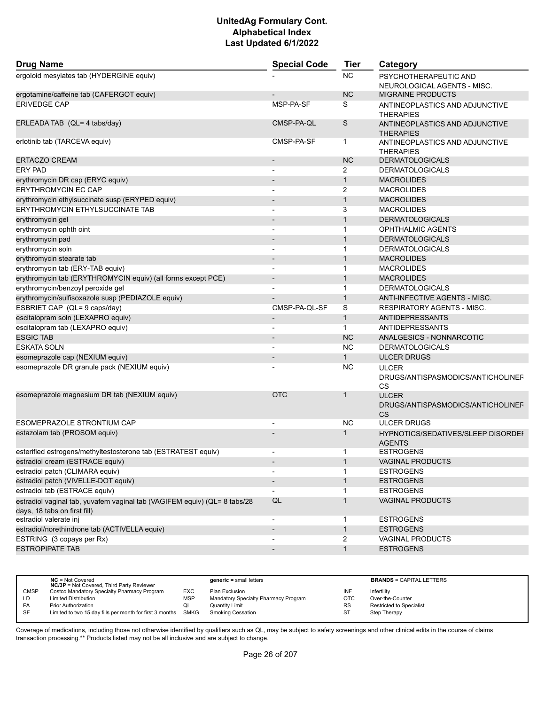| <b>Drug Name</b>                                                          | <b>Special Code</b>      |                | Category                                                       |  |
|---------------------------------------------------------------------------|--------------------------|----------------|----------------------------------------------------------------|--|
| ergoloid mesylates tab (HYDERGINE equiv)                                  |                          | <b>NC</b>      | PSYCHOTHERAPEUTIC AND<br>NEUROLOGICAL AGENTS - MISC.           |  |
| ergotamine/caffeine tab (CAFERGOT equiv)                                  |                          | <b>NC</b>      | <b>MIGRAINE PRODUCTS</b>                                       |  |
| <b>ERIVEDGE CAP</b>                                                       | MSP-PA-SF                | S              | ANTINEOPLASTICS AND ADJUNCTIVE<br><b>THERAPIES</b>             |  |
| ERLEADA TAB (QL= 4 tabs/day)                                              | CMSP-PA-QL               | S              | ANTINEOPLASTICS AND ADJUNCTIVE<br><b>THERAPIES</b>             |  |
| erlotinib tab (TARCEVA equiv)                                             | CMSP-PA-SF               | 1              | ANTINEOPLASTICS AND ADJUNCTIVE<br><b>THERAPIES</b>             |  |
| <b>ERTACZO CREAM</b>                                                      |                          | <b>NC</b>      | <b>DERMATOLOGICALS</b>                                         |  |
| ERY PAD                                                                   | $\overline{\phantom{a}}$ | 2              | <b>DERMATOLOGICALS</b>                                         |  |
| erythromycin DR cap (ERYC equiv)                                          |                          | $\mathbf{1}$   | <b>MACROLIDES</b>                                              |  |
| <b>ERYTHROMYCIN EC CAP</b>                                                |                          | 2              | <b>MACROLIDES</b>                                              |  |
| erythromycin ethylsuccinate susp (ERYPED equiv)                           |                          | $\mathbf{1}$   | <b>MACROLIDES</b>                                              |  |
| <b>ERYTHROMYCIN ETHYLSUCCINATE TAB</b>                                    | $\overline{a}$           | 3              | <b>MACROLIDES</b>                                              |  |
| erythromycin gel                                                          |                          | $\mathbf{1}$   | <b>DERMATOLOGICALS</b>                                         |  |
| erythromycin ophth oint                                                   | $\overline{\phantom{a}}$ | $\mathbf{1}$   | <b>OPHTHALMIC AGENTS</b>                                       |  |
| erythromycin pad                                                          | $\overline{\phantom{a}}$ | $\mathbf{1}$   | <b>DERMATOLOGICALS</b>                                         |  |
| erythromycin soln                                                         |                          | $\mathbf 1$    | <b>DERMATOLOGICALS</b>                                         |  |
| erythromycin stearate tab                                                 |                          | $\mathbf{1}$   | <b>MACROLIDES</b>                                              |  |
| erythromycin tab (ERY-TAB equiv)                                          | $\overline{a}$           | 1              | <b>MACROLIDES</b>                                              |  |
| erythromycin tab (ERYTHROMYCIN equiv) (all forms except PCE)              |                          | $\mathbf{1}$   | <b>MACROLIDES</b>                                              |  |
| erythromycin/benzoyl peroxide gel                                         | $\blacksquare$           | $\mathbf{1}$   | <b>DERMATOLOGICALS</b>                                         |  |
| erythromycin/sulfisoxazole susp (PEDIAZOLE equiv)                         |                          | $\mathbf{1}$   | ANTI-INFECTIVE AGENTS - MISC.                                  |  |
| ESBRIET CAP (QL= 9 caps/day)                                              | CMSP-PA-QL-SF            | S              | <b>RESPIRATORY AGENTS - MISC.</b>                              |  |
| escitalopram soln (LEXAPRO equiv)                                         |                          | $\mathbf{1}$   | ANTIDEPRESSANTS                                                |  |
| escitalopram tab (LEXAPRO equiv)                                          | $\blacksquare$           | $\mathbf{1}$   | ANTIDEPRESSANTS                                                |  |
| <b>ESGIC TAB</b>                                                          |                          | <b>NC</b>      | ANALGESICS - NONNARCOTIC                                       |  |
| <b>ESKATA SOLN</b>                                                        |                          | <b>NC</b>      | <b>DERMATOLOGICALS</b>                                         |  |
| esomeprazole cap (NEXIUM equiv)                                           | $\overline{\phantom{a}}$ | $\mathbf{1}$   | <b>ULCER DRUGS</b>                                             |  |
| esomeprazole DR granule pack (NEXIUM equiv)                               |                          | <b>NC</b>      | <b>ULCER</b>                                                   |  |
|                                                                           |                          |                | DRUGS/ANTISPASMODICS/ANTICHOLINEF<br>CS                        |  |
| esomeprazole magnesium DR tab (NEXIUM equiv)                              | <b>OTC</b>               | $\mathbf 1$    | <b>ULCER</b><br>DRUGS/ANTISPASMODICS/ANTICHOLINEF<br><b>CS</b> |  |
| <b>ESOMEPRAZOLE STRONTIUM CAP</b>                                         |                          | NC             | <b>ULCER DRUGS</b>                                             |  |
| estazolam tab (PROSOM equiv)                                              |                          | $\mathbf 1$    | <b>HYPNOTICS/SEDATIVES/SLEEP DISORDEF</b><br><b>AGENTS</b>     |  |
| esterified estrogens/methyltestosterone tab (ESTRATEST equiv)             |                          | 1              | <b>ESTROGENS</b>                                               |  |
| estradiol cream (ESTRACE equiv)                                           |                          | $\mathbf{1}$   | <b>VAGINAL PRODUCTS</b>                                        |  |
| estradiol patch (CLIMARA equiv)                                           | $\overline{a}$           | 1              | <b>ESTROGENS</b>                                               |  |
| estradiol patch (VIVELLE-DOT equiv)                                       |                          |                | <b>ESTROGENS</b>                                               |  |
| estradiol tab (ESTRACE equiv)                                             | $\blacksquare$           | 1              | <b>ESTROGENS</b>                                               |  |
| estradiol vaginal tab, yuvafem vaginal tab (VAGIFEM equiv) (QL= 8 tabs/28 | QL                       | $\mathbf{1}$   | <b>VAGINAL PRODUCTS</b>                                        |  |
| days, 18 tabs on first fill)                                              |                          |                | <b>ESTROGENS</b>                                               |  |
| estradiol valerate inj<br>estradiol/norethindrone tab (ACTIVELLA equiv)   | $\overline{\phantom{a}}$ | 1              |                                                                |  |
|                                                                           |                          |                | <b>ESTROGENS</b>                                               |  |
| ESTRING (3 copays per Rx)                                                 |                          | $\overline{2}$ | <b>VAGINAL PRODUCTS</b>                                        |  |
| <b>ESTROPIPATE TAB</b>                                                    | $\overline{\phantom{a}}$ | $\mathbf{1}$   | <b>ESTROGENS</b>                                               |  |

|             | $NC = Not Covered$<br><b>NC/3P</b> = Not Covered, Third Party Reviewer |            | $generic = small letters$            |            | <b>BRANDS = CAPITAL LETTERS</b> |
|-------------|------------------------------------------------------------------------|------------|--------------------------------------|------------|---------------------------------|
| <b>CMSP</b> | Costco Mandatory Specialty Pharmacy Program                            | EXC        | Plan Exclusion                       | INF        | Infertility                     |
| LD          | <b>Limited Distribution</b>                                            | <b>MSP</b> | Mandatory Specialty Pharmacy Program | <b>OTC</b> | Over-the-Counter                |
| <b>PA</b>   | <b>Prior Authorization</b>                                             | QL         | Quantity Limit                       | <b>RS</b>  | <b>Restricted to Specialist</b> |
| SF          | Limited to two 15 day fills per month for first 3 months SMKG          |            | <b>Smoking Cessation</b>             | ST         | <b>Step Therapy</b>             |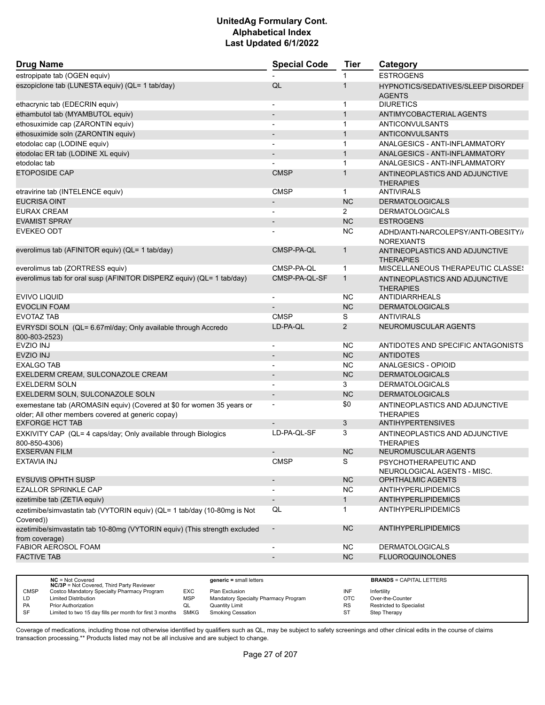| <b>Drug Name</b>                                                                                                            | <b>Special Code</b>          | <b>Tier</b>    | Category                                                 |
|-----------------------------------------------------------------------------------------------------------------------------|------------------------------|----------------|----------------------------------------------------------|
| estropipate tab (OGEN equiv)                                                                                                |                              | 1              | <b>ESTROGENS</b>                                         |
| eszopiclone tab (LUNESTA equiv) (QL= 1 tab/day)                                                                             | QL                           | 1              | HYPNOTICS/SEDATIVES/SLEEP DISORDEF<br><b>AGENTS</b>      |
| ethacrynic tab (EDECRIN equiv)                                                                                              | $\overline{a}$               | 1              | <b>DIURETICS</b>                                         |
| ethambutol tab (MYAMBUTOL equiv)                                                                                            | $\overline{a}$               | $\mathbf{1}$   | ANTIMYCOBACTERIAL AGENTS                                 |
| ethosuximide cap (ZARONTIN equiv)                                                                                           | ٠                            | $\mathbf{1}$   | <b>ANTICONVULSANTS</b>                                   |
| ethosuximide soln (ZARONTIN equiv)                                                                                          | $\overline{\phantom{m}}$     | $\mathbf{1}$   | ANTICONVULSANTS                                          |
| etodolac cap (LODINE equiv)                                                                                                 | $\overline{\phantom{a}}$     | $\mathbf{1}$   | ANALGESICS - ANTI-INFLAMMATORY                           |
| etodolac ER tab (LODINE XL equiv)                                                                                           | $\overline{a}$               | $\mathbf{1}$   | ANALGESICS - ANTI-INFLAMMATORY                           |
| etodolac tab                                                                                                                |                              | 1              | ANALGESICS - ANTI-INFLAMMATORY                           |
| <b>ETOPOSIDE CAP</b>                                                                                                        | <b>CMSP</b>                  | 1              | ANTINEOPLASTICS AND ADJUNCTIVE                           |
|                                                                                                                             |                              |                | <b>THERAPIES</b>                                         |
| etravirine tab (INTELENCE equiv)                                                                                            | <b>CMSP</b>                  | $\mathbf 1$    | <b>ANTIVIRALS</b>                                        |
| <b>EUCRISA OINT</b>                                                                                                         | $\qquad \qquad \blacksquare$ | <b>NC</b>      | <b>DERMATOLOGICALS</b>                                   |
| <b>EURAX CREAM</b>                                                                                                          |                              | $\overline{2}$ | <b>DERMATOLOGICALS</b>                                   |
| <b>EVAMIST SPRAY</b>                                                                                                        |                              | <b>NC</b>      | <b>ESTROGENS</b>                                         |
| <b>EVEKEO ODT</b>                                                                                                           |                              | NC             | ADHD/ANTI-NARCOLEPSY/ANTI-OBESITY//<br><b>NOREXIANTS</b> |
| everolimus tab (AFINITOR equiv) (QL= 1 tab/day)                                                                             | CMSP-PA-QL                   | $\mathbf{1}$   | ANTINEOPLASTICS AND ADJUNCTIVE<br><b>THERAPIES</b>       |
| everolimus tab (ZORTRESS equiv)                                                                                             | CMSP-PA-QL                   | $\mathbf{1}$   | <b>MISCELLANEOUS THERAPEUTIC CLASSES</b>                 |
| everolimus tab for oral susp (AFINITOR DISPERZ equiv) (QL= 1 tab/day)                                                       | CMSP-PA-QL-SF                | $\mathbf{1}$   | ANTINEOPLASTICS AND ADJUNCTIVE<br><b>THERAPIES</b>       |
| EVIVO LIQUID                                                                                                                |                              | <b>NC</b>      | <b>ANTIDIARRHEALS</b>                                    |
| <b>EVOCLIN FOAM</b>                                                                                                         |                              | <b>NC</b>      | <b>DERMATOLOGICALS</b>                                   |
| <b>EVOTAZ TAB</b>                                                                                                           | <b>CMSP</b>                  | S              | <b>ANTIVIRALS</b>                                        |
| EVRYSDI SOLN (QL= 6.67ml/day; Only available through Accredo<br>800-803-2523)                                               | LD-PA-QL                     | $\overline{2}$ | NEUROMUSCULAR AGENTS                                     |
| <b>EVZIO INJ</b>                                                                                                            |                              | <b>NC</b>      | ANTIDOTES AND SPECIFIC ANTAGONISTS                       |
| <b>EVZIO INJ</b>                                                                                                            |                              | <b>NC</b>      | <b>ANTIDOTES</b>                                         |
| <b>EXALGO TAB</b>                                                                                                           |                              | NC             | ANALGESICS - OPIOID                                      |
| EXELDERM CREAM, SULCONAZOLE CREAM                                                                                           | $\qquad \qquad \blacksquare$ | <b>NC</b>      | <b>DERMATOLOGICALS</b>                                   |
| <b>EXELDERM SOLN</b>                                                                                                        |                              | 3              | <b>DERMATOLOGICALS</b>                                   |
| EXELDERM SOLN, SULCONAZOLE SOLN                                                                                             | $\overline{\phantom{0}}$     | <b>NC</b>      | <b>DERMATOLOGICALS</b>                                   |
| exemestane tab (AROMASIN equiv) (Covered at \$0 for women 35 years or<br>older; All other members covered at generic copay) | $\overline{\phantom{a}}$     | \$0            | ANTINEOPLASTICS AND ADJUNCTIVE<br><b>THERAPIES</b>       |
| <b>EXFORGE HCT TAB</b>                                                                                                      |                              | 3              | <b>ANTIHYPERTENSIVES</b>                                 |
| EXKIVITY CAP (QL= 4 caps/day; Only available through Biologics<br>800-850-4306)                                             | LD-PA-QL-SF                  | 3              | ANTINEOPLASTICS AND ADJUNCTIVE<br><b>THERAPIES</b>       |
| <b>EXSERVAN FILM</b>                                                                                                        |                              | <b>NC</b>      | NEUROMUSCULAR AGENTS                                     |
| <b>EXTAVIA INJ</b>                                                                                                          | <b>CMSP</b>                  | S              | PSYCHOTHERAPEUTIC AND                                    |
| <b>EYSUVIS OPHTH SUSP</b>                                                                                                   | $\overline{\phantom{a}}$     | NC             | NEUROLOGICAL AGENTS - MISC.<br>OPHTHALMIC AGENTS         |
| <b>EZALLOR SPRINKLE CAP</b>                                                                                                 | $\qquad \qquad \blacksquare$ | <b>NC</b>      | <b>ANTIHYPERLIPIDEMICS</b>                               |
| ezetimibe tab (ZETIA equiv)                                                                                                 | $\overline{\phantom{a}}$     | $\mathbf{1}$   | <b>ANTIHYPERLIPIDEMICS</b>                               |
| ezetimibe/simvastatin tab (VYTORIN equiv) (QL= 1 tab/day (10-80mg is Not<br>Covered))                                       | QL                           | 1              | <b>ANTIHYPERLIPIDEMICS</b>                               |
| ezetimibe/simvastatin tab 10-80mg (VYTORIN equiv) (This strength excluded                                                   | $\overline{\phantom{a}}$     | <b>NC</b>      | ANTIHYPERLIPIDEMICS                                      |
| from coverage)                                                                                                              |                              |                |                                                          |
| FABIOR AEROSOL FOAM                                                                                                         | $\overline{\phantom{a}}$     | NC.            | <b>DERMATOLOGICALS</b>                                   |
| <b>FACTIVE TAB</b>                                                                                                          | -                            | NC             | <b>FLUOROQUINOLONES</b>                                  |
|                                                                                                                             |                              |                |                                                          |

|             | $NC = Not Covered$<br><b>NC/3P</b> = Not Covered, Third Party Reviewer |            | $generic = small letters$            |     | <b>BRANDS = CAPITAL LETTERS</b> |
|-------------|------------------------------------------------------------------------|------------|--------------------------------------|-----|---------------------------------|
| <b>CMSP</b> | Costco Mandatory Specialty Pharmacy Program                            | <b>EXC</b> | Plan Exclusion                       | INF | Infertility                     |
| LD          | <b>Limited Distribution</b>                                            | MSP        | Mandatory Specialty Pharmacy Program | OTC | Over-the-Counter                |
| <b>PA</b>   | <b>Prior Authorization</b>                                             | QL         | Quantity Limit                       | RS  | Restricted to Specialist        |
| <b>SF</b>   | Limited to two 15 day fills per month for first 3 months               | SMKG       | Smoking Cessation                    | ST  | Step Therapy                    |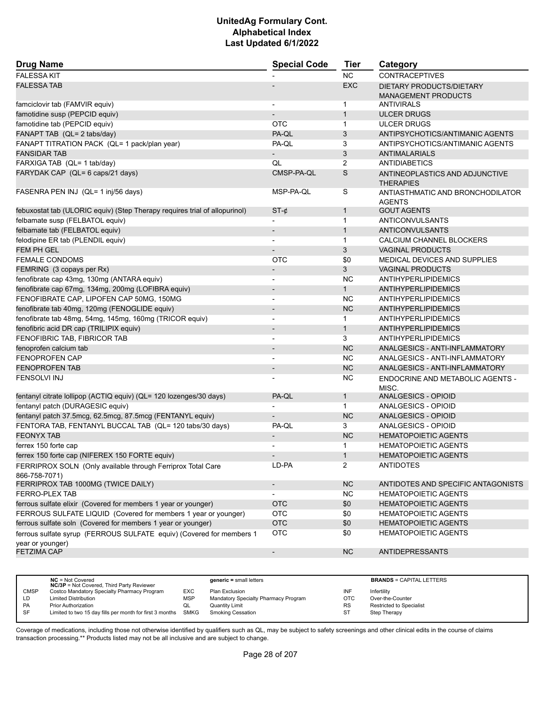| <b>Drug Name</b>                                                                         | <b>Special Code</b>      | <b>Tier</b>    | Category                                           |
|------------------------------------------------------------------------------------------|--------------------------|----------------|----------------------------------------------------|
| <b>FALESSA KIT</b>                                                                       |                          | <b>NC</b>      | <b>CONTRACEPTIVES</b>                              |
| <b>FALESSA TAB</b>                                                                       |                          | <b>EXC</b>     | DIETARY PRODUCTS/DIETARY                           |
|                                                                                          |                          |                | <b>MANAGEMENT PRODUCTS</b>                         |
| famciclovir tab (FAMVIR equiv)                                                           |                          | 1              | <b>ANTIVIRALS</b>                                  |
| famotidine susp (PEPCID equiv)                                                           |                          | $\mathbf{1}$   | <b>ULCER DRUGS</b>                                 |
| famotidine tab (PEPCID equiv)                                                            | OTC                      | $\mathbf{1}$   | <b>ULCER DRUGS</b>                                 |
| FANAPT TAB (QL= 2 tabs/day)                                                              | PA-QL                    | 3              | ANTIPSYCHOTICS/ANTIMANIC AGENTS                    |
| FANAPT TITRATION PACK (QL= 1 pack/plan year)                                             | PA-QL                    | 3              | ANTIPSYCHOTICS/ANTIMANIC AGENTS                    |
| <b>FANSIDAR TAB</b>                                                                      |                          | 3              | <b>ANTIMALARIALS</b>                               |
| FARXIGA TAB (QL= 1 tab/day)                                                              | QL                       | $\overline{2}$ | <b>ANTIDIABETICS</b>                               |
| FARYDAK CAP (QL= 6 caps/21 days)                                                         | CMSP-PA-QL               | S              | ANTINEOPLASTICS AND ADJUNCTIVE<br><b>THERAPIES</b> |
| FASENRA PEN INJ (QL= 1 inj/56 days)                                                      | MSP-PA-QL                | S              | ANTIASTHMATIC AND BRONCHODILATOR<br><b>AGENTS</b>  |
| febuxostat tab (ULORIC equiv) (Step Therapy requires trial of allopurinol)               | $ST-\phi$                | $\mathbf{1}$   | <b>GOUT AGENTS</b>                                 |
| felbamate susp (FELBATOL equiv)                                                          | $\overline{\phantom{0}}$ | $\mathbf 1$    | <b>ANTICONVULSANTS</b>                             |
| felbamate tab (FELBATOL equiv)                                                           |                          | $\mathbf{1}$   | <b>ANTICONVULSANTS</b>                             |
| felodipine ER tab (PLENDIL equiv)                                                        | $\blacksquare$           | $\mathbf{1}$   | CALCIUM CHANNEL BLOCKERS                           |
| <b>FEM PH GEL</b>                                                                        | $\overline{a}$           | 3              | <b>VAGINAL PRODUCTS</b>                            |
| <b>FEMALE CONDOMS</b>                                                                    | <b>OTC</b>               | \$0            | <b>MEDICAL DEVICES AND SUPPLIES</b>                |
| FEMRING (3 copays per Rx)                                                                | $\overline{\phantom{a}}$ | 3              | <b>VAGINAL PRODUCTS</b>                            |
| fenofibrate cap 43mg, 130mg (ANTARA equiv)                                               | $\overline{\phantom{0}}$ | NC             | <b>ANTIHYPERLIPIDEMICS</b>                         |
| fenofibrate cap 67mg, 134mg, 200mg (LOFIBRA equiv)                                       |                          | $\mathbf{1}$   | <b>ANTIHYPERLIPIDEMICS</b>                         |
| FENOFIBRATE CAP, LIPOFEN CAP 50MG, 150MG                                                 | $\overline{\phantom{a}}$ | <b>NC</b>      | ANTIHYPERLIPIDEMICS                                |
| fenofibrate tab 40mg, 120mg (FENOGLIDE equiv)                                            | $\overline{\phantom{a}}$ | NC             | ANTIHYPERLIPIDEMICS                                |
| fenofibrate tab 48mg, 54mg, 145mg, 160mg (TRICOR equiv)                                  | $\overline{\phantom{0}}$ | $\mathbf{1}$   | <b>ANTIHYPERLIPIDEMICS</b>                         |
| fenofibric acid DR cap (TRILIPIX equiv)                                                  | $\overline{\phantom{m}}$ | $\mathbf{1}$   | <b>ANTIHYPERLIPIDEMICS</b>                         |
| FENOFIBRIC TAB, FIBRICOR TAB                                                             | $\overline{\phantom{0}}$ | 3              | <b>ANTIHYPERLIPIDEMICS</b>                         |
| fenoprofen calcium tab                                                                   |                          | <b>NC</b>      | ANALGESICS - ANTI-INFLAMMATORY                     |
| <b>FENOPROFEN CAP</b>                                                                    |                          | <b>NC</b>      | ANALGESICS - ANTI-INFLAMMATORY                     |
| <b>FENOPROFEN TAB</b>                                                                    | $\overline{\phantom{a}}$ | <b>NC</b>      | ANALGESICS - ANTI-INFLAMMATORY                     |
| <b>FENSOLVI INJ</b>                                                                      |                          | NC.            | ENDOCRINE AND METABOLIC AGENTS -<br>MISC.          |
| fentanyl citrate lollipop (ACTIQ equiv) (QL= 120 lozenges/30 days)                       | PA-QL                    | $\mathbf{1}$   | <b>ANALGESICS - OPIOID</b>                         |
| fentanyl patch (DURAGESIC equiv)                                                         |                          | $\mathbf{1}$   | ANALGESICS - OPIOID                                |
| fentanyl patch 37.5mcg, 62.5mcg, 87.5mcg (FENTANYL equiv)                                |                          | <b>NC</b>      | <b>ANALGESICS - OPIOID</b>                         |
| FENTORA TAB, FENTANYL BUCCAL TAB (QL= 120 tabs/30 days)                                  | PA-QL                    | 3              | <b>ANALGESICS - OPIOID</b>                         |
| <b>FEONYX TAB</b>                                                                        |                          | <b>NC</b>      | <b>HEMATOPOIETIC AGENTS</b>                        |
| ferrex 150 forte cap                                                                     |                          | $\mathbf 1$    | <b>HEMATOPOIETIC AGENTS</b>                        |
| ferrex 150 forte cap (NIFEREX 150 FORTE equiv)                                           |                          | 1              | <b>HEMATOPOIETIC AGENTS</b>                        |
| FERRIPROX SOLN (Only available through Ferriprox Total Care<br>866-758-7071)             | LD-PA                    | $\overline{2}$ | <b>ANTIDOTES</b>                                   |
| FERRIPROX TAB 1000MG (TWICE DAILY)                                                       | $\overline{\phantom{a}}$ | NC             | ANTIDOTES AND SPECIFIC ANTAGONISTS                 |
| FERRO-PLEX TAB                                                                           | $\overline{\phantom{a}}$ | <b>NC</b>      | <b>HEMATOPOIETIC AGENTS</b>                        |
| ferrous sulfate elixir (Covered for members 1 year or younger)                           | <b>OTC</b>               | \$0            | <b>HEMATOPOIETIC AGENTS</b>                        |
| FERROUS SULFATE LIQUID (Covered for members 1 year or younger)                           | <b>OTC</b>               | \$0            | <b>HEMATOPOIETIC AGENTS</b>                        |
| ferrous sulfate soln (Covered for members 1 year or younger)                             | <b>OTC</b>               | \$0            | <b>HEMATOPOIETIC AGENTS</b>                        |
| ferrous sulfate syrup (FERROUS SULFATE equiv) (Covered for members 1<br>year or younger) | <b>OTC</b>               | \$0            | <b>HEMATOPOIETIC AGENTS</b>                        |
| <b>FETZIMA CAP</b>                                                                       | $\overline{\phantom{a}}$ | <b>NC</b>      | <b>ANTIDEPRESSANTS</b>                             |
|                                                                                          |                          |                |                                                    |

|             | $NC = Not Covered$<br><b>NC/3P</b> = Not Covered, Third Party Reviewer |            | $generic = small letters$            |            | <b>BRANDS = CAPITAL LETTERS</b> |
|-------------|------------------------------------------------------------------------|------------|--------------------------------------|------------|---------------------------------|
| <b>CMSP</b> | Costco Mandatory Specialty Pharmacy Program                            | EXC        | Plan Exclusion                       | INF        | Infertility                     |
| LD          | <b>Limited Distribution</b>                                            | <b>MSP</b> | Mandatory Specialty Pharmacy Program | <b>OTC</b> | Over-the-Counter                |
| PA          | <b>Prior Authorization</b>                                             | QL         | <b>Quantity Limit</b>                | <b>RS</b>  | Restricted to Specialist        |
| <b>SF</b>   | Limited to two 15 day fills per month for first 3 months SMKG          |            | Smoking Cessation                    | ST         | Step Therapy                    |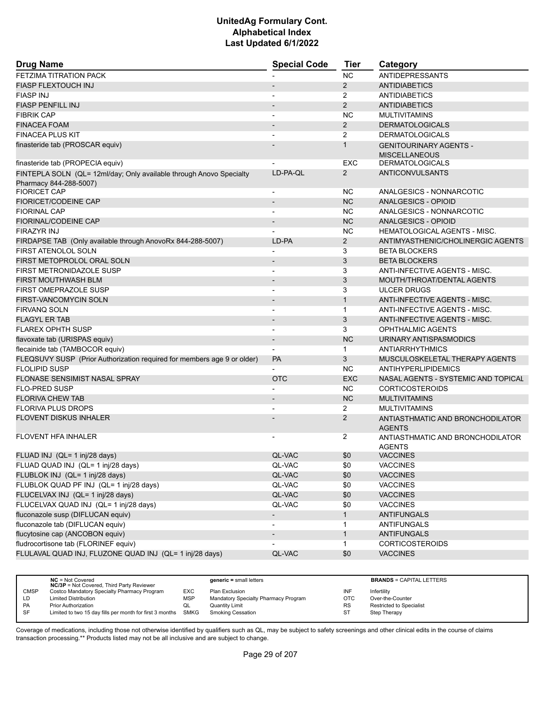| <b>Drug Name</b>                                                                              | <b>Special Code</b>      | <b>Tier</b>    | Category                                          |
|-----------------------------------------------------------------------------------------------|--------------------------|----------------|---------------------------------------------------|
| <b>FETZIMA TITRATION PACK</b>                                                                 |                          | <b>NC</b>      | <b>ANTIDEPRESSANTS</b>                            |
| <b>FIASP FLEXTOUCH INJ</b>                                                                    |                          | 2              | <b>ANTIDIABETICS</b>                              |
| <b>FIASP INJ</b>                                                                              | $\blacksquare$           | $\overline{2}$ | <b>ANTIDIABETICS</b>                              |
| <b>FIASP PENFILL INJ</b>                                                                      |                          | 2              | <b>ANTIDIABETICS</b>                              |
| <b>FIBRIK CAP</b>                                                                             |                          | <b>NC</b>      | <b>MULTIVITAMINS</b>                              |
| <b>FINACEA FOAM</b>                                                                           |                          | $\overline{2}$ | <b>DERMATOLOGICALS</b>                            |
| <b>FINACEA PLUS KIT</b>                                                                       |                          | $\overline{2}$ | <b>DERMATOLOGICALS</b>                            |
| finasteride tab (PROSCAR equiv)                                                               |                          | $\mathbf{1}$   | <b>GENITOURINARY AGENTS -</b>                     |
|                                                                                               |                          |                | <b>MISCELLANEOUS</b>                              |
| finasteride tab (PROPECIA equiv)                                                              |                          | <b>EXC</b>     | <b>DERMATOLOGICALS</b>                            |
| FINTEPLA SOLN (QL= 12ml/day; Only available through Anovo Specialty<br>Pharmacy 844-288-5007) | LD-PA-QL                 | $\overline{2}$ | <b>ANTICONVULSANTS</b>                            |
| <b>FIORICET CAP</b>                                                                           | $\overline{\phantom{a}}$ | NC.            | ANALGESICS - NONNARCOTIC                          |
| <b>FIORICET/CODEINE CAP</b>                                                                   |                          | <b>NC</b>      | <b>ANALGESICS - OPIOID</b>                        |
| <b>FIORINAL CAP</b>                                                                           |                          | <b>NC</b>      | ANALGESICS - NONNARCOTIC                          |
| <b>FIORINAL/CODEINE CAP</b>                                                                   |                          | <b>NC</b>      | ANALGESICS - OPIOID                               |
| <b>FIRAZYR INJ</b>                                                                            |                          | NC.            | <b>HEMATOLOGICAL AGENTS - MISC.</b>               |
| FIRDAPSE TAB (Only available through AnovoRx 844-288-5007)                                    | LD-PA                    | $\overline{2}$ | ANTIMYASTHENIC/CHOLINERGIC AGENTS                 |
| <b>FIRST ATENOLOL SOLN</b>                                                                    |                          | 3              | <b>BETA BLOCKERS</b>                              |
| FIRST METOPROLOL ORAL SOLN                                                                    | $\blacksquare$           | 3              | <b>BETA BLOCKERS</b>                              |
| FIRST METRONIDAZOLE SUSP                                                                      | $\blacksquare$           | 3              | ANTI-INFECTIVE AGENTS - MISC.                     |
| <b>FIRST MOUTHWASH BLM</b>                                                                    |                          | 3              | MOUTH/THROAT/DENTAL AGENTS                        |
| <b>FIRST OMEPRAZOLE SUSP</b>                                                                  | $\blacksquare$           | 3              | <b>ULCER DRUGS</b>                                |
| <b>FIRST-VANCOMYCIN SOLN</b>                                                                  |                          | $\mathbf{1}$   | ANTI-INFECTIVE AGENTS - MISC.                     |
| FIRVANQ SOLN                                                                                  |                          | $\mathbf{1}$   | ANTI-INFECTIVE AGENTS - MISC.                     |
| <b>FLAGYL ER TAB</b>                                                                          | $\blacksquare$           | 3              | ANTI-INFECTIVE AGENTS - MISC.                     |
| <b>FLAREX OPHTH SUSP</b>                                                                      |                          | 3              | <b>OPHTHALMIC AGENTS</b>                          |
| flavoxate tab (URISPAS equiv)                                                                 |                          | <b>NC</b>      | URINARY ANTISPASMODICS                            |
| flecainide tab (TAMBOCOR equiv)                                                               | $\blacksquare$           | $\mathbf{1}$   | <b>ANTIARRHYTHMICS</b>                            |
| FLEQSUVY SUSP (Prior Authorization required for members age 9 or older)                       | <b>PA</b>                | 3              | MUSCULOSKELETAL THERAPY AGENTS                    |
| <b>FLOLIPID SUSP</b>                                                                          |                          | <b>NC</b>      | <b>ANTIHYPERLIPIDEMICS</b>                        |
| <b>FLONASE SENSIMIST NASAL SPRAY</b>                                                          | <b>OTC</b>               | <b>EXC</b>     | NASAL AGENTS - SYSTEMIC AND TOPICAL               |
| <b>FLO-PRED SUSP</b>                                                                          |                          | <b>NC</b>      | <b>CORTICOSTEROIDS</b>                            |
| <b>FLORIVA CHEW TAB</b>                                                                       |                          | <b>NC</b>      | <b>MULTIVITAMINS</b>                              |
| <b>FLORIVA PLUS DROPS</b>                                                                     |                          | $\overline{2}$ | <b>MULTIVITAMINS</b>                              |
| <b>FLOVENT DISKUS INHALER</b>                                                                 |                          | $\overline{2}$ | ANTIASTHMATIC AND BRONCHODILATOR<br><b>AGENTS</b> |
| <b>FLOVENT HFA INHALER</b>                                                                    |                          | 2              | ANTIASTHMATIC AND BRONCHODILATOR<br><b>AGENTS</b> |
| FLUAD INJ (QL= 1 inj/28 days)                                                                 | QL-VAC                   | \$0            | <b>VACCINES</b>                                   |
| FLUAD QUAD INJ (QL= 1 inj/28 days)                                                            | QL-VAC                   | \$0            | <b>VACCINES</b>                                   |
| FLUBLOK INJ (QL= 1 inj/28 days)                                                               | QL-VAC                   | \$0            | <b>VACCINES</b>                                   |
| FLUBLOK QUAD PF INJ (QL= 1 inj/28 days)                                                       | QL-VAC                   | \$0            | <b>VACCINES</b>                                   |
| FLUCELVAX INJ (QL= 1 inj/28 days)                                                             | QL-VAC                   | \$0            | <b>VACCINES</b>                                   |
| FLUCELVAX QUAD INJ (QL= 1 inj/28 days)                                                        | QL-VAC                   | \$0            | <b>VACCINES</b>                                   |
| fluconazole susp (DIFLUCAN equiv)                                                             | $\overline{\phantom{a}}$ | $\mathbf{1}$   | <b>ANTIFUNGALS</b>                                |
| fluconazole tab (DIFLUCAN equiv)                                                              | $\overline{\phantom{a}}$ | $\mathbf{1}$   | <b>ANTIFUNGALS</b>                                |
| flucytosine cap (ANCOBON equiv)                                                               |                          | $\mathbf{1}$   | <b>ANTIFUNGALS</b>                                |
| fludrocortisone tab (FLORINEF equiv)                                                          |                          | $\mathbf{1}$   | <b>CORTICOSTEROIDS</b>                            |
| FLULAVAL QUAD INJ, FLUZONE QUAD INJ (QL= 1 inj/28 days)                                       | QL-VAC                   | \$0            | <b>VACCINES</b>                                   |
|                                                                                               |                          |                |                                                   |

|             | $NC = Not Covered$<br><b>NC/3P</b> = Not Covered, Third Party Reviewer |            | $generic = small letters$            |            | <b>BRANDS = CAPITAL LETTERS</b> |
|-------------|------------------------------------------------------------------------|------------|--------------------------------------|------------|---------------------------------|
| <b>CMSP</b> | Costco Mandatory Specialty Pharmacy Program                            | EXC        | Plan Exclusion                       | INF        | Infertility                     |
| LD          | <b>Limited Distribution</b>                                            | <b>MSP</b> | Mandatory Specialty Pharmacy Program | <b>OTC</b> | Over-the-Counter                |
| PA          | <b>Prior Authorization</b>                                             | QL         | Quantity Limit                       | <b>RS</b>  | Restricted to Specialist        |
| <b>SF</b>   | Limited to two 15 day fills per month for first 3 months SMKG          |            | <b>Smoking Cessation</b>             | ST         | Step Therapy                    |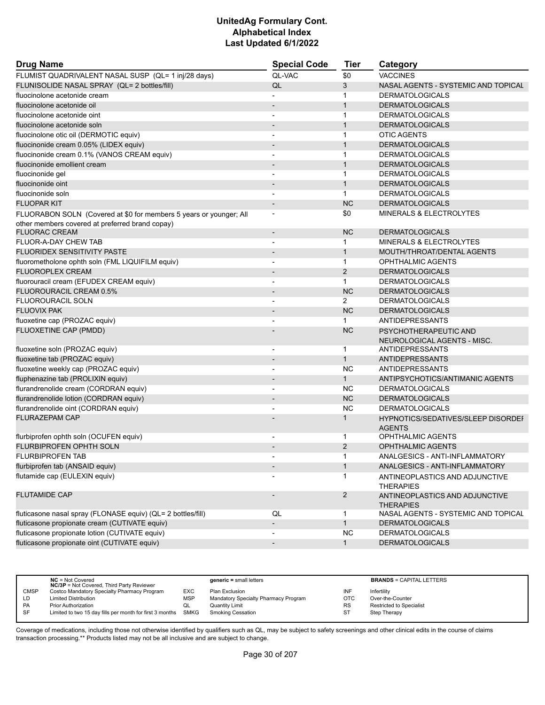| <b>Drug Name</b>                                                   | <b>Special Code</b>          | Tier           | Category                                             |
|--------------------------------------------------------------------|------------------------------|----------------|------------------------------------------------------|
| FLUMIST QUADRIVALENT NASAL SUSP (QL= 1 inj/28 days)                | <b>QL-VAC</b>                | \$0            | <b>VACCINES</b>                                      |
| FLUNISOLIDE NASAL SPRAY (QL= 2 bottles/fill)                       | QL                           | 3              | NASAL AGENTS - SYSTEMIC AND TOPICAL                  |
| fluocinolone acetonide cream                                       |                              | 1              | <b>DERMATOLOGICALS</b>                               |
| fluocinolone acetonide oil                                         |                              | $\mathbf{1}$   | <b>DERMATOLOGICALS</b>                               |
| fluocinolone acetonide oint                                        | $\overline{\phantom{a}}$     | $\mathbf{1}$   | <b>DERMATOLOGICALS</b>                               |
| fluocinolone acetonide soln                                        |                              | $\mathbf{1}$   | <b>DERMATOLOGICALS</b>                               |
| fluocinolone otic oil (DERMOTIC equiv)                             |                              | $\mathbf{1}$   | <b>OTIC AGENTS</b>                                   |
| fluocinonide cream 0.05% (LIDEX equiv)                             |                              | $\mathbf{1}$   | <b>DERMATOLOGICALS</b>                               |
| fluocinonide cream 0.1% (VANOS CREAM equiv)                        |                              | 1              | <b>DERMATOLOGICALS</b>                               |
| fluocinonide emollient cream                                       |                              | $\mathbf{1}$   | <b>DERMATOLOGICALS</b>                               |
| fluocinonide gel                                                   | $\overline{a}$               | $\mathbf{1}$   | <b>DERMATOLOGICALS</b>                               |
| fluocinonide oint                                                  |                              | $\mathbf{1}$   | <b>DERMATOLOGICALS</b>                               |
| fluocinonide soln                                                  |                              | $\mathbf{1}$   | <b>DERMATOLOGICALS</b>                               |
| <b>FLUOPAR KIT</b>                                                 | $\qquad \qquad \blacksquare$ | <b>NC</b>      | <b>DERMATOLOGICALS</b>                               |
| FLUORABON SOLN (Covered at \$0 for members 5 years or younger; All |                              | \$0            | <b>MINERALS &amp; ELECTROLYTES</b>                   |
| other members covered at preferred brand copay)                    |                              |                |                                                      |
| <b>FLUORAC CREAM</b>                                               | $\overline{\phantom{a}}$     | <b>NC</b>      | <b>DERMATOLOGICALS</b>                               |
| <b>FLUOR-A-DAY CHEW TAB</b>                                        |                              | 1              | MINERALS & ELECTROLYTES                              |
| FLUORIDEX SENSITIVITY PASTE                                        |                              | $\mathbf{1}$   | MOUTH/THROAT/DENTAL AGENTS                           |
| fluorometholone ophth soln (FML LIQUIFILM equiv)                   | $\overline{a}$               | $\mathbf{1}$   | <b>OPHTHALMIC AGENTS</b>                             |
| <b>FLUOROPLEX CREAM</b>                                            |                              | 2              | <b>DERMATOLOGICALS</b>                               |
| fluorouracil cream (EFUDEX CREAM equiv)                            | $\overline{a}$               | $\mathbf 1$    | <b>DERMATOLOGICALS</b>                               |
| FLUOROURACIL CREAM 0.5%                                            |                              | <b>NC</b>      | <b>DERMATOLOGICALS</b>                               |
| FLUOROURACIL SOLN                                                  |                              | $\overline{2}$ | <b>DERMATOLOGICALS</b>                               |
| <b>FLUOVIX PAK</b>                                                 | $\overline{\phantom{m}}$     | <b>NC</b>      | <b>DERMATOLOGICALS</b>                               |
| fluoxetine cap (PROZAC equiv)                                      |                              | $\mathbf{1}$   | <b>ANTIDEPRESSANTS</b>                               |
| <b>FLUOXETINE CAP (PMDD)</b>                                       |                              | <b>NC</b>      | PSYCHOTHERAPEUTIC AND<br>NEUROLOGICAL AGENTS - MISC. |
| fluoxetine soln (PROZAC equiv)                                     |                              | $\mathbf{1}$   | <b>ANTIDEPRESSANTS</b>                               |
| fluoxetine tab (PROZAC equiv)                                      | $\qquad \qquad \blacksquare$ | $\mathbf{1}$   | <b>ANTIDEPRESSANTS</b>                               |
| fluoxetine weekly cap (PROZAC equiv)                               | ٠                            | <b>NC</b>      | <b>ANTIDEPRESSANTS</b>                               |
| fluphenazine tab (PROLIXIN equiv)                                  |                              | $\mathbf{1}$   | ANTIPSYCHOTICS/ANTIMANIC AGENTS                      |
| flurandrenolide cream (CORDRAN equiv)                              | $\overline{\phantom{a}}$     | <b>NC</b>      | <b>DERMATOLOGICALS</b>                               |
| flurandrenolide lotion (CORDRAN equiv)                             | $\qquad \qquad \blacksquare$ | <b>NC</b>      | <b>DERMATOLOGICALS</b>                               |
| flurandrenolide oint (CORDRAN equiv)                               |                              | <b>NC</b>      | <b>DERMATOLOGICALS</b>                               |
| <b>FLURAZEPAM CAP</b>                                              |                              | 1              | HYPNOTICS/SEDATIVES/SLEEP DISORDEI                   |
|                                                                    |                              |                | <b>AGENTS</b>                                        |
| flurbiprofen ophth soln (OCUFEN equiv)                             |                              | 1              | <b>OPHTHALMIC AGENTS</b>                             |
| FLURBIPROFEN OPHTH SOLN                                            |                              | 2              | <b>OPHTHALMIC AGENTS</b>                             |
| FLURBIPROFEN TAB                                                   |                              |                | ANALGESICS - ANTI-INFLAMMATORY                       |
| flurbiprofen tab (ANSAID equiv)                                    |                              | $\mathbf{1}$   | ANALGESICS - ANTI-INFLAMMATORY                       |
| flutamide cap (EULEXIN equiv)                                      |                              | 1              | ANTINEOPLASTICS AND ADJUNCTIVE<br><b>THERAPIES</b>   |
| <b>FLUTAMIDE CAP</b>                                               |                              | $\overline{a}$ | ANTINEOPLASTICS AND ADJUNCTIVE<br><b>THERAPIES</b>   |
| fluticasone nasal spray (FLONASE equiv) (QL= 2 bottles/fill)       | QL                           | 1              | NASAL AGENTS - SYSTEMIC AND TOPICAL                  |
| fluticasone propionate cream (CUTIVATE equiv)                      | $\overline{\phantom{a}}$     | $\mathbf{1}$   | <b>DERMATOLOGICALS</b>                               |
| fluticasone propionate lotion (CUTIVATE equiv)                     |                              | <b>NC</b>      | <b>DERMATOLOGICALS</b>                               |
| fluticasone propionate oint (CUTIVATE equiv)                       | $\overline{\phantom{a}}$     | $\mathbf{1}$   | <b>DERMATOLOGICALS</b>                               |

|             | $NC = Not Covered$<br><b>NC/3P</b> = Not Covered, Third Party Reviewer |     | $generic = small letters$            |            | <b>BRANDS = CAPITAL LETTERS</b> |
|-------------|------------------------------------------------------------------------|-----|--------------------------------------|------------|---------------------------------|
| <b>CMSP</b> | Costco Mandatory Specialty Pharmacy Program                            | EXC | Plan Exclusion                       | INF        | Infertility                     |
| LD          | <b>Limited Distribution</b>                                            | MSP | Mandatory Specialty Pharmacy Program | <b>OTC</b> | Over-the-Counter                |
| <b>PA</b>   | Prior Authorization                                                    | QL  | Quantity Limit                       | <b>RS</b>  | <b>Restricted to Specialist</b> |
| <b>SF</b>   | Limited to two 15 day fills per month for first 3 months SMKG          |     | Smoking Cessation                    | ST         | <b>Step Therapy</b>             |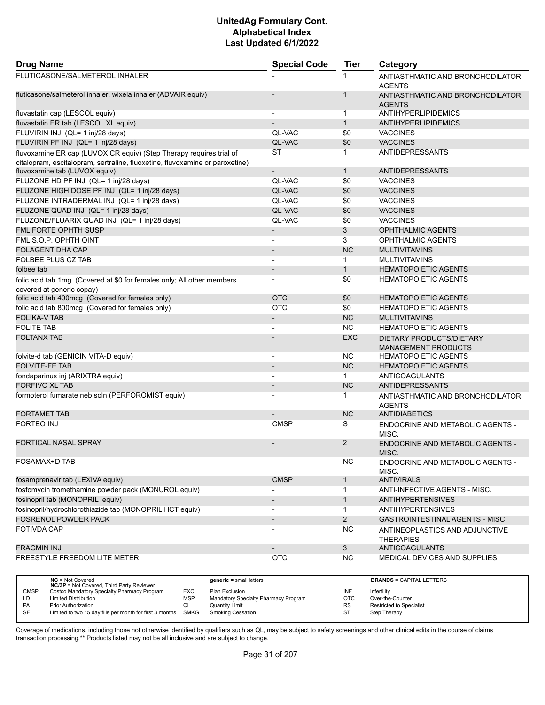| <b>Drug Name</b>                                                                                                                                    | <b>Special Code</b>      | <b>Tier</b>    | Category                                               |
|-----------------------------------------------------------------------------------------------------------------------------------------------------|--------------------------|----------------|--------------------------------------------------------|
| FLUTICASONE/SALMETEROL INHALER                                                                                                                      |                          |                | ANTIASTHMATIC AND BRONCHODILATOR<br><b>AGENTS</b>      |
| fluticasone/salmeterol inhaler, wixela inhaler (ADVAIR equiv)                                                                                       |                          | 1              | ANTIASTHMATIC AND BRONCHODILATOR<br><b>AGENTS</b>      |
| fluvastatin cap (LESCOL equiv)                                                                                                                      |                          | $\mathbf{1}$   | ANTIHYPERLIPIDEMICS                                    |
| fluvastatin ER tab (LESCOL XL equiv)                                                                                                                |                          | $\mathbf{1}$   | ANTIHYPERLIPIDEMICS                                    |
| FLUVIRIN INJ (QL= 1 inj/28 days)                                                                                                                    | QL-VAC                   | \$0            | <b>VACCINES</b>                                        |
| FLUVIRIN PF INJ (QL= 1 inj/28 days)                                                                                                                 | QL-VAC                   | \$0            | <b>VACCINES</b>                                        |
| fluvoxamine ER cap (LUVOX CR equiv) (Step Therapy requires trial of<br>citalopram, escitalopram, sertraline, fluoxetine, fluvoxamine or paroxetine) | <b>ST</b>                | $\mathbf{1}$   | <b>ANTIDEPRESSANTS</b>                                 |
| fluvoxamine tab (LUVOX equiv)                                                                                                                       | $\overline{\phantom{a}}$ | $\mathbf{1}$   | <b>ANTIDEPRESSANTS</b>                                 |
| FLUZONE HD PF INJ (QL= 1 inj/28 days)                                                                                                               | QL-VAC                   | \$0            | <b>VACCINES</b>                                        |
| FLUZONE HIGH DOSE PF INJ (QL= 1 inj/28 days)                                                                                                        | QL-VAC                   | \$0            | <b>VACCINES</b>                                        |
| FLUZONE INTRADERMAL INJ (QL= 1 inj/28 days)                                                                                                         | QL-VAC                   | \$0            | <b>VACCINES</b>                                        |
| FLUZONE QUAD INJ (QL= 1 inj/28 days)                                                                                                                | QL-VAC                   | \$0            | <b>VACCINES</b>                                        |
| FLUZONE/FLUARIX QUAD INJ (QL= 1 inj/28 days)                                                                                                        | QL-VAC                   | \$0            | <b>VACCINES</b>                                        |
| FML FORTE OPHTH SUSP                                                                                                                                | $\overline{\phantom{a}}$ | 3              | <b>OPHTHALMIC AGENTS</b>                               |
| FML S.O.P. OPHTH OINT                                                                                                                               | $\overline{\phantom{a}}$ | 3              | OPHTHALMIC AGENTS                                      |
| <b>FOLAGENT DHA CAP</b>                                                                                                                             |                          | <b>NC</b>      | <b>MULTIVITAMINS</b>                                   |
| <b>FOLBEE PLUS CZ TAB</b>                                                                                                                           |                          | 1              | <b>MULTIVITAMINS</b>                                   |
| folbee tab                                                                                                                                          | $\overline{\phantom{a}}$ | $\mathbf{1}$   | <b>HEMATOPOIETIC AGENTS</b>                            |
| folic acid tab 1mg (Covered at \$0 for females only; All other members                                                                              | $\blacksquare$           | \$0            | <b>HEMATOPOIETIC AGENTS</b>                            |
| covered at generic copay)                                                                                                                           |                          |                |                                                        |
| folic acid tab 400mcg (Covered for females only)                                                                                                    | <b>OTC</b>               | \$0            | <b>HEMATOPOIETIC AGENTS</b>                            |
| folic acid tab 800mcg (Covered for females only)                                                                                                    | <b>OTC</b>               | \$0            | <b>HEMATOPOIETIC AGENTS</b>                            |
| <b>FOLIKA-V TAB</b>                                                                                                                                 | $\overline{\phantom{a}}$ | NC             | <b>MULTIVITAMINS</b>                                   |
| <b>FOLITE TAB</b>                                                                                                                                   |                          | NC.            | <b>HEMATOPOIETIC AGENTS</b>                            |
| <b>FOLTANX TAB</b>                                                                                                                                  |                          | <b>EXC</b>     | DIETARY PRODUCTS/DIETARY<br><b>MANAGEMENT PRODUCTS</b> |
| folvite-d tab (GENICIN VITA-D equiv)                                                                                                                | $\overline{a}$           | NC.            | <b>HEMATOPOIETIC AGENTS</b>                            |
| <b>FOLVITE-FE TAB</b>                                                                                                                               | $\overline{\phantom{a}}$ | <b>NC</b>      | <b>HEMATOPOIETIC AGENTS</b>                            |
| fondaparinux inj (ARIXTRA equiv)                                                                                                                    |                          | $\mathbf{1}$   | ANTICOAGULANTS                                         |
| <b>FORFIVO XL TAB</b>                                                                                                                               |                          | <b>NC</b>      | <b>ANTIDEPRESSANTS</b>                                 |
| formoterol fumarate neb soln (PERFOROMIST equiv)                                                                                                    |                          | 1              | ANTIASTHMATIC AND BRONCHODILATOR<br><b>AGENTS</b>      |
| <b>FORTAMET TAB</b>                                                                                                                                 |                          | <b>NC</b>      | <b>ANTIDIABETICS</b>                                   |
| <b>FORTEO INJ</b>                                                                                                                                   | <b>CMSP</b>              | S              | <b>ENDOCRINE AND METABOLIC AGENTS -</b><br>MISC.       |
| <b>FORTICAL NASAL SPRAY</b>                                                                                                                         |                          | 2              | <b>ENDOCRINE AND METABOLIC AGENTS -</b><br>MISC.       |
| FOSAMAX+D TAB                                                                                                                                       |                          | <b>NC</b>      | ENDOCRINE AND METABOLIC AGENTS -<br>MISC.              |
| fosamprenavir tab (LEXIVA equiv)                                                                                                                    | <b>CMSP</b>              | $\mathbf{1}$   | <b>ANTIVIRALS</b>                                      |
| fosfomycin tromethamine powder pack (MONUROL equiv)                                                                                                 |                          | $\mathbf{1}$   | ANTI-INFECTIVE AGENTS - MISC.                          |
| fosinopril tab (MONOPRIL equiv)                                                                                                                     | $\blacksquare$           | $\mathbf{1}$   | <b>ANTIHYPERTENSIVES</b>                               |
| fosinopril/hydrochlorothiazide tab (MONOPRIL HCT equiv)                                                                                             |                          | $\mathbf{1}$   | <b>ANTIHYPERTENSIVES</b>                               |
| <b>FOSRENOL POWDER PACK</b>                                                                                                                         | $\blacksquare$           | $\overline{2}$ | <b>GASTROINTESTINAL AGENTS - MISC.</b>                 |
| <b>FOTIVDA CAP</b>                                                                                                                                  |                          | NC.            | ANTINEOPLASTICS AND ADJUNCTIVE<br><b>THERAPIES</b>     |
| <b>FRAGMIN INJ</b>                                                                                                                                  |                          | $\mathbf{3}$   | <b>ANTICOAGULANTS</b>                                  |
| FREESTYLE FREEDOM LITE METER                                                                                                                        | <b>OTC</b>               | <b>NC</b>      | MEDICAL DEVICES AND SUPPLIES                           |
|                                                                                                                                                     |                          |                |                                                        |

|             | $NC = Not Covered$<br><b>NC/3P</b> = Not Covered, Third Party Reviewer |            | $generic = small letters$            |           | <b>BRANDS = CAPITAL LETTERS</b> |
|-------------|------------------------------------------------------------------------|------------|--------------------------------------|-----------|---------------------------------|
| <b>CMSP</b> | Costco Mandatory Specialty Pharmacy Program                            | <b>EXC</b> | Plan Exclusion                       | INF       | Infertility                     |
| LD          | <b>Limited Distribution</b>                                            | <b>MSP</b> | Mandatory Specialty Pharmacy Program | OTC       | Over-the-Counter                |
| PA          | <b>Prior Authorization</b>                                             | QL         | <b>Quantity Limit</b>                | <b>RS</b> | <b>Restricted to Specialist</b> |
| SF          | Limited to two 15 day fills per month for first 3 months               | SMKG       | <b>Smoking Cessation</b>             |           | Step Therapy                    |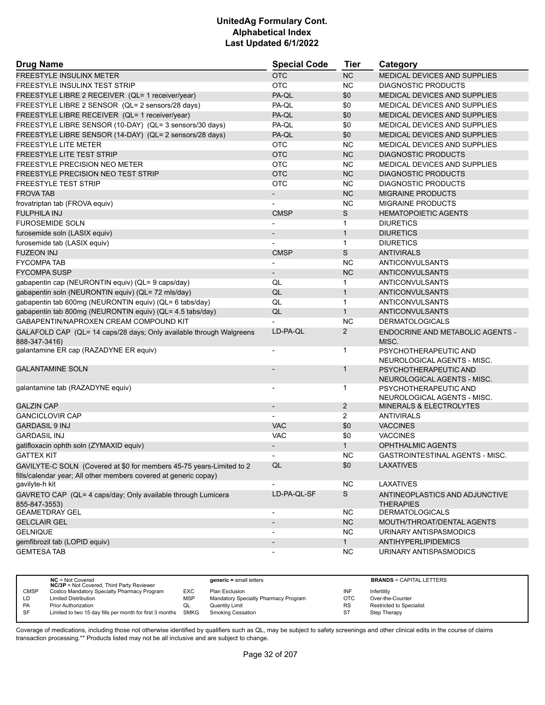| <b>Drug Name</b>                                                              | <b>Special Code</b>      | <b>Tier</b>    | Category                                             |
|-------------------------------------------------------------------------------|--------------------------|----------------|------------------------------------------------------|
| <b>FREESTYLE INSULINX METER</b>                                               | <b>OTC</b>               | <b>NC</b>      | MEDICAL DEVICES AND SUPPLIES                         |
| FREESTYLE INSULINX TEST STRIP                                                 | <b>OTC</b>               | <b>NC</b>      | <b>DIAGNOSTIC PRODUCTS</b>                           |
| FREESTYLE LIBRE 2 RECEIVER (QL= 1 receiver/year)                              | PA-QL                    | \$0            | <b>MEDICAL DEVICES AND SUPPLIES</b>                  |
| FREESTYLE LIBRE 2 SENSOR (QL= 2 sensors/28 days)                              | PA-QL                    | \$0            | MEDICAL DEVICES AND SUPPLIES                         |
| FREESTYLE LIBRE RECEIVER (QL= 1 receiver/year)                                | PA-QL                    | \$0            | MEDICAL DEVICES AND SUPPLIES                         |
| FREESTYLE LIBRE SENSOR (10-DAY) (QL= 3 sensors/30 days)                       | PA-QL                    | \$0            | MEDICAL DEVICES AND SUPPLIES                         |
| FREESTYLE LIBRE SENSOR (14-DAY) (QL= 2 sensors/28 days)                       | PA-QL                    | \$0            | <b>MEDICAL DEVICES AND SUPPLIES</b>                  |
| <b>FREESTYLE LITE METER</b>                                                   | <b>OTC</b>               | <b>NC</b>      | MEDICAL DEVICES AND SUPPLIES                         |
| <b>FREESTYLE LITE TEST STRIP</b>                                              | <b>OTC</b>               | <b>NC</b>      | <b>DIAGNOSTIC PRODUCTS</b>                           |
| FREESTYLE PRECISION NEO METER                                                 | <b>OTC</b>               | <b>NC</b>      | MEDICAL DEVICES AND SUPPLIES                         |
| FREESTYLE PRECISION NEO TEST STRIP                                            | <b>OTC</b>               | <b>NC</b>      | <b>DIAGNOSTIC PRODUCTS</b>                           |
| <b>FREESTYLE TEST STRIP</b>                                                   | OTC                      | <b>NC</b>      | <b>DIAGNOSTIC PRODUCTS</b>                           |
| <b>FROVA TAB</b>                                                              | $\overline{\phantom{0}}$ | <b>NC</b>      | <b>MIGRAINE PRODUCTS</b>                             |
| frovatriptan tab (FROVA equiv)                                                |                          | NC.            | <b>MIGRAINE PRODUCTS</b>                             |
| <b>FULPHILA INJ</b>                                                           | <b>CMSP</b>              | S              | <b>HEMATOPOIETIC AGENTS</b>                          |
| <b>FUROSEMIDE SOLN</b>                                                        |                          | 1              | <b>DIURETICS</b>                                     |
| furosemide soln (LASIX equiv)                                                 | $\overline{\phantom{0}}$ | $\mathbf{1}$   | <b>DIURETICS</b>                                     |
| furosemide tab (LASIX equiv)                                                  |                          | $\mathbf{1}$   | <b>DIURETICS</b>                                     |
| <b>FUZEON INJ</b>                                                             | <b>CMSP</b>              | S              | <b>ANTIVIRALS</b>                                    |
| <b>FYCOMPA TAB</b>                                                            |                          | <b>NC</b>      | <b>ANTICONVULSANTS</b>                               |
| <b>FYCOMPA SUSP</b>                                                           | $\overline{\phantom{0}}$ | <b>NC</b>      | <b>ANTICONVULSANTS</b>                               |
| gabapentin cap (NEURONTIN equiv) (QL= 9 caps/day)                             | QL                       | 1              | ANTICONVULSANTS                                      |
| gabapentin soln (NEURONTIN equiv) (QL= 72 mls/day)                            | QL                       | $\mathbf{1}$   | <b>ANTICONVULSANTS</b>                               |
| gabapentin tab 600mg (NEURONTIN equiv) (QL= 6 tabs/day)                       | QL                       | $\mathbf{1}$   | ANTICONVULSANTS                                      |
| gabapentin tab 800mg (NEURONTIN equiv) (QL= 4.5 tabs/day)                     | QL                       | $\mathbf{1}$   | ANTICONVULSANTS                                      |
| GABAPENTIN/NAPROXEN CREAM COMPOUND KIT                                        |                          | <b>NC</b>      | <b>DERMATOLOGICALS</b>                               |
| GALAFOLD CAP (QL= 14 caps/28 days; Only available through Walgreens           | LD-PA-QL                 | $\overline{2}$ | <b>ENDOCRINE AND METABOLIC AGENTS -</b>              |
| 888-347-3416)                                                                 |                          |                | MISC.                                                |
| galantamine ER cap (RAZADYNE ER equiv)                                        | $\blacksquare$           | 1              | PSYCHOTHERAPEUTIC AND<br>NEUROLOGICAL AGENTS - MISC. |
| <b>GALANTAMINE SOLN</b>                                                       |                          | $\mathbf 1$    | PSYCHOTHERAPEUTIC AND<br>NEUROLOGICAL AGENTS - MISC. |
| galantamine tab (RAZADYNE equiv)                                              | $\overline{\phantom{a}}$ | 1              | PSYCHOTHERAPEUTIC AND                                |
|                                                                               |                          |                | NEUROLOGICAL AGENTS - MISC.                          |
| <b>GALZIN CAP</b>                                                             | $\overline{\phantom{a}}$ | $\overline{2}$ | MINERALS & ELECTROLYTES                              |
| <b>GANCICLOVIR CAP</b>                                                        |                          | 2              | <b>ANTIVIRALS</b>                                    |
| <b>GARDASIL 9 INJ</b>                                                         | <b>VAC</b>               | \$0            | <b>VACCINES</b>                                      |
| <b>GARDASIL INJ</b>                                                           | <b>VAC</b>               | \$0            | <b>VACCINES</b>                                      |
| gatifloxacin ophth soln (ZYMAXID equiv)                                       |                          | $\mathbf{1}$   | <b>OPHTHALMIC AGENTS</b>                             |
| GATTEX KIT                                                                    |                          | <b>NC</b>      | GASTROINTESTINAL AGENTS - MISC.                      |
| GAVILYTE-C SOLN (Covered at \$0 for members 45-75 years-Limited to 2          | QL                       | \$0            | <b>LAXATIVES</b>                                     |
| fills/calendar year; All other members covered at generic copay)              |                          |                |                                                      |
| gavilyte-h kit                                                                | $\overline{\phantom{a}}$ | NC.            | LAXATIVES                                            |
| GAVRETO CAP (QL= 4 caps/day; Only available through Lumicera<br>855-847-3553) | LD-PA-QL-SF              | S              | ANTINEOPLASTICS AND ADJUNCTIVE<br><b>THERAPIES</b>   |
| <b>GEAMETDRAY GEL</b>                                                         | $\overline{\phantom{a}}$ | ΝC             | <b>DERMATOLOGICALS</b>                               |
| <b>GELCLAIR GEL</b>                                                           |                          | <b>NC</b>      | MOUTH/THROAT/DENTAL AGENTS                           |
| <b>GELNIQUE</b>                                                               | $\overline{\phantom{a}}$ | NC.            | URINARY ANTISPASMODICS                               |
| gemfibrozil tab (LOPID equiv)                                                 |                          | 1              | ANTIHYPERLIPIDEMICS                                  |
| <b>GEMTESA TAB</b>                                                            | $\overline{\phantom{a}}$ | <b>NC</b>      | URINARY ANTISPASMODICS                               |

|             | $NC = Not Covered$<br><b>NC/3P</b> = Not Covered, Third Party Reviewer |            | $generic = small letters$            |           | <b>BRANDS = CAPITAL LETTERS</b> |
|-------------|------------------------------------------------------------------------|------------|--------------------------------------|-----------|---------------------------------|
| <b>CMSP</b> | Costco Mandatory Specialty Pharmacy Program                            | EXC        | Plan Exclusion                       | INF       | Infertility                     |
| LD          | <b>Limited Distribution</b>                                            | <b>MSP</b> | Mandatory Specialty Pharmacy Program | OTC       | Over-the-Counter                |
| <b>PA</b>   | Prior Authorization                                                    | QL         | Quantity Limit                       | <b>RS</b> | <b>Restricted to Specialist</b> |
| SF          | Limited to two 15 day fills per month for first 3 months SMKG          |            | <b>Smoking Cessation</b>             | ST        | Step Therapy                    |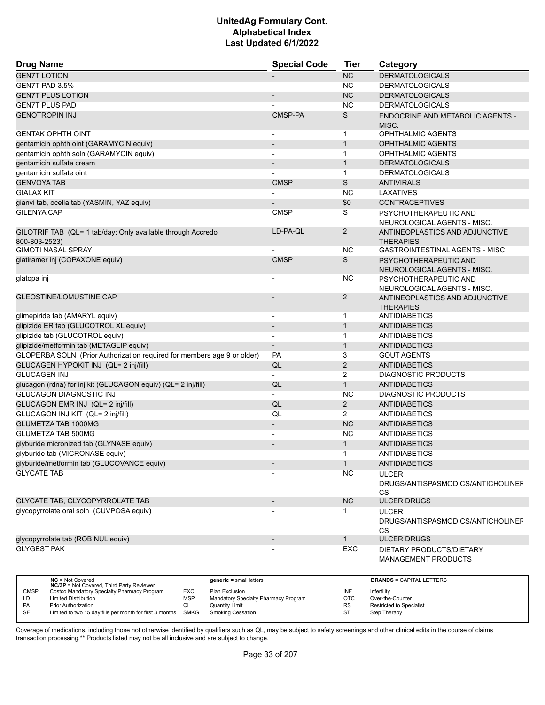| <b>Drug Name</b>                                                        | <b>Special Code</b>      | <b>Tier</b>    | Category                                                       |
|-------------------------------------------------------------------------|--------------------------|----------------|----------------------------------------------------------------|
| <b>GEN7T LOTION</b>                                                     |                          | <b>NC</b>      | <b>DERMATOLOGICALS</b>                                         |
| GEN7T PAD 3.5%                                                          |                          | <b>NC</b>      | <b>DERMATOLOGICALS</b>                                         |
| <b>GEN7T PLUS LOTION</b>                                                |                          | <b>NC</b>      | <b>DERMATOLOGICALS</b>                                         |
| <b>GEN7T PLUS PAD</b>                                                   |                          | <b>NC</b>      | <b>DERMATOLOGICALS</b>                                         |
| <b>GENOTROPIN INJ</b>                                                   | CMSP-PA                  | S              | ENDOCRINE AND METABOLIC AGENTS -<br>MISC.                      |
| <b>GENTAK OPHTH OINT</b>                                                | $\blacksquare$           | $\mathbf 1$    | <b>OPHTHALMIC AGENTS</b>                                       |
| gentamicin ophth oint (GARAMYCIN equiv)                                 |                          | $\mathbf{1}$   | <b>OPHTHALMIC AGENTS</b>                                       |
| gentamicin ophth soln (GARAMYCIN equiv)                                 |                          | $\mathbf{1}$   | <b>OPHTHALMIC AGENTS</b>                                       |
| gentamicin sulfate cream                                                |                          | $\mathbf{1}$   | <b>DERMATOLOGICALS</b>                                         |
| gentamicin sulfate oint                                                 |                          | $\mathbf{1}$   | <b>DERMATOLOGICALS</b>                                         |
| <b>GENVOYA TAB</b>                                                      | <b>CMSP</b>              | S              | <b>ANTIVIRALS</b>                                              |
| <b>GIALAX KIT</b>                                                       |                          | <b>NC</b>      | LAXATIVES                                                      |
| gianvi tab, ocella tab (YASMIN, YAZ equiv)                              |                          | \$0            | <b>CONTRACEPTIVES</b>                                          |
| <b>GILENYA CAP</b>                                                      | <b>CMSP</b>              | S              |                                                                |
|                                                                         |                          |                | PSYCHOTHERAPEUTIC AND<br>NEUROLOGICAL AGENTS - MISC.           |
| GILOTRIF TAB (QL= 1 tab/day; Only available through Accredo             | LD-PA-QL                 | $\overline{2}$ | ANTINEOPLASTICS AND ADJUNCTIVE                                 |
| 800-803-2523)                                                           |                          |                | <b>THERAPIES</b>                                               |
| <b>GIMOTI NASAL SPRAY</b>                                               |                          | <b>NC</b>      | GASTROINTESTINAL AGENTS - MISC.                                |
| glatiramer inj (COPAXONE equiv)                                         | <b>CMSP</b>              | S              | PSYCHOTHERAPEUTIC AND<br>NEUROLOGICAL AGENTS - MISC.           |
| glatopa inj                                                             |                          | <b>NC</b>      | PSYCHOTHERAPEUTIC AND<br>NEUROLOGICAL AGENTS - MISC.           |
| <b>GLEOSTINE/LOMUSTINE CAP</b>                                          |                          | 2              | ANTINEOPLASTICS AND ADJUNCTIVE<br><b>THERAPIES</b>             |
| glimepiride tab (AMARYL equiv)                                          | $\overline{\phantom{a}}$ | 1              | ANTIDIABETICS                                                  |
| glipizide ER tab (GLUCOTROL XL equiv)                                   |                          | $\mathbf{1}$   | ANTIDIABETICS                                                  |
| glipizide tab (GLUCOTROL equiv)                                         | $\blacksquare$           | $\mathbf 1$    | <b>ANTIDIABETICS</b>                                           |
| glipizide/metformin tab (METAGLIP equiv)                                | $\overline{\phantom{a}}$ | $\mathbf{1}$   | <b>ANTIDIABETICS</b>                                           |
| GLOPERBA SOLN (Prior Authorization required for members age 9 or older) | <b>PA</b>                | 3              | <b>GOUT AGENTS</b>                                             |
| GLUCAGEN HYPOKIT INJ (QL= 2 inj/fill)                                   | QL                       | 2              | <b>ANTIDIABETICS</b>                                           |
| <b>GLUCAGEN INJ</b>                                                     |                          | 2              | <b>DIAGNOSTIC PRODUCTS</b>                                     |
| glucagon (rdna) for inj kit (GLUCAGON equiv) (QL= 2 inj/fill)           | QL                       | $\mathbf{1}$   | <b>ANTIDIABETICS</b>                                           |
| <b>GLUCAGON DIAGNOSTIC INJ</b>                                          | $\blacksquare$           | <b>NC</b>      | <b>DIAGNOSTIC PRODUCTS</b>                                     |
| GLUCAGON EMR INJ (QL= 2 inj/fill)                                       | QL                       | $\overline{2}$ | <b>ANTIDIABETICS</b>                                           |
| GLUCAGON INJ KIT (QL= 2 inj/fill)                                       | QL                       | 2              | <b>ANTIDIABETICS</b>                                           |
| <b>GLUMETZA TAB 1000MG</b>                                              |                          | <b>NC</b>      | <b>ANTIDIABETICS</b>                                           |
| <b>GLUMETZA TAB 500MG</b>                                               | $\overline{\phantom{a}}$ |                |                                                                |
|                                                                         | $\overline{\phantom{a}}$ | <b>NC</b>      | <b>ANTIDIABETICS</b>                                           |
| glyburide micronized tab (GLYNASE equiv)                                |                          | $\mathbf 1$    | <b>ANTIDIABETICS</b>                                           |
| glyburide tab (MICRONASE equiv)                                         | $\blacksquare$           | $\mathbf{1}$   | <b>ANTIDIABETICS</b>                                           |
| glyburide/metformin tab (GLUCOVANCE equiv)                              |                          | $\mathbf{1}$   | <b>ANTIDIABETICS</b>                                           |
| <b>GLYCATE TAB</b>                                                      |                          | <b>NC</b>      | <b>ULCER</b><br>DRUGS/ANTISPASMODICS/ANTICHOLINEF<br><b>CS</b> |
| GLYCATE TAB, GLYCOPYRROLATE TAB                                         | $\overline{\phantom{a}}$ | NC             | <b>ULCER DRUGS</b>                                             |
| glycopyrrolate oral soln (CUVPOSA equiv)                                |                          | 1              | <b>ULCER</b><br>DRUGS/ANTISPASMODICS/ANTICHOLINEF<br><b>CS</b> |
| glycopyrrolate tab (ROBINUL equiv)                                      |                          | $\mathbf{1}$   | <b>ULCER DRUGS</b>                                             |
| <b>GLYGEST PAK</b>                                                      |                          | EXC            | DIETARY PRODUCTS/DIETARY<br><b>MANAGEMENT PRODUCTS</b>         |

|             | $NC = Not Covered$<br><b>NC/3P</b> = Not Covered, Third Party Reviewer |            | $generic = small letters$            |           | <b>BRANDS = CAPITAL LETTERS</b> |
|-------------|------------------------------------------------------------------------|------------|--------------------------------------|-----------|---------------------------------|
| <b>CMSP</b> | Costco Mandatory Specialty Pharmacy Program                            | EXC        | Plan Exclusion                       | INF       | Infertility                     |
| LD          | <b>Limited Distribution</b>                                            | <b>MSP</b> | Mandatory Specialty Pharmacy Program | OTC       | Over-the-Counter                |
| <b>PA</b>   | <b>Prior Authorization</b>                                             | QL         | <b>Quantity Limit</b>                | <b>RS</b> | <b>Restricted to Specialist</b> |
| <b>SF</b>   | Limited to two 15 day fills per month for first 3 months               | SMKG       | <b>Smoking Cessation</b>             | ST        | Step Therapy                    |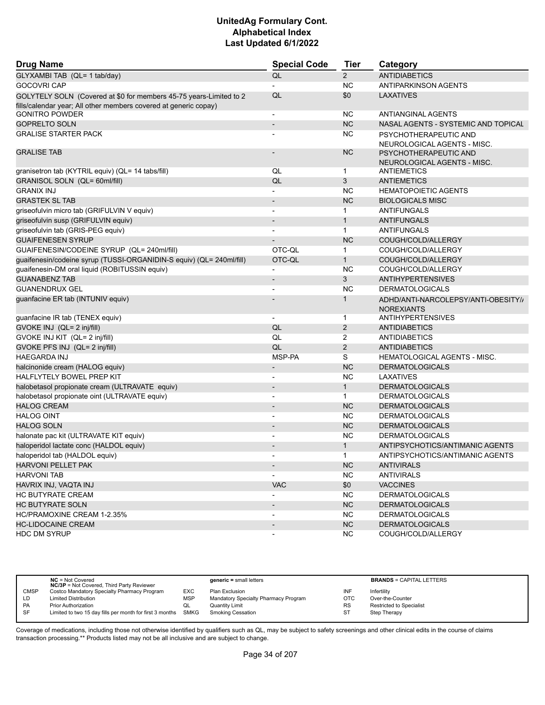| <b>Drug Name</b>                                                                                                                       | <b>Special Code</b>      | <b>Tier</b>    | Category                                                 |
|----------------------------------------------------------------------------------------------------------------------------------------|--------------------------|----------------|----------------------------------------------------------|
| GLYXAMBI TAB (QL= 1 tab/day)                                                                                                           | QL                       | $\overline{2}$ | <b>ANTIDIABETICS</b>                                     |
| <b>GOCOVRI CAP</b>                                                                                                                     |                          | <b>NC</b>      | ANTIPARKINSON AGENTS                                     |
| GOLYTELY SOLN (Covered at \$0 for members 45-75 years-Limited to 2<br>fills/calendar year; All other members covered at generic copay) | QL                       | \$0            | <b>LAXATIVES</b>                                         |
| <b>GONITRO POWDER</b>                                                                                                                  | $\overline{a}$           | <b>NC</b>      | <b>ANTIANGINAL AGENTS</b>                                |
| <b>GOPRELTO SOLN</b>                                                                                                                   | $\overline{a}$           | <b>NC</b>      | NASAL AGENTS - SYSTEMIC AND TOPICAL                      |
| <b>GRALISE STARTER PACK</b>                                                                                                            |                          | NC.            | PSYCHOTHERAPEUTIC AND<br>NEUROLOGICAL AGENTS - MISC.     |
| <b>GRALISE TAB</b>                                                                                                                     |                          | <b>NC</b>      | PSYCHOTHERAPEUTIC AND<br>NEUROLOGICAL AGENTS - MISC.     |
| granisetron tab (KYTRIL equiv) (QL= 14 tabs/fill)                                                                                      | QL                       | $\mathbf{1}$   | ANTIEMETICS                                              |
| GRANISOL SOLN (QL= 60ml/fill)                                                                                                          | QL                       | 3              | <b>ANTIEMETICS</b>                                       |
| <b>GRANIX INJ</b>                                                                                                                      |                          | <b>NC</b>      | <b>HEMATOPOIETIC AGENTS</b>                              |
| <b>GRASTEK SL TAB</b>                                                                                                                  | $\overline{\phantom{a}}$ | <b>NC</b>      | <b>BIOLOGICALS MISC</b>                                  |
| griseofulvin micro tab (GRIFULVIN V equiv)                                                                                             | $\overline{a}$           | $\mathbf{1}$   | ANTIFUNGALS                                              |
| griseofulvin susp (GRIFULVIN equiv)                                                                                                    | $\overline{\phantom{a}}$ | $\mathbf{1}$   | <b>ANTIFUNGALS</b>                                       |
| griseofulvin tab (GRIS-PEG equiv)                                                                                                      |                          | $\mathbf{1}$   | ANTIFUNGALS                                              |
| <b>GUAIFENESEN SYRUP</b>                                                                                                               |                          | <b>NC</b>      | COUGH/COLD/ALLERGY                                       |
| GUAIFENESIN/CODEINE SYRUP (QL= 240ml/fill)                                                                                             | OTC-QL                   | 1              | COUGH/COLD/ALLERGY                                       |
| guaifenesin/codeine syrup (TUSSI-ORGANIDIN-S equiv) (QL= 240ml/fill)                                                                   | OTC-QL                   | $\mathbf{1}$   | COUGH/COLD/ALLERGY                                       |
| guaifenesin-DM oral liquid (ROBITUSSIN equiv)                                                                                          | $\overline{\phantom{a}}$ | <b>NC</b>      | COUGH/COLD/ALLERGY                                       |
| <b>GUANABENZ TAB</b>                                                                                                                   | $\overline{\phantom{a}}$ | 3              | <b>ANTIHYPERTENSIVES</b>                                 |
| <b>GUANENDRUX GEL</b>                                                                                                                  |                          | <b>NC</b>      | <b>DERMATOLOGICALS</b>                                   |
| guanfacine ER tab (INTUNIV equiv)                                                                                                      |                          | 1              | ADHD/ANTI-NARCOLEPSY/ANTI-OBESITY//<br><b>NOREXIANTS</b> |
| guanfacine IR tab (TENEX equiv)                                                                                                        | $\overline{\phantom{a}}$ | $\mathbf{1}$   | <b>ANTIHYPERTENSIVES</b>                                 |
| GVOKE INJ (QL= 2 inj/fill)                                                                                                             | QL                       | $\overline{2}$ | <b>ANTIDIABETICS</b>                                     |
| GVOKE INJ KIT (QL= 2 inj/fill)                                                                                                         | QL                       | $\overline{2}$ | <b>ANTIDIABETICS</b>                                     |
| GVOKE PFS INJ (QL= 2 inj/fill)                                                                                                         | QL                       | $\overline{2}$ | <b>ANTIDIABETICS</b>                                     |
| <b>HAEGARDA INJ</b>                                                                                                                    | MSP-PA                   | S              | <b>HEMATOLOGICAL AGENTS - MISC.</b>                      |
| halcinonide cream (HALOG equiv)                                                                                                        | $\overline{\phantom{a}}$ | <b>NC</b>      | <b>DERMATOLOGICALS</b>                                   |
| HALFLYTELY BOWEL PREP KIT                                                                                                              | $\blacksquare$           | <b>NC</b>      | LAXATIVES                                                |
| halobetasol propionate cream (ULTRAVATE equiv)                                                                                         | $\overline{a}$           | $\mathbf{1}$   | <b>DERMATOLOGICALS</b>                                   |
| halobetasol propionate oint (ULTRAVATE equiv)                                                                                          |                          | 1              | <b>DERMATOLOGICALS</b>                                   |
| <b>HALOG CREAM</b>                                                                                                                     | $\overline{a}$           | <b>NC</b>      | <b>DERMATOLOGICALS</b>                                   |
| <b>HALOG OINT</b>                                                                                                                      | $\overline{a}$           | <b>NC</b>      | <b>DERMATOLOGICALS</b>                                   |
| <b>HALOG SOLN</b>                                                                                                                      |                          | <b>NC</b>      | <b>DERMATOLOGICALS</b>                                   |
| halonate pac kit (ULTRAVATE KIT equiv)                                                                                                 |                          | <b>NC</b>      | <b>DERMATOLOGICALS</b>                                   |
| haloperidol lactate conc (HALDOL equiv)                                                                                                | $\overline{a}$           | $\mathbf{1}$   | ANTIPSYCHOTICS/ANTIMANIC AGENTS                          |
| haloperidol tab (HALDOL equiv)                                                                                                         |                          | $\mathbf{1}$   | ANTIPSYCHOTICS/ANTIMANIC AGENTS                          |
| <b>HARVONI PELLET PAK</b>                                                                                                              | $\overline{\phantom{a}}$ | NC             | <b>ANTIVIRALS</b>                                        |
| <b>HARVONI TAB</b>                                                                                                                     | $\overline{\phantom{a}}$ | <b>NC</b>      | ANTIVIRALS                                               |
| HAVRIX INJ, VAQTA INJ                                                                                                                  | <b>VAC</b>               | \$0            | <b>VACCINES</b>                                          |
| HC BUTYRATE CREAM                                                                                                                      | $\overline{\phantom{a}}$ | <b>NC</b>      | <b>DERMATOLOGICALS</b>                                   |
| HC BUTYRATE SOLN                                                                                                                       | $\overline{\phantom{a}}$ | NC             | <b>DERMATOLOGICALS</b>                                   |
| HC/PRAMOXINE CREAM 1-2.35%                                                                                                             |                          | <b>NC</b>      | <b>DERMATOLOGICALS</b>                                   |
| <b>HC-LIDOCAINE CREAM</b>                                                                                                              | $\overline{\phantom{a}}$ | $NC$           | <b>DERMATOLOGICALS</b>                                   |
| <b>HDC DM SYRUP</b>                                                                                                                    | -                        | NC             | COUGH/COLD/ALLERGY                                       |

|           | $NC = Not Covered$<br><b>NC/3P</b> = Not Covered, Third Party Reviewer |            | $generic = small letters$            |            | <b>BRANDS = CAPITAL LETTERS</b> |
|-----------|------------------------------------------------------------------------|------------|--------------------------------------|------------|---------------------------------|
| CMSP      | Costco Mandatory Specialty Pharmacy Program                            | EXC        | Plan Exclusion                       | INF        | Infertility                     |
| LD        | <b>Limited Distribution</b>                                            | <b>MSP</b> | Mandatory Specialty Pharmacy Program | <b>OTC</b> | Over-the-Counter                |
| PA        | <b>Prior Authorization</b>                                             | QL         | <b>Quantity Limit</b>                | <b>RS</b>  | Restricted to Specialist        |
| <b>SF</b> | Limited to two 15 day fills per month for first 3 months SMKG          |            | Smoking Cessation                    | ST         | Step Therapy                    |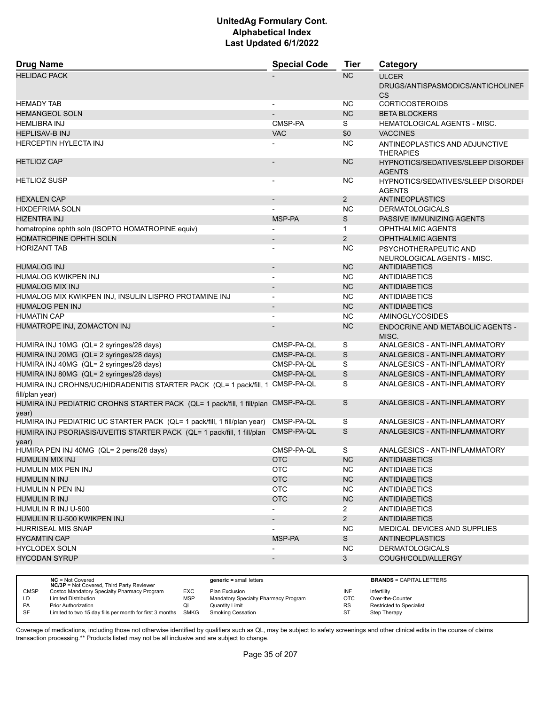| <b>Drug Name</b>                                                                                 | <b>Special Code</b>      | <b>Tier</b>    | Category                                                       |
|--------------------------------------------------------------------------------------------------|--------------------------|----------------|----------------------------------------------------------------|
| <b>HELIDAC PACK</b>                                                                              |                          | <b>NC</b>      | <b>ULCER</b><br>DRUGS/ANTISPASMODICS/ANTICHOLINEF<br><b>CS</b> |
| <b>HEMADY TAB</b>                                                                                |                          | <b>NC</b>      | <b>CORTICOSTEROIDS</b>                                         |
| <b>HEMANGEOL SOLN</b>                                                                            |                          | <b>NC</b>      | <b>BETA BLOCKERS</b>                                           |
| <b>HEMLIBRA INJ</b>                                                                              | CMSP-PA                  | S              | <b>HEMATOLOGICAL AGENTS - MISC.</b>                            |
| <b>HEPLISAV-B INJ</b>                                                                            | <b>VAC</b>               | \$0            | <b>VACCINES</b>                                                |
| <b>HERCEPTIN HYLECTA INJ</b>                                                                     |                          | <b>NC</b>      | ANTINEOPLASTICS AND ADJUNCTIVE<br><b>THERAPIES</b>             |
| <b>HETLIOZ CAP</b>                                                                               |                          | <b>NC</b>      | HYPNOTICS/SEDATIVES/SLEEP DISORDEI<br><b>AGENTS</b>            |
| <b>HETLIOZ SUSP</b>                                                                              | $\blacksquare$           | NС             | <b>HYPNOTICS/SEDATIVES/SLEEP DISORDEF</b><br><b>AGENTS</b>     |
| <b>HEXALEN CAP</b>                                                                               | $\blacksquare$           | $\overline{2}$ | <b>ANTINEOPLASTICS</b>                                         |
| <b>HIXDEFRIMA SOLN</b>                                                                           |                          | <b>NC</b>      | <b>DERMATOLOGICALS</b>                                         |
| <b>HIZENTRA INJ</b>                                                                              | MSP-PA                   | S              | PASSIVE IMMUNIZING AGENTS                                      |
| homatropine ophth soln (ISOPTO HOMATROPINE equiv)                                                |                          | $\mathbf{1}$   | <b>OPHTHALMIC AGENTS</b>                                       |
| HOMATROPINE OPHTH SOLN                                                                           | $\overline{\phantom{a}}$ | 2              | <b>OPHTHALMIC AGENTS</b>                                       |
| <b>HORIZANT TAB</b>                                                                              |                          | <b>NC</b>      |                                                                |
|                                                                                                  |                          |                | PSYCHOTHERAPEUTIC AND<br>NEUROLOGICAL AGENTS - MISC.           |
| <b>HUMALOG INJ</b>                                                                               |                          | <b>NC</b>      | <b>ANTIDIABETICS</b>                                           |
| HUMALOG KWIKPEN INJ                                                                              | $\blacksquare$           | <b>NC</b>      | ANTIDIABETICS                                                  |
| <b>HUMALOG MIX INJ</b>                                                                           |                          | <b>NC</b>      | <b>ANTIDIABETICS</b>                                           |
| HUMALOG MIX KWIKPEN INJ, INSULIN LISPRO PROTAMINE INJ                                            |                          | <b>NC</b>      | <b>ANTIDIABETICS</b>                                           |
| <b>HUMALOG PEN INJ</b>                                                                           |                          | <b>NC</b>      | <b>ANTIDIABETICS</b>                                           |
| <b>HUMATIN CAP</b>                                                                               | $\overline{\phantom{a}}$ | <b>NC</b>      | <b>AMINOGLYCOSIDES</b>                                         |
| HUMATROPE INJ, ZOMACTON INJ                                                                      |                          | <b>NC</b>      | <b>ENDOCRINE AND METABOLIC AGENTS -</b><br>MISC.               |
| HUMIRA INJ 10MG (QL= 2 syringes/28 days)                                                         | CMSP-PA-QL               | S              | ANALGESICS - ANTI-INFLAMMATORY                                 |
| HUMIRA INJ 20MG (QL= 2 syringes/28 days)                                                         | CMSP-PA-QL               | S              | ANALGESICS - ANTI-INFLAMMATORY                                 |
| HUMIRA INJ 40MG (QL= 2 syringes/28 days)                                                         | CMSP-PA-QL               | S              | ANALGESICS - ANTI-INFLAMMATORY                                 |
| HUMIRA INJ 80MG (QL= 2 syringes/28 days)                                                         | CMSP-PA-QL               | S              | ANALGESICS - ANTI-INFLAMMATORY                                 |
| HUMIRA INJ CROHNS/UC/HIDRADENITIS STARTER PACK (QL= 1 pack/fill, 1 CMSP-PA-QL<br>fill/plan year) |                          | S              | ANALGESICS - ANTI-INFLAMMATORY                                 |
| HUMIRA INJ PEDIATRIC CROHNS STARTER PACK (QL= 1 pack/fill, 1 fill/plan CMSP-PA-QL<br>year)       |                          | S              | ANALGESICS - ANTI-INFLAMMATORY                                 |
| HUMIRA INJ PEDIATRIC UC STARTER PACK (QL= 1 pack/fill, 1 fill/plan year)                         | CMSP-PA-QL               | S              | ANALGESICS - ANTI-INFLAMMATORY                                 |
| HUMIRA INJ PSORIASIS/UVEITIS STARTER PACK (QL= 1 pack/fill, 1 fill/plan<br>year)                 | CMSP-PA-QL               | S              | ANALGESICS - ANTI-INFLAMMATORY                                 |
| HUMIRA PEN INJ 40MG (QL= 2 pens/28 days)                                                         | CMSP-PA-QL               | S              | ANALGESICS - ANTI-INFLAMMATORY                                 |
| HUMULIN MIX INJ                                                                                  | <b>OTC</b>               | NC.            | ANTIDIABETICS                                                  |
| HUMULIN MIX PEN INJ                                                                              | <b>OTC</b>               | NC.            | <b>ANTIDIABETICS</b>                                           |
| <b>HUMULIN N INJ</b>                                                                             | <b>OTC</b>               | NC             | <b>ANTIDIABETICS</b>                                           |
| HUMULIN N PEN INJ                                                                                | <b>OTC</b>               | NC.            | ANTIDIABETICS                                                  |
| <b>HUMULIN R INJ</b>                                                                             | <b>OTC</b>               | NC             | <b>ANTIDIABETICS</b>                                           |
| HUMULIN R INJ U-500                                                                              |                          | $\mathbf{2}$   | <b>ANTIDIABETICS</b>                                           |
| HUMULIN R U-500 KWIKPEN INJ                                                                      |                          | $2^{\circ}$    | <b>ANTIDIABETICS</b>                                           |
| <b>HURRISEAL MIS SNAP</b>                                                                        |                          | <b>NC</b>      | MEDICAL DEVICES AND SUPPLIES                                   |
| <b>HYCAMTIN CAP</b>                                                                              | MSP-PA                   | S              | ANTINEOPLASTICS                                                |
| <b>HYCLODEX SOLN</b>                                                                             |                          | NC.            | <b>DERMATOLOGICALS</b>                                         |
| <b>HYCODAN SYRUP</b>                                                                             |                          | $\mathbf{3}$   | COUGH/COLD/ALLERGY                                             |
|                                                                                                  |                          |                |                                                                |

|             | $NC = Not Covered$<br><b>NC/3P</b> = Not Covered, Third Party Reviewer |            | $generic = small letters$            |            | <b>BRANDS = CAPITAL LETTERS</b> |
|-------------|------------------------------------------------------------------------|------------|--------------------------------------|------------|---------------------------------|
| <b>CMSP</b> | Costco Mandatory Specialty Pharmacy Program                            | <b>EXC</b> | Plan Exclusion                       | INF        | Infertility                     |
| LD          | <b>Limited Distribution</b>                                            | <b>MSP</b> | Mandatory Specialty Pharmacy Program | <b>OTC</b> | Over-the-Counter                |
| PA          | Prior Authorization                                                    | QL         | Quantity Limit                       | <b>RS</b>  | <b>Restricted to Specialist</b> |
| <b>SF</b>   | Limited to two 15 day fills per month for first 3 months SMKG          |            | Smoking Cessation                    | ST         | Step Therapy                    |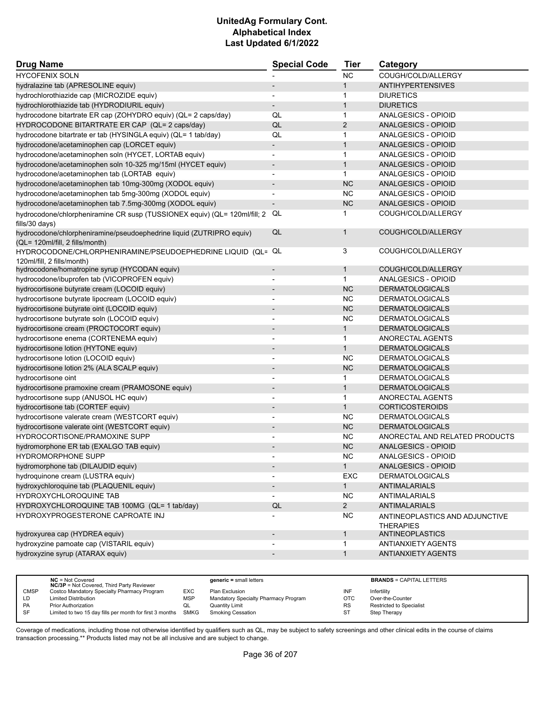| <b>Drug Name</b>                                                          | <b>Special Code</b>      | <b>Tier</b>    | Category                                           |
|---------------------------------------------------------------------------|--------------------------|----------------|----------------------------------------------------|
| <b>HYCOFENIX SOLN</b>                                                     |                          | <b>NC</b>      | COUGH/COLD/ALLERGY                                 |
| hydralazine tab (APRESOLINE equiv)                                        |                          | $\mathbf{1}$   | <b>ANTIHYPERTENSIVES</b>                           |
| hydrochlorothiazide cap (MICROZIDE equiv)                                 |                          | 1              | <b>DIURETICS</b>                                   |
| hydrochlorothiazide tab (HYDRODIURIL equiv)                               | $\overline{\phantom{a}}$ | $\mathbf{1}$   | <b>DIURETICS</b>                                   |
| hydrocodone bitartrate ER cap (ZOHYDRO equiv) (QL= 2 caps/day)            | QL                       | 1              | ANALGESICS - OPIOID                                |
| HYDROCODONE BITARTRATE ER CAP (QL= 2 caps/day)                            | QL                       | $\overline{2}$ | ANALGESICS - OPIOID                                |
| hydrocodone bitartrate er tab (HYSINGLA equiv) (QL= 1 tab/day)            | QL                       | 1              | ANALGESICS - OPIOID                                |
| hydrocodone/acetaminophen cap (LORCET equiv)                              | $\overline{\phantom{0}}$ | $\mathbf{1}$   | ANALGESICS - OPIOID                                |
| hydrocodone/acetaminophen soln (HYCET, LORTAB equiv)                      | $\overline{a}$           | $\mathbf{1}$   | ANALGESICS - OPIOID                                |
| hydrocodone/acetaminophen soln 10-325 mg/15ml (HYCET equiv)               | $\overline{\phantom{a}}$ | $\mathbf{1}$   | ANALGESICS - OPIOID                                |
| hydrocodone/acetaminophen tab (LORTAB equiv)                              |                          | $\mathbf{1}$   | ANALGESICS - OPIOID                                |
| hydrocodone/acetaminophen tab 10mg-300mg (XODOL equiv)                    | $\overline{\phantom{a}}$ | <b>NC</b>      | ANALGESICS - OPIOID                                |
| hydrocodone/acetaminophen tab 5mg-300mg (XODOL equiv)                     |                          | <b>NC</b>      | ANALGESICS - OPIOID                                |
| hydrocodone/acetaminophen tab 7.5mg-300mg (XODOL equiv)                   |                          | <b>NC</b>      | ANALGESICS - OPIOID                                |
| hydrocodone/chlorpheniramine CR susp (TUSSIONEX equiv) (QL= 120ml/fill; 2 | QL                       | 1              | COUGH/COLD/ALLERGY                                 |
| fills/30 days)                                                            |                          |                |                                                    |
| hydrocodone/chlorpheniramine/pseudoephedrine liquid (ZUTRIPRO equiv)      | QL                       | $\mathbf{1}$   | COUGH/COLD/ALLERGY                                 |
| (QL= 120ml/fill, 2 fills/month)                                           |                          |                |                                                    |
| HYDROCODONE/CHLORPHENIRAMINE/PSEUDOEPHEDRINE LIQUID (QL= QL               |                          | 3              | COUGH/COLD/ALLERGY                                 |
| 120ml/fill, 2 fills/month)                                                |                          |                |                                                    |
| hydrocodone/homatropine syrup (HYCODAN equiv)                             |                          | $\mathbf{1}$   | COUGH/COLD/ALLERGY                                 |
| hydrocodone/ibuprofen tab (VICOPROFEN equiv)                              |                          | $\mathbf 1$    | ANALGESICS - OPIOID                                |
| hydrocortisone butyrate cream (LOCOID equiv)                              | $\overline{\phantom{a}}$ | <b>NC</b>      | <b>DERMATOLOGICALS</b>                             |
| hydrocortisone butyrate lipocream (LOCOID equiv)                          | $\overline{\phantom{a}}$ | <b>NC</b>      | <b>DERMATOLOGICALS</b>                             |
| hydrocortisone butyrate oint (LOCOID equiv)                               |                          | <b>NC</b>      | <b>DERMATOLOGICALS</b>                             |
| hydrocortisone butyrate soln (LOCOID equiv)                               | $\blacksquare$           | <b>NC</b>      | <b>DERMATOLOGICALS</b>                             |
| hydrocortisone cream (PROCTOCORT equiv)                                   |                          | $\mathbf{1}$   | <b>DERMATOLOGICALS</b>                             |
| hydrocortisone enema (CORTENEMA equiv)                                    |                          | $\mathbf{1}$   | ANORECTAL AGENTS                                   |
| hydrocortisone lotion (HYTONE equiv)                                      |                          | $\mathbf{1}$   | <b>DERMATOLOGICALS</b>                             |
| hydrocortisone lotion (LOCOID equiv)                                      | $\overline{\phantom{a}}$ | <b>NC</b>      | <b>DERMATOLOGICALS</b>                             |
| hydrocortisone lotion 2% (ALA SCALP equiv)                                |                          | <b>NC</b>      | <b>DERMATOLOGICALS</b>                             |
| hydrocortisone oint                                                       | $\overline{a}$           | 1              | <b>DERMATOLOGICALS</b>                             |
| hydrocortisone pramoxine cream (PRAMOSONE equiv)                          |                          | $\mathbf{1}$   | <b>DERMATOLOGICALS</b>                             |
| hydrocortisone supp (ANUSOL HC equiv)                                     |                          | $\mathbf{1}$   | ANORECTAL AGENTS                                   |
| hydrocortisone tab (CORTEF equiv)                                         | $\overline{\phantom{a}}$ | $\mathbf{1}$   | <b>CORTICOSTEROIDS</b>                             |
| hydrocortisone valerate cream (WESTCORT equiv)                            | $\overline{\phantom{a}}$ | <b>NC</b>      | <b>DERMATOLOGICALS</b>                             |
| hydrocortisone valerate oint (WESTCORT equiv)                             |                          | <b>NC</b>      | <b>DERMATOLOGICALS</b>                             |
| HYDROCORTISONE/PRAMOXINE SUPP                                             |                          | <b>NC</b>      | ANORECTAL AND RELATED PRODUCTS                     |
| hydromorphone ER tab (EXALGO TAB equiv)                                   |                          | <b>NC</b>      | <b>ANALGESICS - OPIOID</b>                         |
| HYDROMORPHONE SUPP                                                        |                          | <b>NC</b>      | ANALGESICS - OPIOID                                |
| hydromorphone tab (DILAUDID equiv)                                        |                          | $\mathbf{1}$   | <b>ANALGESICS - OPIOID</b>                         |
| hydroquinone cream (LUSTRA equiv)                                         |                          | EXC            | <b>DERMATOLOGICALS</b>                             |
| hydroxychloroquine tab (PLAQUENIL equiv)                                  |                          | 1              | ANTIMALARIALS                                      |
| HYDROXYCHLOROQUINE TAB                                                    |                          | <b>NC</b>      | ANTIMALARIALS                                      |
| HYDROXYCHLOROQUINE TAB 100MG (QL= 1 tab/day)                              | QL                       | $2^{\circ}$    | ANTIMALARIALS                                      |
| HYDROXYPROGESTERONE CAPROATE INJ                                          |                          | <b>NC</b>      | ANTINEOPLASTICS AND ADJUNCTIVE<br><b>THERAPIES</b> |
| hydroxyurea cap (HYDREA equiv)                                            | $\overline{\phantom{a}}$ | $\mathbf{1}$   | <b>ANTINEOPLASTICS</b>                             |
| hydroxyzine pamoate cap (VISTARIL equiv)                                  |                          | 1              | <b>ANTIANXIETY AGENTS</b>                          |
| hydroxyzine syrup (ATARAX equiv)                                          | $\overline{\phantom{a}}$ | $\mathbf{1}$   | ANTIANXIETY AGENTS                                 |
|                                                                           |                          |                |                                                    |

|             | $NC = Not Covered$<br><b>NC/3P</b> = Not Covered, Third Party Reviewer |            | $generic = small letters$            |           | <b>BRANDS = CAPITAL LETTERS</b> |
|-------------|------------------------------------------------------------------------|------------|--------------------------------------|-----------|---------------------------------|
| <b>CMSP</b> | Costco Mandatory Specialty Pharmacy Program                            | EXC        | Plan Exclusion                       | INF       | Infertility                     |
| LD          | <b>Limited Distribution</b>                                            | <b>MSP</b> | Mandatory Specialty Pharmacy Program | OTC       | Over-the-Counter                |
| PA          | <b>Prior Authorization</b>                                             | QL         | <b>Quantity Limit</b>                | <b>RS</b> | Restricted to Specialist        |
| SF          | Limited to two 15 day fills per month for first 3 months SMKG          |            | <b>Smoking Cessation</b>             | ST        | Step Therapy                    |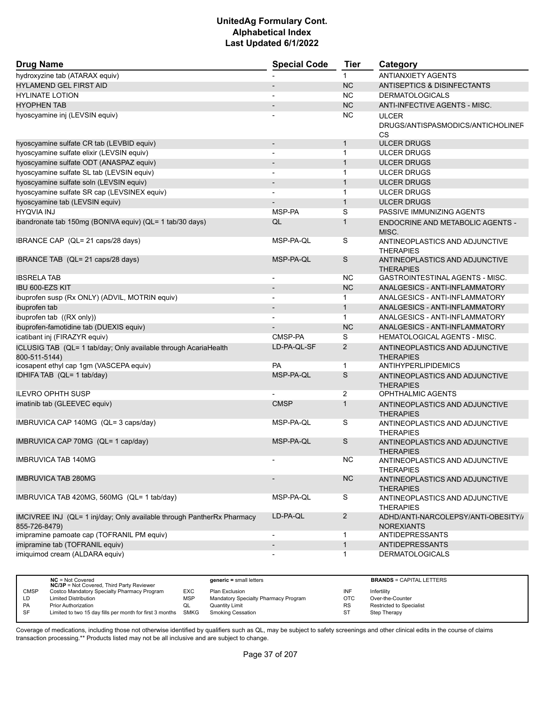| <b>Drug Name</b>                                                                        | <b>Special Code</b>      | <b>Tier</b>    | Category                                                       |  |
|-----------------------------------------------------------------------------------------|--------------------------|----------------|----------------------------------------------------------------|--|
| hydroxyzine tab (ATARAX equiv)                                                          |                          | 1              | <b>ANTIANXIETY AGENTS</b>                                      |  |
| <b>HYLAMEND GEL FIRST AID</b>                                                           |                          | <b>NC</b>      | ANTISEPTICS & DISINFECTANTS                                    |  |
| <b>HYLINATE LOTION</b>                                                                  |                          | <b>NC</b>      | <b>DERMATOLOGICALS</b>                                         |  |
| <b>HYOPHEN TAB</b>                                                                      |                          | <b>NC</b>      | ANTI-INFECTIVE AGENTS - MISC.                                  |  |
| hyoscyamine inj (LEVSIN equiv)                                                          |                          | <b>NC</b>      | <b>ULCER</b><br>DRUGS/ANTISPASMODICS/ANTICHOLINEF<br><b>CS</b> |  |
| hyoscyamine sulfate CR tab (LEVBID equiv)                                               |                          | $\mathbf{1}$   | <b>ULCER DRUGS</b>                                             |  |
| hyoscyamine sulfate elixir (LEVSIN equiv)                                               | $\overline{\phantom{a}}$ | $\mathbf{1}$   | <b>ULCER DRUGS</b>                                             |  |
| hyoscyamine sulfate ODT (ANASPAZ equiv)                                                 | $\overline{\phantom{a}}$ | $\mathbf{1}$   | <b>ULCER DRUGS</b>                                             |  |
| hyoscyamine sulfate SL tab (LEVSIN equiv)                                               |                          | $\mathbf{1}$   | <b>ULCER DRUGS</b>                                             |  |
| hyoscyamine sulfate soln (LEVSIN equiv)                                                 | $\overline{a}$           | $\mathbf{1}$   | <b>ULCER DRUGS</b>                                             |  |
| hyoscyamine sulfate SR cap (LEVSINEX equiv)                                             | $\blacksquare$           | $\mathbf{1}$   | <b>ULCER DRUGS</b>                                             |  |
| hyoscyamine tab (LEVSIN equiv)                                                          |                          | $\mathbf{1}$   | <b>ULCER DRUGS</b>                                             |  |
| <b>HYQVIA INJ</b>                                                                       | MSP-PA                   | S              | PASSIVE IMMUNIZING AGENTS                                      |  |
| ibandronate tab 150mg (BONIVA equiv) (QL= 1 tab/30 days)                                | QL                       | $\mathbf{1}$   | ENDOCRINE AND METABOLIC AGENTS -<br>MISC.                      |  |
| IBRANCE CAP (QL= 21 caps/28 days)                                                       | MSP-PA-QL                | S              | ANTINEOPLASTICS AND ADJUNCTIVE<br><b>THERAPIES</b>             |  |
| IBRANCE TAB (QL= 21 caps/28 days)                                                       | MSP-PA-QL                | S              | ANTINEOPLASTICS AND ADJUNCTIVE<br><b>THERAPIES</b>             |  |
| <b>IBSRELA TAB</b>                                                                      | $\overline{\phantom{a}}$ | <b>NC</b>      | <b>GASTROINTESTINAL AGENTS - MISC.</b>                         |  |
| IBU 600-EZS KIT                                                                         |                          | <b>NC</b>      | ANALGESICS - ANTI-INFLAMMATORY                                 |  |
| ibuprofen susp (Rx ONLY) (ADVIL, MOTRIN equiv)                                          | $\overline{\phantom{a}}$ | $\mathbf{1}$   | ANALGESICS - ANTI-INFLAMMATORY                                 |  |
| ibuprofen tab                                                                           |                          | $\mathbf{1}$   | ANALGESICS - ANTI-INFLAMMATORY                                 |  |
| ibuprofen tab ((RX only))                                                               |                          | $\mathbf{1}$   | ANALGESICS - ANTI-INFLAMMATORY                                 |  |
| ibuprofen-famotidine tab (DUEXIS equiv)                                                 |                          | <b>NC</b>      | ANALGESICS - ANTI-INFLAMMATORY                                 |  |
| icatibant inj (FIRAZYR equiv)                                                           | CMSP-PA                  | S              | <b>HEMATOLOGICAL AGENTS - MISC.</b>                            |  |
| ICLUSIG TAB (QL= 1 tab/day; Only available through AcariaHealth<br>800-511-5144)        | LD-PA-QL-SF              | 2              | ANTINEOPLASTICS AND ADJUNCTIVE<br><b>THERAPIES</b>             |  |
| icosapent ethyl cap 1gm (VASCEPA equiv)                                                 | PA                       | $\mathbf{1}$   | ANTIHYPERLIPIDEMICS                                            |  |
| IDHIFA TAB (QL= 1 tab/day)                                                              | MSP-PA-QL                | S              | ANTINEOPLASTICS AND ADJUNCTIVE<br><b>THERAPIES</b>             |  |
| <b>ILEVRO OPHTH SUSP</b>                                                                |                          | 2              | <b>OPHTHALMIC AGENTS</b>                                       |  |
| imatinib tab (GLEEVEC equiv)                                                            | <b>CMSP</b>              | $\mathbf{1}$   | ANTINEOPLASTICS AND ADJUNCTIVE<br><b>THERAPIES</b>             |  |
| IMBRUVICA CAP 140MG (QL= 3 caps/day)                                                    | MSP-PA-QL                | S              | ANTINEOPLASTICS AND ADJUNCTIVE<br><b>THERAPIES</b>             |  |
| IMBRUVICA CAP 70MG (QL= 1 cap/day)                                                      | MSP-PA-QL                | S              | ANTINEOPLASTICS AND ADJUNCTIVE<br><b>THERAPIES</b>             |  |
| <b>IMBRUVICA TAB 140MG</b>                                                              |                          | <b>NC</b>      | ANTINEOPLASTICS AND ADJUNCTIVE<br><b>THERAPIES</b>             |  |
| <b>IMBRUVICA TAB 280MG</b>                                                              |                          | $NC$           | ANTINEOPLASTICS AND ADJUNCTIVE<br><b>THERAPIES</b>             |  |
| IMBRUVICA TAB 420MG, 560MG (QL= 1 tab/day)                                              | MSP-PA-QL                | S              | ANTINEOPLASTICS AND ADJUNCTIVE<br><b>THERAPIES</b>             |  |
| IMCIVREE INJ (QL= 1 inj/day: Only available through PantherRx Pharmacy<br>855-726-8479) | LD-PA-QL                 | $\overline{2}$ | ADHD/ANTI-NARCOLEPSY/ANTI-OBESITY//<br><b>NOREXIANTS</b>       |  |
| imipramine pamoate cap (TOFRANIL PM equiv)                                              | $\overline{\phantom{a}}$ | 1              | <b>ANTIDEPRESSANTS</b>                                         |  |
| imipramine tab (TOFRANIL equiv)                                                         | $\overline{\phantom{a}}$ | $\mathbf{1}$   | <b>ANTIDEPRESSANTS</b>                                         |  |
| imiquimod cream (ALDARA equiv)                                                          | $\overline{\phantom{a}}$ | $\mathbf 1$    | <b>DERMATOLOGICALS</b>                                         |  |

|             | $NC = Not Covered$<br><b>NC/3P</b> = Not Covered, Third Party Reviewer |            | $generic = small letters$            |           | <b>BRANDS = CAPITAL LETTERS</b> |
|-------------|------------------------------------------------------------------------|------------|--------------------------------------|-----------|---------------------------------|
| <b>CMSP</b> | Costco Mandatory Specialty Pharmacy Program                            | EXC.       | Plan Exclusion                       | INF       | Infertility                     |
| LD          | <b>Limited Distribution</b>                                            | <b>MSP</b> | Mandatory Specialty Pharmacy Program | OTC       | Over-the-Counter                |
| PA          | <b>Prior Authorization</b>                                             | QL         | <b>Quantity Limit</b>                | <b>RS</b> | <b>Restricted to Specialist</b> |
| SF          | Limited to two 15 day fills per month for first 3 months SMKG          |            | Smoking Cessation                    |           | Step Therapy                    |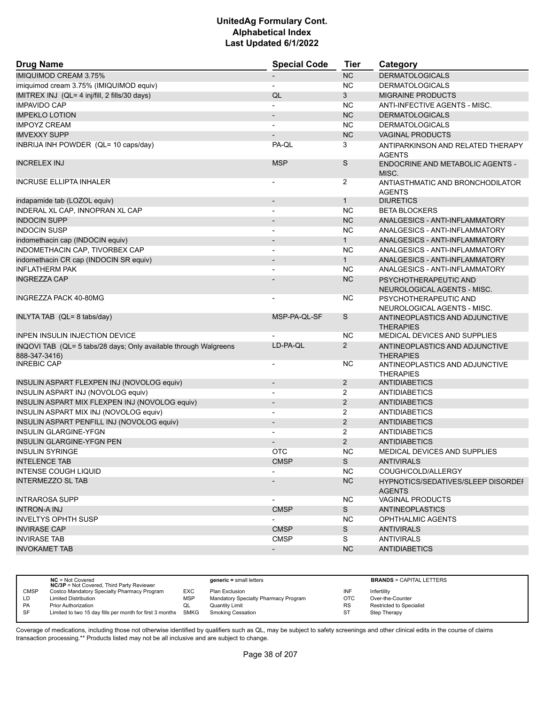| <b>Drug Name</b>                                                                  | <b>Special Code</b>      | <b>Tier</b>    | Category                                             |
|-----------------------------------------------------------------------------------|--------------------------|----------------|------------------------------------------------------|
| <b>IMIQUIMOD CREAM 3.75%</b>                                                      |                          | <b>NC</b>      | <b>DERMATOLOGICALS</b>                               |
| imiquimod cream 3.75% (IMIQUIMOD equiv)                                           |                          | <b>NC</b>      | <b>DERMATOLOGICALS</b>                               |
| IMITREX INJ (QL= 4 inj/fill, 2 fills/30 days)                                     | QL                       | 3              | <b>MIGRAINE PRODUCTS</b>                             |
| <b>IMPAVIDO CAP</b>                                                               |                          | <b>NC</b>      | ANTI-INFECTIVE AGENTS - MISC.                        |
| <b>IMPEKLO LOTION</b>                                                             |                          | NC             | <b>DERMATOLOGICALS</b>                               |
| <b>IMPOYZ CREAM</b>                                                               |                          | <b>NC</b>      | <b>DERMATOLOGICALS</b>                               |
| <b>IMVEXXY SUPP</b>                                                               |                          | <b>NC</b>      | <b>VAGINAL PRODUCTS</b>                              |
| INBRIJA INH POWDER (QL= 10 caps/day)                                              | PA-QL                    | 3              | ANTIPARKINSON AND RELATED THERAPY<br><b>AGENTS</b>   |
| <b>INCRELEX INJ</b>                                                               | <b>MSP</b>               | S              | ENDOCRINE AND METABOLIC AGENTS -<br>MISC.            |
| <b>INCRUSE ELLIPTA INHALER</b>                                                    |                          | $\overline{2}$ | ANTIASTHMATIC AND BRONCHODILATOR<br><b>AGENTS</b>    |
| indapamide tab (LOZOL equiv)                                                      | $\overline{\phantom{a}}$ | $\mathbf{1}$   | <b>DIURETICS</b>                                     |
| INDERAL XL CAP, INNOPRAN XL CAP                                                   |                          | <b>NC</b>      | <b>BETA BLOCKERS</b>                                 |
| <b>INDOCIN SUPP</b>                                                               |                          | <b>NC</b>      | ANALGESICS - ANTI-INFLAMMATORY                       |
| <b>INDOCIN SUSP</b>                                                               | $\overline{\phantom{a}}$ | <b>NC</b>      | ANALGESICS - ANTI-INFLAMMATORY                       |
| indomethacin cap (INDOCIN equiv)                                                  |                          | $\mathbf{1}$   | ANALGESICS - ANTI-INFLAMMATORY                       |
| INDOMETHACIN CAP, TIVORBEX CAP                                                    | $\blacksquare$           | <b>NC</b>      | ANALGESICS - ANTI-INFLAMMATORY                       |
| indomethacin CR cap (INDOCIN SR equiv)                                            |                          | $\mathbf{1}$   | ANALGESICS - ANTI-INFLAMMATORY                       |
| <b>INFLATHERM PAK</b>                                                             |                          | <b>NC</b>      | ANALGESICS - ANTI-INFLAMMATORY                       |
| <b>INGREZZA CAP</b>                                                               |                          | <b>NC</b>      | PSYCHOTHERAPEUTIC AND<br>NEUROLOGICAL AGENTS - MISC. |
| INGREZZA PACK 40-80MG                                                             |                          | NC.            | PSYCHOTHERAPEUTIC AND<br>NEUROLOGICAL AGENTS - MISC. |
| INLYTA TAB (QL= 8 tabs/day)                                                       | MSP-PA-QL-SF             | S              | ANTINEOPLASTICS AND ADJUNCTIVE<br><b>THERAPIES</b>   |
| <b>INPEN INSULIN INJECTION DEVICE</b>                                             |                          | NC.            | MEDICAL DEVICES AND SUPPLIES                         |
| INQOVI TAB (QL= 5 tabs/28 days; Only available through Walgreens<br>888-347-3416) | LD-PA-QL                 | $\overline{2}$ | ANTINEOPLASTICS AND ADJUNCTIVE<br><b>THERAPIES</b>   |
| <b>INREBIC CAP</b>                                                                |                          | NC.            | ANTINEOPLASTICS AND ADJUNCTIVE<br><b>THERAPIES</b>   |
| INSULIN ASPART FLEXPEN INJ (NOVOLOG equiv)                                        |                          | $\overline{2}$ | <b>ANTIDIABETICS</b>                                 |
| INSULIN ASPART INJ (NOVOLOG equiv)                                                |                          | $\overline{2}$ | <b>ANTIDIABETICS</b>                                 |
| INSULIN ASPART MIX FLEXPEN INJ (NOVOLOG equiv)                                    | $\overline{\phantom{a}}$ | $\overline{2}$ | <b>ANTIDIABETICS</b>                                 |
| INSULIN ASPART MIX INJ (NOVOLOG equiv)                                            | $\overline{a}$           | 2              | <b>ANTIDIABETICS</b>                                 |
| INSULIN ASPART PENFILL INJ (NOVOLOG equiv)                                        |                          | $\overline{2}$ | <b>ANTIDIABETICS</b>                                 |
| <b>INSULIN GLARGINE-YFGN</b>                                                      | $\overline{\phantom{a}}$ | $\overline{2}$ | <b>ANTIDIABETICS</b>                                 |
| <b>INSULIN GLARGINE-YFGN PEN</b>                                                  |                          | $\overline{2}$ | <b>ANTIDIABETICS</b>                                 |
| <b>INSULIN SYRINGE</b>                                                            | <b>OTC</b>               | <b>NC</b>      | MEDICAL DEVICES AND SUPPLIES                         |
| <b>INTELENCE TAB</b>                                                              | <b>CMSP</b>              | S              | <b>ANTIVIRALS</b>                                    |
| INTENSE COUGH LIQUID                                                              |                          | NC.            | COUGH/COLD/ALLERGY                                   |
| <b>INTERMEZZO SL TAB</b>                                                          |                          | <b>NC</b>      | HYPNOTICS/SEDATIVES/SLEEP DISORDEF<br><b>AGENTS</b>  |
| <b>INTRAROSA SUPP</b>                                                             |                          | <b>NC</b>      | <b>VAGINAL PRODUCTS</b>                              |
| <b>INTRON-A INJ</b>                                                               | <b>CMSP</b>              | S.             | ANTINEOPLASTICS                                      |
| <b>INVELTYS OPHTH SUSP</b>                                                        |                          | NC.            | <b>OPHTHALMIC AGENTS</b>                             |
| <b>INVIRASE CAP</b>                                                               | <b>CMSP</b>              | S              | <b>ANTIVIRALS</b>                                    |
| <b>INVIRASE TAB</b>                                                               | <b>CMSP</b>              | S              | <b>ANTIVIRALS</b>                                    |
| <b>INVOKAMET TAB</b>                                                              | $\overline{\phantom{a}}$ | <b>NC</b>      | <b>ANTIDIABETICS</b>                                 |

|             | $NC = Not Covered$<br><b>NC/3P</b> = Not Covered, Third Party Reviewer |            | $generic = small letters$            |            | <b>BRANDS = CAPITAL LETTERS</b> |
|-------------|------------------------------------------------------------------------|------------|--------------------------------------|------------|---------------------------------|
| <b>CMSP</b> | Costco Mandatory Specialty Pharmacy Program                            | EXC        | Plan Exclusion                       | INF        | Infertility                     |
| LD          | <b>Limited Distribution</b>                                            | <b>MSP</b> | Mandatory Specialty Pharmacy Program | <b>OTC</b> | Over-the-Counter                |
| <b>PA</b>   | <b>Prior Authorization</b>                                             | QL         | <b>Quantity Limit</b>                | <b>RS</b>  | <b>Restricted to Specialist</b> |
| SF          | Limited to two 15 day fills per month for first 3 months SMKG          |            | <b>Smoking Cessation</b>             | ST         | Step Therapy                    |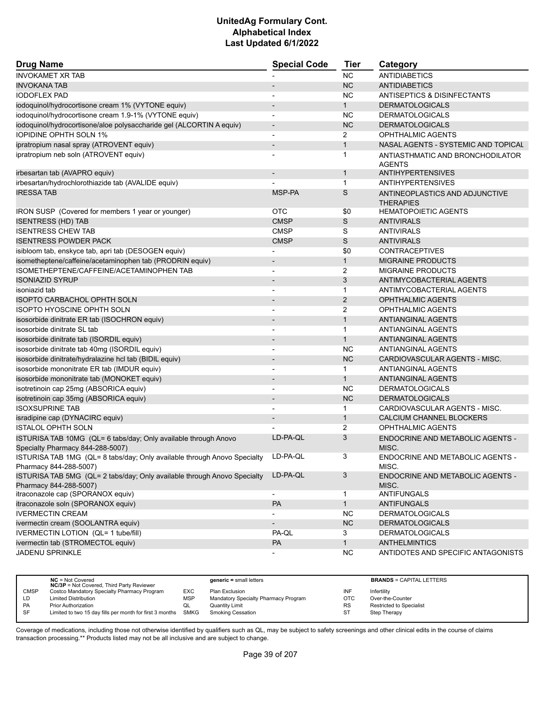| <b>Drug Name</b>                                                                                            | <b>Special Code</b>      | <b>Tier</b>    | Category                                           |
|-------------------------------------------------------------------------------------------------------------|--------------------------|----------------|----------------------------------------------------|
| <b>INVOKAMET XR TAB</b>                                                                                     |                          | <b>NC</b>      | <b>ANTIDIABETICS</b>                               |
| <b>INVOKANA TAB</b>                                                                                         |                          | <b>NC</b>      | <b>ANTIDIABETICS</b>                               |
| <b>IODOFLEX PAD</b>                                                                                         |                          | <b>NC</b>      | <b>ANTISEPTICS &amp; DISINFECTANTS</b>             |
| iodoquinol/hydrocortisone cream 1% (VYTONE equiv)                                                           | $\overline{\phantom{a}}$ | $\mathbf{1}$   | <b>DERMATOLOGICALS</b>                             |
| iodoquinol/hydrocortisone cream 1.9-1% (VYTONE equiv)                                                       |                          | <b>NC</b>      | <b>DERMATOLOGICALS</b>                             |
| iodoquinol/hydrocortisone/aloe polysaccharide gel (ALCORTIN A equiv)                                        | $\overline{\phantom{a}}$ | <b>NC</b>      | <b>DERMATOLOGICALS</b>                             |
| <b>IOPIDINE OPHTH SOLN 1%</b>                                                                               | $\blacksquare$           | $\overline{2}$ | OPHTHALMIC AGENTS                                  |
| ipratropium nasal spray (ATROVENT equiv)                                                                    | $\overline{\phantom{0}}$ | $\mathbf{1}$   | NASAL AGENTS - SYSTEMIC AND TOPICAL                |
| ipratropium neb soln (ATROVENT equiv)                                                                       |                          | 1              | ANTIASTHMATIC AND BRONCHODILATOR<br><b>AGENTS</b>  |
| irbesartan tab (AVAPRO equiv)                                                                               |                          | $\mathbf{1}$   | <b>ANTIHYPERTENSIVES</b>                           |
| irbesartan/hydrochlorothiazide tab (AVALIDE equiv)                                                          |                          | $\mathbf{1}$   | <b>ANTIHYPERTENSIVES</b>                           |
| <b>IRESSATAB</b>                                                                                            | MSP-PA                   | S              | ANTINEOPLASTICS AND ADJUNCTIVE<br><b>THERAPIES</b> |
| IRON SUSP (Covered for members 1 year or younger)                                                           | <b>OTC</b>               | \$0            | <b>HEMATOPOIETIC AGENTS</b>                        |
| <b>ISENTRESS (HD) TAB</b>                                                                                   | <b>CMSP</b>              | S              | <b>ANTIVIRALS</b>                                  |
| <b>ISENTRESS CHEW TAB</b>                                                                                   | <b>CMSP</b>              | S              | <b>ANTIVIRALS</b>                                  |
| <b>ISENTRESS POWDER PACK</b>                                                                                | <b>CMSP</b>              | S              | <b>ANTIVIRALS</b>                                  |
| isibloom tab, enskyce tab, apri tab (DESOGEN equiv)                                                         |                          | \$0            | <b>CONTRACEPTIVES</b>                              |
| isometheptene/caffeine/acetaminophen tab (PRODRIN equiv)                                                    |                          | $\mathbf{1}$   | <b>MIGRAINE PRODUCTS</b>                           |
| ISOMETHEPTENE/CAFFEINE/ACETAMINOPHEN TAB                                                                    | $\blacksquare$           | 2              | <b>MIGRAINE PRODUCTS</b>                           |
| <b>ISONIAZID SYRUP</b>                                                                                      | $\overline{\phantom{a}}$ | 3              | ANTIMYCOBACTERIAL AGENTS                           |
| isoniazid tab                                                                                               |                          | 1              | ANTIMYCOBACTERIAL AGENTS                           |
|                                                                                                             |                          | 2              | <b>OPHTHALMIC AGENTS</b>                           |
| <b>ISOPTO CARBACHOL OPHTH SOLN</b><br>ISOPTO HYOSCINE OPHTH SOLN                                            | $\overline{\phantom{a}}$ | 2              | OPHTHALMIC AGENTS                                  |
|                                                                                                             |                          | $\mathbf{1}$   | <b>ANTIANGINAL AGENTS</b>                          |
| isosorbide dinitrate ER tab (ISOCHRON equiv)                                                                |                          |                |                                                    |
| isosorbide dinitrate SL tab                                                                                 | $\blacksquare$           | $\mathbf{1}$   | ANTIANGINAL AGENTS                                 |
| isosorbide dinitrate tab (ISORDIL equiv)                                                                    | $\overline{\phantom{0}}$ | $\mathbf{1}$   | <b>ANTIANGINAL AGENTS</b>                          |
| isosorbide dinitrate tab 40mg (ISORDIL equiv)                                                               |                          | <b>NC</b>      | <b>ANTIANGINAL AGENTS</b>                          |
| isosorbide dinitrate/hydralazine hcl tab (BIDIL equiv)                                                      | $\overline{\phantom{a}}$ | <b>NC</b>      | CARDIOVASCULAR AGENTS - MISC.                      |
| isosorbide mononitrate ER tab (IMDUR equiv)                                                                 | $\overline{\phantom{a}}$ | 1              | <b>ANTIANGINAL AGENTS</b>                          |
| isosorbide mononitrate tab (MONOKET equiv)                                                                  |                          | $\mathbf{1}$   | <b>ANTIANGINAL AGENTS</b>                          |
| isotretinoin cap 25mg (ABSORICA equiv)                                                                      | $\overline{\phantom{a}}$ | NC             | <b>DERMATOLOGICALS</b>                             |
| isotretinoin cap 35mg (ABSORICA equiv)                                                                      |                          | <b>NC</b>      | <b>DERMATOLOGICALS</b>                             |
| <b>ISOXSUPRINE TAB</b>                                                                                      |                          | 1              | CARDIOVASCULAR AGENTS - MISC.                      |
| isradipine cap (DYNACIRC equiv)                                                                             | $\overline{\phantom{a}}$ | $\mathbf{1}$   | CALCIUM CHANNEL BLOCKERS                           |
| <b>ISTALOL OPHTH SOLN</b>                                                                                   |                          | 2              | OPHTHALMIC AGENTS                                  |
| ISTURISA TAB 10MG (QL= 6 tabs/day; Only available through Anovo<br>Specialty Pharmacy 844-288-5007)         | LD-PA-QL                 | 3              | ENDOCRINE AND METABOLIC AGENTS -<br>MISC.          |
| ISTURISA TAB 1MG (QL= 8 tabs/day; Only available through Anovo Specialty LD-PA-QL<br>Pharmacy 844-288-5007) |                          | 3              | ENDOCRINE AND METABOLIC AGENTS -<br>MISC.          |
| ISTURISA TAB 5MG (QL= 2 tabs/day; Only available through Anovo Specialty<br>Pharmacy 844-288-5007)          | LD-PA-QL                 | 3              | ENDOCRINE AND METABOLIC AGENTS -<br>MISC.          |
| itraconazole cap (SPORANOX equiv)                                                                           | $\blacksquare$           | $\mathbf{1}$   | <b>ANTIFUNGALS</b>                                 |
| itraconazole soln (SPORANOX equiv)                                                                          | PA                       | $\mathbf{1}$   | <b>ANTIFUNGALS</b>                                 |
| <b>IVERMECTIN CREAM</b>                                                                                     |                          | <b>NC</b>      | <b>DERMATOLOGICALS</b>                             |
| ivermectin cream (SOOLANTRA equiv)                                                                          |                          | <b>NC</b>      | <b>DERMATOLOGICALS</b>                             |
| IVERMECTIN LOTION (QL= 1 tube/fill)                                                                         | PA-QL                    | 3              | <b>DERMATOLOGICALS</b>                             |
| ivermectin tab (STROMECTOL equiv)                                                                           | PA                       | 1              | <b>ANTHELMINTICS</b>                               |
| <b>JADENU SPRINKLE</b>                                                                                      |                          | <b>NC</b>      | ANTIDOTES AND SPECIFIC ANTAGONISTS                 |

|             | $NC = Not Covered$<br><b>NC/3P</b> = Not Covered, Third Party Reviewer |            | $generic = small letters$            |            | <b>BRANDS = CAPITAL LETTERS</b> |
|-------------|------------------------------------------------------------------------|------------|--------------------------------------|------------|---------------------------------|
| <b>CMSP</b> | Costco Mandatory Specialty Pharmacy Program                            | EXC        | Plan Exclusion                       | INF        | Infertility                     |
| LD          | <b>Limited Distribution</b>                                            | <b>MSP</b> | Mandatory Specialty Pharmacy Program | <b>OTC</b> | Over-the-Counter                |
| <b>PA</b>   | <b>Prior Authorization</b>                                             | QL         | <b>Quantity Limit</b>                | <b>RS</b>  | <b>Restricted to Specialist</b> |
| <b>SF</b>   | Limited to two 15 day fills per month for first 3 months SMKG          |            | Smoking Cessation                    | ST         | Step Therapy                    |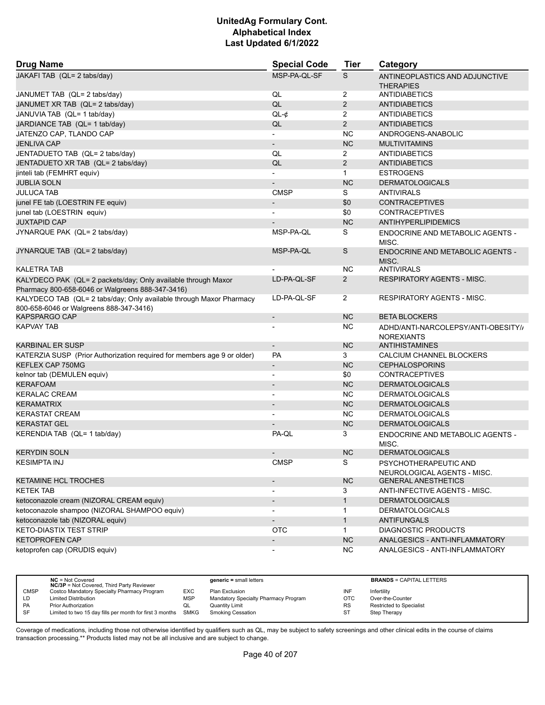| <b>Drug Name</b>                                                                                                  | <b>Special Code</b>          | <b>Tier</b>    | Category                                                 |
|-------------------------------------------------------------------------------------------------------------------|------------------------------|----------------|----------------------------------------------------------|
| JAKAFI TAB (QL= 2 tabs/day)                                                                                       | MSP-PA-OL-SF                 | S              | ANTINEOPLASTICS AND ADJUNCTIVE<br><b>THERAPIES</b>       |
| JANUMET TAB (QL= 2 tabs/day)                                                                                      | QL                           | 2              | <b>ANTIDIABETICS</b>                                     |
| JANUMET XR TAB (QL= 2 tabs/day)                                                                                   | QL                           | $\overline{2}$ | <b>ANTIDIABETICS</b>                                     |
| JANUVIA TAB (QL= 1 tab/day)                                                                                       | $QL-¢$                       | $\overline{2}$ | <b>ANTIDIABETICS</b>                                     |
| JARDIANCE TAB (QL= 1 tab/day)                                                                                     | QL                           | $\overline{2}$ | <b>ANTIDIABETICS</b>                                     |
| JATENZO CAP, TLANDO CAP                                                                                           |                              | <b>NC</b>      | ANDROGENS-ANABOLIC                                       |
| <b>JENLIVA CAP</b>                                                                                                | $\overline{\phantom{a}}$     | <b>NC</b>      | <b>MULTIVITAMINS</b>                                     |
| JENTADUETO TAB (QL= 2 tabs/day)                                                                                   | QL                           | 2              | <b>ANTIDIABETICS</b>                                     |
| JENTADUETO XR TAB (QL= 2 tabs/day)                                                                                | QL                           | $\overline{2}$ | <b>ANTIDIABETICS</b>                                     |
| jinteli tab (FEMHRT equiv)                                                                                        |                              | $\mathbf{1}$   | <b>ESTROGENS</b>                                         |
| <b>JUBLIA SOLN</b>                                                                                                |                              | <b>NC</b>      | <b>DERMATOLOGICALS</b>                                   |
| JULUCA TAB                                                                                                        | <b>CMSP</b>                  | S              | <b>ANTIVIRALS</b>                                        |
| junel FE tab (LOESTRIN FE equiv)                                                                                  |                              | \$0            | <b>CONTRACEPTIVES</b>                                    |
| junel tab (LOESTRIN equiv)                                                                                        |                              | \$0            | <b>CONTRACEPTIVES</b>                                    |
| <b>JUXTAPID CAP</b>                                                                                               |                              | <b>NC</b>      | <b>ANTIHYPERLIPIDEMICS</b>                               |
| JYNARQUE PAK (QL= 2 tabs/day)                                                                                     | MSP-PA-QL                    | S              | ENDOCRINE AND METABOLIC AGENTS -<br>MISC.                |
| JYNARQUE TAB (QL= 2 tabs/day)                                                                                     | MSP-PA-QL                    | S              | <b>ENDOCRINE AND METABOLIC AGENTS -</b><br>MISC.         |
| <b>KALETRA TAB</b>                                                                                                |                              | NC.            | <b>ANTIVIRALS</b>                                        |
| KALYDECO PAK (QL= 2 packets/day; Only available through Maxor<br>Pharmacy 800-658-6046 or Walgreens 888-347-3416) | LD-PA-QL-SF                  | $\overline{2}$ | RESPIRATORY AGENTS - MISC.                               |
| KALYDECO TAB (QL= 2 tabs/day; Only available through Maxor Pharmacy<br>800-658-6046 or Walgreens 888-347-3416)    | LD-PA-QL-SF                  | $\overline{2}$ | <b>RESPIRATORY AGENTS - MISC.</b>                        |
| KAPSPARGO CAP                                                                                                     | $\overline{\phantom{a}}$     | <b>NC</b>      | <b>BETA BLOCKERS</b>                                     |
| KAPVAY TAB                                                                                                        |                              | ΝC             | ADHD/ANTI-NARCOLEPSY/ANTI-OBESITY//<br><b>NOREXIANTS</b> |
| KARBINAL ER SUSP                                                                                                  | $\overline{\phantom{a}}$     | NC             | ANTIHISTAMINES                                           |
| KATERZIA SUSP (Prior Authorization required for members age 9 or older)                                           | PA                           | 3              | CALCIUM CHANNEL BLOCKERS                                 |
| KEFLEX CAP 750MG                                                                                                  | $\qquad \qquad \blacksquare$ | <b>NC</b>      | <b>CEPHALOSPORINS</b>                                    |
| kelnor tab (DEMULEN equiv)                                                                                        |                              | \$0            | <b>CONTRACEPTIVES</b>                                    |
| <b>KERAFOAM</b>                                                                                                   |                              | <b>NC</b>      | <b>DERMATOLOGICALS</b>                                   |
| <b>KERALAC CREAM</b>                                                                                              | $\overline{a}$               | NC             | <b>DERMATOLOGICALS</b>                                   |
| <b>KERAMATRIX</b>                                                                                                 |                              | <b>NC</b>      | <b>DERMATOLOGICALS</b>                                   |
| <b>KERASTAT CREAM</b>                                                                                             |                              | <b>NC</b>      | <b>DERMATOLOGICALS</b>                                   |
| <b>KERASTAT GEL</b>                                                                                               |                              | <b>NC</b>      | <b>DERMATOLOGICALS</b>                                   |
| KERENDIA TAB (QL= 1 tab/day)                                                                                      | PA-QL                        | 3              | ENDOCRINE AND METABOLIC AGENTS -<br>MISC.                |
| <b>KERYDIN SOLN</b>                                                                                               |                              | <b>NC</b>      | <b>DERMATOLOGICALS</b>                                   |
| <b>KESIMPTA INJ</b>                                                                                               | <b>CMSP</b>                  | S              | PSYCHOTHERAPEUTIC AND<br>NEUROLOGICAL AGENTS - MISC.     |
| KETAMINE HCL TROCHES                                                                                              | $\overline{\phantom{m}}$     | NC             | <b>GENERAL ANESTHETICS</b>                               |
| KETEK TAB                                                                                                         | $\blacksquare$               | 3              | ANTI-INFECTIVE AGENTS - MISC.                            |
| ketoconazole cream (NIZORAL CREAM equiv)                                                                          | $\qquad \qquad \blacksquare$ | $\mathbf{1}$   | <b>DERMATOLOGICALS</b>                                   |
| ketoconazole shampoo (NIZORAL SHAMPOO equiv)                                                                      | $\overline{\phantom{0}}$     | 1              | <b>DERMATOLOGICALS</b>                                   |
| ketoconazole tab (NIZORAL equiv)                                                                                  | $\overline{\phantom{m}}$     | $\mathbf{1}$   | <b>ANTIFUNGALS</b>                                       |
| <b>KETO-DIASTIX TEST STRIP</b>                                                                                    | OTC                          | $\mathbf{1}$   | <b>DIAGNOSTIC PRODUCTS</b>                               |
| <b>KETOPROFEN CAP</b>                                                                                             | $\qquad \qquad \blacksquare$ | <b>NC</b>      | ANALGESICS - ANTI-INFLAMMATORY                           |
| ketoprofen cap (ORUDIS equiv)                                                                                     |                              | <b>NC</b>      | ANALGESICS - ANTI-INFLAMMATORY                           |

|             | $NC = Not Covered$<br><b>NC/3P</b> = Not Covered, Third Party Reviewer |            | $generic = small letters$            |           | <b>BRANDS = CAPITAL LETTERS</b> |
|-------------|------------------------------------------------------------------------|------------|--------------------------------------|-----------|---------------------------------|
| <b>CMSP</b> | Costco Mandatory Specialty Pharmacy Program                            | EXC        | Plan Exclusion                       | INF       | Infertility                     |
| LD          | <b>Limited Distribution</b>                                            | <b>MSP</b> | Mandatory Specialty Pharmacy Program | OTC       | Over-the-Counter                |
| <b>PA</b>   | <b>Prior Authorization</b>                                             | QL         | Quantity Limit                       | <b>RS</b> | <b>Restricted to Specialist</b> |
| SF          | Limited to two 15 day fills per month for first 3 months               | SMKG       | <b>Smoking Cessation</b>             | ST        | Step Therapy                    |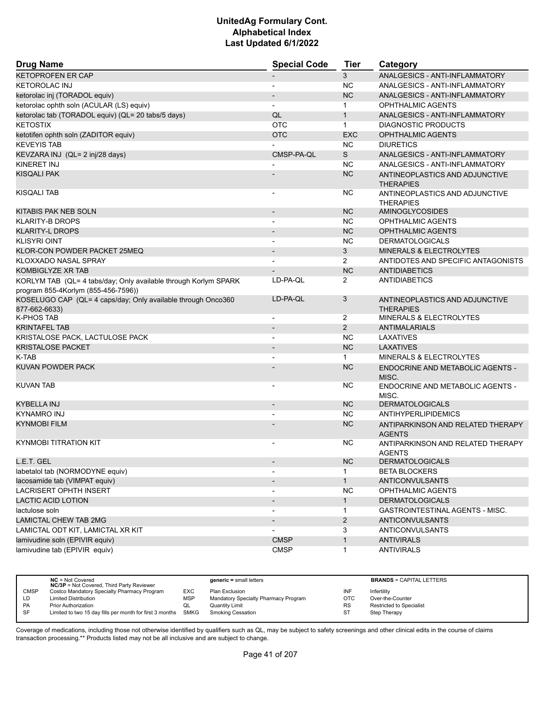| <b>Drug Name</b>                                                              | <b>Special Code</b>      | <b>Tier</b>    | Category                                           |
|-------------------------------------------------------------------------------|--------------------------|----------------|----------------------------------------------------|
| <b>KETOPROFEN ER CAP</b>                                                      | $\overline{\phantom{a}}$ | 3              | ANALGESICS - ANTI-INFLAMMATORY                     |
| <b>KETOROLAC INJ</b>                                                          | $\overline{\phantom{a}}$ | <b>NC</b>      | ANALGESICS - ANTI-INFLAMMATORY                     |
| ketorolac inj (TORADOL equiv)                                                 |                          | <b>NC</b>      | ANALGESICS - ANTI-INFLAMMATORY                     |
| ketorolac ophth soln (ACULAR (LS) equiv)                                      | $\blacksquare$           | $\mathbf{1}$   | <b>OPHTHALMIC AGENTS</b>                           |
| ketorolac tab (TORADOL equiv) (QL= 20 tabs/5 days)                            | QL                       | $\mathbf{1}$   | ANALGESICS - ANTI-INFLAMMATORY                     |
| <b>KETOSTIX</b>                                                               | <b>OTC</b>               | $\mathbf{1}$   | <b>DIAGNOSTIC PRODUCTS</b>                         |
| ketotifen ophth soln (ZADITOR equiv)                                          | <b>OTC</b>               | <b>EXC</b>     | <b>OPHTHALMIC AGENTS</b>                           |
| <b>KEVEYIS TAB</b>                                                            |                          | NC.            | <b>DIURETICS</b>                                   |
| KEVZARA INJ (QL= 2 inj/28 days)                                               | CMSP-PA-QL               | S              | ANALGESICS - ANTI-INFLAMMATORY                     |
| KINERET INJ                                                                   |                          | <b>NC</b>      | ANALGESICS - ANTI-INFLAMMATORY                     |
| <b>KISQALI PAK</b>                                                            |                          | <b>NC</b>      | ANTINEOPLASTICS AND ADJUNCTIVE                     |
|                                                                               |                          |                | <b>THERAPIES</b>                                   |
| <b>KISQALI TAB</b>                                                            |                          | <b>NC</b>      | ANTINEOPLASTICS AND ADJUNCTIVE<br><b>THERAPIES</b> |
| KITABIS PAK NEB SOLN                                                          | $\overline{\phantom{a}}$ | <b>NC</b>      | AMINOGLYCOSIDES                                    |
| <b>KLARITY-B DROPS</b>                                                        |                          | <b>NC</b>      | OPHTHALMIC AGENTS                                  |
| <b>KLARITY-L DROPS</b>                                                        |                          | <b>NC</b>      | <b>OPHTHALMIC AGENTS</b>                           |
| <b>KLISYRI OINT</b>                                                           | $\blacksquare$           | <b>NC</b>      | <b>DERMATOLOGICALS</b>                             |
| KLOR-CON POWDER PACKET 25MEQ                                                  |                          | 3              | <b>MINERALS &amp; ELECTROLYTES</b>                 |
| KLOXXADO NASAL SPRAY                                                          | $\overline{\phantom{a}}$ | $\overline{2}$ | ANTIDOTES AND SPECIFIC ANTAGONISTS                 |
| KOMBIGLYZE XR TAB                                                             | $\overline{\phantom{a}}$ | <b>NC</b>      | <b>ANTIDIABETICS</b>                               |
| KORLYM TAB (QL= 4 tabs/day; Only available through Korlym SPARK               | LD-PA-QL                 | $\overline{2}$ | <b>ANTIDIABETICS</b>                               |
| program 855-4Korlym (855-456-7596))                                           |                          |                |                                                    |
| KOSELUGO CAP (QL= 4 caps/day; Only available through Onco360<br>877-662-6633) | LD-PA-QL                 | 3              | ANTINEOPLASTICS AND ADJUNCTIVE<br><b>THERAPIES</b> |
| <b>K-PHOS TAB</b>                                                             | $\overline{\phantom{a}}$ | $\overline{2}$ | MINERALS & ELECTROLYTES                            |
| <b>KRINTAFEL TAB</b>                                                          |                          | $\overline{2}$ | <b>ANTIMALARIALS</b>                               |
| KRISTALOSE PACK, LACTULOSE PACK                                               | $\blacksquare$           | <b>NC</b>      | <b>LAXATIVES</b>                                   |
| <b>KRISTALOSE PACKET</b>                                                      |                          | <b>NC</b>      | <b>LAXATIVES</b>                                   |
| K-TAB                                                                         |                          | $\mathbf{1}$   | <b>MINERALS &amp; ELECTROLYTES</b>                 |
| KUVAN POWDER PACK                                                             |                          | <b>NC</b>      | ENDOCRINE AND METABOLIC AGENTS -                   |
|                                                                               |                          |                | MISC.                                              |
| <b>KUVAN TAB</b>                                                              |                          | <b>NC</b>      | <b>ENDOCRINE AND METABOLIC AGENTS -</b>            |
| KYBELLA INJ                                                                   | $\overline{\phantom{a}}$ | <b>NC</b>      | MISC.<br><b>DERMATOLOGICALS</b>                    |
| <b>KYNAMRO INJ</b>                                                            |                          | <b>NC</b>      | <b>ANTIHYPERLIPIDEMICS</b>                         |
| <b>KYNMOBI FILM</b>                                                           |                          |                |                                                    |
|                                                                               |                          | <b>NC</b>      | ANTIPARKINSON AND RELATED THERAPY<br><b>AGENTS</b> |
| <b>KYNMOBI TITRATION KIT</b>                                                  |                          | <b>NC</b>      | ANTIPARKINSON AND RELATED THERAPY<br><b>AGENTS</b> |
| L.E.T. GEL                                                                    |                          | NC             | <b>DERMATOLOGICALS</b>                             |
| labetalol tab (NORMODYNE equiv)                                               |                          | $\mathbf{1}$   | <b>BETA BLOCKERS</b>                               |
| lacosamide tab (VIMPAT equiv)                                                 |                          | $\mathbf{1}$   | <b>ANTICONVULSANTS</b>                             |
| <b>LACRISERT OPHTH INSERT</b>                                                 |                          | <b>NC</b>      | OPHTHALMIC AGENTS                                  |
| LACTIC ACID LOTION                                                            | $\overline{\phantom{a}}$ | $\mathbf{1}$   | <b>DERMATOLOGICALS</b>                             |
| lactulose soln                                                                |                          | $\mathbf{1}$   | GASTROINTESTINAL AGENTS - MISC.                    |
| <b>LAMICTAL CHEW TAB 2MG</b>                                                  | $\overline{\phantom{a}}$ | $\overline{2}$ | <b>ANTICONVULSANTS</b>                             |
| LAMICTAL ODT KIT, LAMICTAL XR KIT                                             |                          | 3              | ANTICONVULSANTS                                    |
| lamivudine soln (EPIVIR equiv)                                                | <b>CMSP</b>              | $\mathbf{1}$   | <b>ANTIVIRALS</b>                                  |
| lamivudine tab (EPIVIR equiv)                                                 | <b>CMSP</b>              | $\mathbf{1}$   | <b>ANTIVIRALS</b>                                  |

|             | $NC = Not Covered$<br><b>NC/3P</b> = Not Covered, Third Party Reviewer |            | $generic = small letters$            |           | <b>BRANDS = CAPITAL LETTERS</b> |
|-------------|------------------------------------------------------------------------|------------|--------------------------------------|-----------|---------------------------------|
| <b>CMSP</b> | Costco Mandatory Specialty Pharmacy Program                            | EXC        | Plan Exclusion                       | INF       | Infertility                     |
| LD          | <b>Limited Distribution</b>                                            | <b>MSP</b> | Mandatory Specialty Pharmacy Program | OTC       | Over-the-Counter                |
| <b>PA</b>   | Prior Authorization                                                    | QL         | Quantity Limit                       | <b>RS</b> | <b>Restricted to Specialist</b> |
| SF          | Limited to two 15 day fills per month for first 3 months SMKG          |            | <b>Smoking Cessation</b>             | ST        | Step Therapy                    |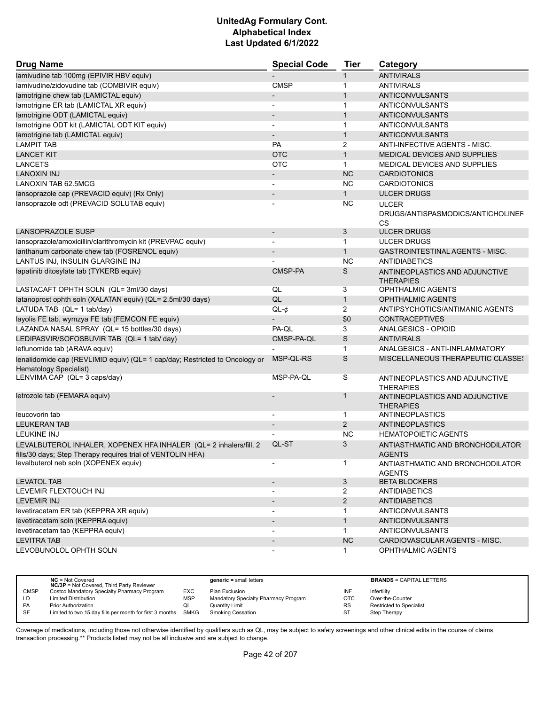| <b>Drug Name</b>                                                                                             | <b>Special Code</b>      | <b>Tier</b>    | Category                                           |
|--------------------------------------------------------------------------------------------------------------|--------------------------|----------------|----------------------------------------------------|
| lamivudine tab 100mg (EPIVIR HBV equiv)                                                                      |                          | $\mathbf{1}$   | <b>ANTIVIRALS</b>                                  |
| lamivudine/zidovudine tab (COMBIVIR equiv)                                                                   | <b>CMSP</b>              | $\mathbf{1}$   | <b>ANTIVIRALS</b>                                  |
| lamotrigine chew tab (LAMICTAL equiv)                                                                        |                          | $\mathbf{1}$   | <b>ANTICONVULSANTS</b>                             |
| lamotrigine ER tab (LAMICTAL XR equiv)                                                                       |                          | $\mathbf{1}$   | ANTICONVULSANTS                                    |
| lamotrigine ODT (LAMICTAL equiv)                                                                             |                          | $\mathbf{1}$   | <b>ANTICONVULSANTS</b>                             |
| lamotrigine ODT kit (LAMICTAL ODT KIT equiv)                                                                 |                          | $\mathbf 1$    | <b>ANTICONVULSANTS</b>                             |
| lamotrigine tab (LAMICTAL equiv)                                                                             |                          | $\mathbf{1}$   | <b>ANTICONVULSANTS</b>                             |
| <b>LAMPIT TAB</b>                                                                                            | <b>PA</b>                | 2              | ANTI-INFECTIVE AGENTS - MISC.                      |
| <b>LANCET KIT</b>                                                                                            | <b>OTC</b>               | $\mathbf{1}$   | MEDICAL DEVICES AND SUPPLIES                       |
| <b>LANCETS</b>                                                                                               | <b>OTC</b>               | $\mathbf{1}$   | MEDICAL DEVICES AND SUPPLIES                       |
| LANOXIN INJ                                                                                                  |                          | <b>NC</b>      | <b>CARDIOTONICS</b>                                |
| LANOXIN TAB 62.5MCG                                                                                          |                          | <b>NC</b>      | <b>CARDIOTONICS</b>                                |
| lansoprazole cap (PREVACID equiv) (Rx Only)                                                                  |                          | $\mathbf{1}$   | <b>ULCER DRUGS</b>                                 |
| lansoprazole odt (PREVACID SOLUTAB equiv)                                                                    |                          | <b>NC</b>      | <b>ULCER</b>                                       |
|                                                                                                              |                          |                | DRUGS/ANTISPASMODICS/ANTICHOLINEF<br>CS            |
| LANSOPRAZOLE SUSP                                                                                            |                          | 3              | <b>ULCER DRUGS</b>                                 |
| lansoprazole/amoxicillin/clarithromycin kit (PREVPAC equiv)                                                  |                          | $\mathbf{1}$   | <b>ULCER DRUGS</b>                                 |
| lanthanum carbonate chew tab (FOSRENOL equiv)                                                                |                          | $\mathbf{1}$   | <b>GASTROINTESTINAL AGENTS - MISC.</b>             |
| LANTUS INJ, INSULIN GLARGINE INJ                                                                             |                          | <b>NC</b>      | <b>ANTIDIABETICS</b>                               |
| lapatinib ditosylate tab (TYKERB equiv)                                                                      | CMSP-PA                  | S              | ANTINEOPLASTICS AND ADJUNCTIVE<br><b>THERAPIES</b> |
| LASTACAFT OPHTH SOLN (QL= 3ml/30 days)                                                                       | QL                       | 3              | <b>OPHTHALMIC AGENTS</b>                           |
| latanoprost ophth soln (XALATAN equiv) (QL= 2.5ml/30 days)                                                   | QL                       | $\mathbf{1}$   | <b>OPHTHALMIC AGENTS</b>                           |
| LATUDA TAB (QL= 1 tab/day)                                                                                   | $QL-¢$                   | 2              | ANTIPSYCHOTICS/ANTIMANIC AGENTS                    |
| layolis FE tab, wymzya FE tab (FEMCON FE equiv)                                                              |                          | \$0            | <b>CONTRACEPTIVES</b>                              |
| LAZANDA NASAL SPRAY (QL= 15 bottles/30 days)                                                                 | PA-QL                    | 3              | ANALGESICS - OPIOID                                |
| LEDIPASVIR/SOFOSBUVIR TAB (QL= 1 tab/ day)                                                                   | CMSP-PA-QL               | S              | <b>ANTIVIRALS</b>                                  |
| leflunomide tab (ARAVA equiv)                                                                                |                          | $\mathbf{1}$   | ANALGESICS - ANTI-INFLAMMATORY                     |
| lenalidomide cap (REVLIMID equiv) (QL= 1 cap/day; Restricted to Oncology or<br><b>Hematology Specialist)</b> | MSP-QL-RS                | S              | MISCELLANEOUS THERAPEUTIC CLASSES                  |
| LENVIMA CAP (QL= 3 caps/day)                                                                                 | MSP-PA-QL                | S              | ANTINEOPLASTICS AND ADJUNCTIVE<br><b>THERAPIES</b> |
| letrozole tab (FEMARA equiv)                                                                                 |                          | $\mathbf{1}$   | ANTINEOPLASTICS AND ADJUNCTIVE<br><b>THERAPIES</b> |
| leucovorin tab                                                                                               |                          | 1              | <b>ANTINEOPLASTICS</b>                             |
| <b>LEUKERAN TAB</b>                                                                                          |                          | 2              | <b>ANTINEOPLASTICS</b>                             |
| <b>LEUKINE INJ</b>                                                                                           |                          | <b>NC</b>      | <b>HEMATOPOIETIC AGENTS</b>                        |
| LEVALBUTEROL INHALER, XOPENEX HFA INHALER (QL= 2 inhalers/fill, 2                                            | QL-ST                    | 3              | ANTIASTHMATIC AND BRONCHODILATOR                   |
| fills/30 days; Step Therapy requires trial of VENTOLIN HFA)                                                  |                          |                | <b>AGENTS</b>                                      |
| levalbuterol neb soln (XOPENEX equiv)                                                                        |                          | $\mathbf{1}$   | ANTIASTHMATIC AND BRONCHODILATOR<br><b>AGENTS</b>  |
| <b>LEVATOL TAB</b>                                                                                           | $\overline{\phantom{a}}$ | 3              | <b>BETA BLOCKERS</b>                               |
| LEVEMIR FLEXTOUCH INJ                                                                                        | $\blacksquare$           | $\overline{2}$ | <b>ANTIDIABETICS</b>                               |
| <b>LEVEMIR INJ</b>                                                                                           | $\overline{\phantom{a}}$ | $\overline{2}$ | <b>ANTIDIABETICS</b>                               |
| levetiracetam ER tab (KEPPRA XR equiv)                                                                       | $\overline{\phantom{a}}$ | $\mathbf{1}$   | <b>ANTICONVULSANTS</b>                             |
| levetiracetam soln (KEPPRA equiv)                                                                            | $\overline{\phantom{a}}$ | $\mathbf{1}$   | <b>ANTICONVULSANTS</b>                             |
| levetiracetam tab (KEPPRA equiv)                                                                             |                          | $\mathbf{1}$   | <b>ANTICONVULSANTS</b>                             |
| LEVITRA TAB                                                                                                  | $\overline{\phantom{a}}$ | NC             | CARDIOVASCULAR AGENTS - MISC.                      |
| LEVOBUNOLOL OPHTH SOLN                                                                                       | $\overline{\phantom{a}}$ | $\mathbf{1}$   | OPHTHALMIC AGENTS                                  |

|             | $NC = Not Covered$<br><b>NC/3P</b> = Not Covered, Third Party Reviewer |            | $generic = small letters$            |           | <b>BRANDS = CAPITAL LETTERS</b> |
|-------------|------------------------------------------------------------------------|------------|--------------------------------------|-----------|---------------------------------|
| <b>CMSP</b> | Costco Mandatory Specialty Pharmacy Program                            | EXC        | Plan Exclusion                       | INF       | Infertility                     |
| LD          | <b>Limited Distribution</b>                                            | <b>MSP</b> | Mandatory Specialty Pharmacy Program | OTC       | Over-the-Counter                |
| PA          | <b>Prior Authorization</b>                                             | QL         | Quantity Limit                       | <b>RS</b> | <b>Restricted to Specialist</b> |
| SF          | Limited to two 15 day fills per month for first 3 months               | SMKG       | <b>Smoking Cessation</b>             | ST        | Step Therapy                    |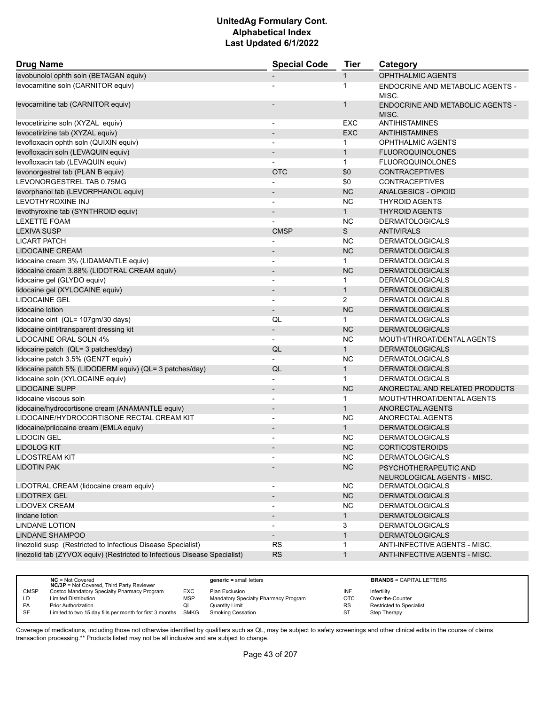| <b>Drug Name</b>                                                          | <b>Special Code</b>      |                | Category                                             |  |
|---------------------------------------------------------------------------|--------------------------|----------------|------------------------------------------------------|--|
| levobunolol ophth soln (BETAGAN equiv)                                    |                          | $\mathbf{1}$   | <b>OPHTHALMIC AGENTS</b>                             |  |
| levocarnitine soln (CARNITOR equiv)                                       |                          | $\mathbf{1}$   | <b>ENDOCRINE AND METABOLIC AGENTS -</b><br>MISC.     |  |
| levocarnitine tab (CARNITOR equiv)                                        |                          | 1              | <b>ENDOCRINE AND METABOLIC AGENTS -</b><br>MISC.     |  |
| levocetirizine soln (XYZAL equiv)                                         | $\overline{\phantom{a}}$ | EXC            | <b>ANTIHISTAMINES</b>                                |  |
| levocetirizine tab (XYZAL equiv)                                          |                          | <b>EXC</b>     | ANTIHISTAMINES                                       |  |
| levofloxacin ophth soln (QUIXIN equiv)                                    | $\overline{\phantom{a}}$ | $\mathbf{1}$   | <b>OPHTHALMIC AGENTS</b>                             |  |
| levofloxacin soln (LEVAQUIN equiv)                                        | $\overline{\phantom{a}}$ | $\mathbf{1}$   | <b>FLUOROQUINOLONES</b>                              |  |
| levofloxacin tab (LEVAQUIN equiv)                                         |                          | $\mathbf{1}$   | <b>FLUOROQUINOLONES</b>                              |  |
| levonorgestrel tab (PLAN B equiv)                                         | <b>OTC</b>               | \$0            | <b>CONTRACEPTIVES</b>                                |  |
| LEVONORGESTREL TAB 0.75MG                                                 |                          | \$0            | <b>CONTRACEPTIVES</b>                                |  |
| levorphanol tab (LEVORPHANOL equiv)                                       |                          | <b>NC</b>      | ANALGESICS - OPIOID                                  |  |
| LEVOTHYROXINE INJ                                                         | $\overline{a}$           | <b>NC</b>      | <b>THYROID AGENTS</b>                                |  |
| levothyroxine tab (SYNTHROID equiv)                                       | $\overline{\phantom{a}}$ | $\mathbf{1}$   | <b>THYROID AGENTS</b>                                |  |
| <b>LEXETTE FOAM</b>                                                       |                          | <b>NC</b>      | <b>DERMATOLOGICALS</b>                               |  |
| <b>LEXIVA SUSP</b>                                                        | <b>CMSP</b>              | S              | <b>ANTIVIRALS</b>                                    |  |
| <b>LICART PATCH</b>                                                       |                          | NC             | <b>DERMATOLOGICALS</b>                               |  |
| <b>LIDOCAINE CREAM</b>                                                    |                          | <b>NC</b>      | <b>DERMATOLOGICALS</b>                               |  |
| lidocaine cream 3% (LIDAMANTLE equiv)                                     | $\blacksquare$           | $\mathbf{1}$   | <b>DERMATOLOGICALS</b>                               |  |
| lidocaine cream 3.88% (LIDOTRAL CREAM equiv)                              | $\overline{\phantom{a}}$ | NC             | <b>DERMATOLOGICALS</b>                               |  |
| lidocaine gel (GLYDO equiv)                                               |                          | $\mathbf{1}$   | <b>DERMATOLOGICALS</b>                               |  |
| lidocaine gel (XYLOCAINE equiv)                                           | $\overline{\phantom{a}}$ | $\mathbf{1}$   | <b>DERMATOLOGICALS</b>                               |  |
| <b>LIDOCAINE GEL</b>                                                      | $\overline{\phantom{a}}$ | $\overline{2}$ | <b>DERMATOLOGICALS</b>                               |  |
| lidocaine lotion                                                          | $\overline{\phantom{a}}$ | <b>NC</b>      | <b>DERMATOLOGICALS</b>                               |  |
| lidocaine oint (QL= 107gm/30 days)                                        | QL                       | $\mathbf{1}$   | <b>DERMATOLOGICALS</b>                               |  |
| lidocaine oint/transparent dressing kit                                   | $\overline{\phantom{a}}$ | <b>NC</b>      | <b>DERMATOLOGICALS</b>                               |  |
| LIDOCAINE ORAL SOLN 4%                                                    | $\overline{\phantom{a}}$ | <b>NC</b>      | MOUTH/THROAT/DENTAL AGENTS                           |  |
| lidocaine patch (QL= 3 patches/day)                                       | QL                       | $\mathbf{1}$   | <b>DERMATOLOGICALS</b>                               |  |
| lidocaine patch 3.5% (GEN7T equiv)                                        |                          | <b>NC</b>      | <b>DERMATOLOGICALS</b>                               |  |
| lidocaine patch 5% (LIDODERM equiv) (QL= 3 patches/day)                   | QL                       | $\mathbf{1}$   | <b>DERMATOLOGICALS</b>                               |  |
| lidocaine soln (XYLOCAINE equiv)                                          |                          | $\mathbf{1}$   | <b>DERMATOLOGICALS</b>                               |  |
| <b>LIDOCAINE SUPP</b>                                                     | $\overline{\phantom{a}}$ | <b>NC</b>      | ANORECTAL AND RELATED PRODUCTS                       |  |
| lidocaine viscous soln                                                    | $\overline{a}$           | $\mathbf{1}$   | MOUTH/THROAT/DENTAL AGENTS                           |  |
| lidocaine/hydrocortisone cream (ANAMANTLE equiv)                          | $\overline{\phantom{a}}$ | $\mathbf{1}$   | ANORECTAL AGENTS                                     |  |
| LIDOCAINE/HYDROCORTISONE RECTAL CREAM KIT                                 |                          | <b>NC</b>      | ANORECTAL AGENTS                                     |  |
| lidocaine/prilocaine cream (EMLA equiv)                                   | $\overline{\phantom{a}}$ | 1              | <b>DERMATOLOGICALS</b>                               |  |
| <b>LIDOCIN GEL</b>                                                        |                          | <b>NC</b>      | <b>DERMATOLOGICALS</b>                               |  |
| <b>LIDOLOG KIT</b>                                                        |                          | <b>NC</b>      | <b>CORTICOSTEROIDS</b>                               |  |
| LIDOSTREAM KIT                                                            |                          | <b>NC</b>      | <b>DERMATOLOGICALS</b>                               |  |
| LIDOTIN PAK                                                               |                          | <b>NC</b>      | PSYCHOTHERAPEUTIC AND<br>NEUROLOGICAL AGENTS - MISC. |  |
| LIDOTRAL CREAM (lidocaine cream equiv)                                    | $\overline{\phantom{a}}$ | <b>NC</b>      | <b>DERMATOLOGICALS</b>                               |  |
| <b>LIDOTREX GEL</b>                                                       |                          | NC             | <b>DERMATOLOGICALS</b>                               |  |
| LIDOVEX CREAM                                                             | $\overline{\phantom{a}}$ | NC             | <b>DERMATOLOGICALS</b>                               |  |
| lindane lotion                                                            | $\overline{\phantom{a}}$ | $\mathbf{1}$   | <b>DERMATOLOGICALS</b>                               |  |
| <b>LINDANE LOTION</b>                                                     |                          | 3              | <b>DERMATOLOGICALS</b>                               |  |
| LINDANE SHAMPOO                                                           | $\overline{\phantom{a}}$ | $\mathbf{1}$   | <b>DERMATOLOGICALS</b>                               |  |
| linezolid susp (Restricted to Infectious Disease Specialist)              | <b>RS</b>                | $\mathbf{1}$   | ANTI-INFECTIVE AGENTS - MISC.                        |  |
| linezolid tab (ZYVOX equiv) (Restricted to Infectious Disease Specialist) | <b>RS</b>                | $\mathbf{1}$   | ANTI-INFECTIVE AGENTS - MISC.                        |  |

|             | $NC = Not Covered$<br><b>NC/3P</b> = Not Covered, Third Party Reviewer |            | $generic = small letters$            |            | <b>BRANDS = CAPITAL LETTERS</b> |
|-------------|------------------------------------------------------------------------|------------|--------------------------------------|------------|---------------------------------|
| <b>CMSP</b> | Costco Mandatory Specialty Pharmacy Program                            | EXC        | Plan Exclusion                       | INF        | Infertility                     |
| LD          | <b>Limited Distribution</b>                                            | <b>MSP</b> | Mandatory Specialty Pharmacy Program | <b>OTC</b> | Over-the-Counter                |
| PA          | <b>Prior Authorization</b>                                             | QL         | Quantity Limit                       | RS         | Restricted to Specialist        |
| <b>SF</b>   | Limited to two 15 day fills per month for first 3 months SMKG          |            | Smoking Cessation                    | ST         | Step Therapy                    |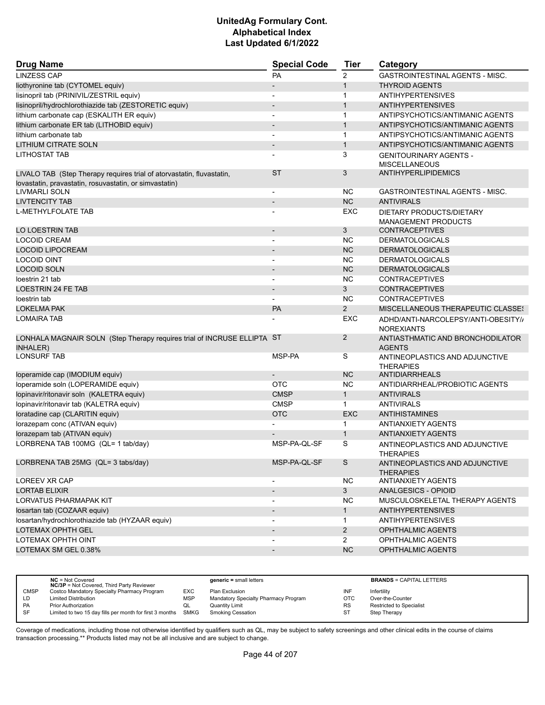| <b>Drug Name</b>                                                                           | <b>Special Code</b>          | <b>Tier</b>    | Category                                                 |
|--------------------------------------------------------------------------------------------|------------------------------|----------------|----------------------------------------------------------|
| <b>LINZESS CAP</b>                                                                         | PA                           | $\overline{2}$ | <b>GASTROINTESTINAL AGENTS - MISC.</b>                   |
| liothyronine tab (CYTOMEL equiv)                                                           | $\qquad \qquad \blacksquare$ | $\mathbf{1}$   | <b>THYROID AGENTS</b>                                    |
| lisinopril tab (PRINIVIL/ZESTRIL equiv)                                                    |                              | $\mathbf 1$    | <b>ANTIHYPERTENSIVES</b>                                 |
| lisinopril/hydrochlorothiazide tab (ZESTORETIC equiv)                                      | $\overline{\phantom{a}}$     | $\mathbf{1}$   | <b>ANTIHYPERTENSIVES</b>                                 |
| lithium carbonate cap (ESKALITH ER equiv)                                                  | $\overline{\phantom{0}}$     | $\mathbf{1}$   | ANTIPSYCHOTICS/ANTIMANIC AGENTS                          |
| lithium carbonate ER tab (LITHOBID equiv)                                                  | $\overline{\phantom{m}}$     | $\mathbf{1}$   | ANTIPSYCHOTICS/ANTIMANIC AGENTS                          |
| lithium carbonate tab                                                                      | $\overline{\phantom{0}}$     | $\mathbf{1}$   | ANTIPSYCHOTICS/ANTIMANIC AGENTS                          |
| <b>LITHIUM CITRATE SOLN</b>                                                                | $\overline{\phantom{a}}$     | $\mathbf{1}$   | ANTIPSYCHOTICS/ANTIMANIC AGENTS                          |
| LITHOSTAT TAB                                                                              |                              | 3              | <b>GENITOURINARY AGENTS -</b>                            |
|                                                                                            |                              |                | <b>MISCELLANEOUS</b>                                     |
| LIVALO TAB (Step Therapy requires trial of atorvastatin, fluvastatin,                      | <b>ST</b>                    | 3              | <b>ANTIHYPERLIPIDEMICS</b>                               |
| lovastatin, pravastatin, rosuvastatin, or simvastatin)                                     |                              |                |                                                          |
| <b>LIVMARLI SOLN</b>                                                                       | $\overline{\phantom{a}}$     | <b>NC</b>      | <b>GASTROINTESTINAL AGENTS - MISC.</b>                   |
| <b>LIVTENCITY TAB</b>                                                                      | $\overline{\phantom{a}}$     | NC             | <b>ANTIVIRALS</b>                                        |
| <b>L-METHYLFOLATE TAB</b>                                                                  |                              | <b>EXC</b>     | DIETARY PRODUCTS/DIETARY                                 |
|                                                                                            |                              |                | <b>MANAGEMENT PRODUCTS</b>                               |
| LO LOESTRIN TAB                                                                            | $\overline{\phantom{m}}$     | 3              | <b>CONTRACEPTIVES</b>                                    |
| <b>LOCOID CREAM</b>                                                                        |                              | <b>NC</b>      | <b>DERMATOLOGICALS</b>                                   |
| <b>LOCOID LIPOCREAM</b>                                                                    | $\overline{\phantom{a}}$     | NC             | <b>DERMATOLOGICALS</b>                                   |
| <b>LOCOID OINT</b>                                                                         |                              | <b>NC</b>      | <b>DERMATOLOGICALS</b>                                   |
| <b>LOCOID SOLN</b>                                                                         | $\overline{a}$               | <b>NC</b>      | <b>DERMATOLOGICALS</b>                                   |
| loestrin 21 tab                                                                            |                              | <b>NC</b>      | <b>CONTRACEPTIVES</b>                                    |
| <b>LOESTRIN 24 FE TAB</b>                                                                  |                              | 3              | <b>CONTRACEPTIVES</b>                                    |
| loestrin tab                                                                               |                              | <b>NC</b>      | <b>CONTRACEPTIVES</b>                                    |
| <b>LOKELMA PAK</b>                                                                         | PA                           | 2              | <b>MISCELLANEOUS THERAPEUTIC CLASSE!</b>                 |
| <b>LOMAIRA TAB</b>                                                                         |                              | <b>EXC</b>     | ADHD/ANTI-NARCOLEPSY/ANTI-OBESITY//<br><b>NOREXIANTS</b> |
| LONHALA MAGNAIR SOLN (Step Therapy requires trial of INCRUSE ELLIPTA ST<br><b>INHALER)</b> |                              | 2              | ANTIASTHMATIC AND BRONCHODILATOR<br><b>AGENTS</b>        |
| <b>LONSURF TAB</b>                                                                         | MSP-PA                       | S              | ANTINEOPLASTICS AND ADJUNCTIVE<br><b>THERAPIES</b>       |
| loperamide cap (IMODIUM equiv)                                                             |                              | <b>NC</b>      | <b>ANTIDIARRHEALS</b>                                    |
| loperamide soln (LOPERAMIDE equiv)                                                         | <b>OTC</b>                   | <b>NC</b>      | ANTIDIARRHEAL/PROBIOTIC AGENTS                           |
| lopinavir/ritonavir soln (KALETRA equiv)                                                   | <b>CMSP</b>                  | $\mathbf{1}$   | <b>ANTIVIRALS</b>                                        |
| lopinavir/ritonavir tab (KALETRA equiv)                                                    | <b>CMSP</b>                  | $\mathbf{1}$   | <b>ANTIVIRALS</b>                                        |
| loratadine cap (CLARITIN equiv)                                                            | <b>OTC</b>                   | <b>EXC</b>     | <b>ANTIHISTAMINES</b>                                    |
| lorazepam conc (ATIVAN equiv)                                                              |                              | 1              | <b>ANTIANXIETY AGENTS</b>                                |
| lorazepam tab (ATIVAN equiv)                                                               |                              | $\mathbf{1}$   | <b>ANTIANXIETY AGENTS</b>                                |
| LORBRENA TAB 100MG (QL= 1 tab/day)                                                         | MSP-PA-QL-SF                 | S              | ANTINEOPLASTICS AND ADJUNCTIVE<br><b>THERAPIES</b>       |
| LORBRENA TAB 25MG (QL= 3 tabs/day)                                                         | MSP-PA-QL-SF                 | S              | ANTINEOPLASTICS AND ADJUNCTIVE<br><b>THERAPIES</b>       |
| LOREEV XR CAP                                                                              | -                            | <b>NC</b>      | <b>ANTIANXIETY AGENTS</b>                                |
| <b>LORTAB ELIXIR</b>                                                                       | $\overline{\phantom{m}}$     | 3 <sup>1</sup> | ANALGESICS - OPIOID                                      |
| <b>LORVATUS PHARMAPAK KIT</b>                                                              | $\overline{\phantom{a}}$     | <b>NC</b>      | MUSCULOSKELETAL THERAPY AGENTS                           |
| losartan tab (COZAAR equiv)                                                                | $\overline{\phantom{a}}$     | $\mathbf{1}$   | <b>ANTIHYPERTENSIVES</b>                                 |
| Iosartan/hydrochlorothiazide tab (HYZAAR equiv)                                            |                              | $\mathbf{1}$   | <b>ANTIHYPERTENSIVES</b>                                 |
| LOTEMAX OPHTH GEL                                                                          | $\overline{\phantom{a}}$     | $\overline{2}$ | OPHTHALMIC AGENTS                                        |
| LOTEMAX OPHTH OINT                                                                         |                              | $\mathbf{2}$   | OPHTHALMIC AGENTS                                        |
| LOTEMAX SM GEL 0.38%                                                                       |                              | NC             | OPHTHALMIC AGENTS                                        |
|                                                                                            |                              |                |                                                          |

|             | $NC = Not Covered$<br><b>NC/3P</b> = Not Covered, Third Party Reviewer |            | $generic = small letters$            |           | <b>BRANDS = CAPITAL LETTERS</b> |
|-------------|------------------------------------------------------------------------|------------|--------------------------------------|-----------|---------------------------------|
| <b>CMSP</b> | Costco Mandatory Specialty Pharmacy Program                            | EXC        | Plan Exclusion                       | INF       | Infertility                     |
| LD          | <b>Limited Distribution</b>                                            | <b>MSP</b> | Mandatory Specialty Pharmacy Program | ОТС       | Over-the-Counter                |
| <b>PA</b>   | Prior Authorization                                                    | QL         | Quantity Limit                       | <b>RS</b> | <b>Restricted to Specialist</b> |
| SF          | Limited to two 15 day fills per month for first 3 months SMKG          |            | <b>Smoking Cessation</b>             | ST        | Step Therapy                    |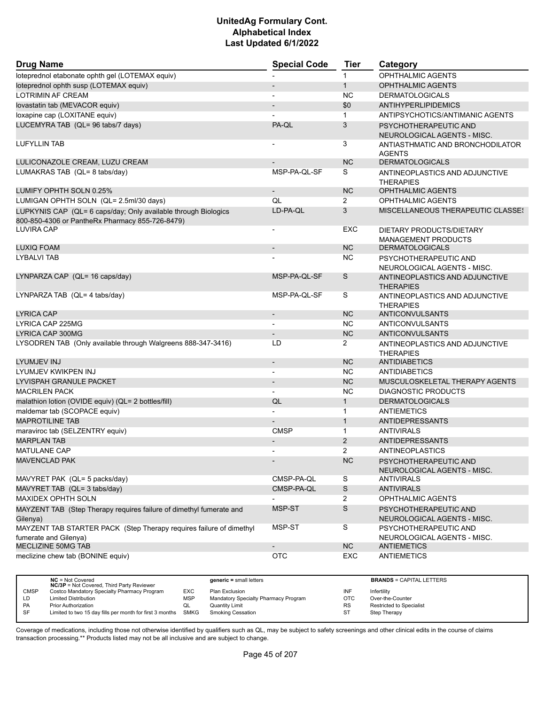| <b>Drug Name</b>                                                                                                  | <b>Special Code</b>      | <b>Tier</b>           | Category                                               |  |
|-------------------------------------------------------------------------------------------------------------------|--------------------------|-----------------------|--------------------------------------------------------|--|
| loteprednol etabonate ophth gel (LOTEMAX equiv)                                                                   |                          | $\mathbf{1}$          | <b>OPHTHALMIC AGENTS</b>                               |  |
| loteprednol ophth susp (LOTEMAX equiv)                                                                            |                          | $\mathbf{1}$          | <b>OPHTHALMIC AGENTS</b>                               |  |
| <b>LOTRIMIN AF CREAM</b>                                                                                          |                          | <b>NC</b>             | <b>DERMATOLOGICALS</b>                                 |  |
| lovastatin tab (MEVACOR equiv)                                                                                    |                          | \$0                   | <b>ANTIHYPERLIPIDEMICS</b>                             |  |
| loxapine cap (LOXITANE equiv)                                                                                     |                          | $\mathbf{1}$          | ANTIPSYCHOTICS/ANTIMANIC AGENTS                        |  |
| LUCEMYRA TAB (QL= 96 tabs/7 days)                                                                                 | PA-QL                    | 3                     | PSYCHOTHERAPEUTIC AND<br>NEUROLOGICAL AGENTS - MISC.   |  |
| <b>LUFYLLIN TAB</b>                                                                                               |                          | 3                     | ANTIASTHMATIC AND BRONCHODILATOR<br><b>AGENTS</b>      |  |
| LULICONAZOLE CREAM. LUZU CREAM                                                                                    |                          | <b>NC</b>             | <b>DERMATOLOGICALS</b>                                 |  |
| LUMAKRAS TAB (QL= 8 tabs/day)                                                                                     | MSP-PA-QL-SF             | S                     | ANTINEOPLASTICS AND ADJUNCTIVE<br><b>THERAPIES</b>     |  |
| LUMIFY OPHTH SOLN 0.25%                                                                                           | $\overline{\phantom{a}}$ | <b>NC</b>             | <b>OPHTHALMIC AGENTS</b>                               |  |
| LUMIGAN OPHTH SOLN (QL= 2.5ml/30 days)                                                                            | QL                       | 2                     | <b>OPHTHALMIC AGENTS</b>                               |  |
| LUPKYNIS CAP (QL= 6 caps/day; Only available through Biologics<br>800-850-4306 or PantheRx Pharmacy 855-726-8479) | LD-PA-QL                 | 3                     | MISCELLANEOUS THERAPEUTIC CLASSES                      |  |
| LUVIRA CAP                                                                                                        | $\overline{\phantom{a}}$ | EXC                   | DIETARY PRODUCTS/DIETARY<br><b>MANAGEMENT PRODUCTS</b> |  |
| LUXIQ FOAM                                                                                                        |                          | <b>NC</b>             | <b>DERMATOLOGICALS</b>                                 |  |
| <b>LYBALVI TAB</b>                                                                                                |                          | <b>NC</b>             | PSYCHOTHERAPEUTIC AND<br>NEUROLOGICAL AGENTS - MISC.   |  |
| LYNPARZA CAP (QL= 16 caps/day)                                                                                    | MSP-PA-QL-SF             | $\mathsf S$           | ANTINEOPLASTICS AND ADJUNCTIVE<br><b>THERAPIES</b>     |  |
| LYNPARZA TAB (QL= 4 tabs/day)                                                                                     | MSP-PA-QL-SF             | S                     | ANTINEOPLASTICS AND ADJUNCTIVE<br><b>THERAPIES</b>     |  |
| <b>LYRICA CAP</b>                                                                                                 | $\overline{\phantom{a}}$ | <b>NC</b>             | ANTICONVULSANTS                                        |  |
| LYRICA CAP 225MG                                                                                                  |                          | NC.                   | ANTICONVULSANTS                                        |  |
| LYRICA CAP 300MG                                                                                                  | $\overline{\phantom{a}}$ | <b>NC</b>             | <b>ANTICONVULSANTS</b>                                 |  |
| LYSODREN TAB (Only available through Walgreens 888-347-3416)                                                      | LD                       | $\mathbf{2}^{\prime}$ | ANTINEOPLASTICS AND ADJUNCTIVE<br><b>THERAPIES</b>     |  |
| LYUMJEV INJ                                                                                                       | $\overline{\phantom{a}}$ | <b>NC</b>             | <b>ANTIDIABETICS</b>                                   |  |
| LYUMJEV KWIKPEN INJ                                                                                               |                          | <b>NC</b>             | ANTIDIABETICS                                          |  |
| LYVISPAH GRANULE PACKET                                                                                           | $\overline{\phantom{a}}$ | <b>NC</b>             | MUSCULOSKELETAL THERAPY AGENTS                         |  |
| <b>MACRILEN PACK</b>                                                                                              |                          | <b>NC</b>             | <b>DIAGNOSTIC PRODUCTS</b>                             |  |
| malathion lotion (OVIDE equiv) (QL= 2 bottles/fill)                                                               | QL                       | $\mathbf{1}$          | <b>DERMATOLOGICALS</b>                                 |  |
| maldemar tab (SCOPACE equiv)                                                                                      |                          | $\mathbf{1}$          | <b>ANTIEMETICS</b>                                     |  |
| <b>MAPROTILINE TAB</b>                                                                                            | $\overline{\phantom{a}}$ | $\mathbf{1}$          | <b>ANTIDEPRESSANTS</b>                                 |  |
| maraviroc tab (SELZENTRY equiv)                                                                                   | <b>CMSP</b>              | $\mathbf{1}$          | <b>ANTIVIRALS</b>                                      |  |
| <b>MARPLAN TAB</b>                                                                                                |                          | 2                     | ANTIDEPRESSANTS                                        |  |
| <b>MATULANE CAP</b>                                                                                               |                          | 2                     | ANTINEOPLASTICS                                        |  |
| <b>MAVENCLAD PAK</b>                                                                                              | $\overline{\phantom{a}}$ | <b>NC</b>             | PSYCHOTHERAPEUTIC AND<br>NEUROLOGICAL AGENTS - MISC.   |  |
| MAVYRET PAK (QL= 5 packs/day)                                                                                     | CMSP-PA-QL               | S                     | ANTIVIRALS                                             |  |
| MAVYRET TAB (QL= 3 tabs/day)                                                                                      | CMSP-PA-QL               | $\mathsf S$           | <b>ANTIVIRALS</b>                                      |  |
| MAXIDEX OPHTH SOLN                                                                                                |                          | $\mathbf{2}^{\prime}$ | <b>OPHTHALMIC AGENTS</b>                               |  |
| MAYZENT TAB (Step Therapy requires failure of dimethyl fumerate and<br>Gilenya)                                   | MSP-ST                   | $\mathsf S$           | PSYCHOTHERAPEUTIC AND<br>NEUROLOGICAL AGENTS - MISC.   |  |
| MAYZENT TAB STARTER PACK (Step Therapy requires failure of dimethyl<br>fumerate and Gilenya)                      | MSP-ST                   | S                     | PSYCHOTHERAPEUTIC AND<br>NEUROLOGICAL AGENTS - MISC.   |  |
| MECLIZINE 50MG TAB                                                                                                | $\overline{\phantom{a}}$ | NC                    | <b>ANTIEMETICS</b>                                     |  |
| meclizine chew tab (BONINE equiv)                                                                                 | OTC                      | EXC                   | <b>ANTIEMETICS</b>                                     |  |

|             | $NC = Not Covered$<br><b>NC/3P</b> = Not Covered, Third Party Reviewer |            | $generic = small letters$            |           | <b>BRANDS = CAPITAL LETTERS</b> |
|-------------|------------------------------------------------------------------------|------------|--------------------------------------|-----------|---------------------------------|
| <b>CMSP</b> | Costco Mandatory Specialty Pharmacy Program                            | EXC        | Plan Exclusion                       | INF       | Infertility                     |
| LD          | <b>Limited Distribution</b>                                            | <b>MSP</b> | Mandatory Specialty Pharmacy Program | ОТС       | Over-the-Counter                |
| <b>PA</b>   | Prior Authorization                                                    | QL         | Quantity Limit                       | <b>RS</b> | Restricted to Specialist        |
| <b>SF</b>   | Limited to two 15 day fills per month for first 3 months               | SMKG       | <b>Smoking Cessation</b>             | ST        | Step Therapy                    |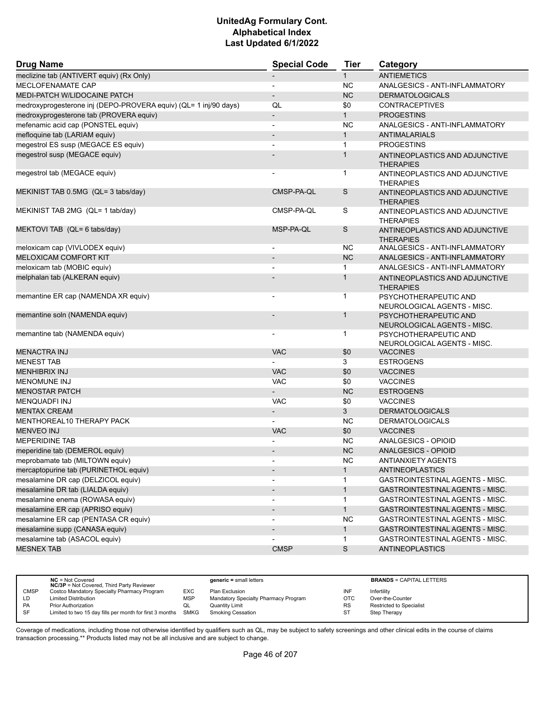| <b>Drug Name</b>                                                 | <b>Special Code</b>      | <b>Tier</b>  | Category                                             |  |
|------------------------------------------------------------------|--------------------------|--------------|------------------------------------------------------|--|
| meclizine tab (ANTIVERT equiv) (Rx Only)                         | $\overline{\phantom{a}}$ | $\mathbf{1}$ | <b>ANTIEMETICS</b>                                   |  |
| MECLOFENAMATE CAP                                                | $\blacksquare$           | <b>NC</b>    | ANALGESICS - ANTI-INFLAMMATORY                       |  |
| MEDI-PATCH W/LIDOCAINE PATCH                                     | $\overline{\phantom{a}}$ | <b>NC</b>    | <b>DERMATOLOGICALS</b>                               |  |
| medroxyprogesterone inj (DEPO-PROVERA equiv) (QL= 1 inj/90 days) | QL                       | \$0          | <b>CONTRACEPTIVES</b>                                |  |
| medroxyprogesterone tab (PROVERA equiv)                          | $\overline{\phantom{a}}$ | $\mathbf{1}$ | <b>PROGESTINS</b>                                    |  |
| mefenamic acid cap (PONSTEL equiv)                               |                          | <b>NC</b>    | ANALGESICS - ANTI-INFLAMMATORY                       |  |
| mefloquine tab (LARIAM equiv)                                    | $\overline{\phantom{a}}$ | $\mathbf{1}$ | <b>ANTIMALARIALS</b>                                 |  |
| megestrol ES susp (MEGACE ES equiv)                              | $\blacksquare$           | $\mathbf{1}$ | <b>PROGESTINS</b>                                    |  |
| megestrol susp (MEGACE equiv)                                    |                          | $\mathbf{1}$ | ANTINEOPLASTICS AND ADJUNCTIVE<br><b>THERAPIES</b>   |  |
| megestrol tab (MEGACE equiv)                                     |                          | $\mathbf{1}$ | ANTINEOPLASTICS AND ADJUNCTIVE<br><b>THERAPIES</b>   |  |
| MEKINIST TAB 0.5MG (QL= 3 tabs/day)                              | CMSP-PA-QL               | S            | ANTINEOPLASTICS AND ADJUNCTIVE<br><b>THERAPIES</b>   |  |
| MEKINIST TAB 2MG (QL= 1 tab/day)                                 | CMSP-PA-QL               | S            | ANTINEOPLASTICS AND ADJUNCTIVE<br><b>THERAPIES</b>   |  |
| MEKTOVI TAB (QL= 6 tabs/day)                                     | MSP-PA-QL                | S            | ANTINEOPLASTICS AND ADJUNCTIVE<br><b>THERAPIES</b>   |  |
| meloxicam cap (VIVLODEX equiv)                                   |                          | <b>NC</b>    | ANALGESICS - ANTI-INFLAMMATORY                       |  |
| <b>MELOXICAM COMFORT KIT</b>                                     | $\overline{\phantom{a}}$ | <b>NC</b>    | ANALGESICS - ANTI-INFLAMMATORY                       |  |
| meloxicam tab (MOBIC equiv)                                      |                          | $\mathbf{1}$ | ANALGESICS - ANTI-INFLAMMATORY                       |  |
| melphalan tab (ALKERAN equiv)                                    |                          | 1            | ANTINEOPLASTICS AND ADJUNCTIVE<br><b>THERAPIES</b>   |  |
| memantine ER cap (NAMENDA XR equiv)                              |                          | 1            | PSYCHOTHERAPEUTIC AND<br>NEUROLOGICAL AGENTS - MISC. |  |
| memantine soln (NAMENDA equiv)                                   |                          | 1            | PSYCHOTHERAPEUTIC AND<br>NEUROLOGICAL AGENTS - MISC. |  |
| memantine tab (NAMENDA equiv)                                    |                          | $\mathbf{1}$ | PSYCHOTHERAPEUTIC AND<br>NEUROLOGICAL AGENTS - MISC. |  |
| <b>MENACTRA INJ</b>                                              | <b>VAC</b>               | \$0          | <b>VACCINES</b>                                      |  |
| <b>MENEST TAB</b>                                                |                          | 3            | <b>ESTROGENS</b>                                     |  |
| <b>MENHIBRIX INJ</b>                                             | <b>VAC</b>               | \$0          | <b>VACCINES</b>                                      |  |
| <b>MENOMUNE INJ</b>                                              | <b>VAC</b>               | \$0          | <b>VACCINES</b>                                      |  |
| <b>MENOSTAR PATCH</b>                                            | $\overline{a}$           | <b>NC</b>    | <b>ESTROGENS</b>                                     |  |
| <b>MENQUADFI INJ</b>                                             | <b>VAC</b>               | \$0          | <b>VACCINES</b>                                      |  |
| <b>MENTAX CREAM</b>                                              | $\overline{\phantom{a}}$ | 3            | <b>DERMATOLOGICALS</b>                               |  |
| MENTHOREAL10 THERAPY PACK                                        |                          | NC.          | <b>DERMATOLOGICALS</b>                               |  |
| <b>MENVEO INJ</b>                                                | <b>VAC</b>               | \$0          | <b>VACCINES</b>                                      |  |
| <b>MEPERIDINE TAB</b>                                            |                          | <b>NC</b>    | ANALGESICS - OPIOID                                  |  |
| meperidine tab (DEMEROL equiv)                                   |                          | <b>NC</b>    | ANALGESICS - OPIOID                                  |  |
| meprobamate tab (MILTOWN equiv)                                  |                          | <b>NC</b>    | <b>ANTIANXIETY AGENTS</b>                            |  |
| mercaptopurine tab (PURINETHOL equiv)                            | $\overline{\phantom{a}}$ | $\mathbf{1}$ | ANTINEOPLASTICS                                      |  |
| mesalamine DR cap (DELZICOL equiv)                               |                          | 1            | <b>GASTROINTESTINAL AGENTS - MISC.</b>               |  |
| mesalamine DR tab (LIALDA equiv)                                 | $\overline{\phantom{a}}$ | $\mathbf{1}$ | GASTROINTESTINAL AGENTS - MISC.                      |  |
| mesalamine enema (ROWASA equiv)                                  |                          | $\mathbf{1}$ | GASTROINTESTINAL AGENTS - MISC.                      |  |
| mesalamine ER cap (APRISO equiv)                                 |                          | $\mathbf{1}$ | GASTROINTESTINAL AGENTS - MISC.                      |  |
| mesalamine ER cap (PENTASA CR equiv)                             |                          | NC.          | <b>GASTROINTESTINAL AGENTS - MISC.</b>               |  |
| mesalamine supp (CANASA equiv)                                   |                          | $\mathbf{1}$ | GASTROINTESTINAL AGENTS - MISC.                      |  |
| mesalamine tab (ASACOL equiv)                                    |                          | $\mathbf{1}$ | GASTROINTESTINAL AGENTS - MISC.                      |  |
| <b>MESNEX TAB</b>                                                | <b>CMSP</b>              | $\mathsf S$  | <b>ANTINEOPLASTICS</b>                               |  |
|                                                                  |                          |              |                                                      |  |

|             | $NC = Not Covered$<br><b>NC/3P</b> = Not Covered, Third Party Reviewer |            | $generic = small letters$            |           | <b>BRANDS = CAPITAL LETTERS</b> |
|-------------|------------------------------------------------------------------------|------------|--------------------------------------|-----------|---------------------------------|
| <b>CMSP</b> | Costco Mandatory Specialty Pharmacy Program                            | <b>EXC</b> | Plan Exclusion                       | INF       | Infertility                     |
| LD          | <b>Limited Distribution</b>                                            | <b>MSP</b> | Mandatory Specialty Pharmacy Program | отс       | Over-the-Counter                |
| <b>PA</b>   | <b>Prior Authorization</b>                                             | QL         | <b>Quantity Limit</b>                | <b>RS</b> | <b>Restricted to Specialist</b> |
| <b>SF</b>   | Limited to two 15 day fills per month for first 3 months SMKG          |            | Smoking Cessation                    | ST        | <b>Step Therapy</b>             |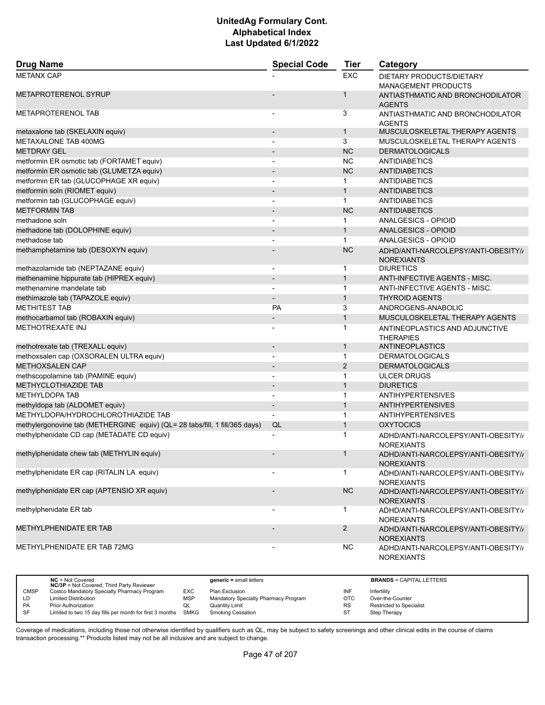| <b>Drug Name</b>                                                            | <b>Special Code</b>          | <b>Tier</b>    | Category                                                 |  |
|-----------------------------------------------------------------------------|------------------------------|----------------|----------------------------------------------------------|--|
| <b>METANX CAP</b>                                                           |                              | <b>EXC</b>     | DIETARY PRODUCTS/DIETARY<br><b>MANAGEMENT PRODUCTS</b>   |  |
| <b>METAPROTERENOL SYRUP</b>                                                 |                              | 1              | ANTIASTHMATIC AND BRONCHODILATOR<br><b>AGENTS</b>        |  |
| <b>METAPROTERENOL TAB</b>                                                   |                              | 3              | ANTIASTHMATIC AND BRONCHODILATOR<br><b>AGENTS</b>        |  |
| metaxalone tab (SKELAXIN equiv)                                             |                              | $\mathbf{1}$   | MUSCULOSKELETAL THERAPY AGENTS                           |  |
| METAXALONE TAB 400MG                                                        |                              | 3              | MUSCULOSKELETAL THERAPY AGENTS                           |  |
| <b>METDRAY GEL</b>                                                          | $\overline{\phantom{a}}$     | <b>NC</b>      | <b>DERMATOLOGICALS</b>                                   |  |
| metformin ER osmotic tab (FORTAMET equiv)                                   |                              | <b>NC</b>      | <b>ANTIDIABETICS</b>                                     |  |
| metformin ER osmotic tab (GLUMETZA equiv)                                   |                              | <b>NC</b>      | <b>ANTIDIABETICS</b>                                     |  |
| metformin ER tab (GLUCOPHAGE XR equiv)                                      | $\overline{\phantom{a}}$     | 1              | <b>ANTIDIABETICS</b>                                     |  |
| metformin soln (RIOMET equiv)                                               |                              | $\mathbf{1}$   | <b>ANTIDIABETICS</b>                                     |  |
| metformin tab (GLUCOPHAGE equiv)                                            |                              | $\mathbf{1}$   | ANTIDIABETICS                                            |  |
| <b>METFORMIN TAB</b>                                                        | $\overline{\phantom{a}}$     | <b>NC</b>      | <b>ANTIDIABETICS</b>                                     |  |
| methadone soln                                                              | $\overline{a}$               | $\mathbf 1$    | ANALGESICS - OPIOID                                      |  |
| methadone tab (DOLOPHINE equiv)                                             |                              | $\mathbf{1}$   | ANALGESICS - OPIOID                                      |  |
| methadose tab                                                               |                              | $\mathbf{1}$   | ANALGESICS - OPIOID                                      |  |
| methamphetamine tab (DESOXYN equiv)                                         |                              | <b>NC</b>      | ADHD/ANTI-NARCOLEPSY/ANTI-OBESITY//<br><b>NOREXIANTS</b> |  |
| methazolamide tab (NEPTAZANE equiv)                                         | $\overline{a}$               | $\mathbf{1}$   | <b>DIURETICS</b>                                         |  |
| methenamine hippurate tab (HIPREX equiv)                                    |                              | $\mathbf{1}$   | ANTI-INFECTIVE AGENTS - MISC.                            |  |
| methenamine mandelate tab                                                   | $\overline{\phantom{0}}$     | $\mathbf{1}$   | ANTI-INFECTIVE AGENTS - MISC.                            |  |
| methimazole tab (TAPAZOLE equiv)                                            | $\overline{a}$               | $\mathbf{1}$   | <b>THYROID AGENTS</b>                                    |  |
| <b>METHITEST TAB</b>                                                        | PA                           | 3              | ANDROGENS-ANABOLIC                                       |  |
| methocarbamol tab (ROBAXIN equiv)                                           | $\overline{\phantom{a}}$     | $\mathbf{1}$   | MUSCULOSKELETAL THERAPY AGENTS                           |  |
| <b>METHOTREXATE INJ</b>                                                     |                              | 1              | ANTINEOPLASTICS AND ADJUNCTIVE<br><b>THERAPIES</b>       |  |
| methotrexate tab (TREXALL equiv)                                            | $\overline{\phantom{a}}$     | $\mathbf{1}$   | ANTINEOPLASTICS                                          |  |
| methoxsalen cap (OXSORALEN ULTRA equiv)                                     |                              | $\mathbf{1}$   | <b>DERMATOLOGICALS</b>                                   |  |
| <b>METHOXSALEN CAP</b>                                                      |                              | 2              | <b>DERMATOLOGICALS</b>                                   |  |
| methscopolamine tab (PAMINE equiv)                                          | ٠                            | 1              | <b>ULCER DRUGS</b>                                       |  |
| <b>METHYCLOTHIAZIDE TAB</b>                                                 |                              | $\mathbf{1}$   | <b>DIURETICS</b>                                         |  |
| <b>METHYLDOPA TAB</b>                                                       |                              | 1              | <b>ANTIHYPERTENSIVES</b>                                 |  |
| methyldopa tab (ALDOMET equiv)                                              | $\qquad \qquad \blacksquare$ | $\mathbf{1}$   | <b>ANTIHYPERTENSIVES</b>                                 |  |
| METHYLDOPA/HYDROCHLOROTHIAZIDE TAB                                          |                              | $\mathbf{1}$   | <b>ANTIHYPERTENSIVES</b>                                 |  |
| methylergonovine tab (METHERGINE equiv) (QL= 28 tabs/fill, 1 fill/365 days) | QL                           | $\mathbf{1}$   | <b>OXYTOCICS</b>                                         |  |
| methylphenidate CD cap (METADATE CD equiv)                                  |                              | 1              | ADHD/ANTI-NARCOLEPSY/ANTI-OBESITY//<br><b>NOREXIANTS</b> |  |
| methylphenidate chew tab (METHYLIN equiv)                                   | $\qquad \qquad \blacksquare$ | $\mathbf{1}$   | ADHD/ANTI-NARCOLEPSY/ANTI-OBESITY//<br><b>NOREXIANTS</b> |  |
| methylphenidate ER cap (RITALIN LA equiv)                                   |                              | 1              | ADHD/ANTI-NARCOLEPSY/ANTI-OBESITY//<br><b>NOREXIANTS</b> |  |
| methylphenidate ER cap (APTENSIO XR equiv)                                  |                              | NC             | ADHD/ANTI-NARCOLEPSY/ANTI-OBESITY//<br><b>NOREXIANTS</b> |  |
| methylphenidate ER tab                                                      |                              | 1              | ADHD/ANTI-NARCOLEPSY/ANTI-OBESITY//<br><b>NOREXIANTS</b> |  |
| METHYLPHENIDATE ER TAB                                                      |                              | $\overline{2}$ | ADHD/ANTI-NARCOLEPSY/ANTI-OBESITY//<br><b>NOREXIANTS</b> |  |
| METHYLPHENIDATE ER TAB 72MG                                                 |                              | <b>NC</b>      | ADHD/ANTI-NARCOLEPSY/ANTI-OBESITY//<br><b>NOREXIANTS</b> |  |

|             | $NC = Not Covered$<br><b>NC/3P</b> = Not Covered, Third Party Reviewer |            | $generic = small letters$            |           | <b>BRANDS = CAPITAL LETTERS</b> |
|-------------|------------------------------------------------------------------------|------------|--------------------------------------|-----------|---------------------------------|
| <b>CMSP</b> | Costco Mandatory Specialty Pharmacy Program                            | <b>EXC</b> | Plan Exclusion                       | INF       | Infertility                     |
| LD          | <b>Limited Distribution</b>                                            | <b>MSP</b> | Mandatory Specialty Pharmacy Program | OTC       | Over-the-Counter                |
| <b>PA</b>   | <b>Prior Authorization</b>                                             | QL         | <b>Quantity Limit</b>                | <b>RS</b> | <b>Restricted to Specialist</b> |
| <b>SF</b>   | Limited to two 15 day fills per month for first 3 months               | SMKG       | Smoking Cessation                    | ST        | Step Therapy                    |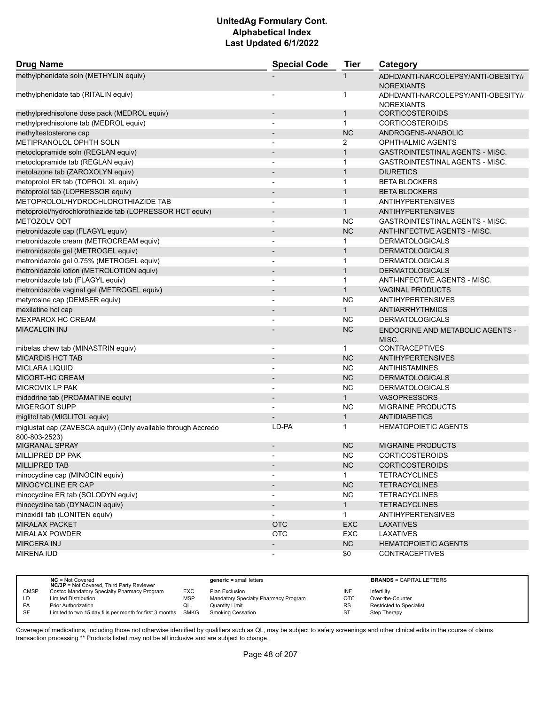| <b>Drug Name</b>                                                               | <b>Special Code</b>          | <b>Tier</b>    | Category                                                 |
|--------------------------------------------------------------------------------|------------------------------|----------------|----------------------------------------------------------|
| methylphenidate soln (METHYLIN equiv)                                          |                              | 1              | ADHD/ANTI-NARCOLEPSY/ANTI-OBESITY//<br><b>NOREXIANTS</b> |
| methylphenidate tab (RITALIN equiv)                                            |                              | 1              | ADHD/ANTI-NARCOLEPSY/ANTI-OBESITY//<br><b>NOREXIANTS</b> |
| methylprednisolone dose pack (MEDROL equiv)                                    | $\overline{a}$               | $\mathbf{1}$   | <b>CORTICOSTEROIDS</b>                                   |
| methylprednisolone tab (MEDROL equiv)                                          | -                            | $\mathbf{1}$   | <b>CORTICOSTEROIDS</b>                                   |
| methyltestosterone cap                                                         |                              | <b>NC</b>      | ANDROGENS-ANABOLIC                                       |
| METIPRANOLOL OPHTH SOLN                                                        | $\blacksquare$               | $\overline{2}$ | OPHTHALMIC AGENTS                                        |
| metoclopramide soln (REGLAN equiv)                                             |                              | $\mathbf{1}$   | <b>GASTROINTESTINAL AGENTS - MISC.</b>                   |
| metoclopramide tab (REGLAN equiv)                                              |                              | $\mathbf 1$    | <b>GASTROINTESTINAL AGENTS - MISC.</b>                   |
| metolazone tab (ZAROXOLYN equiv)                                               | $\overline{\phantom{a}}$     | $\mathbf{1}$   | <b>DIURETICS</b>                                         |
| metoprolol ER tab (TOPROL XL equiv)                                            | $\overline{a}$               | 1              | <b>BETA BLOCKERS</b>                                     |
| metoprolol tab (LOPRESSOR equiv)                                               |                              | $\mathbf{1}$   | <b>BETA BLOCKERS</b>                                     |
| METOPROLOL/HYDROCHLOROTHIAZIDE TAB                                             | $\overline{\phantom{a}}$     | $\mathbf{1}$   | <b>ANTIHYPERTENSIVES</b>                                 |
| metoprolol/hydrochlorothiazide tab (LOPRESSOR HCT equiv)                       |                              | $\mathbf{1}$   | <b>ANTIHYPERTENSIVES</b>                                 |
| METOZOLV ODT                                                                   |                              | <b>NC</b>      | GASTROINTESTINAL AGENTS - MISC.                          |
| metronidazole cap (FLAGYL equiv)                                               | $\overline{\phantom{m}}$     | <b>NC</b>      | ANTI-INFECTIVE AGENTS - MISC.                            |
| metronidazole cream (METROCREAM equiv)                                         | ٠                            | $\mathbf{1}$   | <b>DERMATOLOGICALS</b>                                   |
| metronidazole gel (METROGEL equiv)                                             | $\qquad \qquad \blacksquare$ | $\mathbf{1}$   | <b>DERMATOLOGICALS</b>                                   |
| metronidazole gel 0.75% (METROGEL equiv)                                       | ٠                            | $\mathbf{1}$   | <b>DERMATOLOGICALS</b>                                   |
| metronidazole lotion (METROLOTION equiv)                                       | $\overline{\phantom{a}}$     | $\mathbf{1}$   | <b>DERMATOLOGICALS</b>                                   |
| metronidazole tab (FLAGYL equiv)                                               | $\overline{a}$               | 1              | ANTI-INFECTIVE AGENTS - MISC.                            |
| metronidazole vaginal gel (METROGEL equiv)                                     | $\overline{a}$               | $\mathbf{1}$   | <b>VAGINAL PRODUCTS</b>                                  |
| metyrosine cap (DEMSER equiv)                                                  | $\overline{\phantom{a}}$     | <b>NC</b>      | <b>ANTIHYPERTENSIVES</b>                                 |
| mexiletine hcl cap                                                             | $\qquad \qquad \blacksquare$ | $\mathbf{1}$   | <b>ANTIARRHYTHMICS</b>                                   |
| <b>MEXPAROX HC CREAM</b>                                                       |                              | <b>NC</b>      | <b>DERMATOLOGICALS</b>                                   |
| <b>MIACALCIN INJ</b>                                                           |                              | <b>NC</b>      | ENDOCRINE AND METABOLIC AGENTS -<br>MISC.                |
| mibelas chew tab (MINASTRIN equiv)                                             | $\overline{\phantom{a}}$     | 1              | <b>CONTRACEPTIVES</b>                                    |
| <b>MICARDIS HCT TAB</b>                                                        | ٠                            | <b>NC</b>      | <b>ANTIHYPERTENSIVES</b>                                 |
| <b>MICLARA LIQUID</b>                                                          | -                            | <b>NC</b>      | ANTIHISTAMINES                                           |
| MICORT-HC CREAM                                                                | $\overline{\phantom{a}}$     | <b>NC</b>      | <b>DERMATOLOGICALS</b>                                   |
| MICROVIX LP PAK                                                                |                              | <b>NC</b>      | <b>DERMATOLOGICALS</b>                                   |
| midodrine tab (PROAMATINE equiv)                                               | $\overline{a}$               | $\mathbf{1}$   | <b>VASOPRESSORS</b>                                      |
| <b>MIGERGOT SUPP</b>                                                           |                              | <b>NC</b>      | <b>MIGRAINE PRODUCTS</b>                                 |
| miglitol tab (MIGLITOL equiv)                                                  |                              | $\mathbf{1}$   | <b>ANTIDIABETICS</b>                                     |
| miglustat cap (ZAVESCA equiv) (Only available through Accredo<br>800-803-2523) | LD-PA                        | 1              | <b>HEMATOPOIETIC AGENTS</b>                              |
| <b>MIGRANAL SPRAY</b>                                                          | $\overline{\phantom{a}}$     | <b>NC</b>      | <b>MIGRAINE PRODUCTS</b>                                 |
| MILLIPRED DP PAK                                                               |                              | <b>NC</b>      | <b>CORTICOSTEROIDS</b>                                   |
| <b>MILLIPRED TAB</b>                                                           |                              | NC             | <b>CORTICOSTEROIDS</b>                                   |
| minocycline cap (MINOCIN equiv)                                                |                              | 1.             | <b>TETRACYCLINES</b>                                     |
| MINOCYCLINE ER CAP                                                             |                              | NC             | <b>TETRACYCLINES</b>                                     |
| minocycline ER tab (SOLODYN equiv)                                             | $\qquad \qquad \blacksquare$ | <b>NC</b>      | <b>TETRACYCLINES</b>                                     |
| minocycline tab (DYNACIN equiv)                                                | $\overline{\phantom{a}}$     | 1              | <b>TETRACYCLINES</b>                                     |
| minoxidil tab (LONITEN equiv)                                                  |                              | 1              | <b>ANTIHYPERTENSIVES</b>                                 |
| <b>MIRALAX PACKET</b>                                                          | <b>OTC</b>                   | <b>EXC</b>     | <b>LAXATIVES</b>                                         |
| <b>MIRALAX POWDER</b>                                                          | <b>OTC</b>                   | EXC            | LAXATIVES                                                |
| <b>MIRCERA INJ</b>                                                             | $\overline{\phantom{0}}$     | NC             | <b>HEMATOPOIETIC AGENTS</b>                              |
| <b>MIRENA IUD</b>                                                              | $\overline{\phantom{a}}$     | \$0            | <b>CONTRACEPTIVES</b>                                    |

|             | $NC = Not Covered$<br><b>NC/3P</b> = Not Covered, Third Party Reviewer |            | $generic = small letters$            |            | <b>BRANDS = CAPITAL LETTERS</b> |
|-------------|------------------------------------------------------------------------|------------|--------------------------------------|------------|---------------------------------|
| <b>CMSP</b> | Costco Mandatory Specialty Pharmacy Program                            | EXC        | Plan Exclusion                       | INF        | Infertility                     |
| LD.         | <b>Limited Distribution</b>                                            | <b>MSP</b> | Mandatory Specialty Pharmacy Program | <b>OTC</b> | Over-the-Counter                |
| <b>PA</b>   | <b>Prior Authorization</b>                                             | QL         | Quantity Limit                       | <b>RS</b>  | <b>Restricted to Specialist</b> |
| <b>SF</b>   | Limited to two 15 day fills per month for first 3 months SMKG          |            | Smoking Cessation                    | <b>ST</b>  | Step Therapy                    |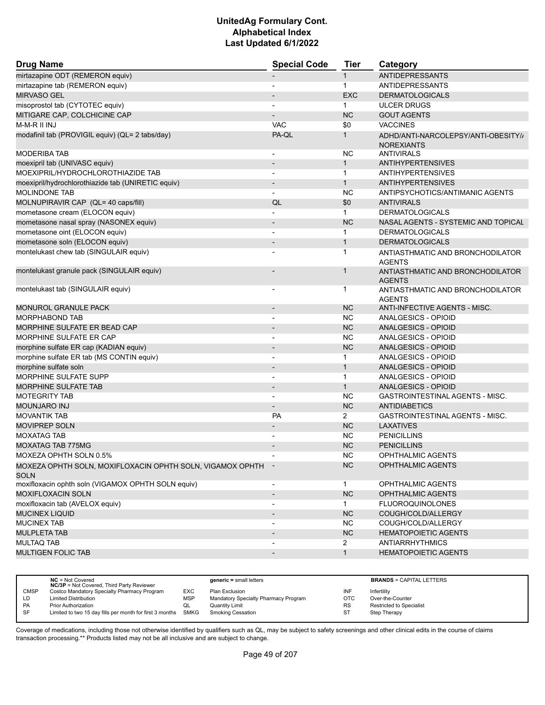| <b>Drug Name</b>                                            | <b>Special Code</b>          | <b>Tier</b>    | Category                               |
|-------------------------------------------------------------|------------------------------|----------------|----------------------------------------|
| mirtazapine ODT (REMERON equiv)                             |                              | $\mathbf{1}$   | <b>ANTIDEPRESSANTS</b>                 |
| mirtazapine tab (REMERON equiv)                             |                              | $\mathbf{1}$   | <b>ANTIDEPRESSANTS</b>                 |
| <b>MIRVASO GEL</b>                                          |                              | <b>EXC</b>     | <b>DERMATOLOGICALS</b>                 |
| misoprostol tab (CYTOTEC equiv)                             |                              | $\mathbf{1}$   | <b>ULCER DRUGS</b>                     |
| MITIGARE CAP, COLCHICINE CAP                                |                              | <b>NC</b>      | <b>GOUT AGENTS</b>                     |
| M-M-R II INJ                                                | <b>VAC</b>                   | \$0            | <b>VACCINES</b>                        |
| modafinil tab (PROVIGIL equiv) (QL= 2 tabs/day)             | PA-QL                        | $\mathbf{1}$   | ADHD/ANTI-NARCOLEPSY/ANTI-OBESITY//    |
|                                                             |                              |                | <b>NOREXIANTS</b>                      |
| <b>MODERIBA TAB</b>                                         |                              | <b>NC</b>      | <b>ANTIVIRALS</b>                      |
| moexipril tab (UNIVASC equiv)                               | $\overline{\phantom{a}}$     | $\mathbf{1}$   | <b>ANTIHYPERTENSIVES</b>               |
| MOEXIPRIL/HYDROCHLOROTHIAZIDE TAB                           |                              | $\mathbf{1}$   | <b>ANTIHYPERTENSIVES</b>               |
| moexipril/hydrochlorothiazide tab (UNIRETIC equiv)          | $\overline{\phantom{a}}$     | $\mathbf{1}$   | <b>ANTIHYPERTENSIVES</b>               |
| <b>MOLINDONE TAB</b>                                        |                              | <b>NC</b>      | ANTIPSYCHOTICS/ANTIMANIC AGENTS        |
| MOLNUPIRAVIR CAP (QL= 40 caps/fill)                         | QL                           | \$0            | <b>ANTIVIRALS</b>                      |
| mometasone cream (ELOCON equiv)                             | $\overline{a}$               | $\mathbf{1}$   | <b>DERMATOLOGICALS</b>                 |
| mometasone nasal spray (NASONEX equiv)                      |                              | <b>NC</b>      | NASAL AGENTS - SYSTEMIC AND TOPICAL    |
| mometasone oint (ELOCON equiv)                              |                              | $\mathbf{1}$   | <b>DERMATOLOGICALS</b>                 |
| mometasone soln (ELOCON equiv)                              | $\overline{\phantom{a}}$     | $\mathbf{1}$   | <b>DERMATOLOGICALS</b>                 |
| montelukast chew tab (SINGULAIR equiv)                      |                              | $\mathbf{1}$   | ANTIASTHMATIC AND BRONCHODILATOR       |
|                                                             |                              |                | <b>AGENTS</b>                          |
| montelukast granule pack (SINGULAIR equiv)                  |                              | 1              | ANTIASTHMATIC AND BRONCHODILATOR       |
|                                                             |                              |                | <b>AGENTS</b>                          |
| montelukast tab (SINGULAIR equiv)                           |                              | $\ddot{1}$     | ANTIASTHMATIC AND BRONCHODILATOR       |
|                                                             |                              |                | <b>AGENTS</b>                          |
| MONUROL GRANULE PACK                                        |                              | <b>NC</b>      | ANTI-INFECTIVE AGENTS - MISC.          |
| <b>MORPHABOND TAB</b>                                       |                              | <b>NC</b>      | ANALGESICS - OPIOID                    |
| MORPHINE SULFATE ER BEAD CAP                                | $\overline{\phantom{a}}$     | <b>NC</b>      | <b>ANALGESICS - OPIOID</b>             |
| MORPHINE SULFATE ER CAP                                     | $\overline{a}$               | <b>NC</b>      | ANALGESICS - OPIOID                    |
| morphine sulfate ER cap (KADIAN equiv)                      |                              | <b>NC</b>      | ANALGESICS - OPIOID                    |
| morphine sulfate ER tab (MS CONTIN equiv)                   | $\overline{\phantom{a}}$     | $\mathbf 1$    | ANALGESICS - OPIOID                    |
| morphine sulfate soln                                       | $\overline{\phantom{a}}$     | $\mathbf{1}$   | <b>ANALGESICS - OPIOID</b>             |
| MORPHINE SULFATE SUPP                                       |                              | $\mathbf 1$    | ANALGESICS - OPIOID                    |
| <b>MORPHINE SULFATE TAB</b>                                 |                              | $\mathbf{1}$   | ANALGESICS - OPIOID                    |
| <b>MOTEGRITY TAB</b>                                        | $\overline{a}$               | <b>NC</b>      | GASTROINTESTINAL AGENTS - MISC.        |
| <b>MOUNJARO INJ</b>                                         | $\overline{\phantom{a}}$     | <b>NC</b>      | <b>ANTIDIABETICS</b>                   |
| <b>MOVANTIK TAB</b>                                         | <b>PA</b>                    | $\overline{2}$ | <b>GASTROINTESTINAL AGENTS - MISC.</b> |
| <b>MOVIPREP SOLN</b>                                        | $\overline{\phantom{a}}$     | <b>NC</b>      | <b>LAXATIVES</b>                       |
| <b>MOXATAG TAB</b>                                          |                              | <b>NC</b>      | <b>PENICILLINS</b>                     |
| MOXATAG TAB 775MG                                           |                              | <b>NC</b>      | <b>PENICILLINS</b>                     |
| MOXEZA OPHTH SOLN 0.5%                                      |                              | ΝC             | OPHTHALMIC AGENTS                      |
| MOXEZA OPHTH SOLN, MOXIFLOXACIN OPHTH SOLN, VIGAMOX OPHTH - |                              | <b>NC</b>      | OPHTHALMIC AGENTS                      |
| <b>SOLN</b>                                                 |                              |                |                                        |
| moxifloxacin ophth soln (VIGAMOX OPHTH SOLN equiv)          | $\overline{\phantom{a}}$     | $\mathbf{1}$   | <b>OPHTHALMIC AGENTS</b>               |
| <b>MOXIFLOXACIN SOLN</b>                                    | $\overline{\phantom{a}}$     | NC             | OPHTHALMIC AGENTS                      |
| moxifloxacin tab (AVELOX equiv)                             | $\overline{\phantom{a}}$     | $\mathbf{1}$   | <b>FLUOROQUINOLONES</b>                |
| <b>MUCINEX LIQUID</b>                                       | $\overline{\phantom{a}}$     | <b>NC</b>      | COUGH/COLD/ALLERGY                     |
| <b>MUCINEX TAB</b>                                          | $\overline{\phantom{a}}$     | <b>NC</b>      | COUGH/COLD/ALLERGY                     |
| <b>MULPLETA TAB</b>                                         | $\overline{\phantom{a}}$     | NC             | <b>HEMATOPOIETIC AGENTS</b>            |
| <b>MULTAQ TAB</b>                                           |                              | $\overline{2}$ | <b>ANTIARRHYTHMICS</b>                 |
| MULTIGEN FOLIC TAB                                          | $\qquad \qquad \blacksquare$ | $\mathbf{1}$   | <b>HEMATOPOIETIC AGENTS</b>            |
|                                                             |                              |                |                                        |

|             | $NC = Not Covered$<br><b>NC/3P</b> = Not Covered, Third Party Reviewer |            | $generic = small letters$            |            | <b>BRANDS = CAPITAL LETTERS</b> |
|-------------|------------------------------------------------------------------------|------------|--------------------------------------|------------|---------------------------------|
| <b>CMSP</b> | Costco Mandatory Specialty Pharmacy Program                            | <b>EXC</b> | Plan Exclusion                       | INF        | Infertility                     |
| LD.         | <b>Limited Distribution</b>                                            | <b>MSP</b> | Mandatory Specialty Pharmacy Program | <b>OTC</b> | Over-the-Counter                |
| PA          | Prior Authorization                                                    | QL         | <b>Quantity Limit</b>                | <b>RS</b>  | <b>Restricted to Specialist</b> |
| <b>SF</b>   | Limited to two 15 day fills per month for first 3 months               | SMKG       | Smoking Cessation                    | ST         | Step Therapy                    |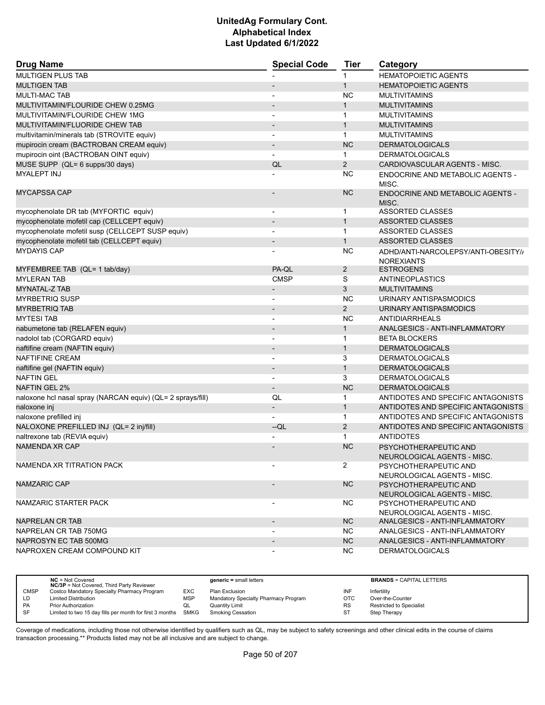| <b>Drug Name</b>                                            | <b>Special Code</b>          | <b>Tier</b>    | Category                                                 |
|-------------------------------------------------------------|------------------------------|----------------|----------------------------------------------------------|
| <b>MULTIGEN PLUS TAB</b>                                    |                              | $\mathbf{1}$   | <b>HEMATOPOIETIC AGENTS</b>                              |
| <b>MULTIGEN TAB</b>                                         |                              | $\mathbf{1}$   | <b>HEMATOPOIETIC AGENTS</b>                              |
| <b>MULTI-MAC TAB</b>                                        |                              | <b>NC</b>      | <b>MULTIVITAMINS</b>                                     |
| MULTIVITAMIN/FLOURIDE CHEW 0.25MG                           | $\overline{\phantom{a}}$     | $\mathbf{1}$   | <b>MULTIVITAMINS</b>                                     |
| MULTIVITAMIN/FLOURIDE CHEW 1MG                              | $\overline{\phantom{a}}$     | $\mathbf{1}$   | <b>MULTIVITAMINS</b>                                     |
| MULTIVITAMIN/FLUORIDE CHEW TAB                              |                              | $\mathbf{1}$   | <b>MULTIVITAMINS</b>                                     |
| multivitamin/minerals tab (STROVITE equiv)                  | $\overline{\phantom{0}}$     | $\mathbf{1}$   | <b>MULTIVITAMINS</b>                                     |
| mupirocin cream (BACTROBAN CREAM equiv)                     | $\overline{\phantom{a}}$     | <b>NC</b>      | <b>DERMATOLOGICALS</b>                                   |
| mupirocin oint (BACTROBAN OINT equiv)                       | $\overline{\phantom{0}}$     | $\mathbf{1}$   | <b>DERMATOLOGICALS</b>                                   |
| MUSE SUPP (QL= 6 supps/30 days)                             | QL                           | $\overline{2}$ | CARDIOVASCULAR AGENTS - MISC.                            |
| <b>MYALEPT INJ</b>                                          |                              | <b>NC</b>      | <b>ENDOCRINE AND METABOLIC AGENTS -</b><br>MISC.         |
| <b>MYCAPSSA CAP</b>                                         |                              | <b>NC</b>      | ENDOCRINE AND METABOLIC AGENTS -<br>MISC.                |
| mycophenolate DR tab (MYFORTIC equiv)                       | $\overline{\phantom{a}}$     | $\mathbf{1}$   | <b>ASSORTED CLASSES</b>                                  |
| mycophenolate mofetil cap (CELLCEPT equiv)                  | $\overline{\phantom{a}}$     | $\mathbf{1}$   | <b>ASSORTED CLASSES</b>                                  |
| mycophenolate mofetil susp (CELLCEPT SUSP equiv)            | $\blacksquare$               | $\mathbf{1}$   | <b>ASSORTED CLASSES</b>                                  |
| mycophenolate mofetil tab (CELLCEPT equiv)                  | $\overline{\phantom{a}}$     | $\mathbf{1}$   | <b>ASSORTED CLASSES</b>                                  |
| <b>MYDAYIS CAP</b>                                          | $\overline{a}$               | <b>NC</b>      | ADHD/ANTI-NARCOLEPSY/ANTI-OBESITY//<br><b>NOREXIANTS</b> |
| MYFEMBREE TAB (QL= 1 tab/day)                               | PA-QL                        | $\overline{2}$ | <b>ESTROGENS</b>                                         |
| <b>MYLERAN TAB</b>                                          | <b>CMSP</b>                  | S              | ANTINEOPLASTICS                                          |
| MYNATAL-Z TAB                                               | $\overline{\phantom{m}}$     | 3              | <b>MULTIVITAMINS</b>                                     |
| <b>MYRBETRIQ SUSP</b>                                       | $\overline{a}$               | <b>NC</b>      | URINARY ANTISPASMODICS                                   |
| <b>MYRBETRIQ TAB</b>                                        | $\overline{\phantom{a}}$     | $\overline{2}$ | URINARY ANTISPASMODICS                                   |
| <b>MYTESI TAB</b>                                           | $\overline{\phantom{a}}$     | <b>NC</b>      | <b>ANTIDIARRHEALS</b>                                    |
| nabumetone tab (RELAFEN equiv)                              | $\overline{\phantom{a}}$     | $\mathbf{1}$   | ANALGESICS - ANTI-INFLAMMATORY                           |
| nadolol tab (CORGARD equiv)                                 | $\overline{a}$               | $\mathbf{1}$   | <b>BETA BLOCKERS</b>                                     |
| naftifine cream (NAFTIN equiv)                              | $\qquad \qquad \blacksquare$ | $\mathbf{1}$   | <b>DERMATOLOGICALS</b>                                   |
| <b>NAFTIFINE CREAM</b>                                      | ٠                            | 3              | <b>DERMATOLOGICALS</b>                                   |
| naftifine gel (NAFTIN equiv)                                | $\overline{\phantom{m}}$     | $\mathbf{1}$   | <b>DERMATOLOGICALS</b>                                   |
| <b>NAFTIN GEL</b>                                           | $\blacksquare$               | 3              | <b>DERMATOLOGICALS</b>                                   |
| <b>NAFTIN GEL 2%</b>                                        | $\overline{\phantom{a}}$     | <b>NC</b>      | <b>DERMATOLOGICALS</b>                                   |
| naloxone hcl nasal spray (NARCAN equiv) (QL= 2 sprays/fill) | QL                           | $\mathbf{1}$   | ANTIDOTES AND SPECIFIC ANTAGONISTS                       |
| naloxone inj                                                | $\overline{\phantom{a}}$     | $\mathbf{1}$   | ANTIDOTES AND SPECIFIC ANTAGONISTS                       |
| naloxone prefilled inj                                      |                              | $\mathbf{1}$   | ANTIDOTES AND SPECIFIC ANTAGONISTS                       |
| NALOXONE PREFILLED INJ (QL= 2 inj/fill)                     | --QL                         | $\overline{2}$ | ANTIDOTES AND SPECIFIC ANTAGONISTS                       |
| naltrexone tab (REVIA equiv)                                |                              | $\mathbf{1}$   | <b>ANTIDOTES</b>                                         |
| <b>NAMENDA XR CAP</b>                                       |                              | <b>NC</b>      | PSYCHOTHERAPEUTIC AND<br>NEUROLOGICAL AGENTS - MISC      |
| NAMENDA XR TITRATION PACK                                   |                              | $\overline{2}$ | PSYCHOTHERAPEUTIC AND<br>NEUROLOGICAL AGENTS - MISC.     |
| <b>NAMZARIC CAP</b>                                         | $\overline{\phantom{a}}$     | <b>NC</b>      | PSYCHOTHERAPEUTIC AND<br>NEUROLOGICAL AGENTS - MISC.     |
| NAMZARIC STARTER PACK                                       |                              | NC.            | PSYCHOTHERAPEUTIC AND<br>NEUROLOGICAL AGENTS - MISC.     |
| NAPRELAN CR TAB                                             |                              | <b>NC</b>      | ANALGESICS - ANTI-INFLAMMATORY                           |
| NAPRELAN CR TAB 750MG                                       |                              | NC.            | ANALGESICS - ANTI-INFLAMMATORY                           |
| NAPROSYN EC TAB 500MG                                       | $\overline{\phantom{a}}$     | NC             | ANALGESICS - ANTI-INFLAMMATORY                           |
| NAPROXEN CREAM COMPOUND KIT                                 | $\overline{\phantom{a}}$     | NC.            | <b>DERMATOLOGICALS</b>                                   |

|             | $NC = Not Covered$<br><b>NC/3P</b> = Not Covered, Third Party Reviewer |            | $generic = small letters$            |            | <b>BRANDS = CAPITAL LETTERS</b> |
|-------------|------------------------------------------------------------------------|------------|--------------------------------------|------------|---------------------------------|
| <b>CMSP</b> | Costco Mandatory Specialty Pharmacy Program                            | EXC        | Plan Exclusion                       | INF        | Infertility                     |
| LD          | <b>Limited Distribution</b>                                            | <b>MSP</b> | Mandatory Specialty Pharmacy Program | <b>OTC</b> | Over-the-Counter                |
| <b>PA</b>   | <b>Prior Authorization</b>                                             | QL         | Quantity Limit                       | RS         | Restricted to Specialist        |
| SF          | Limited to two 15 day fills per month for first 3 months SMKG          |            | <b>Smoking Cessation</b>             | ST         | Step Therapy                    |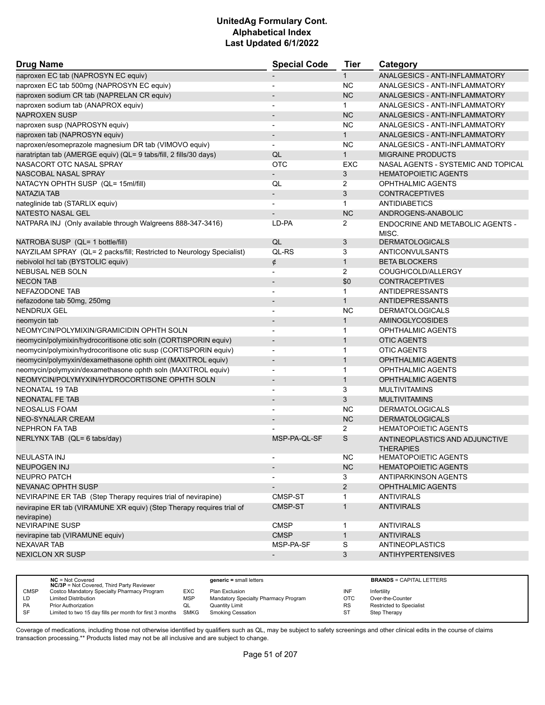| <b>Drug Name</b>                                                                     | <b>Special Code</b>      | <b>Tier</b>    | Category                                           |
|--------------------------------------------------------------------------------------|--------------------------|----------------|----------------------------------------------------|
| naproxen EC tab (NAPROSYN EC equiv)                                                  |                          | $\mathbf{1}$   | ANALGESICS - ANTI-INFLAMMATORY                     |
| naproxen EC tab 500mg (NAPROSYN EC equiv)                                            |                          | <b>NC</b>      | ANALGESICS - ANTI-INFLAMMATORY                     |
| naproxen sodium CR tab (NAPRELAN CR equiv)                                           |                          | <b>NC</b>      | ANALGESICS - ANTI-INFLAMMATORY                     |
| naproxen sodium tab (ANAPROX equiv)                                                  |                          | $\mathbf{1}$   | ANALGESICS - ANTI-INFLAMMATORY                     |
| <b>NAPROXEN SUSP</b>                                                                 |                          | <b>NC</b>      | ANALGESICS - ANTI-INFLAMMATORY                     |
| naproxen susp (NAPROSYN equiv)                                                       | $\overline{\phantom{a}}$ | <b>NC</b>      | ANALGESICS - ANTI-INFLAMMATORY                     |
| naproxen tab (NAPROSYN equiv)                                                        |                          | $\mathbf{1}$   | ANALGESICS - ANTI-INFLAMMATORY                     |
| naproxen/esomeprazole magnesium DR tab (VIMOVO equiv)                                | $\blacksquare$           | <b>NC</b>      | ANALGESICS - ANTI-INFLAMMATORY                     |
| naratriptan tab (AMERGE equiv) (QL= 9 tabs/fill, 2 fills/30 days)                    | QL                       | $\mathbf{1}$   | <b>MIGRAINE PRODUCTS</b>                           |
| NASACORT OTC NASAL SPRAY                                                             | <b>OTC</b>               | EXC            | NASAL AGENTS - SYSTEMIC AND TOPICAL                |
| NASCOBAL NASAL SPRAY                                                                 |                          | 3              | <b>HEMATOPOIETIC AGENTS</b>                        |
| NATACYN OPHTH SUSP (QL= 15ml/fill)                                                   | QL                       | 2              | <b>OPHTHALMIC AGENTS</b>                           |
| NATAZIA TAB                                                                          | $\overline{\phantom{a}}$ | 3              | <b>CONTRACEPTIVES</b>                              |
| nateglinide tab (STARLIX equiv)                                                      |                          | $\mathbf{1}$   | <b>ANTIDIABETICS</b>                               |
| NATESTO NASAL GEL                                                                    |                          | <b>NC</b>      | ANDROGENS-ANABOLIC                                 |
| NATPARA INJ (Only available through Walgreens 888-347-3416)                          | LD-PA                    | 2              | ENDOCRINE AND METABOLIC AGENTS -                   |
|                                                                                      |                          |                | MISC.                                              |
| NATROBA SUSP (QL= 1 bottle/fill)                                                     | QL                       | 3              | <b>DERMATOLOGICALS</b>                             |
| NAYZILAM SPRAY (QL= 2 packs/fill; Restricted to Neurology Specialist)                | QL-RS                    | 3              | ANTICONVULSANTS                                    |
| nebivolol hcl tab (BYSTOLIC equiv)                                                   | ¢                        | $\mathbf{1}$   | <b>BETA BLOCKERS</b>                               |
| NEBUSAL NEB SOLN                                                                     | $\overline{\phantom{a}}$ | $\overline{2}$ | COUGH/COLD/ALLERGY                                 |
| <b>NECON TAB</b>                                                                     |                          | \$0            | <b>CONTRACEPTIVES</b>                              |
| NEFAZODONE TAB                                                                       |                          | $\mathbf 1$    | ANTIDEPRESSANTS                                    |
| nefazodone tab 50mg, 250mg                                                           |                          | $\mathbf{1}$   | <b>ANTIDEPRESSANTS</b>                             |
| <b>NENDRUX GEL</b>                                                                   | $\overline{\phantom{0}}$ | <b>NC</b>      | <b>DERMATOLOGICALS</b>                             |
| neomycin tab                                                                         |                          | $\mathbf{1}$   | <b>AMINOGLYCOSIDES</b>                             |
| NEOMYCIN/POLYMIXIN/GRAMICIDIN OPHTH SOLN                                             | $\blacksquare$           | $\mathbf 1$    | OPHTHALMIC AGENTS                                  |
| neomycin/polymixin/hydrocoritisone otic soln (CORTISPORIN equiv)                     | $\overline{\phantom{a}}$ | $\mathbf{1}$   | <b>OTIC AGENTS</b>                                 |
| neomycin/polymixin/hydrocoritisone otic susp (CORTISPORIN equiv)                     |                          | $\mathbf 1$    | <b>OTIC AGENTS</b>                                 |
| neomycin/polymyxin/dexamethasone ophth oint (MAXITROL equiv)                         | $\overline{\phantom{0}}$ | $\mathbf{1}$   | <b>OPHTHALMIC AGENTS</b>                           |
| neomycin/polymyxin/dexamethasone ophth soln (MAXITROL equiv)                         | $\overline{\phantom{a}}$ | $\mathbf{1}$   | OPHTHALMIC AGENTS                                  |
| NEOMYCIN/POLYMYXIN/HYDROCORTISONE OPHTH SOLN                                         |                          | $\mathbf{1}$   | <b>OPHTHALMIC AGENTS</b>                           |
| NEONATAL 19 TAB                                                                      |                          | 3              | <b>MULTIVITAMINS</b>                               |
| <b>NEONATAL FE TAB</b>                                                               | $\overline{a}$           | 3              | <b>MULTIVITAMINS</b>                               |
| <b>NEOSALUS FOAM</b>                                                                 |                          | <b>NC</b>      | <b>DERMATOLOGICALS</b>                             |
| <b>NEO-SYNALAR CREAM</b>                                                             |                          | <b>NC</b>      | <b>DERMATOLOGICALS</b>                             |
| <b>NEPHRON FA TAB</b>                                                                |                          | $\overline{2}$ | <b>HEMATOPOIETIC AGENTS</b>                        |
| NERLYNX TAB (QL= 6 tabs/day)                                                         | MSP-PA-QL-SF             | S              | ANTINEOPLASTICS AND ADJUNCTIVE<br><b>THERAPIES</b> |
| NEULASTA INJ                                                                         |                          | <b>NC</b>      | <b>HEMATOPOIETIC AGENTS</b>                        |
| <b>NEUPOGEN INJ</b>                                                                  |                          | <b>NC</b>      | <b>HEMATOPOIETIC AGENTS</b>                        |
| NEUPRO PATCH                                                                         |                          | 3              | ANTIPARKINSON AGENTS                               |
| NEVANAC OPHTH SUSP                                                                   |                          | $\overline{2}$ | OPHTHALMIC AGENTS                                  |
| NEVIRAPINE ER TAB (Step Therapy requires trial of nevirapine)                        | CMSP-ST                  | 1              | <b>ANTIVIRALS</b>                                  |
| nevirapine ER tab (VIRAMUNE XR equiv) (Step Therapy requires trial of<br>nevirapine) | CMSP-ST                  | $\mathbf{1}$   | <b>ANTIVIRALS</b>                                  |
| <b>NEVIRAPINE SUSP</b>                                                               | <b>CMSP</b>              | 1              | <b>ANTIVIRALS</b>                                  |
| nevirapine tab (VIRAMUNE equiv)                                                      | <b>CMSP</b>              | $\mathbf{1}$   | <b>ANTIVIRALS</b>                                  |
| <b>NEXAVAR TAB</b>                                                                   | MSP-PA-SF                | S              | <b>ANTINEOPLASTICS</b>                             |
| <b>NEXICLON XR SUSP</b>                                                              |                          | 3              | <b>ANTIHYPERTENSIVES</b>                           |
|                                                                                      |                          |                |                                                    |

|             | $NC = Not Covered$<br><b>NC/3P</b> = Not Covered, Third Party Reviewer |            | $generic = small letters$            |            | <b>BRANDS = CAPITAL LETTERS</b> |
|-------------|------------------------------------------------------------------------|------------|--------------------------------------|------------|---------------------------------|
| <b>CMSP</b> | Costco Mandatory Specialty Pharmacy Program                            | EXC        | Plan Exclusion                       | INF        | Infertility                     |
| LD          | <b>Limited Distribution</b>                                            | <b>MSP</b> | Mandatory Specialty Pharmacy Program | <b>OTC</b> | Over-the-Counter                |
| <b>PA</b>   | <b>Prior Authorization</b>                                             | QL         | Quantity Limit                       | <b>RS</b>  | Restricted to Specialist        |
| <b>SF</b>   | Limited to two 15 day fills per month for first 3 months               | SMKG       | Smoking Cessation                    | ST         | Step Therapy                    |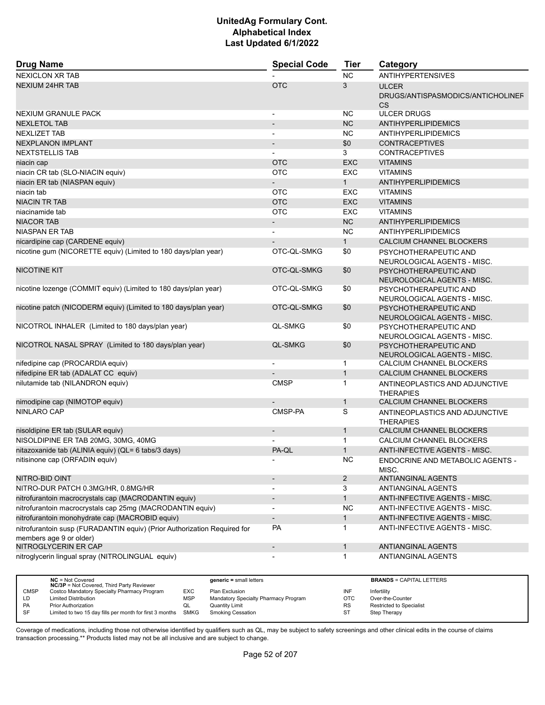| <b>Drug Name</b>                                                         | <b>Special Code</b>      | <b>Tier</b>    | Category                                     |
|--------------------------------------------------------------------------|--------------------------|----------------|----------------------------------------------|
| <b>NEXICLON XR TAB</b>                                                   |                          | NC             | <b>ANTIHYPERTENSIVES</b>                     |
| <b>NEXIUM 24HR TAB</b>                                                   | <b>OTC</b>               | 3              | <b>ULCER</b>                                 |
|                                                                          |                          |                | DRUGS/ANTISPASMODICS/ANTICHOLINEF            |
|                                                                          |                          |                | <b>CS</b>                                    |
| NEXIUM GRANULE PACK                                                      | $\overline{\phantom{a}}$ | <b>NC</b>      | <b>ULCER DRUGS</b>                           |
| <b>NEXLETOL TAB</b>                                                      |                          | <b>NC</b>      | ANTIHYPERLIPIDEMICS                          |
| <b>NEXLIZET TAB</b>                                                      | $\overline{\phantom{a}}$ | <b>NC</b>      | <b>ANTIHYPERLIPIDEMICS</b>                   |
| <b>NEXPLANON IMPLANT</b>                                                 | $\overline{\phantom{a}}$ | \$0            | <b>CONTRACEPTIVES</b>                        |
| <b>NEXTSTELLIS TAB</b>                                                   |                          | 3              | <b>CONTRACEPTIVES</b>                        |
| niacin cap                                                               | <b>OTC</b>               | <b>EXC</b>     | <b>VITAMINS</b>                              |
| niacin CR tab (SLO-NIACIN equiv)                                         | <b>OTC</b>               | EXC            | <b>VITAMINS</b>                              |
| niacin ER tab (NIASPAN equiv)                                            |                          | $\mathbf{1}$   | ANTIHYPERLIPIDEMICS                          |
| niacin tab                                                               | <b>OTC</b>               | EXC            | <b>VITAMINS</b>                              |
| <b>NIACIN TR TAB</b>                                                     | <b>OTC</b>               | <b>EXC</b>     | <b>VITAMINS</b>                              |
| niacinamide tab                                                          | <b>OTC</b>               | <b>EXC</b>     | <b>VITAMINS</b>                              |
| <b>NIACOR TAB</b>                                                        | $\overline{\phantom{a}}$ | <b>NC</b>      | ANTIHYPERLIPIDEMICS                          |
| <b>NIASPAN ER TAB</b>                                                    | $\overline{\phantom{a}}$ | <b>NC</b>      | <b>ANTIHYPERLIPIDEMICS</b>                   |
| nicardipine cap (CARDENE equiv)                                          |                          | $\mathbf{1}$   | CALCIUM CHANNEL BLOCKERS                     |
| nicotine gum (NICORETTE equiv) (Limited to 180 days/plan year)           | OTC-QL-SMKG              | \$0            | PSYCHOTHERAPEUTIC AND                        |
|                                                                          |                          |                | NEUROLOGICAL AGENTS - MISC.                  |
| <b>NICOTINE KIT</b>                                                      | OTC-QL-SMKG              | \$0            | PSYCHOTHERAPEUTIC AND                        |
|                                                                          |                          |                | NEUROLOGICAL AGENTS - MISC.                  |
| nicotine lozenge (COMMIT equiv) (Limited to 180 days/plan year)          | OTC-QL-SMKG              | \$0            | PSYCHOTHERAPEUTIC AND                        |
|                                                                          |                          |                | NEUROLOGICAL AGENTS - MISC.                  |
| nicotine patch (NICODERM equiv) (Limited to 180 days/plan year)          | OTC-QL-SMKG              | \$0            | PSYCHOTHERAPEUTIC AND                        |
|                                                                          |                          |                | NEUROLOGICAL AGENTS - MISC.                  |
| NICOTROL INHALER (Limited to 180 days/plan year)                         | QL-SMKG                  | \$0            | PSYCHOTHERAPEUTIC AND                        |
|                                                                          |                          |                | NEUROLOGICAL AGENTS - MISC.                  |
| NICOTROL NASAL SPRAY (Limited to 180 days/plan year)                     | <b>QL-SMKG</b>           | \$0            | PSYCHOTHERAPEUTIC AND                        |
|                                                                          |                          |                | NEUROLOGICAL AGENTS - MISC.                  |
| nifedipine cap (PROCARDIA equiv)                                         | $\blacksquare$           | $\mathbf{1}$   | CALCIUM CHANNEL BLOCKERS                     |
| nifedipine ER tab (ADALAT CC equiv)                                      |                          | $\mathbf{1}$   | CALCIUM CHANNEL BLOCKERS                     |
| nilutamide tab (NILANDRON equiv)                                         | <b>CMSP</b>              | $\mathbf{1}$   | ANTINEOPLASTICS AND ADJUNCTIVE               |
|                                                                          |                          |                | <b>THERAPIES</b>                             |
| nimodipine cap (NIMOTOP equiv)                                           |                          | $\mathbf{1}$   | CALCIUM CHANNEL BLOCKERS                     |
| <b>NINLARO CAP</b>                                                       | CMSP-PA                  | S              | ANTINEOPLASTICS AND ADJUNCTIVE               |
|                                                                          |                          | $\mathbf{1}$   | <b>THERAPIES</b><br>CALCIUM CHANNEL BLOCKERS |
| nisoldipine ER tab (SULAR equiv)                                         |                          | $\mathbf{1}$   | CALCIUM CHANNEL BLOCKERS                     |
| NISOLDIPINE ER TAB 20MG, 30MG, 40MG                                      | PA-QL                    | $\mathbf{1}$   |                                              |
| nitazoxanide tab (ALINIA equiv) (QL= 6 tabs/3 days)                      |                          |                | ANTI-INFECTIVE AGENTS - MISC.                |
| nitisinone cap (ORFADIN equiv)                                           |                          | NC             | ENDOCRINE AND METABOLIC AGENTS -             |
| NITRO-BID OINT                                                           |                          | $\overline{2}$ | MISC.<br>ANTIANGINAL AGENTS                  |
| NITRO-DUR PATCH 0.3MG/HR, 0.8MG/HR                                       | $\blacksquare$           | 3              | ANTIANGINAL AGENTS                           |
| nitrofurantoin macrocrystals cap (MACRODANTIN equiv)                     |                          | $\mathbf{1}$   | ANTI-INFECTIVE AGENTS - MISC.                |
|                                                                          | $\overline{\phantom{a}}$ |                |                                              |
| nitrofurantoin macrocrystals cap 25mg (MACRODANTIN equiv)                | $\overline{\phantom{a}}$ | <b>NC</b>      | ANTI-INFECTIVE AGENTS - MISC.                |
| nitrofurantoin monohydrate cap (MACROBID equiv)                          | $\overline{\phantom{a}}$ | $\mathbf{1}$   | ANTI-INFECTIVE AGENTS - MISC.                |
| nitrofurantoin susp (FURADANTIN equiv) (Prior Authorization Required for | <b>PA</b>                | $\mathbf{1}$   | ANTI-INFECTIVE AGENTS - MISC.                |
| members age 9 or older)                                                  |                          |                |                                              |
| NITROGLYCERIN ER CAP                                                     | $\overline{\phantom{a}}$ | $\mathbf{1}$   | ANTIANGINAL AGENTS                           |
| nitroglycerin lingual spray (NITROLINGUAL equiv)                         |                          | 1              | ANTIANGINAL AGENTS                           |
|                                                                          |                          |                |                                              |

|             | $NC = Not Covered$<br><b>NC/3P</b> = Not Covered, Third Party Reviewer |            | $generic = small letters$            |     | <b>BRANDS = CAPITAL LETTERS</b> |
|-------------|------------------------------------------------------------------------|------------|--------------------------------------|-----|---------------------------------|
| <b>CMSP</b> | Costco Mandatory Specialty Pharmacy Program                            | EXC        | Plan Exclusion                       | INF | Infertility                     |
| LD          | <b>Limited Distribution</b>                                            | <b>MSP</b> | Mandatory Specialty Pharmacy Program | OTC | Over-the-Counter                |
| PA          | <b>Prior Authorization</b>                                             | QL         | Quantity Limit                       | RS  | <b>Restricted to Specialist</b> |
| SF          | Limited to two 15 day fills per month for first 3 months               | SMKG       | <b>Smoking Cessation</b>             | ST  | Step Therapy                    |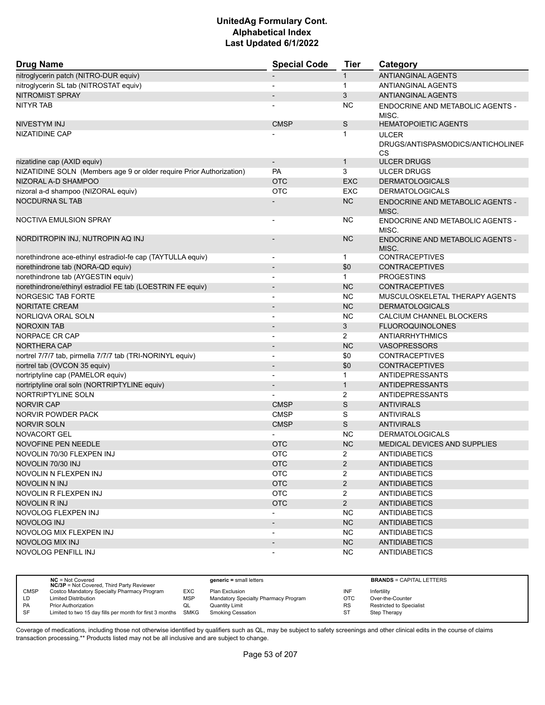| <b>ANTIANGINAL AGENTS</b><br>$\mathbf{1}$<br>$\mathbf 1$<br>ANTIANGINAL AGENTS<br>3<br>ANTIANGINAL AGENTS<br><b>NITYR TAB</b><br><b>NC</b><br>ENDOCRINE AND METABOLIC AGENTS -<br>MISC.<br>S<br><b>HEMATOPOIETIC AGENTS</b><br>NIVESTYM INJ<br><b>CMSP</b><br>NIZATIDINE CAP<br>$\mathbf 1$<br><b>ULCER</b><br>DRUGS/ANTISPASMODICS/ANTICHOLINEF<br>CS<br>nizatidine cap (AXID equiv)<br><b>ULCER DRUGS</b><br>$\mathbf{1}$<br>$\overline{\phantom{a}}$<br>NIZATIDINE SOLN (Members age 9 or older require Prior Authorization)<br><b>PA</b><br>3<br><b>ULCER DRUGS</b><br><b>OTC</b><br><b>EXC</b><br><b>DERMATOLOGICALS</b><br><b>OTC</b><br>nizoral a-d shampoo (NIZORAL equiv)<br>EXC<br><b>DERMATOLOGICALS</b><br><b>NOCDURNA SL TAB</b><br><b>NC</b><br><b>ENDOCRINE AND METABOLIC AGENTS -</b><br>MISC.<br><b>NOCTIVA EMULSION SPRAY</b><br><b>NC</b><br>ENDOCRINE AND METABOLIC AGENTS -<br>$\overline{\phantom{a}}$<br>MISC.<br><b>NC</b><br><b>ENDOCRINE AND METABOLIC AGENTS -</b><br>MISC.<br><b>CONTRACEPTIVES</b><br>$\mathbf{1}$<br>$\overline{\phantom{a}}$<br>norethindrone tab (NORA-QD equiv)<br>\$0<br><b>CONTRACEPTIVES</b><br>norethindrone tab (AYGESTIN equiv)<br><b>PROGESTINS</b><br>$\mathbf{1}$<br>$\blacksquare$<br>norethindrone/ethinyl estradiol FE tab (LOESTRIN FE equiv)<br><b>NC</b><br><b>CONTRACEPTIVES</b><br>$\overline{\phantom{a}}$<br><b>NC</b><br>MUSCULOSKELETAL THERAPY AGENTS<br><b>NORITATE CREAM</b><br><b>NC</b><br><b>DERMATOLOGICALS</b><br>NORLIQVA ORAL SOLN<br><b>NC</b><br>CALCIUM CHANNEL BLOCKERS<br>$\overline{\phantom{a}}$<br>3<br><b>NOROXIN TAB</b><br><b>FLUOROQUINOLONES</b><br>2<br>NORPACE CR CAP<br>ANTIARRHYTHMICS<br><b>NORTHERA CAP</b><br><b>NC</b><br><b>VASOPRESSORS</b><br>$\blacksquare$<br>nortrel 7/7/7 tab, pirmella 7/7/7 tab (TRI-NORINYL equiv)<br>\$0<br><b>CONTRACEPTIVES</b><br>$\overline{\phantom{a}}$<br>nortrel tab (OVCON 35 equiv)<br>\$0<br><b>CONTRACEPTIVES</b><br>$\overline{\phantom{a}}$<br>nortriptyline cap (PAMELOR equiv)<br>$\mathbf{1}$<br>ANTIDEPRESSANTS<br>$\blacksquare$<br>$\mathbf{1}$<br>nortriptyline oral soln (NORTRIPTYLINE equiv)<br>ANTIDEPRESSANTS<br>NORTRIPTYLINE SOLN<br>2<br>ANTIDEPRESSANTS<br>$\mathbb S$<br><b>ANTIVIRALS</b><br><b>NORVIR CAP</b><br><b>CMSP</b><br>S<br><b>CMSP</b><br>NORVIR POWDER PACK<br><b>ANTIVIRALS</b><br>S<br><b>ANTIVIRALS</b><br><b>NORVIR SOLN</b><br><b>CMSP</b><br>NOVACORT GEL<br><b>NC</b><br><b>DERMATOLOGICALS</b><br><b>NC</b><br>MEDICAL DEVICES AND SUPPLIES<br><b>NOVOFINE PEN NEEDLE</b><br><b>OTC</b><br><b>OTC</b><br>2<br>NOVOLIN 70/30 FLEXPEN INJ<br><b>ANTIDIABETICS</b><br><b>OTC</b><br>$\overline{2}$<br>NOVOLIN 70/30 INJ<br><b>ANTIDIABETICS</b><br><b>OTC</b><br>NOVOLIN N FLEXPEN INJ<br>$\overline{2}$<br><b>ANTIDIABETICS</b><br><b>OTC</b><br>$\overline{2}$<br>NOVOLIN N INJ<br><b>ANTIDIABETICS</b><br><b>OTC</b><br>$\overline{2}$<br>NOVOLIN R FLEXPEN INJ<br><b>ANTIDIABETICS</b><br><b>OTC</b><br>$\overline{2}$<br>NOVOLIN R INJ<br><b>ANTIDIABETICS</b><br><b>NC</b><br>NOVOLOG FLEXPEN INJ<br><b>ANTIDIABETICS</b><br>$\overline{\phantom{a}}$<br>NC<br>NOVOLOG INJ<br><b>ANTIDIABETICS</b><br>NOVOLOG MIX FLEXPEN INJ<br><b>NC</b><br><b>ANTIDIABETICS</b><br>$\overline{\phantom{a}}$<br><b>NOVOLOG MIX INJ</b><br>NC<br><b>ANTIDIABETICS</b><br>$\overline{\phantom{a}}$<br>NOVOLOG PENFILL INJ<br>NC.<br><b>ANTIDIABETICS</b><br>$\overline{a}$ | <b>Drug Name</b>                                            | <b>Special Code</b> | <b>Tier</b> | Category |
|---------------------------------------------------------------------------------------------------------------------------------------------------------------------------------------------------------------------------------------------------------------------------------------------------------------------------------------------------------------------------------------------------------------------------------------------------------------------------------------------------------------------------------------------------------------------------------------------------------------------------------------------------------------------------------------------------------------------------------------------------------------------------------------------------------------------------------------------------------------------------------------------------------------------------------------------------------------------------------------------------------------------------------------------------------------------------------------------------------------------------------------------------------------------------------------------------------------------------------------------------------------------------------------------------------------------------------------------------------------------------------------------------------------------------------------------------------------------------------------------------------------------------------------------------------------------------------------------------------------------------------------------------------------------------------------------------------------------------------------------------------------------------------------------------------------------------------------------------------------------------------------------------------------------------------------------------------------------------------------------------------------------------------------------------------------------------------------------------------------------------------------------------------------------------------------------------------------------------------------------------------------------------------------------------------------------------------------------------------------------------------------------------------------------------------------------------------------------------------------------------------------------------------------------------------------------------------------------------------------------------------------------------------------------------------------------------------------------------------------------------------------------------------------------------------------------------------------------------------------------------------------------------------------------------------------------------------------------------------------------------------------------------------------------------------------------------------------------------------------------------------------------------------------------------------------------------------------------------------------------------------------------------------------------------------------------------------------------------------------------------------------------------------------------------------------------------|-------------------------------------------------------------|---------------------|-------------|----------|
|                                                                                                                                                                                                                                                                                                                                                                                                                                                                                                                                                                                                                                                                                                                                                                                                                                                                                                                                                                                                                                                                                                                                                                                                                                                                                                                                                                                                                                                                                                                                                                                                                                                                                                                                                                                                                                                                                                                                                                                                                                                                                                                                                                                                                                                                                                                                                                                                                                                                                                                                                                                                                                                                                                                                                                                                                                                                                                                                                                                                                                                                                                                                                                                                                                                                                                                                                                                                                                                   | nitroglycerin patch (NITRO-DUR equiv)                       |                     |             |          |
|                                                                                                                                                                                                                                                                                                                                                                                                                                                                                                                                                                                                                                                                                                                                                                                                                                                                                                                                                                                                                                                                                                                                                                                                                                                                                                                                                                                                                                                                                                                                                                                                                                                                                                                                                                                                                                                                                                                                                                                                                                                                                                                                                                                                                                                                                                                                                                                                                                                                                                                                                                                                                                                                                                                                                                                                                                                                                                                                                                                                                                                                                                                                                                                                                                                                                                                                                                                                                                                   | nitroglycerin SL tab (NITROSTAT equiv)                      |                     |             |          |
|                                                                                                                                                                                                                                                                                                                                                                                                                                                                                                                                                                                                                                                                                                                                                                                                                                                                                                                                                                                                                                                                                                                                                                                                                                                                                                                                                                                                                                                                                                                                                                                                                                                                                                                                                                                                                                                                                                                                                                                                                                                                                                                                                                                                                                                                                                                                                                                                                                                                                                                                                                                                                                                                                                                                                                                                                                                                                                                                                                                                                                                                                                                                                                                                                                                                                                                                                                                                                                                   | <b>NITROMIST SPRAY</b>                                      |                     |             |          |
|                                                                                                                                                                                                                                                                                                                                                                                                                                                                                                                                                                                                                                                                                                                                                                                                                                                                                                                                                                                                                                                                                                                                                                                                                                                                                                                                                                                                                                                                                                                                                                                                                                                                                                                                                                                                                                                                                                                                                                                                                                                                                                                                                                                                                                                                                                                                                                                                                                                                                                                                                                                                                                                                                                                                                                                                                                                                                                                                                                                                                                                                                                                                                                                                                                                                                                                                                                                                                                                   |                                                             |                     |             |          |
|                                                                                                                                                                                                                                                                                                                                                                                                                                                                                                                                                                                                                                                                                                                                                                                                                                                                                                                                                                                                                                                                                                                                                                                                                                                                                                                                                                                                                                                                                                                                                                                                                                                                                                                                                                                                                                                                                                                                                                                                                                                                                                                                                                                                                                                                                                                                                                                                                                                                                                                                                                                                                                                                                                                                                                                                                                                                                                                                                                                                                                                                                                                                                                                                                                                                                                                                                                                                                                                   |                                                             |                     |             |          |
|                                                                                                                                                                                                                                                                                                                                                                                                                                                                                                                                                                                                                                                                                                                                                                                                                                                                                                                                                                                                                                                                                                                                                                                                                                                                                                                                                                                                                                                                                                                                                                                                                                                                                                                                                                                                                                                                                                                                                                                                                                                                                                                                                                                                                                                                                                                                                                                                                                                                                                                                                                                                                                                                                                                                                                                                                                                                                                                                                                                                                                                                                                                                                                                                                                                                                                                                                                                                                                                   |                                                             |                     |             |          |
|                                                                                                                                                                                                                                                                                                                                                                                                                                                                                                                                                                                                                                                                                                                                                                                                                                                                                                                                                                                                                                                                                                                                                                                                                                                                                                                                                                                                                                                                                                                                                                                                                                                                                                                                                                                                                                                                                                                                                                                                                                                                                                                                                                                                                                                                                                                                                                                                                                                                                                                                                                                                                                                                                                                                                                                                                                                                                                                                                                                                                                                                                                                                                                                                                                                                                                                                                                                                                                                   |                                                             |                     |             |          |
|                                                                                                                                                                                                                                                                                                                                                                                                                                                                                                                                                                                                                                                                                                                                                                                                                                                                                                                                                                                                                                                                                                                                                                                                                                                                                                                                                                                                                                                                                                                                                                                                                                                                                                                                                                                                                                                                                                                                                                                                                                                                                                                                                                                                                                                                                                                                                                                                                                                                                                                                                                                                                                                                                                                                                                                                                                                                                                                                                                                                                                                                                                                                                                                                                                                                                                                                                                                                                                                   |                                                             |                     |             |          |
|                                                                                                                                                                                                                                                                                                                                                                                                                                                                                                                                                                                                                                                                                                                                                                                                                                                                                                                                                                                                                                                                                                                                                                                                                                                                                                                                                                                                                                                                                                                                                                                                                                                                                                                                                                                                                                                                                                                                                                                                                                                                                                                                                                                                                                                                                                                                                                                                                                                                                                                                                                                                                                                                                                                                                                                                                                                                                                                                                                                                                                                                                                                                                                                                                                                                                                                                                                                                                                                   |                                                             |                     |             |          |
|                                                                                                                                                                                                                                                                                                                                                                                                                                                                                                                                                                                                                                                                                                                                                                                                                                                                                                                                                                                                                                                                                                                                                                                                                                                                                                                                                                                                                                                                                                                                                                                                                                                                                                                                                                                                                                                                                                                                                                                                                                                                                                                                                                                                                                                                                                                                                                                                                                                                                                                                                                                                                                                                                                                                                                                                                                                                                                                                                                                                                                                                                                                                                                                                                                                                                                                                                                                                                                                   | NIZORAL A-D SHAMPOO                                         |                     |             |          |
|                                                                                                                                                                                                                                                                                                                                                                                                                                                                                                                                                                                                                                                                                                                                                                                                                                                                                                                                                                                                                                                                                                                                                                                                                                                                                                                                                                                                                                                                                                                                                                                                                                                                                                                                                                                                                                                                                                                                                                                                                                                                                                                                                                                                                                                                                                                                                                                                                                                                                                                                                                                                                                                                                                                                                                                                                                                                                                                                                                                                                                                                                                                                                                                                                                                                                                                                                                                                                                                   |                                                             |                     |             |          |
|                                                                                                                                                                                                                                                                                                                                                                                                                                                                                                                                                                                                                                                                                                                                                                                                                                                                                                                                                                                                                                                                                                                                                                                                                                                                                                                                                                                                                                                                                                                                                                                                                                                                                                                                                                                                                                                                                                                                                                                                                                                                                                                                                                                                                                                                                                                                                                                                                                                                                                                                                                                                                                                                                                                                                                                                                                                                                                                                                                                                                                                                                                                                                                                                                                                                                                                                                                                                                                                   |                                                             |                     |             |          |
|                                                                                                                                                                                                                                                                                                                                                                                                                                                                                                                                                                                                                                                                                                                                                                                                                                                                                                                                                                                                                                                                                                                                                                                                                                                                                                                                                                                                                                                                                                                                                                                                                                                                                                                                                                                                                                                                                                                                                                                                                                                                                                                                                                                                                                                                                                                                                                                                                                                                                                                                                                                                                                                                                                                                                                                                                                                                                                                                                                                                                                                                                                                                                                                                                                                                                                                                                                                                                                                   |                                                             |                     |             |          |
|                                                                                                                                                                                                                                                                                                                                                                                                                                                                                                                                                                                                                                                                                                                                                                                                                                                                                                                                                                                                                                                                                                                                                                                                                                                                                                                                                                                                                                                                                                                                                                                                                                                                                                                                                                                                                                                                                                                                                                                                                                                                                                                                                                                                                                                                                                                                                                                                                                                                                                                                                                                                                                                                                                                                                                                                                                                                                                                                                                                                                                                                                                                                                                                                                                                                                                                                                                                                                                                   |                                                             |                     |             |          |
|                                                                                                                                                                                                                                                                                                                                                                                                                                                                                                                                                                                                                                                                                                                                                                                                                                                                                                                                                                                                                                                                                                                                                                                                                                                                                                                                                                                                                                                                                                                                                                                                                                                                                                                                                                                                                                                                                                                                                                                                                                                                                                                                                                                                                                                                                                                                                                                                                                                                                                                                                                                                                                                                                                                                                                                                                                                                                                                                                                                                                                                                                                                                                                                                                                                                                                                                                                                                                                                   | NORDITROPIN INJ, NUTROPIN AQ INJ                            |                     |             |          |
|                                                                                                                                                                                                                                                                                                                                                                                                                                                                                                                                                                                                                                                                                                                                                                                                                                                                                                                                                                                                                                                                                                                                                                                                                                                                                                                                                                                                                                                                                                                                                                                                                                                                                                                                                                                                                                                                                                                                                                                                                                                                                                                                                                                                                                                                                                                                                                                                                                                                                                                                                                                                                                                                                                                                                                                                                                                                                                                                                                                                                                                                                                                                                                                                                                                                                                                                                                                                                                                   | norethindrone ace-ethinyl estradiol-fe cap (TAYTULLA equiv) |                     |             |          |
|                                                                                                                                                                                                                                                                                                                                                                                                                                                                                                                                                                                                                                                                                                                                                                                                                                                                                                                                                                                                                                                                                                                                                                                                                                                                                                                                                                                                                                                                                                                                                                                                                                                                                                                                                                                                                                                                                                                                                                                                                                                                                                                                                                                                                                                                                                                                                                                                                                                                                                                                                                                                                                                                                                                                                                                                                                                                                                                                                                                                                                                                                                                                                                                                                                                                                                                                                                                                                                                   |                                                             |                     |             |          |
|                                                                                                                                                                                                                                                                                                                                                                                                                                                                                                                                                                                                                                                                                                                                                                                                                                                                                                                                                                                                                                                                                                                                                                                                                                                                                                                                                                                                                                                                                                                                                                                                                                                                                                                                                                                                                                                                                                                                                                                                                                                                                                                                                                                                                                                                                                                                                                                                                                                                                                                                                                                                                                                                                                                                                                                                                                                                                                                                                                                                                                                                                                                                                                                                                                                                                                                                                                                                                                                   |                                                             |                     |             |          |
|                                                                                                                                                                                                                                                                                                                                                                                                                                                                                                                                                                                                                                                                                                                                                                                                                                                                                                                                                                                                                                                                                                                                                                                                                                                                                                                                                                                                                                                                                                                                                                                                                                                                                                                                                                                                                                                                                                                                                                                                                                                                                                                                                                                                                                                                                                                                                                                                                                                                                                                                                                                                                                                                                                                                                                                                                                                                                                                                                                                                                                                                                                                                                                                                                                                                                                                                                                                                                                                   |                                                             |                     |             |          |
|                                                                                                                                                                                                                                                                                                                                                                                                                                                                                                                                                                                                                                                                                                                                                                                                                                                                                                                                                                                                                                                                                                                                                                                                                                                                                                                                                                                                                                                                                                                                                                                                                                                                                                                                                                                                                                                                                                                                                                                                                                                                                                                                                                                                                                                                                                                                                                                                                                                                                                                                                                                                                                                                                                                                                                                                                                                                                                                                                                                                                                                                                                                                                                                                                                                                                                                                                                                                                                                   | <b>NORGESIC TAB FORTE</b>                                   |                     |             |          |
|                                                                                                                                                                                                                                                                                                                                                                                                                                                                                                                                                                                                                                                                                                                                                                                                                                                                                                                                                                                                                                                                                                                                                                                                                                                                                                                                                                                                                                                                                                                                                                                                                                                                                                                                                                                                                                                                                                                                                                                                                                                                                                                                                                                                                                                                                                                                                                                                                                                                                                                                                                                                                                                                                                                                                                                                                                                                                                                                                                                                                                                                                                                                                                                                                                                                                                                                                                                                                                                   |                                                             |                     |             |          |
|                                                                                                                                                                                                                                                                                                                                                                                                                                                                                                                                                                                                                                                                                                                                                                                                                                                                                                                                                                                                                                                                                                                                                                                                                                                                                                                                                                                                                                                                                                                                                                                                                                                                                                                                                                                                                                                                                                                                                                                                                                                                                                                                                                                                                                                                                                                                                                                                                                                                                                                                                                                                                                                                                                                                                                                                                                                                                                                                                                                                                                                                                                                                                                                                                                                                                                                                                                                                                                                   |                                                             |                     |             |          |
|                                                                                                                                                                                                                                                                                                                                                                                                                                                                                                                                                                                                                                                                                                                                                                                                                                                                                                                                                                                                                                                                                                                                                                                                                                                                                                                                                                                                                                                                                                                                                                                                                                                                                                                                                                                                                                                                                                                                                                                                                                                                                                                                                                                                                                                                                                                                                                                                                                                                                                                                                                                                                                                                                                                                                                                                                                                                                                                                                                                                                                                                                                                                                                                                                                                                                                                                                                                                                                                   |                                                             |                     |             |          |
|                                                                                                                                                                                                                                                                                                                                                                                                                                                                                                                                                                                                                                                                                                                                                                                                                                                                                                                                                                                                                                                                                                                                                                                                                                                                                                                                                                                                                                                                                                                                                                                                                                                                                                                                                                                                                                                                                                                                                                                                                                                                                                                                                                                                                                                                                                                                                                                                                                                                                                                                                                                                                                                                                                                                                                                                                                                                                                                                                                                                                                                                                                                                                                                                                                                                                                                                                                                                                                                   |                                                             |                     |             |          |
|                                                                                                                                                                                                                                                                                                                                                                                                                                                                                                                                                                                                                                                                                                                                                                                                                                                                                                                                                                                                                                                                                                                                                                                                                                                                                                                                                                                                                                                                                                                                                                                                                                                                                                                                                                                                                                                                                                                                                                                                                                                                                                                                                                                                                                                                                                                                                                                                                                                                                                                                                                                                                                                                                                                                                                                                                                                                                                                                                                                                                                                                                                                                                                                                                                                                                                                                                                                                                                                   |                                                             |                     |             |          |
|                                                                                                                                                                                                                                                                                                                                                                                                                                                                                                                                                                                                                                                                                                                                                                                                                                                                                                                                                                                                                                                                                                                                                                                                                                                                                                                                                                                                                                                                                                                                                                                                                                                                                                                                                                                                                                                                                                                                                                                                                                                                                                                                                                                                                                                                                                                                                                                                                                                                                                                                                                                                                                                                                                                                                                                                                                                                                                                                                                                                                                                                                                                                                                                                                                                                                                                                                                                                                                                   |                                                             |                     |             |          |
|                                                                                                                                                                                                                                                                                                                                                                                                                                                                                                                                                                                                                                                                                                                                                                                                                                                                                                                                                                                                                                                                                                                                                                                                                                                                                                                                                                                                                                                                                                                                                                                                                                                                                                                                                                                                                                                                                                                                                                                                                                                                                                                                                                                                                                                                                                                                                                                                                                                                                                                                                                                                                                                                                                                                                                                                                                                                                                                                                                                                                                                                                                                                                                                                                                                                                                                                                                                                                                                   |                                                             |                     |             |          |
|                                                                                                                                                                                                                                                                                                                                                                                                                                                                                                                                                                                                                                                                                                                                                                                                                                                                                                                                                                                                                                                                                                                                                                                                                                                                                                                                                                                                                                                                                                                                                                                                                                                                                                                                                                                                                                                                                                                                                                                                                                                                                                                                                                                                                                                                                                                                                                                                                                                                                                                                                                                                                                                                                                                                                                                                                                                                                                                                                                                                                                                                                                                                                                                                                                                                                                                                                                                                                                                   |                                                             |                     |             |          |
|                                                                                                                                                                                                                                                                                                                                                                                                                                                                                                                                                                                                                                                                                                                                                                                                                                                                                                                                                                                                                                                                                                                                                                                                                                                                                                                                                                                                                                                                                                                                                                                                                                                                                                                                                                                                                                                                                                                                                                                                                                                                                                                                                                                                                                                                                                                                                                                                                                                                                                                                                                                                                                                                                                                                                                                                                                                                                                                                                                                                                                                                                                                                                                                                                                                                                                                                                                                                                                                   |                                                             |                     |             |          |
|                                                                                                                                                                                                                                                                                                                                                                                                                                                                                                                                                                                                                                                                                                                                                                                                                                                                                                                                                                                                                                                                                                                                                                                                                                                                                                                                                                                                                                                                                                                                                                                                                                                                                                                                                                                                                                                                                                                                                                                                                                                                                                                                                                                                                                                                                                                                                                                                                                                                                                                                                                                                                                                                                                                                                                                                                                                                                                                                                                                                                                                                                                                                                                                                                                                                                                                                                                                                                                                   |                                                             |                     |             |          |
|                                                                                                                                                                                                                                                                                                                                                                                                                                                                                                                                                                                                                                                                                                                                                                                                                                                                                                                                                                                                                                                                                                                                                                                                                                                                                                                                                                                                                                                                                                                                                                                                                                                                                                                                                                                                                                                                                                                                                                                                                                                                                                                                                                                                                                                                                                                                                                                                                                                                                                                                                                                                                                                                                                                                                                                                                                                                                                                                                                                                                                                                                                                                                                                                                                                                                                                                                                                                                                                   |                                                             |                     |             |          |
|                                                                                                                                                                                                                                                                                                                                                                                                                                                                                                                                                                                                                                                                                                                                                                                                                                                                                                                                                                                                                                                                                                                                                                                                                                                                                                                                                                                                                                                                                                                                                                                                                                                                                                                                                                                                                                                                                                                                                                                                                                                                                                                                                                                                                                                                                                                                                                                                                                                                                                                                                                                                                                                                                                                                                                                                                                                                                                                                                                                                                                                                                                                                                                                                                                                                                                                                                                                                                                                   |                                                             |                     |             |          |
|                                                                                                                                                                                                                                                                                                                                                                                                                                                                                                                                                                                                                                                                                                                                                                                                                                                                                                                                                                                                                                                                                                                                                                                                                                                                                                                                                                                                                                                                                                                                                                                                                                                                                                                                                                                                                                                                                                                                                                                                                                                                                                                                                                                                                                                                                                                                                                                                                                                                                                                                                                                                                                                                                                                                                                                                                                                                                                                                                                                                                                                                                                                                                                                                                                                                                                                                                                                                                                                   |                                                             |                     |             |          |
|                                                                                                                                                                                                                                                                                                                                                                                                                                                                                                                                                                                                                                                                                                                                                                                                                                                                                                                                                                                                                                                                                                                                                                                                                                                                                                                                                                                                                                                                                                                                                                                                                                                                                                                                                                                                                                                                                                                                                                                                                                                                                                                                                                                                                                                                                                                                                                                                                                                                                                                                                                                                                                                                                                                                                                                                                                                                                                                                                                                                                                                                                                                                                                                                                                                                                                                                                                                                                                                   |                                                             |                     |             |          |
|                                                                                                                                                                                                                                                                                                                                                                                                                                                                                                                                                                                                                                                                                                                                                                                                                                                                                                                                                                                                                                                                                                                                                                                                                                                                                                                                                                                                                                                                                                                                                                                                                                                                                                                                                                                                                                                                                                                                                                                                                                                                                                                                                                                                                                                                                                                                                                                                                                                                                                                                                                                                                                                                                                                                                                                                                                                                                                                                                                                                                                                                                                                                                                                                                                                                                                                                                                                                                                                   |                                                             |                     |             |          |
|                                                                                                                                                                                                                                                                                                                                                                                                                                                                                                                                                                                                                                                                                                                                                                                                                                                                                                                                                                                                                                                                                                                                                                                                                                                                                                                                                                                                                                                                                                                                                                                                                                                                                                                                                                                                                                                                                                                                                                                                                                                                                                                                                                                                                                                                                                                                                                                                                                                                                                                                                                                                                                                                                                                                                                                                                                                                                                                                                                                                                                                                                                                                                                                                                                                                                                                                                                                                                                                   |                                                             |                     |             |          |
|                                                                                                                                                                                                                                                                                                                                                                                                                                                                                                                                                                                                                                                                                                                                                                                                                                                                                                                                                                                                                                                                                                                                                                                                                                                                                                                                                                                                                                                                                                                                                                                                                                                                                                                                                                                                                                                                                                                                                                                                                                                                                                                                                                                                                                                                                                                                                                                                                                                                                                                                                                                                                                                                                                                                                                                                                                                                                                                                                                                                                                                                                                                                                                                                                                                                                                                                                                                                                                                   |                                                             |                     |             |          |
|                                                                                                                                                                                                                                                                                                                                                                                                                                                                                                                                                                                                                                                                                                                                                                                                                                                                                                                                                                                                                                                                                                                                                                                                                                                                                                                                                                                                                                                                                                                                                                                                                                                                                                                                                                                                                                                                                                                                                                                                                                                                                                                                                                                                                                                                                                                                                                                                                                                                                                                                                                                                                                                                                                                                                                                                                                                                                                                                                                                                                                                                                                                                                                                                                                                                                                                                                                                                                                                   |                                                             |                     |             |          |
|                                                                                                                                                                                                                                                                                                                                                                                                                                                                                                                                                                                                                                                                                                                                                                                                                                                                                                                                                                                                                                                                                                                                                                                                                                                                                                                                                                                                                                                                                                                                                                                                                                                                                                                                                                                                                                                                                                                                                                                                                                                                                                                                                                                                                                                                                                                                                                                                                                                                                                                                                                                                                                                                                                                                                                                                                                                                                                                                                                                                                                                                                                                                                                                                                                                                                                                                                                                                                                                   |                                                             |                     |             |          |
|                                                                                                                                                                                                                                                                                                                                                                                                                                                                                                                                                                                                                                                                                                                                                                                                                                                                                                                                                                                                                                                                                                                                                                                                                                                                                                                                                                                                                                                                                                                                                                                                                                                                                                                                                                                                                                                                                                                                                                                                                                                                                                                                                                                                                                                                                                                                                                                                                                                                                                                                                                                                                                                                                                                                                                                                                                                                                                                                                                                                                                                                                                                                                                                                                                                                                                                                                                                                                                                   |                                                             |                     |             |          |
|                                                                                                                                                                                                                                                                                                                                                                                                                                                                                                                                                                                                                                                                                                                                                                                                                                                                                                                                                                                                                                                                                                                                                                                                                                                                                                                                                                                                                                                                                                                                                                                                                                                                                                                                                                                                                                                                                                                                                                                                                                                                                                                                                                                                                                                                                                                                                                                                                                                                                                                                                                                                                                                                                                                                                                                                                                                                                                                                                                                                                                                                                                                                                                                                                                                                                                                                                                                                                                                   |                                                             |                     |             |          |
|                                                                                                                                                                                                                                                                                                                                                                                                                                                                                                                                                                                                                                                                                                                                                                                                                                                                                                                                                                                                                                                                                                                                                                                                                                                                                                                                                                                                                                                                                                                                                                                                                                                                                                                                                                                                                                                                                                                                                                                                                                                                                                                                                                                                                                                                                                                                                                                                                                                                                                                                                                                                                                                                                                                                                                                                                                                                                                                                                                                                                                                                                                                                                                                                                                                                                                                                                                                                                                                   |                                                             |                     |             |          |
|                                                                                                                                                                                                                                                                                                                                                                                                                                                                                                                                                                                                                                                                                                                                                                                                                                                                                                                                                                                                                                                                                                                                                                                                                                                                                                                                                                                                                                                                                                                                                                                                                                                                                                                                                                                                                                                                                                                                                                                                                                                                                                                                                                                                                                                                                                                                                                                                                                                                                                                                                                                                                                                                                                                                                                                                                                                                                                                                                                                                                                                                                                                                                                                                                                                                                                                                                                                                                                                   |                                                             |                     |             |          |
|                                                                                                                                                                                                                                                                                                                                                                                                                                                                                                                                                                                                                                                                                                                                                                                                                                                                                                                                                                                                                                                                                                                                                                                                                                                                                                                                                                                                                                                                                                                                                                                                                                                                                                                                                                                                                                                                                                                                                                                                                                                                                                                                                                                                                                                                                                                                                                                                                                                                                                                                                                                                                                                                                                                                                                                                                                                                                                                                                                                                                                                                                                                                                                                                                                                                                                                                                                                                                                                   |                                                             |                     |             |          |
|                                                                                                                                                                                                                                                                                                                                                                                                                                                                                                                                                                                                                                                                                                                                                                                                                                                                                                                                                                                                                                                                                                                                                                                                                                                                                                                                                                                                                                                                                                                                                                                                                                                                                                                                                                                                                                                                                                                                                                                                                                                                                                                                                                                                                                                                                                                                                                                                                                                                                                                                                                                                                                                                                                                                                                                                                                                                                                                                                                                                                                                                                                                                                                                                                                                                                                                                                                                                                                                   |                                                             |                     |             |          |
|                                                                                                                                                                                                                                                                                                                                                                                                                                                                                                                                                                                                                                                                                                                                                                                                                                                                                                                                                                                                                                                                                                                                                                                                                                                                                                                                                                                                                                                                                                                                                                                                                                                                                                                                                                                                                                                                                                                                                                                                                                                                                                                                                                                                                                                                                                                                                                                                                                                                                                                                                                                                                                                                                                                                                                                                                                                                                                                                                                                                                                                                                                                                                                                                                                                                                                                                                                                                                                                   |                                                             |                     |             |          |

|             | $NC = Not Covered$<br><b>NC/3P</b> = Not Covered, Third Party Reviewer |            | $generic = small letters$            |           | <b>BRANDS = CAPITAL LETTERS</b> |
|-------------|------------------------------------------------------------------------|------------|--------------------------------------|-----------|---------------------------------|
| <b>CMSP</b> | Costco Mandatory Specialty Pharmacy Program                            | EXC        | Plan Exclusion                       | INF       | Infertility                     |
| LD          | <b>Limited Distribution</b>                                            | <b>MSP</b> | Mandatory Specialty Pharmacy Program | OTC       | Over-the-Counter                |
| <b>PA</b>   | <b>Prior Authorization</b>                                             | QL         | Quantity Limit                       | <b>RS</b> | <b>Restricted to Specialist</b> |
| SF          | Limited to two 15 day fills per month for first 3 months SMKG          |            | Smoking Cessation                    |           | Step Therapy                    |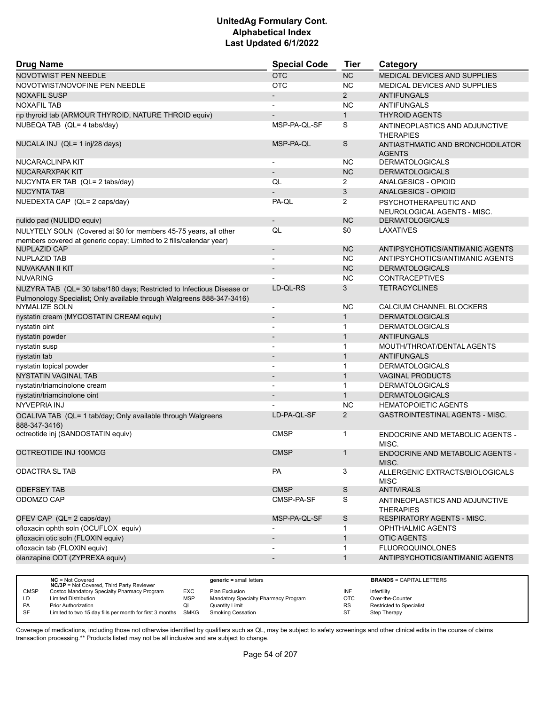| <b>Drug Name</b>                                                                                                                                | <b>Special Code</b>      | <b>Tier</b>    | Category                                             |
|-------------------------------------------------------------------------------------------------------------------------------------------------|--------------------------|----------------|------------------------------------------------------|
| NOVOTWIST PEN NEEDLE                                                                                                                            | <b>OTC</b>               | <b>NC</b>      | MEDICAL DEVICES AND SUPPLIES                         |
| NOVOTWIST/NOVOFINE PEN NEEDLE                                                                                                                   | <b>OTC</b>               | NC.            | MEDICAL DEVICES AND SUPPLIES                         |
| <b>NOXAFIL SUSP</b>                                                                                                                             |                          | $\overline{2}$ | <b>ANTIFUNGALS</b>                                   |
| <b>NOXAFIL TAB</b>                                                                                                                              |                          | <b>NC</b>      | ANTIFUNGALS                                          |
| np thyroid tab (ARMOUR THYROID, NATURE THROID equiv)                                                                                            | $\blacksquare$           | $\mathbf{1}$   | <b>THYROID AGENTS</b>                                |
| NUBEQA TAB (QL= 4 tabs/day)                                                                                                                     | MSP-PA-QL-SF             | S              | ANTINEOPLASTICS AND ADJUNCTIVE<br><b>THERAPIES</b>   |
| NUCALA INJ (QL= 1 inj/28 days)                                                                                                                  | MSP-PA-QL                | S              | ANTIASTHMATIC AND BRONCHODILATOR<br><b>AGENTS</b>    |
| NUCARACLINPA KIT                                                                                                                                |                          | <b>NC</b>      | <b>DERMATOLOGICALS</b>                               |
| <b>NUCARARXPAK KIT</b>                                                                                                                          | $\overline{\phantom{a}}$ | <b>NC</b>      | <b>DERMATOLOGICALS</b>                               |
| NUCYNTA ER TAB (QL= 2 tabs/day)                                                                                                                 | QL                       | $\overline{2}$ | ANALGESICS - OPIOID                                  |
| <b>NUCYNTA TAB</b>                                                                                                                              |                          | 3              | ANALGESICS - OPIOID                                  |
| NUEDEXTA CAP (QL= 2 caps/day)                                                                                                                   | PA-QL                    | $\overline{2}$ | PSYCHOTHERAPEUTIC AND<br>NEUROLOGICAL AGENTS - MISC. |
| nulido pad (NULIDO equiv)                                                                                                                       | $\overline{\phantom{a}}$ | <b>NC</b>      | <b>DERMATOLOGICALS</b>                               |
| NULYTELY SOLN (Covered at \$0 for members 45-75 years, all other<br>members covered at generic copay; Limited to 2 fills/calendar year)         | QL                       | \$0            | LAXATIVES                                            |
| <b>NUPLAZID CAP</b>                                                                                                                             | $\overline{\phantom{a}}$ | <b>NC</b>      | ANTIPSYCHOTICS/ANTIMANIC AGENTS                      |
| <b>NUPLAZID TAB</b>                                                                                                                             |                          | <b>NC</b>      | ANTIPSYCHOTICS/ANTIMANIC AGENTS                      |
| NUVAKAAN II KIT                                                                                                                                 |                          | <b>NC</b>      | <b>DERMATOLOGICALS</b>                               |
| <b>NUVARING</b>                                                                                                                                 |                          | <b>NC</b>      | <b>CONTRACEPTIVES</b>                                |
| NUZYRA TAB (QL= 30 tabs/180 days; Restricted to Infectious Disease or<br>Pulmonology Specialist; Only available through Walgreens 888-347-3416) | LD-QL-RS                 | 3              | <b>TETRACYCLINES</b>                                 |
| <b>NYMALIZE SOLN</b>                                                                                                                            | $\overline{\phantom{a}}$ | <b>NC</b>      | CALCIUM CHANNEL BLOCKERS                             |
| nystatin cream (MYCOSTATIN CREAM equiv)                                                                                                         | $\overline{\phantom{a}}$ | $\mathbf{1}$   | <b>DERMATOLOGICALS</b>                               |
| nystatin oint                                                                                                                                   | $\blacksquare$           | $\mathbf{1}$   | <b>DERMATOLOGICALS</b>                               |
| nystatin powder                                                                                                                                 |                          | $\mathbf{1}$   | <b>ANTIFUNGALS</b>                                   |
| nystatin susp                                                                                                                                   |                          | $\mathbf{1}$   | MOUTH/THROAT/DENTAL AGENTS                           |
| nystatin tab                                                                                                                                    | $\blacksquare$           | $\mathbf{1}$   | <b>ANTIFUNGALS</b>                                   |
| nystatin topical powder                                                                                                                         |                          | $\mathbf{1}$   | <b>DERMATOLOGICALS</b>                               |
| <b>NYSTATIN VAGINAL TAB</b>                                                                                                                     |                          | $\mathbf{1}$   | <b>VAGINAL PRODUCTS</b>                              |
| nystatin/triamcinolone cream                                                                                                                    |                          | $\mathbf{1}$   | <b>DERMATOLOGICALS</b>                               |
| nystatin/triamcinolone oint                                                                                                                     |                          | $\mathbf{1}$   | <b>DERMATOLOGICALS</b>                               |
| <b>NYVEPRIA INJ</b>                                                                                                                             |                          | <b>NC</b>      | <b>HEMATOPOIETIC AGENTS</b>                          |
| OCALIVA TAB (QL= 1 tab/day; Only available through Walgreens<br>888-347-3416)                                                                   | LD-PA-QL-SF              | $\overline{2}$ | GASTROINTESTINAL AGENTS - MISC.                      |
| octreotide inj (SANDOSTATIN equiv)                                                                                                              | <b>CMSP</b>              | $\mathbf{1}$   | ENDOCRINE AND METABOLIC AGENTS -<br>MISC.            |
| OCTREOTIDE INJ 100MCG                                                                                                                           | <b>CMSP</b>              | $\mathbf{1}$   | ENDOCRINE AND METABOLIC AGENTS -<br>MISC.            |
| ODACTRA SL TAB                                                                                                                                  | <b>PA</b>                | 3              | ALLERGENIC EXTRACTS/BIOLOGICALS<br><b>MISC</b>       |
| <b>ODEFSEY TAB</b>                                                                                                                              | <b>CMSP</b>              | $\mathsf S$    | <b>ANTIVIRALS</b>                                    |
| ODOMZO CAP                                                                                                                                      | CMSP-PA-SF               | S              | ANTINEOPLASTICS AND ADJUNCTIVE<br><b>THERAPIES</b>   |
| OFEV CAP (QL= 2 caps/day)                                                                                                                       | MSP-PA-QL-SF             | $\mathsf S$    | RESPIRATORY AGENTS - MISC.                           |
| ofloxacin ophth soln (OCUFLOX equiv)                                                                                                            |                          | 1              | <b>OPHTHALMIC AGENTS</b>                             |
| ofloxacin otic soln (FLOXIN equiv)                                                                                                              | $\blacksquare$           | $\mathbf{1}$   | <b>OTIC AGENTS</b>                                   |
| ofloxacin tab (FLOXIN equiv)                                                                                                                    |                          | 1              | <b>FLUOROQUINOLONES</b>                              |
| olanzapine ODT (ZYPREXA equiv)                                                                                                                  | $\overline{\phantom{a}}$ | $\mathbf{1}$   | ANTIPSYCHOTICS/ANTIMANIC AGENTS                      |

|             | $NC = Not Covered$<br><b>NC/3P</b> = Not Covered, Third Party Reviewer |            | $generic = small letters$            |           | <b>BRANDS = CAPITAL LETTERS</b> |
|-------------|------------------------------------------------------------------------|------------|--------------------------------------|-----------|---------------------------------|
| <b>CMSP</b> | Costco Mandatory Specialty Pharmacy Program                            | <b>EXC</b> | Plan Exclusion                       | INF       | Infertility                     |
| LD          | <b>Limited Distribution</b>                                            | <b>MSP</b> | Mandatory Specialty Pharmacy Program | OTC       | Over-the-Counter                |
| PA          | <b>Prior Authorization</b>                                             | QL         | <b>Quantity Limit</b>                | <b>RS</b> | Restricted to Specialist        |
| SF          | Limited to two 15 day fills per month for first 3 months SMKG          |            | Smoking Cessation                    |           | Step Therapy                    |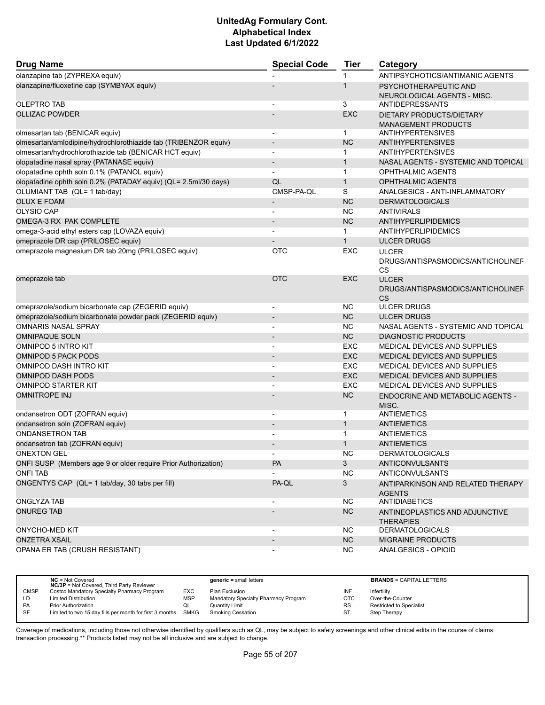| <b>Drug Name</b>                                                | <b>Special Code</b>      | <b>Tier</b>  | Category                                                       |
|-----------------------------------------------------------------|--------------------------|--------------|----------------------------------------------------------------|
| olanzapine tab (ZYPREXA equiv)                                  |                          | 1            | ANTIPSYCHOTICS/ANTIMANIC AGENTS                                |
| olanzapine/fluoxetine cap (SYMBYAX equiv)                       |                          | $\mathbf 1$  | PSYCHOTHERAPEUTIC AND<br>NEUROLOGICAL AGENTS - MISC.           |
| <b>OLEPTRO TAB</b>                                              |                          | 3            | <b>ANTIDEPRESSANTS</b>                                         |
| <b>OLLIZAC POWDER</b>                                           |                          | <b>EXC</b>   | DIETARY PRODUCTS/DIETARY<br><b>MANAGEMENT PRODUCTS</b>         |
| olmesartan tab (BENICAR equiv)                                  | $\blacksquare$           | 1            | <b>ANTIHYPERTENSIVES</b>                                       |
| olmesartan/amlodipine/hydrochlorothiazide tab (TRIBENZOR equiv) |                          | <b>NC</b>    | <b>ANTIHYPERTENSIVES</b>                                       |
| olmesartan/hydrochlorothiazide tab (BENICAR HCT equiv)          |                          | 1            | <b>ANTIHYPERTENSIVES</b>                                       |
| olopatadine nasal spray (PATANASE equiv)                        |                          | $\mathbf{1}$ | NASAL AGENTS - SYSTEMIC AND TOPICAL                            |
| olopatadine ophth soln 0.1% (PATANOL equiv)                     |                          | 1            | OPHTHALMIC AGENTS                                              |
| olopatadine ophth soln 0.2% (PATADAY equiv) (QL= 2.5ml/30 days) | QL                       | $\mathbf{1}$ | <b>OPHTHALMIC AGENTS</b>                                       |
| OLUMIANT TAB (QL= 1 tab/day)                                    | CMSP-PA-QL               | S            | ANALGESICS - ANTI-INFLAMMATORY                                 |
| <b>OLUX E FOAM</b>                                              |                          | <b>NC</b>    | <b>DERMATOLOGICALS</b>                                         |
| OLYSIO CAP                                                      |                          | <b>NC</b>    | <b>ANTIVIRALS</b>                                              |
| OMEGA-3 RX PAK COMPLETE                                         |                          | <b>NC</b>    | <b>ANTIHYPERLIPIDEMICS</b>                                     |
| omega-3-acid ethyl esters cap (LOVAZA equiv)                    |                          | $\mathbf{1}$ | <b>ANTIHYPERLIPIDEMICS</b>                                     |
| omeprazole DR cap (PRILOSEC equiv)                              |                          | $\mathbf{1}$ | <b>ULCER DRUGS</b>                                             |
| omeprazole magnesium DR tab 20mg (PRILOSEC equiv)               | <b>OTC</b>               | EXC          | <b>ULCER</b><br>DRUGS/ANTISPASMODICS/ANTICHOLINEF<br><b>CS</b> |
| omeprazole tab                                                  | <b>OTC</b>               | <b>EXC</b>   | <b>ULCER</b><br>DRUGS/ANTISPASMODICS/ANTICHOLINEF<br><b>CS</b> |
| omeprazole/sodium bicarbonate cap (ZEGERID equiv)               |                          | NС           | <b>ULCER DRUGS</b>                                             |
| omeprazole/sodium bicarbonate powder pack (ZEGERID equiv)       |                          | <b>NC</b>    | <b>ULCER DRUGS</b>                                             |
| <b>OMNARIS NASAL SPRAY</b>                                      |                          | NC           | NASAL AGENTS - SYSTEMIC AND TOPICAL                            |
| <b>OMNIPAQUE SOLN</b>                                           |                          | <b>NC</b>    | <b>DIAGNOSTIC PRODUCTS</b>                                     |
| OMNIPOD 5 INTRO KIT                                             | $\blacksquare$           | <b>EXC</b>   | <b>MEDICAL DEVICES AND SUPPLIES</b>                            |
| <b>OMNIPOD 5 PACK PODS</b>                                      |                          | <b>EXC</b>   | <b>MEDICAL DEVICES AND SUPPLIES</b>                            |
| OMNIPOD DASH INTRO KIT                                          |                          | <b>EXC</b>   | <b>MEDICAL DEVICES AND SUPPLIES</b>                            |
| <b>OMNIPOD DASH PODS</b>                                        |                          | <b>EXC</b>   | <b>MEDICAL DEVICES AND SUPPLIES</b>                            |
| OMNIPOD STARTER KIT                                             |                          | EXC          | <b>MEDICAL DEVICES AND SUPPLIES</b>                            |
| <b>OMNITROPE INJ</b>                                            |                          | <b>NC</b>    | <b>ENDOCRINE AND METABOLIC AGENTS -</b><br>MISC.               |
| ondansetron ODT (ZOFRAN equiv)                                  |                          | 1            | ANTIEMETICS                                                    |
| ondansetron soln (ZOFRAN equiv)                                 |                          | $\mathbf{1}$ | <b>ANTIEMETICS</b>                                             |
| <b>ONDANSETRON TAB</b>                                          | $\overline{\phantom{a}}$ | $\mathbf{1}$ | <b>ANTIEMETICS</b>                                             |
| ondansetron tab (ZOFRAN equiv)                                  |                          | $\mathbf{1}$ | <b>ANTIEMETICS</b>                                             |
| <b>ONEXTON GEL</b>                                              | $\overline{\phantom{0}}$ | <b>NC</b>    | <b>DERMATOLOGICALS</b>                                         |
| ONFI SUSP (Members age 9 or older require Prior Authorization)  | PA                       | 3            | ANTICONVULSANTS                                                |
| <b>ONFI TAB</b>                                                 |                          | <b>NC</b>    | <b>ANTICONVULSANTS</b>                                         |
| ONGENTYS CAP (QL= 1 tab/day, 30 tabs per fill)                  | PA-QL                    | 3            | ANTIPARKINSON AND RELATED THERAPY<br><b>AGENTS</b>             |
| ONGLYZA TAB                                                     | $\overline{\phantom{a}}$ | NC.          | <b>ANTIDIABETICS</b>                                           |
| <b>ONUREG TAB</b>                                               |                          | <b>NC</b>    | ANTINEOPLASTICS AND ADJUNCTIVE<br><b>THERAPIES</b>             |
| <b>ONYCHO-MED KIT</b>                                           | $\overline{\phantom{a}}$ | <b>NC</b>    | <b>DERMATOLOGICALS</b>                                         |
| <b>ONZETRA XSAIL</b>                                            |                          | <b>NC</b>    | <b>MIGRAINE PRODUCTS</b>                                       |
| OPANA ER TAB (CRUSH RESISTANT)                                  |                          | <b>NC</b>    | ANALGESICS - OPIOID                                            |

|             | $NC = Not Covered$<br><b>NC/3P</b> = Not Covered, Third Party Reviewer |            | $generic = small letters$            |           | <b>BRANDS = CAPITAL LETTERS</b> |
|-------------|------------------------------------------------------------------------|------------|--------------------------------------|-----------|---------------------------------|
| <b>CMSP</b> | Costco Mandatory Specialty Pharmacy Program                            | EXC        | Plan Exclusion                       | INF       | Infertility                     |
| LD          | <b>Limited Distribution</b>                                            | <b>MSP</b> | Mandatory Specialty Pharmacy Program | OTC       | Over-the-Counter                |
| <b>PA</b>   | <b>Prior Authorization</b>                                             | QL         | Quantity Limit                       | <b>RS</b> | <b>Restricted to Specialist</b> |
| SF          | Limited to two 15 day fills per month for first 3 months               | SMKG       | <b>Smoking Cessation</b>             | ST        | Step Therapy                    |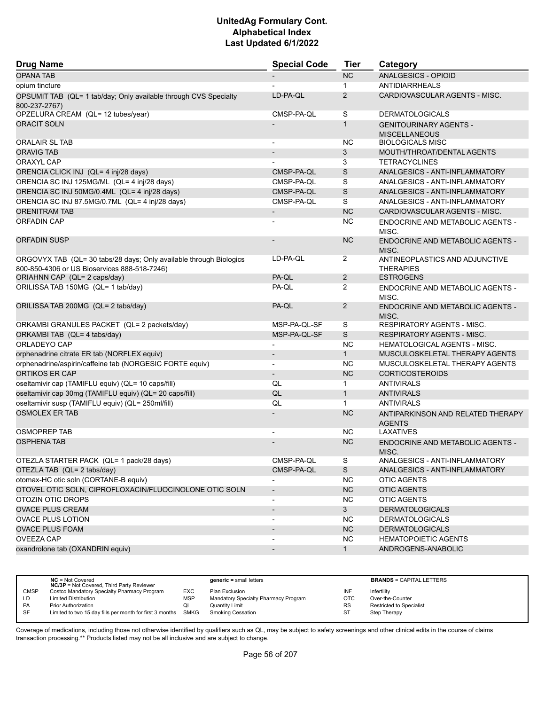| <b>Drug Name</b>                                                             | <b>Special Code</b>      | <b>Tier</b>    | Category                                           |
|------------------------------------------------------------------------------|--------------------------|----------------|----------------------------------------------------|
| <b>OPANA TAB</b>                                                             |                          | NC             | ANALGESICS - OPIOID                                |
| opium tincture                                                               |                          | $\mathbf{1}$   | ANTIDIARRHEALS                                     |
| OPSUMIT TAB (QL= 1 tab/day; Only available through CVS Specialty             | LD-PA-QL                 | 2              | CARDIOVASCULAR AGENTS - MISC.                      |
| 800-237-2767)                                                                |                          |                |                                                    |
| OPZELURA CREAM (QL= 12 tubes/year)                                           | CMSP-PA-OL               | S              | <b>DERMATOLOGICALS</b>                             |
| <b>ORACIT SOLN</b>                                                           |                          | $\mathbf{1}$   | <b>GENITOURINARY AGENTS -</b>                      |
|                                                                              |                          |                | <b>MISCELLANEOUS</b>                               |
| <b>ORALAIR SL TAB</b>                                                        | $\overline{a}$           | NC.            | <b>BIOLOGICALS MISC</b>                            |
| <b>ORAVIG TAB</b>                                                            |                          | 3              | MOUTH/THROAT/DENTAL AGENTS                         |
| ORAXYL CAP                                                                   |                          | 3              | <b>TETRACYCLINES</b>                               |
| ORENCIA CLICK INJ (QL= 4 inj/28 days)                                        | CMSP-PA-QL               | S              | ANALGESICS - ANTI-INFLAMMATORY                     |
| ORENCIA SC INJ 125MG/ML (QL= 4 inj/28 days)                                  | CMSP-PA-QL               | S              | ANALGESICS - ANTI-INFLAMMATORY                     |
| ORENCIA SC INJ 50MG/0.4ML (QL= 4 inj/28 days)                                | CMSP-PA-QL               | S              | ANALGESICS - ANTI-INFLAMMATORY                     |
| ORENCIA SC INJ 87.5MG/0.7ML (QL= 4 inj/28 days)                              | CMSP-PA-QL               | S              | ANALGESICS - ANTI-INFLAMMATORY                     |
| <b>ORENITRAM TAB</b>                                                         | $\overline{\phantom{a}}$ | <b>NC</b>      | CARDIOVASCULAR AGENTS - MISC.                      |
| <b>ORFADIN CAP</b>                                                           |                          | <b>NC</b>      | ENDOCRINE AND METABOLIC AGENTS -<br>MISC.          |
| <b>ORFADIN SUSP</b>                                                          |                          | <b>NC</b>      | ENDOCRINE AND METABOLIC AGENTS -<br>MISC.          |
| ORGOVYX TAB (QL= 30 tabs/28 days; Only available through Biologics           | LD-PA-QL                 | $\overline{2}$ | ANTINEOPLASTICS AND ADJUNCTIVE                     |
| 800-850-4306 or US Bioservices 888-518-7246)<br>ORIAHNN CAP (QL= 2 caps/day) | PA-QL                    | $\overline{2}$ | <b>THERAPIES</b><br><b>ESTROGENS</b>               |
| ORILISSA TAB 150MG (QL= 1 tab/day)                                           | PA-QL                    | $\overline{2}$ | ENDOCRINE AND METABOLIC AGENTS -                   |
|                                                                              |                          |                | MISC.                                              |
| ORILISSA TAB 200MG (QL= 2 tabs/day)                                          | PA-QL                    | $\overline{2}$ | ENDOCRINE AND METABOLIC AGENTS -<br>MISC.          |
| ORKAMBI GRANULES PACKET (QL= 2 packets/day)                                  | MSP-PA-QL-SF             | S              | RESPIRATORY AGENTS - MISC.                         |
| ORKAMBI TAB (QL= 4 tabs/day)                                                 | MSP-PA-QL-SF             | $\mathsf{S}$   | <b>RESPIRATORY AGENTS - MISC.</b>                  |
| ORLADEYO CAP                                                                 |                          | <b>NC</b>      | <b>HEMATOLOGICAL AGENTS - MISC.</b>                |
| orphenadrine citrate ER tab (NORFLEX equiv)                                  | $\overline{\phantom{a}}$ | 1              | MUSCULOSKELETAL THERAPY AGENTS                     |
| orphenadrine/aspirin/caffeine tab (NORGESIC FORTE equiv)                     | $\blacksquare$           | <b>NC</b>      | MUSCULOSKELETAL THERAPY AGENTS                     |
| <b>ORTIKOS ER CAP</b>                                                        | $\overline{\phantom{a}}$ | <b>NC</b>      | <b>CORTICOSTEROIDS</b>                             |
| oseltamivir cap (TAMIFLU equiv) (QL= 10 caps/fill)                           | QL                       | $\mathbf 1$    | <b>ANTIVIRALS</b>                                  |
| oseltamivir cap 30mg (TAMIFLU equiv) (QL= 20 caps/fill)                      | QL                       | $\mathbf{1}$   | <b>ANTIVIRALS</b>                                  |
| oseltamivir susp (TAMIFLU equiv) (QL= 250ml/fill)                            | QL                       | $\mathbf{1}$   | <b>ANTIVIRALS</b>                                  |
| <b>OSMOLEX ER TAB</b>                                                        |                          | <b>NC</b>      | ANTIPARKINSON AND RELATED THERAPY<br><b>AGENTS</b> |
| <b>OSMOPREP TAB</b>                                                          |                          | NC.            | LAXATIVES                                          |
| <b>OSPHENA TAB</b>                                                           |                          | NC             | <b>ENDOCRINE AND METABOLIC AGENTS -</b><br>MISC.   |
| OTEZLA STARTER PACK (QL= 1 pack/28 days)                                     | CMSP-PA-QL               | S              | ANALGESICS - ANTI-INFLAMMATORY                     |
| OTEZLA TAB (QL= 2 tabs/day)                                                  | CMSP-PA-QL               | S              | ANALGESICS - ANTI-INFLAMMATORY                     |
| otomax-HC otic soln (CORTANE-B equiv)                                        |                          | <b>NC</b>      | <b>OTIC AGENTS</b>                                 |
| OTOVEL OTIC SOLN, CIPROFLOXACIN/FLUOCINOLONE OTIC SOLN                       | $\overline{\phantom{a}}$ | NC             | <b>OTIC AGENTS</b>                                 |
| OTOZIN OTIC DROPS                                                            |                          | <b>NC</b>      | OTIC AGENTS                                        |
| <b>OVACE PLUS CREAM</b>                                                      | $\overline{\phantom{a}}$ | 3 <sup>1</sup> | <b>DERMATOLOGICALS</b>                             |
| <b>OVACE PLUS LOTION</b>                                                     |                          | NC.            | <b>DERMATOLOGICALS</b>                             |
| <b>OVACE PLUS FOAM</b>                                                       |                          | NC             | <b>DERMATOLOGICALS</b>                             |
| <b>OVEEZA CAP</b>                                                            |                          | <b>NC</b>      | <b>HEMATOPOIETIC AGENTS</b>                        |
| oxandrolone tab (OXANDRIN equiv)                                             | $\overline{\phantom{a}}$ | 1              | ANDROGENS-ANABOLIC                                 |
|                                                                              |                          |                |                                                    |

|             | $NC = Not Covered$<br><b>NC/3P</b> = Not Covered, Third Party Reviewer |            | $generic = small letters$            |            | <b>BRANDS = CAPITAL LETTERS</b> |
|-------------|------------------------------------------------------------------------|------------|--------------------------------------|------------|---------------------------------|
| <b>CMSP</b> | Costco Mandatory Specialty Pharmacy Program                            | EXC        | Plan Exclusion                       | INF        | Infertility                     |
| LD          | <b>Limited Distribution</b>                                            | <b>MSP</b> | Mandatory Specialty Pharmacy Program | <b>OTC</b> | Over-the-Counter                |
| <b>PA</b>   | Prior Authorization                                                    | QL         | Quantity Limit                       | <b>RS</b>  | <b>Restricted to Specialist</b> |
| <b>SF</b>   | Limited to two 15 day fills per month for first 3 months SMKG          |            | <b>Smoking Cessation</b>             | ST         | Step Therapy                    |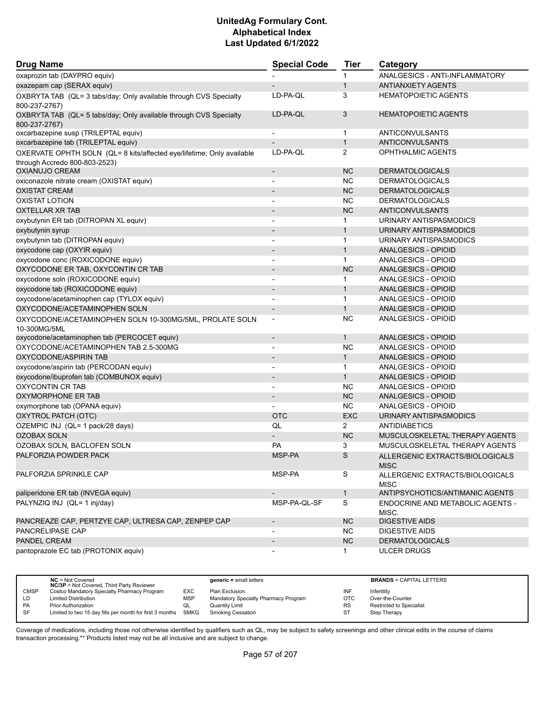| <b>Drug Name</b>                                                                   | <b>Special Code</b>      | Tier           | Category                                       |  |
|------------------------------------------------------------------------------------|--------------------------|----------------|------------------------------------------------|--|
| oxaprozin tab (DAYPRO equiv)                                                       |                          | 1              | ANALGESICS - ANTI-INFLAMMATORY                 |  |
| oxazepam cap (SERAX equiv)                                                         |                          | $\mathbf{1}$   | <b>ANTIANXIETY AGENTS</b>                      |  |
| OXBRYTA TAB (QL= 3 tabs/day; Only available through CVS Specialty<br>800-237-2767) | LD-PA-QL                 | 3              | <b>HEMATOPOIETIC AGENTS</b>                    |  |
| OXBRYTA TAB (QL= 5 tabs/day; Only available through CVS Specialty<br>800-237-2767) | LD-PA-QL                 | 3              | <b>HEMATOPOIETIC AGENTS</b>                    |  |
| oxcarbazepine susp (TRILEPTAL equiv)                                               | $\overline{\phantom{a}}$ | $\mathbf 1$    | ANTICONVULSANTS                                |  |
| oxcarbazepine tab (TRILEPTAL equiv)                                                |                          | $\mathbf{1}$   | ANTICONVULSANTS                                |  |
| OXERVATE OPHTH SOLN (QL= 8 kits/affected eye/lifetime; Only available              | LD-PA-QL                 | $\overline{2}$ | OPHTHALMIC AGENTS                              |  |
| through Accredo 800-803-2523)                                                      |                          |                |                                                |  |
| <b>OXIANUJO CREAM</b>                                                              | $\blacksquare$           | <b>NC</b>      | <b>DERMATOLOGICALS</b>                         |  |
| oxiconazole nitrate cream (OXISTAT equiv)                                          |                          | <b>NC</b>      | <b>DERMATOLOGICALS</b>                         |  |
| <b>OXISTAT CREAM</b>                                                               |                          | <b>NC</b>      | <b>DERMATOLOGICALS</b>                         |  |
| <b>OXISTAT LOTION</b>                                                              |                          | <b>NC</b>      | <b>DERMATOLOGICALS</b>                         |  |
| <b>OXTELLAR XR TAB</b>                                                             |                          | <b>NC</b>      | ANTICONVULSANTS                                |  |
| oxybutynin ER tab (DITROPAN XL equiv)                                              | $\blacksquare$           | 1.             | URINARY ANTISPASMODICS                         |  |
| oxybutynin syrup                                                                   |                          | $\mathbf{1}$   | URINARY ANTISPASMODICS                         |  |
| oxybutynin tab (DITROPAN equiv)                                                    |                          | $\mathbf{1}$   | URINARY ANTISPASMODICS                         |  |
| oxycodone cap (OXYIR equiv)                                                        | $\overline{\phantom{a}}$ | $\mathbf{1}$   | ANALGESICS - OPIOID                            |  |
| oxycodone conc (ROXICODONE equiv)                                                  | $\overline{\phantom{a}}$ | $\mathbf 1$    | ANALGESICS - OPIOID                            |  |
| OXYCODONE ER TAB, OXYCONTIN CR TAB                                                 | $\blacksquare$           | <b>NC</b>      | <b>ANALGESICS - OPIOID</b>                     |  |
| oxycodone soln (ROXICODONE equiv)                                                  | $\blacksquare$           | $\mathbf{1}$   | ANALGESICS - OPIOID                            |  |
| oxycodone tab (ROXICODONE equiv)                                                   | $\overline{\phantom{a}}$ | $\mathbf{1}$   | ANALGESICS - OPIOID                            |  |
| oxycodone/acetaminophen cap (TYLOX equiv)                                          |                          | $\mathbf{1}$   | ANALGESICS - OPIOID                            |  |
| OXYCODONE/ACETAMINOPHEN SOLN                                                       | $\overline{\phantom{a}}$ | $\mathbf{1}$   | ANALGESICS - OPIOID                            |  |
| OXYCODONE/ACETAMINOPHEN SOLN 10-300MG/5ML, PROLATE SOLN<br>10-300MG/5ML            | $\overline{\phantom{a}}$ | NC.            | ANALGESICS - OPIOID                            |  |
| oxycodone/acetaminophen tab (PERCOCET equiv)                                       | $\overline{\phantom{a}}$ | $\mathbf{1}$   | ANALGESICS - OPIOID                            |  |
| OXYCODONE/ACETAMINOPHEN TAB 2.5-300MG                                              |                          | <b>NC</b>      | ANALGESICS - OPIOID                            |  |
| OXYCODONE/ASPIRIN TAB                                                              | $\overline{\phantom{a}}$ | $\mathbf{1}$   | ANALGESICS - OPIOID                            |  |
| oxycodone/aspirin tab (PERCODAN equiv)                                             | $\overline{\phantom{a}}$ | $\mathbf{1}$   | ANALGESICS - OPIOID                            |  |
| oxycodone/ibuprofen tab (COMBUNOX equiv)                                           |                          | $\mathbf{1}$   | ANALGESICS - OPIOID                            |  |
| <b>OXYCONTIN CR TAB</b>                                                            | $\blacksquare$           | NC.            | ANALGESICS - OPIOID                            |  |
| OXYMORPHONE ER TAB                                                                 | $\overline{\phantom{a}}$ | <b>NC</b>      | ANALGESICS - OPIOID                            |  |
| oxymorphone tab (OPANA equiv)                                                      |                          | <b>NC</b>      | ANALGESICS - OPIOID                            |  |
| OXYTROL PATCH (OTC)                                                                | <b>OTC</b>               | <b>EXC</b>     | URINARY ANTISPASMODICS                         |  |
| OZEMPIC INJ (QL= 1 pack/28 days)                                                   | QL                       | $\overline{2}$ | <b>ANTIDIABETICS</b>                           |  |
| <b>OZOBAX SOLN</b>                                                                 |                          | <b>NC</b>      | MUSCULOSKELETAL THERAPY AGENTS                 |  |
| OZOBAX SOLN, BACLOFEN SOLN                                                         | <b>PA</b>                | 3              | MUSCULOSKELETAL THERAPY AGENTS                 |  |
| PALFORZIA POWDER PACK                                                              | MSP-PA                   | S              | ALLERGENIC EXTRACTS/BIOLOGICALS<br><b>MISC</b> |  |
| PALFORZIA SPRINKLE CAP                                                             | MSP-PA                   | S              | ALLERGENIC EXTRACTS/BIOLOGICALS<br><b>MISC</b> |  |
| paliperidone ER tab (INVEGA equiv)                                                 | $\overline{\phantom{a}}$ | $\mathbf{1}$   | ANTIPSYCHOTICS/ANTIMANIC AGENTS                |  |
| PALYNZIQ INJ (QL= 1 inj/day)                                                       | MSP-PA-QL-SF             | S              | ENDOCRINE AND METABOLIC AGENTS -<br>MISC.      |  |
| PANCREAZE CAP, PERTZYE CAP, ULTRESA CAP, ZENPEP CAP                                | $\overline{\phantom{a}}$ | <b>NC</b>      | <b>DIGESTIVE AIDS</b>                          |  |
| PANCRELIPASE CAP                                                                   | $\overline{\phantom{a}}$ | <b>NC</b>      | <b>DIGESTIVE AIDS</b>                          |  |
| PANDEL CREAM                                                                       | $\overline{\phantom{a}}$ | NC             | <b>DERMATOLOGICALS</b>                         |  |
| pantoprazole EC tab (PROTONIX equiv)                                               |                          | 1.             | <b>ULCER DRUGS</b>                             |  |

|             | $NC = Not Covered$<br><b>NC/3P</b> = Not Covered, Third Party Reviewer |     | $generic = small letters$            |           | <b>BRANDS = CAPITAL LETTERS</b> |
|-------------|------------------------------------------------------------------------|-----|--------------------------------------|-----------|---------------------------------|
| <b>CMSP</b> | Costco Mandatory Specialty Pharmacy Program                            | EXC | Plan Exclusion                       | INF       | Infertility                     |
| LD          | <b>Limited Distribution</b>                                            | MSF | Mandatory Specialty Pharmacy Program | OTC       | Over-the-Counter                |
| PA          | Prior Authorization                                                    | QL  | <b>Quantity Limit</b>                | <b>RS</b> | <b>Restricted to Specialist</b> |
| SF          | Limited to two 15 day fills per month for first 3 months SMKG          |     | Smoking Cessation                    | ST        | Step Therapy                    |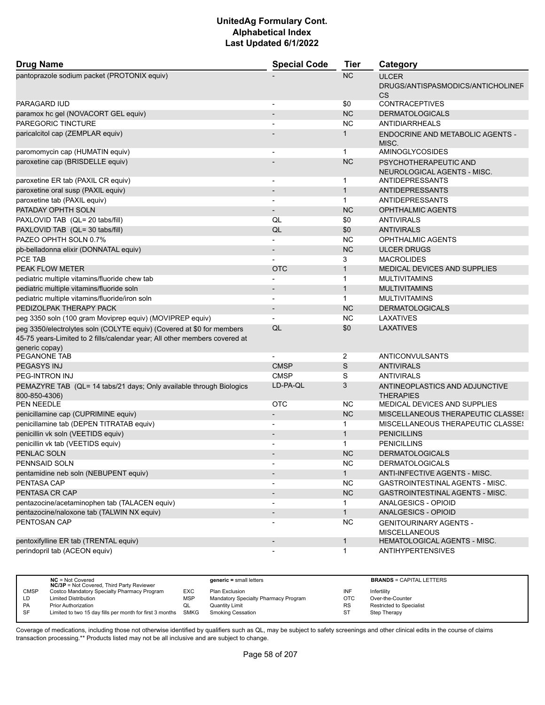| <b>Drug Name</b>                                                                                                                                                      | <b>Special Code</b>      | <b>Tier</b>  | Category                                                       |
|-----------------------------------------------------------------------------------------------------------------------------------------------------------------------|--------------------------|--------------|----------------------------------------------------------------|
| pantoprazole sodium packet (PROTONIX equiv)                                                                                                                           |                          | <b>NC</b>    | <b>ULCER</b><br>DRUGS/ANTISPASMODICS/ANTICHOLINEF<br><b>CS</b> |
| <b>PARAGARD IUD</b>                                                                                                                                                   | $\blacksquare$           | \$0          | <b>CONTRACEPTIVES</b>                                          |
| paramox hc gel (NOVACORT GEL equiv)                                                                                                                                   |                          | <b>NC</b>    | <b>DERMATOLOGICALS</b>                                         |
| PAREGORIC TINCTURE                                                                                                                                                    |                          | <b>NC</b>    | <b>ANTIDIARRHEALS</b>                                          |
| paricalcitol cap (ZEMPLAR equiv)                                                                                                                                      |                          | $\mathbf{1}$ | ENDOCRINE AND METABOLIC AGENTS -<br>MISC.                      |
| paromomycin cap (HUMATIN equiv)                                                                                                                                       |                          | 1            | <b>AMINOGLYCOSIDES</b>                                         |
| paroxetine cap (BRISDELLE equiv)                                                                                                                                      |                          | <b>NC</b>    | PSYCHOTHERAPEUTIC AND<br>NEUROLOGICAL AGENTS - MISC.           |
| paroxetine ER tab (PAXIL CR equiv)                                                                                                                                    |                          | 1            | ANTIDEPRESSANTS                                                |
| paroxetine oral susp (PAXIL equiv)                                                                                                                                    |                          | $\mathbf{1}$ | ANTIDEPRESSANTS                                                |
| paroxetine tab (PAXIL equiv)                                                                                                                                          | $\blacksquare$           | $\mathbf{1}$ | ANTIDEPRESSANTS                                                |
| PATADAY OPHTH SOLN                                                                                                                                                    |                          | <b>NC</b>    | <b>OPHTHALMIC AGENTS</b>                                       |
| PAXLOVID TAB (QL= 20 tabs/fill)                                                                                                                                       | QL                       | \$0          | <b>ANTIVIRALS</b>                                              |
| PAXLOVID TAB (QL= 30 tabs/fill)                                                                                                                                       | QL                       | \$0          | <b>ANTIVIRALS</b>                                              |
| PAZEO OPHTH SOLN 0.7%                                                                                                                                                 |                          | <b>NC</b>    | <b>OPHTHALMIC AGENTS</b>                                       |
| pb-belladonna elixir (DONNATAL equiv)                                                                                                                                 | $\blacksquare$           | <b>NC</b>    | <b>ULCER DRUGS</b>                                             |
| PCE TAB                                                                                                                                                               |                          | 3            | <b>MACROLIDES</b>                                              |
| PEAK FLOW METER                                                                                                                                                       | <b>OTC</b>               | $\mathbf{1}$ | <b>MEDICAL DEVICES AND SUPPLIES</b>                            |
| pediatric multiple vitamins/fluoride chew tab                                                                                                                         |                          | $\mathbf 1$  | <b>MULTIVITAMINS</b>                                           |
| pediatric multiple vitamins/fluoride soln                                                                                                                             |                          | $\mathbf{1}$ | <b>MULTIVITAMINS</b>                                           |
| pediatric multiple vitamins/fluoride/iron soln                                                                                                                        | $\overline{\phantom{a}}$ | 1            | <b>MULTIVITAMINS</b>                                           |
| PEDIZOLPAK THERAPY PACK                                                                                                                                               |                          | <b>NC</b>    | <b>DERMATOLOGICALS</b>                                         |
| peg 3350 soln (100 gram Moviprep equiv) (MOVIPREP equiv)                                                                                                              |                          | <b>NC</b>    | LAXATIVES                                                      |
| peg 3350/electrolytes soln (COLYTE equiv) (Covered at \$0 for members<br>45-75 years-Limited to 2 fills/calendar year; All other members covered at<br>generic copay) | QL                       | \$0          | <b>LAXATIVES</b>                                               |
| PEGANONE TAB                                                                                                                                                          |                          | 2            | ANTICONVULSANTS                                                |
| PEGASYS INJ                                                                                                                                                           | <b>CMSP</b>              | S            | <b>ANTIVIRALS</b>                                              |
| PEG-INTRON INJ                                                                                                                                                        | <b>CMSP</b>              | S            | <b>ANTIVIRALS</b>                                              |
| PEMAZYRE TAB (QL= 14 tabs/21 days; Only available through Biologics<br>800-850-4306)                                                                                  | LD-PA-QL                 | 3            | ANTINEOPLASTICS AND ADJUNCTIVE<br><b>THERAPIES</b>             |
| <b>PEN NEEDLE</b>                                                                                                                                                     | <b>OTC</b>               | <b>NC</b>    | MEDICAL DEVICES AND SUPPLIES                                   |
| penicillamine cap (CUPRIMINE equiv)                                                                                                                                   |                          | <b>NC</b>    | <b>MISCELLANEOUS THERAPEUTIC CLASSES</b>                       |
| penicillamine tab (DEPEN TITRATAB equiv)                                                                                                                              | $\overline{a}$           | $\mathbf{1}$ | <b>MISCELLANEOUS THERAPEUTIC CLASSES</b>                       |
| penicillin vk soln (VEETIDS equiv)                                                                                                                                    |                          | $\mathbf{1}$ | <b>PENICILLINS</b>                                             |
| penicillin vk tab (VEETIDS equiv)                                                                                                                                     |                          | 1            | <b>PENICILLINS</b>                                             |
| PENLAC SOLN                                                                                                                                                           |                          | <b>NC</b>    | <b>DERMATOLOGICALS</b>                                         |
| PENNSAID SOLN                                                                                                                                                         |                          | <b>NC</b>    | <b>DERMATOLOGICALS</b>                                         |
| pentamidine neb soln (NEBUPENT equiv)                                                                                                                                 |                          | $\mathbf{1}$ | ANTI-INFECTIVE AGENTS - MISC.                                  |
| PENTASA CAP                                                                                                                                                           | $\overline{\phantom{a}}$ | <b>NC</b>    | GASTROINTESTINAL AGENTS - MISC.                                |
| PENTASA CR CAP                                                                                                                                                        | $\overline{\phantom{a}}$ | NC           | <b>GASTROINTESTINAL AGENTS - MISC.</b>                         |
| pentazocine/acetaminophen tab (TALACEN equiv)                                                                                                                         |                          | 1            | ANALGESICS - OPIOID                                            |
| pentazocine/naloxone tab (TALWIN NX equiv)                                                                                                                            | $\overline{\phantom{a}}$ | $\mathbf{1}$ | ANALGESICS - OPIOID                                            |
| PENTOSAN CAP                                                                                                                                                          |                          | <b>NC</b>    | <b>GENITOURINARY AGENTS -</b><br><b>MISCELLANEOUS</b>          |
| pentoxifylline ER tab (TRENTAL equiv)                                                                                                                                 | $\overline{\phantom{a}}$ | $\mathbf{1}$ | <b>HEMATOLOGICAL AGENTS - MISC.</b>                            |
| perindopril tab (ACEON equiv)                                                                                                                                         |                          | 1            | <b>ANTIHYPERTENSIVES</b>                                       |

|             | $NC = Not Covered$<br><b>NC/3P</b> = Not Covered, Third Party Reviewer |            | $generic = small letters$            |            | <b>BRANDS = CAPITAL LETTERS</b> |
|-------------|------------------------------------------------------------------------|------------|--------------------------------------|------------|---------------------------------|
| <b>CMSP</b> | Costco Mandatory Specialty Pharmacy Program                            | EXC        | Plan Exclusion                       | INF        | Infertility                     |
| LD          | <b>Limited Distribution</b>                                            | <b>MSP</b> | Mandatory Specialty Pharmacy Program | <b>OTC</b> | Over-the-Counter                |
| <b>PA</b>   | <b>Prior Authorization</b>                                             | QL         | Quantity Limit                       | <b>RS</b>  | Restricted to Specialist        |
| <b>SF</b>   | Limited to two 15 day fills per month for first 3 months SMKG          |            | Smoking Cessation                    | ST         | Step Therapy                    |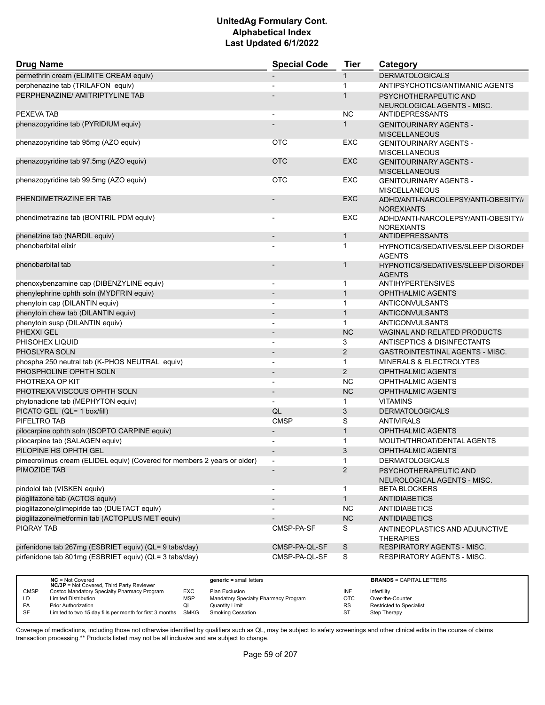| <b>Drug Name</b>                                                         | <b>Special Code</b>      | <b>Tier</b>    | Category                                                 |
|--------------------------------------------------------------------------|--------------------------|----------------|----------------------------------------------------------|
| permethrin cream (ELIMITE CREAM equiv)                                   |                          | 1              | <b>DERMATOLOGICALS</b>                                   |
| perphenazine tab (TRILAFON equiv)                                        |                          | $\mathbf{1}$   | ANTIPSYCHOTICS/ANTIMANIC AGENTS                          |
| PERPHENAZINE/ AMITRIPTYLINE TAB                                          |                          | $\mathbf{1}$   | PSYCHOTHERAPEUTIC AND                                    |
|                                                                          |                          |                | NEUROLOGICAL AGENTS - MISC.                              |
| PEXEVA TAB                                                               |                          | <b>NC</b>      | <b>ANTIDEPRESSANTS</b>                                   |
| phenazopyridine tab (PYRIDIUM equiv)                                     |                          | $\mathbf 1$    | <b>GENITOURINARY AGENTS -</b><br><b>MISCELLANEOUS</b>    |
| phenazopyridine tab 95mg (AZO equiv)                                     | <b>OTC</b>               | <b>EXC</b>     | <b>GENITOURINARY AGENTS -</b><br><b>MISCELLANEOUS</b>    |
| phenazopyridine tab 97.5mg (AZO equiv)                                   | <b>OTC</b>               | <b>EXC</b>     | <b>GENITOURINARY AGENTS -</b><br><b>MISCELLANEOUS</b>    |
| phenazopyridine tab 99.5mg (AZO equiv)                                   | <b>OTC</b>               | <b>EXC</b>     | <b>GENITOURINARY AGENTS -</b><br><b>MISCELLANEOUS</b>    |
| PHENDIMETRAZINE ER TAB                                                   |                          | <b>EXC</b>     | ADHD/ANTI-NARCOLEPSY/ANTI-OBESITY//<br><b>NOREXIANTS</b> |
| phendimetrazine tab (BONTRIL PDM equiv)                                  |                          | <b>EXC</b>     | ADHD/ANTI-NARCOLEPSY/ANTI-OBESITY//<br><b>NOREXIANTS</b> |
| phenelzine tab (NARDIL equiv)                                            |                          | 1              | <b>ANTIDEPRESSANTS</b>                                   |
| phenobarbital elixir                                                     |                          | $\mathbf{1}$   | HYPNOTICS/SEDATIVES/SLEEP DISORDEF<br><b>AGENTS</b>      |
| phenobarbital tab                                                        |                          | 1              | HYPNOTICS/SEDATIVES/SLEEP DISORDEI<br><b>AGENTS</b>      |
| phenoxybenzamine cap (DIBENZYLINE equiv)                                 | $\overline{\phantom{a}}$ | 1              | <b>ANTIHYPERTENSIVES</b>                                 |
| phenylephrine ophth soln (MYDFRIN equiv)                                 | $\overline{\phantom{a}}$ | $\mathbf{1}$   | <b>OPHTHALMIC AGENTS</b>                                 |
| phenytoin cap (DILANTIN equiv)                                           |                          | $\mathbf{1}$   | <b>ANTICONVULSANTS</b>                                   |
| phenytoin chew tab (DILANTIN equiv)                                      |                          | $\mathbf{1}$   | <b>ANTICONVULSANTS</b>                                   |
| phenytoin susp (DILANTIN equiv)                                          |                          | $\mathbf{1}$   | ANTICONVULSANTS                                          |
| PHEXXI GEL                                                               |                          | <b>NC</b>      | <b>VAGINAL AND RELATED PRODUCTS</b>                      |
| PHISOHEX LIQUID                                                          |                          | 3              | ANTISEPTICS & DISINFECTANTS                              |
| PHOSLYRA SOLN                                                            | $\overline{\phantom{a}}$ | $\overline{2}$ | <b>GASTROINTESTINAL AGENTS - MISC.</b>                   |
| phospha 250 neutral tab (K-PHOS NEUTRAL equiv)                           |                          | $\mathbf{1}$   | <b>MINERALS &amp; ELECTROLYTES</b>                       |
| PHOSPHOLINE OPHTH SOLN                                                   |                          | 2              | <b>OPHTHALMIC AGENTS</b>                                 |
| PHOTREXA OP KIT                                                          | $\blacksquare$           | <b>NC</b>      | OPHTHALMIC AGENTS                                        |
| PHOTREXA VISCOUS OPHTH SOLN                                              |                          | <b>NC</b>      | <b>OPHTHALMIC AGENTS</b>                                 |
| phytonadione tab (MEPHYTON equiv)                                        |                          | 1              | <b>VITAMINS</b>                                          |
| PICATO GEL (QL= 1 box/fill)                                              | QL                       | 3              | <b>DERMATOLOGICALS</b>                                   |
| PIFELTRO TAB                                                             | <b>CMSP</b>              | S              | <b>ANTIVIRALS</b>                                        |
| pilocarpine ophth soln (ISOPTO CARPINE equiv)                            |                          | $\mathbf{1}$   | <b>OPHTHALMIC AGENTS</b>                                 |
| pilocarpine tab (SALAGEN equiv)                                          |                          | 1              | MOUTH/THROAT/DENTAL AGENTS                               |
| PILOPINE HS OPHTH GEL                                                    |                          | 3              | <b>OPHTHALMIC AGENTS</b>                                 |
| pimecrolimus cream (ELIDEL equiv) (Covered for members 2 years or older) |                          | 1              | DERMATOLOGICALS                                          |
| PIMOZIDE TAB                                                             |                          | $\overline{2}$ | PSYCHOTHERAPEUTIC AND                                    |
|                                                                          |                          |                | NEUROLOGICAL AGENTS - MISC.                              |
| pindolol tab (VISKEN equiv)                                              |                          | $\mathbf{1}$   | <b>BETA BLOCKERS</b>                                     |
| pioglitazone tab (ACTOS equiv)                                           |                          | $\mathbf{1}$   | <b>ANTIDIABETICS</b>                                     |
| pioglitazone/glimepiride tab (DUETACT equiv)                             |                          | <b>NC</b>      | ANTIDIABETICS                                            |
| pioglitazone/metformin tab (ACTOPLUS MET equiv)                          |                          | NC             | <b>ANTIDIABETICS</b>                                     |
| <b>PIQRAY TAB</b>                                                        | CMSP-PA-SF               | S              | ANTINEOPLASTICS AND ADJUNCTIVE<br><b>THERAPIES</b>       |
| pirfenidone tab 267mg (ESBRIET equiv) (QL= 9 tabs/day)                   | CMSP-PA-QL-SF            | S              | RESPIRATORY AGENTS - MISC.                               |
| pirfenidone tab 801mg (ESBRIET equiv) (QL= 3 tabs/day)                   | CMSP-PA-QL-SF            | S              | RESPIRATORY AGENTS - MISC.                               |

|             | $NC = Not Covered$<br><b>NC/3P</b> = Not Covered, Third Party Reviewer |            | $generic = small letters$            |            | <b>BRANDS = CAPITAL LETTERS</b> |
|-------------|------------------------------------------------------------------------|------------|--------------------------------------|------------|---------------------------------|
| <b>CMSP</b> | Costco Mandatory Specialty Pharmacy Program                            | <b>EXC</b> | Plan Exclusion                       | INF        | Infertility                     |
| LD          | <b>Limited Distribution</b>                                            | <b>MSP</b> | Mandatory Specialty Pharmacy Program | <b>OTC</b> | Over-the-Counter                |
| <b>PA</b>   | <b>Prior Authorization</b>                                             | QL         | <b>Quantity Limit</b>                | <b>RS</b>  | <b>Restricted to Specialist</b> |
| <b>SF</b>   | Limited to two 15 day fills per month for first 3 months               | SMKG       | <b>Smoking Cessation</b>             |            | Step Therapy                    |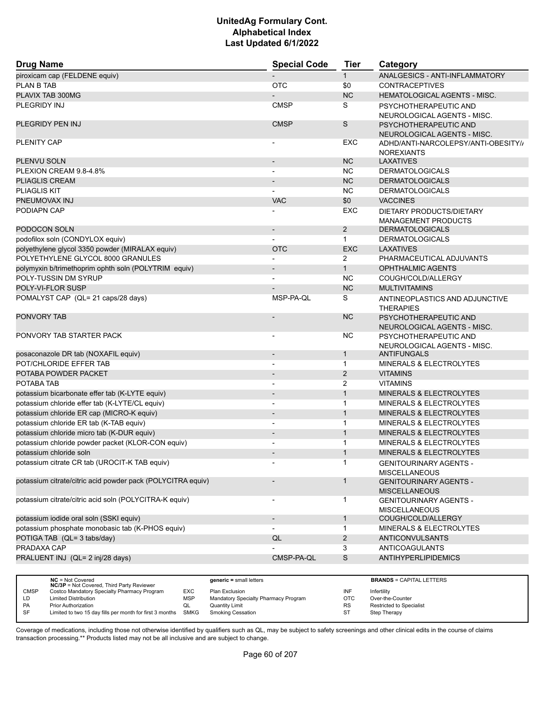| <b>Drug Name</b>                                            | <b>Special Code</b>          | <b>Tier</b>    | Category                                              |
|-------------------------------------------------------------|------------------------------|----------------|-------------------------------------------------------|
| piroxicam cap (FELDENE equiv)                               |                              | $\mathbf{1}$   | ANALGESICS - ANTI-INFLAMMATORY                        |
| PLAN B TAB                                                  | <b>OTC</b>                   | \$0            | <b>CONTRACEPTIVES</b>                                 |
| PLAVIX TAB 300MG                                            |                              | <b>NC</b>      | <b>HEMATOLOGICAL AGENTS - MISC.</b>                   |
| PLEGRIDY INJ                                                | <b>CMSP</b>                  | S              | PSYCHOTHERAPEUTIC AND                                 |
|                                                             |                              |                | NEUROLOGICAL AGENTS - MISC.                           |
| PLEGRIDY PEN INJ                                            | <b>CMSP</b>                  | S              | PSYCHOTHERAPEUTIC AND                                 |
|                                                             |                              |                | NEUROLOGICAL AGENTS - MISC.                           |
| PLENITY CAP                                                 |                              | EXC            | ADHD/ANTI-NARCOLEPSY/ANTI-OBESITY//                   |
|                                                             |                              |                | <b>NOREXIANTS</b>                                     |
| PLENVU SOLN                                                 |                              | NC             | <b>LAXATIVES</b>                                      |
| PLEXION CREAM 9.8-4.8%                                      |                              | <b>NC</b>      | <b>DERMATOLOGICALS</b>                                |
| <b>PLIAGLIS CREAM</b>                                       |                              | <b>NC</b>      | <b>DERMATOLOGICALS</b>                                |
| <b>PLIAGLIS KIT</b>                                         |                              | <b>NC</b>      | <b>DERMATOLOGICALS</b>                                |
| PNEUMOVAX INJ                                               | <b>VAC</b>                   | \$0            | <b>VACCINES</b>                                       |
| PODIAPN CAP                                                 |                              | <b>EXC</b>     | DIETARY PRODUCTS/DIETARY                              |
|                                                             |                              |                | <b>MANAGEMENT PRODUCTS</b>                            |
| PODOCON SOLN                                                | $\overline{\phantom{a}}$     | 2              | <b>DERMATOLOGICALS</b>                                |
| podofilox soln (CONDYLOX equiv)                             |                              | $\mathbf{1}$   | <b>DERMATOLOGICALS</b>                                |
| polyethylene glycol 3350 powder (MIRALAX equiv)             | <b>OTC</b>                   | <b>EXC</b>     | <b>LAXATIVES</b>                                      |
| POLYETHYLENE GLYCOL 8000 GRANULES                           |                              | 2              | PHARMACEUTICAL ADJUVANTS                              |
| polymyxin b/trimethoprim ophth soln (POLYTRIM equiv)        |                              | $\mathbf{1}$   | OPHTHALMIC AGENTS                                     |
| POLY-TUSSIN DM SYRUP                                        |                              | <b>NC</b>      | COUGH/COLD/ALLERGY                                    |
| POLY-VI-FLOR SUSP                                           |                              | <b>NC</b>      | <b>MULTIVITAMINS</b>                                  |
| POMALYST CAP (QL= 21 caps/28 days)                          | MSP-PA-QL                    | S              | ANTINEOPLASTICS AND ADJUNCTIVE<br><b>THERAPIES</b>    |
| <b>PONVORY TAB</b>                                          |                              | <b>NC</b>      | PSYCHOTHERAPEUTIC AND<br>NEUROLOGICAL AGENTS - MISC.  |
| PONVORY TAB STARTER PACK                                    | -                            | <b>NC</b>      | PSYCHOTHERAPEUTIC AND<br>NEUROLOGICAL AGENTS - MISC.  |
| posaconazole DR tab (NOXAFIL equiv)                         | $\qquad \qquad \blacksquare$ | $\mathbf{1}$   | <b>ANTIFUNGALS</b>                                    |
| POT/CHLORIDE EFFER TAB                                      |                              | $\mathbf 1$    | <b>MINERALS &amp; ELECTROLYTES</b>                    |
| POTABA POWDER PACKET                                        |                              | 2              | <b>VITAMINS</b>                                       |
| POTABA TAB                                                  |                              | 2              | <b>VITAMINS</b>                                       |
| potassium bicarbonate effer tab (K-LYTE equiv)              |                              | $\mathbf{1}$   | <b>MINERALS &amp; ELECTROLYTES</b>                    |
| potassium chloride effer tab (K-LYTE/CL equiv)              | $\overline{\phantom{a}}$     | $\mathbf{1}$   | MINERALS & ELECTROLYTES                               |
| potassium chloride ER cap (MICRO-K equiv)                   |                              | $\mathbf{1}$   | MINERALS & ELECTROLYTES                               |
| potassium chloride ER tab (K-TAB equiv)                     |                              | $\mathbf{1}$   | <b>MINERALS &amp; ELECTROLYTES</b>                    |
| potassium chloride micro tab (K-DUR equiv)                  |                              | $\mathbf{1}$   | MINERALS & ELECTROLYTES                               |
| potassium chloride powder packet (KLOR-CON equiv)           |                              | $\mathbf{1}$   | <b>MINERALS &amp; ELECTROLYTES</b>                    |
| potassium chloride soln                                     |                              | $\mathbf{1}$   | <b>MINERALS &amp; ELECTROLYTES</b>                    |
| potassium citrate CR tab (UROCIT-K TAB equiv)               |                              | $\mathbf{1}$   | <b>GENITOURINARY AGENTS -</b><br><b>MISCELLANEOUS</b> |
| potassium citrate/citric acid powder pack (POLYCITRA equiv) |                              | $\mathbf{1}$   | <b>GENITOURINARY AGENTS -</b><br><b>MISCELLANEOUS</b> |
| potassium citrate/citric acid soln (POLYCITRA-K equiv)      | $\overline{a}$               | $\mathbf{1}$   | <b>GENITOURINARY AGENTS -</b><br><b>MISCELLANEOUS</b> |
| potassium iodide oral soln (SSKI equiv)                     |                              | $\mathbf{1}$   | COUGH/COLD/ALLERGY                                    |
| potassium phosphate monobasic tab (K-PHOS equiv)            |                              | $\mathbf{1}$   | MINERALS & ELECTROLYTES                               |
| POTIGA TAB (QL= 3 tabs/day)                                 | QL                           | $\overline{2}$ | <b>ANTICONVULSANTS</b>                                |
| PRADAXA CAP                                                 |                              | 3              | <b>ANTICOAGULANTS</b>                                 |
| PRALUENT INJ (QL= 2 inj/28 days)                            | CMSP-PA-QL                   | S              | <b>ANTIHYPERLIPIDEMICS</b>                            |
|                                                             |                              |                |                                                       |

|             | $NC = Not Covered$<br><b>NC/3P</b> = Not Covered, Third Party Reviewer |            | $generic = small letters$            |            | <b>BRANDS = CAPITAL LETTERS</b> |
|-------------|------------------------------------------------------------------------|------------|--------------------------------------|------------|---------------------------------|
| <b>CMSP</b> | Costco Mandatory Specialty Pharmacy Program                            | EXC        | Plan Exclusion                       | INF        | Infertility                     |
| LD          | <b>Limited Distribution</b>                                            | <b>MSP</b> | Mandatory Specialty Pharmacy Program | <b>OTC</b> | Over-the-Counter                |
| PA          | Prior Authorization                                                    | QL         | Quantity Limit                       | <b>RS</b>  | <b>Restricted to Specialist</b> |
| SF          | Limited to two 15 day fills per month for first 3 months               | SMKG       | Smoking Cessation                    | ST         | Step Therapy                    |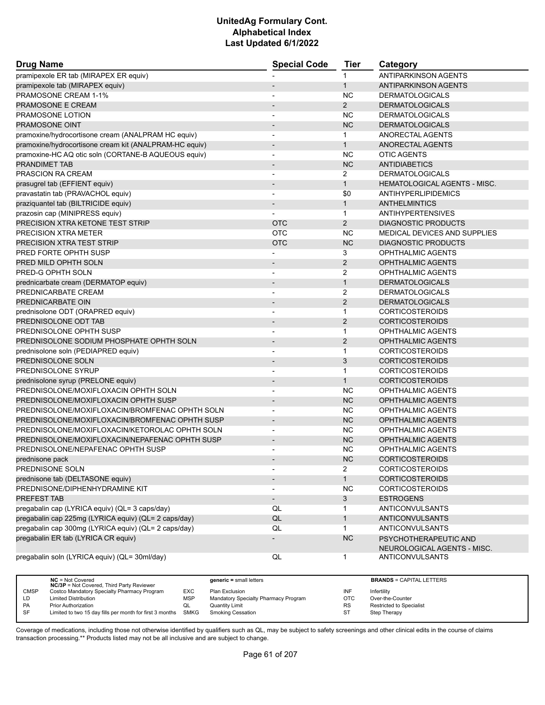| <b>Drug Name</b>                                       | <b>Special Code</b>      | <b>Tier</b>    | Category                            |  |
|--------------------------------------------------------|--------------------------|----------------|-------------------------------------|--|
| pramipexole ER tab (MIRAPEX ER equiv)                  |                          | 1              | <b>ANTIPARKINSON AGENTS</b>         |  |
| pramipexole tab (MIRAPEX equiv)                        |                          | $\mathbf{1}$   | <b>ANTIPARKINSON AGENTS</b>         |  |
| PRAMOSONE CREAM 1-1%                                   |                          | <b>NC</b>      | <b>DERMATOLOGICALS</b>              |  |
| PRAMOSONE E CREAM                                      |                          | $\overline{2}$ | <b>DERMATOLOGICALS</b>              |  |
| PRAMOSONE LOTION                                       |                          | <b>NC</b>      | <b>DERMATOLOGICALS</b>              |  |
| <b>PRAMOSONE OINT</b>                                  |                          | <b>NC</b>      | <b>DERMATOLOGICALS</b>              |  |
| pramoxine/hydrocortisone cream (ANALPRAM HC equiv)     | $\overline{\phantom{a}}$ | $\mathbf 1$    | ANORECTAL AGENTS                    |  |
| pramoxine/hydrocortisone cream kit (ANALPRAM-HC equiv) | $\overline{\phantom{m}}$ | $\mathbf{1}$   | ANORECTAL AGENTS                    |  |
| pramoxine-HC AQ otic soln (CORTANE-B AQUEOUS equiv)    |                          | <b>NC</b>      | <b>OTIC AGENTS</b>                  |  |
| <b>PRANDIMET TAB</b>                                   | $\overline{\phantom{a}}$ | <b>NC</b>      | <b>ANTIDIABETICS</b>                |  |
| PRASCION RA CREAM                                      |                          | 2              | <b>DERMATOLOGICALS</b>              |  |
| prasugrel tab (EFFIENT equiv)                          | $\overline{\phantom{a}}$ | $\mathbf{1}$   | <b>HEMATOLOGICAL AGENTS - MISC.</b> |  |
| pravastatin tab (PRAVACHOL equiv)                      | $\overline{a}$           | \$0            | ANTIHYPERLIPIDEMICS                 |  |
| praziquantel tab (BILTRICIDE equiv)                    |                          | $\mathbf{1}$   | ANTHELMINTICS                       |  |
| prazosin cap (MINIPRESS equiv)                         |                          | $\mathbf{1}$   | <b>ANTIHYPERTENSIVES</b>            |  |
| PRECISION XTRA KETONE TEST STRIP                       | <b>OTC</b>               | $\overline{2}$ | <b>DIAGNOSTIC PRODUCTS</b>          |  |
| PRECISION XTRA METER                                   | <b>OTC</b>               | <b>NC</b>      | MEDICAL DEVICES AND SUPPLIES        |  |
| PRECISION XTRA TEST STRIP                              | <b>OTC</b>               | <b>NC</b>      | <b>DIAGNOSTIC PRODUCTS</b>          |  |
| PRED FORTE OPHTH SUSP                                  |                          | 3              | <b>OPHTHALMIC AGENTS</b>            |  |
| PRED MILD OPHTH SOLN                                   |                          | 2              | <b>OPHTHALMIC AGENTS</b>            |  |
| PRED-G OPHTH SOLN                                      | $\overline{\phantom{a}}$ | 2              | <b>OPHTHALMIC AGENTS</b>            |  |
| prednicarbate cream (DERMATOP equiv)                   | $\overline{\phantom{a}}$ | $\mathbf{1}$   | <b>DERMATOLOGICALS</b>              |  |
| PREDNICARBATE CREAM                                    | $\overline{\phantom{a}}$ | $\overline{2}$ | <b>DERMATOLOGICALS</b>              |  |
| PREDNICARBATE OIN                                      | $\overline{\phantom{a}}$ | $\overline{2}$ | <b>DERMATOLOGICALS</b>              |  |
| prednisolone ODT (ORAPRED equiv)                       |                          | $\mathbf{1}$   | <b>CORTICOSTEROIDS</b>              |  |
| PREDNISOLONE ODT TAB                                   | $\overline{\phantom{a}}$ | 2              | <b>CORTICOSTEROIDS</b>              |  |
| PREDNISOLONE OPHTH SUSP                                | $\overline{a}$           | $\mathbf{1}$   | <b>OPHTHALMIC AGENTS</b>            |  |
| PREDNISOLONE SODIUM PHOSPHATE OPHTH SOLN               |                          | $\overline{2}$ | <b>OPHTHALMIC AGENTS</b>            |  |
| prednisolone soln (PEDIAPRED equiv)                    | $\blacksquare$           | $\mathbf{1}$   | <b>CORTICOSTEROIDS</b>              |  |
| PREDNISOLONE SOLN                                      |                          | 3              | <b>CORTICOSTEROIDS</b>              |  |
| PREDNISOLONE SYRUP                                     |                          | 1              | <b>CORTICOSTEROIDS</b>              |  |
| prednisolone syrup (PRELONE equiv)                     | $\overline{\phantom{0}}$ | 1              | <b>CORTICOSTEROIDS</b>              |  |
| PREDNISOLONE/MOXIFLOXACIN OPHTH SOLN                   | $\overline{\phantom{a}}$ | ΝC             | <b>OPHTHALMIC AGENTS</b>            |  |
| PREDNISOLONE/MOXIFLOXACIN OPHTH SUSP                   |                          | <b>NC</b>      | <b>OPHTHALMIC AGENTS</b>            |  |
| PREDNISOLONE/MOXIFLOXACIN/BROMFENAC OPHTH SOLN         | $\overline{\phantom{a}}$ | <b>NC</b>      | <b>OPHTHALMIC AGENTS</b>            |  |
| PREDNISOLONE/MOXIFLOXACIN/BROMFENAC OPHTH SUSP         | $\overline{a}$           | <b>NC</b>      | <b>OPHTHALMIC AGENTS</b>            |  |
| PREDNISOLONE/MOXIFLOXACIN/KETOROLAC OPHTH SOLN         | $\overline{\phantom{a}}$ | ΝC             | OPHTHALMIC AGENTS                   |  |
| PREDNISOLONE/MOXIFLOXACIN/NEPAFENAC OPHTH SUSP         |                          | <b>NC</b>      | <b>OPHTHALMIC AGENTS</b>            |  |
| PREDNISOLONE/NEPAFENAC OPHTH SUSP                      |                          | ΝC             | OPHTHALMIC AGENTS                   |  |
| prednisone pack                                        |                          | NC.            | CORTICOSTEROIDS                     |  |
| PREDNISONE SOLN                                        | $\overline{\phantom{a}}$ | $\overline{2}$ | <b>CORTICOSTEROIDS</b>              |  |
| prednisone tab (DELTASONE equiv)                       | $\overline{\phantom{a}}$ | $\mathbf{1}$   | <b>CORTICOSTEROIDS</b>              |  |
| PREDNISONE/DIPHENHYDRAMINE KIT                         |                          | <b>NC</b>      | <b>CORTICOSTEROIDS</b>              |  |
| PREFEST TAB                                            | $\overline{\phantom{a}}$ | 3              | <b>ESTROGENS</b>                    |  |
| pregabalin cap (LYRICA equiv) (QL= 3 caps/day)         | QL                       | 1              | <b>ANTICONVULSANTS</b>              |  |
| pregabalin cap 225mg (LYRICA equiv) (QL= 2 caps/day)   | QL                       | $\mathbf{1}$   | <b>ANTICONVULSANTS</b>              |  |
| pregabalin cap 300mg (LYRICA equiv) (QL= 2 caps/day)   | QL                       | $\mathbf{1}$   | ANTICONVULSANTS                     |  |
| pregabalin ER tab (LYRICA CR equiv)                    |                          | <b>NC</b>      | PSYCHOTHERAPEUTIC AND               |  |
|                                                        |                          |                | NEUROLOGICAL AGENTS - MISC.         |  |
| pregabalin soln (LYRICA equiv) (QL= 30ml/day)          | QL                       | $\mathbf{1}$   | ANTICONVULSANTS                     |  |

|             | $NC = Not Covered$<br><b>NC/3P</b> = Not Covered, Third Party Reviewer |            | $generic = small letters$            |            | <b>BRANDS = CAPITAL LETTERS</b> |
|-------------|------------------------------------------------------------------------|------------|--------------------------------------|------------|---------------------------------|
| <b>CMSP</b> | Costco Mandatory Specialty Pharmacy Program                            | EXC        | Plan Exclusion                       | INF        | Infertility                     |
| LD.         | <b>Limited Distribution</b>                                            | <b>MSP</b> | Mandatory Specialty Pharmacy Program | <b>OTC</b> | Over-the-Counter                |
| <b>PA</b>   | <b>Prior Authorization</b>                                             | QL         | Quantity Limit                       | <b>RS</b>  | <b>Restricted to Specialist</b> |
| SF          | Limited to two 15 day fills per month for first 3 months SMKG          |            | Smoking Cessation                    | ST         | Step Therapy                    |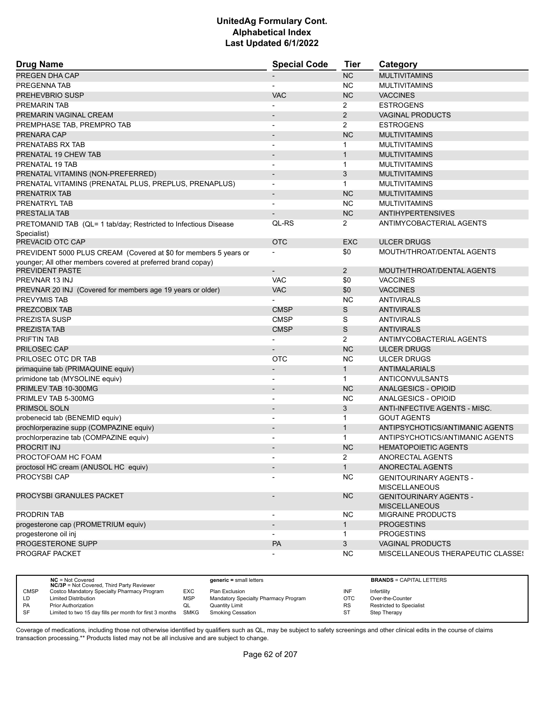| <b>Drug Name</b>                                                 | <b>Special Code</b>      | Tier           | Category                                              |
|------------------------------------------------------------------|--------------------------|----------------|-------------------------------------------------------|
| PREGEN DHA CAP                                                   |                          | <b>NC</b>      | <b>MULTIVITAMINS</b>                                  |
| PREGENNA TAB                                                     |                          | <b>NC</b>      | <b>MULTIVITAMINS</b>                                  |
| <b>PREHEVBRIO SUSP</b>                                           | <b>VAC</b>               | <b>NC</b>      | <b>VACCINES</b>                                       |
| <b>PREMARIN TAB</b>                                              |                          | $\overline{2}$ | <b>ESTROGENS</b>                                      |
| PREMARIN VAGINAL CREAM                                           |                          | $\overline{2}$ | <b>VAGINAL PRODUCTS</b>                               |
| PREMPHASE TAB, PREMPRO TAB                                       |                          | $\overline{2}$ | <b>ESTROGENS</b>                                      |
| PRENARA CAP                                                      |                          | <b>NC</b>      | <b>MULTIVITAMINS</b>                                  |
| PRENATABS RX TAB                                                 |                          | $\mathbf 1$    | <b>MULTIVITAMINS</b>                                  |
| PRENATAL 19 CHEW TAB                                             |                          | 1              | <b>MULTIVITAMINS</b>                                  |
| PRENATAL 19 TAB                                                  |                          | 1              | <b>MULTIVITAMINS</b>                                  |
| PRENATAL VITAMINS (NON-PREFERRED)                                | $\overline{\phantom{a}}$ | 3              | <b>MULTIVITAMINS</b>                                  |
| PRENATAL VITAMINS (PRENATAL PLUS, PREPLUS, PRENAPLUS)            | $\overline{\phantom{a}}$ | 1              | <b>MULTIVITAMINS</b>                                  |
| PRENATRIX TAB                                                    | $\overline{\phantom{a}}$ | <b>NC</b>      | <b>MULTIVITAMINS</b>                                  |
| PRENATRYL TAB                                                    |                          | <b>NC</b>      | <b>MULTIVITAMINS</b>                                  |
| PRESTALIA TAB                                                    |                          | <b>NC</b>      | <b>ANTIHYPERTENSIVES</b>                              |
| PRETOMANID TAB (QL= 1 tab/day; Restricted to Infectious Disease  | QL-RS                    | 2              | ANTIMYCOBACTERIAL AGENTS                              |
| Specialist)                                                      |                          |                |                                                       |
| PREVACID OTC CAP                                                 | <b>OTC</b>               | <b>EXC</b>     | <b>ULCER DRUGS</b>                                    |
| PREVIDENT 5000 PLUS CREAM (Covered at \$0 for members 5 years or |                          | \$0            | MOUTH/THROAT/DENTAL AGENTS                            |
| younger; All other members covered at preferred brand copay)     |                          |                |                                                       |
| PREVIDENT PASTE                                                  | $\overline{\phantom{a}}$ | $\overline{2}$ | MOUTH/THROAT/DENTAL AGENTS                            |
| PREVNAR 13 INJ                                                   | <b>VAC</b>               | \$0            | <b>VACCINES</b>                                       |
| PREVNAR 20 INJ (Covered for members age 19 years or older)       | <b>VAC</b>               | \$0            | <b>VACCINES</b>                                       |
| PREVYMIS TAB                                                     |                          | <b>NC</b>      | <b>ANTIVIRALS</b>                                     |
| PREZCOBIX TAB                                                    | <b>CMSP</b>              | S              | <b>ANTIVIRALS</b>                                     |
| <b>PREZISTA SUSP</b>                                             | <b>CMSP</b>              | S              | <b>ANTIVIRALS</b>                                     |
| <b>PREZISTA TAB</b>                                              | <b>CMSP</b>              | S              | <b>ANTIVIRALS</b>                                     |
| <b>PRIFTIN TAB</b>                                               |                          | $\overline{2}$ | ANTIMYCOBACTERIAL AGENTS                              |
| PRILOSEC CAP                                                     |                          | <b>NC</b>      | <b>ULCER DRUGS</b>                                    |
| PRILOSEC OTC DR TAB                                              | <b>OTC</b>               | <b>NC</b>      | <b>ULCER DRUGS</b>                                    |
| primaquine tab (PRIMAQUINE equiv)                                |                          | $\mathbf{1}$   | <b>ANTIMALARIALS</b>                                  |
| primidone tab (MYSOLINE equiv)                                   | $\overline{\phantom{a}}$ | $\mathbf 1$    | ANTICONVULSANTS                                       |
| PRIMLEV TAB 10-300MG                                             |                          | <b>NC</b>      | ANALGESICS - OPIOID                                   |
| PRIMLEV TAB 5-300MG                                              | $\overline{\phantom{a}}$ | <b>NC</b>      | ANALGESICS - OPIOID                                   |
| <b>PRIMSOL SOLN</b>                                              |                          | 3              | ANTI-INFECTIVE AGENTS - MISC.                         |
| probenecid tab (BENEMID equiv)                                   |                          | $\mathbf{1}$   | <b>GOUT AGENTS</b>                                    |
| prochlorperazine supp (COMPAZINE equiv)                          | $\overline{\phantom{a}}$ | $\mathbf{1}$   | ANTIPSYCHOTICS/ANTIMANIC AGENTS                       |
| prochlorperazine tab (COMPAZINE equiv)                           |                          | $\mathbf 1$    | ANTIPSYCHOTICS/ANTIMANIC AGENTS                       |
| PROCRIT INJ                                                      |                          | <b>NC</b>      | <b>HEMATOPOIETIC AGENTS</b>                           |
| PROCTOFOAM HC FOAM                                               |                          | $\overline{2}$ | ANORECTAL AGENTS                                      |
| proctosol HC cream (ANUSOL HC equiv)                             |                          | 1              | ANORECTAL AGENTS                                      |
| PROCYSBI CAP                                                     |                          | <b>NC</b>      | <b>GENITOURINARY AGENTS -</b><br><b>MISCELLANEOUS</b> |
| PROCYSBI GRANULES PACKET                                         |                          | <b>NC</b>      | <b>GENITOURINARY AGENTS -</b><br><b>MISCELLANEOUS</b> |
| PRODRIN TAB                                                      |                          | <b>NC</b>      | MIGRAINE PRODUCTS                                     |
| progesterone cap (PROMETRIUM equiv)                              | $\blacksquare$           | $\mathbf{1}$   | <b>PROGESTINS</b>                                     |
| progesterone oil inj                                             |                          | 1              | <b>PROGESTINS</b>                                     |
| PROGESTERONE SUPP                                                | PA                       | 3              | VAGINAL PRODUCTS                                      |
| PROGRAF PACKET                                                   |                          | <b>NC</b>      | <b>MISCELLANEOUS THERAPEUTIC CLASSES</b>              |

|             | $NC = Not Covered$<br><b>NC/3P</b> = Not Covered, Third Party Reviewer |            | $generic = small letters$            |           | <b>BRANDS = CAPITAL LETTERS</b> |
|-------------|------------------------------------------------------------------------|------------|--------------------------------------|-----------|---------------------------------|
| <b>CMSP</b> | Costco Mandatory Specialty Pharmacy Program                            | EXC        | Plan Exclusion                       | INF       | Infertility                     |
| LD          | <b>Limited Distribution</b>                                            | <b>MSP</b> | Mandatory Specialty Pharmacy Program | OTC       | Over-the-Counter                |
| PA          | <b>Prior Authorization</b>                                             | QL         | Quantity Limit                       | <b>RS</b> | <b>Restricted to Specialist</b> |
| SF          | Limited to two 15 day fills per month for first 3 months               | SMKG       | <b>Smoking Cessation</b>             | ST        | Step Therapy                    |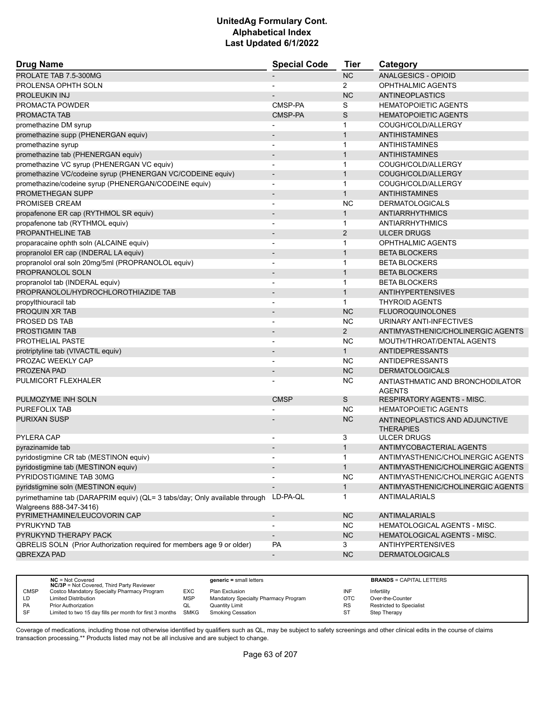| <b>Drug Name</b>                                                                                      | <b>Special Code</b>      | <b>Tier</b>    | Category                                           |  |
|-------------------------------------------------------------------------------------------------------|--------------------------|----------------|----------------------------------------------------|--|
| PROLATE TAB 7.5-300MG                                                                                 |                          | NC             | ANALGESICS - OPIOID                                |  |
| PROLENSA OPHTH SOLN                                                                                   |                          | 2              | OPHTHALMIC AGENTS                                  |  |
| <b>PROLEUKIN INJ</b>                                                                                  |                          | <b>NC</b>      | ANTINEOPLASTICS                                    |  |
| PROMACTA POWDER                                                                                       | CMSP-PA                  | S              | <b>HEMATOPOIETIC AGENTS</b>                        |  |
| PROMACTA TAB                                                                                          | CMSP-PA                  | S              | <b>HEMATOPOIETIC AGENTS</b>                        |  |
| promethazine DM syrup                                                                                 |                          | 1              | COUGH/COLD/ALLERGY                                 |  |
| promethazine supp (PHENERGAN equiv)                                                                   |                          | $\mathbf{1}$   | <b>ANTIHISTAMINES</b>                              |  |
| promethazine syrup                                                                                    | $\overline{\phantom{a}}$ | $\mathbf{1}$   | ANTIHISTAMINES                                     |  |
| promethazine tab (PHENERGAN equiv)                                                                    |                          | $\mathbf{1}$   | ANTIHISTAMINES                                     |  |
| promethazine VC syrup (PHENERGAN VC equiv)                                                            | $\blacksquare$           | $\mathbf{1}$   | COUGH/COLD/ALLERGY                                 |  |
| promethazine VC/codeine syrup (PHENERGAN VC/CODEINE equiv)                                            | $\overline{\phantom{a}}$ | $\mathbf{1}$   | COUGH/COLD/ALLERGY                                 |  |
| promethazine/codeine syrup (PHENERGAN/CODEINE equiv)                                                  |                          | $\mathbf{1}$   | COUGH/COLD/ALLERGY                                 |  |
| PROMETHEGAN SUPP                                                                                      | $\overline{\phantom{a}}$ | $\mathbf{1}$   | <b>ANTIHISTAMINES</b>                              |  |
| PROMISEB CREAM                                                                                        |                          | <b>NC</b>      | <b>DERMATOLOGICALS</b>                             |  |
| propafenone ER cap (RYTHMOL SR equiv)                                                                 |                          | $\mathbf{1}$   | <b>ANTIARRHYTHMICS</b>                             |  |
| propafenone tab (RYTHMOL equiv)                                                                       | $\overline{\phantom{a}}$ | $\mathbf{1}$   | ANTIARRHYTHMICS                                    |  |
| PROPANTHELINE TAB                                                                                     |                          | $\overline{2}$ | <b>ULCER DRUGS</b>                                 |  |
| proparacaine ophth soln (ALCAINE equiv)                                                               |                          | 1              | <b>OPHTHALMIC AGENTS</b>                           |  |
| propranolol ER cap (INDERAL LA equiv)                                                                 | $\overline{\phantom{a}}$ | $\mathbf{1}$   | <b>BETA BLOCKERS</b>                               |  |
| propranolol oral soln 20mg/5ml (PROPRANOLOL equiv)                                                    | $\overline{\phantom{a}}$ | $\mathbf{1}$   | <b>BETA BLOCKERS</b>                               |  |
| PROPRANOLOL SOLN                                                                                      |                          | $\mathbf{1}$   | <b>BETA BLOCKERS</b>                               |  |
| propranolol tab (INDERAL equiv)                                                                       | $\overline{\phantom{a}}$ | $\mathbf{1}$   | <b>BETA BLOCKERS</b>                               |  |
| PROPRANOLOL/HYDROCHLOROTHIAZIDE TAB                                                                   | $\overline{\phantom{a}}$ | $\mathbf{1}$   | <b>ANTIHYPERTENSIVES</b>                           |  |
| propylthiouracil tab                                                                                  |                          | 1              | <b>THYROID AGENTS</b>                              |  |
| PROQUIN XR TAB                                                                                        |                          | <b>NC</b>      | <b>FLUOROQUINOLONES</b>                            |  |
| PROSED DS TAB                                                                                         | $\blacksquare$           | <b>NC</b>      | URINARY ANTI-INFECTIVES                            |  |
| PROSTIGMIN TAB                                                                                        |                          | $\overline{2}$ | ANTIMYASTHENIC/CHOLINERGIC AGENTS                  |  |
| PROTHELIAL PASTE                                                                                      |                          | <b>NC</b>      | MOUTH/THROAT/DENTAL AGENTS                         |  |
| protriptyline tab (VIVACTIL equiv)                                                                    | $\blacksquare$           | 1              | ANTIDEPRESSANTS                                    |  |
| PROZAC WEEKLY CAP                                                                                     |                          | <b>NC</b>      | ANTIDEPRESSANTS                                    |  |
| PROZENA PAD                                                                                           |                          | <b>NC</b>      | <b>DERMATOLOGICALS</b>                             |  |
| PULMICORT FLEXHALER                                                                                   |                          | <b>NC</b>      | ANTIASTHMATIC AND BRONCHODILATOR<br><b>AGENTS</b>  |  |
| PULMOZYME INH SOLN                                                                                    | <b>CMSP</b>              | S              | RESPIRATORY AGENTS - MISC.                         |  |
| PUREFOLIX TAB                                                                                         |                          | <b>NC</b>      | <b>HEMATOPOIETIC AGENTS</b>                        |  |
| <b>PURIXAN SUSP</b>                                                                                   |                          | <b>NC</b>      | ANTINEOPLASTICS AND ADJUNCTIVE<br><b>THERAPIES</b> |  |
| PYLERA CAP                                                                                            |                          | 3              | <b>ULCER DRUGS</b>                                 |  |
| pyrazinamide tab                                                                                      |                          | $\mathbf{1}$   | ANTIMYCOBACTERIAL AGENTS                           |  |
| pyridostigmine CR tab (MESTINON equiv)                                                                |                          | 1              | ANTIMYASTHENIC/CHOLINERGIC AGENTS                  |  |
| pyridostigmine tab (MESTINON equiv)                                                                   |                          | $\mathbf{1}$   | ANTIMYASTHENIC/CHOLINERGIC AGENTS                  |  |
| PYRIDOSTIGMINE TAB 30MG                                                                               |                          | <b>NC</b>      | ANTIMYASTHENIC/CHOLINERGIC AGENTS                  |  |
| pyridstigmine soln (MESTINON equiv)                                                                   |                          | $\mathbf{1}$   | ANTIMYASTHENIC/CHOLINERGIC AGENTS                  |  |
| pyrimethamine tab (DARAPRIM equiv) (QL= 3 tabs/day; Only available through<br>Walgreens 888-347-3416) | LD-PA-QL                 | 1              | ANTIMALARIALS                                      |  |
| PYRIMETHAMINE/LEUCOVORIN CAP                                                                          | $\overline{\phantom{a}}$ | NC             | ANTIMALARIALS                                      |  |
| PYRUKYND TAB                                                                                          |                          | NC.            | HEMATOLOGICAL AGENTS - MISC.                       |  |
| PYRUKYND THERAPY PACK                                                                                 |                          | <b>NC</b>      | HEMATOLOGICAL AGENTS - MISC.                       |  |
| QBRELIS SOLN (Prior Authorization required for members age 9 or older)                                | PA                       | 3              | <b>ANTIHYPERTENSIVES</b>                           |  |
| QBREXZA PAD                                                                                           | $\overline{\phantom{a}}$ | <b>NC</b>      | <b>DERMATOLOGICALS</b>                             |  |
|                                                                                                       |                          |                |                                                    |  |

|             | $NC = Not Covered$<br><b>NC/3P</b> = Not Covered, Third Party Reviewer |            | $generic = small letters$            |           | <b>BRANDS = CAPITAL LETTERS</b> |
|-------------|------------------------------------------------------------------------|------------|--------------------------------------|-----------|---------------------------------|
| <b>CMSP</b> | Costco Mandatory Specialty Pharmacy Program                            | EXC        | Plan Exclusion                       | INF       | Infertility                     |
| LD          | <b>Limited Distribution</b>                                            | <b>MSP</b> | Mandatory Specialty Pharmacy Program | OTC       | Over-the-Counter                |
| <b>PA</b>   | Prior Authorization                                                    | QL         | Quantity Limit                       | <b>RS</b> | <b>Restricted to Specialist</b> |
| <b>SF</b>   | Limited to two 15 day fills per month for first 3 months SMKG          |            | <b>Smoking Cessation</b>             | ST        | Step Therapy                    |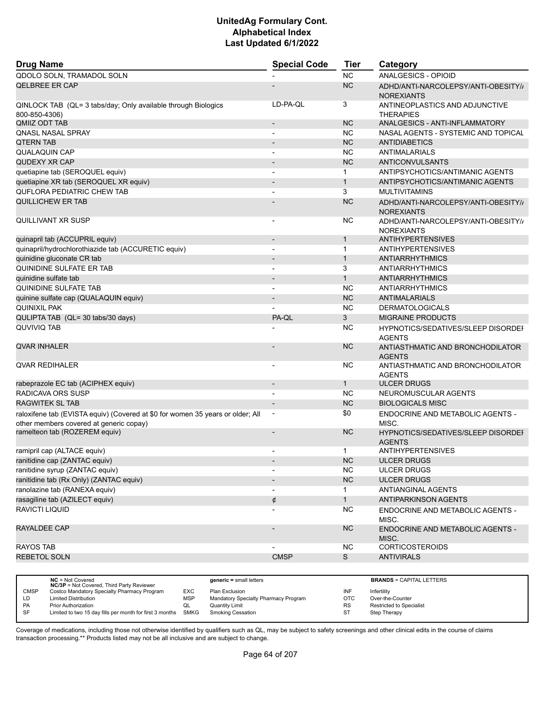| QDOLO SOLN, TRAMADOL SOLN<br><b>NC</b><br><b>ANALGESICS - OPIOID</b><br><b>QELBREE ER CAP</b><br><b>NC</b><br>ADHD/ANTI-NARCOLEPSY/ANTI-OBESITY//<br><b>NOREXIANTS</b><br>LD-PA-OL<br>3<br>QINLOCK TAB (QL= 3 tabs/day; Only available through Biologics<br>ANTINEOPLASTICS AND ADJUNCTIVE<br>800-850-4306)<br><b>THERAPIES</b><br>QMIIZ ODT TAB<br><b>NC</b><br>ANALGESICS - ANTI-INFLAMMATORY<br>$\overline{\phantom{a}}$<br><b>NC</b><br>NASAL AGENTS - SYSTEMIC AND TOPICAL<br><b>QNASL NASAL SPRAY</b><br>$\overline{\phantom{0}}$<br><b>NC</b><br><b>QTERN TAB</b><br><b>ANTIDIABETICS</b><br><b>NC</b><br><b>QUALAQUIN CAP</b><br>ANTIMALARIALS<br>$\blacksquare$<br><b>NC</b><br><b>QUDEXY XR CAP</b><br>ANTICONVULSANTS<br>$\overline{\phantom{m}}$ |
|--------------------------------------------------------------------------------------------------------------------------------------------------------------------------------------------------------------------------------------------------------------------------------------------------------------------------------------------------------------------------------------------------------------------------------------------------------------------------------------------------------------------------------------------------------------------------------------------------------------------------------------------------------------------------------------------------------------------------------------------------------------|
|                                                                                                                                                                                                                                                                                                                                                                                                                                                                                                                                                                                                                                                                                                                                                              |
|                                                                                                                                                                                                                                                                                                                                                                                                                                                                                                                                                                                                                                                                                                                                                              |
|                                                                                                                                                                                                                                                                                                                                                                                                                                                                                                                                                                                                                                                                                                                                                              |
|                                                                                                                                                                                                                                                                                                                                                                                                                                                                                                                                                                                                                                                                                                                                                              |
|                                                                                                                                                                                                                                                                                                                                                                                                                                                                                                                                                                                                                                                                                                                                                              |
|                                                                                                                                                                                                                                                                                                                                                                                                                                                                                                                                                                                                                                                                                                                                                              |
|                                                                                                                                                                                                                                                                                                                                                                                                                                                                                                                                                                                                                                                                                                                                                              |
|                                                                                                                                                                                                                                                                                                                                                                                                                                                                                                                                                                                                                                                                                                                                                              |
| quetiapine tab (SEROQUEL equiv)<br>ANTIPSYCHOTICS/ANTIMANIC AGENTS<br>1                                                                                                                                                                                                                                                                                                                                                                                                                                                                                                                                                                                                                                                                                      |
| quetiapine XR tab (SEROQUEL XR equiv)<br>ANTIPSYCHOTICS/ANTIMANIC AGENTS<br>$\mathbf{1}$<br>$\overline{\phantom{a}}$                                                                                                                                                                                                                                                                                                                                                                                                                                                                                                                                                                                                                                         |
| <b>QUFLORA PEDIATRIC CHEW TAB</b><br>3<br><b>MULTIVITAMINS</b><br>$\overline{a}$                                                                                                                                                                                                                                                                                                                                                                                                                                                                                                                                                                                                                                                                             |
| QUILLICHEW ER TAB<br><b>NC</b><br>ADHD/ANTI-NARCOLEPSY/ANTI-OBESITY//<br><b>NOREXIANTS</b>                                                                                                                                                                                                                                                                                                                                                                                                                                                                                                                                                                                                                                                                   |
| <b>NC</b><br>QUILLIVANT XR SUSP<br>ADHD/ANTI-NARCOLEPSY/ANTI-OBESITY//<br><b>NOREXIANTS</b>                                                                                                                                                                                                                                                                                                                                                                                                                                                                                                                                                                                                                                                                  |
| quinapril tab (ACCUPRIL equiv)<br><b>ANTIHYPERTENSIVES</b><br>1<br>$\overline{a}$                                                                                                                                                                                                                                                                                                                                                                                                                                                                                                                                                                                                                                                                            |
| quinapril/hydrochlorothiazide tab (ACCURETIC equiv)<br>$\mathbf{1}$<br><b>ANTIHYPERTENSIVES</b><br>$\blacksquare$                                                                                                                                                                                                                                                                                                                                                                                                                                                                                                                                                                                                                                            |
| quinidine gluconate CR tab<br>$\mathbf{1}$<br>ANTIARRHYTHMICS                                                                                                                                                                                                                                                                                                                                                                                                                                                                                                                                                                                                                                                                                                |
| <b>QUINIDINE SULFATE ER TAB</b><br>3<br><b>ANTIARRHYTHMICS</b>                                                                                                                                                                                                                                                                                                                                                                                                                                                                                                                                                                                                                                                                                               |
| $\mathbf{1}$<br>quinidine sulfate tab<br><b>ANTIARRHYTHMICS</b><br>$\qquad \qquad \blacksquare$                                                                                                                                                                                                                                                                                                                                                                                                                                                                                                                                                                                                                                                              |
| <b>QUINIDINE SULFATE TAB</b><br><b>NC</b><br>ANTIARRHYTHMICS<br>$\overline{a}$                                                                                                                                                                                                                                                                                                                                                                                                                                                                                                                                                                                                                                                                               |
| <b>NC</b><br>quinine sulfate cap (QUALAQUIN equiv)<br><b>ANTIMALARIALS</b>                                                                                                                                                                                                                                                                                                                                                                                                                                                                                                                                                                                                                                                                                   |
| <b>QUINIXIL PAK</b><br><b>NC</b><br><b>DERMATOLOGICALS</b>                                                                                                                                                                                                                                                                                                                                                                                                                                                                                                                                                                                                                                                                                                   |
| QULIPTA TAB (QL= 30 tabs/30 days)<br>3<br><b>MIGRAINE PRODUCTS</b><br>PA-QL                                                                                                                                                                                                                                                                                                                                                                                                                                                                                                                                                                                                                                                                                  |
| <b>QUVIVIQ TAB</b><br><b>NC</b><br><b>HYPNOTICS/SEDATIVES/SLEEP DISORDEF</b><br><b>AGENTS</b>                                                                                                                                                                                                                                                                                                                                                                                                                                                                                                                                                                                                                                                                |
| <b>QVAR INHALER</b><br><b>NC</b><br>ANTIASTHMATIC AND BRONCHODILATOR<br><b>AGENTS</b>                                                                                                                                                                                                                                                                                                                                                                                                                                                                                                                                                                                                                                                                        |
| <b>QVAR REDIHALER</b><br><b>NC</b><br>ANTIASTHMATIC AND BRONCHODILATOR<br><b>AGENTS</b>                                                                                                                                                                                                                                                                                                                                                                                                                                                                                                                                                                                                                                                                      |
| rabeprazole EC tab (ACIPHEX equiv)<br>$\mathbf{1}$<br><b>ULCER DRUGS</b>                                                                                                                                                                                                                                                                                                                                                                                                                                                                                                                                                                                                                                                                                     |
| RADICAVA ORS SUSP<br><b>NC</b><br>NEUROMUSCULAR AGENTS                                                                                                                                                                                                                                                                                                                                                                                                                                                                                                                                                                                                                                                                                                       |
| <b>RAGWITEK SL TAB</b><br><b>NC</b><br><b>BIOLOGICALS MISC</b><br>$\overline{\phantom{a}}$                                                                                                                                                                                                                                                                                                                                                                                                                                                                                                                                                                                                                                                                   |
| \$0<br>raloxifene tab (EVISTA equiv) (Covered at \$0 for women 35 years or older; All<br>ENDOCRINE AND METABOLIC AGENTS -<br>$\overline{\phantom{a}}$<br>other members covered at generic copay)<br>MISC.                                                                                                                                                                                                                                                                                                                                                                                                                                                                                                                                                    |
| ramelteon tab (ROZEREM equiv)<br><b>NC</b><br><b>HYPNOTICS/SEDATIVES/SLEEP DISORDEF</b><br><b>AGENTS</b>                                                                                                                                                                                                                                                                                                                                                                                                                                                                                                                                                                                                                                                     |
| ramipril cap (ALTACE equiv)<br><b>ANTIHYPERTENSIVES</b><br>1                                                                                                                                                                                                                                                                                                                                                                                                                                                                                                                                                                                                                                                                                                 |
| <b>NC</b><br>ranitidine cap (ZANTAC equiv)<br><b>ULCER DRUGS</b>                                                                                                                                                                                                                                                                                                                                                                                                                                                                                                                                                                                                                                                                                             |
| ranitidine syrup (ZANTAC equiv)<br><b>NC</b><br><b>ULCER DRUGS</b>                                                                                                                                                                                                                                                                                                                                                                                                                                                                                                                                                                                                                                                                                           |
| ranitidine tab (Rx Only) (ZANTAC equiv)<br><b>NC</b><br><b>ULCER DRUGS</b>                                                                                                                                                                                                                                                                                                                                                                                                                                                                                                                                                                                                                                                                                   |
| ranolazine tab (RANEXA equiv)<br>ANTIANGINAL AGENTS<br>$\mathbf{1}$                                                                                                                                                                                                                                                                                                                                                                                                                                                                                                                                                                                                                                                                                          |
| rasagiline tab (AZILECT equiv)<br>1<br><b>ANTIPARKINSON AGENTS</b><br>¢                                                                                                                                                                                                                                                                                                                                                                                                                                                                                                                                                                                                                                                                                      |
| RAVICTI LIQUID<br><b>NC</b><br>ENDOCRINE AND METABOLIC AGENTS -<br>MISC.                                                                                                                                                                                                                                                                                                                                                                                                                                                                                                                                                                                                                                                                                     |
| RAYALDEE CAP<br><b>NC</b><br>ENDOCRINE AND METABOLIC AGENTS -<br>MISC.                                                                                                                                                                                                                                                                                                                                                                                                                                                                                                                                                                                                                                                                                       |
| <b>RAYOS TAB</b><br><b>NC</b><br><b>CORTICOSTEROIDS</b>                                                                                                                                                                                                                                                                                                                                                                                                                                                                                                                                                                                                                                                                                                      |
| <b>CMSP</b><br>S<br><b>REBETOL SOLN</b><br><b>ANTIVIRALS</b>                                                                                                                                                                                                                                                                                                                                                                                                                                                                                                                                                                                                                                                                                                 |

|             | $NC = Not Covered$<br><b>NC/3P</b> = Not Covered, Third Party Reviewer |            | $generic = small letters$            |           | <b>BRANDS = CAPITAL LETTERS</b> |
|-------------|------------------------------------------------------------------------|------------|--------------------------------------|-----------|---------------------------------|
| <b>CMSP</b> | Costco Mandatory Specialty Pharmacy Program                            | EXC        | Plan Exclusion                       | INF       | Infertility                     |
| LD          | <b>Limited Distribution</b>                                            | <b>MSP</b> | Mandatory Specialty Pharmacy Program | OTC       | Over-the-Counter                |
| <b>PA</b>   | Prior Authorization                                                    | QL         | Quantity Limit                       | <b>RS</b> | <b>Restricted to Specialist</b> |
| SF          | Limited to two 15 day fills per month for first 3 months SMKG          |            | Smoking Cessation                    | ST        | Step Therapy                    |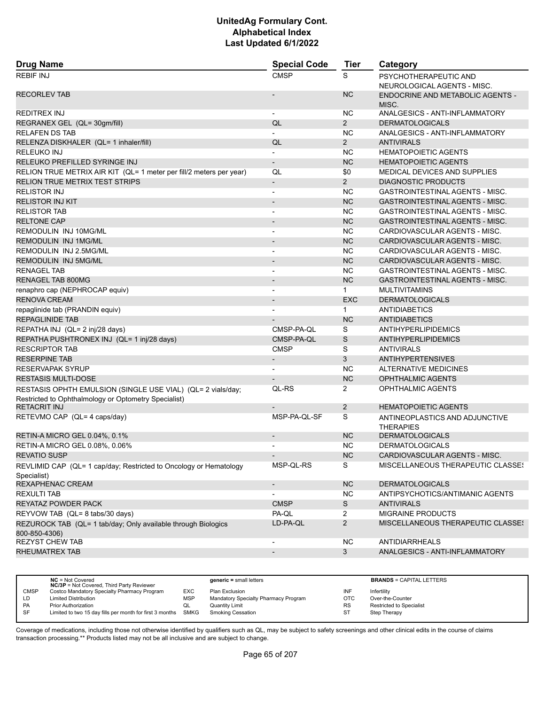| <b>Drug Name</b>                                                                                                    | <b>Special Code</b>      | <b>Tier</b>    | Category                                             |
|---------------------------------------------------------------------------------------------------------------------|--------------------------|----------------|------------------------------------------------------|
| <b>REBIF INJ</b>                                                                                                    | <b>CMSP</b>              | S              | PSYCHOTHERAPEUTIC AND<br>NEUROLOGICAL AGENTS - MISC. |
| <b>RECORLEV TAB</b>                                                                                                 |                          | <b>NC</b>      | ENDOCRINE AND METABOLIC AGENTS -<br>MISC.            |
| REDITREX INJ                                                                                                        |                          | <b>NC</b>      | ANALGESICS - ANTI-INFLAMMATORY                       |
| REGRANEX GEL (QL= 30gm/fill)                                                                                        | QL                       | $\overline{2}$ | <b>DERMATOLOGICALS</b>                               |
| <b>RELAFEN DS TAB</b>                                                                                               |                          | <b>NC</b>      | ANALGESICS - ANTI-INFLAMMATORY                       |
| RELENZA DISKHALER (QL= 1 inhaler/fill)                                                                              | QL                       | $\overline{2}$ | <b>ANTIVIRALS</b>                                    |
| RELEUKO INJ                                                                                                         |                          | <b>NC</b>      | <b>HEMATOPOIETIC AGENTS</b>                          |
| RELEUKO PREFILLED SYRINGE INJ                                                                                       | $\overline{\phantom{a}}$ | <b>NC</b>      | <b>HEMATOPOIETIC AGENTS</b>                          |
| RELION TRUE METRIX AIR KIT (QL= 1 meter per fill/2 meters per year)                                                 | QL                       | \$0            | MEDICAL DEVICES AND SUPPLIES                         |
| <b>RELION TRUE METRIX TEST STRIPS</b>                                                                               | $\blacksquare$           | $2^{\circ}$    | <b>DIAGNOSTIC PRODUCTS</b>                           |
| <b>RELISTOR INJ</b>                                                                                                 | $\overline{\phantom{a}}$ | <b>NC</b>      | <b>GASTROINTESTINAL AGENTS - MISC.</b>               |
| <b>RELISTOR INJ KIT</b>                                                                                             | $\blacksquare$           | <b>NC</b>      | <b>GASTROINTESTINAL AGENTS - MISC.</b>               |
| <b>RELISTOR TAB</b>                                                                                                 | $\blacksquare$           | <b>NC</b>      | GASTROINTESTINAL AGENTS - MISC.                      |
| <b>RELTONE CAP</b>                                                                                                  | $\overline{\phantom{a}}$ | <b>NC</b>      | <b>GASTROINTESTINAL AGENTS - MISC.</b>               |
| REMODULIN INJ 10MG/ML                                                                                               | $\blacksquare$           | <b>NC</b>      | CARDIOVASCULAR AGENTS - MISC.                        |
| REMODULIN INJ 1MG/ML                                                                                                | $\blacksquare$           | <b>NC</b>      | CARDIOVASCULAR AGENTS - MISC.                        |
| REMODULIN INJ 2.5MG/ML                                                                                              | $\blacksquare$           | <b>NC</b>      | CARDIOVASCULAR AGENTS - MISC.                        |
| REMODULIN INJ 5MG/ML                                                                                                | $\overline{\phantom{a}}$ | <b>NC</b>      | CARDIOVASCULAR AGENTS - MISC.                        |
| <b>RENAGEL TAB</b>                                                                                                  |                          | <b>NC</b>      | <b>GASTROINTESTINAL AGENTS - MISC.</b>               |
| RENAGEL TAB 800MG                                                                                                   | $\blacksquare$           | <b>NC</b>      | <b>GASTROINTESTINAL AGENTS - MISC.</b>               |
| renaphro cap (NEPHROCAP equiv)                                                                                      | $\overline{\phantom{a}}$ | $\mathbf 1$    | <b>MULTIVITAMINS</b>                                 |
| <b>RENOVA CREAM</b>                                                                                                 |                          | <b>EXC</b>     | <b>DERMATOLOGICALS</b>                               |
| repaglinide tab (PRANDIN equiv)                                                                                     | $\blacksquare$           | 1              | <b>ANTIDIABETICS</b>                                 |
| <b>REPAGLINIDE TAB</b>                                                                                              |                          | <b>NC</b>      | <b>ANTIDIABETICS</b>                                 |
| REPATHA INJ (QL= 2 inj/28 days)                                                                                     | CMSP-PA-QL               | S              | <b>ANTIHYPERLIPIDEMICS</b>                           |
| REPATHA PUSHTRONEX INJ (QL= 1 inj/28 days)                                                                          | CMSP-PA-QL               | S              | <b>ANTIHYPERLIPIDEMICS</b>                           |
| <b>RESCRIPTOR TAB</b>                                                                                               | <b>CMSP</b>              | S              | <b>ANTIVIRALS</b>                                    |
| <b>RESERPINE TAB</b>                                                                                                |                          | 3              | <b>ANTIHYPERTENSIVES</b>                             |
| <b>RESERVAPAK SYRUP</b>                                                                                             | $\overline{\phantom{a}}$ | <b>NC</b>      | <b>ALTERNATIVE MEDICINES</b>                         |
| <b>RESTASIS MULTI-DOSE</b>                                                                                          |                          | <b>NC</b>      | <b>OPHTHALMIC AGENTS</b>                             |
|                                                                                                                     | QL-RS                    | $\overline{2}$ | <b>OPHTHALMIC AGENTS</b>                             |
| RESTASIS OPHTH EMULSION (SINGLE USE VIAL) (QL= 2 vials/day;<br>Restricted to Ophthalmology or Optometry Specialist) |                          |                |                                                      |
| <b>RETACRIT INJ</b>                                                                                                 |                          | $\overline{2}$ | <b>HEMATOPOIETIC AGENTS</b>                          |
| RETEVMO CAP (QL= 4 caps/day)                                                                                        | MSP-PA-QL-SF             | S              | ANTINEOPLASTICS AND ADJUNCTIVE<br><b>THERAPIES</b>   |
| RETIN-A MICRO GEL 0.04%, 0.1%                                                                                       | $\blacksquare$           | <b>NC</b>      | <b>DERMATOLOGICALS</b>                               |
| RETIN-A MICRO GEL 0.08%, 0.06%                                                                                      | $\blacksquare$           | <b>NC</b>      | <b>DERMATOLOGICALS</b>                               |
| <b>REVATIO SUSP</b>                                                                                                 |                          | <b>NC</b>      | CARDIOVASCULAR AGENTS - MISC.                        |
| REVLIMID CAP (QL= 1 cap/day; Restricted to Oncology or Hematology<br>Specialist)                                    | MSP-QL-RS                | S              | <b>MISCELLANEOUS THERAPEUTIC CLASSES</b>             |
| REXAPHENAC CREAM                                                                                                    | $\overline{\phantom{a}}$ | <b>NC</b>      | <b>DERMATOLOGICALS</b>                               |
| <b>REXULTI TAB</b>                                                                                                  |                          | <b>NC</b>      | ANTIPSYCHOTICS/ANTIMANIC AGENTS                      |
| REYATAZ POWDER PACK                                                                                                 | <b>CMSP</b>              | S              | <b>ANTIVIRALS</b>                                    |
| REYVOW TAB (QL= 8 tabs/30 days)                                                                                     | PA-QL                    | $\overline{2}$ | <b>MIGRAINE PRODUCTS</b>                             |
| REZUROCK TAB (QL= 1 tab/day; Only available through Biologics<br>800-850-4306)                                      | LD-PA-QL                 | $\overline{2}$ | MISCELLANEOUS THERAPEUTIC CLASSES                    |
| <b>REZYST CHEW TAB</b>                                                                                              | $\overline{\phantom{a}}$ | <b>NC</b>      | ANTIDIARRHEALS                                       |
| RHEUMATREX TAB                                                                                                      |                          | 3              | ANALGESICS - ANTI-INFLAMMATORY                       |
|                                                                                                                     |                          |                |                                                      |

|             | $NC = Not Covered$<br><b>NC/3P</b> = Not Covered, Third Party Reviewer |            | $generic = small letters$            |            | <b>BRANDS = CAPITAL LETTERS</b> |
|-------------|------------------------------------------------------------------------|------------|--------------------------------------|------------|---------------------------------|
| <b>CMSP</b> | Costco Mandatory Specialty Pharmacy Program                            | EXC        | Plan Exclusion                       | INF        | Infertility                     |
| LD          | <b>Limited Distribution</b>                                            | <b>MSP</b> | Mandatory Specialty Pharmacy Program | <b>OTC</b> | Over-the-Counter                |
| <b>PA</b>   | <b>Prior Authorization</b>                                             | QL         | <b>Quantity Limit</b>                | <b>RS</b>  | Restricted to Specialist        |
| <b>SF</b>   | Limited to two 15 day fills per month for first 3 months               | SMKG       | <b>Smoking Cessation</b>             | ST         | Step Therapy                    |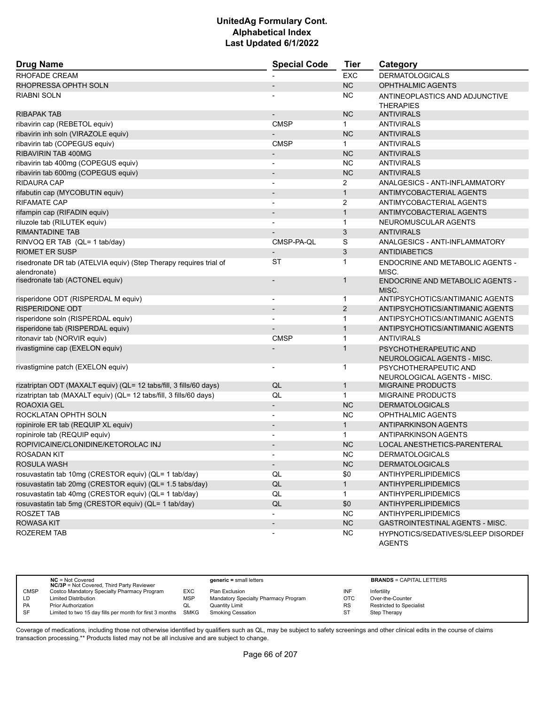| <b>Drug Name</b>                                                   | <b>Special Code</b>      | <b>Tier</b>  | Category                                             |
|--------------------------------------------------------------------|--------------------------|--------------|------------------------------------------------------|
| <b>RHOFADE CREAM</b>                                               |                          | <b>EXC</b>   | <b>DERMATOLOGICALS</b>                               |
| RHOPRESSA OPHTH SOLN                                               |                          | NC           | <b>OPHTHALMIC AGENTS</b>                             |
| RIABNI SOLN                                                        |                          | <b>NC</b>    | ANTINEOPLASTICS AND ADJUNCTIVE                       |
|                                                                    |                          |              | <b>THERAPIES</b>                                     |
| <b>RIBAPAK TAB</b>                                                 |                          | <b>NC</b>    | <b>ANTIVIRALS</b>                                    |
| ribavirin cap (REBETOL equiv)                                      | <b>CMSP</b>              | $\mathbf{1}$ | <b>ANTIVIRALS</b>                                    |
| ribavirin inh soln (VIRAZOLE equiv)                                |                          | <b>NC</b>    | <b>ANTIVIRALS</b>                                    |
| ribavirin tab (COPEGUS equiv)                                      | <b>CMSP</b>              | $\mathbf{1}$ | <b>ANTIVIRALS</b>                                    |
| RIBAVIRIN TAB 400MG                                                |                          | <b>NC</b>    | <b>ANTIVIRALS</b>                                    |
| ribavirin tab 400mg (COPEGUS equiv)                                |                          | <b>NC</b>    | <b>ANTIVIRALS</b>                                    |
| ribavirin tab 600mg (COPEGUS equiv)                                | $\overline{\phantom{a}}$ | <b>NC</b>    | <b>ANTIVIRALS</b>                                    |
| <b>RIDAURA CAP</b>                                                 | $\overline{a}$           | 2            | ANALGESICS - ANTI-INFLAMMATORY                       |
| rifabutin cap (MYCOBUTIN equiv)                                    |                          | $\mathbf{1}$ | ANTIMYCOBACTERIAL AGENTS                             |
| <b>RIFAMATE CAP</b>                                                | $\overline{\phantom{a}}$ | 2            | ANTIMYCOBACTERIAL AGENTS                             |
| rifampin cap (RIFADIN equiv)                                       | $\overline{\phantom{a}}$ | $\mathbf{1}$ | ANTIMYCOBACTERIAL AGENTS                             |
| riluzole tab (RILUTEK equiv)                                       |                          | $\mathbf{1}$ | NEUROMUSCULAR AGENTS                                 |
| <b>RIMANTADINE TAB</b>                                             |                          | 3            | <b>ANTIVIRALS</b>                                    |
| RINVOQ ER TAB (QL= 1 tab/day)                                      | CMSP-PA-QL               | S            | ANALGESICS - ANTI-INFLAMMATORY                       |
| <b>RIOMET ER SUSP</b>                                              | $\overline{a}$           | 3            | <b>ANTIDIABETICS</b>                                 |
| risedronate DR tab (ATELVIA equiv) (Step Therapy requires trial of | ST                       | 1            | ENDOCRINE AND METABOLIC AGENTS -                     |
| alendronate)                                                       |                          |              | MISC.                                                |
| risedronate tab (ACTONEL equiv)                                    |                          | $\mathbf{1}$ | <b>ENDOCRINE AND METABOLIC AGENTS -</b>              |
|                                                                    |                          |              | MISC.                                                |
| risperidone ODT (RISPERDAL M equiv)                                | $\overline{a}$           | 1            | ANTIPSYCHOTICS/ANTIMANIC AGENTS                      |
| RISPERIDONE ODT                                                    | $\overline{\phantom{a}}$ | 2            | ANTIPSYCHOTICS/ANTIMANIC AGENTS                      |
| risperidone soln (RISPERDAL equiv)                                 |                          | 1            | ANTIPSYCHOTICS/ANTIMANIC AGENTS                      |
| risperidone tab (RISPERDAL equiv)                                  |                          | $\mathbf{1}$ | ANTIPSYCHOTICS/ANTIMANIC AGENTS                      |
| ritonavir tab (NORVIR equiv)                                       | <b>CMSP</b>              | $\mathbf{1}$ | <b>ANTIVIRALS</b>                                    |
| rivastigmine cap (EXELON equiv)                                    |                          | $\mathbf{1}$ | PSYCHOTHERAPEUTIC AND                                |
| rivastigmine patch (EXELON equiv)                                  |                          | 1            | NEUROLOGICAL AGENTS - MISC.<br>PSYCHOTHERAPEUTIC AND |
|                                                                    |                          |              | NEUROLOGICAL AGENTS - MISC.                          |
| rizatriptan ODT (MAXALT equiv) (QL= 12 tabs/fill, 3 fills/60 days) | QL                       | $\mathbf{1}$ | <b>MIGRAINE PRODUCTS</b>                             |
| rizatriptan tab (MAXALT equiv) (QL= 12 tabs/fill, 3 fills/60 days) | QL                       | $\mathbf{1}$ | MIGRAINE PRODUCTS                                    |
| ROAOXIA GEL                                                        | $\overline{\phantom{a}}$ | <b>NC</b>    | <b>DERMATOLOGICALS</b>                               |
| ROCKLATAN OPHTH SOLN                                               |                          | <b>NC</b>    | OPHTHALMIC AGENTS                                    |
| ropinirole ER tab (REQUIP XL equiv)                                | $\blacksquare$           | $\mathbf{1}$ | <b>ANTIPARKINSON AGENTS</b>                          |
| ropinirole tab (REQUIP equiv)                                      |                          | $\mathbf{1}$ | ANTIPARKINSON AGENTS                                 |
| ROPIVICAINE/CLONIDINE/KETOROLAC INJ                                |                          | <b>NC</b>    | LOCAL ANESTHETICS-PARENTERAL                         |
| ROSADAN KIT                                                        |                          | <b>NC</b>    | <b>DERMATOLOGICALS</b>                               |
| <b>ROSULA WASH</b>                                                 | $\overline{\phantom{a}}$ | NC           | <b>DERMATOLOGICALS</b>                               |
| rosuvastatin tab 10mg (CRESTOR equiv) (QL= 1 tab/day)              | QL                       | \$0          | <b>ANTIHYPERLIPIDEMICS</b>                           |
| rosuvastatin tab 20mg (CRESTOR equiv) (QL= 1.5 tabs/day)           | QL                       | $\mathbf{1}$ | <b>ANTIHYPERLIPIDEMICS</b>                           |
| rosuvastatin tab 40mg (CRESTOR equiv) (QL= 1 tab/day)              | QL                       | $\mathbf{1}$ | ANTIHYPERLIPIDEMICS                                  |
| rosuvastatin tab 5mg (CRESTOR equiv) (QL= 1 tab/day)               | QL                       | \$0          | <b>ANTIHYPERLIPIDEMICS</b>                           |
| <b>ROSZET TAB</b>                                                  | $\overline{a}$           | NC.          | <b>ANTIHYPERLIPIDEMICS</b>                           |
| <b>ROWASA KIT</b>                                                  | $\overline{\phantom{a}}$ | <b>NC</b>    | GASTROINTESTINAL AGENTS - MISC.                      |
| <b>ROZEREM TAB</b>                                                 |                          | <b>NC</b>    | HYPNOTICS/SEDATIVES/SLEEP DISORDEI                   |
|                                                                    |                          |              | <b>AGENTS</b>                                        |

|             | $NC = Not Covered$<br><b>NC/3P</b> = Not Covered, Third Party Reviewer |            | $generic = small letters$            |            | <b>BRANDS = CAPITAL LETTERS</b> |
|-------------|------------------------------------------------------------------------|------------|--------------------------------------|------------|---------------------------------|
| <b>CMSP</b> | Costco Mandatory Specialty Pharmacy Program                            | EXC        | Plan Exclusion                       | INF        | Infertility                     |
| LD          | <b>Limited Distribution</b>                                            | <b>MSP</b> | Mandatory Specialty Pharmacy Program | <b>OTC</b> | Over-the-Counter                |
| <b>PA</b>   | <b>Prior Authorization</b>                                             | QL         | <b>Quantity Limit</b>                | <b>RS</b>  | <b>Restricted to Specialist</b> |
| <b>SF</b>   | Limited to two 15 day fills per month for first 3 months SMKG          |            | <b>Smoking Cessation</b>             | ST         | <b>Step Therapy</b>             |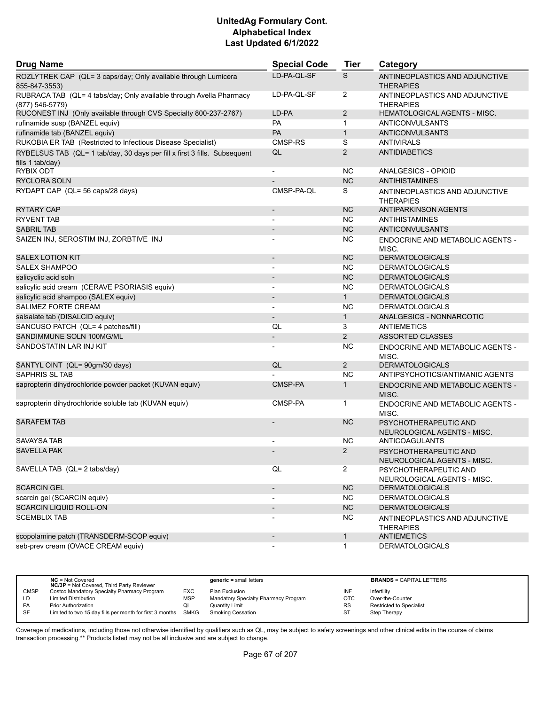| <b>Drug Name</b>                                                                              | <b>Special Code</b>      | <b>Tier</b>    | Category                                             |
|-----------------------------------------------------------------------------------------------|--------------------------|----------------|------------------------------------------------------|
| ROZLYTREK CAP (QL= 3 caps/day; Only available through Lumicera<br>855-847-3553)               | LD-PA-QL-SF              | S              | ANTINEOPLASTICS AND ADJUNCTIVE<br><b>THERAPIES</b>   |
| RUBRACA TAB (QL= 4 tabs/day; Only available through Avella Pharmacy<br>$(877) 546 - 5779$     | LD-PA-QL-SF              | $\overline{2}$ | ANTINEOPLASTICS AND ADJUNCTIVE<br><b>THERAPIES</b>   |
| RUCONEST INJ (Only available through CVS Specialty 800-237-2767)                              | LD-PA                    | $\overline{2}$ | HEMATOLOGICAL AGENTS - MISC.                         |
| rufinamide susp (BANZEL equiv)                                                                | PA                       | $\mathbf{1}$   | ANTICONVULSANTS                                      |
| rufinamide tab (BANZEL equiv)                                                                 | PA                       | $\mathbf{1}$   | <b>ANTICONVULSANTS</b>                               |
| RUKOBIA ER TAB (Restricted to Infectious Disease Specialist)                                  | CMSP-RS                  | S              | <b>ANTIVIRALS</b>                                    |
| RYBELSUS TAB (QL= 1 tab/day, 30 days per fill x first 3 fills. Subsequent<br>fills 1 tab/day) | QL                       | 2              | <b>ANTIDIABETICS</b>                                 |
| RYBIX ODT                                                                                     |                          | NC.            | ANALGESICS - OPIOID                                  |
| <b>RYCLORA SOLN</b>                                                                           |                          | <b>NC</b>      | <b>ANTIHISTAMINES</b>                                |
| RYDAPT CAP (QL= 56 caps/28 days)                                                              | CMSP-PA-QL               | S              | ANTINEOPLASTICS AND ADJUNCTIVE<br><b>THERAPIES</b>   |
| <b>RYTARY CAP</b>                                                                             |                          | <b>NC</b>      | <b>ANTIPARKINSON AGENTS</b>                          |
| <b>RYVENT TAB</b>                                                                             | $\blacksquare$           | <b>NC</b>      | ANTIHISTAMINES                                       |
| <b>SABRIL TAB</b>                                                                             | $\overline{\phantom{a}}$ | <b>NC</b>      | <b>ANTICONVULSANTS</b>                               |
| SAIZEN INJ, SEROSTIM INJ, ZORBTIVE INJ                                                        |                          | <b>NC</b>      | ENDOCRINE AND METABOLIC AGENTS -<br>MISC.            |
| <b>SALEX LOTION KIT</b>                                                                       | $\overline{\phantom{a}}$ | <b>NC</b>      | <b>DERMATOLOGICALS</b>                               |
| <b>SALEX SHAMPOO</b>                                                                          | $\blacksquare$           | <b>NC</b>      | <b>DERMATOLOGICALS</b>                               |
| salicyclic acid soln                                                                          |                          | <b>NC</b>      | <b>DERMATOLOGICALS</b>                               |
| salicylic acid cream (CERAVE PSORIASIS equiv)                                                 |                          | <b>NC</b>      | <b>DERMATOLOGICALS</b>                               |
| salicylic acid shampoo (SALEX equiv)                                                          | $\blacksquare$           | 1              | <b>DERMATOLOGICALS</b>                               |
| SALIMEZ FORTE CREAM                                                                           |                          | <b>NC</b>      | <b>DERMATOLOGICALS</b>                               |
| salsalate tab (DISALCID equiv)                                                                | $\overline{\phantom{a}}$ | $\mathbf{1}$   | ANALGESICS - NONNARCOTIC                             |
| SANCUSO PATCH (QL= 4 patches/fill)                                                            | QL                       | 3              | <b>ANTIEMETICS</b>                                   |
| SANDIMMUNE SOLN 100MG/ML                                                                      | $\overline{\phantom{a}}$ | 2              | <b>ASSORTED CLASSES</b>                              |
| SANDOSTATIN LAR INJ KIT                                                                       | $\blacksquare$           | <b>NC</b>      | ENDOCRINE AND METABOLIC AGENTS -<br>MISC.            |
| SANTYL OINT (QL= 90gm/30 days)                                                                | QL                       | $\overline{2}$ | <b>DERMATOLOGICALS</b>                               |
| <b>SAPHRIS SL TAB</b>                                                                         |                          | <b>NC</b>      | ANTIPSYCHOTICS/ANTIMANIC AGENTS                      |
| sapropterin dihydrochloride powder packet (KUVAN equiv)                                       | CMSP-PA                  | $\mathbf{1}$   | <b>ENDOCRINE AND METABOLIC AGENTS -</b><br>MISC.     |
| sapropterin dihydrochloride soluble tab (KUVAN equiv)                                         | CMSP-PA                  | 1              | ENDOCRINE AND METABOLIC AGENTS -<br>MISC.            |
| <b>SARAFEM TAB</b>                                                                            |                          | <b>NC</b>      | PSYCHOTHERAPEUTIC AND<br>NEUROLOGICAL AGENTS - MISC. |
| SAVAYSA TAB                                                                                   |                          | NC.            | ANTICOAGULANTS                                       |
| <b>SAVELLA PAK</b>                                                                            |                          | $\overline{2}$ | PSYCHOTHERAPEUTIC AND<br>NEUROLOGICAL AGENTS - MISC. |
| SAVELLA TAB (QL= 2 tabs/day)                                                                  | QL                       | $\overline{2}$ | PSYCHOTHERAPEUTIC AND<br>NEUROLOGICAL AGENTS - MISC. |
| <b>SCARCIN GEL</b>                                                                            | $\overline{\phantom{a}}$ | NC             | <b>DERMATOLOGICALS</b>                               |
| scarcin gel (SCARCIN equiv)                                                                   |                          | <b>NC</b>      | <b>DERMATOLOGICALS</b>                               |
| <b>SCARCIN LIQUID ROLL-ON</b>                                                                 | $\overline{\phantom{a}}$ | NC             | <b>DERMATOLOGICALS</b>                               |
| <b>SCEMBLIX TAB</b>                                                                           |                          | <b>NC</b>      | ANTINEOPLASTICS AND ADJUNCTIVE<br><b>THERAPIES</b>   |
| scopolamine patch (TRANSDERM-SCOP equiv)                                                      | $\overline{\phantom{a}}$ | $\mathbf{1}$   | <b>ANTIEMETICS</b>                                   |
| seb-prev cream (OVACE CREAM equiv)                                                            |                          | $\mathbf{1}$   | <b>DERMATOLOGICALS</b>                               |

|             | $NC = Not Covered$<br><b>NC/3P</b> = Not Covered, Third Party Reviewer |            | $generic = small letters$            |            | <b>BRANDS = CAPITAL LETTERS</b> |
|-------------|------------------------------------------------------------------------|------------|--------------------------------------|------------|---------------------------------|
| <b>CMSP</b> | Costco Mandatory Specialty Pharmacy Program                            | EXC        | Plan Exclusion                       | INF        | Infertility                     |
| LD          | <b>Limited Distribution</b>                                            | <b>MSP</b> | Mandatory Specialty Pharmacy Program | <b>OTC</b> | Over-the-Counter                |
| <b>PA</b>   | <b>Prior Authorization</b>                                             | QL         | Quantity Limit                       | <b>RS</b>  | <b>Restricted to Specialist</b> |
| SF          | Limited to two 15 day fills per month for first 3 months SMKG          |            | <b>Smoking Cessation</b>             | ST         | <b>Step Therapy</b>             |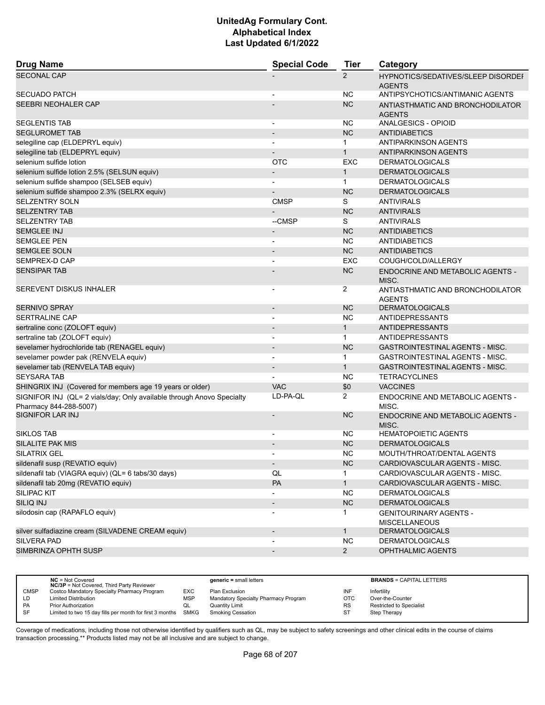| <b>Drug Name</b>                                                                                | <b>Special Code</b>          | <b>Tier</b>    | Category                                                   |
|-------------------------------------------------------------------------------------------------|------------------------------|----------------|------------------------------------------------------------|
| <b>SECONAL CAP</b>                                                                              |                              | $\overline{2}$ | <b>HYPNOTICS/SEDATIVES/SLEEP DISORDEF</b><br><b>AGENTS</b> |
| <b>SECUADO PATCH</b>                                                                            |                              | NC.            | ANTIPSYCHOTICS/ANTIMANIC AGENTS                            |
| SEEBRI NEOHALER CAP                                                                             |                              | <b>NC</b>      | ANTIASTHMATIC AND BRONCHODILATOR<br><b>AGENTS</b>          |
| <b>SEGLENTIS TAB</b>                                                                            | $\overline{\phantom{a}}$     | ΝC             | ANALGESICS - OPIOID                                        |
| <b>SEGLUROMET TAB</b>                                                                           | $\overline{a}$               | <b>NC</b>      | <b>ANTIDIABETICS</b>                                       |
| selegiline cap (ELDEPRYL equiv)                                                                 | $\blacksquare$               | $\mathbf{1}$   | ANTIPARKINSON AGENTS                                       |
| selegiline tab (ELDEPRYL equiv)                                                                 |                              | $\mathbf{1}$   | <b>ANTIPARKINSON AGENTS</b>                                |
| selenium sulfide lotion                                                                         | <b>OTC</b>                   | <b>EXC</b>     | <b>DERMATOLOGICALS</b>                                     |
| selenium sulfide lotion 2.5% (SELSUN equiv)                                                     | $\overline{\phantom{a}}$     | $\mathbf{1}$   | <b>DERMATOLOGICALS</b>                                     |
| selenium sulfide shampoo (SELSEB equiv)                                                         | $\overline{\phantom{a}}$     | $\mathbf{1}$   | <b>DERMATOLOGICALS</b>                                     |
| selenium sulfide shampoo 2.3% (SELRX equiv)                                                     |                              | <b>NC</b>      | <b>DERMATOLOGICALS</b>                                     |
| <b>SELZENTRY SOLN</b>                                                                           | <b>CMSP</b>                  | S              | <b>ANTIVIRALS</b>                                          |
| <b>SELZENTRY TAB</b>                                                                            |                              | <b>NC</b>      | <b>ANTIVIRALS</b>                                          |
| <b>SELZENTRY TAB</b>                                                                            | --CMSP                       | S              | <b>ANTIVIRALS</b>                                          |
| <b>SEMGLEE INJ</b>                                                                              | $\overline{\phantom{a}}$     | <b>NC</b>      | <b>ANTIDIABETICS</b>                                       |
| <b>SEMGLEE PEN</b>                                                                              | $\overline{\phantom{a}}$     | NC.            | <b>ANTIDIABETICS</b>                                       |
| <b>SEMGLEE SOLN</b>                                                                             |                              | <b>NC</b>      | <b>ANTIDIABETICS</b>                                       |
| SEMPREX-D CAP                                                                                   |                              | <b>EXC</b>     | COUGH/COLD/ALLERGY                                         |
| <b>SENSIPAR TAB</b>                                                                             |                              | <b>NC</b>      | ENDOCRINE AND METABOLIC AGENTS -                           |
| SEREVENT DISKUS INHALER                                                                         |                              |                | MISC.                                                      |
|                                                                                                 | -                            | 2              | ANTIASTHMATIC AND BRONCHODILATOR<br><b>AGENTS</b>          |
| <b>SERNIVO SPRAY</b>                                                                            | $\overline{\phantom{a}}$     | <b>NC</b>      | <b>DERMATOLOGICALS</b>                                     |
| <b>SERTRALINE CAP</b>                                                                           | $\blacksquare$               | <b>NC</b>      | ANTIDEPRESSANTS                                            |
| sertraline conc (ZOLOFT equiv)                                                                  |                              | $\mathbf{1}$   | <b>ANTIDEPRESSANTS</b>                                     |
| sertraline tab (ZOLOFT equiv)                                                                   | $\blacksquare$               | $\mathbf{1}$   | <b>ANTIDEPRESSANTS</b>                                     |
| sevelamer hydrochloride tab (RENAGEL equiv)                                                     | $\overline{\phantom{a}}$     | <b>NC</b>      | <b>GASTROINTESTINAL AGENTS - MISC.</b>                     |
| sevelamer powder pak (RENVELA equiv)                                                            | $\blacksquare$               | $\mathbf{1}$   | <b>GASTROINTESTINAL AGENTS - MISC.</b>                     |
| sevelamer tab (RENVELA TAB equiv)                                                               | $\overline{\phantom{a}}$     | $\mathbf{1}$   | <b>GASTROINTESTINAL AGENTS - MISC.</b>                     |
| <b>SEYSARA TAB</b>                                                                              |                              | NC             | <b>TETRACYCLINES</b>                                       |
| SHINGRIX INJ (Covered for members age 19 years or older)                                        | <b>VAC</b>                   | \$0            | <b>VACCINES</b>                                            |
| SIGNIFOR INJ (QL= 2 vials/day; Only available through Anovo Specialty<br>Pharmacy 844-288-5007) | LD-PA-QL                     | $\overline{2}$ | ENDOCRINE AND METABOLIC AGENTS -<br>MISC.                  |
| <b>SIGNIFOR LAR INJ</b>                                                                         | $\qquad \qquad \blacksquare$ | <b>NC</b>      | ENDOCRINE AND METABOLIC AGENTS -<br>MISC.                  |
| <b>SIKLOS TAB</b>                                                                               | $\blacksquare$               | NC.            | <b>HEMATOPOIETIC AGENTS</b>                                |
| <b>SILALITE PAK MIS</b>                                                                         |                              | <b>NC</b>      | <b>DERMATOLOGICALS</b>                                     |
| <b>SILATRIX GEL</b>                                                                             |                              | <b>NC</b>      | MOUTH/THROAT/DENTAL AGENTS                                 |
| sildenafil susp (REVATIO equiv)                                                                 | $\overline{\phantom{a}}$     | NC             | CARDIOVASCULAR AGENTS - MISC.                              |
| sildenafil tab (VIAGRA equiv) (QL= 6 tabs/30 days)                                              | QL                           | $\mathbf{1}$   | CARDIOVASCULAR AGENTS - MISC.                              |
| sildenafil tab 20mg (REVATIO equiv)                                                             | PA                           | $\mathbf{1}$   | CARDIOVASCULAR AGENTS - MISC.                              |
| <b>SILIPAC KIT</b>                                                                              | $\overline{\phantom{0}}$     | <b>NC</b>      | <b>DERMATOLOGICALS</b>                                     |
| SILIQ INJ                                                                                       | $\overline{\phantom{a}}$     | NC             | <b>DERMATOLOGICALS</b>                                     |
| silodosin cap (RAPAFLO equiv)                                                                   | $\qquad \qquad \blacksquare$ | $\mathbf{1}$   | <b>GENITOURINARY AGENTS -</b>                              |
|                                                                                                 |                              |                | <b>MISCELLANEOUS</b>                                       |
| silver sulfadiazine cream (SILVADENE CREAM equiv)                                               | $\overline{\phantom{a}}$     | $\mathbf{1}$   | <b>DERMATOLOGICALS</b>                                     |
| <b>SILVERA PAD</b>                                                                              |                              | <b>NC</b>      | <b>DERMATOLOGICALS</b>                                     |
| SIMBRINZA OPHTH SUSP                                                                            | $\overline{\phantom{a}}$     | $\overline{2}$ | OPHTHALMIC AGENTS                                          |
|                                                                                                 |                              |                |                                                            |

|             | $NC = Not Covered$<br><b>NC/3P</b> = Not Covered, Third Party Reviewer |            | $generic = small letters$            |            | <b>BRANDS = CAPITAL LETTERS</b> |
|-------------|------------------------------------------------------------------------|------------|--------------------------------------|------------|---------------------------------|
| <b>CMSP</b> | Costco Mandatory Specialty Pharmacy Program                            | EXC        | Plan Exclusion                       | INF        | Infertility                     |
| LD          | <b>Limited Distribution</b>                                            | <b>MSP</b> | Mandatory Specialty Pharmacy Program | <b>OTC</b> | Over-the-Counter                |
| <b>PA</b>   | <b>Prior Authorization</b>                                             | QL         | Quantity Limit                       | <b>RS</b>  | <b>Restricted to Specialist</b> |
| SF          | Limited to two 15 day fills per month for first 3 months SMKG          |            | Smoking Cessation                    | ST         | <b>Step Therapy</b>             |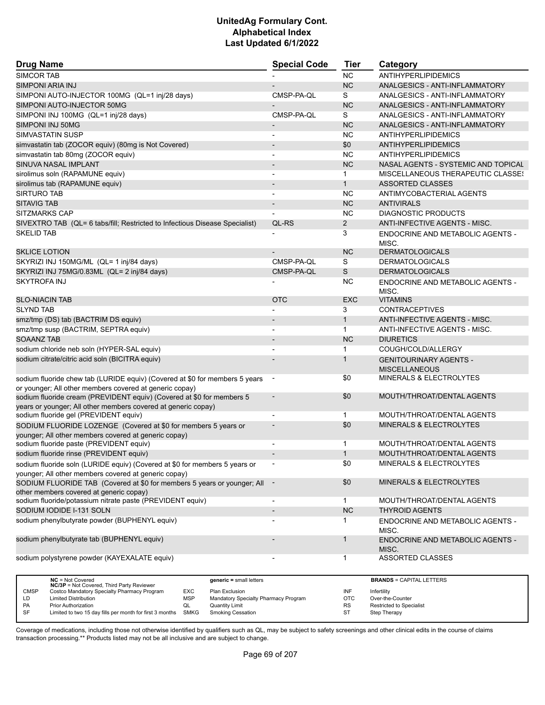| <b>Drug Name</b>                                                                                                                       | <b>Special Code</b>                  | <b>Tier</b>       | Category                                  |
|----------------------------------------------------------------------------------------------------------------------------------------|--------------------------------------|-------------------|-------------------------------------------|
| SIMCOR TAB                                                                                                                             |                                      | <b>NC</b>         | ANTIHYPERLIPIDEMICS                       |
| SIMPONI ARIA INJ                                                                                                                       |                                      | <b>NC</b>         | ANALGESICS - ANTI-INFLAMMATORY            |
| SIMPONI AUTO-INJECTOR 100MG (QL=1 inj/28 days)                                                                                         | CMSP-PA-QL                           | S                 | ANALGESICS - ANTI-INFLAMMATORY            |
| SIMPONI AUTO-INJECTOR 50MG                                                                                                             |                                      | <b>NC</b>         | ANALGESICS - ANTI-INFLAMMATORY            |
| SIMPONI INJ 100MG (QL=1 inj/28 days)                                                                                                   | CMSP-PA-QL                           | S                 | ANALGESICS - ANTI-INFLAMMATORY            |
| SIMPONI INJ 50MG                                                                                                                       | $\overline{\phantom{a}}$             | <b>NC</b>         | ANALGESICS - ANTI-INFLAMMATORY            |
| <b>SIMVASTATIN SUSP</b>                                                                                                                | -                                    | <b>NC</b>         | ANTIHYPERLIPIDEMICS                       |
| simvastatin tab (ZOCOR equiv) (80mg is Not Covered)                                                                                    | $\overline{\phantom{m}}$             | \$0               | ANTIHYPERLIPIDEMICS                       |
| simvastatin tab 80mg (ZOCOR equiv)                                                                                                     | $\blacksquare$                       | <b>NC</b>         | ANTIHYPERLIPIDEMICS                       |
| SINUVA NASAL IMPLANT                                                                                                                   | $\overline{\phantom{a}}$             | <b>NC</b>         | NASAL AGENTS - SYSTEMIC AND TOPICAL       |
| sirolimus soln (RAPAMUNE equiv)                                                                                                        |                                      | 1                 | MISCELLANEOUS THERAPEUTIC CLASSES         |
| sirolimus tab (RAPAMUNE equiv)                                                                                                         | $\overline{a}$                       | $\mathbf{1}$      | <b>ASSORTED CLASSES</b>                   |
| <b>SIRTURO TAB</b>                                                                                                                     | $\overline{\phantom{a}}$             | ΝC                | ANTIMYCOBACTERIAL AGENTS                  |
| <b>SITAVIG TAB</b>                                                                                                                     |                                      | <b>NC</b>         | <b>ANTIVIRALS</b>                         |
| <b>SITZMARKS CAP</b>                                                                                                                   |                                      | <b>NC</b>         | DIAGNOSTIC PRODUCTS                       |
| SIVEXTRO TAB (QL= 6 tabs/fill; Restricted to Infectious Disease Specialist)                                                            | QL-RS                                | $\overline{2}$    | ANTI-INFECTIVE AGENTS - MISC.             |
| <b>SKELID TAB</b>                                                                                                                      |                                      | 3                 | ENDOCRINE AND METABOLIC AGENTS -<br>MISC. |
| <b>SKLICE LOTION</b>                                                                                                                   |                                      | <b>NC</b>         | <b>DERMATOLOGICALS</b>                    |
| SKYRIZI INJ 150MG/ML (QL= 1 inj/84 days)                                                                                               | CMSP-PA-QL                           | S                 | <b>DERMATOLOGICALS</b>                    |
| SKYRIZI INJ 75MG/0.83ML (QL= 2 inj/84 days)                                                                                            | CMSP-PA-QL                           | S                 | <b>DERMATOLOGICALS</b>                    |
| <b>SKYTROFA INJ</b>                                                                                                                    |                                      | <b>NC</b>         | ENDOCRINE AND METABOLIC AGENTS -<br>MISC. |
| <b>SLO-NIACIN TAB</b>                                                                                                                  | <b>OTC</b>                           | <b>EXC</b>        | <b>VITAMINS</b>                           |
| <b>SLYND TAB</b>                                                                                                                       |                                      | 3                 | <b>CONTRACEPTIVES</b>                     |
| smz/tmp (DS) tab (BACTRIM DS equiv)                                                                                                    |                                      | $\mathbf{1}$      | ANTI-INFECTIVE AGENTS - MISC.             |
| smz/tmp susp (BACTRIM, SEPTRA equiv)                                                                                                   |                                      | $\mathbf{1}$      | ANTI-INFECTIVE AGENTS - MISC.             |
| <b>SOAANZ TAB</b>                                                                                                                      |                                      | <b>NC</b>         | <b>DIURETICS</b>                          |
| sodium chloride neb soln (HYPER-SAL equiv)                                                                                             | $\overline{\phantom{0}}$             | 1                 | COUGH/COLD/ALLERGY                        |
| sodium citrate/citric acid soln (BICITRA equiv)                                                                                        |                                      | $\mathbf 1$       | <b>GENITOURINARY AGENTS -</b>             |
|                                                                                                                                        |                                      |                   | <b>MISCELLANEOUS</b>                      |
| sodium fluoride chew tab (LURIDE equiv) (Covered at \$0 for members 5 years                                                            |                                      | \$0               | <b>MINERALS &amp; ELECTROLYTES</b>        |
| or younger; All other members covered at generic copay)                                                                                |                                      |                   |                                           |
| sodium fluoride cream (PREVIDENT equiv) (Covered at \$0 for members 5                                                                  |                                      | \$0               | MOUTH/THROAT/DENTAL AGENTS                |
| years or younger; All other members covered at generic copay)                                                                          |                                      |                   |                                           |
| sodium fluoride gel (PREVIDENT equiv)                                                                                                  |                                      | $\mathbf{1}$      | MOUTH/THROAT/DENTAL AGENTS                |
| SODIUM FLUORIDE LOZENGE (Covered at \$0 for members 5 years or<br>younger; All other members covered at generic copay)                 |                                      | \$0               | <b>MINERALS &amp; ELECTROLYTES</b>        |
| sodium fluoride paste (PREVIDENT equiv)                                                                                                | $\overline{\phantom{a}}$             | 1                 | MOUTH/THROAT/DENTAL AGENTS                |
| sodium fluoride rinse (PREVIDENT equiv)                                                                                                |                                      | $\mathbf{1}$      | MOUTH/THROAT/DENTAL AGENTS                |
| sodium fluoride soln (LURIDE equiv) (Covered at \$0 for members 5 years or                                                             |                                      | \$0               | MINERALS & ELECTROLYTES                   |
| younger; All other members covered at generic copay)                                                                                   |                                      |                   |                                           |
| SODIUM FLUORIDE TAB (Covered at \$0 for members 5 years or younger; All<br>other members covered at generic copay)                     |                                      | \$0               | MINERALS & ELECTROLYTES                   |
| sodium fluoride/potassium nitrate paste (PREVIDENT equiv)                                                                              |                                      | $\mathbf 1$       | MOUTH/THROAT/DENTAL AGENTS                |
| SODIUM IODIDE I-131 SOLN                                                                                                               |                                      | <b>NC</b>         | <b>THYROID AGENTS</b>                     |
| sodium phenylbutyrate powder (BUPHENYL equiv)                                                                                          |                                      |                   | ENDOCRINE AND METABOLIC AGENTS -<br>MISC. |
| sodium phenylbutyrate tab (BUPHENYL equiv)                                                                                             |                                      | $\mathbf 1$       | ENDOCRINE AND METABOLIC AGENTS -<br>MISC. |
| sodium polystyrene powder (KAYEXALATE equiv)                                                                                           |                                      | 1                 | <b>ASSORTED CLASSES</b>                   |
|                                                                                                                                        |                                      |                   |                                           |
| NC = Not Covered<br>$generic = small letters$<br>NC/3P = Not Covered, Third Party Reviewer                                             |                                      |                   | <b>BRANDS = CAPITAL LETTERS</b>           |
| <b>CMSP</b><br>Costco Mandatory Specialty Pharmacy Program<br>EXC<br>Plan Exclusion<br>LD<br><b>Limited Distribution</b><br><b>MSP</b> | Mandatory Specialty Pharmacy Program | INF<br><b>OTC</b> | Infertility<br>Over-the-Counter           |
| PA<br><b>Prior Authorization</b><br><b>Quantity Limit</b><br>QL                                                                        |                                      | <b>RS</b>         | Restricted to Specialist                  |
| SF<br>Limited to two 15 day fills per month for first 3 months<br><b>SMKG</b><br>Smoking Cessation                                     |                                      | ST                | Step Therapy                              |

Coverage of medications, including those not otherwise identified by qualifiers such as QL, may be subject to safety screenings and other clinical edits in the course of claims transaction processing.\*\* Products listed may not be all inclusive and are subject to change.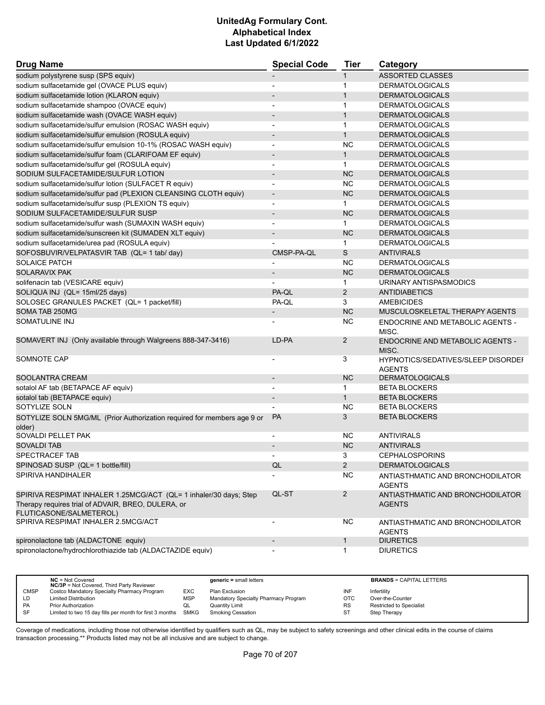| <b>Drug Name</b>                                                        | <b>Special Code</b>      | <b>Tier</b>    | Category                                          |
|-------------------------------------------------------------------------|--------------------------|----------------|---------------------------------------------------|
| sodium polystyrene susp (SPS equiv)                                     |                          | $\mathbf 1$    | <b>ASSORTED CLASSES</b>                           |
| sodium sulfacetamide gel (OVACE PLUS equiv)                             |                          | $\mathbf 1$    | <b>DERMATOLOGICALS</b>                            |
| sodium sulfacetamide lotion (KLARON equiv)                              |                          | $\mathbf{1}$   | <b>DERMATOLOGICALS</b>                            |
| sodium sulfacetamide shampoo (OVACE equiv)                              | $\blacksquare$           | $\mathbf{1}$   | <b>DERMATOLOGICALS</b>                            |
| sodium sulfacetamide wash (OVACE WASH equiv)                            | $\blacksquare$           | $\mathbf{1}$   | <b>DERMATOLOGICALS</b>                            |
| sodium sulfacetamide/sulfur emulsion (ROSAC WASH equiv)                 |                          | $\mathbf{1}$   | <b>DERMATOLOGICALS</b>                            |
| sodium sulfacetamide/sulfur emulsion (ROSULA equiv)                     | $\overline{\phantom{a}}$ | $\mathbf{1}$   | <b>DERMATOLOGICALS</b>                            |
| sodium sulfacetamide/sulfur emulsion 10-1% (ROSAC WASH equiv)           | $\overline{\phantom{a}}$ | <b>NC</b>      | <b>DERMATOLOGICALS</b>                            |
| sodium sulfacetamide/sulfur foam (CLARIFOAM EF equiv)                   |                          | $\mathbf{1}$   | <b>DERMATOLOGICALS</b>                            |
| sodium sulfacetamide/sulfur gel (ROSULA equiv)                          | $\blacksquare$           | $\mathbf{1}$   | <b>DERMATOLOGICALS</b>                            |
| SODIUM SULFACETAMIDE/SULFUR LOTION                                      | $\overline{\phantom{a}}$ | <b>NC</b>      | <b>DERMATOLOGICALS</b>                            |
| sodium sulfacetamide/sulfur lotion (SULFACET R equiv)                   |                          | <b>NC</b>      | <b>DERMATOLOGICALS</b>                            |
| sodium sulfacetamide/sulfur pad (PLEXION CLEANSING CLOTH equiv)         | $\overline{\phantom{a}}$ | <b>NC</b>      | <b>DERMATOLOGICALS</b>                            |
| sodium sulfacetamide/sulfur susp (PLEXION TS equiv)                     | $\overline{\phantom{a}}$ | $\mathbf{1}$   | <b>DERMATOLOGICALS</b>                            |
| SODIUM SULFACETAMIDE/SULFUR SUSP                                        |                          | <b>NC</b>      | <b>DERMATOLOGICALS</b>                            |
| sodium sulfacetamide/sulfur wash (SUMAXIN WASH equiv)                   | $\blacksquare$           | $\mathbf{1}$   | <b>DERMATOLOGICALS</b>                            |
| sodium sulfacetamide/sunscreen kit (SUMADEN XLT equiv)                  |                          | <b>NC</b>      | <b>DERMATOLOGICALS</b>                            |
| sodium sulfacetamide/urea pad (ROSULA equiv)                            |                          | $\mathbf{1}$   | <b>DERMATOLOGICALS</b>                            |
| SOFOSBUVIR/VELPATASVIR TAB (QL= 1 tab/ day)                             | CMSP-PA-QL               | S              | <b>ANTIVIRALS</b>                                 |
| <b>SOLAICE PATCH</b>                                                    |                          | NC.            | <b>DERMATOLOGICALS</b>                            |
| <b>SOLARAVIX PAK</b>                                                    |                          | <b>NC</b>      | <b>DERMATOLOGICALS</b>                            |
| solifenacin tab (VESICARE equiv)                                        |                          | $\mathbf{1}$   | URINARY ANTISPASMODICS                            |
| SOLIQUA INJ (QL= 15ml/25 days)                                          | PA-QL                    | $\overline{2}$ | <b>ANTIDIABETICS</b>                              |
| SOLOSEC GRANULES PACKET (QL= 1 packet/fill)                             | PA-QL                    | 3              | <b>AMEBICIDES</b>                                 |
| SOMA TAB 250MG                                                          | $\overline{\phantom{a}}$ | <b>NC</b>      | MUSCULOSKELETAL THERAPY AGENTS                    |
| SOMATULINE INJ                                                          |                          | <b>NC</b>      | ENDOCRINE AND METABOLIC AGENTS -                  |
|                                                                         |                          |                | MISC.                                             |
| SOMAVERT INJ (Only available through Walgreens 888-347-3416)            | LD-PA                    | $\overline{2}$ | <b>ENDOCRINE AND METABOLIC AGENTS -</b>           |
|                                                                         |                          |                | MISC.                                             |
| SOMNOTE CAP                                                             | $\overline{\phantom{a}}$ | 3              | <b>HYPNOTICS/SEDATIVES/SLEEP DISORDEI</b>         |
|                                                                         |                          |                | <b>AGENTS</b>                                     |
| SOOLANTRA CREAM                                                         | $\overline{\phantom{a}}$ | <b>NC</b>      | <b>DERMATOLOGICALS</b>                            |
| sotalol AF tab (BETAPACE AF equiv)                                      |                          | $\mathbf{1}$   | <b>BETA BLOCKERS</b>                              |
| sotalol tab (BETAPACE equiv)                                            | $\overline{\phantom{a}}$ | $\mathbf{1}$   | <b>BETA BLOCKERS</b>                              |
| SOTYLIZE SOLN                                                           |                          | <b>NC</b>      | <b>BETA BLOCKERS</b>                              |
| SOTYLIZE SOLN 5MG/ML (Prior Authorization required for members age 9 or | <b>PA</b>                | 3              | <b>BETA BLOCKERS</b>                              |
| older)                                                                  |                          |                |                                                   |
| SOVALDI PELLET PAK                                                      |                          | NC.            | <b>ANTIVIRALS</b>                                 |
| SOVALDI TAB                                                             |                          | NC             | <b>ANTIVIRALS</b>                                 |
| SPECTRACEF TAB                                                          |                          | 3              | <b>CEPHALOSPORINS</b>                             |
| SPINOSAD SUSP (QL= 1 bottle/fill)                                       | QL                       | $\overline{2}$ | <b>DERMATOLOGICALS</b>                            |
| SPIRIVA HANDIHALER                                                      |                          | <b>NC</b>      | ANTIASTHMATIC AND BRONCHODILATOR<br><b>AGENTS</b> |
| SPIRIVA RESPIMAT INHALER 1.25MCG/ACT (QL= 1 inhaler/30 days; Step       | QL-ST                    | $\overline{2}$ | ANTIASTHMATIC AND BRONCHODILATOR                  |
| Therapy requires trial of ADVAIR, BREO, DULERA, or                      |                          |                | <b>AGENTS</b>                                     |
| FLUTICASONE/SALMETEROL)                                                 |                          |                |                                                   |
| SPIRIVA RESPIMAT INHALER 2.5MCG/ACT                                     |                          | <b>NC</b>      | ANTIASTHMATIC AND BRONCHODILATOR                  |
|                                                                         |                          |                | <b>AGENTS</b>                                     |
| spironolactone tab (ALDACTONE equiv)                                    | $\overline{\phantom{a}}$ | $\mathbf{1}$   | <b>DIURETICS</b>                                  |
| spironolactone/hydrochlorothiazide tab (ALDACTAZIDE equiv)              |                          | $\mathbf{1}$   | <b>DIURETICS</b>                                  |

|             | $NC = Not Covered$<br><b>NC/3P</b> = Not Covered, Third Party Reviewer |            | $generic = small letters$            |           | <b>BRANDS = CAPITAL LETTERS</b> |
|-------------|------------------------------------------------------------------------|------------|--------------------------------------|-----------|---------------------------------|
| <b>CMSP</b> | Costco Mandatory Specialty Pharmacy Program                            | EXC.       | Plan Exclusion                       | INF       | Infertility                     |
| LD          | <b>Limited Distribution</b>                                            | <b>MSP</b> | Mandatory Specialty Pharmacy Program | OTC       | Over-the-Counter                |
| <b>PA</b>   | <b>Prior Authorization</b>                                             | QL         | Quantity Limit                       | <b>RS</b> | Restricted to Specialist        |
| <b>SF</b>   | Limited to two 15 day fills per month for first 3 months SMKG          |            | <b>Smoking Cessation</b>             | ST        | Step Therapy                    |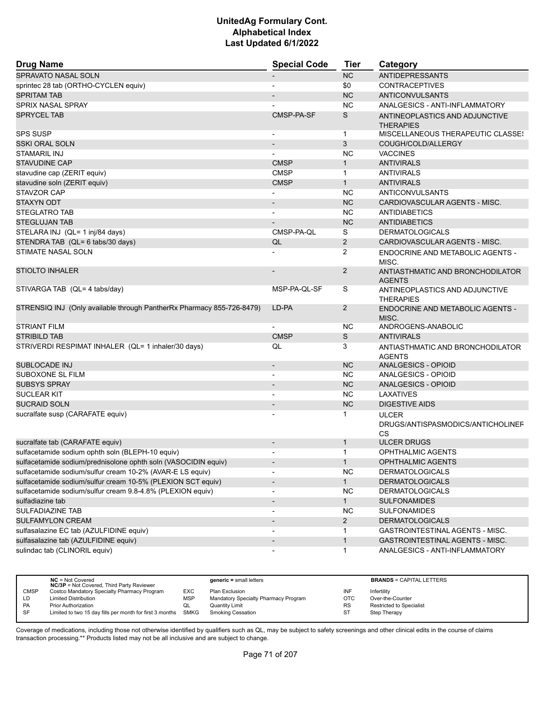| <b>Drug Name</b>                                                      | <b>Special Code</b>          | <b>Tier</b>    | Category                                                       |
|-----------------------------------------------------------------------|------------------------------|----------------|----------------------------------------------------------------|
| SPRAVATO NASAL SOLN                                                   |                              | <b>NC</b>      | <b>ANTIDEPRESSANTS</b>                                         |
| sprintec 28 tab (ORTHO-CYCLEN equiv)                                  |                              | \$0            | <b>CONTRACEPTIVES</b>                                          |
| <b>SPRITAM TAB</b>                                                    |                              | <b>NC</b>      | <b>ANTICONVULSANTS</b>                                         |
| SPRIX NASAL SPRAY                                                     |                              | <b>NC</b>      | ANALGESICS - ANTI-INFLAMMATORY                                 |
| <b>SPRYCEL TAB</b>                                                    | CMSP-PA-SF                   | S              | ANTINEOPLASTICS AND ADJUNCTIVE<br><b>THERAPIES</b>             |
| <b>SPS SUSP</b>                                                       | $\blacksquare$               | $\mathbf 1$    | <b>MISCELLANEOUS THERAPEUTIC CLASSES</b>                       |
| <b>SSKI ORAL SOLN</b>                                                 | $\overline{\phantom{a}}$     | 3              | COUGH/COLD/ALLERGY                                             |
| STAMARIL INJ                                                          |                              | NC.            | <b>VACCINES</b>                                                |
| <b>STAVUDINE CAP</b>                                                  | <b>CMSP</b>                  | $\mathbf{1}$   | <b>ANTIVIRALS</b>                                              |
| stavudine cap (ZERIT equiv)                                           | <b>CMSP</b>                  | $\mathbf{1}$   | <b>ANTIVIRALS</b>                                              |
| stavudine soln (ZERIT equiv)                                          | <b>CMSP</b>                  | $\mathbf{1}$   | <b>ANTIVIRALS</b>                                              |
| STAVZOR CAP                                                           |                              | <b>NC</b>      | ANTICONVULSANTS                                                |
| STAXYN ODT                                                            |                              | <b>NC</b>      | CARDIOVASCULAR AGENTS - MISC.                                  |
| <b>STEGLATRO TAB</b>                                                  | $\blacksquare$               | <b>NC</b>      | <b>ANTIDIABETICS</b>                                           |
| <b>STEGLUJAN TAB</b>                                                  |                              | <b>NC</b>      | <b>ANTIDIABETICS</b>                                           |
| STELARA INJ (QL= 1 inj/84 days)                                       | CMSP-PA-QL                   | S              | <b>DERMATOLOGICALS</b>                                         |
| STENDRA TAB (QL= 6 tabs/30 days)                                      | QL                           | $\overline{2}$ | CARDIOVASCULAR AGENTS - MISC.                                  |
| STIMATE NASAL SOLN                                                    |                              | 2              | ENDOCRINE AND METABOLIC AGENTS -<br>MISC.                      |
| <b>STIOLTO INHALER</b>                                                |                              | $\overline{2}$ | ANTIASTHMATIC AND BRONCHODILATOR<br><b>AGENTS</b>              |
| STIVARGA TAB (QL= 4 tabs/day)                                         | MSP-PA-QL-SF                 | S              | ANTINEOPLASTICS AND ADJUNCTIVE<br><b>THERAPIES</b>             |
| STRENSIQ INJ (Only available through PantherRx Pharmacy 855-726-8479) | LD-PA                        | $\overline{2}$ | <b>ENDOCRINE AND METABOLIC AGENTS -</b><br>MISC.               |
| <b>STRIANT FILM</b>                                                   | $\overline{\phantom{a}}$     | <b>NC</b>      | ANDROGENS-ANABOLIC                                             |
| <b>STRIBILD TAB</b>                                                   | <b>CMSP</b>                  | $\mathbb S$    | <b>ANTIVIRALS</b>                                              |
| STRIVERDI RESPIMAT INHALER (QL= 1 inhaler/30 days)                    | QL                           | 3              | ANTIASTHMATIC AND BRONCHODILATOR<br><b>AGENTS</b>              |
| <b>SUBLOCADE INJ</b>                                                  | $\overline{\phantom{a}}$     | <b>NC</b>      | ANALGESICS - OPIOID                                            |
| SUBOXONE SL FILM                                                      | $\overline{\phantom{a}}$     | <b>NC</b>      | ANALGESICS - OPIOID                                            |
| <b>SUBSYS SPRAY</b>                                                   |                              | <b>NC</b>      | ANALGESICS - OPIOID                                            |
| <b>SUCLEAR KIT</b>                                                    | $\blacksquare$               | NC             | LAXATIVES                                                      |
| <b>SUCRAID SOLN</b>                                                   |                              | <b>NC</b>      | <b>DIGESTIVE AIDS</b>                                          |
| sucralfate susp (CARAFATE equiv)                                      |                              | 1              | <b>ULCER</b><br>DRUGS/ANTISPASMODICS/ANTICHOLINEF<br><b>CS</b> |
| sucralfate tab (CARAFATE equiv)                                       | $\blacksquare$               | $\mathbf{1}$   | <b>ULCER DRUGS</b>                                             |
| sulfacetamide sodium ophth soln (BLEPH-10 equiv)                      |                              | 1              | <b>OPHTHALMIC AGENTS</b>                                       |
| sulfacetamide sodium/prednisolone ophth soln (VASOCIDIN equiv)        |                              | $\mathbf{1}$   | <b>OPHTHALMIC AGENTS</b>                                       |
| sulfacetamide sodium/sulfur cream 10-2% (AVAR-E LS equiv)             | $\blacksquare$               | <b>NC</b>      | <b>DERMATOLOGICALS</b>                                         |
| sulfacetamide sodium/sulfur cream 10-5% (PLEXION SCT equiv)           | $\overline{\phantom{a}}$     | $\mathbf{1}$   | <b>DERMATOLOGICALS</b>                                         |
| sulfacetamide sodium/sulfur cream 9.8-4.8% (PLEXION equiv)            | $\overline{\phantom{a}}$     | <b>NC</b>      | <b>DERMATOLOGICALS</b>                                         |
| sulfadiazine tab                                                      | $\overline{\phantom{a}}$     | $\mathbf{1}$   | <b>SULFONAMIDES</b>                                            |
| SULFADIAZINE TAB                                                      |                              | NC.            | <b>SULFONAMIDES</b>                                            |
| <b>SULFAMYLON CREAM</b>                                               |                              | $\overline{2}$ | <b>DERMATOLOGICALS</b>                                         |
| sulfasalazine EC tab (AZULFIDINE equiv)                               |                              | 1              | GASTROINTESTINAL AGENTS - MISC.                                |
| sulfasalazine tab (AZULFIDINE equiv)                                  | $\qquad \qquad \blacksquare$ | $\mathbf{1}$   | <b>GASTROINTESTINAL AGENTS - MISC.</b>                         |
| sulindac tab (CLINORIL equiv)                                         |                              | $\mathbf 1$    | ANALGESICS - ANTI-INFLAMMATORY                                 |

| $NC = Not Covered$                          |                                                  | $generic = small letters$                                     |            | <b>BRANDS = CAPITAL LETTERS</b> |
|---------------------------------------------|--------------------------------------------------|---------------------------------------------------------------|------------|---------------------------------|
| Costco Mandatory Specialty Pharmacy Program | EXC                                              | Plan Exclusion                                                | INF        | Infertility                     |
| <b>Limited Distribution</b>                 | <b>MSP</b>                                       | Mandatory Specialty Pharmacy Program                          | <b>OTC</b> | Over-the-Counter                |
| Prior Authorization                         | QL                                               | Quantity Limit                                                | <b>RS</b>  | <b>Restricted to Specialist</b> |
|                                             |                                                  | <b>Smoking Cessation</b>                                      | <b>ST</b>  | Step Therapy                    |
|                                             | <b>NC/3P</b> = Not Covered, Third Party Reviewer | Limited to two 15 day fills per month for first 3 months SMKG |            |                                 |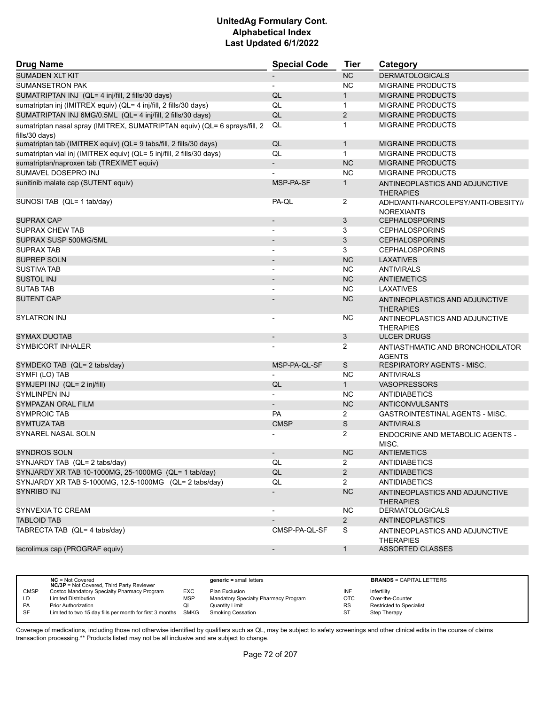| <b>Drug Name</b>                                                                             | <b>Special Code</b>      | Tier           | Category                                                 |
|----------------------------------------------------------------------------------------------|--------------------------|----------------|----------------------------------------------------------|
| <b>SUMADEN XLT KIT</b>                                                                       |                          | NC             | <b>DERMATOLOGICALS</b>                                   |
| <b>SUMANSETRON PAK</b>                                                                       | $\overline{\phantom{a}}$ | <b>NC</b>      | <b>MIGRAINE PRODUCTS</b>                                 |
| SUMATRIPTAN INJ (QL= 4 inj/fill, 2 fills/30 days)                                            | QL                       | 1              | <b>MIGRAINE PRODUCTS</b>                                 |
| sumatriptan inj (IMITREX equiv) (QL= 4 inj/fill, 2 fills/30 days)                            | QL                       | $\mathbf{1}$   | <b>MIGRAINE PRODUCTS</b>                                 |
| SUMATRIPTAN INJ 6MG/0.5ML (QL= 4 inj/fill, 2 fills/30 days)                                  | QL                       | $\overline{2}$ | <b>MIGRAINE PRODUCTS</b>                                 |
| sumatriptan nasal spray (IMITREX, SUMATRIPTAN equiv) (QL= 6 sprays/fill, 2<br>fills/30 days) | QL                       | 1              | <b>MIGRAINE PRODUCTS</b>                                 |
| sumatriptan tab (IMITREX equiv) (QL= 9 tabs/fill, 2 fills/30 days)                           | QL                       | $\mathbf{1}$   | <b>MIGRAINE PRODUCTS</b>                                 |
| sumatriptan vial inj (IMITREX equiv) (QL= 5 inj/fill, 2 fills/30 days)                       | QL                       | $\mathbf{1}$   | <b>MIGRAINE PRODUCTS</b>                                 |
| sumatriptan/naproxen tab (TREXIMET equiv)                                                    | $\overline{\phantom{a}}$ | <b>NC</b>      | <b>MIGRAINE PRODUCTS</b>                                 |
| SUMAVEL DOSEPRO INJ                                                                          |                          | <b>NC</b>      | <b>MIGRAINE PRODUCTS</b>                                 |
| sunitinib malate cap (SUTENT equiv)                                                          | MSP-PA-SF                | $\mathbf{1}$   | ANTINEOPLASTICS AND ADJUNCTIVE<br><b>THERAPIES</b>       |
| SUNOSI TAB (QL= 1 tab/day)                                                                   | PA-QL                    | 2              | ADHD/ANTI-NARCOLEPSY/ANTI-OBESITY//<br><b>NOREXIANTS</b> |
| SUPRAX CAP                                                                                   |                          | 3              | <b>CEPHALOSPORINS</b>                                    |
| <b>SUPRAX CHEW TAB</b>                                                                       | $\overline{\phantom{a}}$ | 3              | <b>CEPHALOSPORINS</b>                                    |
| SUPRAX SUSP 500MG/5ML                                                                        |                          | 3              | <b>CEPHALOSPORINS</b>                                    |
| <b>SUPRAX TAB</b>                                                                            |                          | 3              | <b>CEPHALOSPORINS</b>                                    |
| <b>SUPREP SOLN</b>                                                                           | $\blacksquare$           | NC             | <b>LAXATIVES</b>                                         |
| <b>SUSTIVA TAB</b>                                                                           |                          | <b>NC</b>      | <b>ANTIVIRALS</b>                                        |
| <b>SUSTOL INJ</b>                                                                            |                          | <b>NC</b>      | <b>ANTIEMETICS</b>                                       |
| <b>SUTAB TAB</b>                                                                             | $\blacksquare$           | <b>NC</b>      | LAXATIVES                                                |
| <b>SUTENT CAP</b>                                                                            |                          | <b>NC</b>      | ANTINEOPLASTICS AND ADJUNCTIVE<br><b>THERAPIES</b>       |
| <b>SYLATRON INJ</b>                                                                          |                          | <b>NC</b>      | ANTINEOPLASTICS AND ADJUNCTIVE<br><b>THERAPIES</b>       |
| <b>SYMAX DUOTAB</b>                                                                          | $\overline{\phantom{a}}$ | 3              | <b>ULCER DRUGS</b>                                       |
| SYMBICORT INHALER                                                                            |                          | 2              | ANTIASTHMATIC AND BRONCHODILATOR<br><b>AGENTS</b>        |
| SYMDEKO TAB (QL= 2 tabs/day)                                                                 | MSP-PA-QL-SF             | S              | <b>RESPIRATORY AGENTS - MISC.</b>                        |
| SYMFI (LO) TAB                                                                               |                          | <b>NC</b>      | <b>ANTIVIRALS</b>                                        |
| SYMJEPI INJ (QL= 2 inj/fill)                                                                 | QL                       | $\mathbf{1}$   | <b>VASOPRESSORS</b>                                      |
| SYMLINPEN INJ                                                                                |                          | NC             | <b>ANTIDIABETICS</b>                                     |
| <b>SYMPAZAN ORAL FILM</b>                                                                    | $\overline{\phantom{a}}$ | <b>NC</b>      | ANTICONVULSANTS                                          |
| SYMPROIC TAB                                                                                 | PA                       | $\overline{2}$ | <b>GASTROINTESTINAL AGENTS - MISC.</b>                   |
| <b>SYMTUZA TAB</b>                                                                           | <b>CMSP</b>              | S              | <b>ANTIVIRALS</b>                                        |
| SYNAREL NASAL SOLN                                                                           |                          | $\overline{2}$ | ENDOCRINE AND METABOLIC AGENTS -<br>MISC.                |
| <b>SYNDROS SOLN</b>                                                                          | $\blacksquare$           | <b>NC</b>      | <b>ANTIEMETICS</b>                                       |
| SYNJARDY TAB (QL= 2 tabs/day)                                                                | QL                       | $\overline{2}$ | <b>ANTIDIABETICS</b>                                     |
| SYNJARDY XR TAB 10-1000MG, 25-1000MG (QL= 1 tab/day)                                         | QL                       | $\overline{2}$ | <b>ANTIDIABETICS</b>                                     |
| SYNJARDY XR TAB 5-1000MG, 12.5-1000MG (QL= 2 tabs/day)                                       | QL                       | $\overline{2}$ | <b>ANTIDIABETICS</b>                                     |
| <b>SYNRIBO INJ</b>                                                                           |                          | NC             | ANTINEOPLASTICS AND ADJUNCTIVE<br><b>THERAPIES</b>       |
| SYNVEXIA TC CREAM                                                                            |                          | <b>NC</b>      | <b>DERMATOLOGICALS</b>                                   |
| <b>TABLOID TAB</b>                                                                           |                          | $2^{\circ}$    | ANTINEOPLASTICS                                          |
| TABRECTA TAB (QL= 4 tabs/day)                                                                | CMSP-PA-QL-SF            | S              | ANTINEOPLASTICS AND ADJUNCTIVE<br><b>THERAPIES</b>       |
| tacrolimus cap (PROGRAF equiv)                                                               |                          | $\mathbf{1}$   | <b>ASSORTED CLASSES</b>                                  |

|             | $NC = Not Covered$<br><b>NC/3P</b> = Not Covered, Third Party Reviewer |            | $generic = small letters$            |            | <b>BRANDS = CAPITAL LETTERS</b> |
|-------------|------------------------------------------------------------------------|------------|--------------------------------------|------------|---------------------------------|
| <b>CMSP</b> | Costco Mandatory Specialty Pharmacy Program                            | <b>EXC</b> | Plan Exclusion                       | INF        | Infertility                     |
| LD          | <b>Limited Distribution</b>                                            | <b>MSP</b> | Mandatory Specialty Pharmacy Program | <b>OTC</b> | Over-the-Counter                |
| <b>PA</b>   | <b>Prior Authorization</b>                                             | QL         | Quantity Limit                       | <b>RS</b>  | <b>Restricted to Specialist</b> |
| SF          | Limited to two 15 day fills per month for first 3 months SMKG          |            | <b>Smoking Cessation</b>             | ST         | Step Therapy                    |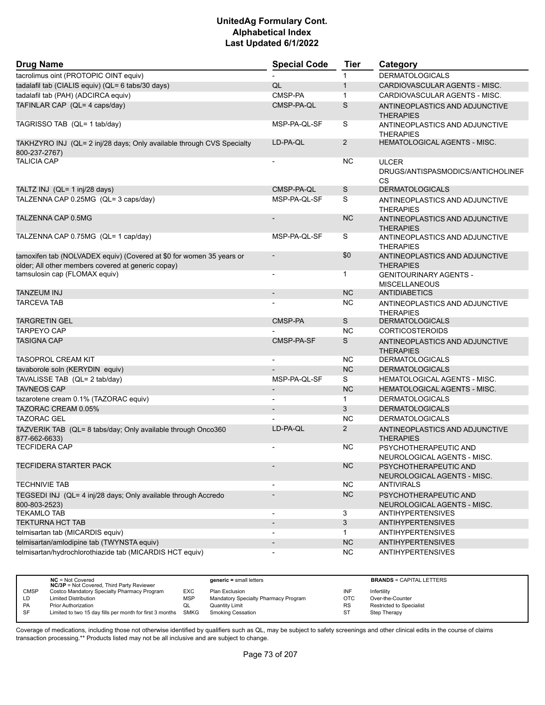| <b>Drug Name</b>                                                                                                           | <b>Special Code</b>          | <b>Tier</b>  | Category                                                |
|----------------------------------------------------------------------------------------------------------------------------|------------------------------|--------------|---------------------------------------------------------|
| tacrolimus oint (PROTOPIC OINT equiv)                                                                                      |                              | 1            | <b>DERMATOLOGICALS</b>                                  |
| tadalafil tab (CIALIS equiv) (QL= 6 tabs/30 days)                                                                          | QL                           | $\mathbf{1}$ | CARDIOVASCULAR AGENTS - MISC.                           |
| tadalafil tab (PAH) (ADCIRCA equiv)                                                                                        | CMSP-PA                      | $\mathbf{1}$ | CARDIOVASCULAR AGENTS - MISC.                           |
| TAFINLAR CAP (QL= 4 caps/day)                                                                                              | CMSP-PA-QL                   | S            | ANTINEOPLASTICS AND ADJUNCTIVE<br><b>THERAPIES</b>      |
| TAGRISSO TAB (QL= 1 tab/day)                                                                                               | MSP-PA-QL-SF                 | S            | ANTINEOPLASTICS AND ADJUNCTIVE<br><b>THERAPIES</b>      |
| TAKHZYRO INJ (QL= 2 inj/28 days; Only available through CVS Specialty<br>800-237-2767)                                     | LD-PA-QL                     | 2            | <b>HEMATOLOGICAL AGENTS - MISC.</b>                     |
| <b>TALICIA CAP</b>                                                                                                         |                              | <b>NC</b>    | <b>ULCER</b><br>DRUGS/ANTISPASMODICS/ANTICHOLINEF<br>CS |
| TALTZ INJ (QL= 1 inj/28 days)                                                                                              | CMSP-PA-QL                   | S            | <b>DERMATOLOGICALS</b>                                  |
| TALZENNA CAP 0.25MG (QL= 3 caps/day)                                                                                       | MSP-PA-QL-SF                 | S            | ANTINEOPLASTICS AND ADJUNCTIVE<br><b>THERAPIES</b>      |
| TALZENNA CAP 0.5MG                                                                                                         |                              | <b>NC</b>    | ANTINEOPLASTICS AND ADJUNCTIVE<br><b>THERAPIES</b>      |
| TALZENNA CAP 0.75MG (QL= 1 cap/day)                                                                                        | MSP-PA-QL-SF                 | S            | ANTINEOPLASTICS AND ADJUNCTIVE<br><b>THERAPIES</b>      |
| tamoxifen tab (NOLVADEX equiv) (Covered at \$0 for women 35 years or<br>older; All other members covered at generic copay) | $\overline{\phantom{a}}$     | \$0          | ANTINEOPLASTICS AND ADJUNCTIVE<br><b>THERAPIES</b>      |
| tamsulosin cap (FLOMAX equiv)                                                                                              | $\overline{a}$               | 1            | <b>GENITOURINARY AGENTS -</b><br><b>MISCELLANEOUS</b>   |
| <b>TANZEUM INJ</b>                                                                                                         | $\overline{\phantom{a}}$     | <b>NC</b>    | <b>ANTIDIABETICS</b>                                    |
| <b>TARCEVA TAB</b>                                                                                                         |                              | NC.          | ANTINEOPLASTICS AND ADJUNCTIVE<br><b>THERAPIES</b>      |
| <b>TARGRETIN GEL</b>                                                                                                       | CMSP-PA                      | S            | <b>DERMATOLOGICALS</b>                                  |
| <b>TARPEYO CAP</b>                                                                                                         |                              | <b>NC</b>    | <b>CORTICOSTEROIDS</b>                                  |
| <b>TASIGNA CAP</b>                                                                                                         | CMSP-PA-SF                   | S            | ANTINEOPLASTICS AND ADJUNCTIVE<br><b>THERAPIES</b>      |
| <b>TASOPROL CREAM KIT</b>                                                                                                  | $\blacksquare$               | NC.          | <b>DERMATOLOGICALS</b>                                  |
| tavaborole soln (KERYDIN equiv)                                                                                            |                              | <b>NC</b>    | <b>DERMATOLOGICALS</b>                                  |
| TAVALISSE TAB (QL= 2 tab/day)                                                                                              | MSP-PA-QL-SF                 | S            | HEMATOLOGICAL AGENTS - MISC.                            |
| <b>TAVNEOS CAP</b>                                                                                                         |                              | <b>NC</b>    | <b>HEMATOLOGICAL AGENTS - MISC.</b>                     |
| tazarotene cream 0.1% (TAZORAC equiv)                                                                                      | $\blacksquare$               | $\mathbf{1}$ | <b>DERMATOLOGICALS</b>                                  |
| TAZORAC CREAM 0.05%                                                                                                        | $\overline{\phantom{a}}$     | 3            | <b>DERMATOLOGICALS</b>                                  |
| <b>TAZORAC GEL</b>                                                                                                         |                              | <b>NC</b>    | <b>DERMATOLOGICALS</b>                                  |
| TAZVERIK TAB (QL= 8 tabs/day; Only available through Onco360<br>877-662-6633)                                              | LD-PA-QL                     | 2            | ANTINEOPLASTICS AND ADJUNCTIVE<br><b>THERAPIES</b>      |
| <b>TECFIDERA CAP</b>                                                                                                       |                              | NC           | PSYCHOTHERAPEUTIC AND<br>NEUROLOGICAL AGENTS - MISC.    |
| TECFIDERA STARTER PACK                                                                                                     |                              | $NC$         | PSYCHOTHERAPEUTIC AND<br>NEUROLOGICAL AGENTS - MISC.    |
| <b>TECHNIVIE TAB</b>                                                                                                       |                              | <b>NC</b>    | <b>ANTIVIRALS</b>                                       |
| TEGSEDI INJ (QL= 4 inj/28 days; Only available through Accredo<br>800-803-2523)                                            |                              | <b>NC</b>    | PSYCHOTHERAPEUTIC AND<br>NEUROLOGICAL AGENTS - MISC.    |
| <b>TEKAMLO TAB</b>                                                                                                         | $\overline{\phantom{a}}$     | 3            | ANTIHYPERTENSIVES                                       |
| <b>TEKTURNA HCT TAB</b>                                                                                                    | $\qquad \qquad \blacksquare$ | 3            | <b>ANTIHYPERTENSIVES</b>                                |
| telmisartan tab (MICARDIS equiv)                                                                                           | $\blacksquare$               | $\mathbf{1}$ | <b>ANTIHYPERTENSIVES</b>                                |
| telmisartan/amlodipine tab (TWYNSTA equiv)                                                                                 |                              | <b>NC</b>    | <b>ANTIHYPERTENSIVES</b>                                |
| telmisartan/hydrochlorothiazide tab (MICARDIS HCT equiv)                                                                   |                              | <b>NC</b>    | ANTIHYPERTENSIVES                                       |

|             | $NC = Not Covered$<br><b>NC/3P</b> = Not Covered, Third Party Reviewer |            | $generic = small letters$            |           | <b>BRANDS = CAPITAL LETTERS</b> |
|-------------|------------------------------------------------------------------------|------------|--------------------------------------|-----------|---------------------------------|
| <b>CMSP</b> | Costco Mandatory Specialty Pharmacy Program                            | EXC        | Plan Exclusion                       | INF       | Infertility                     |
| LD.         | <b>Limited Distribution</b>                                            | <b>MSP</b> | Mandatory Specialty Pharmacy Program | отс       | Over-the-Counter                |
| <b>PA</b>   | <b>Prior Authorization</b>                                             | QL         | Quantity Limit                       | <b>RS</b> | <b>Restricted to Specialist</b> |
| <b>SF</b>   | Limited to two 15 day fills per month for first 3 months SMKG          |            | Smoking Cessation                    |           | <b>Step Therapy</b>             |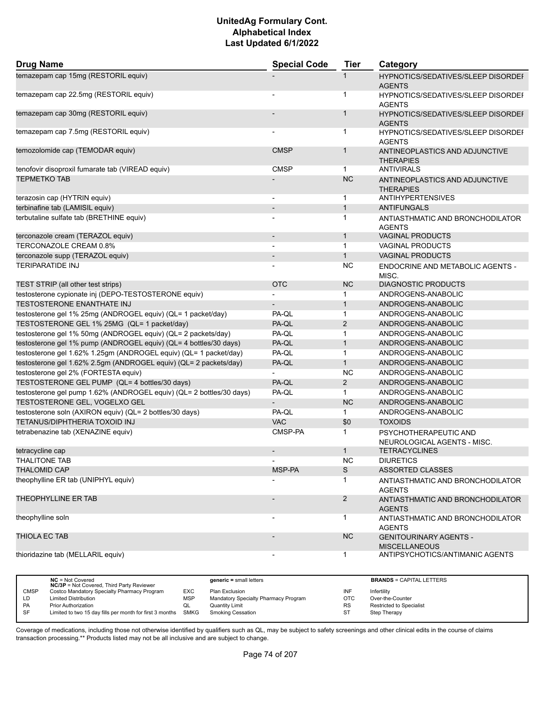| <b>Drug Name</b>                                                     | <b>Special Code</b>          | <b>Tier</b>    | Category                                                   |
|----------------------------------------------------------------------|------------------------------|----------------|------------------------------------------------------------|
| temazepam cap 15mg (RESTORIL equiv)                                  |                              |                | <b>HYPNOTICS/SEDATIVES/SLEEP DISORDEF</b><br><b>AGENTS</b> |
| temazepam cap 22.5mg (RESTORIL equiv)                                |                              | 1              | HYPNOTICS/SEDATIVES/SLEEP DISORDEI<br><b>AGENTS</b>        |
| temazepam cap 30mg (RESTORIL equiv)                                  |                              | $\mathbf{1}$   | <b>HYPNOTICS/SEDATIVES/SLEEP DISORDEF</b><br><b>AGENTS</b> |
| temazepam cap 7.5mg (RESTORIL equiv)                                 |                              | $\mathbf{1}$   | HYPNOTICS/SEDATIVES/SLEEP DISORDEI<br><b>AGENTS</b>        |
| temozolomide cap (TEMODAR equiv)                                     | <b>CMSP</b>                  | $\mathbf{1}$   | ANTINEOPLASTICS AND ADJUNCTIVE<br><b>THERAPIES</b>         |
| tenofovir disoproxil fumarate tab (VIREAD equiv)                     | <b>CMSP</b>                  | $\mathbf{1}$   | <b>ANTIVIRALS</b>                                          |
| <b>TEPMETKO TAB</b>                                                  |                              | <b>NC</b>      | ANTINEOPLASTICS AND ADJUNCTIVE<br><b>THERAPIES</b>         |
| terazosin cap (HYTRIN equiv)                                         | $\overline{\phantom{a}}$     | $\mathbf 1$    | ANTIHYPERTENSIVES                                          |
| terbinafine tab (LAMISIL equiv)                                      | $\qquad \qquad \blacksquare$ | $\mathbf{1}$   | <b>ANTIFUNGALS</b>                                         |
| terbutaline sulfate tab (BRETHINE equiv)                             | -                            | 1              | ANTIASTHMATIC AND BRONCHODILATOR<br><b>AGENTS</b>          |
| terconazole cream (TERAZOL equiv)                                    | $\overline{\phantom{a}}$     | $\mathbf{1}$   | <b>VAGINAL PRODUCTS</b>                                    |
| TERCONAZOLE CREAM 0.8%                                               |                              | $\mathbf{1}$   | <b>VAGINAL PRODUCTS</b>                                    |
| terconazole supp (TERAZOL equiv)                                     | $\overline{\phantom{m}}$     | $\mathbf{1}$   | <b>VAGINAL PRODUCTS</b>                                    |
| <b>TERIPARATIDE INJ</b>                                              |                              | <b>NC</b>      | ENDOCRINE AND METABOLIC AGENTS -<br>MISC.                  |
| TEST STRIP (all other test strips)                                   | <b>OTC</b>                   | NC             | <b>DIAGNOSTIC PRODUCTS</b>                                 |
| testosterone cypionate inj (DEPO-TESTOSTERONE equiv)                 |                              | $\mathbf{1}$   | ANDROGENS-ANABOLIC                                         |
| TESTOSTERONE ENANTHATE INJ                                           |                              | $\mathbf{1}$   | ANDROGENS-ANABOLIC                                         |
| testosterone gel 1% 25mg (ANDROGEL equiv) (QL= 1 packet/day)         | PA-QL                        | $\mathbf{1}$   | ANDROGENS-ANABOLIC                                         |
| TESTOSTERONE GEL 1% 25MG (QL= 1 packet/day)                          | PA-QL                        | 2              | ANDROGENS-ANABOLIC                                         |
| testosterone gel 1% 50mg (ANDROGEL equiv) (QL= 2 packets/day)        | PA-QL                        | $\mathbf{1}$   | ANDROGENS-ANABOLIC                                         |
| testosterone gel 1% pump (ANDROGEL equiv) (QL= 4 bottles/30 days)    | PA-QL                        | $\mathbf{1}$   | ANDROGENS-ANABOLIC                                         |
| testosterone gel 1.62% 1.25gm (ANDROGEL equiv) (QL= 1 packet/day)    | PA-QL                        | $\mathbf{1}$   | ANDROGENS-ANABOLIC                                         |
| testosterone gel 1.62% 2.5gm (ANDROGEL equiv) (QL= 2 packets/day)    | PA-QL                        | $\mathbf{1}$   | ANDROGENS-ANABOLIC                                         |
| testosterone gel 2% (FORTESTA equiv)                                 |                              | <b>NC</b>      | ANDROGENS-ANABOLIC                                         |
| TESTOSTERONE GEL PUMP (QL= 4 bottles/30 days)                        | PA-QL                        | 2              | ANDROGENS-ANABOLIC                                         |
| testosterone gel pump 1.62% (ANDROGEL equiv) (QL= 2 bottles/30 days) | PA-QL                        | $\mathbf{1}$   | ANDROGENS-ANABOLIC                                         |
| TESTOSTERONE GEL, VOGELXO GEL                                        |                              | <b>NC</b>      | ANDROGENS-ANABOLIC                                         |
| testosterone soln (AXIRON equiv) (QL= 2 bottles/30 days)             | PA-QL                        | $\mathbf{1}$   | ANDROGENS-ANABOLIC                                         |
| TETANUS/DIPHTHERIA TOXOID INJ                                        | <b>VAC</b>                   | \$0            | <b>TOXOIDS</b>                                             |
| tetrabenazine tab (XENAZINE equiv)                                   | CMSP-PA                      | $\mathbf{1}$   | PSYCHOTHERAPEUTIC AND<br>NEUROLOGICAL AGENTS - MISC.       |
| tetracycline cap                                                     |                              | $\mathbf{1}$   | <b>TETRACYCLINES</b>                                       |
| <b>THALITONE TAB</b>                                                 |                              | <b>NC</b>      | <b>DIURETICS</b>                                           |
| <b>THALOMID CAP</b>                                                  | MSP-PA                       | S              | <b>ASSORTED CLASSES</b>                                    |
| theophylline ER tab (UNIPHYL equiv)                                  |                              | $\mathbf{1}$   | ANTIASTHMATIC AND BRONCHODILATOR<br><b>AGENTS</b>          |
| THEOPHYLLINE ER TAB                                                  |                              | $\overline{2}$ | ANTIASTHMATIC AND BRONCHODILATOR<br><b>AGENTS</b>          |
| theophylline soln                                                    |                              | $\mathbf{1}$   | ANTIASTHMATIC AND BRONCHODILATOR<br><b>AGENTS</b>          |
| <b>THIOLA EC TAB</b>                                                 |                              | <b>NC</b>      | <b>GENITOURINARY AGENTS -</b><br><b>MISCELLANEOUS</b>      |
| thioridazine tab (MELLARIL equiv)                                    | $\overline{\phantom{a}}$     | $\mathbf{1}$   | ANTIPSYCHOTICS/ANTIMANIC AGENTS                            |

|             | $NC = Not Covered$<br><b>NC/3P</b> = Not Covered, Third Party Reviewer |            | $generic = small letters$            |           | <b>BRANDS = CAPITAL LETTERS</b> |
|-------------|------------------------------------------------------------------------|------------|--------------------------------------|-----------|---------------------------------|
| <b>CMSP</b> | Costco Mandatory Specialty Pharmacy Program                            | <b>EXC</b> | Plan Exclusion                       | INF       | Infertility                     |
| LD          | <b>Limited Distribution</b>                                            | <b>MSP</b> | Mandatory Specialty Pharmacy Program | отс       | Over-the-Counter                |
| <b>PA</b>   | <b>Prior Authorization</b>                                             | QL         | <b>Quantity Limit</b>                | <b>RS</b> | Restricted to Specialist        |
| SF          | Limited to two 15 day fills per month for first 3 months SMKG          |            | Smoking Cessation                    | ST        | Step Therapy                    |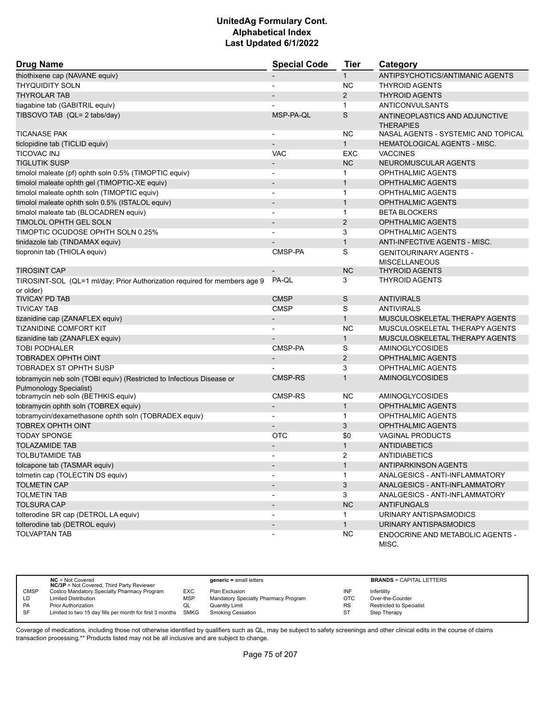| <b>Drug Name</b>                                                                                        | <b>Special Code</b>          | Tier           | Category                                           |
|---------------------------------------------------------------------------------------------------------|------------------------------|----------------|----------------------------------------------------|
| thiothixene cap (NAVANE equiv)                                                                          |                              | $\mathbf{1}$   | ANTIPSYCHOTICS/ANTIMANIC AGENTS                    |
| <b>THYQUIDITY SOLN</b>                                                                                  |                              | <b>NC</b>      | <b>THYROID AGENTS</b>                              |
| <b>THYROLAR TAB</b>                                                                                     |                              | $\overline{2}$ | <b>THYROID AGENTS</b>                              |
| tiagabine tab (GABITRIL equiv)                                                                          |                              | $\mathbf{1}$   | ANTICONVULSANTS                                    |
| TIBSOVO TAB (QL= 2 tabs/day)                                                                            | MSP-PA-QL                    | S              | ANTINEOPLASTICS AND ADJUNCTIVE<br><b>THERAPIES</b> |
| <b>TICANASE PAK</b>                                                                                     | $\overline{\phantom{0}}$     | <b>NC</b>      | NASAL AGENTS - SYSTEMIC AND TOPICAL                |
| ticlopidine tab (TICLID equiv)                                                                          |                              | $\mathbf{1}$   | HEMATOLOGICAL AGENTS - MISC.                       |
| <b>TICOVAC INJ</b>                                                                                      | <b>VAC</b>                   | EXC            | <b>VACCINES</b>                                    |
| <b>TIGLUTIK SUSP</b>                                                                                    | $\overline{a}$               | <b>NC</b>      | NEUROMUSCULAR AGENTS                               |
| timolol maleate (pf) ophth soln 0.5% (TIMOPTIC equiv)                                                   |                              | 1              | <b>OPHTHALMIC AGENTS</b>                           |
| timolol maleate ophth gel (TIMOPTIC-XE equiv)                                                           |                              | $\mathbf{1}$   | <b>OPHTHALMIC AGENTS</b>                           |
| timolol maleate ophth soln (TIMOPTIC equiv)                                                             | $\overline{\phantom{a}}$     | $\mathbf 1$    | <b>OPHTHALMIC AGENTS</b>                           |
| timolol maleate ophth soln 0.5% (ISTALOL equiv)                                                         |                              | $\mathbf{1}$   | <b>OPHTHALMIC AGENTS</b>                           |
| timolol maleate tab (BLOCADREN equiv)                                                                   |                              | $\mathbf{1}$   | <b>BETA BLOCKERS</b>                               |
| TIMOLOL OPHTH GEL SOLN                                                                                  | $\overline{\phantom{a}}$     | $\overline{2}$ | <b>OPHTHALMIC AGENTS</b>                           |
| TIMOPTIC OCUDOSE OPHTH SOLN 0.25%                                                                       |                              | 3              | <b>OPHTHALMIC AGENTS</b>                           |
| tinidazole tab (TINDAMAX equiv)                                                                         |                              | $\mathbf{1}$   | ANTI-INFECTIVE AGENTS - MISC.                      |
| tiopronin tab (THIOLA equiv)                                                                            | CMSP-PA                      | S              | <b>GENITOURINARY AGENTS -</b>                      |
| <b>TIROSINT CAP</b>                                                                                     |                              | <b>NC</b>      | <b>MISCELLANEOUS</b><br><b>THYROID AGENTS</b>      |
|                                                                                                         | PA-OL                        | 3              | <b>THYROID AGENTS</b>                              |
| TIROSINT-SOL (QL=1 ml/day; Prior Authorization required for members age 9                               |                              |                |                                                    |
| or older)<br><b>TIVICAY PD TAB</b>                                                                      | <b>CMSP</b>                  | S              | <b>ANTIVIRALS</b>                                  |
| <b>TIVICAY TAB</b>                                                                                      | <b>CMSP</b>                  | S              | <b>ANTIVIRALS</b>                                  |
| tizanidine cap (ZANAFLEX equiv)                                                                         | $\overline{\phantom{a}}$     | $\mathbf{1}$   | MUSCULOSKELETAL THERAPY AGENTS                     |
| <b>TIZANIDINE COMFORT KIT</b>                                                                           |                              | <b>NC</b>      | MUSCULOSKELETAL THERAPY AGENTS                     |
| tizanidine tab (ZANAFLEX equiv)                                                                         |                              | $\mathbf{1}$   | MUSCULOSKELETAL THERAPY AGENTS                     |
| <b>TOBI PODHALER</b>                                                                                    | CMSP-PA                      | S              | <b>AMINOGLYCOSIDES</b>                             |
| TOBRADEX OPHTH OINT                                                                                     | $\overline{\phantom{a}}$     | $\overline{2}$ | <b>OPHTHALMIC AGENTS</b>                           |
| <b>TOBRADEX ST OPHTH SUSP</b>                                                                           |                              | 3              | <b>OPHTHALMIC AGENTS</b>                           |
|                                                                                                         | <b>CMSP-RS</b>               | $\mathbf{1}$   | <b>AMINOGLYCOSIDES</b>                             |
| tobramycin neb soln (TOBI equiv) (Restricted to Infectious Disease or<br><b>Pulmonology Specialist)</b> |                              |                |                                                    |
| tobramycin neb soln (BETHKIS equiv)                                                                     | CMSP-RS                      | <b>NC</b>      | <b>AMINOGLYCOSIDES</b>                             |
| tobramycin ophth soln (TOBREX equiv)                                                                    | $\qquad \qquad \blacksquare$ | $\mathbf{1}$   | <b>OPHTHALMIC AGENTS</b>                           |
| tobramycin/dexamethasone ophth soln (TOBRADEX equiv)                                                    |                              | $\mathbf 1$    | <b>OPHTHALMIC AGENTS</b>                           |
| <b>TOBREX OPHTH OINT</b>                                                                                |                              | 3              | <b>OPHTHALMIC AGENTS</b>                           |
| <b>TODAY SPONGE</b>                                                                                     | OTC                          | \$0            | <b>VAGINAL PRODUCTS</b>                            |
| <b>TOLAZAMIDE TAB</b>                                                                                   | $\overline{\phantom{m}}$     | $\mathbf{1}$   | <b>ANTIDIABETICS</b>                               |
| <b>TOLBUTAMIDE TAB</b>                                                                                  |                              | 2              | ANTIDIABETICS                                      |
| tolcapone tab (TASMAR equiv)                                                                            | $\overline{\phantom{a}}$     | $\mathbf{1}$   | ANTIPARKINSON AGENTS                               |
| tolmetin cap (TOLECTIN DS equiv)                                                                        |                              | $\mathbf{1}$   | ANALGESICS - ANTI-INFLAMMATORY                     |
| <b>TOLMETIN CAP</b>                                                                                     |                              | 3              | ANALGESICS - ANTI-INFLAMMATORY                     |
| <b>TOLMETIN TAB</b>                                                                                     | $\blacksquare$               | 3              | ANALGESICS - ANTI-INFLAMMATORY                     |
| <b>TOLSURA CAP</b>                                                                                      |                              | <b>NC</b>      | <b>ANTIFUNGALS</b>                                 |
| tolterodine SR cap (DETROL LA equiv)                                                                    |                              | $\mathbf{1}$   | URINARY ANTISPASMODICS                             |
| tolterodine tab (DETROL equiv)                                                                          |                              | $\mathbf{1}$   | URINARY ANTISPASMODICS                             |
| <b>TOLVAPTAN TAB</b>                                                                                    |                              | <b>NC</b>      | ENDOCRINE AND METABOLIC AGENTS -<br>MISC.          |

|             | $NC = Not Covered$<br><b>NC/3P</b> = Not Covered, Third Party Reviewer |            | $generic = small letters$            |           | <b>BRANDS = CAPITAL LETTERS</b> |
|-------------|------------------------------------------------------------------------|------------|--------------------------------------|-----------|---------------------------------|
| <b>CMSP</b> | Costco Mandatory Specialty Pharmacy Program                            | EXC        | Plan Exclusion                       | INF       | Infertility                     |
| LD          | <b>Limited Distribution</b>                                            | <b>MSP</b> | Mandatory Specialty Pharmacy Program | OTC       | Over-the-Counter                |
| <b>PA</b>   | <b>Prior Authorization</b>                                             | QL         | Quantity Limit                       | <b>RS</b> | Restricted to Specialist        |
| <b>SF</b>   | Limited to two 15 day fills per month for first 3 months               | SMKG       | Smoking Cessation                    | ST        | Step Therapy                    |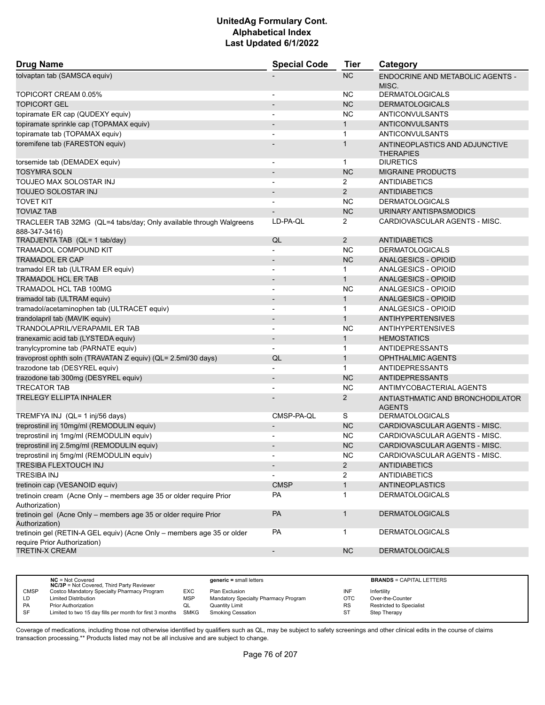| <b>Drug Name</b>                                                                                       | <b>Special Code</b>      | <b>Tier</b>    | Category                                           |
|--------------------------------------------------------------------------------------------------------|--------------------------|----------------|----------------------------------------------------|
| tolvaptan tab (SAMSCA equiv)                                                                           |                          | <b>NC</b>      | <b>ENDOCRINE AND METABOLIC AGENTS -</b><br>MISC.   |
| TOPICORT CREAM 0.05%                                                                                   | $\overline{\phantom{a}}$ | NC.            | <b>DERMATOLOGICALS</b>                             |
| <b>TOPICORT GEL</b>                                                                                    |                          | <b>NC</b>      | <b>DERMATOLOGICALS</b>                             |
| topiramate ER cap (QUDEXY equiv)                                                                       |                          | <b>NC</b>      | ANTICONVULSANTS                                    |
| topiramate sprinkle cap (TOPAMAX equiv)                                                                |                          | $\mathbf{1}$   | ANTICONVULSANTS                                    |
| topiramate tab (TOPAMAX equiv)                                                                         |                          | $\mathbf{1}$   | ANTICONVULSANTS                                    |
| toremifene tab (FARESTON equiv)                                                                        |                          | 1              | ANTINEOPLASTICS AND ADJUNCTIVE<br><b>THERAPIES</b> |
| torsemide tab (DEMADEX equiv)                                                                          |                          | $\mathbf{1}$   | <b>DIURETICS</b>                                   |
| <b>TOSYMRA SOLN</b>                                                                                    | $\overline{\phantom{a}}$ | <b>NC</b>      | <b>MIGRAINE PRODUCTS</b>                           |
| TOUJEO MAX SOLOSTAR INJ                                                                                |                          | 2              | <b>ANTIDIABETICS</b>                               |
| TOUJEO SOLOSTAR INJ                                                                                    |                          | $\overline{2}$ | <b>ANTIDIABETICS</b>                               |
| <b>TOVET KIT</b>                                                                                       |                          | NC.            | <b>DERMATOLOGICALS</b>                             |
| <b>TOVIAZ TAB</b>                                                                                      |                          | <b>NC</b>      | URINARY ANTISPASMODICS                             |
| TRACLEER TAB 32MG (QL=4 tabs/day; Only available through Walgreens                                     | LD-PA-QL                 | 2              | CARDIOVASCULAR AGENTS - MISC.                      |
| 888-347-3416)                                                                                          |                          |                |                                                    |
| TRADJENTA TAB (QL= 1 tab/day)                                                                          | QL                       | $\overline{2}$ | <b>ANTIDIABETICS</b>                               |
| <b>TRAMADOL COMPOUND KIT</b>                                                                           |                          | <b>NC</b>      | <b>DERMATOLOGICALS</b>                             |
| <b>TRAMADOL ER CAP</b>                                                                                 | $\overline{\phantom{a}}$ | NC             | <b>ANALGESICS - OPIOID</b>                         |
| tramadol ER tab (ULTRAM ER equiv)                                                                      | $\blacksquare$           | $\mathbf{1}$   | ANALGESICS - OPIOID                                |
| <b>TRAMADOL HCL ER TAB</b>                                                                             | $\overline{\phantom{a}}$ | $\mathbf{1}$   | <b>ANALGESICS - OPIOID</b>                         |
| TRAMADOL HCL TAB 100MG                                                                                 | $\blacksquare$           | NC.            | ANALGESICS - OPIOID                                |
| tramadol tab (ULTRAM equiv)                                                                            |                          | $\mathbf{1}$   | <b>ANALGESICS - OPIOID</b>                         |
| tramadol/acetaminophen tab (ULTRACET equiv)                                                            | $\blacksquare$           | $\mathbf{1}$   | <b>ANALGESICS - OPIOID</b>                         |
| trandolapril tab (MAVIK equiv)                                                                         | $\blacksquare$           | $\mathbf{1}$   | <b>ANTIHYPERTENSIVES</b>                           |
| TRANDOLAPRIL/VERAPAMIL ER TAB                                                                          |                          | <b>NC</b>      | <b>ANTIHYPERTENSIVES</b>                           |
| tranexamic acid tab (LYSTEDA equiv)                                                                    | $\overline{\phantom{a}}$ | $\mathbf{1}$   | <b>HEMOSTATICS</b>                                 |
| tranylcypromine tab (PARNATE equiv)                                                                    |                          | $\mathbf{1}$   | ANTIDEPRESSANTS                                    |
| travoprost ophth soln (TRAVATAN Z equiv) (QL= 2.5ml/30 days)                                           | QL                       | $\mathbf{1}$   | <b>OPHTHALMIC AGENTS</b>                           |
| trazodone tab (DESYREL equiv)                                                                          | $\overline{\phantom{a}}$ | $\mathbf{1}$   | ANTIDEPRESSANTS                                    |
| trazodone tab 300mg (DESYREL equiv)                                                                    | $\overline{\phantom{a}}$ | <b>NC</b>      | ANTIDEPRESSANTS                                    |
| <b>TRECATOR TAB</b>                                                                                    |                          | <b>NC</b>      | ANTIMYCOBACTERIAL AGENTS                           |
| <b>TRELEGY ELLIPTA INHALER</b>                                                                         |                          | 2              | ANTIASTHMATIC AND BRONCHODILATOR<br><b>AGENTS</b>  |
| TREMFYA INJ (QL= 1 inj/56 days)                                                                        | CMSP-PA-QL               | S              | <b>DERMATOLOGICALS</b>                             |
| treprostinil inj 10mg/ml (REMODULIN equiv)                                                             |                          | <b>NC</b>      | CARDIOVASCULAR AGENTS - MISC.                      |
| treprostinil inj 1mg/ml (REMODULIN equiv)                                                              |                          | <b>NC</b>      | CARDIOVASCULAR AGENTS - MISC.                      |
| treprostinil inj 2.5mg/ml (REMODULIN equiv)                                                            | $\overline{\phantom{a}}$ | <b>NC</b>      | CARDIOVASCULAR AGENTS - MISC.                      |
| treprostinil inj 5mg/ml (REMODULIN equiv)                                                              |                          | <b>NC</b>      | CARDIOVASCULAR AGENTS - MISC.                      |
| TRESIBA FLEXTOUCH INJ                                                                                  | $\overline{\phantom{a}}$ | $\overline{2}$ | ANTIDIABETICS                                      |
| <b>TRESIBA INJ</b>                                                                                     |                          | 2              | ANTIDIABETICS                                      |
| tretinoin cap (VESANOID equiv)                                                                         | <b>CMSP</b>              | $\mathbf{1}$   | <b>ANTINEOPLASTICS</b>                             |
| tretinoin cream (Acne Only - members age 35 or older require Prior                                     | PA                       | $\mathbf{1}$   | <b>DERMATOLOGICALS</b>                             |
| Authorization)                                                                                         |                          |                |                                                    |
| tretinoin gel (Acne Only - members age 35 or older require Prior                                       | PA                       | $\mathbf{1}$   | <b>DERMATOLOGICALS</b>                             |
| Authorization)                                                                                         |                          |                |                                                    |
| tretinoin gel (RETIN-A GEL equiv) (Acne Only - members age 35 or older<br>require Prior Authorization) | PA                       | 1              | <b>DERMATOLOGICALS</b>                             |
| <b>TRETIN-X CREAM</b>                                                                                  | $\blacksquare$           | NC             | <b>DERMATOLOGICALS</b>                             |
|                                                                                                        |                          |                |                                                    |

|             | $NC = Not Covered$<br><b>NC/3P</b> = Not Covered, Third Party Reviewer |            | $generic = small letters$            |           | <b>BRANDS = CAPITAL LETTERS</b> |
|-------------|------------------------------------------------------------------------|------------|--------------------------------------|-----------|---------------------------------|
| <b>CMSP</b> | Costco Mandatory Specialty Pharmacy Program                            | EXC        | Plan Exclusion                       | INF       | Infertility                     |
| LD          | <b>Limited Distribution</b>                                            | <b>MSP</b> | Mandatory Specialty Pharmacy Program | OTC       | Over-the-Counter                |
| <b>PA</b>   | <b>Prior Authorization</b>                                             | QL         | <b>Quantity Limit</b>                | <b>RS</b> | <b>Restricted to Specialist</b> |
| SF          | Limited to two 15 day fills per month for first 3 months SMKG          |            | <b>Smoking Cessation</b>             | ST        | Step Therapy                    |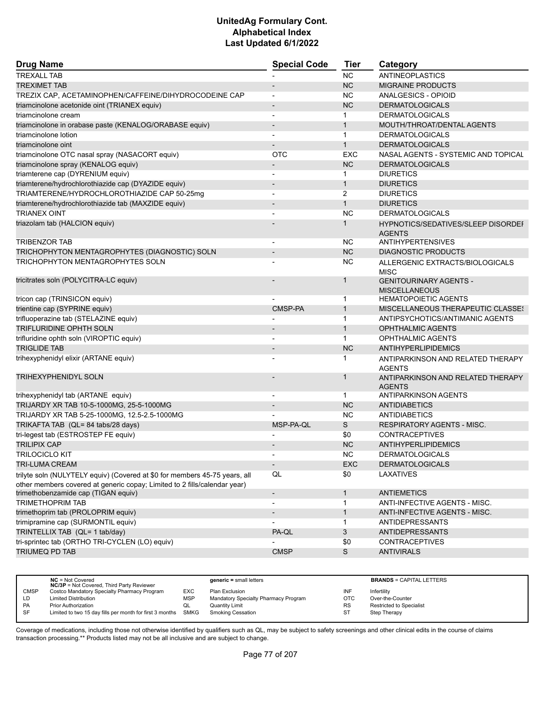| <b>Drug Name</b>                                                           | <b>Special Code</b>          | <b>Tier</b>  | Category                                              |
|----------------------------------------------------------------------------|------------------------------|--------------|-------------------------------------------------------|
| <b>TREXALL TAB</b>                                                         |                              | <b>NC</b>    | ANTINEOPLASTICS                                       |
| <b>TREXIMET TAB</b>                                                        |                              | <b>NC</b>    | <b>MIGRAINE PRODUCTS</b>                              |
| TREZIX CAP, ACETAMINOPHEN/CAFFEINE/DIHYDROCODEINE CAP                      | L,                           | <b>NC</b>    | ANALGESICS - OPIOID                                   |
| triamcinolone acetonide oint (TRIANEX equiv)                               |                              | <b>NC</b>    | <b>DERMATOLOGICALS</b>                                |
| triamcinolone cream                                                        |                              | 1            | <b>DERMATOLOGICALS</b>                                |
| triamcinolone in orabase paste (KENALOG/ORABASE equiv)                     | $\qquad \qquad \blacksquare$ | $\mathbf{1}$ | MOUTH/THROAT/DENTAL AGENTS                            |
| triamcinolone lotion                                                       |                              | $\mathbf 1$  | <b>DERMATOLOGICALS</b>                                |
| triamcinolone oint                                                         |                              | $\mathbf{1}$ | <b>DERMATOLOGICALS</b>                                |
| triamcinolone OTC nasal spray (NASACORT equiv)                             | <b>OTC</b>                   | <b>EXC</b>   | NASAL AGENTS - SYSTEMIC AND TOPICAL                   |
| triamcinolone spray (KENALOG equiv)                                        |                              | <b>NC</b>    | <b>DERMATOLOGICALS</b>                                |
| triamterene cap (DYRENIUM equiv)                                           |                              | 1            | <b>DIURETICS</b>                                      |
| triamterene/hydrochlorothiazide cap (DYAZIDE equiv)                        | $\overline{\phantom{a}}$     | $\mathbf{1}$ | <b>DIURETICS</b>                                      |
| TRIAMTERENE/HYDROCHLOROTHIAZIDE CAP 50-25mg                                |                              | 2            | <b>DIURETICS</b>                                      |
| triamterene/hydrochlorothiazide tab (MAXZIDE equiv)                        | $\qquad \qquad \blacksquare$ | $\mathbf{1}$ | <b>DIURETICS</b>                                      |
| <b>TRIANEX OINT</b>                                                        |                              | <b>NC</b>    | <b>DERMATOLOGICALS</b>                                |
| triazolam tab (HALCION equiv)                                              |                              | $\mathbf{1}$ | HYPNOTICS/SEDATIVES/SLEEP DISORDEI                    |
|                                                                            |                              |              | <b>AGENTS</b>                                         |
| <b>TRIBENZOR TAB</b>                                                       |                              | NC           | <b>ANTIHYPERTENSIVES</b>                              |
| TRICHOPHYTON MENTAGROPHYTES (DIAGNOSTIC) SOLN                              |                              | <b>NC</b>    | <b>DIAGNOSTIC PRODUCTS</b>                            |
| <b>TRICHOPHYTON MENTAGROPHYTES SOLN</b>                                    |                              | ΝC           | ALLERGENIC EXTRACTS/BIOLOGICALS                       |
|                                                                            |                              |              | <b>MISC</b>                                           |
| tricitrates soln (POLYCITRA-LC equiv)                                      |                              | $\mathbf{1}$ | <b>GENITOURINARY AGENTS -</b><br><b>MISCELLANEOUS</b> |
| tricon cap (TRINSICON equiv)                                               |                              | $\mathbf 1$  | <b>HEMATOPOIETIC AGENTS</b>                           |
| trientine cap (SYPRINE equiv)                                              | CMSP-PA                      | $\mathbf{1}$ | <b>MISCELLANEOUS THERAPEUTIC CLASSE!</b>              |
| trifluoperazine tab (STELAZINE equiv)                                      |                              | $\mathbf 1$  | ANTIPSYCHOTICS/ANTIMANIC AGENTS                       |
| TRIFLURIDINE OPHTH SOLN                                                    |                              | $\mathbf{1}$ | <b>OPHTHALMIC AGENTS</b>                              |
| trifluridine ophth soln (VIROPTIC equiv)                                   |                              | $\mathbf{1}$ | <b>OPHTHALMIC AGENTS</b>                              |
| <b>TRIGLIDE TAB</b>                                                        |                              | <b>NC</b>    | ANTIHYPERLIPIDEMICS                                   |
| trihexyphenidyl elixir (ARTANE equiv)                                      |                              | 1            | ANTIPARKINSON AND RELATED THERAPY<br><b>AGENTS</b>    |
| <b>TRIHEXYPHENIDYL SOLN</b>                                                |                              | 1            | ANTIPARKINSON AND RELATED THERAPY<br><b>AGENTS</b>    |
| trihexyphenidyl tab (ARTANE equiv)                                         |                              | $\mathbf 1$  | ANTIPARKINSON AGENTS                                  |
| TRIJARDY XR TAB 10-5-1000MG, 25-5-1000MG                                   |                              | <b>NC</b>    | <b>ANTIDIABETICS</b>                                  |
| TRIJARDY XR TAB 5-25-1000MG, 12.5-2.5-1000MG                               |                              | <b>NC</b>    | <b>ANTIDIABETICS</b>                                  |
| TRIKAFTA TAB (QL= 84 tabs/28 days)                                         | MSP-PA-QL                    | S            | <b>RESPIRATORY AGENTS - MISC.</b>                     |
| tri-legest tab (ESTROSTEP FE equiv)                                        |                              | \$0          | <b>CONTRACEPTIVES</b>                                 |
| <b>TRILIPIX CAP</b>                                                        |                              | <b>NC</b>    | <b>ANTIHYPERLIPIDEMICS</b>                            |
| <b>TRILOCICLO KIT</b>                                                      |                              | <b>NC</b>    | <b>DERMATOLOGICALS</b>                                |
| TRI-LUMA CREAM                                                             | $\sim$                       | <b>EXC</b>   | <b>DERMATOLOGICALS</b>                                |
| trilyte soln (NULYTELY equiv) (Covered at \$0 for members 45-75 years, all | QL                           | \$0          | LAXATIVES                                             |
| other members covered at generic copay; Limited to 2 fills/calendar year)  |                              |              |                                                       |
| trimethobenzamide cap (TIGAN equiv)                                        | $\qquad \qquad \blacksquare$ | $\mathbf{1}$ | <b>ANTIEMETICS</b>                                    |
| <b>TRIMETHOPRIM TAB</b>                                                    |                              | $\mathbf 1$  | ANTI-INFECTIVE AGENTS - MISC.                         |
| trimethoprim tab (PROLOPRIM equiv)                                         |                              | $\mathbf{1}$ | ANTI-INFECTIVE AGENTS - MISC.                         |
| trimipramine cap (SURMONTIL equiv)                                         |                              | 1            | <b>ANTIDEPRESSANTS</b>                                |
| TRINTELLIX TAB (QL= 1 tab/day)                                             | PA-QL                        | 3            | <b>ANTIDEPRESSANTS</b>                                |
| tri-sprintec tab (ORTHO TRI-CYCLEN (LO) equiv)                             |                              | \$0          | <b>CONTRACEPTIVES</b>                                 |
| TRIUMEQ PD TAB                                                             | <b>CMSP</b>                  | S            | <b>ANTIVIRALS</b>                                     |
|                                                                            |                              |              |                                                       |

|             | $NC = Not Covered$<br><b>NC/3P</b> = Not Covered, Third Party Reviewer |            | $generic = small letters$            |           | <b>BRANDS = CAPITAL LETTERS</b> |
|-------------|------------------------------------------------------------------------|------------|--------------------------------------|-----------|---------------------------------|
| <b>CMSP</b> | Costco Mandatory Specialty Pharmacy Program                            | EXC        | Plan Exclusion                       | INF       | Infertility                     |
| LD          | <b>Limited Distribution</b>                                            | <b>MSP</b> | Mandatory Specialty Pharmacy Program | OTC       | Over-the-Counter                |
| <b>PA</b>   | Prior Authorization                                                    | QL         | Quantity Limit                       | <b>RS</b> | <b>Restricted to Specialist</b> |
| SF          | Limited to two 15 day fills per month for first 3 months               | SMKG       | <b>Smoking Cessation</b>             | S1        | Step Therapy                    |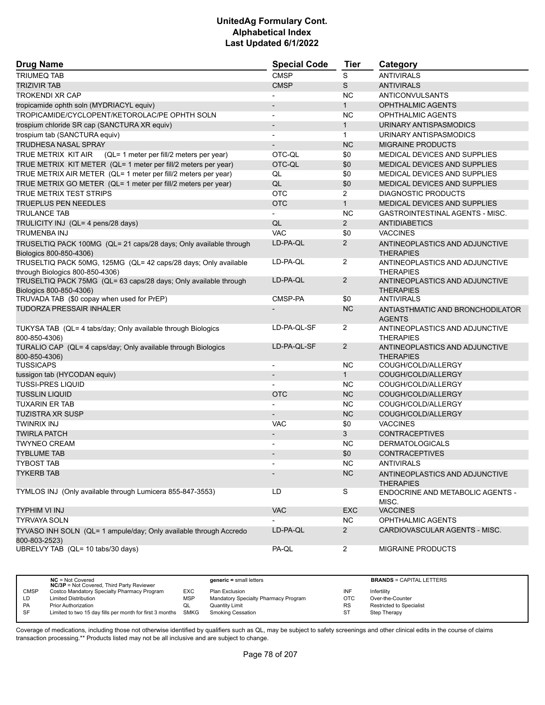| <b>Drug Name</b>                                                                   | <b>Special Code</b>      | <b>Tier</b>    | Category                                           |
|------------------------------------------------------------------------------------|--------------------------|----------------|----------------------------------------------------|
| <b>TRIUMEQ TAB</b>                                                                 | <b>CMSP</b>              | S              | <b>ANTIVIRALS</b>                                  |
| <b>TRIZIVIR TAB</b>                                                                | <b>CMSP</b>              | S              | <b>ANTIVIRALS</b>                                  |
| <b>TROKENDI XR CAP</b>                                                             |                          | <b>NC</b>      | ANTICONVULSANTS                                    |
| tropicamide ophth soln (MYDRIACYL equiv)                                           |                          | $\mathbf{1}$   | <b>OPHTHALMIC AGENTS</b>                           |
| TROPICAMIDE/CYCLOPENT/KETOROLAC/PE OPHTH SOLN                                      | $\blacksquare$           | <b>NC</b>      | OPHTHALMIC AGENTS                                  |
| trospium chloride SR cap (SANCTURA XR equiv)                                       | $\overline{\phantom{a}}$ | $\mathbf{1}$   | URINARY ANTISPASMODICS                             |
| trospium tab (SANCTURA equiv)                                                      |                          | $\mathbf{1}$   | URINARY ANTISPASMODICS                             |
| TRUDHESA NASAL SPRAY                                                               | $\overline{\phantom{a}}$ | <b>NC</b>      | <b>MIGRAINE PRODUCTS</b>                           |
| TRUE METRIX KIT AIR<br>(QL= 1 meter per fill/2 meters per year)                    | OTC-QL                   | \$0            | MEDICAL DEVICES AND SUPPLIES                       |
| TRUE METRIX KIT METER (QL= 1 meter per fill/2 meters per year)                     | OTC-QL                   | \$0            | MEDICAL DEVICES AND SUPPLIES                       |
| TRUE METRIX AIR METER (QL= 1 meter per fill/2 meters per year)                     | QL                       | \$0            | MEDICAL DEVICES AND SUPPLIES                       |
| TRUE METRIX GO METER (QL= 1 meter per fill/2 meters per year)                      | QL                       | \$0            | MEDICAL DEVICES AND SUPPLIES                       |
| <b>TRUE METRIX TEST STRIPS</b>                                                     | <b>OTC</b>               | $\overline{2}$ | <b>DIAGNOSTIC PRODUCTS</b>                         |
| <b>TRUEPLUS PEN NEEDLES</b>                                                        | <b>OTC</b>               | $\mathbf{1}$   | MEDICAL DEVICES AND SUPPLIES                       |
| <b>TRULANCE TAB</b>                                                                | $\overline{\phantom{a}}$ | <b>NC</b>      | GASTROINTESTINAL AGENTS - MISC.                    |
| TRULICITY INJ (QL= 4 pens/28 days)                                                 | QL                       | $\overline{2}$ | <b>ANTIDIABETICS</b>                               |
| TRUMENBA INJ                                                                       | <b>VAC</b>               | \$0            | <b>VACCINES</b>                                    |
| TRUSELTIQ PACK 100MG (QL= 21 caps/28 days; Only available through                  | LD-PA-QL                 | $\overline{2}$ | ANTINEOPLASTICS AND ADJUNCTIVE                     |
| Biologics 800-850-4306)                                                            |                          |                | <b>THERAPIES</b>                                   |
| TRUSELTIQ PACK 50MG, 125MG (QL= 42 caps/28 days; Only available                    | LD-PA-QL                 | $\overline{2}$ | ANTINEOPLASTICS AND ADJUNCTIVE                     |
| through Biologics 800-850-4306)                                                    |                          |                | <b>THERAPIES</b>                                   |
| TRUSELTIQ PACK 75MG (QL= 63 caps/28 days; Only available through                   | LD-PA-QL                 | $\overline{2}$ | ANTINEOPLASTICS AND ADJUNCTIVE                     |
| Biologics 800-850-4306)                                                            |                          |                | <b>THERAPIES</b>                                   |
| TRUVADA TAB (\$0 copay when used for PrEP)                                         | CMSP-PA                  | \$0            | <b>ANTIVIRALS</b>                                  |
| <b>TUDORZA PRESSAIR INHALER</b>                                                    |                          | <b>NC</b>      | ANTIASTHMATIC AND BRONCHODILATOR<br><b>AGENTS</b>  |
| TUKYSA TAB (QL= 4 tabs/day; Only available through Biologics<br>800-850-4306)      | LD-PA-QL-SF              | $\overline{2}$ | ANTINEOPLASTICS AND ADJUNCTIVE<br><b>THERAPIES</b> |
| TURALIO CAP (QL= 4 caps/day; Only available through Biologics<br>800-850-4306)     | LD-PA-QL-SF              | $\overline{2}$ | ANTINEOPLASTICS AND ADJUNCTIVE<br><b>THERAPIES</b> |
| <b>TUSSICAPS</b>                                                                   |                          | <b>NC</b>      | COUGH/COLD/ALLERGY                                 |
| tussigon tab (HYCODAN equiv)                                                       | $\overline{\phantom{a}}$ | 1              | COUGH/COLD/ALLERGY                                 |
| <b>TUSSI-PRES LIQUID</b>                                                           |                          | NC.            | COUGH/COLD/ALLERGY                                 |
| <b>TUSSLIN LIQUID</b>                                                              | <b>OTC</b>               | <b>NC</b>      | COUGH/COLD/ALLERGY                                 |
| <b>TUXARIN ER TAB</b>                                                              |                          | <b>NC</b>      | COUGH/COLD/ALLERGY                                 |
| <b>TUZISTRA XR SUSP</b>                                                            |                          | <b>NC</b>      | COUGH/COLD/ALLERGY                                 |
| TWINRIX INJ                                                                        | <b>VAC</b>               | \$0            | <b>VACCINES</b>                                    |
| <b>TWIRLA PATCH</b>                                                                | $\overline{\phantom{a}}$ | 3              | <b>CONTRACEPTIVES</b>                              |
| <b>TWYNEO CREAM</b>                                                                | $\blacksquare$           | <b>NC</b>      | <b>DERMATOLOGICALS</b>                             |
| <b>TYBLUME TAB</b>                                                                 |                          | \$0            | <b>CONTRACEPTIVES</b>                              |
| <b>TYBOST TAB</b>                                                                  |                          | <b>NC</b>      | <b>ANTIVIRALS</b>                                  |
| <b>TYKERB TAB</b>                                                                  |                          | NC             | ANTINEOPLASTICS AND ADJUNCTIVE<br><b>THERAPIES</b> |
| TYMLOS INJ (Only available through Lumicera 855-847-3553)                          | LD                       | S              | ENDOCRINE AND METABOLIC AGENTS -<br>MISC.          |
| TYPHIM VI INJ                                                                      | <b>VAC</b>               | <b>EXC</b>     | <b>VACCINES</b>                                    |
| <b>TYRVAYA SOLN</b>                                                                |                          | NC.            | <b>OPHTHALMIC AGENTS</b>                           |
| TYVASO INH SOLN (QL= 1 ampule/day; Only available through Accredo<br>800-803-2523) | LD-PA-QL                 | $2^{\circ}$    | CARDIOVASCULAR AGENTS - MISC.                      |
| UBRELVY TAB (QL= 10 tabs/30 days)                                                  | PA-QL                    | $\overline{2}$ | MIGRAINE PRODUCTS                                  |

|             | $NC = Not Covered$<br><b>NC/3P</b> = Not Covered, Third Party Reviewer |            | $generic = small letters$            |           | <b>BRANDS = CAPITAL LETTERS</b> |
|-------------|------------------------------------------------------------------------|------------|--------------------------------------|-----------|---------------------------------|
| <b>CMSP</b> | Costco Mandatory Specialty Pharmacy Program                            | <b>EXC</b> | Plan Exclusion                       | INF       | Infertility                     |
| LD          | <b>Limited Distribution</b>                                            | <b>MSP</b> | Mandatory Specialty Pharmacy Program | OTC       | Over-the-Counter                |
| <b>PA</b>   | Prior Authorization                                                    | QL         | Quantity Limit                       | <b>RS</b> | <b>Restricted to Specialist</b> |
| <b>SF</b>   | Limited to two 15 day fills per month for first 3 months               | SMKG       | <b>Smoking Cessation</b>             |           | Step Therapy                    |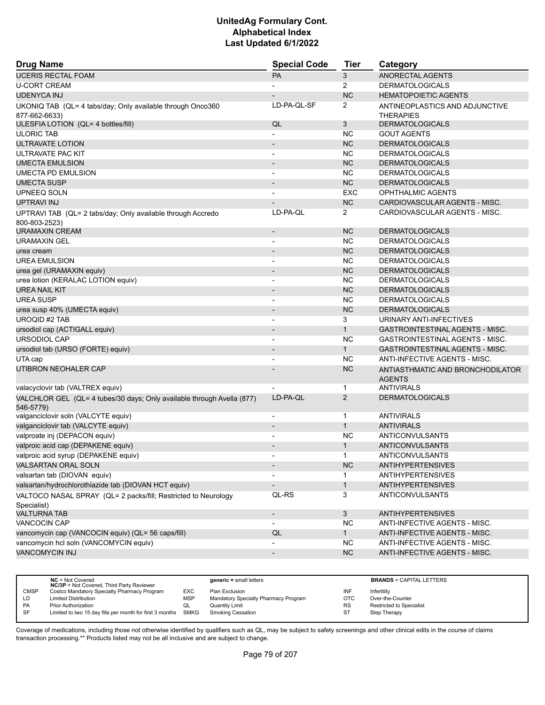| <b>Drug Name</b>                                                                    | <b>Special Code</b>            | Tier           | Category                                           |
|-------------------------------------------------------------------------------------|--------------------------------|----------------|----------------------------------------------------|
| <b>UCERIS RECTAL FOAM</b>                                                           | PA                             | 3              | ANORECTAL AGENTS                                   |
| <b>U-CORT CREAM</b>                                                                 |                                | $\overline{2}$ | <b>DERMATOLOGICALS</b>                             |
| <b>UDENYCA INJ</b>                                                                  |                                | <b>NC</b>      | <b>HEMATOPOIETIC AGENTS</b>                        |
| UKONIQ TAB (QL= 4 tabs/day; Only available through Onco360<br>877-662-6633)         | LD-PA-QL-SF                    | $\overline{2}$ | ANTINEOPLASTICS AND ADJUNCTIVE<br><b>THERAPIES</b> |
| ULESFIA LOTION (QL= 4 bottles/fill)                                                 | QL                             | 3              | <b>DERMATOLOGICALS</b>                             |
| <b>ULORIC TAB</b>                                                                   |                                | <b>NC</b>      | <b>GOUT AGENTS</b>                                 |
| ULTRAVATE LOTION                                                                    |                                | <b>NC</b>      | <b>DERMATOLOGICALS</b>                             |
| ULTRAVATE PAC KIT                                                                   | $\overline{\phantom{a}}$       | NC.            | <b>DERMATOLOGICALS</b>                             |
| <b>UMECTA EMULSION</b>                                                              | $\overline{\phantom{a}}$       | <b>NC</b>      | <b>DERMATOLOGICALS</b>                             |
| UMECTA PD EMULSION                                                                  |                                | <b>NC</b>      | <b>DERMATOLOGICALS</b>                             |
| <b>UMECTA SUSP</b>                                                                  |                                | <b>NC</b>      | <b>DERMATOLOGICALS</b>                             |
| UPNEEQ SOLN                                                                         |                                | EXC            | OPHTHALMIC AGENTS                                  |
| <b>UPTRAVI INJ</b>                                                                  |                                | <b>NC</b>      | CARDIOVASCULAR AGENTS - MISC.                      |
| UPTRAVI TAB (QL= 2 tabs/day; Only available through Accredo                         | LD-PA-QL                       | $\overline{2}$ | CARDIOVASCULAR AGENTS - MISC.                      |
| 800-803-2523)                                                                       |                                |                |                                                    |
| <b>URAMAXIN CREAM</b>                                                               | $\overline{\phantom{a}}$       | <b>NC</b>      | <b>DERMATOLOGICALS</b>                             |
| <b>URAMAXIN GEL</b>                                                                 | $\blacksquare$                 | <b>NC</b>      | <b>DERMATOLOGICALS</b>                             |
| urea cream                                                                          | $\overline{\phantom{a}}$       | <b>NC</b>      | <b>DERMATOLOGICALS</b>                             |
| <b>UREA EMULSION</b>                                                                | $\overline{\phantom{a}}$       | <b>NC</b>      | <b>DERMATOLOGICALS</b>                             |
| urea gel (URAMAXIN equiv)                                                           | $\overline{\phantom{a}}$       | <b>NC</b>      | <b>DERMATOLOGICALS</b>                             |
| urea lotion (KERALAC LOTION equiv)                                                  |                                | NC.            | <b>DERMATOLOGICALS</b>                             |
| UREA NAIL KIT                                                                       | $\overline{\phantom{a}}$       | <b>NC</b>      | <b>DERMATOLOGICALS</b>                             |
| <b>UREA SUSP</b>                                                                    | $\overline{\phantom{a}}$       | NC.            | <b>DERMATOLOGICALS</b>                             |
| urea susp 40% (UMECTA equiv)                                                        |                                | <b>NC</b>      | <b>DERMATOLOGICALS</b>                             |
| <b>UROQID #2 TAB</b>                                                                | $\overline{\phantom{a}}$       | 3              | URINARY ANTI-INFECTIVES                            |
| ursodiol cap (ACTIGALL equiv)                                                       | $\blacksquare$                 | $\mathbf{1}$   | GASTROINTESTINAL AGENTS - MISC.                    |
| URSODIOL CAP                                                                        |                                | <b>NC</b>      | GASTROINTESTINAL AGENTS - MISC.                    |
| ursodiol tab (URSO (FORTE) equiv)                                                   | $\overline{\phantom{a}}$       | $\mathbf{1}$   | <b>GASTROINTESTINAL AGENTS - MISC.</b>             |
| UTA cap                                                                             |                                | <b>NC</b>      | ANTI-INFECTIVE AGENTS - MISC.                      |
| UTIBRON NEOHALER CAP                                                                |                                | <b>NC</b>      | ANTIASTHMATIC AND BRONCHODILATOR<br><b>AGENTS</b>  |
| valacyclovir tab (VALTREX equiv)                                                    |                                | $\mathbf{1}$   | <b>ANTIVIRALS</b>                                  |
| VALCHLOR GEL (QL= 4 tubes/30 days; Only available through Avella (877)<br>546-5779) | LD-PA-QL                       | 2              | <b>DERMATOLOGICALS</b>                             |
| valganciclovir soln (VALCYTE equiv)                                                 | $\overline{\phantom{a}}$       | 1              | <b>ANTIVIRALS</b>                                  |
| valganciclovir tab (VALCYTE equiv)                                                  |                                | $\mathbf{1}$   | <b>ANTIVIRALS</b>                                  |
| valproate inj (DEPACON equiv)                                                       | $\overline{\phantom{a}}$       | <b>NC</b>      | ANTICONVULSANTS                                    |
| valproic acid cap (DEPAKENE equiv)                                                  |                                | $\mathbf{1}$   | ANTICONVULSANTS                                    |
| valproic acid syrup (DEPAKENE equiv)                                                |                                | 1              | <b>ANTICONVULSANTS</b>                             |
| VALSARTAN ORAL SOLN                                                                 | $\overline{\phantom{a}}$       | NC             | <b>ANTIHYPERTENSIVES</b>                           |
| valsartan tab (DIOVAN equiv)                                                        |                                | 1.             | <b>ANTIHYPERTENSIVES</b>                           |
| valsartan/hydrochlorothiazide tab (DIOVAN HCT equiv)                                |                                | $\mathbf{1}$   | <b>ANTIHYPERTENSIVES</b>                           |
| VALTOCO NASAL SPRAY (QL= 2 packs/fill; Restricted to Neurology                      | QL-RS                          | 3              | ANTICONVULSANTS                                    |
| Specialist)<br><b>VALTURNA TAB</b>                                                  |                                | 3              | <b>ANTIHYPERTENSIVES</b>                           |
| VANCOCIN CAP                                                                        | -                              | NC.            | ANTI-INFECTIVE AGENTS - MISC.                      |
| vancomycin cap (VANCOCIN equiv) (QL= 56 caps/fill)                                  | $\overline{\phantom{a}}$<br>QL | 1              | ANTI-INFECTIVE AGENTS - MISC.                      |
|                                                                                     |                                | <b>NC</b>      | ANTI-INFECTIVE AGENTS - MISC.                      |
| vancomycin hcl soln (VANCOMYCIN equiv)<br><b>VANCOMYCIN INJ</b>                     |                                | <b>NC</b>      |                                                    |
|                                                                                     | $\overline{\phantom{a}}$       |                | ANTI-INFECTIVE AGENTS - MISC.                      |

|             | $NC = Not Covered$<br><b>NC/3P</b> = Not Covered, Third Party Reviewer |            | $generic = small letters$            |            | <b>BRANDS = CAPITAL LETTERS</b> |
|-------------|------------------------------------------------------------------------|------------|--------------------------------------|------------|---------------------------------|
| <b>CMSP</b> | Costco Mandatory Specialty Pharmacy Program                            | EXC        | Plan Exclusion                       | INF        | Infertility                     |
| LD          | <b>Limited Distribution</b>                                            | <b>MSP</b> | Mandatory Specialty Pharmacy Program | <b>OTC</b> | Over-the-Counter                |
| <b>PA</b>   | <b>Prior Authorization</b>                                             | QL         | Quantity Limit                       | <b>RS</b>  | <b>Restricted to Specialist</b> |
| SF          | Limited to two 15 day fills per month for first 3 months               | SMKG       | <b>Smoking Cessation</b>             | ST         | Step Therapy                    |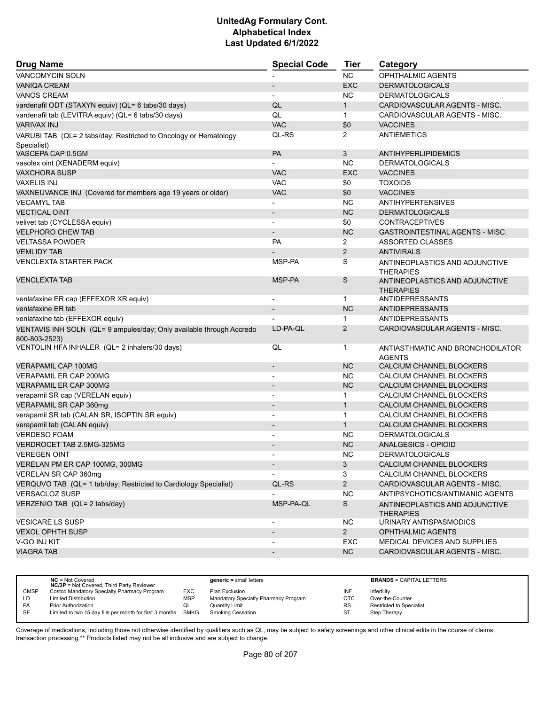| <b>Drug Name</b>                                                                      | <b>Special Code</b>          | <b>Tier</b>    | Category                                           |
|---------------------------------------------------------------------------------------|------------------------------|----------------|----------------------------------------------------|
| <b>VANCOMYCIN SOLN</b>                                                                |                              | <b>NC</b>      | <b>OPHTHALMIC AGENTS</b>                           |
| <b>VANIQA CREAM</b>                                                                   |                              | <b>EXC</b>     | <b>DERMATOLOGICALS</b>                             |
| <b>VANOS CREAM</b>                                                                    |                              | <b>NC</b>      | <b>DERMATOLOGICALS</b>                             |
| vardenafil ODT (STAXYN equiv) (QL= 6 tabs/30 days)                                    | QL                           | $\mathbf{1}$   | CARDIOVASCULAR AGENTS - MISC.                      |
| vardenafil tab (LEVITRA equiv) (QL= 6 tabs/30 days)                                   | QL                           | $\mathbf{1}$   | CARDIOVASCULAR AGENTS - MISC.                      |
| <b>VARIVAX INJ</b>                                                                    | <b>VAC</b>                   | \$0            | <b>VACCINES</b>                                    |
| VARUBI TAB (QL= 2 tabs/day; Restricted to Oncology or Hematology                      | QL-RS                        | $\overline{2}$ | <b>ANTIEMETICS</b>                                 |
| Specialist)                                                                           |                              |                |                                                    |
| VASCEPA CAP 0.5GM                                                                     | PA                           | 3              | <b>ANTIHYPERLIPIDEMICS</b>                         |
| vasolex oint (XENADERM equiv)                                                         |                              | <b>NC</b>      | <b>DERMATOLOGICALS</b>                             |
| <b>VAXCHORA SUSP</b>                                                                  | <b>VAC</b>                   | <b>EXC</b>     | <b>VACCINES</b>                                    |
| <b>VAXELIS INJ</b>                                                                    | VAC                          | \$0            | <b>TOXOIDS</b>                                     |
| VAXNEUVANCE INJ (Covered for members age 19 years or older)                           | <b>VAC</b>                   | \$0            | <b>VACCINES</b>                                    |
| <b>VECAMYL TAB</b>                                                                    |                              | <b>NC</b>      | <b>ANTIHYPERTENSIVES</b>                           |
| <b>VECTICAL OINT</b>                                                                  | $\overline{a}$               | NC             | <b>DERMATOLOGICALS</b>                             |
| velivet tab (CYCLESSA equiv)                                                          |                              | \$0            | <b>CONTRACEPTIVES</b>                              |
| <b>VELPHORO CHEW TAB</b>                                                              | $\overline{a}$               | <b>NC</b>      | <b>GASTROINTESTINAL AGENTS - MISC.</b>             |
| <b>VELTASSA POWDER</b>                                                                | PA                           | $\overline{2}$ | <b>ASSORTED CLASSES</b>                            |
| <b>VEMLIDY TAB</b>                                                                    |                              | $\overline{2}$ | <b>ANTIVIRALS</b>                                  |
| <b>VENCLEXTA STARTER PACK</b>                                                         | MSP-PA                       | S              | ANTINEOPLASTICS AND ADJUNCTIVE<br><b>THERAPIES</b> |
| <b>VENCLEXTA TAB</b>                                                                  | MSP-PA                       | S              | ANTINEOPLASTICS AND ADJUNCTIVE<br><b>THERAPIES</b> |
| venlafaxine ER cap (EFFEXOR XR equiv)                                                 | ٠                            | $\mathbf{1}$   | ANTIDEPRESSANTS                                    |
| venlafaxine ER tab                                                                    | $\overline{\phantom{a}}$     | <b>NC</b>      | ANTIDEPRESSANTS                                    |
| venlafaxine tab (EFFEXOR equiv)                                                       |                              | $\mathbf 1$    | <b>ANTIDEPRESSANTS</b>                             |
| VENTAVIS INH SOLN (QL= 9 ampules/day; Only available through Accredo<br>800-803-2523) | LD-PA-QL                     | $\overline{2}$ | CARDIOVASCULAR AGENTS - MISC.                      |
| VENTOLIN HFA INHALER (QL= 2 inhalers/30 days)                                         | QL                           | 1              | ANTIASTHMATIC AND BRONCHODILATOR<br><b>AGENTS</b>  |
| <b>VERAPAMIL CAP 100MG</b>                                                            | $\overline{\phantom{m}}$     | <b>NC</b>      | CALCIUM CHANNEL BLOCKERS                           |
| VERAPAMIL ER CAP 200MG                                                                |                              | NC.            | CALCIUM CHANNEL BLOCKERS                           |
| <b>VERAPAMIL ER CAP 300MG</b>                                                         | $\overline{\phantom{a}}$     | <b>NC</b>      | CALCIUM CHANNEL BLOCKERS                           |
| verapamil SR cap (VERELAN equiv)                                                      |                              | $\mathbf{1}$   | CALCIUM CHANNEL BLOCKERS                           |
| VERAPAMIL SR CAP 360mg                                                                |                              | $\mathbf{1}$   | CALCIUM CHANNEL BLOCKERS                           |
| verapamil SR tab (CALAN SR, ISOPTIN SR equiv)                                         | $\overline{\phantom{0}}$     | $\mathbf{1}$   | CALCIUM CHANNEL BLOCKERS                           |
| verapamil tab (CALAN equiv)                                                           | $\overline{\phantom{m}}$     | $\mathbf{1}$   | CALCIUM CHANNEL BLOCKERS                           |
| <b>VERDESO FOAM</b>                                                                   |                              | <b>NC</b>      | <b>DERMATOLOGICALS</b>                             |
| VERDROCET TAB 2.5MG-325MG                                                             | $\qquad \qquad \blacksquare$ | <b>NC</b>      | ANALGESICS - OPIOID                                |
| <b>VEREGEN OINT</b>                                                                   |                              | <b>NC</b>      | DERMATOLOGICALS                                    |
| VERELAN PM ER CAP 100MG, 300MG                                                        | $\overline{\phantom{a}}$     | 3              | CALCIUM CHANNEL BLOCKERS                           |
| VERELAN SR CAP 360mg                                                                  |                              | 3              | CALCIUM CHANNEL BLOCKERS                           |
| VERQUVO TAB (QL= 1 tab/day; Restricted to Cardiology Specialist)                      | QL-RS                        | $\overline{2}$ | CARDIOVASCULAR AGENTS - MISC.                      |
| <b>VERSACLOZ SUSP</b>                                                                 |                              | <b>NC</b>      | ANTIPSYCHOTICS/ANTIMANIC AGENTS                    |
| VERZENIO TAB (QL= 2 tabs/day)                                                         | MSP-PA-QL                    | S              | ANTINEOPLASTICS AND ADJUNCTIVE<br><b>THERAPIES</b> |
| <b>VESICARE LS SUSP</b>                                                               | $\overline{\phantom{a}}$     | <b>NC</b>      | URINARY ANTISPASMODICS                             |
| <b>VEXOL OPHTH SUSP</b>                                                               |                              | $2^{\circ}$    | <b>OPHTHALMIC AGENTS</b>                           |
| V-GO INJ KIT                                                                          |                              | EXC            | MEDICAL DEVICES AND SUPPLIES                       |
| <b>VIAGRA TAB</b>                                                                     | $\overline{\phantom{m}}$     | NC             | CARDIOVASCULAR AGENTS - MISC.                      |
|                                                                                       |                              |                |                                                    |

|             | $NC = Not Covered$<br><b>NC/3P</b> = Not Covered, Third Party Reviewer |            | $generic = small letters$            |     | <b>BRANDS = CAPITAL LETTERS</b> |
|-------------|------------------------------------------------------------------------|------------|--------------------------------------|-----|---------------------------------|
| <b>CMSP</b> | Costco Mandatory Specialty Pharmacy Program                            | EXC.       | Plan Exclusion                       | INF | Infertility                     |
| LD          | <b>Limited Distribution</b>                                            | <b>MSP</b> | Mandatory Specialty Pharmacy Program | OTC | Over-the-Counter                |
| <b>PA</b>   | <b>Prior Authorization</b>                                             | QL         | <b>Quantity Limit</b>                | RS  | Restricted to Specialist        |
| <b>SF</b>   | Limited to two 15 day fills per month for first 3 months SMKG          |            | Smoking Cessation                    | ST  | Step Therapy                    |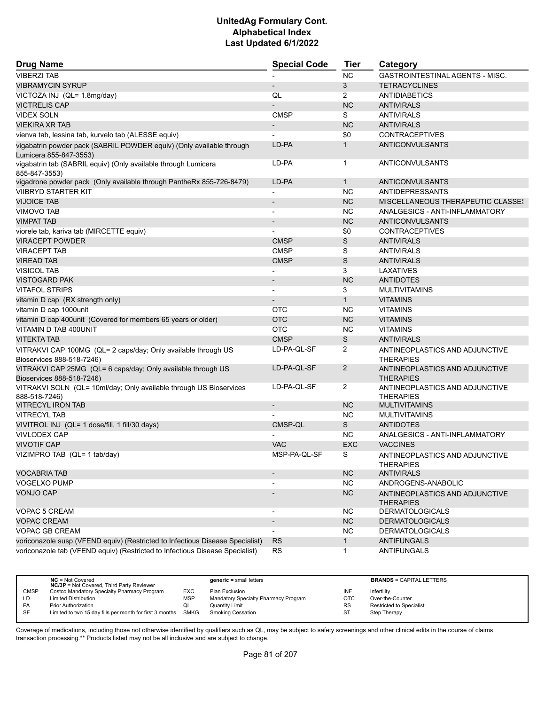| <b>Drug Name</b>                                                                               | <b>Special Code</b>          | <b>Tier</b>    | Category                                           |
|------------------------------------------------------------------------------------------------|------------------------------|----------------|----------------------------------------------------|
| <b>VIBERZI TAB</b>                                                                             |                              | <b>NC</b>      | <b>GASTROINTESTINAL AGENTS - MISC.</b>             |
| <b>VIBRAMYCIN SYRUP</b>                                                                        |                              | 3              | <b>TETRACYCLINES</b>                               |
| VICTOZA INJ (QL= 1.8mg/day)                                                                    | QL                           | $\overline{2}$ | <b>ANTIDIABETICS</b>                               |
| <b>VICTRELIS CAP</b>                                                                           |                              | <b>NC</b>      | <b>ANTIVIRALS</b>                                  |
| <b>VIDEX SOLN</b>                                                                              | <b>CMSP</b>                  | S              | <b>ANTIVIRALS</b>                                  |
| <b>VIEKIRA XR TAB</b>                                                                          | $\overline{\phantom{a}}$     | <b>NC</b>      | <b>ANTIVIRALS</b>                                  |
| vienva tab, lessina tab, kurvelo tab (ALESSE equiv)                                            |                              | \$0            | <b>CONTRACEPTIVES</b>                              |
| vigabatrin powder pack (SABRIL POWDER equiv) (Only available through<br>Lumicera 855-847-3553) | LD-PA                        | $\mathbf{1}$   | <b>ANTICONVULSANTS</b>                             |
| vigabatrin tab (SABRIL equiv) (Only available through Lumicera<br>855-847-3553)                | LD-PA                        | $\mathbf{1}$   | ANTICONVULSANTS                                    |
| vigadrone powder pack (Only available through PantheRx 855-726-8479)                           | LD-PA                        | $\mathbf{1}$   | ANTICONVULSANTS                                    |
| <b>VIIBRYD STARTER KIT</b>                                                                     | $\overline{a}$               | NC.            | ANTIDEPRESSANTS                                    |
| <b>VIJOICE TAB</b>                                                                             | $\qquad \qquad \blacksquare$ | <b>NC</b>      | MISCELLANEOUS THERAPEUTIC CLASSES                  |
| <b>VIMOVO TAB</b>                                                                              |                              | <b>NC</b>      | ANALGESICS - ANTI-INFLAMMATORY                     |
| <b>VIMPAT TAB</b>                                                                              |                              | <b>NC</b>      | <b>ANTICONVULSANTS</b>                             |
| viorele tab, kariva tab (MIRCETTE equiv)                                                       | $\overline{\phantom{0}}$     | \$0            | <b>CONTRACEPTIVES</b>                              |
| <b>VIRACEPT POWDER</b>                                                                         | <b>CMSP</b>                  | S              | <b>ANTIVIRALS</b>                                  |
| <b>VIRACEPT TAB</b>                                                                            | <b>CMSP</b>                  | S              | <b>ANTIVIRALS</b>                                  |
| <b>VIREAD TAB</b>                                                                              | <b>CMSP</b>                  | S              | <b>ANTIVIRALS</b>                                  |
| <b>VISICOL TAB</b>                                                                             |                              | 3              | LAXATIVES                                          |
| <b>VISTOGARD PAK</b>                                                                           | $\overline{\phantom{m}}$     | <b>NC</b>      | <b>ANTIDOTES</b>                                   |
| <b>VITAFOL STRIPS</b>                                                                          | $\overline{\phantom{0}}$     | 3              | <b>MULTIVITAMINS</b>                               |
| vitamin D cap (RX strength only)                                                               |                              | $\mathbf{1}$   | <b>VITAMINS</b>                                    |
| vitamin D cap 1000unit                                                                         | OTC                          | <b>NC</b>      | <b>VITAMINS</b>                                    |
| vitamin D cap 400unit (Covered for members 65 years or older)                                  | <b>OTC</b>                   | NC             | <b>VITAMINS</b>                                    |
| VITAMIN D TAB 400UNIT                                                                          | <b>OTC</b>                   | NC.            | <b>VITAMINS</b>                                    |
| <b>VITEKTA TAB</b>                                                                             | <b>CMSP</b>                  | S              | <b>ANTIVIRALS</b>                                  |
| VITRAKVI CAP 100MG (QL= 2 caps/day; Only available through US                                  | LD-PA-QL-SF                  | 2              | ANTINEOPLASTICS AND ADJUNCTIVE                     |
| Bioservices 888-518-7246)                                                                      |                              |                | <b>THERAPIES</b>                                   |
| VITRAKVI CAP 25MG (QL= 6 caps/day; Only available through US<br>Bioservices 888-518-7246)      | LD-PA-QL-SF                  | $\overline{2}$ | ANTINEOPLASTICS AND ADJUNCTIVE<br><b>THERAPIES</b> |
| VITRAKVI SOLN (QL= 10ml/day; Only available through US Bioservices<br>888-518-7246)            | LD-PA-QL-SF                  | $\overline{2}$ | ANTINEOPLASTICS AND ADJUNCTIVE<br><b>THERAPIES</b> |
| <b>VITRECYL IRON TAB</b>                                                                       | $\overline{\phantom{a}}$     | <b>NC</b>      | <b>MULTIVITAMINS</b>                               |
| <b>VITRECYL TAB</b>                                                                            |                              | NC.            | <b>MULTIVITAMINS</b>                               |
| VIVITROL INJ (QL= 1 dose/fill, 1 fill/30 days)                                                 | CMSP-QL                      | S              | <b>ANTIDOTES</b>                                   |
| <b>VIVLODEX CAP</b>                                                                            |                              | NC.            | ANALGESICS - ANTI-INFLAMMATORY                     |
| <b>VIVOTIF CAP</b>                                                                             | <b>VAC</b>                   | <b>EXC</b>     | <b>VACCINES</b>                                    |
| VIZIMPRO TAB (QL= 1 tab/day)                                                                   | MSP-PA-QL-SF                 | S              | ANTINEOPLASTICS AND ADJUNCTIVE<br><b>THERAPIES</b> |
| <b>VOCABRIA TAB</b>                                                                            |                              | NC             | <b>ANTIVIRALS</b>                                  |
| <b>VOGELXO PUMP</b>                                                                            |                              | <b>NC</b>      | ANDROGENS-ANABOLIC                                 |
| <b>VONJO CAP</b>                                                                               |                              | NC             | ANTINEOPLASTICS AND ADJUNCTIVE<br><b>THERAPIES</b> |
| VOPAC 5 CREAM                                                                                  |                              | NC.            | <b>DERMATOLOGICALS</b>                             |
| <b>VOPAC CREAM</b>                                                                             | $\overline{\phantom{a}}$     | <b>NC</b>      | <b>DERMATOLOGICALS</b>                             |
| <b>VOPAC GB CREAM</b>                                                                          |                              | NC.            | <b>DERMATOLOGICALS</b>                             |
| voriconazole susp (VFEND equiv) (Restricted to Infectious Disease Specialist)                  | <b>RS</b>                    | $\mathbf{1}$   | <b>ANTIFUNGALS</b>                                 |
| voriconazole tab (VFEND equiv) (Restricted to Infectious Disease Specialist)                   | <b>RS</b>                    | $\mathbf{1}$   | ANTIFUNGALS                                        |

|             | $NC = Not Covered$<br><b>NC/3P</b> = Not Covered, Third Party Reviewer |            | $generic = small letters$            |           | <b>BRANDS = CAPITAL LETTERS</b> |
|-------------|------------------------------------------------------------------------|------------|--------------------------------------|-----------|---------------------------------|
| <b>CMSP</b> | Costco Mandatory Specialty Pharmacy Program                            | EXC        | Plan Exclusion                       | INF       | Infertility                     |
| LD          | <b>Limited Distribution</b>                                            | <b>MSP</b> | Mandatory Specialty Pharmacy Program | OTC       | Over-the-Counter                |
| PA          | <b>Prior Authorization</b>                                             | QL         | <b>Quantity Limit</b>                | <b>RS</b> | Restricted to Specialist        |
| <b>SF</b>   | Limited to two 15 day fills per month for first 3 months SMKG          |            | Smoking Cessation                    | ST        | Step Therapy                    |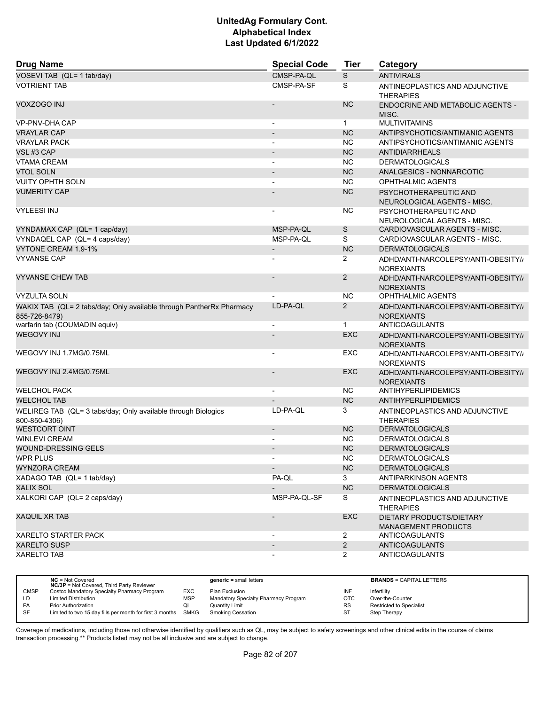| <b>Drug Name</b>                                                                      | <b>Special Code</b>      | <b>Tier</b>           | Category                                                 |
|---------------------------------------------------------------------------------------|--------------------------|-----------------------|----------------------------------------------------------|
| VOSEVI TAB (QL= 1 tab/day)                                                            | CMSP-PA-QL               | S                     | <b>ANTIVIRALS</b>                                        |
| <b>VOTRIENT TAB</b>                                                                   | CMSP-PA-SF               | S                     | ANTINEOPLASTICS AND ADJUNCTIVE<br><b>THERAPIES</b>       |
| VOXZOGO INJ                                                                           |                          | <b>NC</b>             | <b>ENDOCRINE AND METABOLIC AGENTS -</b><br>MISC.         |
| VP-PNV-DHA CAP                                                                        | L,                       | $\mathbf{1}$          | <b>MULTIVITAMINS</b>                                     |
| <b>VRAYLAR CAP</b>                                                                    |                          | <b>NC</b>             | ANTIPSYCHOTICS/ANTIMANIC AGENTS                          |
| <b>VRAYLAR PACK</b>                                                                   |                          | <b>NC</b>             | ANTIPSYCHOTICS/ANTIMANIC AGENTS                          |
| VSL#3 CAP                                                                             | $\overline{\phantom{a}}$ | <b>NC</b>             | <b>ANTIDIARRHEALS</b>                                    |
| <b>VTAMA CREAM</b>                                                                    |                          | <b>NC</b>             | <b>DERMATOLOGICALS</b>                                   |
| <b>VTOL SOLN</b>                                                                      |                          | <b>NC</b>             | ANALGESICS - NONNARCOTIC                                 |
| <b>VUITY OPHTH SOLN</b>                                                               |                          | <b>NC</b>             | <b>OPHTHALMIC AGENTS</b>                                 |
| <b>VUMERITY CAP</b>                                                                   |                          | <b>NC</b>             | PSYCHOTHERAPEUTIC AND<br>NEUROLOGICAL AGENTS - MISC.     |
| <b>VYLEESI INJ</b>                                                                    |                          | <b>NC</b>             | PSYCHOTHERAPEUTIC AND<br>NEUROLOGICAL AGENTS - MISC.     |
| VYNDAMAX CAP (QL= 1 cap/day)                                                          | MSP-PA-QL                | S                     | CARDIOVASCULAR AGENTS - MISC.                            |
| VYNDAQEL CAP (QL= 4 caps/day)                                                         | MSP-PA-QL                | S                     | CARDIOVASCULAR AGENTS - MISC.                            |
| VYTONE CREAM 1.9-1%                                                                   | $\overline{\phantom{a}}$ | <b>NC</b>             | <b>DERMATOLOGICALS</b>                                   |
| <b>VYVANSE CAP</b>                                                                    |                          | 2                     | ADHD/ANTI-NARCOLEPSY/ANTI-OBESITY//<br><b>NOREXIANTS</b> |
| <b>VYVANSE CHEW TAB</b>                                                               |                          | 2                     | ADHD/ANTI-NARCOLEPSY/ANTI-OBESITY//<br><b>NOREXIANTS</b> |
| <b>VYZULTA SOLN</b>                                                                   |                          | <b>NC</b>             | <b>OPHTHALMIC AGENTS</b>                                 |
| WAKIX TAB (QL= 2 tabs/day; Only available through PantherRx Pharmacy<br>855-726-8479) | LD-PA-QL                 | 2                     | ADHD/ANTI-NARCOLEPSY/ANTI-OBESITY//<br><b>NOREXIANTS</b> |
| warfarin tab (COUMADIN equiv)                                                         |                          | $\mathbf{1}$          | ANTICOAGULANTS                                           |
| <b>WEGOVY INJ</b>                                                                     |                          | <b>EXC</b>            | ADHD/ANTI-NARCOLEPSY/ANTI-OBESITY//<br><b>NOREXIANTS</b> |
| WEGOVY INJ 1.7MG/0.75ML                                                               |                          | EXC                   | ADHD/ANTI-NARCOLEPSY/ANTI-OBESITY//<br><b>NOREXIANTS</b> |
| WEGOVY INJ 2.4MG/0.75ML                                                               |                          | <b>EXC</b>            | ADHD/ANTI-NARCOLEPSY/ANTI-OBESITY//<br><b>NOREXIANTS</b> |
| <b>WELCHOL PACK</b>                                                                   |                          | <b>NC</b>             | ANTIHYPERLIPIDEMICS                                      |
| <b>WELCHOL TAB</b>                                                                    |                          | <b>NC</b>             | ANTIHYPERLIPIDEMICS                                      |
| WELIREG TAB (QL= 3 tabs/day; Only available through Biologics<br>800-850-4306)        | LD-PA-QL                 | 3                     | ANTINEOPLASTICS AND ADJUNCTIVE<br><b>THERAPIES</b>       |
| <b>WESTCORT OINT</b>                                                                  | $\overline{\phantom{m}}$ | <b>NC</b>             | <b>DERMATOLOGICALS</b>                                   |
| <b>WINLEVI CREAM</b>                                                                  |                          | <b>NC</b>             | <b>DERMATOLOGICALS</b>                                   |
| <b>WOUND-DRESSING GELS</b>                                                            |                          | <b>NC</b>             | <b>DERMATOLOGICALS</b>                                   |
| WPR PLUS                                                                              | -                        | NC.                   | <b>DERMATOLOGICALS</b>                                   |
| <b>WYNZORA CREAM</b>                                                                  |                          | NC                    | <b>DERMATOLOGICALS</b>                                   |
| XADAGO TAB (QL= 1 tab/day)                                                            | PA-QL                    | 3                     | ANTIPARKINSON AGENTS                                     |
| <b>XALIX SOL</b>                                                                      |                          | NC                    | <b>DERMATOLOGICALS</b>                                   |
| XALKORI CAP (QL= 2 caps/day)                                                          | MSP-PA-QL-SF             | S                     | ANTINEOPLASTICS AND ADJUNCTIVE<br><b>THERAPIES</b>       |
| <b>XAQUIL XR TAB</b>                                                                  |                          | EXC                   | DIETARY PRODUCTS/DIETARY<br><b>MANAGEMENT PRODUCTS</b>   |
| <b>XARELTO STARTER PACK</b>                                                           |                          | $\overline{2}$        | ANTICOAGULANTS                                           |
| <b>XARELTO SUSP</b>                                                                   | $\overline{\phantom{a}}$ | $\overline{2}$        | <b>ANTICOAGULANTS</b>                                    |
| <b>XARELTO TAB</b>                                                                    |                          | $\mathbf{2}^{\prime}$ | <b>ANTICOAGULANTS</b>                                    |

|             | $NC = Not Covered$<br><b>NC/3P</b> = Not Covered, Third Party Reviewer |            | $generic = small letters$            |           | <b>BRANDS = CAPITAL LETTERS</b> |
|-------------|------------------------------------------------------------------------|------------|--------------------------------------|-----------|---------------------------------|
| <b>CMSP</b> | Costco Mandatory Specialty Pharmacy Program                            | EXC        | Plan Exclusion                       | INF       | Infertility                     |
| LD          | <b>Limited Distribution</b>                                            | <b>MSP</b> | Mandatory Specialty Pharmacy Program | OTC       | Over-the-Counter                |
| <b>PA</b>   | Prior Authorization                                                    | QL         | Quantity Limit                       | <b>RS</b> | <b>Restricted to Specialist</b> |
| <b>SF</b>   | Limited to two 15 day fills per month for first 3 months SMKG          |            | <b>Smoking Cessation</b>             | ST        | Step Therapy                    |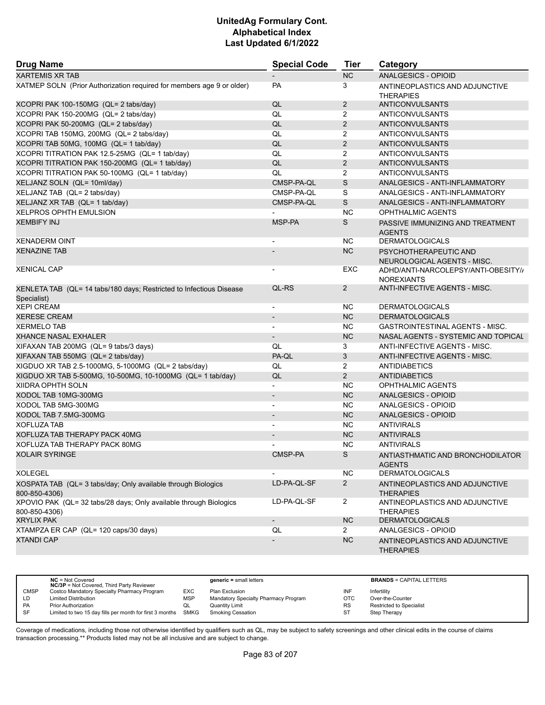| <b>Drug Name</b>                                                                   | <b>Special Code</b>          | <b>Tier</b>           | Category                                                |
|------------------------------------------------------------------------------------|------------------------------|-----------------------|---------------------------------------------------------|
| <b>XARTEMIS XR TAB</b>                                                             |                              | <b>NC</b>             | ANALGESICS - OPIOID                                     |
| XATMEP SOLN (Prior Authorization required for members age 9 or older)              | PA                           | 3                     | ANTINEOPLASTICS AND ADJUNCTIVE<br><b>THERAPIES</b>      |
| XCOPRI PAK 100-150MG (QL= 2 tabs/day)                                              | QL                           | $\overline{2}$        | <b>ANTICONVULSANTS</b>                                  |
| XCOPRI PAK 150-200MG (QL= 2 tabs/day)                                              | QL                           | $\overline{2}$        | <b>ANTICONVULSANTS</b>                                  |
| XCOPRI PAK 50-200MG (QL= 2 tabs/day)                                               | QL                           | $\overline{2}$        | ANTICONVULSANTS                                         |
| XCOPRI TAB 150MG, 200MG (QL= 2 tabs/day)                                           | QL                           | 2                     | <b>ANTICONVULSANTS</b>                                  |
| XCOPRI TAB 50MG, 100MG (QL= 1 tab/day)                                             | QL                           | $\overline{2}$        | <b>ANTICONVULSANTS</b>                                  |
| XCOPRI TITRATION PAK 12.5-25MG (QL= 1 tab/day)                                     | QL                           | $\overline{2}$        | <b>ANTICONVULSANTS</b>                                  |
| XCOPRI TITRATION PAK 150-200MG (QL= 1 tab/day)                                     | QL                           | $\overline{2}$        | <b>ANTICONVULSANTS</b>                                  |
| XCOPRI TITRATION PAK 50-100MG (QL= 1 tab/day)                                      | QL                           | $\overline{2}$        | <b>ANTICONVULSANTS</b>                                  |
| XELJANZ SOLN (QL= 10ml/day)                                                        | CMSP-PA-QL                   | $\mathsf S$           | ANALGESICS - ANTI-INFLAMMATORY                          |
| XELJANZ TAB (QL= 2 tabs/day)                                                       | CMSP-PA-QL                   | S                     | ANALGESICS - ANTI-INFLAMMATORY                          |
| XELJANZ XR TAB (QL= 1 tab/day)                                                     | CMSP-PA-QL                   | S                     | ANALGESICS - ANTI-INFLAMMATORY                          |
| <b>XELPROS OPHTH EMULSION</b>                                                      |                              | <b>NC</b>             | <b>OPHTHALMIC AGENTS</b>                                |
| <b>XEMBIFY INJ</b>                                                                 | MSP-PA                       | S                     | PASSIVE IMMUNIZING AND TREATMENT<br><b>AGENTS</b>       |
| <b>XENADERM OINT</b>                                                               | $\blacksquare$               | NC.                   | <b>DERMATOLOGICALS</b>                                  |
| <b>XENAZINE TAB</b>                                                                |                              | <b>NC</b>             | PSYCHOTHERAPEUTIC AND<br>NEUROLOGICAL AGENTS - MISC.    |
| <b>XENICAL CAP</b>                                                                 |                              | EXC                   | ADHD/ANTI-NARCOLEPSY/ANTI-OBESITY/<br><b>NOREXIANTS</b> |
| XENLETA TAB (QL= 14 tabs/180 days; Restricted to Infectious Disease<br>Specialist) | QL-RS                        | $\mathbf{2}^{\prime}$ | ANTI-INFECTIVE AGENTS - MISC.                           |
| <b>XEPI CREAM</b>                                                                  | $\overline{\phantom{a}}$     | <b>NC</b>             | <b>DERMATOLOGICALS</b>                                  |
| <b>XERESE CREAM</b>                                                                | $\qquad \qquad \blacksquare$ | <b>NC</b>             | <b>DERMATOLOGICALS</b>                                  |
| <b>XERMELO TAB</b>                                                                 | $\overline{\phantom{a}}$     | ΝC                    | GASTROINTESTINAL AGENTS - MISC.                         |
| <b>XHANCE NASAL EXHALER</b>                                                        |                              | <b>NC</b>             | NASAL AGENTS - SYSTEMIC AND TOPICAL                     |
| XIFAXAN TAB 200MG (QL= 9 tabs/3 days)                                              | QL                           | 3                     | ANTI-INFECTIVE AGENTS - MISC.                           |
| XIFAXAN TAB 550MG (QL= 2 tabs/day)                                                 | PA-QL                        | 3                     | ANTI-INFECTIVE AGENTS - MISC.                           |
| XIGDUO XR TAB 2.5-1000MG, 5-1000MG (QL= 2 tabs/day)                                | QL                           | $\overline{2}$        | <b>ANTIDIABETICS</b>                                    |
| XIGDUO XR TAB 5-500MG, 10-500MG, 10-1000MG (QL= 1 tab/day)                         | QL                           | $\overline{2}$        | <b>ANTIDIABETICS</b>                                    |
| XIIDRA OPHTH SOLN                                                                  |                              | <b>NC</b>             | <b>OPHTHALMIC AGENTS</b>                                |
| XODOL TAB 10MG-300MG                                                               |                              | <b>NC</b>             | ANALGESICS - OPIOID                                     |
| XODOL TAB 5MG-300MG                                                                |                              | <b>NC</b>             | ANALGESICS - OPIOID                                     |
| XODOL TAB 7.5MG-300MG                                                              | $\overline{a}$               | <b>NC</b>             | ANALGESICS - OPIOID                                     |
| <b>XOFLUZA TAB</b>                                                                 | $\overline{\phantom{a}}$     | <b>NC</b>             | <b>ANTIVIRALS</b>                                       |
| XOFLUZA TAB THERAPY PACK 40MG                                                      |                              | <b>NC</b>             | <b>ANTIVIRALS</b>                                       |
| XOFLUZA TAB THERAPY PACK 80MG                                                      |                              | <b>NC</b>             | <b>ANTIVIRALS</b>                                       |
| <b>XOLAIR SYRINGE</b>                                                              | CMSP-PA                      | S                     | ANTIASTHMATIC AND BRONCHODILATOR<br><b>AGENTS</b>       |
| <b>XOLEGEL</b>                                                                     |                              | <b>NC</b>             | <b>DERMATOLOGICALS</b>                                  |
| XOSPATA TAB (QL= 3 tabs/day; Only available through Biologics<br>800-850-4306)     | LD-PA-QL-SF                  | $\mathbf{2}$          | ANTINEOPLASTICS AND ADJUNCTIVE<br><b>THERAPIES</b>      |
| XPOVIO PAK (QL= 32 tabs/28 days; Only available through Biologics<br>800-850-4306) | LD-PA-QL-SF                  | $\overline{2}$        | ANTINEOPLASTICS AND ADJUNCTIVE<br><b>THERAPIES</b>      |
| <b>XRYLIX PAK</b>                                                                  | $\overline{\phantom{a}}$     | <b>NC</b>             | <b>DERMATOLOGICALS</b>                                  |
| XTAMPZA ER CAP (QL= 120 caps/30 days)                                              | QL                           | $\mathbf{2}^{\prime}$ | ANALGESICS - OPIOID                                     |
| <b>XTANDI CAP</b>                                                                  |                              | <b>NC</b>             | ANTINEOPLASTICS AND ADJUNCTIVE<br><b>THERAPIES</b>      |

|             | $NC = Not Covered$<br><b>NC/3P</b> = Not Covered, Third Party Reviewer |            | $generic = small letters$            |            | <b>BRANDS = CAPITAL LETTERS</b> |
|-------------|------------------------------------------------------------------------|------------|--------------------------------------|------------|---------------------------------|
| <b>CMSP</b> | Costco Mandatory Specialty Pharmacy Program                            | EXC        | Plan Exclusion                       | INF        | Infertility                     |
| LD          | <b>Limited Distribution</b>                                            | <b>MSP</b> | Mandatory Specialty Pharmacy Program | <b>OTC</b> | Over-the-Counter                |
| <b>PA</b>   | <b>Prior Authorization</b>                                             | QL         | <b>Quantity Limit</b>                | <b>RS</b>  | <b>Restricted to Specialist</b> |
| SF          | Limited to two 15 day fills per month for first 3 months SMKG          |            | Smoking Cessation                    | -ST        | Step Therapy                    |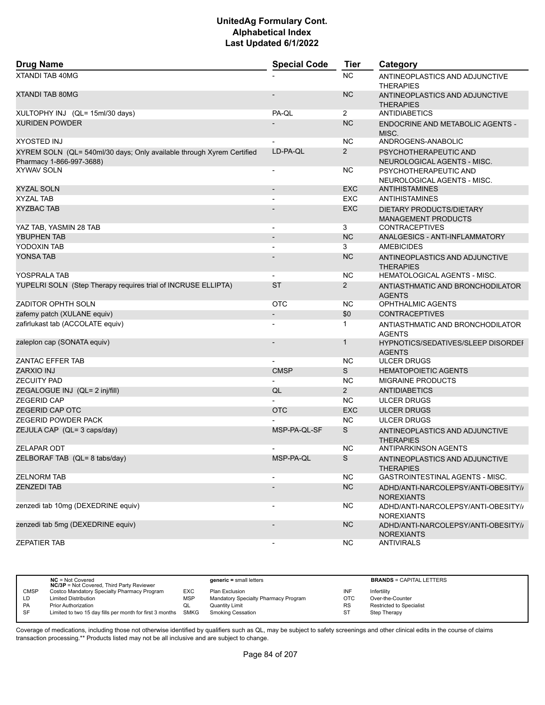| <b>Drug Name</b>                                                                                  | <b>Special Code</b>      | <b>Tier</b>    | Category                                                   |
|---------------------------------------------------------------------------------------------------|--------------------------|----------------|------------------------------------------------------------|
| <b>XTANDI TAB 40MG</b>                                                                            |                          | NC.            | ANTINEOPLASTICS AND ADJUNCTIVE<br><b>THERAPIES</b>         |
| <b>XTANDI TAB 80MG</b>                                                                            |                          | <b>NC</b>      | ANTINEOPLASTICS AND ADJUNCTIVE<br><b>THERAPIES</b>         |
| XULTOPHY INJ (QL= 15ml/30 days)                                                                   | PA-QL                    | $\overline{2}$ | ANTIDIABETICS                                              |
| <b>XURIDEN POWDER</b>                                                                             |                          | <b>NC</b>      | ENDOCRINE AND METABOLIC AGENTS -<br>MISC.                  |
| <b>XYOSTED INJ</b>                                                                                |                          | <b>NC</b>      | ANDROGENS-ANABOLIC                                         |
| XYREM SOLN (QL= 540ml/30 days; Only available through Xyrem Certified<br>Pharmacy 1-866-997-3688) | LD-PA-QL                 | $\overline{2}$ | PSYCHOTHERAPEUTIC AND<br>NEUROLOGICAL AGENTS - MISC.       |
| <b>XYWAV SOLN</b>                                                                                 | $\overline{\phantom{a}}$ | NC.            | PSYCHOTHERAPEUTIC AND<br>NEUROLOGICAL AGENTS - MISC.       |
| XYZAL SOLN                                                                                        | $\overline{\phantom{a}}$ | <b>EXC</b>     | <b>ANTIHISTAMINES</b>                                      |
| <b>XYZAL TAB</b>                                                                                  |                          | <b>EXC</b>     | <b>ANTIHISTAMINES</b>                                      |
| <b>XYZBAC TAB</b>                                                                                 |                          | <b>EXC</b>     | DIETARY PRODUCTS/DIETARY<br><b>MANAGEMENT PRODUCTS</b>     |
| YAZ TAB, YASMIN 28 TAB                                                                            |                          | 3              | <b>CONTRACEPTIVES</b>                                      |
| YBUPHEN TAB                                                                                       | $\overline{\phantom{m}}$ | <b>NC</b>      | ANALGESICS - ANTI-INFLAMMATORY                             |
| YODOXIN TAB                                                                                       |                          | 3              | <b>AMEBICIDES</b>                                          |
| <b>YONSA TAB</b>                                                                                  |                          | <b>NC</b>      | ANTINEOPLASTICS AND ADJUNCTIVE<br><b>THERAPIES</b>         |
| YOSPRALA TAB                                                                                      |                          | <b>NC</b>      | HEMATOLOGICAL AGENTS - MISC.                               |
| YUPELRI SOLN (Step Therapy requires trial of INCRUSE ELLIPTA)                                     | <b>ST</b>                | $\overline{2}$ | ANTIASTHMATIC AND BRONCHODILATOR<br><b>AGENTS</b>          |
| <b>ZADITOR OPHTH SOLN</b>                                                                         | <b>OTC</b>               | NC.            | <b>OPHTHALMIC AGENTS</b>                                   |
| zafemy patch (XULANE equiv)                                                                       |                          | \$0            | <b>CONTRACEPTIVES</b>                                      |
| zafirlukast tab (ACCOLATE equiv)                                                                  |                          | 1              | ANTIASTHMATIC AND BRONCHODILATOR<br><b>AGENTS</b>          |
| zaleplon cap (SONATA equiv)                                                                       |                          | 1              | <b>HYPNOTICS/SEDATIVES/SLEEP DISORDEF</b><br><b>AGENTS</b> |
| ZANTAC EFFER TAB                                                                                  |                          | <b>NC</b>      | <b>ULCER DRUGS</b>                                         |
| ZARXIO INJ                                                                                        | <b>CMSP</b>              | S              | <b>HEMATOPOIETIC AGENTS</b>                                |
| <b>ZECUITY PAD</b>                                                                                |                          | <b>NC</b>      | <b>MIGRAINE PRODUCTS</b>                                   |
| ZEGALOGUE INJ (QL= 2 inj/fill)                                                                    | QL                       | $\overline{2}$ | <b>ANTIDIABETICS</b>                                       |
| <b>ZEGERID CAP</b>                                                                                |                          | NC.            | <b>ULCER DRUGS</b>                                         |
| <b>ZEGERID CAP OTC</b>                                                                            | <b>OTC</b>               | <b>EXC</b>     | <b>ULCER DRUGS</b>                                         |
| <b>ZEGERID POWDER PACK</b>                                                                        |                          | <b>NC</b>      | <b>ULCER DRUGS</b>                                         |
| ZEJULA CAP (QL= 3 caps/day)                                                                       | MSP-PA-QL-SF             | S              | ANTINEOPLASTICS AND ADJUNCTIVE<br><b>THERAPIES</b>         |
| <b>ZELAPAR ODT</b>                                                                                |                          | ΝC             | ANTIPARKINSON AGENTS                                       |
| ZELBORAF TAB (QL= 8 tabs/day)                                                                     | MSP-PA-QL                | S              | ANTINEOPLASTICS AND ADJUNCTIVE<br><b>THERAPIES</b>         |
| <b>ZELNORM TAB</b>                                                                                | $\overline{\phantom{0}}$ | <b>NC</b>      | GASTROINTESTINAL AGENTS - MISC.                            |
| <b>ZENZEDI TAB</b>                                                                                |                          | <b>NC</b>      | ADHD/ANTI-NARCOLEPSY/ANTI-OBESITY//<br><b>NOREXIANTS</b>   |
| zenzedi tab 10mg (DEXEDRINE equiv)                                                                |                          | <b>NC</b>      | ADHD/ANTI-NARCOLEPSY/ANTI-OBESITY//<br><b>NOREXIANTS</b>   |
| zenzedi tab 5mg (DEXEDRINE equiv)                                                                 |                          | NC             | ADHD/ANTI-NARCOLEPSY/ANTI-OBESITY/<br><b>NOREXIANTS</b>    |
| <b>ZEPATIER TAB</b>                                                                               |                          | <b>NC</b>      | <b>ANTIVIRALS</b>                                          |

|             | $NC = Not Covered$<br><b>NC/3P</b> = Not Covered, Third Party Reviewer |            | $generic = small letters$            |           | <b>BRANDS = CAPITAL LETTERS</b> |
|-------------|------------------------------------------------------------------------|------------|--------------------------------------|-----------|---------------------------------|
| <b>CMSP</b> | Costco Mandatory Specialty Pharmacy Program                            | EXC        | Plan Exclusion                       | INF       | Infertility                     |
| LD          | <b>Limited Distribution</b>                                            | <b>MSP</b> | Mandatory Specialty Pharmacy Program | OTC       | Over-the-Counter                |
| <b>PA</b>   | <b>Prior Authorization</b>                                             | QL         | Quantity Limit                       | <b>RS</b> | <b>Restricted to Specialist</b> |
| <b>SF</b>   | Limited to two 15 day fills per month for first 3 months SMKG          |            | <b>Smoking Cessation</b>             | ST        | Step Therapy                    |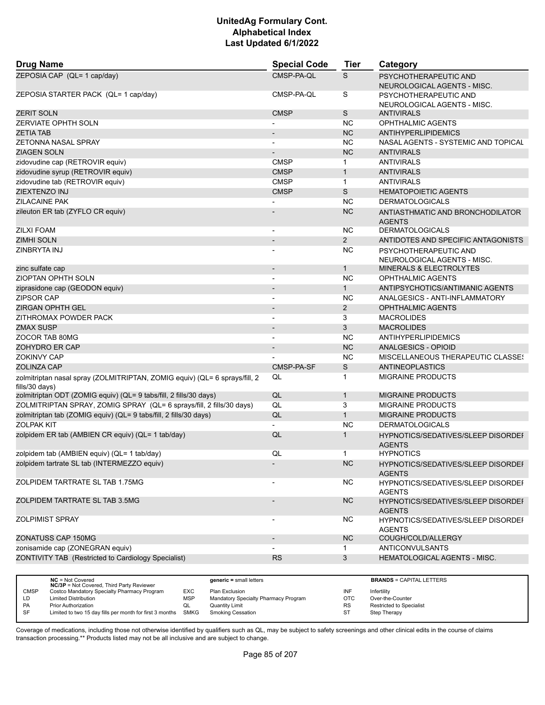| <b>Drug Name</b>                                                                             | <b>Special Code</b>      | <b>Tier</b>    | Category                                                   |
|----------------------------------------------------------------------------------------------|--------------------------|----------------|------------------------------------------------------------|
| ZEPOSIA CAP (QL= 1 cap/day)                                                                  | CMSP-PA-QL               | S              | PSYCHOTHERAPEUTIC AND<br>NEUROLOGICAL AGENTS - MISC.       |
| ZEPOSIA STARTER PACK (QL= 1 cap/day)                                                         | CMSP-PA-QL               | S              | PSYCHOTHERAPEUTIC AND<br>NEUROLOGICAL AGENTS - MISC.       |
| <b>ZERIT SOLN</b>                                                                            | <b>CMSP</b>              | S              | <b>ANTIVIRALS</b>                                          |
| ZERVIATE OPHTH SOLN                                                                          |                          | <b>NC</b>      | OPHTHALMIC AGENTS                                          |
| <b>ZETIA TAB</b>                                                                             | $\overline{\phantom{0}}$ | <b>NC</b>      | <b>ANTIHYPERLIPIDEMICS</b>                                 |
| <b>ZETONNA NASAL SPRAY</b>                                                                   | $\blacksquare$           | <b>NC</b>      | NASAL AGENTS - SYSTEMIC AND TOPICAL                        |
| <b>ZIAGEN SOLN</b>                                                                           |                          | <b>NC</b>      | <b>ANTIVIRALS</b>                                          |
| zidovudine cap (RETROVIR equiv)                                                              | <b>CMSP</b>              | $\mathbf{1}$   | <b>ANTIVIRALS</b>                                          |
| zidovudine syrup (RETROVIR equiv)                                                            | <b>CMSP</b>              | $\mathbf{1}$   | <b>ANTIVIRALS</b>                                          |
| zidovudine tab (RETROVIR equiv)                                                              | <b>CMSP</b>              | $\mathbf{1}$   | <b>ANTIVIRALS</b>                                          |
| ZIEXTENZO INJ                                                                                | <b>CMSP</b>              | S              | <b>HEMATOPOIETIC AGENTS</b>                                |
| ZILACAINE PAK                                                                                | $\overline{\phantom{a}}$ | <b>NC</b>      | <b>DERMATOLOGICALS</b>                                     |
| zileuton ER tab (ZYFLO CR equiv)                                                             |                          | <b>NC</b>      | ANTIASTHMATIC AND BRONCHODILATOR<br><b>AGENTS</b>          |
| <b>ZILXI FOAM</b>                                                                            | $\overline{\phantom{a}}$ | ΝC             | <b>DERMATOLOGICALS</b>                                     |
| <b>ZIMHI SOLN</b>                                                                            |                          | $\overline{2}$ | ANTIDOTES AND SPECIFIC ANTAGONISTS                         |
| ZINBRYTA INJ                                                                                 | $\blacksquare$           | ΝC             | PSYCHOTHERAPEUTIC AND<br>NEUROLOGICAL AGENTS - MISC.       |
| zinc sulfate cap                                                                             | $\overline{\phantom{a}}$ | 1              | <b>MINERALS &amp; ELECTROLYTES</b>                         |
| ZIOPTAN OPHTH SOLN                                                                           | $\overline{\phantom{a}}$ | ΝC             | OPHTHALMIC AGENTS                                          |
| ziprasidone cap (GEODON equiv)                                                               |                          | $\mathbf{1}$   | ANTIPSYCHOTICS/ANTIMANIC AGENTS                            |
| <b>ZIPSOR CAP</b>                                                                            | $\blacksquare$           | ΝC             | ANALGESICS - ANTI-INFLAMMATORY                             |
| ZIRGAN OPHTH GEL                                                                             |                          | $\overline{2}$ | <b>OPHTHALMIC AGENTS</b>                                   |
| ZITHROMAX POWDER PACK                                                                        |                          | 3              | <b>MACROLIDES</b>                                          |
| <b>ZMAX SUSP</b>                                                                             | $\overline{\phantom{a}}$ | 3              | <b>MACROLIDES</b>                                          |
| ZOCOR TAB 80MG                                                                               | $\overline{\phantom{a}}$ | ΝC             | <b>ANTIHYPERLIPIDEMICS</b>                                 |
| ZOHYDRO ER CAP                                                                               |                          | <b>NC</b>      | <b>ANALGESICS - OPIOID</b>                                 |
| <b>ZOKINVY CAP</b>                                                                           |                          | <b>NC</b>      | MISCELLANEOUS THERAPEUTIC CLASSES                          |
| <b>ZOLINZA CAP</b>                                                                           | CMSP-PA-SF               | S              | <b>ANTINEOPLASTICS</b>                                     |
| zolmitriptan nasal spray (ZOLMITRIPTAN, ZOMIG equiv) (QL= 6 sprays/fill, 2<br>fills/30 days) | QL                       | 1              | <b>MIGRAINE PRODUCTS</b>                                   |
| zolmitriptan ODT (ZOMIG equiv) (QL= 9 tabs/fill, 2 fills/30 days)                            | QL                       | $\mathbf{1}$   | <b>MIGRAINE PRODUCTS</b>                                   |
| ZOLMITRIPTAN SPRAY, ZOMIG SPRAY (QL= 6 sprays/fill, 2 fills/30 days)                         | QL                       | 3              | <b>MIGRAINE PRODUCTS</b>                                   |
| zolmitriptan tab (ZOMIG equiv) (QL= 9 tabs/fill, 2 fills/30 days)                            | QL                       | $\mathbf{1}$   | <b>MIGRAINE PRODUCTS</b>                                   |
| <b>ZOLPAK KIT</b>                                                                            |                          | <b>NC</b>      | <b>DERMATOLOGICALS</b>                                     |
| zolpidem ER tab (AMBIEN CR equiv) (QL= 1 tab/day)                                            | QL                       | 1              | <b>HYPNOTICS/SEDATIVES/SLEEP DISORDEF</b><br><b>AGENTS</b> |
| zolpidem tab (AMBIEN equiv) (QL= 1 tab/day)                                                  | QL                       | 1              | <b>HYPNOTICS</b>                                           |
| zolpidem tartrate SL tab (INTERMEZZO equiv)                                                  |                          | <b>NC</b>      | HYPNOTICS/SEDATIVES/SLEEP DISORDEF<br><b>AGENTS</b>        |
| ZOLPIDEM TARTRATE SL TAB 1.75MG                                                              | $\overline{a}$           | NC             | HYPNOTICS/SEDATIVES/SLEEP DISORDEI<br><b>AGENTS</b>        |
| ZOLPIDEM TARTRATE SL TAB 3.5MG                                                               | $\overline{\phantom{a}}$ | <b>NC</b>      | <b>HYPNOTICS/SEDATIVES/SLEEP DISORDEF</b><br><b>AGENTS</b> |
| <b>ZOLPIMIST SPRAY</b>                                                                       | -                        | NС             | HYPNOTICS/SEDATIVES/SLEEP DISORDEF<br><b>AGENTS</b>        |
| ZONATUSS CAP 150MG                                                                           | $\overline{\phantom{a}}$ | <b>NC</b>      | COUGH/COLD/ALLERGY                                         |
| zonisamide cap (ZONEGRAN equiv)                                                              |                          | $\mathbf{1}$   | <b>ANTICONVULSANTS</b>                                     |
| ZONTIVITY TAB (Restricted to Cardiology Specialist)                                          | RS                       | 3              | HEMATOLOGICAL AGENTS - MISC.                               |
|                                                                                              |                          |                |                                                            |

|             | $NC = Not Covered$<br><b>NC/3P</b> = Not Covered, Third Party Reviewer |            | $generic = small letters$            |           | <b>BRANDS = CAPITAL LETTERS</b> |
|-------------|------------------------------------------------------------------------|------------|--------------------------------------|-----------|---------------------------------|
| <b>CMSP</b> | Costco Mandatory Specialty Pharmacy Program                            | EXC        | Plan Exclusion                       | INF       | Infertility                     |
| LD          | <b>Limited Distribution</b>                                            | <b>MSP</b> | Mandatory Specialty Pharmacy Program | OTC       | Over-the-Counter                |
| <b>PA</b>   | <b>Prior Authorization</b>                                             | QL         | <b>Quantity Limit</b>                | <b>RS</b> | <b>Restricted to Specialist</b> |
| SF          | Limited to two 15 day fills per month for first 3 months               | SMKG       | <b>Smoking Cessation</b>             | <b>ST</b> | Step Therapy                    |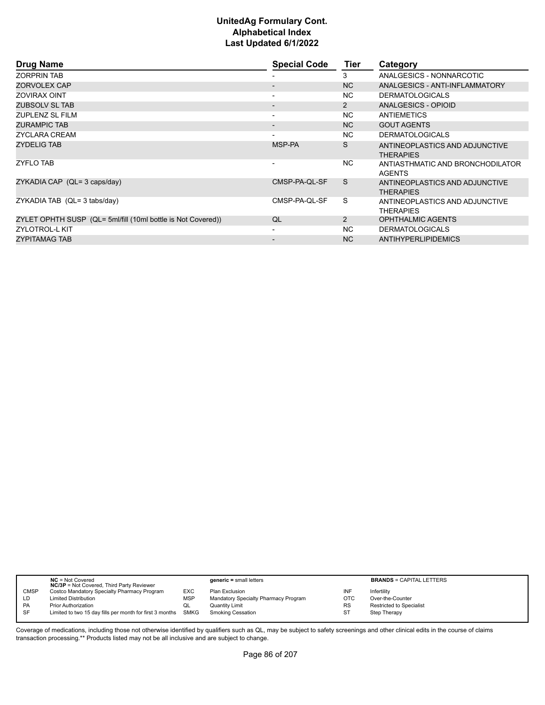| <b>Drug Name</b>                                             | <b>Special Code</b>      | <b>Tier</b>  | Category                                           |
|--------------------------------------------------------------|--------------------------|--------------|----------------------------------------------------|
| <b>ZORPRIN TAB</b>                                           |                          | 3            | ANALGESICS - NONNARCOTIC                           |
| ZORVOLEX CAP                                                 | $\overline{\phantom{0}}$ | NC           | ANALGESICS - ANTI-INFLAMMATORY                     |
| <b>ZOVIRAX OINT</b>                                          | $\blacksquare$           | NC.          | <b>DERMATOLOGICALS</b>                             |
| ZUBSOLV SL TAB                                               | $\overline{\phantom{0}}$ | 2            | ANALGESICS - OPIOID                                |
| <b>ZUPLENZ SL FILM</b>                                       | $\overline{\phantom{a}}$ | NC.          | ANTIEMETICS                                        |
| <b>ZURAMPIC TAB</b>                                          | $\overline{\phantom{a}}$ | NC.          | <b>GOUT AGENTS</b>                                 |
| ZYCLARA CREAM                                                | $\blacksquare$           | NC.          | <b>DERMATOLOGICALS</b>                             |
| <b>ZYDELIG TAB</b>                                           | MSP-PA                   | S            | ANTINEOPLASTICS AND ADJUNCTIVE<br><b>THERAPIES</b> |
| <b>ZYFLO TAB</b>                                             |                          | NC.          | ANTIASTHMATIC AND BRONCHODILATOR<br><b>AGENTS</b>  |
| ZYKADIA CAP (QL= 3 caps/day)                                 | CMSP-PA-QL-SF            | <sub>S</sub> | ANTINEOPLASTICS AND ADJUNCTIVE<br><b>THERAPIES</b> |
| ZYKADIA TAB (QL= 3 tabs/day)                                 | CMSP-PA-QL-SF            | S            | ANTINEOPLASTICS AND ADJUNCTIVE<br><b>THERAPIES</b> |
| ZYLET OPHTH SUSP (QL= 5ml/fill (10ml bottle is Not Covered)) | QL                       | 2            | <b>OPHTHALMIC AGENTS</b>                           |
| <b>ZYLOTROL-L KIT</b>                                        | $\blacksquare$           | NC.          | <b>DERMATOLOGICALS</b>                             |
| <b>ZYPITAMAG TAB</b>                                         | $\overline{\phantom{a}}$ | NC.          | ANTIHYPERLIPIDEMICS                                |

|             | $NC = Not Covered$<br><b>NC/3P</b> = Not Covered, Third Party Reviewer |             | $generic = small letters$            |            | <b>BRANDS = CAPITAL LETTERS</b> |
|-------------|------------------------------------------------------------------------|-------------|--------------------------------------|------------|---------------------------------|
| <b>CMSP</b> | Costco Mandatory Specialty Pharmacy Program                            | EXC         | Plan Exclusion                       | INF        | Infertility                     |
| LD          | <b>Limited Distribution</b>                                            | <b>MSP</b>  | Mandatory Specialty Pharmacy Program | <b>OTC</b> | Over-the-Counter                |
| <b>PA</b>   | <b>Prior Authorization</b>                                             | QL          | <b>Quantity Limit</b>                | <b>RS</b>  | Restricted to Specialist        |
| <b>SF</b>   | Limited to two 15 day fills per month for first 3 months               | <b>SMKG</b> | <b>Smoking Cessation</b>             | ST         | Step Therapy                    |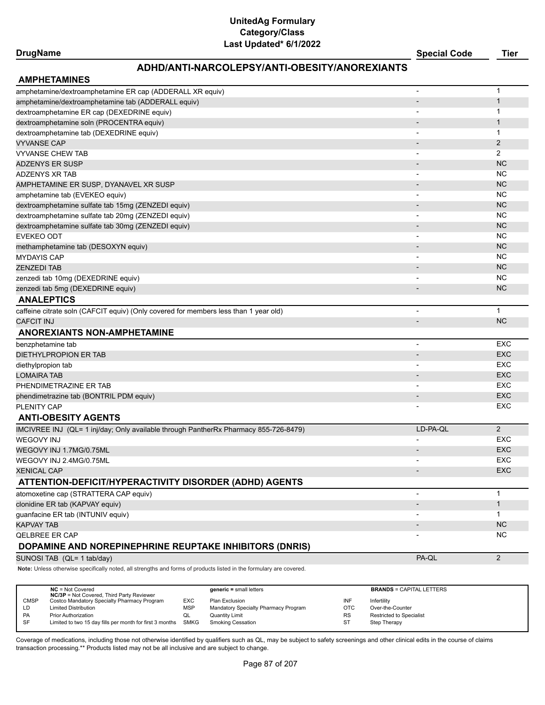## **DrugName Special Code Tier**

# **ADHD/ANTI-NARCOLEPSY/ANTI-OBESITY/ANOREXIANTS**

| <b>AMPHETAMINES</b>                                                                                                 |                          |                |
|---------------------------------------------------------------------------------------------------------------------|--------------------------|----------------|
| amphetamine/dextroamphetamine ER cap (ADDERALL XR equiv)                                                            |                          | $\mathbf 1$    |
| amphetamine/dextroamphetamine tab (ADDERALL equiv)                                                                  |                          | $\mathbf{1}$   |
| dextroamphetamine ER cap (DEXEDRINE equiv)                                                                          |                          | $\mathbf 1$    |
| dextroamphetamine soln (PROCENTRA equiv)                                                                            |                          | $\mathbf{1}$   |
| dextroamphetamine tab (DEXEDRINE equiv)                                                                             |                          | $\mathbf 1$    |
| <b>VYVANSE CAP</b>                                                                                                  |                          | $\overline{2}$ |
| VYVANSE CHEW TAB                                                                                                    | $\overline{\phantom{a}}$ | 2              |
| <b>ADZENYS ER SUSP</b>                                                                                              |                          | <b>NC</b>      |
| <b>ADZENYS XR TAB</b>                                                                                               | $\blacksquare$           | <b>NC</b>      |
| AMPHETAMINE ER SUSP, DYANAVEL XR SUSP                                                                               |                          | <b>NC</b>      |
| amphetamine tab (EVEKEO equiv)                                                                                      |                          | <b>NC</b>      |
| dextroamphetamine sulfate tab 15mg (ZENZEDI equiv)                                                                  |                          | <b>NC</b>      |
| dextroamphetamine sulfate tab 20mg (ZENZEDI equiv)                                                                  |                          | <b>NC</b>      |
| dextroamphetamine sulfate tab 30mg (ZENZEDI equiv)                                                                  |                          | <b>NC</b>      |
| <b>EVEKEO ODT</b>                                                                                                   |                          | <b>NC</b>      |
| methamphetamine tab (DESOXYN equiv)                                                                                 |                          | <b>NC</b>      |
| <b>MYDAYIS CAP</b>                                                                                                  | $\overline{\phantom{a}}$ | <b>NC</b>      |
| <b>ZENZEDI TAB</b>                                                                                                  |                          | <b>NC</b>      |
| zenzedi tab 10mg (DEXEDRINE equiv)                                                                                  |                          | <b>NC</b>      |
| zenzedi tab 5mg (DEXEDRINE equiv)                                                                                   | $\overline{\phantom{a}}$ | <b>NC</b>      |
| <b>ANALEPTICS</b>                                                                                                   |                          |                |
| caffeine citrate soln (CAFCIT equiv) (Only covered for members less than 1 year old)                                |                          | $\mathbf{1}$   |
| <b>CAFCIT INJ</b>                                                                                                   |                          | <b>NC</b>      |
| <b>ANOREXIANTS NON-AMPHETAMINE</b>                                                                                  |                          |                |
| benzphetamine tab                                                                                                   | $\blacksquare$           | <b>EXC</b>     |
| DIETHYLPROPION ER TAB                                                                                               |                          | <b>EXC</b>     |
| diethylpropion tab                                                                                                  |                          | EXC            |
| <b>LOMAIRA TAB</b>                                                                                                  |                          | <b>EXC</b>     |
| PHENDIMETRAZINE ER TAB                                                                                              |                          | EXC            |
| phendimetrazine tab (BONTRIL PDM equiv)                                                                             |                          | <b>EXC</b>     |
| PLENITY CAP                                                                                                         |                          | EXC            |
| <b>ANTI-OBESITY AGENTS</b>                                                                                          |                          |                |
| IMCIVREE INJ (QL= 1 inj/day; Only available through PantherRx Pharmacy 855-726-8479)                                | LD-PA-QL                 | $\overline{2}$ |
| <b>WEGOVY INJ</b>                                                                                                   |                          | EXC            |
| WEGOVY INJ 1.7MG/0.75ML                                                                                             |                          | <b>EXC</b>     |
| WEGOVY INJ 2.4MG/0.75ML                                                                                             |                          | EXC            |
| <b>XENICAL CAP</b>                                                                                                  |                          | <b>EXC</b>     |
| ATTENTION-DEFICIT/HYPERACTIVITY DISORDER (ADHD) AGENTS                                                              |                          |                |
| atomoxetine cap (STRATTERA CAP equiv)                                                                               | $\overline{\phantom{a}}$ | $\mathbf 1$    |
| clonidine ER tab (KAPVAY equiv)                                                                                     |                          | $\mathbf{1}$   |
| guanfacine ER tab (INTUNIV equiv)                                                                                   |                          | $\mathbf{1}$   |
| <b>KAPVAY TAB</b>                                                                                                   |                          | <b>NC</b>      |
| <b>QELBREE ER CAP</b>                                                                                               |                          | NC.            |
| DOPAMINE AND NOREPINEPHRINE REUPTAKE INHIBITORS (DNRIS)                                                             |                          |                |
| SUNOSI TAB (QL= 1 tab/day)                                                                                          | PA-QL                    | 2              |
| Note: Unless otherwise specifically noted, all strengths and forms of products listed in the formulary are covered. |                          |                |
|                                                                                                                     |                          |                |

|             | $NC = Not Covered$                                       |            | $generic = small letters$            |            | <b>BRANDS = CAPITAL LETTERS</b> |
|-------------|----------------------------------------------------------|------------|--------------------------------------|------------|---------------------------------|
|             | <b>NC/3P</b> = Not Covered, Third Party Reviewer         |            |                                      |            |                                 |
| <b>CMSP</b> | Costco Mandatory Specialty Pharmacy Program              | <b>EXC</b> | Plan Exclusion                       | INF        | Infertility                     |
| LD          | <b>Limited Distribution</b>                              | <b>MSP</b> | Mandatory Specialty Pharmacy Program | <b>OTC</b> | Over-the-Counter                |
| PA          | <b>Prior Authorization</b>                               |            | Quantity Limit                       | <b>RS</b>  | Restricted to Specialist        |
| <b>SF</b>   | Limited to two 15 day fills per month for first 3 months | SMKG       | Smoking Cessation                    | <b>ST</b>  | <b>Step Therapy</b>             |
|             |                                                          |            |                                      |            |                                 |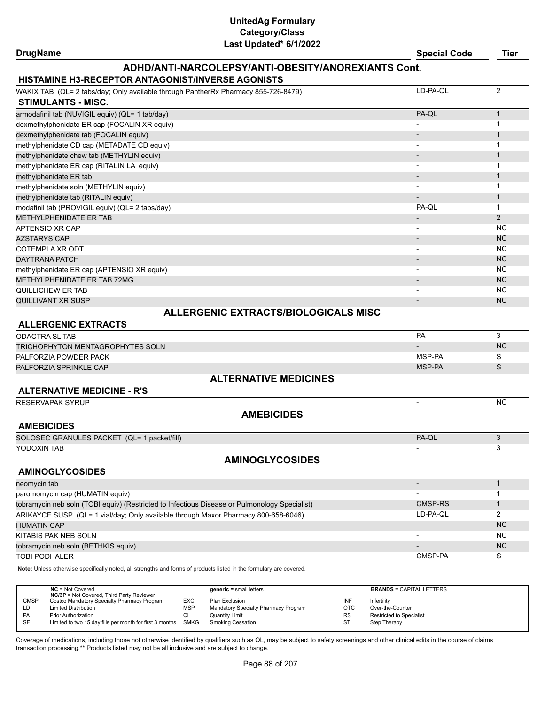### **DrugName Special Code Tier**

# **ADHD/ANTI-NARCOLEPSY/ANTI-OBESITY/ANOREXIANTS Cont.**

### **HISTAMINE H3-RECEPTOR ANTA**

| WAKIX TAB (QL= 2 tabs/day; Only available through PantherRx Pharmacy 855-726-8479) | LD-PA-QL | 2              |
|------------------------------------------------------------------------------------|----------|----------------|
| <b>STIMULANTS - MISC.</b>                                                          |          |                |
| armodafinil tab (NUVIGIL equiv) (QL= 1 tab/day)                                    | PA-QL    |                |
| dexmethylphenidate ER cap (FOCALIN XR equiv)                                       |          |                |
| dexmethylphenidate tab (FOCALIN equiv)                                             |          |                |
| methylphenidate CD cap (METADATE CD equiv)                                         |          |                |
| methylphenidate chew tab (METHYLIN equiv)                                          |          |                |
| methylphenidate ER cap (RITALIN LA equiv)                                          |          |                |
| methylphenidate ER tab                                                             |          |                |
| methylphenidate soln (METHYLIN equiv)                                              |          |                |
| methylphenidate tab (RITALIN equiv)                                                |          |                |
| modafinil tab (PROVIGIL equiv) (QL= 2 tabs/day)                                    | PA-QL    |                |
| METHYLPHENIDATE ER TAB                                                             |          | $\overline{2}$ |
| APTENSIO XR CAP                                                                    |          | <b>NC</b>      |
| <b>AZSTARYS CAP</b>                                                                |          | <b>NC</b>      |
| COTEMPLA XR ODT                                                                    |          | NC.            |
| <b>DAYTRANA PATCH</b>                                                              |          | <b>NC</b>      |
| methylphenidate ER cap (APTENSIO XR equiv)                                         | -        | <b>NC</b>      |
| METHYLPHENIDATE ER TAB 72MG                                                        |          | <b>NC</b>      |
| QUILLICHEW ER TAB                                                                  |          | NC.            |
| <b>QUILLIVANT XR SUSP</b>                                                          |          | N <sub>C</sub> |
| <b>ALLERGENIC EXTRACTS/BIOLOGICALS MISC</b>                                        |          |                |

### **ALLERGENIC EXTRACTS**

| <b>ODACTRA SL TAB</b>                                                                         | PA                       | 3            |
|-----------------------------------------------------------------------------------------------|--------------------------|--------------|
| TRICHOPHYTON MENTAGROPHYTES SOLN                                                              | $\blacksquare$           | <b>NC</b>    |
| PALFORZIA POWDER PACK                                                                         | MSP-PA                   | S            |
| PALFORZIA SPRINKLE CAP                                                                        | MSP-PA                   | S            |
| <b>ALTERNATIVE MEDICINES</b>                                                                  |                          |              |
| <b>ALTERNATIVE MEDICINE - R'S</b>                                                             |                          |              |
| <b>RESERVAPAK SYRUP</b>                                                                       |                          | <b>NC</b>    |
| <b>AMEBICIDES</b>                                                                             |                          |              |
| <b>AMEBICIDES</b>                                                                             |                          |              |
| SOLOSEC GRANULES PACKET (QL= 1 packet/fill)                                                   | PA-QL                    | 3            |
| YODOXIN TAB                                                                                   |                          | 3            |
| <b>AMINOGLYCOSIDES</b>                                                                        |                          |              |
| <b>AMINOGLYCOSIDES</b>                                                                        |                          |              |
| neomycin tab                                                                                  | $\overline{\phantom{a}}$ |              |
| paromomycin cap (HUMATIN equiv)                                                               | -                        |              |
| tobramycin neb soln (TOBI equiv) (Restricted to Infectious Disease or Pulmonology Specialist) | CMSP-RS                  | $\mathbf{1}$ |
| ARIKAYCE SUSP (QL= 1 vial/day; Only available through Maxor Pharmacy 800-658-6046)            | LD-PA-OL                 | 2            |
| <b>HUMATIN CAP</b>                                                                            | $\overline{\phantom{a}}$ | <b>NC</b>    |
| KITABIS PAK NEB SOLN                                                                          | $\overline{\phantom{a}}$ | <b>NC</b>    |
| tobramycin neb soln (BETHKIS equiv)                                                           |                          | <b>NC</b>    |
| <b>TOBI PODHALER</b>                                                                          | CMSP-PA                  | S            |

**Note:** Unless otherwise specifically noted, all strengths and forms of products listed in the formulary are covered.

|             | $NC = Not Covered$<br><b>NC/3P</b> = Not Covered, Third Party Reviewer |            | $generic = small letters$            |            | <b>BRANDS = CAPITAL LETTERS</b> |
|-------------|------------------------------------------------------------------------|------------|--------------------------------------|------------|---------------------------------|
| <b>CMSP</b> | Costco Mandatory Specialty Pharmacy Program                            | <b>EXC</b> | Plan Exclusion                       | INF        | Infertility                     |
| LD          | <b>Limited Distribution</b>                                            | MSP        | Mandatory Specialty Pharmacy Program | <b>OTC</b> | Over-the-Counter                |
| <b>PA</b>   | Prior Authorization                                                    | QL         | Quantity Limit                       | <b>RS</b>  | Restricted to Specialist        |
| <b>SF</b>   | Limited to two 15 day fills per month for first 3 months               | SMKG       | Smoking Cessation                    | ST         | Step Therapy                    |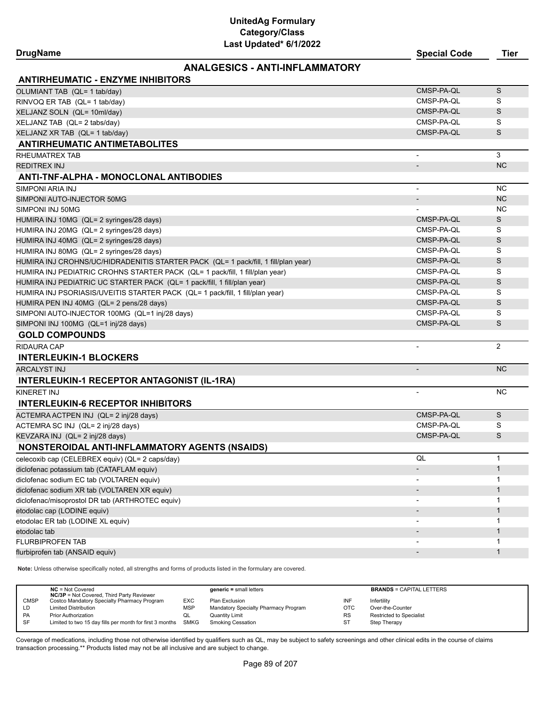### **ANALGESICS - ANTI-INFLAMMATORY**

| <b>ANTIRHEUMATIC - ENZYME INHIBITORS</b>                                           |                          |              |
|------------------------------------------------------------------------------------|--------------------------|--------------|
| OLUMIANT TAB (QL= 1 tab/day)                                                       | CMSP-PA-QL               | S            |
| RINVOQ ER TAB (QL= 1 tab/day)                                                      | CMSP-PA-QL               | S            |
| XELJANZ SOLN (QL= 10ml/day)                                                        | CMSP-PA-QL               | S            |
| XELJANZ TAB (QL= 2 tabs/day)                                                       | CMSP-PA-QL               | S            |
| XELJANZ XR TAB (QL= 1 tab/day)                                                     | CMSP-PA-QL               | S            |
| <b>ANTIRHEUMATIC ANTIMETABOLITES</b>                                               |                          |              |
| RHEUMATREX TAB                                                                     | $\overline{\phantom{a}}$ | 3            |
| <b>REDITREX INJ</b>                                                                |                          | <b>NC</b>    |
| ANTI-TNF-ALPHA - MONOCLONAL ANTIBODIES                                             |                          |              |
| SIMPONI ARIA INJ                                                                   | $\frac{1}{2}$            | <b>NC</b>    |
| SIMPONI AUTO-INJECTOR 50MG                                                         | $\overline{\phantom{a}}$ | <b>NC</b>    |
| SIMPONI INJ 50MG                                                                   |                          | <b>NC</b>    |
| HUMIRA INJ 10MG (QL= 2 syringes/28 days)                                           | CMSP-PA-QL               | S            |
| HUMIRA INJ 20MG (QL= 2 syringes/28 days)                                           | CMSP-PA-QL               | S            |
| HUMIRA INJ 40MG (QL= 2 syringes/28 days)                                           | CMSP-PA-QL               | S            |
| HUMIRA INJ 80MG (QL= 2 syringes/28 days)                                           | CMSP-PA-QL               | S            |
| HUMIRA INJ CROHNS/UC/HIDRADENITIS STARTER PACK (QL= 1 pack/fill, 1 fill/plan year) | CMSP-PA-QL               | S            |
| HUMIRA INJ PEDIATRIC CROHNS STARTER PACK (QL= 1 pack/fill, 1 fill/plan year)       | CMSP-PA-QL               | S            |
| HUMIRA INJ PEDIATRIC UC STARTER PACK (QL= 1 pack/fill, 1 fill/plan year)           | CMSP-PA-QL               | S            |
| HUMIRA INJ PSORIASIS/UVEITIS STARTER PACK (QL= 1 pack/fill, 1 fill/plan year)      | CMSP-PA-QL               | S            |
| HUMIRA PEN INJ 40MG (QL= 2 pens/28 days)                                           | CMSP-PA-QL               | S            |
| SIMPONI AUTO-INJECTOR 100MG (QL=1 inj/28 days)                                     | CMSP-PA-QL               | S            |
| SIMPONI INJ 100MG (QL=1 inj/28 days)                                               | CMSP-PA-QL               | S            |
| <b>GOLD COMPOUNDS</b>                                                              |                          |              |
| <b>RIDAURA CAP</b>                                                                 | $\blacksquare$           | 2            |
| <b>INTERLEUKIN-1 BLOCKERS</b>                                                      |                          |              |
| <b>ARCALYST INJ</b>                                                                | $\overline{a}$           | <b>NC</b>    |
| <b>INTERLEUKIN-1 RECEPTOR ANTAGONIST (IL-1RA)</b>                                  |                          |              |
| KINERET INJ                                                                        |                          | <b>NC</b>    |
| <b>INTERLEUKIN-6 RECEPTOR INHIBITORS</b>                                           |                          |              |
| ACTEMRA ACTPEN INJ (QL= 2 inj/28 days)                                             | CMSP-PA-QL               | S            |
| ACTEMRA SC INJ (QL= 2 inj/28 days)                                                 | CMSP-PA-QL               | S            |
| KEVZARA INJ (QL= 2 inj/28 days)                                                    | CMSP-PA-QL               | S            |
| NONSTEROIDAL ANTI-INFLAMMATORY AGENTS (NSAIDS)                                     |                          |              |
| celecoxib cap (CELEBREX equiv) (QL= 2 caps/day)                                    | QL                       | $\mathbf{1}$ |
| diclofenac potassium tab (CATAFLAM equiv)                                          |                          | $\mathbf{1}$ |
| diclofenac sodium EC tab (VOLTAREN equiv)                                          |                          | 1            |
| diclofenac sodium XR tab (VOLTAREN XR equiv)                                       |                          | 1            |
| diclofenac/misoprostol DR tab (ARTHROTEC equiv)                                    |                          | 1            |
| etodolac cap (LODINE equiv)                                                        |                          | $\mathbf{1}$ |
| etodolac ER tab (LODINE XL equiv)                                                  |                          | 1            |
| etodolac tab                                                                       |                          | $\mathbf{1}$ |
| FLURBIPROFEN TAB                                                                   |                          | 1            |
| flurbiprofen tab (ANSAID equiv)                                                    |                          | 1            |

**Note:** Unless otherwise specifically noted, all strengths and forms of products listed in the formulary are covered.

|             | $NC = Not Covered$<br><b>NC/3P</b> = Not Covered, Third Party Reviewer |            | $generic = small letters$            |            | <b>BRANDS = CAPITAL LETTERS</b> |
|-------------|------------------------------------------------------------------------|------------|--------------------------------------|------------|---------------------------------|
| <b>CMSP</b> | Costco Mandatory Specialty Pharmacy Program                            | <b>EXC</b> | Plan Exclusion                       | INF        | Infertility                     |
| LD          | <b>Limited Distribution</b>                                            | <b>MSP</b> | Mandatory Specialty Pharmacy Program | <b>OTC</b> | Over-the-Counter                |
| PA          | <b>Prior Authorization</b>                                             | QL         | <b>Quantity Limit</b>                | <b>RS</b>  | Restricted to Specialist        |
| <b>SF</b>   | Limited to two 15 day fills per month for first 3 months SMKG          |            | <b>Smoking Cessation</b>             | ST         | Step Therapy                    |
|             |                                                                        |            |                                      |            |                                 |

Coverage of medications, including those not otherwise identified by qualifiers such as QL, may be subject to safety screenings and other clinical edits in the course of claims transaction processing.\*\* Products listed may not be all inclusive and are subject to change.

**DrugName Special Code Tier**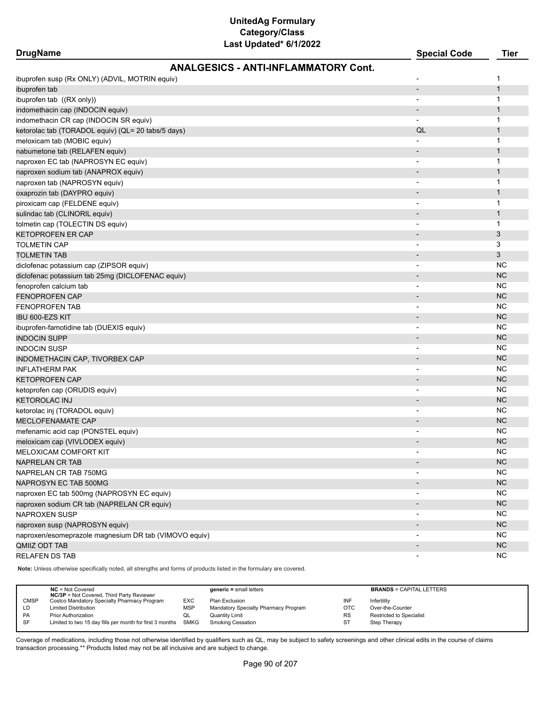| <b>DrugName</b>                                       | JI UPUULUU <i>VIIIL</i> UL                  | <b>Special Code</b>      | <b>Tier</b>  |
|-------------------------------------------------------|---------------------------------------------|--------------------------|--------------|
|                                                       | <b>ANALGESICS - ANTI-INFLAMMATORY Cont.</b> |                          |              |
| ibuprofen susp (Rx ONLY) (ADVIL, MOTRIN equiv)        |                                             |                          | 1            |
| ibuprofen tab                                         |                                             | $\overline{\phantom{a}}$ | $\mathbf{1}$ |
| ibuprofen tab ((RX only))                             |                                             | $\blacksquare$           | 1            |
| indomethacin cap (INDOCIN equiv)                      |                                             | $\overline{\phantom{a}}$ | 1            |
| indomethacin CR cap (INDOCIN SR equiv)                |                                             |                          | 1            |
| ketorolac tab (TORADOL equiv) (QL= 20 tabs/5 days)    |                                             | QL                       | 1            |
| meloxicam tab (MOBIC equiv)                           |                                             |                          | 1            |
| nabumetone tab (RELAFEN equiv)                        |                                             | $\overline{\phantom{a}}$ | $\mathbf{1}$ |
| naproxen EC tab (NAPROSYN EC equiv)                   |                                             |                          | 1            |
| naproxen sodium tab (ANAPROX equiv)                   |                                             | $\overline{\phantom{a}}$ | $\mathbf{1}$ |
| naproxen tab (NAPROSYN equiv)                         |                                             | $\overline{\phantom{a}}$ | 1            |
| oxaprozin tab (DAYPRO equiv)                          |                                             | $\overline{\phantom{a}}$ | 1            |
| piroxicam cap (FELDENE equiv)                         |                                             | $\overline{\phantom{a}}$ | 1            |
| sulindac tab (CLINORIL equiv)                         |                                             | -                        | 1            |
| tolmetin cap (TOLECTIN DS equiv)                      |                                             | $\overline{\phantom{a}}$ | 1            |
| KETOPROFEN ER CAP                                     |                                             |                          | 3            |
| <b>TOLMETIN CAP</b>                                   |                                             |                          | 3            |
| <b>TOLMETIN TAB</b>                                   |                                             |                          | 3            |
|                                                       |                                             |                          | <b>NC</b>    |
| diclofenac potassium cap (ZIPSOR equiv)               |                                             | -                        | <b>NC</b>    |
| diclofenac potassium tab 25mg (DICLOFENAC equiv)      |                                             |                          |              |
| fenoprofen calcium tab                                |                                             | $\overline{\phantom{a}}$ | <b>NC</b>    |
| <b>FENOPROFEN CAP</b>                                 |                                             |                          | <b>NC</b>    |
| <b>FENOPROFEN TAB</b>                                 |                                             | -                        | <b>NC</b>    |
| IBU 600-EZS KIT                                       |                                             | $\overline{\phantom{a}}$ | <b>NC</b>    |
| ibuprofen-famotidine tab (DUEXIS equiv)               |                                             |                          | <b>NC</b>    |
| <b>INDOCIN SUPP</b>                                   |                                             |                          | <b>NC</b>    |
| <b>INDOCIN SUSP</b>                                   |                                             |                          | <b>NC</b>    |
| INDOMETHACIN CAP, TIVORBEX CAP                        |                                             | ۰                        | <b>NC</b>    |
| <b>INFLATHERM PAK</b>                                 |                                             | $\overline{\phantom{a}}$ | <b>NC</b>    |
| <b>KETOPROFEN CAP</b>                                 |                                             | $\overline{\phantom{0}}$ | <b>NC</b>    |
| ketoprofen cap (ORUDIS equiv)                         |                                             | $\overline{\phantom{a}}$ | <b>NC</b>    |
| <b>KETOROLAC INJ</b>                                  |                                             | -                        | <b>NC</b>    |
| ketorolac inj (TORADOL equiv)                         |                                             | $\overline{\phantom{a}}$ | <b>NC</b>    |
| MECLOFENAMATE CAP                                     |                                             | $\overline{\phantom{0}}$ | <b>NC</b>    |
| mefenamic acid cap (PONSTEL equiv)                    |                                             |                          | NC.          |
| meloxicam cap (VIVLODEX equiv)                        |                                             | $\overline{a}$           | <b>NC</b>    |
| MELOXICAM COMFORT KIT                                 |                                             | $\blacksquare$           | <b>NC</b>    |
| NAPRELAN CR TAB                                       |                                             |                          | <b>NC</b>    |
| NAPRELAN CR TAB 750MG                                 |                                             |                          | <b>NC</b>    |
| NAPROSYN EC TAB 500MG                                 |                                             |                          | NC           |
| naproxen EC tab 500mg (NAPROSYN EC equiv)             |                                             | -                        | <b>NC</b>    |
| naproxen sodium CR tab (NAPRELAN CR equiv)            |                                             |                          | <b>NC</b>    |
| NAPROXEN SUSP                                         |                                             |                          | <b>NC</b>    |
| naproxen susp (NAPROSYN equiv)                        |                                             |                          | <b>NC</b>    |
| naproxen/esomeprazole magnesium DR tab (VIMOVO equiv) |                                             | $\overline{\phantom{a}}$ | <b>NC</b>    |
| QMIIZ ODT TAB                                         |                                             | $\overline{\phantom{a}}$ | NC           |
| RELAFEN DS TAB                                        |                                             | $\overline{\phantom{a}}$ | <b>NC</b>    |
|                                                       |                                             |                          |              |

**Note:** Unless otherwise specifically noted, all strengths and forms of products listed in the formulary are covered.

|             | $NC = Not Covered$<br><b>NC/3P</b> = Not Covered, Third Party Reviewer |            | $generic = small letters$            |            | <b>BRANDS = CAPITAL LETTERS</b> |
|-------------|------------------------------------------------------------------------|------------|--------------------------------------|------------|---------------------------------|
| <b>CMSP</b> | Costco Mandatory Specialty Pharmacy Program                            | <b>EXC</b> | Plan Exclusion                       | INF        | Infertility                     |
| LD          | <b>Limited Distribution</b>                                            | <b>MSP</b> | Mandatory Specialty Pharmacy Program | <b>OTC</b> | Over-the-Counter                |
| <b>PA</b>   | <b>Prior Authorization</b>                                             | QL         | <b>Quantity Limit</b>                | <b>RS</b>  | Restricted to Specialist        |
| -SF         | Limited to two 15 day fills per month for first 3 months SMKG          |            | Smoking Cessation                    | ST         | Step Therapy                    |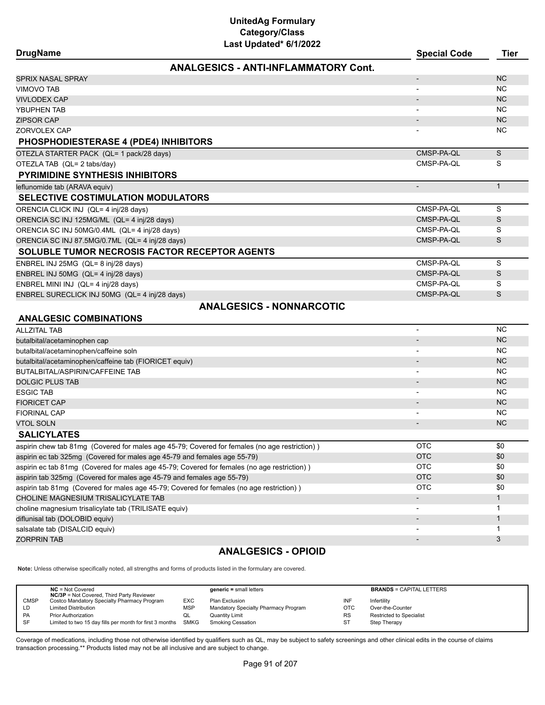| <b>DrugName</b>                                                                               | <b>Special Code</b>      | Tier         |
|-----------------------------------------------------------------------------------------------|--------------------------|--------------|
| <b>ANALGESICS - ANTI-INFLAMMATORY Cont.</b>                                                   |                          |              |
| <b>SPRIX NASAL SPRAY</b>                                                                      | $\overline{a}$           | <b>NC</b>    |
| <b>VIMOVO TAB</b>                                                                             | $\blacksquare$           | <b>NC</b>    |
| <b>VIVLODEX CAP</b>                                                                           | $\overline{\phantom{a}}$ | <b>NC</b>    |
| YBUPHEN TAB                                                                                   |                          | NC.          |
| <b>ZIPSOR CAP</b>                                                                             | $\overline{\phantom{a}}$ | <b>NC</b>    |
| ZORVOLEX CAP                                                                                  |                          | <b>NC</b>    |
| <b>PHOSPHODIESTERASE 4 (PDE4) INHIBITORS</b>                                                  |                          |              |
| OTEZLA STARTER PACK (QL= 1 pack/28 days)                                                      | CMSP-PA-QL               | $\mathsf S$  |
| OTEZLA TAB (QL= 2 tabs/day)                                                                   | CMSP-PA-QL               | S            |
| <b>PYRIMIDINE SYNTHESIS INHIBITORS</b>                                                        |                          |              |
| leflunomide tab (ARAVA equiv)                                                                 | $\overline{\phantom{a}}$ | $\mathbf{1}$ |
| <b>SELECTIVE COSTIMULATION MODULATORS</b>                                                     |                          |              |
| ORENCIA CLICK INJ (QL= 4 inj/28 days)                                                         | CMSP-PA-QL               | S            |
| ORENCIA SC INJ 125MG/ML (QL= 4 inj/28 days)                                                   | CMSP-PA-QL               | S            |
| ORENCIA SC INJ 50MG/0.4ML (QL= 4 inj/28 days)                                                 | CMSP-PA-QL               | S            |
| ORENCIA SC INJ 87.5MG/0.7ML (QL= 4 inj/28 days)                                               | CMSP-PA-QL               | S            |
| SOLUBLE TUMOR NECROSIS FACTOR RECEPTOR AGENTS                                                 |                          |              |
| ENBREL INJ 25MG (QL= 8 inj/28 days)                                                           | CMSP-PA-QL               | S            |
| ENBREL INJ 50MG (QL= 4 inj/28 days)                                                           | CMSP-PA-QL               | S            |
| ENBREL MINI INJ (QL= 4 inj/28 days)                                                           | CMSP-PA-QL               | S            |
| ENBREL SURECLICK INJ 50MG (QL= 4 inj/28 days)                                                 | CMSP-PA-QL               | S            |
| <b>ANALGESICS - NONNARCOTIC</b>                                                               |                          |              |
| <b>ANALGESIC COMBINATIONS</b>                                                                 |                          |              |
| <b>ALLZITAL TAB</b>                                                                           | $\overline{\phantom{a}}$ | <b>NC</b>    |
| butalbital/acetaminophen cap                                                                  | $\overline{\phantom{a}}$ | <b>NC</b>    |
| butalbital/acetaminophen/caffeine soln                                                        | $\overline{\phantom{a}}$ | NC.          |
| butalbital/acetaminophen/caffeine tab (FIORICET equiv)                                        | $\overline{\phantom{a}}$ | <b>NC</b>    |
| <b>BUTALBITAL/ASPIRIN/CAFFEINE TAB</b>                                                        | $\overline{\phantom{a}}$ | NC.          |
| <b>DOLGIC PLUS TAB</b>                                                                        | $\overline{\phantom{a}}$ | <b>NC</b>    |
| <b>ESGIC TAB</b>                                                                              | $\overline{\phantom{a}}$ | <b>NC</b>    |
| <b>FIORICET CAP</b>                                                                           |                          | <b>NC</b>    |
| <b>FIORINAL CAP</b>                                                                           |                          | <b>NC</b>    |
| <b>VTOL SOLN</b>                                                                              |                          | <b>NC</b>    |
| <b>SALICYLATES</b>                                                                            |                          |              |
| aspirin chew tab 81mg (Covered for males age 45-79; Covered for females (no age restriction)) | <b>OTC</b>               | \$0          |
| aspirin ec tab 325mg (Covered for males age 45-79 and females age 55-79)                      | <b>OTC</b>               | \$0          |
| aspirin ec tab 81mg (Covered for males age 45-79; Covered for females (no age restriction))   | <b>OTC</b>               | \$0          |
| aspirin tab 325mg (Covered for males age 45-79 and females age 55-79)                         | <b>OTC</b>               | \$0          |
| aspirin tab 81mg (Covered for males age 45-79; Covered for females (no age restriction))      | <b>OTC</b>               | \$0          |
| CHOLINE MAGNESIUM TRISALICYLATE TAB                                                           |                          | $\mathbf{1}$ |
| choline magnesium trisalicylate tab (TRILISATE equiv)                                         |                          | $\mathbf{1}$ |
| diflunisal tab (DOLOBID equiv)                                                                |                          | $\mathbf{1}$ |
| salsalate tab (DISALCID equiv)                                                                |                          | 1            |
| <b>ZORPRIN TAB</b>                                                                            |                          | 3            |
| <b>ANALGESICS - OPIOID</b>                                                                    |                          |              |

**Note:** Unless otherwise specifically noted, all strengths and forms of products listed in the formulary are covered.

|             | $NC = Not Covered$<br><b>NC/3P</b> = Not Covered, Third Party Reviewer |            | $generic = small letters$            |            | <b>BRANDS = CAPITAL LETTERS</b> |
|-------------|------------------------------------------------------------------------|------------|--------------------------------------|------------|---------------------------------|
| <b>CMSP</b> | Costco Mandatory Specialty Pharmacy Program                            | EXC        | Plan Exclusion                       | INF        | Infertility                     |
| LD          | <b>Limited Distribution</b>                                            | <b>MSP</b> | Mandatory Specialty Pharmacy Program | <b>OTC</b> | Over-the-Counter                |
| <b>PA</b>   | <b>Prior Authorization</b>                                             | QL         | Quantity Limit                       | <b>RS</b>  | <b>Restricted to Specialist</b> |
| SF          | Limited to two 15 day fills per month for first 3 months SMKG          |            | <b>Smoking Cessation</b>             | ST         | Step Therapy                    |
|             |                                                                        |            |                                      |            |                                 |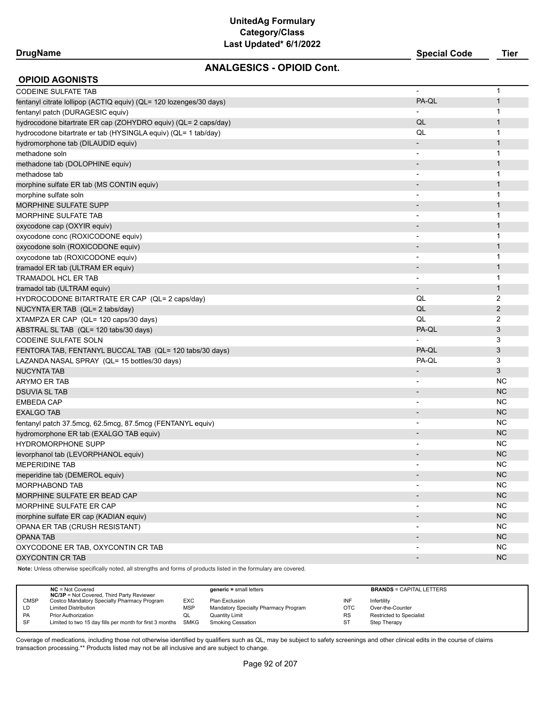## **DrugName Special Code Tier**

### **ANALGESICS - OPIOID Cont.**

| <b>OPIOID AGONISTS</b>                                             |                              |                |
|--------------------------------------------------------------------|------------------------------|----------------|
| <b>CODEINE SULFATE TAB</b>                                         |                              | 1              |
| fentanyl citrate lollipop (ACTIQ equiv) (QL= 120 lozenges/30 days) | PA-QL                        | $\mathbf{1}$   |
| fentanyl patch (DURAGESIC equiv)                                   |                              | 1              |
| hydrocodone bitartrate ER cap (ZOHYDRO equiv) (QL= 2 caps/day)     | QL                           | $\mathbf{1}$   |
| hydrocodone bitartrate er tab (HYSINGLA equiv) (QL= 1 tab/day)     | QL                           | 1              |
| hydromorphone tab (DILAUDID equiv)                                 |                              | $\mathbf{1}$   |
| methadone soln                                                     |                              | 1              |
| methadone tab (DOLOPHINE equiv)                                    |                              | $\mathbf{1}$   |
| methadose tab                                                      | $\overline{\phantom{a}}$     | 1              |
| morphine sulfate ER tab (MS CONTIN equiv)                          |                              | $\mathbf 1$    |
| morphine sulfate soln                                              | $\overline{\phantom{a}}$     | 1              |
| <b>MORPHINE SULFATE SUPP</b>                                       |                              | $\mathbf{1}$   |
| <b>MORPHINE SULFATE TAB</b>                                        |                              | 1              |
| oxycodone cap (OXYIR equiv)                                        |                              | $\mathbf 1$    |
| oxycodone conc (ROXICODONE equiv)                                  |                              | 1              |
| oxycodone soln (ROXICODONE equiv)                                  | $\overline{\phantom{a}}$     | $\mathbf{1}$   |
| oxycodone tab (ROXICODONE equiv)                                   | $\overline{\phantom{a}}$     | 1              |
| tramadol ER tab (ULTRAM ER equiv)                                  |                              | $\mathbf 1$    |
| <b>TRAMADOL HCL ER TAB</b>                                         | $\blacksquare$               | 1              |
| tramadol tab (ULTRAM equiv)                                        | $\qquad \qquad \blacksquare$ | $\mathbf{1}$   |
| HYDROCODONE BITARTRATE ER CAP (QL= 2 caps/day)                     | QL                           | 2              |
| NUCYNTA ER TAB (QL= 2 tabs/day)                                    | QL                           | $\overline{2}$ |
| XTAMPZA ER CAP (QL= 120 caps/30 days)                              | QL                           | 2              |
| ABSTRAL SL TAB (QL= 120 tabs/30 days)                              | PA-QL                        | 3              |
| <b>CODEINE SULFATE SOLN</b>                                        | $\overline{\phantom{a}}$     | 3              |
| FENTORA TAB, FENTANYL BUCCAL TAB (QL= 120 tabs/30 days)            | PA-QL                        | 3              |
| LAZANDA NASAL SPRAY (QL= 15 bottles/30 days)                       | PA-QL                        | 3              |
| <b>NUCYNTA TAB</b>                                                 | $\overline{\phantom{a}}$     | 3              |
| ARYMO ER TAB                                                       | $\overline{\phantom{a}}$     | <b>NC</b>      |
| <b>DSUVIA SL TAB</b>                                               |                              | <b>NC</b>      |
| <b>EMBEDA CAP</b>                                                  |                              | ΝC             |
| <b>EXALGO TAB</b>                                                  | $\overline{\phantom{a}}$     | <b>NC</b>      |
| fentanyl patch 37.5mcg, 62.5mcg, 87.5mcg (FENTANYL equiv)          |                              | ΝC             |
| hydromorphone ER tab (EXALGO TAB equiv)                            |                              | <b>NC</b>      |
| <b>HYDROMORPHONE SUPP</b>                                          |                              | <b>NC</b>      |
| levorphanol tab (LEVORPHANOL equiv)                                |                              | <b>NC</b>      |
| <b>MEPERIDINE TAB</b>                                              |                              | <b>NC</b>      |
| meperidine tab (DEMEROL equiv)                                     |                              | NC.            |
| MORPHABOND TAB                                                     |                              | <b>NC</b>      |
| MORPHINE SULFATE ER BEAD CAP                                       |                              | NC             |
| MORPHINE SULFATE ER CAP                                            |                              | <b>NC</b>      |
| morphine sulfate ER cap (KADIAN equiv)                             | $\blacksquare$               | $NC$           |
| OPANA ER TAB (CRUSH RESISTANT)                                     |                              | <b>NC</b>      |
| <b>OPANA TAB</b>                                                   |                              | <b>NC</b>      |
| OXYCODONE ER TAB, OXYCONTIN CR TAB                                 | $\overline{\phantom{a}}$     | <b>NC</b>      |
| <b>OXYCONTIN CR TAB</b>                                            | $\overline{\phantom{a}}$     | <b>NC</b>      |

**Note:** Unless otherwise specifically noted, all strengths and forms of products listed in the formulary are covered.

|             | $NC = Not Covered$<br><b>NC/3P</b> = Not Covered, Third Party Reviewer |            | $generic = small letters$            |            | <b>BRANDS = CAPITAL LETTERS</b> |
|-------------|------------------------------------------------------------------------|------------|--------------------------------------|------------|---------------------------------|
| <b>CMSP</b> | Costco Mandatory Specialty Pharmacy Program                            | <b>EXC</b> | Plan Exclusion                       | INF        | Infertility                     |
| LD          | <b>Limited Distribution</b>                                            | <b>MSP</b> | Mandatory Specialty Pharmacy Program | <b>OTC</b> | Over-the-Counter                |
| PA          | <b>Prior Authorization</b>                                             | QL         | <b>Quantity Limit</b>                | <b>RS</b>  | Restricted to Specialist        |
| SF          | Limited to two 15 day fills per month for first 3 months SMKG          |            | <b>Smoking Cessation</b>             | <b>ST</b>  | Step Therapy                    |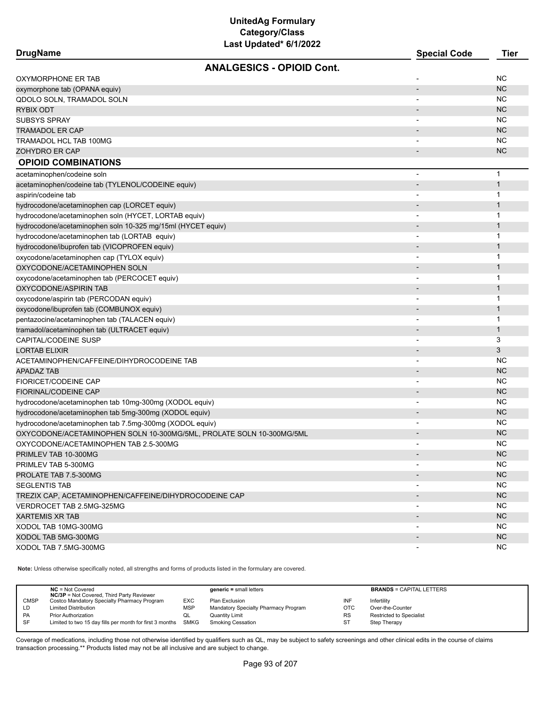| DrugName |  |
|----------|--|
|----------|--|

| <b>DrugName</b>                                                      | <b>Special Code</b>      | Tier         |
|----------------------------------------------------------------------|--------------------------|--------------|
| <b>ANALGESICS - OPIOID Cont.</b>                                     |                          |              |
| OXYMORPHONE ER TAB                                                   |                          | <b>NC</b>    |
| oxymorphone tab (OPANA equiv)                                        |                          | <b>NC</b>    |
| QDOLO SOLN, TRAMADOL SOLN                                            |                          | <b>NC</b>    |
| <b>RYBIX ODT</b>                                                     |                          | <b>NC</b>    |
| <b>SUBSYS SPRAY</b>                                                  |                          | <b>NC</b>    |
| <b>TRAMADOL ER CAP</b>                                               |                          | <b>NC</b>    |
| TRAMADOL HCL TAB 100MG                                               |                          | <b>NC</b>    |
| ZOHYDRO ER CAP                                                       |                          | <b>NC</b>    |
| <b>OPIOID COMBINATIONS</b>                                           |                          |              |
| acetaminophen/codeine soln                                           | $\overline{a}$           | $\mathbf{1}$ |
| acetaminophen/codeine tab (TYLENOL/CODEINE equiv)                    |                          | $\mathbf{1}$ |
| aspirin/codeine tab                                                  |                          | 1            |
| hydrocodone/acetaminophen cap (LORCET equiv)                         |                          | $\mathbf{1}$ |
| hydrocodone/acetaminophen soln (HYCET, LORTAB equiv)                 |                          | $\mathbf{1}$ |
| hydrocodone/acetaminophen soln 10-325 mg/15ml (HYCET equiv)          |                          | $\mathbf{1}$ |
| hydrocodone/acetaminophen tab (LORTAB equiv)                         |                          | $\mathbf{1}$ |
| hydrocodone/ibuprofen tab (VICOPROFEN equiv)                         |                          | $\mathbf{1}$ |
| oxycodone/acetaminophen cap (TYLOX equiv)                            |                          | $\mathbf{1}$ |
| OXYCODONE/ACETAMINOPHEN SOLN                                         |                          | $\mathbf{1}$ |
| oxycodone/acetaminophen tab (PERCOCET equiv)                         | $\overline{a}$           | $\mathbf 1$  |
| OXYCODONE/ASPIRIN TAB                                                |                          | $\mathbf{1}$ |
| oxycodone/aspirin tab (PERCODAN equiv)                               |                          | $\mathbf{1}$ |
| oxycodone/ibuprofen tab (COMBUNOX equiv)                             |                          | $\mathbf{1}$ |
| pentazocine/acetaminophen tab (TALACEN equiv)                        |                          | 1            |
| tramadol/acetaminophen tab (ULTRACET equiv)                          |                          | $\mathbf{1}$ |
| <b>CAPITAL/CODEINE SUSP</b>                                          | $\blacksquare$           | 3            |
| <b>LORTAB ELIXIR</b>                                                 |                          | 3            |
| ACETAMINOPHEN/CAFFEINE/DIHYDROCODEINE TAB                            | -                        | <b>NC</b>    |
| <b>APADAZ TAB</b>                                                    | $\overline{\phantom{0}}$ | <b>NC</b>    |
| FIORICET/CODEINE CAP                                                 |                          | <b>NC</b>    |
| <b>FIORINAL/CODEINE CAP</b>                                          |                          | <b>NC</b>    |
| hydrocodone/acetaminophen tab 10mg-300mg (XODOL equiv)               |                          | <b>NC</b>    |
| hydrocodone/acetaminophen tab 5mg-300mg (XODOL equiv)                | $\overline{\phantom{0}}$ | <b>NC</b>    |
| hydrocodone/acetaminophen tab 7.5mg-300mg (XODOL equiv)              |                          | <b>NC</b>    |
| OXYCODONE/ACETAMINOPHEN SOLN 10-300MG/5ML, PROLATE SOLN 10-300MG/5ML |                          | <b>NC</b>    |
| OXYCODONE/ACETAMINOPHEN TAB 2.5-300MG                                |                          | <b>NC</b>    |
| PRIMLEV TAB 10-300MG                                                 |                          | <b>NC</b>    |
| PRIMLEV TAB 5-300MG                                                  |                          | NC.          |
| PROLATE TAB 7.5-300MG                                                |                          | <b>NC</b>    |
| <b>SEGLENTIS TAB</b>                                                 |                          | NC.          |
| TREZIX CAP, ACETAMINOPHEN/CAFFEINE/DIHYDROCODEINE CAP                |                          | <b>NC</b>    |
| VERDROCET TAB 2.5MG-325MG                                            | $\overline{\phantom{a}}$ | NC.          |
| <b>XARTEMIS XR TAB</b>                                               |                          | <b>NC</b>    |
| XODOL TAB 10MG-300MG                                                 | $\overline{\phantom{a}}$ | NC.          |
| XODOL TAB 5MG-300MG                                                  |                          | <b>NC</b>    |
| XODOL TAB 7.5MG-300MG                                                | $\overline{\phantom{a}}$ | NC.          |
|                                                                      |                          |              |

**Note:** Unless otherwise specifically noted, all strengths and forms of products listed in the formulary are covered.

| <b>NC/3P</b> = Not Covered, Third Party Reviewer                                            | <b>BRANDS = CAPITAL LETTERS</b>              |
|---------------------------------------------------------------------------------------------|----------------------------------------------|
| <b>CMSP</b><br>Costco Mandatory Specialty Pharmacy Program<br><b>EXC</b><br>Plan Exclusion  | INF<br>Infertility                           |
| Mandatory Specialty Pharmacy Program<br><b>MSP</b><br><b>Limited Distribution</b><br>LD     | <b>OTC</b><br>Over-the-Counter               |
| PA<br><b>Prior Authorization</b><br>Quantity Limit<br>w∟                                    | <b>RS</b><br><b>Restricted to Specialist</b> |
| SF<br>Limited to two 15 day fills per month for first 3 months<br>SMKG<br>Smoking Cessation | ST<br>Step Therapy                           |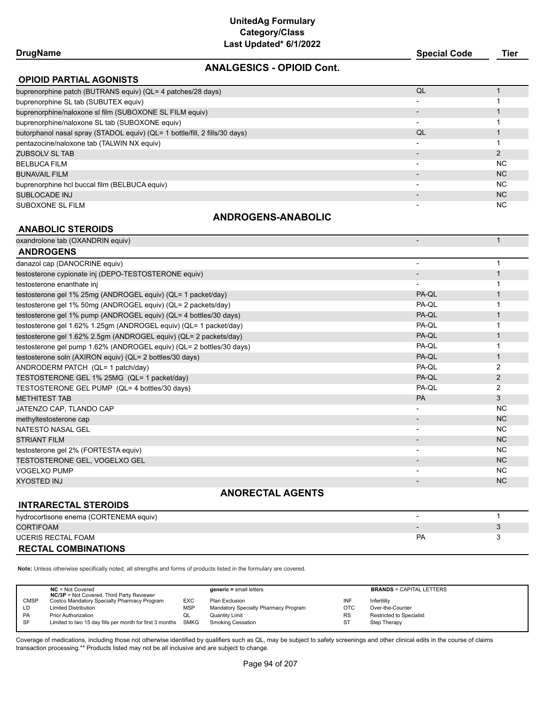### **DrugName Special Code Tier**

### **ANALGESICS - OPIOID Cont.**

| <b>OPIOID PARTIAL AGONISTS</b>                                              |                          |                |  |  |  |
|-----------------------------------------------------------------------------|--------------------------|----------------|--|--|--|
| buprenorphine patch (BUTRANS equiv) (QL= 4 patches/28 days)                 | QL                       |                |  |  |  |
| buprenorphine SL tab (SUBUTEX equiv)                                        |                          |                |  |  |  |
| buprenorphine/naloxone sl film (SUBOXONE SL FILM equiv)                     |                          |                |  |  |  |
| buprenorphine/naloxone SL tab (SUBOXONE equiv)                              |                          |                |  |  |  |
| butorphanol nasal spray (STADOL equiv) (QL= 1 bottle/fill, 2 fills/30 days) | QL                       |                |  |  |  |
| pentazocine/naloxone tab (TALWIN NX equiv)                                  | $\overline{\phantom{0}}$ |                |  |  |  |
| ZUBSOLV SL TAB                                                              |                          |                |  |  |  |
| <b>BELBUCA FILM</b>                                                         | $\overline{\phantom{0}}$ | <b>NC</b>      |  |  |  |
| <b>BUNAVAIL FILM</b>                                                        |                          | N <sub>C</sub> |  |  |  |
| buprenorphine hcl buccal film (BELBUCA equiv)                               | $\overline{\phantom{0}}$ | NC.            |  |  |  |
| SUBLOCADE INJ                                                               |                          | N <sub>C</sub> |  |  |  |
| SUBOXONE SL FILM                                                            |                          | N <sub>C</sub> |  |  |  |

### **ANDROGENS-ANABOLIC**

### **ANABOLIC STEROIDS**

| oxandrolone tab (OXANDRIN equiv)                                     |                          | $\mathbf{1}$   |  |  |  |  |
|----------------------------------------------------------------------|--------------------------|----------------|--|--|--|--|
| <b>ANDROGENS</b>                                                     |                          |                |  |  |  |  |
| danazol cap (DANOCRINE equiv)                                        |                          |                |  |  |  |  |
| testosterone cypionate inj (DEPO-TESTOSTERONE equiv)                 |                          |                |  |  |  |  |
| testosterone enanthate inj                                           |                          |                |  |  |  |  |
| testosterone gel 1% 25mg (ANDROGEL equiv) (QL= 1 packet/day)         | PA-QL                    |                |  |  |  |  |
| testosterone gel 1% 50mg (ANDROGEL equiv) (QL= 2 packets/day)        | PA-OL                    |                |  |  |  |  |
| testosterone gel 1% pump (ANDROGEL equiv) (QL= 4 bottles/30 days)    | PA-QL                    |                |  |  |  |  |
| testosterone gel 1.62% 1.25gm (ANDROGEL equiv) (QL= 1 packet/day)    | PA-QL                    |                |  |  |  |  |
| testosterone gel 1.62% 2.5gm (ANDROGEL equiv) (QL= 2 packets/day)    | PA-QL                    |                |  |  |  |  |
| testosterone gel pump 1.62% (ANDROGEL equiv) (QL= 2 bottles/30 days) | PA-OL                    |                |  |  |  |  |
| testosterone soln (AXIRON equiv) (QL= 2 bottles/30 days)             | PA-QL                    | $\mathbf{1}$   |  |  |  |  |
| ANDRODERM PATCH (QL= 1 patch/day)                                    | PA-QL                    | 2              |  |  |  |  |
| TESTOSTERONE GEL 1% 25MG (QL= 1 packet/day)                          | PA-QL                    | $\overline{2}$ |  |  |  |  |
| TESTOSTERONE GEL PUMP (QL= 4 bottles/30 days)                        | PA-QL                    | 2              |  |  |  |  |
| <b>METHITEST TAB</b>                                                 | PA                       | 3              |  |  |  |  |
| JATENZO CAP, TLANDO CAP                                              |                          | <b>NC</b>      |  |  |  |  |
| methyltestosterone cap                                               |                          | <b>NC</b>      |  |  |  |  |
| NATESTO NASAL GEL                                                    | $\overline{\phantom{a}}$ | <b>NC</b>      |  |  |  |  |
| <b>STRIANT FILM</b>                                                  |                          | <b>NC</b>      |  |  |  |  |
| testosterone gel 2% (FORTESTA equiv)                                 |                          | <b>NC</b>      |  |  |  |  |
| TESTOSTERONE GEL, VOGELXO GEL                                        |                          | <b>NC</b>      |  |  |  |  |
| <b>VOGELXO PUMP</b>                                                  |                          | <b>NC</b>      |  |  |  |  |
| <b>XYOSTED INJ</b>                                                   |                          | <b>NC</b>      |  |  |  |  |
| <b>ANORECTAL AGENTS</b>                                              |                          |                |  |  |  |  |

### **INTRARECTAL STEROIDS**

| hydrocortisone enema (CORTENEMA equiv) |                          |  |
|----------------------------------------|--------------------------|--|
| <b>CORTIFOAM</b>                       | $\overline{\phantom{0}}$ |  |
| UCERIS RECTAL FOAM                     | PA                       |  |
| <b>RECTAL COMBINATIONS</b>             |                          |  |

**Note:** Unless otherwise specifically noted, all strengths and forms of products listed in the formulary are covered.

|             | $NC = Not Covered$<br><b>NC/3P</b> = Not Covered, Third Party Reviewer |            | $generic = small letters$            |            | <b>BRANDS = CAPITAL LETTERS</b> |
|-------------|------------------------------------------------------------------------|------------|--------------------------------------|------------|---------------------------------|
| <b>CMSP</b> | Costco Mandatory Specialty Pharmacy Program                            | EXC        | Plan Exclusion                       | INF        | Infertility                     |
| LD          | <b>Limited Distribution</b>                                            | <b>MSP</b> | Mandatory Specialty Pharmacy Program | <b>OTC</b> | Over-the-Counter                |
| <b>PA</b>   | <b>Prior Authorization</b>                                             | QL         | <b>Quantity Limit</b>                | <b>RS</b>  | <b>Restricted to Specialist</b> |
| <b>SF</b>   | Limited to two 15 day fills per month for first 3 months SMKG          |            | Smoking Cessation                    | SТ         | Step Therapy                    |
|             |                                                                        |            |                                      |            |                                 |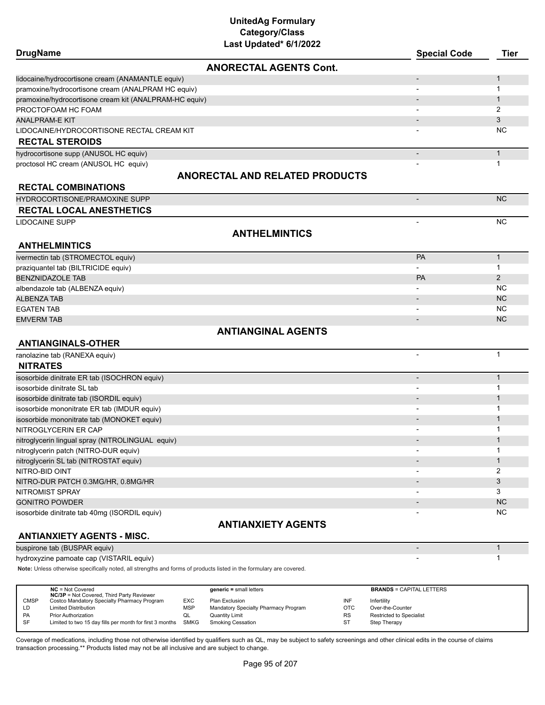| <b>DrugName</b>                                        | Last updated" 6/1/2022                | <b>Special Code</b>      | <b>Tier</b>  |
|--------------------------------------------------------|---------------------------------------|--------------------------|--------------|
|                                                        | <b>ANORECTAL AGENTS Cont.</b>         |                          |              |
| lidocaine/hydrocortisone cream (ANAMANTLE equiv)       |                                       | $\overline{\phantom{a}}$ | $\mathbf{1}$ |
| pramoxine/hydrocortisone cream (ANALPRAM HC equiv)     |                                       | $\blacksquare$           | $\mathbf{1}$ |
| pramoxine/hydrocortisone cream kit (ANALPRAM-HC equiv) |                                       |                          | $\mathbf{1}$ |
| PROCTOFOAM HC FOAM                                     |                                       |                          | 2            |
| <b>ANALPRAM-E KIT</b>                                  |                                       | $\overline{\phantom{a}}$ | 3            |
| LIDOCAINE/HYDROCORTISONE RECTAL CREAM KIT              |                                       |                          | NC.          |
| <b>RECTAL STEROIDS</b>                                 |                                       |                          |              |
| hydrocortisone supp (ANUSOL HC equiv)                  |                                       | $\overline{\phantom{a}}$ | $\mathbf{1}$ |
| proctosol HC cream (ANUSOL HC equiv)                   |                                       |                          | 1            |
|                                                        | <b>ANORECTAL AND RELATED PRODUCTS</b> |                          |              |
| <b>RECTAL COMBINATIONS</b>                             |                                       |                          |              |
| HYDROCORTISONE/PRAMOXINE SUPP                          |                                       | $\blacksquare$           | <b>NC</b>    |
| <b>RECTAL LOCAL ANESTHETICS</b>                        |                                       |                          |              |
| <b>LIDOCAINE SUPP</b>                                  |                                       | ÷                        | NC.          |
|                                                        | <b>ANTHELMINTICS</b>                  |                          |              |
| <b>ANTHELMINTICS</b>                                   |                                       |                          |              |
| ivermectin tab (STROMECTOL equiv)                      |                                       | PA                       | $\mathbf{1}$ |
| praziquantel tab (BILTRICIDE equiv)                    |                                       |                          | 1            |
| <b>BENZNIDAZOLE TAB</b>                                |                                       | <b>PA</b>                | 2            |
| albendazole tab (ALBENZA equiv)                        |                                       |                          | NC.          |
| <b>ALBENZA TAB</b>                                     |                                       | $\overline{\phantom{a}}$ | NC           |
| <b>EGATEN TAB</b>                                      |                                       |                          | <b>NC</b>    |
| <b>EMVERM TAB</b>                                      |                                       | $\overline{a}$           | NC.          |
|                                                        | <b>ANTIANGINAL AGENTS</b>             |                          |              |
| <b>ANTIANGINALS-OTHER</b>                              |                                       |                          |              |
| ranolazine tab (RANEXA equiv)                          |                                       | $\overline{\phantom{a}}$ | $\mathbf{1}$ |
| <b>NITRATES</b>                                        |                                       |                          |              |
| isosorbide dinitrate ER tab (ISOCHRON equiv)           |                                       | $\overline{\phantom{a}}$ | $\mathbf{1}$ |
| isosorbide dinitrate SL tab                            |                                       | $\overline{\phantom{a}}$ | $\mathbf{1}$ |
| isosorbide dinitrate tab (ISORDIL equiv)               |                                       |                          | $\mathbf{1}$ |
| isosorbide mononitrate ER tab (IMDUR equiv)            |                                       |                          | 1            |
| isosorbide mononitrate tab (MONOKET equiv)             |                                       |                          | 1            |
| NITROGLYCERIN ER CAP                                   |                                       |                          | 1            |
| nitroglycerin lingual spray (NITROLINGUAL equiv)       |                                       |                          | $\mathbf{1}$ |
| nitroglycerin patch (NITRO-DUR equiv)                  |                                       |                          | 1            |
| nitroglycerin SL tab (NITROSTAT equiv)                 |                                       |                          | $\mathbf{1}$ |
| NITRO-BID OINT                                         |                                       |                          | 2            |
| NITRO-DUR PATCH 0.3MG/HR, 0.8MG/HR                     |                                       |                          | 3            |
| NITROMIST SPRAY                                        |                                       |                          | 3            |
| <b>GONITRO POWDER</b>                                  |                                       |                          | NC           |
| isosorbide dinitrate tab 40mg (ISORDIL equiv)          |                                       |                          | <b>NC</b>    |
|                                                        | <b>ANTIANXIETY AGENTS</b>             |                          |              |
| <b>ANTIANXIETY AGENTS - MISC.</b>                      |                                       |                          |              |
| buspirone tab (BUSPAR equiv)                           |                                       | $\overline{\phantom{a}}$ | $\mathbf{1}$ |

hydroxyzine pamoate cap (VISTARIL equiv) and the control of the control of the control of the control of the control of the control of the control of the control of the control of the control of the control of the control

**Note:** Unless otherwise specifically noted, all strengths and forms of products listed in the formulary are covered.

|             | $NC = Not Covered$<br><b>NC/3P</b> = Not Covered, Third Party Reviewer |             | $generic = small letters$            |            | <b>BRANDS = CAPITAL LETTERS</b> |
|-------------|------------------------------------------------------------------------|-------------|--------------------------------------|------------|---------------------------------|
| <b>CMSP</b> | Costco Mandatory Specialty Pharmacy Program                            | <b>EXC</b>  | Plan Exclusion                       | INF        | Infertility                     |
| LD          | <b>Limited Distribution</b>                                            | MSP         | Mandatory Specialty Pharmacy Program | <b>OTC</b> | Over-the-Counter                |
| <b>PA</b>   | <b>Prior Authorization</b>                                             | QL          | <b>Quantity Limit</b>                | RS         | Restricted to Specialist        |
| SF          | Limited to two 15 day fills per month for first 3 months               | <b>SMKG</b> | <b>Smoking Cessation</b>             | <b>ST</b>  | Step Therapy                    |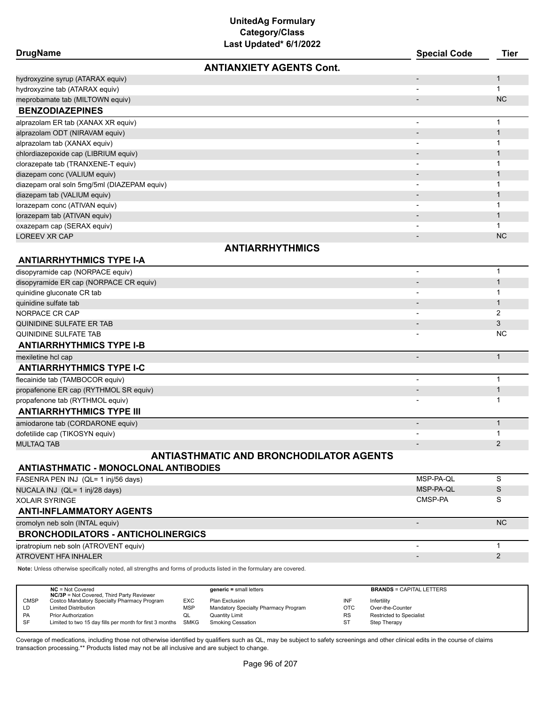# **UnitedAg Formulary Category/Class**

| Last Updated* 6/1/2022                         |                          |              |
|------------------------------------------------|--------------------------|--------------|
| <b>DrugName</b>                                | <b>Special Code</b>      | <b>Tier</b>  |
| <b>ANTIANXIETY AGENTS Cont.</b>                |                          |              |
| hydroxyzine syrup (ATARAX equiv)               |                          | $\mathbf{1}$ |
| hydroxyzine tab (ATARAX equiv)                 |                          | $\mathbf{1}$ |
| meprobamate tab (MILTOWN equiv)                | $\overline{\phantom{0}}$ | <b>NC</b>    |
| <b>BENZODIAZEPINES</b>                         |                          |              |
| alprazolam ER tab (XANAX XR equiv)             | ÷,                       | $\mathbf{1}$ |
| alprazolam ODT (NIRAVAM equiv)                 |                          | $\mathbf{1}$ |
| alprazolam tab (XANAX equiv)                   |                          | $\mathbf{1}$ |
| chlordiazepoxide cap (LIBRIUM equiv)           |                          | $\mathbf{1}$ |
| clorazepate tab (TRANXENE-T equiv)             |                          | $\mathbf{1}$ |
| diazepam conc (VALIUM equiv)                   |                          | $\mathbf{1}$ |
| diazepam oral soln 5mg/5ml (DIAZEPAM equiv)    |                          | 1            |
| diazepam tab (VALIUM equiv)                    |                          | $\mathbf{1}$ |
| lorazepam conc (ATIVAN equiv)                  |                          | $\mathbf{1}$ |
| lorazepam tab (ATIVAN equiv)                   |                          | $\mathbf{1}$ |
| oxazepam cap (SERAX equiv)                     |                          | $\mathbf{1}$ |
| <b>LOREEV XR CAP</b>                           | $\overline{\phantom{0}}$ | <b>NC</b>    |
| <b>ANTIARRHYTHMICS</b>                         |                          |              |
| <b>ANTIARRHYTHMICS TYPE I-A</b>                |                          |              |
| disopyramide cap (NORPACE equiv)               | $\overline{\phantom{a}}$ | $\mathbf{1}$ |
| disopyramide ER cap (NORPACE CR equiv)         | $\overline{a}$           | $\mathbf{1}$ |
| quinidine gluconate CR tab                     | $\blacksquare$           | $\mathbf{1}$ |
| quinidine sulfate tab                          |                          | $\mathbf{1}$ |
| NORPACE CR CAP                                 | $\overline{\phantom{a}}$ | 2            |
| QUINIDINE SULFATE ER TAB                       | $\overline{\phantom{a}}$ | 3            |
| QUINIDINE SULFATE TAB                          |                          | <b>NC</b>    |
| <b>ANTIARRHYTHMICS TYPE I-B</b>                |                          |              |
| mexiletine hcl cap                             | $\overline{\phantom{a}}$ | $\mathbf{1}$ |
| <b>ANTIARRHYTHMICS TYPE I-C</b>                |                          |              |
| flecainide tab (TAMBOCOR equiv)                | $\blacksquare$           | $\mathbf{1}$ |
| propafenone ER cap (RYTHMOL SR equiv)          |                          | $\mathbf{1}$ |
| propafenone tab (RYTHMOL equiv)                |                          | $\mathbf{1}$ |
| <b>ANTIARRHYTHMICS TYPE III</b>                |                          |              |
| amiodarone tab (CORDARONE equiv)               | $\overline{a}$           | $\mathbf{1}$ |
| dofetilide cap (TIKOSYN equiv)                 | $\blacksquare$           | $\mathbf{1}$ |
| <b>MULTAQ TAB</b>                              |                          | 2            |
| <b>ANTIASTHMATIC AND BRONCHODILATOR AGENTS</b> |                          |              |
| <b>ANTIASTHMATIC - MONOCLONAL ANTIBODIES</b>   |                          |              |
| FASENRA PEN INJ (QL= 1 inj/56 days)            | MSP-PA-OL                | S            |

| FASENRA PEN INJ (QL= 1 inj/56 days)       | MSP-PA-QL | ১         |
|-------------------------------------------|-----------|-----------|
| NUCALA INJ (QL= 1 inj/28 days)            | MSP-PA-QL | S         |
| <b>XOLAIR SYRINGE</b>                     | CMSP-PA   |           |
| <b>ANTI-INFLAMMATORY AGENTS</b>           |           |           |
| cromolyn neb soln (INTAL equiv)           |           | <b>NC</b> |
| <b>BRONCHODILATORS - ANTICHOLINERGICS</b> |           |           |
| ipratropium neb soln (ATROVENT equiv)     |           |           |
| ATROVENT HFA INHALER                      |           |           |
|                                           |           |           |

**Note:** Unless otherwise specifically noted, all strengths and forms of products listed in the formulary are covered.

|             | $NC = Not Covered$<br><b>NC/3P</b> = Not Covered, Third Party Reviewer |            | $generic = small letters$            |            | <b>BRANDS = CAPITAL LETTERS</b> |
|-------------|------------------------------------------------------------------------|------------|--------------------------------------|------------|---------------------------------|
| <b>CMSP</b> | Costco Mandatory Specialty Pharmacy Program                            | EXC        | Plan Exclusion                       | INF        | Infertility                     |
| LD          | <b>Limited Distribution</b>                                            | <b>MSP</b> | Mandatory Specialty Pharmacy Program | <b>OTC</b> | Over-the-Counter                |
| <b>PA</b>   | <b>Prior Authorization</b>                                             | QL         | Quantity Limit                       | <b>RS</b>  | <b>Restricted to Specialist</b> |
| SF          | Limited to two 15 day fills per month for first 3 months SMKG          |            | <b>Smoking Cessation</b>             | ST         | Step Therapy                    |
|             |                                                                        |            |                                      |            |                                 |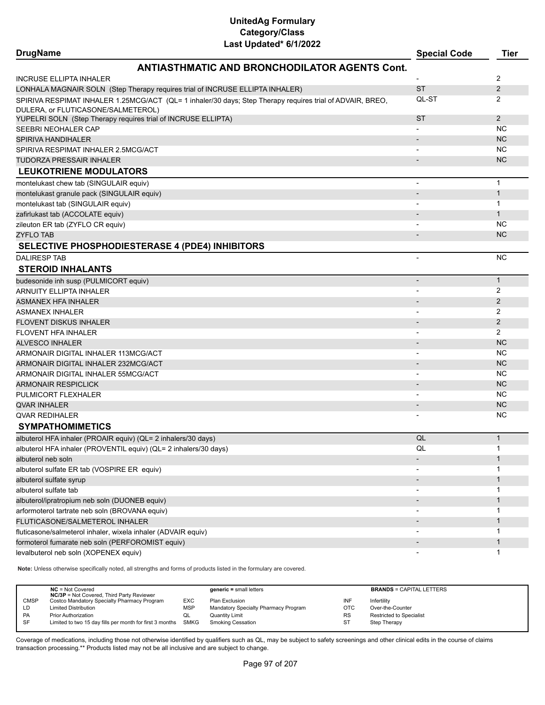| <b>DrugName</b>                                                                                     |                                                                                                           | <b>Special Code</b>      | <b>Tier</b>  |
|-----------------------------------------------------------------------------------------------------|-----------------------------------------------------------------------------------------------------------|--------------------------|--------------|
|                                                                                                     | <b>ANTIASTHMATIC AND BRONCHODILATOR AGENTS Cont.</b>                                                      |                          |              |
| INCRUSE ELLIPTA INHALER                                                                             |                                                                                                           |                          | 2            |
|                                                                                                     | LONHALA MAGNAIR SOLN (Step Therapy requires trial of INCRUSE ELLIPTA INHALER)                             | <b>ST</b>                | 2            |
|                                                                                                     | SPIRIVA RESPIMAT INHALER 1.25MCG/ACT (QL= 1 inhaler/30 days; Step Therapy requires trial of ADVAIR, BREO, | QL-ST                    | 2            |
| DULERA, or FLUTICASONE/SALMETEROL)<br>YUPELRI SOLN (Step Therapy requires trial of INCRUSE ELLIPTA) |                                                                                                           | <b>ST</b>                | 2            |
| SEEBRI NEOHALER CAP                                                                                 |                                                                                                           |                          | <b>NC</b>    |
| SPIRIVA HANDIHALER                                                                                  |                                                                                                           |                          | <b>NC</b>    |
| SPIRIVA RESPIMAT INHALER 2.5MCG/ACT                                                                 |                                                                                                           |                          | <b>NC</b>    |
| TUDORZA PRESSAIR INHALER                                                                            |                                                                                                           |                          | <b>NC</b>    |
| <b>LEUKOTRIENE MODULATORS</b>                                                                       |                                                                                                           |                          |              |
|                                                                                                     |                                                                                                           |                          |              |
| montelukast chew tab (SINGULAIR equiv)                                                              |                                                                                                           | $\blacksquare$           | $\mathbf{1}$ |
| montelukast granule pack (SINGULAIR equiv)                                                          |                                                                                                           |                          | $\mathbf{1}$ |
| montelukast tab (SINGULAIR equiv)                                                                   |                                                                                                           |                          | $\mathbf{1}$ |
| zafirlukast tab (ACCOLATE equiv)                                                                    |                                                                                                           |                          | $\mathbf{1}$ |
| zileuton ER tab (ZYFLO CR equiv)                                                                    |                                                                                                           |                          | <b>NC</b>    |
| ZYFLO TAB                                                                                           |                                                                                                           |                          | <b>NC</b>    |
|                                                                                                     | SELECTIVE PHOSPHODIESTERASE 4 (PDE4) INHIBITORS                                                           |                          |              |
| <b>DALIRESP TAB</b>                                                                                 |                                                                                                           | $\blacksquare$           | NC.          |
| <b>STEROID INHALANTS</b>                                                                            |                                                                                                           |                          |              |
| budesonide inh susp (PULMICORT equiv)                                                               |                                                                                                           | $\overline{\phantom{a}}$ | $\mathbf{1}$ |
| ARNUITY ELLIPTA INHALER                                                                             |                                                                                                           |                          | 2            |
| <b>ASMANEX HFA INHALER</b>                                                                          |                                                                                                           |                          | 2            |
| <b>ASMANEX INHALER</b>                                                                              |                                                                                                           |                          | 2            |
| FLOVENT DISKUS INHALER                                                                              |                                                                                                           |                          | 2            |
| FLOVENT HFA INHALER                                                                                 |                                                                                                           |                          | 2            |
| ALVESCO INHALER                                                                                     |                                                                                                           |                          | <b>NC</b>    |
| ARMONAIR DIGITAL INHALER 113MCG/ACT                                                                 |                                                                                                           |                          | <b>NC</b>    |
| ARMONAIR DIGITAL INHALER 232MCG/ACT                                                                 |                                                                                                           |                          | <b>NC</b>    |
| ARMONAIR DIGITAL INHALER 55MCG/ACT                                                                  |                                                                                                           |                          | <b>NC</b>    |
| ARMONAIR RESPICLICK                                                                                 |                                                                                                           |                          | <b>NC</b>    |
| PULMICORT FLEXHALER                                                                                 |                                                                                                           |                          | <b>NC</b>    |
| <b>QVAR INHALER</b>                                                                                 |                                                                                                           |                          | <b>NC</b>    |
| QVAR REDIHALER                                                                                      |                                                                                                           |                          | NC.          |
| <b>SYMPATHOMIMETICS</b>                                                                             |                                                                                                           |                          |              |
| albuterol HFA inhaler (PROAIR equiv) (QL= 2 inhalers/30 days)                                       |                                                                                                           | QL                       | $\mathbf{1}$ |
| albuterol HFA inhaler (PROVENTIL equiv) (QL= 2 inhalers/30 days)                                    |                                                                                                           | QL                       |              |
| albuterol neb soln                                                                                  |                                                                                                           |                          | $\mathbf{1}$ |
| albuterol sulfate ER tab (VOSPIRE ER equiv)                                                         |                                                                                                           |                          | 1            |
| albuterol sulfate syrup                                                                             |                                                                                                           |                          | $\mathbf{1}$ |
| albuterol sulfate tab                                                                               |                                                                                                           |                          | 1            |
| albuterol/ipratropium neb soln (DUONEB equiv)                                                       |                                                                                                           |                          | $\mathbf{1}$ |
| arformoterol tartrate neb soln (BROVANA equiv)                                                      |                                                                                                           |                          | 1            |
| FLUTICASONE/SALMETEROL INHALER                                                                      |                                                                                                           |                          | $\mathbf{1}$ |
| fluticasone/salmeterol inhaler, wixela inhaler (ADVAIR equiv)                                       |                                                                                                           |                          | 1            |
| formoterol fumarate neb soln (PERFOROMIST equiv)                                                    |                                                                                                           |                          | $\mathbf{1}$ |
| levalbuterol neb soln (XOPENEX equiv)                                                               |                                                                                                           |                          | 1            |
| Note: Unloce                                                                                        | all etrepathe and forme of products lieted in the                                                         |                          |              |

**Note:** Unless otherwise specifically noted, all strengths and forms of products listed in the formulary are covered.

|             | $NC = Not Covered$<br><b>NC/3P</b> = Not Covered, Third Party Reviewer |            | $generic = small letters$            |            | <b>BRANDS = CAPITAL LETTERS</b> |
|-------------|------------------------------------------------------------------------|------------|--------------------------------------|------------|---------------------------------|
| <b>CMSP</b> | Costco Mandatory Specialty Pharmacy Program                            | <b>EXC</b> | Plan Exclusion                       | INF        | Infertility                     |
| LD          | <b>Limited Distribution</b>                                            | <b>MSP</b> | Mandatory Specialty Pharmacy Program | <b>OTC</b> | Over-the-Counter                |
| <b>PA</b>   | <b>Prior Authorization</b>                                             | w∟         | Quantity Limit                       | <b>RS</b>  | Restricted to Specialist        |
| SF          | Limited to two 15 day fills per month for first 3 months               | SMKG       | Smoking Cessation                    | ST         | Step Therapy                    |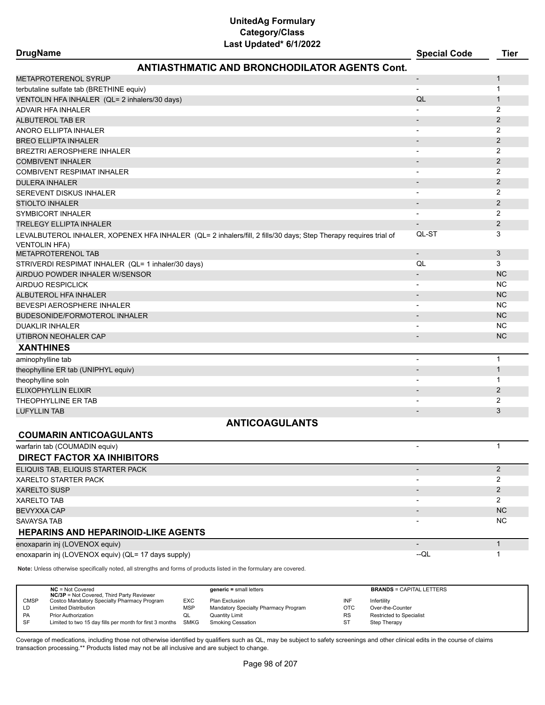# **UnitedAg Formulary Category/Class**

| Last Updated* 6/1/2022                                                                                                                  |                          |                |
|-----------------------------------------------------------------------------------------------------------------------------------------|--------------------------|----------------|
| <b>DrugName</b>                                                                                                                         | <b>Special Code</b>      | Tier           |
| <b>ANTIASTHMATIC AND BRONCHODILATOR AGENTS Cont.</b>                                                                                    |                          |                |
| METAPROTERENOL SYRUP                                                                                                                    | $\overline{\phantom{a}}$ | 1              |
| terbutaline sulfate tab (BRETHINE equiv)                                                                                                |                          | $\mathbf 1$    |
| VENTOLIN HFA INHALER (QL= 2 inhalers/30 days)                                                                                           | QL                       | $\mathbf{1}$   |
| ADVAIR HFA INHALER                                                                                                                      |                          | 2              |
| ALBUTEROL TAB ER                                                                                                                        |                          | 2              |
| ANORO ELLIPTA INHALER                                                                                                                   | $\overline{\phantom{a}}$ | 2              |
| BREO ELLIPTA INHALER                                                                                                                    |                          | $\overline{2}$ |
| BREZTRI AEROSPHERE INHALER                                                                                                              |                          | 2              |
| <b>COMBIVENT INHALER</b>                                                                                                                |                          | 2              |
| COMBIVENT RESPIMAT INHALER                                                                                                              |                          | 2              |
| DULERA INHALER                                                                                                                          |                          | $\overline{2}$ |
| SEREVENT DISKUS INHALER                                                                                                                 |                          | 2              |
| <b>STIOLTO INHALER</b>                                                                                                                  |                          | 2              |
| SYMBICORT INHALER                                                                                                                       | $\overline{\phantom{a}}$ | 2              |
| TRELEGY ELLIPTA INHALER                                                                                                                 |                          | $\overline{2}$ |
| LEVALBUTEROL INHALER, XOPENEX HFA INHALER (QL= 2 inhalers/fill, 2 fills/30 days; Step Therapy requires trial of<br><b>VENTOLIN HFA)</b> | QL-ST                    | 3              |
| <b>METAPROTERENOL TAB</b>                                                                                                               | $\overline{\phantom{a}}$ | 3              |
| STRIVERDI RESPIMAT INHALER (QL= 1 inhaler/30 days)                                                                                      | QL                       | 3              |
| AIRDUO POWDER INHALER W/SENSOR                                                                                                          |                          | <b>NC</b>      |
| AIRDUO RESPICLICK                                                                                                                       |                          | NC.            |
| ALBUTEROL HFA INHALER                                                                                                                   |                          | <b>NC</b>      |
| BEVESPI AEROSPHERE INHALER                                                                                                              |                          | <b>NC</b>      |
| BUDESONIDE/FORMOTEROL INHALER                                                                                                           |                          | <b>NC</b>      |
| <b>DUAKLIR INHALER</b>                                                                                                                  |                          | <b>NC</b>      |
| UTIBRON NEOHALER CAP                                                                                                                    | $\overline{\phantom{a}}$ | <b>NC</b>      |
| <b>XANTHINES</b>                                                                                                                        |                          |                |
| aminophylline tab                                                                                                                       | $\blacksquare$           | $\mathbf{1}$   |
| theophylline ER tab (UNIPHYL equiv)                                                                                                     |                          | $\mathbf{1}$   |
| theophylline soln                                                                                                                       |                          | $\mathbf 1$    |
| ELIXOPHYLLIN ELIXIR                                                                                                                     |                          | 2              |
| THEOPHYLLINE ER TAB                                                                                                                     |                          | 2              |
| LUFYLLIN TAB                                                                                                                            | $\overline{\phantom{a}}$ | 3              |
| <b>ANTICOAGULANTS</b>                                                                                                                   |                          |                |
| <b>COUMARIN ANTICOAGULANTS</b>                                                                                                          |                          |                |
| warfarin tab (COUMADIN equiv)                                                                                                           |                          | $\mathbf{1}$   |
| <b>DIRECT FACTOR XA INHIBITORS</b>                                                                                                      |                          |                |
| ELIQUIS TAB, ELIQUIS STARTER PACK                                                                                                       | $\overline{\phantom{a}}$ | $\overline{2}$ |
| XARELTO STARTER PACK                                                                                                                    |                          | 2              |
| <b>XARELTO SUSP</b>                                                                                                                     |                          | $\overline{2}$ |
| XARELTO TAB                                                                                                                             |                          | 2              |
| BEVYXXA CAP                                                                                                                             |                          | <b>NC</b>      |
| SAVAYSA TAB                                                                                                                             |                          | <b>NC</b>      |
| HEPARINS AND HEPARINOID-LIKE AGENTS                                                                                                     |                          |                |
| enoxaparin inj (LOVENOX equiv)                                                                                                          |                          | $\mathbf{1}$   |
| enoxaparin inj (LOVENOX equiv) (QL= 17 days supply)                                                                                     | $-QL$                    | -1             |
| Note: Unless otherwise specifically noted, all strengths and forms of products listed in the formulary are covered.                     |                          |                |
|                                                                                                                                         |                          |                |

**NC** = Not Covered **generic =** small letters **BRANDS** = CAPITAL LETTERS **NC/3P** = Not Covered, Third Party Reviewer CMSP Costco Mandatory Specialty Pharmacy Program EXC Plan Exclusion INF Infertility LD Limited Distribution Computer of MSP Mandatory Specialty Pharmacy Program CTC Over-the-Counter<br>
Phane Prior Authorization CL Quantity Limit Counter Counter RS Restricted to Special Restricted to Specialist SF Limited to two 15 day fills per month for first 3 months SMKG Smoking Cessation ST Step Therapy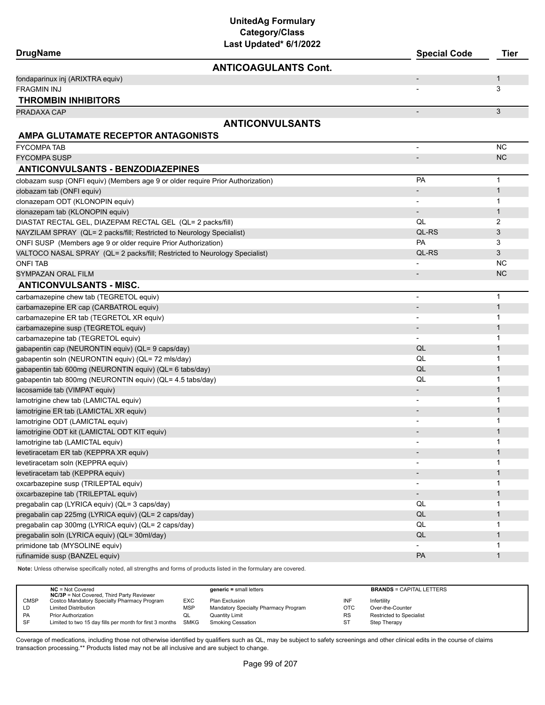| Last Updated* 6/1/2022<br><b>DrugName</b>                                       | <b>Special Code</b>      | <b>Tier</b>  |
|---------------------------------------------------------------------------------|--------------------------|--------------|
| <b>ANTICOAGULANTS Cont.</b>                                                     |                          |              |
| fondaparinux inj (ARIXTRA equiv)                                                |                          | 1            |
| <b>FRAGMIN INJ</b>                                                              |                          | 3            |
| <b>THROMBIN INHIBITORS</b>                                                      |                          |              |
| PRADAXA CAP                                                                     |                          | 3            |
| <b>ANTICONVULSANTS</b>                                                          |                          |              |
| AMPA GLUTAMATE RECEPTOR ANTAGONISTS                                             |                          |              |
| <b>FYCOMPA TAB</b>                                                              | $\overline{a}$           | <b>NC</b>    |
| FYCOMPA SUSP                                                                    | $\overline{\phantom{m}}$ | <b>NC</b>    |
| <b>ANTICONVULSANTS - BENZODIAZEPINES</b>                                        |                          |              |
| clobazam susp (ONFI equiv) (Members age 9 or older require Prior Authorization) | PA                       | 1            |
| clobazam tab (ONFI equiv)                                                       |                          | $\mathbf{1}$ |
| clonazepam ODT (KLONOPIN equiv)                                                 |                          | 1            |
| clonazepam tab (KLONOPIN equiv)                                                 | $\overline{\phantom{m}}$ | 1            |
| DIASTAT RECTAL GEL, DIAZEPAM RECTAL GEL (QL= 2 packs/fill)                      | QL                       | 2            |
| NAYZILAM SPRAY (QL= 2 packs/fill; Restricted to Neurology Specialist)           | QL-RS                    | 3            |
| ONFI SUSP (Members age 9 or older require Prior Authorization)                  | PA                       | 3            |
| VALTOCO NASAL SPRAY (QL= 2 packs/fill; Restricted to Neurology Specialist)      | QL-RS                    | 3            |
| ONFI TAB                                                                        |                          | <b>NC</b>    |
| SYMPAZAN ORAL FILM                                                              |                          | <b>NC</b>    |
| <b>ANTICONVULSANTS - MISC.</b>                                                  |                          |              |
| carbamazepine chew tab (TEGRETOL equiv)                                         | $\overline{\phantom{0}}$ | $\mathbf{1}$ |
| carbamazepine ER cap (CARBATROL equiv)                                          | $\overline{\phantom{a}}$ | $\mathbf{1}$ |
| carbamazepine ER tab (TEGRETOL XR equiv)                                        | $\overline{\phantom{0}}$ | 1            |
| carbamazepine susp (TEGRETOL equiv)                                             |                          | 1            |
| carbamazepine tab (TEGRETOL equiv)                                              |                          | 1            |
| gabapentin cap (NEURONTIN equiv) (QL= 9 caps/day)                               | QL                       | 1            |
| gabapentin soln (NEURONTIN equiv) (QL= 72 mls/day)                              | QL                       | 1            |
| gabapentin tab 600mg (NEURONTIN equiv) (QL= 6 tabs/day)                         | QL                       | $\mathbf{1}$ |
| gabapentin tab 800mg (NEURONTIN equiv) (QL= 4.5 tabs/day)                       | QL                       | 1            |
| lacosamide tab (VIMPAT equiv)                                                   |                          | 1            |
| lamotrigine chew tab (LAMICTAL equiv)                                           |                          | 1            |
| lamotrigine ER tab (LAMICTAL XR equiv)                                          |                          | 1            |
| lamotrigine ODT (LAMICTAL equiv)                                                |                          | 1            |
| lamotrigine ODT kit (LAMICTAL ODT KIT equiv)                                    |                          | 1            |
| lamotrigine tab (LAMICTAL equiv)                                                |                          | 1            |
| levetiracetam ER tab (KEPPRA XR equiv)                                          |                          | $\mathbf{1}$ |
| levetiracetam soln (KEPPRA equiv)                                               |                          | 1            |
| levetiracetam tab (KEPPRA equiv)                                                |                          | $\mathbf{1}$ |
| oxcarbazepine susp (TRILEPTAL equiv)                                            |                          | 1            |
| oxcarbazepine tab (TRILEPTAL equiv)                                             | $\overline{\phantom{a}}$ | $\mathbf{1}$ |
| pregabalin cap (LYRICA equiv) (QL= 3 caps/day)                                  | QL                       | 1            |
| pregabalin cap 225mg (LYRICA equiv) (QL= 2 caps/day)                            | $\mathsf{QL}$            | $\mathbf{1}$ |
| pregabalin cap 300mg (LYRICA equiv) (QL= 2 caps/day)                            | QL                       | 1            |
| pregabalin soln (LYRICA equiv) (QL= 30ml/day)                                   | QL                       | 1            |
| primidone tab (MYSOLINE equiv)                                                  |                          | 1            |
| rufinamide susp (BANZEL equiv)                                                  | PA                       | $\mathbf{1}$ |

**Note:** Unless otherwise specifically noted, all strengths and forms of products listed in the formulary are covered.

|             | $NC = Not Covered$                                                                              |            | $generic = small letters$            |           | <b>BRANDS = CAPITAL LETTERS</b> |
|-------------|-------------------------------------------------------------------------------------------------|------------|--------------------------------------|-----------|---------------------------------|
| <b>CMSP</b> | <b>NC/3P</b> = Not Covered, Third Party Reviewer<br>Costco Mandatory Specialty Pharmacy Program | EXC        | Plan Exclusion                       | INF       | Infertility                     |
| LD          | <b>Limited Distribution</b>                                                                     | <b>MSP</b> | Mandatory Specialty Pharmacy Program | OTC       | Over-the-Counter                |
| PA          | <b>Prior Authorization</b>                                                                      | ◡          | <b>Quantity Limit</b>                | <b>RS</b> | Restricted to Specialist        |
| SF          | Limited to two 15 day fills per month for first 3 months SMKG                                   |            | Smoking Cessation                    | -ST       | Step Therapy                    |
|             |                                                                                                 |            |                                      |           |                                 |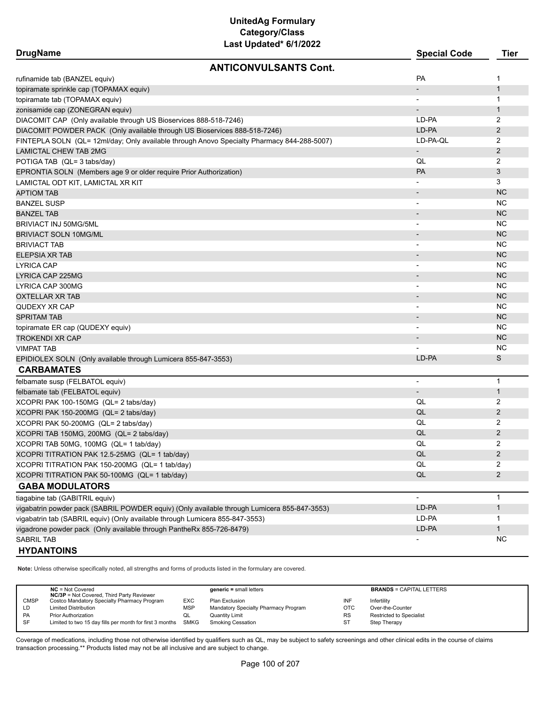# **UnitedAg Formulary Category/Class**

| Last Updated* 6/1/2022                                                                      |                          |                |
|---------------------------------------------------------------------------------------------|--------------------------|----------------|
| <b>DrugName</b>                                                                             | <b>Special Code</b>      | Tier           |
| <b>ANTICONVULSANTS Cont.</b>                                                                |                          |                |
| rufinamide tab (BANZEL equiv)                                                               | <b>PA</b>                | $\mathbf 1$    |
| topiramate sprinkle cap (TOPAMAX equiv)                                                     |                          | $\mathbf{1}$   |
| topiramate tab (TOPAMAX equiv)                                                              |                          | $\mathbf{1}$   |
| zonisamide cap (ZONEGRAN equiv)                                                             |                          | $\mathbf{1}$   |
| DIACOMIT CAP (Only available through US Bioservices 888-518-7246)                           | LD-PA                    | 2              |
| DIACOMIT POWDER PACK (Only available through US Bioservices 888-518-7246)                   | LD-PA                    | 2              |
| FINTEPLA SOLN (QL= 12ml/day; Only available through Anovo Specialty Pharmacy 844-288-5007)  | LD-PA-QL                 | 2              |
| <b>LAMICTAL CHEW TAB 2MG</b>                                                                | $\overline{\phantom{a}}$ | $\overline{2}$ |
| POTIGA TAB (QL= 3 tabs/day)                                                                 | QL                       | 2              |
| EPRONTIA SOLN (Members age 9 or older require Prior Authorization)                          | <b>PA</b>                | 3              |
| LAMICTAL ODT KIT, LAMICTAL XR KIT                                                           |                          | 3              |
| APTIOM TAB                                                                                  |                          | <b>NC</b>      |
| BANZEL SUSP                                                                                 | $\overline{\phantom{a}}$ | <b>NC</b>      |
| <b>BANZEL TAB</b>                                                                           |                          | <b>NC</b>      |
| BRIVIACT INJ 50MG/5ML                                                                       | $\overline{\phantom{a}}$ | <b>NC</b>      |
| BRIVIACT SOLN 10MG/ML                                                                       |                          | <b>NC</b>      |
| BRIVIACT TAB                                                                                |                          | <b>NC</b>      |
| ELEPSIA XR TAB                                                                              |                          | <b>NC</b>      |
| LYRICA CAP                                                                                  |                          | <b>NC</b>      |
| LYRICA CAP 225MG                                                                            |                          | <b>NC</b>      |
| LYRICA CAP 300MG                                                                            | $\overline{\phantom{a}}$ | <b>NC</b>      |
| OXTELLAR XR TAB                                                                             |                          | <b>NC</b>      |
| QUDEXY XR CAP                                                                               |                          | <b>NC</b>      |
| SPRITAM TAB                                                                                 |                          | <b>NC</b>      |
| topiramate ER cap (QUDEXY equiv)                                                            |                          | <b>NC</b>      |
| TROKENDI XR CAP                                                                             |                          | <b>NC</b>      |
| VIMPAT TAB                                                                                  |                          | <b>NC</b>      |
| EPIDIOLEX SOLN (Only available through Lumicera 855-847-3553)                               | LD-PA                    | S              |
| <b>CARBAMATES</b>                                                                           |                          |                |
| felbamate susp (FELBATOL equiv)                                                             | $\blacksquare$           | $\mathbf 1$    |
| felbamate tab (FELBATOL equiv)                                                              | $\overline{\phantom{a}}$ | $\mathbf{1}$   |
| XCOPRI PAK 100-150MG (QL= 2 tabs/day)                                                       | QL                       | 2              |
| XCOPRI PAK 150-200MG (QL= 2 tabs/day)                                                       | QL                       | $\overline{2}$ |
| XCOPRI PAK 50-200MG (QL= 2 tabs/day)                                                        | QL                       | 2              |
| XCOPRI TAB 150MG, 200MG (QL= 2 tabs/day)                                                    | QL                       | $\overline{2}$ |
| XCOPRI TAB 50MG, 100MG (QL= 1 tab/day)                                                      | QL                       | 2              |
| XCOPRI TITRATION PAK 12.5-25MG (QL= 1 tab/day)                                              | QL                       | 2              |
| XCOPRI TITRATION PAK 150-200MG (QL= 1 tab/day)                                              | QL                       | 2              |
| XCOPRI TITRATION PAK 50-100MG (QL= 1 tab/day)                                               | QL                       | $\overline{2}$ |
| <b>GABA MODULATORS</b>                                                                      |                          |                |
| tiagabine tab (GABITRIL equiv)                                                              | $\overline{a}$           | $\mathbf{1}$   |
| vigabatrin powder pack (SABRIL POWDER equiv) (Only available through Lumicera 855-847-3553) | LD-PA                    | $\mathbf{1}$   |
| vigabatrin tab (SABRIL equiv) (Only available through Lumicera 855-847-3553)                | LD-PA                    | 1              |
| vigadrone powder pack (Only available through PantheRx 855-726-8479)                        | LD-PA                    | $\mathbf{1}$   |
| SABRIL TAB                                                                                  |                          | NC.            |
| <b>HYDANTOINS</b>                                                                           |                          |                |

**Note:** Unless otherwise specifically noted, all strengths and forms of products listed in the formulary are covered.

|             | $NC = Not Covered$<br><b>NC/3P</b> = Not Covered, Third Party Reviewer |            | $generic = small letters$            |           | <b>BRANDS = CAPITAL LETTERS</b> |
|-------------|------------------------------------------------------------------------|------------|--------------------------------------|-----------|---------------------------------|
| <b>CMSP</b> | Costco Mandatory Specialty Pharmacy Program                            | EXC        | Plan Exclusion                       | INF       | Infertility                     |
| LD          | <b>Limited Distribution</b>                                            | <b>MSP</b> | Mandatory Specialty Pharmacy Program | OTC       | Over-the-Counter                |
| PA          | <b>Prior Authorization</b>                                             | QL         | Quantity Limit                       | <b>RS</b> | <b>Restricted to Specialist</b> |
| SF          | Limited to two 15 day fills per month for first 3 months SMKG          |            | <b>Smoking Cessation</b>             | ST        | Step Therapy                    |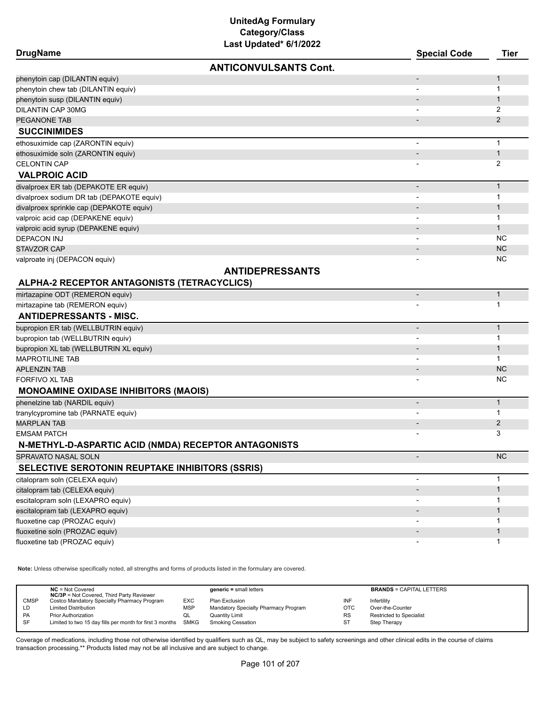| <b>DrugName</b>                                      |                              | <b>Special Code</b>      | <b>Tier</b>  |
|------------------------------------------------------|------------------------------|--------------------------|--------------|
|                                                      | <b>ANTICONVULSANTS Cont.</b> |                          |              |
| phenytoin cap (DILANTIN equiv)                       |                              |                          | 1            |
| phenytoin chew tab (DILANTIN equiv)                  |                              |                          | 1            |
| phenytoin susp (DILANTIN equiv)                      |                              |                          | $\mathbf{1}$ |
| DILANTIN CAP 30MG                                    |                              |                          | 2            |
| PEGANONE TAB                                         |                              |                          | 2            |
| <b>SUCCINIMIDES</b>                                  |                              |                          |              |
| ethosuximide cap (ZARONTIN equiv)                    |                              |                          | $\mathbf{1}$ |
| ethosuximide soln (ZARONTIN equiv)                   |                              |                          | $\mathbf{1}$ |
| <b>CELONTIN CAP</b>                                  |                              |                          | 2            |
| <b>VALPROIC ACID</b>                                 |                              |                          |              |
| divalproex ER tab (DEPAKOTE ER equiv)                |                              | $\overline{\phantom{a}}$ | $\mathbf{1}$ |
| divalproex sodium DR tab (DEPAKOTE equiv)            |                              | $\overline{\phantom{a}}$ | 1            |
| divalproex sprinkle cap (DEPAKOTE equiv)             |                              | $\overline{\phantom{a}}$ | $\mathbf{1}$ |
| valproic acid cap (DEPAKENE equiv)                   |                              |                          | 1            |
| valproic acid syrup (DEPAKENE equiv)                 |                              |                          | $\mathbf{1}$ |
| <b>DEPACON INJ</b>                                   |                              |                          | NC           |
| <b>STAVZOR CAP</b>                                   |                              |                          | <b>NC</b>    |
| valproate inj (DEPACON equiv)                        |                              |                          | ΝC           |
|                                                      | <b>ANTIDEPRESSANTS</b>       |                          |              |
| ALPHA-2 RECEPTOR ANTAGONISTS (TETRACYCLICS)          |                              |                          |              |
| mirtazapine ODT (REMERON equiv)                      |                              | $\overline{\phantom{a}}$ | $\mathbf{1}$ |
| mirtazapine tab (REMERON equiv)                      |                              |                          | 1            |
| <b>ANTIDEPRESSANTS - MISC.</b>                       |                              |                          |              |
| bupropion ER tab (WELLBUTRIN equiv)                  |                              | $\overline{\phantom{a}}$ | $\mathbf{1}$ |
| bupropion tab (WELLBUTRIN equiv)                     |                              | $\overline{\phantom{a}}$ | $\mathbf{1}$ |
| bupropion XL tab (WELLBUTRIN XL equiv)               |                              |                          | $\mathbf{1}$ |
| <b>MAPROTILINE TAB</b>                               |                              |                          | $\mathbf{1}$ |
| <b>APLENZIN TAB</b>                                  |                              | $\overline{\phantom{a}}$ | <b>NC</b>    |
| FORFIVO XL TAB                                       |                              |                          | NC           |
| <b>MONOAMINE OXIDASE INHIBITORS (MAOIS)</b>          |                              |                          |              |
| phenelzine tab (NARDIL equiv)                        |                              | $\overline{\phantom{a}}$ | $\mathbf{1}$ |
| tranylcypromine tab (PARNATE equiv)                  |                              | $\overline{\phantom{a}}$ | 1            |
| <b>MARPLAN TAB</b>                                   |                              |                          | 2            |
| <b>EMSAM PATCH</b>                                   |                              |                          | 3            |
| N-METHYL-D-ASPARTIC ACID (NMDA) RECEPTOR ANTAGONISTS |                              |                          |              |
| SPRAVATO NASAL SOLN                                  |                              | $\overline{\phantom{a}}$ | <b>NC</b>    |
| SELECTIVE SEROTONIN REUPTAKE INHIBITORS (SSRIS)      |                              |                          |              |
| citalopram soln (CELEXA equiv)                       |                              |                          | $\mathbf{1}$ |
| citalopram tab (CELEXA equiv)                        |                              |                          | $\mathbf{1}$ |
| escitalopram soln (LEXAPRO equiv)                    |                              |                          | 1            |
| escitalopram tab (LEXAPRO equiv)                     |                              |                          | $\mathbf 1$  |
| fluoxetine cap (PROZAC equiv)                        |                              |                          | 1            |
| fluoxetine soln (PROZAC equiv)                       |                              |                          | $\mathbf 1$  |
| fluoxetine tab (PROZAC equiv)                        |                              |                          | 1            |

**Note:** Unless otherwise specifically noted, all strengths and forms of products listed in the formulary are covered.

|             | $NC = Not Covered$<br><b>NC/3P</b> = Not Covered, Third Party Reviewer |            | $generic = small letters$            |           | <b>BRANDS = CAPITAL LETTERS</b> |
|-------------|------------------------------------------------------------------------|------------|--------------------------------------|-----------|---------------------------------|
| <b>CMSP</b> | Costco Mandatory Specialty Pharmacy Program                            | EXC        | Plan Exclusion                       | INF       | Infertility                     |
| LD          | <b>Limited Distribution</b>                                            | <b>MSP</b> | Mandatory Specialty Pharmacy Program | OTC       | Over-the-Counter                |
| <b>PA</b>   | <b>Prior Authorization</b>                                             | QL         | Quantity Limit                       | <b>RS</b> | <b>Restricted to Specialist</b> |
| <b>SF</b>   | Limited to two 15 day fills per month for first 3 months               | SMKG       | Smoking Cessation                    | ST        | Step Therapy                    |
|             |                                                                        |            |                                      |           |                                 |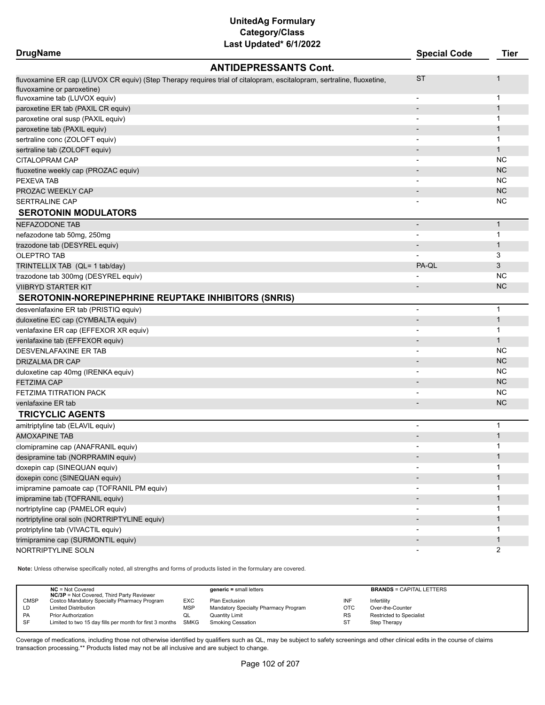| <b>DrugName</b>                                             |                                                                                                                       | <b>Special Code</b>      | <b>Tier</b>    |
|-------------------------------------------------------------|-----------------------------------------------------------------------------------------------------------------------|--------------------------|----------------|
|                                                             | <b>ANTIDEPRESSANTS Cont.</b>                                                                                          |                          |                |
|                                                             | fluvoxamine ER cap (LUVOX CR equiv) (Step Therapy requires trial of citalopram, escitalopram, sertraline, fluoxetine, | <b>ST</b>                | $\mathbf{1}$   |
| fluvoxamine or paroxetine)                                  |                                                                                                                       |                          |                |
| fluvoxamine tab (LUVOX equiv)                               |                                                                                                                       |                          | $\mathbf 1$    |
| paroxetine ER tab (PAXIL CR equiv)                          |                                                                                                                       |                          | $\mathbf{1}$   |
| paroxetine oral susp (PAXIL equiv)                          |                                                                                                                       |                          | $\mathbf 1$    |
| paroxetine tab (PAXIL equiv)                                |                                                                                                                       |                          | $\mathbf{1}$   |
| sertraline conc (ZOLOFT equiv)                              |                                                                                                                       |                          | -1             |
| sertraline tab (ZOLOFT equiv)                               |                                                                                                                       |                          | $\mathbf 1$    |
| CITALOPRAM CAP                                              |                                                                                                                       |                          | <b>NC</b>      |
| fluoxetine weekly cap (PROZAC equiv)                        |                                                                                                                       |                          | <b>NC</b>      |
| PEXEVA TAB                                                  |                                                                                                                       |                          | <b>NC</b>      |
| PROZAC WEEKLY CAP                                           |                                                                                                                       |                          | <b>NC</b>      |
| SERTRALINE CAP                                              |                                                                                                                       |                          | <b>NC</b>      |
| <b>SEROTONIN MODULATORS</b>                                 |                                                                                                                       |                          |                |
| <b>NEFAZODONE TAB</b>                                       |                                                                                                                       | $\overline{\phantom{a}}$ | $\mathbf{1}$   |
| nefazodone tab 50mg, 250mg                                  |                                                                                                                       |                          | $\mathbf 1$    |
| trazodone tab (DESYREL equiv)                               |                                                                                                                       |                          | $\mathbf 1$    |
| <b>OLEPTRO TAB</b>                                          |                                                                                                                       |                          | 3              |
| TRINTELLIX TAB (QL= 1 tab/day)                              |                                                                                                                       | PA-QL                    | 3              |
| trazodone tab 300mg (DESYREL equiv)                         |                                                                                                                       |                          | <b>NC</b>      |
| VIIBRYD STARTER KIT                                         |                                                                                                                       |                          | <b>NC</b>      |
| <b>SEROTONIN-NOREPINEPHRINE REUPTAKE INHIBITORS (SNRIS)</b> |                                                                                                                       |                          |                |
| desvenlafaxine ER tab (PRISTIQ equiv)                       |                                                                                                                       |                          | $\mathbf 1$    |
| duloxetine EC cap (CYMBALTA equiv)                          |                                                                                                                       |                          | $\mathbf{1}$   |
| venlafaxine ER cap (EFFEXOR XR equiv)                       |                                                                                                                       |                          | $\mathbf 1$    |
| venlafaxine tab (EFFEXOR equiv)                             |                                                                                                                       |                          | $\mathbf{1}$   |
| DESVENLAFAXINE ER TAB                                       |                                                                                                                       |                          | <b>NC</b>      |
| DRIZALMA DR CAP                                             |                                                                                                                       |                          | <b>NC</b>      |
| duloxetine cap 40mg (IRENKA equiv)                          |                                                                                                                       |                          | <b>NC</b>      |
| <b>FETZIMA CAP</b>                                          |                                                                                                                       |                          | <b>NC</b>      |
| FETZIMA TITRATION PACK                                      |                                                                                                                       |                          | <b>NC</b>      |
| venlafaxine ER tab                                          |                                                                                                                       |                          | <b>NC</b>      |
| <b>TRICYCLIC AGENTS</b>                                     |                                                                                                                       |                          |                |
| amitriptyline tab (ELAVIL equiv)                            |                                                                                                                       |                          | $\mathbf{1}$   |
| <b>AMOXAPINE TAB</b>                                        |                                                                                                                       |                          | $\mathbf{1}$   |
| clomipramine cap (ANAFRANIL equiv)                          |                                                                                                                       |                          | $\mathbf 1$    |
| desipramine tab (NORPRAMIN equiv)                           |                                                                                                                       |                          | $\mathbf{1}$   |
| doxepin cap (SINEQUAN equiv)                                |                                                                                                                       |                          | 1              |
| doxepin conc (SINEQUAN equiv)                               |                                                                                                                       |                          | $\mathbf{1}$   |
| imipramine pamoate cap (TOFRANIL PM equiv)                  |                                                                                                                       |                          | $\mathbf 1$    |
| imipramine tab (TOFRANIL equiv)                             |                                                                                                                       |                          | $\mathbf{1}$   |
| nortriptyline cap (PAMELOR equiv)                           |                                                                                                                       |                          | -1             |
| nortriptyline oral soln (NORTRIPTYLINE equiv)               |                                                                                                                       |                          | $\mathbf{1}$   |
| protriptyline tab (VIVACTIL equiv)                          |                                                                                                                       |                          | -1             |
| trimipramine cap (SURMONTIL equiv)                          |                                                                                                                       |                          | $\mathbf{1}$   |
| NORTRIPTYLINE SOLN                                          |                                                                                                                       |                          | $\overline{2}$ |
|                                                             |                                                                                                                       |                          |                |

**Note:** Unless otherwise specifically noted, all strengths and forms of products listed in the formulary are covered.

|             | $NC = Not Covered$<br><b>NC/3P</b> = Not Covered, Third Party Reviewer |            | $generic = small letters$            |           | <b>BRANDS = CAPITAL LETTERS</b> |
|-------------|------------------------------------------------------------------------|------------|--------------------------------------|-----------|---------------------------------|
| <b>CMSP</b> | Costco Mandatory Specialty Pharmacy Program                            | EXC        | Plan Exclusion                       | INF       | Infertility                     |
| LD          | <b>Limited Distribution</b>                                            | <b>MSP</b> | Mandatory Specialty Pharmacy Program | OTC       | Over-the-Counter                |
| PA          | <b>Prior Authorization</b>                                             | QL         | Quantity Limit                       | <b>RS</b> | <b>Restricted to Specialist</b> |
| SF          | Limited to two 15 day fills per month for first 3 months SMKG          |            | <b>Smoking Cessation</b>             | ST        | Step Therapy                    |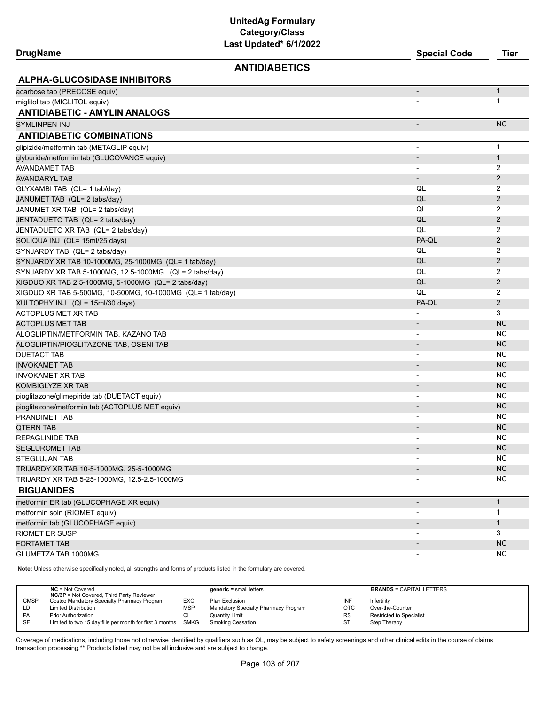| <b>DrugName</b>                                            | Last updated" 6/1/2022 | <b>Special Code</b>          | <b>Tier</b>    |
|------------------------------------------------------------|------------------------|------------------------------|----------------|
|                                                            | <b>ANTIDIABETICS</b>   |                              |                |
| <b>ALPHA-GLUCOSIDASE INHIBITORS</b>                        |                        |                              |                |
| acarbose tab (PRECOSE equiv)                               |                        |                              | $\mathbf{1}$   |
| miglitol tab (MIGLITOL equiv)                              |                        |                              | 1              |
| <b>ANTIDIABETIC - AMYLIN ANALOGS</b>                       |                        |                              |                |
| SYMLINPEN INJ                                              |                        | $\qquad \qquad \blacksquare$ | <b>NC</b>      |
| <b>ANTIDIABETIC COMBINATIONS</b>                           |                        |                              |                |
| glipizide/metformin tab (METAGLIP equiv)                   |                        | $\overline{\phantom{a}}$     | $\mathbf{1}$   |
| glyburide/metformin tab (GLUCOVANCE equiv)                 |                        | $\overline{\phantom{m}}$     | $\mathbf 1$    |
| AVANDAMET TAB                                              |                        | $\overline{\phantom{a}}$     | 2              |
| AVANDARYL TAB                                              |                        |                              | 2              |
| GLYXAMBI TAB (QL= 1 tab/day)                               |                        | QL                           | 2              |
| JANUMET TAB (QL= 2 tabs/day)                               |                        | QL                           | $\overline{2}$ |
| JANUMET XR TAB (QL= 2 tabs/day)                            |                        | QL                           | $\overline{2}$ |
| JENTADUETO TAB (QL= 2 tabs/day)                            |                        | QL                           | $\overline{2}$ |
| JENTADUETO XR TAB (QL= 2 tabs/day)                         |                        | QL                           | 2              |
| SOLIQUA INJ (QL= 15ml/25 days)                             |                        | PA-QL                        | $\overline{2}$ |
| SYNJARDY TAB (QL= 2 tabs/day)                              |                        | QL                           | 2              |
| SYNJARDY XR TAB 10-1000MG, 25-1000MG (QL= 1 tab/day)       |                        | QL                           | $\overline{2}$ |
| SYNJARDY XR TAB 5-1000MG, 12.5-1000MG (QL= 2 tabs/day)     |                        | QL                           | 2              |
| XIGDUO XR TAB 2.5-1000MG, 5-1000MG (QL= 2 tabs/day)        |                        | QL                           | $\overline{2}$ |
| XIGDUO XR TAB 5-500MG, 10-500MG, 10-1000MG (QL= 1 tab/day) |                        | QL                           | $\overline{2}$ |
| XULTOPHY INJ (QL= 15ml/30 days)                            |                        | PA-QL                        | $\overline{2}$ |
| <b>ACTOPLUS MET XR TAB</b>                                 |                        | $\overline{\phantom{0}}$     | 3              |
| ACTOPLUS MET TAB                                           |                        |                              | <b>NC</b>      |
| ALOGLIPTIN/METFORMIN TAB, KAZANO TAB                       |                        | $\overline{\phantom{a}}$     | <b>NC</b>      |
| ALOGLIPTIN/PIOGLITAZONE TAB, OSENI TAB                     |                        |                              | <b>NC</b>      |
| <b>DUETACT TAB</b>                                         |                        | $\overline{\phantom{a}}$     | NC             |
| <b>INVOKAMET TAB</b>                                       |                        |                              | <b>NC</b>      |
| <b>INVOKAMET XR TAB</b>                                    |                        | $\overline{\phantom{a}}$     | <b>NC</b>      |
| KOMBIGLYZE XR TAB                                          |                        |                              | <b>NC</b>      |
| pioglitazone/glimepiride tab (DUETACT equiv)               |                        | $\overline{\phantom{a}}$     | NC.            |
| pioglitazone/metformin tab (ACTOPLUS MET equiv)            |                        |                              | <b>NC</b>      |
| PRANDIMET TAB                                              |                        | $\overline{\phantom{a}}$     | NC.            |
| <b>QTERN TAB</b>                                           |                        |                              | <b>NC</b>      |
| REPAGLINIDE TAB                                            |                        | $\blacksquare$               | NC             |
| SEGLUROMET TAB                                             |                        |                              | <b>NC</b>      |
| <b>STEGLUJAN TAB</b>                                       |                        |                              | <b>NC</b>      |
| TRIJARDY XR TAB 10-5-1000MG, 25-5-1000MG                   |                        |                              | NC             |
| TRIJARDY XR TAB 5-25-1000MG, 12.5-2.5-1000MG               |                        |                              | NC.            |
| <b>BIGUANIDES</b>                                          |                        |                              |                |
| metformin ER tab (GLUCOPHAGE XR equiv)                     |                        |                              | $\mathbf{1}$   |
| metformin soln (RIOMET equiv)                              |                        |                              | $\mathbf{1}$   |
| metformin tab (GLUCOPHAGE equiv)                           |                        |                              | $\mathbf{1}$   |
| RIOMET ER SUSP                                             |                        |                              | 3              |
| <b>FORTAMET TAB</b>                                        |                        |                              | <b>NC</b>      |
| GLUMETZA TAB 1000MG                                        |                        | $\overline{\phantom{a}}$     | <b>NC</b>      |

**Note:** Unless otherwise specifically noted, all strengths and forms of products listed in the formulary are covered.

|             | $NC = Not Covered$<br><b>NC/3P</b> = Not Covered, Third Party Reviewer |            | $generic = small letters$            |            | <b>BRANDS = CAPITAL LETTERS</b> |
|-------------|------------------------------------------------------------------------|------------|--------------------------------------|------------|---------------------------------|
| <b>CMSP</b> | Costco Mandatory Specialty Pharmacy Program                            | EXC        | Plan Exclusion                       | INF        | Infertility                     |
| LD          | <b>Limited Distribution</b>                                            | <b>MSP</b> | Mandatory Specialty Pharmacy Program | <b>OTC</b> | Over-the-Counter                |
| <b>PA</b>   | <b>Prior Authorization</b>                                             | QL         | <b>Quantity Limit</b>                | <b>RS</b>  | Restricted to Specialist        |
| -SF         | Limited to two 15 day fills per month for first 3 months SMKG          |            | <b>Smoking Cessation</b>             | ST         | Step Therapy                    |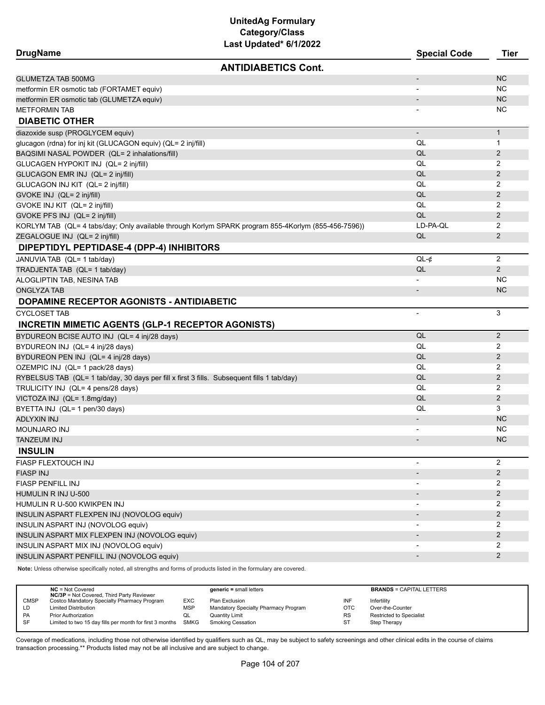| Last Updated^ 6/1/2022<br><b>DrugName</b>                                                           | <b>Special Code</b>      | <b>Tier</b>    |
|-----------------------------------------------------------------------------------------------------|--------------------------|----------------|
| <b>ANTIDIABETICS Cont.</b>                                                                          |                          |                |
| <b>GLUMETZA TAB 500MG</b>                                                                           | $\overline{\phantom{a}}$ | <b>NC</b>      |
| metformin ER osmotic tab (FORTAMET equiv)                                                           |                          | NC.            |
| metformin ER osmotic tab (GLUMETZA equiv)                                                           | $\overline{\phantom{a}}$ | <b>NC</b>      |
| <b>METFORMIN TAB</b>                                                                                |                          | NC.            |
| <b>DIABETIC OTHER</b>                                                                               |                          |                |
| diazoxide susp (PROGLYCEM equiv)                                                                    | $\overline{\phantom{a}}$ | $\mathbf{1}$   |
| glucagon (rdna) for inj kit (GLUCAGON equiv) (QL= 2 inj/fill)                                       | QL                       | 1              |
| BAQSIMI NASAL POWDER (QL= 2 inhalations/fill)                                                       | QL                       | 2              |
| GLUCAGEN HYPOKIT INJ (QL= 2 inj/fill)                                                               | QL                       | 2              |
| GLUCAGON EMR INJ (QL= 2 inj/fill)                                                                   | QL                       | $\overline{2}$ |
| GLUCAGON INJ KIT (QL= 2 inj/fill)                                                                   | QL                       | 2              |
| GVOKE INJ (QL= 2 inj/fill)                                                                          | QL                       | 2              |
| GVOKE INJ KIT (QL= 2 inj/fill)                                                                      | QL                       | 2              |
| GVOKE PFS INJ (QL= 2 inj/fill)                                                                      | QL                       | 2              |
| KORLYM TAB (QL= 4 tabs/day; Only available through Korlym SPARK program 855-4Korlym (855-456-7596)) | LD-PA-QL                 | 2              |
| ZEGALOGUE INJ (QL= 2 inj/fill)                                                                      | QL                       | 2              |
| DIPEPTIDYL PEPTIDASE-4 (DPP-4) INHIBITORS                                                           |                          |                |
| JANUVIA TAB (QL= 1 tab/day)                                                                         | $QL-¢$                   | 2              |
| TRADJENTA TAB (QL= 1 tab/day)                                                                       | QL                       | $\overline{2}$ |
| ALOGLIPTIN TAB, NESINA TAB                                                                          | $\overline{\phantom{a}}$ | NC.            |
| <b>ONGLYZA TAB</b>                                                                                  | $\overline{\phantom{a}}$ | <b>NC</b>      |
| DOPAMINE RECEPTOR AGONISTS - ANTIDIABETIC                                                           |                          |                |
| <b>CYCLOSET TAB</b>                                                                                 | $\overline{\phantom{a}}$ | 3              |
| <b>INCRETIN MIMETIC AGENTS (GLP-1 RECEPTOR AGONISTS)</b>                                            |                          |                |
| BYDUREON BCISE AUTO INJ (QL= 4 inj/28 days)                                                         | QL                       | 2              |
| BYDUREON INJ (QL= 4 inj/28 days)                                                                    | QL                       | 2              |
| BYDUREON PEN INJ (QL= 4 inj/28 days)                                                                | QL                       | $\overline{2}$ |
| OZEMPIC INJ (QL= 1 pack/28 days)                                                                    | QL                       | 2              |
| RYBELSUS TAB (QL= 1 tab/day, 30 days per fill x first 3 fills. Subsequent fills 1 tab/day)          | QL                       | $\overline{2}$ |
| TRULICITY INJ (QL= 4 pens/28 days)                                                                  | QL                       | 2              |
| VICTOZA INJ (QL= 1.8mg/day)                                                                         | QL                       | $\overline{2}$ |
| BYETTA INJ (QL= 1 pen/30 days)                                                                      | QL                       | 3              |
| <b>ADLYXIN INJ</b>                                                                                  | $\overline{\phantom{a}}$ | <b>NC</b>      |
| <b>MOUNJARO INJ</b>                                                                                 |                          | <b>NC</b>      |
| TANZEUM INJ                                                                                         |                          | <b>NC</b>      |
| <b>INSULIN</b>                                                                                      |                          |                |
| FIASP FLEXTOUCH INJ                                                                                 | $\overline{\phantom{a}}$ | 2              |
| <b>FIASP INJ</b>                                                                                    | $\overline{\phantom{a}}$ | $\overline{2}$ |
| <b>FIASP PENFILL INJ</b>                                                                            |                          | 2              |
| HUMULIN R INJ U-500                                                                                 |                          | $\overline{2}$ |
| HUMULIN R U-500 KWIKPEN INJ                                                                         |                          | 2              |
| INSULIN ASPART FLEXPEN INJ (NOVOLOG equiv)                                                          |                          | 2              |
| INSULIN ASPART INJ (NOVOLOG equiv)                                                                  |                          | 2              |
| INSULIN ASPART MIX FLEXPEN INJ (NOVOLOG equiv)                                                      |                          | 2              |
| INSULIN ASPART MIX INJ (NOVOLOG equiv)                                                              |                          | $\overline{2}$ |
| INSULIN ASPART PENFILL INJ (NOVOLOG equiv)                                                          |                          | 2              |

**Note:** Unless otherwise specifically noted, all strengths and forms of products listed in the formulary are covered.

|             | $NC = Not Covered$<br><b>NC/3P</b> = Not Covered, Third Party Reviewer |            | $generic = small letters$            |            | <b>BRANDS = CAPITAL LETTERS</b> |
|-------------|------------------------------------------------------------------------|------------|--------------------------------------|------------|---------------------------------|
| <b>CMSP</b> | Costco Mandatory Specialty Pharmacy Program                            | EXC        | Plan Exclusion                       | INF        | Infertility                     |
| LD          | <b>Limited Distribution</b>                                            | <b>MSP</b> | Mandatory Specialty Pharmacy Program | <b>OTC</b> | Over-the-Counter                |
| <b>PA</b>   | <b>Prior Authorization</b>                                             | QL         | Quantity Limit                       | <b>RS</b>  | Restricted to Specialist        |
| <b>SF</b>   | Limited to two 15 day fills per month for first 3 months SMKG          |            | <b>Smoking Cessation</b>             | ST         | Step Therapy                    |
|             |                                                                        |            |                                      |            |                                 |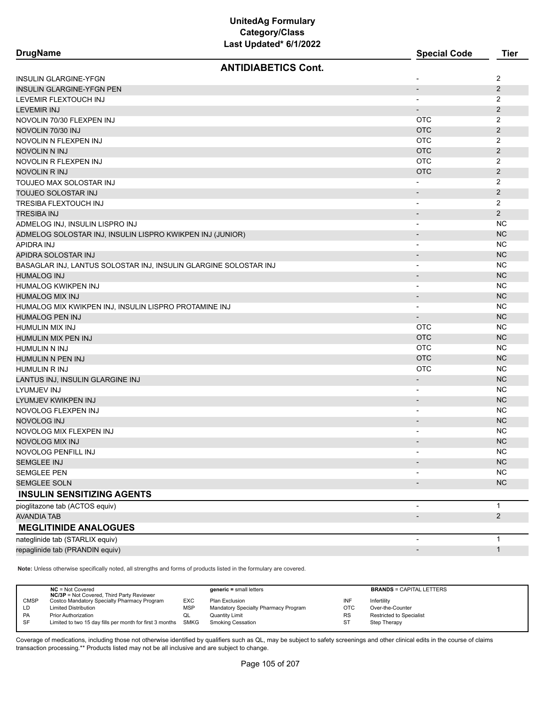| <b>DrugName</b>                                                  | Last opuateu von Zull      | <b>Special Code</b>      | <b>Tier</b>    |
|------------------------------------------------------------------|----------------------------|--------------------------|----------------|
|                                                                  | <b>ANTIDIABETICS Cont.</b> |                          |                |
| INSULIN GLARGINE-YFGN                                            |                            | $\blacksquare$           | 2              |
| <b>INSULIN GLARGINE-YFGN PEN</b>                                 |                            | $\overline{\phantom{a}}$ | 2              |
| LEVEMIR FLEXTOUCH INJ                                            |                            | $\overline{\phantom{a}}$ | $\overline{2}$ |
| LEVEMIR INJ                                                      |                            | $\overline{\phantom{a}}$ | $\overline{2}$ |
| NOVOLIN 70/30 FLEXPEN INJ                                        |                            | <b>OTC</b>               | 2              |
| NOVOLIN 70/30 INJ                                                |                            | <b>OTC</b>               | $\overline{2}$ |
| NOVOLIN N FLEXPEN INJ                                            |                            | <b>OTC</b>               | 2              |
| NOVOLIN N INJ                                                    |                            | <b>OTC</b>               | $\overline{2}$ |
| NOVOLIN R FLEXPEN INJ                                            |                            | <b>OTC</b>               | 2              |
| NOVOLIN R INJ                                                    |                            | <b>OTC</b>               | $\overline{2}$ |
| TOUJEO MAX SOLOSTAR INJ                                          |                            |                          | 2              |
| TOUJEO SOLOSTAR INJ                                              |                            | $\overline{\phantom{a}}$ | 2              |
| TRESIBA FLEXTOUCH INJ                                            |                            | $\overline{\phantom{a}}$ | $\overline{2}$ |
| TRESIBA INJ                                                      |                            | $\overline{\phantom{a}}$ | 2              |
| ADMELOG INJ, INSULIN LISPRO INJ                                  |                            | $\overline{\phantom{a}}$ | NC             |
| ADMELOG SOLOSTAR INJ, INSULIN LISPRO KWIKPEN INJ (JUNIOR)        |                            |                          | <b>NC</b>      |
| APIDRA INJ                                                       |                            | $\overline{\phantom{a}}$ | <b>NC</b>      |
| APIDRA SOLOSTAR INJ                                              |                            | $\overline{\phantom{a}}$ | <b>NC</b>      |
| BASAGLAR INJ, LANTUS SOLOSTAR INJ, INSULIN GLARGINE SOLOSTAR INJ |                            | $\overline{\phantom{a}}$ | <b>NC</b>      |
| <b>HUMALOG INJ</b>                                               |                            | $\overline{\phantom{a}}$ | <b>NC</b>      |
| HUMALOG KWIKPEN INJ                                              |                            | $\overline{\phantom{a}}$ | <b>NC</b>      |
| <b>HUMALOG MIX INJ</b>                                           |                            | $\blacksquare$           | <b>NC</b>      |
| HUMALOG MIX KWIKPEN INJ, INSULIN LISPRO PROTAMINE INJ            |                            | $\overline{\phantom{a}}$ | <b>NC</b>      |
| <b>HUMALOG PEN INJ</b>                                           |                            | $\overline{\phantom{a}}$ | <b>NC</b>      |
| HUMULIN MIX INJ                                                  |                            | <b>OTC</b>               | <b>NC</b>      |
| HUMULIN MIX PEN INJ                                              |                            | <b>OTC</b>               | <b>NC</b>      |
| HUMULIN N INJ                                                    |                            | <b>OTC</b>               | <b>NC</b>      |
| HUMULIN N PEN INJ                                                |                            | <b>OTC</b>               | <b>NC</b>      |
| HUMULIN R INJ                                                    |                            | <b>OTC</b>               | NC.            |
| LANTUS INJ, INSULIN GLARGINE INJ                                 |                            | $\overline{\phantom{a}}$ | <b>NC</b>      |
| LYUMJEV INJ                                                      |                            | $\overline{\phantom{a}}$ | <b>NC</b>      |
| LYUMJEV KWIKPEN INJ                                              |                            | $\overline{\phantom{a}}$ | <b>NC</b>      |
| NOVOLOG FLEXPEN INJ                                              |                            | $\overline{\phantom{a}}$ | NC             |
| <b>NOVOLOG INJ</b>                                               |                            | $\overline{\phantom{a}}$ | <b>NC</b>      |
| NOVOLOG MIX FLEXPEN INJ                                          |                            | $\overline{\phantom{a}}$ | <b>NC</b>      |
| NOVOLOG MIX INJ                                                  |                            |                          | <b>NC</b>      |
| NOVOLOG PENFILL INJ                                              |                            |                          | <b>NC</b>      |
| <b>SEMGLEE INJ</b>                                               |                            |                          | NC             |
| <b>SEMGLEE PEN</b>                                               |                            |                          | <b>NC</b>      |
| <b>SEMGLEE SOLN</b>                                              |                            |                          | <b>NC</b>      |
| <b>INSULIN SENSITIZING AGENTS</b>                                |                            |                          |                |
| pioglitazone tab (ACTOS equiv)                                   |                            |                          | 1              |
| AVANDIA TAB                                                      |                            |                          | $\overline{2}$ |
| <b>MEGLITINIDE ANALOGUES</b>                                     |                            |                          |                |
| nateglinide tab (STARLIX equiv)                                  |                            |                          | 1              |
| repaglinide tab (PRANDIN equiv)                                  |                            | $\overline{\phantom{a}}$ | $\mathbf{1}$   |

**Note:** Unless otherwise specifically noted, all strengths and forms of products listed in the formulary are covered.

| <b>NC/3P</b> = Not Covered, Third Party Reviewer                                         |           | <b>BRANDS = CAPITAL LETTERS</b> |
|------------------------------------------------------------------------------------------|-----------|---------------------------------|
| <b>CMSP</b><br>Costco Mandatory Specialty Pharmacy Program<br>EXC<br>Plan Exclusion      | INF       | Infertility                     |
| Mandatory Specialty Pharmacy Program<br><b>MSP</b><br><b>Limited Distribution</b><br>LD  | OTC       | Over-the-Counter                |
| PA<br><b>Prior Authorization</b><br>Quantity Limit<br>QL                                 | <b>RS</b> | <b>Restricted to Specialist</b> |
| SF<br>Limited to two 15 day fills per month for first 3 months SMKG<br>Smoking Cessation | ST        | Step Therapy                    |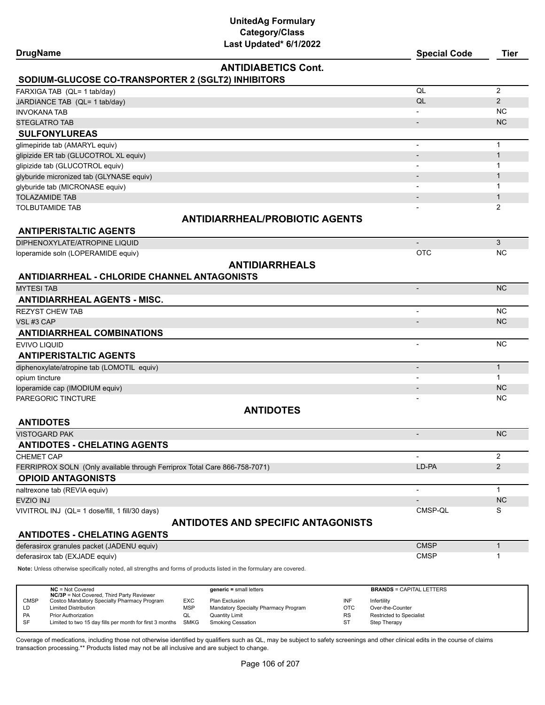| <b>DrugName</b>                                                                                                     |                   | Last Upualeu (b) 172022                           |                        | <b>Special Code</b>                             | <b>Tier</b>    |
|---------------------------------------------------------------------------------------------------------------------|-------------------|---------------------------------------------------|------------------------|-------------------------------------------------|----------------|
| SODIUM-GLUCOSE CO-TRANSPORTER 2 (SGLT2) INHIBITORS                                                                  |                   | <b>ANTIDIABETICS Cont.</b>                        |                        |                                                 |                |
| FARXIGA TAB (QL= 1 tab/day)                                                                                         |                   |                                                   |                        | QL                                              | 2              |
| JARDIANCE TAB (QL= 1 tab/day)                                                                                       |                   |                                                   |                        | QL                                              | 2              |
| <b>INVOKANA TAB</b>                                                                                                 |                   |                                                   |                        |                                                 | <b>NC</b>      |
| <b>STEGLATRO TAB</b>                                                                                                |                   |                                                   |                        |                                                 | <b>NC</b>      |
| <b>SULFONYLUREAS</b>                                                                                                |                   |                                                   |                        |                                                 |                |
| glimepiride tab (AMARYL equiv)                                                                                      |                   |                                                   |                        | $\overline{\phantom{a}}$                        | $\mathbf{1}$   |
| glipizide ER tab (GLUCOTROL XL equiv)                                                                               |                   |                                                   |                        |                                                 | $\mathbf{1}$   |
| glipizide tab (GLUCOTROL equiv)                                                                                     |                   |                                                   |                        |                                                 | 1              |
| glyburide micronized tab (GLYNASE equiv)                                                                            |                   |                                                   |                        |                                                 | $\mathbf{1}$   |
| glyburide tab (MICRONASE equiv)                                                                                     |                   |                                                   |                        |                                                 | $\mathbf 1$    |
| <b>TOLAZAMIDE TAB</b>                                                                                               |                   |                                                   |                        |                                                 | $\mathbf{1}$   |
| TOLBUTAMIDE TAB                                                                                                     |                   |                                                   |                        |                                                 | 2              |
|                                                                                                                     |                   | <b>ANTIDIARRHEAL/PROBIOTIC AGENTS</b>             |                        |                                                 |                |
| <b>ANTIPERISTALTIC AGENTS</b>                                                                                       |                   |                                                   |                        |                                                 |                |
| DIPHENOXYLATE/ATROPINE LIQUID                                                                                       |                   |                                                   |                        |                                                 | 3              |
| loperamide soln (LOPERAMIDE equiv)                                                                                  |                   |                                                   |                        | <b>OTC</b>                                      | <b>NC</b>      |
|                                                                                                                     |                   | <b>ANTIDIARRHEALS</b>                             |                        |                                                 |                |
| <b>ANTIDIARRHEAL - CHLORIDE CHANNEL ANTAGONISTS</b>                                                                 |                   |                                                   |                        |                                                 |                |
| <b>MYTESI TAB</b>                                                                                                   |                   |                                                   |                        | $\overline{\phantom{a}}$                        | <b>NC</b>      |
| <b>ANTIDIARRHEAL AGENTS - MISC.</b>                                                                                 |                   |                                                   |                        |                                                 |                |
| <b>REZYST CHEW TAB</b>                                                                                              |                   |                                                   |                        |                                                 | <b>NC</b>      |
| VSL#3 CAP                                                                                                           |                   |                                                   |                        |                                                 | <b>NC</b>      |
| <b>ANTIDIARRHEAL COMBINATIONS</b>                                                                                   |                   |                                                   |                        |                                                 |                |
| EVIVO LIQUID                                                                                                        |                   |                                                   |                        | $\overline{\phantom{a}}$                        | <b>NC</b>      |
| <b>ANTIPERISTALTIC AGENTS</b>                                                                                       |                   |                                                   |                        |                                                 |                |
| diphenoxylate/atropine tab (LOMOTIL equiv)                                                                          |                   |                                                   |                        | $\overline{\phantom{a}}$                        | $\mathbf{1}$   |
| opium tincture                                                                                                      |                   |                                                   |                        |                                                 | $\mathbf{1}$   |
| loperamide cap (IMODIUM equiv)                                                                                      |                   |                                                   |                        |                                                 | <b>NC</b>      |
| PAREGORIC TINCTURE                                                                                                  |                   |                                                   |                        |                                                 | <b>NC</b>      |
|                                                                                                                     |                   | <b>ANTIDOTES</b>                                  |                        |                                                 |                |
| <b>ANTIDOTES</b>                                                                                                    |                   |                                                   |                        |                                                 |                |
| VISTOGARD PAK                                                                                                       |                   |                                                   |                        | $\overline{a}$                                  | <b>NC</b>      |
| <b>ANTIDOTES - CHELATING AGENTS</b>                                                                                 |                   |                                                   |                        |                                                 |                |
| <b>CHEMET CAP</b>                                                                                                   |                   |                                                   |                        |                                                 | 2              |
| FERRIPROX SOLN (Only available through Ferriprox Total Care 866-758-7071)                                           |                   |                                                   |                        | LD-PA                                           | $\overline{2}$ |
| <b>OPIOID ANTAGONISTS</b>                                                                                           |                   |                                                   |                        |                                                 |                |
| naltrexone tab (REVIA equiv)                                                                                        |                   |                                                   |                        |                                                 | $\mathbf{1}$   |
| EVZIO INJ                                                                                                           |                   |                                                   |                        |                                                 | <b>NC</b>      |
| VIVITROL INJ (QL= 1 dose/fill, 1 fill/30 days)                                                                      |                   |                                                   |                        | CMSP-QL                                         | S              |
| <b>ANTIDOTES - CHELATING AGENTS</b>                                                                                 |                   | <b>ANTIDOTES AND SPECIFIC ANTAGONISTS</b>         |                        |                                                 |                |
| deferasirox granules packet (JADENU equiv)                                                                          |                   |                                                   |                        | <b>CMSP</b>                                     | $\mathbf{1}$   |
| deferasirox tab (EXJADE equiv)                                                                                      |                   |                                                   |                        | <b>CMSP</b>                                     | 1              |
| Note: Unless otherwise specifically noted, all strengths and forms of products listed in the formulary are covered. |                   |                                                   |                        |                                                 |                |
| $NC = Not Covered$                                                                                                  |                   | $generic = small letters$                         |                        | <b>BRANDS = CAPITAL LETTERS</b>                 |                |
| <b>NC/3P</b> = Not Covered, Third Party Reviewer<br><b>CMSP</b><br>Costco Mandatory Specialty Pharmacy Program      | EXC               | Plan Exclusion                                    | INF                    | Infertility                                     |                |
| LD<br><b>Limited Distribution</b>                                                                                   | MSP               | Mandatory Specialty Pharmacy Program              | <b>OTC</b>             | Over-the-Counter                                |                |
| <b>Prior Authorization</b><br>PA<br>SF<br>Limited to two 15 day fills per month for first 3 months                  | QL<br><b>SMKG</b> | <b>Quantity Limit</b><br><b>Smoking Cessation</b> | <b>RS</b><br><b>ST</b> | Restricted to Specialist<br><b>Step Therapy</b> |                |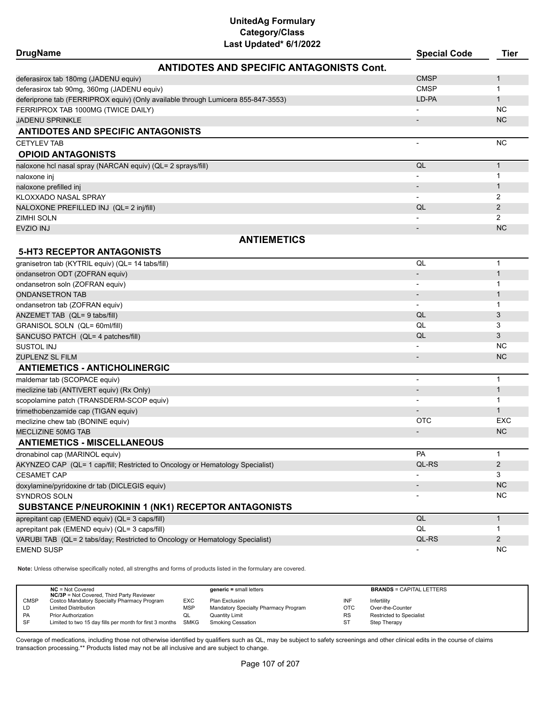| <b>DrugName</b>                                                                  |                                                 | <b>Special Code</b>      | <b>Tier</b>    |
|----------------------------------------------------------------------------------|-------------------------------------------------|--------------------------|----------------|
|                                                                                  | <b>ANTIDOTES AND SPECIFIC ANTAGONISTS Cont.</b> |                          |                |
| deferasirox tab 180mg (JADENU equiv)                                             |                                                 | <b>CMSP</b>              | $\mathbf{1}$   |
| deferasirox tab 90mg, 360mg (JADENU equiv)                                       |                                                 | <b>CMSP</b>              | 1              |
| deferiprone tab (FERRIPROX equiv) (Only available through Lumicera 855-847-3553) |                                                 | LD-PA                    | $\mathbf{1}$   |
| FERRIPROX TAB 1000MG (TWICE DAILY)                                               |                                                 |                          | NC.            |
| JADENU SPRINKLE                                                                  |                                                 | $\overline{\phantom{a}}$ | <b>NC</b>      |
| <b>ANTIDOTES AND SPECIFIC ANTAGONISTS</b>                                        |                                                 |                          |                |
| <b>CETYLEV TAB</b>                                                               |                                                 |                          | <b>NC</b>      |
| <b>OPIOID ANTAGONISTS</b>                                                        |                                                 |                          |                |
| naloxone hcl nasal spray (NARCAN equiv) (QL= 2 sprays/fill)                      |                                                 | QL                       | $\mathbf{1}$   |
| naloxone inj                                                                     |                                                 |                          | 1              |
| naloxone prefilled inj                                                           |                                                 |                          | $\mathbf{1}$   |
| KLOXXADO NASAL SPRAY                                                             |                                                 |                          | 2              |
| NALOXONE PREFILLED INJ (QL= 2 inj/fill)                                          |                                                 | QL                       | $\overline{2}$ |
| ZIMHI SOLN                                                                       |                                                 |                          | 2              |
| <b>EVZIO INJ</b>                                                                 |                                                 |                          | <b>NC</b>      |
|                                                                                  | <b>ANTIEMETICS</b>                              |                          |                |
| <b>5-HT3 RECEPTOR ANTAGONISTS</b>                                                |                                                 |                          |                |
| granisetron tab (KYTRIL equiv) (QL= 14 tabs/fill)                                |                                                 | QL                       | $\mathbf 1$    |
| ondansetron ODT (ZOFRAN equiv)                                                   |                                                 |                          | $\mathbf{1}$   |
| ondansetron soln (ZOFRAN equiv)                                                  |                                                 | $\overline{\phantom{a}}$ | $\mathbf{1}$   |
| <b>ONDANSETRON TAB</b>                                                           |                                                 |                          | $\mathbf{1}$   |
| ondansetron tab (ZOFRAN equiv)                                                   |                                                 | $\overline{\phantom{a}}$ | 1              |
| ANZEMET TAB (QL= 9 tabs/fill)                                                    |                                                 | QL                       | 3              |
| GRANISOL SOLN (QL= 60ml/fill)                                                    |                                                 | QL                       | 3              |
| SANCUSO PATCH (QL= 4 patches/fill)                                               |                                                 | QL                       | 3              |
| <b>SUSTOL INJ</b>                                                                |                                                 |                          | <b>NC</b>      |
| ZUPLENZ SL FILM                                                                  |                                                 |                          | <b>NC</b>      |
| <b>ANTIEMETICS - ANTICHOLINERGIC</b>                                             |                                                 |                          |                |
| maldemar tab (SCOPACE equiv)                                                     |                                                 | $\overline{\phantom{a}}$ | $\mathbf 1$    |
| meclizine tab (ANTIVERT equiv) (Rx Only)                                         |                                                 |                          | $\mathbf{1}$   |
| scopolamine patch (TRANSDERM-SCOP equiv)                                         |                                                 |                          | $\mathbf{1}$   |
| trimethobenzamide cap (TIGAN equiv)                                              |                                                 |                          | $\mathbf{1}$   |
| meclizine chew tab (BONINE equiv)                                                |                                                 | <b>OTC</b>               | EXC            |
| MECLIZINE 50MG TAB                                                               |                                                 |                          | <b>NC</b>      |
| <b>ANTIEMETICS - MISCELLANEOUS</b>                                               |                                                 |                          |                |
| dronabinol cap (MARINOL equiv)                                                   |                                                 | <b>PA</b>                | 1              |
| AKYNZEO CAP (QL= 1 cap/fill; Restricted to Oncology or Hematology Specialist)    |                                                 | QL-RS                    | 2              |
| <b>CESAMET CAP</b>                                                               |                                                 |                          | 3              |
| doxylamine/pyridoxine dr tab (DICLEGIS equiv)                                    |                                                 |                          | <b>NC</b>      |
| SYNDROS SOLN                                                                     |                                                 |                          | NC.            |
| SUBSTANCE P/NEUROKININ 1 (NK1) RECEPTOR ANTAGONISTS                              |                                                 |                          |                |
| aprepitant cap (EMEND equiv) (QL= 3 caps/fill)                                   |                                                 | QL                       | $\mathbf{1}$   |
| aprepitant pak (EMEND equiv) (QL= 3 caps/fill)                                   |                                                 | QL                       | 1              |
| VARUBI TAB (QL= 2 tabs/day; Restricted to Oncology or Hematology Specialist)     |                                                 | QL-RS                    | 2              |
| EMEND SUSP                                                                       |                                                 |                          | <b>NC</b>      |

**Note:** Unless otherwise specifically noted, all strengths and forms of products listed in the formulary are covered.

|      | $NC = Not Covered$<br><b>NC/3P</b> = Not Covered, Third Party Reviewer |            | $generic = small letters$            |            | <b>BRANDS = CAPITAL LETTERS</b> |
|------|------------------------------------------------------------------------|------------|--------------------------------------|------------|---------------------------------|
| CMSP | Costco Mandatory Specialty Pharmacy Program                            | <b>EXC</b> | Plan Exclusion                       | INF        | Infertility                     |
| LD   | <b>Limited Distribution</b>                                            | MSP        | Mandatory Specialty Pharmacy Program | <b>OTC</b> | Over-the-Counter                |
| PA   | <b>Prior Authorization</b>                                             | QL         | <b>Quantity Limit</b>                | <b>RS</b>  | Restricted to Specialist        |
| -SF  | Limited to two 15 day fills per month for first 3 months SMKG          |            | Smoking Cessation                    | ST         | Step Therapy                    |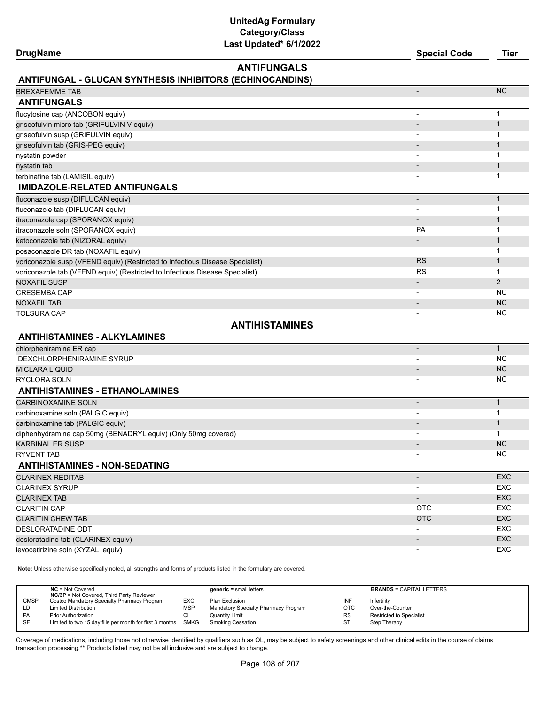| <b>DrugName</b>                                                               | Last updated" 6/1/2022                                   | <b>Special Code</b>      | <b>Tier</b>  |
|-------------------------------------------------------------------------------|----------------------------------------------------------|--------------------------|--------------|
|                                                                               | <b>ANTIFUNGALS</b>                                       |                          |              |
|                                                                               | ANTIFUNGAL - GLUCAN SYNTHESIS INHIBITORS (ECHINOCANDINS) |                          |              |
| <b>BREXAFEMME TAB</b>                                                         |                                                          |                          | <b>NC</b>    |
| <b>ANTIFUNGALS</b>                                                            |                                                          |                          |              |
| flucytosine cap (ANCOBON equiv)                                               |                                                          |                          | $\mathbf{1}$ |
| griseofulvin micro tab (GRIFULVIN V equiv)                                    |                                                          |                          | $\mathbf{1}$ |
| griseofulvin susp (GRIFULVIN equiv)                                           |                                                          |                          | $\mathbf{1}$ |
| griseofulvin tab (GRIS-PEG equiv)                                             |                                                          |                          | $\mathbf{1}$ |
| nystatin powder                                                               |                                                          |                          | 1            |
| nystatin tab                                                                  |                                                          |                          | $\mathbf{1}$ |
| terbinafine tab (LAMISIL equiv)                                               |                                                          |                          | 1            |
| <b>IMIDAZOLE-RELATED ANTIFUNGALS</b>                                          |                                                          |                          |              |
| fluconazole susp (DIFLUCAN equiv)                                             |                                                          | $\blacksquare$           | $\mathbf{1}$ |
| fluconazole tab (DIFLUCAN equiv)                                              |                                                          |                          | 1            |
| itraconazole cap (SPORANOX equiv)                                             |                                                          | $\overline{\phantom{a}}$ | $\mathbf{1}$ |
| itraconazole soln (SPORANOX equiv)                                            |                                                          | <b>PA</b>                | 1            |
| ketoconazole tab (NIZORAL equiv)                                              |                                                          |                          | $\mathbf{1}$ |
| posaconazole DR tab (NOXAFIL equiv)                                           |                                                          | $\blacksquare$           | 1            |
| voriconazole susp (VFEND equiv) (Restricted to Infectious Disease Specialist) |                                                          | <b>RS</b>                | $\mathbf{1}$ |
| voriconazole tab (VFEND equiv) (Restricted to Infectious Disease Specialist)  |                                                          | <b>RS</b>                | 1            |
| <b>NOXAFIL SUSP</b>                                                           |                                                          |                          | 2            |
| <b>CRESEMBA CAP</b>                                                           |                                                          | $\overline{\phantom{a}}$ | ΝC           |
| <b>NOXAFIL TAB</b>                                                            |                                                          | $\overline{\phantom{a}}$ | <b>NC</b>    |
| <b>TOLSURA CAP</b>                                                            |                                                          |                          | ΝC           |
|                                                                               | <b>ANTIHISTAMINES</b>                                    |                          |              |
| <b>ANTIHISTAMINES - ALKYLAMINES</b>                                           |                                                          |                          |              |
| chlorpheniramine ER cap                                                       |                                                          | $\overline{\phantom{a}}$ | $\mathbf{1}$ |
| DEXCHLORPHENIRAMINE SYRUP                                                     |                                                          |                          | NC           |
| <b>MICLARA LIQUID</b>                                                         |                                                          |                          | <b>NC</b>    |
| RYCLORA SOLN                                                                  |                                                          |                          | NC           |
| <b>ANTIHISTAMINES - ETHANOLAMINES</b>                                         |                                                          |                          |              |
| <b>CARBINOXAMINE SOLN</b>                                                     |                                                          | $\overline{\phantom{a}}$ | $\mathbf{1}$ |
| carbinoxamine soln (PALGIC equiv)                                             |                                                          |                          | 1            |
| carbinoxamine tab (PALGIC equiv)                                              |                                                          |                          | $\mathbf{1}$ |
| diphenhydramine cap 50mg (BENADRYL equiv) (Only 50mg covered)                 |                                                          |                          | 1            |
| KARBINAL ER SUSP                                                              |                                                          |                          | ${\sf NC}$   |
| RYVENT TAB                                                                    |                                                          |                          | NC.          |
| <b>ANTIHISTAMINES - NON-SEDATING</b>                                          |                                                          |                          |              |
| <b>CLARINEX REDITAB</b>                                                       |                                                          | $\overline{\phantom{a}}$ | <b>EXC</b>   |
| CLARINEX SYRUP                                                                |                                                          |                          | EXC          |
| <b>CLARINEX TAB</b>                                                           |                                                          | $\overline{\phantom{a}}$ | EXC          |
| <b>CLARITIN CAP</b>                                                           |                                                          | <b>OTC</b>               | EXC          |
| <b>CLARITIN CHEW TAB</b>                                                      |                                                          | <b>OTC</b>               | EXC          |
| DESLORATADINE ODT                                                             |                                                          |                          | EXC          |
| desloratadine tab (CLARINEX equiv)                                            |                                                          | $\overline{\phantom{a}}$ | EXC          |
| levocetirizine soln (XYZAL equiv)                                             |                                                          |                          | EXC          |

**Note:** Unless otherwise specifically noted, all strengths and forms of products listed in the formulary are covered.

| <b>NC/3P</b> = Not Covered, Third Party Reviewer                         | $generic = small letters$            |            | <b>BRANDS = CAPITAL LETTERS</b> |
|--------------------------------------------------------------------------|--------------------------------------|------------|---------------------------------|
| <b>CMSP</b><br>Costco Mandatory Specialty Pharmacy Program<br><b>EXC</b> | Plan Exclusion                       | INF        | Infertility                     |
| <b>MSP</b><br><b>Limited Distribution</b><br>LD                          | Mandatory Specialty Pharmacy Program | <b>OTC</b> | Over-the-Counter                |
| PA<br><b>Prior Authorization</b><br>w∟                                   | Quantity Limit                       | <b>RS</b>  | <b>Restricted to Specialist</b> |
| SF<br>Limited to two 15 day fills per month for first 3 months<br>SMKG   | Smoking Cessation                    | ST         | Step Therapy                    |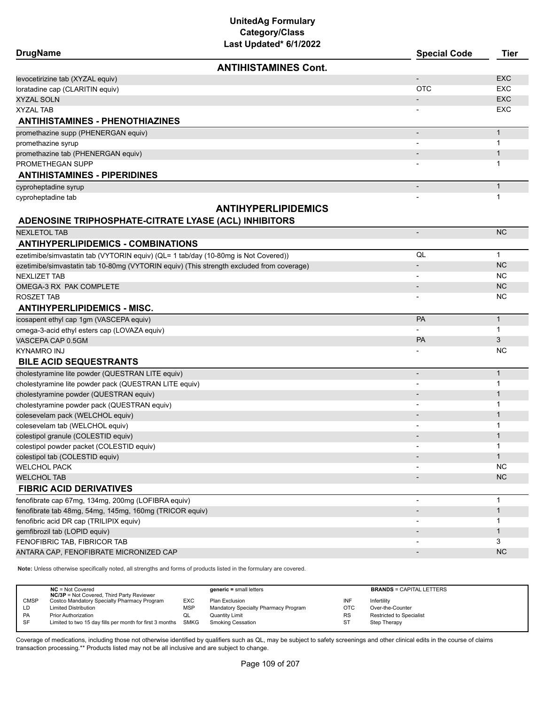# **UnitedAg Formulary Category/Class**

| Last Updated* 6/1/2022                                                                   |                              |              |
|------------------------------------------------------------------------------------------|------------------------------|--------------|
| <b>DrugName</b>                                                                          | <b>Special Code</b>          | <b>Tier</b>  |
| <b>ANTIHISTAMINES Cont.</b>                                                              |                              |              |
| levocetirizine tab (XYZAL equiv)                                                         | $\overline{\phantom{m}}$     | <b>EXC</b>   |
| loratadine cap (CLARITIN equiv)                                                          | <b>OTC</b>                   | <b>EXC</b>   |
| <b>XYZAL SOLN</b>                                                                        |                              | <b>EXC</b>   |
| <b>XYZAL TAB</b>                                                                         |                              | EXC          |
| <b>ANTIHISTAMINES - PHENOTHIAZINES</b>                                                   |                              |              |
| promethazine supp (PHENERGAN equiv)                                                      | $\overline{\phantom{a}}$     | $\mathbf{1}$ |
| promethazine syrup                                                                       |                              | $\mathbf 1$  |
| promethazine tab (PHENERGAN equiv)                                                       |                              | 1            |
| PROMETHEGAN SUPP                                                                         |                              | 1            |
| <b>ANTIHISTAMINES - PIPERIDINES</b>                                                      |                              |              |
| cyproheptadine syrup                                                                     | $\overline{\phantom{a}}$     | $\mathbf{1}$ |
| cyproheptadine tab                                                                       |                              | $\mathbf{1}$ |
| <b>ANTIHYPERLIPIDEMICS</b>                                                               |                              |              |
| ADENOSINE TRIPHOSPHATE-CITRATE LYASE (ACL) INHIBITORS                                    |                              |              |
| <b>NEXLETOL TAB</b>                                                                      | $\overline{\phantom{m}}$     | <b>NC</b>    |
| <b>ANTIHYPERLIPIDEMICS - COMBINATIONS</b>                                                |                              |              |
| ezetimibe/simvastatin tab (VYTORIN equiv) (QL= 1 tab/day (10-80mg is Not Covered))       | QL                           | $\mathbf{1}$ |
| ezetimibe/simvastatin tab 10-80mg (VYTORIN equiv) (This strength excluded from coverage) | -                            | <b>NC</b>    |
| <b>NEXLIZET TAB</b>                                                                      |                              | NC.          |
| OMEGA-3 RX PAK COMPLETE                                                                  | $\overline{\phantom{a}}$     | <b>NC</b>    |
|                                                                                          |                              | NC.          |
| ROSZET TAB<br><b>ANTIHYPERLIPIDEMICS - MISC.</b>                                         | $\overline{\phantom{0}}$     |              |
|                                                                                          | PA                           | $\mathbf{1}$ |
| icosapent ethyl cap 1gm (VASCEPA equiv)<br>omega-3-acid ethyl esters cap (LOVAZA equiv)  | $\overline{\phantom{a}}$     | $\mathbf{1}$ |
| VASCEPA CAP 0.5GM                                                                        | <b>PA</b>                    | 3            |
| <b>KYNAMRO INJ</b>                                                                       |                              | NC.          |
| <b>BILE ACID SEQUESTRANTS</b>                                                            |                              |              |
| cholestyramine lite powder (QUESTRAN LITE equiv)                                         | $\qquad \qquad \blacksquare$ | $\mathbf{1}$ |
| cholestyramine lite powder pack (QUESTRAN LITE equiv)                                    | $\overline{a}$               | $\mathbf{1}$ |
| cholestyramine powder (QUESTRAN equiv)                                                   |                              | 1            |
| cholestyramine powder pack (QUESTRAN equiv)                                              |                              | $\mathbf 1$  |
| colesevelam pack (WELCHOL equiv)                                                         |                              | 1            |
| colesevelam tab (WELCHOL equiv)                                                          |                              | 1            |
| colestipol granule (COLESTID equiv)                                                      |                              | $\mathbf{1}$ |
| colestipol powder packet (COLESTID equiv)                                                | $\overline{\phantom{a}}$     | $\mathbf{1}$ |
| colestipol tab (COLESTID equiv)                                                          |                              | $\mathbf{1}$ |
| <b>WELCHOL PACK</b>                                                                      |                              | <b>NC</b>    |
| <b>WELCHOL TAB</b>                                                                       |                              | NC           |
| <b>FIBRIC ACID DERIVATIVES</b>                                                           |                              |              |
|                                                                                          |                              | $\mathbf{1}$ |
| fenofibrate cap 67mg, 134mg, 200mg (LOFIBRA equiv)                                       |                              |              |
| fenofibrate tab 48mg, 54mg, 145mg, 160mg (TRICOR equiv)                                  |                              | $\mathbf{1}$ |
| fenofibric acid DR cap (TRILIPIX equiv)                                                  |                              | 1            |
| gemfibrozil tab (LOPID equiv)                                                            |                              | $\mathbf{1}$ |
| FENOFIBRIC TAB, FIBRICOR TAB                                                             |                              | 3            |
| ANTARA CAP, FENOFIBRATE MICRONIZED CAP                                                   |                              | <b>NC</b>    |

**Note:** Unless otherwise specifically noted, all strengths and forms of products listed in the formulary are covered.

|             | $NC = Not Covered$<br><b>NC/3P</b> = Not Covered, Third Party Reviewer |            | $generic = small letters$            |            | <b>BRANDS = CAPITAL LETTERS</b> |
|-------------|------------------------------------------------------------------------|------------|--------------------------------------|------------|---------------------------------|
| <b>CMSP</b> | Costco Mandatory Specialty Pharmacy Program                            | EXC        | Plan Exclusion                       | INF        | Infertility                     |
| LD          | <b>Limited Distribution</b>                                            | <b>MSP</b> | Mandatory Specialty Pharmacy Program | <b>OTC</b> | Over-the-Counter                |
| <b>PA</b>   | <b>Prior Authorization</b>                                             | QL         | Quantity Limit                       | <b>RS</b>  | <b>Restricted to Specialist</b> |
| SF          | Limited to two 15 day fills per month for first 3 months SMKG          |            | <b>Smoking Cessation</b>             | ST         | Step Therapy                    |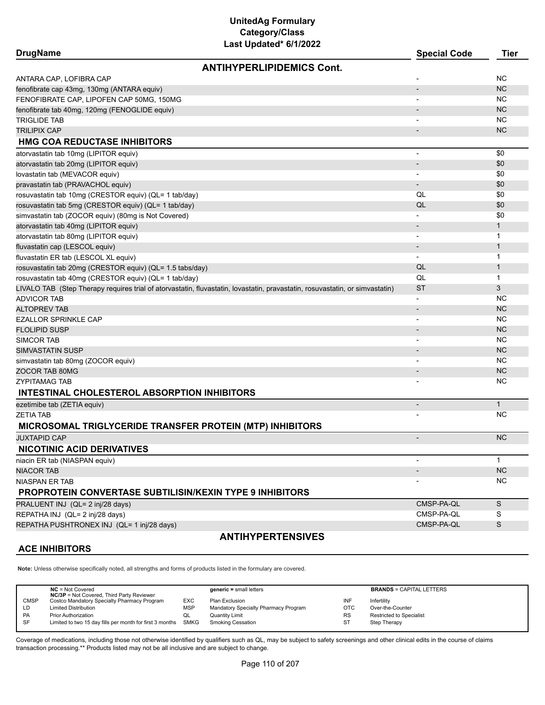| <b>DrugName</b>                                                                                                              | <b>Special Code</b>          | <b>Tier</b>  |
|------------------------------------------------------------------------------------------------------------------------------|------------------------------|--------------|
| <b>ANTIHYPERLIPIDEMICS Cont.</b>                                                                                             |                              |              |
| ANTARA CAP, LOFIBRA CAP                                                                                                      |                              | <b>NC</b>    |
| fenofibrate cap 43mg, 130mg (ANTARA equiv)                                                                                   |                              | <b>NC</b>    |
| FENOFIBRATE CAP, LIPOFEN CAP 50MG, 150MG                                                                                     | $\blacksquare$               | NC.          |
| fenofibrate tab 40mg, 120mg (FENOGLIDE equiv)                                                                                |                              | <b>NC</b>    |
| <b>TRIGLIDE TAB</b>                                                                                                          |                              | NC.          |
| <b>TRILIPIX CAP</b>                                                                                                          |                              | <b>NC</b>    |
| <b>HMG COA REDUCTASE INHIBITORS</b>                                                                                          |                              |              |
| atorvastatin tab 10mg (LIPITOR equiv)                                                                                        | ٠                            | \$0          |
| atorvastatin tab 20mg (LIPITOR equiv)                                                                                        | $\overline{\phantom{m}}$     | \$0          |
| lovastatin tab (MEVACOR equiv)                                                                                               | $\overline{\phantom{a}}$     | \$0          |
| pravastatin tab (PRAVACHOL equiv)                                                                                            | $\overline{\phantom{0}}$     | \$0          |
| rosuvastatin tab 10mg (CRESTOR equiv) (QL= 1 tab/day)                                                                        | QL                           | \$0          |
| rosuvastatin tab 5mg (CRESTOR equiv) (QL= 1 tab/day)                                                                         | QL                           | \$0          |
| simvastatin tab (ZOCOR equiv) (80mg is Not Covered)                                                                          |                              | \$0          |
| atorvastatin tab 40mg (LIPITOR equiv)                                                                                        |                              | $\mathbf{1}$ |
| atorvastatin tab 80mg (LIPITOR equiv)                                                                                        |                              | $\mathbf{1}$ |
| fluvastatin cap (LESCOL equiv)                                                                                               |                              | $\mathbf{1}$ |
| fluvastatin ER tab (LESCOL XL equiv)                                                                                         |                              | $\mathbf{1}$ |
| rosuvastatin tab 20mg (CRESTOR equiv) (QL= 1.5 tabs/day)                                                                     | QL                           | $\mathbf 1$  |
| rosuvastatin tab 40mg (CRESTOR equiv) (QL= 1 tab/day)                                                                        | QL                           | $\mathbf{1}$ |
| LIVALO TAB (Step Therapy requires trial of atorvastatin, fluvastatin, lovastatin, pravastatin, rosuvastatin, or simvastatin) | <b>ST</b>                    | 3            |
| <b>ADVICOR TAB</b>                                                                                                           | $\overline{\phantom{a}}$     | <b>NC</b>    |
| <b>ALTOPREV TAB</b>                                                                                                          |                              | <b>NC</b>    |
| <b>EZALLOR SPRINKLE CAP</b>                                                                                                  |                              | NC.          |
| <b>FLOLIPID SUSP</b>                                                                                                         |                              | <b>NC</b>    |
| <b>SIMCOR TAB</b>                                                                                                            | $\blacksquare$               | <b>NC</b>    |
| <b>SIMVASTATIN SUSP</b>                                                                                                      | $\overline{\phantom{a}}$     | <b>NC</b>    |
| simvastatin tab 80mg (ZOCOR equiv)                                                                                           |                              | <b>NC</b>    |
| ZOCOR TAB 80MG                                                                                                               | $\overline{\phantom{a}}$     | <b>NC</b>    |
| <b>ZYPITAMAG TAB</b>                                                                                                         |                              | NC.          |
| INTESTINAL CHOLESTEROL ABSORPTION INHIBITORS                                                                                 |                              |              |
| ezetimibe tab (ZETIA equiv)                                                                                                  | $\qquad \qquad \blacksquare$ | $\mathbf{1}$ |
| <b>ZETIA TAB</b>                                                                                                             |                              | NC.          |
| MICROSOMAL TRIGLYCERIDE TRANSFER PROTEIN (MTP) INHIBITORS                                                                    |                              |              |
| <b>JUXTAPID CAP</b>                                                                                                          | $\overline{\phantom{a}}$     | <b>NC</b>    |
| <b>NICOTINIC ACID DERIVATIVES</b>                                                                                            |                              |              |
| niacin ER tab (NIASPAN equiv)                                                                                                |                              | $\mathbf{1}$ |
| <b>NIACOR TAB</b>                                                                                                            |                              | NC           |
| NIASPAN ER TAB                                                                                                               |                              | <b>NC</b>    |
| <b>PROPROTEIN CONVERTASE SUBTILISIN/KEXIN TYPE 9 INHIBITORS</b>                                                              |                              |              |
| PRALUENT INJ (QL= 2 inj/28 days)                                                                                             | CMSP-PA-QL                   | S            |
| REPATHA INJ (QL= 2 inj/28 days)                                                                                              | CMSP-PA-QL                   | S            |
| REPATHA PUSHTRONEX INJ (QL= 1 inj/28 days)                                                                                   | CMSP-PA-QL                   | S            |
| <b>ANTIHYPERTENSIVES</b>                                                                                                     |                              |              |

# **ACE INHIBITORS**

**Note:** Unless otherwise specifically noted, all strengths and forms of products listed in the formulary are covered.

|             | $NC = Not Covered$                                                                              |            | $generic = small letters$            |            | <b>BRANDS = CAPITAL LETTERS</b> |
|-------------|-------------------------------------------------------------------------------------------------|------------|--------------------------------------|------------|---------------------------------|
| <b>CMSP</b> | <b>NC/3P</b> = Not Covered, Third Party Reviewer<br>Costco Mandatory Specialty Pharmacy Program | EXC        | Plan Exclusion                       | INF        | Infertility                     |
| ∟D.         | <b>Limited Distribution</b>                                                                     | <b>MSP</b> | Mandatory Specialty Pharmacy Program | <b>OTC</b> | Over-the-Counter                |
| <b>PA</b>   | <b>Prior Authorization</b>                                                                      | QL         | Quantity Limit                       | <b>RS</b>  | Restricted to Specialist        |
| SF          | Limited to two 15 day fills per month for first 3 months SMKG                                   |            | Smoking Cessation                    | ST         | Step Therapy                    |
|             |                                                                                                 |            |                                      |            |                                 |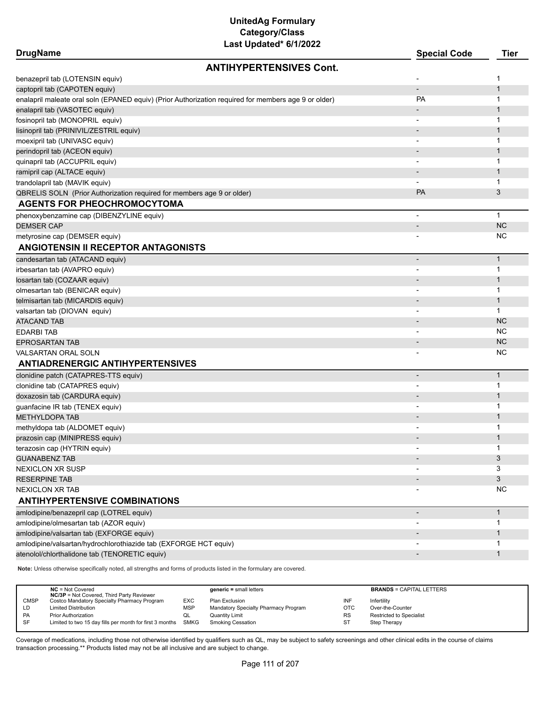| <b>DrugName</b>                                                        | <b>Special Code</b>                                                                                  | <b>Tier</b>              |                |
|------------------------------------------------------------------------|------------------------------------------------------------------------------------------------------|--------------------------|----------------|
|                                                                        | <b>ANTIHYPERTENSIVES Cont.</b>                                                                       |                          |                |
| benazepril tab (LOTENSIN equiv)                                        |                                                                                                      |                          | 1              |
| captopril tab (CAPOTEN equiv)                                          |                                                                                                      | $\overline{\phantom{a}}$ | $\mathbf{1}$   |
|                                                                        | enalapril maleate oral soln (EPANED equiv) (Prior Authorization required for members age 9 or older) | <b>PA</b>                | 1              |
| enalapril tab (VASOTEC equiv)                                          |                                                                                                      |                          | $\mathbf{1}$   |
| fosinopril tab (MONOPRIL equiv)                                        |                                                                                                      | $\overline{\phantom{a}}$ | 1              |
| lisinopril tab (PRINIVIL/ZESTRIL equiv)                                |                                                                                                      |                          | $\mathbf 1$    |
| moexipril tab (UNIVASC equiv)                                          |                                                                                                      | $\overline{\phantom{a}}$ | 1              |
| perindopril tab (ACEON equiv)                                          |                                                                                                      | $\overline{\phantom{a}}$ | $\mathbf{1}$   |
| quinapril tab (ACCUPRIL equiv)                                         |                                                                                                      |                          | 1              |
| ramipril cap (ALTACE equiv)                                            |                                                                                                      |                          | $\mathbf 1$    |
| trandolapril tab (MAVIK equiv)                                         |                                                                                                      |                          | 1              |
| QBRELIS SOLN (Prior Authorization required for members age 9 or older) |                                                                                                      | <b>PA</b>                | 3              |
| <b>AGENTS FOR PHEOCHROMOCYTOMA</b>                                     |                                                                                                      |                          |                |
| phenoxybenzamine cap (DIBENZYLINE equiv)                               |                                                                                                      | $\overline{\phantom{a}}$ | $\mathbf{1}$   |
| <b>DEMSER CAP</b>                                                      |                                                                                                      | $\overline{\phantom{a}}$ | <b>NC</b>      |
| metyrosine cap (DEMSER equiv)                                          |                                                                                                      |                          | <b>NC</b>      |
| ANGIOTENSIN II RECEPTOR ANTAGONISTS                                    |                                                                                                      |                          |                |
| candesartan tab (ATACAND equiv)                                        |                                                                                                      |                          | $\mathbf{1}$   |
| irbesartan tab (AVAPRO equiv)                                          |                                                                                                      | $\overline{\phantom{a}}$ | $\mathbf 1$    |
| losartan tab (COZAAR equiv)                                            |                                                                                                      |                          | $\mathbf 1$    |
| olmesartan tab (BENICAR equiv)                                         |                                                                                                      |                          | 1              |
| telmisartan tab (MICARDIS equiv)                                       |                                                                                                      | $\overline{\phantom{0}}$ | $\mathbf{1}$   |
| valsartan tab (DIOVAN equiv)                                           |                                                                                                      |                          | 1              |
| <b>ATACAND TAB</b>                                                     |                                                                                                      |                          | <b>NC</b>      |
| <b>EDARBITAB</b>                                                       |                                                                                                      |                          | <b>NC</b>      |
| <b>EPROSARTAN TAB</b>                                                  |                                                                                                      | $\overline{\phantom{a}}$ | <b>NC</b>      |
| VALSARTAN ORAL SOLN                                                    |                                                                                                      |                          | <b>NC</b>      |
| <b>ANTIADRENERGIC ANTIHYPERTENSIVES</b>                                |                                                                                                      |                          |                |
| clonidine patch (CATAPRES-TTS equiv)                                   |                                                                                                      | $\overline{\phantom{a}}$ | $\mathbf{1}$   |
| clonidine tab (CATAPRES equiv)                                         |                                                                                                      |                          | 1              |
| doxazosin tab (CARDURA equiv)                                          |                                                                                                      |                          | $\mathbf 1$    |
| guanfacine IR tab (TENEX equiv)                                        |                                                                                                      |                          | 1              |
| <b>METHYLDOPA TAB</b>                                                  |                                                                                                      | $\overline{\phantom{a}}$ | $\mathbf{1}$   |
| methyldopa tab (ALDOMET equiv)                                         |                                                                                                      |                          | 1              |
| prazosin cap (MINIPRESS equiv)                                         |                                                                                                      |                          | 1              |
| terazosin cap (HYTRIN equiv)                                           |                                                                                                      |                          | 1              |
| <b>GUANABENZ TAB</b>                                                   |                                                                                                      |                          | 3              |
| <b>NEXICLON XR SUSP</b>                                                |                                                                                                      |                          | 3              |
| <b>RESERPINE TAB</b>                                                   |                                                                                                      |                          | $\mathfrak{S}$ |
| NEXICLON XR TAB                                                        |                                                                                                      |                          | <b>NC</b>      |
| <b>ANTIHYPERTENSIVE COMBINATIONS</b>                                   |                                                                                                      |                          |                |
| amlodipine/benazepril cap (LOTREL equiv)                               |                                                                                                      | $\overline{\phantom{a}}$ | $\mathbf{1}$   |
| amlodipine/olmesartan tab (AZOR equiv)                                 |                                                                                                      |                          | 1              |
| amlodipine/valsartan tab (EXFORGE equiv)                               |                                                                                                      |                          | $\mathbf{1}$   |
| amlodipine/valsartan/hydrochlorothiazide tab (EXFORGE HCT equiv)       |                                                                                                      |                          | 1              |
| atenolol/chlorthalidone tab (TENORETIC equiv)                          |                                                                                                      |                          | $\mathbf{1}$   |
|                                                                        |                                                                                                      |                          |                |

**Note:** Unless otherwise specifically noted, all strengths and forms of products listed in the formulary are covered.

|             | $NC = Not Covered$<br><b>NC/3P</b> = Not Covered, Third Party Reviewer |            | $generic = small letters$            |            | <b>BRANDS = CAPITAL LETTERS</b> |
|-------------|------------------------------------------------------------------------|------------|--------------------------------------|------------|---------------------------------|
| <b>CMSP</b> | Costco Mandatory Specialty Pharmacy Program                            | <b>EXC</b> | Plan Exclusion                       | INF        | Infertility                     |
| LD          | <b>Limited Distribution</b>                                            | <b>MSP</b> | Mandatory Specialty Pharmacy Program | <b>OTC</b> | Over-the-Counter                |
| PA          | <b>Prior Authorization</b>                                             |            | Quantity Limit                       | <b>RS</b>  | Restricted to Specialist        |
| SF          | Limited to two 15 day fills per month for first 3 months               | SMKG       | Smoking Cessation                    | ST         | Step Therapy                    |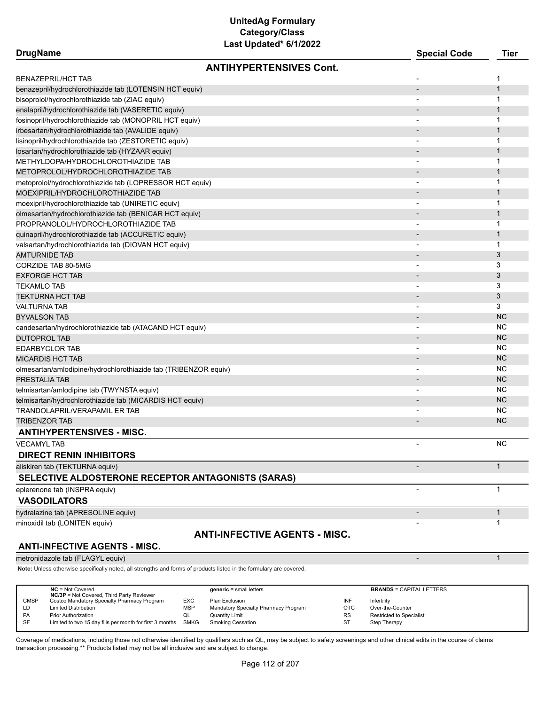| <b>DrugName</b>                                                                  | Last updated 6/1/2022                | <b>Special Code</b>      | Tier                   |
|----------------------------------------------------------------------------------|--------------------------------------|--------------------------|------------------------|
|                                                                                  | <b>ANTIHYPERTENSIVES Cont.</b>       |                          |                        |
| <b>BENAZEPRIL/HCT TAB</b>                                                        |                                      |                          | 1                      |
| benazepril/hydrochlorothiazide tab (LOTENSIN HCT equiv)                          |                                      |                          | $\mathbf 1$            |
| bisoprolol/hydrochlorothiazide tab (ZIAC equiv)                                  |                                      |                          | 1                      |
| enalapril/hydrochlorothiazide tab (VASERETIC equiv)                              |                                      |                          | $\mathbf{1}$           |
| fosinopril/hydrochlorothiazide tab (MONOPRIL HCT equiv)                          |                                      | $\overline{\phantom{a}}$ | 1                      |
| irbesartan/hydrochlorothiazide tab (AVALIDE equiv)                               |                                      |                          | $\mathbf 1$            |
| lisinopril/hydrochlorothiazide tab (ZESTORETIC equiv)                            |                                      |                          | 1                      |
| losartan/hydrochlorothiazide tab (HYZAAR equiv)                                  |                                      |                          | $\mathbf 1$            |
| METHYLDOPA/HYDROCHLOROTHIAZIDE TAB                                               |                                      |                          | 1                      |
| METOPROLOL/HYDROCHLOROTHIAZIDE TAB                                               |                                      |                          | $\mathbf{1}$           |
| metoprolol/hydrochlorothiazide tab (LOPRESSOR HCT equiv)                         |                                      |                          | 1                      |
| MOEXIPRIL/HYDROCHLOROTHIAZIDE TAB                                                |                                      |                          | $\mathbf{1}$           |
| moexipril/hydrochlorothiazide tab (UNIRETIC equiv)                               |                                      | $\overline{\phantom{a}}$ | 1                      |
| olmesartan/hydrochlorothiazide tab (BENICAR HCT equiv)                           |                                      |                          | $\mathbf 1$            |
| PROPRANOLOL/HYDROCHLOROTHIAZIDE TAB                                              |                                      |                          | 1                      |
| quinapril/hydrochlorothiazide tab (ACCURETIC equiv)                              |                                      |                          | $\mathbf 1$            |
| valsartan/hydrochlorothiazide tab (DIOVAN HCT equiv)                             |                                      |                          | 1                      |
| <b>AMTURNIDE TAB</b>                                                             |                                      |                          | 3                      |
| CORZIDE TAB 80-5MG                                                               |                                      |                          | 3                      |
| <b>EXFORGE HCT TAB</b>                                                           |                                      |                          | 3                      |
| <b>TEKAMLO TAB</b>                                                               |                                      |                          | 3                      |
| TEKTURNA HCT TAB                                                                 |                                      |                          | 3                      |
| VALTURNA TAB                                                                     |                                      |                          | 3                      |
| <b>BYVALSON TAB</b>                                                              |                                      |                          | <b>NC</b>              |
| candesartan/hydrochlorothiazide tab (ATACAND HCT equiv)                          |                                      |                          | <b>NC</b><br><b>NC</b> |
| <b>DUTOPROL TAB</b>                                                              |                                      |                          | <b>NC</b>              |
| <b>EDARBYCLOR TAB</b>                                                            |                                      |                          | <b>NC</b>              |
| <b>MICARDIS HCT TAB</b>                                                          |                                      |                          | <b>NC</b>              |
| olmesartan/amlodipine/hydrochlorothiazide tab (TRIBENZOR equiv)<br>PRESTALIA TAB |                                      |                          | <b>NC</b>              |
| telmisartan/amlodipine tab (TWYNSTA equiv)                                       |                                      |                          | NC.                    |
| telmisartan/hydrochlorothiazide tab (MICARDIS HCT equiv)                         |                                      |                          | <b>NC</b>              |
| TRANDOLAPRIL/VERAPAMIL ER TAB                                                    |                                      |                          | <b>NC</b>              |
| <b>TRIBENZOR TAB</b>                                                             |                                      |                          | <b>NC</b>              |
| <b>ANTIHYPERTENSIVES - MISC.</b>                                                 |                                      |                          |                        |
| <b>VECAMYL TAB</b>                                                               |                                      |                          | <b>NC</b>              |
| <b>DIRECT RENIN INHIBITORS</b>                                                   |                                      |                          |                        |
| aliskiren tab (TEKTURNA equiv)                                                   |                                      | $\overline{\phantom{a}}$ | $\mathbf{1}$           |
| SELECTIVE ALDOSTERONE RECEPTOR ANTAGONISTS (SARAS)                               |                                      |                          |                        |
| eplerenone tab (INSPRA equiv)                                                    |                                      | $\overline{\phantom{a}}$ | $\mathbf{1}$           |
| <b>VASODILATORS</b>                                                              |                                      |                          |                        |
|                                                                                  |                                      |                          | $\mathbf{1}$           |
| hydralazine tab (APRESOLINE equiv)                                               |                                      |                          | 1                      |
| minoxidil tab (LONITEN equiv)                                                    |                                      |                          |                        |
| <b>ANTI-INFECTIVE AGENTS - MISC.</b>                                             | <b>ANTI-INFECTIVE AGENTS - MISC.</b> |                          |                        |

metronidazole tab (FLAGYL equiv) and the control of the control of the control of the control of the control of the control of the control of the control of the control of the control of the control of the control of the c

**Note:** Unless otherwise specifically noted, all strengths and forms of products listed in the formulary are covered.

|             | $NC = Not Covered$<br><b>NC/3P</b> = Not Covered, Third Party Reviewer |            | $generic = small letters$            |           | <b>BRANDS = CAPITAL LETTERS</b> |
|-------------|------------------------------------------------------------------------|------------|--------------------------------------|-----------|---------------------------------|
| <b>CMSP</b> | Costco Mandatory Specialty Pharmacy Program                            | <b>EXC</b> | Plan Exclusion                       | INF       | Infertility                     |
| LD          | <b>Limited Distribution</b>                                            | MSP        | Mandatory Specialty Pharmacy Program | OTC       | Over-the-Counter                |
| PA          | <b>Prior Authorization</b>                                             | QL         | <b>Quantity Limit</b>                | <b>RS</b> | <b>Restricted to Specialist</b> |
| SF          | Limited to two 15 day fills per month for first 3 months SMKG          |            | Smoking Cessation                    | <b>ST</b> | Step Therapy                    |
|             |                                                                        |            |                                      |           |                                 |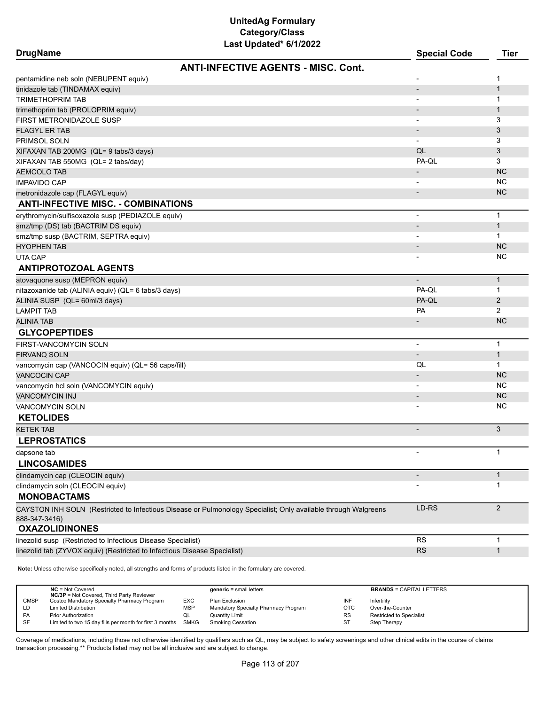| <b>DrugName</b> |  |
|-----------------|--|
|-----------------|--|

| <b>DrugName</b>                                                                                                                 | <b>Special Code</b>          | <b>Tier</b>    |
|---------------------------------------------------------------------------------------------------------------------------------|------------------------------|----------------|
| <b>ANTI-INFECTIVE AGENTS - MISC, Cont.</b>                                                                                      |                              |                |
| pentamidine neb soln (NEBUPENT equiv)                                                                                           |                              | 1              |
| tinidazole tab (TINDAMAX equiv)                                                                                                 | $\overline{\phantom{0}}$     | $\mathbf{1}$   |
| <b>TRIMETHOPRIM TAB</b>                                                                                                         | $\overline{\phantom{a}}$     | $\mathbf{1}$   |
| trimethoprim tab (PROLOPRIM equiv)                                                                                              |                              | $\mathbf{1}$   |
| FIRST METRONIDAZOLE SUSP                                                                                                        | $\qquad \qquad \blacksquare$ | 3              |
| <b>FLAGYL ER TAB</b>                                                                                                            |                              | 3              |
| PRIMSOL SOLN                                                                                                                    | $\blacksquare$               | 3              |
| XIFAXAN TAB 200MG (QL= 9 tabs/3 days)                                                                                           | QL                           | 3              |
| XIFAXAN TAB 550MG (QL= 2 tabs/day)                                                                                              | PA-QL                        | 3              |
| <b>AEMCOLO TAB</b>                                                                                                              |                              | <b>NC</b>      |
| <b>IMPAVIDO CAP</b>                                                                                                             |                              | <b>NC</b>      |
| metronidazole cap (FLAGYL equiv)                                                                                                |                              | <b>NC</b>      |
| <b>ANTI-INFECTIVE MISC. - COMBINATIONS</b>                                                                                      |                              |                |
| erythromycin/sulfisoxazole susp (PEDIAZOLE equiv)                                                                               | $\overline{a}$               | $\mathbf{1}$   |
| smz/tmp (DS) tab (BACTRIM DS equiv)                                                                                             |                              | $\mathbf{1}$   |
| smz/tmp susp (BACTRIM, SEPTRA equiv)                                                                                            |                              | $\mathbf{1}$   |
| <b>HYOPHEN TAB</b>                                                                                                              |                              | <b>NC</b>      |
| UTA CAP                                                                                                                         |                              | <b>NC</b>      |
| <b>ANTIPROTOZOAL AGENTS</b>                                                                                                     |                              |                |
| atovaquone susp (MEPRON equiv)                                                                                                  |                              | $\mathbf{1}$   |
| nitazoxanide tab (ALINIA equiv) (QL= 6 tabs/3 days)                                                                             | PA-QL                        | $\mathbf{1}$   |
| ALINIA SUSP (QL= 60ml/3 days)                                                                                                   | PA-QL                        | 2              |
| <b>LAMPIT TAB</b>                                                                                                               | PA                           | $\overline{2}$ |
| <b>ALINIA TAB</b>                                                                                                               |                              | <b>NC</b>      |
| <b>GLYCOPEPTIDES</b>                                                                                                            |                              |                |
| <b>FIRST-VANCOMYCIN SOLN</b>                                                                                                    | $\blacksquare$               | $\mathbf{1}$   |
| <b>FIRVANQ SOLN</b>                                                                                                             |                              | $\mathbf{1}$   |
| vancomycin cap (VANCOCIN equiv) (QL= 56 caps/fill)                                                                              | QL                           | $\mathbf{1}$   |
| <b>VANCOCIN CAP</b>                                                                                                             |                              | <b>NC</b>      |
| vancomycin hcl soln (VANCOMYCIN equiv)                                                                                          |                              | <b>NC</b>      |
| <b>VANCOMYCIN INJ</b>                                                                                                           |                              | <b>NC</b>      |
| VANCOMYCIN SOLN                                                                                                                 |                              | <b>NC</b>      |
| <b>KETOLIDES</b>                                                                                                                |                              |                |
| <b>KETEK TAB</b>                                                                                                                | $\overline{\phantom{m}}$     | 3              |
| <b>LEPROSTATICS</b>                                                                                                             |                              |                |
| dapsone tab                                                                                                                     | $\overline{\phantom{a}}$     | 1              |
| <b>LINCOSAMIDES</b>                                                                                                             |                              |                |
| clindamycin cap (CLEOCIN equiv)                                                                                                 | $\overline{\phantom{a}}$     | $\mathbf{1}$   |
| clindamycin soln (CLEOCIN equiv)                                                                                                |                              | 1              |
| <b>MONOBACTAMS</b>                                                                                                              |                              |                |
|                                                                                                                                 | LD-RS                        | 2              |
| CAYSTON INH SOLN (Restricted to Infectious Disease or Pulmonology Specialist; Only available through Walgreens<br>888-347-3416) |                              |                |
| <b>OXAZOLIDINONES</b>                                                                                                           |                              |                |
| linezolid susp (Restricted to Infectious Disease Specialist)                                                                    | <b>RS</b>                    | $\mathbf{1}$   |
| linezolid tab (ZYVOX equiv) (Restricted to Infectious Disease Specialist)                                                       | <b>RS</b>                    | $\mathbf{1}$   |
|                                                                                                                                 |                              |                |

**Note:** Unless otherwise specifically noted, all strengths and forms of products listed in the formulary are covered.

|             | $NC = Not Covered$<br><b>NC/3P</b> = Not Covered, Third Party Reviewer |            | $generic = small letters$            |            | <b>BRANDS = CAPITAL LETTERS</b> |
|-------------|------------------------------------------------------------------------|------------|--------------------------------------|------------|---------------------------------|
| <b>CMSP</b> | Costco Mandatory Specialty Pharmacy Program                            | EXC        | Plan Exclusion                       | INF        | Infertility                     |
| LD.         | <b>Limited Distribution</b>                                            | <b>MSP</b> | Mandatory Specialty Pharmacy Program | <b>OTC</b> | Over-the-Counter                |
| PA          | <b>Prior Authorization</b>                                             | QL         | <b>Quantity Limit</b>                | <b>RS</b>  | Restricted to Specialist        |
| SF          | Limited to two 15 day fills per month for first 3 months SMKG          |            | <b>Smoking Cessation</b>             | ST         | Step Therapy                    |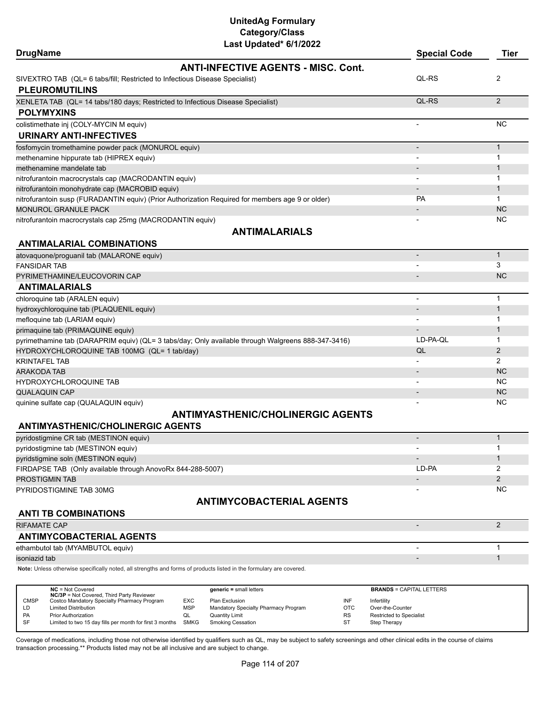# **UnitedAg Formulary Category/Class**

| Last Updated* 6/1/2022                                                                             |                          |                |
|----------------------------------------------------------------------------------------------------|--------------------------|----------------|
| <b>DrugName</b>                                                                                    | <b>Special Code</b>      | Tier           |
| <b>ANTI-INFECTIVE AGENTS - MISC. Cont.</b>                                                         |                          |                |
| SIVEXTRO TAB (QL= 6 tabs/fill; Restricted to Infectious Disease Specialist)                        | QL-RS                    | 2              |
| <b>PLEUROMUTILINS</b>                                                                              |                          |                |
| XENLETA TAB (QL= 14 tabs/180 days; Restricted to Infectious Disease Specialist)                    | QL-RS                    | $\overline{2}$ |
| <b>POLYMYXINS</b>                                                                                  |                          |                |
| colistimethate inj (COLY-MYCIN M equiv)                                                            |                          | <b>NC</b>      |
| <b>URINARY ANTI-INFECTIVES</b>                                                                     |                          |                |
| fosfomycin tromethamine powder pack (MONUROL equiv)                                                | $\overline{\phantom{a}}$ | $\mathbf{1}$   |
| methenamine hippurate tab (HIPREX equiv)                                                           | $\overline{\phantom{a}}$ | 1              |
| methenamine mandelate tab                                                                          |                          | 1              |
| nitrofurantoin macrocrystals cap (MACRODANTIN equiv)                                               |                          | 1              |
| nitrofurantoin monohydrate cap (MACROBID equiv)                                                    |                          | $\mathbf{1}$   |
| nitrofurantoin susp (FURADANTIN equiv) (Prior Authorization Required for members age 9 or older)   | <b>PA</b>                | $\mathbf{1}$   |
| <b>MONUROL GRANULE PACK</b>                                                                        |                          | <b>NC</b>      |
| nitrofurantoin macrocrystals cap 25mg (MACRODANTIN equiv)                                          |                          | ΝC             |
| <b>ANTIMALARIALS</b>                                                                               |                          |                |
| <b>ANTIMALARIAL COMBINATIONS</b>                                                                   |                          |                |
| atovaquone/proguanil tab (MALARONE equiv)                                                          | $\overline{\phantom{a}}$ | $\mathbf{1}$   |
| <b>FANSIDAR TAB</b>                                                                                |                          | 3              |
| PYRIMETHAMINE/LEUCOVORIN CAP                                                                       |                          | <b>NC</b>      |
| <b>ANTIMALARIALS</b>                                                                               |                          |                |
| chloroquine tab (ARALEN equiv)                                                                     | $\overline{\phantom{a}}$ | $\mathbf{1}$   |
| hydroxychloroquine tab (PLAQUENIL equiv)                                                           |                          | $\mathbf 1$    |
| mefloquine tab (LARIAM equiv)                                                                      |                          | 1              |
| primaquine tab (PRIMAQUINE equiv)                                                                  |                          | 1              |
| pyrimethamine tab (DARAPRIM equiv) (QL= 3 tabs/day; Only available through Walgreens 888-347-3416) | LD-PA-QL                 | $\mathbf{1}$   |
| HYDROXYCHLOROQUINE TAB 100MG (QL= 1 tab/day)                                                       | QL                       | $\overline{2}$ |
| <b>KRINTAFEL TAB</b>                                                                               |                          | $\overline{2}$ |
| <b>ARAKODA TAB</b>                                                                                 |                          | <b>NC</b>      |
| HYDROXYCHLOROQUINE TAB                                                                             |                          | NC.            |
| <b>QUALAQUIN CAP</b>                                                                               |                          | <b>NC</b>      |
| quinine sulfate cap (QUALAQUIN equiv)                                                              |                          | NC             |
| <b>ANTIMYASTHENIC/CHOLINERGIC AGENTS</b>                                                           |                          |                |
| <b>ANTIMYASTHENIC/CHOLINERGIC AGENTS</b>                                                           |                          |                |
| pyridostigmine CR tab (MESTINON equiv)                                                             |                          | $\mathbf{1}$   |
| pyridostigmine tab (MESTINON equiv)                                                                |                          | 1              |
| pyridstigmine soln (MESTINON equiv)                                                                |                          | $\mathbf{1}$   |
| FIRDAPSE TAB (Only available through AnovoRx 844-288-5007)                                         | LD-PA                    | 2              |
| PROSTIGMIN TAB                                                                                     |                          | $\overline{2}$ |
| PYRIDOSTIGMINE TAB 30MG                                                                            |                          | NC.            |
| <b>ANTIMYCOBACTERIAL AGENTS</b>                                                                    |                          |                |
| <b>ANTI TB COMBINATIONS</b>                                                                        |                          |                |
| RIFAMATE CAP                                                                                       |                          | $\overline{2}$ |
| <b>ANTIMYCOBACTERIAL AGENTS</b>                                                                    |                          |                |
| ethambutol tab (MYAMBUTOL equiv)                                                                   | $\overline{\phantom{a}}$ | 1              |

isoniazid tab - 1999 - 1999 - 1999 - 1999 - 1999 - 1999 - 1999 - 1999 - 1999 - 1999 - 1999 - 1999 - 1999 - 199

**Note:** Unless otherwise specifically noted, all strengths and forms of products listed in the formulary are covered.

|             | $NC = Not Covered$<br><b>NC/3P</b> = Not Covered, Third Party Reviewer |            | $generic = small letters$            |           | <b>BRANDS = CAPITAL LETTERS</b> |
|-------------|------------------------------------------------------------------------|------------|--------------------------------------|-----------|---------------------------------|
| <b>CMSP</b> | Costco Mandatory Specialty Pharmacy Program                            | EXC        | Plan Exclusion                       | INF       | Infertility                     |
| LD          | <b>Limited Distribution</b>                                            | <b>MSP</b> | Mandatory Specialty Pharmacy Program | OTC       | Over-the-Counter                |
| PA          | <b>Prior Authorization</b>                                             | QL         | <b>Quantity Limit</b>                | <b>RS</b> | Restricted to Specialist        |
| <b>SF</b>   | Limited to two 15 day fills per month for first 3 months SMKG          |            | <b>Smoking Cessation</b>             | ST        | Step Therapy                    |
|             |                                                                        |            |                                      |           |                                 |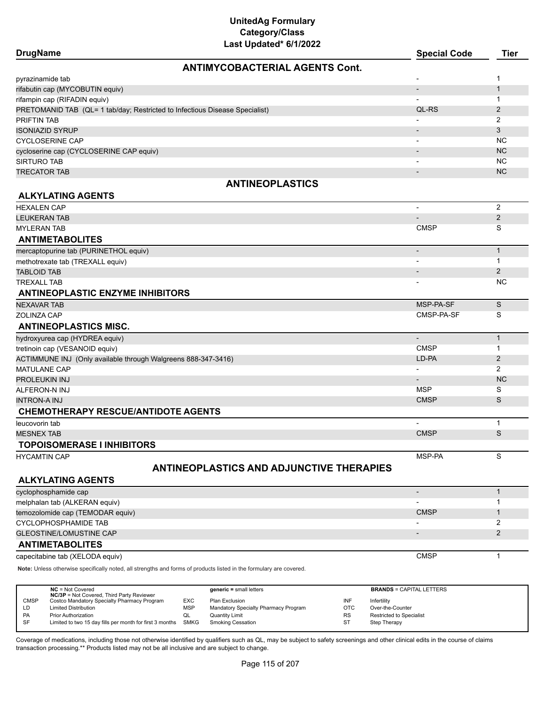| <b>ANTIMYCOBACTERIAL AGENTS Cont.</b><br>pyrazinamide tab<br>1<br>-<br>rifabutin cap (MYCOBUTIN equiv)<br>$\mathbf{1}$<br>$\qquad \qquad \blacksquare$<br>rifampin cap (RIFADIN equiv)<br>$\mathbf 1$<br>$\overline{a}$<br>PRETOMANID TAB (QL= 1 tab/day; Restricted to Infectious Disease Specialist)<br>QL-RS<br>$\overline{2}$<br>$\overline{2}$<br>$\overline{\phantom{a}}$<br>3<br>$\overline{\phantom{a}}$<br><b>NC</b><br><b>CYCLOSERINE CAP</b><br>$\overline{\phantom{a}}$<br><b>NC</b><br>cycloserine cap (CYCLOSERINE CAP equiv)<br><b>NC</b><br><b>SIRTURO TAB</b><br>$\overline{\phantom{a}}$<br><b>NC</b><br><b>TRECATOR TAB</b><br>$\qquad \qquad \blacksquare$<br><b>ANTINEOPLASTICS</b><br><b>ALKYLATING AGENTS</b><br>2<br><b>HEXALEN CAP</b><br>$\overline{\phantom{a}}$<br>$\overline{2}$<br><b>LEUKERAN TAB</b><br>S<br><b>CMSP</b><br><b>MYLERAN TAB</b><br><b>ANTIMETABOLITES</b><br>$\mathbf{1}$<br>mercaptopurine tab (PURINETHOL equiv)<br>$\overline{\phantom{a}}$<br>$\mathbf{1}$<br>methotrexate tab (TREXALL equiv)<br>2<br><b>TABLOID TAB</b><br>$\overline{\phantom{0}}$<br><b>TREXALL TAB</b><br><b>NC</b><br><b>ANTINEOPLASTIC ENZYME INHIBITORS</b><br>S<br>MSP-PA-SF<br><b>NEXAVAR TAB</b><br>S<br>CMSP-PA-SF<br>ZOLINZA CAP<br><b>ANTINEOPLASTICS MISC.</b><br>$\mathbf{1}$<br>hydroxyurea cap (HYDREA equiv)<br>$\overline{a}$<br><b>CMSP</b><br>tretinoin cap (VESANOID equiv)<br>1<br>$\overline{2}$<br>LD-PA<br>ACTIMMUNE INJ (Only available through Walgreens 888-347-3416)<br>$\overline{2}$<br><b>MATULANE CAP</b><br>$\overline{\phantom{0}}$<br><b>NC</b><br><b>PROLEUKIN INJ</b><br><b>MSP</b><br>S<br>ALFERON-N INJ<br><b>CMSP</b><br>S<br><b>INTRON-A INJ</b><br><b>CHEMOTHERAPY RESCUE/ANTIDOTE AGENTS</b><br>$\mathbf{1}$<br><b>CMSP</b><br>S<br><b>MESNEX TAB</b><br><b>TOPOISOMERASE I INHIBITORS</b><br>S<br>MSP-PA<br><b>HYCAMTIN CAP</b><br><b>ANTINEOPLASTICS AND ADJUNCTIVE THERAPIES</b><br><b>ALKYLATING AGENTS</b><br>$\mathbf{1}$<br>cyclophosphamide cap<br>$\overline{\phantom{0}}$<br>1<br>melphalan tab (ALKERAN equiv)<br><b>CMSP</b><br>temozolomide cap (TEMODAR equiv)<br>$\mathbf{1}$<br>$\overline{2}$<br><b>CYCLOPHOSPHAMIDE TAB</b><br>$\overline{2}$<br><b>GLEOSTINE/LOMUSTINE CAP</b><br>-<br><b>ANTIMETABOLITES</b><br><b>CMSP</b><br>$\mathbf{1}$<br>capecitabine tab (XELODA equiv)<br>Note: Unless otherwise specifically noted, all strengths and forms of products listed in the formulary are covered.<br>$NC = Not Covered$<br>$generic = small letters$<br><b>BRANDS = CAPITAL LETTERS</b><br>NC/3P = Not Covered, Third Party Reviewer<br>Costco Mandatory Specialty Pharmacy Program<br><b>CMSP</b><br>EXC<br>Plan Exclusion<br>INF<br>Infertility<br>LD<br><b>Limited Distribution</b><br><b>MSP</b><br>Mandatory Specialty Pharmacy Program<br><b>OTC</b><br>Over-the-Counter<br>PA<br><b>Prior Authorization</b><br>QL<br><b>Quantity Limit</b><br>RS<br>Restricted to Specialist<br>SF<br>Limited to two 15 day fills per month for first 3 months<br><b>SMKG</b><br><b>Smoking Cessation</b><br>ST<br>Step Therapy | <b>DrugName</b>        | Last updated" 6/1/2022 | <b>Special Code</b> | <b>Tier</b> |
|-----------------------------------------------------------------------------------------------------------------------------------------------------------------------------------------------------------------------------------------------------------------------------------------------------------------------------------------------------------------------------------------------------------------------------------------------------------------------------------------------------------------------------------------------------------------------------------------------------------------------------------------------------------------------------------------------------------------------------------------------------------------------------------------------------------------------------------------------------------------------------------------------------------------------------------------------------------------------------------------------------------------------------------------------------------------------------------------------------------------------------------------------------------------------------------------------------------------------------------------------------------------------------------------------------------------------------------------------------------------------------------------------------------------------------------------------------------------------------------------------------------------------------------------------------------------------------------------------------------------------------------------------------------------------------------------------------------------------------------------------------------------------------------------------------------------------------------------------------------------------------------------------------------------------------------------------------------------------------------------------------------------------------------------------------------------------------------------------------------------------------------------------------------------------------------------------------------------------------------------------------------------------------------------------------------------------------------------------------------------------------------------------------------------------------------------------------------------------------------------------------------------------------------------------------------------------------------------------------------------------------------------------------------------------------------------------------------------------------------------------------------------------------------------------------------------------------------------------------------------------------------------------------------------------------------------------------------------------------------------------------------------------------------------------------------------------------------------------------------------|------------------------|------------------------|---------------------|-------------|
|                                                                                                                                                                                                                                                                                                                                                                                                                                                                                                                                                                                                                                                                                                                                                                                                                                                                                                                                                                                                                                                                                                                                                                                                                                                                                                                                                                                                                                                                                                                                                                                                                                                                                                                                                                                                                                                                                                                                                                                                                                                                                                                                                                                                                                                                                                                                                                                                                                                                                                                                                                                                                                                                                                                                                                                                                                                                                                                                                                                                                                                                                                                 |                        |                        |                     |             |
|                                                                                                                                                                                                                                                                                                                                                                                                                                                                                                                                                                                                                                                                                                                                                                                                                                                                                                                                                                                                                                                                                                                                                                                                                                                                                                                                                                                                                                                                                                                                                                                                                                                                                                                                                                                                                                                                                                                                                                                                                                                                                                                                                                                                                                                                                                                                                                                                                                                                                                                                                                                                                                                                                                                                                                                                                                                                                                                                                                                                                                                                                                                 |                        |                        |                     |             |
|                                                                                                                                                                                                                                                                                                                                                                                                                                                                                                                                                                                                                                                                                                                                                                                                                                                                                                                                                                                                                                                                                                                                                                                                                                                                                                                                                                                                                                                                                                                                                                                                                                                                                                                                                                                                                                                                                                                                                                                                                                                                                                                                                                                                                                                                                                                                                                                                                                                                                                                                                                                                                                                                                                                                                                                                                                                                                                                                                                                                                                                                                                                 |                        |                        |                     |             |
|                                                                                                                                                                                                                                                                                                                                                                                                                                                                                                                                                                                                                                                                                                                                                                                                                                                                                                                                                                                                                                                                                                                                                                                                                                                                                                                                                                                                                                                                                                                                                                                                                                                                                                                                                                                                                                                                                                                                                                                                                                                                                                                                                                                                                                                                                                                                                                                                                                                                                                                                                                                                                                                                                                                                                                                                                                                                                                                                                                                                                                                                                                                 |                        |                        |                     |             |
|                                                                                                                                                                                                                                                                                                                                                                                                                                                                                                                                                                                                                                                                                                                                                                                                                                                                                                                                                                                                                                                                                                                                                                                                                                                                                                                                                                                                                                                                                                                                                                                                                                                                                                                                                                                                                                                                                                                                                                                                                                                                                                                                                                                                                                                                                                                                                                                                                                                                                                                                                                                                                                                                                                                                                                                                                                                                                                                                                                                                                                                                                                                 |                        |                        |                     |             |
|                                                                                                                                                                                                                                                                                                                                                                                                                                                                                                                                                                                                                                                                                                                                                                                                                                                                                                                                                                                                                                                                                                                                                                                                                                                                                                                                                                                                                                                                                                                                                                                                                                                                                                                                                                                                                                                                                                                                                                                                                                                                                                                                                                                                                                                                                                                                                                                                                                                                                                                                                                                                                                                                                                                                                                                                                                                                                                                                                                                                                                                                                                                 | <b>PRIFTIN TAB</b>     |                        |                     |             |
|                                                                                                                                                                                                                                                                                                                                                                                                                                                                                                                                                                                                                                                                                                                                                                                                                                                                                                                                                                                                                                                                                                                                                                                                                                                                                                                                                                                                                                                                                                                                                                                                                                                                                                                                                                                                                                                                                                                                                                                                                                                                                                                                                                                                                                                                                                                                                                                                                                                                                                                                                                                                                                                                                                                                                                                                                                                                                                                                                                                                                                                                                                                 | <b>ISONIAZID SYRUP</b> |                        |                     |             |
|                                                                                                                                                                                                                                                                                                                                                                                                                                                                                                                                                                                                                                                                                                                                                                                                                                                                                                                                                                                                                                                                                                                                                                                                                                                                                                                                                                                                                                                                                                                                                                                                                                                                                                                                                                                                                                                                                                                                                                                                                                                                                                                                                                                                                                                                                                                                                                                                                                                                                                                                                                                                                                                                                                                                                                                                                                                                                                                                                                                                                                                                                                                 |                        |                        |                     |             |
|                                                                                                                                                                                                                                                                                                                                                                                                                                                                                                                                                                                                                                                                                                                                                                                                                                                                                                                                                                                                                                                                                                                                                                                                                                                                                                                                                                                                                                                                                                                                                                                                                                                                                                                                                                                                                                                                                                                                                                                                                                                                                                                                                                                                                                                                                                                                                                                                                                                                                                                                                                                                                                                                                                                                                                                                                                                                                                                                                                                                                                                                                                                 |                        |                        |                     |             |
|                                                                                                                                                                                                                                                                                                                                                                                                                                                                                                                                                                                                                                                                                                                                                                                                                                                                                                                                                                                                                                                                                                                                                                                                                                                                                                                                                                                                                                                                                                                                                                                                                                                                                                                                                                                                                                                                                                                                                                                                                                                                                                                                                                                                                                                                                                                                                                                                                                                                                                                                                                                                                                                                                                                                                                                                                                                                                                                                                                                                                                                                                                                 |                        |                        |                     |             |
|                                                                                                                                                                                                                                                                                                                                                                                                                                                                                                                                                                                                                                                                                                                                                                                                                                                                                                                                                                                                                                                                                                                                                                                                                                                                                                                                                                                                                                                                                                                                                                                                                                                                                                                                                                                                                                                                                                                                                                                                                                                                                                                                                                                                                                                                                                                                                                                                                                                                                                                                                                                                                                                                                                                                                                                                                                                                                                                                                                                                                                                                                                                 |                        |                        |                     |             |
|                                                                                                                                                                                                                                                                                                                                                                                                                                                                                                                                                                                                                                                                                                                                                                                                                                                                                                                                                                                                                                                                                                                                                                                                                                                                                                                                                                                                                                                                                                                                                                                                                                                                                                                                                                                                                                                                                                                                                                                                                                                                                                                                                                                                                                                                                                                                                                                                                                                                                                                                                                                                                                                                                                                                                                                                                                                                                                                                                                                                                                                                                                                 |                        |                        |                     |             |
|                                                                                                                                                                                                                                                                                                                                                                                                                                                                                                                                                                                                                                                                                                                                                                                                                                                                                                                                                                                                                                                                                                                                                                                                                                                                                                                                                                                                                                                                                                                                                                                                                                                                                                                                                                                                                                                                                                                                                                                                                                                                                                                                                                                                                                                                                                                                                                                                                                                                                                                                                                                                                                                                                                                                                                                                                                                                                                                                                                                                                                                                                                                 |                        |                        |                     |             |
|                                                                                                                                                                                                                                                                                                                                                                                                                                                                                                                                                                                                                                                                                                                                                                                                                                                                                                                                                                                                                                                                                                                                                                                                                                                                                                                                                                                                                                                                                                                                                                                                                                                                                                                                                                                                                                                                                                                                                                                                                                                                                                                                                                                                                                                                                                                                                                                                                                                                                                                                                                                                                                                                                                                                                                                                                                                                                                                                                                                                                                                                                                                 |                        |                        |                     |             |
|                                                                                                                                                                                                                                                                                                                                                                                                                                                                                                                                                                                                                                                                                                                                                                                                                                                                                                                                                                                                                                                                                                                                                                                                                                                                                                                                                                                                                                                                                                                                                                                                                                                                                                                                                                                                                                                                                                                                                                                                                                                                                                                                                                                                                                                                                                                                                                                                                                                                                                                                                                                                                                                                                                                                                                                                                                                                                                                                                                                                                                                                                                                 |                        |                        |                     |             |
|                                                                                                                                                                                                                                                                                                                                                                                                                                                                                                                                                                                                                                                                                                                                                                                                                                                                                                                                                                                                                                                                                                                                                                                                                                                                                                                                                                                                                                                                                                                                                                                                                                                                                                                                                                                                                                                                                                                                                                                                                                                                                                                                                                                                                                                                                                                                                                                                                                                                                                                                                                                                                                                                                                                                                                                                                                                                                                                                                                                                                                                                                                                 |                        |                        |                     |             |
|                                                                                                                                                                                                                                                                                                                                                                                                                                                                                                                                                                                                                                                                                                                                                                                                                                                                                                                                                                                                                                                                                                                                                                                                                                                                                                                                                                                                                                                                                                                                                                                                                                                                                                                                                                                                                                                                                                                                                                                                                                                                                                                                                                                                                                                                                                                                                                                                                                                                                                                                                                                                                                                                                                                                                                                                                                                                                                                                                                                                                                                                                                                 |                        |                        |                     |             |
|                                                                                                                                                                                                                                                                                                                                                                                                                                                                                                                                                                                                                                                                                                                                                                                                                                                                                                                                                                                                                                                                                                                                                                                                                                                                                                                                                                                                                                                                                                                                                                                                                                                                                                                                                                                                                                                                                                                                                                                                                                                                                                                                                                                                                                                                                                                                                                                                                                                                                                                                                                                                                                                                                                                                                                                                                                                                                                                                                                                                                                                                                                                 |                        |                        |                     |             |
|                                                                                                                                                                                                                                                                                                                                                                                                                                                                                                                                                                                                                                                                                                                                                                                                                                                                                                                                                                                                                                                                                                                                                                                                                                                                                                                                                                                                                                                                                                                                                                                                                                                                                                                                                                                                                                                                                                                                                                                                                                                                                                                                                                                                                                                                                                                                                                                                                                                                                                                                                                                                                                                                                                                                                                                                                                                                                                                                                                                                                                                                                                                 |                        |                        |                     |             |
|                                                                                                                                                                                                                                                                                                                                                                                                                                                                                                                                                                                                                                                                                                                                                                                                                                                                                                                                                                                                                                                                                                                                                                                                                                                                                                                                                                                                                                                                                                                                                                                                                                                                                                                                                                                                                                                                                                                                                                                                                                                                                                                                                                                                                                                                                                                                                                                                                                                                                                                                                                                                                                                                                                                                                                                                                                                                                                                                                                                                                                                                                                                 |                        |                        |                     |             |
|                                                                                                                                                                                                                                                                                                                                                                                                                                                                                                                                                                                                                                                                                                                                                                                                                                                                                                                                                                                                                                                                                                                                                                                                                                                                                                                                                                                                                                                                                                                                                                                                                                                                                                                                                                                                                                                                                                                                                                                                                                                                                                                                                                                                                                                                                                                                                                                                                                                                                                                                                                                                                                                                                                                                                                                                                                                                                                                                                                                                                                                                                                                 |                        |                        |                     |             |
|                                                                                                                                                                                                                                                                                                                                                                                                                                                                                                                                                                                                                                                                                                                                                                                                                                                                                                                                                                                                                                                                                                                                                                                                                                                                                                                                                                                                                                                                                                                                                                                                                                                                                                                                                                                                                                                                                                                                                                                                                                                                                                                                                                                                                                                                                                                                                                                                                                                                                                                                                                                                                                                                                                                                                                                                                                                                                                                                                                                                                                                                                                                 |                        |                        |                     |             |
|                                                                                                                                                                                                                                                                                                                                                                                                                                                                                                                                                                                                                                                                                                                                                                                                                                                                                                                                                                                                                                                                                                                                                                                                                                                                                                                                                                                                                                                                                                                                                                                                                                                                                                                                                                                                                                                                                                                                                                                                                                                                                                                                                                                                                                                                                                                                                                                                                                                                                                                                                                                                                                                                                                                                                                                                                                                                                                                                                                                                                                                                                                                 |                        |                        |                     |             |
|                                                                                                                                                                                                                                                                                                                                                                                                                                                                                                                                                                                                                                                                                                                                                                                                                                                                                                                                                                                                                                                                                                                                                                                                                                                                                                                                                                                                                                                                                                                                                                                                                                                                                                                                                                                                                                                                                                                                                                                                                                                                                                                                                                                                                                                                                                                                                                                                                                                                                                                                                                                                                                                                                                                                                                                                                                                                                                                                                                                                                                                                                                                 |                        |                        |                     |             |
|                                                                                                                                                                                                                                                                                                                                                                                                                                                                                                                                                                                                                                                                                                                                                                                                                                                                                                                                                                                                                                                                                                                                                                                                                                                                                                                                                                                                                                                                                                                                                                                                                                                                                                                                                                                                                                                                                                                                                                                                                                                                                                                                                                                                                                                                                                                                                                                                                                                                                                                                                                                                                                                                                                                                                                                                                                                                                                                                                                                                                                                                                                                 |                        |                        |                     |             |
|                                                                                                                                                                                                                                                                                                                                                                                                                                                                                                                                                                                                                                                                                                                                                                                                                                                                                                                                                                                                                                                                                                                                                                                                                                                                                                                                                                                                                                                                                                                                                                                                                                                                                                                                                                                                                                                                                                                                                                                                                                                                                                                                                                                                                                                                                                                                                                                                                                                                                                                                                                                                                                                                                                                                                                                                                                                                                                                                                                                                                                                                                                                 |                        |                        |                     |             |
|                                                                                                                                                                                                                                                                                                                                                                                                                                                                                                                                                                                                                                                                                                                                                                                                                                                                                                                                                                                                                                                                                                                                                                                                                                                                                                                                                                                                                                                                                                                                                                                                                                                                                                                                                                                                                                                                                                                                                                                                                                                                                                                                                                                                                                                                                                                                                                                                                                                                                                                                                                                                                                                                                                                                                                                                                                                                                                                                                                                                                                                                                                                 |                        |                        |                     |             |
|                                                                                                                                                                                                                                                                                                                                                                                                                                                                                                                                                                                                                                                                                                                                                                                                                                                                                                                                                                                                                                                                                                                                                                                                                                                                                                                                                                                                                                                                                                                                                                                                                                                                                                                                                                                                                                                                                                                                                                                                                                                                                                                                                                                                                                                                                                                                                                                                                                                                                                                                                                                                                                                                                                                                                                                                                                                                                                                                                                                                                                                                                                                 |                        |                        |                     |             |
|                                                                                                                                                                                                                                                                                                                                                                                                                                                                                                                                                                                                                                                                                                                                                                                                                                                                                                                                                                                                                                                                                                                                                                                                                                                                                                                                                                                                                                                                                                                                                                                                                                                                                                                                                                                                                                                                                                                                                                                                                                                                                                                                                                                                                                                                                                                                                                                                                                                                                                                                                                                                                                                                                                                                                                                                                                                                                                                                                                                                                                                                                                                 |                        |                        |                     |             |
|                                                                                                                                                                                                                                                                                                                                                                                                                                                                                                                                                                                                                                                                                                                                                                                                                                                                                                                                                                                                                                                                                                                                                                                                                                                                                                                                                                                                                                                                                                                                                                                                                                                                                                                                                                                                                                                                                                                                                                                                                                                                                                                                                                                                                                                                                                                                                                                                                                                                                                                                                                                                                                                                                                                                                                                                                                                                                                                                                                                                                                                                                                                 |                        |                        |                     |             |
|                                                                                                                                                                                                                                                                                                                                                                                                                                                                                                                                                                                                                                                                                                                                                                                                                                                                                                                                                                                                                                                                                                                                                                                                                                                                                                                                                                                                                                                                                                                                                                                                                                                                                                                                                                                                                                                                                                                                                                                                                                                                                                                                                                                                                                                                                                                                                                                                                                                                                                                                                                                                                                                                                                                                                                                                                                                                                                                                                                                                                                                                                                                 |                        |                        |                     |             |
|                                                                                                                                                                                                                                                                                                                                                                                                                                                                                                                                                                                                                                                                                                                                                                                                                                                                                                                                                                                                                                                                                                                                                                                                                                                                                                                                                                                                                                                                                                                                                                                                                                                                                                                                                                                                                                                                                                                                                                                                                                                                                                                                                                                                                                                                                                                                                                                                                                                                                                                                                                                                                                                                                                                                                                                                                                                                                                                                                                                                                                                                                                                 |                        |                        |                     |             |
|                                                                                                                                                                                                                                                                                                                                                                                                                                                                                                                                                                                                                                                                                                                                                                                                                                                                                                                                                                                                                                                                                                                                                                                                                                                                                                                                                                                                                                                                                                                                                                                                                                                                                                                                                                                                                                                                                                                                                                                                                                                                                                                                                                                                                                                                                                                                                                                                                                                                                                                                                                                                                                                                                                                                                                                                                                                                                                                                                                                                                                                                                                                 |                        |                        |                     |             |
|                                                                                                                                                                                                                                                                                                                                                                                                                                                                                                                                                                                                                                                                                                                                                                                                                                                                                                                                                                                                                                                                                                                                                                                                                                                                                                                                                                                                                                                                                                                                                                                                                                                                                                                                                                                                                                                                                                                                                                                                                                                                                                                                                                                                                                                                                                                                                                                                                                                                                                                                                                                                                                                                                                                                                                                                                                                                                                                                                                                                                                                                                                                 |                        |                        |                     |             |
|                                                                                                                                                                                                                                                                                                                                                                                                                                                                                                                                                                                                                                                                                                                                                                                                                                                                                                                                                                                                                                                                                                                                                                                                                                                                                                                                                                                                                                                                                                                                                                                                                                                                                                                                                                                                                                                                                                                                                                                                                                                                                                                                                                                                                                                                                                                                                                                                                                                                                                                                                                                                                                                                                                                                                                                                                                                                                                                                                                                                                                                                                                                 | leucovorin tab         |                        |                     |             |
|                                                                                                                                                                                                                                                                                                                                                                                                                                                                                                                                                                                                                                                                                                                                                                                                                                                                                                                                                                                                                                                                                                                                                                                                                                                                                                                                                                                                                                                                                                                                                                                                                                                                                                                                                                                                                                                                                                                                                                                                                                                                                                                                                                                                                                                                                                                                                                                                                                                                                                                                                                                                                                                                                                                                                                                                                                                                                                                                                                                                                                                                                                                 |                        |                        |                     |             |
|                                                                                                                                                                                                                                                                                                                                                                                                                                                                                                                                                                                                                                                                                                                                                                                                                                                                                                                                                                                                                                                                                                                                                                                                                                                                                                                                                                                                                                                                                                                                                                                                                                                                                                                                                                                                                                                                                                                                                                                                                                                                                                                                                                                                                                                                                                                                                                                                                                                                                                                                                                                                                                                                                                                                                                                                                                                                                                                                                                                                                                                                                                                 |                        |                        |                     |             |
|                                                                                                                                                                                                                                                                                                                                                                                                                                                                                                                                                                                                                                                                                                                                                                                                                                                                                                                                                                                                                                                                                                                                                                                                                                                                                                                                                                                                                                                                                                                                                                                                                                                                                                                                                                                                                                                                                                                                                                                                                                                                                                                                                                                                                                                                                                                                                                                                                                                                                                                                                                                                                                                                                                                                                                                                                                                                                                                                                                                                                                                                                                                 |                        |                        |                     |             |
|                                                                                                                                                                                                                                                                                                                                                                                                                                                                                                                                                                                                                                                                                                                                                                                                                                                                                                                                                                                                                                                                                                                                                                                                                                                                                                                                                                                                                                                                                                                                                                                                                                                                                                                                                                                                                                                                                                                                                                                                                                                                                                                                                                                                                                                                                                                                                                                                                                                                                                                                                                                                                                                                                                                                                                                                                                                                                                                                                                                                                                                                                                                 |                        |                        |                     |             |
|                                                                                                                                                                                                                                                                                                                                                                                                                                                                                                                                                                                                                                                                                                                                                                                                                                                                                                                                                                                                                                                                                                                                                                                                                                                                                                                                                                                                                                                                                                                                                                                                                                                                                                                                                                                                                                                                                                                                                                                                                                                                                                                                                                                                                                                                                                                                                                                                                                                                                                                                                                                                                                                                                                                                                                                                                                                                                                                                                                                                                                                                                                                 |                        |                        |                     |             |
|                                                                                                                                                                                                                                                                                                                                                                                                                                                                                                                                                                                                                                                                                                                                                                                                                                                                                                                                                                                                                                                                                                                                                                                                                                                                                                                                                                                                                                                                                                                                                                                                                                                                                                                                                                                                                                                                                                                                                                                                                                                                                                                                                                                                                                                                                                                                                                                                                                                                                                                                                                                                                                                                                                                                                                                                                                                                                                                                                                                                                                                                                                                 |                        |                        |                     |             |
|                                                                                                                                                                                                                                                                                                                                                                                                                                                                                                                                                                                                                                                                                                                                                                                                                                                                                                                                                                                                                                                                                                                                                                                                                                                                                                                                                                                                                                                                                                                                                                                                                                                                                                                                                                                                                                                                                                                                                                                                                                                                                                                                                                                                                                                                                                                                                                                                                                                                                                                                                                                                                                                                                                                                                                                                                                                                                                                                                                                                                                                                                                                 |                        |                        |                     |             |
|                                                                                                                                                                                                                                                                                                                                                                                                                                                                                                                                                                                                                                                                                                                                                                                                                                                                                                                                                                                                                                                                                                                                                                                                                                                                                                                                                                                                                                                                                                                                                                                                                                                                                                                                                                                                                                                                                                                                                                                                                                                                                                                                                                                                                                                                                                                                                                                                                                                                                                                                                                                                                                                                                                                                                                                                                                                                                                                                                                                                                                                                                                                 |                        |                        |                     |             |
|                                                                                                                                                                                                                                                                                                                                                                                                                                                                                                                                                                                                                                                                                                                                                                                                                                                                                                                                                                                                                                                                                                                                                                                                                                                                                                                                                                                                                                                                                                                                                                                                                                                                                                                                                                                                                                                                                                                                                                                                                                                                                                                                                                                                                                                                                                                                                                                                                                                                                                                                                                                                                                                                                                                                                                                                                                                                                                                                                                                                                                                                                                                 |                        |                        |                     |             |
|                                                                                                                                                                                                                                                                                                                                                                                                                                                                                                                                                                                                                                                                                                                                                                                                                                                                                                                                                                                                                                                                                                                                                                                                                                                                                                                                                                                                                                                                                                                                                                                                                                                                                                                                                                                                                                                                                                                                                                                                                                                                                                                                                                                                                                                                                                                                                                                                                                                                                                                                                                                                                                                                                                                                                                                                                                                                                                                                                                                                                                                                                                                 |                        |                        |                     |             |
|                                                                                                                                                                                                                                                                                                                                                                                                                                                                                                                                                                                                                                                                                                                                                                                                                                                                                                                                                                                                                                                                                                                                                                                                                                                                                                                                                                                                                                                                                                                                                                                                                                                                                                                                                                                                                                                                                                                                                                                                                                                                                                                                                                                                                                                                                                                                                                                                                                                                                                                                                                                                                                                                                                                                                                                                                                                                                                                                                                                                                                                                                                                 |                        |                        |                     |             |
|                                                                                                                                                                                                                                                                                                                                                                                                                                                                                                                                                                                                                                                                                                                                                                                                                                                                                                                                                                                                                                                                                                                                                                                                                                                                                                                                                                                                                                                                                                                                                                                                                                                                                                                                                                                                                                                                                                                                                                                                                                                                                                                                                                                                                                                                                                                                                                                                                                                                                                                                                                                                                                                                                                                                                                                                                                                                                                                                                                                                                                                                                                                 |                        |                        |                     |             |
|                                                                                                                                                                                                                                                                                                                                                                                                                                                                                                                                                                                                                                                                                                                                                                                                                                                                                                                                                                                                                                                                                                                                                                                                                                                                                                                                                                                                                                                                                                                                                                                                                                                                                                                                                                                                                                                                                                                                                                                                                                                                                                                                                                                                                                                                                                                                                                                                                                                                                                                                                                                                                                                                                                                                                                                                                                                                                                                                                                                                                                                                                                                 |                        |                        |                     |             |
|                                                                                                                                                                                                                                                                                                                                                                                                                                                                                                                                                                                                                                                                                                                                                                                                                                                                                                                                                                                                                                                                                                                                                                                                                                                                                                                                                                                                                                                                                                                                                                                                                                                                                                                                                                                                                                                                                                                                                                                                                                                                                                                                                                                                                                                                                                                                                                                                                                                                                                                                                                                                                                                                                                                                                                                                                                                                                                                                                                                                                                                                                                                 |                        |                        |                     |             |
|                                                                                                                                                                                                                                                                                                                                                                                                                                                                                                                                                                                                                                                                                                                                                                                                                                                                                                                                                                                                                                                                                                                                                                                                                                                                                                                                                                                                                                                                                                                                                                                                                                                                                                                                                                                                                                                                                                                                                                                                                                                                                                                                                                                                                                                                                                                                                                                                                                                                                                                                                                                                                                                                                                                                                                                                                                                                                                                                                                                                                                                                                                                 |                        |                        |                     |             |
|                                                                                                                                                                                                                                                                                                                                                                                                                                                                                                                                                                                                                                                                                                                                                                                                                                                                                                                                                                                                                                                                                                                                                                                                                                                                                                                                                                                                                                                                                                                                                                                                                                                                                                                                                                                                                                                                                                                                                                                                                                                                                                                                                                                                                                                                                                                                                                                                                                                                                                                                                                                                                                                                                                                                                                                                                                                                                                                                                                                                                                                                                                                 |                        |                        |                     |             |
|                                                                                                                                                                                                                                                                                                                                                                                                                                                                                                                                                                                                                                                                                                                                                                                                                                                                                                                                                                                                                                                                                                                                                                                                                                                                                                                                                                                                                                                                                                                                                                                                                                                                                                                                                                                                                                                                                                                                                                                                                                                                                                                                                                                                                                                                                                                                                                                                                                                                                                                                                                                                                                                                                                                                                                                                                                                                                                                                                                                                                                                                                                                 |                        |                        |                     |             |

Coverage of medications, including those not otherwise identified by qualifiers such as QL, may be subject to safety screenings and other clinical edits in the course of claims transaction processing.\*\* Products listed may not be all inclusive and are subject to change.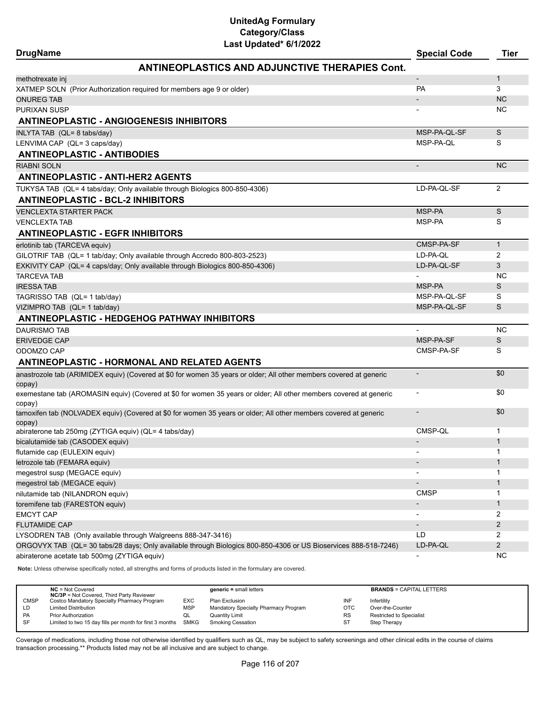| <b>DrugName</b>                                                 | Last upuateu" oriizuzz                                                                                              | <b>Special Code</b>      | <b>Tier</b>    |
|-----------------------------------------------------------------|---------------------------------------------------------------------------------------------------------------------|--------------------------|----------------|
|                                                                 | <b>ANTINEOPLASTICS AND ADJUNCTIVE THERAPIES Cont.</b>                                                               |                          |                |
| methotrexate inj                                                |                                                                                                                     | $\overline{\phantom{a}}$ | 1              |
|                                                                 | XATMEP SOLN (Prior Authorization required for members age 9 or older)                                               | <b>PA</b>                | 3              |
| <b>ONUREG TAB</b>                                               |                                                                                                                     |                          | <b>NC</b>      |
| <b>PURIXAN SUSP</b>                                             |                                                                                                                     |                          | NC             |
|                                                                 | <b>ANTINEOPLASTIC - ANGIOGENESIS INHIBITORS</b>                                                                     |                          |                |
| INLYTA TAB (QL= 8 tabs/day)                                     |                                                                                                                     | MSP-PA-QL-SF             | S              |
| LENVIMA CAP (QL= 3 caps/day)                                    |                                                                                                                     | MSP-PA-QL                | S              |
| <b>ANTINEOPLASTIC - ANTIBODIES</b>                              |                                                                                                                     |                          |                |
| <b>RIABNI SOLN</b>                                              |                                                                                                                     | $\blacksquare$           | <b>NC</b>      |
| <b>ANTINEOPLASTIC - ANTI-HER2 AGENTS</b>                        |                                                                                                                     |                          |                |
|                                                                 | TUKYSA TAB (QL= 4 tabs/day; Only available through Biologics 800-850-4306)                                          | LD-PA-QL-SF              | 2              |
| <b>ANTINEOPLASTIC - BCL-2 INHIBITORS</b>                        |                                                                                                                     |                          |                |
| <b>VENCLEXTA STARTER PACK</b>                                   |                                                                                                                     | MSP-PA                   | S              |
| <b>VENCLEXTA TAB</b>                                            |                                                                                                                     | MSP-PA                   | S              |
| <b>ANTINEOPLASTIC - EGFR INHIBITORS</b>                         |                                                                                                                     |                          |                |
| erlotinib tab (TARCEVA equiv)                                   |                                                                                                                     | CMSP-PA-SF               | $\mathbf{1}$   |
|                                                                 | GILOTRIF TAB (QL= 1 tab/day; Only available through Accredo 800-803-2523)                                           | LD-PA-QL                 | $\overline{2}$ |
|                                                                 | EXKIVITY CAP (QL= 4 caps/day; Only available through Biologics 800-850-4306)                                        | LD-PA-QL-SF              | 3              |
| <b>TARCEVA TAB</b>                                              |                                                                                                                     |                          | NC             |
| <b>IRESSATAB</b>                                                |                                                                                                                     | MSP-PA                   | S              |
| TAGRISSO TAB (QL= 1 tab/day)                                    |                                                                                                                     | MSP-PA-QL-SF             | S              |
| VIZIMPRO TAB (QL= 1 tab/day)                                    |                                                                                                                     | MSP-PA-QL-SF             | S              |
|                                                                 | <b>ANTINEOPLASTIC - HEDGEHOG PATHWAY INHIBITORS</b>                                                                 |                          |                |
| <b>DAURISMO TAB</b>                                             |                                                                                                                     |                          | <b>NC</b>      |
| <b>ERIVEDGE CAP</b>                                             |                                                                                                                     | MSP-PA-SF                | S              |
| ODOMZO CAP                                                      |                                                                                                                     | CMSP-PA-SF               | S              |
|                                                                 | <b>ANTINEOPLASTIC - HORMONAL AND RELATED AGENTS</b>                                                                 |                          |                |
|                                                                 | anastrozole tab (ARIMIDEX equiv) (Covered at \$0 for women 35 years or older; All other members covered at generic  |                          | \$0            |
| copay)                                                          |                                                                                                                     |                          |                |
|                                                                 | exemestane tab (AROMASIN equiv) (Covered at \$0 for women 35 years or older; All other members covered at generic   |                          | \$0            |
| copay)                                                          |                                                                                                                     |                          |                |
|                                                                 | tamoxifen tab (NOLVADEX equiv) (Covered at \$0 for women 35 years or older; All other members covered at generic    |                          | \$0            |
| copay)<br>abiraterone tab 250mg (ZYTIGA equiv) (QL= 4 tabs/day) |                                                                                                                     | CMSP-QL                  | 1              |
| bicalutamide tab (CASODEX equiv)                                |                                                                                                                     |                          | 1              |
| flutamide cap (EULEXIN equiv)                                   |                                                                                                                     |                          | 1              |
| letrozole tab (FEMARA equiv)                                    |                                                                                                                     |                          | 1              |
| megestrol susp (MEGACE equiv)                                   |                                                                                                                     |                          | 1              |
| megestrol tab (MEGACE equiv)                                    |                                                                                                                     |                          | 1              |
| nilutamide tab (NILANDRON equiv)                                |                                                                                                                     | <b>CMSP</b>              | 1              |
| toremifene tab (FARESTON equiv)                                 |                                                                                                                     | $\overline{\phantom{a}}$ | 1              |
| <b>EMCYT CAP</b>                                                |                                                                                                                     |                          | 2              |
| <b>FLUTAMIDE CAP</b>                                            |                                                                                                                     | $\overline{\phantom{a}}$ | $\overline{2}$ |
|                                                                 | LYSODREN TAB (Only available through Walgreens 888-347-3416)                                                        | LD                       | 2              |
|                                                                 | ORGOVYX TAB (QL= 30 tabs/28 days; Only available through Biologics 800-850-4306 or US Bioservices 888-518-7246)     | LD-PA-QL                 | $\overline{c}$ |
| abiraterone acetate tab 500mg (ZYTIGA equiv)                    |                                                                                                                     |                          | NC.            |
|                                                                 | Note: Unless otherwise specifically noted, all strengths and forms of products listed in the formulary are covered. |                          |                |

|             | $NC = Not Covered$<br><b>NC/3P</b> = Not Covered, Third Party Reviewer |            | $generic = small letters$            |           | <b>BRANDS = CAPITAL LETTERS</b> |
|-------------|------------------------------------------------------------------------|------------|--------------------------------------|-----------|---------------------------------|
| <b>CMSP</b> | Costco Mandatory Specialty Pharmacy Program                            | EXC        | Plan Exclusion                       | INF       | Infertility                     |
| LD          | <b>Limited Distribution</b>                                            | <b>MSP</b> | Mandatory Specialty Pharmacy Program | OTC       | Over-the-Counter                |
| PA          | <b>Prior Authorization</b>                                             | QL         | Quantity Limit                       | <b>RS</b> | Restricted to Specialist        |
| SF          | Limited to two 15 day fills per month for first 3 months SMKG          |            | <b>Smoking Cessation</b>             | ST        | Step Therapy                    |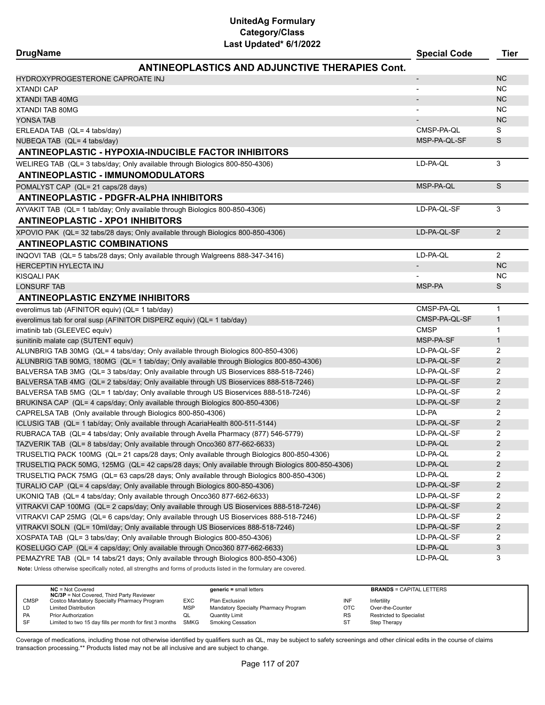| <b>DrugName</b>                                 | Last Upualeu O 172022                                                                                                                                                                                    | <b>Special Code</b>      | <b>Tier</b>    |
|-------------------------------------------------|----------------------------------------------------------------------------------------------------------------------------------------------------------------------------------------------------------|--------------------------|----------------|
|                                                 | <b>ANTINEOPLASTICS AND ADJUNCTIVE THERAPIES Cont.</b>                                                                                                                                                    |                          |                |
| HYDROXYPROGESTERONE CAPROATE INJ                |                                                                                                                                                                                                          | $\overline{\phantom{a}}$ | <b>NC</b>      |
| <b>XTANDI CAP</b>                               |                                                                                                                                                                                                          |                          | <b>NC</b>      |
| <b>XTANDI TAB 40MG</b>                          |                                                                                                                                                                                                          |                          | <b>NC</b>      |
| <b>XTANDI TAB 80MG</b>                          |                                                                                                                                                                                                          |                          | <b>NC</b>      |
| YONSA TAB                                       |                                                                                                                                                                                                          |                          | <b>NC</b>      |
| ERLEADA TAB (QL= 4 tabs/day)                    |                                                                                                                                                                                                          | CMSP-PA-QL               | S              |
| NUBEQA TAB (QL= 4 tabs/day)                     |                                                                                                                                                                                                          | MSP-PA-QL-SF             | S              |
|                                                 | <b>ANTINEOPLASTIC - HYPOXIA-INDUCIBLE FACTOR INHIBITORS</b>                                                                                                                                              |                          |                |
| <b>ANTINEOPLASTIC - IMMUNOMODULATORS</b>        | WELIREG TAB (QL= 3 tabs/day; Only available through Biologics 800-850-4306)                                                                                                                              | LD-PA-QL                 | 3              |
|                                                 |                                                                                                                                                                                                          |                          |                |
| POMALYST CAP (QL= 21 caps/28 days)              |                                                                                                                                                                                                          | MSP-PA-QL                | $\mathbb S$    |
|                                                 | <b>ANTINEOPLASTIC - PDGFR-ALPHA INHIBITORS</b>                                                                                                                                                           |                          |                |
| <b>ANTINEOPLASTIC - XPO1 INHIBITORS</b>         | AYVAKIT TAB (QL= 1 tab/day; Only available through Biologics 800-850-4306)                                                                                                                               | LD-PA-QL-SF              | 3              |
|                                                 | XPOVIO PAK (QL= 32 tabs/28 days; Only available through Biologics 800-850-4306)                                                                                                                          | LD-PA-QL-SF              | 2              |
| <b>ANTINEOPLASTIC COMBINATIONS</b>              |                                                                                                                                                                                                          |                          |                |
|                                                 | INQOVI TAB (QL= 5 tabs/28 days; Only available through Walgreens 888-347-3416)                                                                                                                           | LD-PA-QL                 | $\overline{2}$ |
| <b>HERCEPTIN HYLECTA INJ</b>                    |                                                                                                                                                                                                          | $\overline{\phantom{a}}$ | <b>NC</b>      |
| KISQALI PAK                                     |                                                                                                                                                                                                          |                          | <b>NC</b>      |
| <b>LONSURF TAB</b>                              |                                                                                                                                                                                                          | MSP-PA                   | S              |
| <b>ANTINEOPLASTIC ENZYME INHIBITORS</b>         |                                                                                                                                                                                                          |                          |                |
|                                                 |                                                                                                                                                                                                          | CMSP-PA-QL               | $\mathbf{1}$   |
| everolimus tab (AFINITOR equiv) (QL= 1 tab/day) |                                                                                                                                                                                                          | CMSP-PA-QL-SF            | $\mathbf{1}$   |
|                                                 | everolimus tab for oral susp (AFINITOR DISPERZ equiv) (QL= 1 tab/day)                                                                                                                                    |                          |                |
| imatinib tab (GLEEVEC equiv)                    |                                                                                                                                                                                                          | <b>CMSP</b>              | $\mathbf{1}$   |
| sunitinib malate cap (SUTENT equiv)             |                                                                                                                                                                                                          | MSP-PA-SF                | $\mathbf{1}$   |
|                                                 | ALUNBRIG TAB 30MG (QL= 4 tabs/day; Only available through Biologics 800-850-4306)                                                                                                                        | LD-PA-QL-SF              | 2              |
|                                                 | ALUNBRIG TAB 90MG, 180MG (QL= 1 tab/day; Only available through Biologics 800-850-4306)                                                                                                                  | LD-PA-QL-SF              | $\overline{2}$ |
|                                                 | BALVERSA TAB 3MG (QL= 3 tabs/day; Only available through US Bioservices 888-518-7246)                                                                                                                    | LD-PA-QL-SF              | 2              |
|                                                 | BALVERSA TAB 4MG (QL= 2 tabs/day; Only available through US Bioservices 888-518-7246)                                                                                                                    | LD-PA-QL-SF              | 2              |
|                                                 | BALVERSA TAB 5MG (QL= 1 tab/day; Only available through US Bioservices 888-518-7246)                                                                                                                     | LD-PA-QL-SF              | 2              |
|                                                 | BRUKINSA CAP (QL= 4 caps/day; Only available through Biologics 800-850-4306)                                                                                                                             | LD-PA-QL-SF              | 2              |
|                                                 | CAPRELSA TAB (Only available through Biologics 800-850-4306)                                                                                                                                             | LD-PA                    | 2              |
|                                                 | ICLUSIG TAB (QL= 1 tab/day; Only available through AcariaHealth 800-511-5144)                                                                                                                            | LD-PA-QL-SF              | $\overline{2}$ |
|                                                 | RUBRACA TAB (QL= 4 tabs/day; Only available through Avella Pharmacy (877) 546-5779)                                                                                                                      | LD-PA-QL-SF              | 2              |
|                                                 | TAZVERIK TAB (QL= 8 tabs/day; Only available through Onco360 877-662-6633)                                                                                                                               | LD-PA-QL                 | $\overline{c}$ |
|                                                 | TRUSELTIQ PACK 100MG (QL= 21 caps/28 days; Only available through Biologics 800-850-4306)                                                                                                                | LD-PA-QL                 | 2              |
|                                                 | TRUSELTIQ PACK 50MG, 125MG (QL= 42 caps/28 days; Only available through Biologics 800-850-4306)                                                                                                          | LD-PA-QL                 | $\overline{2}$ |
|                                                 | TRUSELTIQ PACK 75MG (QL= 63 caps/28 days; Only available through Biologics 800-850-4306)                                                                                                                 | LD-PA-QL                 | 2              |
|                                                 | TURALIO CAP (QL= 4 caps/day; Only available through Biologics 800-850-4306)                                                                                                                              | LD-PA-QL-SF              | $\overline{2}$ |
|                                                 | UKONIQ TAB (QL= 4 tabs/day; Only available through Onco360 877-662-6633)                                                                                                                                 | LD-PA-QL-SF              | 2              |
|                                                 | VITRAKVI CAP 100MG (QL= 2 caps/day; Only available through US Bioservices 888-518-7246)                                                                                                                  | LD-PA-QL-SF              | $\overline{2}$ |
|                                                 | VITRAKVI CAP 25MG (QL= 6 caps/day; Only available through US Bioservices 888-518-7246)                                                                                                                   | LD-PA-QL-SF              | 2              |
|                                                 | VITRAKVI SOLN (QL= 10ml/day; Only available through US Bioservices 888-518-7246)                                                                                                                         | LD-PA-QL-SF              | $\overline{c}$ |
|                                                 | XOSPATA TAB (QL= 3 tabs/day; Only available through Biologics 800-850-4306)                                                                                                                              | LD-PA-QL-SF              | 2              |
|                                                 | KOSELUGO CAP (QL= 4 caps/day; Only available through Onco360 877-662-6633)                                                                                                                               | LD-PA-QL                 | $\mathfrak{S}$ |
|                                                 | PEMAZYRE TAB (QL= 14 tabs/21 days; Only available through Biologics 800-850-4306)<br>Note: Unless otherwise specifically noted, all strengths and forms of products listed in the formulary are covered. | LD-PA-QL                 | 3              |

**NC** = Not Covered **generic =** small letters **BRANDS** = CAPITAL LETTERS **NC/3P** = Not Covered, Third Party Reviewer CMSP Costco Mandatory Specialty Pharmacy Program EXC Plan Exclusion INF Infertility LD Limited Distribution Computer of MSP Mandatory Specialty Pharmacy Program CTC Over-the-Counter<br>PA Prior Authorization CL Quantity Limit Cuntity Limit Cunnel RS Restricted to Spec PA Prior Authorization COL Quantity Limit Constant Constitution RS Restricted to Specialist<br>
Panel Constitution Collection Collection Constitution Collection Research Constitution Collection Collection<br>
ST Step Therapy Limited to two 15 day fills per month for first 3 months SMKG Smoking Cessation ST Step Therapy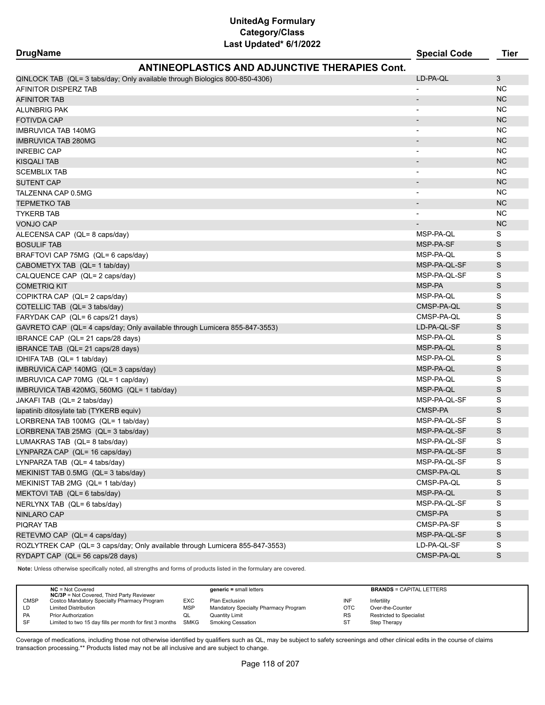| <b>ANTINEOPLASTICS AND ADJUNCTIVE THERAPIES Cont.</b>                       |                          |           |
|-----------------------------------------------------------------------------|--------------------------|-----------|
| QINLOCK TAB (QL= 3 tabs/day; Only available through Biologics 800-850-4306) | LD-PA-QL                 | 3         |
| AFINITOR DISPERZ TAB                                                        |                          | <b>NC</b> |
| <b>AFINITOR TAB</b>                                                         |                          | <b>NC</b> |
| ALUNBRIG PAK                                                                | $\overline{\phantom{a}}$ | <b>NC</b> |
| <b>FOTIVDA CAP</b>                                                          |                          | <b>NC</b> |
| <b>IMBRUVICA TAB 140MG</b>                                                  | $\overline{\phantom{0}}$ | <b>NC</b> |
| <b>IMBRUVICA TAB 280MG</b>                                                  |                          | <b>NC</b> |
| <b>INREBIC CAP</b>                                                          | $\overline{\phantom{a}}$ | <b>NC</b> |
| <b>KISQALI TAB</b>                                                          |                          | <b>NC</b> |
| <b>SCEMBLIX TAB</b>                                                         | $\overline{\phantom{a}}$ | <b>NC</b> |
| <b>SUTENT CAP</b>                                                           |                          | <b>NC</b> |
| TALZENNA CAP 0.5MG                                                          | $\blacksquare$           | <b>NC</b> |
| <b>TEPMETKO TAB</b>                                                         | $\blacksquare$           | <b>NC</b> |
| <b>TYKERB TAB</b>                                                           | $\overline{\phantom{a}}$ | <b>NC</b> |
| <b>VONJO CAP</b>                                                            |                          | <b>NC</b> |
| ALECENSA CAP (QL= 8 caps/day)                                               | MSP-PA-QL                | S         |
| <b>BOSULIF TAB</b>                                                          | MSP-PA-SF                | S         |
| BRAFTOVI CAP 75MG (QL= 6 caps/day)                                          | MSP-PA-QL                | S         |
| CABOMETYX TAB (QL= 1 tab/day)                                               | MSP-PA-QL-SF             | S         |
| CALQUENCE CAP (QL= 2 caps/day)                                              | MSP-PA-QL-SF             | S         |

|  |  | COMETRIQ KIT |  |  |  |
|--|--|--------------|--|--|--|
|  |  |              |  |  |  |

| COMETRIQ KIT |
|--------------|
|              |

| COPIKTRA CAP ( |  |
|----------------|--|
|                |  |

| COPIKTRA CAP( |  |
|---------------|--|

| COMETRIQ KIT    |  |
|-----------------|--|
| COPIKTRA CAP (C |  |

| COMETRIQ KIT |  |
|--------------|--|
| ------------ |  |

| CALQUENCE CAP(QL= 2 |               |
|---------------------|---------------|
| COMETRIQ KIT        |               |
|                     | $\sim$ $\sim$ |

| CALQUENCE CAP (QI |  |
|-------------------|--|
| COMETRIQ KIT      |  |
| ---               |  |

| COMETRIQ KIT               |  |
|----------------------------|--|
| COPIKTRA CAP  (QL= 2 caps/ |  |
| $COTF111C TAD 1OL = 21567$ |  |

| <b>IMBRUVICA TAB 140MG</b>                                                   | $\blacksquare$           | NC          |
|------------------------------------------------------------------------------|--------------------------|-------------|
| <b>IMBRUVICA TAB 280MG</b>                                                   |                          | <b>NC</b>   |
| INREBIC CAP                                                                  | $\blacksquare$           | <b>NC</b>   |
| KISQALI TAB                                                                  |                          | <b>NC</b>   |
| SCEMBLIX TAB                                                                 |                          | <b>NC</b>   |
| SUTENT CAP                                                                   | $\overline{\phantom{a}}$ | <b>NC</b>   |
| TALZENNA CAP 0.5MG                                                           | $\overline{\phantom{a}}$ | <b>NC</b>   |
| <b>TEPMETKO TAB</b>                                                          |                          | <b>NC</b>   |
| <b>TYKERB TAB</b>                                                            |                          | NC.         |
| <b>VONJO CAP</b>                                                             |                          | <b>NC</b>   |
| ALECENSA CAP (QL= 8 caps/day)                                                | MSP-PA-QL                | S           |
| <b>BOSULIF TAB</b>                                                           | MSP-PA-SF                | S           |
| BRAFTOVI CAP 75MG (QL= 6 caps/day)                                           | MSP-PA-QL                | S           |
| CABOMETYX TAB (QL= 1 tab/day)                                                | MSP-PA-QL-SF             | S           |
| CALQUENCE CAP (QL= 2 caps/day)                                               | MSP-PA-QL-SF             | S           |
| <b>COMETRIQ KIT</b>                                                          | MSP-PA                   | S           |
| COPIKTRA CAP (QL= 2 caps/day)                                                | MSP-PA-QL                | S           |
| COTELLIC TAB (QL= 3 tabs/day)                                                | CMSP-PA-QL               | $\mathsf S$ |
| FARYDAK CAP (QL= 6 caps/21 days)                                             | CMSP-PA-QL               | S           |
| GAVRETO CAP (QL= 4 caps/day; Only available through Lumicera 855-847-3553)   | LD-PA-QL-SF              | S           |
| IBRANCE CAP (QL= 21 caps/28 days)                                            | MSP-PA-QL                | S           |
| IBRANCE TAB (QL= 21 caps/28 days)                                            | MSP-PA-QL                | S           |
| IDHIFA TAB (QL= 1 tab/day)                                                   | MSP-PA-QL                | S           |
| IMBRUVICA CAP 140MG (QL= 3 caps/day)                                         | MSP-PA-QL                | S           |
| IMBRUVICA CAP 70MG (QL= 1 cap/day)                                           | MSP-PA-QL                | S           |
| IMBRUVICA TAB 420MG, 560MG (QL= 1 tab/day)                                   | MSP-PA-QL                | S           |
| JAKAFI TAB (QL= 2 tabs/day)                                                  | MSP-PA-QL-SF             | S           |
| lapatinib ditosylate tab (TYKERB equiv)                                      | CMSP-PA                  | S           |
| LORBRENA TAB 100MG (QL= 1 tab/day)                                           | MSP-PA-QL-SF             | S           |
| LORBRENA TAB 25MG (QL= 3 tabs/day)                                           | MSP-PA-QL-SF             | S           |
| LUMAKRAS TAB (QL= 8 tabs/day)                                                | MSP-PA-QL-SF             | S           |
| LYNPARZA CAP (QL= 16 caps/day)                                               | MSP-PA-QL-SF             | S           |
| LYNPARZA TAB (QL= 4 tabs/day)                                                | MSP-PA-QL-SF             | S           |
| MEKINIST TAB 0.5MG (QL= 3 tabs/day)                                          | CMSP-PA-QL               | $\mathsf S$ |
| MEKINIST TAB 2MG (QL= 1 tab/day)                                             | CMSP-PA-QL               | S           |
| MEKTOVI TAB (QL= 6 tabs/day)                                                 | MSP-PA-QL                | S           |
| NERLYNX TAB (QL= 6 tabs/day)                                                 | MSP-PA-QL-SF             | S           |
| <b>NINLARO CAP</b>                                                           | CMSP-PA                  | S           |
| <b>PIQRAY TAB</b>                                                            | CMSP-PA-SF               | S           |
| RETEVMO CAP (QL= 4 caps/day)                                                 | MSP-PA-QL-SF             | S           |
| ROZLYTREK CAP (QL= 3 caps/day; Only available through Lumicera 855-847-3553) | LD-PA-QL-SF              | S           |
| RYDAPT CAP (QL= 56 caps/28 days)                                             | CMSP-PA-QL               | S           |

**Note:** Unless otherwise specifically noted, all strengths and forms of products listed in the formulary are covered.

|             | $NC = Not Covered$<br><b>NC/3P</b> = Not Covered, Third Party Reviewer |     | $generic = small letters$            |           | <b>BRANDS = CAPITAL LETTERS</b> |
|-------------|------------------------------------------------------------------------|-----|--------------------------------------|-----------|---------------------------------|
| <b>CMSP</b> | Costco Mandatory Specialty Pharmacy Program                            | EXC | Plan Exclusion                       | INF       | Infertility                     |
| ĹD          | <b>Limited Distribution</b>                                            | MSP | Mandatory Specialty Pharmacy Program | OTC       | Over-the-Counter                |
| <b>PA</b>   | <b>Prior Authorization</b>                                             | ◡   | Quantity Limit                       | <b>RS</b> | <b>Restricted to Specialist</b> |
| SF          | Limited to two 15 day fills per month for first 3 months SMKG          |     | <b>Smoking Cessation</b>             | ST        | Step Therapy                    |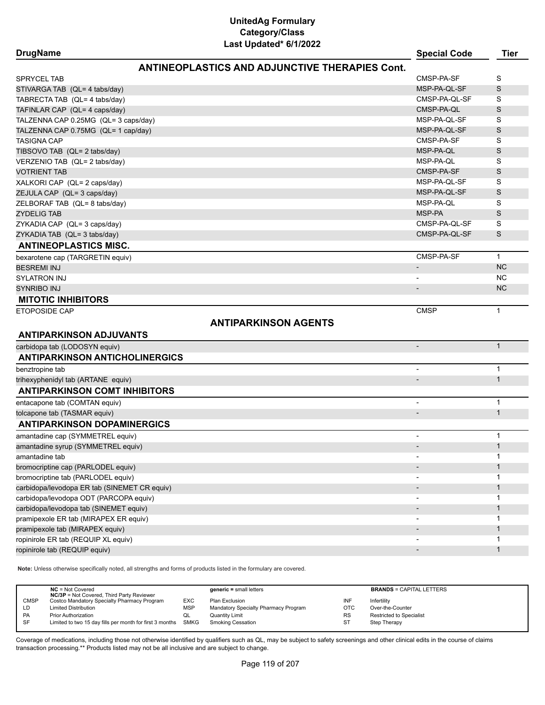| <b>DrugName</b>                                       | <b>Special Code</b>      | <b>Tier</b>  |
|-------------------------------------------------------|--------------------------|--------------|
| <b>ANTINEOPLASTICS AND ADJUNCTIVE THERAPIES Cont.</b> |                          |              |
| <b>SPRYCEL TAB</b>                                    | CMSP-PA-SF               | S            |
| STIVARGA TAB (QL= 4 tabs/day)                         | MSP-PA-QL-SF             | S            |
| TABRECTA TAB (QL= 4 tabs/day)                         | CMSP-PA-QL-SF            | S            |
| TAFINLAR CAP (QL= 4 caps/day)                         | CMSP-PA-QL               | S            |
| TALZENNA CAP 0.25MG (QL= 3 caps/day)                  | MSP-PA-QL-SF             | S            |
| TALZENNA CAP 0.75MG (QL= 1 cap/day)                   | MSP-PA-QL-SF             | S            |
| <b>TASIGNA CAP</b>                                    | CMSP-PA-SF               | S            |
| TIBSOVO TAB (QL= 2 tabs/day)                          | MSP-PA-QL                | S            |
| VERZENIO TAB (QL= 2 tabs/day)                         | MSP-PA-QL                | S            |
| <b>VOTRIENT TAB</b>                                   | CMSP-PA-SF               | S            |
| XALKORI CAP (QL= 2 caps/day)                          | MSP-PA-QL-SF             | S            |
| ZEJULA CAP (QL= 3 caps/day)                           | MSP-PA-QL-SF             | S            |
| ZELBORAF TAB (QL= 8 tabs/day)                         | MSP-PA-QL                | S            |
| <b>ZYDELIG TAB</b>                                    | MSP-PA                   | S            |
| ZYKADIA CAP (QL= 3 caps/day)                          | CMSP-PA-QL-SF            | S            |
| ZYKADIA TAB (QL= 3 tabs/day)                          | CMSP-PA-QL-SF            | S            |
| <b>ANTINEOPLASTICS MISC.</b>                          |                          |              |
|                                                       |                          |              |
| bexarotene cap (TARGRETIN equiv)                      | CMSP-PA-SF               | $\mathbf{1}$ |
| <b>BESREMI INJ</b>                                    | $\overline{\phantom{a}}$ | <b>NC</b>    |
| <b>SYLATRON INJ</b>                                   |                          | <b>NC</b>    |
| SYNRIBO INJ                                           |                          | <b>NC</b>    |
| <b>MITOTIC INHIBITORS</b>                             |                          |              |
| <b>ETOPOSIDE CAP</b>                                  | <b>CMSP</b>              | $\mathbf{1}$ |
| <b>ANTIPARKINSON AGENTS</b>                           |                          |              |
| <b>ANTIPARKINSON ADJUVANTS</b>                        |                          |              |
| carbidopa tab (LODOSYN equiv)                         | $\overline{\phantom{a}}$ | $\mathbf{1}$ |
| <b>ANTIPARKINSON ANTICHOLINERGICS</b>                 |                          |              |
| benztropine tab                                       |                          | $\mathbf{1}$ |
| trihexyphenidyl tab (ARTANE equiv)                    |                          | $\mathbf{1}$ |
| <b>ANTIPARKINSON COMT INHIBITORS</b>                  |                          |              |
| entacapone tab (COMTAN equiv)                         |                          | 1            |
| tolcapone tab (TASMAR equiv)                          |                          | $\mathbf{1}$ |
| <b>ANTIPARKINSON DOPAMINERGICS</b>                    |                          |              |
| amantadine cap (SYMMETREL equiv)                      | $\overline{\phantom{0}}$ | $\mathbf{1}$ |
| amantadine syrup (SYMMETREL equiv)                    |                          | 1            |
| amantadine tab                                        |                          | 1            |
| bromocriptine cap (PARLODEL equiv)                    |                          | 1            |
| bromocriptine tab (PARLODEL equiv)                    |                          | 1            |
| carbidopa/levodopa ER tab (SINEMET CR equiv)          |                          | $\mathbf{1}$ |
| carbidopa/levodopa ODT (PARCOPA equiv)                |                          | 1            |
| carbidopa/levodopa tab (SINEMET equiv)                |                          | $\mathbf{1}$ |
| pramipexole ER tab (MIRAPEX ER equiv)                 |                          | 1            |
| pramipexole tab (MIRAPEX equiv)                       |                          | $\mathbf{1}$ |
| ropinirole ER tab (REQUIP XL equiv)                   |                          | 1            |
| ropinirole tab (REQUIP equiv)                         |                          | $\mathbf{1}$ |
|                                                       |                          |              |

**Note:** Unless otherwise specifically noted, all strengths and forms of products listed in the formulary are covered.

|             | $NC = Not Covered$<br><b>NC/3P</b> = Not Covered, Third Party Reviewer |            | $generic = small letters$            |            | <b>BRANDS = CAPITAL LETTERS</b> |
|-------------|------------------------------------------------------------------------|------------|--------------------------------------|------------|---------------------------------|
| <b>CMSP</b> | Costco Mandatory Specialty Pharmacy Program                            | <b>EXC</b> | Plan Exclusion                       | INF        | Infertility                     |
| LD          | <b>Limited Distribution</b>                                            | <b>MSP</b> | Mandatory Specialty Pharmacy Program | <b>OTC</b> | Over-the-Counter                |
| PA          | <b>Prior Authorization</b>                                             | w∟         | Quantity Limit                       | <b>RS</b>  | <b>Restricted to Specialist</b> |
| SF          | Limited to two 15 day fills per month for first 3 months SMKG          |            | Smoking Cessation                    | ST         | Step Therapy                    |
|             |                                                                        |            |                                      |            |                                 |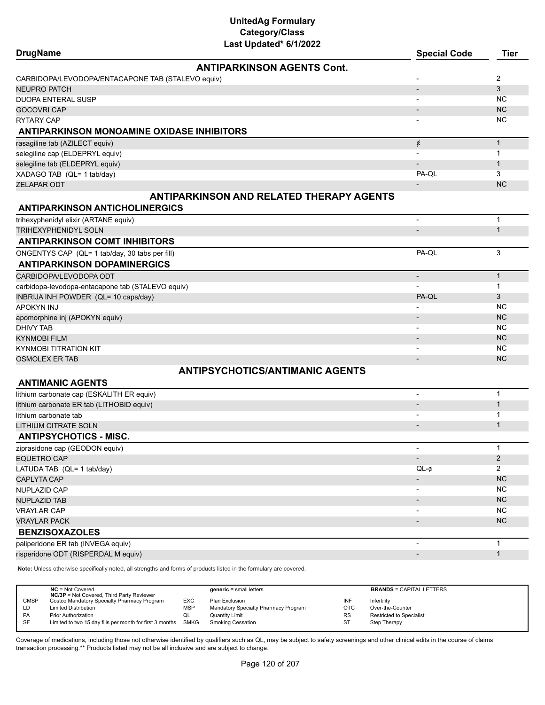| <b>DrugName</b>                                   | <b>Special Code</b> | Tier           |
|---------------------------------------------------|---------------------|----------------|
| <b>ANTIPARKINSON AGENTS Cont.</b>                 |                     |                |
| CARBIDOPA/LEVODOPA/ENTACAPONE TAB (STALEVO equiv) |                     | $\overline{2}$ |
| NEUPRO PATCH                                      |                     | 3              |
| DUOPA ENTERAL SUSP                                |                     | NC.            |
| GOCOVRI CAP                                       |                     | NC.            |
| RYTARY CAP                                        |                     | NC.            |
| ANTIPARKINSON MONOAMINE OXIDASE INHIBITORS        |                     |                |
| rasagiline tab (AZILECT equiv)                    | ¢                   |                |
| selegiline cap (ELDEPRYL equiv)                   |                     |                |
| selegiline tab (ELDEPRYL equiv)                   |                     |                |
| XADAGO TAB (QL= 1 tab/day)                        | PA-OL               | 3              |
| <b>ZELAPAR ODT</b>                                |                     | <b>NC</b>      |
| <b>ANTIPARKINSON AND RELATED THERAPY AGENTS</b>   |                     |                |
| ANTIPARKINSON ANTICHOLINERGICS                    |                     |                |

#### **ANTIPARKINSON ANTICHOLINERGICS**

| trihexyphenidyl elixir (ARTANE equiv)             |                          |                |
|---------------------------------------------------|--------------------------|----------------|
| <b>TRIHEXYPHENIDYL SOLN</b>                       |                          |                |
| <b>ANTIPARKINSON COMT INHIBITORS</b>              |                          |                |
| ONGENTYS CAP (QL= 1 tab/day, 30 tabs per fill)    | PA-QL                    |                |
| <b>ANTIPARKINSON DOPAMINERGICS</b>                |                          |                |
| CARBIDOPA/LEVODOPA ODT                            |                          |                |
| carbidopa-levodopa-entacapone tab (STALEVO equiv) | $\overline{\phantom{0}}$ |                |
| INBRIJA INH POWDER (QL= 10 caps/day)              | PA-QL                    | 3              |
| APOKYN INJ                                        | $\overline{\phantom{0}}$ | NC.            |
| apomorphine inj (APOKYN equiv)                    |                          | NC.            |
| DHIVY TAB                                         |                          | NC.            |
| <b>KYNMOBI FILM</b>                               |                          | N <sub>C</sub> |
| <b>KYNMOBI TITRATION KIT</b>                      |                          | NC.            |
| <b>OSMOLEX ER TAB</b>                             |                          | <b>NC</b>      |

# **ANTIPSYCHOTICS/ANTIMANIC AGENTS**

| <b>ANTIMANIC AGENTS</b>                   |                          |                |
|-------------------------------------------|--------------------------|----------------|
| lithium carbonate cap (ESKALITH ER equiv) |                          |                |
| lithium carbonate ER tab (LITHOBID equiv) |                          |                |
| lithium carbonate tab                     |                          |                |
| <b>LITHIUM CITRATE SOLN</b>               |                          |                |
| <b>ANTIPSYCHOTICS - MISC.</b>             |                          |                |
| ziprasidone cap (GEODON equiv)            |                          |                |
| <b>EQUETRO CAP</b>                        |                          | $\overline{2}$ |
| LATUDA TAB (QL= 1 tab/day)                | $QL-¢$                   | 2              |
| <b>CAPLYTA CAP</b>                        |                          | <b>NC</b>      |
| <b>NUPLAZID CAP</b>                       | $\overline{\phantom{0}}$ | NC.            |
| <b>NUPLAZID TAB</b>                       |                          | <b>NC</b>      |
| <b>VRAYLAR CAP</b>                        | $\overline{\phantom{0}}$ | NC.            |
| <b>VRAYLAR PACK</b>                       |                          | NC             |
| <b>BENZISOXAZOLES</b>                     |                          |                |
| paliperidone ER tab (INVEGA equiv)        |                          |                |
| risperidone ODT (RISPERDAL M equiv)       |                          |                |

**Note:** Unless otherwise specifically noted, all strengths and forms of products listed in the formulary are covered.

|             | $NC = Not Covered$<br><b>NC/3P</b> = Not Covered, Third Party Reviewer |            | $generic = small letters$            |            | <b>BRANDS = CAPITAL LETTERS</b> |
|-------------|------------------------------------------------------------------------|------------|--------------------------------------|------------|---------------------------------|
| <b>CMSP</b> | Costco Mandatory Specialty Pharmacy Program                            | EXC        | Plan Exclusion                       | INF        | Infertility                     |
| ĹD          | <b>Limited Distribution</b>                                            | <b>MSP</b> | Mandatory Specialty Pharmacy Program | <b>OTC</b> | Over-the-Counter                |
| PA          | <b>Prior Authorization</b>                                             | QL         | Quantity Limit                       | <b>RS</b>  | <b>Restricted to Specialist</b> |
| SF          | Limited to two 15 day fills per month for first 3 months SMKG          |            | <b>Smoking Cessation</b>             | ST         | Step Therapy                    |
|             |                                                                        |            |                                      |            |                                 |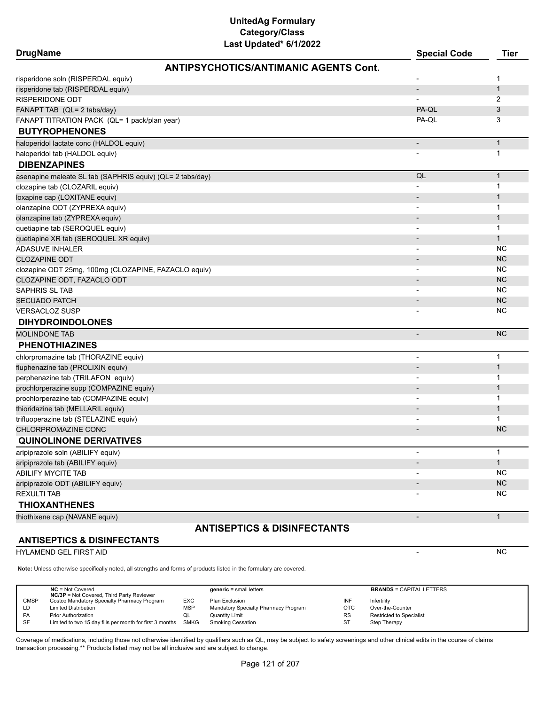| <b>DrugName</b>                                           | <b>Special Code</b>      | <b>Tier</b>  |
|-----------------------------------------------------------|--------------------------|--------------|
| <b>ANTIPSYCHOTICS/ANTIMANIC AGENTS Cont.</b>              |                          |              |
| risperidone soln (RISPERDAL equiv)                        |                          | 1            |
| risperidone tab (RISPERDAL equiv)                         | $\overline{\phantom{a}}$ | $\mathbf{1}$ |
| <b>RISPERIDONE ODT</b>                                    |                          | 2            |
| FANAPT TAB (QL= 2 tabs/day)                               | PA-QL                    | 3            |
| FANAPT TITRATION PACK (QL= 1 pack/plan year)              | PA-QL                    | 3            |
| <b>BUTYROPHENONES</b>                                     |                          |              |
| haloperidol lactate conc (HALDOL equiv)                   | $\overline{\phantom{a}}$ | $\mathbf{1}$ |
| haloperidol tab (HALDOL equiv)                            |                          | 1            |
| <b>DIBENZAPINES</b>                                       |                          |              |
| asenapine maleate SL tab (SAPHRIS equiv) (QL= 2 tabs/day) | QL                       | $\mathbf{1}$ |
| clozapine tab (CLOZARIL equiv)                            |                          | 1            |
| loxapine cap (LOXITANE equiv)                             |                          | $\mathbf 1$  |
| olanzapine ODT (ZYPREXA equiv)                            |                          | 1            |
| olanzapine tab (ZYPREXA equiv)                            |                          | $\mathbf 1$  |
| quetiapine tab (SEROQUEL equiv)                           |                          | 1            |
| quetiapine XR tab (SEROQUEL XR equiv)                     |                          | $\mathbf{1}$ |
| <b>ADASUVE INHALER</b>                                    |                          | <b>NC</b>    |
| <b>CLOZAPINE ODT</b>                                      |                          | <b>NC</b>    |
| clozapine ODT 25mg, 100mg (CLOZAPINE, FAZACLO equiv)      |                          | <b>NC</b>    |
| CLOZAPINE ODT, FAZACLO ODT                                |                          | <b>NC</b>    |
| SAPHRIS SL TAB                                            |                          | <b>NC</b>    |
| <b>SECUADO PATCH</b>                                      |                          | <b>NC</b>    |
| <b>VERSACLOZ SUSP</b>                                     |                          | <b>NC</b>    |
| <b>DIHYDROINDOLONES</b>                                   |                          |              |
| <b>MOLINDONE TAB</b>                                      | $\overline{\phantom{a}}$ | <b>NC</b>    |
| <b>PHENOTHIAZINES</b>                                     |                          |              |
| chlorpromazine tab (THORAZINE equiv)                      | $\blacksquare$           | 1            |
| fluphenazine tab (PROLIXIN equiv)                         |                          | $\mathbf{1}$ |
| perphenazine tab (TRILAFON equiv)                         |                          | 1            |
| prochlorperazine supp (COMPAZINE equiv)                   |                          | $\mathbf{1}$ |
| prochlorperazine tab (COMPAZINE equiv)                    |                          | 1            |
| thioridazine tab (MELLARIL equiv)                         |                          | $\mathbf 1$  |
| trifluoperazine tab (STELAZINE equiv)                     |                          | 1            |
| CHLORPROMAZINE CONC                                       |                          | <b>NC</b>    |
| <b>QUINOLINONE DERIVATIVES</b>                            |                          |              |
| aripiprazole soln (ABILIFY equiv)                         | $\overline{\phantom{a}}$ | $\mathbf{1}$ |
| aripiprazole tab (ABILIFY equiv)                          |                          | $\mathbf{1}$ |
| ABILIFY MYCITE TAB                                        |                          | <b>NC</b>    |
| aripiprazole ODT (ABILIFY equiv)                          |                          | $NC$         |
| <b>REXULTI TAB</b>                                        |                          | <b>NC</b>    |
| <b>THIOXANTHENES</b>                                      |                          |              |
| thiothixene cap (NAVANE equiv)                            | $\overline{\phantom{a}}$ | $\mathbf{1}$ |

#### **ANTISEPTICS & DISINFECTANTS**

HYLAMEND GEL FIRST AID NO AND THE SERIES OF THE SERIES OF THE SERIES OF THE SERIES OF THE SERIES OF THE SERIES OF THE SERIES OF THE SERIES OF THE SERIES OF THE SERIES OF THE SERIES OF THE SERIES OF THE SERIES OF THE SERIES

**Note:** Unless otherwise specifically noted, all strengths and forms of products listed in the formulary are covered.

|             | $NC = Not Covered$<br><b>NC/3P</b> = Not Covered, Third Party Reviewer |     | $generic = small letters$            |           | <b>BRANDS = CAPITAL LETTERS</b> |
|-------------|------------------------------------------------------------------------|-----|--------------------------------------|-----------|---------------------------------|
| <b>CMSP</b> | Costco Mandatory Specialty Pharmacy Program                            | EXC | Plan Exclusion                       | INF       | Infertility                     |
| LD          | <b>Limited Distribution</b>                                            | MSP | Mandatory Specialty Pharmacy Program | OTC       | Over-the-Counter                |
| <b>PA</b>   | <b>Prior Authorization</b>                                             | QL  | <b>Quantity Limit</b>                | <b>RS</b> | <b>Restricted to Specialist</b> |
| -SF         | Limited to two 15 day fills per month for first 3 months SMKG          |     | <b>Smoking Cessation</b>             | <b>ST</b> | Step Therapy                    |

**ANTISEPTICS & DISINFECTANTS**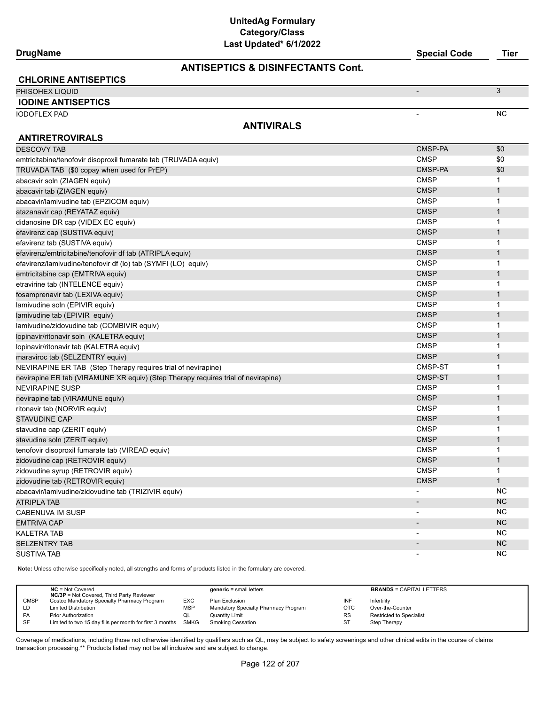#### **ANTISEPTICS & DISINFECTANTS Cont.**

| <b>CHLORINE ANTISEPTICS</b> |                   |     |
|-----------------------------|-------------------|-----|
| PHISOHEX LIQUID             |                   |     |
| <b>IODINE ANTISEPTICS</b>   |                   |     |
| <b>IODOFLEX PAD</b>         |                   | NC. |
| <b>ANTIRETROVIRALS</b>      | <b>ANTIVIRALS</b> |     |

| <b>DESCOVY TAB</b>                                                                | CMSP-PA                  | \$0          |
|-----------------------------------------------------------------------------------|--------------------------|--------------|
| emtricitabine/tenofovir disoproxil fumarate tab (TRUVADA equiv)                   | <b>CMSP</b>              | \$0          |
| TRUVADA TAB (\$0 copay when used for PrEP)                                        | CMSP-PA                  | \$0          |
| abacavir soln (ZIAGEN equiv)                                                      | <b>CMSP</b>              | 1            |
| abacavir tab (ZIAGEN equiv)                                                       | <b>CMSP</b>              | $\mathbf{1}$ |
| abacavir/lamivudine tab (EPZICOM equiv)                                           | <b>CMSP</b>              | $\mathbf 1$  |
| atazanavir cap (REYATAZ equiv)                                                    | <b>CMSP</b>              | $\mathbf{1}$ |
| didanosine DR cap (VIDEX EC equiv)                                                | <b>CMSP</b>              | $\mathbf{1}$ |
| efavirenz cap (SUSTIVA equiv)                                                     | <b>CMSP</b>              | $\mathbf{1}$ |
| efavirenz tab (SUSTIVA equiv)                                                     | <b>CMSP</b>              | 1            |
| efavirenz/emtricitabine/tenofovir df tab (ATRIPLA equiv)                          | <b>CMSP</b>              | $\mathbf{1}$ |
| efavirenz/lamivudine/tenofovir df (lo) tab (SYMFI (LO) equiv)                     | <b>CMSP</b>              | $\mathbf 1$  |
| emtricitabine cap (EMTRIVA equiv)                                                 | <b>CMSP</b>              | $\mathbf{1}$ |
| etravirine tab (INTELENCE equiv)                                                  | <b>CMSP</b>              | $\mathbf 1$  |
| fosamprenavir tab (LEXIVA equiv)                                                  | <b>CMSP</b>              | $\mathbf{1}$ |
| lamivudine soln (EPIVIR equiv)                                                    | <b>CMSP</b>              | $\mathbf{1}$ |
| lamivudine tab (EPIVIR equiv)                                                     | <b>CMSP</b>              | $\mathbf{1}$ |
| lamivudine/zidovudine tab (COMBIVIR equiv)                                        | <b>CMSP</b>              | 1            |
| lopinavir/ritonavir soln (KALETRA equiv)                                          | <b>CMSP</b>              | $\mathbf{1}$ |
| lopinavir/ritonavir tab (KALETRA equiv)                                           | <b>CMSP</b>              | $\mathbf 1$  |
| maraviroc tab (SELZENTRY equiv)                                                   | <b>CMSP</b>              | 1            |
| NEVIRAPINE ER TAB (Step Therapy requires trial of nevirapine)                     | CMSP-ST                  | $\mathbf 1$  |
| nevirapine ER tab (VIRAMUNE XR equiv) (Step Therapy requires trial of nevirapine) | <b>CMSP-ST</b>           | $\mathbf{1}$ |
| <b>NEVIRAPINE SUSP</b>                                                            | <b>CMSP</b>              | 1            |
| nevirapine tab (VIRAMUNE equiv)                                                   | <b>CMSP</b>              | $\mathbf{1}$ |
| ritonavir tab (NORVIR equiv)                                                      | <b>CMSP</b>              | 1            |
| <b>STAVUDINE CAP</b>                                                              | <b>CMSP</b>              | $\mathbf{1}$ |
| stavudine cap (ZERIT equiv)                                                       | <b>CMSP</b>              | $\mathbf 1$  |
| stavudine soln (ZERIT equiv)                                                      | <b>CMSP</b>              | $\mathbf{1}$ |
| tenofovir disoproxil fumarate tab (VIREAD equiv)                                  | <b>CMSP</b>              | 1            |
| zidovudine cap (RETROVIR equiv)                                                   | <b>CMSP</b>              | $\mathbf{1}$ |
| zidovudine syrup (RETROVIR equiv)                                                 | <b>CMSP</b>              | $\mathbf{1}$ |
| zidovudine tab (RETROVIR equiv)                                                   | <b>CMSP</b>              | $\mathbf{1}$ |
| abacavir/lamivudine/zidovudine tab (TRIZIVIR equiv)                               |                          | <b>NC</b>    |
| <b>ATRIPLA TAB</b>                                                                | $\overline{\phantom{a}}$ | <b>NC</b>    |
| <b>CABENUVA IM SUSP</b>                                                           | $\overline{\phantom{a}}$ | <b>NC</b>    |
| <b>EMTRIVA CAP</b>                                                                | $\overline{\phantom{a}}$ | <b>NC</b>    |
| <b>KALETRA TAB</b>                                                                |                          | <b>NC</b>    |
| <b>SELZENTRY TAB</b>                                                              |                          | <b>NC</b>    |
| <b>SUSTIVA TAB</b>                                                                |                          | <b>NC</b>    |

**Note:** Unless otherwise specifically noted, all strengths and forms of products listed in the formulary are covered.

|             | $NC = Not Covered$<br><b>NC/3P</b> = Not Covered, Third Party Reviewer |            | $generic = small letters$            |            | <b>BRANDS = CAPITAL LETTERS</b> |
|-------------|------------------------------------------------------------------------|------------|--------------------------------------|------------|---------------------------------|
| <b>CMSP</b> | Costco Mandatory Specialty Pharmacy Program                            | <b>EXC</b> | Plan Exclusion                       | INF        | Infertility                     |
| LD          | <b>Limited Distribution</b>                                            | MSP        | Mandatory Specialty Pharmacy Program | <b>OTC</b> | Over-the-Counter                |
| <b>PA</b>   | <b>Prior Authorization</b>                                             | QL         | <b>Quantity Limit</b>                | <b>RS</b>  | Restricted to Specialist        |
| SF          | Limited to two 15 day fills per month for first 3 months SMKG          |            | <b>Smoking Cessation</b>             | ST         | Step Therapy                    |

Coverage of medications, including those not otherwise identified by qualifiers such as QL, may be subject to safety screenings and other clinical edits in the course of claims transaction processing.\*\* Products listed may not be all inclusive and are subject to change.

**DrugName Special Code Tier**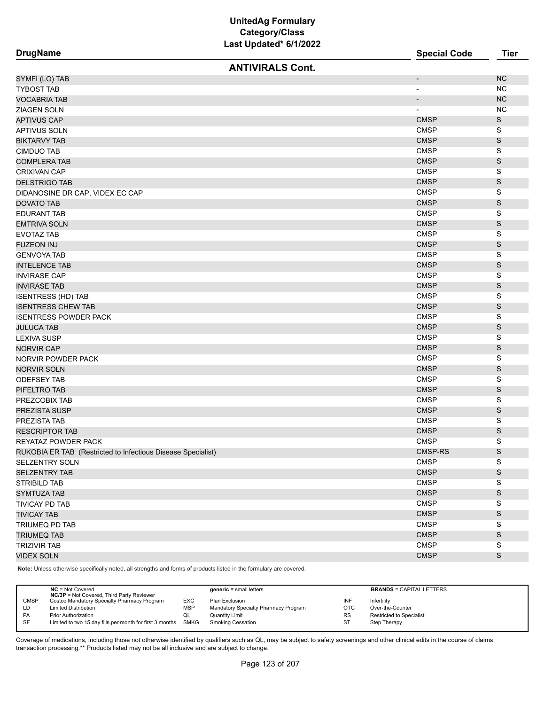|                                                              | Lasi Upualeu o IIZUZZ   |                          |               |
|--------------------------------------------------------------|-------------------------|--------------------------|---------------|
| <b>DrugName</b>                                              |                         | <b>Special Code</b>      | <b>Tier</b>   |
|                                                              | <b>ANTIVIRALS Cont.</b> |                          |               |
| SYMFI (LO) TAB                                               |                         | $\overline{\phantom{a}}$ | <b>NC</b>     |
| TYBOST TAB                                                   |                         | $\overline{\phantom{a}}$ | NC            |
| VOCABRIA TAB                                                 |                         | $\overline{\phantom{a}}$ | <b>NC</b>     |
| ZIAGEN SOLN                                                  |                         | $\overline{\phantom{a}}$ | <b>NC</b>     |
| APTIVUS CAP                                                  |                         | <b>CMSP</b>              | S             |
| APTIVUS SOLN                                                 |                         | <b>CMSP</b>              | S             |
| <b>BIKTARVY TAB</b>                                          |                         | <b>CMSP</b>              | $\mathsf S$   |
| <b>CIMDUO TAB</b>                                            |                         | <b>CMSP</b>              | S             |
| <b>COMPLERA TAB</b>                                          |                         | <b>CMSP</b>              | S             |
| CRIXIVAN CAP                                                 |                         | <b>CMSP</b>              | S             |
| <b>DELSTRIGO TAB</b>                                         |                         | <b>CMSP</b>              | S             |
| DIDANOSINE DR CAP, VIDEX EC CAP                              |                         | <b>CMSP</b>              | S             |
| DOVATO TAB                                                   |                         | <b>CMSP</b>              | S             |
| <b>EDURANT TAB</b>                                           |                         | <b>CMSP</b>              | S             |
| EMTRIVA SOLN                                                 |                         | <b>CMSP</b>              | S             |
| <b>EVOTAZ TAB</b>                                            |                         | <b>CMSP</b>              | S             |
| FUZEON INJ                                                   |                         | <b>CMSP</b>              | S             |
| <b>GENVOYA TAB</b>                                           |                         | <b>CMSP</b>              | S             |
| <b>INTELENCE TAB</b>                                         |                         | <b>CMSP</b>              | S             |
| INVIRASE CAP                                                 |                         | <b>CMSP</b>              | S             |
| <b>INVIRASE TAB</b>                                          |                         | <b>CMSP</b>              | $\mathsf S$   |
| <b>ISENTRESS (HD) TAB</b>                                    |                         | <b>CMSP</b>              | S             |
| <b>ISENTRESS CHEW TAB</b>                                    |                         | <b>CMSP</b>              | S             |
| <b>ISENTRESS POWDER PACK</b>                                 |                         | <b>CMSP</b>              | S             |
| JULUCA TAB                                                   |                         | <b>CMSP</b>              | $\mathsf S$   |
| LEXIVA SUSP                                                  |                         | <b>CMSP</b>              | S             |
| <b>NORVIR CAP</b>                                            |                         | <b>CMSP</b>              | S             |
| NORVIR POWDER PACK                                           |                         | <b>CMSP</b>              | S             |
| NORVIR SOLN                                                  |                         | <b>CMSP</b>              | S             |
| <b>ODEFSEY TAB</b>                                           |                         | <b>CMSP</b>              | S             |
| PIFELTRO TAB                                                 |                         | <b>CMSP</b>              | S             |
| PREZCOBIX TAB                                                |                         | <b>CMSP</b>              | S             |
| PREZISTA SUSP                                                |                         | <b>CMSP</b>              | S             |
| PREZISTA TAB                                                 |                         | <b>CMSP</b>              | S             |
| <b>RESCRIPTOR TAB</b>                                        |                         | <b>CMSP</b>              | S             |
| REYATAZ POWDER PACK                                          |                         | <b>CMSP</b>              | S             |
| RUKOBIA ER TAB (Restricted to Infectious Disease Specialist) |                         | CMSP-RS                  | S             |
| SELZENTRY SOLN                                               |                         | <b>CMSP</b>              | S             |
| <b>SELZENTRY TAB</b>                                         |                         | <b>CMSP</b>              | ${\mathsf S}$ |
| <b>STRIBILD TAB</b>                                          |                         | <b>CMSP</b>              | S             |
| <b>SYMTUZA TAB</b>                                           |                         | <b>CMSP</b>              | ${\mathsf S}$ |
| TIVICAY PD TAB                                               |                         | <b>CMSP</b>              | S             |
| <b>TIVICAY TAB</b>                                           |                         | <b>CMSP</b>              | ${\mathsf S}$ |
| TRIUMEQ PD TAB                                               |                         | <b>CMSP</b>              | S             |
| <b>TRIUMEQ TAB</b>                                           |                         | <b>CMSP</b>              | S             |
| <b>TRIZIVIR TAB</b>                                          |                         | <b>CMSP</b>              | S             |
| <b>VIDEX SOLN</b>                                            |                         | <b>CMSP</b>              | S             |
|                                                              |                         |                          |               |

**Note:** Unless otherwise specifically noted, all strengths and forms of products listed in the formulary are covered.

|             | $NC = Not Covered$<br><b>NC/3P</b> = Not Covered, Third Party Reviewer |            | $generic = small letters$            |            | <b>BRANDS = CAPITAL LETTERS</b> |
|-------------|------------------------------------------------------------------------|------------|--------------------------------------|------------|---------------------------------|
| <b>CMSP</b> | Costco Mandatory Specialty Pharmacy Program                            | <b>EXC</b> | Plan Exclusion                       | INF        | Infertility                     |
| LD          | <b>Limited Distribution</b>                                            | <b>MSP</b> | Mandatory Specialty Pharmacy Program | <b>OTC</b> | Over-the-Counter                |
| <b>PA</b>   | <b>Prior Authorization</b>                                             | w∟         | Quantity Limit                       | <b>RS</b>  | <b>Restricted to Specialist</b> |
| -SF         | Limited to two 15 day fills per month for first 3 months SMKG          |            | Smoking Cessation                    | ST         | Step Therapy                    |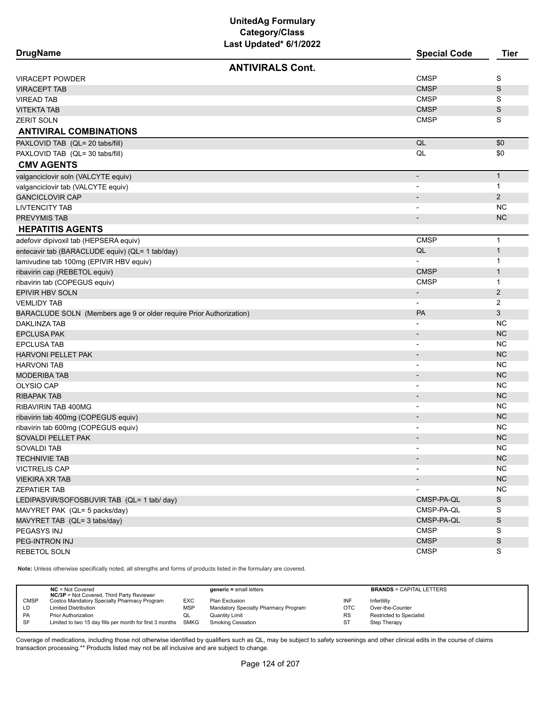| <b>DrugName</b>                                                     | Last opuateu vrijzviz   | <b>Special Code</b>      | <b>Tier</b>    |
|---------------------------------------------------------------------|-------------------------|--------------------------|----------------|
|                                                                     | <b>ANTIVIRALS Cont.</b> |                          |                |
| <b>VIRACEPT POWDER</b>                                              |                         | <b>CMSP</b>              | S              |
| <b>VIRACEPT TAB</b>                                                 |                         | <b>CMSP</b>              | S              |
| VIREAD TAB                                                          |                         | <b>CMSP</b>              | S              |
| VITEKTA TAB                                                         |                         | <b>CMSP</b>              | S              |
| ZERIT SOLN                                                          |                         | <b>CMSP</b>              | S              |
| <b>ANTIVIRAL COMBINATIONS</b>                                       |                         |                          |                |
| PAXLOVID TAB (QL= 20 tabs/fill)                                     |                         | QL                       | \$0            |
| PAXLOVID TAB (QL= 30 tabs/fill)                                     |                         | QL                       | \$0            |
| <b>CMV AGENTS</b>                                                   |                         |                          |                |
| valganciclovir soln (VALCYTE equiv)                                 |                         | $\overline{\phantom{a}}$ | $\mathbf{1}$   |
| valganciclovir tab (VALCYTE equiv)                                  |                         | $\overline{\phantom{a}}$ | 1              |
| <b>GANCICLOVIR CAP</b>                                              |                         |                          | 2              |
| <b>LIVTENCITY TAB</b>                                               |                         | $\overline{\phantom{a}}$ | NC.            |
| <b>PREVYMIS TAB</b>                                                 |                         | $\overline{\phantom{a}}$ | <b>NC</b>      |
| <b>HEPATITIS AGENTS</b>                                             |                         |                          |                |
| adefovir dipivoxil tab (HEPSERA equiv)                              |                         | <b>CMSP</b>              | $\mathbf{1}$   |
| entecavir tab (BARACLUDE equiv) (QL= 1 tab/day)                     |                         | QL                       | $\mathbf{1}$   |
| lamivudine tab 100mg (EPIVIR HBV equiv)                             |                         |                          | 1              |
| ribavirin cap (REBETOL equiv)                                       |                         | <b>CMSP</b>              | $\mathbf{1}$   |
| ribavirin tab (COPEGUS equiv)                                       |                         | <b>CMSP</b>              | 1              |
| EPIVIR HBV SOLN                                                     |                         | $\overline{\phantom{a}}$ | $\overline{c}$ |
| <b>VEMLIDY TAB</b>                                                  |                         | $\overline{\phantom{a}}$ | 2              |
| BARACLUDE SOLN (Members age 9 or older require Prior Authorization) |                         | <b>PA</b>                | 3              |
| <b>DAKLINZA TAB</b>                                                 |                         | $\overline{\phantom{a}}$ | NC.            |
| EPCLUSA PAK                                                         |                         | $\overline{\phantom{a}}$ | <b>NC</b>      |
| EPCLUSA TAB                                                         |                         | $\overline{\phantom{a}}$ | <b>NC</b>      |
| HARVONI PELLET PAK                                                  |                         |                          | <b>NC</b>      |
| HARVONI TAB                                                         |                         | $\overline{\phantom{a}}$ | <b>NC</b>      |
| MODERIBA TAB                                                        |                         | $\overline{\phantom{a}}$ | <b>NC</b>      |
| <b>OLYSIO CAP</b>                                                   |                         | $\overline{\phantom{a}}$ | <b>NC</b>      |
| RIBAPAK TAB                                                         |                         | $\overline{\phantom{a}}$ | <b>NC</b>      |
| RIBAVIRIN TAB 400MG                                                 |                         |                          | NC.            |
| ribavirin tab 400mg (COPEGUS equiv)                                 |                         | $\overline{\phantom{a}}$ | <b>NC</b>      |
| ribavirin tab 600mg (COPEGUS equiv)                                 |                         | $\overline{\phantom{a}}$ | NC.            |
| SOVALDI PELLET PAK                                                  |                         |                          | <b>NC</b>      |
| SOVALDI TAB                                                         |                         | $\overline{\phantom{a}}$ | NC.            |
| <b>TECHNIVIE TAB</b>                                                |                         |                          | NC             |
| <b>VICTRELIS CAP</b>                                                |                         | $\overline{\phantom{a}}$ | <b>NC</b>      |
| VIEKIRA XR TAB                                                      |                         |                          | NC             |
| ZEPATIER TAB                                                        |                         |                          | NC             |
| LEDIPASVIR/SOFOSBUVIR TAB (QL= 1 tab/ day)                          |                         | CMSP-PA-QL               | S              |
| MAVYRET PAK (QL= 5 packs/day)                                       |                         | CMSP-PA-QL               | S              |
| MAVYRET TAB (QL= 3 tabs/day)                                        |                         | CMSP-PA-QL               | $\mathbb S$    |
| PEGASYS INJ                                                         |                         | <b>CMSP</b>              | S              |
| PEG-INTRON INJ                                                      |                         | <b>CMSP</b>              | S              |
| REBETOL SOLN                                                        |                         | <b>CMSP</b>              | S              |
|                                                                     |                         |                          |                |

**Note:** Unless otherwise specifically noted, all strengths and forms of products listed in the formulary are covered.

|             | $NC = Not Covered$<br><b>NC/3P</b> = Not Covered, Third Party Reviewer |            | $generic = small letters$            |           | <b>BRANDS = CAPITAL LETTERS</b> |
|-------------|------------------------------------------------------------------------|------------|--------------------------------------|-----------|---------------------------------|
| <b>CMSP</b> | Costco Mandatory Specialty Pharmacy Program                            | <b>EXC</b> | Plan Exclusion                       | INF       | Infertility                     |
| LD          | <b>Limited Distribution</b>                                            | <b>MSP</b> | Mandatory Specialty Pharmacy Program | OTC       | Over-the-Counter                |
| <b>PA</b>   | <b>Prior Authorization</b>                                             |            | Quantity Limit                       | <b>RS</b> | <b>Restricted to Specialist</b> |
| SF          | Limited to two 15 day fills per month for first 3 months SMKG          |            | Smoking Cessation                    | ST        | Step Therapy                    |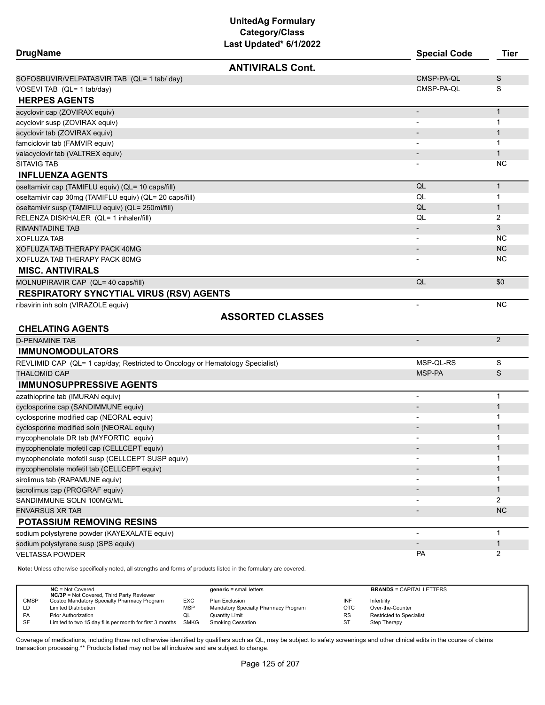| <b>DrugName</b>                                                               |                         | <b>Special Code</b>          | <b>Tier</b>    |
|-------------------------------------------------------------------------------|-------------------------|------------------------------|----------------|
|                                                                               | <b>ANTIVIRALS Cont.</b> |                              |                |
| SOFOSBUVIR/VELPATASVIR TAB (QL= 1 tab/ day)                                   |                         | CMSP-PA-QL                   | S              |
| VOSEVI TAB (QL= 1 tab/day)                                                    |                         | CMSP-PA-QL                   | S              |
| <b>HERPES AGENTS</b>                                                          |                         |                              |                |
| acyclovir cap (ZOVIRAX equiv)                                                 |                         | $\qquad \qquad \blacksquare$ | $\mathbf{1}$   |
| acyclovir susp (ZOVIRAX equiv)                                                |                         |                              | 1              |
| acyclovir tab (ZOVIRAX equiv)                                                 |                         |                              | $\mathbf{1}$   |
| famciclovir tab (FAMVIR equiv)                                                |                         |                              | 1              |
| valacyclovir tab (VALTREX equiv)                                              |                         |                              | $\mathbf{1}$   |
| SITAVIG TAB                                                                   |                         |                              | NC             |
| <b>INFLUENZA AGENTS</b>                                                       |                         |                              |                |
| oseltamivir cap (TAMIFLU equiv) (QL= 10 caps/fill)                            |                         | QL                           | $\mathbf{1}$   |
| oseltamivir cap 30mg (TAMIFLU equiv) (QL= 20 caps/fill)                       |                         | QL                           | 1              |
| oseltamivir susp (TAMIFLU equiv) (QL= 250ml/fill)                             |                         | QL                           | 1              |
| RELENZA DISKHALER (QL= 1 inhaler/fill)                                        |                         | QL                           | 2              |
| RIMANTADINE TAB                                                               |                         |                              | 3              |
| XOFLUZA TAB                                                                   |                         |                              | NC             |
| <b>XOFLUZA TAB THERAPY PACK 40MG</b>                                          |                         |                              | <b>NC</b>      |
| XOFLUZA TAB THERAPY PACK 80MG                                                 |                         |                              | NC             |
| <b>MISC. ANTIVIRALS</b>                                                       |                         |                              |                |
| MOLNUPIRAVIR CAP (QL= 40 caps/fill)                                           |                         | QL                           | \$0            |
| <b>RESPIRATORY SYNCYTIAL VIRUS (RSV) AGENTS</b>                               |                         |                              |                |
| ribavirin inh soln (VIRAZOLE equiv)                                           |                         | $\overline{\phantom{a}}$     | NC             |
|                                                                               | <b>ASSORTED CLASSES</b> |                              |                |
| <b>CHELATING AGENTS</b>                                                       |                         |                              |                |
| <b>D-PENAMINE TAB</b>                                                         |                         |                              | 2              |
| <b>IMMUNOMODULATORS</b>                                                       |                         |                              |                |
| REVLIMID CAP (QL= 1 cap/day; Restricted to Oncology or Hematology Specialist) |                         | MSP-QL-RS                    | S              |
| <b>THALOMID CAP</b>                                                           |                         | MSP-PA                       | S              |
| <b>IMMUNOSUPPRESSIVE AGENTS</b>                                               |                         |                              |                |
| azathioprine tab (IMURAN equiv)                                               |                         | $\overline{\phantom{0}}$     | $\mathbf{1}$   |
| cyclosporine cap (SANDIMMUNE equiv)                                           |                         |                              | $\mathbf 1$    |
| cyclosporine modified cap (NEORAL equiv)                                      |                         | $\qquad \qquad \blacksquare$ | 1              |
| cyclosporine modified soln (NEORAL equiv)                                     |                         |                              | $\mathbf 1$    |
| mycophenolate DR tab (MYFORTIC equiv)                                         |                         |                              | 1              |
| mycophenolate mofetil cap (CELLCEPT equiv)                                    |                         |                              | 1              |
| mycophenolate mofetil susp (CELLCEPT SUSP equiv)                              |                         |                              | 1              |
| mycophenolate mofetil tab (CELLCEPT equiv)                                    |                         |                              | $\mathbf{1}$   |
| sirolimus tab (RAPAMUNE equiv)                                                |                         |                              | 1              |
| tacrolimus cap (PROGRAF equiv)                                                |                         |                              | $\mathbf{1}$   |
| SANDIMMUNE SOLN 100MG/ML                                                      |                         |                              | $\overline{2}$ |
| <b>ENVARSUS XR TAB</b>                                                        |                         |                              | <b>NC</b>      |
| POTASSIUM REMOVING RESINS                                                     |                         |                              |                |
| sodium polystyrene powder (KAYEXALATE equiv)                                  |                         | $\overline{a}$               | 1              |
| sodium polystyrene susp (SPS equiv)                                           |                         |                              | $\mathbf{1}$   |
| <b>VELTASSA POWDER</b>                                                        |                         | <b>PA</b>                    | 2              |
|                                                                               |                         |                              |                |

**Note:** Unless otherwise specifically noted, all strengths and forms of products listed in the formulary are covered.

|             | $NC = Not Covered$<br><b>NC/3P</b> = Not Covered, Third Party Reviewer |            | $generic = small letters$            |            | <b>BRANDS = CAPITAL LETTERS</b> |
|-------------|------------------------------------------------------------------------|------------|--------------------------------------|------------|---------------------------------|
| <b>CMSP</b> | Costco Mandatory Specialty Pharmacy Program                            | <b>EXC</b> | Plan Exclusion                       | INF        | Infertility                     |
| LD          | <b>Limited Distribution</b>                                            | MSP        | Mandatory Specialty Pharmacy Program | <b>OTC</b> | Over-the-Counter                |
| <b>PA</b>   | <b>Prior Authorization</b>                                             | QL         | Quantity Limit                       | <b>RS</b>  | <b>Restricted to Specialist</b> |
| -SF         | Limited to two 15 day fills per month for first 3 months SMKG          |            | <b>Smoking Cessation</b>             | <b>ST</b>  | Step Therapy                    |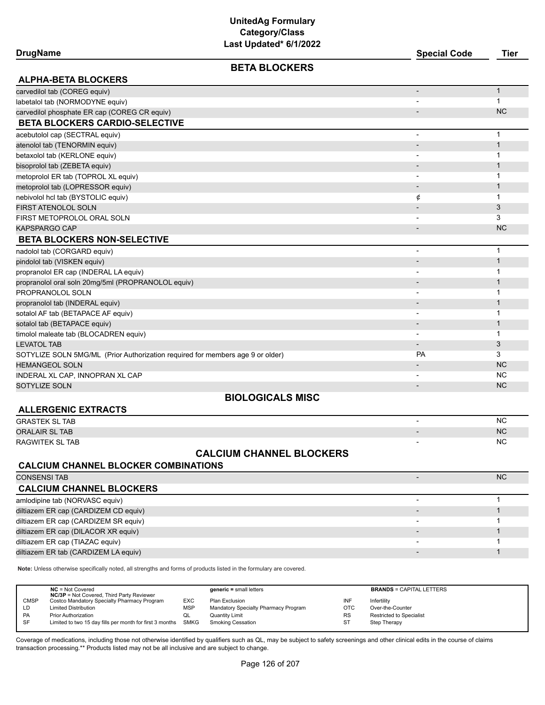| DrugName |
|----------|
|          |

### **BETA BLOCKERS**

**DrugName Special Code Tier**

| <b>ALPHA-BETA BLOCKERS</b>                         |   |           |
|----------------------------------------------------|---|-----------|
| carvedilol tab (COREG equiv)                       |   |           |
| labetalol tab (NORMODYNE equiv)                    |   |           |
| carvedilol phosphate ER cap (COREG CR equiv)       |   | <b>NC</b> |
| <b>BETA BLOCKERS CARDIO-SELECTIVE</b>              |   |           |
| acebutolol cap (SECTRAL equiv)                     |   |           |
| atenolol tab (TENORMIN equiv)                      |   |           |
| betaxolol tab (KERLONE equiv)                      |   |           |
| bisoprolol tab (ZEBETA equiv)                      |   |           |
| metoprolol ER tab (TOPROL XL equiv)                |   |           |
| metoprolol tab (LOPRESSOR equiv)                   |   |           |
| nebivolol hcl tab (BYSTOLIC equiv)                 | ¢ |           |
| <b>FIRST ATENOLOL SOLN</b>                         |   | 3         |
| FIRST METOPROLOL ORAL SOLN                         |   | 3         |
| <b>KAPSPARGO CAP</b>                               |   | <b>NC</b> |
| <b>BETA BLOCKERS NON-SELECTIVE</b>                 |   |           |
| nadolol tab (CORGARD equiv)                        |   |           |
| pindolol tab (VISKEN equiv)                        |   |           |
| propranolol ER cap (INDERAL LA equiv)              |   |           |
| propranolol oral soln 20mg/5ml (PROPRANOLOL equiv) |   |           |
| PROPRANOLOL SOLN                                   |   |           |
| propranolol tab (INDERAL equiv)                    |   |           |
|                                                    |   |           |

| sotalol AF tab (BETAPACE AF equiv)                                             |           |           |
|--------------------------------------------------------------------------------|-----------|-----------|
| sotalol tab (BETAPACE equiv)                                                   |           |           |
| timolol maleate tab (BLOCADREN equiv)                                          |           |           |
| <b>LEVATOL TAB</b>                                                             |           |           |
| SOTYLIZE SOLN 5MG/ML (Prior Authorization required for members age 9 or older) | <b>PA</b> |           |
| <b>HEMANGEOL SOLN</b>                                                          |           | <b>NC</b> |
| INDERAL XL CAP, INNOPRAN XL CAP                                                |           | <b>NC</b> |
| SOTYLIZE SOLN                                                                  |           | <b>NC</b> |

# **BIOLOGICALS MISC**

| <b>ALLERGENIC EXTRACTS</b> |                          |           |
|----------------------------|--------------------------|-----------|
| <b>GRASTEK SL TAB</b>      | $\overline{\phantom{0}}$ | <b>NC</b> |
| ORALAIR SL TAB             | $\overline{\phantom{0}}$ | <b>NC</b> |
| RAGWITEK SL TAB            |                          | NC        |

#### **CALCIUM CHANNEL BLOCKERS**

# **CALCIUM CHANNEL BLOCKER COMBINATIONS**

#### $\sim$  CONSENSI TAB  $\sim$  NC  $\sim$  NC  $\sim$  NC  $\sim$  NC  $\sim$  NC  $\sim$  NC  $\sim$  NC  $\sim$  NC  $\sim$  NC  $\sim$  NC  $\sim$  NC  $\sim$  NC  $\sim$  NC  $\sim$  NC  $\sim$  NC  $\sim$  NC  $\sim$  NC  $\sim$  NC  $\sim$  NC  $\sim$  NC  $\sim$  NC  $\sim$  NC  $\sim$  NC  $\sim$  NC  $\sim$  NC  $\sim$ **CALCIUM CHANNEL BLOCKERS** amlodipine tab (NORVASC equiv) and the control of the control of the control of the control of the control of the control of the control of the control of the control of the control of the control of the control of the con diltiazem ER cap (CARDIZEM CD equiv) - 1 diltiazem ER cap (CARDIZEM SR equiv) and the state of the state of the state of the state of the state of the state of the state of the state of the state of the state of the state of the state of the state of the state of diltiazem ER cap (DILACOR XR equiv) - 1 diltiazem ER cap (TIAZAC equiv) and the control of the control of the control of the control of the control of the control of the control of the control of the control of the control of the control of the control of the co diltiazem ER tab (CARDIZEM LA equiv) - 1

**Note:** Unless otherwise specifically noted, all strengths and forms of products listed in the formulary are covered.

|             | $NC = Not Covered$<br><b>NC/3P</b> = Not Covered, Third Party Reviewer |           | $generic = small letters$            |           | <b>BRANDS = CAPITAL LETTERS</b> |
|-------------|------------------------------------------------------------------------|-----------|--------------------------------------|-----------|---------------------------------|
| <b>CMSP</b> | Costco Mandatory Specialty Pharmacy Program                            | EXC       | Plan Exclusion                       | INF       | Infertility                     |
| LD          | <b>Limited Distribution</b>                                            | MSP       | Mandatory Specialty Pharmacy Program | OTC       | Over-the-Counter                |
| PA          | <b>Prior Authorization</b>                                             | <b>UL</b> | <b>Quantity Limit</b>                | <b>RS</b> | Restricted to Specialist        |
| SF          | Limited to two 15 day fills per month for first 3 months SMKG          |           | <b>Smoking Cessation</b>             | ST        | Step Therapy                    |
|             |                                                                        |           |                                      |           |                                 |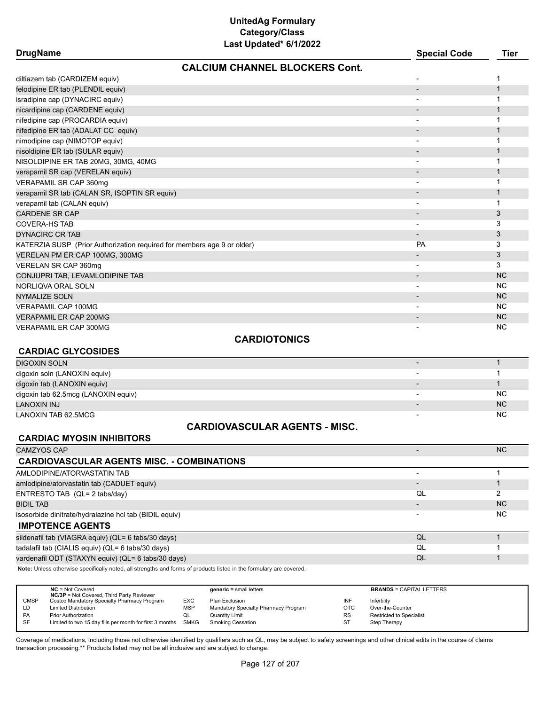| <b>CALCIUM CHANNEL BLOCKERS Cont.</b>                                   |                          |              |
|-------------------------------------------------------------------------|--------------------------|--------------|
| diltiazem tab (CARDIZEM equiv)                                          |                          | 1            |
| felodipine ER tab (PLENDIL equiv)                                       | $\overline{\phantom{a}}$ | $\mathbf{1}$ |
| isradipine cap (DYNACIRC equiv)                                         |                          | 1            |
| nicardipine cap (CARDENE equiv)                                         |                          | 1            |
| nifedipine cap (PROCARDIA equiv)                                        | $\blacksquare$           | 1            |
| nifedipine ER tab (ADALAT CC equiv)                                     |                          | 1            |
| nimodipine cap (NIMOTOP equiv)                                          |                          | 1            |
| nisoldipine ER tab (SULAR equiv)                                        | $\blacksquare$           | 1            |
| NISOLDIPINE ER TAB 20MG, 30MG, 40MG                                     | $\blacksquare$           | 1            |
| verapamil SR cap (VERELAN equiv)                                        | $\blacksquare$           | 1            |
| VERAPAMIL SR CAP 360mg                                                  |                          | 1            |
| verapamil SR tab (CALAN SR, ISOPTIN SR equiv)                           |                          | 1            |
| verapamil tab (CALAN equiv)                                             |                          | 1            |
| <b>CARDENE SR CAP</b>                                                   |                          | 3            |
| <b>COVERA-HS TAB</b>                                                    | $\overline{\phantom{a}}$ | 3            |
| <b>DYNACIRC CR TAB</b>                                                  | $\overline{\phantom{a}}$ | 3            |
| KATERZIA SUSP (Prior Authorization required for members age 9 or older) | PA                       | 3            |
| VERELAN PM ER CAP 100MG, 300MG                                          | $\overline{\phantom{a}}$ | 3            |
| VERELAN SR CAP 360mg                                                    |                          | 3            |
| CONJUPRI TAB, LEVAMLODIPINE TAB                                         | $\overline{\phantom{a}}$ | <b>NC</b>    |
| NORLIQVA ORAL SOLN                                                      | $\overline{\phantom{a}}$ | <b>NC</b>    |
| <b>NYMALIZE SOLN</b>                                                    |                          | <b>NC</b>    |
| <b>VERAPAMIL CAP 100MG</b>                                              |                          | <b>NC</b>    |
| <b>VERAPAMIL ER CAP 200MG</b>                                           |                          | <b>NC</b>    |
| <b>VERAPAMIL ER CAP 300MG</b>                                           |                          | <b>NC</b>    |
| <b>CARDIOTONICS</b>                                                     |                          |              |
| <b>CARDIAC GLYCOSIDES</b>                                               |                          |              |
| <b>DIGOXIN SOLN</b>                                                     | $\overline{\phantom{a}}$ | $\mathbf{1}$ |
| digoxin soln (LANOXIN equiv)                                            |                          | 1            |
| digoxin tab (LANOXIN equiv)                                             |                          | 1            |
| digoxin tab 62.5mcg (LANOXIN equiv)                                     |                          | <b>NC</b>    |

# **CARDIOVASCULAR AGENTS - MISC.**

LANOXIN INJ NASA NA MARANJI NA MARANJI NA MARANJI NA MARANJI NA MARANJI NA MARANJI NA MARANJI NA MARANJI NA MC LANOXIN TAB 62.5MCG - NC

#### **CARDIAC MYOSIN INHIBITORS**

| CAMZYOS CAP                                            |    | <b>NC</b>      |
|--------------------------------------------------------|----|----------------|
| <b>CARDIOVASCULAR AGENTS MISC. - COMBINATIONS</b>      |    |                |
| AMLODIPINE/ATORVASTATIN TAB                            |    |                |
| amlodipine/atorvastatin tab (CADUET equiv)             |    |                |
| ENTRESTO TAB (QL= 2 tabs/day)                          | QL |                |
| <b>BIDIL TAB</b>                                       |    | N <sub>C</sub> |
| isosorbide dinitrate/hydralazine hcl tab (BIDIL equiv) |    | NC.            |
| <b>IMPOTENCE AGENTS</b>                                |    |                |
| sildenafil tab (VIAGRA equiv) (QL= 6 tabs/30 days)     | QL |                |
| tadalafil tab (CIALIS equiv) (QL= 6 tabs/30 days)      | QL |                |
| vardenafil ODT (STAXYN equiv) (QL= 6 tabs/30 days)     | QL |                |
|                                                        |    |                |

**Note:** Unless otherwise specifically noted, all strengths and forms of products listed in the formulary are covered.

|             | $NC = Not Covered$<br><b>NC/3P</b> = Not Covered, Third Party Reviewer |            | $generic = small letters$            |            | <b>BRANDS = CAPITAL LETTERS</b> |
|-------------|------------------------------------------------------------------------|------------|--------------------------------------|------------|---------------------------------|
| <b>CMSP</b> | Costco Mandatory Specialty Pharmacy Program                            | EXC        | Plan Exclusion                       | INF        | Infertility                     |
| LD          | <b>Limited Distribution</b>                                            | <b>MSP</b> | Mandatory Specialty Pharmacy Program | <b>OTC</b> | Over-the-Counter                |
| <b>PA</b>   | <b>Prior Authorization</b>                                             | QL         | <b>Quantity Limit</b>                | <b>RS</b>  | <b>Restricted to Specialist</b> |
| SF          | Limited to two 15 day fills per month for first 3 months SMKG          |            | Smoking Cessation                    | <b>ST</b>  | Step Therapy                    |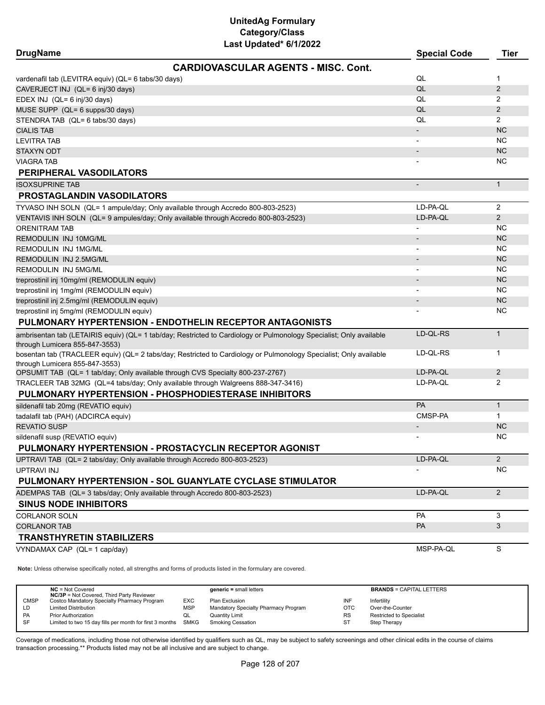| <b>DrugName</b>                                                                    |                                                                                                                     | <b>Special Code</b>          | <b>Tier</b>    |
|------------------------------------------------------------------------------------|---------------------------------------------------------------------------------------------------------------------|------------------------------|----------------|
|                                                                                    | <b>CARDIOVASCULAR AGENTS - MISC. Cont.</b>                                                                          |                              |                |
| vardenafil tab (LEVITRA equiv) (QL= 6 tabs/30 days)                                |                                                                                                                     | QL                           | 1              |
| CAVERJECT INJ (QL= 6 inj/30 days)                                                  |                                                                                                                     | QL                           | 2              |
| EDEX INJ (QL= 6 inj/30 days)                                                       |                                                                                                                     | QL                           | 2              |
| MUSE SUPP (QL= 6 supps/30 days)                                                    |                                                                                                                     | QL                           | 2              |
| STENDRA TAB (QL= 6 tabs/30 days)                                                   |                                                                                                                     | QL                           | $\overline{2}$ |
| <b>CIALIS TAB</b>                                                                  |                                                                                                                     | $\overline{\phantom{a}}$     | <b>NC</b>      |
| <b>LEVITRA TAB</b>                                                                 |                                                                                                                     |                              | NC             |
| <b>STAXYN ODT</b>                                                                  |                                                                                                                     | $\qquad \qquad \blacksquare$ | <b>NC</b>      |
| <b>VIAGRA TAB</b>                                                                  |                                                                                                                     |                              | NC             |
| PERIPHERAL VASODILATORS                                                            |                                                                                                                     |                              |                |
| <b>ISOXSUPRINE TAB</b>                                                             |                                                                                                                     | $\overline{\phantom{0}}$     | $\mathbf{1}$   |
| <b>PROSTAGLANDIN VASODILATORS</b>                                                  |                                                                                                                     |                              |                |
| TYVASO INH SOLN (QL= 1 ampule/day; Only available through Accredo 800-803-2523)    |                                                                                                                     | LD-PA-QL                     | 2              |
| VENTAVIS INH SOLN (QL= 9 ampules/day; Only available through Accredo 800-803-2523) |                                                                                                                     | LD-PA-QL                     | $\overline{2}$ |
| <b>ORENITRAM TAB</b>                                                               |                                                                                                                     |                              | NC             |
| REMODULIN INJ 10MG/ML                                                              |                                                                                                                     | $\overline{\phantom{0}}$     | <b>NC</b>      |
| <b>REMODULIN INJ 1MG/ML</b>                                                        |                                                                                                                     |                              | NC             |
| REMODULIN INJ 2.5MG/ML                                                             |                                                                                                                     |                              | <b>NC</b>      |
| REMODULIN INJ 5MG/ML                                                               |                                                                                                                     |                              | NC             |
| treprostinil inj 10mg/ml (REMODULIN equiv)                                         |                                                                                                                     | $\overline{\phantom{a}}$     | <b>NC</b>      |
| treprostinil inj 1mg/ml (REMODULIN equiv)                                          |                                                                                                                     |                              | NC             |
| treprostinil inj 2.5mg/ml (REMODULIN equiv)                                        |                                                                                                                     |                              | <b>NC</b>      |
| treprostinil inj 5mg/ml (REMODULIN equiv)                                          |                                                                                                                     |                              | ΝC             |
|                                                                                    | PULMONARY HYPERTENSION - ENDOTHELIN RECEPTOR ANTAGONISTS                                                            |                              |                |
|                                                                                    | ambrisentan tab (LETAIRIS equiv) (QL= 1 tab/day; Restricted to Cardiology or Pulmonology Specialist; Only available | LD-QL-RS                     | $\mathbf{1}$   |
| through Lumicera 855-847-3553)                                                     |                                                                                                                     |                              |                |
| through Lumicera 855-847-3553)                                                     | bosentan tab (TRACLEER equiv) (QL= 2 tabs/day; Restricted to Cardiology or Pulmonology Specialist; Only available   | LD-QL-RS                     | 1              |
| OPSUMIT TAB (QL= 1 tab/day; Only available through CVS Specialty 800-237-2767)     |                                                                                                                     | LD-PA-QL                     | $\overline{2}$ |
| TRACLEER TAB 32MG (QL=4 tabs/day; Only available through Walgreens 888-347-3416)   |                                                                                                                     | LD-PA-QL                     | 2              |
| PULMONARY HYPERTENSION - PHOSPHODIESTERASE INHIBITORS                              |                                                                                                                     |                              |                |
| sildenafil tab 20mg (REVATIO equiv)                                                |                                                                                                                     | PA                           | $\mathbf{1}$   |
| tadalafil tab (PAH) (ADCIRCA equiv)                                                |                                                                                                                     | CMSP-PA                      | $\mathbf{1}$   |
| <b>REVATIO SUSP</b>                                                                |                                                                                                                     |                              | <b>NC</b>      |
| sildenafil susp (REVATIO equiv)                                                    |                                                                                                                     |                              | NC.            |
|                                                                                    | PULMONARY HYPERTENSION - PROSTACYCLIN RECEPTOR AGONIST                                                              |                              |                |
| UPTRAVI TAB (QL= 2 tabs/day; Only available through Accredo 800-803-2523)          |                                                                                                                     | LD-PA-QL                     | $\overline{2}$ |
| UPTRAVI INJ                                                                        |                                                                                                                     |                              | NC             |
|                                                                                    | PULMONARY HYPERTENSION - SOL GUANYLATE CYCLASE STIMULATOR                                                           |                              |                |
| ADEMPAS TAB (QL= 3 tabs/day; Only available through Accredo 800-803-2523)          |                                                                                                                     | LD-PA-QL                     | $\overline{2}$ |
| <b>SINUS NODE INHIBITORS</b>                                                       |                                                                                                                     |                              |                |
| <b>CORLANOR SOLN</b>                                                               |                                                                                                                     | <b>PA</b>                    | 3              |
| <b>CORLANOR TAB</b>                                                                |                                                                                                                     | PA                           | 3              |
| <b>TRANSTHYRETIN STABILIZERS</b>                                                   |                                                                                                                     |                              |                |
| VYNDAMAX CAP (QL= 1 cap/day)                                                       |                                                                                                                     | MSP-PA-QL                    | S              |

**Note:** Unless otherwise specifically noted, all strengths and forms of products listed in the formulary are covered.

|             | $NC = Not Covered$<br><b>NC/3P</b> = Not Covered, Third Party Reviewer |             | $generic = small letters$            |            | <b>BRANDS = CAPITAL LETTERS</b> |
|-------------|------------------------------------------------------------------------|-------------|--------------------------------------|------------|---------------------------------|
| <b>CMSP</b> | Costco Mandatory Specialty Pharmacy Program                            | <b>EXC</b>  | Plan Exclusion                       | INF        | Infertility                     |
| LD          | <b>Limited Distribution</b>                                            | MSP         | Mandatory Specialty Pharmacy Program | <b>OTC</b> | Over-the-Counter                |
| <b>PA</b>   | <b>Prior Authorization</b>                                             | QL          | <b>Quantity Limit</b>                | <b>RS</b>  | Restricted to Specialist        |
| SF          | Limited to two 15 day fills per month for first 3 months               | <b>SMKG</b> | <b>Smoking Cessation</b>             | <b>ST</b>  | Step Therapy                    |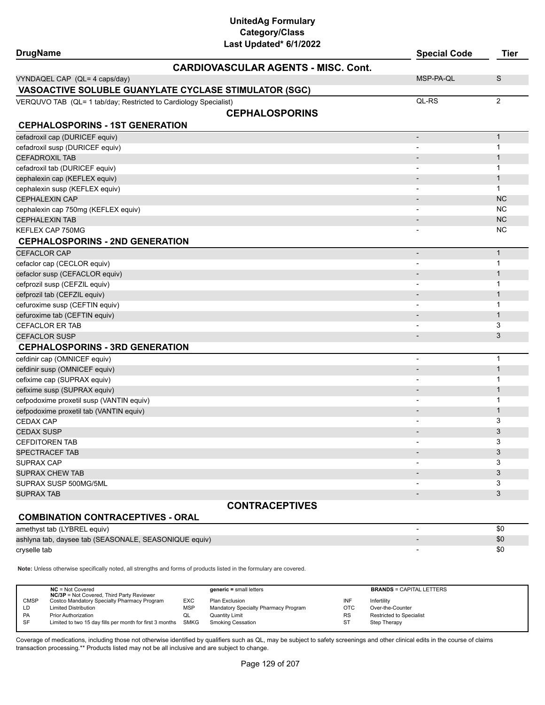| Last Updated* 6/1/2022<br><b>DrugName</b>                        | <b>Special Code</b>      | <b>Tier</b>    |
|------------------------------------------------------------------|--------------------------|----------------|
| <b>CARDIOVASCULAR AGENTS - MISC, Cont.</b>                       |                          |                |
| VYNDAQEL CAP (QL= 4 caps/day)                                    | MSP-PA-QL                | S              |
| VASOACTIVE SOLUBLE GUANYLATE CYCLASE STIMULATOR (SGC)            |                          |                |
| VERQUVO TAB (QL= 1 tab/day; Restricted to Cardiology Specialist) | QL-RS                    | $\overline{2}$ |
| <b>CEPHALOSPORINS</b>                                            |                          |                |
| <b>CEPHALOSPORINS - 1ST GENERATION</b>                           |                          |                |
| cefadroxil cap (DURICEF equiv)                                   | $\overline{\phantom{m}}$ | $\mathbf{1}$   |
| cefadroxil susp (DURICEF equiv)                                  |                          | 1              |
| <b>CEFADROXIL TAB</b>                                            |                          | $\mathbf{1}$   |
| cefadroxil tab (DURICEF equiv)                                   |                          | 1              |
| cephalexin cap (KEFLEX equiv)                                    |                          | 1              |
| cephalexin susp (KEFLEX equiv)                                   |                          | $\mathbf{1}$   |
| CEPHALEXIN CAP                                                   |                          | <b>NC</b>      |
| cephalexin cap 750mg (KEFLEX equiv)                              |                          | <b>NC</b>      |
| <b>CEPHALEXIN TAB</b>                                            |                          | <b>NC</b>      |
| KEFLEX CAP 750MG                                                 |                          | <b>NC</b>      |
| <b>CEPHALOSPORINS - 2ND GENERATION</b>                           |                          |                |
| <b>CEFACLOR CAP</b>                                              | $\overline{\phantom{a}}$ | $\mathbf{1}$   |
| cefaclor cap (CECLOR equiv)                                      |                          | 1              |
| cefaclor susp (CEFACLOR equiv)                                   |                          | 1              |
| cefprozil susp (CEFZIL equiv)                                    |                          | 1              |
| cefprozil tab (CEFZIL equiv)                                     |                          | $\mathbf{1}$   |
| cefuroxime susp (CEFTIN equiv)                                   |                          | 1              |
| cefuroxime tab (CEFTIN equiv)                                    |                          | 1              |
| CEFACLOR ER TAB                                                  |                          | 3              |
| <b>CEFACLOR SUSP</b>                                             |                          | 3              |
| <b>CEPHALOSPORINS - 3RD GENERATION</b>                           |                          |                |
| cefdinir cap (OMNICEF equiv)                                     |                          | 1              |
| cefdinir susp (OMNICEF equiv)                                    |                          | $\mathbf{1}$   |
| cefixime cap (SUPRAX equiv)                                      |                          | 1              |
| cefixime susp (SUPRAX equiv)                                     |                          | 1              |
| cefpodoxime proxetil susp (VANTIN equiv)                         |                          | 1              |
| cefpodoxime proxetil tab (VANTIN equiv)                          |                          | 1              |
| CEDAX CAP                                                        |                          | 3              |
| <b>CEDAX SUSP</b>                                                |                          | 3              |
| <b>CEFDITOREN TAB</b>                                            |                          | 3              |
| <b>SPECTRACEF TAB</b>                                            |                          | 3              |
| SUPRAX CAP                                                       |                          | 3              |
| SUPRAX CHEW TAB                                                  |                          | 3              |
| SUPRAX SUSP 500MG/5ML                                            |                          | 3              |
| SUPRAX TAB                                                       |                          | 3              |
| <b>CONTRACEPTIVES</b>                                            |                          |                |
| <b>COMBINATION CONTRACEPTIVES - ORAL</b>                         |                          |                |

amethyst tab (LYBREL equiv)  $\sim$  \$0

ashlyna tab, daysee tab (SEASONALE, SEASONIQUE equiv) - \$0  $$0$ cryselle tab - \$0  $\,$  \$0  $\,$ 

**Note:** Unless otherwise specifically noted, all strengths and forms of products listed in the formulary are covered.

|             | $NC = Not Covered$<br><b>NC/3P</b> = Not Covered, Third Party Reviewer |            | $generic = small letters$            |            | <b>BRANDS = CAPITAL LETTERS</b> |
|-------------|------------------------------------------------------------------------|------------|--------------------------------------|------------|---------------------------------|
| <b>CMSP</b> | Costco Mandatory Specialty Pharmacy Program                            | EXC        | Plan Exclusion                       | INF        | Infertility                     |
| LD          | <b>Limited Distribution</b>                                            | <b>MSP</b> | Mandatory Specialty Pharmacy Program | <b>OTC</b> | Over-the-Counter                |
| <b>PA</b>   | <b>Prior Authorization</b>                                             | QL         | Quantity Limit                       | <b>RS</b>  | <b>Restricted to Specialist</b> |
| SF          | Limited to two 15 day fills per month for first 3 months SMKG          |            | <b>Smoking Cessation</b>             | ST         | Step Therapy                    |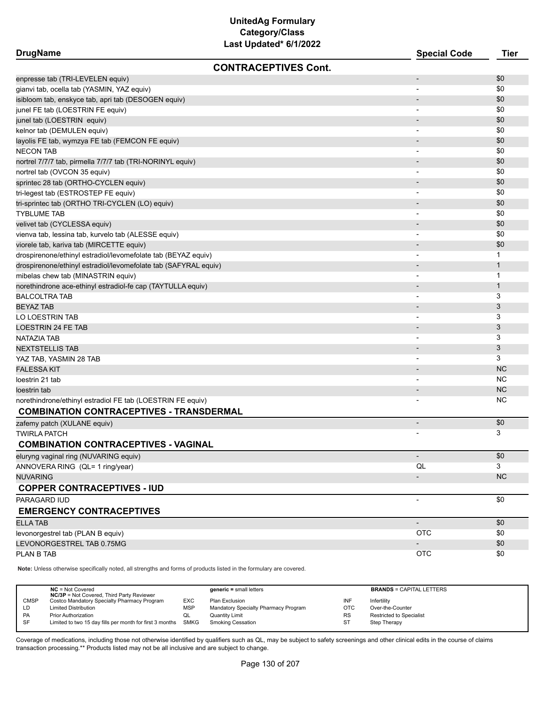**DrugName Special Code Tier CONTRACEPTIVES Cont.**

| enpresse tab (TRI-LEVELEN equiv)                                | $\qquad \qquad \blacksquare$ | \$0            |
|-----------------------------------------------------------------|------------------------------|----------------|
| gianvi tab, ocella tab (YASMIN, YAZ equiv)                      |                              | \$0            |
| isibloom tab, enskyce tab, apri tab (DESOGEN equiv)             |                              | \$0            |
| junel FE tab (LOESTRIN FE equiv)                                |                              | \$0            |
| junel tab (LOESTRIN equiv)                                      | $\overline{\phantom{a}}$     | \$0            |
| kelnor tab (DEMULEN equiv)                                      | $\overline{\phantom{a}}$     | \$0            |
| layolis FE tab, wymzya FE tab (FEMCON FE equiv)                 | $\overline{\phantom{a}}$     | \$0            |
| <b>NECON TAB</b>                                                |                              | \$0            |
| nortrel 7/7/7 tab, pirmella 7/7/7 tab (TRI-NORINYL equiv)       | $\overline{\phantom{a}}$     | \$0            |
| nortrel tab (OVCON 35 equiv)                                    |                              | \$0            |
| sprintec 28 tab (ORTHO-CYCLEN equiv)                            | $\overline{\phantom{a}}$     | \$0            |
| tri-legest tab (ESTROSTEP FE equiv)                             |                              | \$0            |
| tri-sprintec tab (ORTHO TRI-CYCLEN (LO) equiv)                  | $\overline{\phantom{a}}$     | \$0            |
| <b>TYBLUME TAB</b>                                              | $\overline{\phantom{0}}$     | \$0            |
| velivet tab (CYCLESSA equiv)                                    | $\overline{\phantom{a}}$     | \$0            |
| vienva tab, lessina tab, kurvelo tab (ALESSE equiv)             | $\overline{\phantom{0}}$     | \$0            |
| viorele tab, kariva tab (MIRCETTE equiv)                        |                              | \$0            |
| drospirenone/ethinyl estradiol/levomefolate tab (BEYAZ equiv)   | $\qquad \qquad \blacksquare$ | 1              |
| drospirenone/ethinyl estradiol/levomefolate tab (SAFYRAL equiv) |                              | $\mathbf{1}$   |
| mibelas chew tab (MINASTRIN equiv)                              |                              | 1              |
| norethindrone ace-ethinyl estradiol-fe cap (TAYTULLA equiv)     |                              | $\mathbf{1}$   |
| <b>BALCOLTRA TAB</b>                                            | $\blacksquare$               | 3              |
| <b>BEYAZ TAB</b>                                                | $\blacksquare$               | $\mathfrak{Z}$ |
| LO LOESTRIN TAB                                                 | $\overline{\phantom{a}}$     | 3              |
| <b>LOESTRIN 24 FE TAB</b>                                       | $\overline{\phantom{a}}$     | 3              |
| NATAZIA TAB                                                     | $\qquad \qquad \blacksquare$ | 3              |
| <b>NEXTSTELLIS TAB</b>                                          | $\overline{\phantom{a}}$     | 3              |
| YAZ TAB, YASMIN 28 TAB                                          |                              | 3              |
| <b>FALESSA KIT</b>                                              |                              | <b>NC</b>      |
| loestrin 21 tab                                                 |                              | <b>NC</b>      |
| loestrin tab                                                    | $\overline{\phantom{0}}$     | <b>NC</b>      |
| norethindrone/ethinyl estradiol FE tab (LOESTRIN FE equiv)      |                              | <b>NC</b>      |
| <b>COMBINATION CONTRACEPTIVES - TRANSDERMAL</b>                 |                              |                |
| zafemy patch (XULANE equiv)                                     | $\overline{\phantom{m}}$     | \$0            |
| <b>TWIRLA PATCH</b>                                             |                              | 3              |
| <b>COMBINATION CONTRACEPTIVES - VAGINAL</b>                     |                              |                |
| eluryng vaginal ring (NUVARING equiv)                           |                              | \$0            |
| ANNOVERA RING (QL= 1 ring/year)                                 | QL                           | 3              |
| <b>NUVARING</b>                                                 |                              | <b>NC</b>      |
| <b>COPPER CONTRACEPTIVES - IUD</b>                              |                              |                |
| PARAGARD IUD                                                    |                              | \$0            |
| <b>EMERGENCY CONTRACEPTIVES</b>                                 |                              |                |
| <b>ELLA TAB</b>                                                 | $\overline{\phantom{a}}$     | \$0            |
| levonorgestrel tab (PLAN B equiv)                               | <b>OTC</b>                   | \$0            |
| LEVONORGESTREL TAB 0.75MG                                       |                              | \$0            |
| PLAN B TAB                                                      | <b>OTC</b>                   | \$0            |
|                                                                 |                              |                |

**Note:** Unless otherwise specifically noted, all strengths and forms of products listed in the formulary are covered.

|             | $NC = Not Covered$<br><b>NC/3P</b> = Not Covered, Third Party Reviewer |            | $generic = small letters$            |            | <b>BRANDS = CAPITAL LETTERS</b> |
|-------------|------------------------------------------------------------------------|------------|--------------------------------------|------------|---------------------------------|
| <b>CMSP</b> | Costco Mandatory Specialty Pharmacy Program                            | <b>EXC</b> | Plan Exclusion                       | INF        | Infertility                     |
| LD          | <b>Limited Distribution</b>                                            | MSP        | Mandatory Specialty Pharmacy Program | <b>OTC</b> | Over-the-Counter                |
| PA          | <b>Prior Authorization</b>                                             | QL         | <b>Quantity Limit</b>                | <b>RS</b>  | Restricted to Specialist        |
| SF          | Limited to two 15 day fills per month for first 3 months SMKG          |            | <b>Smoking Cessation</b>             | <b>ST</b>  | Step Therapy                    |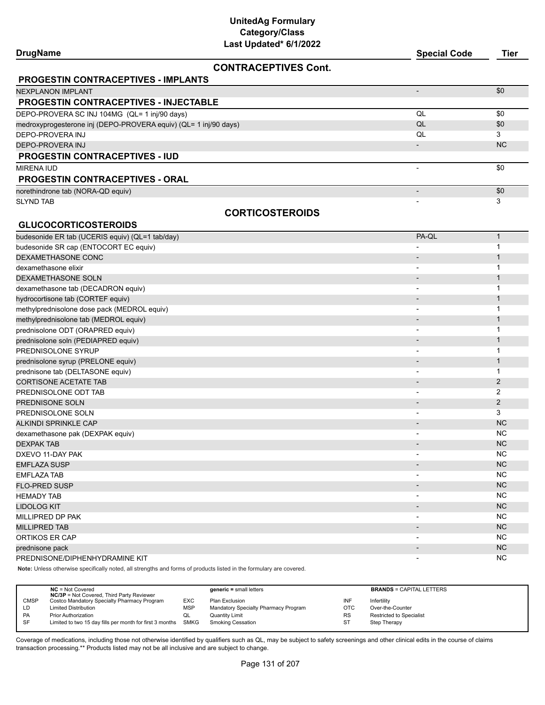| <b>DrugName</b>                                                  | <b>Special Code</b>      | Tier      |
|------------------------------------------------------------------|--------------------------|-----------|
| <b>CONTRACEPTIVES Cont.</b>                                      |                          |           |
| <b>PROGESTIN CONTRACEPTIVES - IMPLANTS</b>                       |                          |           |
| NEXPLANON IMPLANT                                                |                          | \$0       |
| <b>PROGESTIN CONTRACEPTIVES - INJECTABLE</b>                     |                          |           |
| DEPO-PROVERA SC INJ 104MG (QL= 1 inj/90 days)                    | QL                       | \$0       |
| medroxyprogesterone inj (DEPO-PROVERA equiv) (QL= 1 inj/90 days) | QL                       | \$0       |
| DEPO-PROVERA INJ                                                 | QL                       | 3         |
| DEPO-PROVERA INJ                                                 | $\overline{\phantom{0}}$ | <b>NC</b> |
| <b>PROGESTIN CONTRACEPTIVES - IUD</b>                            |                          |           |
| MIRENA IUD                                                       |                          | \$0       |
| <b>PROGESTIN CONTRACEPTIVES - ORAL</b>                           |                          |           |
| norethindrone tab (NORA-QD equiv)                                |                          | \$0       |
| <b>SLYND TAB</b>                                                 |                          | 3         |
| <b>CORTICOSTEROIDS</b>                                           |                          |           |

| <b>GLUCOCORTICOSTEROIDS</b>                     |                          |              |
|-------------------------------------------------|--------------------------|--------------|
| budesonide ER tab (UCERIS equiv) (QL=1 tab/day) | PA-QL                    | $\mathbf{1}$ |
| budesonide SR cap (ENTOCORT EC equiv)           |                          | 1            |
| DEXAMETHASONE CONC                              |                          | $\mathbf 1$  |
| dexamethasone elixir                            |                          | 1            |
| <b>DEXAMETHASONE SOLN</b>                       |                          | $\mathbf 1$  |
| dexamethasone tab (DECADRON equiv)              |                          | 1            |
| hydrocortisone tab (CORTEF equiv)               |                          | $\mathbf 1$  |
| methylprednisolone dose pack (MEDROL equiv)     |                          | 1            |
| methylprednisolone tab (MEDROL equiv)           |                          | $\mathbf 1$  |
| prednisolone ODT (ORAPRED equiv)                |                          | 1            |
| prednisolone soln (PEDIAPRED equiv)             |                          | $\mathbf 1$  |
| PREDNISOLONE SYRUP                              | $\blacksquare$           | 1            |
| prednisolone syrup (PRELONE equiv)              |                          | $\mathbf{1}$ |
| prednisone tab (DELTASONE equiv)                |                          | 1            |
| <b>CORTISONE ACETATE TAB</b>                    |                          | 2            |
| PREDNISOLONE ODT TAB                            |                          | 2            |
| PREDNISONE SOLN                                 |                          | 2            |
| PREDNISOLONE SOLN                               |                          | 3            |
| <b>ALKINDI SPRINKLE CAP</b>                     |                          | <b>NC</b>    |
| dexamethasone pak (DEXPAK equiv)                | $\overline{a}$           | <b>NC</b>    |
| <b>DEXPAK TAB</b>                               | $\blacksquare$           | NC           |
| DXEVO 11-DAY PAK                                |                          | <b>NC</b>    |
| <b>EMFLAZA SUSP</b>                             |                          | <b>NC</b>    |
| <b>EMFLAZA TAB</b>                              |                          | NC           |
| <b>FLO-PRED SUSP</b>                            |                          | <b>NC</b>    |
| <b>HEMADY TAB</b>                               |                          | <b>NC</b>    |
| <b>LIDOLOG KIT</b>                              |                          | <b>NC</b>    |
| MILLIPRED DP PAK                                | $\overline{\phantom{0}}$ | <b>NC</b>    |
| <b>MILLIPRED TAB</b>                            | $\overline{\phantom{a}}$ | <b>NC</b>    |
| ORTIKOS ER CAP                                  |                          | <b>NC</b>    |
| prednisone pack                                 |                          | <b>NC</b>    |
| PREDNISONE/DIPHENHYDRAMINE KIT                  |                          | <b>NC</b>    |

**Note:** Unless otherwise specifically noted, all strengths and forms of products listed in the formulary are covered.

|             | $NC = Not Covered$<br><b>NC/3P</b> = Not Covered, Third Party Reviewer |            | $generic = small letters$            |            | <b>BRANDS = CAPITAL LETTERS</b> |
|-------------|------------------------------------------------------------------------|------------|--------------------------------------|------------|---------------------------------|
| <b>CMSP</b> | Costco Mandatory Specialty Pharmacy Program                            | <b>EXC</b> | Plan Exclusion                       | INF        | Infertility                     |
| LD          | <b>Limited Distribution</b>                                            | MSP        | Mandatory Specialty Pharmacy Program | <b>OTC</b> | Over-the-Counter                |
| PA          | <b>Prior Authorization</b>                                             | QL         | Quantity Limit                       | <b>RS</b>  | Restricted to Specialist        |
| <b>SF</b>   | Limited to two 15 day fills per month for first 3 months SMKG          |            | <b>Smoking Cessation</b>             | -ST        | Step Therapy                    |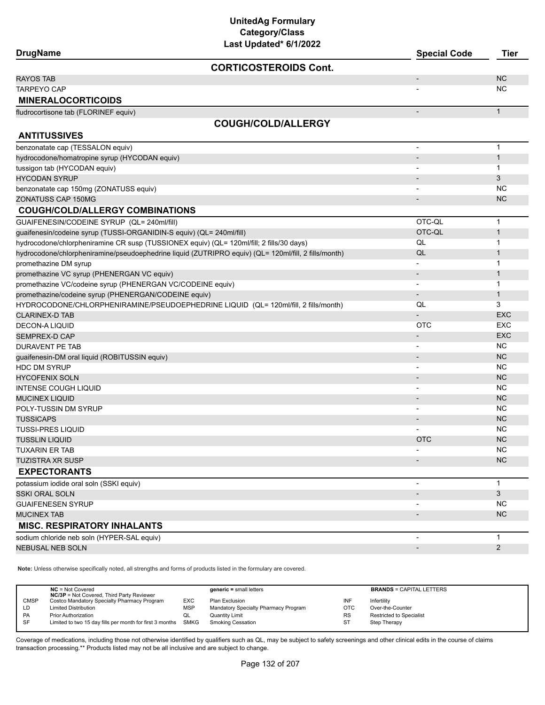| <b>DrugName</b>                                                                                      | Last updated" 6/1/2022       | <b>Special Code</b>      | Tier         |
|------------------------------------------------------------------------------------------------------|------------------------------|--------------------------|--------------|
|                                                                                                      | <b>CORTICOSTEROIDS Cont.</b> |                          |              |
| <b>RAYOS TAB</b>                                                                                     |                              | $\overline{a}$           | <b>NC</b>    |
| <b>TARPEYO CAP</b>                                                                                   |                              |                          | <b>NC</b>    |
| <b>MINERALOCORTICOIDS</b>                                                                            |                              |                          |              |
| fludrocortisone tab (FLORINEF equiv)                                                                 |                              | $\blacksquare$           | $\mathbf{1}$ |
|                                                                                                      | <b>COUGH/COLD/ALLERGY</b>    |                          |              |
| <b>ANTITUSSIVES</b>                                                                                  |                              |                          |              |
| benzonatate cap (TESSALON equiv)                                                                     |                              | $\overline{\phantom{a}}$ | $\mathbf{1}$ |
| hydrocodone/homatropine syrup (HYCODAN equiv)                                                        |                              |                          | $\mathbf{1}$ |
| tussigon tab (HYCODAN equiv)                                                                         |                              |                          | $\mathbf 1$  |
| <b>HYCODAN SYRUP</b>                                                                                 |                              |                          | 3            |
| benzonatate cap 150mg (ZONATUSS equiv)                                                               |                              |                          | <b>NC</b>    |
| ZONATUSS CAP 150MG                                                                                   |                              |                          | <b>NC</b>    |
| <b>COUGH/COLD/ALLERGY COMBINATIONS</b>                                                               |                              |                          |              |
| GUAIFENESIN/CODEINE SYRUP (QL= 240ml/fill)                                                           |                              | OTC-QL                   | $\mathbf{1}$ |
| guaifenesin/codeine syrup (TUSSI-ORGANIDIN-S equiv) (QL= 240ml/fill)                                 |                              | OTC-QL                   | $\mathbf 1$  |
| hydrocodone/chlorpheniramine CR susp (TUSSIONEX equiv) (QL= 120ml/fill; 2 fills/30 days)             |                              | QL                       | 1            |
| hydrocodone/chlorpheniramine/pseudoephedrine liquid (ZUTRIPRO equiv) (QL= 120ml/fill, 2 fills/month) |                              | QL                       | $\mathbf{1}$ |
| promethazine DM syrup                                                                                |                              |                          | 1            |
| promethazine VC syrup (PHENERGAN VC equiv)                                                           |                              |                          | $\mathbf{1}$ |
| promethazine VC/codeine syrup (PHENERGAN VC/CODEINE equiv)                                           |                              |                          | 1            |
| promethazine/codeine syrup (PHENERGAN/CODEINE equiv)                                                 |                              |                          | $\mathbf{1}$ |
| HYDROCODONE/CHLORPHENIRAMINE/PSEUDOEPHEDRINE LIQUID (QL= 120ml/fill, 2 fills/month)                  |                              | QL                       | 3            |
| <b>CLARINEX-D TAB</b>                                                                                |                              |                          | <b>EXC</b>   |
| <b>DECON-A LIQUID</b>                                                                                |                              | <b>OTC</b>               | <b>EXC</b>   |
| SEMPREX-D CAP                                                                                        |                              | $\overline{\phantom{a}}$ | <b>EXC</b>   |
| <b>DURAVENT PE TAB</b>                                                                               |                              |                          | <b>NC</b>    |
| guaifenesin-DM oral liquid (ROBITUSSIN equiv)                                                        |                              | $\overline{a}$           | <b>NC</b>    |
| <b>HDC DM SYRUP</b>                                                                                  |                              |                          | <b>NC</b>    |
| <b>HYCOFENIX SOLN</b>                                                                                |                              | $\overline{\phantom{a}}$ | <b>NC</b>    |
| <b>INTENSE COUGH LIQUID</b>                                                                          |                              | $\blacksquare$           | <b>NC</b>    |
| <b>MUCINEX LIQUID</b>                                                                                |                              |                          | <b>NC</b>    |
| POLY-TUSSIN DM SYRUP                                                                                 |                              |                          | ΝC           |
| <b>TUSSICAPS</b>                                                                                     |                              | $\overline{\phantom{a}}$ | <b>NC</b>    |
| <b>TUSSI-PRES LIQUID</b>                                                                             |                              |                          | <b>NC</b>    |
| <b>TUSSLIN LIQUID</b>                                                                                |                              | <b>OTC</b>               | <b>NC</b>    |
| <b>TUXARIN ER TAB</b>                                                                                |                              |                          | NC           |
| <b>TUZISTRA XR SUSP</b>                                                                              |                              |                          | <b>NC</b>    |
| <b>EXPECTORANTS</b>                                                                                  |                              |                          |              |
| potassium iodide oral soln (SSKI equiv)                                                              |                              |                          | $\mathbf{1}$ |
| <b>SSKI ORAL SOLN</b>                                                                                |                              |                          | 3            |
| <b>GUAIFENESEN SYRUP</b>                                                                             |                              |                          | <b>NC</b>    |
| <b>MUCINEX TAB</b>                                                                                   |                              |                          | <b>NC</b>    |
| <b>MISC. RESPIRATORY INHALANTS</b>                                                                   |                              |                          |              |
| sodium chloride neb soln (HYPER-SAL equiv)                                                           |                              | $\blacksquare$           | $\mathbf 1$  |
| NEBUSAL NEB SOLN                                                                                     |                              |                          | 2            |
|                                                                                                      |                              |                          |              |

**Note:** Unless otherwise specifically noted, all strengths and forms of products listed in the formulary are covered.

|             | $NC = Not Covered$<br><b>NC/3P</b> = Not Covered, Third Party Reviewer |            | $generic = small letters$            |           | <b>BRANDS = CAPITAL LETTERS</b> |
|-------------|------------------------------------------------------------------------|------------|--------------------------------------|-----------|---------------------------------|
| <b>CMSP</b> | Costco Mandatory Specialty Pharmacy Program                            | <b>EXC</b> | Plan Exclusion                       | INF       | Infertility                     |
| LD          | <b>Limited Distribution</b>                                            | <b>MSP</b> | Mandatory Specialty Pharmacy Program | OTC       | Over-the-Counter                |
| <b>PA</b>   | <b>Prior Authorization</b>                                             | w∟         | Quantity Limit                       | <b>RS</b> | <b>Restricted to Specialist</b> |
| SF          | Limited to two 15 day fills per month for first 3 months               | SMKG       | Smoking Cessation                    | ST        | Step Therapy                    |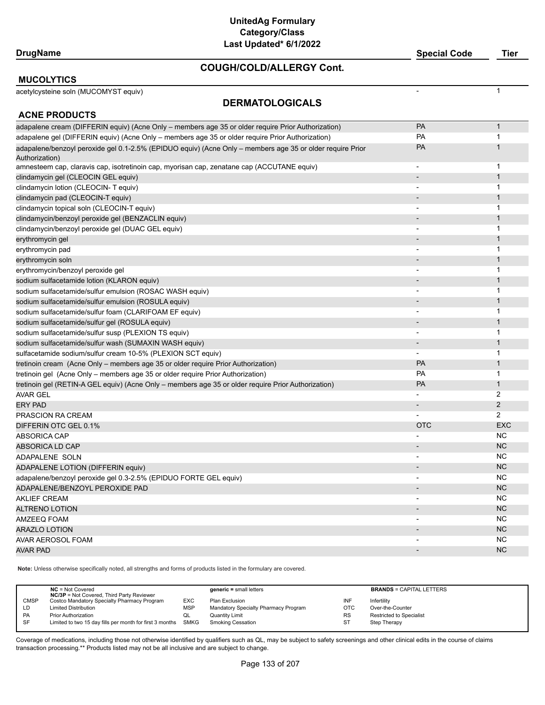#### **COUGH/COLD/ALLERGY Cont.**

**DrugName Special Code Tier**

#### **MUCOLYTICS**

acetylcysteine soln (MUCOMYST equiv) - 1

# **DERMATOLOGICALS**

| <b>ACNE PRODUCTS</b>                                                                                      |                          |                |
|-----------------------------------------------------------------------------------------------------------|--------------------------|----------------|
| adapalene cream (DIFFERIN equiv) (Acne Only – members age 35 or older require Prior Authorization)        | PA                       | $\mathbf{1}$   |
| adapalene gel (DIFFERIN equiv) (Acne Only - members age 35 or older require Prior Authorization)          | PA                       | 1              |
| adapalene/benzoyl peroxide gel 0.1-2.5% (EPIDUO equiv) (Acne Only – members age 35 or older require Prior | PA                       | $\mathbf{1}$   |
| Authorization)                                                                                            |                          |                |
| amnesteem cap, claravis cap, isotretinoin cap, myorisan cap, zenatane cap (ACCUTANE equiv)                | $\overline{\phantom{a}}$ | 1              |
| clindamycin gel (CLEOCIN GEL equiv)                                                                       | $\overline{\phantom{a}}$ | $\mathbf{1}$   |
| clindamycin lotion (CLEOCIN- T equiv)                                                                     |                          | 1              |
| clindamycin pad (CLEOCIN-T equiv)                                                                         |                          | $\mathbf{1}$   |
| clindamycin topical soln (CLEOCIN-T equiv)                                                                | $\overline{\phantom{a}}$ | $\mathbf 1$    |
| clindamycin/benzoyl peroxide gel (BENZACLIN equiv)                                                        |                          | $\mathbf{1}$   |
| clindamycin/benzoyl peroxide gel (DUAC GEL equiv)                                                         |                          | $\mathbf 1$    |
| erythromycin gel                                                                                          |                          | $\mathbf{1}$   |
| erythromycin pad                                                                                          |                          | $\mathbf 1$    |
| erythromycin soln                                                                                         |                          | $\mathbf{1}$   |
| erythromycin/benzoyl peroxide gel                                                                         |                          | $\mathbf 1$    |
| sodium sulfacetamide lotion (KLARON equiv)                                                                |                          | $\mathbf{1}$   |
| sodium sulfacetamide/sulfur emulsion (ROSAC WASH equiv)                                                   | $\blacksquare$           | $\mathbf 1$    |
| sodium sulfacetamide/sulfur emulsion (ROSULA equiv)                                                       |                          | $\mathbf{1}$   |
| sodium sulfacetamide/sulfur foam (CLARIFOAM EF equiv)                                                     | $\overline{\phantom{a}}$ | 1              |
| sodium sulfacetamide/sulfur gel (ROSULA equiv)                                                            |                          | $\mathbf{1}$   |
| sodium sulfacetamide/sulfur susp (PLEXION TS equiv)                                                       | $\overline{\phantom{a}}$ | 1              |
| sodium sulfacetamide/sulfur wash (SUMAXIN WASH equiv)                                                     |                          | $\mathbf{1}$   |
| sulfacetamide sodium/sulfur cream 10-5% (PLEXION SCT equiv)                                               | $\overline{\phantom{a}}$ | 1              |
| tretinoin cream (Acne Only – members age 35 or older require Prior Authorization)                         | PA                       | $\mathbf{1}$   |
| tretinoin gel (Acne Only – members age 35 or older require Prior Authorization)                           | PA                       | $\mathbf{1}$   |
| tretinoin gel (RETIN-A GEL equiv) (Acne Only – members age 35 or older require Prior Authorization)       | PA                       | $\mathbf{1}$   |
| <b>AVAR GEL</b>                                                                                           |                          | 2              |
| <b>ERY PAD</b>                                                                                            | $\overline{\phantom{a}}$ | $\overline{2}$ |
| PRASCION RA CREAM                                                                                         |                          | 2              |
| DIFFERIN OTC GEL 0.1%                                                                                     | <b>OTC</b>               | <b>EXC</b>     |
| <b>ABSORICA CAP</b>                                                                                       |                          | <b>NC</b>      |
| <b>ABSORICA LD CAP</b>                                                                                    | $\overline{\phantom{0}}$ | <b>NC</b>      |
| ADAPALENE SOLN                                                                                            | $\overline{\phantom{a}}$ | <b>NC</b>      |
| ADAPALENE LOTION (DIFFERIN equiv)                                                                         | $\overline{a}$           | <b>NC</b>      |
| adapalene/benzoyl peroxide gel 0.3-2.5% (EPIDUO FORTE GEL equiv)                                          | $\overline{\phantom{0}}$ | <b>NC</b>      |
| ADAPALENE/BENZOYL PEROXIDE PAD                                                                            |                          | <b>NC</b>      |
| <b>AKLIEF CREAM</b>                                                                                       |                          | <b>NC</b>      |
| <b>ALTRENO LOTION</b>                                                                                     |                          | <b>NC</b>      |
| AMZEEQ FOAM                                                                                               |                          | <b>NC</b>      |
| <b>ARAZLO LOTION</b>                                                                                      |                          | <b>NC</b>      |
| AVAR AEROSOL FOAM                                                                                         |                          | <b>NC</b>      |
| <b>AVAR PAD</b>                                                                                           |                          | <b>NC</b>      |

**Note:** Unless otherwise specifically noted, all strengths and forms of products listed in the formulary are covered.

|             | $NC = Not Covered$<br><b>NC/3P</b> = Not Covered, Third Party Reviewer |            | $generic = small letters$            |           | <b>BRANDS = CAPITAL LETTERS</b> |
|-------------|------------------------------------------------------------------------|------------|--------------------------------------|-----------|---------------------------------|
| <b>CMSP</b> | Costco Mandatory Specialty Pharmacy Program                            | <b>EXC</b> | Plan Exclusion                       | INF       | Infertility                     |
| LD          | <b>Limited Distribution</b>                                            | <b>MSP</b> | Mandatory Specialty Pharmacy Program | OTC       | Over-the-Counter                |
| <b>PA</b>   | <b>Prior Authorization</b>                                             | w∟         | <b>Quantity Limit</b>                | <b>RS</b> | Restricted to Specialist        |
| -SF         | Limited to two 15 day fills per month for first 3 months SMKG          |            | Smoking Cessation                    | ST        | Step Therapy                    |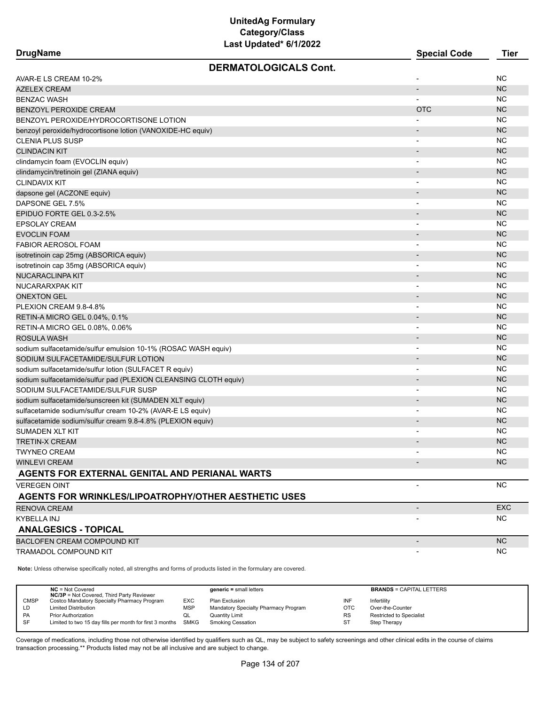| <b>DrugName</b>                                                 | <b>Special Code</b>      | <b>Tier</b> |
|-----------------------------------------------------------------|--------------------------|-------------|
| <b>DERMATOLOGICALS Cont.</b>                                    |                          |             |
| AVAR-E LS CREAM 10-2%                                           |                          | <b>NC</b>   |
| <b>AZELEX CREAM</b>                                             | $\overline{\phantom{a}}$ | <b>NC</b>   |
| <b>BENZAC WASH</b>                                              |                          | <b>NC</b>   |
| <b>BENZOYL PEROXIDE CREAM</b>                                   | <b>OTC</b>               | <b>NC</b>   |
| BENZOYL PEROXIDE/HYDROCORTISONE LOTION                          |                          | <b>NC</b>   |
| benzoyl peroxide/hydrocortisone lotion (VANOXIDE-HC equiv)      |                          | <b>NC</b>   |
| <b>CLENIA PLUS SUSP</b>                                         | ٠                        | <b>NC</b>   |
| <b>CLINDACIN KIT</b>                                            |                          | <b>NC</b>   |
| clindamycin foam (EVOCLIN equiv)                                |                          | <b>NC</b>   |
| clindamycin/tretinoin gel (ZIANA equiv)                         |                          | <b>NC</b>   |
| <b>CLINDAVIX KIT</b>                                            | $\blacksquare$           | <b>NC</b>   |
| dapsone gel (ACZONE equiv)                                      |                          | <b>NC</b>   |
| DAPSONE GEL 7.5%                                                | $\overline{\phantom{a}}$ | NC.         |
| EPIDUO FORTE GEL 0.3-2.5%                                       | $\overline{\phantom{a}}$ | <b>NC</b>   |
| <b>EPSOLAY CREAM</b>                                            | $\overline{\phantom{a}}$ | NC.         |
| <b>EVOCLIN FOAM</b>                                             | $\overline{\phantom{a}}$ | <b>NC</b>   |
| <b>FABIOR AEROSOL FOAM</b>                                      |                          | <b>NC</b>   |
| isotretinoin cap 25mg (ABSORICA equiv)                          | -                        | <b>NC</b>   |
| isotretinoin cap 35mg (ABSORICA equiv)                          | $\blacksquare$           | <b>NC</b>   |
| <b>NUCARACLINPA KIT</b>                                         | $\overline{\phantom{a}}$ | <b>NC</b>   |
| NUCARARXPAK KIT                                                 | $\overline{\phantom{a}}$ | <b>NC</b>   |
| <b>ONEXTON GEL</b>                                              | -                        | <b>NC</b>   |
| PLEXION CREAM 9.8-4.8%                                          | ٠                        | <b>NC</b>   |
| RETIN-A MICRO GEL 0.04%, 0.1%                                   | -                        | <b>NC</b>   |
| RETIN-A MICRO GEL 0.08%, 0.06%                                  | ٠                        | <b>NC</b>   |
| <b>ROSULA WASH</b>                                              | -                        | <b>NC</b>   |
| sodium sulfacetamide/sulfur emulsion 10-1% (ROSAC WASH equiv)   | $\blacksquare$           | <b>NC</b>   |
| SODIUM SULFACETAMIDE/SULFUR LOTION                              | $\overline{\phantom{a}}$ | <b>NC</b>   |
| sodium sulfacetamide/sulfur lotion (SULFACET R equiv)           | $\overline{\phantom{a}}$ | <b>NC</b>   |
| sodium sulfacetamide/sulfur pad (PLEXION CLEANSING CLOTH equiv) | $\blacksquare$           | <b>NC</b>   |
| SODIUM SULFACETAMIDE/SULFUR SUSP                                | $\overline{\phantom{a}}$ | NC.         |
| sodium sulfacetamide/sunscreen kit (SUMADEN XLT equiv)          | $\overline{\phantom{a}}$ | <b>NC</b>   |
| sulfacetamide sodium/sulfur cream 10-2% (AVAR-E LS equiv)       | $\overline{\phantom{a}}$ | <b>NC</b>   |
| sulfacetamide sodium/sulfur cream 9.8-4.8% (PLEXION equiv)      |                          | <b>NC</b>   |
| <b>SUMADEN XLT KIT</b>                                          |                          | NC.         |
| <b>TRETIN-X CREAM</b>                                           |                          | <b>NC</b>   |
| <b>TWYNEO CREAM</b>                                             | $\blacksquare$           | ΝC          |
| <b>WINLEVI CREAM</b>                                            |                          | <b>NC</b>   |
| AGENTS FOR EXTERNAL GENITAL AND PERIANAL WARTS                  |                          |             |
| <b>VEREGEN OINT</b>                                             | $\blacksquare$           | <b>NC</b>   |
| <b>AGENTS FOR WRINKLES/LIPOATROPHY/OTHER AESTHETIC USES</b>     |                          |             |
| <b>RENOVA CREAM</b>                                             |                          | <b>EXC</b>  |
| KYBELLA INJ                                                     |                          | NC.         |
| <b>ANALGESICS - TOPICAL</b>                                     |                          |             |
| <b>BACLOFEN CREAM COMPOUND KIT</b>                              |                          | <b>NC</b>   |
| <b>TRAMADOL COMPOUND KIT</b>                                    |                          | <b>NC</b>   |

**Note:** Unless otherwise specifically noted, all strengths and forms of products listed in the formulary are covered.

|             | $NC = Not Covered$<br><b>NC/3P</b> = Not Covered, Third Party Reviewer |            | $generic = small letters$            |            | <b>BRANDS = CAPITAL LETTERS</b> |
|-------------|------------------------------------------------------------------------|------------|--------------------------------------|------------|---------------------------------|
| <b>CMSP</b> | Costco Mandatory Specialty Pharmacy Program                            | EXC        | Plan Exclusion                       | INF        | Infertility                     |
| LD          | <b>Limited Distribution</b>                                            | <b>MSP</b> | Mandatory Specialty Pharmacy Program | <b>OTC</b> | Over-the-Counter                |
| PA          | <b>Prior Authorization</b>                                             | QL         | <b>Quantity Limit</b>                | RS         | Restricted to Specialist        |
| SF          | Limited to two 15 day fills per month for first 3 months SMKG          |            | <b>Smoking Cessation</b>             | ST         | Step Therapy                    |
|             |                                                                        |            |                                      |            |                                 |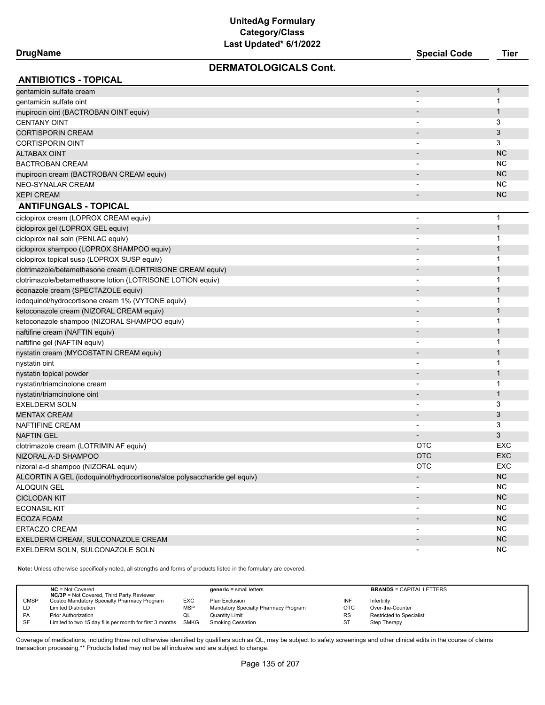### **DERMATOLOGICALS Cont.**

| <b>ANTIBIOTICS - TOPICAL</b>                                             |                          |              |
|--------------------------------------------------------------------------|--------------------------|--------------|
| gentamicin sulfate cream                                                 |                          | $\mathbf{1}$ |
| gentamicin sulfate oint                                                  |                          | 1            |
| mupirocin oint (BACTROBAN OINT equiv)                                    |                          | $\mathbf{1}$ |
| <b>CENTANY OINT</b>                                                      |                          | 3            |
| <b>CORTISPORIN CREAM</b>                                                 |                          | 3            |
| <b>CORTISPORIN OINT</b>                                                  |                          | 3            |
| <b>ALTABAX OINT</b>                                                      |                          | <b>NC</b>    |
| <b>BACTROBAN CREAM</b>                                                   | $\overline{\phantom{a}}$ | <b>NC</b>    |
| mupirocin cream (BACTROBAN CREAM equiv)                                  |                          | <b>NC</b>    |
| <b>NEO-SYNALAR CREAM</b>                                                 |                          | <b>NC</b>    |
| <b>XEPI CREAM</b>                                                        | $\overline{\phantom{a}}$ | <b>NC</b>    |
| <b>ANTIFUNGALS - TOPICAL</b>                                             |                          |              |
| ciclopirox cream (LOPROX CREAM equiv)                                    | $\overline{\phantom{a}}$ | $\mathbf 1$  |
| ciclopirox gel (LOPROX GEL equiv)                                        | $\overline{\phantom{a}}$ | $\mathbf{1}$ |
| ciclopirox nail soln (PENLAC equiv)                                      | $\overline{\phantom{a}}$ | 1            |
| ciclopirox shampoo (LOPROX SHAMPOO equiv)                                |                          | $\mathbf{1}$ |
| ciclopirox topical susp (LOPROX SUSP equiv)                              | $\overline{\phantom{a}}$ | 1            |
| clotrimazole/betamethasone cream (LORTRISONE CREAM equiv)                |                          | $\mathbf{1}$ |
| clotrimazole/betamethasone lotion (LOTRISONE LOTION equiv)               |                          | 1            |
| econazole cream (SPECTAZOLE equiv)                                       |                          | $\mathbf{1}$ |
| iodoquinol/hydrocortisone cream 1% (VYTONE equiv)                        |                          | $\mathbf 1$  |
| ketoconazole cream (NIZORAL CREAM equiv)                                 |                          | $\mathbf{1}$ |
| ketoconazole shampoo (NIZORAL SHAMPOO equiv)                             | $\overline{\phantom{a}}$ | 1            |
| naftifine cream (NAFTIN equiv)                                           |                          | $\mathbf{1}$ |
| naftifine gel (NAFTIN equiv)                                             |                          | 1            |
| nystatin cream (MYCOSTATIN CREAM equiv)                                  |                          | $\mathbf{1}$ |
| nystatin oint                                                            |                          | 1            |
| nystatin topical powder                                                  |                          | $\mathbf{1}$ |
| nystatin/triamcinolone cream                                             |                          | $\mathbf 1$  |
| nystatin/triamcinolone oint                                              | $\overline{\phantom{a}}$ | $\mathbf{1}$ |
| <b>EXELDERM SOLN</b>                                                     | $\overline{\phantom{a}}$ | 3            |
| <b>MENTAX CREAM</b>                                                      | $\overline{\phantom{a}}$ | 3            |
| NAFTIFINE CREAM                                                          | $\overline{\phantom{a}}$ | 3            |
| <b>NAFTIN GEL</b>                                                        |                          | 3            |
| clotrimazole cream (LOTRIMIN AF equiv)                                   | <b>OTC</b>               | EXC          |
| NIZORAL A-D SHAMPOO                                                      | <b>OTC</b>               | <b>EXC</b>   |
| nizoral a-d shampoo (NIZORAL equiv)                                      | <b>OTC</b>               | EXC          |
| ALCORTIN A GEL (iodoquinol/hydrocortisone/aloe polysaccharide gel equiv) |                          | ${\sf NC}$   |
| <b>ALOQUIN GEL</b>                                                       | $\overline{\phantom{a}}$ | <b>NC</b>    |
| <b>CICLODAN KIT</b>                                                      | $\overline{\phantom{a}}$ | $NC$         |
| <b>ECONASIL KIT</b>                                                      | $\overline{\phantom{a}}$ | <b>NC</b>    |
| <b>ECOZA FOAM</b>                                                        | $\overline{\phantom{a}}$ | NC           |
| ERTACZO CREAM                                                            | $\overline{\phantom{a}}$ | <b>NC</b>    |
| EXELDERM CREAM, SULCONAZOLE CREAM                                        |                          | NC           |
| EXELDERM SOLN, SULCONAZOLE SOLN                                          | $\overline{\phantom{a}}$ | NC           |
|                                                                          |                          |              |

**Note:** Unless otherwise specifically noted, all strengths and forms of products listed in the formulary are covered.

|             | $NC = Not Covered$<br><b>NC/3P</b> = Not Covered, Third Party Reviewer |     | $generic = small letters$            |           | <b>BRANDS = CAPITAL LETTERS</b> |
|-------------|------------------------------------------------------------------------|-----|--------------------------------------|-----------|---------------------------------|
| <b>CMSP</b> | Costco Mandatory Specialty Pharmacy Program                            | EXC | Plan Exclusion                       | INF       | Infertility                     |
| LD          | <b>Limited Distribution</b>                                            | MSP | Mandatory Specialty Pharmacy Program | OTC       | Over-the-Counter                |
| <b>PA</b>   | <b>Prior Authorization</b>                                             | ◡   | Quantity Limit                       | <b>RS</b> | <b>Restricted to Specialist</b> |
| <b>SF</b>   | Limited to two 15 day fills per month for first 3 months SMKG          |     | <b>Smoking Cessation</b>             | ST        | Step Therapy                    |
|             |                                                                        |     |                                      |           |                                 |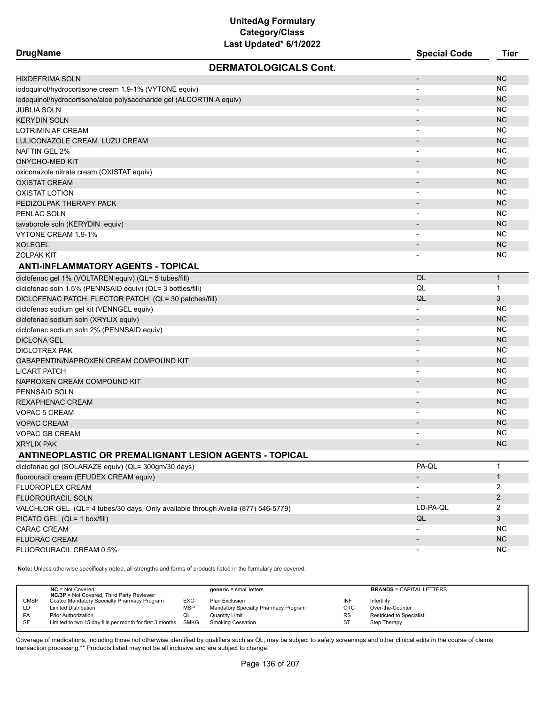| <b>DrugName</b>                                                                  | LUJI UPUULUU VIIILULL        | <b>Special Code</b>          | <b>Tier</b>    |
|----------------------------------------------------------------------------------|------------------------------|------------------------------|----------------|
|                                                                                  | <b>DERMATOLOGICALS Cont.</b> |                              |                |
| <b>HIXDEFRIMA SOLN</b>                                                           |                              |                              | <b>NC</b>      |
| iodoquinol/hydrocortisone cream 1.9-1% (VYTONE equiv)                            |                              |                              | <b>NC</b>      |
| iodoquinol/hydrocortisone/aloe polysaccharide gel (ALCORTIN A equiv)             |                              |                              | <b>NC</b>      |
| JUBLIA SOLN                                                                      |                              |                              | NC             |
| <b>KERYDIN SOLN</b>                                                              |                              |                              | <b>NC</b>      |
| LOTRIMIN AF CREAM                                                                |                              |                              | <b>NC</b>      |
| LULICONAZOLE CREAM, LUZU CREAM                                                   |                              | $\qquad \qquad \blacksquare$ | <b>NC</b>      |
| NAFTIN GEL 2%                                                                    |                              | $\overline{\phantom{a}}$     | NC             |
| <b>ONYCHO-MED KIT</b>                                                            |                              |                              | <b>NC</b>      |
| oxiconazole nitrate cream (OXISTAT equiv)                                        |                              |                              | NC             |
| <b>OXISTAT CREAM</b>                                                             |                              | $\overline{\phantom{a}}$     | <b>NC</b>      |
| <b>OXISTAT LOTION</b>                                                            |                              | $\overline{\phantom{0}}$     | NC             |
| PEDIZOLPAK THERAPY PACK                                                          |                              | $\overline{\phantom{a}}$     | <b>NC</b>      |
| PENLAC SOLN                                                                      |                              |                              | <b>NC</b>      |
| tavaborole soln (KERYDIN equiv)                                                  |                              |                              | <b>NC</b>      |
| VYTONE CREAM 1.9-1%                                                              |                              |                              | <b>NC</b>      |
| XOLEGEL                                                                          |                              |                              | <b>NC</b>      |
| <b>ZOLPAK KIT</b>                                                                |                              |                              | <b>NC</b>      |
| <b>ANTI-INFLAMMATORY AGENTS - TOPICAL</b>                                        |                              |                              |                |
| diclofenac gel 1% (VOLTAREN equiv) (QL= 5 tubes/fill)                            |                              | QL                           | $\mathbf{1}$   |
| diclofenac soln 1.5% (PENNSAID equiv) (QL= 3 bottles/fill)                       |                              | QL                           | $\mathbf 1$    |
| DICLOFENAC PATCH, FLECTOR PATCH (QL= 30 patches/fill)                            |                              | QL                           | 3              |
| diclofenac sodium gel kit (VENNGEL equiv)                                        |                              |                              | NC             |
| diclofenac sodium soln (XRYLIX equiv)                                            |                              |                              | <b>NC</b>      |
| diclofenac sodium soln 2% (PENNSAID equiv)                                       |                              | $\overline{\phantom{a}}$     | <b>NC</b>      |
| <b>DICLONA GEL</b>                                                               |                              |                              | <b>NC</b>      |
| DICLOTREX PAK                                                                    |                              |                              | <b>NC</b>      |
| GABAPENTIN/NAPROXEN CREAM COMPOUND KIT                                           |                              |                              | <b>NC</b>      |
| <b>LICART PATCH</b>                                                              |                              | $\blacksquare$               | <b>NC</b>      |
| NAPROXEN CREAM COMPOUND KIT                                                      |                              |                              | <b>NC</b>      |
| PENNSAID SOLN                                                                    |                              | $\qquad \qquad \blacksquare$ | <b>NC</b>      |
| REXAPHENAC CREAM                                                                 |                              | $\overline{\phantom{a}}$     | <b>NC</b>      |
| VOPAC 5 CREAM                                                                    |                              |                              | NC             |
| <b>VOPAC CREAM</b>                                                               |                              |                              | <b>NC</b>      |
| <b>VOPAC GB CREAM</b>                                                            |                              |                              | ΝC             |
| <b>XRYLIX PAK</b>                                                                |                              |                              | <b>NC</b>      |
| ANTINEOPLASTIC OR PREMALIGNANT LESION AGENTS - TOPICAL                           |                              |                              |                |
| diclofenac gel (SOLARAZE equiv) (QL= 300gm/30 days)                              |                              | PA-QL                        | 1              |
| fluorouracil cream (EFUDEX CREAM equiv)                                          |                              | $\overline{\phantom{a}}$     | $\mathbf{1}$   |
| <b>FLUOROPLEX CREAM</b>                                                          |                              |                              | 2              |
| FLUOROURACIL SOLN                                                                |                              | $\overline{\phantom{a}}$     | $\overline{2}$ |
| VALCHLOR GEL (QL= 4 tubes/30 days; Only available through Avella (877) 546-5779) |                              | LD-PA-QL                     | 2              |
| PICATO GEL (QL= 1 box/fill)                                                      |                              | QL                           | 3              |
| <b>CARAC CREAM</b>                                                               |                              |                              | NC             |
| <b>FLUORAC CREAM</b>                                                             |                              | $\overline{\phantom{a}}$     | NC.            |
| FLUOROURACIL CREAM 0.5%                                                          |                              |                              | ΝC             |
|                                                                                  |                              |                              |                |

**Note:** Unless otherwise specifically noted, all strengths and forms of products listed in the formulary are covered.

|                                   | <b>NC/3P</b> = Not Covered, Third Party Reviewer              |            | $generic = small letters$            |            | <b>BRANDS = CAPITAL LETTERS</b> |
|-----------------------------------|---------------------------------------------------------------|------------|--------------------------------------|------------|---------------------------------|
| <b>CMSP</b>                       | Costco Mandatory Specialty Pharmacy Program                   | <b>EXC</b> | Plan Exclusion                       | INF        | Infertility                     |
| <b>Limited Distribution</b><br>LD |                                                               | <b>MSP</b> | Mandatory Specialty Pharmacy Program | <b>OTC</b> | Over-the-Counter                |
| PA<br><b>Prior Authorization</b>  |                                                               | w∟         | <b>Quantity Limit</b>                | RS         | Restricted to Specialist        |
| SF                                | Limited to two 15 day fills per month for first 3 months SMKG |            | <b>Smoking Cessation</b>             | ST         | Step Therapy                    |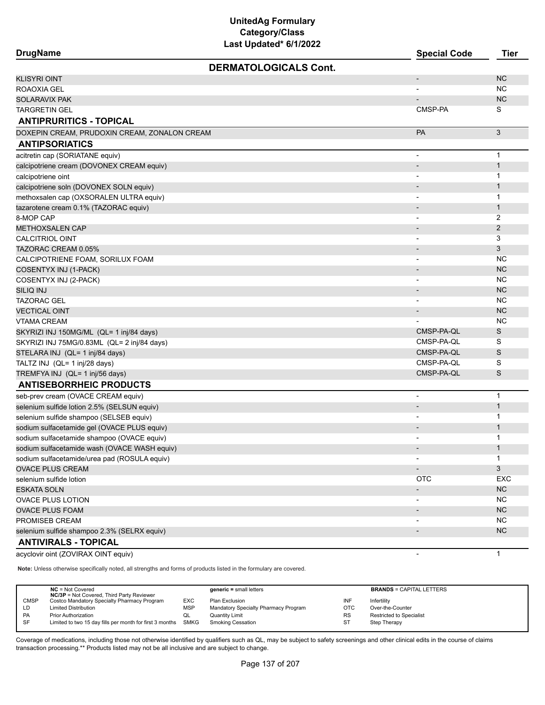| DrugName |
|----------|
|          |

| <b>DrugName</b>                              | <b>Special Code</b>      | Tier           |
|----------------------------------------------|--------------------------|----------------|
| <b>DERMATOLOGICALS Cont.</b>                 |                          |                |
| <b>KLISYRI OINT</b>                          | $\overline{\phantom{a}}$ | <b>NC</b>      |
| ROAOXIA GEL                                  |                          | <b>NC</b>      |
| SOLARAVIX PAK                                |                          | <b>NC</b>      |
| <b>TARGRETIN GEL</b>                         | CMSP-PA                  | S              |
| <b>ANTIPRURITICS - TOPICAL</b>               |                          |                |
| DOXEPIN CREAM, PRUDOXIN CREAM, ZONALON CREAM | PA                       | 3              |
| <b>ANTIPSORIATICS</b>                        |                          |                |
| acitretin cap (SORIATANE equiv)              | $\overline{\phantom{a}}$ | $\mathbf{1}$   |
| calcipotriene cream (DOVONEX CREAM equiv)    |                          | $\mathbf{1}$   |
| calcipotriene oint                           | $\overline{\phantom{a}}$ | 1              |
| calcipotriene soln (DOVONEX SOLN equiv)      | $\overline{\phantom{a}}$ | $\mathbf{1}$   |
| methoxsalen cap (OXSORALEN ULTRA equiv)      |                          | $\mathbf 1$    |
| tazarotene cream 0.1% (TAZORAC equiv)        |                          | $\mathbf{1}$   |
| 8-MOP CAP                                    |                          | 2              |
| <b>METHOXSALEN CAP</b>                       | $\overline{\phantom{a}}$ | $\overline{2}$ |
| <b>CALCITRIOL OINT</b>                       | $\overline{\phantom{a}}$ | 3              |
| TAZORAC CREAM 0.05%                          |                          | 3              |
| CALCIPOTRIENE FOAM, SORILUX FOAM             |                          | <b>NC</b>      |
| COSENTYX INJ (1-PACK)                        |                          | <b>NC</b>      |
| COSENTYX INJ (2-PACK)                        |                          | <b>NC</b>      |
| SILIQ INJ                                    |                          | <b>NC</b>      |
| <b>TAZORAC GEL</b>                           |                          | <b>NC</b>      |
| <b>VECTICAL OINT</b>                         |                          | <b>NC</b>      |
| <b>VTAMA CREAM</b>                           |                          | <b>NC</b>      |
| SKYRIZI INJ 150MG/ML (QL= 1 inj/84 days)     | CMSP-PA-QL               | S              |
| SKYRIZI INJ 75MG/0.83ML (QL= 2 inj/84 days)  | CMSP-PA-QL               | S              |
| STELARA INJ (QL= 1 inj/84 days)              | CMSP-PA-QL               | S              |
| TALTZ INJ (QL= 1 inj/28 days)                | CMSP-PA-QL               | S              |
| TREMFYA INJ (QL= 1 inj/56 days)              | CMSP-PA-QL               | S              |
| <b>ANTISEBORRHEIC PRODUCTS</b>               |                          |                |
| seb-prev cream (OVACE CREAM equiv)           | $\overline{\phantom{a}}$ | $\mathbf 1$    |
| selenium sulfide lotion 2.5% (SELSUN equiv)  |                          | $\mathbf{1}$   |
| selenium sulfide shampoo (SELSEB equiv)      |                          | 1              |
| sodium sulfacetamide gel (OVACE PLUS equiv)  |                          | $\mathbf{1}$   |
| sodium sulfacetamide shampoo (OVACE equiv)   |                          | 1              |
| sodium sulfacetamide wash (OVACE WASH equiv) |                          | $\mathbf{1}$   |
| sodium sulfacetamide/urea pad (ROSULA equiv) |                          | 1              |
| <b>OVACE PLUS CREAM</b>                      | $\overline{\phantom{a}}$ | 3              |
| selenium sulfide lotion                      | <b>OTC</b>               | EXC            |
| ESKATA SOLN                                  | $\overline{\phantom{a}}$ | <b>NC</b>      |
| <b>OVACE PLUS LOTION</b>                     |                          | <b>NC</b>      |
| <b>OVACE PLUS FOAM</b>                       | $\overline{\phantom{a}}$ | <b>NC</b>      |
| PROMISEB CREAM                               |                          | <b>NC</b>      |
| selenium sulfide shampoo 2.3% (SELRX equiv)  |                          | NC             |
| <b>ANTIVIRALS - TOPICAL</b>                  |                          |                |
| acyclovir oint (ZOVIRAX OINT equiv)          | $\overline{\phantom{a}}$ | $\mathbf{1}$   |

**Note:** Unless otherwise specifically noted, all strengths and forms of products listed in the formulary are covered.

|             | $NC = Not Covered$<br><b>NC/3P</b> = Not Covered, Third Party Reviewer |             | $generic = small letters$            |            | <b>BRANDS = CAPITAL LETTERS</b> |
|-------------|------------------------------------------------------------------------|-------------|--------------------------------------|------------|---------------------------------|
| <b>CMSP</b> | Costco Mandatory Specialty Pharmacy Program                            | <b>EXC</b>  | Plan Exclusion                       | INF        | Infertility                     |
| LD          | <b>Limited Distribution</b>                                            | <b>MSP</b>  | Mandatory Specialty Pharmacy Program | <b>OTC</b> | Over-the-Counter                |
| PA          | <b>Prior Authorization</b>                                             | QL          | <b>Quantity Limit</b>                | <b>RS</b>  | Restricted to Specialist        |
| <b>SF</b>   | Limited to two 15 day fills per month for first 3 months               | <b>SMKG</b> | <b>Smoking Cessation</b>             | ST         | Step Therapy                    |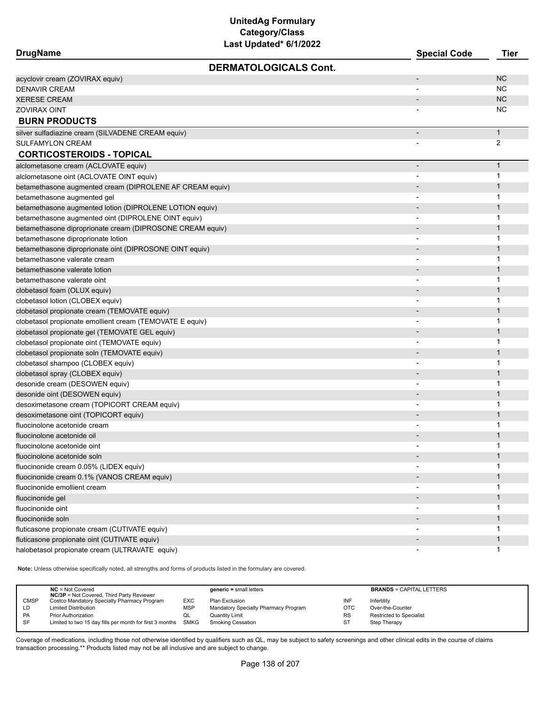| DrugName |  |
|----------|--|
|----------|--|

| <b>DrugName</b> |                              | <b>Special Code</b> | Tier |
|-----------------|------------------------------|---------------------|------|
|                 | <b>DERMATOLOGICALS Cont.</b> |                     |      |

| <b>DERMATOLOGICALS Cont.</b>                              |                          |              |
|-----------------------------------------------------------|--------------------------|--------------|
| acyclovir cream (ZOVIRAX equiv)                           |                          | <b>NC</b>    |
| <b>DENAVIR CREAM</b>                                      |                          | <b>NC</b>    |
| <b>XERESE CREAM</b>                                       |                          | <b>NC</b>    |
| <b>ZOVIRAX OINT</b>                                       |                          | <b>NC</b>    |
| <b>BURN PRODUCTS</b>                                      |                          |              |
| silver sulfadiazine cream (SILVADENE CREAM equiv)         | $\overline{\phantom{a}}$ | $\mathbf{1}$ |
| <b>SULFAMYLON CREAM</b>                                   |                          | 2            |
| <b>CORTICOSTEROIDS - TOPICAL</b>                          |                          |              |
| alclometasone cream (ACLOVATE equiv)                      |                          | $\mathbf{1}$ |
| alclometasone oint (ACLOVATE OINT equiv)                  | $\overline{\phantom{0}}$ | 1            |
| betamethasone augmented cream (DIPROLENE AF CREAM equiv)  |                          | $\mathbf 1$  |
| betamethasone augmented gel                               |                          | 1            |
| betamethasone augmented lotion (DIPROLENE LOTION equiv)   |                          | 1            |
| betamethasone augmented oint (DIPROLENE OINT equiv)       |                          | 1            |
| betamethasone diproprionate cream (DIPROSONE CREAM equiv) |                          | 1            |
| betamethasone diproprionate lotion                        |                          | 1            |
| betamethasone diproprionate oint (DIPROSONE OINT equiv)   |                          | $\mathbf 1$  |
| betamethasone valerate cream                              |                          | 1            |
| betamethasone valerate lotion                             |                          | $\mathbf{1}$ |
| betamethasone valerate oint                               |                          | 1            |
| clobetasol foam (OLUX equiv)                              |                          | 1            |
| clobetasol lotion (CLOBEX equiv)                          |                          | 1            |
| clobetasol propionate cream (TEMOVATE equiv)              |                          | $\mathbf{1}$ |
| clobetasol propionate emollient cream (TEMOVATE E equiv)  |                          | 1            |
| clobetasol propionate gel (TEMOVATE GEL equiv)            |                          | $\mathbf 1$  |
| clobetasol propionate oint (TEMOVATE equiv)               |                          | $\mathbf 1$  |
| clobetasol propionate soln (TEMOVATE equiv)               |                          | 1            |
| clobetasol shampoo (CLOBEX equiv)                         |                          | 1            |
| clobetasol spray (CLOBEX equiv)                           |                          | 1            |
| desonide cream (DESOWEN equiv)                            |                          | 1            |
| desonide oint (DESOWEN equiv)                             |                          | 1            |
| desoximetasone cream (TOPICORT CREAM equiv)               |                          | 1            |
| desoximetasone oint (TOPICORT equiv)                      |                          | 1            |
| fluocinolone acetonide cream                              |                          | 1            |
| fluocinolone acetonide oil                                |                          | 1            |
| fluocinolone acetonide oint                               |                          | 1            |
| fluocinolone acetonide soln                               |                          |              |
| fluocinonide cream 0.05% (LIDEX equiv)                    |                          | 1            |
| fluocinonide cream 0.1% (VANOS CREAM equiv)               |                          | 1            |
| fluocinonide emollient cream                              |                          | 1            |
| fluocinonide gel                                          |                          | $\mathbf{1}$ |
| fluocinonide oint                                         |                          | $\mathbf{1}$ |
| fluocinonide soln                                         |                          | $\mathbf{1}$ |
| fluticasone propionate cream (CUTIVATE equiv)             | $\overline{\phantom{a}}$ | $\mathbf 1$  |
| fluticasone propionate oint (CUTIVATE equiv)              |                          | $\mathbf{1}$ |
| halobetasol propionate cream (ULTRAVATE equiv)            |                          | 1            |

**Note:** Unless otherwise specifically noted, all strengths and forms of products listed in the formulary are covered.

|             | $NC = Not Covered$<br><b>NC/3P</b> = Not Covered, Third Party Reviewer |            | $generic = small letters$            |            | <b>BRANDS = CAPITAL LETTERS</b> |
|-------------|------------------------------------------------------------------------|------------|--------------------------------------|------------|---------------------------------|
| <b>CMSP</b> | Costco Mandatory Specialty Pharmacy Program                            | EXC        | Plan Exclusion                       | INF        | Infertility                     |
| LD          | <b>Limited Distribution</b>                                            | <b>MSP</b> | Mandatory Specialty Pharmacy Program | <b>OTC</b> | Over-the-Counter                |
| <b>PA</b>   | <b>Prior Authorization</b>                                             | QL         | <b>Quantity Limit</b>                | <b>RS</b>  | <b>Restricted to Specialist</b> |
| <b>SF</b>   | Limited to two 15 day fills per month for first 3 months SMKG          |            | <b>Smoking Cessation</b>             | ST         | Step Therapy                    |
|             |                                                                        |            |                                      |            |                                 |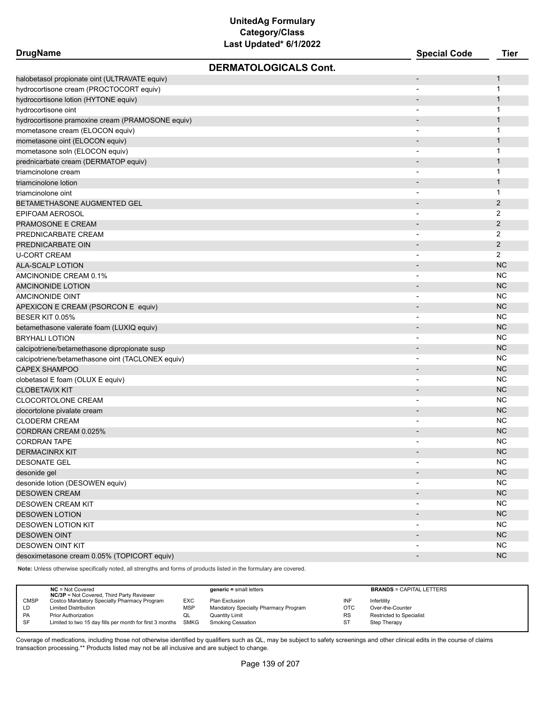| <b>DrugName</b>                                   | Last updated or fizuzz       | <b>Special Code</b>      | <b>Tier</b>  |
|---------------------------------------------------|------------------------------|--------------------------|--------------|
|                                                   | <b>DERMATOLOGICALS Cont.</b> |                          |              |
| halobetasol propionate oint (ULTRAVATE equiv)     |                              | $\overline{\phantom{a}}$ | 1            |
| hydrocortisone cream (PROCTOCORT equiv)           |                              | $\overline{\phantom{a}}$ | 1            |
| hydrocortisone lotion (HYTONE equiv)              |                              |                          | $\mathbf{1}$ |
| hydrocortisone oint                               |                              | $\overline{\phantom{a}}$ | 1            |
| hydrocortisone pramoxine cream (PRAMOSONE equiv)  |                              | $\overline{\phantom{a}}$ | $\mathbf{1}$ |
| mometasone cream (ELOCON equiv)                   |                              | $\overline{\phantom{a}}$ | 1            |
| mometasone oint (ELOCON equiv)                    |                              |                          | $\mathbf{1}$ |
| mometasone soln (ELOCON equiv)                    |                              | $\overline{\phantom{a}}$ | 1            |
| prednicarbate cream (DERMATOP equiv)              |                              | $\overline{\phantom{a}}$ | $\mathbf{1}$ |
| triamcinolone cream                               |                              | $\overline{\phantom{a}}$ | 1            |
| triamcinolone lotion                              |                              |                          | $\mathbf{1}$ |
| triamcinolone oint                                |                              | $\overline{\phantom{a}}$ | 1            |
| BETAMETHASONE AUGMENTED GEL                       |                              | $\overline{\phantom{a}}$ | $\mathbf{2}$ |
| EPIFOAM AEROSOL                                   |                              | $\overline{\phantom{a}}$ | 2            |
| PRAMOSONE E CREAM                                 |                              |                          | $\mathbf{2}$ |
| PREDNICARBATE CREAM                               |                              |                          | 2            |
| PREDNICARBATE OIN                                 |                              | $\overline{\phantom{a}}$ | 2            |
| U-CORT CREAM                                      |                              | $\overline{\phantom{a}}$ | 2            |
| ALA-SCALP LOTION                                  |                              | $\overline{\phantom{a}}$ | <b>NC</b>    |
| AMCINONIDE CREAM 0.1%                             |                              |                          | <b>NC</b>    |
| <b>AMCINONIDE LOTION</b>                          |                              |                          | <b>NC</b>    |
| AMCINONIDE OINT                                   |                              |                          | <b>NC</b>    |
| APEXICON E CREAM (PSORCON E equiv)                |                              |                          | <b>NC</b>    |
| BESER KIT 0.05%                                   |                              |                          | <b>NC</b>    |
| betamethasone valerate foam (LUXIQ equiv)         |                              |                          | <b>NC</b>    |
| BRYHALI LOTION                                    |                              | $\overline{\phantom{0}}$ | <b>NC</b>    |
| calcipotriene/betamethasone dipropionate susp     |                              | $\overline{\phantom{a}}$ | <b>NC</b>    |
| calcipotriene/betamethasone oint (TACLONEX equiv) |                              | $\overline{\phantom{a}}$ | NC           |
| <b>CAPEX SHAMPOO</b>                              |                              |                          | <b>NC</b>    |
| clobetasol E foam (OLUX E equiv)                  |                              | $\overline{\phantom{a}}$ | NC           |
| <b>CLOBETAVIX KIT</b>                             |                              | $\overline{\phantom{a}}$ | <b>NC</b>    |
| CLOCORTOLONE CREAM                                |                              |                          | <b>NC</b>    |
| clocortolone pivalate cream                       |                              |                          | <b>NC</b>    |
| <b>CLODERM CREAM</b>                              |                              |                          | NC           |
| CORDRAN CREAM 0.025%                              |                              | $\overline{\phantom{a}}$ | <b>NC</b>    |
| CORDRAN TAPE                                      |                              |                          | <b>NC</b>    |
| <b>DERMACINRX KIT</b>                             |                              | $\overline{\phantom{a}}$ | <b>NC</b>    |
| <b>DESONATE GEL</b>                               |                              |                          | <b>NC</b>    |
| desonide gel                                      |                              | $\overline{\phantom{0}}$ | NC           |
| desonide lotion (DESOWEN equiv)                   |                              |                          | <b>NC</b>    |
| <b>DESOWEN CREAM</b>                              |                              |                          | <b>NC</b>    |
| <b>DESOWEN CREAM KIT</b>                          |                              |                          | <b>NC</b>    |
| <b>DESOWEN LOTION</b>                             |                              | $\overline{\phantom{a}}$ | <b>NC</b>    |
| <b>DESOWEN LOTION KIT</b>                         |                              | $\overline{\phantom{a}}$ | <b>NC</b>    |
| <b>DESOWEN OINT</b>                               |                              | $\overline{\phantom{a}}$ | <b>NC</b>    |
| <b>DESOWEN OINT KIT</b>                           |                              |                          | <b>NC</b>    |
| desoximetasone cream 0.05% (TOPICORT equiv)       |                              | $\overline{\phantom{a}}$ | <b>NC</b>    |
|                                                   |                              |                          |              |

**Note:** Unless otherwise specifically noted, all strengths and forms of products listed in the formulary are covered.

|             | $NC = Not Covered$<br><b>NC/3P</b> = Not Covered, Third Party Reviewer |            | $generic = small letters$            |           | <b>BRANDS = CAPITAL LETTERS</b> |
|-------------|------------------------------------------------------------------------|------------|--------------------------------------|-----------|---------------------------------|
| <b>CMSP</b> | Costco Mandatory Specialty Pharmacy Program                            | <b>EXC</b> | Plan Exclusion                       | INF       | Infertility                     |
| LD          | <b>Limited Distribution</b>                                            | <b>MSP</b> | Mandatory Specialty Pharmacy Program | OTC       | Over-the-Counter                |
| PA          | <b>Prior Authorization</b>                                             | QL         | <b>Quantity Limit</b>                | <b>RS</b> | Restricted to Specialist        |
| SF          | Limited to two 15 day fills per month for first 3 months SMKG          |            | <b>Smoking Cessation</b>             | ST        | Step Therapy                    |
|             |                                                                        |            |                                      |           |                                 |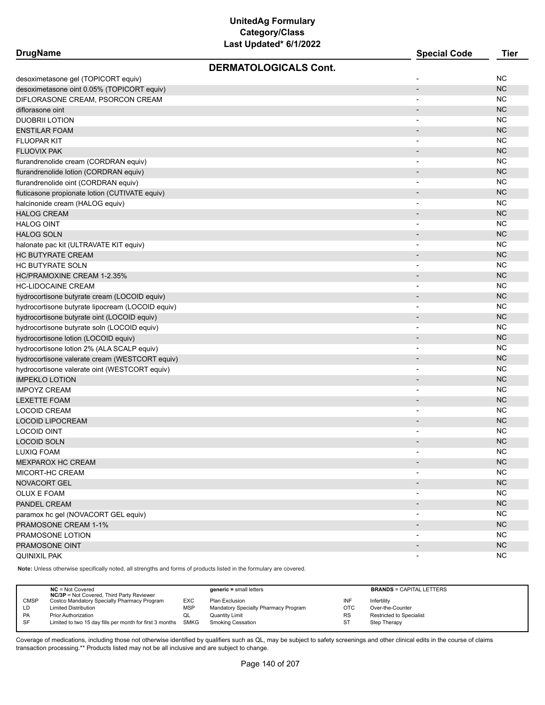| DrugName |
|----------|
|----------|

| <b>DrugName</b>                                  | <b>Special Code</b>          | Tier      |
|--------------------------------------------------|------------------------------|-----------|
| <b>DERMATOLOGICALS Cont.</b>                     |                              |           |
| desoximetasone gel (TOPICORT equiv)              |                              | NC        |
| desoximetasone oint 0.05% (TOPICORT equiv)       | $\overline{\phantom{a}}$     | <b>NC</b> |
| DIFLORASONE CREAM. PSORCON CREAM                 | $\overline{\phantom{0}}$     | <b>NC</b> |
| diflorasone oint                                 | $\overline{\phantom{a}}$     | <b>NC</b> |
| <b>DUOBRII LOTION</b>                            | $\overline{\phantom{a}}$     | <b>NC</b> |
| <b>ENSTILAR FOAM</b>                             | $\overline{\phantom{a}}$     | <b>NC</b> |
| <b>FLUOPAR KIT</b>                               | $\overline{a}$               | <b>NC</b> |
| <b>FLUOVIX PAK</b>                               |                              | <b>NC</b> |
| flurandrenolide cream (CORDRAN equiv)            |                              | <b>NC</b> |
| flurandrenolide lotion (CORDRAN equiv)           | $\overline{\phantom{a}}$     | <b>NC</b> |
| flurandrenolide oint (CORDRAN equiv)             | $\blacksquare$               | <b>NC</b> |
| fluticasone propionate lotion (CUTIVATE equiv)   | $\overline{\phantom{m}}$     | <b>NC</b> |
| halcinonide cream (HALOG equiv)                  | $\blacksquare$               | <b>NC</b> |
| <b>HALOG CREAM</b>                               | $\overline{\phantom{a}}$     | <b>NC</b> |
| <b>HALOG OINT</b>                                | $\overline{\phantom{a}}$     | <b>NC</b> |
| <b>HALOG SOLN</b>                                | $\overline{\phantom{a}}$     | <b>NC</b> |
| halonate pac kit (ULTRAVATE KIT equiv)           | $\overline{\phantom{a}}$     | <b>NC</b> |
| <b>HC BUTYRATE CREAM</b>                         | $\overline{\phantom{a}}$     | <b>NC</b> |
| <b>HC BUTYRATE SOLN</b>                          | $\overline{\phantom{0}}$     | <b>NC</b> |
| HC/PRAMOXINE CREAM 1-2.35%                       | $\overline{\phantom{a}}$     | <b>NC</b> |
| <b>HC-LIDOCAINE CREAM</b>                        | $\qquad \qquad \blacksquare$ | <b>NC</b> |
| hydrocortisone butyrate cream (LOCOID equiv)     | $\overline{\phantom{a}}$     | <b>NC</b> |
| hydrocortisone butyrate lipocream (LOCOID equiv) | $\overline{a}$               | <b>NC</b> |
| hydrocortisone butyrate oint (LOCOID equiv)      | $\overline{\phantom{a}}$     | <b>NC</b> |
| hydrocortisone butyrate soln (LOCOID equiv)      | -                            | <b>NC</b> |
| hydrocortisone lotion (LOCOID equiv)             | $\blacksquare$               | <b>NC</b> |
| hydrocortisone lotion 2% (ALA SCALP equiv)       | $\blacksquare$               | <b>NC</b> |
| hydrocortisone valerate cream (WESTCORT equiv)   | $\overline{\phantom{0}}$     | <b>NC</b> |
| hydrocortisone valerate oint (WESTCORT equiv)    |                              | <b>NC</b> |
| <b>IMPEKLO LOTION</b>                            | $\overline{\phantom{a}}$     | <b>NC</b> |
| <b>IMPOYZ CREAM</b>                              | $\overline{\phantom{a}}$     | <b>NC</b> |
| <b>LEXETTE FOAM</b>                              | $\overline{\phantom{a}}$     | <b>NC</b> |
| <b>LOCOID CREAM</b>                              |                              | <b>NC</b> |
| <b>LOCOID LIPOCREAM</b>                          |                              | <b>NC</b> |
| <b>LOCOID OINT</b>                               |                              | NC        |
| LOCOID SOLN                                      | $\overline{\phantom{a}}$     | <b>NC</b> |
| <b>LUXIQ FOAM</b>                                | $\overline{\phantom{a}}$     | <b>NC</b> |
| <b>MEXPAROX HC CREAM</b>                         |                              | <b>NC</b> |
| MICORT-HC CREAM                                  | $\blacksquare$               | <b>NC</b> |
| <b>NOVACORT GEL</b>                              |                              | NC        |
| OLUX E FOAM                                      |                              | <b>NC</b> |
| PANDEL CREAM                                     |                              | <b>NC</b> |
| paramox hc gel (NOVACORT GEL equiv)              |                              | <b>NC</b> |
| PRAMOSONE CREAM 1-1%                             | $\blacksquare$               | NC        |
| PRAMOSONE LOTION                                 | ۰                            | <b>NC</b> |
| PRAMOSONE OINT                                   | $\overline{\phantom{0}}$     | NC        |
| <b>QUINIXIL PAK</b>                              |                              | <b>NC</b> |
|                                                  |                              |           |

**Note:** Unless otherwise specifically noted, all strengths and forms of products listed in the formulary are covered.

| $NC = Not Covered$                 | <b>NC/3P</b> = Not Covered, Third Party Reviewer              |            | $generic = small letters$            |            | <b>BRANDS = CAPITAL LETTERS</b> |  |
|------------------------------------|---------------------------------------------------------------|------------|--------------------------------------|------------|---------------------------------|--|
| <b>CMSP</b>                        | Costco Mandatory Specialty Pharmacy Program                   | EXC.       | Plan Exclusion                       | INF        | Infertility                     |  |
| <b>Limited Distribution</b><br>LD. |                                                               | <b>MSP</b> | Mandatory Specialty Pharmacy Program | <b>OTC</b> | Over-the-Counter                |  |
| PA<br><b>Prior Authorization</b>   |                                                               | QL         | Quantity Limit                       | <b>RS</b>  | <b>Restricted to Specialist</b> |  |
| <b>SF</b>                          | Limited to two 15 day fills per month for first 3 months SMKG |            | <b>Smoking Cessation</b>             | <b>ST</b>  | Step Therapy                    |  |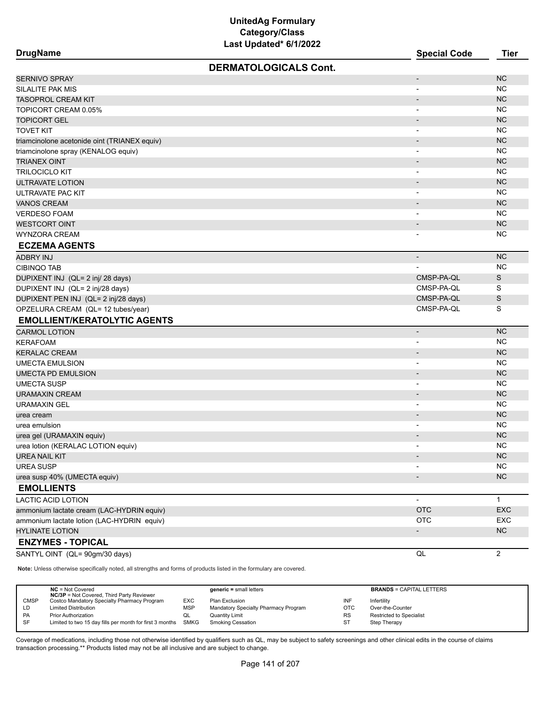| <b>DrugName</b>                                                                                                     | <b>Special Code</b>          | <b>Tier</b>    |
|---------------------------------------------------------------------------------------------------------------------|------------------------------|----------------|
| <b>DERMATOLOGICALS Cont.</b>                                                                                        |                              |                |
| <b>SERNIVO SPRAY</b>                                                                                                | $\qquad \qquad \blacksquare$ | <b>NC</b>      |
| SILALITE PAK MIS                                                                                                    | $\overline{\phantom{0}}$     | <b>NC</b>      |
| <b>TASOPROL CREAM KIT</b>                                                                                           | $\overline{\phantom{m}}$     | <b>NC</b>      |
| TOPICORT CREAM 0.05%                                                                                                | $\overline{\phantom{a}}$     | <b>NC</b>      |
| <b>TOPICORT GEL</b>                                                                                                 | $\overline{\phantom{a}}$     | <b>NC</b>      |
| <b>TOVET KIT</b>                                                                                                    | $\overline{\phantom{0}}$     | <b>NC</b>      |
| triamcinolone acetonide oint (TRIANEX equiv)                                                                        |                              | <b>NC</b>      |
| triamcinolone spray (KENALOG equiv)                                                                                 | $\overline{a}$               | <b>NC</b>      |
| <b>TRIANEX OINT</b>                                                                                                 | $\qquad \qquad \blacksquare$ | <b>NC</b>      |
| <b>TRILOCICLO KIT</b>                                                                                               | $\blacksquare$               | <b>NC</b>      |
| ULTRAVATE LOTION                                                                                                    | $\overline{\phantom{0}}$     | <b>NC</b>      |
| ULTRAVATE PAC KIT                                                                                                   | $\overline{\phantom{a}}$     | <b>NC</b>      |
| <b>VANOS CREAM</b>                                                                                                  | $\overline{\phantom{a}}$     | <b>NC</b>      |
| <b>VERDESO FOAM</b>                                                                                                 | $\overline{\phantom{a}}$     | <b>NC</b>      |
| <b>WESTCORT OINT</b>                                                                                                | $\overline{\phantom{m}}$     | <b>NC</b>      |
| <b>WYNZORA CREAM</b>                                                                                                |                              | <b>NC</b>      |
| <b>ECZEMA AGENTS</b>                                                                                                |                              |                |
| <b>ADBRY INJ</b>                                                                                                    | $\overline{\phantom{a}}$     | <b>NC</b>      |
| <b>CIBINQO TAB</b>                                                                                                  |                              | <b>NC</b>      |
| DUPIXENT INJ (QL= 2 inj/ 28 days)                                                                                   | CMSP-PA-QL                   | S              |
| DUPIXENT INJ (QL= 2 inj/28 days)                                                                                    | CMSP-PA-QL                   | S              |
| DUPIXENT PEN INJ (QL= 2 inj/28 days)                                                                                | CMSP-PA-QL                   | S              |
| OPZELURA CREAM (QL= 12 tubes/year)                                                                                  | CMSP-PA-QL                   | S              |
| <b>EMOLLIENT/KERATOLYTIC AGENTS</b>                                                                                 |                              |                |
| <b>CARMOL LOTION</b>                                                                                                | $\overline{\phantom{m}}$     | <b>NC</b>      |
| <b>KERAFOAM</b>                                                                                                     | $\overline{\phantom{a}}$     | <b>NC</b>      |
| <b>KERALAC CREAM</b>                                                                                                | $\overline{\phantom{a}}$     | <b>NC</b>      |
| <b>UMECTA EMULSION</b>                                                                                              | $\overline{\phantom{0}}$     | <b>NC</b>      |
| <b>UMECTA PD EMULSION</b>                                                                                           | $\overline{\phantom{a}}$     | <b>NC</b>      |
| <b>UMECTA SUSP</b>                                                                                                  |                              | <b>NC</b>      |
| <b>URAMAXIN CREAM</b>                                                                                               | $\overline{\phantom{a}}$     | <b>NC</b>      |
| <b>URAMAXIN GEL</b>                                                                                                 | $\blacksquare$               | <b>NC</b>      |
| urea cream                                                                                                          | $\overline{\phantom{a}}$     | <b>NC</b>      |
| urea emulsion                                                                                                       | $\overline{\phantom{a}}$     | <b>NC</b>      |
| urea gel (URAMAXIN equiv)                                                                                           |                              | <b>NC</b>      |
| urea lotion (KERALAC LOTION equiv)                                                                                  | $\overline{\phantom{0}}$     | <b>NC</b>      |
| <b>UREA NAIL KIT</b>                                                                                                |                              | <b>NC</b>      |
| <b>UREA SUSP</b>                                                                                                    |                              | <b>NC</b>      |
| urea susp 40% (UMECTA equiv)                                                                                        |                              | NC             |
| <b>EMOLLIENTS</b>                                                                                                   |                              |                |
| <b>LACTIC ACID LOTION</b>                                                                                           | $\overline{\phantom{a}}$     | $\mathbf{1}$   |
| ammonium lactate cream (LAC-HYDRIN equiv)                                                                           | <b>OTC</b>                   | EXC            |
| ammonium lactate lotion (LAC-HYDRIN equiv)                                                                          | <b>OTC</b>                   | EXC            |
| <b>HYLINATE LOTION</b>                                                                                              |                              | NC             |
| <b>ENZYMES - TOPICAL</b>                                                                                            |                              |                |
| SANTYL OINT (QL= 90gm/30 days)                                                                                      | $\mathsf{QL}$                | $\overline{c}$ |
| Note: Unless otherwise specifically noted, all strengths and forms of products listed in the formulary are covered. |                              |                |
|                                                                                                                     |                              |                |

|             | $NC = Not Covered$                                       |             | $\alpha$ eneric = small letters      |           | <b>BRANDS = CAPITAL LETTERS</b> |
|-------------|----------------------------------------------------------|-------------|--------------------------------------|-----------|---------------------------------|
|             | <b>NC/3P</b> = Not Covered, Third Party Reviewer         |             |                                      |           |                                 |
| <b>CMSP</b> | Costco Mandatory Specialty Pharmacy Program              | EXC         | Plan Exclusion                       | INF       | Infertility                     |
| LD          | <b>Limited Distribution</b>                              | MSF         | Mandatory Specialty Pharmacy Program | OTC       | Over-the-Counter                |
| PA          | <b>Prior Authorization</b>                               | QL          | Quantity Limit                       | <b>RS</b> | <b>Restricted to Specialist</b> |
| SF          | Limited to two 15 day fills per month for first 3 months | <b>SMKG</b> | Smoking Cessation                    |           | Step Therapy                    |
|             |                                                          |             |                                      |           |                                 |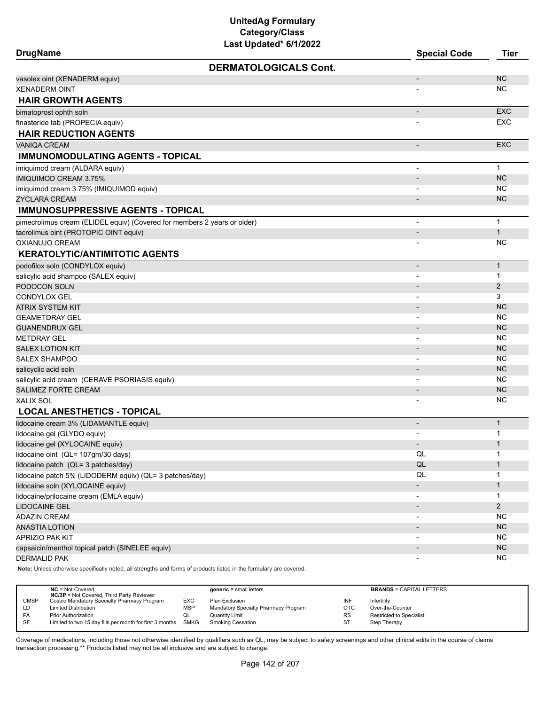# **UnitedAg Formulary Category/Class**

| Last Updated* 6/1/2022<br><b>DrugName</b>                                | <b>Special Code</b>      | <b>Tier</b>       |
|--------------------------------------------------------------------------|--------------------------|-------------------|
| <b>DERMATOLOGICALS Cont.</b>                                             |                          |                   |
| vasolex oint (XENADERM equiv)                                            |                          | <b>NC</b>         |
| <b>XENADERM OINT</b>                                                     |                          | ΝC                |
| <b>HAIR GROWTH AGENTS</b>                                                |                          |                   |
| bimatoprost ophth soln                                                   | ۰                        | <b>EXC</b>        |
| finasteride tab (PROPECIA equiv)                                         |                          | EXC               |
| <b>HAIR REDUCTION AGENTS</b>                                             |                          |                   |
| <b>VANIQA CREAM</b>                                                      | $\overline{\phantom{a}}$ | <b>EXC</b>        |
| <b>IMMUNOMODULATING AGENTS - TOPICAL</b>                                 |                          |                   |
| imiquimod cream (ALDARA equiv)                                           |                          | $\mathbf{1}$      |
| <b>IMIQUIMOD CREAM 3.75%</b>                                             |                          | <b>NC</b>         |
| imiquimod cream 3.75% (IMIQUIMOD equiv)                                  |                          | <b>NC</b>         |
| <b>ZYCLARA CREAM</b>                                                     |                          | <b>NC</b>         |
| <b>IMMUNOSUPPRESSIVE AGENTS - TOPICAL</b>                                |                          |                   |
| pimecrolimus cream (ELIDEL equiv) (Covered for members 2 years or older) |                          | $\mathbf{1}$      |
| tacrolimus oint (PROTOPIC OINT equiv)                                    |                          | $\mathbf{1}$      |
| OXIANUJO CREAM                                                           |                          | <b>NC</b>         |
| <b>KERATOLYTIC/ANTIMITOTIC AGENTS</b>                                    |                          |                   |
| podofilox soln (CONDYLOX equiv)                                          |                          | $\mathbf{1}$      |
| salicylic acid shampoo (SALEX equiv)                                     |                          | $\mathbf 1$       |
| PODOCON SOLN                                                             |                          | 2                 |
| CONDYLOX GEL                                                             | $\blacksquare$           | 3                 |
| ATRIX SYSTEM KIT                                                         |                          | <b>NC</b>         |
| <b>GEAMETDRAY GEL</b>                                                    |                          | <b>NC</b>         |
| <b>GUANENDRUX GEL</b>                                                    |                          | <b>NC</b>         |
| <b>METDRAY GEL</b>                                                       |                          | <b>NC</b>         |
| <b>SALEX LOTION KIT</b>                                                  |                          | <b>NC</b>         |
| SALEX SHAMPOO                                                            |                          | NC                |
| salicyclic acid soln                                                     |                          | <b>NC</b>         |
| salicylic acid cream (CERAVE PSORIASIS equiv)                            |                          | <b>NC</b>         |
| <b>SALIMEZ FORTE CREAM</b>                                               |                          | <b>NC</b>         |
| XALIX SOL                                                                |                          | <b>NC</b>         |
| <b>LOCAL ANESTHETICS - TOPICAL</b>                                       |                          |                   |
| lidocaine cream 3% (LIDAMANTLE equiv)                                    |                          | $\mathbf{1}$<br>1 |
| lidocaine gel (GLYDO equiv)                                              |                          | $\mathbf 1$       |
| lidocaine gel (XYLOCAINE equiv)<br>lidocaine oint (QL= 107gm/30 days)    | ٠<br>QL                  | 1                 |
| lidocaine patch (QL= 3 patches/day)                                      | QL                       | $\mathbf 1$       |
| lidocaine patch 5% (LIDODERM equiv) (QL= 3 patches/day)                  | QL                       | 1                 |
| lidocaine soln (XYLOCAINE equiv)                                         |                          | $\mathbf 1$       |
| lidocaine/prilocaine cream (EMLA equiv)                                  | $\overline{\phantom{a}}$ | 1                 |
| <b>LIDOCAINE GEL</b>                                                     |                          | $\overline{2}$    |
| <b>ADAZIN CREAM</b>                                                      |                          | <b>NC</b>         |
| <b>ANASTIA LOTION</b>                                                    |                          | NC                |
| APRIZIO PAK KIT                                                          |                          | <b>NC</b>         |
| capsaicin/menthol topical patch (SINELEE equiv)                          |                          | NC                |
| <b>DERMALID PAK</b>                                                      |                          | <b>NC</b>         |
|                                                                          |                          |                   |

**Note:** Unless otherwise specifically noted, all strengths and forms of products listed in the formulary are covered.

|             | $NC = Not Covered$<br><b>NC/3P</b> = Not Covered, Third Party Reviewer |            | $generic = small letters$            |            | <b>BRANDS = CAPITAL LETTERS</b> |
|-------------|------------------------------------------------------------------------|------------|--------------------------------------|------------|---------------------------------|
| <b>CMSP</b> | Costco Mandatory Specialty Pharmacy Program                            | EXC        | Plan Exclusion                       | INF        | Infertility                     |
| LD          | <b>Limited Distribution</b>                                            | <b>MSP</b> | Mandatory Specialty Pharmacy Program | <b>OTC</b> | Over-the-Counter                |
| PA          | <b>Prior Authorization</b>                                             | QL         | <b>Quantity Limit</b>                | <b>RS</b>  | <b>Restricted to Specialist</b> |
| -SF         | Limited to two 15 day fills per month for first 3 months               | SMKG       | <b>Smoking Cessation</b>             | ST         | Step Therapy                    |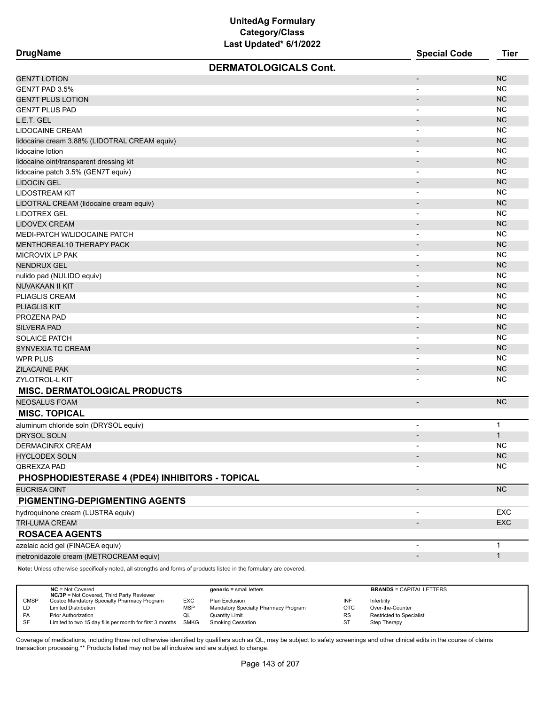| <b>DrugName</b>                                 | <b>Special Code</b>      | <b>Tier</b>  |
|-------------------------------------------------|--------------------------|--------------|
| <b>DERMATOLOGICALS Cont.</b>                    |                          |              |
| <b>GEN7T LOTION</b>                             | $\overline{\phantom{a}}$ | <b>NC</b>    |
| GEN7T PAD 3.5%                                  | $\blacksquare$           | <b>NC</b>    |
| <b>GEN7T PLUS LOTION</b>                        | $\overline{\phantom{a}}$ | <b>NC</b>    |
| <b>GEN7T PLUS PAD</b>                           | $\overline{\phantom{a}}$ | <b>NC</b>    |
| L.E.T. GEL                                      |                          | <b>NC</b>    |
| <b>LIDOCAINE CREAM</b>                          | $\overline{\phantom{a}}$ | <b>NC</b>    |
| lidocaine cream 3.88% (LIDOTRAL CREAM equiv)    |                          | <b>NC</b>    |
| lidocaine lotion                                |                          | <b>NC</b>    |
| lidocaine oint/transparent dressing kit         | $\overline{a}$           | <b>NC</b>    |
| lidocaine patch 3.5% (GEN7T equiv)              | $\overline{\phantom{0}}$ | <b>NC</b>    |
| <b>LIDOCIN GEL</b>                              | $\blacksquare$           | <b>NC</b>    |
| <b>LIDOSTREAM KIT</b>                           |                          | <b>NC</b>    |
| LIDOTRAL CREAM (lidocaine cream equiv)          | $\blacksquare$           | <b>NC</b>    |
| LIDOTREX GEL                                    | $\overline{\phantom{a}}$ | <b>NC</b>    |
| <b>LIDOVEX CREAM</b>                            |                          | <b>NC</b>    |
| MEDI-PATCH W/LIDOCAINE PATCH                    |                          | <b>NC</b>    |
| MENTHOREAL10 THERAPY PACK                       |                          | <b>NC</b>    |
| <b>MICROVIX LP PAK</b>                          | $\overline{\phantom{a}}$ | <b>NC</b>    |
| <b>NENDRUX GEL</b>                              | $\overline{\phantom{a}}$ | <b>NC</b>    |
| nulido pad (NULIDO equiv)                       | $\overline{\phantom{a}}$ | <b>NC</b>    |
| <b>NUVAKAAN II KIT</b>                          |                          | <b>NC</b>    |
| PLIAGLIS CREAM                                  | $\overline{\phantom{a}}$ | <b>NC</b>    |
| <b>PLIAGLIS KIT</b>                             |                          | <b>NC</b>    |
| PROZENA PAD                                     |                          | <b>NC</b>    |
| <b>SILVERA PAD</b>                              |                          | <b>NC</b>    |
| <b>SOLAICE PATCH</b>                            | $\overline{\phantom{0}}$ | <b>NC</b>    |
| SYNVEXIA TC CREAM                               |                          | <b>NC</b>    |
| <b>WPR PLUS</b>                                 | $\overline{\phantom{a}}$ | <b>NC</b>    |
| <b>ZILACAINE PAK</b>                            |                          | <b>NC</b>    |
| ZYLOTROL-L KIT                                  |                          | <b>NC</b>    |
| <b>MISC. DERMATOLOGICAL PRODUCTS</b>            |                          |              |
| <b>NEOSALUS FOAM</b>                            |                          | <b>NC</b>    |
| <b>MISC. TOPICAL</b>                            |                          |              |
| aluminum chloride soln (DRYSOL equiv)           | $\overline{\phantom{a}}$ | $\mathbf{1}$ |
| <b>DRYSOL SOLN</b>                              |                          | $\mathbf{1}$ |
| DERMACINRX CREAM                                | $\overline{\phantom{0}}$ | <b>NC</b>    |
| <b>HYCLODEX SOLN</b>                            |                          | $NC$         |
| QBREXZA PAD                                     |                          | <b>NC</b>    |
| PHOSPHODIESTERASE 4 (PDE4) INHIBITORS - TOPICAL |                          |              |
| <b>EUCRISA OINT</b>                             | $\overline{\phantom{a}}$ | NC           |
| PIGMENTING-DEPIGMENTING AGENTS                  |                          |              |
| hydroquinone cream (LUSTRA equiv)               | $\blacksquare$           | EXC          |
| TRI-LUMA CREAM                                  |                          | <b>EXC</b>   |
| <b>ROSACEA AGENTS</b>                           |                          |              |
| azelaic acid gel (FINACEA equiv)                |                          | $\mathbf{1}$ |
| metronidazole cream (METROCREAM equiv)          | $\overline{\phantom{a}}$ | $\mathbf{1}$ |
|                                                 |                          |              |

**Note:** Unless otherwise specifically noted, all strengths and forms of products listed in the formulary are covered.

|             | $NC = Not Covered$<br><b>NC/3P</b> = Not Covered, Third Party Reviewer |            | $generic = small letters$            |           | <b>BRANDS = CAPITAL LETTERS</b> |
|-------------|------------------------------------------------------------------------|------------|--------------------------------------|-----------|---------------------------------|
| <b>CMSP</b> | Costco Mandatory Specialty Pharmacy Program                            | <b>EXC</b> | Plan Exclusion                       | INF       | Infertility                     |
| LD          | <b>Limited Distribution</b>                                            | <b>MSP</b> | Mandatory Specialty Pharmacy Program | OTC       | Over-the-Counter                |
| PA          | <b>Prior Authorization</b>                                             | QL         | <b>Quantity Limit</b>                | <b>RS</b> | Restricted to Specialist        |
| SF          | Limited to two 15 day fills per month for first 3 months SMKG          |            | <b>Smoking Cessation</b>             | ST        | Step Therapy                    |
|             |                                                                        |            |                                      |           |                                 |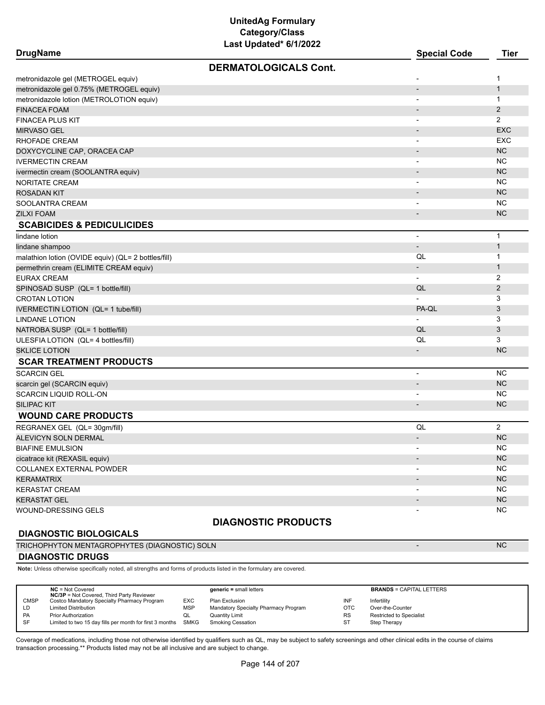| <b>DERMATOLOGICALS Cont.</b><br>metronidazole gel (METROGEL equiv)<br>1<br>-<br>metronidazole gel 0.75% (METROGEL equiv)<br>$\mathbf{1}$<br>$\overline{\phantom{0}}$<br>metronidazole lotion (METROLOTION equiv)<br>$\mathbf{1}$<br>$\overline{\phantom{a}}$<br>$\overline{2}$<br><b>FINACEA FOAM</b><br>$\overline{\phantom{a}}$<br>2<br><b>FINACEA PLUS KIT</b><br>$\overline{\phantom{a}}$<br><b>EXC</b><br><b>MIRVASO GEL</b><br>$\qquad \qquad \blacksquare$<br><b>EXC</b><br>RHOFADE CREAM<br>$\overline{\phantom{a}}$<br>NC<br>DOXYCYCLINE CAP, ORACEA CAP<br>$\overline{\phantom{a}}$<br><b>NC</b><br><b>IVERMECTIN CREAM</b><br>$\overline{\phantom{a}}$<br><b>NC</b><br>ivermectin cream (SOOLANTRA equiv)<br>$\overline{\phantom{a}}$<br><b>NC</b><br>NORITATE CREAM<br>$\blacksquare$<br><b>NC</b><br><b>ROSADAN KIT</b><br>$\overline{\phantom{a}}$<br>NC.<br>SOOLANTRA CREAM<br>$\overline{\phantom{a}}$<br><b>NC</b><br><b>ZILXI FOAM</b><br>$\overline{\phantom{a}}$<br><b>SCABICIDES &amp; PEDICULICIDES</b><br>$\mathbf{1}$<br>lindane lotion<br>$\overline{a}$<br>$\mathbf{1}$<br>lindane shampoo<br>$\overline{\phantom{a}}$<br>$\mathbf{1}$<br>QL<br>malathion lotion (OVIDE equiv) (QL= 2 bottles/fill)<br>$\mathbf{1}$<br>permethrin cream (ELIMITE CREAM equiv)<br>$\overline{\phantom{a}}$<br>2<br><b>EURAX CREAM</b><br>$\overline{\phantom{a}}$<br>QL<br>$\mathbf{2}$<br>SPINOSAD SUSP (QL= 1 bottle/fill)<br>3<br><b>CROTAN LOTION</b><br>PA-QL<br>3<br><b>IVERMECTIN LOTION (QL= 1 tube/fill)</b><br>3<br><b>LINDANE LOTION</b><br>QL<br>3<br>NATROBA SUSP (QL= 1 bottle/fill)<br>QL<br>3<br>ULESFIA LOTION (QL= 4 bottles/fill)<br><b>NC</b><br><b>SKLICE LOTION</b><br>$\overline{\phantom{a}}$<br><b>SCAR TREATMENT PRODUCTS</b><br><b>NC</b><br><b>SCARCIN GEL</b><br>$\overline{\phantom{a}}$<br><b>NC</b><br>scarcin gel (SCARCIN equiv)<br>$\overline{\phantom{a}}$<br><b>NC</b><br>SCARCIN LIQUID ROLL-ON<br><b>NC</b><br><b>SILIPAC KIT</b><br>$\overline{\phantom{0}}$<br><b>WOUND CARE PRODUCTS</b><br>$\overline{2}$<br>QL<br>REGRANEX GEL (QL= 30gm/fill)<br><b>NC</b><br><b>ALEVICYN SOLN DERMAL</b><br>$\overline{\phantom{a}}$<br><b>NC</b><br><b>BIAFINE EMULSION</b><br>$\overline{\phantom{a}}$<br><b>NC</b><br>cicatrace kit (REXASIL equiv)<br><b>NC</b><br>COLLANEX EXTERNAL POWDER<br>NC<br><b>KERAMATRIX</b><br>NC<br><b>KERASTAT CREAM</b><br>$\blacksquare$<br>NC<br><b>KERASTAT GEL</b><br>$\overline{\phantom{a}}$<br>NC.<br>WOUND-DRESSING GELS | <b>DrugName</b> | Last Updated" 6/1/2022 | <b>Special Code</b> | <b>Tier</b> |  |  |  |  |  |
|-----------------------------------------------------------------------------------------------------------------------------------------------------------------------------------------------------------------------------------------------------------------------------------------------------------------------------------------------------------------------------------------------------------------------------------------------------------------------------------------------------------------------------------------------------------------------------------------------------------------------------------------------------------------------------------------------------------------------------------------------------------------------------------------------------------------------------------------------------------------------------------------------------------------------------------------------------------------------------------------------------------------------------------------------------------------------------------------------------------------------------------------------------------------------------------------------------------------------------------------------------------------------------------------------------------------------------------------------------------------------------------------------------------------------------------------------------------------------------------------------------------------------------------------------------------------------------------------------------------------------------------------------------------------------------------------------------------------------------------------------------------------------------------------------------------------------------------------------------------------------------------------------------------------------------------------------------------------------------------------------------------------------------------------------------------------------------------------------------------------------------------------------------------------------------------------------------------------------------------------------------------------------------------------------------------------------------------------------------------------------------------------------------------------------------------------------------------------------------------------------------------|-----------------|------------------------|---------------------|-------------|--|--|--|--|--|
|                                                                                                                                                                                                                                                                                                                                                                                                                                                                                                                                                                                                                                                                                                                                                                                                                                                                                                                                                                                                                                                                                                                                                                                                                                                                                                                                                                                                                                                                                                                                                                                                                                                                                                                                                                                                                                                                                                                                                                                                                                                                                                                                                                                                                                                                                                                                                                                                                                                                                                           |                 |                        |                     |             |  |  |  |  |  |
|                                                                                                                                                                                                                                                                                                                                                                                                                                                                                                                                                                                                                                                                                                                                                                                                                                                                                                                                                                                                                                                                                                                                                                                                                                                                                                                                                                                                                                                                                                                                                                                                                                                                                                                                                                                                                                                                                                                                                                                                                                                                                                                                                                                                                                                                                                                                                                                                                                                                                                           |                 |                        |                     |             |  |  |  |  |  |
|                                                                                                                                                                                                                                                                                                                                                                                                                                                                                                                                                                                                                                                                                                                                                                                                                                                                                                                                                                                                                                                                                                                                                                                                                                                                                                                                                                                                                                                                                                                                                                                                                                                                                                                                                                                                                                                                                                                                                                                                                                                                                                                                                                                                                                                                                                                                                                                                                                                                                                           |                 |                        |                     |             |  |  |  |  |  |
|                                                                                                                                                                                                                                                                                                                                                                                                                                                                                                                                                                                                                                                                                                                                                                                                                                                                                                                                                                                                                                                                                                                                                                                                                                                                                                                                                                                                                                                                                                                                                                                                                                                                                                                                                                                                                                                                                                                                                                                                                                                                                                                                                                                                                                                                                                                                                                                                                                                                                                           |                 |                        |                     |             |  |  |  |  |  |
|                                                                                                                                                                                                                                                                                                                                                                                                                                                                                                                                                                                                                                                                                                                                                                                                                                                                                                                                                                                                                                                                                                                                                                                                                                                                                                                                                                                                                                                                                                                                                                                                                                                                                                                                                                                                                                                                                                                                                                                                                                                                                                                                                                                                                                                                                                                                                                                                                                                                                                           |                 |                        |                     |             |  |  |  |  |  |
|                                                                                                                                                                                                                                                                                                                                                                                                                                                                                                                                                                                                                                                                                                                                                                                                                                                                                                                                                                                                                                                                                                                                                                                                                                                                                                                                                                                                                                                                                                                                                                                                                                                                                                                                                                                                                                                                                                                                                                                                                                                                                                                                                                                                                                                                                                                                                                                                                                                                                                           |                 |                        |                     |             |  |  |  |  |  |
|                                                                                                                                                                                                                                                                                                                                                                                                                                                                                                                                                                                                                                                                                                                                                                                                                                                                                                                                                                                                                                                                                                                                                                                                                                                                                                                                                                                                                                                                                                                                                                                                                                                                                                                                                                                                                                                                                                                                                                                                                                                                                                                                                                                                                                                                                                                                                                                                                                                                                                           |                 |                        |                     |             |  |  |  |  |  |
|                                                                                                                                                                                                                                                                                                                                                                                                                                                                                                                                                                                                                                                                                                                                                                                                                                                                                                                                                                                                                                                                                                                                                                                                                                                                                                                                                                                                                                                                                                                                                                                                                                                                                                                                                                                                                                                                                                                                                                                                                                                                                                                                                                                                                                                                                                                                                                                                                                                                                                           |                 |                        |                     |             |  |  |  |  |  |
|                                                                                                                                                                                                                                                                                                                                                                                                                                                                                                                                                                                                                                                                                                                                                                                                                                                                                                                                                                                                                                                                                                                                                                                                                                                                                                                                                                                                                                                                                                                                                                                                                                                                                                                                                                                                                                                                                                                                                                                                                                                                                                                                                                                                                                                                                                                                                                                                                                                                                                           |                 |                        |                     |             |  |  |  |  |  |
|                                                                                                                                                                                                                                                                                                                                                                                                                                                                                                                                                                                                                                                                                                                                                                                                                                                                                                                                                                                                                                                                                                                                                                                                                                                                                                                                                                                                                                                                                                                                                                                                                                                                                                                                                                                                                                                                                                                                                                                                                                                                                                                                                                                                                                                                                                                                                                                                                                                                                                           |                 |                        |                     |             |  |  |  |  |  |
|                                                                                                                                                                                                                                                                                                                                                                                                                                                                                                                                                                                                                                                                                                                                                                                                                                                                                                                                                                                                                                                                                                                                                                                                                                                                                                                                                                                                                                                                                                                                                                                                                                                                                                                                                                                                                                                                                                                                                                                                                                                                                                                                                                                                                                                                                                                                                                                                                                                                                                           |                 |                        |                     |             |  |  |  |  |  |
|                                                                                                                                                                                                                                                                                                                                                                                                                                                                                                                                                                                                                                                                                                                                                                                                                                                                                                                                                                                                                                                                                                                                                                                                                                                                                                                                                                                                                                                                                                                                                                                                                                                                                                                                                                                                                                                                                                                                                                                                                                                                                                                                                                                                                                                                                                                                                                                                                                                                                                           |                 |                        |                     |             |  |  |  |  |  |
|                                                                                                                                                                                                                                                                                                                                                                                                                                                                                                                                                                                                                                                                                                                                                                                                                                                                                                                                                                                                                                                                                                                                                                                                                                                                                                                                                                                                                                                                                                                                                                                                                                                                                                                                                                                                                                                                                                                                                                                                                                                                                                                                                                                                                                                                                                                                                                                                                                                                                                           |                 |                        |                     |             |  |  |  |  |  |
|                                                                                                                                                                                                                                                                                                                                                                                                                                                                                                                                                                                                                                                                                                                                                                                                                                                                                                                                                                                                                                                                                                                                                                                                                                                                                                                                                                                                                                                                                                                                                                                                                                                                                                                                                                                                                                                                                                                                                                                                                                                                                                                                                                                                                                                                                                                                                                                                                                                                                                           |                 |                        |                     |             |  |  |  |  |  |
|                                                                                                                                                                                                                                                                                                                                                                                                                                                                                                                                                                                                                                                                                                                                                                                                                                                                                                                                                                                                                                                                                                                                                                                                                                                                                                                                                                                                                                                                                                                                                                                                                                                                                                                                                                                                                                                                                                                                                                                                                                                                                                                                                                                                                                                                                                                                                                                                                                                                                                           |                 |                        |                     |             |  |  |  |  |  |
|                                                                                                                                                                                                                                                                                                                                                                                                                                                                                                                                                                                                                                                                                                                                                                                                                                                                                                                                                                                                                                                                                                                                                                                                                                                                                                                                                                                                                                                                                                                                                                                                                                                                                                                                                                                                                                                                                                                                                                                                                                                                                                                                                                                                                                                                                                                                                                                                                                                                                                           |                 |                        |                     |             |  |  |  |  |  |
|                                                                                                                                                                                                                                                                                                                                                                                                                                                                                                                                                                                                                                                                                                                                                                                                                                                                                                                                                                                                                                                                                                                                                                                                                                                                                                                                                                                                                                                                                                                                                                                                                                                                                                                                                                                                                                                                                                                                                                                                                                                                                                                                                                                                                                                                                                                                                                                                                                                                                                           |                 |                        |                     |             |  |  |  |  |  |
|                                                                                                                                                                                                                                                                                                                                                                                                                                                                                                                                                                                                                                                                                                                                                                                                                                                                                                                                                                                                                                                                                                                                                                                                                                                                                                                                                                                                                                                                                                                                                                                                                                                                                                                                                                                                                                                                                                                                                                                                                                                                                                                                                                                                                                                                                                                                                                                                                                                                                                           |                 |                        |                     |             |  |  |  |  |  |
|                                                                                                                                                                                                                                                                                                                                                                                                                                                                                                                                                                                                                                                                                                                                                                                                                                                                                                                                                                                                                                                                                                                                                                                                                                                                                                                                                                                                                                                                                                                                                                                                                                                                                                                                                                                                                                                                                                                                                                                                                                                                                                                                                                                                                                                                                                                                                                                                                                                                                                           |                 |                        |                     |             |  |  |  |  |  |
|                                                                                                                                                                                                                                                                                                                                                                                                                                                                                                                                                                                                                                                                                                                                                                                                                                                                                                                                                                                                                                                                                                                                                                                                                                                                                                                                                                                                                                                                                                                                                                                                                                                                                                                                                                                                                                                                                                                                                                                                                                                                                                                                                                                                                                                                                                                                                                                                                                                                                                           |                 |                        |                     |             |  |  |  |  |  |
|                                                                                                                                                                                                                                                                                                                                                                                                                                                                                                                                                                                                                                                                                                                                                                                                                                                                                                                                                                                                                                                                                                                                                                                                                                                                                                                                                                                                                                                                                                                                                                                                                                                                                                                                                                                                                                                                                                                                                                                                                                                                                                                                                                                                                                                                                                                                                                                                                                                                                                           |                 |                        |                     |             |  |  |  |  |  |
|                                                                                                                                                                                                                                                                                                                                                                                                                                                                                                                                                                                                                                                                                                                                                                                                                                                                                                                                                                                                                                                                                                                                                                                                                                                                                                                                                                                                                                                                                                                                                                                                                                                                                                                                                                                                                                                                                                                                                                                                                                                                                                                                                                                                                                                                                                                                                                                                                                                                                                           |                 |                        |                     |             |  |  |  |  |  |
|                                                                                                                                                                                                                                                                                                                                                                                                                                                                                                                                                                                                                                                                                                                                                                                                                                                                                                                                                                                                                                                                                                                                                                                                                                                                                                                                                                                                                                                                                                                                                                                                                                                                                                                                                                                                                                                                                                                                                                                                                                                                                                                                                                                                                                                                                                                                                                                                                                                                                                           |                 |                        |                     |             |  |  |  |  |  |
|                                                                                                                                                                                                                                                                                                                                                                                                                                                                                                                                                                                                                                                                                                                                                                                                                                                                                                                                                                                                                                                                                                                                                                                                                                                                                                                                                                                                                                                                                                                                                                                                                                                                                                                                                                                                                                                                                                                                                                                                                                                                                                                                                                                                                                                                                                                                                                                                                                                                                                           |                 |                        |                     |             |  |  |  |  |  |
|                                                                                                                                                                                                                                                                                                                                                                                                                                                                                                                                                                                                                                                                                                                                                                                                                                                                                                                                                                                                                                                                                                                                                                                                                                                                                                                                                                                                                                                                                                                                                                                                                                                                                                                                                                                                                                                                                                                                                                                                                                                                                                                                                                                                                                                                                                                                                                                                                                                                                                           |                 |                        |                     |             |  |  |  |  |  |
|                                                                                                                                                                                                                                                                                                                                                                                                                                                                                                                                                                                                                                                                                                                                                                                                                                                                                                                                                                                                                                                                                                                                                                                                                                                                                                                                                                                                                                                                                                                                                                                                                                                                                                                                                                                                                                                                                                                                                                                                                                                                                                                                                                                                                                                                                                                                                                                                                                                                                                           |                 |                        |                     |             |  |  |  |  |  |
|                                                                                                                                                                                                                                                                                                                                                                                                                                                                                                                                                                                                                                                                                                                                                                                                                                                                                                                                                                                                                                                                                                                                                                                                                                                                                                                                                                                                                                                                                                                                                                                                                                                                                                                                                                                                                                                                                                                                                                                                                                                                                                                                                                                                                                                                                                                                                                                                                                                                                                           |                 |                        |                     |             |  |  |  |  |  |
|                                                                                                                                                                                                                                                                                                                                                                                                                                                                                                                                                                                                                                                                                                                                                                                                                                                                                                                                                                                                                                                                                                                                                                                                                                                                                                                                                                                                                                                                                                                                                                                                                                                                                                                                                                                                                                                                                                                                                                                                                                                                                                                                                                                                                                                                                                                                                                                                                                                                                                           |                 |                        |                     |             |  |  |  |  |  |
|                                                                                                                                                                                                                                                                                                                                                                                                                                                                                                                                                                                                                                                                                                                                                                                                                                                                                                                                                                                                                                                                                                                                                                                                                                                                                                                                                                                                                                                                                                                                                                                                                                                                                                                                                                                                                                                                                                                                                                                                                                                                                                                                                                                                                                                                                                                                                                                                                                                                                                           |                 |                        |                     |             |  |  |  |  |  |
|                                                                                                                                                                                                                                                                                                                                                                                                                                                                                                                                                                                                                                                                                                                                                                                                                                                                                                                                                                                                                                                                                                                                                                                                                                                                                                                                                                                                                                                                                                                                                                                                                                                                                                                                                                                                                                                                                                                                                                                                                                                                                                                                                                                                                                                                                                                                                                                                                                                                                                           |                 |                        |                     |             |  |  |  |  |  |
|                                                                                                                                                                                                                                                                                                                                                                                                                                                                                                                                                                                                                                                                                                                                                                                                                                                                                                                                                                                                                                                                                                                                                                                                                                                                                                                                                                                                                                                                                                                                                                                                                                                                                                                                                                                                                                                                                                                                                                                                                                                                                                                                                                                                                                                                                                                                                                                                                                                                                                           |                 |                        |                     |             |  |  |  |  |  |
|                                                                                                                                                                                                                                                                                                                                                                                                                                                                                                                                                                                                                                                                                                                                                                                                                                                                                                                                                                                                                                                                                                                                                                                                                                                                                                                                                                                                                                                                                                                                                                                                                                                                                                                                                                                                                                                                                                                                                                                                                                                                                                                                                                                                                                                                                                                                                                                                                                                                                                           |                 |                        |                     |             |  |  |  |  |  |
|                                                                                                                                                                                                                                                                                                                                                                                                                                                                                                                                                                                                                                                                                                                                                                                                                                                                                                                                                                                                                                                                                                                                                                                                                                                                                                                                                                                                                                                                                                                                                                                                                                                                                                                                                                                                                                                                                                                                                                                                                                                                                                                                                                                                                                                                                                                                                                                                                                                                                                           |                 |                        |                     |             |  |  |  |  |  |
|                                                                                                                                                                                                                                                                                                                                                                                                                                                                                                                                                                                                                                                                                                                                                                                                                                                                                                                                                                                                                                                                                                                                                                                                                                                                                                                                                                                                                                                                                                                                                                                                                                                                                                                                                                                                                                                                                                                                                                                                                                                                                                                                                                                                                                                                                                                                                                                                                                                                                                           |                 |                        |                     |             |  |  |  |  |  |
|                                                                                                                                                                                                                                                                                                                                                                                                                                                                                                                                                                                                                                                                                                                                                                                                                                                                                                                                                                                                                                                                                                                                                                                                                                                                                                                                                                                                                                                                                                                                                                                                                                                                                                                                                                                                                                                                                                                                                                                                                                                                                                                                                                                                                                                                                                                                                                                                                                                                                                           |                 |                        |                     |             |  |  |  |  |  |
|                                                                                                                                                                                                                                                                                                                                                                                                                                                                                                                                                                                                                                                                                                                                                                                                                                                                                                                                                                                                                                                                                                                                                                                                                                                                                                                                                                                                                                                                                                                                                                                                                                                                                                                                                                                                                                                                                                                                                                                                                                                                                                                                                                                                                                                                                                                                                                                                                                                                                                           |                 |                        |                     |             |  |  |  |  |  |
|                                                                                                                                                                                                                                                                                                                                                                                                                                                                                                                                                                                                                                                                                                                                                                                                                                                                                                                                                                                                                                                                                                                                                                                                                                                                                                                                                                                                                                                                                                                                                                                                                                                                                                                                                                                                                                                                                                                                                                                                                                                                                                                                                                                                                                                                                                                                                                                                                                                                                                           |                 |                        |                     |             |  |  |  |  |  |
|                                                                                                                                                                                                                                                                                                                                                                                                                                                                                                                                                                                                                                                                                                                                                                                                                                                                                                                                                                                                                                                                                                                                                                                                                                                                                                                                                                                                                                                                                                                                                                                                                                                                                                                                                                                                                                                                                                                                                                                                                                                                                                                                                                                                                                                                                                                                                                                                                                                                                                           |                 |                        |                     |             |  |  |  |  |  |
|                                                                                                                                                                                                                                                                                                                                                                                                                                                                                                                                                                                                                                                                                                                                                                                                                                                                                                                                                                                                                                                                                                                                                                                                                                                                                                                                                                                                                                                                                                                                                                                                                                                                                                                                                                                                                                                                                                                                                                                                                                                                                                                                                                                                                                                                                                                                                                                                                                                                                                           |                 |                        |                     |             |  |  |  |  |  |
|                                                                                                                                                                                                                                                                                                                                                                                                                                                                                                                                                                                                                                                                                                                                                                                                                                                                                                                                                                                                                                                                                                                                                                                                                                                                                                                                                                                                                                                                                                                                                                                                                                                                                                                                                                                                                                                                                                                                                                                                                                                                                                                                                                                                                                                                                                                                                                                                                                                                                                           |                 |                        |                     |             |  |  |  |  |  |
|                                                                                                                                                                                                                                                                                                                                                                                                                                                                                                                                                                                                                                                                                                                                                                                                                                                                                                                                                                                                                                                                                                                                                                                                                                                                                                                                                                                                                                                                                                                                                                                                                                                                                                                                                                                                                                                                                                                                                                                                                                                                                                                                                                                                                                                                                                                                                                                                                                                                                                           |                 |                        |                     |             |  |  |  |  |  |
|                                                                                                                                                                                                                                                                                                                                                                                                                                                                                                                                                                                                                                                                                                                                                                                                                                                                                                                                                                                                                                                                                                                                                                                                                                                                                                                                                                                                                                                                                                                                                                                                                                                                                                                                                                                                                                                                                                                                                                                                                                                                                                                                                                                                                                                                                                                                                                                                                                                                                                           |                 |                        |                     |             |  |  |  |  |  |
| <b>DIAGNOSTIC PRODUCTS</b>                                                                                                                                                                                                                                                                                                                                                                                                                                                                                                                                                                                                                                                                                                                                                                                                                                                                                                                                                                                                                                                                                                                                                                                                                                                                                                                                                                                                                                                                                                                                                                                                                                                                                                                                                                                                                                                                                                                                                                                                                                                                                                                                                                                                                                                                                                                                                                                                                                                                                |                 |                        |                     |             |  |  |  |  |  |
| <b>DIAGNOSTIC BIOLOGICALS</b>                                                                                                                                                                                                                                                                                                                                                                                                                                                                                                                                                                                                                                                                                                                                                                                                                                                                                                                                                                                                                                                                                                                                                                                                                                                                                                                                                                                                                                                                                                                                                                                                                                                                                                                                                                                                                                                                                                                                                                                                                                                                                                                                                                                                                                                                                                                                                                                                                                                                             |                 |                        |                     |             |  |  |  |  |  |
| <b>NC</b><br>TRICHOPHYTON MENTAGROPHYTES (DIAGNOSTIC) SOLN<br>$\overline{a}$                                                                                                                                                                                                                                                                                                                                                                                                                                                                                                                                                                                                                                                                                                                                                                                                                                                                                                                                                                                                                                                                                                                                                                                                                                                                                                                                                                                                                                                                                                                                                                                                                                                                                                                                                                                                                                                                                                                                                                                                                                                                                                                                                                                                                                                                                                                                                                                                                              |                 |                        |                     |             |  |  |  |  |  |

#### **DIAGNOSTIC DRUGS**

**Note:** Unless otherwise specifically noted, all strengths and forms of products listed in the formulary are covered.

|             | $NC = Not Covered$<br><b>NC/3P</b> = Not Covered, Third Party Reviewer |            | $generic = small letters$            |            | <b>BRANDS = CAPITAL LETTERS</b> |
|-------------|------------------------------------------------------------------------|------------|--------------------------------------|------------|---------------------------------|
| <b>CMSP</b> | Costco Mandatory Specialty Pharmacy Program                            | <b>EXC</b> | Plan Exclusion                       | INF        | Infertility                     |
| LD          | <b>Limited Distribution</b>                                            | MSP        | Mandatory Specialty Pharmacy Program | <b>OTC</b> | Over-the-Counter                |
| PA          | <b>Prior Authorization</b>                                             | QL         | Quantity Limit                       | <b>RS</b>  | <b>Restricted to Specialist</b> |
| <b>SF</b>   | Limited to two 15 day fills per month for first 3 months SMKG          |            | <b>Smoking Cessation</b>             | <b>ST</b>  | Step Therapy                    |
|             |                                                                        |            |                                      |            |                                 |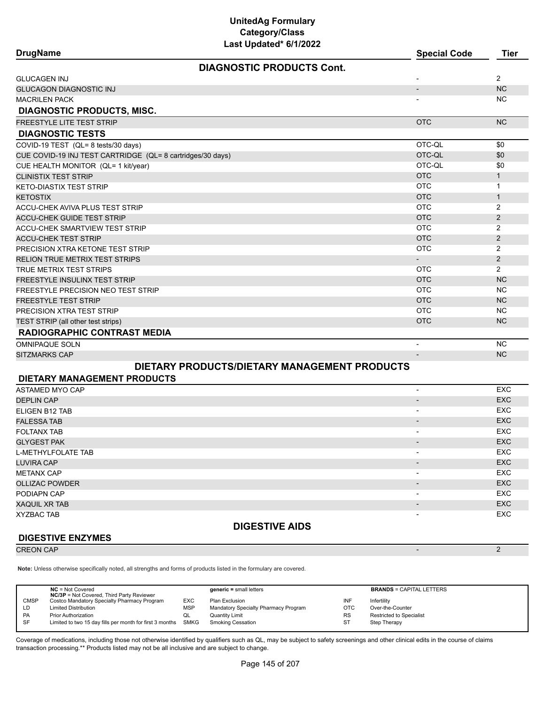| <b>DrugName</b>                                            | Last upuateu vrijkukk                        | <b>Special Code</b>      | <b>Tier</b>    |
|------------------------------------------------------------|----------------------------------------------|--------------------------|----------------|
|                                                            | <b>DIAGNOSTIC PRODUCTS Cont.</b>             |                          |                |
| <b>GLUCAGEN INJ</b>                                        |                                              |                          | 2              |
| <b>GLUCAGON DIAGNOSTIC INJ</b>                             |                                              | $\overline{\phantom{a}}$ | <b>NC</b>      |
| <b>MACRILEN PACK</b>                                       |                                              |                          | NC.            |
| <b>DIAGNOSTIC PRODUCTS, MISC.</b>                          |                                              |                          |                |
| <b>FREESTYLE LITE TEST STRIP</b>                           |                                              | <b>OTC</b>               | <b>NC</b>      |
| <b>DIAGNOSTIC TESTS</b>                                    |                                              |                          |                |
| COVID-19 TEST (QL= 8 tests/30 days)                        |                                              | OTC-QL                   | \$0            |
| CUE COVID-19 INJ TEST CARTRIDGE (QL= 8 cartridges/30 days) |                                              | OTC-QL                   | \$0            |
| CUE HEALTH MONITOR (QL= 1 kit/year)                        |                                              | OTC-OL                   | \$0            |
| <b>CLINISTIX TEST STRIP</b>                                |                                              | <b>OTC</b>               | $\mathbf{1}$   |
| KETO-DIASTIX TEST STRIP                                    |                                              | <b>OTC</b>               | $\mathbf{1}$   |
| <b>KETOSTIX</b>                                            |                                              | <b>OTC</b>               | $\mathbf{1}$   |
| ACCU-CHEK AVIVA PLUS TEST STRIP                            |                                              | <b>OTC</b>               | $\overline{2}$ |
| <b>ACCU-CHEK GUIDE TEST STRIP</b>                          |                                              | <b>OTC</b>               | 2              |
| <b>ACCU-CHEK SMARTVIEW TEST STRIP</b>                      |                                              | <b>OTC</b>               | $\overline{2}$ |
| <b>ACCU-CHEK TEST STRIP</b>                                |                                              | <b>OTC</b>               | $\overline{2}$ |
| PRECISION XTRA KETONE TEST STRIP                           |                                              | <b>OTC</b>               | $\overline{2}$ |
| RELION TRUE METRIX TEST STRIPS                             |                                              |                          | 2              |
| TRUE METRIX TEST STRIPS                                    |                                              | <b>OTC</b>               | $\overline{2}$ |
| FREESTYLE INSULINX TEST STRIP                              |                                              | <b>OTC</b>               | <b>NC</b>      |
| FREESTYLE PRECISION NEO TEST STRIP                         |                                              | <b>OTC</b>               | <b>NC</b>      |
| <b>FREESTYLE TEST STRIP</b>                                |                                              | <b>OTC</b>               | <b>NC</b>      |
| PRECISION XTRA TEST STRIP                                  |                                              | <b>OTC</b>               | <b>NC</b>      |
| TEST STRIP (all other test strips)                         |                                              | <b>OTC</b>               | <b>NC</b>      |
| <b>RADIOGRAPHIC CONTRAST MEDIA</b>                         |                                              |                          |                |
| <b>OMNIPAQUE SOLN</b>                                      |                                              | $\overline{\phantom{a}}$ | <b>NC</b>      |
| <b>SITZMARKS CAP</b>                                       |                                              |                          | <b>NC</b>      |
|                                                            | DIETARY PRODUCTS/DIETARY MANAGEMENT PRODUCTS |                          |                |
| <b>DIETARY MANAGEMENT PRODUCTS</b>                         |                                              |                          |                |
| <b>ASTAMED MYO CAP</b>                                     |                                              | $\overline{a}$           | EXC            |
| <b>DEPLIN CAP</b>                                          |                                              |                          | <b>EXC</b>     |
| ELIGEN B12 TAB                                             |                                              |                          | <b>EXC</b>     |

|                          | ᇊ          |
|--------------------------|------------|
| $\overline{\phantom{0}}$ | <b>EXC</b> |
| $\overline{\phantom{0}}$ | EXC        |
| $\overline{a}$           | <b>EXC</b> |
| $\overline{\phantom{0}}$ | <b>EXC</b> |
| $\overline{\phantom{a}}$ | <b>EXC</b> |
| . .                      | <b>EXC</b> |
| $\overline{\phantom{a}}$ | <b>EXC</b> |
| $\overline{\phantom{0}}$ | <b>EXC</b> |
| $\overline{a}$           | <b>EXC</b> |
| $\overline{\phantom{0}}$ | <b>EXC</b> |
|                          |            |
|                          | -          |

## **DIGESTIVE ENZYMES**

CREON CAP - 2

**Note:** Unless otherwise specifically noted, all strengths and forms of products listed in the formulary are covered.

|             | $NC = Not Covered$<br><b>NC/3P</b> = Not Covered, Third Party Reviewer |             | generic = small letters              |           | <b>BRANDS = CAPITAL LETTERS</b> |
|-------------|------------------------------------------------------------------------|-------------|--------------------------------------|-----------|---------------------------------|
| <b>CMSP</b> | Costco Mandatory Specialty Pharmacy Program                            | <b>EXC</b>  | Plan Exclusion                       | INF       | Infertility                     |
| LD.         | <b>Limited Distribution</b>                                            | MSP.        | Mandatory Specialty Pharmacy Program | OTC       | Over-the-Counter                |
| PA          | <b>Prior Authorization</b>                                             | QL          | <b>Quantity Limit</b>                | <b>RS</b> | <b>Restricted to Specialist</b> |
| SF          | Limited to two 15 day fills per month for first 3 months               | <b>SMKG</b> | <b>Smoking Cessation</b>             | <b>ST</b> | Step Therapy                    |
|             |                                                                        |             |                                      |           |                                 |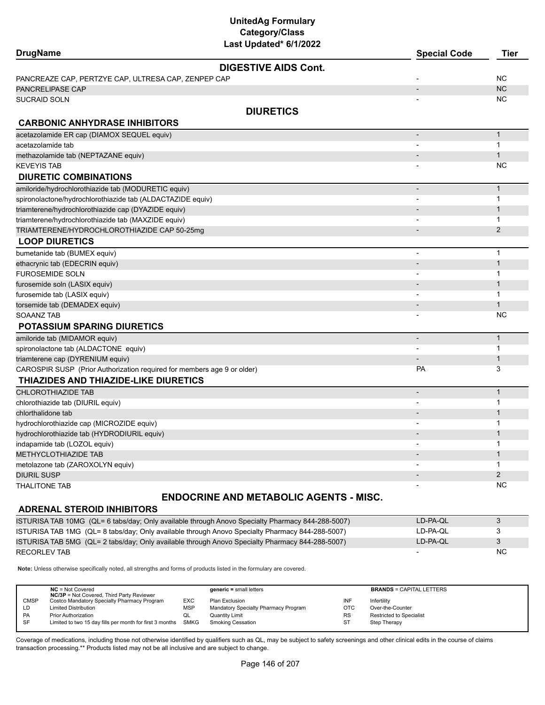| <b>DrugName</b>                                                         | Last updated" 6/1/2022      | <b>Special Code</b>      | Tier           |
|-------------------------------------------------------------------------|-----------------------------|--------------------------|----------------|
|                                                                         | <b>DIGESTIVE AIDS Cont.</b> |                          |                |
| PANCREAZE CAP, PERTZYE CAP, ULTRESA CAP, ZENPEP CAP                     |                             |                          | <b>NC</b>      |
| PANCRELIPASE CAP                                                        |                             |                          | <b>NC</b>      |
| SUCRAID SOLN                                                            |                             |                          | ΝC             |
|                                                                         | <b>DIURETICS</b>            |                          |                |
| <b>CARBONIC ANHYDRASE INHIBITORS</b>                                    |                             |                          |                |
| acetazolamide ER cap (DIAMOX SEQUEL equiv)                              |                             |                          | $\mathbf{1}$   |
| acetazolamide tab                                                       |                             |                          | 1              |
| methazolamide tab (NEPTAZANE equiv)                                     |                             |                          | $\mathbf{1}$   |
| KEVEYIS TAB                                                             |                             |                          | ΝC             |
| <b>DIURETIC COMBINATIONS</b>                                            |                             |                          |                |
| amiloride/hydrochlorothiazide tab (MODURETIC equiv)                     |                             |                          | $\mathbf{1}$   |
| spironolactone/hydrochlorothiazide tab (ALDACTAZIDE equiv)              |                             |                          | 1              |
| triamterene/hydrochlorothiazide cap (DYAZIDE equiv)                     |                             |                          | 1              |
| triamterene/hydrochlorothiazide tab (MAXZIDE equiv)                     |                             |                          | 1              |
| TRIAMTERENE/HYDROCHLOROTHIAZIDE CAP 50-25mg                             |                             |                          | $\overline{2}$ |
| <b>LOOP DIURETICS</b>                                                   |                             |                          |                |
| bumetanide tab (BUMEX equiv)                                            |                             | $\overline{a}$           | $\mathbf{1}$   |
| ethacrynic tab (EDECRIN equiv)                                          |                             |                          | $\mathbf{1}$   |
| <b>FUROSEMIDE SOLN</b>                                                  |                             |                          | $\mathbf{1}$   |
| furosemide soln (LASIX equiv)                                           |                             |                          | $\mathbf{1}$   |
| furosemide tab (LASIX equiv)                                            |                             |                          | $\mathbf{1}$   |
| torsemide tab (DEMADEX equiv)                                           |                             |                          | $\mathbf{1}$   |
| <b>SOAANZ TAB</b>                                                       |                             |                          | ΝC             |
| <b>POTASSIUM SPARING DIURETICS</b>                                      |                             |                          |                |
| amiloride tab (MIDAMOR equiv)                                           |                             | $\overline{\phantom{m}}$ | $\mathbf{1}$   |
| spironolactone tab (ALDACTONE equiv)                                    |                             |                          | 1              |
| triamterene cap (DYRENIUM equiv)                                        |                             |                          | $\mathbf{1}$   |
| CAROSPIR SUSP (Prior Authorization required for members age 9 or older) |                             | PA                       | 3              |
| THIAZIDES AND THIAZIDE-LIKE DIURETICS                                   |                             |                          |                |
| CHLOROTHIAZIDE TAB                                                      |                             | $\overline{a}$           | $\mathbf{1}$   |
| chlorothiazide tab (DIURIL equiv)                                       |                             |                          | $\mathbf{1}$   |
| chlorthalidone tab                                                      |                             |                          | $\mathbf{1}$   |
| hydrochlorothiazide cap (MICROZIDE equiv)                               |                             |                          | 1              |
| hydrochlorothiazide tab (HYDRODIURIL equiv)                             |                             |                          | $\mathbf{1}$   |
| indapamide tab (LOZOL equiv)                                            |                             |                          | 1              |
| METHYCLOTHIAZIDE TAB                                                    |                             |                          | $\mathbf{1}$   |
| metolazone tab (ZAROXOLYN equiv)                                        |                             |                          | 1              |
| DIURIL SUSP                                                             |                             |                          | $\overline{2}$ |
| <b>THALITONE TAB</b>                                                    |                             |                          | ΝC             |
|                                                                         |                             |                          |                |

## **ENDOCRINE AND METABOLIC AGENTS - MISC.**

## **ADRENAL STEROID INHIBITORS**

| ISTURISA TAB 10MG (QL= 6 tabs/day: Only available through Anovo Specialty Pharmacy 844-288-5007) | LD-PA-OL |     |
|--------------------------------------------------------------------------------------------------|----------|-----|
| ISTURISA TAB 1MG (QL= 8 tabs/day; Only available through Anovo Specialty Pharmacy 844-288-5007)  | LD-PA-OL |     |
| ISTURISA TAB 5MG (QL= 2 tabs/day; Only available through Anovo Specialty Pharmacy 844-288-5007)  | LD-PA-OL |     |
| RECORLEV TAB                                                                                     |          | NC. |

**Note:** Unless otherwise specifically noted, all strengths and forms of products listed in the formulary are covered.

|             | $NC = Not Covered$<br><b>NC/3P</b> = Not Covered, Third Party Reviewer |            | $generic = small letters$            |            | <b>BRANDS = CAPITAL LETTERS</b> |
|-------------|------------------------------------------------------------------------|------------|--------------------------------------|------------|---------------------------------|
| <b>CMSP</b> | Costco Mandatory Specialty Pharmacy Program                            | <b>EXC</b> | Plan Exclusion                       | INF        | Infertility                     |
| LD          | <b>Limited Distribution</b>                                            | <b>MSP</b> | Mandatory Specialty Pharmacy Program | <b>OTC</b> | Over-the-Counter                |
| <b>PA</b>   | <b>Prior Authorization</b>                                             | w∟         | Quantity Limit                       | <b>RS</b>  | <b>Restricted to Specialist</b> |
| -SF         | Limited to two 15 day fills per month for first 3 months SMKG          |            | Smoking Cessation                    | ST         | Step Therapy                    |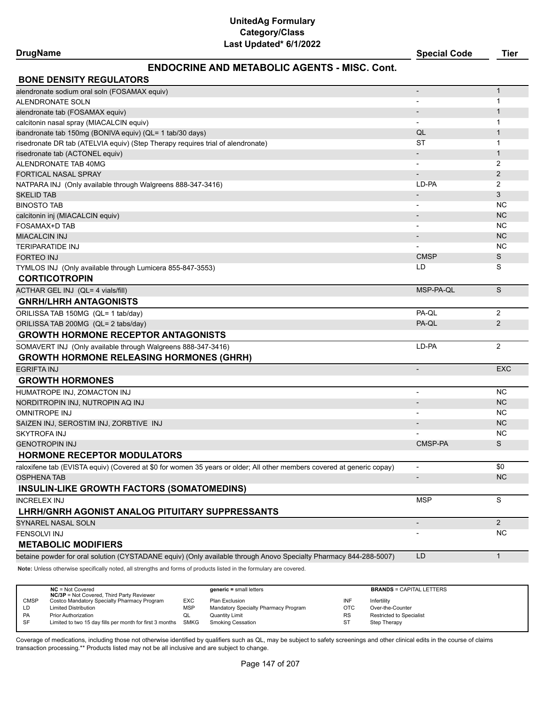## **DrugName Special Code Tier**

## **ENDOCRINE AND METABOLIC AGENTS - MISC. Cont.**

| <b>BONE DENSITY REGULATORS</b>                                                                                         |                              |                |
|------------------------------------------------------------------------------------------------------------------------|------------------------------|----------------|
| alendronate sodium oral soln (FOSAMAX equiv)                                                                           |                              | $\mathbf{1}$   |
| ALENDRONATE SOLN                                                                                                       |                              | 1              |
| alendronate tab (FOSAMAX equiv)                                                                                        |                              | 1              |
| calcitonin nasal spray (MIACALCIN equiv)                                                                               |                              | 1              |
| ibandronate tab 150mg (BONIVA equiv) (QL= 1 tab/30 days)                                                               | QL                           | $\mathbf{1}$   |
| risedronate DR tab (ATELVIA equiv) (Step Therapy requires trial of alendronate)                                        | ST                           | 1              |
| risedronate tab (ACTONEL equiv)                                                                                        |                              | $\mathbf{1}$   |
| ALENDRONATE TAB 40MG                                                                                                   | $\qquad \qquad \blacksquare$ | 2              |
| <b>FORTICAL NASAL SPRAY</b>                                                                                            |                              | $\overline{2}$ |
| NATPARA INJ (Only available through Walgreens 888-347-3416)                                                            | LD-PA                        | 2              |
| <b>SKELID TAB</b>                                                                                                      |                              | 3              |
| <b>BINOSTO TAB</b>                                                                                                     |                              | <b>NC</b>      |
| calcitonin inj (MIACALCIN equiv)                                                                                       |                              | <b>NC</b>      |
| <b>FOSAMAX+D TAB</b>                                                                                                   |                              | <b>NC</b>      |
| <b>MIACALCIN INJ</b>                                                                                                   |                              | <b>NC</b>      |
| <b>TERIPARATIDE INJ</b>                                                                                                |                              | <b>NC</b>      |
| FORTEO INJ                                                                                                             | <b>CMSP</b>                  | S              |
| TYMLOS INJ (Only available through Lumicera 855-847-3553)                                                              | LD                           | S              |
| <b>CORTICOTROPIN</b>                                                                                                   |                              |                |
| ACTHAR GEL INJ (QL= 4 vials/fill)                                                                                      | MSP-PA-QL                    | S              |
| <b>GNRH/LHRH ANTAGONISTS</b>                                                                                           |                              |                |
| ORILISSA TAB 150MG (QL= 1 tab/day)                                                                                     | PA-QL                        | 2              |
| ORILISSA TAB 200MG (QL= 2 tabs/day)                                                                                    | PA-QL                        | 2              |
| <b>GROWTH HORMONE RECEPTOR ANTAGONISTS</b>                                                                             |                              |                |
| SOMAVERT INJ (Only available through Walgreens 888-347-3416)                                                           | LD-PA                        | 2              |
| <b>GROWTH HORMONE RELEASING HORMONES (GHRH)</b>                                                                        |                              |                |
| <b>EGRIFTA INJ</b>                                                                                                     |                              | <b>EXC</b>     |
| <b>GROWTH HORMONES</b>                                                                                                 |                              |                |
| HUMATROPE INJ, ZOMACTON INJ                                                                                            |                              | <b>NC</b>      |
| NORDITROPIN INJ, NUTROPIN AQ INJ                                                                                       |                              | <b>NC</b>      |
| <b>OMNITROPE INJ</b>                                                                                                   |                              | NC.            |
| SAIZEN INJ, SEROSTIM INJ, ZORBTIVE INJ                                                                                 |                              | <b>NC</b>      |
| SKYTROFA INJ                                                                                                           |                              | <b>NC</b>      |
| <b>GENOTROPIN INJ</b>                                                                                                  | CMSP-PA                      | S              |
| <b>HORMONE RECEPTOR MODULATORS</b>                                                                                     |                              |                |
| raloxifene tab (EVISTA equiv) (Covered at \$0 for women 35 years or older; All other members covered at generic copay) | $\overline{\phantom{a}}$     | \$0            |
| OSPHENA TAB                                                                                                            |                              | <b>NC</b>      |
| <b>INSULIN-LIKE GROWTH FACTORS (SOMATOMEDINS)</b>                                                                      |                              |                |
| <b>INCRELEX INJ</b>                                                                                                    | <b>MSP</b>                   | S              |
| LHRH/GNRH AGONIST ANALOG PITUITARY SUPPRESSANTS                                                                        |                              |                |
| SYNAREL NASAL SOLN                                                                                                     | $\overline{\phantom{a}}$     | $2^{\circ}$    |
| <b>FENSOLVI INJ</b>                                                                                                    |                              | <b>NC</b>      |
| <b>METABOLIC MODIFIERS</b>                                                                                             |                              |                |
| betaine powder for oral solution (CYSTADANE equiv) (Only available through Anovo Specialty Pharmacy 844-288-5007)      | LD                           | $\mathbf{1}$   |

**Note:** Unless otherwise specifically noted, all strengths and forms of products listed in the formulary are covered.

|             | $NC = Not Covered$<br><b>NC/3P</b> = Not Covered, Third Party Reviewer |            | $generic = small letters$            |            | <b>BRANDS = CAPITAL LETTERS</b> |
|-------------|------------------------------------------------------------------------|------------|--------------------------------------|------------|---------------------------------|
| <b>CMSP</b> | Costco Mandatory Specialty Pharmacy Program                            | EXC        | Plan Exclusion                       | INF        | Infertility                     |
| LD          | <b>Limited Distribution</b>                                            | <b>MSP</b> | Mandatory Specialty Pharmacy Program | <b>OTC</b> | Over-the-Counter                |
| <b>PA</b>   | <b>Prior Authorization</b>                                             | QL         | Quantity Limit                       | <b>RS</b>  | <b>Restricted to Specialist</b> |
| SF          | Limited to two 15 day fills per month for first 3 months SMKG          |            | <b>Smoking Cessation</b>             | ST         | Step Therapy                    |
|             |                                                                        |            |                                      |            |                                 |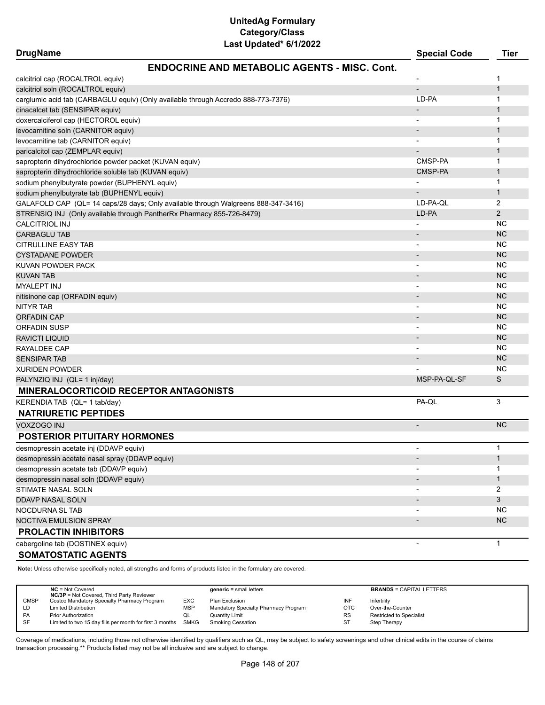| <b>DrugName</b>                                                                   | Last Updated" 6/1/2022                              | <b>Special Code</b>          | <b>Tier</b>    |
|-----------------------------------------------------------------------------------|-----------------------------------------------------|------------------------------|----------------|
|                                                                                   | <b>ENDOCRINE AND METABOLIC AGENTS - MISC. Cont.</b> |                              |                |
| calcitriol cap (ROCALTROL equiv)                                                  |                                                     |                              | 1              |
| calcitriol soln (ROCALTROL equiv)                                                 |                                                     | $\overline{\phantom{m}}$     | $\mathbf{1}$   |
| carglumic acid tab (CARBAGLU equiv) (Only available through Accredo 888-773-7376) |                                                     | LD-PA                        | 1              |
| cinacalcet tab (SENSIPAR equiv)                                                   |                                                     | $\overline{\phantom{m}}$     | 1              |
| doxercalciferol cap (HECTOROL equiv)                                              |                                                     | $\qquad \qquad \blacksquare$ | 1              |
| levocarnitine soln (CARNITOR equiv)                                               |                                                     | $\overline{\phantom{m}}$     | 1              |
| levocarnitine tab (CARNITOR equiv)                                                |                                                     |                              | 1              |
| paricalcitol cap (ZEMPLAR equiv)                                                  |                                                     |                              | 1              |
| sapropterin dihydrochloride powder packet (KUVAN equiv)                           |                                                     | CMSP-PA                      | 1              |
| sapropterin dihydrochloride soluble tab (KUVAN equiv)                             |                                                     | CMSP-PA                      | 1              |
| sodium phenylbutyrate powder (BUPHENYL equiv)                                     |                                                     | $\overline{\phantom{0}}$     | 1              |
| sodium phenylbutyrate tab (BUPHENYL equiv)                                        |                                                     |                              | 1              |
| GALAFOLD CAP (QL= 14 caps/28 days; Only available through Walgreens 888-347-3416) |                                                     | LD-PA-QL                     | 2              |
| STRENSIQ INJ (Only available through PantherRx Pharmacy 855-726-8479)             |                                                     | LD-PA                        | $\overline{2}$ |
| CALCITRIOL INJ                                                                    |                                                     |                              | <b>NC</b>      |
| <b>CARBAGLU TAB</b>                                                               |                                                     | $\overline{\phantom{a}}$     | <b>NC</b>      |
| <b>CITRULLINE EASY TAB</b>                                                        |                                                     |                              | <b>NC</b>      |
| CYSTADANE POWDER                                                                  |                                                     |                              | <b>NC</b>      |
| KUVAN POWDER PACK                                                                 |                                                     |                              | <b>NC</b>      |
| KUVAN TAB                                                                         |                                                     | $\overline{\phantom{a}}$     | <b>NC</b>      |
| <b>MYALEPT INJ</b>                                                                |                                                     |                              | <b>NC</b>      |
| nitisinone cap (ORFADIN equiv)                                                    |                                                     |                              | <b>NC</b>      |
| NITYR TAB                                                                         |                                                     |                              | <b>NC</b>      |
| ORFADIN CAP                                                                       |                                                     |                              | <b>NC</b>      |
| ORFADIN SUSP                                                                      |                                                     |                              | <b>NC</b>      |
| RAVICTI LIQUID                                                                    |                                                     |                              | <b>NC</b>      |
| RAYALDEE CAP                                                                      |                                                     |                              | <b>NC</b>      |
| SENSIPAR TAB                                                                      |                                                     |                              | <b>NC</b>      |
| XURIDEN POWDER                                                                    |                                                     |                              | <b>NC</b>      |
| PALYNZIQ INJ (QL= 1 inj/day)                                                      |                                                     | MSP-PA-QL-SF                 | S              |
| <b>MINERALOCORTICOID RECEPTOR ANTAGONISTS</b>                                     |                                                     |                              |                |
| KERENDIA TAB (QL= 1 tab/day)                                                      |                                                     | PA-QL                        | 3              |
| <b>NATRIURETIC PEPTIDES</b>                                                       |                                                     |                              |                |
| VOXZOGO INJ                                                                       |                                                     | $\overline{\phantom{a}}$     | <b>NC</b>      |
| <b>POSTERIOR PITUITARY HORMONES</b>                                               |                                                     |                              |                |
| desmopressin acetate inj (DDAVP equiv)                                            |                                                     |                              | 1              |
| desmopressin acetate nasal spray (DDAVP equiv)                                    |                                                     |                              | $\mathbf{1}$   |
| desmopressin acetate tab (DDAVP equiv)                                            |                                                     |                              | 1              |
| desmopressin nasal soln (DDAVP equiv)                                             |                                                     |                              | $\mathbf{1}$   |
| STIMATE NASAL SOLN                                                                |                                                     |                              | 2              |
| <b>DDAVP NASAL SOLN</b>                                                           |                                                     |                              | 3              |
| NOCDURNA SL TAB                                                                   |                                                     | -                            | ΝC             |
| NOCTIVA EMULSION SPRAY                                                            |                                                     |                              | <b>NC</b>      |
| <b>PROLACTIN INHIBITORS</b>                                                       |                                                     |                              |                |
| cabergoline tab (DOSTINEX equiv)                                                  |                                                     |                              | $\mathbf{1}$   |
| <b>SOMATOSTATIC AGENTS</b>                                                        |                                                     |                              |                |

**Note:** Unless otherwise specifically noted, all strengths and forms of products listed in the formulary are covered.

|             | $NC = Not Covered$<br><b>NC/3P</b> = Not Covered, Third Party Reviewer |            | $generic = small letters$            |            | <b>BRANDS = CAPITAL LETTERS</b> |
|-------------|------------------------------------------------------------------------|------------|--------------------------------------|------------|---------------------------------|
| <b>CMSP</b> | Costco Mandatory Specialty Pharmacy Program                            | EXC        | Plan Exclusion                       | INF        | Infertility                     |
| LD          | <b>Limited Distribution</b>                                            | <b>MSP</b> | Mandatory Specialty Pharmacy Program | <b>OTC</b> | Over-the-Counter                |
| PA          | <b>Prior Authorization</b>                                             | QL         | <b>Quantity Limit</b>                | RS         | Restricted to Specialist        |
| SF          | Limited to two 15 day fills per month for first 3 months SMKG          |            | <b>Smoking Cessation</b>             | <b>ST</b>  | Step Therapy                    |
|             |                                                                        |            |                                      |            |                                 |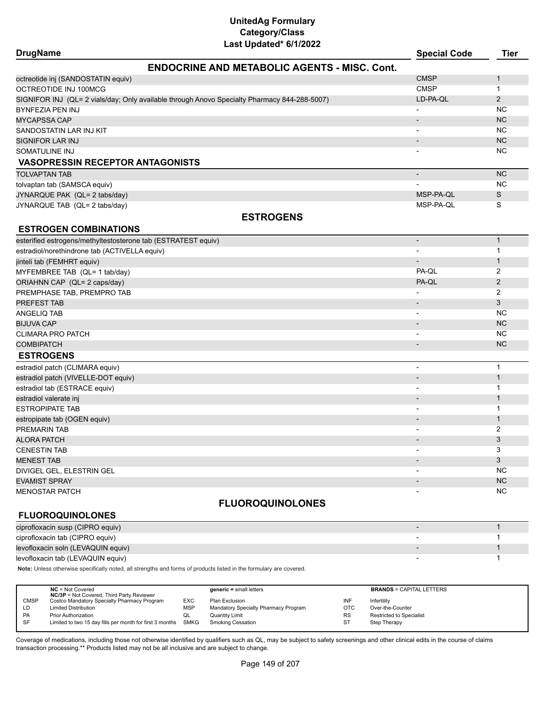| <b>DrugName</b>                                                                              | ast opaalog omzel                                   | <b>Special Code</b>      | <b>Tier</b>    |
|----------------------------------------------------------------------------------------------|-----------------------------------------------------|--------------------------|----------------|
|                                                                                              | <b>ENDOCRINE AND METABOLIC AGENTS - MISC. Cont.</b> |                          |                |
| octreotide inj (SANDOSTATIN equiv)                                                           |                                                     | <b>CMSP</b>              | 1              |
| OCTREOTIDE INJ 100MCG                                                                        |                                                     | <b>CMSP</b>              | $\mathbf{1}$   |
| SIGNIFOR INJ (QL= 2 vials/day; Only available through Anovo Specialty Pharmacy 844-288-5007) |                                                     | LD-PA-QL                 | $\overline{2}$ |
| BYNFEZIA PEN INJ                                                                             |                                                     | $\overline{a}$           | NC.            |
| <b>MYCAPSSA CAP</b>                                                                          |                                                     |                          | <b>NC</b>      |
| SANDOSTATIN LAR INJ KIT                                                                      |                                                     |                          | <b>NC</b>      |
| SIGNIFOR LAR INJ                                                                             |                                                     | $\overline{\phantom{0}}$ | <b>NC</b>      |
| SOMATULINE INJ                                                                               |                                                     |                          | <b>NC</b>      |
| <b>VASOPRESSIN RECEPTOR ANTAGONISTS</b>                                                      |                                                     |                          |                |
| <b>TOLVAPTAN TAB</b>                                                                         |                                                     |                          | <b>NC</b>      |
| tolvaptan tab (SAMSCA equiv)                                                                 |                                                     |                          | <b>NC</b>      |
| JYNARQUE PAK (QL= 2 tabs/day)                                                                |                                                     | MSP-PA-QL                | S              |
| JYNARQUE TAB (QL= 2 tabs/day)                                                                |                                                     | MSP-PA-QL                | S              |
|                                                                                              | <b>ESTROGENS</b>                                    |                          |                |
| <b>ESTROGEN COMBINATIONS</b>                                                                 |                                                     |                          |                |
| esterified estrogens/methyltestosterone tab (ESTRATEST equiv)                                |                                                     | $\overline{\phantom{a}}$ | $\mathbf{1}$   |
| estradiol/norethindrone tab (ACTIVELLA equiv)                                                |                                                     | $\blacksquare$           | $\mathbf{1}$   |
| jinteli tab (FEMHRT equiv)                                                                   |                                                     |                          | $\mathbf{1}$   |
| MYFEMBREE TAB (QL= 1 tab/day)                                                                |                                                     | PA-QL                    | $\overline{c}$ |
| ORIAHNN CAP (QL= 2 caps/day)                                                                 |                                                     | PA-QL                    | $\overline{2}$ |
| PREMPHASE TAB, PREMPRO TAB                                                                   |                                                     |                          | 2              |
| PREFEST TAB                                                                                  |                                                     |                          | 3              |
| ANGELIQ TAB                                                                                  |                                                     |                          | <b>NC</b>      |
| <b>BIJUVA CAP</b>                                                                            |                                                     | $\overline{\phantom{0}}$ | <b>NC</b>      |
| CLIMARA PRO PATCH                                                                            |                                                     |                          | <b>NC</b>      |
| <b>COMBIPATCH</b>                                                                            |                                                     | $\overline{\phantom{a}}$ | <b>NC</b>      |
| <b>ESTROGENS</b>                                                                             |                                                     |                          |                |
| estradiol patch (CLIMARA equiv)                                                              |                                                     | $\blacksquare$           | $\mathbf{1}$   |
| estradiol patch (VIVELLE-DOT equiv)                                                          |                                                     |                          | $\mathbf{1}$   |
| estradiol tab (ESTRACE equiv)                                                                |                                                     | $\overline{\phantom{a}}$ | $\mathbf{1}$   |
| estradiol valerate inj                                                                       |                                                     |                          | $\mathbf{1}$   |
| <b>ESTROPIPATE TAB</b>                                                                       |                                                     | $\overline{\phantom{a}}$ | $\mathbf{1}$   |
| estropipate tab (OGEN equiv)                                                                 |                                                     |                          | $\mathbf{1}$   |
| PREMARIN TAB                                                                                 |                                                     |                          | 2              |
| <b>ALORA PATCH</b>                                                                           |                                                     |                          | 3              |
| CENESTIN TAB                                                                                 |                                                     |                          | 3              |
| <b>MENEST TAB</b>                                                                            |                                                     |                          | 3              |
| DIVIGEL GEL, ELESTRIN GEL                                                                    |                                                     |                          | <b>NC</b>      |
| <b>EVAMIST SPRAY</b>                                                                         |                                                     |                          | <b>NC</b>      |
| MENOSTAR PATCH                                                                               |                                                     |                          | <b>NC</b>      |
|                                                                                              | ELUADAALIINAL ANEG                                  |                          |                |

## **FLUOROQUINOLONES**

## **FLUOROQUINOLONES**

| ciprofloxacin susp (CIPRO equiv)   |  |
|------------------------------------|--|
| ciprofloxacin tab (CIPRO equiv)    |  |
| levofloxacin soln (LEVAQUIN equiv) |  |
| levofloxacin tab (LEVAQUIN equiv)  |  |

**Note:** Unless otherwise specifically noted, all strengths and forms of products listed in the formulary are covered.

|             | $NC = Not Covered$<br><b>NC/3P</b> = Not Covered, Third Party Reviewer |            | $generic = small letters$            |            | <b>BRANDS = CAPITAL LETTERS</b> |
|-------------|------------------------------------------------------------------------|------------|--------------------------------------|------------|---------------------------------|
| <b>CMSP</b> | Costco Mandatory Specialty Pharmacy Program                            | <b>EXC</b> | Plan Exclusion                       | INF        | Infertility                     |
| LD          | <b>Limited Distribution</b>                                            | MSP        | Mandatory Specialty Pharmacy Program | <b>OTC</b> | Over-the-Counter                |
| PA          | <b>Prior Authorization</b>                                             | QL         | <b>Quantity Limit</b>                | <b>RS</b>  | <b>Restricted to Specialist</b> |
| SF          | Limited to two 15 day fills per month for first 3 months SMKG          |            | Smoking Cessation                    | <b>ST</b>  | Step Therapy                    |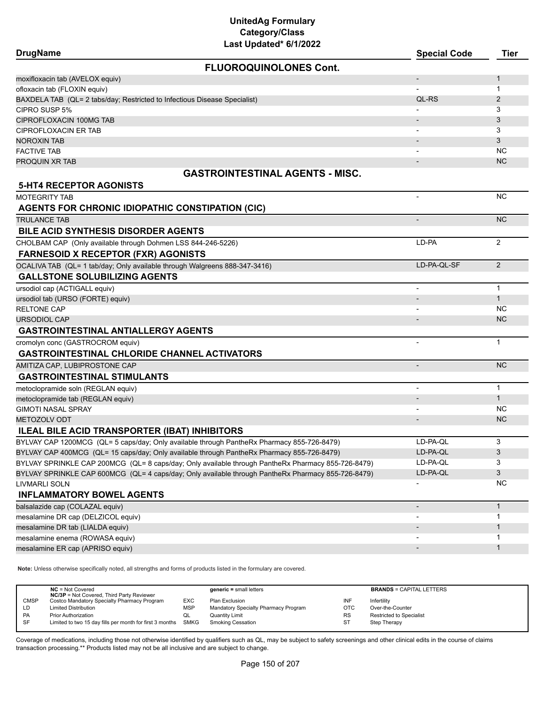| Last Updated* 6/1/2022<br><b>DrugName</b>                                                          | <b>Special Code</b>      | <b>Tier</b>    |
|----------------------------------------------------------------------------------------------------|--------------------------|----------------|
| <b>FLUOROQUINOLONES Cont.</b>                                                                      |                          |                |
| moxifloxacin tab (AVELOX equiv)                                                                    | $\overline{\phantom{a}}$ | $\mathbf{1}$   |
| ofloxacin tab (FLOXIN equiv)                                                                       |                          | 1              |
| BAXDELA TAB (QL= 2 tabs/day; Restricted to Infectious Disease Specialist)                          | QL-RS                    | $\overline{2}$ |
| CIPRO SUSP 5%                                                                                      |                          | 3              |
| CIPROFLOXACIN 100MG TAB                                                                            |                          | 3              |
| <b>CIPROFLOXACIN ER TAB</b>                                                                        | $\overline{\phantom{a}}$ | 3              |
| <b>NOROXIN TAB</b>                                                                                 |                          | 3              |
| <b>FACTIVE TAB</b>                                                                                 |                          | NC             |
| PROQUIN XR TAB                                                                                     |                          | <b>NC</b>      |
| <b>GASTROINTESTINAL AGENTS - MISC.</b>                                                             |                          |                |
| <b>5-HT4 RECEPTOR AGONISTS</b>                                                                     |                          |                |
| <b>MOTEGRITY TAB</b>                                                                               |                          | <b>NC</b>      |
| <b>AGENTS FOR CHRONIC IDIOPATHIC CONSTIPATION (CIC)</b>                                            |                          |                |
| <b>TRULANCE TAB</b>                                                                                |                          | <b>NC</b>      |
| <b>BILE ACID SYNTHESIS DISORDER AGENTS</b>                                                         |                          |                |
| CHOLBAM CAP (Only available through Dohmen LSS 844-246-5226)                                       | LD-PA                    | 2              |
| <b>FARNESOID X RECEPTOR (FXR) AGONISTS</b>                                                         |                          |                |
| OCALIVA TAB (QL= 1 tab/day; Only available through Walgreens 888-347-3416)                         | LD-PA-QL-SF              | 2              |
| <b>GALLSTONE SOLUBILIZING AGENTS</b>                                                               |                          |                |
| ursodiol cap (ACTIGALL equiv)                                                                      |                          | $\mathbf{1}$   |
| ursodiol tab (URSO (FORTE) equiv)                                                                  |                          | $\mathbf{1}$   |
| <b>RELTONE CAP</b>                                                                                 |                          | NC.            |
| <b>URSODIOL CAP</b>                                                                                |                          | NC.            |
| <b>GASTROINTESTINAL ANTIALLERGY AGENTS</b>                                                         |                          |                |
| cromolyn conc (GASTROCROM equiv)                                                                   |                          | $\mathbf{1}$   |
| <b>GASTROINTESTINAL CHLORIDE CHANNEL ACTIVATORS</b>                                                |                          |                |
| AMITIZA CAP, LUBIPROSTONE CAP                                                                      | $\overline{\phantom{a}}$ | NC.            |
| <b>GASTROINTESTINAL STIMULANTS</b>                                                                 |                          |                |
| metoclopramide soln (REGLAN equiv)                                                                 |                          | $\mathbf{1}$   |
| metoclopramide tab (REGLAN equiv)                                                                  |                          | $\mathbf{1}$   |
| <b>GIMOTI NASAL SPRAY</b>                                                                          |                          | NC.            |
| <b>METOZOLV ODT</b>                                                                                |                          | <b>NC</b>      |
| ILEAL BILE ACID TRANSPORTER (IBAT) INHIBITORS                                                      |                          |                |
| BYLVAY CAP 1200MCG (QL= 5 caps/day; Only available through PantheRx Pharmacy 855-726-8479)         | LD-PA-QL                 | 3              |
| BYLVAY CAP 400MCG (QL= 15 caps/day; Only available through PantheRx Pharmacy 855-726-8479)         | LD-PA-QL                 | 3              |
| BYLVAY SPRINKLE CAP 200MCG (QL= 8 caps/day; Only available through PantheRx Pharmacy 855-726-8479) | LD-PA-QL                 | 3              |
| BYLVAY SPRINKLE CAP 600MCG (QL= 4 caps/day; Only available through PantheRx Pharmacy 855-726-8479) | LD-PA-QL                 | 3              |
| LIVMARLI SOLN                                                                                      |                          | NC             |
| <b>INFLAMMATORY BOWEL AGENTS</b>                                                                   |                          |                |
| balsalazide cap (COLAZAL equiv)                                                                    | $\overline{\phantom{0}}$ | $\mathbf{1}$   |
| mesalamine DR cap (DELZICOL equiv)                                                                 |                          | 1              |
| mesalamine DR tab (LIALDA equiv)                                                                   |                          | $\mathbf{1}$   |
| mesalamine enema (ROWASA equiv)                                                                    |                          | 1              |
| mesalamine ER cap (APRISO equiv)                                                                   |                          | $\mathbf{1}$   |

**Note:** Unless otherwise specifically noted, all strengths and forms of products listed in the formulary are covered.

|             | $NC = Not Covered$<br><b>NC/3P</b> = Not Covered, Third Party Reviewer |            | $generic = small letters$            |           | <b>BRANDS = CAPITAL LETTERS</b> |
|-------------|------------------------------------------------------------------------|------------|--------------------------------------|-----------|---------------------------------|
| <b>CMSP</b> | Costco Mandatory Specialty Pharmacy Program                            | EXC        | Plan Exclusion                       | INF       | Infertility                     |
| LD          | <b>Limited Distribution</b>                                            | <b>MSP</b> | Mandatory Specialty Pharmacy Program | OTC       | Over-the-Counter                |
| <b>PA</b>   | <b>Prior Authorization</b>                                             | QL         | <b>Quantity Limit</b>                | <b>RS</b> | <b>Restricted to Specialist</b> |
| <b>SF</b>   | Limited to two 15 day fills per month for first 3 months SMKG          |            | <b>Smoking Cessation</b>             | ST        | Step Therapy                    |
|             |                                                                        |            |                                      |           |                                 |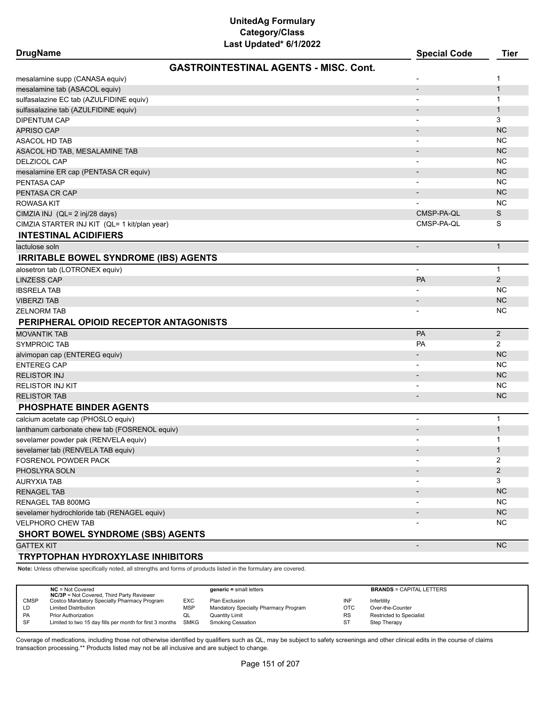| <b>DrugName</b>                               |                                              | <b>Special Code</b>          | <b>Tier</b>    |
|-----------------------------------------------|----------------------------------------------|------------------------------|----------------|
|                                               | <b>GASTROINTESTINAL AGENTS - MISC. Cont.</b> |                              |                |
| mesalamine supp (CANASA equiv)                |                                              |                              | 1              |
| mesalamine tab (ASACOL equiv)                 |                                              |                              | $\mathbf{1}$   |
| sulfasalazine EC tab (AZULFIDINE equiv)       |                                              |                              | 1              |
| sulfasalazine tab (AZULFIDINE equiv)          |                                              |                              | $\mathbf{1}$   |
| <b>DIPENTUM CAP</b>                           |                                              |                              | 3              |
| <b>APRISO CAP</b>                             |                                              |                              | <b>NC</b>      |
| <b>ASACOL HD TAB</b>                          |                                              |                              | <b>NC</b>      |
| ASACOL HD TAB, MESALAMINE TAB                 |                                              |                              | <b>NC</b>      |
| <b>DELZICOL CAP</b>                           |                                              |                              | ΝC             |
| mesalamine ER cap (PENTASA CR equiv)          |                                              |                              | <b>NC</b>      |
| PENTASA CAP                                   |                                              |                              | <b>NC</b>      |
| PENTASA CR CAP                                |                                              |                              | <b>NC</b>      |
| ROWASA KIT                                    |                                              |                              | <b>NC</b>      |
| CIMZIA INJ (QL= 2 inj/28 days)                |                                              | CMSP-PA-QL                   | S              |
| CIMZIA STARTER INJ KIT (QL= 1 kit/plan year)  |                                              | CMSP-PA-QL                   | S              |
| <b>INTESTINAL ACIDIFIERS</b>                  |                                              |                              |                |
| lactulose soln                                |                                              | $\overline{\phantom{a}}$     | $\mathbf{1}$   |
| <b>IRRITABLE BOWEL SYNDROME (IBS) AGENTS</b>  |                                              |                              |                |
| alosetron tab (LOTRONEX equiv)                |                                              |                              | $\mathbf{1}$   |
| <b>LINZESS CAP</b>                            |                                              | PA                           | 2              |
| <b>IBSRELA TAB</b>                            |                                              |                              | <b>NC</b>      |
| <b>VIBERZI TAB</b>                            |                                              |                              | <b>NC</b>      |
| <b>ZELNORM TAB</b>                            |                                              |                              | ΝC             |
| PERIPHERAL OPIOID RECEPTOR ANTAGONISTS        |                                              |                              |                |
| <b>MOVANTIK TAB</b>                           |                                              | PA                           | $\overline{2}$ |
| <b>SYMPROIC TAB</b>                           |                                              | <b>PA</b>                    | $\overline{2}$ |
| alvimopan cap (ENTEREG equiv)                 |                                              |                              | <b>NC</b>      |
| <b>ENTEREG CAP</b>                            |                                              |                              | <b>NC</b>      |
| <b>RELISTOR INJ</b>                           |                                              |                              | <b>NC</b>      |
| <b>RELISTOR INJ KIT</b>                       |                                              |                              | NC.            |
| <b>RELISTOR TAB</b>                           |                                              |                              | <b>NC</b>      |
| <b>PHOSPHATE BINDER AGENTS</b>                |                                              |                              |                |
| calcium acetate cap (PHOSLO equiv)            |                                              |                              | $\mathbf{1}$   |
| lanthanum carbonate chew tab (FOSRENOL equiv) |                                              |                              | $\mathbf{1}$   |
| sevelamer powder pak (RENVELA equiv)          |                                              |                              | 1              |
| sevelamer tab (RENVELA TAB equiv)             |                                              |                              | $\mathbf{1}$   |
| FOSRENOL POWDER PACK                          |                                              | $\overline{\phantom{a}}$     | 2              |
| PHOSLYRA SOLN                                 |                                              |                              | $\overline{2}$ |
| AURYXIA TAB                                   |                                              | $\qquad \qquad \blacksquare$ | 3              |
| <b>RENAGEL TAB</b>                            |                                              |                              | <b>NC</b>      |
| RENAGEL TAB 800MG                             |                                              | $\overline{\phantom{a}}$     | <b>NC</b>      |
| sevelamer hydrochloride tab (RENAGEL equiv)   |                                              |                              | <b>NC</b>      |
| <b>VELPHORO CHEW TAB</b>                      |                                              | $\overline{\phantom{a}}$     | <b>NC</b>      |
|                                               |                                              |                              |                |

## **SHORT BOWEL SYNDROME (SBS) AGENTS**

GATTEX KIT AND THE RELEASE OF THE RELEASE OF THE RELEASE OF THE RELEASE OF THE RELEASE OF THE RELEASE OF THE R

#### **TRYPTOPHAN HYDROXYLASE INHIBITORS**

**Note:** Unless otherwise specifically noted, all strengths and forms of products listed in the formulary are covered.

|             | $NC = Not Covered$<br><b>NC/3P</b> = Not Covered, Third Party Reviewer |            | generic = small letters              |            | <b>BRANDS = CAPITAL LETTERS</b> |
|-------------|------------------------------------------------------------------------|------------|--------------------------------------|------------|---------------------------------|
| <b>CMSP</b> | Costco Mandatory Specialty Pharmacy Program                            | <b>EXC</b> | Plan Exclusion                       | INF        | Infertility                     |
| LD          | <b>Limited Distribution</b>                                            | <b>MSP</b> | Mandatory Specialty Pharmacy Program | <b>OTC</b> | Over-the-Counter                |
| PA          | <b>Prior Authorization</b>                                             | w∟         | <b>Quantity Limit</b>                | <b>RS</b>  | Restricted to Specialist        |
| SF          | Limited to two 15 day fills per month for first 3 months               | SMKG       | Smoking Cessation                    | <b>ST</b>  | Step Therapy                    |
|             |                                                                        |            |                                      |            |                                 |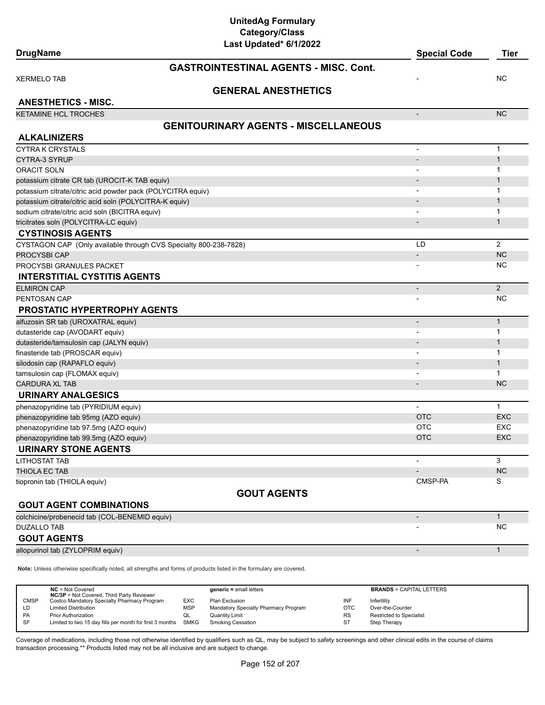| <b>DrugName</b>                                                  | Last updated or fize 22                      | <b>Special Code</b>      | <b>Tier</b>    |
|------------------------------------------------------------------|----------------------------------------------|--------------------------|----------------|
|                                                                  | <b>GASTROINTESTINAL AGENTS - MISC, Cont.</b> |                          |                |
| <b>XERMELO TAB</b>                                               |                                              |                          | NC             |
|                                                                  | <b>GENERAL ANESTHETICS</b>                   |                          |                |
| <b>ANESTHETICS - MISC.</b>                                       |                                              |                          |                |
| <b>KETAMINE HCL TROCHES</b>                                      |                                              |                          | <b>NC</b>      |
|                                                                  | <b>GENITOURINARY AGENTS - MISCELLANEOUS</b>  |                          |                |
| <b>ALKALINIZERS</b>                                              |                                              |                          |                |
| <b>CYTRA K CRYSTALS</b>                                          |                                              | $\overline{\phantom{a}}$ | $\mathbf{1}$   |
| CYTRA-3 SYRUP                                                    |                                              |                          | $\mathbf{1}$   |
| <b>ORACIT SOLN</b>                                               |                                              |                          | 1              |
| potassium citrate CR tab (UROCIT-K TAB equiv)                    |                                              |                          | $\mathbf 1$    |
| potassium citrate/citric acid powder pack (POLYCITRA equiv)      |                                              | $\blacksquare$           | 1              |
| potassium citrate/citric acid soln (POLYCITRA-K equiv)           |                                              |                          | $\mathbf 1$    |
| sodium citrate/citric acid soln (BICITRA equiv)                  |                                              |                          | 1              |
| tricitrates soln (POLYCITRA-LC equiv)                            |                                              | $\overline{\phantom{a}}$ | $\mathbf 1$    |
| <b>CYSTINOSIS AGENTS</b>                                         |                                              |                          |                |
| CYSTAGON CAP (Only available through CVS Specialty 800-238-7828) |                                              | LD                       | $\overline{2}$ |
| PROCYSBI CAP                                                     |                                              | $\overline{\phantom{a}}$ | <b>NC</b>      |
| PROCYSBI GRANULES PACKET                                         |                                              |                          | NC.            |
| <b>INTERSTITIAL CYSTITIS AGENTS</b>                              |                                              |                          |                |
| <b>ELMIRON CAP</b>                                               |                                              | $\overline{\phantom{a}}$ | $\overline{2}$ |
| PENTOSAN CAP                                                     |                                              |                          | NC             |
| <b>PROSTATIC HYPERTROPHY AGENTS</b>                              |                                              |                          |                |
| alfuzosin SR tab (UROXATRAL equiv)                               |                                              |                          | $\mathbf{1}$   |
| dutasteride cap (AVODART equiv)                                  |                                              |                          | 1              |
| dutasteride/tamsulosin cap (JALYN equiv)                         |                                              |                          | $\mathbf 1$    |
| finasteride tab (PROSCAR equiv)                                  |                                              |                          | 1              |
| silodosin cap (RAPAFLO equiv)                                    |                                              |                          | $\mathbf{1}$   |
| tamsulosin cap (FLOMAX equiv)                                    |                                              |                          | 1              |
| <b>CARDURA XL TAB</b>                                            |                                              |                          | NC             |
| <b>URINARY ANALGESICS</b>                                        |                                              |                          |                |
| phenazopyridine tab (PYRIDIUM equiv)                             |                                              | $\blacksquare$           | $\mathbf{1}$   |
| phenazopyridine tab 95mg (AZO equiv)                             |                                              | <b>OTC</b>               | <b>EXC</b>     |
| phenazopyridine tab 97.5mg (AZO equiv)                           |                                              | <b>OTC</b>               | EXC            |
| phenazopyridine tab 99.5mg (AZO equiv)                           |                                              | <b>OTC</b>               | <b>EXC</b>     |
| <b>URINARY STONE AGENTS</b>                                      |                                              |                          |                |
| <b>LITHOSTAT TAB</b>                                             |                                              |                          | 3              |
| THIOLA EC TAB                                                    |                                              |                          | NC             |
| tiopronin tab (THIOLA equiv)                                     |                                              | CMSP-PA                  | S              |
|                                                                  | <b>GOUT AGENTS</b>                           |                          |                |
| <b>GOUT AGENT COMBINATIONS</b>                                   |                                              |                          |                |
| colchicine/probenecid tab (COL-BENEMID equiv)                    |                                              | $\overline{\phantom{a}}$ | $\mathbf{1}$   |
| <b>DUZALLO TAB</b>                                               |                                              |                          | <b>NC</b>      |
| <b>GOUT AGENTS</b>                                               |                                              |                          |                |

allopurinol tab (ZYLOPRIM equiv) and the contract of the contract of the contract of the contract of the contract of the contract of the contract of the contract of the contract of the contract of the contract of the contr

**Note:** Unless otherwise specifically noted, all strengths and forms of products listed in the formulary are covered.

|             | $NC = Not Covered$<br><b>NC/3P</b> = Not Covered, Third Party Reviewer |            | $generic = small letters$            |            | <b>BRANDS = CAPITAL LETTERS</b> |
|-------------|------------------------------------------------------------------------|------------|--------------------------------------|------------|---------------------------------|
| <b>CMSP</b> | Costco Mandatory Specialty Pharmacy Program                            | <b>EXC</b> | Plan Exclusion                       | INF        | Infertility                     |
| LD          | <b>Limited Distribution</b>                                            | <b>MSP</b> | Mandatory Specialty Pharmacy Program | <b>OTC</b> | Over-the-Counter                |
| PA          | <b>Prior Authorization</b>                                             |            | Quantity Limit                       | <b>RS</b>  | Restricted to Specialist        |
| SF          | Limited to two 15 day fills per month for first 3 months               | SMKG       | Smoking Cessation                    | ST         | Step Therapy                    |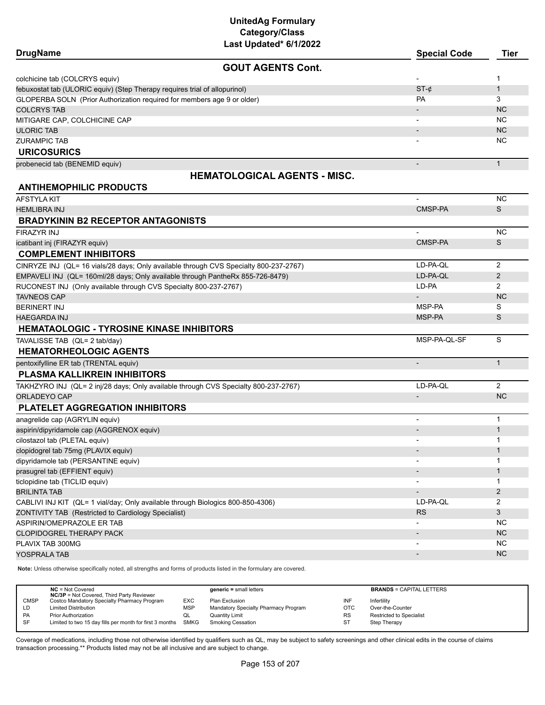| Last Updated* 6/1/2022                                                                |                          |                |
|---------------------------------------------------------------------------------------|--------------------------|----------------|
| <b>DrugName</b>                                                                       | <b>Special Code</b>      | <b>Tier</b>    |
| <b>GOUT AGENTS Cont.</b>                                                              |                          |                |
| colchicine tab (COLCRYS equiv)                                                        |                          | 1              |
| febuxostat tab (ULORIC equiv) (Step Therapy requires trial of allopurinol)            | $ST-c$                   | $\mathbf{1}$   |
| GLOPERBA SOLN (Prior Authorization required for members age 9 or older)               | PA                       | 3              |
| <b>COLCRYS TAB</b>                                                                    |                          | <b>NC</b>      |
| MITIGARE CAP, COLCHICINE CAP                                                          |                          | <b>NC</b>      |
| <b>ULORIC TAB</b>                                                                     |                          | NC.            |
| <b>ZURAMPIC TAB</b>                                                                   |                          | NC.            |
| <b>URICOSURICS</b>                                                                    |                          |                |
| probenecid tab (BENEMID equiv)                                                        |                          | $\mathbf{1}$   |
| <b>HEMATOLOGICAL AGENTS - MISC.</b>                                                   |                          |                |
| <b>ANTIHEMOPHILIC PRODUCTS</b>                                                        |                          |                |
|                                                                                       | $\overline{\phantom{0}}$ | <b>NC</b>      |
| AFSTYLA KIT                                                                           | CMSP-PA                  | S              |
| <b>HEMLIBRA INJ</b>                                                                   |                          |                |
| <b>BRADYKININ B2 RECEPTOR ANTAGONISTS</b>                                             |                          |                |
| <b>FIRAZYR INJ</b>                                                                    |                          | <b>NC</b>      |
| icatibant inj (FIRAZYR equiv)                                                         | CMSP-PA                  | S              |
| <b>COMPLEMENT INHIBITORS</b>                                                          |                          |                |
| CINRYZE INJ (QL= 16 vials/28 days; Only available through CVS Specialty 800-237-2767) | LD-PA-QL                 | 2              |
| EMPAVELI INJ (QL= 160ml/28 days; Only available through PantheRx 855-726-8479)        | LD-PA-QL                 | $\overline{2}$ |
| RUCONEST INJ (Only available through CVS Specialty 800-237-2767)                      | LD-PA                    | $\overline{2}$ |
| <b>TAVNEOS CAP</b>                                                                    |                          | <b>NC</b>      |
| BERINERT INJ                                                                          | MSP-PA                   | S              |
| <b>HAEGARDA INJ</b>                                                                   | MSP-PA                   | S              |
| <b>HEMATAOLOGIC - TYROSINE KINASE INHIBITORS</b>                                      |                          |                |
| TAVALISSE TAB (QL= 2 tab/day)                                                         | MSP-PA-QL-SF             | S              |
| <b>HEMATORHEOLOGIC AGENTS</b>                                                         |                          |                |
| pentoxifylline ER tab (TRENTAL equiv)                                                 | $\overline{\phantom{a}}$ | $\mathbf{1}$   |
| PLASMA KALLIKREIN INHIBITORS                                                          |                          |                |
| TAKHZYRO INJ (QL= 2 inj/28 days; Only available through CVS Specialty 800-237-2767)   | LD-PA-QL                 | 2              |
| ORLADEYO CAP                                                                          | $\overline{\phantom{a}}$ | <b>NC</b>      |
| PLATELET AGGREGATION INHIBITORS                                                       |                          |                |
|                                                                                       |                          | 1              |
| anagrelide cap (AGRYLIN equiv)                                                        | $\overline{\phantom{a}}$ | $\mathbf{1}$   |
| aspirin/dipyridamole cap (AGGRENOX equiv)                                             |                          | 1              |
| cilostazol tab (PLETAL equiv)                                                         |                          | $\mathbf{1}$   |
| clopidogrel tab 75mg (PLAVIX equiv)<br>dipyridamole tab (PERSANTINE equiv)            |                          | 1              |
|                                                                                       |                          | $\mathbf{1}$   |
| prasugrel tab (EFFIENT equiv)<br>ticlopidine tab (TICLID equiv)                       |                          | 1              |
| <b>BRILINTA TAB</b>                                                                   |                          |                |
|                                                                                       |                          | $\overline{2}$ |
| CABLIVI INJ KIT (QL= 1 vial/day; Only available through Biologics 800-850-4306)       | LD-PA-QL                 | 2              |
| ZONTIVITY TAB (Restricted to Cardiology Specialist)                                   | <b>RS</b>                | 3              |
| ASPIRIN/OMEPRAZOLE ER TAB                                                             |                          | NC.            |
| <b>CLOPIDOGREL THERAPY PACK</b>                                                       |                          | <b>NC</b>      |
| PLAVIX TAB 300MG                                                                      |                          | <b>NC</b>      |
| YOSPRALA TAB                                                                          |                          | NC             |

**Note:** Unless otherwise specifically noted, all strengths and forms of products listed in the formulary are covered.

|             | $NC = Not Covered$<br><b>NC/3P</b> = Not Covered, Third Party Reviewer |            | $generic = small letters$            |            | <b>BRANDS = CAPITAL LETTERS</b> |
|-------------|------------------------------------------------------------------------|------------|--------------------------------------|------------|---------------------------------|
| <b>CMSP</b> | Costco Mandatory Specialty Pharmacy Program                            | <b>EXC</b> | Plan Exclusion                       | INF        | Infertility                     |
| LD          | <b>Limited Distribution</b>                                            | <b>MSP</b> | Mandatory Specialty Pharmacy Program | <b>OTC</b> | Over-the-Counter                |
| <b>PA</b>   | <b>Prior Authorization</b>                                             | QL         | <b>Quantity Limit</b>                | <b>RS</b>  | Restricted to Specialist        |
| -SF         | Limited to two 15 day fills per month for first 3 months SMKG          |            | Smoking Cessation                    | ST         | Step Therapy                    |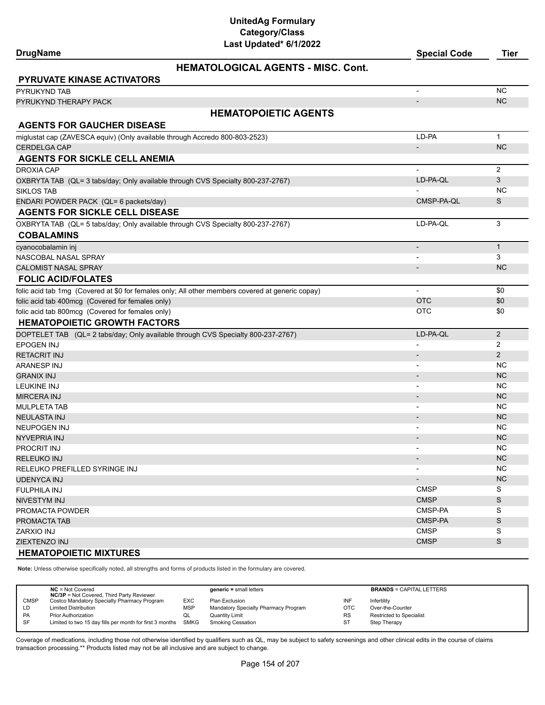| Last Updated* 6/1/2022                                                                           |                          |                |
|--------------------------------------------------------------------------------------------------|--------------------------|----------------|
| <b>DrugName</b>                                                                                  | <b>Special Code</b>      | Tier           |
| <b>HEMATOLOGICAL AGENTS - MISC. Cont.</b>                                                        |                          |                |
| <b>PYRUVATE KINASE ACTIVATORS</b>                                                                |                          |                |
| <b>PYRUKYND TAB</b>                                                                              | $\overline{\phantom{a}}$ | <b>NC</b>      |
| PYRUKYND THERAPY PACK                                                                            | $\overline{\phantom{a}}$ | <b>NC</b>      |
| <b>HEMATOPOIETIC AGENTS</b>                                                                      |                          |                |
| <b>AGENTS FOR GAUCHER DISEASE</b>                                                                |                          |                |
| miglustat cap (ZAVESCA equiv) (Only available through Accredo 800-803-2523)                      | LD-PA                    | $\mathbf{1}$   |
| CERDELGA CAP                                                                                     |                          | <b>NC</b>      |
| <b>AGENTS FOR SICKLE CELL ANEMIA</b>                                                             |                          |                |
| DROXIA CAP                                                                                       | $\overline{\phantom{a}}$ | 2              |
| OXBRYTA TAB (QL= 3 tabs/day; Only available through CVS Specialty 800-237-2767)                  | LD-PA-QL                 | 3              |
| <b>SIKLOS TAB</b>                                                                                |                          | <b>NC</b>      |
| ENDARI POWDER PACK (QL= 6 packets/day)                                                           | CMSP-PA-QL               | S              |
| <b>AGENTS FOR SICKLE CELL DISEASE</b>                                                            |                          |                |
| OXBRYTA TAB (QL= 5 tabs/day; Only available through CVS Specialty 800-237-2767)                  | LD-PA-QL                 | 3              |
| <b>COBALAMINS</b>                                                                                |                          |                |
| cyanocobalamin inj                                                                               | $\overline{\phantom{a}}$ | $\mathbf{1}$   |
| NASCOBAL NASAL SPRAY                                                                             |                          | 3              |
| CALOMIST NASAL SPRAY                                                                             | $\overline{\phantom{a}}$ | <b>NC</b>      |
| <b>FOLIC ACID/FOLATES</b>                                                                        |                          |                |
| folic acid tab 1mg (Covered at \$0 for females only; All other members covered at generic copay) | $\overline{\phantom{a}}$ | \$0            |
| folic acid tab 400mcg (Covered for females only)                                                 | <b>OTC</b>               | \$0            |
| folic acid tab 800mcg (Covered for females only)                                                 | <b>OTC</b>               | \$0            |
| <b>HEMATOPOIETIC GROWTH FACTORS</b>                                                              |                          |                |
| DOPTELET TAB (QL= 2 tabs/day; Only available through CVS Specialty 800-237-2767)                 | LD-PA-QL                 | $\overline{2}$ |
| EPOGEN INJ                                                                                       |                          | 2              |
| RETACRIT INJ                                                                                     |                          | 2              |
| ARANESP INJ                                                                                      |                          | NC.            |
| GRANIX INJ                                                                                       |                          | <b>NC</b>      |
| LEUKINE INJ                                                                                      |                          | NC.            |
| <b>MIRCERA INJ</b>                                                                               |                          | <b>NC</b>      |
| MULPLETA TAB                                                                                     |                          | NC.            |
| NEULASTA INJ                                                                                     |                          | <b>NC</b>      |
| NEUPOGEN INJ                                                                                     |                          | NC.            |
| NYVEPRIA INJ                                                                                     |                          | <b>NC</b>      |
| PROCRIT INJ                                                                                      |                          | NC.            |
| RELEUKO INJ                                                                                      |                          | <b>NC</b>      |
| RELEUKO PREFILLED SYRINGE INJ                                                                    |                          | NC             |
| UDENYCA INJ                                                                                      | $\overline{\phantom{a}}$ | <b>NC</b>      |
| FULPHILA INJ                                                                                     | <b>CMSP</b>              | S              |
| NIVESTYM INJ                                                                                     | <b>CMSP</b>              | $\mathsf S$    |
| PROMACTA POWDER                                                                                  | CMSP-PA                  | S              |
| PROMACTA TAB                                                                                     | CMSP-PA                  | S              |
| ZARXIO INJ                                                                                       | <b>CMSP</b>              | S              |
| ZIEXTENZO INJ                                                                                    | <b>CMSP</b>              | S              |
| <b>HEMATOPOIETIC MIXTURES</b>                                                                    |                          |                |

**Note:** Unless otherwise specifically noted, all strengths and forms of products listed in the formulary are covered.

l,

|             | $NC = Not Covered$<br><b>NC/3P</b> = Not Covered, Third Party Reviewer |            | $generic = small letters$            |            | <b>BRANDS = CAPITAL LETTERS</b> |
|-------------|------------------------------------------------------------------------|------------|--------------------------------------|------------|---------------------------------|
| <b>CMSP</b> | Costco Mandatory Specialty Pharmacy Program                            | EXC        | Plan Exclusion                       | INF        | Infertility                     |
| LD          | <b>Limited Distribution</b>                                            | <b>MSP</b> | Mandatory Specialty Pharmacy Program | <b>OTC</b> | Over-the-Counter                |
| PA          | <b>Prior Authorization</b>                                             | w∟         | <b>Quantity Limit</b>                | <b>RS</b>  | <b>Restricted to Specialist</b> |
| SF          | Limited to two 15 day fills per month for first 3 months SMKG          |            | <b>Smoking Cessation</b>             | ST         | Step Therapy                    |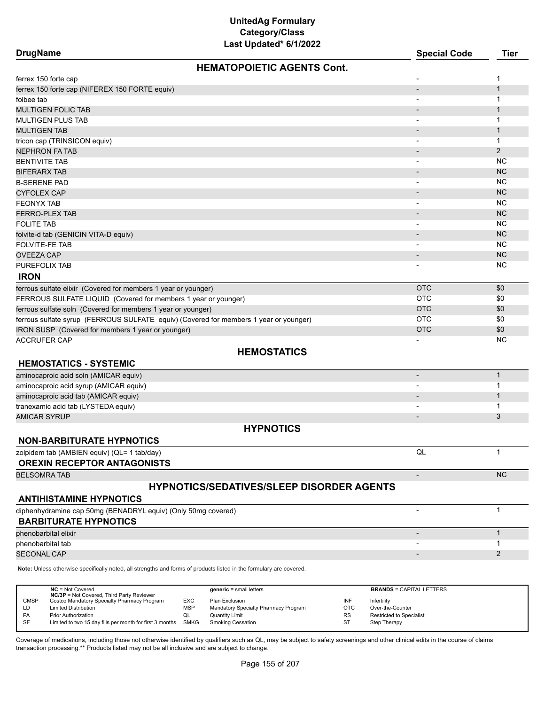| Last Updated* 6/1/2022<br><b>DrugName</b>                                                                           | <b>Special Code</b>      | <b>Tier</b>    |
|---------------------------------------------------------------------------------------------------------------------|--------------------------|----------------|
|                                                                                                                     |                          |                |
| <b>HEMATOPOIETIC AGENTS Cont.</b>                                                                                   |                          |                |
| ferrex 150 forte cap                                                                                                |                          | 1              |
| ferrex 150 forte cap (NIFEREX 150 FORTE equiv)                                                                      |                          | $\mathbf{1}$   |
| folbee tab                                                                                                          |                          | 1              |
| MULTIGEN FOLIC TAB                                                                                                  |                          | $\mathbf{1}$   |
| MULTIGEN PLUS TAB                                                                                                   |                          | 1              |
| <b>MULTIGEN TAB</b>                                                                                                 |                          | $\mathbf{1}$   |
| tricon cap (TRINSICON equiv)                                                                                        |                          | 1              |
| <b>NEPHRON FA TAB</b>                                                                                               |                          | $\overline{2}$ |
| <b>BENTIVITE TAB</b>                                                                                                |                          | NC             |
| <b>BIFERARX TAB</b>                                                                                                 |                          | <b>NC</b>      |
| <b>B-SERENE PAD</b>                                                                                                 |                          | NC             |
| <b>CYFOLEX CAP</b>                                                                                                  |                          | <b>NC</b>      |
| <b>FEONYX TAB</b>                                                                                                   | $\overline{\phantom{a}}$ | NC             |
| <b>FERRO-PLEX TAB</b>                                                                                               |                          | <b>NC</b>      |
| <b>FOLITE TAB</b>                                                                                                   | $\overline{\phantom{a}}$ | NC             |
| folvite-d tab (GENICIN VITA-D equiv)                                                                                |                          | <b>NC</b>      |
| FOLVITE-FE TAB                                                                                                      | $\overline{\phantom{0}}$ | <b>NC</b>      |
| <b>OVEEZA CAP</b>                                                                                                   | $\overline{\phantom{a}}$ | <b>NC</b>      |
| <b>PUREFOLIX TAB</b>                                                                                                |                          | NC             |
| <b>IRON</b>                                                                                                         |                          |                |
| ferrous sulfate elixir (Covered for members 1 year or younger)                                                      | <b>OTC</b>               | \$0            |
| FERROUS SULFATE LIQUID (Covered for members 1 year or younger)                                                      | <b>OTC</b>               | \$0            |
| ferrous sulfate soln (Covered for members 1 year or younger)                                                        | <b>OTC</b>               | \$0            |
| ferrous sulfate syrup (FERROUS SULFATE equiv) (Covered for members 1 year or younger)                               | <b>OTC</b>               | \$0            |
| IRON SUSP (Covered for members 1 year or younger)                                                                   | <b>OTC</b>               | \$0            |
| <b>ACCRUFER CAP</b>                                                                                                 |                          | <b>NC</b>      |
| <b>HEMOSTATICS</b>                                                                                                  |                          |                |
| <b>HEMOSTATICS - SYSTEMIC</b>                                                                                       |                          |                |
| aminocaproic acid soln (AMICAR equiv)                                                                               | $\overline{\phantom{a}}$ | $\mathbf{1}$   |
| aminocaproic acid syrup (AMICAR equiv)                                                                              |                          | 1              |
| aminocaproic acid tab (AMICAR equiv)                                                                                |                          | 1              |
| tranexamic acid tab (LYSTEDA equiv)                                                                                 |                          | 1              |
| <b>AMICAR SYRUP</b>                                                                                                 |                          | 3              |
| <b>HYPNOTICS</b>                                                                                                    |                          |                |
| <b>NON-BARBITURATE HYPNOTICS</b>                                                                                    |                          |                |
|                                                                                                                     | QL                       | 1              |
| zolpidem tab (AMBIEN equiv) (QL= 1 tab/day)<br><b>OREXIN RECEPTOR ANTAGONISTS</b>                                   |                          |                |
| <b>BELSOMRA TAB</b>                                                                                                 | $\overline{\phantom{a}}$ | <b>NC</b>      |
| <b>HYPNOTICS/SEDATIVES/SLEEP DISORDER AGENTS</b>                                                                    |                          |                |
| <b>ANTIHISTAMINE HYPNOTICS</b>                                                                                      |                          |                |
| diphenhydramine cap 50mg (BENADRYL equiv) (Only 50mg covered)                                                       |                          | 1              |
| <b>BARBITURATE HYPNOTICS</b>                                                                                        |                          |                |
|                                                                                                                     |                          |                |
| phenobarbital elixir                                                                                                |                          | $\mathbf{1}$   |
| phenobarbital tab                                                                                                   |                          | 1              |
| <b>SECONAL CAP</b>                                                                                                  |                          | $\overline{2}$ |
| Note: Unless otherwise specifically noted, all strengths and forms of products listed in the formulary are covered. |                          |                |

|             | $NC = Not Covered$<br><b>NC/3P</b> = Not Covered, Third Party Reviewer |     | $generic = small letters$            |            | <b>BRANDS = CAPITAL LETTERS</b> |
|-------------|------------------------------------------------------------------------|-----|--------------------------------------|------------|---------------------------------|
| <b>CMSP</b> | Costco Mandatory Specialty Pharmacy Program                            | EXC | Plan Exclusion                       | INF        | Infertility                     |
| LD          | <b>Limited Distribution</b>                                            | MSP | Mandatory Specialty Pharmacy Program | <b>OTC</b> | Over-the-Counter                |
| <b>PA</b>   | <b>Prior Authorization</b>                                             | ◡   | <b>Quantity Limit</b>                | RS         | Restricted to Specialist        |
| SF          | Limited to two 15 day fills per month for first 3 months SMKG          |     | Smoking Cessation                    | ST         | Step Therapy                    |
|             |                                                                        |     |                                      |            |                                 |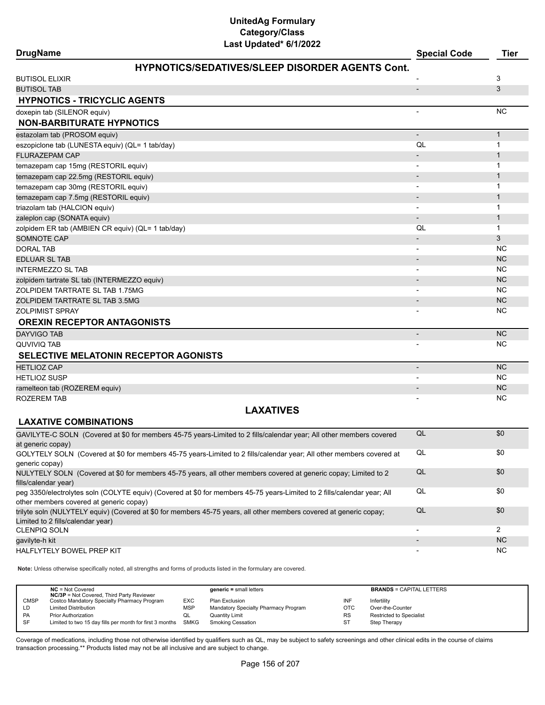| Last updated" 6/1/2022<br><b>DrugName</b>                                                                                                               | <b>Special Code</b>          | <b>Tier</b>    |
|---------------------------------------------------------------------------------------------------------------------------------------------------------|------------------------------|----------------|
| <b>HYPNOTICS/SEDATIVES/SLEEP DISORDER AGENTS Cont.</b>                                                                                                  |                              |                |
| <b>BUTISOL ELIXIR</b>                                                                                                                                   |                              | 3              |
| <b>BUTISOL TAB</b>                                                                                                                                      | $\overline{\phantom{a}}$     | 3              |
| <b>HYPNOTICS - TRICYCLIC AGENTS</b>                                                                                                                     |                              |                |
| doxepin tab (SILENOR equiv)                                                                                                                             |                              | <b>NC</b>      |
| <b>NON-BARBITURATE HYPNOTICS</b>                                                                                                                        |                              |                |
| estazolam tab (PROSOM equiv)                                                                                                                            |                              | $\mathbf{1}$   |
| eszopiclone tab (LUNESTA equiv) (QL= 1 tab/day)                                                                                                         | QL                           | 1              |
| <b>FLURAZEPAM CAP</b>                                                                                                                                   |                              | $\mathbf{1}$   |
| temazepam cap 15mg (RESTORIL equiv)                                                                                                                     |                              | 1              |
| temazepam cap 22.5mg (RESTORIL equiv)                                                                                                                   |                              | $\mathbf{1}$   |
| temazepam cap 30mg (RESTORIL equiv)                                                                                                                     |                              | 1              |
| temazepam cap 7.5mg (RESTORIL equiv)                                                                                                                    |                              | 1              |
| triazolam tab (HALCION equiv)                                                                                                                           |                              | 1              |
| zaleplon cap (SONATA equiv)                                                                                                                             |                              | 1              |
| zolpidem ER tab (AMBIEN CR equiv) (QL= 1 tab/day)                                                                                                       | QL                           | 1              |
| <b>SOMNOTE CAP</b>                                                                                                                                      |                              | 3              |
| <b>DORAL TAB</b>                                                                                                                                        | $\overline{\phantom{a}}$     | NC             |
| <b>EDLUAR SL TAB</b>                                                                                                                                    |                              | <b>NC</b>      |
| <b>INTERMEZZO SL TAB</b>                                                                                                                                | $\overline{\phantom{a}}$     | <b>NC</b>      |
| zolpidem tartrate SL tab (INTERMEZZO equiv)                                                                                                             |                              | <b>NC</b>      |
| ZOLPIDEM TARTRATE SL TAB 1.75MG                                                                                                                         |                              | <b>NC</b>      |
| ZOLPIDEM TARTRATE SL TAB 3.5MG                                                                                                                          |                              | <b>NC</b>      |
| <b>ZOLPIMIST SPRAY</b>                                                                                                                                  |                              | <b>NC</b>      |
| <b>OREXIN RECEPTOR ANTAGONISTS</b>                                                                                                                      |                              |                |
| <b>DAYVIGO TAB</b>                                                                                                                                      | $\qquad \qquad \blacksquare$ | <b>NC</b>      |
| QUVIVIQ TAB                                                                                                                                             |                              | NC.            |
| <b>SELECTIVE MELATONIN RECEPTOR AGONISTS</b>                                                                                                            |                              |                |
| <b>HETLIOZ CAP</b>                                                                                                                                      | $\overline{\phantom{a}}$     | <b>NC</b>      |
| <b>HETLIOZ SUSP</b>                                                                                                                                     |                              | <b>NC</b>      |
| ramelteon tab (ROZEREM equiv)                                                                                                                           | $\overline{\phantom{a}}$     | <b>NC</b>      |
| <b>ROZEREM TAB</b>                                                                                                                                      |                              | NC             |
| <b>LAXATIVES</b>                                                                                                                                        |                              |                |
| <b>LAXATIVE COMBINATIONS</b>                                                                                                                            |                              |                |
| GAVILYTE-C SOLN (Covered at \$0 for members 45-75 years-Limited to 2 fills/calendar year; All other members covered                                     | QL                           | \$0            |
| at generic copay)                                                                                                                                       |                              |                |
| GOLYTELY SOLN (Covered at \$0 for members 45-75 years-Limited to 2 fills/calendar year; All other members covered at                                    | QL                           | \$0            |
| generic copay)                                                                                                                                          | $\mathsf{QL}$                |                |
| NULYTELY SOLN (Covered at \$0 for members 45-75 years, all other members covered at generic copay; Limited to 2                                         |                              | \$0            |
| fills/calendar year)<br>peg 3350/electrolytes soln (COLYTE equiv) (Covered at \$0 for members 45-75 years-Limited to 2 fills/calendar year; All         | QL                           | \$0            |
| other members covered at generic copay)                                                                                                                 |                              |                |
| trilyte soln (NULYTELY equiv) (Covered at \$0 for members 45-75 years, all other members covered at generic copay;<br>Limited to 2 fills/calendar year) | $\mathsf{QL}$                | \$0            |
| CLENPIQ SOLN                                                                                                                                            | $\overline{\phantom{a}}$     | $\overline{2}$ |
| gavilyte-h kit                                                                                                                                          |                              | <b>NC</b>      |
| HALFLYTELY BOWEL PREP KIT                                                                                                                               |                              | <b>NC</b>      |

**Note:** Unless otherwise specifically noted, all strengths and forms of products listed in the formulary are covered.

|                                                                                                                                                                      | <b>BRANDS = CAPITAL LETTERS</b> |
|----------------------------------------------------------------------------------------------------------------------------------------------------------------------|---------------------------------|
| <b>NC/3P</b> = Not Covered, Third Party Reviewer<br><b>CMSP</b><br><b>EXC</b><br>Costco Mandatory Specialty Pharmacy Program<br>INF<br>Plan Exclusion<br>Infertility |                                 |
| OTC<br>Mandatory Specialty Pharmacy Program<br><b>MSP</b><br>Over-the-Counter<br><b>Limited Distribution</b><br>LD                                                   |                                 |
| <b>Restricted to Specialist</b><br><b>PA</b><br><b>Prior Authorization</b><br>Quantity Limit<br><b>RS</b><br>w∟                                                      |                                 |
| SMKG<br>ST<br>SF<br>Limited to two 15 day fills per month for first 3 months<br>Smoking Cessation<br>Step Therapy                                                    |                                 |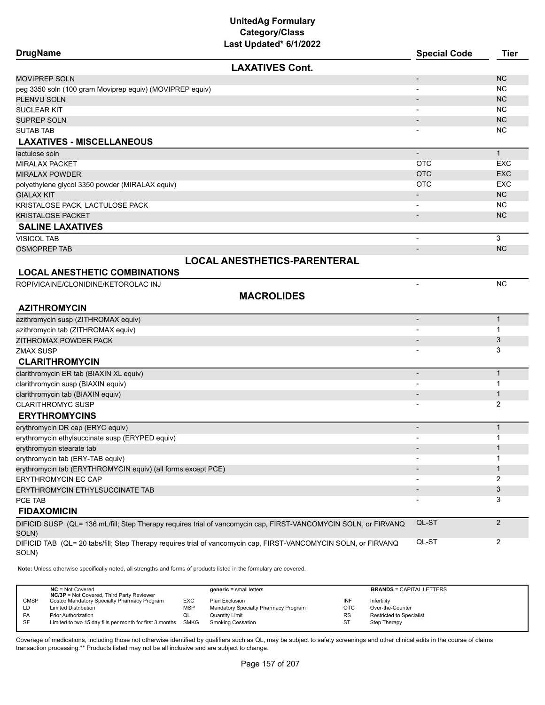| <b>DrugName</b>                                                                                                          |                                                                                                                 | <b>Special Code</b>      | <b>Tier</b>    |
|--------------------------------------------------------------------------------------------------------------------------|-----------------------------------------------------------------------------------------------------------------|--------------------------|----------------|
|                                                                                                                          | <b>LAXATIVES Cont.</b>                                                                                          |                          |                |
| <b>MOVIPREP SOLN</b>                                                                                                     |                                                                                                                 |                          | <b>NC</b>      |
| peg 3350 soln (100 gram Moviprep equiv) (MOVIPREP equiv)                                                                 |                                                                                                                 |                          | NC             |
| PLENVU SOLN                                                                                                              |                                                                                                                 |                          | <b>NC</b>      |
| <b>SUCLEAR KIT</b>                                                                                                       |                                                                                                                 |                          | NC             |
| <b>SUPREP SOLN</b>                                                                                                       |                                                                                                                 |                          | <b>NC</b>      |
| <b>SUTAB TAB</b>                                                                                                         |                                                                                                                 |                          | NC             |
| <b>LAXATIVES - MISCELLANEOUS</b>                                                                                         |                                                                                                                 |                          |                |
| lactulose soln                                                                                                           |                                                                                                                 | $\overline{\phantom{a}}$ | $\mathbf{1}$   |
| <b>MIRALAX PACKET</b>                                                                                                    |                                                                                                                 | <b>OTC</b>               | <b>EXC</b>     |
| <b>MIRALAX POWDER</b>                                                                                                    |                                                                                                                 | <b>OTC</b>               | <b>EXC</b>     |
| polyethylene glycol 3350 powder (MIRALAX equiv)                                                                          |                                                                                                                 | <b>OTC</b>               | <b>EXC</b>     |
| <b>GIALAX KIT</b>                                                                                                        |                                                                                                                 |                          | <b>NC</b>      |
| KRISTALOSE PACK, LACTULOSE PACK                                                                                          |                                                                                                                 |                          | NC             |
| <b>KRISTALOSE PACKET</b>                                                                                                 |                                                                                                                 | $\overline{\phantom{a}}$ | <b>NC</b>      |
| <b>SALINE LAXATIVES</b>                                                                                                  |                                                                                                                 |                          |                |
| <b>VISICOL TAB</b>                                                                                                       |                                                                                                                 |                          | 3              |
| <b>OSMOPREP TAB</b>                                                                                                      |                                                                                                                 | $\overline{\phantom{a}}$ | <b>NC</b>      |
|                                                                                                                          | <b>LOCAL ANESTHETICS-PARENTERAL</b>                                                                             |                          |                |
| <b>LOCAL ANESTHETIC COMBINATIONS</b>                                                                                     |                                                                                                                 |                          |                |
| ROPIVICAINE/CLONIDINE/KETOROLAC INJ                                                                                      |                                                                                                                 | $\overline{\phantom{a}}$ | <b>NC</b>      |
|                                                                                                                          | <b>MACROLIDES</b>                                                                                               |                          |                |
| <b>AZITHROMYCIN</b>                                                                                                      |                                                                                                                 |                          |                |
| azithromycin susp (ZITHROMAX equiv)                                                                                      |                                                                                                                 | $\overline{\phantom{a}}$ | $\mathbf{1}$   |
| azithromycin tab (ZITHROMAX equiv)                                                                                       |                                                                                                                 |                          | $\mathbf{1}$   |
| ZITHROMAX POWDER PACK                                                                                                    |                                                                                                                 |                          | 3              |
| <b>ZMAX SUSP</b>                                                                                                         |                                                                                                                 |                          | 3              |
| <b>CLARITHROMYCIN</b>                                                                                                    |                                                                                                                 |                          |                |
| clarithromycin ER tab (BIAXIN XL equiv)                                                                                  |                                                                                                                 | $\overline{\phantom{a}}$ | $\mathbf{1}$   |
| clarithromycin susp (BIAXIN equiv)                                                                                       |                                                                                                                 |                          | 1              |
| clarithromycin tab (BIAXIN equiv)                                                                                        |                                                                                                                 |                          | $\mathbf{1}$   |
| <b>CLARITHROMYC SUSP</b>                                                                                                 |                                                                                                                 |                          | $\overline{2}$ |
| <b>ERYTHROMYCINS</b>                                                                                                     |                                                                                                                 |                          |                |
| erythromycin DR cap (ERYC equiv)                                                                                         |                                                                                                                 | $\overline{\phantom{a}}$ | $\mathbf{1}$   |
| erythromycin ethylsuccinate susp (ERYPED equiv)                                                                          |                                                                                                                 |                          | $\mathbf{1}$   |
| erythromycin stearate tab                                                                                                |                                                                                                                 |                          | 1              |
| erythromycin tab (ERY-TAB equiv)                                                                                         |                                                                                                                 |                          | 1              |
| erythromycin tab (ERYTHROMYCIN equiv) (all forms except PCE)                                                             |                                                                                                                 |                          | $\mathbf{1}$   |
| ERYTHROMYCIN EC CAP                                                                                                      |                                                                                                                 |                          | 2              |
| ERYTHROMYCIN ETHYLSUCCINATE TAB                                                                                          |                                                                                                                 |                          | 3              |
| PCE TAB                                                                                                                  |                                                                                                                 |                          | 3              |
| <b>FIDAXOMICIN</b>                                                                                                       |                                                                                                                 |                          |                |
| SOLN)                                                                                                                    | DIFICID SUSP (QL= 136 mL/fill; Step Therapy requires trial of vancomycin cap, FIRST-VANCOMYCIN SOLN, or FIRVANQ | QL-ST                    | $\overline{c}$ |
| DIFICID TAB (QL= 20 tabs/fill; Step Therapy requires trial of vancomycin cap, FIRST-VANCOMYCIN SOLN, or FIRVANQ<br>SOLN) |                                                                                                                 | QL-ST                    | 2              |

**Note:** Unless otherwise specifically noted, all strengths and forms of products listed in the formulary are covered.

|             | $NC = Not Covered$<br><b>NC/3P</b> = Not Covered, Third Party Reviewer |            | $generic = small letters$            |            | <b>BRANDS = CAPITAL LETTERS</b> |
|-------------|------------------------------------------------------------------------|------------|--------------------------------------|------------|---------------------------------|
| <b>CMSP</b> | Costco Mandatory Specialty Pharmacy Program                            | <b>EXC</b> | Plan Exclusion                       | INF        | Infertility                     |
| LD          | <b>Limited Distribution</b>                                            | <b>MSP</b> | Mandatory Specialty Pharmacy Program | <b>OTC</b> | Over-the-Counter                |
| <b>PA</b>   | <b>Prior Authorization</b>                                             |            | Quantity Limit                       | <b>RS</b>  | <b>Restricted to Specialist</b> |
| SF          | Limited to two 15 day fills per month for first 3 months               | SMKG       | <b>Smoking Cessation</b>             | ST         | Step Therapy                    |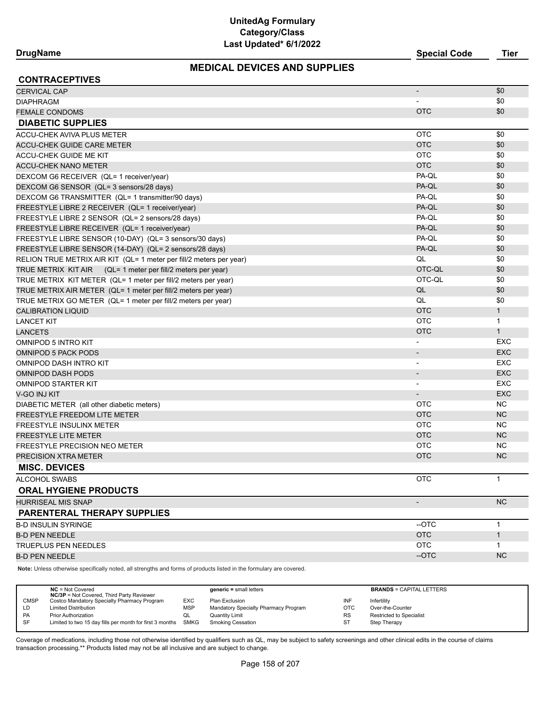## **MEDICAL DEVICES AND SUPPLIES**

**DrugName Special Code Tier**

| <b>CONTRACEPTIVES</b>                                                                                               |                          |              |
|---------------------------------------------------------------------------------------------------------------------|--------------------------|--------------|
| <b>CERVICAL CAP</b>                                                                                                 |                          | \$0          |
| <b>DIAPHRAGM</b>                                                                                                    |                          | \$0          |
| <b>FEMALE CONDOMS</b>                                                                                               | <b>OTC</b>               | \$0          |
| <b>DIABETIC SUPPLIES</b>                                                                                            |                          |              |
| <b>ACCU-CHEK AVIVA PLUS METER</b>                                                                                   | <b>OTC</b>               | \$0          |
| <b>ACCU-CHEK GUIDE CARE METER</b>                                                                                   | <b>OTC</b>               | \$0          |
| ACCU-CHEK GUIDE ME KIT                                                                                              | <b>OTC</b>               | \$0          |
| <b>ACCU-CHEK NANO METER</b>                                                                                         | <b>OTC</b>               | \$0          |
| DEXCOM G6 RECEIVER (QL= 1 receiver/year)                                                                            | PA-QL                    | \$0          |
| DEXCOM G6 SENSOR (QL= 3 sensors/28 days)                                                                            | PA-QL                    | \$0          |
| DEXCOM G6 TRANSMITTER (QL= 1 transmitter/90 days)                                                                   | PA-QL                    | \$0          |
| FREESTYLE LIBRE 2 RECEIVER (QL= 1 receiver/year)                                                                    | PA-QL                    | \$0          |
| FREESTYLE LIBRE 2 SENSOR (QL= 2 sensors/28 days)                                                                    | PA-QL                    | \$0          |
| FREESTYLE LIBRE RECEIVER (QL= 1 receiver/year)                                                                      | PA-QL                    | \$0          |
| FREESTYLE LIBRE SENSOR (10-DAY) (QL= 3 sensors/30 days)                                                             | PA-QL                    | \$0          |
| FREESTYLE LIBRE SENSOR (14-DAY) (QL= 2 sensors/28 days)                                                             | PA-QL                    | \$0          |
| RELION TRUE METRIX AIR KIT (QL= 1 meter per fill/2 meters per year)                                                 | QL                       | \$0          |
| (QL= 1 meter per fill/2 meters per year)<br>TRUE METRIX KIT AIR                                                     | OTC-QL                   | \$0          |
| TRUE METRIX KIT METER (QL= 1 meter per fill/2 meters per year)                                                      | OTC-QL                   | \$0          |
| TRUE METRIX AIR METER (QL= 1 meter per fill/2 meters per year)                                                      | QL                       | \$0          |
| TRUE METRIX GO METER (QL= 1 meter per fill/2 meters per year)                                                       | QL                       | \$0          |
| <b>CALIBRATION LIQUID</b>                                                                                           | <b>OTC</b>               | $\mathbf{1}$ |
| <b>LANCET KIT</b>                                                                                                   | <b>OTC</b>               | $\mathbf{1}$ |
| <b>LANCETS</b>                                                                                                      | <b>OTC</b>               | $\mathbf{1}$ |
| OMNIPOD 5 INTRO KIT                                                                                                 | $\overline{\phantom{a}}$ | EXC          |
| <b>OMNIPOD 5 PACK PODS</b>                                                                                          | $\overline{\phantom{a}}$ | <b>EXC</b>   |
| OMNIPOD DASH INTRO KIT                                                                                              | $\overline{\phantom{a}}$ | <b>EXC</b>   |
| <b>OMNIPOD DASH PODS</b>                                                                                            | $\overline{\phantom{a}}$ | <b>EXC</b>   |
| <b>OMNIPOD STARTER KIT</b>                                                                                          | $\overline{\phantom{a}}$ | EXC          |
| V-GO INJ KIT                                                                                                        | $\overline{\phantom{a}}$ | <b>EXC</b>   |
| DIABETIC METER (all other diabetic meters)                                                                          | <b>OTC</b>               | NC           |
| FREESTYLE FREEDOM LITE METER                                                                                        | <b>OTC</b>               | <b>NC</b>    |
| FREESTYLE INSULINX METER                                                                                            | <b>OTC</b>               | <b>NC</b>    |
| <b>FREESTYLE LITE METER</b>                                                                                         | <b>OTC</b>               | <b>NC</b>    |
| FREESTYLE PRECISION NEO METER                                                                                       | <b>OTC</b>               | NC.          |
| PRECISION XTRA METER                                                                                                | <b>OTC</b>               | <b>NC</b>    |
| <b>MISC. DEVICES</b>                                                                                                |                          |              |
| ALCOHOL SWABS                                                                                                       | <b>OTC</b>               | $\mathbf{1}$ |
| <b>ORAL HYGIENE PRODUCTS</b>                                                                                        |                          |              |
| <b>HURRISEAL MIS SNAP</b>                                                                                           |                          | NC           |
| PARENTERAL THERAPY SUPPLIES                                                                                         |                          |              |
| <b>B-D INSULIN SYRINGE</b>                                                                                          | --OTC                    | $\mathbf{1}$ |
| <b>B-D PEN NEEDLE</b>                                                                                               | <b>OTC</b>               | $\mathbf{1}$ |
| <b>TRUEPLUS PEN NEEDLES</b>                                                                                         | <b>OTC</b>               | 1            |
| <b>B-D PEN NEEDLE</b>                                                                                               | --OTC                    | <b>NC</b>    |
| Note: Unless otherwise specifically noted, all strengths and forms of products listed in the formulary are covered. |                          |              |

**NC** = Not Covered **generic =** small letters **BRANDS** = CAPITAL LETTERS **NC/3P** = Not Covered, Third Party Reviewer Costco Mandatory Specialty Pharmacy Program EXC Plan Exclusion INF Infertility Infertility LD Limited Distribution Communication MSP Mandatory Specialty Pharmacy Program OTC Over-the-Counter<br>
PA Prior Authorization CL Quantity Limit Counter Counter RS Restricted to Special Restricted to Specialist SF Limited to two 15 day fills per month for first 3 months SMKG Smoking Cessation ST Step Therapy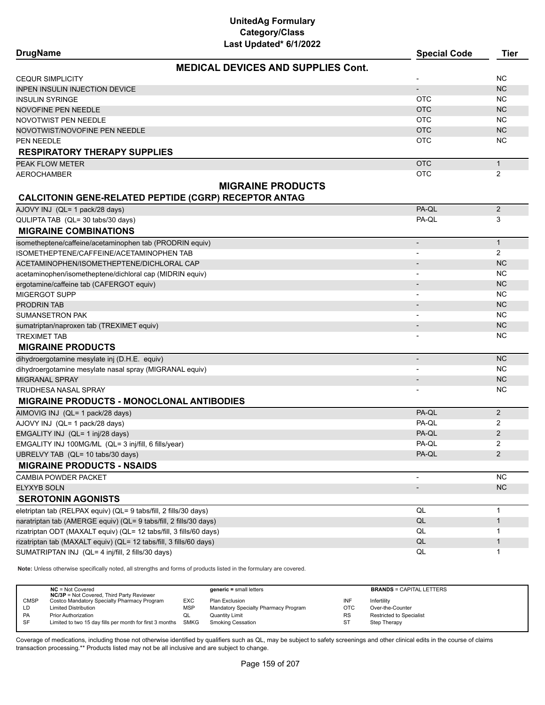**DrugName Special Code Tier**

| <b>MEDICAL DEVICES AND SUPPLIES Cont.</b>                          |                          |                |
|--------------------------------------------------------------------|--------------------------|----------------|
| <b>CEQUR SIMPLICITY</b>                                            |                          | <b>NC</b>      |
| <b>INPEN INSULIN INJECTION DEVICE</b>                              |                          | <b>NC</b>      |
| INSULIN SYRINGE                                                    | <b>OTC</b>               | <b>NC</b>      |
| NOVOFINE PEN NEEDLE                                                | <b>OTC</b>               | <b>NC</b>      |
| NOVOTWIST PEN NEEDLE                                               | <b>OTC</b>               | <b>NC</b>      |
| NOVOTWIST/NOVOFINE PEN NEEDLE                                      | <b>OTC</b>               | <b>NC</b>      |
| PEN NEEDLE                                                         | OTC                      | <b>NC</b>      |
| <b>RESPIRATORY THERAPY SUPPLIES</b>                                |                          |                |
| PEAK FLOW METER                                                    | <b>OTC</b>               | $\mathbf{1}$   |
| AEROCHAMBER                                                        | <b>OTC</b>               | 2              |
| <b>MIGRAINE PRODUCTS</b>                                           |                          |                |
| <b>CALCITONIN GENE-RELATED PEPTIDE (CGRP) RECEPTOR ANTAG</b>       |                          |                |
| AJOVY INJ (QL= 1 pack/28 days)                                     | PA-QL                    | $\overline{2}$ |
| QULIPTA TAB (QL= 30 tabs/30 days)                                  | PA-QL                    | 3              |
| <b>MIGRAINE COMBINATIONS</b>                                       |                          |                |
| isometheptene/caffeine/acetaminophen tab (PRODRIN equiv)           | $\overline{\phantom{a}}$ | $\mathbf{1}$   |
| ISOMETHEPTENE/CAFFEINE/ACETAMINOPHEN TAB                           |                          | $\mathbf{2}$   |
| ACETAMINOPHEN/ISOMETHEPTENE/DICHLORAL CAP                          |                          | <b>NC</b>      |
| acetaminophen/isometheptene/dichloral cap (MIDRIN equiv)           |                          | <b>NC</b>      |
| ergotamine/caffeine tab (CAFERGOT equiv)                           |                          | <b>NC</b>      |
| MIGERGOT SUPP                                                      |                          | <b>NC</b>      |
| <b>PRODRIN TAB</b>                                                 | $\overline{\phantom{a}}$ | <b>NC</b>      |
| SUMANSETRON PAK                                                    |                          | <b>NC</b>      |
| sumatriptan/naproxen tab (TREXIMET equiv)                          | $\overline{\phantom{a}}$ | <b>NC</b>      |
| <b>TREXIMET TAB</b>                                                |                          | <b>NC</b>      |
| <b>MIGRAINE PRODUCTS</b>                                           |                          |                |
| dihydroergotamine mesylate inj (D.H.E. equiv)                      | $\overline{\phantom{a}}$ | <b>NC</b>      |
| dihydroergotamine mesylate nasal spray (MIGRANAL equiv)            |                          | <b>NC</b>      |
| <b>MIGRANAL SPRAY</b>                                              | $\overline{\phantom{a}}$ | <b>NC</b>      |
| TRUDHESA NASAL SPRAY                                               |                          | <b>NC</b>      |
| MIGRAINE PRODUCTS - MONOCLONAL ANTIBODIES                          |                          |                |
| AIMOVIG INJ (QL= 1 pack/28 days)                                   | PA-QL                    | $\overline{2}$ |
| AJOVY INJ (QL= 1 pack/28 days)                                     | PA-QL                    | 2              |
| EMGALITY INJ (QL= 1 inj/28 days)                                   | PA-QL                    | $\overline{2}$ |
| EMGALITY INJ 100MG/ML (QL= 3 inj/fill, 6 fills/year)               | PA-QL                    | 2              |
| UBRELVY TAB (QL= 10 tabs/30 days)                                  | PA-QL                    | 2              |
| <b>MIGRAINE PRODUCTS - NSAIDS</b>                                  |                          |                |
| CAMBIA POWDER PACKET                                               | $\overline{\phantom{a}}$ | <b>NC</b>      |
| <b>ELYXYB SOLN</b>                                                 | $\overline{\phantom{m}}$ | <b>NC</b>      |
| <b>SEROTONIN AGONISTS</b>                                          |                          |                |
| eletriptan tab (RELPAX equiv) (QL= 9 tabs/fill, 2 fills/30 days)   | QL                       | $\mathbf{1}$   |
| naratriptan tab (AMERGE equiv) (QL= 9 tabs/fill, 2 fills/30 days)  | QL                       | $\mathbf{1}$   |
| rizatriptan ODT (MAXALT equiv) (QL= 12 tabs/fill, 3 fills/60 days) | QL                       | 1              |
| rizatriptan tab (MAXALT equiv) (QL= 12 tabs/fill, 3 fills/60 days) | QL                       | $\mathbf{1}$   |
| SUMATRIPTAN INJ (QL= 4 inj/fill, 2 fills/30 days)                  | QL                       | $\mathbf{1}$   |

**Note:** Unless otherwise specifically noted, all strengths and forms of products listed in the formulary are covered.

|             | $NC = Not Covered$<br><b>NC/3P</b> = Not Covered, Third Party Reviewer |            | $generic = small letters$            |            | <b>BRANDS = CAPITAL LETTERS</b> |
|-------------|------------------------------------------------------------------------|------------|--------------------------------------|------------|---------------------------------|
| <b>CMSP</b> | Costco Mandatory Specialty Pharmacy Program                            | <b>EXC</b> | Plan Exclusion                       | INF        | Infertility                     |
| LD          | <b>Limited Distribution</b>                                            | <b>MSP</b> | Mandatory Specialty Pharmacy Program | <b>OTC</b> | Over-the-Counter                |
| <b>PA</b>   | <b>Prior Authorization</b>                                             | QL         | Quantity Limit                       | <b>RS</b>  | <b>Restricted to Specialist</b> |
| SF          | Limited to two 15 day fills per month for first 3 months SMKG          |            | Smoking Cessation                    | ST         | Step Therapy                    |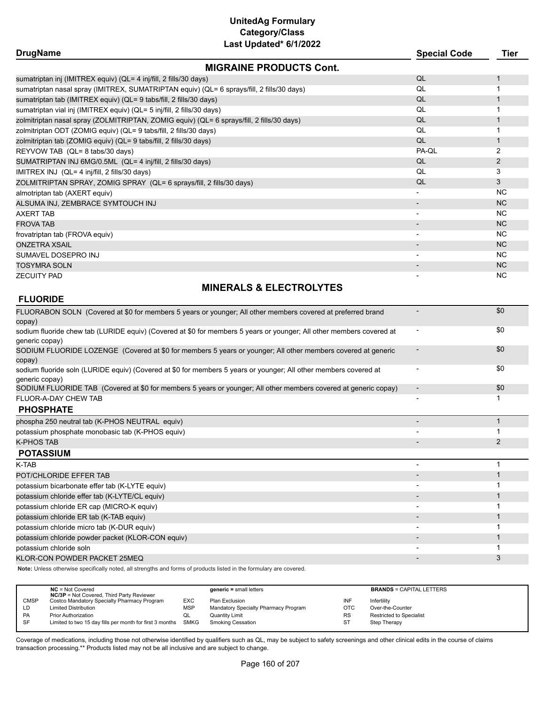| Last Updated" 6/1/2022                                                                    |                     |             |
|-------------------------------------------------------------------------------------------|---------------------|-------------|
| <b>DrugName</b>                                                                           | <b>Special Code</b> | <b>Tier</b> |
| <b>MIGRAINE PRODUCTS Cont.</b>                                                            |                     |             |
| sumatriptan inj (IMITREX equiv) (QL= 4 inj/fill, 2 fills/30 days)                         | QL                  |             |
| sumatriptan nasal spray (IMITREX, SUMATRIPTAN equiv) (QL= 6 sprays/fill, 2 fills/30 days) | QL                  |             |
| sumatriptan tab (IMITREX equiv) (QL= 9 tabs/fill, 2 fills/30 days)                        | QL                  |             |
| sumatriptan vial inj (IMITREX equiv) (QL= 5 inj/fill, 2 fills/30 days)                    | QL                  |             |
| zolmitriptan nasal spray (ZOLMITRIPTAN, ZOMIG equiv) (QL= 6 sprays/fill, 2 fills/30 days) | QL                  |             |
| zolmitriptan ODT (ZOMIG equiv) (QL= 9 tabs/fill, 2 fills/30 days)                         | QL                  |             |
| zolmitriptan tab (ZOMIG equiv) (QL= 9 tabs/fill, 2 fills/30 days)                         | QL                  |             |
| REYVOW TAB (QL= 8 tabs/30 days)                                                           | PA-QL               | 2           |
| SUMATRIPTAN INJ 6MG/0.5ML (QL= 4 inj/fill, 2 fills/30 days)                               | QL                  | 2           |
| IMITREX INJ (QL= 4 inj/fill, 2 fills/30 days)                                             | QL                  | 3           |
| ZOLMITRIPTAN SPRAY, ZOMIG SPRAY (QL= 6 sprays/fill, 2 fills/30 days)                      | QL                  | 3           |
| almotriptan tab (AXERT equiv)                                                             |                     | <b>NC</b>   |
| ALSUMA INJ, ZEMBRACE SYMTOUCH INJ                                                         |                     | <b>NC</b>   |
| AXERT TAB                                                                                 |                     | NC.         |
| <b>FROVA TAB</b>                                                                          |                     | <b>NC</b>   |
| frovatriptan tab (FROVA equiv)                                                            |                     | <b>NC</b>   |
| <b>ONZETRA XSAIL</b>                                                                      |                     | <b>NC</b>   |
| SUMAVEL DOSEPRO INJ                                                                       |                     | <b>NC</b>   |
| TOSYMRA SOLN                                                                              |                     | <b>NC</b>   |
| ZECUITY PAD                                                                               |                     | <b>NC</b>   |

## **MINERALS & ELECTROLYTES**

## **FLUORIDE**

| FLUORABON SOLN (Covered at \$0 for members 5 years or younger; All other members covered at preferred brand<br>copay)                  | \$0 |
|----------------------------------------------------------------------------------------------------------------------------------------|-----|
| sodium fluoride chew tab (LURIDE equiv) (Covered at \$0 for members 5 years or younger; All other members covered at<br>generic copay) | \$0 |
| SODIUM FLUORIDE LOZENGE (Covered at \$0 for members 5 years or younger; All other members covered at generic<br>copay)                 | \$0 |
| sodium fluoride soln (LURIDE equiv) (Covered at \$0 for members 5 years or younger; All other members covered at<br>qeneric copay)     | \$0 |
| SODIUM FLUORIDE TAB (Covered at \$0 for members 5 years or younger; All other members covered at generic copay)                        | \$0 |
| FLUOR-A-DAY CHEW TAB                                                                                                                   |     |
| <b>PHOSPHATE</b>                                                                                                                       |     |
| phospha 250 neutral tab (K-PHOS NEUTRAL equiv)                                                                                         |     |
| potassium phosphate monobasic tab (K-PHOS equiv)                                                                                       |     |
| <b>K-PHOS TAB</b>                                                                                                                      | 2   |
| <b>POTASSIUM</b>                                                                                                                       |     |
| K-TAB                                                                                                                                  |     |
| POT/CHLORIDE EFFER TAB                                                                                                                 |     |
| potassium bicarbonate effer tab (K-LYTE equiv)                                                                                         |     |
| potassium chloride effer tab (K-LYTE/CL equiv)                                                                                         |     |
| potassium chloride ER cap (MICRO-K equiv)                                                                                              |     |
| potassium chloride ER tab (K-TAB equiv)                                                                                                |     |
| potassium chloride micro tab (K-DUR equiv)                                                                                             |     |
| potassium chloride powder packet (KLOR-CON equiv)                                                                                      |     |
| potassium chloride soln                                                                                                                |     |
| KLOR-CON POWDER PACKET 25MEQ                                                                                                           | 3   |

**Note:** Unless otherwise specifically noted, all strengths and forms of products listed in the formulary are covered.

|             | $NC = Not Covered$<br><b>NC/3P</b> = Not Covered, Third Party Reviewer |            | $generic = small letters$            |            | <b>BRANDS = CAPITAL LETTERS</b> |
|-------------|------------------------------------------------------------------------|------------|--------------------------------------|------------|---------------------------------|
| <b>CMSP</b> | Costco Mandatory Specialty Pharmacy Program                            | EXC        | Plan Exclusion                       | INF        | Infertility                     |
| LD.         | <b>Limited Distribution</b>                                            | <b>MSP</b> | Mandatory Specialty Pharmacy Program | <b>OTC</b> | Over-the-Counter                |
| <b>PA</b>   | <b>Prior Authorization</b>                                             | QL         | <b>Quantity Limit</b>                | <b>RS</b>  | Restricted to Specialist        |
| <b>SF</b>   | Limited to two 15 day fills per month for first 3 months SMKG          |            | Smoking Cessation                    | ST         | Step Therapy                    |
|             |                                                                        |            |                                      |            |                                 |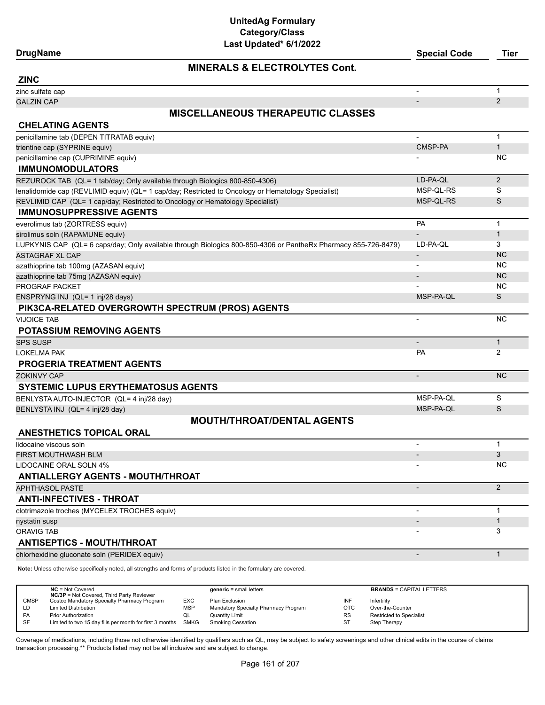## **DrugName Special Code Tier**

## **MINERALS & ELECTROLYTES Cont.**

| <b>ZINC</b>                                                                                                    |                          |                |
|----------------------------------------------------------------------------------------------------------------|--------------------------|----------------|
| zinc sulfate cap                                                                                               |                          | $\mathbf{1}$   |
| <b>GALZIN CAP</b>                                                                                              |                          | 2              |
| <b>MISCELLANEOUS THERAPEUTIC CLASSES</b>                                                                       |                          |                |
| <b>CHELATING AGENTS</b>                                                                                        |                          |                |
| penicillamine tab (DEPEN TITRATAB equiv)                                                                       | $\overline{\phantom{a}}$ | $\mathbf{1}$   |
| trientine cap (SYPRINE equiv)                                                                                  | <b>CMSP-PA</b>           | $\mathbf{1}$   |
| penicillamine cap (CUPRIMINE equiv)                                                                            |                          | NC.            |
| <b>IMMUNOMODULATORS</b>                                                                                        |                          |                |
| REZUROCK TAB (QL= 1 tab/day; Only available through Biologics 800-850-4306)                                    | LD-PA-QL                 | 2              |
| lenalidomide cap (REVLIMID equiv) (QL= 1 cap/day; Restricted to Oncology or Hematology Specialist)             | MSP-QL-RS                | S              |
| REVLIMID CAP (QL= 1 cap/day; Restricted to Oncology or Hematology Specialist)                                  | MSP-QL-RS                | S              |
| <b>IMMUNOSUPPRESSIVE AGENTS</b>                                                                                |                          |                |
| everolimus tab (ZORTRESS equiv)                                                                                | <b>PA</b>                | $\mathbf{1}$   |
| sirolimus soln (RAPAMUNE equiv)                                                                                |                          | $\mathbf{1}$   |
| LUPKYNIS CAP (QL= 6 caps/day; Only available through Biologics 800-850-4306 or PantheRx Pharmacy 855-726-8479) | LD-PA-QL                 | 3              |
| <b>ASTAGRAF XL CAP</b>                                                                                         | $\overline{\phantom{a}}$ | <b>NC</b>      |
| azathioprine tab 100mg (AZASAN equiv)                                                                          |                          | <b>NC</b>      |
| azathioprine tab 75mg (AZASAN equiv)                                                                           |                          | <b>NC</b>      |
| PROGRAF PACKET                                                                                                 |                          | <b>NC</b>      |
| ENSPRYNG INJ (QL= 1 inj/28 days)                                                                               | MSP-PA-QL                | S              |
| PIK3CA-RELATED OVERGROWTH SPECTRUM (PROS) AGENTS                                                               |                          |                |
| <b>VIJOICE TAB</b>                                                                                             | $\blacksquare$           | <b>NC</b>      |
| <b>POTASSIUM REMOVING AGENTS</b>                                                                               |                          |                |
| <b>SPS SUSP</b>                                                                                                |                          | $\mathbf{1}$   |
| <b>LOKELMA PAK</b>                                                                                             | PA                       | 2              |
| <b>PROGERIA TREATMENT AGENTS</b>                                                                               |                          |                |
| <b>ZOKINVY CAP</b>                                                                                             | $\centerdot$             | <b>NC</b>      |
| <b>SYSTEMIC LUPUS ERYTHEMATOSUS AGENTS</b>                                                                     |                          |                |
| BENLYSTA AUTO-INJECTOR (QL= 4 inj/28 day)                                                                      | MSP-PA-QL                | S              |
| BENLYSTA INJ (QL= 4 inj/28 day)                                                                                | MSP-PA-QL                | S              |
| <b>MOUTH/THROAT/DENTAL AGENTS</b>                                                                              |                          |                |
| <b>ANESTHETICS TOPICAL ORAL</b>                                                                                |                          |                |
| lidocaine viscous soln                                                                                         |                          | $\mathbf{1}$   |
| <b>FIRST MOUTHWASH BLM</b>                                                                                     |                          | 3              |
| LIDOCAINE ORAL SOLN 4%                                                                                         |                          | NC.            |
| <b>ANTIALLERGY AGENTS - MOUTH/THROAT</b>                                                                       |                          |                |
| <b>APHTHASOL PASTE</b>                                                                                         | $\overline{\phantom{a}}$ | $\overline{2}$ |
| <b>ANTI-INFECTIVES - THROAT</b>                                                                                |                          |                |
| clotrimazole troches (MYCELEX TROCHES equiv)                                                                   | $\blacksquare$           | $\mathbf{1}$   |
| nystatin susp                                                                                                  | $\overline{\phantom{a}}$ | $\mathbf{1}$   |
| ORAVIG TAB                                                                                                     |                          | 3              |
| <b>ANTISEPTICS - MOUTH/THROAT</b>                                                                              |                          |                |
| chlorhexidine gluconate soln (PERIDEX equiv)                                                                   | $\overline{\phantom{a}}$ | $\mathbf{1}$   |
|                                                                                                                |                          |                |

**Note:** Unless otherwise specifically noted, all strengths and forms of products listed in the formulary are covered.

|             | $NC = Not Covered$<br><b>NC/3P</b> = Not Covered, Third Party Reviewer |     | $generic = small letters$            |           | <b>BRANDS = CAPITAL LETTERS</b> |
|-------------|------------------------------------------------------------------------|-----|--------------------------------------|-----------|---------------------------------|
| <b>CMSP</b> | Costco Mandatory Specialty Pharmacy Program                            | EXC | Plan Exclusion                       | INF       | Infertility                     |
| LD          | <b>Limited Distribution</b>                                            | MSP | Mandatory Specialty Pharmacy Program | OTC       | Over-the-Counter                |
| PA          | <b>Prior Authorization</b>                                             | ◡   | Quantity Limit                       | <b>RS</b> | <b>Restricted to Specialist</b> |
| <b>SF</b>   | Limited to two 15 day fills per month for first 3 months SMKG          |     | <b>Smoking Cessation</b>             | ST        | Step Therapy                    |
|             |                                                                        |     |                                      |           |                                 |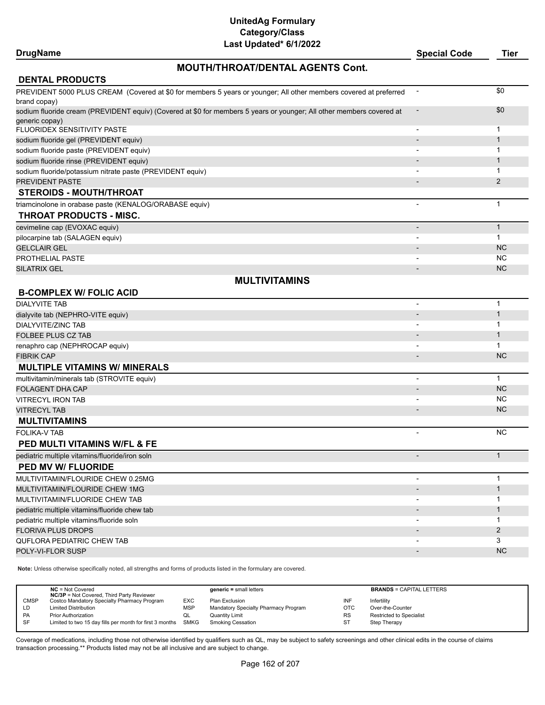## **DrugName Special Code Tier**

## **MOUTH/THROAT/DENTAL AGENTS Cont.**

| <b>DENTAL PRODUCTS</b>                                                                                               |                          |                |
|----------------------------------------------------------------------------------------------------------------------|--------------------------|----------------|
| PREVIDENT 5000 PLUS CREAM (Covered at \$0 for members 5 years or younger; All other members covered at preferred     | $\overline{\phantom{a}}$ | \$0            |
| brand copay)                                                                                                         |                          |                |
| sodium fluoride cream (PREVIDENT equiv) (Covered at \$0 for members 5 years or younger; All other members covered at |                          | \$0            |
| generic copay)                                                                                                       |                          |                |
| FLUORIDEX SENSITIVITY PASTE                                                                                          | $\overline{a}$           | $\mathbf{1}$   |
| sodium fluoride gel (PREVIDENT equiv)                                                                                |                          | $\mathbf{1}$   |
| sodium fluoride paste (PREVIDENT equiv)                                                                              |                          | 1              |
| sodium fluoride rinse (PREVIDENT equiv)                                                                              |                          | $\mathbf{1}$   |
| sodium fluoride/potassium nitrate paste (PREVIDENT equiv)                                                            | $\blacksquare$           | 1              |
| PREVIDENT PASTE                                                                                                      |                          | $\overline{2}$ |
| <b>STEROIDS - MOUTH/THROAT</b>                                                                                       |                          |                |
| triamcinolone in orabase paste (KENALOG/ORABASE equiv)                                                               |                          | $\mathbf 1$    |
| THROAT PRODUCTS - MISC.                                                                                              |                          |                |
| cevimeline cap (EVOXAC equiv)                                                                                        |                          | $\mathbf{1}$   |
| pilocarpine tab (SALAGEN equiv)                                                                                      |                          | $\mathbf{1}$   |
| <b>GELCLAIR GEL</b>                                                                                                  |                          | <b>NC</b>      |
| <b>PROTHELIAL PASTE</b>                                                                                              |                          | <b>NC</b>      |
| <b>SILATRIX GEL</b>                                                                                                  |                          | <b>NC</b>      |
| <b>MULTIVITAMINS</b>                                                                                                 |                          |                |
| <b>B-COMPLEX W/ FOLIC ACID</b>                                                                                       |                          |                |
| <b>DIALYVITE TAB</b>                                                                                                 | ÷                        | $\mathbf{1}$   |
| dialyvite tab (NEPHRO-VITE equiv)                                                                                    |                          | $\mathbf{1}$   |
| <b>DIALYVITE/ZINC TAB</b>                                                                                            |                          | 1              |
| FOLBEE PLUS CZ TAB                                                                                                   |                          | $\mathbf{1}$   |
| renaphro cap (NEPHROCAP equiv)                                                                                       |                          | 1              |
| <b>FIBRIK CAP</b>                                                                                                    |                          | <b>NC</b>      |
| <b>MULTIPLE VITAMINS W/ MINERALS</b>                                                                                 |                          |                |
| multivitamin/minerals tab (STROVITE equiv)                                                                           | -                        | $\mathbf{1}$   |
| <b>FOLAGENT DHA CAP</b>                                                                                              |                          | <b>NC</b>      |
| <b>VITRECYL IRON TAB</b>                                                                                             |                          | <b>NC</b>      |
| <b>VITRECYL TAB</b>                                                                                                  |                          | <b>NC</b>      |
| <b>MULTIVITAMINS</b>                                                                                                 |                          |                |
| <b>FOLIKA-V TAB</b>                                                                                                  | $\overline{\phantom{0}}$ | <b>NC</b>      |
| <b>PED MULTI VITAMINS W/FL &amp; FE</b>                                                                              |                          |                |
| pediatric multiple vitamins/fluoride/iron soln                                                                       | $\overline{a}$           | $\mathbf{1}$   |
| <b>PED MV W/ FLUORIDE</b>                                                                                            |                          |                |
| MULTIVITAMIN/FLOURIDE CHEW 0.25MG                                                                                    |                          | $\mathbf{1}$   |
| MULTIVITAMIN/FLOURIDE CHEW 1MG                                                                                       |                          | $\mathbf{1}$   |
| MULTIVITAMIN/FLUORIDE CHEW TAB                                                                                       | $\overline{\phantom{a}}$ | 1              |
| pediatric multiple vitamins/fluoride chew tab                                                                        |                          | $\mathbf{1}$   |
| pediatric multiple vitamins/fluoride soln                                                                            | $\overline{\phantom{a}}$ | 1              |
| <b>FLORIVA PLUS DROPS</b>                                                                                            |                          | $\overline{2}$ |
| QUFLORA PEDIATRIC CHEW TAB                                                                                           |                          | 3              |
| POLY-VI-FLOR SUSP                                                                                                    |                          | <b>NC</b>      |

**Note:** Unless otherwise specifically noted, all strengths and forms of products listed in the formulary are covered.

|             | $NC = Not Covered$<br><b>NC/3P</b> = Not Covered, Third Party Reviewer |            | $generic = small letters$            |            | <b>BRANDS = CAPITAL LETTERS</b> |
|-------------|------------------------------------------------------------------------|------------|--------------------------------------|------------|---------------------------------|
| <b>CMSP</b> | Costco Mandatory Specialty Pharmacy Program                            | EXC        | Plan Exclusion                       | INF        | Infertility                     |
| LD          | <b>Limited Distribution</b>                                            | <b>MSP</b> | Mandatory Specialty Pharmacy Program | <b>OTC</b> | Over-the-Counter                |
| PA          | <b>Prior Authorization</b>                                             | QL         | <b>Quantity Limit</b>                | <b>RS</b>  | Restricted to Specialist        |
| <b>SF</b>   | Limited to two 15 day fills per month for first 3 months SMKG          |            | <b>Smoking Cessation</b>             | ST         | Step Therapy                    |
|             |                                                                        |            |                                      |            |                                 |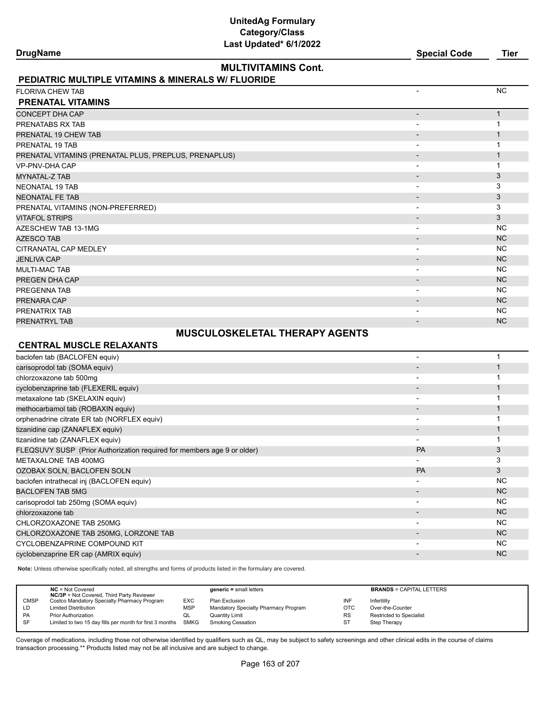| <b>DrugName</b>                                                         |                                       | <b>Special Code</b>      | <b>Tier</b>  |
|-------------------------------------------------------------------------|---------------------------------------|--------------------------|--------------|
|                                                                         | <b>MULTIVITAMINS Cont.</b>            |                          |              |
| <b>PEDIATRIC MULTIPLE VITAMINS &amp; MINERALS W/ FLUORIDE</b>           |                                       |                          |              |
| <b>FLORIVA CHEW TAB</b>                                                 |                                       | $\blacksquare$           | <b>NC</b>    |
| <b>PRENATAL VITAMINS</b>                                                |                                       |                          |              |
| <b>CONCEPT DHA CAP</b>                                                  |                                       |                          | $\mathbf{1}$ |
| PRENATABS RX TAB                                                        |                                       | $\overline{\phantom{a}}$ | $\mathbf{1}$ |
| PRENATAL 19 CHEW TAB                                                    |                                       |                          | $\mathbf{1}$ |
| PRENATAL 19 TAB                                                         |                                       | $\overline{\phantom{a}}$ | $\mathbf 1$  |
| PRENATAL VITAMINS (PRENATAL PLUS, PREPLUS, PRENAPLUS)                   |                                       |                          | $\mathbf{1}$ |
| <b>VP-PNV-DHA CAP</b>                                                   |                                       |                          | $\mathbf{1}$ |
| <b>MYNATAL-Z TAB</b>                                                    |                                       |                          | 3            |
| <b>NEONATAL 19 TAB</b>                                                  |                                       | $\overline{\phantom{a}}$ | 3            |
| <b>NEONATAL FE TAB</b>                                                  |                                       |                          | 3            |
| PRENATAL VITAMINS (NON-PREFERRED)                                       |                                       |                          | 3            |
| <b>VITAFOL STRIPS</b>                                                   |                                       | $\overline{\phantom{a}}$ | 3            |
| AZESCHEW TAB 13-1MG                                                     |                                       | $\overline{\phantom{a}}$ | <b>NC</b>    |
| AZESCO TAB                                                              |                                       |                          | <b>NC</b>    |
| CITRANATAL CAP MEDLEY                                                   |                                       | $\overline{\phantom{a}}$ | <b>NC</b>    |
| <b>JENLIVA CAP</b>                                                      |                                       |                          | <b>NC</b>    |
| <b>MULTI-MAC TAB</b>                                                    |                                       | $\overline{\phantom{a}}$ | <b>NC</b>    |
| PREGEN DHA CAP                                                          |                                       |                          | <b>NC</b>    |
| PREGENNA TAB                                                            |                                       | $\overline{\phantom{a}}$ | <b>NC</b>    |
| PRENARA CAP                                                             |                                       |                          | <b>NC</b>    |
| PRENATRIX TAB                                                           |                                       |                          | <b>NC</b>    |
| PRENATRYL TAB                                                           |                                       |                          | <b>NC</b>    |
|                                                                         | <b>MUSCULOSKELETAL THERAPY AGENTS</b> |                          |              |
| <b>CENTRAL MUSCLE RELAXANTS</b>                                         |                                       |                          |              |
| baclofen tab (BACLOFEN equiv)                                           |                                       | $\blacksquare$           | $\mathbf{1}$ |
| carisoprodol tab (SOMA equiv)                                           |                                       |                          | $\mathbf{1}$ |
| chlorzoxazone tab 500mg                                                 |                                       | $\blacksquare$           | $\mathbf{1}$ |
| cyclobenzaprine tab (FLEXERIL equiv)                                    |                                       |                          | $\mathbf{1}$ |
| metaxalone tab (SKELAXIN equiv)                                         |                                       | $\blacksquare$           | $\mathbf{1}$ |
| methocarbamol tab (ROBAXIN equiv)                                       |                                       |                          | $\mathbf{1}$ |
| orphenadrine citrate ER tab (NORFLEX equiv)                             |                                       | $\overline{\phantom{0}}$ | $\mathbf{1}$ |
| tizanidine cap (ZANAFLEX equiv)                                         |                                       |                          | $\mathbf{1}$ |
| tizanidine tab (ZANAFLEX equiv)                                         |                                       | $\blacksquare$           | $\mathbf{1}$ |
| FLEQSUVY SUSP (Prior Authorization required for members age 9 or older) |                                       | <b>PA</b>                | 3            |
| <b>METAXALONE TAB 400MG</b>                                             |                                       |                          | 3            |
| OZOBAX SOLN, BACLOFEN SOLN                                              |                                       | PA                       | 3            |
| baclofen intrathecal inj (BACLOFEN equiv)                               |                                       |                          | <b>NC</b>    |
| <b>BACLOFEN TAB 5MG</b>                                                 |                                       |                          | <b>NC</b>    |
| carisoprodol tab 250mg (SOMA equiv)                                     |                                       | $\overline{\phantom{a}}$ | <b>NC</b>    |

CHLORZOXAZONE TAB 250MG - NATURAL METHOD ON THE SERVICE OF THE SERVICE OF THE SERVICE OF THE SERVICE OF THE SERVICE OF THE SERVICE OF THE SERVICE OF THE SERVICE OF THE SERVICE OF THE SERVICE OF THE SERVICE OF THE SERVICE O CHLORZOXAZONE TAB 250MG, LORZONE TAB - NC CYCLOBENZAPRINE COMPOUND KIT A CHARGE OF THE COMPOUND CONTROL COMPOUND AND THE COMPOUND COMPOUND AND THE COMPOUND COMPOUND AND cyclobenzaprine ER cap (AMRIX equiv) - NC Cyclobenzaprine ER cap (AMRIX equiv) - NC

**Note:** Unless otherwise specifically noted, all strengths and forms of products listed in the formulary are covered.

|             | $NC = Not Covered$<br><b>NC/3P</b> = Not Covered, Third Party Reviewer |            | $generic = small letters$            |            | <b>BRANDS = CAPITAL LETTERS</b> |
|-------------|------------------------------------------------------------------------|------------|--------------------------------------|------------|---------------------------------|
| <b>CMSP</b> | Costco Mandatory Specialty Pharmacy Program                            | EXC        | Plan Exclusion                       | INF        | Infertility                     |
| LD          | <b>Limited Distribution</b>                                            | <b>MSP</b> | Mandatory Specialty Pharmacy Program | <b>OTC</b> | Over-the-Counter                |
| <b>PA</b>   | <b>Prior Authorization</b>                                             | QL         | Quantity Limit                       | <b>RS</b>  | <b>Restricted to Specialist</b> |
| <b>SF</b>   | Limited to two 15 day fills per month for first 3 months SMKG          |            | Smoking Cessation                    | ST         | Step Therapy                    |
|             |                                                                        |            |                                      |            |                                 |

chlorzoxazone tab - NC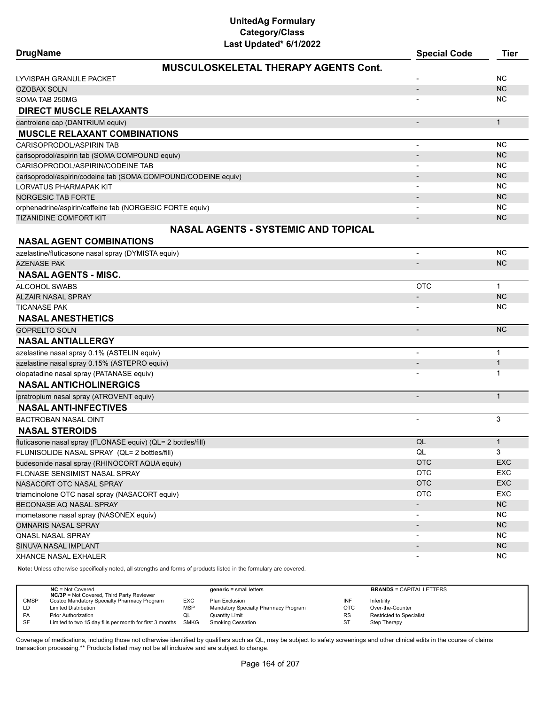| <b>DrugName</b> |  |
|-----------------|--|
|-----------------|--|

| <b>DrugName</b>                                                | <b>Special Code</b>      | Tier         |
|----------------------------------------------------------------|--------------------------|--------------|
| <b>MUSCULOSKELETAL THERAPY AGENTS Cont.</b>                    |                          |              |
| LYVISPAH GRANULE PACKET                                        |                          | ΝC           |
| <b>OZOBAX SOLN</b>                                             | $\overline{\phantom{a}}$ | <b>NC</b>    |
| SOMA TAB 250MG                                                 |                          | ΝC           |
| <b>DIRECT MUSCLE RELAXANTS</b>                                 |                          |              |
| dantrolene cap (DANTRIUM equiv)                                | $\overline{\phantom{a}}$ | $\mathbf{1}$ |
| <b>MUSCLE RELAXANT COMBINATIONS</b>                            |                          |              |
| CARISOPRODOL/ASPIRIN TAB                                       |                          | <b>NC</b>    |
| carisoprodol/aspirin tab (SOMA COMPOUND equiv)                 |                          | <b>NC</b>    |
| CARISOPRODOL/ASPIRIN/CODEINE TAB                               |                          | <b>NC</b>    |
| carisoprodol/aspirin/codeine tab (SOMA COMPOUND/CODEINE equiv) |                          | <b>NC</b>    |
| LORVATUS PHARMAPAK KIT                                         |                          | <b>NC</b>    |
| <b>NORGESIC TAB FORTE</b>                                      |                          | <b>NC</b>    |
| orphenadrine/aspirin/caffeine tab (NORGESIC FORTE equiv)       |                          | <b>NC</b>    |
| <b>TIZANIDINE COMFORT KIT</b>                                  |                          | <b>NC</b>    |
| <b>NASAL AGENTS - SYSTEMIC AND TOPICAL</b>                     |                          |              |
| <b>NASAL AGENT COMBINATIONS</b>                                |                          |              |
| azelastine/fluticasone nasal spray (DYMISTA equiv)             |                          | <b>NC</b>    |
| <b>AZENASE PAK</b>                                             |                          | <b>NC</b>    |
| <b>NASAL AGENTS - MISC.</b>                                    |                          |              |
| <b>ALCOHOL SWABS</b>                                           | OTC                      | $\mathbf{1}$ |
| <b>ALZAIR NASAL SPRAY</b>                                      |                          | <b>NC</b>    |
| <b>TICANASE PAK</b>                                            |                          | ΝC           |
| <b>NASAL ANESTHETICS</b>                                       |                          |              |
| <b>GOPRELTO SOLN</b>                                           | $\overline{a}$           | <b>NC</b>    |
| <b>NASAL ANTIALLERGY</b>                                       |                          |              |
| azelastine nasal spray 0.1% (ASTELIN equiv)                    |                          | $\mathbf 1$  |
| azelastine nasal spray 0.15% (ASTEPRO equiv)                   |                          | $\mathbf{1}$ |
| olopatadine nasal spray (PATANASE equiv)                       |                          |              |
| <b>NASAL ANTICHOLINERGICS</b>                                  |                          |              |
| ipratropium nasal spray (ATROVENT equiv)                       |                          | $\mathbf{1}$ |
| <b>NASAL ANTI-INFECTIVES</b>                                   |                          |              |
| <b>BACTROBAN NASAL OINT</b>                                    | $\overline{a}$           | 3            |
| <b>NASAL STEROIDS</b>                                          |                          |              |
| fluticasone nasal spray (FLONASE equiv) (QL= 2 bottles/fill)   | QL                       | $\mathbf{1}$ |
| FLUNISOLIDE NASAL SPRAY (QL= 2 bottles/fill)                   | QL                       | 3            |
| budesonide nasal spray (RHINOCORT AQUA equiv)                  | <b>OTC</b>               | <b>EXC</b>   |
| FLONASE SENSIMIST NASAL SPRAY                                  | <b>OTC</b>               | <b>EXC</b>   |
| NASACORT OTC NASAL SPRAY                                       | <b>OTC</b>               | <b>EXC</b>   |
| triamcinolone OTC nasal spray (NASACORT equiv)                 | <b>OTC</b>               | <b>EXC</b>   |
| BECONASE AQ NASAL SPRAY                                        |                          | NC           |
| mometasone nasal spray (NASONEX equiv)                         |                          | <b>NC</b>    |
| <b>OMNARIS NASAL SPRAY</b>                                     |                          | NC           |
| QNASL NASAL SPRAY                                              |                          | NC.          |
| SINUVA NASAL IMPLANT                                           | $\overline{\phantom{a}}$ | NC           |
| <b>XHANCE NASAL EXHALER</b>                                    |                          | NC.          |

**Note:** Unless otherwise specifically noted, all strengths and forms of products listed in the formulary are covered.

|             | $NC = Not Covered$<br><b>NC/3P</b> = Not Covered, Third Party Reviewer |      | $generic = small letters$            |            | <b>BRANDS = CAPITAL LETTERS</b> |
|-------------|------------------------------------------------------------------------|------|--------------------------------------|------------|---------------------------------|
| <b>CMSP</b> | Costco Mandatory Specialty Pharmacy Program                            | EXC. | Plan Exclusion                       | INF        | Infertility                     |
| LD          | <b>Limited Distribution</b>                                            | MSP  | Mandatory Specialty Pharmacy Program | <b>OTC</b> | Over-the-Counter                |
| PA          | <b>Prior Authorization</b>                                             | QL   | <b>Quantity Limit</b>                | <b>RS</b>  | <b>Restricted to Specialist</b> |
| <b>SF</b>   | Limited to two 15 day fills per month for first 3 months SMKG          |      | <b>Smoking Cessation</b>             | ST         | Step Therapy                    |
|             |                                                                        |      |                                      |            |                                 |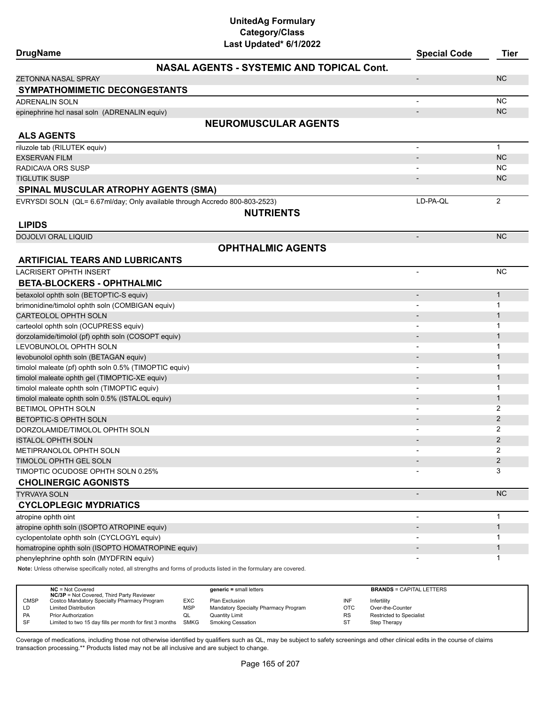| <b>DrugName</b>                                                                                                     | Last Updated* 6/1/2022                           | <b>Special Code</b>      | <b>Tier</b>         |
|---------------------------------------------------------------------------------------------------------------------|--------------------------------------------------|--------------------------|---------------------|
|                                                                                                                     | <b>NASAL AGENTS - SYSTEMIC AND TOPICAL Cont.</b> |                          |                     |
| <b>ZETONNA NASAL SPRAY</b>                                                                                          |                                                  | $\overline{\phantom{a}}$ | <b>NC</b>           |
| <b>SYMPATHOMIMETIC DECONGESTANTS</b>                                                                                |                                                  |                          |                     |
| <b>ADRENALIN SOLN</b>                                                                                               |                                                  |                          | <b>NC</b>           |
| epinephrine hcl nasal soln (ADRENALIN equiv)                                                                        |                                                  |                          | <b>NC</b>           |
|                                                                                                                     | <b>NEUROMUSCULAR AGENTS</b>                      |                          |                     |
| <b>ALS AGENTS</b>                                                                                                   |                                                  |                          |                     |
| riluzole tab (RILUTEK equiv)                                                                                        |                                                  | $\overline{\phantom{a}}$ | $\mathbf{1}$        |
| <b>EXSERVAN FILM</b>                                                                                                |                                                  | $\overline{\phantom{a}}$ | <b>NC</b>           |
| RADICAVA ORS SUSP                                                                                                   |                                                  |                          | <b>NC</b>           |
| <b>TIGLUTIK SUSP</b>                                                                                                |                                                  |                          | <b>NC</b>           |
| <b>SPINAL MUSCULAR ATROPHY AGENTS (SMA)</b>                                                                         |                                                  |                          |                     |
| EVRYSDI SOLN (QL= 6.67ml/day; Only available through Accredo 800-803-2523)                                          |                                                  | LD-PA-QL                 | $\overline{2}$      |
|                                                                                                                     | <b>NUTRIENTS</b>                                 |                          |                     |
| <b>LIPIDS</b>                                                                                                       |                                                  |                          |                     |
| <b>DOJOLVI ORAL LIQUID</b>                                                                                          |                                                  | $\overline{\phantom{a}}$ | <b>NC</b>           |
|                                                                                                                     | <b>OPHTHALMIC AGENTS</b>                         |                          |                     |
| <b>ARTIFICIAL TEARS AND LUBRICANTS</b>                                                                              |                                                  |                          |                     |
| <b>LACRISERT OPHTH INSERT</b>                                                                                       |                                                  |                          | <b>NC</b>           |
| <b>BETA-BLOCKERS - OPHTHALMIC</b>                                                                                   |                                                  |                          |                     |
| betaxolol ophth soln (BETOPTIC-S equiv)                                                                             |                                                  |                          | $\mathbf{1}$        |
| brimonidine/timolol ophth soln (COMBIGAN equiv)                                                                     |                                                  |                          | $\mathbf 1$         |
| CARTEOLOL OPHTH SOLN                                                                                                |                                                  |                          | $\mathbf{1}$        |
| carteolol ophth soln (OCUPRESS equiv)                                                                               |                                                  |                          | $\mathbf 1$         |
| dorzolamide/timolol (pf) ophth soln (COSOPT equiv)                                                                  |                                                  |                          | $\mathbf{1}$        |
| LEVOBUNOLOL OPHTH SOLN                                                                                              |                                                  |                          | $\mathbf{1}$        |
| levobunolol ophth soln (BETAGAN equiv)                                                                              |                                                  |                          | $\mathbf{1}$        |
| timolol maleate (pf) ophth soln 0.5% (TIMOPTIC equiv)                                                               |                                                  |                          | 1                   |
| timolol maleate ophth gel (TIMOPTIC-XE equiv)                                                                       |                                                  |                          | $\mathbf{1}$        |
| timolol maleate ophth soln (TIMOPTIC equiv)                                                                         |                                                  |                          | 1                   |
| timolol maleate ophth soln 0.5% (ISTALOL equiv)                                                                     |                                                  |                          | $\mathbf{1}$        |
| BETIMOL OPHTH SOLN                                                                                                  |                                                  |                          | 2                   |
| BETOPTIC-S OPHTH SOLN                                                                                               |                                                  |                          | $\overline{2}$      |
| DORZOLAMIDE/TIMOLOL OPHTH SOLN                                                                                      |                                                  |                          | 2<br>$\overline{2}$ |
| <b>ISTALOL OPHTH SOLN</b>                                                                                           |                                                  |                          | 2                   |
| <b>METIPRANOLOL OPHTH SOLN</b><br>TIMOLOL OPHTH GEL SOLN                                                            |                                                  |                          | $\overline{2}$      |
| TIMOPTIC OCUDOSE OPHTH SOLN 0.25%                                                                                   |                                                  |                          | 3                   |
| <b>CHOLINERGIC AGONISTS</b>                                                                                         |                                                  |                          |                     |
| <b>TYRVAYA SOLN</b>                                                                                                 |                                                  | $\overline{a}$           | <b>NC</b>           |
| <b>CYCLOPLEGIC MYDRIATICS</b>                                                                                       |                                                  |                          |                     |
| atropine ophth oint                                                                                                 |                                                  | $\overline{\phantom{a}}$ | $\mathbf 1$         |
| atropine ophth soln (ISOPTO ATROPINE equiv)                                                                         |                                                  |                          | $\mathbf{1}$        |
| cyclopentolate ophth soln (CYCLOGYL equiv)                                                                          |                                                  |                          | $\mathbf 1$         |
| homatropine ophth soln (ISOPTO HOMATROPINE equiv)                                                                   |                                                  |                          | $\mathbf{1}$        |
| phenylephrine ophth soln (MYDFRIN equiv)                                                                            |                                                  |                          | 1                   |
| Note: Unless otherwise specifically noted, all strengths and forms of products listed in the formulary are covered. |                                                  |                          |                     |

|           | $NC = Not Covered$<br><b>NC/3P</b> = Not Covered, Third Party Reviewer |            | $generic = small letters$            |            | <b>BRANDS = CAPITAL LETTERS</b> |
|-----------|------------------------------------------------------------------------|------------|--------------------------------------|------------|---------------------------------|
| CMSP      | Costco Mandatory Specialty Pharmacy Program                            | <b>EXC</b> | Plan Exclusion                       | INF        | Infertility                     |
| LD        | <b>Limited Distribution</b>                                            | MSP        | Mandatory Specialty Pharmacy Program | <b>OTC</b> | Over-the-Counter                |
| <b>PA</b> | <b>Prior Authorization</b>                                             | QL         | Quantity Limit                       | <b>RS</b>  | <b>Restricted to Specialist</b> |
| -SF       | Limited to two 15 day fills per month for first 3 months               | SMKG       | <b>Smoking Cessation</b>             | ST         | Step Therapy                    |
|           |                                                                        |            |                                      |            |                                 |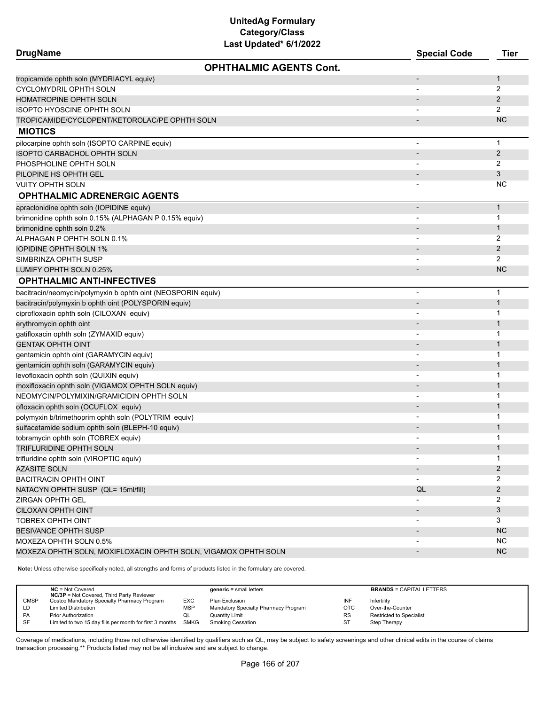## **DrugName Special Code Tier OPHTHALMIC AGENTS Cont.** tropicamide ophth soln (MYDRIACYL equiv) and the control of the control of the control of the control of the control of the control of the control of the control of the control of the control of the control of the control CYCLOMYDRIL OPHTH SOLN 2 HOMATROPINE OPHTH SOLN - 2 ISOPTO HYOSCINE OPHTH SOLN - 2 TROPICAMIDE/CYCLOPENT/KETOROLAC/PE OPHTH SOLN - NC **MIOTICS** pilocarpine ophth soln (ISOPTO CARPINE equiv) and the state of the state of the state of the state of the state of the state of the state of the state of the state of the state of the state of the state of the state of the ISOPTO CARBACHOL OPHTH SOLN - 2 PHOSPHOLINE OPHTH SOLN 2 PILOPINE HS OPHTH GEL AND THE SERVICE OF THE SERVICE OF THE SERVICE OF THE SERVICE OF THE SERVICE OF THE SERVICE OF THE SERVICE OF THE SERVICE OF THE SERVICE OF THE SERVICE OF THE SERVICE OF THE SERVICE OF THE SERVICE OF T VUITY OPHTH SOLN - NC **OPHTHALMIC ADRENERGIC AGENTS** apraclonidine ophth soln (IOPIDINE equiv) - 1 brimonidine ophth soln 0.15% (ALPHAGAN P 0.15% equiv) - 1 brimonidine ophth soln 0.2% - 1 ALPHAGAN P OPHTH SOLN 0.1% - 2 **IOPIDINE OPHTH SOLN 1%** 2 SIMBRINZA OPHTH SUSP - 2 LUMIFY OPHTH SOLN 0.25% - NC NO NO NOTE AND THE RELEASED OF THE RELEASED OF THE RELEASED OF THE RELEASED OF THE RELEASED OF THE RELEASED OF THE RELEASED OF THE RELEASED OF THE RELEASED OF THE RELEASED OF THE RELEASED OF TH **OPHTHALMIC ANTI-INFECTIVES** bacitracin/neomycin/polymyxin b ophth oint (NEOSPORIN equiv) and the control of the control of the control of the control of the control of the control of the control of the control of the control of the control of the con bacitracin/polymyxin b ophth oint (POLYSPORIN equiv) - 1 ciprofloxacin ophth soln (CILOXAN equiv) - 1 erythromycin ophth oint 1999 and 2008 and 2009 and 2009 and 2009 and 2009 and 2009 and 2009 and 2009 and 2009 and 2009 and 2009 and 2009 and 2009 and 2009 and 2009 and 2009 and 2009 and 2009 and 2009 and 2009 and 2009 and gatifloxacin ophth soln (ZYMAXID equiv) - 1 GENTAK OPHTH OINT AND A SERVER OF THE CONTRACT OF THE CONTRACT OF THE CONTRACT OF THE CONTRACT OF THE CONTRACT O gentamicin ophth oint (GARAMYCIN equiv) - 1 gentamicin ophth soln (GARAMYCIN equiv) - 1 levofloxacin ophth soln (QUIXIN equiv) - 1 moxifloxacin ophth soln (VIGAMOX OPHTH SOLN equiv) - 1 NEOMYCIN/POLYMIXIN/GRAMICIDIN OPHTH SOLN - 1 ofloxacin ophth soln (OCUFLOX equiv) - 1 polymyxin b/trimethoprim ophth soln (POLYTRIM equiv) and the control of the control of the control of the control of the control of the control of the control of the control of the control of the control of the control of sulfacetamide sodium ophth soln (BLEPH-10 equiv) and the control of the control of the control of the control of the control of the control of the control of the control of the control of the control of the control of the tobramycin ophth soln (TOBREX equiv) and the control of the control of the control of the control of the control of the control of the control of the control of the control of the control of the control of the control of t TRIFLURIDINE OPHTH SOLN - 1 trifluridine ophth soln (VIROPTIC equiv) - 1 AZASITE SOLN - 2 BACITRACIN OPHTH OINT **2** NATACYN OPHTH SUSP (QL= 15ml/fill) QL 2 ZIRGAN OPHTH GEL - 2 CILOXAN OPHTH OINT **AND A STATE OF A STATE OF A STATE OF A STATE OF A STATE OF A STATE OF A STATE OF A STATE OF A** TOBREX OPHTH OINT  $\qquad \qquad 3$ BESIVANCE OPHTH SUSP - NC NCC NOT THE SUSPEN OF THE SUSPEN OF THE SUSPEN OF THE SUSPEN OF THE SUSPEN OF THE SUSPEN OF THE SUSPEN OF THE SUSPEN OF THE SUSPEN OF THE SUSPEN OF THE SUSPEN OF THE SUSPEN OF THE SUSPEN OF THE SU MOXEZA OPHTH SOLN 0.5% - NC NORTH SOLN 0.5% - NC NORTH SOLN 0.5% - NC NORTH SOLN 0.5% - NC NORTH SOLN 0.5% - NC MOXEZA OPHTH SOLN, MOXIFLOXACIN OPHTH SOLN, VIGAMOX OPHTH SOLN AND AND ANNOLOGY AND ANNOLOGY AND ANNOLOGY AND

**Note:** Unless otherwise specifically noted, all strengths and forms of products listed in the formulary are covered.

|             | $NC = Not Covered$<br><b>NC/3P</b> = Not Covered, Third Party Reviewer |            | $generic = small letters$            |           | <b>BRANDS = CAPITAL LETTERS</b> |
|-------------|------------------------------------------------------------------------|------------|--------------------------------------|-----------|---------------------------------|
| <b>CMSP</b> | Costco Mandatory Specialty Pharmacy Program                            | EXC        | Plan Exclusion                       | INF       | Infertility                     |
| LD          | <b>Limited Distribution</b>                                            | <b>MSP</b> | Mandatory Specialty Pharmacy Program | OTC       | Over-the-Counter                |
| PA          | <b>Prior Authorization</b>                                             | QL         | <b>Quantity Limit</b>                | <b>RS</b> | <b>Restricted to Specialist</b> |
| <b>SF</b>   | Limited to two 15 day fills per month for first 3 months SMKG          |            | <b>Smoking Cessation</b>             | ST        | Step Therapy                    |
|             |                                                                        |            |                                      |           |                                 |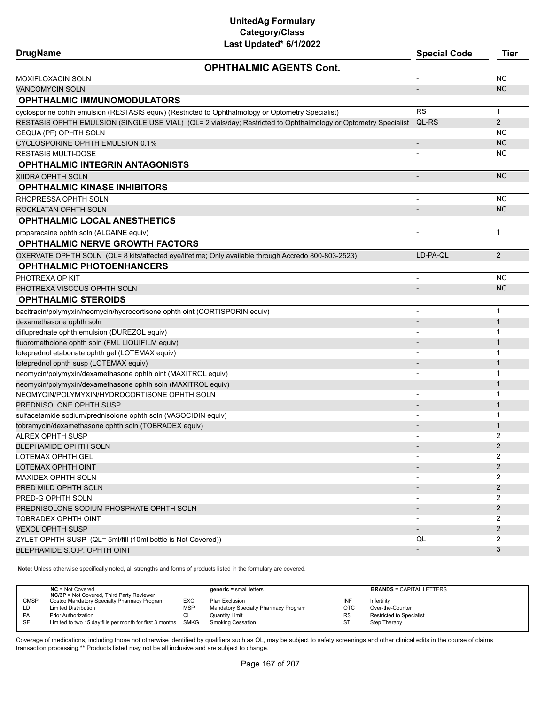| Last Updated" 6/1/2022<br><b>DrugName</b>                                                                       | <b>Special Code</b> | <b>Tier</b>    |
|-----------------------------------------------------------------------------------------------------------------|---------------------|----------------|
| <b>OPHTHALMIC AGENTS Cont.</b>                                                                                  |                     |                |
| MOXIFLOXACIN SOLN                                                                                               |                     | <b>NC</b>      |
| <b>VANCOMYCIN SOLN</b>                                                                                          | $\overline{a}$      | <b>NC</b>      |
| <b>OPHTHALMIC IMMUNOMODULATORS</b>                                                                              |                     |                |
| cyclosporine ophth emulsion (RESTASIS equiv) (Restricted to Ophthalmology or Optometry Specialist)              | <b>RS</b>           | $\mathbf{1}$   |
| RESTASIS OPHTH EMULSION (SINGLE USE VIAL) (QL= 2 vials/day; Restricted to Ophthalmology or Optometry Specialist | QL-RS               | 2              |
| CEQUA (PF) OPHTH SOLN                                                                                           |                     | <b>NC</b>      |
| CYCLOSPORINE OPHTH EMULSION 0.1%                                                                                |                     | <b>NC</b>      |
| <b>RESTASIS MULTI-DOSE</b>                                                                                      |                     | <b>NC</b>      |
| <b>OPHTHALMIC INTEGRIN ANTAGONISTS</b>                                                                          |                     |                |
| XIIDRA OPHTH SOLN                                                                                               |                     | <b>NC</b>      |
| <b>OPHTHALMIC KINASE INHIBITORS</b>                                                                             |                     |                |
| RHOPRESSA OPHTH SOLN                                                                                            |                     | <b>NC</b>      |
| ROCKLATAN OPHTH SOLN                                                                                            |                     | <b>NC</b>      |
| <b>OPHTHALMIC LOCAL ANESTHETICS</b>                                                                             |                     |                |
| proparacaine ophth soln (ALCAINE equiv)                                                                         |                     | $\mathbf{1}$   |
| <b>OPHTHALMIC NERVE GROWTH FACTORS</b>                                                                          |                     |                |
| OXERVATE OPHTH SOLN (QL= 8 kits/affected eye/lifetime; Only available through Accredo 800-803-2523)             | LD-PA-QL            | 2              |
| <b>OPHTHALMIC PHOTOENHANCERS</b>                                                                                |                     |                |
| PHOTREXA OP KIT                                                                                                 |                     | <b>NC</b>      |
| PHOTREXA VISCOUS OPHTH SOLN                                                                                     |                     | <b>NC</b>      |
| <b>OPHTHALMIC STEROIDS</b>                                                                                      |                     |                |
| bacitracin/polymyxin/neomycin/hydrocortisone ophth oint (CORTISPORIN equiv)                                     | $\overline{a}$      | $\mathbf{1}$   |
| dexamethasone ophth soln                                                                                        |                     | $\mathbf{1}$   |
| difluprednate ophth emulsion (DUREZOL equiv)                                                                    |                     | $\mathbf 1$    |
| fluorometholone ophth soln (FML LIQUIFILM equiv)                                                                |                     | $\mathbf{1}$   |
| loteprednol etabonate ophth gel (LOTEMAX equiv)                                                                 |                     | $\mathbf{1}$   |
| loteprednol ophth susp (LOTEMAX equiv)                                                                          |                     | $\mathbf{1}$   |
| neomycin/polymyxin/dexamethasone ophth oint (MAXITROL equiv)                                                    |                     | -1             |
| neomycin/polymyxin/dexamethasone ophth soln (MAXITROL equiv)                                                    |                     | $\mathbf{1}$   |
| NEOMYCIN/POLYMYXIN/HYDROCORTISONE OPHTH SOLN                                                                    |                     | 1              |
| PREDNISOLONE OPHTH SUSP                                                                                         |                     | $\mathbf{1}$   |
| sulfacetamide sodium/prednisolone ophth soln (VASOCIDIN equiv)                                                  |                     | 1              |
| tobramycin/dexamethasone ophth soln (TOBRADEX equiv)                                                            |                     | $\mathbf{1}$   |
| <b>ALREX OPHTH SUSP</b>                                                                                         |                     | 2              |
| BLEPHAMIDE OPHTH SOLN                                                                                           |                     | 2              |
| LOTEMAX OPHTH GEL                                                                                               |                     | 2              |
| LOTEMAX OPHTH OINT                                                                                              |                     | $\overline{2}$ |
| MAXIDEX OPHTH SOLN                                                                                              |                     | 2              |
| PRED MILD OPHTH SOLN                                                                                            |                     | 2              |
| PRED-G OPHTH SOLN                                                                                               |                     | 2<br>2         |
| PREDNISOLONE SODIUM PHOSPHATE OPHTH SOLN                                                                        |                     | 2              |
| TOBRADEX OPHTH OINT<br><b>VEXOL OPHTH SUSP</b>                                                                  |                     | $\overline{2}$ |
| ZYLET OPHTH SUSP (QL= 5ml/fill (10ml bottle is Not Covered))                                                    | QL                  | 2              |
| BLEPHAMIDE S.O.P. OPHTH OINT                                                                                    |                     | 3              |
|                                                                                                                 |                     |                |

**Note:** Unless otherwise specifically noted, all strengths and forms of products listed in the formulary are covered.

|             | $NC = Not Covered$<br><b>NC/3P</b> = Not Covered, Third Party Reviewer |            | $generic = small letters$            |            | <b>BRANDS = CAPITAL LETTERS</b> |  |
|-------------|------------------------------------------------------------------------|------------|--------------------------------------|------------|---------------------------------|--|
| <b>CMSP</b> | Costco Mandatory Specialty Pharmacy Program                            | EXC        | Plan Exclusion                       | INF        | Infertility                     |  |
| LD          | <b>Limited Distribution</b>                                            | <b>MSP</b> | Mandatory Specialty Pharmacy Program | <b>OTC</b> | Over-the-Counter                |  |
| PA          | <b>Prior Authorization</b>                                             | QL         | Quantity Limit                       | <b>RS</b>  | <b>Restricted to Specialist</b> |  |
| SF          | Limited to two 15 day fills per month for first 3 months SMKG          |            | <b>Smoking Cessation</b>             | ST         | Step Therapy                    |  |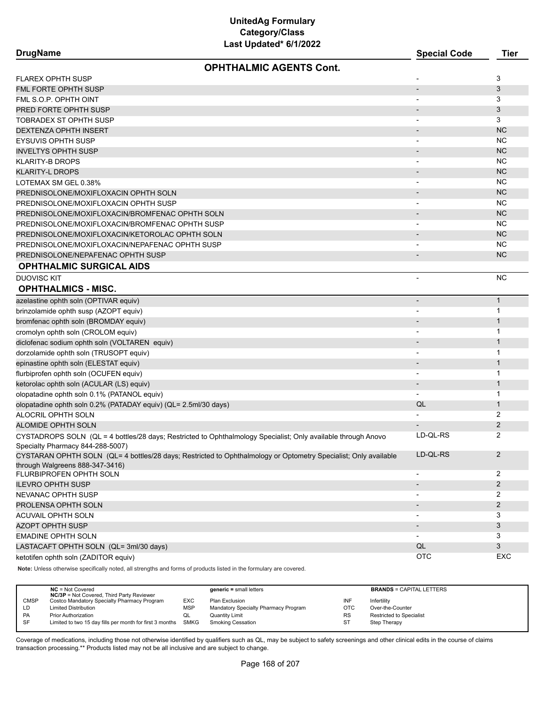| <b>DrugName</b> |
|-----------------|
|-----------------|

| <b>DrugName</b>                                                                                                   | <b>Special Code</b>          | Tier           |
|-------------------------------------------------------------------------------------------------------------------|------------------------------|----------------|
| <b>OPHTHALMIC AGENTS Cont.</b>                                                                                    |                              |                |
| <b>FLAREX OPHTH SUSP</b>                                                                                          |                              | 3              |
| FML FORTE OPHTH SUSP                                                                                              | $\overline{\phantom{a}}$     | 3              |
| FML S.O.P. OPHTH OINT                                                                                             |                              | 3              |
| PRED FORTE OPHTH SUSP                                                                                             |                              | 3              |
| TOBRADEX ST OPHTH SUSP                                                                                            |                              | 3              |
| <b>DEXTENZA OPHTH INSERT</b>                                                                                      |                              | <b>NC</b>      |
| <b>EYSUVIS OPHTH SUSP</b>                                                                                         |                              | <b>NC</b>      |
| <b>INVELTYS OPHTH SUSP</b>                                                                                        |                              | <b>NC</b>      |
| <b>KLARITY-B DROPS</b>                                                                                            |                              | <b>NC</b>      |
| <b>KLARITY-L DROPS</b>                                                                                            |                              | <b>NC</b>      |
| LOTEMAX SM GEL 0.38%                                                                                              |                              | <b>NC</b>      |
| PREDNISOLONE/MOXIFLOXACIN OPHTH SOLN                                                                              |                              | <b>NC</b>      |
| PREDNISOLONE/MOXIFLOXACIN OPHTH SUSP                                                                              |                              | <b>NC</b>      |
| PREDNISOLONE/MOXIFLOXACIN/BROMFENAC OPHTH SOLN                                                                    | $\qquad \qquad \blacksquare$ | <b>NC</b>      |
| PREDNISOLONE/MOXIFLOXACIN/BROMFENAC OPHTH SUSP                                                                    |                              | <b>NC</b>      |
| PREDNISOLONE/MOXIFLOXACIN/KETOROLAC OPHTH SOLN                                                                    |                              | <b>NC</b>      |
| PREDNISOLONE/MOXIFLOXACIN/NEPAFENAC OPHTH SUSP                                                                    |                              | <b>NC</b>      |
| PREDNISOLONE/NEPAFENAC OPHTH SUSP                                                                                 |                              | <b>NC</b>      |
| <b>OPHTHALMIC SURGICAL AIDS</b>                                                                                   |                              |                |
| <b>DUOVISC KIT</b>                                                                                                |                              | <b>NC</b>      |
| <b>OPHTHALMICS - MISC.</b>                                                                                        |                              |                |
| azelastine ophth soln (OPTIVAR equiv)                                                                             |                              | $\mathbf{1}$   |
| brinzolamide ophth susp (AZOPT equiv)                                                                             |                              | 1              |
| bromfenac ophth soln (BROMDAY equiv)                                                                              |                              | $\mathbf{1}$   |
| cromolyn ophth soln (CROLOM equiv)                                                                                |                              | $\mathbf{1}$   |
| diclofenac sodium ophth soln (VOLTAREN equiv)                                                                     |                              | $\mathbf{1}$   |
| dorzolamide ophth soln (TRUSOPT equiv)                                                                            |                              | 1              |
| epinastine ophth soln (ELESTAT equiv)                                                                             | $\qquad \qquad \blacksquare$ | $\mathbf{1}$   |
| flurbiprofen ophth soln (OCUFEN equiv)                                                                            |                              | 1              |
| ketorolac ophth soln (ACULAR (LS) equiv)                                                                          |                              | $\mathbf{1}$   |
| olopatadine ophth soln 0.1% (PATANOL equiv)                                                                       | $\overline{\phantom{0}}$     | 1              |
| olopatadine ophth soln 0.2% (PATADAY equiv) (QL= 2.5ml/30 days)                                                   | QL                           | $\mathbf{1}$   |
| ALOCRIL OPHTH SOLN                                                                                                |                              | 2              |
| <b>ALOMIDE OPHTH SOLN</b>                                                                                         |                              | 2              |
| CYSTADROPS SOLN (QL = 4 bottles/28 days; Restricted to Ophthalmology Specialist; Only available through Anovo     | LD-QL-RS                     | 2              |
| Specialty Pharmacy 844-288-5007)                                                                                  |                              |                |
| CYSTARAN OPHTH SOLN (QL= 4 bottles/28 days; Restricted to Ophthalmology or Optometry Specialist; Only available   | LD-QL-RS                     | $\mathbf{2}$   |
| through Walgreens 888-347-3416)<br>FLURBIPROFEN OPHTH SOLN                                                        | $\overline{\phantom{0}}$     | 2              |
| <b>ILEVRO OPHTH SUSP</b>                                                                                          |                              | $\overline{2}$ |
| NEVANAC OPHTH SUSP                                                                                                | -                            | 2              |
| PROLENSA OPHTH SOLN                                                                                               |                              | $\mathbf{2}$   |
| ACUVAIL OPHTH SOLN                                                                                                | $\qquad \qquad \blacksquare$ | 3              |
| <b>AZOPT OPHTH SUSP</b>                                                                                           |                              | 3              |
| <b>EMADINE OPHTH SOLN</b>                                                                                         |                              | 3              |
| LASTACAFT OPHTH SOLN (QL= 3ml/30 days)                                                                            | QL                           | 3              |
| ketotifen ophth soln (ZADITOR equiv)                                                                              | OTC                          | EXC            |
| Note: Unless otherwise specifically noted all strengths and forms of products listed in the formulary are covered |                              |                |

**Note:** Unless otherwise specifically noted, all strengths and forms of products listed in the formulary are covered.

|             | $NC = Not Covered$<br><b>NC/3P</b> = Not Covered, Third Party Reviewer |            | $generic = small letters$            |            | <b>BRANDS = CAPITAL LETTERS</b> |
|-------------|------------------------------------------------------------------------|------------|--------------------------------------|------------|---------------------------------|
| <b>CMSP</b> | Costco Mandatory Specialty Pharmacy Program                            | EXC        | Plan Exclusion                       | INF        | Infertility                     |
| LD.         | <b>Limited Distribution</b>                                            | <b>MSP</b> | Mandatory Specialty Pharmacy Program | <b>OTC</b> | Over-the-Counter                |
| PA          | <b>Prior Authorization</b>                                             | QL         | <b>Quantity Limit</b>                | <b>RS</b>  | Restricted to Specialist        |
| SF          | Limited to two 15 day fills per month for first 3 months SMKG          |            | <b>Smoking Cessation</b>             | ST         | Step Therapy                    |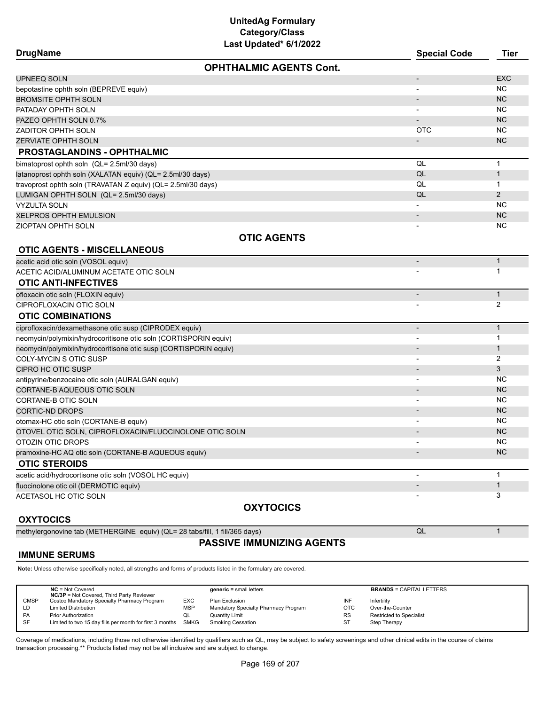| Last Updated* 6/1/2022                                           |                          |                |  |  |  |
|------------------------------------------------------------------|--------------------------|----------------|--|--|--|
| <b>DrugName</b>                                                  | <b>Special Code</b>      | <b>Tier</b>    |  |  |  |
| <b>OPHTHALMIC AGENTS Cont.</b>                                   |                          |                |  |  |  |
| UPNEEQ SOLN                                                      |                          | <b>EXC</b>     |  |  |  |
| bepotastine ophth soln (BEPREVE equiv)                           |                          | ΝC             |  |  |  |
| <b>BROMSITE OPHTH SOLN</b>                                       |                          | <b>NC</b>      |  |  |  |
| PATADAY OPHTH SOLN                                               |                          | <b>NC</b>      |  |  |  |
| PAZEO OPHTH SOLN 0.7%                                            |                          | <b>NC</b>      |  |  |  |
| ZADITOR OPHTH SOLN                                               | <b>OTC</b>               | <b>NC</b>      |  |  |  |
| <b>ZERVIATE OPHTH SOLN</b>                                       |                          | <b>NC</b>      |  |  |  |
| <b>PROSTAGLANDINS - OPHTHALMIC</b>                               |                          |                |  |  |  |
| bimatoprost ophth soln (QL= 2.5ml/30 days)                       | QL                       | $\mathbf{1}$   |  |  |  |
| latanoprost ophth soln (XALATAN equiv) (QL= 2.5ml/30 days)       | QL                       | $\mathbf{1}$   |  |  |  |
| travoprost ophth soln (TRAVATAN Z equiv) (QL= 2.5ml/30 days)     | QL                       | 1              |  |  |  |
| LUMIGAN OPHTH SOLN (QL= 2.5ml/30 days)                           | QL                       | $\overline{2}$ |  |  |  |
| VYZULTA SOLN                                                     |                          | <b>NC</b>      |  |  |  |
| XELPROS OPHTH EMULSION                                           |                          | <b>NC</b>      |  |  |  |
| ZIOPTAN OPHTH SOLN                                               |                          | ΝC             |  |  |  |
| <b>OTIC AGENTS</b>                                               |                          |                |  |  |  |
| <b>OTIC AGENTS - MISCELLANEOUS</b>                               |                          |                |  |  |  |
| acetic acid otic soln (VOSOL equiv)                              |                          | $\mathbf{1}$   |  |  |  |
| ACETIC ACID/ALUMINUM ACETATE OTIC SOLN                           |                          | 1              |  |  |  |
| <b>OTIC ANTI-INFECTIVES</b>                                      |                          |                |  |  |  |
| ofloxacin otic soln (FLOXIN equiv)                               |                          | $\mathbf{1}$   |  |  |  |
| CIPROFLOXACIN OTIC SOLN                                          |                          | 2              |  |  |  |
| <b>OTIC COMBINATIONS</b>                                         |                          |                |  |  |  |
| ciprofloxacin/dexamethasone otic susp (CIPRODEX equiv)           |                          | $\mathbf{1}$   |  |  |  |
| neomycin/polymixin/hydrocoritisone otic soln (CORTISPORIN equiv) |                          | 1              |  |  |  |
| neomycin/polymixin/hydrocoritisone otic susp (CORTISPORIN equiv) |                          | $\mathbf{1}$   |  |  |  |
| COLY-MYCIN S OTIC SUSP                                           |                          | 2              |  |  |  |
| CIPRO HC OTIC SUSP                                               |                          | 3              |  |  |  |
| antipyrine/benzocaine otic soln (AURALGAN equiv)                 |                          | <b>NC</b>      |  |  |  |
| CORTANE-B AQUEOUS OTIC SOLN                                      |                          | <b>NC</b>      |  |  |  |
| CORTANE-B OTIC SOLN                                              |                          | NC             |  |  |  |
| CORTIC-ND DROPS                                                  |                          | <b>NC</b>      |  |  |  |
| otomax-HC otic soln (CORTANE-B equiv)                            |                          | <b>NC</b>      |  |  |  |
| OTOVEL OTIC SOLN, CIPROFLOXACIN/FLUOCINOLONE OTIC SOLN           |                          | <b>NC</b>      |  |  |  |
| OTOZIN OTIC DROPS                                                | $\overline{\phantom{a}}$ | <b>NC</b>      |  |  |  |
| pramoxine-HC AQ otic soln (CORTANE-B AQUEOUS equiv)              |                          | <b>NC</b>      |  |  |  |
| <b>OTIC STEROIDS</b>                                             |                          |                |  |  |  |
| acetic acid/hydrocortisone otic soln (VOSOL HC equiv)            |                          | $\mathbf{1}$   |  |  |  |
| fluocinolone otic oil (DERMOTIC equiv)                           |                          | $\mathbf 1$    |  |  |  |
| ACETASOL HC OTIC SOLN                                            |                          | 3              |  |  |  |
| <b>OXYTOCICS</b>                                                 |                          |                |  |  |  |

## **OXYTOCICS**

methylergonovine tab (METHERGINE equiv) (QL= 28 tabs/fill, 1 fill/365 days) QL 1

## **PASSIVE IMMUNIZING AGENTS**

## **IMMUNE SERUMS**

**Note:** Unless otherwise specifically noted, all strengths and forms of products listed in the formulary are covered.

|             | $NC = Not Covered$<br><b>NC/3P</b> = Not Covered, Third Party Reviewer |            | $generic = small letters$            |            | <b>BRANDS = CAPITAL LETTERS</b> |
|-------------|------------------------------------------------------------------------|------------|--------------------------------------|------------|---------------------------------|
| <b>CMSP</b> | Costco Mandatory Specialty Pharmacy Program                            | <b>EXC</b> | Plan Exclusion                       | INF        | Infertility                     |
| LD          | <b>Limited Distribution</b>                                            | MSP        | Mandatory Specialty Pharmacy Program | <b>OTC</b> | Over-the-Counter                |
| PA          | <b>Prior Authorization</b>                                             | QL         | <b>Quantity Limit</b>                | <b>RS</b>  | <b>Restricted to Specialist</b> |
| <b>SF</b>   | Limited to two 15 day fills per month for first 3 months SMKG          |            | <b>Smoking Cessation</b>             | ST         | Step Therapy                    |
|             |                                                                        |            |                                      |            |                                 |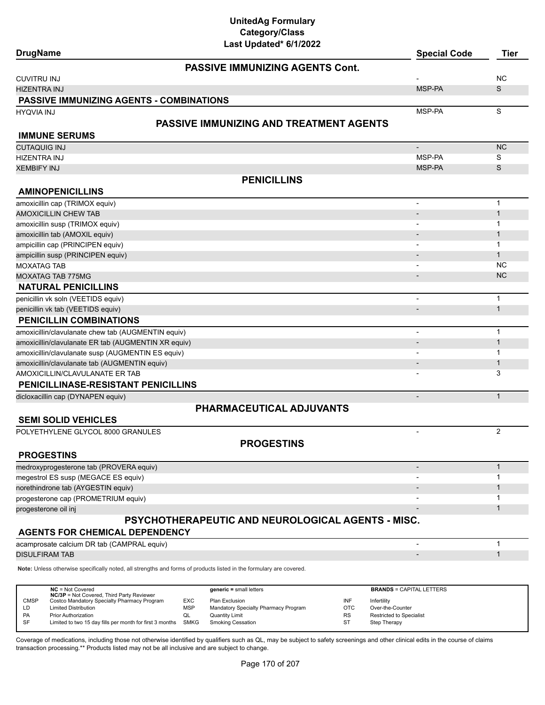| <b>DrugName</b>                                     | ast Opaateg on Mevez                                                                                                | <b>Special Code</b>      | <b>Tier</b>    |
|-----------------------------------------------------|---------------------------------------------------------------------------------------------------------------------|--------------------------|----------------|
|                                                     | <b>PASSIVE IMMUNIZING AGENTS Cont.</b>                                                                              |                          |                |
| <b>CUVITRU INJ</b>                                  |                                                                                                                     |                          | <b>NC</b>      |
| <b>HIZENTRA INJ</b>                                 |                                                                                                                     | MSP-PA                   | S              |
| <b>PASSIVE IMMUNIZING AGENTS - COMBINATIONS</b>     |                                                                                                                     |                          |                |
| <b>HYQVIA INJ</b>                                   |                                                                                                                     | MSP-PA                   | S              |
|                                                     | <b>PASSIVE IMMUNIZING AND TREATMENT AGENTS</b>                                                                      |                          |                |
| <b>IMMUNE SERUMS</b>                                |                                                                                                                     |                          |                |
| <b>CUTAQUIG INJ</b>                                 |                                                                                                                     |                          | NC             |
| <b>HIZENTRA INJ</b>                                 |                                                                                                                     | MSP-PA                   | S              |
| <b>XEMBIFY INJ</b>                                  |                                                                                                                     | MSP-PA                   | S              |
|                                                     |                                                                                                                     |                          |                |
|                                                     | <b>PENICILLINS</b>                                                                                                  |                          |                |
| <b>AMINOPENICILLINS</b>                             |                                                                                                                     |                          |                |
| amoxicillin cap (TRIMOX equiv)                      |                                                                                                                     | $\overline{\phantom{a}}$ | $\mathbf{1}$   |
| <b>AMOXICILLIN CHEW TAB</b>                         |                                                                                                                     |                          | $\mathbf{1}$   |
| amoxicillin susp (TRIMOX equiv)                     |                                                                                                                     |                          | 1              |
| amoxicillin tab (AMOXIL equiv)                      |                                                                                                                     |                          | $\mathbf 1$    |
| ampicillin cap (PRINCIPEN equiv)                    |                                                                                                                     |                          | $\mathbf{1}$   |
| ampicillin susp (PRINCIPEN equiv)                   |                                                                                                                     |                          | $\mathbf{1}$   |
| <b>MOXATAG TAB</b>                                  |                                                                                                                     |                          | <b>NC</b>      |
| <b>MOXATAG TAB 775MG</b>                            |                                                                                                                     |                          | <b>NC</b>      |
| <b>NATURAL PENICILLINS</b>                          |                                                                                                                     |                          |                |
| penicillin vk soln (VEETIDS equiv)                  |                                                                                                                     | $\overline{\phantom{a}}$ | $\mathbf{1}$   |
| penicillin vk tab (VEETIDS equiv)                   |                                                                                                                     | $\overline{\phantom{a}}$ | $\mathbf{1}$   |
| <b>PENICILLIN COMBINATIONS</b>                      |                                                                                                                     |                          |                |
| amoxicillin/clavulanate chew tab (AUGMENTIN equiv)  |                                                                                                                     | $\overline{\phantom{a}}$ | $\mathbf{1}$   |
| amoxicillin/clavulanate ER tab (AUGMENTIN XR equiv) |                                                                                                                     | $\overline{\phantom{a}}$ | $\mathbf{1}$   |
| amoxicillin/clavulanate susp (AUGMENTIN ES equiv)   |                                                                                                                     |                          | 1              |
| amoxicillin/clavulanate tab (AUGMENTIN equiv)       |                                                                                                                     |                          | $\mathbf{1}$   |
| AMOXICILLIN/CLAVULANATE ER TAB                      |                                                                                                                     |                          | 3              |
| PENICILLINASE-RESISTANT PENICILLINS                 |                                                                                                                     |                          |                |
| dicloxacillin cap (DYNAPEN equiv)                   |                                                                                                                     | $\overline{\phantom{a}}$ | $\mathbf{1}$   |
|                                                     | PHARMACEUTICAL ADJUVANTS                                                                                            |                          |                |
| <b>SEMI SOLID VEHICLES</b>                          |                                                                                                                     |                          |                |
|                                                     |                                                                                                                     |                          | $\overline{2}$ |
| POLYETHYLENE GLYCOL 8000 GRANULES                   |                                                                                                                     | $\overline{\phantom{a}}$ |                |
|                                                     | <b>PROGESTINS</b>                                                                                                   |                          |                |
| <b>PROGESTINS</b>                                   |                                                                                                                     |                          |                |
| medroxyprogesterone tab (PROVERA equiv)             |                                                                                                                     |                          | $\mathbf{1}$   |
| megestrol ES susp (MEGACE ES equiv)                 |                                                                                                                     |                          | 1              |
| norethindrone tab (AYGESTIN equiv)                  |                                                                                                                     |                          | $\mathbf 1$    |
| progesterone cap (PROMETRIUM equiv)                 |                                                                                                                     |                          | 1              |
| progesterone oil inj                                |                                                                                                                     |                          | $\mathbf{1}$   |
|                                                     | <b>PSYCHOTHERAPEUTIC AND NEUROLOGICAL AGENTS - MISC.</b>                                                            |                          |                |
| <b>AGENTS FOR CHEMICAL DEPENDENCY</b>               |                                                                                                                     |                          |                |
| acamprosate calcium DR tab (CAMPRAL equiv)          |                                                                                                                     | $\overline{a}$           | 1              |
| <b>DISULFIRAM TAB</b>                               |                                                                                                                     |                          | $\mathbf{1}$   |
|                                                     |                                                                                                                     |                          |                |
|                                                     | Note: Unless otherwise specifically noted, all strengths and forms of products listed in the formulary are covered. |                          |                |
|                                                     |                                                                                                                     |                          |                |

|             | $NC = Not Covered$                                       |            | $generic = small letters$            |           | <b>BRANDS = CAPITAL LETTERS</b> |
|-------------|----------------------------------------------------------|------------|--------------------------------------|-----------|---------------------------------|
|             | <b>NC/3P</b> = Not Covered, Third Party Reviewer         |            |                                      |           |                                 |
| <b>CMSP</b> | Costco Mandatory Specialty Pharmacy Program              | EXC        | Plan Exclusion                       | INF       | Infertility                     |
| LD          | <b>Limited Distribution</b>                              | <b>MSP</b> | Mandatory Specialty Pharmacy Program | OTC       | Over-the-Counter                |
| PA          | <b>Prior Authorization</b>                               |            | Quantity Limit                       | <b>RS</b> | <b>Restricted to Specialist</b> |
| SF          | Limited to two 15 day fills per month for first 3 months | SMKG       | Smoking Cessation                    |           | Step Therapy                    |
|             |                                                          |            |                                      |           |                                 |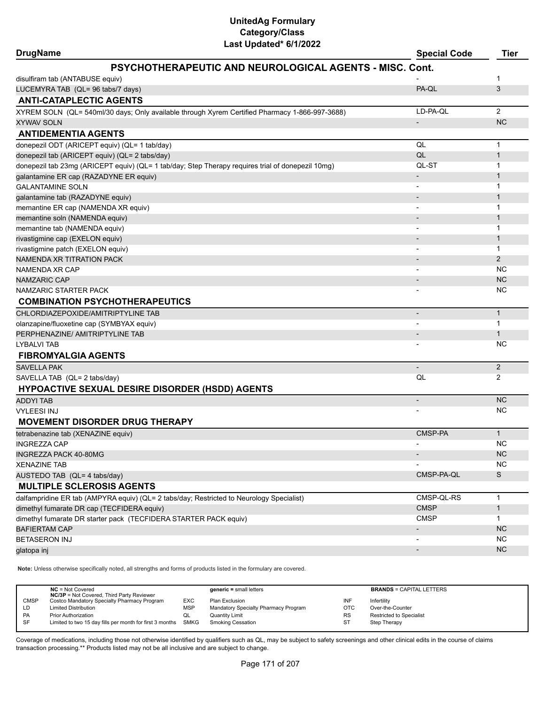| Last Updated" 6/1/2022<br><b>DrugName</b>                                                         | <b>Special Code</b>          | <b>Tier</b>    |  |
|---------------------------------------------------------------------------------------------------|------------------------------|----------------|--|
| <b>PSYCHOTHERAPEUTIC AND NEUROLOGICAL AGENTS - MISC. Cont.</b>                                    |                              |                |  |
| disulfiram tab (ANTABUSE equiv)                                                                   |                              | 1              |  |
| LUCEMYRA TAB (QL= 96 tabs/7 days)                                                                 | PA-QL                        | 3              |  |
| <b>ANTI-CATAPLECTIC AGENTS</b>                                                                    |                              |                |  |
| XYREM SOLN (QL= 540ml/30 days; Only available through Xyrem Certified Pharmacy 1-866-997-3688)    | LD-PA-QL                     | $\overline{2}$ |  |
| <b>XYWAV SOLN</b>                                                                                 | $\overline{a}$               | <b>NC</b>      |  |
| <b>ANTIDEMENTIA AGENTS</b>                                                                        |                              |                |  |
| donepezil ODT (ARICEPT equiv) (QL= 1 tab/day)                                                     | QL                           | $\mathbf{1}$   |  |
| donepezil tab (ARICEPT equiv) (QL= 2 tabs/day)                                                    | QL                           | 1              |  |
| donepezil tab 23mg (ARICEPT equiv) (QL= 1 tab/day; Step Therapy requires trial of donepezil 10mg) | QL-ST                        | 1              |  |
| galantamine ER cap (RAZADYNE ER equiv)                                                            |                              | 1              |  |
| <b>GALANTAMINE SOLN</b>                                                                           |                              | 1              |  |
| galantamine tab (RAZADYNE equiv)                                                                  |                              | 1              |  |
| memantine ER cap (NAMENDA XR equiv)                                                               |                              | 1              |  |
| memantine soln (NAMENDA equiv)                                                                    |                              | 1              |  |
| memantine tab (NAMENDA equiv)                                                                     |                              | 1              |  |
| rivastigmine cap (EXELON equiv)                                                                   |                              | 1              |  |
| rivastigmine patch (EXELON equiv)                                                                 | $\qquad \qquad \blacksquare$ | 1              |  |
| NAMENDA XR TITRATION PACK                                                                         |                              | $\overline{2}$ |  |
| NAMENDA XR CAP                                                                                    |                              | <b>NC</b>      |  |
| <b>NAMZARIC CAP</b>                                                                               |                              | <b>NC</b>      |  |
| NAMZARIC STARTER PACK                                                                             |                              | <b>NC</b>      |  |
| <b>COMBINATION PSYCHOTHERAPEUTICS</b>                                                             |                              |                |  |
| CHLORDIAZEPOXIDE/AMITRIPTYLINE TAB                                                                | $\overline{\phantom{a}}$     | $\mathbf{1}$   |  |
| olanzapine/fluoxetine cap (SYMBYAX equiv)                                                         | $\overline{a}$               | 1              |  |
| PERPHENAZINE/ AMITRIPTYLINE TAB                                                                   | $\overline{\phantom{m}}$     | 1              |  |
| LYBALVI TAB                                                                                       |                              | NC.            |  |
| <b>FIBROMYALGIA AGENTS</b>                                                                        |                              |                |  |
| <b>SAVELLA PAK</b>                                                                                | $\overline{\phantom{0}}$     | $\overline{2}$ |  |
| SAVELLA TAB (QL= 2 tabs/day)                                                                      | QL                           | $\overline{2}$ |  |
| <b>HYPOACTIVE SEXUAL DESIRE DISORDER (HSDD) AGENTS</b>                                            |                              |                |  |
| <b>ADDYI TAB</b>                                                                                  | $\overline{a}$               | <b>NC</b>      |  |
| <b>VYLEESI INJ</b>                                                                                |                              | <b>NC</b>      |  |
| <b>MOVEMENT DISORDER DRUG THERAPY</b>                                                             |                              |                |  |
| tetrabenazine tab (XENAZINE equiv)                                                                | CMSP-PA                      | $\mathbf{1}$   |  |
| <b>INGREZZA CAP</b>                                                                               |                              | <b>NC</b>      |  |
| INGREZZA PACK 40-80MG                                                                             |                              | <b>NC</b>      |  |
| XENAZINE TAB                                                                                      |                              | <b>NC</b>      |  |
| AUSTEDO TAB (QL= 4 tabs/day)                                                                      | CMSP-PA-QL                   | S              |  |
| <b>MULTIPLE SCLEROSIS AGENTS</b>                                                                  |                              |                |  |
| dalfampridine ER tab (AMPYRA equiv) (QL= 2 tabs/day; Restricted to Neurology Specialist)          | CMSP-QL-RS                   | 1              |  |
| dimethyl fumarate DR cap (TECFIDERA equiv)                                                        | <b>CMSP</b>                  | $\mathbf{1}$   |  |
| dimethyl fumarate DR starter pack (TECFIDERA STARTER PACK equiv)                                  | <b>CMSP</b>                  | 1              |  |
| <b>BAFIERTAM CAP</b>                                                                              |                              | <b>NC</b>      |  |
| <b>BETASERON INJ</b>                                                                              |                              | <b>NC</b>      |  |
| glatopa inj                                                                                       |                              | <b>NC</b>      |  |
|                                                                                                   |                              |                |  |

**Note:** Unless otherwise specifically noted, all strengths and forms of products listed in the formulary are covered.

|             | $NC = Not Covered$<br><b>NC/3P</b> = Not Covered, Third Party Reviewer |            | $generic = small letters$            |            | <b>BRANDS = CAPITAL LETTERS</b> |
|-------------|------------------------------------------------------------------------|------------|--------------------------------------|------------|---------------------------------|
| <b>CMSP</b> | Costco Mandatory Specialty Pharmacy Program                            | <b>EXC</b> | Plan Exclusion                       | INF        | Infertility                     |
| LD          | <b>Limited Distribution</b>                                            | <b>MSP</b> | Mandatory Specialty Pharmacy Program | <b>OTC</b> | Over-the-Counter                |
| <b>PA</b>   | <b>Prior Authorization</b>                                             | QL         | <b>Quantity Limit</b>                | <b>RS</b>  | Restricted to Specialist        |
| -SF         | Limited to two 15 day fills per month for first 3 months SMKG          |            | Smoking Cessation                    | ST         | Step Therapy                    |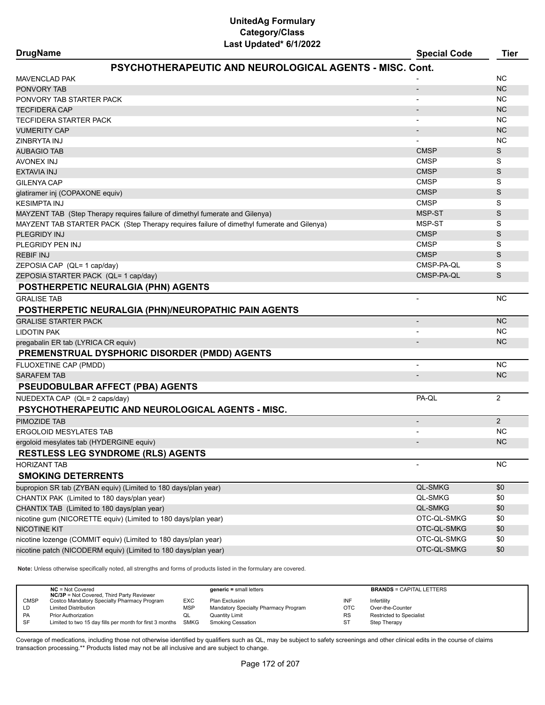| <b>DrugName</b>                                                                           | <b>Special Code</b>      | Tier      |
|-------------------------------------------------------------------------------------------|--------------------------|-----------|
| PSYCHOTHERAPEUTIC AND NEUROLOGICAL AGENTS - MISC. Cont.                                   |                          |           |
| <b>MAVENCLAD PAK</b>                                                                      |                          | <b>NC</b> |
| PONVORY TAB                                                                               | $\overline{\phantom{a}}$ | <b>NC</b> |
| PONVORY TAB STARTER PACK                                                                  |                          | ΝC        |
| <b>TECFIDERA CAP</b>                                                                      |                          | <b>NC</b> |
| TECFIDERA STARTER PACK                                                                    |                          | <b>NC</b> |
| <b>VUMERITY CAP</b>                                                                       |                          | <b>NC</b> |
| ZINBRYTA INJ                                                                              |                          | <b>NC</b> |
| <b>AUBAGIO TAB</b>                                                                        | <b>CMSP</b>              | S         |
| <b>AVONEX INJ</b>                                                                         | <b>CMSP</b>              | S         |
| <b>EXTAVIA INJ</b>                                                                        | <b>CMSP</b>              | S         |
| <b>GILENYA CAP</b>                                                                        | <b>CMSP</b>              | S         |
| glatiramer inj (COPAXONE equiv)                                                           | <b>CMSP</b>              | S         |
| <b>KESIMPTA INJ</b>                                                                       | <b>CMSP</b>              | S         |
| MAYZENT TAB (Step Therapy requires failure of dimethyl fumerate and Gilenya)              | MSP-ST                   | S         |
| MAYZENT TAB STARTER PACK (Step Therapy requires failure of dimethyl fumerate and Gilenya) | MSP-ST                   | S         |
| PLEGRIDY INJ                                                                              | <b>CMSP</b>              | S         |
| PLEGRIDY PEN INJ                                                                          | <b>CMSP</b>              | S         |
| <b>REBIF INJ</b>                                                                          | <b>CMSP</b>              | S         |
| ZEPOSIA CAP (QL= 1 cap/day)                                                               | CMSP-PA-QL               | S         |
| ZEPOSIA STARTER PACK (QL= 1 cap/day)                                                      | CMSP-PA-QL               | S         |
| POSTHERPETIC NEURALGIA (PHN) AGENTS                                                       |                          |           |
| <b>GRALISE TAB</b>                                                                        |                          | <b>NC</b> |
| POSTHERPETIC NEURALGIA (PHN)/NEUROPATHIC PAIN AGENTS                                      |                          |           |
| <b>GRALISE STARTER PACK</b>                                                               |                          | <b>NC</b> |
| <b>LIDOTIN PAK</b>                                                                        |                          | NC        |
| pregabalin ER tab (LYRICA CR equiv)                                                       |                          | <b>NC</b> |
| <b>PREMENSTRUAL DYSPHORIC DISORDER (PMDD) AGENTS</b>                                      |                          |           |
| FLUOXETINE CAP (PMDD)                                                                     |                          | <b>NC</b> |
| <b>SARAFEM TAB</b>                                                                        |                          | <b>NC</b> |
| <b>PSEUDOBULBAR AFFECT (PBA) AGENTS</b>                                                   |                          |           |
| NUEDEXTA CAP (QL= 2 caps/day)                                                             | PA-QL                    | 2         |
| <b>PSYCHOTHERAPEUTIC AND NEUROLOGICAL AGENTS - MISC.</b>                                  |                          |           |
| PIMOZIDE TAB                                                                              | $\overline{\phantom{a}}$ | 2         |
| <b>ERGOLOID MESYLATES TAB</b>                                                             |                          | <b>NC</b> |
| ergoloid mesylates tab (HYDERGINE equiv)                                                  |                          | <b>NC</b> |
| <b>RESTLESS LEG SYNDROME (RLS) AGENTS</b>                                                 |                          |           |
| <b>HORIZANT TAB</b>                                                                       |                          | NC        |
| <b>SMOKING DETERRENTS</b>                                                                 |                          |           |
| bupropion SR tab (ZYBAN equiv) (Limited to 180 days/plan year)                            | QL-SMKG                  | \$0       |
| CHANTIX PAK (Limited to 180 days/plan year)                                               | QL-SMKG                  | \$0       |
| CHANTIX TAB (Limited to 180 days/plan year)                                               | QL-SMKG                  | \$0       |
| nicotine gum (NICORETTE equiv) (Limited to 180 days/plan year)                            | OTC-QL-SMKG              | \$0       |
| <b>NICOTINE KIT</b>                                                                       | OTC-QL-SMKG              | \$0       |
| nicotine lozenge (COMMIT equiv) (Limited to 180 days/plan year)                           | OTC-QL-SMKG              | \$0       |
| nicotine patch (NICODERM equiv) (Limited to 180 days/plan year)                           | OTC-QL-SMKG              | \$0       |
|                                                                                           |                          |           |

**Note:** Unless otherwise specifically noted, all strengths and forms of products listed in the formulary are covered.

|             | $NC = Not Covered$<br><b>NC/3P</b> = Not Covered, Third Party Reviewer |            | $generic = small letters$            |            | <b>BRANDS = CAPITAL LETTERS</b> |
|-------------|------------------------------------------------------------------------|------------|--------------------------------------|------------|---------------------------------|
| <b>CMSP</b> | Costco Mandatory Specialty Pharmacy Program                            | EXC        | Plan Exclusion                       | INF        | Infertility                     |
| LD          | <b>Limited Distribution</b>                                            | <b>MSP</b> | Mandatory Specialty Pharmacy Program | <b>OTC</b> | Over-the-Counter                |
| PA          | <b>Prior Authorization</b>                                             | QL         | <b>Quantity Limit</b>                | <b>RS</b>  | <b>Restricted to Specialist</b> |
| SF          | Limited to two 15 day fills per month for first 3 months SMKG          |            | <b>Smoking Cessation</b>             | ST         | Step Therapy                    |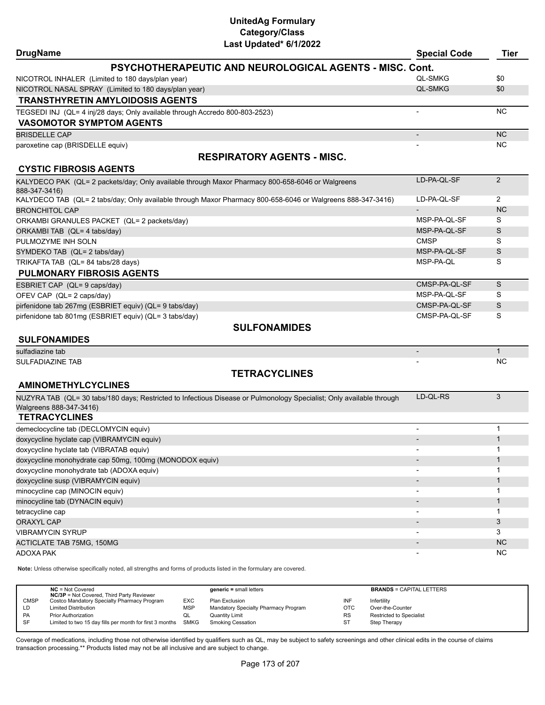| <b>DrugName</b>                                                                                                      | <b>Special Code</b>      | Tier           |
|----------------------------------------------------------------------------------------------------------------------|--------------------------|----------------|
| PSYCHOTHERAPEUTIC AND NEUROLOGICAL AGENTS - MISC. Cont.                                                              |                          |                |
| NICOTROL INHALER (Limited to 180 days/plan year)                                                                     | <b>QL-SMKG</b>           | \$0            |
| NICOTROL NASAL SPRAY (Limited to 180 days/plan year)                                                                 | <b>QL-SMKG</b>           | \$0            |
| <b>TRANSTHYRETIN AMYLOIDOSIS AGENTS</b>                                                                              |                          |                |
| TEGSEDI INJ (QL= 4 inj/28 days; Only available through Accredo 800-803-2523)                                         |                          | <b>NC</b>      |
|                                                                                                                      |                          |                |
| <b>VASOMOTOR SYMPTOM AGENTS</b>                                                                                      |                          |                |
| <b>BRISDELLE CAP</b>                                                                                                 |                          | <b>NC</b>      |
| paroxetine cap (BRISDELLE equiv)                                                                                     |                          | NC.            |
| <b>RESPIRATORY AGENTS - MISC.</b>                                                                                    |                          |                |
| <b>CYSTIC FIBROSIS AGENTS</b>                                                                                        |                          |                |
| KALYDECO PAK (QL= 2 packets/day; Only available through Maxor Pharmacy 800-658-6046 or Walgreens<br>888-347-3416)    | LD-PA-QL-SF              | 2              |
| KALYDECO TAB (QL= 2 tabs/day; Only available through Maxor Pharmacy 800-658-6046 or Walgreens 888-347-3416)          | LD-PA-QL-SF              | 2              |
| <b>BRONCHITOL CAP</b>                                                                                                |                          | <b>NC</b>      |
| ORKAMBI GRANULES PACKET (QL= 2 packets/day)                                                                          | MSP-PA-QL-SF             | S              |
| ORKAMBI TAB (QL= 4 tabs/day)                                                                                         | MSP-PA-QL-SF             | S              |
| PULMOZYME INH SOLN                                                                                                   | <b>CMSP</b>              | S              |
| SYMDEKO TAB (QL= 2 tabs/day)                                                                                         | MSP-PA-QL-SF             | S              |
| TRIKAFTA TAB (QL= 84 tabs/28 days)                                                                                   | MSP-PA-QL                | S              |
| <b>PULMONARY FIBROSIS AGENTS</b>                                                                                     |                          |                |
| ESBRIET CAP (QL= 9 caps/day)                                                                                         | CMSP-PA-QL-SF            | S              |
| OFEV CAP (QL= 2 caps/day)                                                                                            | MSP-PA-QL-SF             | S              |
| pirfenidone tab 267mg (ESBRIET equiv) (QL= 9 tabs/day)                                                               | CMSP-PA-QL-SF            | S              |
| pirfenidone tab 801mg (ESBRIET equiv) (QL= 3 tabs/day)                                                               | CMSP-PA-QL-SF            | S              |
| <b>SULFONAMIDES</b>                                                                                                  |                          |                |
| <b>SULFONAMIDES</b>                                                                                                  |                          |                |
| sulfadiazine tab                                                                                                     | $\overline{\phantom{a}}$ | $\mathbf{1}$   |
| SULFADIAZINE TAB                                                                                                     |                          | ΝC             |
| <b>TETRACYCLINES</b>                                                                                                 |                          |                |
| <b>AMINOMETHYLCYCLINES</b>                                                                                           |                          |                |
| NUZYRA TAB (QL= 30 tabs/180 days; Restricted to Infectious Disease or Pulmonology Specialist; Only available through | LD-QL-RS                 | 3              |
| Walgreens 888-347-3416)                                                                                              |                          |                |
| <b>TETRACYCLINES</b>                                                                                                 |                          |                |
| demeclocycline tab (DECLOMYCIN equiv)                                                                                |                          | $\mathbf 1$    |
| doxycycline hyclate cap (VIBRAMYCIN equiv)                                                                           |                          | $\mathbf{1}$   |
| doxycycline hyclate tab (VIBRATAB equiv)                                                                             |                          | $\mathbf{1}$   |
| doxycycline monohydrate cap 50mg, 100mg (MONODOX equiv)                                                              |                          | $\mathbf{1}$   |
| doxycycline monohydrate tab (ADOXA equiv)                                                                            |                          | 1              |
| doxycycline susp (VIBRAMYCIN equiv)                                                                                  |                          | $\mathbf{1}$   |
| minocycline cap (MINOCIN equiv)                                                                                      |                          | 1              |
| minocycline tab (DYNACIN equiv)                                                                                      |                          | $\mathbf{1}$   |
| tetracycline cap                                                                                                     |                          | $\mathbf{1}$   |
| <b>ORAXYL CAP</b>                                                                                                    |                          | $\mathfrak{Z}$ |
| <b>VIBRAMYCIN SYRUP</b>                                                                                              |                          | 3              |
| ACTICLATE TAB 75MG, 150MG                                                                                            |                          | NC             |
| ADOXA PAK                                                                                                            | $\overline{\phantom{a}}$ | NC.            |
|                                                                                                                      |                          |                |

**Note:** Unless otherwise specifically noted, all strengths and forms of products listed in the formulary are covered.

|           | $NC = Not Covered$<br><b>NC/3P</b> = Not Covered, Third Party Reviewer |            | $generic = small letters$            |            | <b>BRANDS = CAPITAL LETTERS</b> |
|-----------|------------------------------------------------------------------------|------------|--------------------------------------|------------|---------------------------------|
| CMSP      | Costco Mandatory Specialty Pharmacy Program                            | <b>EXC</b> | Plan Exclusion                       | INF        | Infertility                     |
| LD        | <b>Limited Distribution</b>                                            | MSP        | Mandatory Specialty Pharmacy Program | <b>OTC</b> | Over-the-Counter                |
| <b>PA</b> | <b>Prior Authorization</b>                                             | QL         | <b>Quantity Limit</b>                | <b>RS</b>  | Restricted to Specialist        |
| -SF       | Limited to two 15 day fills per month for first 3 months SMKG          |            | <b>Smoking Cessation</b>             | ST         | Step Therapy                    |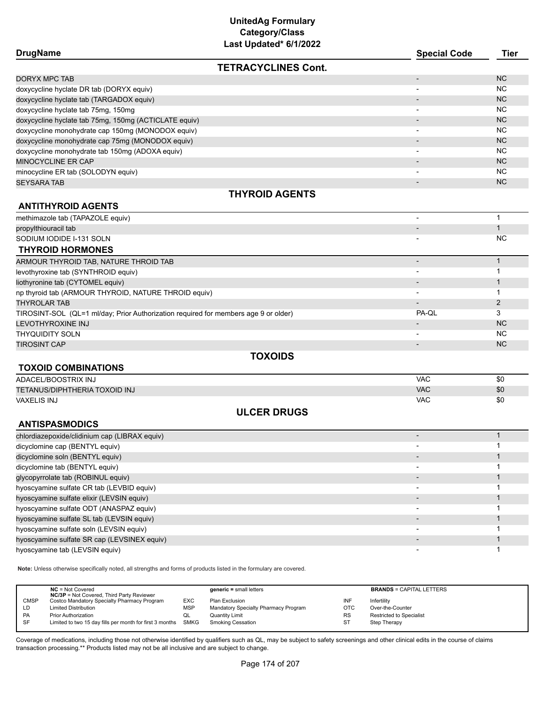| Last Updated* 6/1/2022                                                              |                          |              |
|-------------------------------------------------------------------------------------|--------------------------|--------------|
| <b>DrugName</b>                                                                     | <b>Special Code</b>      | <b>Tier</b>  |
| <b>TETRACYCLINES Cont.</b>                                                          |                          |              |
| <b>DORYX MPC TAB</b>                                                                |                          | <b>NC</b>    |
| doxycycline hyclate DR tab (DORYX equiv)                                            |                          | <b>NC</b>    |
| doxycycline hyclate tab (TARGADOX equiv)                                            |                          | <b>NC</b>    |
| doxycycline hyclate tab 75mg, 150mg                                                 |                          | <b>NC</b>    |
| doxycycline hyclate tab 75mg, 150mg (ACTICLATE equiv)                               |                          | <b>NC</b>    |
| doxycycline monohydrate cap 150mg (MONODOX equiv)                                   |                          | <b>NC</b>    |
| doxycycline monohydrate cap 75mg (MONODOX equiv)                                    | $\overline{\phantom{a}}$ | <b>NC</b>    |
| doxycycline monohydrate tab 150mg (ADOXA equiv)                                     |                          | <b>NC</b>    |
| MINOCYCLINE ER CAP                                                                  |                          | <b>NC</b>    |
| minocycline ER tab (SOLODYN equiv)                                                  |                          | <b>NC</b>    |
| <b>SEYSARA TAB</b>                                                                  | $\overline{a}$           | <b>NC</b>    |
| <b>THYROID AGENTS</b>                                                               |                          |              |
|                                                                                     |                          |              |
| <b>ANTITHYROID AGENTS</b>                                                           |                          |              |
| methimazole tab (TAPAZOLE equiv)                                                    |                          | 1            |
| propylthiouracil tab                                                                |                          | $\mathbf{1}$ |
| SODIUM IODIDE I-131 SOLN                                                            |                          | NC           |
| <b>THYROID HORMONES</b>                                                             |                          |              |
| ARMOUR THYROID TAB, NATURE THROID TAB                                               | $\overline{\phantom{a}}$ | $\mathbf{1}$ |
| levothyroxine tab (SYNTHROID equiv)                                                 |                          | 1            |
| liothyronine tab (CYTOMEL equiv)                                                    |                          | $\mathbf{1}$ |
| np thyroid tab (ARMOUR THYROID, NATURE THROID equiv)                                |                          | 1            |
| <b>THYROLAR TAB</b>                                                                 |                          | $\mathbf{2}$ |
| TIROSINT-SOL (QL=1 ml/day; Prior Authorization required for members age 9 or older) | PA-QL                    | 3            |
| LEVOTHYROXINE INJ                                                                   |                          | <b>NC</b>    |
| <b>THYQUIDITY SOLN</b>                                                              |                          | <b>NC</b>    |
| <b>TIROSINT CAP</b>                                                                 |                          | <b>NC</b>    |
| <b>TOXOIDS</b>                                                                      |                          |              |
| <b>TOXOID COMBINATIONS</b>                                                          |                          |              |
| ADACEL/BOOSTRIX INJ                                                                 | <b>VAC</b>               | \$0          |
| <b>TETANUS/DIPHTHERIA TOXOID INJ</b>                                                | <b>VAC</b>               | \$0          |
| VAXELIS INJ                                                                         | <b>VAC</b>               | \$0          |
| <b>ULCER DRUGS</b>                                                                  |                          |              |
|                                                                                     |                          |              |
| <b>ANTISPASMODICS</b>                                                               |                          |              |
| chlordiazepoxide/clidinium cap (LIBRAX equiv)                                       |                          | $\mathbf{1}$ |
| dicyclomine cap (BENTYL equiv)                                                      |                          | 1            |
| dicyclomine soln (BENTYL equiv)                                                     |                          | 1            |
| dicyclomine tab (BENTYL equiv)                                                      |                          | 1            |
| glycopyrrolate tab (ROBINUL equiv)                                                  |                          | 1            |
| hyoscyamine sulfate CR tab (LEVBID equiv)                                           |                          | 1            |
| hyoscyamine sulfate elixir (LEVSIN equiv)                                           |                          | $\mathbf{1}$ |
| hyoscyamine sulfate ODT (ANASPAZ equiv)                                             |                          | 1            |
| hyoscyamine sulfate SL tab (LEVSIN equiv)                                           |                          | $\mathbf{1}$ |
| hyoscyamine sulfate soln (LEVSIN equiv)                                             | $\overline{\phantom{a}}$ | 1            |
| hyoscyamine sulfate SR cap (LEVSINEX equiv)                                         | $\overline{\phantom{a}}$ | $\mathbf{1}$ |
| hyoscyamine tab (LEVSIN equiv)                                                      | $\overline{\phantom{a}}$ | 1            |

**Note:** Unless otherwise specifically noted, all strengths and forms of products listed in the formulary are covered.

|             | $NC = Not Covered$<br><b>NC/3P</b> = Not Covered, Third Party Reviewer |            | $generic = small letters$            |           | <b>BRANDS = CAPITAL LETTERS</b> |
|-------------|------------------------------------------------------------------------|------------|--------------------------------------|-----------|---------------------------------|
| <b>CMSP</b> | Costco Mandatory Specialty Pharmacy Program                            | <b>EXC</b> | Plan Exclusion                       | INF       | Infertility                     |
| LD          | <b>Limited Distribution</b>                                            | <b>MSP</b> | Mandatory Specialty Pharmacy Program | OTC       | Over-the-Counter                |
| <b>PA</b>   | <b>Prior Authorization</b>                                             | w∟         | <b>Quantity Limit</b>                | <b>RS</b> | <b>Restricted to Specialist</b> |
| -SF         | Limited to two 15 day fills per month for first 3 months SMKG          |            | Smoking Cessation                    | ST        | Step Therapy                    |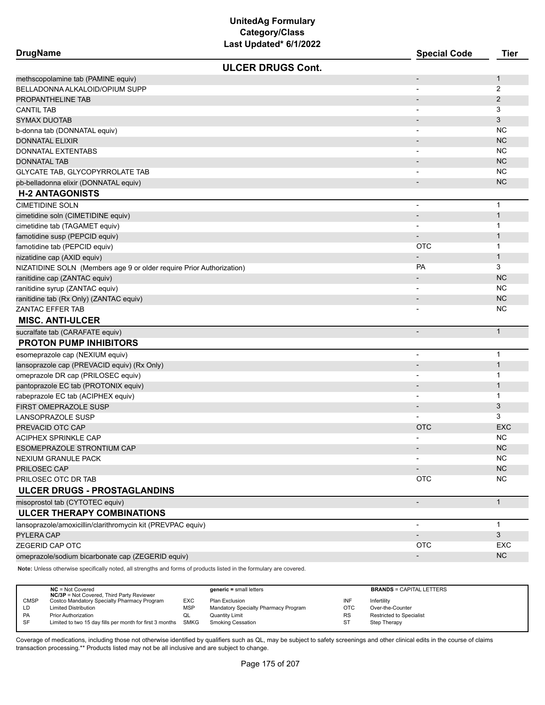| <b>DrugName</b>                                                      | Last upuateu varzuzz     | <b>Special Code</b>          | <b>Tier</b>    |
|----------------------------------------------------------------------|--------------------------|------------------------------|----------------|
|                                                                      | <b>ULCER DRUGS Cont.</b> |                              |                |
| methscopolamine tab (PAMINE equiv)                                   |                          | $\overline{a}$               | 1              |
| BELLADONNA ALKALOID/OPIUM SUPP                                       |                          |                              | $\overline{2}$ |
| PROPANTHELINE TAB                                                    |                          |                              | $\overline{2}$ |
| <b>CANTIL TAB</b>                                                    |                          |                              | 3              |
| <b>SYMAX DUOTAB</b>                                                  |                          |                              | 3              |
| b-donna tab (DONNATAL equiv)                                         |                          | $\overline{\phantom{a}}$     | NC.            |
| <b>DONNATAL ELIXIR</b>                                               |                          |                              | <b>NC</b>      |
| <b>DONNATAL EXTENTABS</b>                                            |                          | $\overline{\phantom{a}}$     | NC.            |
| <b>DONNATAL TAB</b>                                                  |                          | $\overline{\phantom{0}}$     | <b>NC</b>      |
| GLYCATE TAB, GLYCOPYRROLATE TAB                                      |                          |                              | <b>NC</b>      |
| pb-belladonna elixir (DONNATAL equiv)                                |                          | $\overline{a}$               | <b>NC</b>      |
| <b>H-2 ANTAGONISTS</b>                                               |                          |                              |                |
| <b>CIMETIDINE SOLN</b>                                               |                          | $\overline{a}$               | $\mathbf 1$    |
| cimetidine soln (CIMETIDINE equiv)                                   |                          |                              | $\mathbf{1}$   |
| cimetidine tab (TAGAMET equiv)                                       |                          | $\overline{\phantom{a}}$     | 1              |
| famotidine susp (PEPCID equiv)                                       |                          | $\overline{\phantom{a}}$     | $\mathbf{1}$   |
| famotidine tab (PEPCID equiv)                                        |                          | <b>OTC</b>                   | 1              |
| nizatidine cap (AXID equiv)                                          |                          |                              | $\mathbf{1}$   |
| NIZATIDINE SOLN (Members age 9 or older require Prior Authorization) |                          | PA                           | 3              |
| ranitidine cap (ZANTAC equiv)                                        |                          | $\overline{\phantom{a}}$     | <b>NC</b>      |
| ranitidine syrup (ZANTAC equiv)                                      |                          | $\overline{\phantom{a}}$     | NC.            |
| ranitidine tab (Rx Only) (ZANTAC equiv)                              |                          | $\qquad \qquad \blacksquare$ | <b>NC</b>      |
| <b>ZANTAC EFFER TAB</b>                                              |                          |                              | NC.            |
| <b>MISC. ANTI-ULCER</b>                                              |                          |                              |                |
| sucralfate tab (CARAFATE equiv)                                      |                          | $\overline{\phantom{0}}$     | $\mathbf{1}$   |
| <b>PROTON PUMP INHIBITORS</b>                                        |                          |                              |                |
| esomeprazole cap (NEXIUM equiv)                                      |                          | $\overline{a}$               | $\mathbf{1}$   |
| lansoprazole cap (PREVACID equiv) (Rx Only)                          |                          |                              | $\mathbf{1}$   |
| omeprazole DR cap (PRILOSEC equiv)                                   |                          | $\overline{\phantom{0}}$     | 1              |
| pantoprazole EC tab (PROTONIX equiv)                                 |                          | $\overline{\phantom{a}}$     | $\mathbf{1}$   |
| rabeprazole EC tab (ACIPHEX equiv)                                   |                          |                              | 1              |
| FIRST OMEPRAZOLE SUSP                                                |                          | $\qquad \qquad \blacksquare$ | 3              |
| <b>LANSOPRAZOLE SUSP</b>                                             |                          |                              | 3              |
| PREVACID OTC CAP                                                     |                          | <b>OTC</b>                   | <b>EXC</b>     |
| ACIPHEX SPRINKLE CAP                                                 |                          | $\overline{a}$               | <b>NC</b>      |
| ESOMEPRAZOLE STRONTIUM CAP                                           |                          |                              | <b>NC</b>      |
| NEXIUM GRANULE PACK                                                  |                          |                              | <b>NC</b>      |
| PRILOSEC CAP                                                         |                          |                              | NC             |
| PRILOSEC OTC DR TAB                                                  |                          | <b>OTC</b>                   | <b>NC</b>      |
| ULCER DRUGS - PROSTAGLANDINS                                         |                          |                              |                |
| misoprostol tab (CYTOTEC equiv)                                      |                          | $\overline{\phantom{0}}$     | $\mathbf{1}$   |
| <b>ULCER THERAPY COMBINATIONS</b>                                    |                          |                              |                |
| lansoprazole/amoxicillin/clarithromycin kit (PREVPAC equiv)          |                          | $\overline{\phantom{a}}$     | $\mathbf{1}$   |
| PYLERA CAP                                                           |                          |                              | 3              |
| ZEGERID CAP OTC                                                      |                          | <b>OTC</b>                   | EXC            |
| omeprazole/sodium bicarbonate cap (ZEGERID equiv)                    |                          | $\overline{\phantom{a}}$     | $NC$           |

**Note:** Unless otherwise specifically noted, all strengths and forms of products listed in the formulary are covered.

|             | $NC = Not Covered$<br><b>NC/3P</b> = Not Covered, Third Party Reviewer |            | $generic = small letters$            |            | <b>BRANDS = CAPITAL LETTERS</b> |
|-------------|------------------------------------------------------------------------|------------|--------------------------------------|------------|---------------------------------|
| <b>CMSP</b> | Costco Mandatory Specialty Pharmacy Program                            | <b>EXC</b> | Plan Exclusion                       | INF        | Infertility                     |
| LD          | <b>Limited Distribution</b>                                            | <b>MSP</b> | Mandatory Specialty Pharmacy Program | <b>OTC</b> | Over-the-Counter                |
| PA          | <b>Prior Authorization</b>                                             | QL         | <b>Quantity Limit</b>                | <b>RS</b>  | Restricted to Specialist        |
| <b>SF</b>   | Limited to two 15 day fills per month for first 3 months SMKG          |            | <b>Smoking Cessation</b>             | <b>ST</b>  | Step Therapy                    |
|             |                                                                        |            |                                      |            |                                 |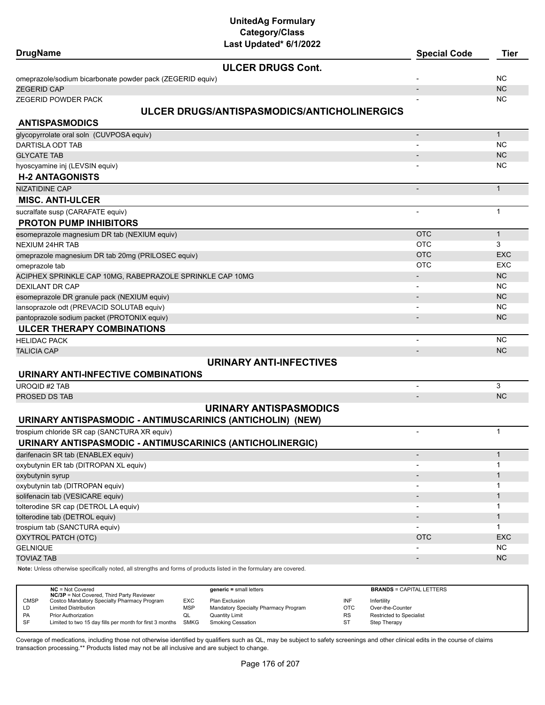| <b>DrugName</b>                                           | Lasi upualeu lo 172022                                                                                              | <b>Special Code</b>      | <b>Tier</b>  |
|-----------------------------------------------------------|---------------------------------------------------------------------------------------------------------------------|--------------------------|--------------|
|                                                           | <b>ULCER DRUGS Cont.</b>                                                                                            |                          |              |
| omeprazole/sodium bicarbonate powder pack (ZEGERID equiv) |                                                                                                                     |                          | <b>NC</b>    |
| <b>ZEGERID CAP</b>                                        |                                                                                                                     |                          | <b>NC</b>    |
| ZEGERID POWDER PACK                                       |                                                                                                                     |                          | <b>NC</b>    |
|                                                           | ULCER DRUGS/ANTISPASMODICS/ANTICHOLINERGICS                                                                         |                          |              |
| <b>ANTISPASMODICS</b>                                     |                                                                                                                     |                          |              |
| glycopyrrolate oral soln (CUVPOSA equiv)                  |                                                                                                                     | $\overline{\phantom{a}}$ | $\mathbf{1}$ |
| DARTISLA ODT TAB                                          |                                                                                                                     |                          | <b>NC</b>    |
| <b>GLYCATE TAB</b>                                        |                                                                                                                     |                          | NC           |
| hyoscyamine inj (LEVSIN equiv)                            |                                                                                                                     |                          | <b>NC</b>    |
| <b>H-2 ANTAGONISTS</b>                                    |                                                                                                                     |                          |              |
| NIZATIDINE CAP                                            |                                                                                                                     |                          | $\mathbf{1}$ |
| <b>MISC. ANTI-ULCER</b>                                   |                                                                                                                     |                          |              |
| sucralfate susp (CARAFATE equiv)                          |                                                                                                                     |                          | $\mathbf{1}$ |
| <b>PROTON PUMP INHIBITORS</b>                             |                                                                                                                     |                          |              |
| esomeprazole magnesium DR tab (NEXIUM equiv)              |                                                                                                                     | <b>OTC</b>               | $\mathbf{1}$ |
| <b>NEXIUM 24HR TAB</b>                                    |                                                                                                                     | <b>OTC</b>               | 3            |
| omeprazole magnesium DR tab 20mg (PRILOSEC equiv)         |                                                                                                                     | <b>OTC</b>               | <b>EXC</b>   |
| omeprazole tab                                            |                                                                                                                     | <b>OTC</b>               | <b>EXC</b>   |
| ACIPHEX SPRINKLE CAP 10MG, RABEPRAZOLE SPRINKLE CAP 10MG  |                                                                                                                     |                          | NC           |
| <b>DEXILANT DR CAP</b>                                    |                                                                                                                     |                          | <b>NC</b>    |
| esomeprazole DR granule pack (NEXIUM equiv)               |                                                                                                                     |                          | <b>NC</b>    |
| lansoprazole odt (PREVACID SOLUTAB equiv)                 |                                                                                                                     |                          | <b>NC</b>    |
| pantoprazole sodium packet (PROTONIX equiv)               |                                                                                                                     |                          | <b>NC</b>    |
| <b>ULCER THERAPY COMBINATIONS</b>                         |                                                                                                                     |                          |              |
| <b>HELIDAC PACK</b>                                       |                                                                                                                     | $\blacksquare$           | <b>NC</b>    |
| <b>TALICIA CAP</b>                                        |                                                                                                                     |                          | <b>NC</b>    |
|                                                           | <b>URINARY ANTI-INFECTIVES</b>                                                                                      |                          |              |
| URINARY ANTI-INFECTIVE COMBINATIONS                       |                                                                                                                     |                          |              |
| <b>UROQID #2 TAB</b>                                      |                                                                                                                     |                          | 3            |
| PROSED DS TAB                                             |                                                                                                                     | $\blacksquare$           | NC           |
|                                                           | <b>URINARY ANTISPASMODICS</b>                                                                                       |                          |              |
|                                                           | URINARY ANTISPASMODIC - ANTIMUSCARINICS (ANTICHOLIN) (NEW)                                                          |                          |              |
| trospium chloride SR cap (SANCTURA XR equiv)              |                                                                                                                     | $\overline{\phantom{a}}$ | $\mathbf{1}$ |
|                                                           | URINARY ANTISPASMODIC - ANTIMUSCARINICS (ANTICHOLINERGIC)                                                           |                          |              |
| darifenacin SR tab (ENABLEX equiv)                        |                                                                                                                     |                          | $\mathbf{1}$ |
| oxybutynin ER tab (DITROPAN XL equiv)                     |                                                                                                                     |                          | 1            |
| oxybutynin syrup                                          |                                                                                                                     |                          | $\mathbf{1}$ |
| oxybutynin tab (DITROPAN equiv)                           |                                                                                                                     |                          | 1            |
| solifenacin tab (VESICARE equiv)                          |                                                                                                                     |                          | $\mathbf{1}$ |
| tolterodine SR cap (DETROL LA equiv)                      |                                                                                                                     |                          | 1            |
| tolterodine tab (DETROL equiv)                            |                                                                                                                     |                          | $\mathbf{1}$ |
| trospium tab (SANCTURA equiv)                             |                                                                                                                     |                          | 1            |
| OXYTROL PATCH (OTC)                                       |                                                                                                                     | <b>OTC</b>               | <b>EXC</b>   |
| <b>GELNIQUE</b>                                           |                                                                                                                     |                          | <b>NC</b>    |
| <b>TOVIAZ TAB</b>                                         |                                                                                                                     |                          | <b>NC</b>    |
|                                                           | Note: Unless otherwise specifically noted, all strengths and forms of products listed in the formulary are covered. |                          |              |
|                                                           |                                                                                                                     |                          |              |

|             | $NC = Not Covered$<br><b>NC/3P</b> = Not Covered, Third Party Reviewer |            | $generic = small letters$            |            | <b>BRANDS = CAPITAL LETTERS</b> |
|-------------|------------------------------------------------------------------------|------------|--------------------------------------|------------|---------------------------------|
| <b>CMSP</b> | Costco Mandatory Specialty Pharmacy Program                            | <b>EXC</b> | Plan Exclusion                       | INF        | Infertility                     |
| LD          | <b>Limited Distribution</b>                                            | <b>MSP</b> | Mandatory Specialty Pharmacy Program | <b>OTC</b> | Over-the-Counter                |
| PA          | <b>Prior Authorization</b>                                             | ◡          | <b>Quantity Limit</b>                | <b>RS</b>  | Restricted to Specialist        |
| SF          | Limited to two 15 day fills per month for first 3 months SMKG          |            | Smoking Cessation                    | <b>ST</b>  | Step Therapy                    |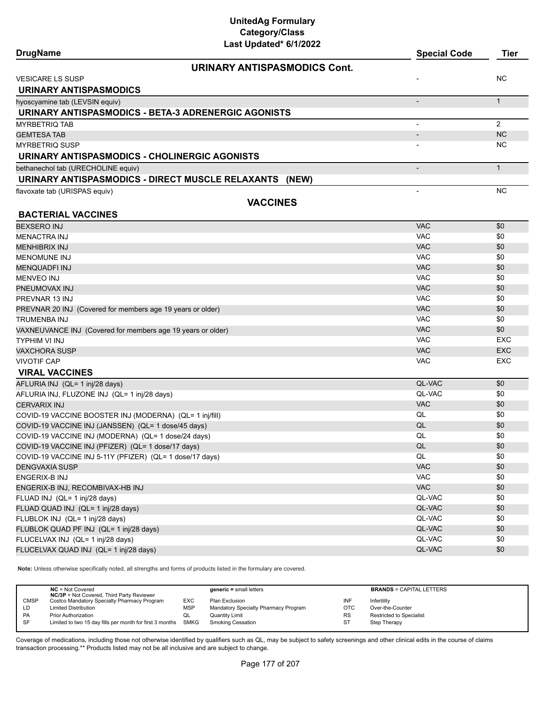| <b>DrugName</b>                                             | Last Updated 6/1/2022        | <b>Special Code</b>      | Tier           |
|-------------------------------------------------------------|------------------------------|--------------------------|----------------|
|                                                             | URINARY ANTISPASMODICS Cont. |                          |                |
| <b>VESICARE LS SUSP</b>                                     |                              |                          | <b>NC</b>      |
| <b>URINARY ANTISPASMODICS</b>                               |                              |                          |                |
| hyoscyamine tab (LEVSIN equiv)                              |                              |                          | $\mathbf{1}$   |
| URINARY ANTISPASMODICS - BETA-3 ADRENERGIC AGONISTS         |                              |                          |                |
| <b>MYRBETRIQ TAB</b>                                        |                              |                          | $\overline{2}$ |
| <b>GEMTESA TAB</b>                                          |                              |                          | <b>NC</b>      |
| <b>MYRBETRIQ SUSP</b>                                       |                              |                          | NC.            |
| URINARY ANTISPASMODICS - CHOLINERGIC AGONISTS               |                              |                          |                |
| bethanechol tab (URECHOLINE equiv)                          |                              | $\overline{\phantom{a}}$ | $\mathbf{1}$   |
| URINARY ANTISPASMODICS - DIRECT MUSCLE RELAXANTS (NEW)      |                              |                          |                |
| flavoxate tab (URISPAS equiv)                               |                              | $\blacksquare$           | <b>NC</b>      |
|                                                             | <b>VACCINES</b>              |                          |                |
| <b>BACTERIAL VACCINES</b>                                   |                              |                          |                |
| <b>BEXSERO INJ</b>                                          |                              | <b>VAC</b>               | \$0            |
| <b>MENACTRA INJ</b>                                         |                              | <b>VAC</b>               | \$0            |
| <b>MENHIBRIX INJ</b>                                        |                              | <b>VAC</b>               | \$0            |
| <b>MENOMUNE INJ</b>                                         |                              | <b>VAC</b>               | \$0            |
| <b>MENQUADFI INJ</b>                                        |                              | <b>VAC</b>               | \$0            |
| <b>MENVEO INJ</b>                                           |                              | <b>VAC</b>               | \$0            |
| PNEUMOVAX INJ                                               |                              | <b>VAC</b>               | \$0            |
| PREVNAR 13 INJ                                              |                              | <b>VAC</b>               | \$0            |
| PREVNAR 20 INJ (Covered for members age 19 years or older)  |                              | <b>VAC</b>               | \$0            |
| <b>TRUMENBA INJ</b>                                         |                              | <b>VAC</b>               | \$0            |
| VAXNEUVANCE INJ (Covered for members age 19 years or older) |                              | <b>VAC</b>               | \$0            |
| <b>TYPHIM VI INJ</b>                                        |                              | <b>VAC</b>               | <b>EXC</b>     |
| <b>VAXCHORA SUSP</b>                                        |                              | <b>VAC</b>               | <b>EXC</b>     |
| <b>VIVOTIF CAP</b>                                          |                              | <b>VAC</b>               | EXC            |
| <b>VIRAL VACCINES</b>                                       |                              |                          |                |
| AFLURIA INJ (QL= 1 inj/28 days)                             |                              | QL-VAC                   | \$0            |
| AFLURIA INJ, FLUZONE INJ (QL= 1 inj/28 days)                |                              | QL-VAC                   | \$0            |
| <b>CERVARIX INJ</b>                                         |                              | <b>VAC</b>               | \$0            |
| COVID-19 VACCINE BOOSTER INJ (MODERNA) (QL= 1 inj/fill)     |                              | QL                       | \$0            |
| COVID-19 VACCINE INJ (JANSSEN) (QL= 1 dose/45 days)         |                              | QL                       | \$0            |
| COVID-19 VACCINE INJ (MODERNA) (QL= 1 dose/24 days)         |                              | QL                       | \$0            |
| COVID-19 VACCINE INJ (PFIZER) (QL= 1 dose/17 days)          |                              | QL                       | \$0            |
| COVID-19 VACCINE INJ 5-11Y (PFIZER) (QL= 1 dose/17 days)    |                              | QL                       | \$0            |
| <b>DENGVAXIA SUSP</b>                                       |                              | <b>VAC</b>               | \$0            |
| ENGERIX-B INJ                                               |                              | <b>VAC</b>               | \$0            |
| ENGERIX-B INJ, RECOMBIVAX-HB INJ                            |                              | <b>VAC</b>               | \$0            |
| FLUAD INJ (QL= 1 inj/28 days)                               |                              | QL-VAC                   | \$0            |
| FLUAD QUAD INJ (QL= 1 inj/28 days)                          |                              | QL-VAC                   | \$0            |
| FLUBLOK INJ (QL= 1 inj/28 days)                             |                              | QL-VAC                   | \$0            |
| FLUBLOK QUAD PF INJ (QL= 1 inj/28 days)                     |                              | QL-VAC                   | \$0            |
| FLUCELVAX INJ (QL= 1 inj/28 days)                           |                              | QL-VAC                   | \$0            |
| FLUCELVAX QUAD INJ (QL= 1 inj/28 days)                      |                              | QL-VAC                   | \$0            |
|                                                             |                              |                          |                |

**Note:** Unless otherwise specifically noted, all strengths and forms of products listed in the formulary are covered.

|             | $NC = Not Covered$<br><b>NC/3P</b> = Not Covered, Third Party Reviewer |            | $generic = small letters$            |            | <b>BRANDS = CAPITAL LETTERS</b> |
|-------------|------------------------------------------------------------------------|------------|--------------------------------------|------------|---------------------------------|
| <b>CMSP</b> | Costco Mandatory Specialty Pharmacy Program                            | EXC        | Plan Exclusion                       | INF        | Infertility                     |
| LD.         | <b>Limited Distribution</b>                                            | <b>MSP</b> | Mandatory Specialty Pharmacy Program | <b>OTC</b> | Over-the-Counter                |
| PA          | <b>Prior Authorization</b>                                             | QL         | <b>Quantity Limit</b>                | RS         | Restricted to Specialist        |
| SF          | Limited to two 15 day fills per month for first 3 months SMKG          |            | <b>Smoking Cessation</b>             | ST         | Step Therapy                    |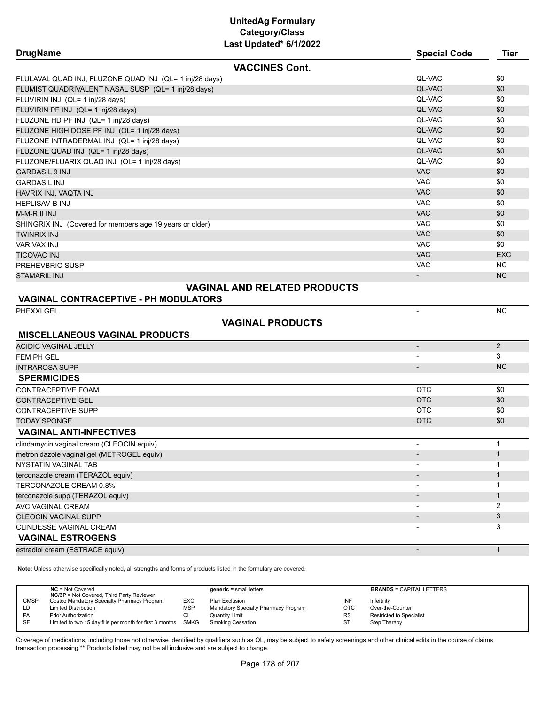| <b>DrugName</b>                                            | Last Upuattu VIIILULL   | <b>Special Code</b>          | <b>Tier</b>       |
|------------------------------------------------------------|-------------------------|------------------------------|-------------------|
|                                                            | <b>VACCINES Cont.</b>   |                              |                   |
| FLULAVAL QUAD INJ, FLUZONE QUAD INJ (QL= 1 inj/28 days)    |                         | QL-VAC                       | \$0               |
| FLUMIST QUADRIVALENT NASAL SUSP (QL= 1 inj/28 days)        |                         | QL-VAC                       | \$0               |
| FLUVIRIN INJ (QL= 1 inj/28 days)                           |                         | QL-VAC                       | \$0               |
| FLUVIRIN PF INJ (QL= 1 inj/28 days)                        |                         | QL-VAC                       | \$0               |
| FLUZONE HD PF INJ (QL= 1 inj/28 days)                      |                         | QL-VAC                       | \$0               |
| FLUZONE HIGH DOSE PF INJ (QL= 1 inj/28 days)               |                         | QL-VAC                       | \$0               |
| FLUZONE INTRADERMAL INJ (QL= 1 inj/28 days)                |                         | QL-VAC                       | \$0               |
| FLUZONE QUAD INJ (QL= 1 inj/28 days)                       |                         | QL-VAC                       | \$0               |
| FLUZONE/FLUARIX QUAD INJ (QL= 1 inj/28 days)               |                         | QL-VAC                       | \$0               |
| <b>GARDASIL 9 INJ</b>                                      |                         | <b>VAC</b>                   | \$0               |
| <b>GARDASIL INJ</b>                                        |                         | <b>VAC</b>                   | \$0               |
| HAVRIX INJ, VAQTA INJ                                      |                         | <b>VAC</b>                   | \$0               |
| <b>HEPLISAV-B INJ</b>                                      |                         | <b>VAC</b>                   | \$0               |
| M-M-R II INJ                                               |                         | <b>VAC</b>                   | \$0               |
| SHINGRIX INJ (Covered for members age 19 years or older)   |                         | <b>VAC</b>                   | \$0               |
| <b>TWINRIX INJ</b>                                         |                         | <b>VAC</b>                   | \$0               |
| <b>VARIVAX INJ</b>                                         |                         | <b>VAC</b>                   | \$0               |
| <b>TICOVAC INJ</b>                                         |                         | <b>VAC</b>                   | <b>EXC</b>        |
| PREHEVBRIO SUSP                                            |                         | <b>VAC</b>                   | <b>NC</b>         |
| <b>STAMARIL INJ</b>                                        |                         | $\overline{\phantom{a}}$     | <b>NC</b>         |
| <b>VAGINAL CONTRACEPTIVE - PH MODULATORS</b><br>PHEXXI GEL |                         | $\blacksquare$               | <b>NC</b>         |
|                                                            | <b>VAGINAL PRODUCTS</b> |                              |                   |
| <b>MISCELLANEOUS VAGINAL PRODUCTS</b>                      |                         |                              |                   |
| <b>ACIDIC VAGINAL JELLY</b>                                |                         | $\overline{\phantom{a}}$     | $\overline{2}$    |
| FEM PH GEL                                                 |                         | $\overline{\phantom{a}}$     | 3                 |
| <b>INTRAROSA SUPP</b>                                      |                         | $\overline{\phantom{a}}$     | <b>NC</b>         |
| <b>SPERMICIDES</b>                                         |                         |                              |                   |
| <b>CONTRACEPTIVE FOAM</b>                                  |                         | <b>OTC</b>                   | \$0               |
| <b>CONTRACEPTIVE GEL</b>                                   |                         | <b>OTC</b>                   | \$0               |
| <b>CONTRACEPTIVE SUPP</b>                                  |                         | <b>OTC</b>                   | \$0               |
| <b>TODAY SPONGE</b>                                        |                         | <b>OTC</b>                   | \$0               |
| <b>VAGINAL ANTI-INFECTIVES</b>                             |                         |                              | $\mathbf{1}$      |
| clindamycin vaginal cream (CLEOCIN equiv)                  |                         |                              |                   |
| metronidazole vaginal gel (METROGEL equiv)                 |                         |                              | $\mathbf{1}$      |
| NYSTATIN VAGINAL TAB                                       |                         |                              | 1                 |
| terconazole cream (TERAZOL equiv)                          |                         | $\overline{\phantom{a}}$     | $\mathbf{1}$      |
| TERCONAZOLE CREAM 0.8%                                     |                         | $\qquad \qquad \blacksquare$ | 1                 |
| terconazole supp (TERAZOL equiv)                           |                         |                              | $\mathbf{1}$<br>2 |
| AVC VAGINAL CREAM                                          |                         |                              | 3                 |
| <b>CLEOCIN VAGINAL SUPP</b>                                |                         |                              | 3                 |
| CLINDESSE VAGINAL CREAM<br><b>VAGINAL ESTROGENS</b>        |                         |                              |                   |
|                                                            |                         |                              | $\mathbf{1}$      |
| estradiol cream (ESTRACE equiv)                            |                         | $\overline{\phantom{a}}$     |                   |

**Note:** Unless otherwise specifically noted, all strengths and forms of products listed in the formulary are covered.

|             | $NC = Not Covered$<br><b>NC/3P</b> = Not Covered, Third Party Reviewer |            | $generic = small letters$            |           | <b>BRANDS = CAPITAL LETTERS</b> |
|-------------|------------------------------------------------------------------------|------------|--------------------------------------|-----------|---------------------------------|
| <b>CMSP</b> | Costco Mandatory Specialty Pharmacy Program                            | EXC        | Plan Exclusion                       | INF       | Infertility                     |
| LD          | <b>Limited Distribution</b>                                            | <b>MSP</b> | Mandatory Specialty Pharmacy Program | OTC       | Over-the-Counter                |
| PA          | <b>Prior Authorization</b>                                             | QL         | Quantity Limit                       | <b>RS</b> | <b>Restricted to Specialist</b> |
| SF          | Limited to two 15 day fills per month for first 3 months SMKG          |            | <b>Smoking Cessation</b>             | ST        | Step Therapy                    |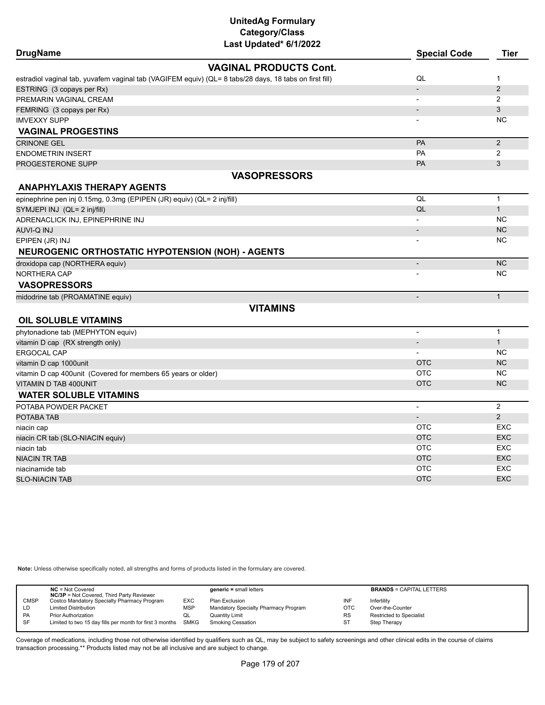| <b>DrugName</b>                                                        | Last updated or fizuzz                                                                                 | <b>Special Code</b>      | <b>Tier</b>    |
|------------------------------------------------------------------------|--------------------------------------------------------------------------------------------------------|--------------------------|----------------|
|                                                                        | <b>VAGINAL PRODUCTS Cont.</b>                                                                          |                          |                |
|                                                                        | estradiol vaginal tab, yuvafem vaginal tab (VAGIFEM equiv) (QL= 8 tabs/28 days, 18 tabs on first fill) | QL                       | 1              |
| ESTRING (3 copays per Rx)                                              |                                                                                                        |                          | 2              |
| PREMARIN VAGINAL CREAM                                                 |                                                                                                        |                          | 2              |
| FEMRING (3 copays per Rx)                                              |                                                                                                        |                          | 3              |
| <b>IMVEXXY SUPP</b>                                                    |                                                                                                        |                          | <b>NC</b>      |
| <b>VAGINAL PROGESTINS</b>                                              |                                                                                                        |                          |                |
| <b>CRINONE GEL</b>                                                     |                                                                                                        | PA                       | $\overline{2}$ |
| <b>ENDOMETRIN INSERT</b>                                               |                                                                                                        | PA                       | $\overline{2}$ |
| PROGESTERONE SUPP                                                      |                                                                                                        | PA                       | 3              |
|                                                                        | <b>VASOPRESSORS</b>                                                                                    |                          |                |
| <b>ANAPHYLAXIS THERAPY AGENTS</b>                                      |                                                                                                        |                          |                |
| epinephrine pen inj 0.15mg, 0.3mg (EPIPEN (JR) equiv) (QL= 2 inj/fill) |                                                                                                        | QL                       | $\mathbf{1}$   |
| SYMJEPI INJ (QL= 2 inj/fill)                                           |                                                                                                        | QL                       | $\mathbf{1}$   |
| ADRENACLICK INJ, EPINEPHRINE INJ                                       |                                                                                                        |                          | <b>NC</b>      |
| AUVI-Q INJ                                                             |                                                                                                        | $\overline{\phantom{a}}$ | <b>NC</b>      |
| EPIPEN (JR) INJ                                                        |                                                                                                        |                          | <b>NC</b>      |
| <b>NEUROGENIC ORTHOSTATIC HYPOTENSION (NOH) - AGENTS</b>               |                                                                                                        |                          |                |
| droxidopa cap (NORTHERA equiv)                                         |                                                                                                        | $\overline{\phantom{a}}$ | <b>NC</b>      |
| <b>NORTHERA CAP</b>                                                    |                                                                                                        |                          | <b>NC</b>      |
| <b>VASOPRESSORS</b>                                                    |                                                                                                        |                          |                |
| midodrine tab (PROAMATINE equiv)                                       |                                                                                                        | $\frac{1}{2}$            | $\mathbf{1}$   |
|                                                                        | <b>VITAMINS</b>                                                                                        |                          |                |
| <b>OIL SOLUBLE VITAMINS</b>                                            |                                                                                                        |                          |                |
| phytonadione tab (MEPHYTON equiv)                                      |                                                                                                        | $\overline{\phantom{a}}$ | $\mathbf{1}$   |
| vitamin D cap (RX strength only)                                       |                                                                                                        | $\overline{\phantom{a}}$ | $\mathbf{1}$   |
| ERGOCAL CAP                                                            |                                                                                                        |                          | <b>NC</b>      |
| vitamin D cap 1000unit                                                 |                                                                                                        | <b>OTC</b>               | <b>NC</b>      |
| vitamin D cap 400unit (Covered for members 65 years or older)          |                                                                                                        | <b>OTC</b>               | <b>NC</b>      |
| VITAMIN D TAB 400UNIT                                                  |                                                                                                        | <b>OTC</b>               | <b>NC</b>      |
| <b>WATER SOLUBLE VITAMINS</b>                                          |                                                                                                        |                          |                |
| POTABA POWDER PACKET                                                   |                                                                                                        | $\overline{\phantom{a}}$ | $\overline{2}$ |
| POTABA TAB                                                             |                                                                                                        | $\blacksquare$           | $\overline{2}$ |
| niacin cap                                                             |                                                                                                        | <b>OTC</b>               | <b>EXC</b>     |
| niacin CR tab (SLO-NIACIN equiv)                                       |                                                                                                        | <b>OTC</b>               | <b>EXC</b>     |
| niacin tab                                                             |                                                                                                        | <b>OTC</b>               | <b>EXC</b>     |
| <b>NIACIN TR TAB</b>                                                   |                                                                                                        | <b>OTC</b>               | <b>EXC</b>     |
| niacinamide tab                                                        |                                                                                                        | <b>OTC</b>               | <b>EXC</b>     |
| <b>SLO-NIACIN TAB</b>                                                  |                                                                                                        | <b>OTC</b>               | <b>EXC</b>     |

**Note:** Unless otherwise specifically noted, all strengths and forms of products listed in the formulary are covered.

|             | $NC = Not Covered$<br><b>NC/3P</b> = Not Covered, Third Party Reviewer |            | $generic = small letters$            |            | <b>BRANDS = CAPITAL LETTERS</b> |
|-------------|------------------------------------------------------------------------|------------|--------------------------------------|------------|---------------------------------|
| <b>CMSP</b> | Costco Mandatory Specialty Pharmacy Program                            | EXC        | Plan Exclusion                       | INF        | Infertility                     |
| LD          | <b>Limited Distribution</b>                                            | <b>MSP</b> | Mandatory Specialty Pharmacy Program | <b>OTC</b> | Over-the-Counter                |
| PA          | <b>Prior Authorization</b>                                             | QL         | <b>Quantity Limit</b>                | RS         | Restricted to Specialist        |
| <b>SF</b>   | Limited to two 15 day fills per month for first 3 months SMKG          |            | <b>Smoking Cessation</b>             | <b>ST</b>  | Step Therapy                    |
|             |                                                                        |            |                                      |            |                                 |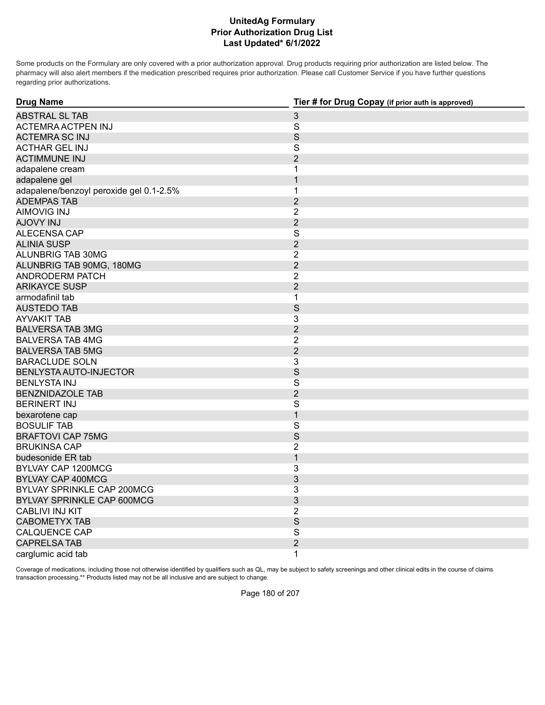## **Prior Authorization Drug List Last Updated\* 6/1/2022 UnitedAg Formulary**

Some products on the Formulary are only covered with a prior authorization approval. Drug products requiring prior authorization are listed below. The pharmacy will also alert members if the medication prescribed requires prior authorization. Please call Customer Service if you have further questions regarding prior authorizations.

| <b>Drug Name</b>                        | Tier # for Drug Copay (if prior auth is approved) |  |  |
|-----------------------------------------|---------------------------------------------------|--|--|
| <b>ABSTRAL SL TAB</b>                   | $\mathfrak{S}$                                    |  |  |
| ACTEMRA ACTPEN INJ                      | $\overline{\mathbf{S}}$                           |  |  |
| <b>ACTEMRA SC INJ</b>                   | $\mathsf S$                                       |  |  |
| <b>ACTHAR GEL INJ</b>                   | S                                                 |  |  |
| <b>ACTIMMUNE INJ</b>                    | $\overline{2}$                                    |  |  |
| adapalene cream                         | 1                                                 |  |  |
| adapalene gel                           | 1                                                 |  |  |
| adapalene/benzoyl peroxide gel 0.1-2.5% | 1                                                 |  |  |
| <b>ADEMPAS TAB</b>                      | $\overline{2}$                                    |  |  |
| <b>AIMOVIG INJ</b>                      | $\overline{2}$                                    |  |  |
| <b>LINI YVOLA</b>                       | $\overline{2}$                                    |  |  |
| ALECENSA CAP                            | $\overline{\mathbf{S}}$                           |  |  |
| <b>ALINIA SUSP</b>                      | $\overline{2}$                                    |  |  |
| ALUNBRIG TAB 30MG                       | $\overline{2}$                                    |  |  |
| ALUNBRIG TAB 90MG, 180MG                | $\overline{2}$                                    |  |  |
| ANDRODERM PATCH                         | $\overline{2}$                                    |  |  |
| <b>ARIKAYCE SUSP</b>                    | $\overline{2}$                                    |  |  |
| armodafinil tab                         | $\mathbf{1}$                                      |  |  |
| AUSTEDO TAB                             | S                                                 |  |  |
| <b>AYVAKIT TAB</b>                      | 3                                                 |  |  |
| <b>BALVERSA TAB 3MG</b>                 | $\overline{2}$                                    |  |  |
| <b>BALVERSA TAB 4MG</b>                 | $\overline{2}$                                    |  |  |
| <b>BALVERSA TAB 5MG</b>                 | $\overline{2}$                                    |  |  |
| <b>BARACLUDE SOLN</b>                   | 3                                                 |  |  |
| BENLYSTA AUTO-INJECTOR                  | S                                                 |  |  |
| <b>BENLYSTA INJ</b>                     | $\mathsf{S}$                                      |  |  |
| <b>BENZNIDAZOLE TAB</b>                 | $\overline{2}$                                    |  |  |
| <b>BERINERT INJ</b>                     | $\mathsf S$                                       |  |  |
| bexarotene cap                          | $\mathbf{1}$                                      |  |  |
| <b>BOSULIF TAB</b>                      | S                                                 |  |  |
| <b>BRAFTOVI CAP 75MG</b>                | S                                                 |  |  |
| <b>BRUKINSA CAP</b>                     | $\overline{2}$                                    |  |  |
| budesonide ER tab                       | $\mathbf{1}$                                      |  |  |
| BYLVAY CAP 1200MCG                      | 3                                                 |  |  |
| <b>BYLVAY CAP 400MCG</b>                | 3                                                 |  |  |
| <b>BYLVAY SPRINKLE CAP 200MCG</b>       | 3                                                 |  |  |
| BYLVAY SPRINKLE CAP 600MCG              | 3                                                 |  |  |
| <b>CABLIVI INJ KIT</b>                  | $\overline{2}$                                    |  |  |
| <b>CABOMETYX TAB</b>                    | S                                                 |  |  |
| <b>CALQUENCE CAP</b>                    | S                                                 |  |  |
| <b>CAPRELSA TAB</b>                     | $\overline{2}$                                    |  |  |
| carglumic acid tab                      | 1                                                 |  |  |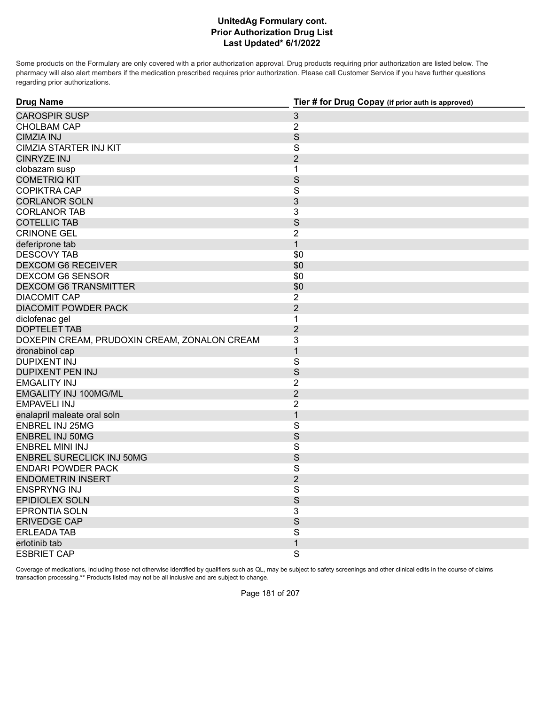Some products on the Formulary are only covered with a prior authorization approval. Drug products requiring prior authorization are listed below. The pharmacy will also alert members if the medication prescribed requires prior authorization. Please call Customer Service if you have further questions regarding prior authorizations.

| <b>Drug Name</b>                             | Tier # for Drug Copay (if prior auth is approved) |
|----------------------------------------------|---------------------------------------------------|
| <b>CAROSPIR SUSP</b>                         | $\mathfrak{S}$                                    |
| <b>CHOLBAM CAP</b>                           | $\overline{2}$                                    |
| <b>CIMZIA INJ</b>                            | S                                                 |
| CIMZIA STARTER INJ KIT                       | S                                                 |
| <b>CINRYZE INJ</b>                           | $\overline{2}$                                    |
| clobazam susp                                | $\mathbf 1$                                       |
| <b>COMETRIQ KIT</b>                          | S                                                 |
| <b>COPIKTRA CAP</b>                          | $\mathsf S$                                       |
| <b>CORLANOR SOLN</b>                         | 3                                                 |
| <b>CORLANOR TAB</b>                          | 3                                                 |
| <b>COTELLIC TAB</b>                          | S                                                 |
| <b>CRINONE GEL</b>                           | $\overline{2}$                                    |
| deferiprone tab                              | $\mathbf{1}$                                      |
| <b>DESCOVY TAB</b>                           | \$0                                               |
| <b>DEXCOM G6 RECEIVER</b>                    | \$0                                               |
| <b>DEXCOM G6 SENSOR</b>                      | \$0                                               |
| <b>DEXCOM G6 TRANSMITTER</b>                 | \$0                                               |
| <b>DIACOMIT CAP</b>                          | 2                                                 |
| <b>DIACOMIT POWDER PACK</b>                  | $\overline{2}$                                    |
| diclofenac gel                               | $\mathbf{1}$                                      |
| <b>DOPTELET TAB</b>                          | $\overline{2}$                                    |
| DOXEPIN CREAM, PRUDOXIN CREAM, ZONALON CREAM | 3                                                 |
| dronabinol cap                               | $\mathbf{1}$                                      |
| <b>DUPIXENT INJ</b>                          | $\mathsf S$                                       |
| <b>DUPIXENT PEN INJ</b>                      | S                                                 |
| <b>EMGALITY INJ</b>                          | $\overline{2}$                                    |
| <b>EMGALITY INJ 100MG/ML</b>                 | $\overline{2}$                                    |
| <b>EMPAVELI INJ</b>                          | $\overline{2}$                                    |
| enalapril maleate oral soln                  | $\mathbf{1}$                                      |
| <b>ENBREL INJ 25MG</b>                       | $\mathsf S$                                       |
| <b>ENBREL INJ 50MG</b>                       | S                                                 |
| <b>ENBREL MINI INJ</b>                       | S                                                 |
| <b>ENBREL SURECLICK INJ 50MG</b>             | S                                                 |
| <b>ENDARI POWDER PACK</b>                    | S                                                 |
| <b>ENDOMETRIN INSERT</b>                     | $\overline{2}$                                    |
| <b>ENSPRYNG INJ</b>                          | $\overline{\mathbf{S}}$                           |
| <b>EPIDIOLEX SOLN</b>                        | S                                                 |
| <b>EPRONTIA SOLN</b>                         | 3                                                 |
| <b>ERIVEDGE CAP</b>                          | $\mathsf{S}$                                      |
| <b>ERLEADA TAB</b>                           | S                                                 |
| erlotinib tab                                | $\mathbf{1}$                                      |
| <b>ESBRIET CAP</b>                           | $\overline{\mathbf{s}}$                           |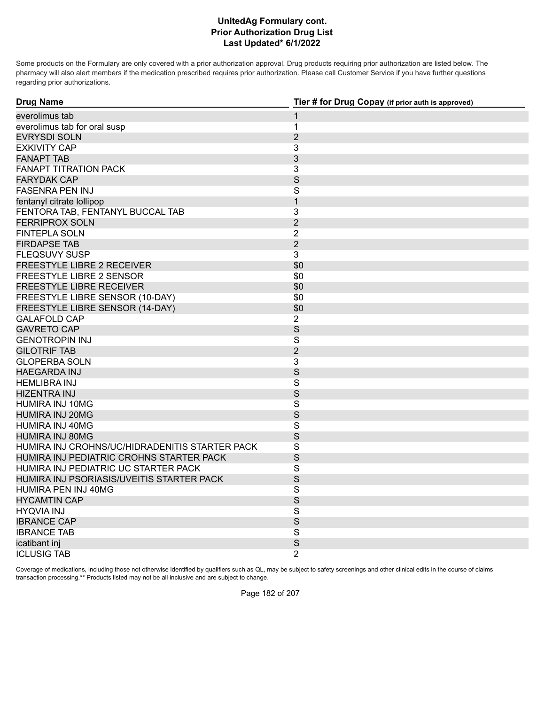Some products on the Formulary are only covered with a prior authorization approval. Drug products requiring prior authorization are listed below. The pharmacy will also alert members if the medication prescribed requires prior authorization. Please call Customer Service if you have further questions regarding prior authorizations.

| <b>Drug Name</b>                               | Tier # for Drug Copay (if prior auth is approved) |
|------------------------------------------------|---------------------------------------------------|
| everolimus tab                                 | 1                                                 |
| everolimus tab for oral susp                   | $\mathbf 1$                                       |
| <b>EVRYSDI SOLN</b>                            | $\overline{2}$                                    |
| <b>EXKIVITY CAP</b>                            | 3                                                 |
| <b>FANAPT TAB</b>                              | 3                                                 |
| <b>FANAPT TITRATION PACK</b>                   | 3                                                 |
| <b>FARYDAK CAP</b>                             | S                                                 |
| <b>FASENRA PEN INJ</b>                         | S                                                 |
| fentanyl citrate lollipop                      | $\mathbf{1}$                                      |
| FENTORA TAB, FENTANYL BUCCAL TAB               | 3                                                 |
| <b>FERRIPROX SOLN</b>                          | $\overline{2}$                                    |
| <b>FINTEPLA SOLN</b>                           | $\overline{2}$                                    |
| <b>FIRDAPSE TAB</b>                            | $\overline{2}$                                    |
| <b>FLEQSUVY SUSP</b>                           | 3                                                 |
| FREESTYLE LIBRE 2 RECEIVER                     | \$0                                               |
| FREESTYLE LIBRE 2 SENSOR                       | \$0                                               |
| <b>FREESTYLE LIBRE RECEIVER</b>                | \$0                                               |
| FREESTYLE LIBRE SENSOR (10-DAY)                | \$0                                               |
| FREESTYLE LIBRE SENSOR (14-DAY)                | \$0                                               |
| <b>GALAFOLD CAP</b>                            | $\overline{2}$                                    |
| <b>GAVRETO CAP</b>                             | $\mathsf{S}$                                      |
| <b>GENOTROPIN INJ</b>                          | S                                                 |
| <b>GILOTRIF TAB</b>                            | $\overline{2}$                                    |
| <b>GLOPERBA SOLN</b>                           | 3                                                 |
| <b>HAEGARDA INJ</b>                            | S                                                 |
| <b>HEMLIBRA INJ</b>                            | $\mathsf{S}$                                      |
| <b>HIZENTRA INJ</b>                            | S                                                 |
| HUMIRA INJ 10MG                                | $\mathsf{S}$                                      |
| <b>HUMIRA INJ 20MG</b>                         | S                                                 |
| HUMIRA INJ 40MG                                | $\mathsf S$                                       |
| <b>HUMIRA INJ 80MG</b>                         | S                                                 |
| HUMIRA INJ CROHNS/UC/HIDRADENITIS STARTER PACK | $\mathsf S$                                       |
| HUMIRA INJ PEDIATRIC CROHNS STARTER PACK       | S                                                 |
| HUMIRA INJ PEDIATRIC UC STARTER PACK           | S                                                 |
| HUMIRA INJ PSORIASIS/UVEITIS STARTER PACK      | S                                                 |
| HUMIRA PEN INJ 40MG                            | S                                                 |
| <b>HYCAMTIN CAP</b>                            | S                                                 |
| <b>HYQVIA INJ</b>                              | S                                                 |
| <b>IBRANCE CAP</b>                             | $\mathsf S$                                       |
| <b>IBRANCE TAB</b>                             | S                                                 |
| icatibant inj                                  | S                                                 |
| <b>ICLUSIG TAB</b>                             | $\overline{2}$                                    |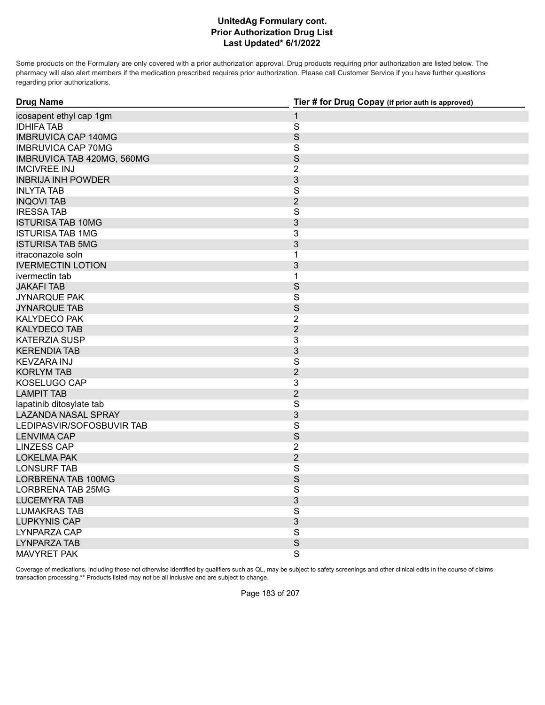Some products on the Formulary are only covered with a prior authorization approval. Drug products requiring prior authorization are listed below. The pharmacy will also alert members if the medication prescribed requires prior authorization. Please call Customer Service if you have further questions regarding prior authorizations.

| <b>Drug Name</b>           | Tier # for Drug Copay (if prior auth is approved) |
|----------------------------|---------------------------------------------------|
| icosapent ethyl cap 1gm    | $\mathbf{1}$                                      |
| <b>IDHIFA TAB</b>          | $\overline{\mathbf{S}}$                           |
| <b>IMBRUVICA CAP 140MG</b> | $\mathsf S$                                       |
| <b>IMBRUVICA CAP 70MG</b>  | $\mathsf S$                                       |
| IMBRUVICA TAB 420MG, 560MG | S                                                 |
| <b>IMCIVREE INJ</b>        | $\overline{2}$                                    |
| <b>INBRIJA INH POWDER</b>  | 3                                                 |
| <b>INLYTA TAB</b>          | $\overline{\mathsf{S}}$                           |
| <b>INQOVI TAB</b>          | $\overline{2}$                                    |
| <b>IRESSATAB</b>           | S                                                 |
| <b>ISTURISA TAB 10MG</b>   | 3                                                 |
| <b>ISTURISA TAB 1MG</b>    | 3                                                 |
| <b>ISTURISA TAB 5MG</b>    | 3                                                 |
| itraconazole soln          | 1                                                 |
| <b>IVERMECTIN LOTION</b>   | 3                                                 |
| ivermectin tab             | $\mathbf{1}$                                      |
| <b>JAKAFI TAB</b>          | $\mathsf S$                                       |
| <b>JYNARQUE PAK</b>        | $\overline{\mathbf{S}}$                           |
| <b>JYNARQUE TAB</b>        | S                                                 |
| <b>KALYDECO PAK</b>        | $\overline{2}$                                    |
| <b>KALYDECO TAB</b>        | $\overline{2}$                                    |
| <b>KATERZIA SUSP</b>       | 3                                                 |
| <b>KERENDIA TAB</b>        | 3                                                 |
| <b>KEVZARA INJ</b>         | $\overline{\mathbf{S}}$                           |
| <b>KORLYM TAB</b>          | $\overline{2}$                                    |
| KOSELUGO CAP               | 3                                                 |
| <b>LAMPIT TAB</b>          | $\overline{2}$                                    |
| lapatinib ditosylate tab   | $\mathsf S$                                       |
| <b>LAZANDA NASAL SPRAY</b> | $\mathfrak{Z}$                                    |
| LEDIPASVIR/SOFOSBUVIR TAB  | $\overline{\mathbf{S}}$                           |
| <b>LENVIMA CAP</b>         | S                                                 |
| <b>LINZESS CAP</b>         | $\overline{2}$                                    |
| <b>LOKELMA PAK</b>         | $\overline{2}$                                    |
| <b>LONSURF TAB</b>         | $\mathsf S$                                       |
| LORBRENA TAB 100MG         | S                                                 |
| <b>LORBRENA TAB 25MG</b>   | S                                                 |
| <b>LUCEMYRA TAB</b>        | 3                                                 |
| <b>LUMAKRAS TAB</b>        | $\overline{\mathbf{S}}$                           |
| <b>LUPKYNIS CAP</b>        | 3                                                 |
| <b>LYNPARZA CAP</b>        | S                                                 |
| <b>LYNPARZATAB</b>         | $\mathsf S$                                       |
| MAVYRET PAK                | $\overline{\mathbf{S}}$                           |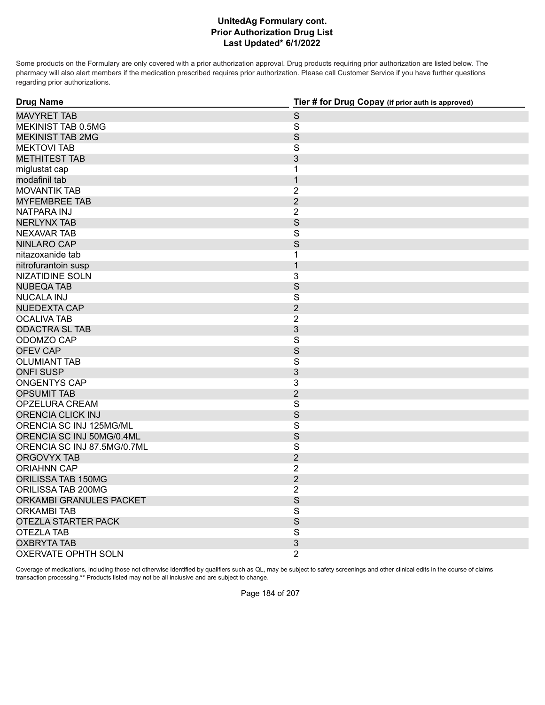Some products on the Formulary are only covered with a prior authorization approval. Drug products requiring prior authorization are listed below. The pharmacy will also alert members if the medication prescribed requires prior authorization. Please call Customer Service if you have further questions regarding prior authorizations.

| <b>Drug Name</b>            | Tier # for Drug Copay (if prior auth is approved) |
|-----------------------------|---------------------------------------------------|
| <b>MAVYRET TAB</b>          | $\mathsf S$                                       |
| MEKINIST TAB 0.5MG          | $\mathbf S$                                       |
| <b>MEKINIST TAB 2MG</b>     | S                                                 |
| <b>MEKTOVI TAB</b>          | $\overline{\mathsf{S}}$                           |
| <b>METHITEST TAB</b>        | 3                                                 |
| miglustat cap               | $\mathbf 1$                                       |
| modafinil tab               | $\mathbf{1}$                                      |
| <b>MOVANTIK TAB</b>         | $\overline{2}$                                    |
| <b>MYFEMBREE TAB</b>        | $\overline{2}$                                    |
| <b>NATPARA INJ</b>          | $\overline{2}$                                    |
| <b>NERLYNX TAB</b>          | S                                                 |
| <b>NEXAVAR TAB</b>          | $\mathbf S$                                       |
| <b>NINLARO CAP</b>          | S                                                 |
| nitazoxanide tab            | $\mathbf{1}$                                      |
| nitrofurantoin susp         | $\mathbf{1}$                                      |
| NIZATIDINE SOLN             | $\overline{3}$                                    |
| <b>NUBEQA TAB</b>           | S                                                 |
| <b>NUCALA INJ</b>           | $\mathsf{S}$                                      |
| <b>NUEDEXTA CAP</b>         | $\overline{2}$                                    |
| <b>OCALIVA TAB</b>          | $\overline{2}$                                    |
| <b>ODACTRA SL TAB</b>       | $\mathfrak{Z}$                                    |
| ODOMZO CAP                  | $\mathbf S$                                       |
| <b>OFEV CAP</b>             | S                                                 |
| <b>OLUMIANT TAB</b>         | $\mathbf S$                                       |
| <b>ONFI SUSP</b>            | $\mathfrak{S}$                                    |
| <b>ONGENTYS CAP</b>         | 3                                                 |
| <b>OPSUMIT TAB</b>          | $\overline{2}$                                    |
| OPZELURA CREAM              | $\mathbf S$                                       |
| <b>ORENCIA CLICK INJ</b>    | S                                                 |
| ORENCIA SC INJ 125MG/ML     | $\mathbf S$                                       |
| ORENCIA SC INJ 50MG/0.4ML   | S                                                 |
| ORENCIA SC INJ 87.5MG/0.7ML | $\overline{\mathsf{S}}$                           |
| <b>ORGOVYX TAB</b>          | $\overline{2}$                                    |
| <b>ORIAHNN CAP</b>          | $\overline{2}$                                    |
| ORILISSA TAB 150MG          | $\overline{2}$                                    |
| ORILISSA TAB 200MG          | $\overline{2}$                                    |
| ORKAMBI GRANULES PACKET     | S                                                 |
| <b>ORKAMBI TAB</b>          | $\mathbf S$                                       |
| OTEZLA STARTER PACK         | $\mathsf S$                                       |
| <b>OTEZLA TAB</b>           | $\overline{\mathsf{S}}$                           |
| <b>OXBRYTA TAB</b>          | 3                                                 |
| <b>OXERVATE OPHTH SOLN</b>  | $\overline{2}$                                    |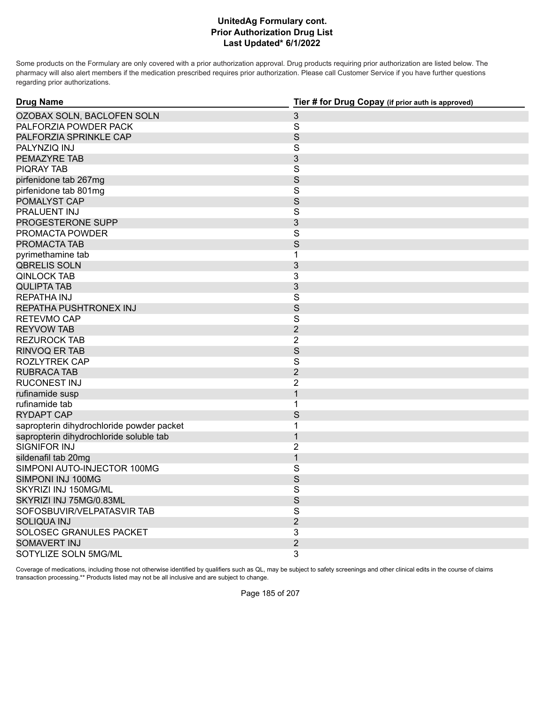Some products on the Formulary are only covered with a prior authorization approval. Drug products requiring prior authorization are listed below. The pharmacy will also alert members if the medication prescribed requires prior authorization. Please call Customer Service if you have further questions regarding prior authorizations.

| <b>Drug Name</b>                          | Tier # for Drug Copay (if prior auth is approved) |
|-------------------------------------------|---------------------------------------------------|
| OZOBAX SOLN, BACLOFEN SOLN                | $\sqrt{3}$                                        |
| PALFORZIA POWDER PACK                     | $\mathsf S$                                       |
| PALFORZIA SPRINKLE CAP                    | S                                                 |
| PALYNZIQ INJ                              | S                                                 |
| PEMAZYRE TAB                              | 3                                                 |
| <b>PIQRAY TAB</b>                         | S                                                 |
| pirfenidone tab 267mg                     | S                                                 |
| pirfenidone tab 801mg                     | S                                                 |
| POMALYST CAP                              | $\mathsf S$                                       |
| PRALUENT INJ                              | S                                                 |
| PROGESTERONE SUPP                         | 3                                                 |
| PROMACTA POWDER                           | $\mathsf S$                                       |
| PROMACTA TAB                              | S                                                 |
| pyrimethamine tab                         | 1                                                 |
| <b>QBRELIS SOLN</b>                       | 3                                                 |
| <b>QINLOCK TAB</b>                        | 3                                                 |
| <b>QULIPTA TAB</b>                        | 3                                                 |
| <b>REPATHA INJ</b>                        | S                                                 |
| REPATHA PUSHTRONEX INJ                    | S                                                 |
| RETEVMO CAP                               | $\mathsf{S}$                                      |
| <b>REYVOW TAB</b>                         | $\overline{2}$                                    |
| <b>REZUROCK TAB</b>                       | $\overline{2}$                                    |
| <b>RINVOQ ER TAB</b>                      | S                                                 |
| <b>ROZLYTREK CAP</b>                      | $\mathsf{S}$                                      |
| <b>RUBRACA TAB</b>                        | $\overline{2}$                                    |
| <b>RUCONEST INJ</b>                       | $\overline{2}$                                    |
| rufinamide susp                           | $\mathbf{1}$                                      |
| rufinamide tab                            | 1                                                 |
| <b>RYDAPT CAP</b>                         | S                                                 |
| sapropterin dihydrochloride powder packet | 1                                                 |
| sapropterin dihydrochloride soluble tab   | $\mathbf{1}$                                      |
| <b>SIGNIFOR INJ</b>                       | $\overline{2}$                                    |
| sildenafil tab 20mg                       | 1                                                 |
| SIMPONI AUTO-INJECTOR 100MG               | S                                                 |
| SIMPONI INJ 100MG                         | S                                                 |
| SKYRIZI INJ 150MG/ML                      | S                                                 |
| SKYRIZI INJ 75MG/0.83ML                   | S                                                 |
| SOFOSBUVIR/VELPATASVIR TAB                | $\mathsf S$                                       |
| <b>SOLIQUA INJ</b>                        | $\overline{2}$                                    |
| SOLOSEC GRANULES PACKET                   | 3                                                 |
| <b>SOMAVERT INJ</b>                       | $\overline{2}$                                    |
| SOTYLIZE SOLN 5MG/ML                      | 3                                                 |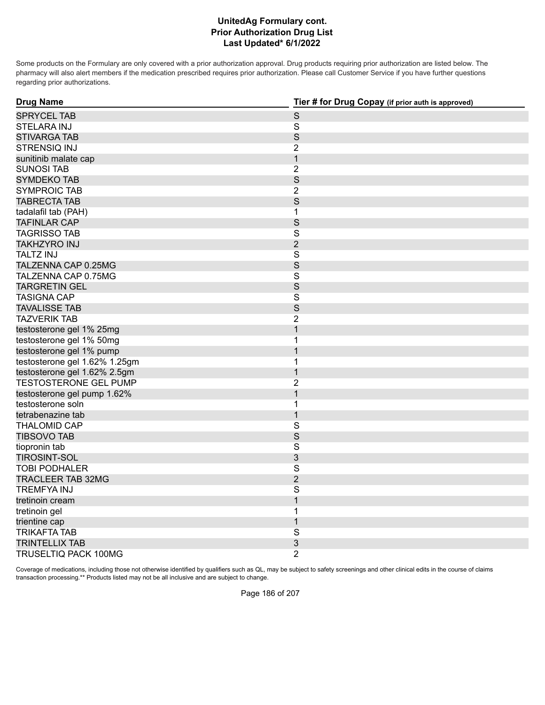Some products on the Formulary are only covered with a prior authorization approval. Drug products requiring prior authorization are listed below. The pharmacy will also alert members if the medication prescribed requires prior authorization. Please call Customer Service if you have further questions regarding prior authorizations.

| <b>Drug Name</b>              | Tier # for Drug Copay (if prior auth is approved) |
|-------------------------------|---------------------------------------------------|
| <b>SPRYCEL TAB</b>            | $\mathsf S$                                       |
| <b>STELARA INJ</b>            | $\mathsf{S}$                                      |
| <b>STIVARGA TAB</b>           | S                                                 |
| <b>STRENSIQ INJ</b>           | $\overline{2}$                                    |
| sunitinib malate cap          | $\mathbf{1}$                                      |
| <b>SUNOSI TAB</b>             | $\overline{2}$                                    |
| <b>SYMDEKO TAB</b>            | S                                                 |
| <b>SYMPROIC TAB</b>           | $\overline{2}$                                    |
| <b>TABRECTA TAB</b>           | S                                                 |
| tadalafil tab (PAH)           | 1                                                 |
| <b>TAFINLAR CAP</b>           | S                                                 |
| <b>TAGRISSO TAB</b>           | $\overline{\mathbf{S}}$                           |
| <b>TAKHZYRO INJ</b>           | $\overline{2}$                                    |
| <b>TALTZ INJ</b>              | $\overline{\mathbf{S}}$                           |
| TALZENNA CAP 0.25MG           | S                                                 |
| TALZENNA CAP 0.75MG           | $\overline{\mathbf{S}}$                           |
| <b>TARGRETIN GEL</b>          | S                                                 |
| <b>TASIGNA CAP</b>            | $\overline{\mathbf{S}}$                           |
| <b>TAVALISSE TAB</b>          | S                                                 |
| <b>TAZVERIK TAB</b>           | $\overline{2}$                                    |
| testosterone gel 1% 25mg      | $\mathbf{1}$                                      |
| testosterone gel 1% 50mg      | 1                                                 |
| testosterone gel 1% pump      | $\overline{1}$                                    |
| testosterone gel 1.62% 1.25gm | 1                                                 |
| testosterone gel 1.62% 2.5gm  | $\mathbf{1}$                                      |
| <b>TESTOSTERONE GEL PUMP</b>  | $\overline{2}$                                    |
| testosterone gel pump 1.62%   | $\overline{1}$                                    |
| testosterone soln             | 1                                                 |
| tetrabenazine tab             | $\mathbf{1}$                                      |
| <b>THALOMID CAP</b>           | $\overline{\mathsf{S}}$                           |
| <b>TIBSOVO TAB</b>            | S                                                 |
| tiopronin tab                 | $\overline{\mathbf{S}}$                           |
| <b>TIROSINT-SOL</b>           | 3                                                 |
| <b>TOBI PODHALER</b>          | S                                                 |
| <b>TRACLEER TAB 32MG</b>      | $\overline{2}$                                    |
| <b>TREMFYAINJ</b>             | S                                                 |
| tretinoin cream               | $\mathbf 1$                                       |
| tretinoin gel                 | 1                                                 |
| trientine cap                 | $\mathbf{1}$                                      |
| <b>TRIKAFTA TAB</b>           | $\overline{\mathsf{S}}$                           |
| <b>TRINTELLIX TAB</b>         | 3                                                 |
| TRUSELTIQ PACK 100MG          | $\overline{2}$                                    |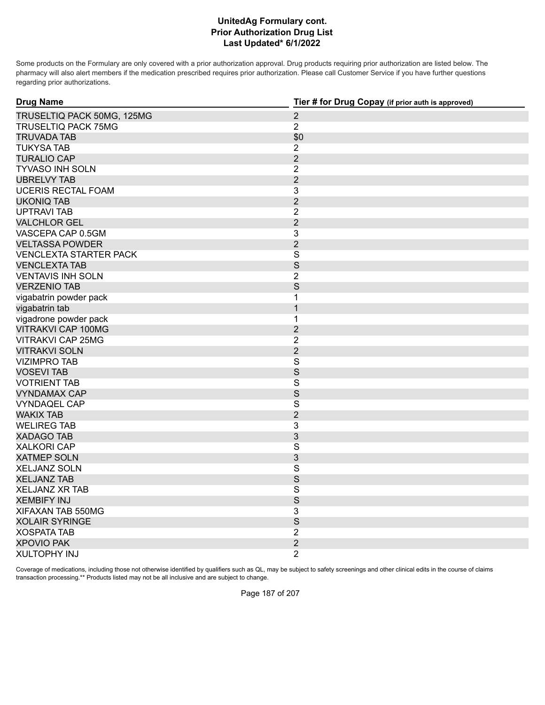Some products on the Formulary are only covered with a prior authorization approval. Drug products requiring prior authorization are listed below. The pharmacy will also alert members if the medication prescribed requires prior authorization. Please call Customer Service if you have further questions regarding prior authorizations.

| <b>Drug Name</b>              | Tier # for Drug Copay (if prior auth is approved) |
|-------------------------------|---------------------------------------------------|
| TRUSELTIQ PACK 50MG, 125MG    | $\overline{2}$                                    |
| <b>TRUSELTIQ PACK 75MG</b>    | $\overline{2}$                                    |
| <b>TRUVADA TAB</b>            | \$0                                               |
| <b>TUKYSA TAB</b>             | $\overline{2}$                                    |
| <b>TURALIO CAP</b>            | $\overline{2}$                                    |
| TYVASO INH SOLN               | $\overline{2}$                                    |
| <b>UBRELVY TAB</b>            | $\overline{2}$                                    |
| <b>UCERIS RECTAL FOAM</b>     | 3                                                 |
| <b>UKONIQ TAB</b>             | $\overline{2}$                                    |
| <b>UPTRAVI TAB</b>            | $\overline{2}$                                    |
| <b>VALCHLOR GEL</b>           | $\overline{2}$                                    |
| VASCEPA CAP 0.5GM             | 3                                                 |
| <b>VELTASSA POWDER</b>        | $\overline{2}$                                    |
| <b>VENCLEXTA STARTER PACK</b> | $\overline{\mathbf{S}}$                           |
| <b>VENCLEXTA TAB</b>          | S                                                 |
| <b>VENTAVIS INH SOLN</b>      | $\overline{2}$                                    |
| <b>VERZENIO TAB</b>           | S                                                 |
| vigabatrin powder pack        | $\mathbf{1}$                                      |
| vigabatrin tab                | $\mathbf{1}$                                      |
| vigadrone powder pack         | $\mathbf{1}$                                      |
| <b>VITRAKVI CAP 100MG</b>     | $\overline{2}$                                    |
| <b>VITRAKVI CAP 25MG</b>      | $\overline{2}$                                    |
| <b>VITRAKVI SOLN</b>          | $\overline{2}$                                    |
| <b>VIZIMPRO TAB</b>           | $\overline{\mathbf{S}}$                           |
| <b>VOSEVI TAB</b>             | S                                                 |
| <b>VOTRIENT TAB</b>           | $\overline{\mathbf{S}}$                           |
| <b>VYNDAMAX CAP</b>           | S                                                 |
| <b>VYNDAQEL CAP</b>           | $\mathsf{S}$                                      |
| <b>WAKIX TAB</b>              | $\overline{2}$                                    |
| <b>WELIREG TAB</b>            | 3                                                 |
| <b>XADAGO TAB</b>             | $\mathfrak{S}$                                    |
| <b>XALKORI CAP</b>            | $\overline{\mathbf{S}}$                           |
| <b>XATMEP SOLN</b>            | 3                                                 |
| <b>XELJANZ SOLN</b>           | $\overline{\mathbf{S}}$                           |
| <b>XELJANZ TAB</b>            | S                                                 |
| <b>XELJANZ XR TAB</b>         | $\overline{\mathbf{S}}$                           |
| <b>XEMBIFY INJ</b>            | S                                                 |
| XIFAXAN TAB 550MG             | 3                                                 |
| <b>XOLAIR SYRINGE</b>         | S                                                 |
| <b>XOSPATA TAB</b>            | $\overline{2}$                                    |
| <b>XPOVIO PAK</b>             | $\overline{2}$                                    |
| <b>XULTOPHY INJ</b>           | $\overline{2}$                                    |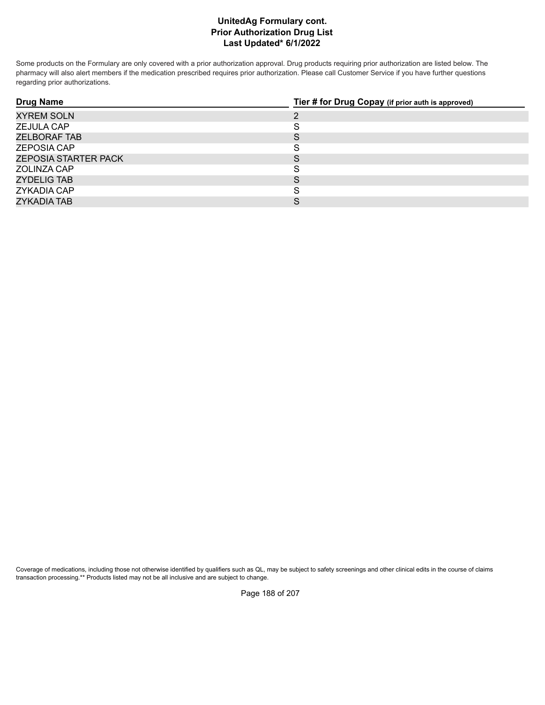Some products on the Formulary are only covered with a prior authorization approval. Drug products requiring prior authorization are listed below. The pharmacy will also alert members if the medication prescribed requires prior authorization. Please call Customer Service if you have further questions regarding prior authorizations.

| <b>Drug Name</b>            | Tier # for Drug Copay (if prior auth is approved) |
|-----------------------------|---------------------------------------------------|
| <b>XYREM SOLN</b>           | ∍                                                 |
| <b>ZEJULA CAP</b>           |                                                   |
| ZELBORAF TAB                | S                                                 |
| <b>ZEPOSIA CAP</b>          | ت                                                 |
| <b>ZEPOSIA STARTER PACK</b> | C                                                 |
| ZOLINZA CAP                 | c<br>O                                            |
| ZYDELIG TAB                 | S                                                 |
| ZYKADIA CAP                 |                                                   |
| <b>ZYKADIA TAB</b>          |                                                   |

Coverage of medications, including those not otherwise identified by qualifiers such as QL, may be subject to safety screenings and other clinical edits in the course of claims transaction processing.\*\* Products listed may not be all inclusive and are subject to change.

Page 188 of 207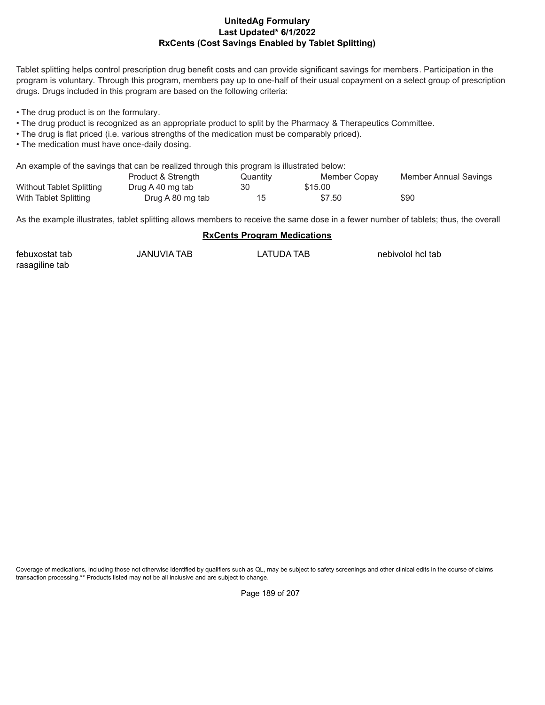#### **Last Updated\* 6/1/2022 RxCents (Cost Savings Enabled by Tablet Splitting) UnitedAg Formulary**

Tablet splitting helps control prescription drug benefit costs and can provide significant savings for members. Participation in the program is voluntary. Through this program, members pay up to one-half of their usual copayment on a select group of prescription drugs. Drugs included in this program are based on the following criteria:

• The drug product is on the formulary.

- The drug product is recognized as an appropriate product to split by the Pharmacy & Therapeutics Committee.
- The drug is flat priced (i.e. various strengths of the medication must be comparably priced).
- The medication must have once-daily dosing.

An example of the savings that can be realized through this program is illustrated below:

|                                 | Product & Strength | Quantity | Member Copay | Member Annual Savings |
|---------------------------------|--------------------|----------|--------------|-----------------------|
| <b>Without Tablet Splitting</b> | Drug A 40 mg tab   | 30       | \$15.00      |                       |
| With Tablet Splitting           | Drug A 80 mg tab   |          | \$7.50       | \$90                  |

As the example illustrates, tablet splitting allows members to receive the same dose in a fewer number of tablets; thus, the overall

#### **RxCents Program Medications**

| febuxostat tab | JANUVIA TAB | LATUDA TAB | nebivolol hcl tab |
|----------------|-------------|------------|-------------------|
| rasagiline tab |             |            |                   |

Coverage of medications, including those not otherwise identified by qualifiers such as QL, may be subject to safety screenings and other clinical edits in the course of claims transaction processing.\*\* Products listed may not be all inclusive and are subject to change.

Page 189 of 207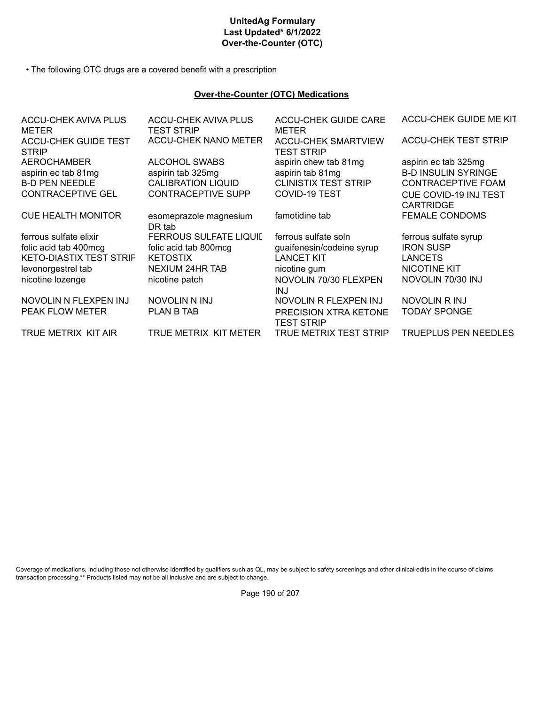# **UnitedAg Formulary Last Updated\* 6/1/2022 Over-the-Counter (OTC)**

• The following OTC drugs are a covered benefit with a prescription

#### **Over-the-Counter (OTC) Medications**

| <b>ACCU-CHEK AVIVA PLUS</b><br>METER | <b>ACCU-CHEK AVIVA PLUS</b><br><b>TEST STRIP</b> | <b>ACCU-CHEK GUIDE CARE</b><br><b>METER</b>     | ACCU-CHEK GUIDE ME KIT      |
|--------------------------------------|--------------------------------------------------|-------------------------------------------------|-----------------------------|
| ACCU-CHEK GUIDE TEST<br><b>STRIP</b> | <b>ACCU-CHEK NANO METER</b>                      | <b>ACCU-CHEK SMARTVIEW</b><br><b>TEST STRIP</b> | <b>ACCU-CHEK TEST STRIP</b> |
| <b>AEROCHAMBER</b>                   | <b>ALCOHOL SWABS</b>                             | aspirin chew tab 81mg                           | aspirin ec tab 325mg        |
| aspirin ec tab 81mg                  | aspirin tab 325mg                                | aspirin tab 81mg                                | <b>B-D INSULIN SYRINGE</b>  |
| <b>B-D PEN NEEDLE</b>                | <b>CALIBRATION LIQUID</b>                        | <b>CLINISTIX TEST STRIP</b>                     | <b>CONTRACEPTIVE FOAM</b>   |
| <b>CONTRACEPTIVE GEL</b>             | <b>CONTRACEPTIVE SUPP</b>                        | <b>COVID-19 TEST</b>                            | CUE COVID-19 INJ TEST       |
|                                      |                                                  |                                                 | <b>CARTRIDGE</b>            |
| <b>CUE HEALTH MONITOR</b>            | esomeprazole magnesium                           | famotidine tab                                  | <b>FEMALE CONDOMS</b>       |
|                                      | DR tab                                           |                                                 |                             |
| ferrous sulfate elixir               | <b>FERROUS SULFATE LIQUIL</b>                    | ferrous sulfate soln                            | ferrous sulfate syrup       |
| folic acid tab 400mcg                | folic acid tab 800mcg                            | guaifenesin/codeine syrup                       | <b>IRON SUSP</b>            |
| <b>KETO-DIASTIX TEST STRIF</b>       | <b>KETOSTIX</b>                                  | <b>LANCET KIT</b>                               | <b>LANCETS</b>              |
| levonorgestrel tab                   | <b>NEXIUM 24HR TAB</b>                           | nicotine gum                                    | <b>NICOTINE KIT</b>         |
| nicotine lozenge                     | nicotine patch                                   | NOVOLIN 70/30 FLEXPEN<br>INJ.                   | NOVOLIN 70/30 INJ           |
| NOVOLIN N FLEXPEN INJ                | NOVOLIN N INJ                                    | NOVOLIN R FLEXPEN INJ                           | NOVOLIN R INJ               |
| <b>PEAK FLOW METER</b>               | <b>PLAN B TAB</b>                                | <b>PRECISION XTRA KETONE</b>                    | <b>TODAY SPONGE</b>         |
|                                      |                                                  | <b>TEST STRIP</b>                               |                             |
| TRUE METRIX KIT AIR                  | TRUE METRIX KIT METER                            | TRUE METRIX TEST STRIP                          | <b>TRUEPLUS PEN NEEDLES</b> |

Coverage of medications, including those not otherwise identified by qualifiers such as QL, may be subject to safety screenings and other clinical edits in the course of claims transaction processing.\*\* Products listed may not be all inclusive and are subject to change.

Page 190 of 207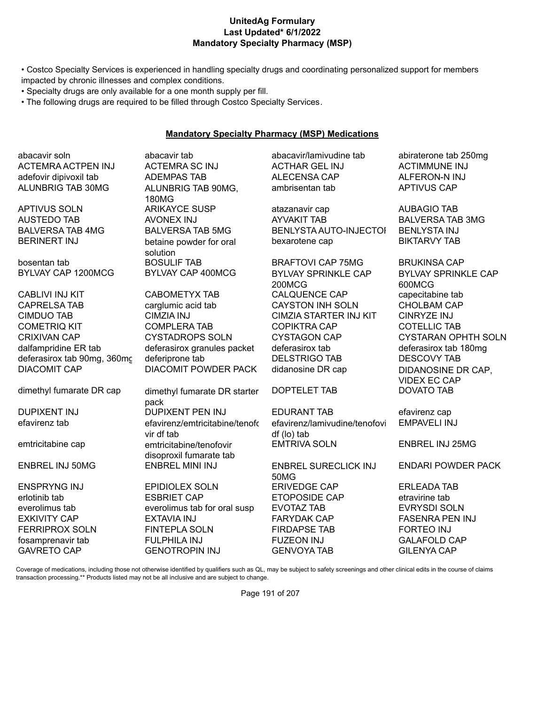#### **UnitedAg Formulary Last Updated\* 6/1/2022 Mandatory Specialty Pharmacy (MSP)**

• Costco Specialty Services is experienced in handling specialty drugs and coordinating personalized support for members impacted by chronic illnesses and complex conditions.

- Specialty drugs are only available for a one month supply per fill.
- The following drugs are required to be filled through Costco Specialty Services.

#### **Mandatory Specialty Pharmacy (MSP) Medications**

abacavir soln abacavir tab abacavir/lamivudine tab abiraterone tab 250mg ACTEMRA ACTPEN INJ ACTEMRA SC INJ ACTHAR GEL INJ ACTIMMUNE INJ adefovir dipivoxil tab ADEMPAS TAB ALECENSA CAP ALFERON-N INJ ALUNBRIG TAB 30MG ALUNBRIG TAB 90MG,

bosentan tab BOSULIF TAB BRAFTOVI CAP 75MG BRUKINSA CAP

CABLIVI INJ KIT CABOMETYX TAB CALQUENCE CAP capecitabine tab CAPRELSA TAB carglumic acid tab CAYSTON INH SOLN CHOLBAM CAP CIMDUO TAB CIMZIA INJ CIMZIA STARTER INJ KIT CINRYZE INJ COMETRIQ KIT COMPLERA TAB COPIKTRA CAP COTELLIC TAB CRIXIVAN CAP CYSTADROPS SOLN CYSTAGON CAP CYSTARAN OPHTH SOLN dalfampridine ER tab deferasirox granules packet deferasirox tab deferasirox tab 180mg deferasirox tab 90mg, 360mc deferiprone tab DELSTRIGO TAB DESCOVY TAB DIACOMIT CAP DIACOMIT POWDER PACK didanosine DR cap DIDANOSINE DR CAP,

180MG BERINERT INJ betaine powder for oral solution

dimethyl fumarate DR cap dimethyl fumarate DR starter pack efavirenz tab efavirenz/emtricitabine/tenofo vir df tab emtricitabine cap emtricitabine/tenofovir disoproxil fumarate tab

ENSPRYNG INJ EPIDIOLEX SOLN ERIVEDGE CAP ERLEADA TAB erlotinib tab ESBRIET CAP ETOPOSIDE CAP etravirine tab everolimus tab everolimus tab for oral susp EVOTAZ TAB EVRYSDI SOLN EXKIVITY CAP EXTAVIA INJ FARYDAK CAP FASENRA PEN INJ FERRIPROX SOLN FINTEPLA SOLN FIRDAPSE TAB FORTEO INJ fosamprenavir tab FULPHILA INJ FUZEON INJ GALAFOLD CAP GAVRETO CAP GENOTROPIN INJ GENVOYA TAB GILENYA CAP

ambrisentan tab APTIVUS CAP

APTIVUS SOLN ARIKAYCE SUSP atazanavir cap AUBAGIO TAB AUSTEDO TAB AVONEX INJ AYVAKIT TAB BALVERSA TAB 3MG BALVERSA TAB 4MG BALVERSA TAB 5MG BENLYSTA AUTO-INJECTOL BENLYSTA INJ bexarotene cap BIKTARVY TAB

BYLVAY CAP 1200MCG BYLVAY CAP 400MCG BYLVAY SPRINKLE CAP 200MCG

DOPTELET TAB DOVATO TAB

DUPIXENT INJ DUPIXENT PEN INJ EDURANT TAB efavirenz cap efavirenz/lamivudine/tenofovi df (lo) tab EMTRIVA SOLN ENBREL INJ 25MG

ENBREL INJ 50MG ENBREL MINI INJ ENBREL SURECLICK INJ 50MG

BYLVAY SPRINKLE CAP 600MCG VIDEX EC CAP

EMPAVELI INJ

ENDARI POWDER PACK

Coverage of medications, including those not otherwise identified by qualifiers such as QL, may be subject to safety screenings and other clinical edits in the course of claims transaction processing.\*\* Products listed may not be all inclusive and are subject to change.

Page 191 of 207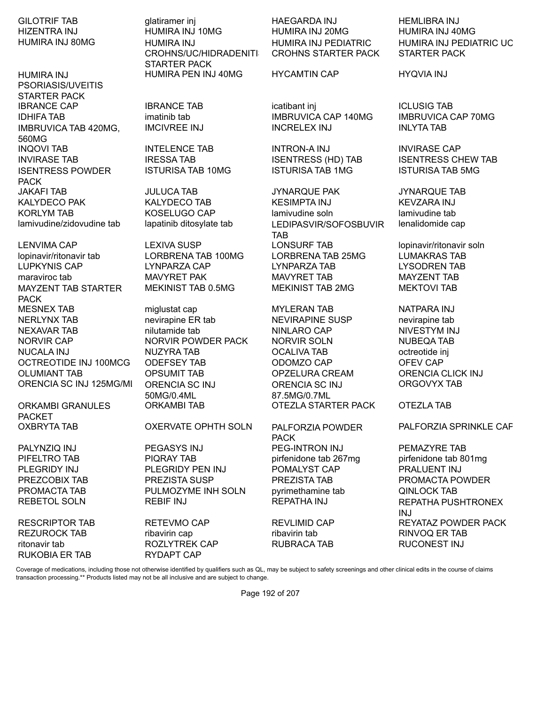HUMIRA INJ 80MG HUMIRA INJ

HUMIRA INJ PSORIASIS/UVEITIS STARTER PACK IBRANCE CAP IBRANCE TAB icatibant inj ICLUSIG TAB IDHIFA TAB imatinib tab IMBRUVICA CAP 140MG IMBRUVICA CAP 70MG IMBRUVICA TAB 420MG, 560MG INQOVI TAB INTELENCE TAB INTRON-A INJ INVIRASE CAP INVIRASE TAB IRESSA TAB ISENTRESS (HD) TAB ISENTRESS CHEW TAB ISENTRESS POWDER PACK

lopinavir/ritonavir tab LORBRENA TAB 100MG LORBRENA TAB 25MG LUMAKRAS TAB LUPKYNIS CAP LYNPARZA CAP LYNPARZA TAB LYSODREN TAB maraviroc tab MAVYRET PAK MAVYRET TAB MAYZENT TAB MAYZENT TAB STARTER PACK MESNEX TAB miglustat cap MYLERAN TAB NATPARA INJ NERLYNX TAB **nexirapine ER tab** nevirapine ER tab nevirapine tab NEXAVAR TAB nilutamide tab NINLARO CAP NIVESTYM INJ NORVIR CAP NORVIR POWDER PACK NORVIR SOLN NUBEQA TAB NUCALA INJ NUZYRA TAB OCALIVA TAB octreotide inj OCTREOTIDE INJ 100MCG ODEFSEY TAB ODOMZO CAP OFEV CAP OLUMIANT TAB OPSUMIT TAB OPZELURA CREAM ORENCIA CLICK INJ ORENCIA SC INJ 125MG/ML ORENCIA SC INJ

ORKAMBI GRANULES PACKET<br>OXBRYTA TAB

REZUROCK TAB ribavirin cap ribavirin tab ribavirin tab RINVOQ ER TAB ritonavir tab ROZLYTREK CAP RUBRACA TAB RUCONEST INJ RUKOBIA ER TAB RYDAPT CAP

HIZENTRA INJ HUMIRA INJ 10MG HUMIRA INJ 20MG HUMIRA INJ 40MG CROHNS/UC/HIDRADENITI STARTER PACK HUMIRA PEN INJ 40MG HYCAMTIN CAP HYQVIA INJ

50MG/0.4ML ORKAMBI TAB OTEZLA STARTER PACK OTEZLA TAB

### OXERVATE OPHTH SOLN PALFORZIA POWDER

PALYNZIQ INJ PEGASYS INJ PEG-INTRON INJ PEMAZYRE TAB PIFELTRO TAB PIQRAY TAB pirfenidone tab 267mg pirfenidone tab 801mg PLEGRIDY INJ PLEGRIDY PEN INJ POMALYST CAP PRALUENT INJ PREZCOBIX TAB PREZISTA SUSP PREZISTA TAB PROMACTA POWDER PROMACTA TAB **PULMOZYME INH SOLN** pyrimethamine tab QINLOCK TAB

GILOTRIF TAB Glatiramer inj HAEGARDA INJ HEMLIBRA INJ HUMIRA INJ PEDIATRIC CROHNS STARTER PACK

IMCIVREE INJ INCRELEX INJ INLYTA TAB

ISTURISA TAB 10MG ISTURISA TAB 1MG ISTURISA TAB 5MG

JAKAFI TAB JULUCA TAB JYNARQUE PAK JYNARQUE TAB KALYDECO PAK KALYDECO TAB KESIMPTA INJ KEVZARA INJ KORLYM TAB **KOSELUGO CAP** lamivudine soln lamivudine tab lamivudine/zidovudine tab lapatinib ditosylate tab LEDIPASVIR/SOFOSBUVIR TAB LENVIMA CAP LEXIVA SUSP LONSURF TAB lopinavir/ritonavir soln MEKINIST TAB 0.5MG MEKINIST TAB 2MG MEKTOVI TAB

> ORENCIA SC INJ 87.5MG/0.7ML

# PACK

HUMIRA INJ PEDIATRIC UC STARTER PACK

lenalidomide cap

ORGOVYX TAB

PALFORZIA SPRINKLE CAP

REBETOL SOLN REBIF INJ REPATHA INJ REPATHA PUSHTRONEX INJ RESCRIPTOR TAB RETEVMO CAP REVLIMID CAP REVERSE REYATAZ POWDER PACK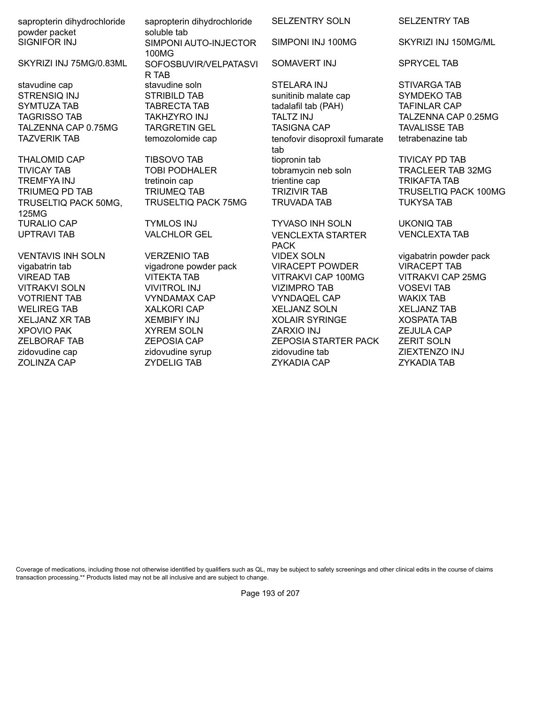sapropterin dihydrochloride powder packet SIGNIFOR INJ SIMPONI AUTO-INJECTOR

TRUSELTIQ PACK 50MG, 125MG TURALIO CAP TYMLOS INJ TYVASO INH SOLN UKONIQ TAB UPTRAVI TAB VALCHLOR GEL VENCLEXTA STARTER

sapropterin dihydrochloride soluble tab 100MG SKYRIZI INJ 75MG/0.83ML SOFOSBUVIR/VELPATASVI R TAB stavudine cap stavudine soln STELARA INJ STIVARGA TAB

SELZENTRY SOLN SELZENTRY TAB

SOMAVERT INJ SPRYCEL TAB

STRENSIQ INJ STRIBILD TAB sunitinib malate cap SYMDEKO TAB SYMTUZA TAB TABRECTA TAB TAB tadalafil tab (PAH) TAFINLAR CAP TAGRISSO TAB TAKHZYRO INJ TALTZ INJ TALZENNA CAP 0.25MG TALZENNA CAP 0.75MG TARGRETIN GEL TASIGNA CAP TAVALISSE TAB TAZVERIK TAB temozolomide cap tenofovir disoproxil fumarate tab THALOMID CAP TIBSOVO TAB tiopronin tab TIVICAY PD TAB TIVICAY TAB TOBI PODHALER tobramycin neb soln TRACLEER TAB 32MG TREMFYA INJ tretinoin cap trientine cap TRIKAFTA TAB TRIUMEQ PD TAB TRIUMEQ TAB TRIZIVIR TAB TRUSELTIQ PACK 100MG TRUSELTIQ PACK 75MG TRUVADA TAB TUKYSA TAB

PACK VENTAVIS INH SOLN VERZENIO TAB VIDEX SOLN vigabatrin powder pack vigabatrin tab vigadrone powder pack VIRACEPT POWDER VIRACEPT TAB VIREAD TAB VITEKTA TAB VITRAKVI CAP 100MG VITRAKVI CAP 25MG VITRAKVI SOLN VIVITROL INJ VIZIMPRO TAB VOSEVI TAB VOTRIENT TAB VYNDAMAX CAP VYNDAQEL CAP WAKIX TAB WELIREG TAB XALKORI CAP XELJANZ SOLN XELJANZ TAB XELJANZ XR TAB XEMBIFY INJ XOLAIR SYRINGE XOSPATA TAB XPOVIO PAK XYREM SOLN ZARXIO INJ ZEJULA CAP ZELBORAF TAB ZEPOSIA CAP ZEPOSIA STARTER PACK ZERIT SOLN zidovudine cap zidovudine syrup zidovudine tab ZIEXTENZO INJ ZOLINZA CAP ZYDELIG TAB ZYKADIA CAP ZYKADIA TAB

SIMPONI INJ 100MG SKYRIZI INJ 150MG/ML

tetrabenazine tab

VENCLEXTA TAB

Coverage of medications, including those not otherwise identified by qualifiers such as QL, may be subject to safety screenings and other clinical edits in the course of claims transaction processing.\*\* Products listed may not be all inclusive and are subject to change.

Page 193 of 207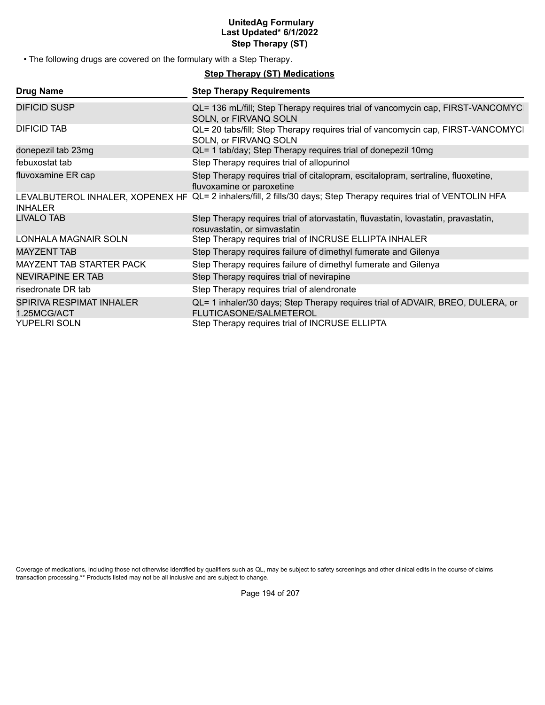#### **UnitedAg Formulary Last Updated\* 6/1/2022 Step Therapy (ST)**

• The following drugs are covered on the formulary with a Step Therapy.

### **Step Therapy (ST) Medications**

| <b>Drug Name</b>                                   | <b>Step Therapy Requirements</b>                                                                                   |
|----------------------------------------------------|--------------------------------------------------------------------------------------------------------------------|
| <b>DIFICID SUSP</b>                                | QL= 136 mL/fill; Step Therapy requires trial of vancomycin cap, FIRST-VANCOMYC<br>SOLN, or FIRVANQ SOLN            |
| DIFICID TAB                                        | QL= 20 tabs/fill; Step Therapy requires trial of vancomycin cap, FIRST-VANCOMYCI<br>SOLN, or FIRVANQ SOLN          |
| donepezil tab 23mg                                 | QL= 1 tab/day; Step Therapy requires trial of donepezil 10mg                                                       |
| febuxostat tab                                     | Step Therapy requires trial of allopurinol                                                                         |
| fluvoxamine ER cap                                 | Step Therapy requires trial of citalopram, escitalopram, sertraline, fluoxetine,<br>fluvoxamine or paroxetine      |
| LEVALBUTEROL INHALER, XOPENEX HF<br><b>INHALER</b> | QL= 2 inhalers/fill, 2 fills/30 days; Step Therapy requires trial of VENTOLIN HFA                                  |
| <b>LIVALO TAB</b>                                  | Step Therapy requires trial of atorvastatin, fluvastatin, lovastatin, pravastatin,<br>rosuvastatin, or simvastatin |
| LONHALA MAGNAIR SOLN                               | Step Therapy requires trial of INCRUSE ELLIPTA INHALER                                                             |
| <b>MAYZENT TAB</b>                                 | Step Therapy requires failure of dimethyl fumerate and Gilenya                                                     |
| MAYZENT TAB STARTER PACK                           | Step Therapy requires failure of dimethyl fumerate and Gilenya                                                     |
| <b>NEVIRAPINE ER TAB</b>                           | Step Therapy requires trial of nevirapine                                                                          |
| risedronate DR tab                                 | Step Therapy requires trial of alendronate                                                                         |
| SPIRIVA RESPIMAT INHALER<br>1.25MCG/ACT            | QL= 1 inhaler/30 days; Step Therapy requires trial of ADVAIR, BREO, DULERA, or<br><b>FLUTICASONE/SALMETEROL</b>    |
| <b>YUPELRI SOLN</b>                                | Step Therapy requires trial of INCRUSE ELLIPTA                                                                     |

Coverage of medications, including those not otherwise identified by qualifiers such as QL, may be subject to safety screenings and other clinical edits in the course of claims transaction processing.\*\* Products listed may not be all inclusive and are subject to change.

Page 194 of 207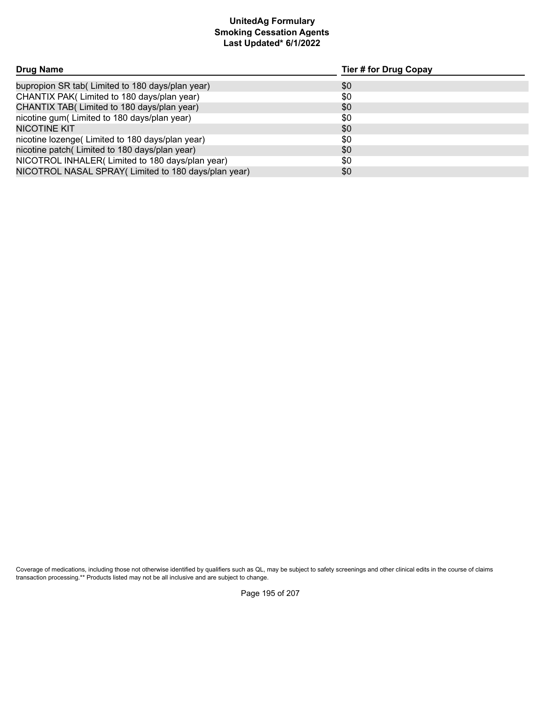# **Smoking Cessation Agents Last Updated\* 6/1/2022 UnitedAg Formulary**

| Drug Name                                            | Tier # for Drug Copay |  |
|------------------------------------------------------|-----------------------|--|
| bupropion SR tab( Limited to 180 days/plan year)     | \$0                   |  |
| CHANTIX PAK(Limited to 180 days/plan year)           | \$0                   |  |
| CHANTIX TAB( Limited to 180 days/plan year)          | \$0                   |  |
| nicotine gum(Limited to 180 days/plan year)          | \$0                   |  |
| <b>NICOTINE KIT</b>                                  | \$0                   |  |
| nicotine lozenge(Limited to 180 days/plan year)      | \$0                   |  |
| nicotine patch(Limited to 180 days/plan year)        | \$0                   |  |
| NICOTROL INHALER(Limited to 180 days/plan year)      | \$0                   |  |
| NICOTROL NASAL SPRAY (Limited to 180 days/plan year) | \$0                   |  |

Coverage of medications, including those not otherwise identified by qualifiers such as QL, may be subject to safety screenings and other clinical edits in the course of claims transaction processing.\*\* Products listed may not be all inclusive and are subject to change.

Page 195 of 207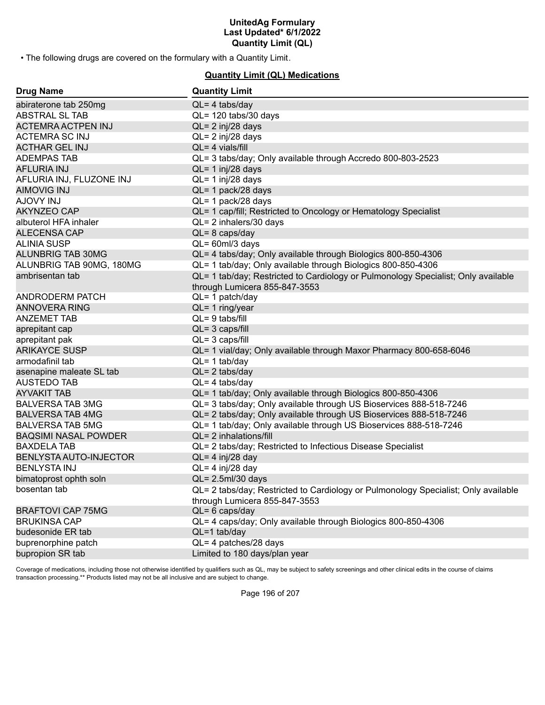• The following drugs are covered on the formulary with a Quantity Limit.

#### **Quantity Limit (QL) Medications**

| <b>Drug Name</b>              | <b>Quantity Limit</b>                                                                                               |
|-------------------------------|---------------------------------------------------------------------------------------------------------------------|
| abiraterone tab 250mg         | $QL = 4$ tabs/day                                                                                                   |
| ABSTRAL SL TAB                | QL= 120 tabs/30 days                                                                                                |
| <b>ACTEMRA ACTPEN INJ</b>     | $QL = 2$ inj/28 days                                                                                                |
| <b>ACTEMRA SC INJ</b>         | QL= 2 inj/28 days                                                                                                   |
| <b>ACTHAR GEL INJ</b>         | $QL = 4$ vials/fill                                                                                                 |
| <b>ADEMPAS TAB</b>            | QL= 3 tabs/day; Only available through Accredo 800-803-2523                                                         |
| <b>AFLURIA INJ</b>            | $QL = 1$ inj/28 days                                                                                                |
| AFLURIA INJ, FLUZONE INJ      | QL= 1 inj/28 days                                                                                                   |
| <b>AIMOVIG INJ</b>            | QL= 1 pack/28 days                                                                                                  |
| <b>AJOVY INJ</b>              | QL= 1 pack/28 days                                                                                                  |
| <b>AKYNZEO CAP</b>            | QL= 1 cap/fill; Restricted to Oncology or Hematology Specialist                                                     |
| albuterol HFA inhaler         | QL= 2 inhalers/30 days                                                                                              |
| <b>ALECENSA CAP</b>           | $QL = 8 \text{ caps/day}$                                                                                           |
| <b>ALINIA SUSP</b>            | $QL = 60ml/3$ days                                                                                                  |
| <b>ALUNBRIG TAB 30MG</b>      | QL= 4 tabs/day; Only available through Biologics 800-850-4306                                                       |
| ALUNBRIG TAB 90MG, 180MG      | QL= 1 tab/day; Only available through Biologics 800-850-4306                                                        |
| ambrisentan tab               | QL= 1 tab/day; Restricted to Cardiology or Pulmonology Specialist; Only available                                   |
|                               | through Lumicera 855-847-3553                                                                                       |
| ANDRODERM PATCH               | QL= 1 patch/day                                                                                                     |
| <b>ANNOVERA RING</b>          | $QL = 1$ ring/year                                                                                                  |
| <b>ANZEMET TAB</b>            | $QL = 9$ tabs/fill                                                                                                  |
| aprepitant cap                | $QL = 3 \text{ caps/fill}$                                                                                          |
| aprepitant pak                | $QL = 3 \text{ caps/fill}$                                                                                          |
| <b>ARIKAYCE SUSP</b>          | QL= 1 vial/day; Only available through Maxor Pharmacy 800-658-6046                                                  |
| armodafinil tab               | $QL = 1$ tab/day                                                                                                    |
| asenapine maleate SL tab      | $QL = 2$ tabs/day                                                                                                   |
| <b>AUSTEDO TAB</b>            | $QL = 4$ tabs/day                                                                                                   |
| <b>AYVAKIT TAB</b>            | QL= 1 tab/day; Only available through Biologics 800-850-4306                                                        |
| <b>BALVERSA TAB 3MG</b>       | QL= 3 tabs/day; Only available through US Bioservices 888-518-7246                                                  |
| <b>BALVERSA TAB 4MG</b>       | QL= 2 tabs/day; Only available through US Bioservices 888-518-7246                                                  |
| <b>BALVERSA TAB 5MG</b>       | QL= 1 tab/day; Only available through US Bioservices 888-518-7246                                                   |
| <b>BAQSIMI NASAL POWDER</b>   | QL= 2 inhalations/fill                                                                                              |
| <b>BAXDELA TAB</b>            | QL= 2 tabs/day; Restricted to Infectious Disease Specialist                                                         |
| <b>BENLYSTA AUTO-INJECTOR</b> | $QL = 4$ inj/28 day                                                                                                 |
| <b>BENLYSTA INJ</b>           | $QL = 4$ inj/28 day                                                                                                 |
| bimatoprost ophth soln        | QL= 2.5ml/30 days                                                                                                   |
| bosentan tab                  | QL= 2 tabs/day; Restricted to Cardiology or Pulmonology Specialist; Only available<br>through Lumicera 855-847-3553 |
| <b>BRAFTOVI CAP 75MG</b>      | $QL = 6$ caps/day                                                                                                   |
| <b>BRUKINSA CAP</b>           | QL= 4 caps/day; Only available through Biologics 800-850-4306                                                       |
| budesonide ER tab             | $QL = 1$ tab/day                                                                                                    |
| buprenorphine patch           | QL= 4 patches/28 days                                                                                               |
| bupropion SR tab              | Limited to 180 days/plan year                                                                                       |
|                               |                                                                                                                     |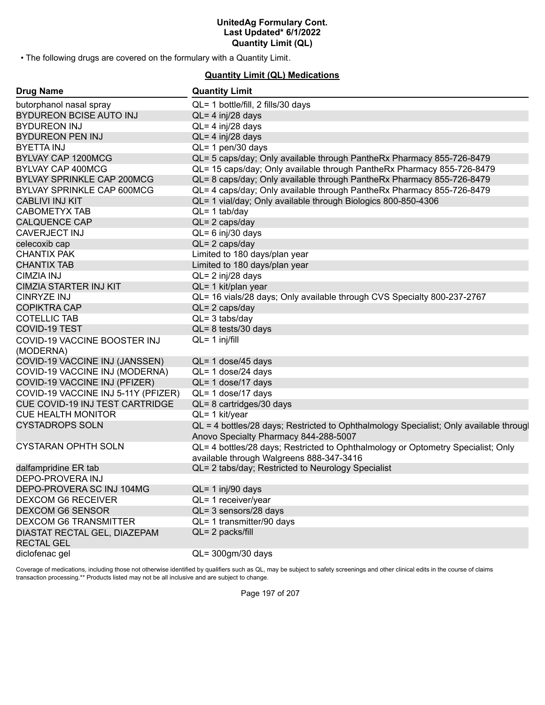• The following drugs are covered on the formulary with a Quantity Limit.

#### **Quantity Limit (QL) Medications**

| <b>Drug Name</b>                                  | <b>Quantity Limit</b>                                                                                                           |
|---------------------------------------------------|---------------------------------------------------------------------------------------------------------------------------------|
| butorphanol nasal spray                           | QL= 1 bottle/fill, 2 fills/30 days                                                                                              |
| <b>BYDUREON BCISE AUTO INJ</b>                    | $QL = 4$ inj/28 days                                                                                                            |
| <b>BYDUREON INJ</b>                               | $QL = 4$ inj/28 days                                                                                                            |
| <b>BYDUREON PEN INJ</b>                           | $QL = 4$ inj/28 days                                                                                                            |
| <b>BYETTA INJ</b>                                 | QL= 1 pen/30 days                                                                                                               |
| BYLVAY CAP 1200MCG                                | QL= 5 caps/day; Only available through PantheRx Pharmacy 855-726-8479                                                           |
| <b>BYLVAY CAP 400MCG</b>                          | QL= 15 caps/day; Only available through PantheRx Pharmacy 855-726-8479                                                          |
| <b>BYLVAY SPRINKLE CAP 200MCG</b>                 | QL= 8 caps/day; Only available through PantheRx Pharmacy 855-726-8479                                                           |
| BYLVAY SPRINKLE CAP 600MCG                        | QL= 4 caps/day; Only available through PantheRx Pharmacy 855-726-8479                                                           |
| <b>CABLIVI INJ KIT</b>                            | QL= 1 vial/day; Only available through Biologics 800-850-4306                                                                   |
| <b>CABOMETYX TAB</b>                              | $QL = 1$ tab/day                                                                                                                |
| <b>CALQUENCE CAP</b>                              | $QL = 2 \text{ caps/day}$                                                                                                       |
| <b>CAVERJECT INJ</b>                              | $QL = 6$ inj/30 days                                                                                                            |
| celecoxib cap                                     | $QL = 2 \text{ caps/day}$                                                                                                       |
| <b>CHANTIX PAK</b>                                | Limited to 180 days/plan year                                                                                                   |
| <b>CHANTIX TAB</b>                                | Limited to 180 days/plan year                                                                                                   |
| <b>CIMZIA INJ</b>                                 | QL= 2 inj/28 days                                                                                                               |
| <b>CIMZIA STARTER INJ KIT</b>                     | QL= 1 kit/plan year                                                                                                             |
| <b>CINRYZE INJ</b>                                | QL= 16 vials/28 days; Only available through CVS Specialty 800-237-2767                                                         |
| <b>COPIKTRA CAP</b>                               | $QL = 2 \text{ caps/day}$                                                                                                       |
| <b>COTELLIC TAB</b>                               | $QL = 3$ tabs/day                                                                                                               |
| <b>COVID-19 TEST</b>                              | $QL = 8$ tests/30 days                                                                                                          |
| COVID-19 VACCINE BOOSTER INJ                      | $QL = 1$ inj/fill                                                                                                               |
| (MODERNA)                                         |                                                                                                                                 |
| COVID-19 VACCINE INJ (JANSSEN)                    | QL= 1 dose/45 days                                                                                                              |
| COVID-19 VACCINE INJ (MODERNA)                    | $QL = 1$ dose/24 days                                                                                                           |
| COVID-19 VACCINE INJ (PFIZER)                     | QL= 1 dose/17 days                                                                                                              |
| COVID-19 VACCINE INJ 5-11Y (PFIZER)               | QL= 1 dose/17 days                                                                                                              |
| <b>CUE COVID-19 INJ TEST CARTRIDGE</b>            | QL= 8 cartridges/30 days                                                                                                        |
| <b>CUE HEALTH MONITOR</b>                         | QL= 1 kit/year                                                                                                                  |
| <b>CYSTADROPS SOLN</b>                            | QL = 4 bottles/28 days; Restricted to Ophthalmology Specialist; Only available througl<br>Anovo Specialty Pharmacy 844-288-5007 |
| <b>CYSTARAN OPHTH SOLN</b>                        | QL= 4 bottles/28 days; Restricted to Ophthalmology or Optometry Specialist; Only<br>available through Walgreens 888-347-3416    |
| dalfampridine ER tab                              | QL= 2 tabs/day; Restricted to Neurology Specialist                                                                              |
| DEPO-PROVERA INJ                                  |                                                                                                                                 |
| DEPO-PROVERA SC INJ 104MG                         | QL= 1 inj/90 days                                                                                                               |
| <b>DEXCOM G6 RECEIVER</b>                         | QL= 1 receiver/year                                                                                                             |
| <b>DEXCOM G6 SENSOR</b>                           | QL= 3 sensors/28 days                                                                                                           |
| <b>DEXCOM G6 TRANSMITTER</b>                      | QL= 1 transmitter/90 days                                                                                                       |
| DIASTAT RECTAL GEL, DIAZEPAM<br><b>RECTAL GEL</b> | QL= 2 packs/fill                                                                                                                |
| diclofenac gel                                    | QL= 300gm/30 days                                                                                                               |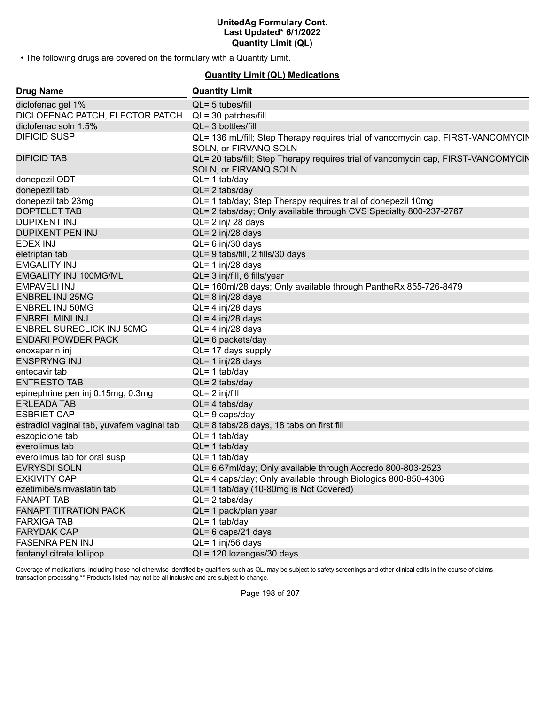• The following drugs are covered on the formulary with a Quantity Limit.

## **Quantity Limit (QL) Medications**

| <b>Drug Name</b>                           | <b>Quantity Limit</b>                                                                                      |
|--------------------------------------------|------------------------------------------------------------------------------------------------------------|
| diclofenac gel 1%                          | $QL = 5$ tubes/fill                                                                                        |
| DICLOFENAC PATCH, FLECTOR PATCH            | QL= 30 patches/fill                                                                                        |
| diclofenac soln 1.5%                       | $QL = 3$ bottles/fill                                                                                      |
| <b>DIFICID SUSP</b>                        | QL= 136 mL/fill; Step Therapy requires trial of vancomycin cap, FIRST-VANCOMYCIN<br>SOLN, or FIRVANQ SOLN  |
| <b>DIFICID TAB</b>                         | QL= 20 tabs/fill; Step Therapy requires trial of vancomycin cap, FIRST-VANCOMYCIN<br>SOLN, or FIRVANQ SOLN |
| donepezil ODT                              | $QL = 1$ tab/day                                                                                           |
| donepezil tab                              | $QL = 2$ tabs/day                                                                                          |
| donepezil tab 23mg                         | QL= 1 tab/day; Step Therapy requires trial of donepezil 10mg                                               |
| <b>DOPTELET TAB</b>                        | QL= 2 tabs/day; Only available through CVS Specialty 800-237-2767                                          |
| <b>DUPIXENT INJ</b>                        | $QL = 2$ inj/ 28 days                                                                                      |
| DUPIXENT PEN INJ                           | $QL = 2$ inj/28 days                                                                                       |
| EDEX INJ                                   | $QL = 6$ inj/30 days                                                                                       |
| eletriptan tab                             | QL= 9 tabs/fill, 2 fills/30 days                                                                           |
| <b>EMGALITY INJ</b>                        | QL= 1 inj/28 days                                                                                          |
| <b>EMGALITY INJ 100MG/ML</b>               | QL= 3 inj/fill, 6 fills/year                                                                               |
| <b>EMPAVELI INJ</b>                        | QL= 160ml/28 days; Only available through PantheRx 855-726-8479                                            |
| <b>ENBREL INJ 25MG</b>                     | $QL = 8$ inj/28 days                                                                                       |
| <b>ENBREL INJ 50MG</b>                     | QL= 4 inj/28 days                                                                                          |
| <b>ENBREL MINI INJ</b>                     | $QL = 4$ inj/28 days                                                                                       |
| <b>ENBREL SURECLICK INJ 50MG</b>           | $QL = 4$ inj/28 days                                                                                       |
| <b>ENDARI POWDER PACK</b>                  | QL= 6 packets/day                                                                                          |
| enoxaparin inj                             | QL= 17 days supply                                                                                         |
| <b>ENSPRYNG INJ</b>                        | $QL = 1$ inj/28 days                                                                                       |
| entecavir tab                              | $QL = 1$ tab/day                                                                                           |
| <b>ENTRESTO TAB</b>                        | $QL = 2$ tabs/day                                                                                          |
| epinephrine pen inj 0.15mg, 0.3mg          | $QL = 2$ inj/fill                                                                                          |
| <b>ERLEADA TAB</b>                         | $QL = 4$ tabs/day                                                                                          |
| <b>ESBRIET CAP</b>                         | $QL = 9$ caps/day                                                                                          |
| estradiol vaginal tab, yuvafem vaginal tab | QL= 8 tabs/28 days, 18 tabs on first fill                                                                  |
| eszopiclone tab                            | $QL = 1$ tab/day                                                                                           |
| everolimus tab                             | $QL = 1$ tab/day                                                                                           |
| everolimus tab for oral susp               | $QL = 1$ tab/day                                                                                           |
| <b>EVRYSDI SOLN</b>                        | QL= 6.67ml/day; Only available through Accredo 800-803-2523                                                |
| <b>EXKIVITY CAP</b>                        | QL= 4 caps/day; Only available through Biologics 800-850-4306                                              |
| ezetimibe/simvastatin tab                  | QL= 1 tab/day (10-80mg is Not Covered)                                                                     |
| <b>FANAPT TAB</b>                          | $QL = 2$ tabs/day                                                                                          |
| <b>FANAPT TITRATION PACK</b>               | QL= 1 pack/plan year                                                                                       |
| <b>FARXIGA TAB</b>                         | $QL = 1$ tab/day                                                                                           |
| <b>FARYDAK CAP</b>                         | QL= 6 caps/21 days                                                                                         |
| <b>FASENRA PEN INJ</b>                     | QL= 1 inj/56 days                                                                                          |
| fentanyl citrate lollipop                  | QL= 120 lozenges/30 days                                                                                   |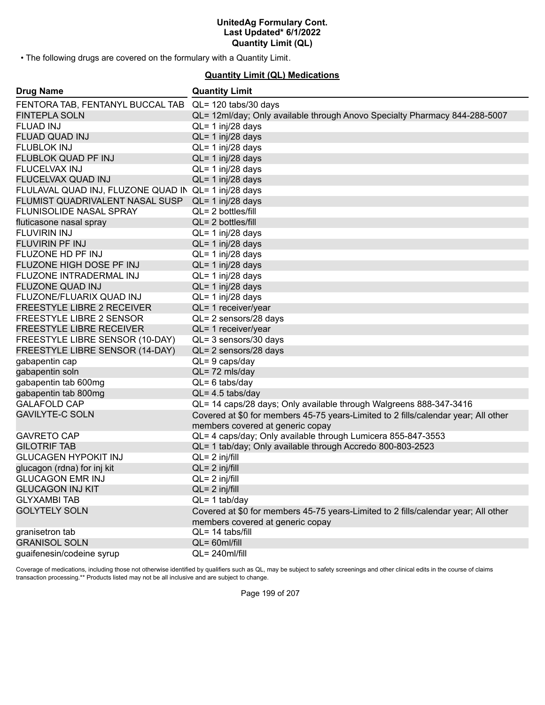• The following drugs are covered on the formulary with a Quantity Limit.

## **Quantity Limit (QL) Medications**

| <b>Drug Name</b>                                      | <b>Quantity Limit</b>                                                                                                  |
|-------------------------------------------------------|------------------------------------------------------------------------------------------------------------------------|
| FENTORA TAB, FENTANYL BUCCAL TAB QL= 120 tabs/30 days |                                                                                                                        |
| <b>FINTEPLA SOLN</b>                                  | QL= 12ml/day; Only available through Anovo Specialty Pharmacy 844-288-5007                                             |
| <b>FLUAD INJ</b>                                      | QL= 1 inj/28 days                                                                                                      |
| <b>FLUAD QUAD INJ</b>                                 | $QL = 1$ inj/28 days                                                                                                   |
| <b>FLUBLOK INJ</b>                                    | $QL = 1$ inj/28 days                                                                                                   |
| FLUBLOK QUAD PF INJ                                   | $QL = 1$ inj/28 days                                                                                                   |
| FLUCELVAX INJ                                         | $QL = 1$ inj/28 days                                                                                                   |
| FLUCELVAX QUAD INJ                                    | $QL = 1$ inj/28 days                                                                                                   |
| FLULAVAL QUAD INJ, FLUZONE QUAD IN QL= 1 inj/28 days  |                                                                                                                        |
| FLUMIST QUADRIVALENT NASAL SUSP                       | $QL = 1$ inj/28 days                                                                                                   |
| FLUNISOLIDE NASAL SPRAY                               | $QL = 2$ bottles/fill                                                                                                  |
| fluticasone nasal spray                               | $QL = 2$ bottles/fill                                                                                                  |
| <b>FLUVIRIN INJ</b>                                   | $QL = 1$ inj/28 days                                                                                                   |
| <b>FLUVIRIN PF INJ</b>                                | $QL = 1$ inj/28 days                                                                                                   |
| FLUZONE HD PF INJ                                     | QL= 1 inj/28 days                                                                                                      |
| FLUZONE HIGH DOSE PF INJ                              | $QL = 1$ inj/28 days                                                                                                   |
| FLUZONE INTRADERMAL INJ                               | $QL = 1$ inj/28 days                                                                                                   |
| <b>FLUZONE QUAD INJ</b>                               | $QL = 1$ inj/28 days                                                                                                   |
| FLUZONE/FLUARIX QUAD INJ                              | $QL = 1$ inj/28 days                                                                                                   |
| FREESTYLE LIBRE 2 RECEIVER                            | QL= 1 receiver/year                                                                                                    |
| FREESTYLE LIBRE 2 SENSOR                              | QL= 2 sensors/28 days                                                                                                  |
| <b>FREESTYLE LIBRE RECEIVER</b>                       | QL= 1 receiver/year                                                                                                    |
| FREESTYLE LIBRE SENSOR (10-DAY)                       | QL= 3 sensors/30 days                                                                                                  |
| FREESTYLE LIBRE SENSOR (14-DAY)                       | QL= 2 sensors/28 days                                                                                                  |
| gabapentin cap                                        | $QL = 9$ caps/day                                                                                                      |
| gabapentin soln                                       | QL=72 mls/day                                                                                                          |
| gabapentin tab 600mg                                  | $QL = 6$ tabs/day                                                                                                      |
| gabapentin tab 800mg                                  | $QL = 4.5$ tabs/day                                                                                                    |
| <b>GALAFOLD CAP</b>                                   | QL= 14 caps/28 days; Only available through Walgreens 888-347-3416                                                     |
| <b>GAVILYTE-C SOLN</b>                                | Covered at \$0 for members 45-75 years-Limited to 2 fills/calendar year; All other<br>members covered at generic copay |
| <b>GAVRETO CAP</b>                                    | QL= 4 caps/day; Only available through Lumicera 855-847-3553                                                           |
| <b>GILOTRIF TAB</b>                                   | QL= 1 tab/day; Only available through Accredo 800-803-2523                                                             |
| <b>GLUCAGEN HYPOKIT INJ</b>                           | $QL = 2$ inj/fill                                                                                                      |
| glucagon (rdna) for inj kit                           | $QL = 2$ inj/fill                                                                                                      |
| <b>GLUCAGON EMR INJ</b>                               | $QL = 2$ inj/fill                                                                                                      |
| <b>GLUCAGON INJ KIT</b>                               | $QL = 2$ inj/fill                                                                                                      |
| <b>GLYXAMBI TAB</b>                                   | $QL = 1$ tab/day                                                                                                       |
| <b>GOLYTELY SOLN</b>                                  | Covered at \$0 for members 45-75 years-Limited to 2 fills/calendar year; All other                                     |
|                                                       | members covered at generic copay                                                                                       |
| granisetron tab                                       | $QL = 14$ tabs/fill                                                                                                    |
| <b>GRANISOL SOLN</b>                                  | $QL = 60$ ml/fill                                                                                                      |
| quaifenesin/codeine syrup                             | QL= 240ml/fill                                                                                                         |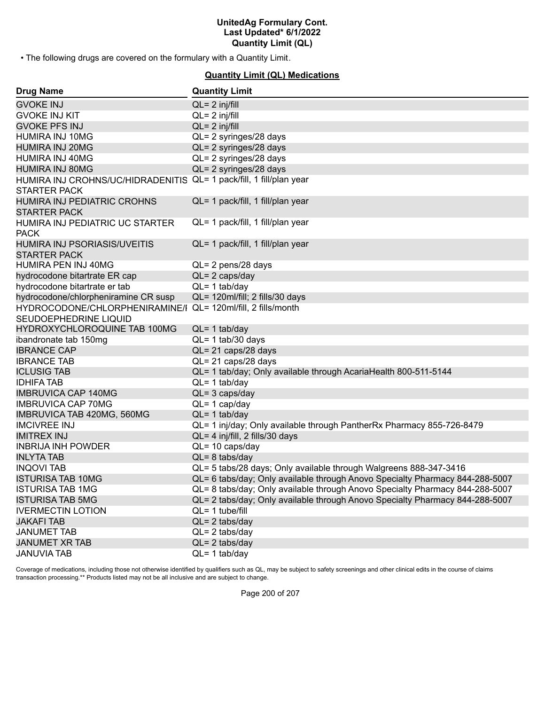• The following drugs are covered on the formulary with a Quantity Limit.

#### **Quantity Limit (QL) Medications**

| <b>Drug Name</b>                                                                           | <b>Quantity Limit</b>                                                        |
|--------------------------------------------------------------------------------------------|------------------------------------------------------------------------------|
| <b>GVOKE INJ</b>                                                                           | $QL = 2$ inj/fill                                                            |
| <b>GVOKE INJ KIT</b>                                                                       | $QL = 2$ inj/fill                                                            |
| <b>GVOKE PFS INJ</b>                                                                       | $QL = 2$ inj/fill                                                            |
| HUMIRA INJ 10MG                                                                            | QL= 2 syringes/28 days                                                       |
| <b>HUMIRA INJ 20MG</b>                                                                     | QL= 2 syringes/28 days                                                       |
| HUMIRA INJ 40MG                                                                            | QL= 2 syringes/28 days                                                       |
| <b>HUMIRA INJ 80MG</b>                                                                     | QL= 2 syringes/28 days                                                       |
| HUMIRA INJ CROHNS/UC/HIDRADENITIS QL= 1 pack/fill, 1 fill/plan year<br><b>STARTER PACK</b> |                                                                              |
| HUMIRA INJ PEDIATRIC CROHNS<br><b>STARTER PACK</b>                                         | QL= 1 pack/fill, 1 fill/plan year                                            |
| HUMIRA INJ PEDIATRIC UC STARTER<br><b>PACK</b>                                             | QL= 1 pack/fill, 1 fill/plan year                                            |
| HUMIRA INJ PSORIASIS/UVEITIS<br><b>STARTER PACK</b>                                        | QL= 1 pack/fill, 1 fill/plan year                                            |
| <b>HUMIRA PEN INJ 40MG</b>                                                                 | QL= 2 pens/28 days                                                           |
| hydrocodone bitartrate ER cap                                                              | $QL = 2 \text{ caps/day}$                                                    |
| hydrocodone bitartrate er tab                                                              | $QL = 1$ tab/day                                                             |
| hydrocodone/chlorpheniramine CR susp                                                       | QL= 120ml/fill; 2 fills/30 days                                              |
| HYDROCODONE/CHLORPHENIRAMINE/I QL= 120ml/fill, 2 fills/month<br>SEUDOEPHEDRINE LIQUID      |                                                                              |
| HYDROXYCHLOROQUINE TAB 100MG                                                               | $QL = 1$ tab/day                                                             |
| ibandronate tab 150mg                                                                      | $QL = 1$ tab/30 days                                                         |
| <b>IBRANCE CAP</b>                                                                         | QL= 21 caps/28 days                                                          |
| <b>IBRANCE TAB</b>                                                                         | QL= 21 caps/28 days                                                          |
| <b>ICLUSIG TAB</b>                                                                         | QL= 1 tab/day; Only available through AcariaHealth 800-511-5144              |
| <b>IDHIFA TAB</b>                                                                          | $QL = 1$ tab/day                                                             |
| <b>IMBRUVICA CAP 140MG</b>                                                                 | $QL = 3 \text{ caps/day}$                                                    |
| <b>IMBRUVICA CAP 70MG</b>                                                                  | $QL = 1$ cap/day                                                             |
| IMBRUVICA TAB 420MG, 560MG                                                                 | $QL = 1$ tab/day                                                             |
| <b>IMCIVREE INJ</b>                                                                        | QL= 1 inj/day; Only available through PantherRx Pharmacy 855-726-8479        |
| <b>IMITREX INJ</b>                                                                         | QL= 4 inj/fill, 2 fills/30 days                                              |
| <b>INBRIJA INH POWDER</b>                                                                  | QL= 10 caps/day                                                              |
| <b>INLYTA TAB</b>                                                                          | $QL = 8$ tabs/day                                                            |
| <b>INQOVI TAB</b>                                                                          | QL= 5 tabs/28 days; Only available through Walgreens 888-347-3416            |
| <b>ISTURISA TAB 10MG</b>                                                                   | QL= 6 tabs/day; Only available through Anovo Specialty Pharmacy 844-288-5007 |
| <b>ISTURISA TAB 1MG</b>                                                                    | QL= 8 tabs/day; Only available through Anovo Specialty Pharmacy 844-288-5007 |
| <b>ISTURISA TAB 5MG</b>                                                                    | QL= 2 tabs/day; Only available through Anovo Specialty Pharmacy 844-288-5007 |
| <b>IVERMECTIN LOTION</b>                                                                   | $QL = 1$ tube/fill                                                           |
| <b>JAKAFI TAB</b>                                                                          | $QL = 2$ tabs/day                                                            |
| <b>JANUMET TAB</b>                                                                         | $QL = 2$ tabs/day                                                            |
| <b>JANUMET XR TAB</b>                                                                      | $QL = 2$ tabs/day                                                            |
| <b>JANUVIA TAB</b>                                                                         | $QL = 1$ tab/day                                                             |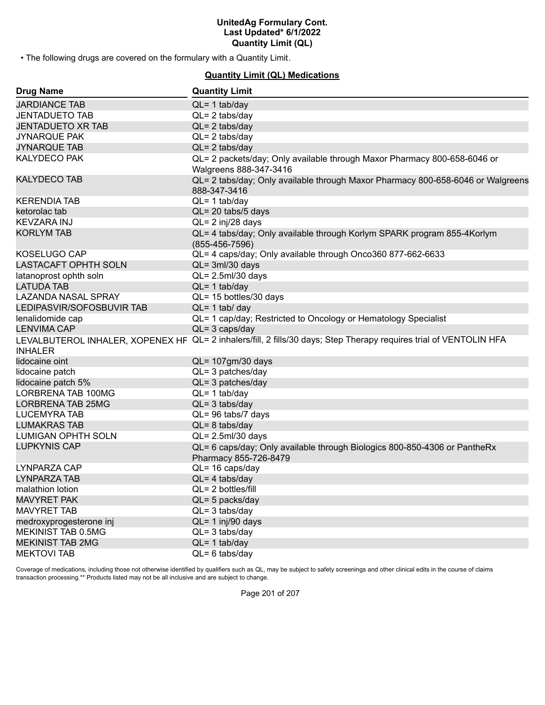• The following drugs are covered on the formulary with a Quantity Limit.

#### **Quantity Limit (QL) Medications**

| <b>Drug Name</b>            | <b>Quantity Limit</b>                                                                                              |
|-----------------------------|--------------------------------------------------------------------------------------------------------------------|
| <b>JARDIANCE TAB</b>        | $QL = 1$ tab/day                                                                                                   |
| <b>JENTADUETO TAB</b>       | $QL = 2$ tabs/day                                                                                                  |
| <b>JENTADUETO XR TAB</b>    | $QL = 2$ tabs/day                                                                                                  |
| <b>JYNARQUE PAK</b>         | $QL = 2$ tabs/day                                                                                                  |
| <b>JYNARQUE TAB</b>         | $QL = 2$ tabs/day                                                                                                  |
| <b>KALYDECO PAK</b>         | QL= 2 packets/day; Only available through Maxor Pharmacy 800-658-6046 or<br>Walgreens 888-347-3416                 |
| <b>KALYDECO TAB</b>         | QL= 2 tabs/day; Only available through Maxor Pharmacy 800-658-6046 or Walgreens<br>888-347-3416                    |
| <b>KERENDIA TAB</b>         | $QL = 1$ tab/day                                                                                                   |
| ketorolac tab               | QL= 20 tabs/5 days                                                                                                 |
| <b>KEVZARA INJ</b>          | QL= 2 inj/28 days                                                                                                  |
| <b>KORLYM TAB</b>           | QL= 4 tabs/day; Only available through Korlym SPARK program 855-4Korlym<br>$(855-456-7596)$                        |
| KOSELUGO CAP                | QL= 4 caps/day; Only available through Onco360 877-662-6633                                                        |
| <b>LASTACAFT OPHTH SOLN</b> | $QL = 3ml/30$ days                                                                                                 |
| latanoprost ophth soln      | $QL = 2.5$ ml/30 days                                                                                              |
| <b>LATUDA TAB</b>           | $QL = 1$ tab/day                                                                                                   |
| <b>LAZANDA NASAL SPRAY</b>  | QL= 15 bottles/30 days                                                                                             |
| LEDIPASVIR/SOFOSBUVIR TAB   | $QL = 1$ tab/ day                                                                                                  |
| lenalidomide cap            | QL= 1 cap/day; Restricted to Oncology or Hematology Specialist                                                     |
| <b>LENVIMA CAP</b>          | $QL = 3 \text{ caps/day}$                                                                                          |
|                             | LEVALBUTEROL INHALER, XOPENEX HF QL= 2 inhalers/fill, 2 fills/30 days; Step Therapy requires trial of VENTOLIN HFA |
| <b>INHALER</b>              |                                                                                                                    |
| lidocaine oint              | QL= 107gm/30 days                                                                                                  |
| lidocaine patch             | $QL = 3$ patches/day                                                                                               |
| lidocaine patch 5%          | $QL = 3$ patches/day                                                                                               |
| LORBRENA TAB 100MG          | $QL = 1$ tab/day                                                                                                   |
| <b>LORBRENA TAB 25MG</b>    | $QL = 3$ tabs/day                                                                                                  |
| <b>LUCEMYRA TAB</b>         | QL= 96 tabs/7 days                                                                                                 |
| <b>LUMAKRAS TAB</b>         | $QL = 8$ tabs/day                                                                                                  |
| <b>LUMIGAN OPHTH SOLN</b>   | QL= 2.5ml/30 days                                                                                                  |
| <b>LUPKYNIS CAP</b>         | QL= 6 caps/day; Only available through Biologics 800-850-4306 or PantheRx<br>Pharmacy 855-726-8479                 |
| LYNPARZA CAP                | QL= 16 caps/day                                                                                                    |
| LYNPARZA TAB                | $QL = 4$ tabs/day                                                                                                  |
| malathion lotion            | QL= 2 bottles/fill                                                                                                 |
| <b>MAVYRET PAK</b>          | $QL = 5$ packs/day                                                                                                 |
| <b>MAVYRET TAB</b>          | $QL = 3$ tabs/day                                                                                                  |
| medroxyprogesterone inj     | $QL = 1$ inj/90 days                                                                                               |
| MEKINIST TAB 0.5MG          | $QL = 3$ tabs/day                                                                                                  |
| <b>MEKINIST TAB 2MG</b>     | $QL = 1$ tab/day                                                                                                   |
| <b>MEKTOVI TAB</b>          | $QL = 6$ tabs/day                                                                                                  |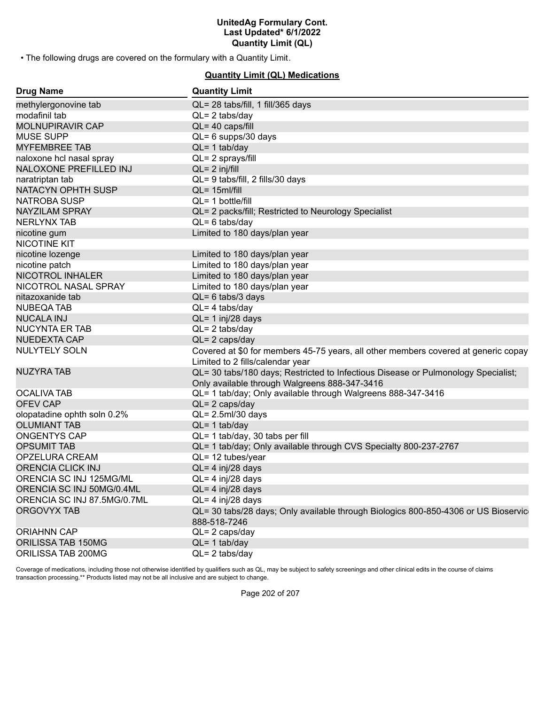• The following drugs are covered on the formulary with a Quantity Limit.

### **Quantity Limit (QL) Medications**

| <b>Drug Name</b>            | <b>Quantity Limit</b>                                                                                                              |
|-----------------------------|------------------------------------------------------------------------------------------------------------------------------------|
| methylergonovine tab        | QL= 28 tabs/fill, 1 fill/365 days                                                                                                  |
| modafinil tab               | $QL = 2$ tabs/day                                                                                                                  |
| <b>MOLNUPIRAVIR CAP</b>     | $QL = 40 \text{ caps/fill}$                                                                                                        |
| <b>MUSE SUPP</b>            | QL= 6 supps/30 days                                                                                                                |
| <b>MYFEMBREE TAB</b>        | $QL = 1$ tab/day                                                                                                                   |
| naloxone hcl nasal spray    | QL= 2 sprays/fill                                                                                                                  |
| NALOXONE PREFILLED INJ      | $QL = 2$ inj/fill                                                                                                                  |
| naratriptan tab             | QL= 9 tabs/fill, 2 fills/30 days                                                                                                   |
| NATACYN OPHTH SUSP          | $QL = 15$ ml/fill                                                                                                                  |
| <b>NATROBA SUSP</b>         | QL= 1 bottle/fill                                                                                                                  |
| <b>NAYZILAM SPRAY</b>       | QL= 2 packs/fill; Restricted to Neurology Specialist                                                                               |
| <b>NERLYNX TAB</b>          | $QL = 6$ tabs/day                                                                                                                  |
| nicotine gum                | Limited to 180 days/plan year                                                                                                      |
| NICOTINE KIT                |                                                                                                                                    |
| nicotine lozenge            | Limited to 180 days/plan year                                                                                                      |
| nicotine patch              | Limited to 180 days/plan year                                                                                                      |
| <b>NICOTROL INHALER</b>     | Limited to 180 days/plan year                                                                                                      |
| NICOTROL NASAL SPRAY        | Limited to 180 days/plan year                                                                                                      |
| nitazoxanide tab            | $QL = 6$ tabs/3 days                                                                                                               |
| <b>NUBEQA TAB</b>           | $QL = 4$ tabs/day                                                                                                                  |
| <b>NUCALA INJ</b>           | $QL = 1$ inj/28 days                                                                                                               |
| <b>NUCYNTA ER TAB</b>       | $QL = 2$ tabs/day                                                                                                                  |
| <b>NUEDEXTA CAP</b>         | $QL = 2 \text{ caps/day}$                                                                                                          |
| <b>NULYTELY SOLN</b>        | Covered at \$0 for members 45-75 years, all other members covered at generic copay<br>Limited to 2 fills/calendar year             |
| <b>NUZYRA TAB</b>           | QL= 30 tabs/180 days; Restricted to Infectious Disease or Pulmonology Specialist;<br>Only available through Walgreens 888-347-3416 |
| <b>OCALIVA TAB</b>          | QL= 1 tab/day; Only available through Walgreens 888-347-3416                                                                       |
| <b>OFEV CAP</b>             | $QL = 2 \text{ caps/day}$                                                                                                          |
| olopatadine ophth soln 0.2% | QL= 2.5ml/30 days                                                                                                                  |
| <b>OLUMIANT TAB</b>         | $QL = 1$ tab/day                                                                                                                   |
| <b>ONGENTYS CAP</b>         | QL= 1 tab/day, 30 tabs per fill                                                                                                    |
| <b>OPSUMIT TAB</b>          | QL= 1 tab/day; Only available through CVS Specialty 800-237-2767                                                                   |
| OPZELURA CREAM              | QL= 12 tubes/year                                                                                                                  |
| <b>ORENCIA CLICK INJ</b>    | $QL = 4$ inj/28 days                                                                                                               |
| ORENCIA SC INJ 125MG/ML     | $QL = 4$ inj/28 days                                                                                                               |
| ORENCIA SC INJ 50MG/0.4ML   | $QL = 4$ inj/28 days                                                                                                               |
| ORENCIA SC INJ 87.5MG/0.7ML | QL= 4 inj/28 days                                                                                                                  |
| <b>ORGOVYX TAB</b>          | QL= 30 tabs/28 days; Only available through Biologics 800-850-4306 or US Bioservic<br>888-518-7246                                 |
| <b>ORIAHNN CAP</b>          | $QL = 2 \text{ caps/day}$                                                                                                          |
| ORILISSA TAB 150MG          | $QL = 1$ tab/day                                                                                                                   |
| ORILISSA TAB 200MG          | $QL = 2$ tabs/day                                                                                                                  |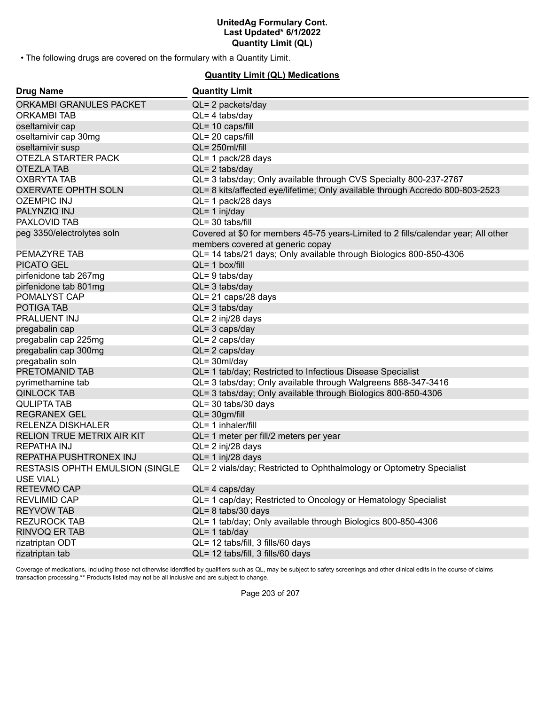• The following drugs are covered on the formulary with a Quantity Limit.

### **Quantity Limit (QL) Medications**

| <b>Drug Name</b>                        | <b>Quantity Limit</b>                                                              |
|-----------------------------------------|------------------------------------------------------------------------------------|
| ORKAMBI GRANULES PACKET                 | QL= 2 packets/day                                                                  |
| <b>ORKAMBITAB</b>                       | $QL = 4$ tabs/day                                                                  |
| oseltamivir cap                         | QL= 10 caps/fill                                                                   |
| oseltamivir cap 30mg                    | $QL = 20 \text{ caps/fill}$                                                        |
| oseltamivir susp                        | $QL = 250$ ml/fill                                                                 |
| OTEZLA STARTER PACK                     | QL= 1 pack/28 days                                                                 |
| <b>OTEZLA TAB</b>                       | $QL = 2$ tabs/day                                                                  |
| <b>OXBRYTA TAB</b>                      | QL= 3 tabs/day; Only available through CVS Specialty 800-237-2767                  |
| <b>OXERVATE OPHTH SOLN</b>              | QL= 8 kits/affected eye/lifetime; Only available through Accredo 800-803-2523      |
| <b>OZEMPIC INJ</b>                      | QL= 1 pack/28 days                                                                 |
| PALYNZIQ INJ                            | $QL = 1$ inj/day                                                                   |
| PAXLOVID TAB                            | QL= 30 tabs/fill                                                                   |
| peg 3350/electrolytes soln              | Covered at \$0 for members 45-75 years-Limited to 2 fills/calendar year; All other |
|                                         | members covered at generic copay                                                   |
| PEMAZYRE TAB                            | QL= 14 tabs/21 days; Only available through Biologics 800-850-4306                 |
| <b>PICATO GEL</b>                       | $QL = 1$ box/fill                                                                  |
| pirfenidone tab 267mg                   | $QL = 9$ tabs/day                                                                  |
| pirfenidone tab 801mg                   | $QL = 3$ tabs/day                                                                  |
| POMALYST CAP                            | QL= 21 caps/28 days                                                                |
| POTIGA TAB                              | $QL = 3$ tabs/day                                                                  |
| <b>PRALUENT INJ</b>                     | QL= 2 inj/28 days                                                                  |
| pregabalin cap                          | $QL = 3 \text{ caps/day}$                                                          |
| pregabalin cap 225mg                    | $QL = 2 \text{ caps/day}$                                                          |
| pregabalin cap 300mg                    | $QL = 2 \text{ caps/day}$                                                          |
| pregabalin soln                         | $QL = 30ml/day$                                                                    |
| PRETOMANID TAB                          | QL= 1 tab/day; Restricted to Infectious Disease Specialist                         |
| pyrimethamine tab                       | QL= 3 tabs/day; Only available through Walgreens 888-347-3416                      |
| <b>QINLOCK TAB</b>                      | QL= 3 tabs/day; Only available through Biologics 800-850-4306                      |
| <b>QULIPTA TAB</b>                      | QL= 30 tabs/30 days                                                                |
| <b>REGRANEX GEL</b>                     | $QL = 30gm/fill$                                                                   |
| <b>RELENZA DISKHALER</b>                | QL= 1 inhaler/fill                                                                 |
| RELION TRUE METRIX AIR KIT              | QL= 1 meter per fill/2 meters per year                                             |
| <b>REPATHA INJ</b>                      | QL= 2 inj/28 days                                                                  |
| REPATHA PUSHTRONEX INJ                  | $QL = 1$ inj/28 days                                                               |
| <b>RESTASIS OPHTH EMULSION (SINGLE)</b> | QL= 2 vials/day; Restricted to Ophthalmology or Optometry Specialist               |
| USE VIAL)                               |                                                                                    |
| <b>RETEVMO CAP</b>                      | $QL = 4$ caps/day                                                                  |
| <b>REVLIMID CAP</b>                     | QL= 1 cap/day; Restricted to Oncology or Hematology Specialist                     |
| <b>REYVOW TAB</b>                       | $QL = 8$ tabs/30 days                                                              |
| <b>REZUROCK TAB</b>                     | QL= 1 tab/day; Only available through Biologics 800-850-4306                       |
| RINVOQ ER TAB                           | $QL = 1$ tab/day                                                                   |
| rizatriptan ODT                         | QL= 12 tabs/fill, 3 fills/60 days                                                  |
| rizatriptan tab                         | QL= 12 tabs/fill, 3 fills/60 days                                                  |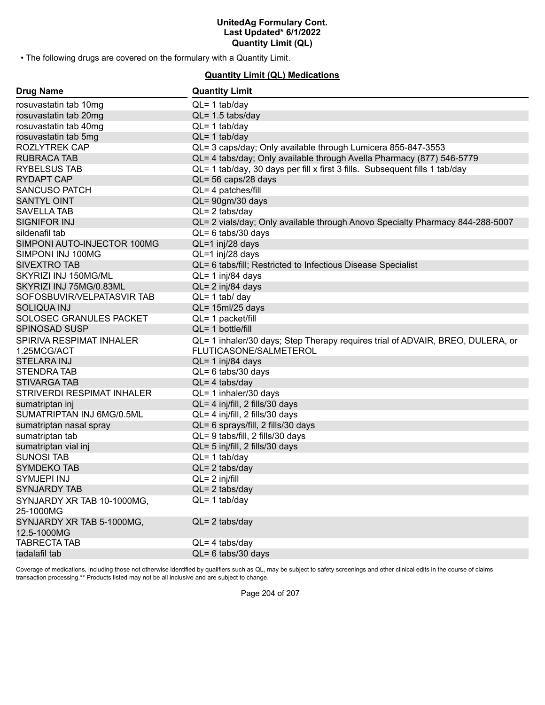• The following drugs are covered on the formulary with a Quantity Limit.

#### **Quantity Limit (QL) Medications**

| <b>Drug Name</b>            | <b>Quantity Limit</b>                                                          |
|-----------------------------|--------------------------------------------------------------------------------|
| rosuvastatin tab 10mg       | $QL = 1$ tab/day                                                               |
| rosuvastatin tab 20mg       | $QL = 1.5$ tabs/day                                                            |
| rosuvastatin tab 40mg       | $QL = 1$ tab/day                                                               |
| rosuvastatin tab 5mg        | $QL = 1$ tab/day                                                               |
| <b>ROZLYTREK CAP</b>        | QL= 3 caps/day; Only available through Lumicera 855-847-3553                   |
| <b>RUBRACA TAB</b>          | QL= 4 tabs/day; Only available through Avella Pharmacy (877) 546-5779          |
| <b>RYBELSUS TAB</b>         | QL= 1 tab/day, 30 days per fill x first 3 fills. Subsequent fills 1 tab/day    |
| <b>RYDAPT CAP</b>           | QL= 56 caps/28 days                                                            |
| <b>SANCUSO PATCH</b>        | QL= 4 patches/fill                                                             |
| <b>SANTYL OINT</b>          | QL= 90gm/30 days                                                               |
| <b>SAVELLA TAB</b>          | $QL = 2$ tabs/day                                                              |
| <b>SIGNIFOR INJ</b>         | QL= 2 vials/day; Only available through Anovo Specialty Pharmacy 844-288-5007  |
| sildenafil tab              | $QL = 6$ tabs/30 days                                                          |
| SIMPONI AUTO-INJECTOR 100MG | QL=1 inj/28 days                                                               |
| SIMPONI INJ 100MG           | QL=1 inj/28 days                                                               |
| <b>SIVEXTRO TAB</b>         | QL= 6 tabs/fill; Restricted to Infectious Disease Specialist                   |
| SKYRIZI INJ 150MG/ML        | $QL = 1$ inj/84 days                                                           |
| SKYRIZI INJ 75MG/0.83ML     | $QL = 2$ inj/84 days                                                           |
| SOFOSBUVIR/VELPATASVIR TAB  | $QL = 1$ tab/ day                                                              |
| <b>SOLIQUA INJ</b>          | $QL = 15ml/25$ days                                                            |
| SOLOSEC GRANULES PACKET     | QL= 1 packet/fill                                                              |
| <b>SPINOSAD SUSP</b>        | $QL = 1$ bottle/fill                                                           |
| SPIRIVA RESPIMAT INHALER    | QL= 1 inhaler/30 days; Step Therapy requires trial of ADVAIR, BREO, DULERA, or |
| 1.25MCG/ACT                 | FLUTICASONE/SALMETEROL                                                         |
| <b>STELARA INJ</b>          | QL= 1 inj/84 days                                                              |
| <b>STENDRATAB</b>           | $QL = 6$ tabs/30 days                                                          |
| <b>STIVARGA TAB</b>         | $QL = 4$ tabs/day                                                              |
| STRIVERDI RESPIMAT INHALER  | QL= 1 inhaler/30 days                                                          |
| sumatriptan inj             | QL= 4 inj/fill, 2 fills/30 days                                                |
| SUMATRIPTAN INJ 6MG/0.5ML   | QL= 4 inj/fill, 2 fills/30 days                                                |
| sumatriptan nasal spray     | QL= 6 sprays/fill, 2 fills/30 days                                             |
| sumatriptan tab             | QL= 9 tabs/fill, 2 fills/30 days                                               |
| sumatriptan vial inj        | QL= 5 inj/fill, 2 fills/30 days                                                |
| <b>SUNOSI TAB</b>           | $QL = 1$ tab/day                                                               |
| <b>SYMDEKO TAB</b>          | $QL = 2$ tabs/day                                                              |
| SYMJEPI INJ                 | $QL = 2$ inj/fill                                                              |
| <b>SYNJARDY TAB</b>         | $QL = 2$ tabs/day                                                              |
| SYNJARDY XR TAB 10-1000MG,  | $QL = 1$ tab/day                                                               |
| 25-1000MG                   |                                                                                |
| SYNJARDY XR TAB 5-1000MG,   | $QL = 2$ tabs/day                                                              |
| 12.5-1000MG                 |                                                                                |
| <b>TABRECTA TAB</b>         | $QL = 4$ tabs/day                                                              |
| tadalafil tab               | $QL = 6$ tabs/30 days                                                          |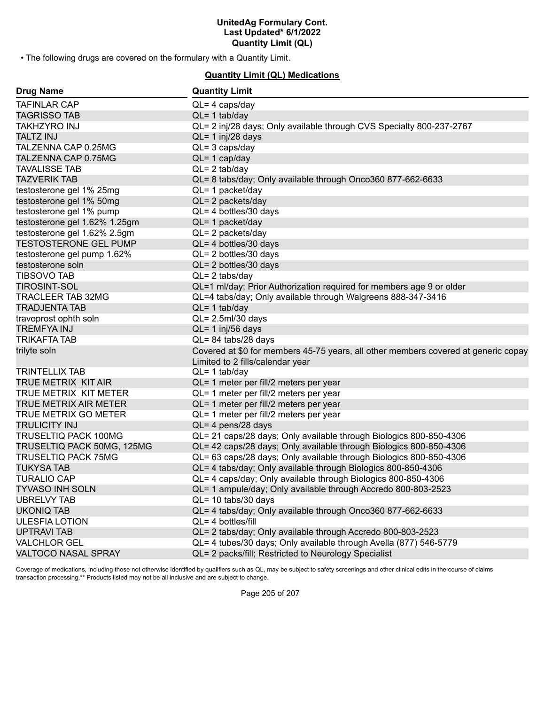• The following drugs are covered on the formulary with a Quantity Limit.

#### **Quantity Limit (QL) Medications**

| <b>Drug Name</b>              | <b>Quantity Limit</b>                                                                                                  |
|-------------------------------|------------------------------------------------------------------------------------------------------------------------|
| <b>TAFINLAR CAP</b>           | $QL = 4 \text{ caps/day}$                                                                                              |
| <b>TAGRISSO TAB</b>           | $QL = 1$ tab/day                                                                                                       |
| <b>TAKHZYRO INJ</b>           | QL= 2 inj/28 days; Only available through CVS Specialty 800-237-2767                                                   |
| <b>TALTZ INJ</b>              | $QL = 1$ inj/28 days                                                                                                   |
| TALZENNA CAP 0.25MG           | $QL = 3 \text{ caps/day}$                                                                                              |
| TALZENNA CAP 0.75MG           | $QL = 1$ cap/day                                                                                                       |
| <b>TAVALISSE TAB</b>          | $QL = 2$ tab/day                                                                                                       |
| <b>TAZVERIK TAB</b>           | QL= 8 tabs/day; Only available through Onco360 877-662-6633                                                            |
| testosterone gel 1% 25mg      | $QL = 1$ packet/day                                                                                                    |
| testosterone gel 1% 50mg      | QL= 2 packets/day                                                                                                      |
| testosterone gel 1% pump      | $QL = 4$ bottles/30 days                                                                                               |
| testosterone gel 1.62% 1.25gm | QL= 1 packet/day                                                                                                       |
| testosterone gel 1.62% 2.5gm  | $QL = 2$ packets/day                                                                                                   |
| <b>TESTOSTERONE GEL PUMP</b>  | QL= 4 bottles/30 days                                                                                                  |
| testosterone gel pump 1.62%   | $QL = 2$ bottles/30 days                                                                                               |
| testosterone soln             | QL= 2 bottles/30 days                                                                                                  |
| <b>TIBSOVO TAB</b>            | $QL = 2$ tabs/day                                                                                                      |
| <b>TIROSINT-SOL</b>           | QL=1 ml/day; Prior Authorization required for members age 9 or older                                                   |
| <b>TRACLEER TAB 32MG</b>      | QL=4 tabs/day; Only available through Walgreens 888-347-3416                                                           |
| <b>TRADJENTA TAB</b>          | $QL = 1$ tab/day                                                                                                       |
| travoprost ophth soln         | $QL = 2.5$ ml/30 days                                                                                                  |
| <b>TREMFYAINJ</b>             | $QL = 1$ inj/56 days                                                                                                   |
| <b>TRIKAFTA TAB</b>           | QL= 84 tabs/28 days                                                                                                    |
| trilyte soln                  | Covered at \$0 for members 45-75 years, all other members covered at generic copay<br>Limited to 2 fills/calendar year |
| <b>TRINTELLIX TAB</b>         | $QL = 1$ tab/day                                                                                                       |
| TRUE METRIX KIT AIR           | QL= 1 meter per fill/2 meters per year                                                                                 |
| TRUE METRIX KIT METER         | QL= 1 meter per fill/2 meters per year                                                                                 |
| TRUE METRIX AIR METER         | QL= 1 meter per fill/2 meters per year                                                                                 |
| TRUE METRIX GO METER          | QL= 1 meter per fill/2 meters per year                                                                                 |
| <b>TRULICITY INJ</b>          | $QL = 4$ pens/28 days                                                                                                  |
| <b>TRUSELTIQ PACK 100MG</b>   | QL= 21 caps/28 days; Only available through Biologics 800-850-4306                                                     |
| TRUSELTIQ PACK 50MG, 125MG    | QL= 42 caps/28 days; Only available through Biologics 800-850-4306                                                     |
| <b>TRUSELTIQ PACK 75MG</b>    | QL= 63 caps/28 days; Only available through Biologics 800-850-4306                                                     |
| <b>TUKYSA TAB</b>             | QL= 4 tabs/day; Only available through Biologics 800-850-4306                                                          |
| <b>TURALIO CAP</b>            | QL= 4 caps/day; Only available through Biologics 800-850-4306                                                          |
| <b>TYVASO INH SOLN</b>        | QL= 1 ampule/day; Only available through Accredo 800-803-2523                                                          |
| UBRELVY TAB                   | $QL = 10$ tabs/30 days                                                                                                 |
| <b>UKONIQ TAB</b>             | QL= 4 tabs/day; Only available through Onco360 877-662-6633                                                            |
| ULESFIA LOTION                | $QL = 4$ bottles/fill                                                                                                  |
| <b>UPTRAVI TAB</b>            | QL= 2 tabs/day; Only available through Accredo 800-803-2523                                                            |
| <b>VALCHLOR GEL</b>           | QL= 4 tubes/30 days; Only available through Avella (877) 546-5779                                                      |
| VALTOCO NASAL SPRAY           | QL= 2 packs/fill; Restricted to Neurology Specialist                                                                   |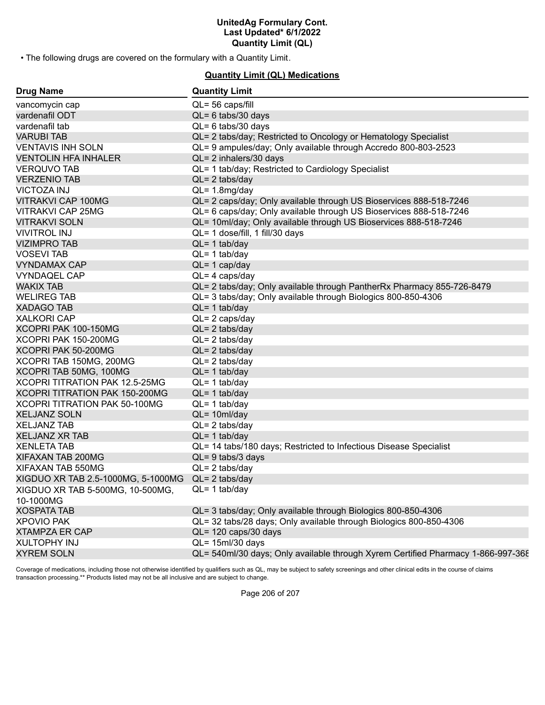• The following drugs are covered on the formulary with a Quantity Limit.

### **Quantity Limit (QL) Medications**

| <b>Drug Name</b>                   | <b>Quantity Limit</b>                                                            |
|------------------------------------|----------------------------------------------------------------------------------|
| vancomycin cap                     | $QL = 56$ caps/fill                                                              |
| vardenafil ODT                     | $QL = 6$ tabs/30 days                                                            |
| vardenafil tab                     | QL= 6 tabs/30 days                                                               |
| <b>VARUBI TAB</b>                  | QL= 2 tabs/day; Restricted to Oncology or Hematology Specialist                  |
| <b>VENTAVIS INH SOLN</b>           | QL= 9 ampules/day; Only available through Accredo 800-803-2523                   |
| <b>VENTOLIN HFA INHALER</b>        | QL= 2 inhalers/30 days                                                           |
| <b>VERQUVO TAB</b>                 | QL= 1 tab/day; Restricted to Cardiology Specialist                               |
| <b>VERZENIO TAB</b>                | $QL = 2$ tabs/day                                                                |
| <b>VICTOZA INJ</b>                 | $QL = 1.8$ mg/day                                                                |
| <b>VITRAKVI CAP 100MG</b>          | QL= 2 caps/day; Only available through US Bioservices 888-518-7246               |
| <b>VITRAKVI CAP 25MG</b>           | QL= 6 caps/day; Only available through US Bioservices 888-518-7246               |
| <b>VITRAKVI SOLN</b>               | QL= 10ml/day; Only available through US Bioservices 888-518-7246                 |
| <b>VIVITROL INJ</b>                | QL= 1 dose/fill, 1 fill/30 days                                                  |
| <b>VIZIMPRO TAB</b>                | $QL = 1$ tab/day                                                                 |
| <b>VOSEVI TAB</b>                  | $QL = 1$ tab/day                                                                 |
| <b>VYNDAMAX CAP</b>                | $QL = 1$ cap/day                                                                 |
| <b>VYNDAQEL CAP</b>                | $QL = 4 \text{ caps/day}$                                                        |
| <b>WAKIX TAB</b>                   | QL= 2 tabs/day; Only available through PantherRx Pharmacy 855-726-8479           |
| <b>WELIREG TAB</b>                 | QL= 3 tabs/day; Only available through Biologics 800-850-4306                    |
| <b>XADAGO TAB</b>                  | $QL = 1$ tab/day                                                                 |
| <b>XALKORI CAP</b>                 | $QL = 2 \text{ caps/day}$                                                        |
| XCOPRI PAK 100-150MG               | $QL = 2$ tabs/day                                                                |
| XCOPRI PAK 150-200MG               | $QL = 2$ tabs/day                                                                |
| XCOPRI PAK 50-200MG                | $QL = 2$ tabs/day                                                                |
| XCOPRI TAB 150MG, 200MG            | $QL = 2$ tabs/day                                                                |
| XCOPRI TAB 50MG, 100MG             | $QL = 1$ tab/day                                                                 |
| XCOPRI TITRATION PAK 12.5-25MG     | $QL = 1$ tab/day                                                                 |
| XCOPRI TITRATION PAK 150-200MG     | $QL = 1$ tab/day                                                                 |
| XCOPRI TITRATION PAK 50-100MG      | $QL = 1$ tab/day                                                                 |
| <b>XELJANZ SOLN</b>                | $QL = 10ml/day$                                                                  |
| <b>XELJANZ TAB</b>                 | $QL = 2$ tabs/day                                                                |
| <b>XELJANZ XR TAB</b>              | $QL = 1$ tab/day                                                                 |
| <b>XENLETA TAB</b>                 | QL= 14 tabs/180 days; Restricted to Infectious Disease Specialist                |
| XIFAXAN TAB 200MG                  | $QL = 9$ tabs/3 days                                                             |
| XIFAXAN TAB 550MG                  | $QL = 2$ tabs/day                                                                |
| XIGDUO XR TAB 2.5-1000MG, 5-1000MG | $QL = 2$ tabs/day                                                                |
| XIGDUO XR TAB 5-500MG, 10-500MG,   | $QL = 1$ tab/day                                                                 |
| 10-1000MG                          |                                                                                  |
| <b>XOSPATA TAB</b>                 | QL= 3 tabs/day; Only available through Biologics 800-850-4306                    |
| <b>XPOVIO PAK</b>                  | QL= 32 tabs/28 days; Only available through Biologics 800-850-4306               |
| <b>XTAMPZA ER CAP</b>              | QL= 120 caps/30 days                                                             |
| <b>XULTOPHY INJ</b>                | $QL = 15ml/30 days$                                                              |
| <b>XYREM SOLN</b>                  | QL= 540ml/30 days; Only available through Xyrem Certified Pharmacy 1-866-997-368 |